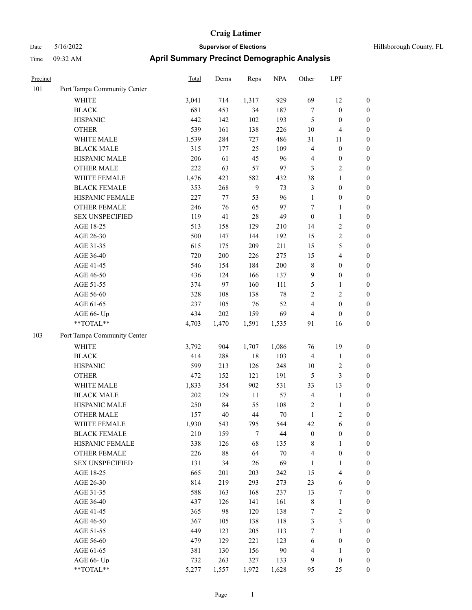| Hillsborough County, FL |  |  |
|-------------------------|--|--|
|-------------------------|--|--|

| Precinct |                             | <b>Total</b> | Dems    | Reps   | <b>NPA</b> | Other            | LPF                     |                  |
|----------|-----------------------------|--------------|---------|--------|------------|------------------|-------------------------|------------------|
| 101      | Port Tampa Community Center |              |         |        |            |                  |                         |                  |
|          | <b>WHITE</b>                | 3,041        | 714     | 1,317  | 929        | 69               | 12                      | $\boldsymbol{0}$ |
|          | <b>BLACK</b>                | 681          | 453     | 34     | 187        | 7                | $\boldsymbol{0}$        | $\boldsymbol{0}$ |
|          | <b>HISPANIC</b>             | 442          | 142     | 102    | 193        | 5                | $\boldsymbol{0}$        | $\boldsymbol{0}$ |
|          | <b>OTHER</b>                | 539          | 161     | 138    | 226        | 10               | $\overline{\mathbf{4}}$ | $\boldsymbol{0}$ |
|          | WHITE MALE                  | 1,539        | 284     | 727    | 486        | 31               | 11                      | $\boldsymbol{0}$ |
|          | <b>BLACK MALE</b>           | 315          | 177     | 25     | 109        | 4                | $\boldsymbol{0}$        | $\boldsymbol{0}$ |
|          | HISPANIC MALE               | 206          | 61      | 45     | 96         | $\overline{4}$   | $\boldsymbol{0}$        | $\boldsymbol{0}$ |
|          | <b>OTHER MALE</b>           | 222          | 63      | 57     | 97         | 3                | $\mathfrak{2}$          | $\boldsymbol{0}$ |
|          | WHITE FEMALE                | 1,476        | 423     | 582    | 432        | 38               | $\mathbf{1}$            | $\boldsymbol{0}$ |
|          | <b>BLACK FEMALE</b>         | 353          | 268     | 9      | 73         | 3                | $\boldsymbol{0}$        | 0                |
|          | HISPANIC FEMALE             | 227          | $77\,$  | 53     | 96         | $\mathbf{1}$     | $\boldsymbol{0}$        | $\boldsymbol{0}$ |
|          | OTHER FEMALE                | 246          | 76      | 65     | 97         | 7                | $\mathbf{1}$            | $\boldsymbol{0}$ |
|          | <b>SEX UNSPECIFIED</b>      | 119          | 41      | 28     | 49         | $\boldsymbol{0}$ | $\mathbf{1}$            | $\boldsymbol{0}$ |
|          | AGE 18-25                   | 513          | 158     | 129    | 210        | 14               | $\sqrt{2}$              | $\boldsymbol{0}$ |
|          | AGE 26-30                   | 500          | 147     | 144    | 192        | 15               | $\sqrt{2}$              | $\boldsymbol{0}$ |
|          | AGE 31-35                   | 615          | 175     | 209    | 211        | 15               | $\mathfrak{S}$          | $\boldsymbol{0}$ |
|          | AGE 36-40                   | 720          | $200\,$ | 226    | 275        | 15               | $\overline{\mathbf{4}}$ | $\boldsymbol{0}$ |
|          | AGE 41-45                   | 546          | 154     | 184    | 200        | $\,$ 8 $\,$      | $\boldsymbol{0}$        | $\boldsymbol{0}$ |
|          | AGE 46-50                   | 436          | 124     | 166    | 137        | 9                | $\boldsymbol{0}$        | $\boldsymbol{0}$ |
|          | AGE 51-55                   | 374          | 97      | 160    | 111        | $\mathfrak{S}$   | $\mathbf{1}$            | 0                |
|          | AGE 56-60                   | 328          | 108     | 138    | 78         | $\sqrt{2}$       | $\sqrt{2}$              | $\boldsymbol{0}$ |
|          | AGE 61-65                   | 237          | 105     | 76     | 52         | 4                | $\boldsymbol{0}$        | $\boldsymbol{0}$ |
|          | AGE 66- Up                  | 434          | 202     | 159    | 69         | 4                | $\boldsymbol{0}$        | $\boldsymbol{0}$ |
|          | **TOTAL**                   | 4,703        | 1,470   | 1,591  | 1,535      | 91               | 16                      | $\boldsymbol{0}$ |
| 103      | Port Tampa Community Center |              |         |        |            |                  |                         |                  |
|          | <b>WHITE</b>                | 3,792        | 904     | 1,707  | 1,086      | 76               | 19                      | $\boldsymbol{0}$ |
|          | <b>BLACK</b>                | 414          | 288     | 18     | 103        | $\overline{4}$   | $\mathbf{1}$            | $\boldsymbol{0}$ |
|          | <b>HISPANIC</b>             | 599          | 213     | 126    | 248        | 10               | $\sqrt{2}$              | $\boldsymbol{0}$ |
|          | <b>OTHER</b>                | 472          | 152     | 121    | 191        | 5                | $\mathfrak{Z}$          | $\boldsymbol{0}$ |
|          | WHITE MALE                  | 1,833        | 354     | 902    | 531        | 33               | 13                      | $\boldsymbol{0}$ |
|          | <b>BLACK MALE</b>           | $202\,$      | 129     | $11\,$ | 57         | $\overline{4}$   | $\mathbf{1}$            | $\boldsymbol{0}$ |
|          | HISPANIC MALE               | 250          | 84      | 55     | 108        | $\overline{c}$   | $\mathbf{1}$            | 0                |
|          | <b>OTHER MALE</b>           | 157          | 40      | 44     | 70         | 1                | 2                       | $\overline{0}$   |
|          | WHITE FEMALE                | 1,930        | 543     | 795    | 544        | 42               | 6                       | 0                |
|          | <b>BLACK FEMALE</b>         | 210          | 159     | $\tau$ | $44\,$     | $\boldsymbol{0}$ | $\boldsymbol{0}$        | $\boldsymbol{0}$ |
|          | HISPANIC FEMALE             | 338          | 126     | 68     | 135        | 8                | $\mathbf{1}$            | $\boldsymbol{0}$ |
|          | OTHER FEMALE                | 226          | 88      | 64     | $70\,$     | $\overline{4}$   | $\boldsymbol{0}$        | 0                |
|          | <b>SEX UNSPECIFIED</b>      | 131          | 34      | 26     | 69         | $\mathbf{1}$     | $\mathbf{1}$            | 0                |
|          | AGE 18-25                   | 665          | 201     | 203    | 242        | 15               | $\overline{\mathbf{4}}$ | 0                |
|          | AGE 26-30                   | 814          | 219     | 293    | 273        | 23               | 6                       | 0                |
|          | AGE 31-35                   | 588          | 163     | 168    | 237        | 13               | 7                       | 0                |
|          | AGE 36-40                   | 437          | 126     | 141    | 161        | $\,$ 8 $\,$      | $\mathbf{1}$            | 0                |
|          | AGE 41-45                   | 365          | 98      | 120    | 138        | 7                | $\sqrt{2}$              | 0                |
|          | AGE 46-50                   | 367          | 105     | 138    | 118        | 3                | $\mathfrak{Z}$          | $\boldsymbol{0}$ |
|          | AGE 51-55                   | 449          | 123     | 205    | 113        | 7                | $\mathbf{1}$            | $\boldsymbol{0}$ |
|          | AGE 56-60                   | 479          | 129     | 221    | 123        | 6                | $\boldsymbol{0}$        | $\boldsymbol{0}$ |
|          | AGE 61-65                   | 381          | 130     | 156    | $90\,$     | $\overline{4}$   | $\mathbf{1}$            | $\boldsymbol{0}$ |
|          | AGE 66- Up                  | 732          | 263     | 327    | 133        | 9                | $\boldsymbol{0}$        | $\boldsymbol{0}$ |
|          | $**TOTAL**$                 | 5,277        | 1,557   | 1,972  | 1,628      | 95               | 25                      | $\overline{0}$   |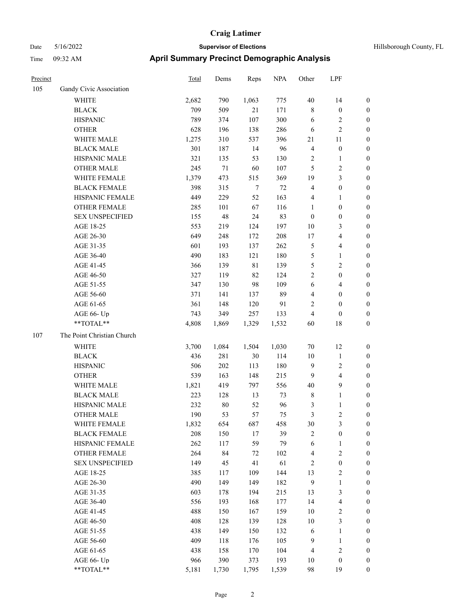| Precinct |                            | <b>Total</b> | Dems   | Reps   | <b>NPA</b> | Other          | LPF                     |                  |
|----------|----------------------------|--------------|--------|--------|------------|----------------|-------------------------|------------------|
| 105      | Gandy Civic Association    |              |        |        |            |                |                         |                  |
|          | <b>WHITE</b>               | 2,682        | 790    | 1,063  | 775        | $40\,$         | 14                      | $\boldsymbol{0}$ |
|          | <b>BLACK</b>               | 709          | 509    | 21     | 171        | $\,$ 8 $\,$    | $\boldsymbol{0}$        | $\boldsymbol{0}$ |
|          | <b>HISPANIC</b>            | 789          | 374    | 107    | 300        | 6              | 2                       | $\boldsymbol{0}$ |
|          | <b>OTHER</b>               | 628          | 196    | 138    | 286        | 6              | $\overline{c}$          | $\boldsymbol{0}$ |
|          | WHITE MALE                 | 1,275        | 310    | 537    | 396        | 21             | 11                      | $\boldsymbol{0}$ |
|          | <b>BLACK MALE</b>          | 301          | 187    | 14     | 96         | $\overline{4}$ | $\boldsymbol{0}$        | $\boldsymbol{0}$ |
|          | HISPANIC MALE              | 321          | 135    | 53     | 130        | $\sqrt{2}$     | 1                       | $\boldsymbol{0}$ |
|          | <b>OTHER MALE</b>          | 245          | $71\,$ | 60     | 107        | 5              | 2                       | $\boldsymbol{0}$ |
|          | WHITE FEMALE               | 1,379        | 473    | 515    | 369        | 19             | 3                       | $\boldsymbol{0}$ |
|          | <b>BLACK FEMALE</b>        | 398          | 315    | $\tau$ | 72         | $\overline{4}$ | $\boldsymbol{0}$        | $\boldsymbol{0}$ |
|          | HISPANIC FEMALE            | 449          | 229    | 52     | 163        | $\overline{4}$ | 1                       | $\boldsymbol{0}$ |
|          | <b>OTHER FEMALE</b>        | 285          | 101    | 67     | 116        | 1              | $\boldsymbol{0}$        | $\boldsymbol{0}$ |
|          | <b>SEX UNSPECIFIED</b>     | 155          | 48     | 24     | 83         | $\mathbf{0}$   | $\boldsymbol{0}$        | $\boldsymbol{0}$ |
|          | AGE 18-25                  | 553          | 219    | 124    | 197        | 10             | 3                       | $\boldsymbol{0}$ |
|          | AGE 26-30                  | 649          | 248    | 172    | 208        | 17             | 4                       | $\boldsymbol{0}$ |
|          | AGE 31-35                  | 601          | 193    | 137    | 262        | $\mathfrak{S}$ | 4                       | $\boldsymbol{0}$ |
|          | AGE 36-40                  | 490          | 183    | 121    | 180        | $\mathfrak{S}$ | 1                       | $\boldsymbol{0}$ |
|          | AGE 41-45                  | 366          | 139    | 81     | 139        | 5              | 2                       | $\boldsymbol{0}$ |
|          | AGE 46-50                  | 327          | 119    | 82     | 124        | $\overline{2}$ | $\boldsymbol{0}$        | $\boldsymbol{0}$ |
|          | AGE 51-55                  | 347          | 130    | 98     | 109        | 6              | 4                       | $\boldsymbol{0}$ |
|          | AGE 56-60                  | 371          | 141    | 137    | 89         | $\overline{4}$ | $\boldsymbol{0}$        | $\boldsymbol{0}$ |
|          | AGE 61-65                  | 361          | 148    | 120    | 91         | $\overline{2}$ | $\theta$                | $\boldsymbol{0}$ |
|          | AGE 66- Up                 | 743          | 349    | 257    | 133        | $\overline{4}$ | $\boldsymbol{0}$        | $\boldsymbol{0}$ |
|          | **TOTAL**                  | 4,808        | 1,869  | 1,329  | 1,532      | 60             | 18                      | $\boldsymbol{0}$ |
| 107      | The Point Christian Church |              |        |        |            |                |                         |                  |
|          | <b>WHITE</b>               | 3,700        | 1,084  | 1,504  | 1,030      | 70             | 12                      | $\boldsymbol{0}$ |
|          | <b>BLACK</b>               | 436          | 281    | $30\,$ | 114        | 10             | $\mathbf{1}$            | $\boldsymbol{0}$ |
|          | <b>HISPANIC</b>            | 506          | 202    | 113    | 180        | 9              | $\overline{\mathbf{c}}$ | $\boldsymbol{0}$ |
|          | <b>OTHER</b>               | 539          | 163    | 148    | 215        | 9              | 4                       | $\boldsymbol{0}$ |
|          | WHITE MALE                 | 1,821        | 419    | 797    | 556        | 40             | 9                       | $\boldsymbol{0}$ |
|          | <b>BLACK MALE</b>          | 223          | 128    | 13     | 73         | $\,$ 8 $\,$    | $\mathbf{1}$            | $\boldsymbol{0}$ |
|          | HISPANIC MALE              | 232          | $80\,$ | 52     | 96         | 3              | 1                       | $\boldsymbol{0}$ |
|          | <b>OTHER MALE</b>          | 190          | 53     | 57     | 75         | 3              | 2                       | $\boldsymbol{0}$ |
|          | WHITE FEMALE               | 1,832        | 654    | 687    | 458        | 30             | 3                       | $\boldsymbol{0}$ |
|          | <b>BLACK FEMALE</b>        | 208          | 150    | 17     | 39         | $\sqrt{2}$     | $\boldsymbol{0}$        | $\boldsymbol{0}$ |
|          | HISPANIC FEMALE            | 262          | 117    | 59     | 79         | 6              | 1                       | $\boldsymbol{0}$ |
|          | <b>OTHER FEMALE</b>        | 264          | 84     | 72     | 102        | $\overline{4}$ | $\overline{\mathbf{c}}$ | $\boldsymbol{0}$ |
|          | <b>SEX UNSPECIFIED</b>     | 149          | 45     | 41     | 61         | $\sqrt{2}$     | $\boldsymbol{0}$        | $\boldsymbol{0}$ |
|          | AGE 18-25                  | 385          | 117    | 109    | 144        | 13             | $\overline{\mathbf{c}}$ | $\boldsymbol{0}$ |
|          | AGE 26-30                  | 490          | 149    | 149    | 182        | $\overline{9}$ | $\mathbf{1}$            | $\boldsymbol{0}$ |
|          | AGE 31-35                  | 603          | 178    | 194    | 215        | 13             | 3                       | $\boldsymbol{0}$ |
|          | AGE 36-40                  | 556          | 193    | 168    | 177        | 14             | 4                       | $\boldsymbol{0}$ |
|          | AGE 41-45                  | 488          | 150    | 167    | 159        | 10             | $\sqrt{2}$              | $\boldsymbol{0}$ |
|          | AGE 46-50                  | 408          | 128    | 139    | 128        | $10\,$         | 3                       | $\boldsymbol{0}$ |
|          | AGE 51-55                  | 438          | 149    | 150    | 132        | 6              | 1                       | $\boldsymbol{0}$ |
|          | AGE 56-60                  | 409          | 118    | 176    | 105        | $\overline{9}$ | $\mathbf{1}$            | $\boldsymbol{0}$ |
|          | AGE 61-65                  | 438          | 158    | 170    | 104        | $\overline{4}$ | $\overline{\mathbf{c}}$ | $\boldsymbol{0}$ |
|          | AGE 66- Up                 | 966          | 390    | 373    | 193        | $10\,$         | $\boldsymbol{0}$        | $\boldsymbol{0}$ |
|          | $**TOTAL**$                | 5,181        | 1,730  | 1,795  | 1,539      | 98             | 19                      | $\boldsymbol{0}$ |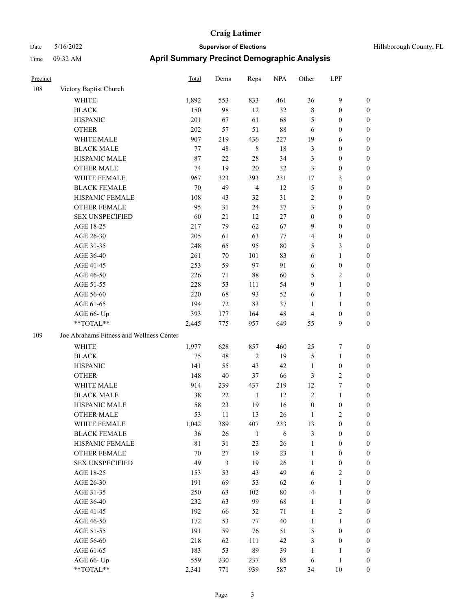| Hillsborough County, FL |  |  |
|-------------------------|--|--|
|-------------------------|--|--|

| Precinct |                                                            | <b>Total</b> | Dems           | Reps           | <b>NPA</b> | Other            | LPF              |                  |  |
|----------|------------------------------------------------------------|--------------|----------------|----------------|------------|------------------|------------------|------------------|--|
| 108      | Victory Baptist Church                                     |              |                |                |            |                  |                  |                  |  |
|          | <b>WHITE</b>                                               | 1,892        | 553            | 833            | 461        | 36               | $\mathbf{9}$     | 0                |  |
|          | <b>BLACK</b>                                               | 150          | 98             | 12             | 32         | $\,$ 8 $\,$      | $\boldsymbol{0}$ | 0                |  |
|          | <b>HISPANIC</b>                                            | 201          | 67             | 61             | 68         | 5                | $\boldsymbol{0}$ | 0                |  |
|          | <b>OTHER</b>                                               | 202          | 57             | 51             | 88         | 6                | $\boldsymbol{0}$ | $\boldsymbol{0}$ |  |
|          | WHITE MALE                                                 | 907          | 219            | 436            | 227        | 19               | 6                | $\boldsymbol{0}$ |  |
|          | <b>BLACK MALE</b>                                          | 77           | 48             | $\,$ 8 $\,$    | 18         | 3                | $\boldsymbol{0}$ | $\boldsymbol{0}$ |  |
|          | HISPANIC MALE                                              | 87           | 22             | 28             | 34         | 3                | $\boldsymbol{0}$ | $\boldsymbol{0}$ |  |
|          | <b>OTHER MALE</b>                                          | 74           | 19             | $20\,$         | 32         | 3                | $\boldsymbol{0}$ | $\boldsymbol{0}$ |  |
|          | WHITE FEMALE                                               | 967          | 323            | 393            | 231        | 17               | $\mathfrak{Z}$   | $\boldsymbol{0}$ |  |
|          | <b>BLACK FEMALE</b>                                        | 70           | 49             | $\overline{4}$ | 12         | 5                | $\boldsymbol{0}$ | 0                |  |
|          | HISPANIC FEMALE                                            | 108          | 43             | 32             | 31         | $\sqrt{2}$       | $\boldsymbol{0}$ | 0                |  |
|          | OTHER FEMALE                                               | 95           | 31             | 24             | 37         | 3                | $\boldsymbol{0}$ | 0                |  |
|          | <b>SEX UNSPECIFIED</b>                                     | 60           | 21             | 12             | $27\,$     | $\boldsymbol{0}$ | $\boldsymbol{0}$ | 0                |  |
|          | AGE 18-25                                                  | 217          | 79             | 62             | 67         | 9                | $\boldsymbol{0}$ | 0                |  |
|          | AGE 26-30                                                  | 205          | 61             | 63             | 77         | 4                | $\boldsymbol{0}$ | $\boldsymbol{0}$ |  |
|          | AGE 31-35                                                  | 248          | 65             | 95             | 80         | 5                | $\mathfrak{Z}$   | 0                |  |
|          | AGE 36-40                                                  | 261          | 70             | 101            | 83         | 6                | $\mathbf{1}$     | $\boldsymbol{0}$ |  |
|          | AGE 41-45                                                  | 253          | 59             | 97             | 91         | 6                | $\boldsymbol{0}$ | 0                |  |
|          | AGE 46-50                                                  | 226          | 71             | 88             | 60         | 5                | $\mathbf{2}$     | 0                |  |
|          | AGE 51-55                                                  | 228          | 53             | 111            | 54         | 9                | $\mathbf{1}$     | 0                |  |
|          | AGE 56-60                                                  | 220          | 68             | 93             | 52         | 6                | $\mathbf{1}$     | 0                |  |
|          | AGE 61-65                                                  | 194          | 72             | 83             | 37         | 1                | $\mathbf{1}$     | 0                |  |
|          | AGE 66- Up                                                 | 393          | 177            | 164            | 48         | 4                | $\boldsymbol{0}$ | 0                |  |
|          | **TOTAL**                                                  | 2,445        | 775            | 957            | 649        | 55               | 9                | $\boldsymbol{0}$ |  |
| 109      | Joe Abrahams Fitness and Wellness Center                   |              |                |                |            |                  |                  |                  |  |
|          | <b>WHITE</b>                                               | 1,977        | 628            | 857            | 460        | 25               | 7                | $\boldsymbol{0}$ |  |
|          | <b>BLACK</b>                                               | 75           | 48             | $\overline{2}$ | 19         | 5                | $\mathbf{1}$     | $\boldsymbol{0}$ |  |
|          | <b>HISPANIC</b>                                            | 141          | 55             | 43             | 42         | $\mathbf{1}$     | $\boldsymbol{0}$ | $\boldsymbol{0}$ |  |
|          | <b>OTHER</b>                                               | 148          | 40             | 37             | 66         | 3                | $\sqrt{2}$       | 0                |  |
|          | WHITE MALE                                                 | 914          | 239            | 437            | 219        | 12               | $\boldsymbol{7}$ | $\boldsymbol{0}$ |  |
|          | <b>BLACK MALE</b>                                          | 38           | 22             | $\mathbf{1}$   | 12         | $\overline{c}$   | $\mathbf{1}$     | $\boldsymbol{0}$ |  |
|          | HISPANIC MALE                                              | 58           | 23             | 19             | 16         | $\boldsymbol{0}$ | $\boldsymbol{0}$ | 0                |  |
|          | <b>OTHER MALE</b>                                          | 53           | 11             | 13             | 26         | 1                | $\overline{c}$   | $\boldsymbol{0}$ |  |
|          | WHITE FEMALE                                               | 1,042        | 389            | 407            | 233        | 13               | $\boldsymbol{0}$ | 0                |  |
|          | <b>BLACK FEMALE</b>                                        | 36           | 26             | $\mathbf{1}$   | 6          | 3                | $\boldsymbol{0}$ | 0                |  |
|          | HISPANIC FEMALE                                            | $8\sqrt{1}$  | 31             | 23             | 26         | $\mathbf{1}$     | $\boldsymbol{0}$ | $\boldsymbol{0}$ |  |
|          | <b>OTHER FEMALE</b>                                        | 70           | 27             | 19             | 23         | $\mathbf{1}$     | $\boldsymbol{0}$ | $\boldsymbol{0}$ |  |
|          | <b>SEX UNSPECIFIED</b>                                     | 49           | $\mathfrak{Z}$ | 19             | 26         | $\mathbf{1}$     | $\boldsymbol{0}$ | 0                |  |
|          | AGE 18-25                                                  | 153          | 53             | 43             | 49         | 6                | $\sqrt{2}$       | 0                |  |
|          | AGE 26-30                                                  | 191          | 69             | 53             | 62         | 6                | $\mathbf{1}$     | 0                |  |
|          | AGE 31-35                                                  | 250          | 63             | 102            | $80\,$     | 4                | $\mathbf{1}$     | 0                |  |
|          | AGE 36-40                                                  | 232          | 63             | 99             | 68         | $\mathbf{1}$     | $\mathbf{1}$     | 0                |  |
|          | AGE 41-45                                                  | 192          | 66             | 52             | 71         | $\mathbf{1}$     | $\sqrt{2}$       | 0                |  |
|          | AGE 46-50                                                  | 172          | 53             | $77\,$         | $40\,$     | $\mathbf{1}$     | $\mathbf{1}$     | 0                |  |
|          | AGE 51-55                                                  | 191          | 59             | 76             | 51         | 5                | $\boldsymbol{0}$ | $\boldsymbol{0}$ |  |
|          | AGE 56-60                                                  | 218          | 62             | 111            | 42         | 3                | $\boldsymbol{0}$ | 0                |  |
|          | AGE 61-65                                                  | 183          | 53             | 89             | 39         | $\mathbf{1}$     | $\mathbf{1}$     | $\boldsymbol{0}$ |  |
|          | AGE 66- Up                                                 | 559          | 230            | 237            | 85         | 6                | $\mathbf{1}$     | $\boldsymbol{0}$ |  |
|          | $\mathrm{*}\mathrm{*} \mathrm{TOTAL} \mathrm{*}\mathrm{*}$ | 2,341        | 771            | 939            | 587        | 34               | $10\,$           | $\overline{0}$   |  |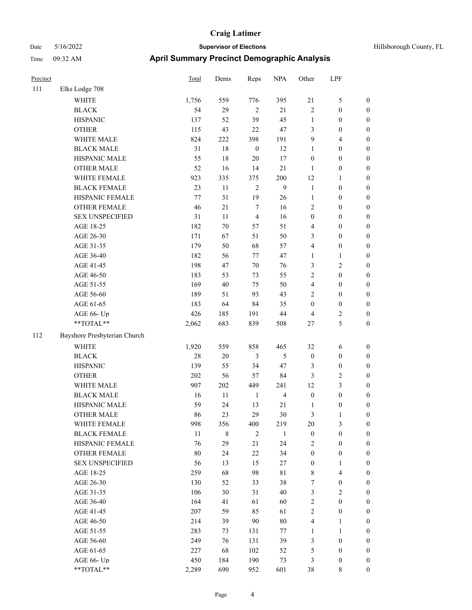| Hillsborough County, FL |  |  |
|-------------------------|--|--|
|-------------------------|--|--|

| Precinct |                              | Total  | Dems      | Reps             | <b>NPA</b>              | Other            | LPF                     |                  |
|----------|------------------------------|--------|-----------|------------------|-------------------------|------------------|-------------------------|------------------|
| 111      | Elks Lodge 708               |        |           |                  |                         |                  |                         |                  |
|          | WHITE                        | 1,756  | 559       | 776              | 395                     | 21               | $\mathfrak s$           | $\boldsymbol{0}$ |
|          | <b>BLACK</b>                 | 54     | 29        | $\sqrt{2}$       | $21\,$                  | $\overline{c}$   | $\boldsymbol{0}$        | $\boldsymbol{0}$ |
|          | <b>HISPANIC</b>              | 137    | 52        | 39               | 45                      | $\mathbf{1}$     | $\boldsymbol{0}$        | $\boldsymbol{0}$ |
|          | <b>OTHER</b>                 | 115    | 43        | 22               | 47                      | 3                | $\boldsymbol{0}$        | $\boldsymbol{0}$ |
|          | WHITE MALE                   | 824    | 222       | 398              | 191                     | $\overline{9}$   | $\overline{4}$          | 0                |
|          | <b>BLACK MALE</b>            | 31     | 18        | $\boldsymbol{0}$ | 12                      | $\mathbf{1}$     | $\boldsymbol{0}$        | $\boldsymbol{0}$ |
|          | HISPANIC MALE                | 55     | 18        | $20\,$           | 17                      | $\boldsymbol{0}$ | $\boldsymbol{0}$        | $\boldsymbol{0}$ |
|          | <b>OTHER MALE</b>            | 52     | 16        | 14               | 21                      | 1                | $\boldsymbol{0}$        | $\boldsymbol{0}$ |
|          | WHITE FEMALE                 | 923    | 335       | 375              | 200                     | 12               | $\mathbf{1}$            | $\boldsymbol{0}$ |
|          | <b>BLACK FEMALE</b>          | 23     | 11        | $\overline{2}$   | 9                       | $\mathbf{1}$     | $\boldsymbol{0}$        | $\boldsymbol{0}$ |
|          | HISPANIC FEMALE              | 77     | 31        | 19               | 26                      | $\mathbf{1}$     | $\boldsymbol{0}$        | $\boldsymbol{0}$ |
|          | OTHER FEMALE                 | 46     | 21        | $\tau$           | 16                      | 2                | $\boldsymbol{0}$        | $\boldsymbol{0}$ |
|          | <b>SEX UNSPECIFIED</b>       | 31     | $11\,$    | $\overline{4}$   | 16                      | $\boldsymbol{0}$ | $\boldsymbol{0}$        | $\boldsymbol{0}$ |
|          | AGE 18-25                    | 182    | 70        | 57               | 51                      | 4                | $\boldsymbol{0}$        | $\boldsymbol{0}$ |
|          | AGE 26-30                    | 171    | 67        | 51               | 50                      | 3                | $\boldsymbol{0}$        | 0                |
|          | AGE 31-35                    | 179    | 50        | 68               | 57                      | 4                | $\boldsymbol{0}$        | 0                |
|          | AGE 36-40                    | 182    | 56        | 77               | 47                      | 1                | $\mathbf{1}$            | $\boldsymbol{0}$ |
|          | AGE 41-45                    | 198    | 47        | 70               | 76                      | 3                | $\sqrt{2}$              | $\boldsymbol{0}$ |
|          | AGE 46-50                    | 183    | 53        | 73               | 55                      | $\overline{c}$   | $\boldsymbol{0}$        | $\boldsymbol{0}$ |
|          | AGE 51-55                    | 169    | 40        | 75               | 50                      | 4                | $\boldsymbol{0}$        | $\boldsymbol{0}$ |
|          | AGE 56-60                    | 189    | 51        | 93               | 43                      | $\overline{c}$   | $\boldsymbol{0}$        | $\boldsymbol{0}$ |
|          | AGE 61-65                    | 183    | 64        | 84               | 35                      | $\boldsymbol{0}$ | $\boldsymbol{0}$        | $\boldsymbol{0}$ |
|          | AGE 66- Up                   | 426    | 185       | 191              | 44                      | 4                | $\sqrt{2}$              | $\boldsymbol{0}$ |
|          | **TOTAL**                    | 2,062  | 683       | 839              | 508                     | 27               | 5                       | $\boldsymbol{0}$ |
| 112      | Bayshore Presbyterian Church |        |           |                  |                         |                  |                         |                  |
|          | WHITE                        | 1,920  | 559       | 858              | 465                     | 32               | 6                       | $\boldsymbol{0}$ |
|          | <b>BLACK</b>                 | 28     | $20\,$    | 3                | 5                       | $\boldsymbol{0}$ | $\boldsymbol{0}$        | $\boldsymbol{0}$ |
|          | <b>HISPANIC</b>              | 139    | 55        | 34               | 47                      | 3                | $\boldsymbol{0}$        | 0                |
|          | <b>OTHER</b>                 | 202    | 56        | 57               | 84                      | 3                | $\sqrt{2}$              | $\boldsymbol{0}$ |
|          | WHITE MALE                   | 907    | 202       | 449              | 241                     | 12               | $\mathfrak{Z}$          | $\boldsymbol{0}$ |
|          | <b>BLACK MALE</b>            | 16     | 11        | 1                | $\overline{\mathbf{4}}$ | $\boldsymbol{0}$ | $\boldsymbol{0}$        | $\boldsymbol{0}$ |
|          | HISPANIC MALE                | 59     | 24        | 13               | 21                      | $\mathbf{1}$     | $\boldsymbol{0}$        | $\boldsymbol{0}$ |
|          | <b>OTHER MALE</b>            | 86     | 23        | 29               | 30                      | 3                | $\mathbf{1}$            | $\boldsymbol{0}$ |
|          | WHITE FEMALE                 | 998    | 356       | 400              | 219                     | 20               | $\mathfrak{Z}$          | $\overline{0}$   |
|          | <b>BLACK FEMALE</b>          | $11\,$ | $\,$ $\,$ | $\sqrt{2}$       | $\mathbf{1}$            | $\boldsymbol{0}$ | $\boldsymbol{0}$        | 0                |
|          | HISPANIC FEMALE              | 76     | 29        | 21               | 24                      | 2                | $\boldsymbol{0}$        | 0                |
|          | <b>OTHER FEMALE</b>          | 80     | 24        | $22\,$           | 34                      | $\boldsymbol{0}$ | $\boldsymbol{0}$        | 0                |
|          | <b>SEX UNSPECIFIED</b>       | 56     | 13        | 15               | 27                      | $\boldsymbol{0}$ | $\mathbf{1}$            | 0                |
|          | AGE 18-25                    | 259    | 68        | 98               | $8\sqrt{1}$             | 8                | $\overline{\mathbf{4}}$ | $\overline{0}$   |
|          | AGE 26-30                    | 130    | 52        | 33               | 38                      | 7                | $\boldsymbol{0}$        | $\boldsymbol{0}$ |
|          | AGE 31-35                    | 106    | 30        | 31               | $40\,$                  | 3                | $\sqrt{2}$              | $\boldsymbol{0}$ |
|          | AGE 36-40                    | 164    | 41        | 61               | 60                      | 2                | $\boldsymbol{0}$        | $\overline{0}$   |
|          | AGE 41-45                    | 207    | 59        | 85               | 61                      | $\sqrt{2}$       | $\boldsymbol{0}$        | $\boldsymbol{0}$ |
|          | AGE 46-50                    | 214    | 39        | $90\,$           | $80\,$                  | 4                | $\mathbf{1}$            | $\overline{0}$   |
|          | AGE 51-55                    | 283    | 73        | 131              | 77                      | $\mathbf{1}$     | $\mathbf{1}$            | $\overline{0}$   |
|          | AGE 56-60                    | 249    | 76        | 131              | 39                      | $\mathfrak{Z}$   | $\boldsymbol{0}$        | $\boldsymbol{0}$ |
|          | AGE 61-65                    | 227    | 68        | 102              | 52                      | $\mathfrak s$    | $\boldsymbol{0}$        | 0                |
|          | AGE 66- Up                   | 450    | 184       | 190              | 73                      | 3                | $\boldsymbol{0}$        | 0                |
|          | $**TOTAL**$                  | 2,289  | 690       | 952              | 601                     | 38               | $8\,$                   | $\boldsymbol{0}$ |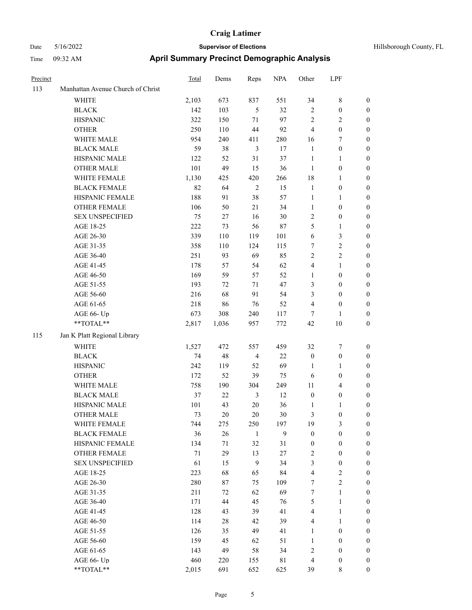| Precinct |                                   | <b>Total</b> | Dems   | Reps           | <b>NPA</b>  | Other            | LPF              |                  |
|----------|-----------------------------------|--------------|--------|----------------|-------------|------------------|------------------|------------------|
| 113      | Manhattan Avenue Church of Christ |              |        |                |             |                  |                  |                  |
|          | <b>WHITE</b>                      | 2,103        | 673    | 837            | 551         | 34               | 8                | $\mathbf{0}$     |
|          | <b>BLACK</b>                      | 142          | 103    | $\mathfrak{H}$ | 32          | $\sqrt{2}$       | $\boldsymbol{0}$ | $\boldsymbol{0}$ |
|          | <b>HISPANIC</b>                   | 322          | 150    | 71             | 97          | $\sqrt{2}$       | 2                | $\boldsymbol{0}$ |
|          | <b>OTHER</b>                      | 250          | 110    | 44             | 92          | $\overline{4}$   | $\boldsymbol{0}$ | $\boldsymbol{0}$ |
|          | WHITE MALE                        | 954          | 240    | 411            | 280         | 16               | 7                | $\boldsymbol{0}$ |
|          | <b>BLACK MALE</b>                 | 59           | 38     | $\mathfrak{Z}$ | 17          | $\mathbf{1}$     | $\boldsymbol{0}$ | $\boldsymbol{0}$ |
|          | HISPANIC MALE                     | 122          | 52     | 31             | 37          | $\mathbf{1}$     | 1                | $\boldsymbol{0}$ |
|          | <b>OTHER MALE</b>                 | 101          | 49     | 15             | 36          | $\mathbf{1}$     | $\boldsymbol{0}$ | $\boldsymbol{0}$ |
|          | WHITE FEMALE                      | 1,130        | 425    | 420            | 266         | 18               | 1                | $\boldsymbol{0}$ |
|          | <b>BLACK FEMALE</b>               | 82           | 64     | $\overline{2}$ | 15          | $\mathbf{1}$     | $\boldsymbol{0}$ | $\boldsymbol{0}$ |
|          | HISPANIC FEMALE                   | 188          | 91     | 38             | 57          | $\mathbf{1}$     | 1                | $\boldsymbol{0}$ |
|          | <b>OTHER FEMALE</b>               | 106          | 50     | 21             | 34          | $\mathbf{1}$     | $\boldsymbol{0}$ | $\boldsymbol{0}$ |
|          | <b>SEX UNSPECIFIED</b>            | 75           | 27     | 16             | 30          | $\sqrt{2}$       | $\boldsymbol{0}$ | $\boldsymbol{0}$ |
|          | AGE 18-25                         | 222          | 73     | 56             | $87\,$      | 5                | 1                | $\boldsymbol{0}$ |
|          | AGE 26-30                         | 339          | 110    | 119            | 101         | 6                | 3                | $\boldsymbol{0}$ |
|          | AGE 31-35                         | 358          | 110    | 124            | 115         | $\tau$           | 2                | $\boldsymbol{0}$ |
|          | AGE 36-40                         | 251          | 93     | 69             | 85          | $\sqrt{2}$       | 2                | $\boldsymbol{0}$ |
|          | AGE 41-45                         | 178          | 57     | 54             | 62          | $\overline{4}$   | 1                | $\boldsymbol{0}$ |
|          | AGE 46-50                         | 169          | 59     | 57             | 52          | $\mathbf{1}$     | $\boldsymbol{0}$ | $\boldsymbol{0}$ |
|          | AGE 51-55                         | 193          | 72     | 71             | 47          | 3                | $\boldsymbol{0}$ | $\boldsymbol{0}$ |
|          | AGE 56-60                         | 216          | 68     | 91             | 54          | 3                | $\boldsymbol{0}$ | $\boldsymbol{0}$ |
|          | AGE 61-65                         | 218          | 86     | 76             | 52          | $\overline{4}$   | $\boldsymbol{0}$ | $\boldsymbol{0}$ |
|          | AGE 66- Up                        | 673          | 308    | 240            | 117         | $\tau$           | 1                | $\boldsymbol{0}$ |
|          | **TOTAL**                         | 2,817        | 1,036  | 957            | 772         | 42               | 10               | $\boldsymbol{0}$ |
| 115      | Jan K Platt Regional Library      |              |        |                |             |                  |                  |                  |
|          | <b>WHITE</b>                      | 1,527        | 472    | 557            | 459         | 32               | 7                | $\boldsymbol{0}$ |
|          | <b>BLACK</b>                      | 74           | 48     | $\overline{4}$ | 22          | $\boldsymbol{0}$ | $\boldsymbol{0}$ | $\boldsymbol{0}$ |
|          | <b>HISPANIC</b>                   | 242          | 119    | 52             | 69          | 1                | 1                | $\boldsymbol{0}$ |
|          | <b>OTHER</b>                      | 172          | 52     | 39             | 75          | 6                | $\boldsymbol{0}$ | $\boldsymbol{0}$ |
|          | WHITE MALE                        | 758          | 190    | 304            | 249         | 11               | 4                | $\boldsymbol{0}$ |
|          | <b>BLACK MALE</b>                 | 37           | 22     | 3              | 12          | $\boldsymbol{0}$ | $\boldsymbol{0}$ | $\boldsymbol{0}$ |
|          | HISPANIC MALE                     | 101          | 43     | 20             | 36          | 1                | 1                | $\boldsymbol{0}$ |
|          | <b>OTHER MALE</b>                 | 73           | $20\,$ | 20             | 30          | 3                | $\boldsymbol{0}$ | $\boldsymbol{0}$ |
|          | WHITE FEMALE                      | 744          | 275    | 250            | 197         | 19               | 3                | $\mathbf{0}$     |
|          | <b>BLACK FEMALE</b>               | 36           | 26     | $\mathbf{1}$   | 9           | $\boldsymbol{0}$ | $\boldsymbol{0}$ | $\boldsymbol{0}$ |
|          | HISPANIC FEMALE                   | 134          | 71     | 32             | 31          | $\boldsymbol{0}$ | $\boldsymbol{0}$ | $\boldsymbol{0}$ |
|          | OTHER FEMALE                      | $71\,$       | 29     | 13             | $27\,$      | $\overline{2}$   | $\boldsymbol{0}$ | $\boldsymbol{0}$ |
|          | <b>SEX UNSPECIFIED</b>            | 61           | 15     | 9              | 34          | $\mathfrak{Z}$   | $\boldsymbol{0}$ | $\boldsymbol{0}$ |
|          | AGE 18-25                         | 223          | 68     | 65             | 84          | $\overline{4}$   | $\sqrt{2}$       | $\boldsymbol{0}$ |
|          | AGE 26-30                         | 280          | $87\,$ | 75             | 109         | $\boldsymbol{7}$ | $\mathbf{2}$     | $\boldsymbol{0}$ |
|          | AGE 31-35                         | 211          | 72     | 62             | 69          | $\boldsymbol{7}$ | $\mathbf{1}$     | $\boldsymbol{0}$ |
|          | AGE 36-40                         | 171          | 44     | 45             | 76          | $\mathfrak{S}$   | 1                | $\boldsymbol{0}$ |
|          | AGE 41-45                         | 128          | 43     | 39             | 41          | $\overline{4}$   | 1                | $\boldsymbol{0}$ |
|          | AGE 46-50                         | 114          | 28     | 42             | 39          | $\overline{4}$   | 1                | $\boldsymbol{0}$ |
|          | AGE 51-55                         | 126          | 35     | 49             | 41          | $\mathbf{1}$     | $\boldsymbol{0}$ | $\boldsymbol{0}$ |
|          | AGE 56-60                         | 159          | 45     | 62             | 51          | $\mathbf{1}$     | $\boldsymbol{0}$ | $\boldsymbol{0}$ |
|          | AGE 61-65                         | 143          | 49     | 58             | 34          | $\sqrt{2}$       | $\boldsymbol{0}$ | $\boldsymbol{0}$ |
|          | AGE 66- Up                        | 460          | 220    | 155            | $8\sqrt{1}$ | $\overline{4}$   | $\boldsymbol{0}$ | $\boldsymbol{0}$ |
|          | **TOTAL**                         | 2,015        | 691    | 652            | 625         | 39               | $8\,$            | $\boldsymbol{0}$ |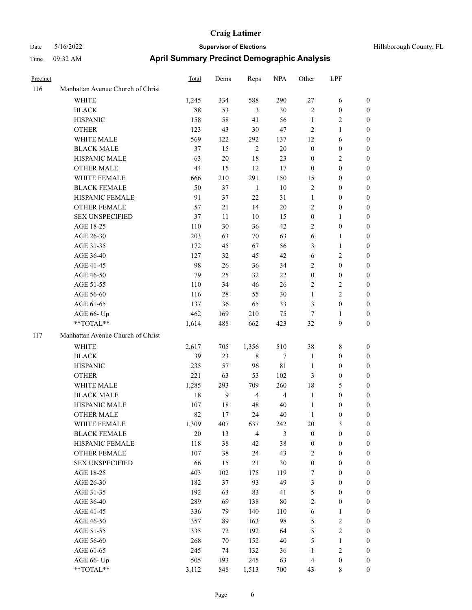| Hillsborough County, FL |  |  |
|-------------------------|--|--|
|-------------------------|--|--|

| Precinct |                                   | <b>Total</b> | Dems   | Reps           | <b>NPA</b>     | Other                   | LPF              |                  |
|----------|-----------------------------------|--------------|--------|----------------|----------------|-------------------------|------------------|------------------|
| 116      | Manhattan Avenue Church of Christ |              |        |                |                |                         |                  |                  |
|          | <b>WHITE</b>                      | 1,245        | 334    | 588            | 290            | $27\,$                  | 6                | $\boldsymbol{0}$ |
|          | <b>BLACK</b>                      | 88           | 53     | $\mathfrak{Z}$ | 30             | 2                       | $\boldsymbol{0}$ | $\boldsymbol{0}$ |
|          | <b>HISPANIC</b>                   | 158          | 58     | 41             | 56             | $\mathbf{1}$            | $\overline{2}$   | $\boldsymbol{0}$ |
|          | <b>OTHER</b>                      | 123          | 43     | 30             | 47             | $\mathbf{2}$            | $\mathbf{1}$     | $\boldsymbol{0}$ |
|          | WHITE MALE                        | 569          | 122    | 292            | 137            | 12                      | 6                | 0                |
|          | <b>BLACK MALE</b>                 | 37           | 15     | $\overline{2}$ | 20             | $\boldsymbol{0}$        | $\boldsymbol{0}$ | 0                |
|          | HISPANIC MALE                     | 63           | $20\,$ | $18\,$         | 23             | $\boldsymbol{0}$        | $\overline{2}$   | 0                |
|          | <b>OTHER MALE</b>                 | 44           | 15     | 12             | 17             | $\boldsymbol{0}$        | $\boldsymbol{0}$ | $\boldsymbol{0}$ |
|          | WHITE FEMALE                      | 666          | 210    | 291            | 150            | 15                      | $\boldsymbol{0}$ | $\boldsymbol{0}$ |
|          | <b>BLACK FEMALE</b>               | 50           | 37     | $\mathbf{1}$   | $10\,$         | 2                       | $\boldsymbol{0}$ | $\boldsymbol{0}$ |
|          | HISPANIC FEMALE                   | 91           | 37     | 22             | 31             | $\mathbf{1}$            | $\boldsymbol{0}$ | $\boldsymbol{0}$ |
|          | OTHER FEMALE                      | 57           | 21     | 14             | $20\,$         | 2                       | $\boldsymbol{0}$ | $\boldsymbol{0}$ |
|          | <b>SEX UNSPECIFIED</b>            | 37           | 11     | $10\,$         | 15             | $\boldsymbol{0}$        | $\mathbf{1}$     | $\overline{0}$   |
|          | AGE 18-25                         | 110          | 30     | 36             | 42             | $\overline{2}$          | $\boldsymbol{0}$ | 0                |
|          | AGE 26-30                         | 203          | 63     | 70             | 63             | 6                       | $\mathbf{1}$     | 0                |
|          | AGE 31-35                         | 172          | 45     | 67             | 56             | 3                       | $\mathbf{1}$     | 0                |
|          | AGE 36-40                         | 127          | 32     | 45             | 42             | 6                       | $\sqrt{2}$       | 0                |
|          | AGE 41-45                         | 98           | 26     | 36             | 34             | $\overline{2}$          | $\boldsymbol{0}$ | $\boldsymbol{0}$ |
|          | AGE 46-50                         | 79           | 25     | 32             | 22             | $\boldsymbol{0}$        | $\boldsymbol{0}$ | $\boldsymbol{0}$ |
|          | AGE 51-55                         | 110          | 34     | 46             | 26             | 2                       | $\sqrt{2}$       | $\boldsymbol{0}$ |
|          | AGE 56-60                         | 116          | $28\,$ | 55             | $30\,$         | $\mathbf{1}$            | $\sqrt{2}$       | 0                |
|          | AGE 61-65                         | 137          | 36     | 65             | 33             | 3                       | $\boldsymbol{0}$ | $\boldsymbol{0}$ |
|          | AGE 66- Up                        | 462          | 169    | 210            | 75             | $\tau$                  | $\mathbf{1}$     | $\boldsymbol{0}$ |
|          | **TOTAL**                         | 1,614        | 488    | 662            | 423            | 32                      | $\mathbf{9}$     | $\boldsymbol{0}$ |
| 117      | Manhattan Avenue Church of Christ |              |        |                |                |                         |                  |                  |
|          | <b>WHITE</b>                      | 2,617        | 705    | 1,356          | 510            | 38                      | $\,$ 8 $\,$      | $\boldsymbol{0}$ |
|          | <b>BLACK</b>                      | 39           | 23     | 8              | 7              | $\mathbf{1}$            | $\boldsymbol{0}$ | 0                |
|          | <b>HISPANIC</b>                   | 235          | 57     | 96             | $8\sqrt{1}$    | $\mathbf{1}$            | $\boldsymbol{0}$ | 0                |
|          | <b>OTHER</b>                      | 221          | 63     | 53             | 102            | 3                       | $\boldsymbol{0}$ | 0                |
|          | WHITE MALE                        | 1,285        | 293    | 709            | 260            | 18                      | 5                | $\boldsymbol{0}$ |
|          | <b>BLACK MALE</b>                 | 18           | 9      | $\overline{4}$ | $\overline{4}$ | $\mathbf{1}$            | $\boldsymbol{0}$ | $\boldsymbol{0}$ |
|          | HISPANIC MALE                     | 107          | 18     | 48             | 40             | $\mathbf{1}$            | $\boldsymbol{0}$ | $\boldsymbol{0}$ |
|          | <b>OTHER MALE</b>                 | 82           | 17     | 24             | 40             | $\mathbf{1}$            | $\boldsymbol{0}$ | $\boldsymbol{0}$ |
|          | WHITE FEMALE                      | 1,309        | 407    | 637            | 242            | $20\,$                  | $\mathfrak{Z}$   | $\overline{0}$   |
|          | <b>BLACK FEMALE</b>               | $20\,$       | 13     | $\overline{4}$ | $\mathfrak{Z}$ | $\boldsymbol{0}$        | $\boldsymbol{0}$ | 0                |
|          | HISPANIC FEMALE                   | 118          | 38     | 42             | $38\,$         | $\boldsymbol{0}$        | $\boldsymbol{0}$ | 0                |
|          | <b>OTHER FEMALE</b>               | 107          | 38     | 24             | 43             | 2                       | $\boldsymbol{0}$ | 0                |
|          | <b>SEX UNSPECIFIED</b>            | 66           | 15     | 21             | $30\,$         | $\boldsymbol{0}$        | $\boldsymbol{0}$ | 0                |
|          | AGE 18-25                         | 403          | 102    | 175            | 119            | $\boldsymbol{7}$        | $\boldsymbol{0}$ | 0                |
|          | AGE 26-30                         | 182          | 37     | 93             | 49             | 3                       | $\boldsymbol{0}$ | $\boldsymbol{0}$ |
|          | AGE 31-35                         | 192          | 63     | 83             | 41             | 5                       | $\boldsymbol{0}$ | $\boldsymbol{0}$ |
|          | AGE 36-40                         | 289          | 69     | 138            | $80\,$         | 2                       | $\boldsymbol{0}$ | $\boldsymbol{0}$ |
|          | AGE 41-45                         | 336          | 79     | 140            | 110            | 6                       | $\mathbf{1}$     | 0                |
|          | AGE 46-50                         | 357          | 89     | 163            | 98             | 5                       | $\sqrt{2}$       | 0                |
|          | AGE 51-55                         | 335          | 72     | 192            | 64             | 5                       | $\sqrt{2}$       | $\overline{0}$   |
|          | AGE 56-60                         | 268          | 70     | 152            | $40\,$         | 5                       | $\mathbf{1}$     | $\overline{0}$   |
|          | AGE 61-65                         | 245          | 74     | 132            | 36             | $\mathbf{1}$            | $\sqrt{2}$       | 0                |
|          | AGE 66- Up                        | 505          | 193    | 245            | 63             | $\overline{\mathbf{4}}$ | $\boldsymbol{0}$ | 0                |
|          | **TOTAL**                         | 3,112        | 848    | 1,513          | 700            | 43                      | $8\,$            | $\boldsymbol{0}$ |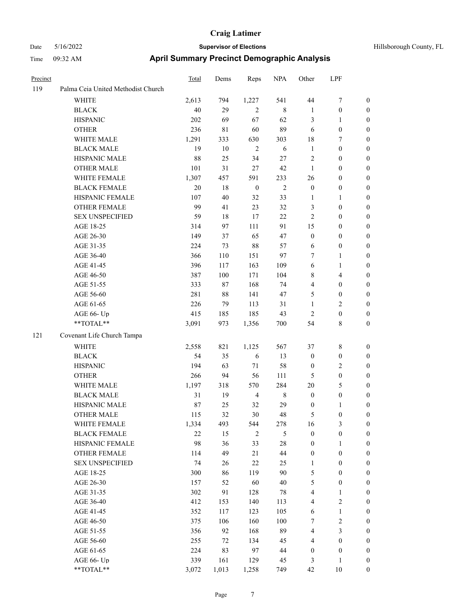| Precinct |                                    | <b>Total</b> | Dems   | Reps             | <b>NPA</b>     | Other            | LPF                     |                  |
|----------|------------------------------------|--------------|--------|------------------|----------------|------------------|-------------------------|------------------|
| 119      | Palma Ceia United Methodist Church |              |        |                  |                |                  |                         |                  |
|          | WHITE                              | 2,613        | 794    | 1,227            | 541            | 44               | 7                       | $\mathbf{0}$     |
|          | <b>BLACK</b>                       | 40           | 29     | 2                | 8              | 1                | $\boldsymbol{0}$        | $\boldsymbol{0}$ |
|          | <b>HISPANIC</b>                    | 202          | 69     | 67               | 62             | $\mathfrak{Z}$   | 1                       | $\boldsymbol{0}$ |
|          | <b>OTHER</b>                       | 236          | 81     | 60               | 89             | 6                | $\boldsymbol{0}$        | $\boldsymbol{0}$ |
|          | WHITE MALE                         | 1,291        | 333    | 630              | 303            | 18               | 7                       | $\boldsymbol{0}$ |
|          | <b>BLACK MALE</b>                  | 19           | $10\,$ | $\overline{2}$   | 6              | $\mathbf{1}$     | $\boldsymbol{0}$        | $\boldsymbol{0}$ |
|          | HISPANIC MALE                      | 88           | 25     | 34               | $27\,$         | $\overline{2}$   | $\boldsymbol{0}$        | $\boldsymbol{0}$ |
|          | <b>OTHER MALE</b>                  | 101          | 31     | 27               | 42             | $\mathbf{1}$     | $\boldsymbol{0}$        | $\boldsymbol{0}$ |
|          | WHITE FEMALE                       | 1,307        | 457    | 591              | 233            | 26               | $\boldsymbol{0}$        | $\boldsymbol{0}$ |
|          | <b>BLACK FEMALE</b>                | 20           | 18     | $\boldsymbol{0}$ | $\overline{2}$ | $\boldsymbol{0}$ | $\boldsymbol{0}$        | $\boldsymbol{0}$ |
|          | HISPANIC FEMALE                    | 107          | 40     | 32               | 33             | $\mathbf{1}$     | 1                       | $\boldsymbol{0}$ |
|          | <b>OTHER FEMALE</b>                | 99           | 41     | 23               | 32             | $\mathfrak{Z}$   | $\boldsymbol{0}$        | $\boldsymbol{0}$ |
|          | <b>SEX UNSPECIFIED</b>             | 59           | 18     | 17               | 22             | $\overline{2}$   | $\boldsymbol{0}$        | $\boldsymbol{0}$ |
|          | AGE 18-25                          | 314          | 97     | 111              | 91             | 15               | $\boldsymbol{0}$        | $\boldsymbol{0}$ |
|          | AGE 26-30                          | 149          | 37     | 65               | 47             | $\boldsymbol{0}$ | $\boldsymbol{0}$        | $\boldsymbol{0}$ |
|          | AGE 31-35                          | 224          | 73     | 88               | 57             | 6                | $\boldsymbol{0}$        | $\boldsymbol{0}$ |
|          | AGE 36-40                          | 366          | 110    | 151              | 97             | 7                | 1                       | $\boldsymbol{0}$ |
|          | AGE 41-45                          | 396          | 117    | 163              | 109            | 6                | 1                       | $\boldsymbol{0}$ |
|          | AGE 46-50                          | 387          | 100    | 171              | 104            | $\,8\,$          | 4                       | $\boldsymbol{0}$ |
|          | AGE 51-55                          | 333          | 87     | 168              | 74             | $\overline{4}$   | $\boldsymbol{0}$        | $\boldsymbol{0}$ |
|          | AGE 56-60                          | 281          | $88\,$ | 141              | 47             | 5                | $\boldsymbol{0}$        | $\boldsymbol{0}$ |
|          | AGE 61-65                          | 226          | 79     | 113              | 31             | 1                | 2                       | $\boldsymbol{0}$ |
|          | AGE 66- Up                         | 415          | 185    | 185              | 43             | $\overline{2}$   | $\boldsymbol{0}$        | $\boldsymbol{0}$ |
|          | **TOTAL**                          | 3,091        | 973    | 1,356            | 700            | 54               | 8                       | $\boldsymbol{0}$ |
| 121      | Covenant Life Church Tampa         |              |        |                  |                |                  |                         |                  |
|          | <b>WHITE</b>                       | 2,558        | 821    | 1,125            | 567            | 37               | 8                       | $\boldsymbol{0}$ |
|          | <b>BLACK</b>                       | 54           | 35     | 6                | 13             | $\boldsymbol{0}$ | $\boldsymbol{0}$        | $\boldsymbol{0}$ |
|          | <b>HISPANIC</b>                    | 194          | 63     | 71               | 58             | $\boldsymbol{0}$ | 2                       | $\boldsymbol{0}$ |
|          | <b>OTHER</b>                       | 266          | 94     | 56               | 111            | 5                | $\boldsymbol{0}$        | $\boldsymbol{0}$ |
|          | WHITE MALE                         | 1,197        | 318    | 570              | 284            | 20               | 5                       | $\boldsymbol{0}$ |
|          | <b>BLACK MALE</b>                  | 31           | 19     | $\overline{4}$   | 8              | $\boldsymbol{0}$ | $\boldsymbol{0}$        | $\boldsymbol{0}$ |
|          | HISPANIC MALE                      | 87           | 25     | 32               | 29             | $\boldsymbol{0}$ | 1                       | $\boldsymbol{0}$ |
|          | <b>OTHER MALE</b>                  | 115          | 32     | 30               | 48             | 5                | $\boldsymbol{0}$        | $\boldsymbol{0}$ |
|          | WHITE FEMALE                       | 1,334        | 493    | 544              | 278            | 16               | 3                       | $\mathbf{0}$     |
|          | <b>BLACK FEMALE</b>                | 22           | 15     | $\overline{c}$   | 5              | $\boldsymbol{0}$ | $\boldsymbol{0}$        | $\boldsymbol{0}$ |
|          | HISPANIC FEMALE                    | 98           | 36     | 33               | $28\,$         | $\boldsymbol{0}$ | 1                       | $\boldsymbol{0}$ |
|          | OTHER FEMALE                       | 114          | 49     | 21               | 44             | $\boldsymbol{0}$ | $\boldsymbol{0}$        | $\boldsymbol{0}$ |
|          | <b>SEX UNSPECIFIED</b>             | 74           | 26     | $22\,$           | 25             | $\mathbf{1}$     | $\boldsymbol{0}$        | $\boldsymbol{0}$ |
|          | AGE 18-25                          | 300          | 86     | 119              | 90             | $\sqrt{5}$       | $\boldsymbol{0}$        | $\boldsymbol{0}$ |
|          | AGE 26-30                          | 157          | 52     | 60               | $40\,$         | $\mathfrak{S}$   | $\boldsymbol{0}$        | $\boldsymbol{0}$ |
|          | AGE 31-35                          | 302          | 91     | 128              | 78             | $\overline{4}$   | 1                       | $\boldsymbol{0}$ |
|          | AGE 36-40                          | 412          | 153    | 140              | 113            | $\overline{4}$   | $\overline{\mathbf{c}}$ | $\boldsymbol{0}$ |
|          | AGE 41-45                          | 352          | 117    | 123              | 105            | 6                | $\mathbf{1}$            | $\boldsymbol{0}$ |
|          | AGE 46-50                          | 375          | 106    | 160              | 100            | $\boldsymbol{7}$ | $\sqrt{2}$              | $\boldsymbol{0}$ |
|          | AGE 51-55                          | 356          | 92     | 168              | 89             | $\overline{4}$   | $\mathfrak{Z}$          | $\boldsymbol{0}$ |
|          | AGE 56-60                          | 255          | $72\,$ | 134              | 45             | $\overline{4}$   | $\boldsymbol{0}$        | $\boldsymbol{0}$ |
|          | AGE 61-65                          | 224          | 83     | 97               | $44\,$         | $\boldsymbol{0}$ | $\boldsymbol{0}$        | $\boldsymbol{0}$ |
|          | AGE 66- Up                         | 339          | 161    | 129              | 45             | 3                | 1                       | $\boldsymbol{0}$ |
|          | **TOTAL**                          | 3,072        | 1,013  | 1,258            | 749            | 42               | $10\,$                  | $\boldsymbol{0}$ |
|          |                                    |              |        |                  |                |                  |                         |                  |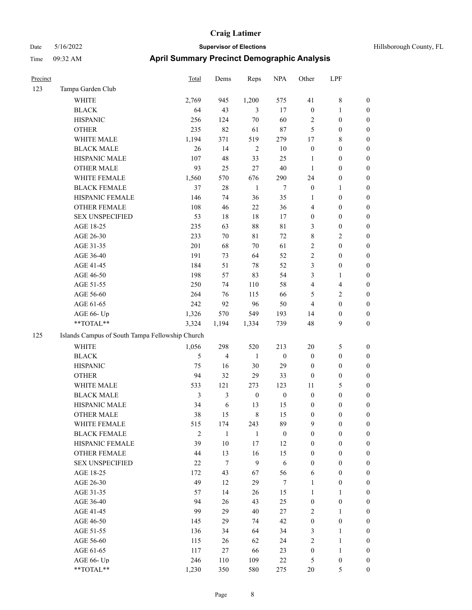| Precinct |                                                 | Total          | Dems             | Reps             | <b>NPA</b>       | Other            | LPF                     |                  |
|----------|-------------------------------------------------|----------------|------------------|------------------|------------------|------------------|-------------------------|------------------|
| 123      | Tampa Garden Club                               |                |                  |                  |                  |                  |                         |                  |
|          | WHITE                                           | 2,769          | 945              | 1,200            | 575              | 41               | $\,8\,$                 | $\boldsymbol{0}$ |
|          | <b>BLACK</b>                                    | 64             | 43               | 3                | 17               | $\boldsymbol{0}$ | $\mathbf{1}$            | $\boldsymbol{0}$ |
|          | <b>HISPANIC</b>                                 | 256            | 124              | $70\,$           | 60               | 2                | $\boldsymbol{0}$        | 0                |
|          | <b>OTHER</b>                                    | 235            | 82               | 61               | $87\,$           | 5                | $\boldsymbol{0}$        | 0                |
|          | WHITE MALE                                      | 1,194          | 371              | 519              | 279              | 17               | 8                       | $\boldsymbol{0}$ |
|          | <b>BLACK MALE</b>                               | 26             | 14               | $\sqrt{2}$       | 10               | $\boldsymbol{0}$ | $\boldsymbol{0}$        | $\boldsymbol{0}$ |
|          | HISPANIC MALE                                   | 107            | 48               | 33               | 25               | 1                | $\boldsymbol{0}$        | $\boldsymbol{0}$ |
|          | <b>OTHER MALE</b>                               | 93             | 25               | $27\,$           | 40               | $\mathbf{1}$     | $\boldsymbol{0}$        | $\boldsymbol{0}$ |
|          | WHITE FEMALE                                    | 1,560          | 570              | 676              | 290              | 24               | $\boldsymbol{0}$        | $\boldsymbol{0}$ |
|          | <b>BLACK FEMALE</b>                             | 37             | 28               | $\mathbf{1}$     | $\tau$           | $\boldsymbol{0}$ | $\mathbf{1}$            | $\boldsymbol{0}$ |
|          | HISPANIC FEMALE                                 | 146            | 74               | 36               | 35               | 1                | $\boldsymbol{0}$        | $\boldsymbol{0}$ |
|          | OTHER FEMALE                                    | 108            | 46               | $22\,$           | 36               | 4                | $\boldsymbol{0}$        | $\boldsymbol{0}$ |
|          | <b>SEX UNSPECIFIED</b>                          | 53             | 18               | 18               | 17               | $\boldsymbol{0}$ | $\boldsymbol{0}$        | 0                |
|          | AGE 18-25                                       | 235            | 63               | $88\,$           | $8\sqrt{1}$      | 3                | $\boldsymbol{0}$        | 0                |
|          | AGE 26-30                                       | 233            | 70               | 81               | 72               | 8                | $\overline{c}$          | $\boldsymbol{0}$ |
|          | AGE 31-35                                       | 201            | 68               | 70               | 61               | $\overline{c}$   | $\boldsymbol{0}$        | $\boldsymbol{0}$ |
|          | AGE 36-40                                       | 191            | 73               | 64               | 52               | $\overline{c}$   | $\boldsymbol{0}$        | $\boldsymbol{0}$ |
|          | AGE 41-45                                       | 184            | 51               | $78\,$           | 52               | 3                | $\boldsymbol{0}$        | $\boldsymbol{0}$ |
|          | AGE 46-50                                       | 198            | 57               | 83               | 54               | 3                | $\mathbf{1}$            | $\boldsymbol{0}$ |
|          | AGE 51-55                                       | 250            | 74               | 110              | 58               | 4                | $\overline{\mathbf{4}}$ | $\boldsymbol{0}$ |
|          | AGE 56-60                                       | 264            | 76               | 115              | 66               | 5                | $\sqrt{2}$              | $\boldsymbol{0}$ |
|          | AGE 61-65                                       | 242            | 92               | 96               | 50               | $\overline{4}$   | $\boldsymbol{0}$        | $\boldsymbol{0}$ |
|          | AGE 66- Up                                      | 1,326          | 570              | 549              | 193              | 14               | $\boldsymbol{0}$        | 0                |
|          | **TOTAL**                                       | 3,324          | 1,194            | 1,334            | 739              | 48               | 9                       | $\boldsymbol{0}$ |
| 125      | Islands Campus of South Tampa Fellowship Church |                |                  |                  |                  |                  |                         |                  |
|          | <b>WHITE</b>                                    | 1,056          | 298              | 520              | 213              | 20               | 5                       | 0                |
|          | <b>BLACK</b>                                    | 5              | 4                | -1               | $\boldsymbol{0}$ | $\boldsymbol{0}$ | $\boldsymbol{0}$        | $\boldsymbol{0}$ |
|          | <b>HISPANIC</b>                                 | 75             | 16               | $30\,$           | 29               | $\boldsymbol{0}$ | $\boldsymbol{0}$        | $\boldsymbol{0}$ |
|          | <b>OTHER</b>                                    | 94             | 32               | 29               | 33               | $\boldsymbol{0}$ | $\boldsymbol{0}$        | $\boldsymbol{0}$ |
|          | WHITE MALE                                      | 533            | 121              | 273              | 123              | 11               | 5                       | $\boldsymbol{0}$ |
|          | <b>BLACK MALE</b>                               | $\mathfrak{Z}$ | 3                | $\boldsymbol{0}$ | $\boldsymbol{0}$ | $\boldsymbol{0}$ | $\boldsymbol{0}$        | $\boldsymbol{0}$ |
|          | HISPANIC MALE                                   | 34             | 6                | 13               | 15               | $\boldsymbol{0}$ | $\boldsymbol{0}$        | $\boldsymbol{0}$ |
|          | <b>OTHER MALE</b>                               | 38             | 15               | $\,8\,$          | 15               | $\boldsymbol{0}$ | $\boldsymbol{0}$        | $\boldsymbol{0}$ |
|          | WHITE FEMALE                                    | 515            | 174              | 243              | 89               | 9                | $\boldsymbol{0}$        | 0                |
|          | <b>BLACK FEMALE</b>                             | $\mathbf{2}$   | $\mathbf{1}$     | 1                | $\boldsymbol{0}$ | $\boldsymbol{0}$ | $\boldsymbol{0}$        | 0                |
|          | HISPANIC FEMALE                                 | 39             | $10\,$           | 17               | 12               | $\boldsymbol{0}$ | $\boldsymbol{0}$        | 0                |
|          | OTHER FEMALE                                    | 44             | 13               | 16               | 15               | $\boldsymbol{0}$ | $\boldsymbol{0}$        | $\overline{0}$   |
|          | <b>SEX UNSPECIFIED</b>                          | 22             | $\boldsymbol{7}$ | $\mathbf{9}$     | $\sqrt{6}$       | $\boldsymbol{0}$ | $\boldsymbol{0}$        | $\overline{0}$   |
|          | AGE 18-25                                       | 172            | 43               | 67               | 56               | 6                | $\boldsymbol{0}$        | $\overline{0}$   |
|          | AGE 26-30                                       | 49             | 12               | 29               | $\boldsymbol{7}$ | $\mathbf{1}$     | $\boldsymbol{0}$        | 0                |
|          | AGE 31-35                                       | 57             | 14               | 26               | 15               | $\mathbf{1}$     | $\mathbf{1}$            | $\overline{0}$   |
|          | AGE 36-40                                       | 94             | 26               | 43               | 25               | $\boldsymbol{0}$ | $\boldsymbol{0}$        | $\overline{0}$   |
|          | AGE 41-45                                       | 99             | 29               | 40               | 27               | $\mathbf{2}$     | $\mathbf{1}$            | $\overline{0}$   |
|          | AGE 46-50                                       | 145            | 29               | 74               | 42               | $\boldsymbol{0}$ | $\boldsymbol{0}$        | 0                |
|          | AGE 51-55                                       | 136            | 34               | 64               | 34               | 3                | $\mathbf{1}$            | 0                |
|          | AGE 56-60                                       | 115            | 26               | 62               | 24               | $\mathbf{2}$     | $\mathbf{1}$            | $\boldsymbol{0}$ |
|          | AGE 61-65                                       | 117            | 27               | 66               | 23               | $\boldsymbol{0}$ | $\mathbf{1}$            | $\boldsymbol{0}$ |
|          | AGE 66- Up                                      | 246            | 110              | 109              | $22\,$           | 5                | $\boldsymbol{0}$        | 0                |
|          | $**TOTAL**$                                     | 1,230          | 350              | 580              | 275              | $20\,$           | 5                       | $\boldsymbol{0}$ |
|          |                                                 |                |                  |                  |                  |                  |                         |                  |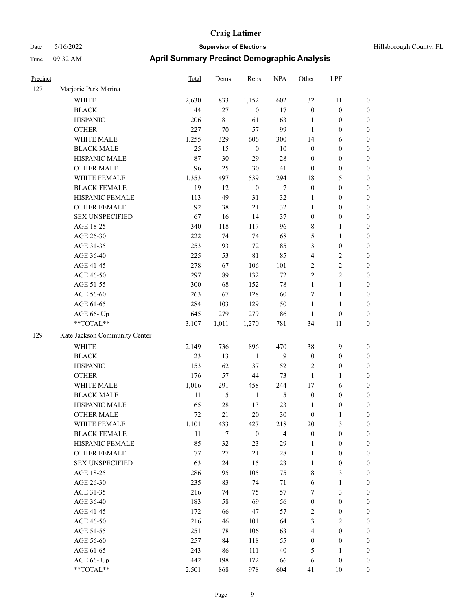| Precinct |                               | Total      | Dems        | Reps             | <b>NPA</b>     | Other            | LPF                     |                                      |
|----------|-------------------------------|------------|-------------|------------------|----------------|------------------|-------------------------|--------------------------------------|
| 127      | Marjorie Park Marina          |            |             |                  |                |                  |                         |                                      |
|          | WHITE                         | 2,630      | 833         | 1,152            | 602            | 32               | 11                      | $\boldsymbol{0}$                     |
|          | <b>BLACK</b>                  | 44         | 27          | $\boldsymbol{0}$ | 17             | $\boldsymbol{0}$ | $\boldsymbol{0}$        | $\boldsymbol{0}$                     |
|          | <b>HISPANIC</b>               | 206        | $8\sqrt{1}$ | 61               | 63             | $\mathbf{1}$     | $\boldsymbol{0}$        | $\boldsymbol{0}$                     |
|          | <b>OTHER</b>                  | 227        | $70\,$      | 57               | 99             | 1                | $\boldsymbol{0}$        | $\boldsymbol{0}$                     |
|          | WHITE MALE                    | 1,255      | 329         | 606              | 300            | 14               | 6                       | $\boldsymbol{0}$                     |
|          | <b>BLACK MALE</b>             | 25         | 15          | $\boldsymbol{0}$ | $10\,$         | $\boldsymbol{0}$ | $\boldsymbol{0}$        | $\boldsymbol{0}$                     |
|          | HISPANIC MALE                 | 87         | 30          | 29               | 28             | $\boldsymbol{0}$ | $\boldsymbol{0}$        | $\boldsymbol{0}$                     |
|          | <b>OTHER MALE</b>             | 96         | 25          | $30\,$           | 41             | $\mathbf{0}$     | $\boldsymbol{0}$        | $\boldsymbol{0}$                     |
|          | WHITE FEMALE                  | 1,353      | 497         | 539              | 294            | 18               | 5                       | $\boldsymbol{0}$                     |
|          | <b>BLACK FEMALE</b>           | 19         | 12          | $\boldsymbol{0}$ | $\tau$         | $\boldsymbol{0}$ | $\boldsymbol{0}$        | $\boldsymbol{0}$                     |
|          | HISPANIC FEMALE               | 113        | 49          | 31               | 32             | $\mathbf{1}$     | $\boldsymbol{0}$        | $\boldsymbol{0}$                     |
|          | <b>OTHER FEMALE</b>           | 92         | 38          | 21               | 32             | $\mathbf{1}$     | $\boldsymbol{0}$        | $\boldsymbol{0}$                     |
|          | <b>SEX UNSPECIFIED</b>        | 67         | 16          | 14               | 37             | $\boldsymbol{0}$ | $\boldsymbol{0}$        | $\boldsymbol{0}$                     |
|          | AGE 18-25                     | 340        | 118         | 117              | 96             | $\,$ 8 $\,$      | 1                       | $\boldsymbol{0}$                     |
|          | AGE 26-30                     | 222        | 74          | 74               | 68             | 5                | 1                       | $\boldsymbol{0}$                     |
|          | AGE 31-35                     | 253        | 93          | 72               | 85             | 3                | $\boldsymbol{0}$        | $\boldsymbol{0}$                     |
|          | AGE 36-40                     | 225        | 53          | 81               | 85             | $\overline{4}$   | 2                       | $\boldsymbol{0}$                     |
|          | AGE 41-45                     | 278        | 67          | 106              | 101            | $\sqrt{2}$       | $\overline{\mathbf{c}}$ | $\boldsymbol{0}$                     |
|          | AGE 46-50                     | 297        | 89          | 132              | 72             | $\sqrt{2}$       | $\overline{\mathbf{c}}$ | $\boldsymbol{0}$                     |
|          | AGE 51-55                     | 300        | 68          | 152              | 78             | 1                | 1                       | $\boldsymbol{0}$                     |
|          | AGE 56-60                     | 263        | 67          | 128              | 60             | $\tau$           | 1                       | $\boldsymbol{0}$                     |
|          | AGE 61-65                     | 284        | 103         | 129              | 50             | $\mathbf{1}$     | $\mathbf{1}$            | $\boldsymbol{0}$                     |
|          | AGE 66- Up                    | 645        | 279         | 279              | 86             | 1                | $\boldsymbol{0}$        | $\boldsymbol{0}$                     |
|          | **TOTAL**                     | 3,107      | 1,011       | 1,270            | 781            | 34               | 11                      | $\boldsymbol{0}$                     |
| 129      | Kate Jackson Community Center |            |             |                  |                |                  |                         |                                      |
|          | <b>WHITE</b>                  | 2,149      | 736         | 896              | 470            | 38               | 9                       | $\boldsymbol{0}$                     |
|          | <b>BLACK</b>                  | 23         | 13          | $\mathbf{1}$     | 9              | $\boldsymbol{0}$ | $\boldsymbol{0}$        | $\boldsymbol{0}$                     |
|          | <b>HISPANIC</b>               | 153        | 62          | 37               | 52             | $\overline{2}$   | $\boldsymbol{0}$        | $\boldsymbol{0}$                     |
|          | <b>OTHER</b>                  | 176        | 57          | 44               | 73             | $\mathbf{1}$     | 1                       | $\boldsymbol{0}$                     |
|          | WHITE MALE                    | 1,016      | 291         | 458              | 244            | 17               | 6                       | $\boldsymbol{0}$                     |
|          | <b>BLACK MALE</b>             | $11\,$     | 5           | $\mathbf{1}$     | 5              | $\boldsymbol{0}$ | $\boldsymbol{0}$        | $\boldsymbol{0}$                     |
|          | HISPANIC MALE                 | 65         | 28          | 13               | 23             | 1                | $\boldsymbol{0}$        | $\boldsymbol{0}$                     |
|          | <b>OTHER MALE</b>             | 72         | 21          | 20               | 30             | $\mathbf{0}$     | 1                       | $\boldsymbol{0}$                     |
|          | WHITE FEMALE                  | 1,101      | 433         | 427              | 218            | 20               | 3                       | $\boldsymbol{0}$                     |
|          | <b>BLACK FEMALE</b>           | 11         | $\tau$      | $\boldsymbol{0}$ | $\overline{4}$ | $\boldsymbol{0}$ | $\boldsymbol{0}$        | $\boldsymbol{0}$                     |
|          | HISPANIC FEMALE               | 85         | 32          | 23               | 29             | $\mathbf{1}$     | $\boldsymbol{0}$        | $\boldsymbol{0}$                     |
|          | OTHER FEMALE                  | 77         | $27\,$      | 21               | 28             | $\mathbf{1}$     | $\boldsymbol{0}$        | $\boldsymbol{0}$                     |
|          | <b>SEX UNSPECIFIED</b>        | 63         | 24          | 15               | 23             | $\mathbf{1}$     | $\boldsymbol{0}$        | $\boldsymbol{0}$                     |
|          | AGE 18-25                     | 286        | 95          | 105              | 75             | $\,$ 8 $\,$      | 3                       | $\boldsymbol{0}$                     |
|          | AGE 26-30                     | 235        | 83          | 74               | 71             | 6                | 1                       | $\boldsymbol{0}$                     |
|          | AGE 31-35                     | 216        | 74          | 75               | 57             | 7                | 3                       | $\boldsymbol{0}$                     |
|          | AGE 36-40                     | 183        | 58          | 69               | 56             | $\boldsymbol{0}$ | $\boldsymbol{0}$        | $\boldsymbol{0}$                     |
|          | AGE 41-45                     | 172        | 66          | 47               | 57             | $\sqrt{2}$       | $\boldsymbol{0}$        | $\boldsymbol{0}$                     |
|          |                               | 216        |             |                  | 64             | $\mathfrak{Z}$   |                         |                                      |
|          | AGE 46-50<br>AGE 51-55        | 251        | 46          | 101              |                | $\overline{4}$   | 2<br>$\boldsymbol{0}$   | $\boldsymbol{0}$<br>$\boldsymbol{0}$ |
|          |                               | 257        | 78          | 106              | 63<br>55       | $\boldsymbol{0}$ | $\boldsymbol{0}$        | $\boldsymbol{0}$                     |
|          | AGE 56-60                     |            | 84          | 118              |                |                  |                         |                                      |
|          | AGE 61-65                     | 243<br>442 | 86          | 111              | $40\,$         | 5                | 1<br>$\boldsymbol{0}$   | $\boldsymbol{0}$                     |
|          | AGE 66- Up<br>**TOTAL**       |            | 198<br>868  | 172<br>978       | 66<br>604      | 6                | $10\,$                  | $\boldsymbol{0}$                     |
|          |                               | 2,501      |             |                  |                | 41               |                         | $\boldsymbol{0}$                     |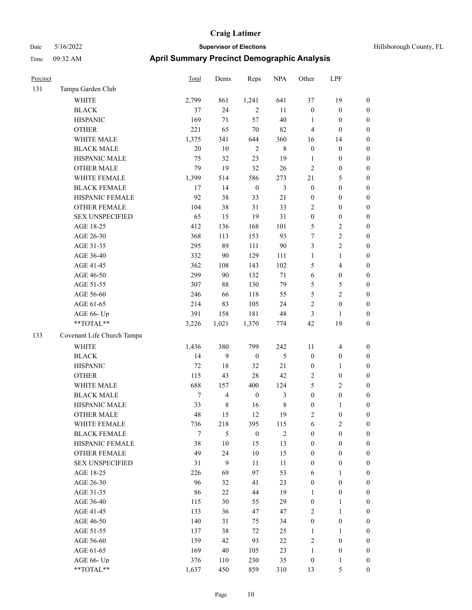| Precinct |                            | Total  | Dems             | Reps             | <b>NPA</b>    | Other            | LPF                     |                  |
|----------|----------------------------|--------|------------------|------------------|---------------|------------------|-------------------------|------------------|
| 131      | Tampa Garden Club          |        |                  |                  |               |                  |                         |                  |
|          | <b>WHITE</b>               | 2,799  | 861              | 1,241            | 641           | 37               | 19                      | $\boldsymbol{0}$ |
|          | <b>BLACK</b>               | 37     | 24               | $\sqrt{2}$       | 11            | $\boldsymbol{0}$ | $\boldsymbol{0}$        | $\boldsymbol{0}$ |
|          | <b>HISPANIC</b>            | 169    | 71               | 57               | 40            | 1                | $\boldsymbol{0}$        | $\boldsymbol{0}$ |
|          | <b>OTHER</b>               | 221    | 65               | $70\,$           | 82            | 4                | $\boldsymbol{0}$        | $\boldsymbol{0}$ |
|          | WHITE MALE                 | 1,375  | 341              | 644              | 360           | 16               | 14                      | $\boldsymbol{0}$ |
|          | <b>BLACK MALE</b>          | 20     | $10\,$           | $\overline{2}$   | $\,$ 8 $\,$   | $\boldsymbol{0}$ | $\boldsymbol{0}$        | $\boldsymbol{0}$ |
|          | HISPANIC MALE              | 75     | 32               | 23               | 19            | 1                | $\boldsymbol{0}$        | $\boldsymbol{0}$ |
|          | <b>OTHER MALE</b>          | 79     | 19               | 32               | 26            | $\overline{c}$   | $\boldsymbol{0}$        | 0                |
|          | WHITE FEMALE               | 1,399  | 514              | 586              | 273           | $21\,$           | $\mathfrak{S}$          | $\boldsymbol{0}$ |
|          | <b>BLACK FEMALE</b>        | 17     | 14               | $\boldsymbol{0}$ | 3             | $\boldsymbol{0}$ | $\boldsymbol{0}$        | $\boldsymbol{0}$ |
|          | HISPANIC FEMALE            | 92     | 38               | 33               | 21            | $\boldsymbol{0}$ | $\boldsymbol{0}$        | $\boldsymbol{0}$ |
|          | OTHER FEMALE               | 104    | 38               | 31               | 33            | $\overline{c}$   | $\boldsymbol{0}$        | $\boldsymbol{0}$ |
|          | <b>SEX UNSPECIFIED</b>     | 65     | 15               | 19               | 31            | $\boldsymbol{0}$ | $\boldsymbol{0}$        | $\boldsymbol{0}$ |
|          | AGE 18-25                  | 412    | 136              | 168              | 101           | 5                | $\sqrt{2}$              | $\boldsymbol{0}$ |
|          | AGE 26-30                  | 368    | 113              | 153              | 93            | $\tau$           | $\overline{2}$          | $\boldsymbol{0}$ |
|          | AGE 31-35                  | 295    | 89               | 111              | 90            | $\mathfrak{Z}$   | $\overline{c}$          | $\boldsymbol{0}$ |
|          | AGE 36-40                  | 332    | $90\,$           | 129              | 111           | $\mathbf{1}$     | $\mathbf{1}$            | $\boldsymbol{0}$ |
|          | AGE 41-45                  | 362    | 108              | 143              | 102           | 5                | $\overline{\mathbf{4}}$ | 0                |
|          | AGE 46-50                  | 299    | 90               | 132              | 71            | 6                | $\boldsymbol{0}$        | 0                |
|          | AGE 51-55                  | 307    | 88               | 130              | 79            | 5                | 5                       | $\boldsymbol{0}$ |
|          | AGE 56-60                  | 246    | 66               | 118              | 55            | 5                | $\overline{c}$          | $\boldsymbol{0}$ |
|          | AGE 61-65                  | 214    | 83               | 105              | 24            | $\overline{c}$   | $\boldsymbol{0}$        | $\boldsymbol{0}$ |
|          | AGE 66- Up                 | 391    | 158              | 181              | 48            | 3                | 1                       | $\boldsymbol{0}$ |
|          | **TOTAL**                  | 3,226  | 1,021            | 1,370            | 774           | 42               | 19                      | $\boldsymbol{0}$ |
| 133      | Covenant Life Church Tampa |        |                  |                  |               |                  |                         |                  |
|          | <b>WHITE</b>               | 1,436  | 380              | 799              | 242           | 11               | $\overline{\mathbf{4}}$ | $\boldsymbol{0}$ |
|          | <b>BLACK</b>               | 14     | 9                | $\boldsymbol{0}$ | $\mathfrak s$ | $\boldsymbol{0}$ | $\boldsymbol{0}$        | $\boldsymbol{0}$ |
|          | <b>HISPANIC</b>            | $72\,$ | 18               | 32               | 21            | $\boldsymbol{0}$ | $\mathbf{1}$            | $\boldsymbol{0}$ |
|          | <b>OTHER</b>               | 115    | 43               | $28\,$           | 42            | $\sqrt{2}$       | $\boldsymbol{0}$        | $\boldsymbol{0}$ |
|          | WHITE MALE                 | 688    | 157              | 400              | 124           | 5                | $\mathfrak{2}$          | 0                |
|          | <b>BLACK MALE</b>          | 7      | 4                | $\boldsymbol{0}$ | 3             | $\boldsymbol{0}$ | $\boldsymbol{0}$        | 0                |
|          | HISPANIC MALE              | 33     | 8                | 16               | $\,$ 8 $\,$   | $\boldsymbol{0}$ | 1                       | $\boldsymbol{0}$ |
|          | <b>OTHER MALE</b>          | 48     | 15               | 12               | 19            | 2                | $\boldsymbol{0}$        | $\boldsymbol{0}$ |
|          | WHITE FEMALE               | 736    | 218              | 395              | 115           | 6                | $\sqrt{2}$              | $\boldsymbol{0}$ |
|          | <b>BLACK FEMALE</b>        | 7      | 5                | $\boldsymbol{0}$ | $\sqrt{2}$    | $\boldsymbol{0}$ | $\boldsymbol{0}$        | $\overline{0}$   |
|          | HISPANIC FEMALE            | 38     | $10\,$           | 15               | 13            | $\boldsymbol{0}$ | $\boldsymbol{0}$        | $\theta$         |
|          | <b>OTHER FEMALE</b>        | 49     | 24               | $10\,$           | 15            | $\boldsymbol{0}$ | $\boldsymbol{0}$        | 0                |
|          | <b>SEX UNSPECIFIED</b>     | 31     | $\boldsymbol{9}$ | $11\,$           | 11            | $\boldsymbol{0}$ | $\boldsymbol{0}$        | 0                |
|          | AGE 18-25                  | 226    | 69               | 97               | 53            | 6                | $\mathbf{1}$            | 0                |
|          | AGE 26-30                  | 96     | 32               | 41               | 23            | $\boldsymbol{0}$ | $\boldsymbol{0}$        | 0                |
|          | AGE 31-35                  | 86     | 22               | 44               | 19            | $\mathbf{1}$     | $\boldsymbol{0}$        | 0                |
|          | AGE 36-40                  | 115    | 30               | 55               | 29            | $\boldsymbol{0}$ | $\mathbf{1}$            | $\overline{0}$   |
|          | AGE 41-45                  | 133    | 36               | 47               | 47            | $\sqrt{2}$       | $\mathbf{1}$            | $\boldsymbol{0}$ |
|          | AGE 46-50                  | 140    | 31               | 75               | 34            | $\boldsymbol{0}$ | $\boldsymbol{0}$        | $\overline{0}$   |
|          | AGE 51-55                  | 137    | 38               | 72               | 25            | $\mathbf{1}$     | $\mathbf{1}$            | $\boldsymbol{0}$ |
|          | AGE 56-60                  | 159    | 42               | 93               | 22            | 2                | $\boldsymbol{0}$        | $\overline{0}$   |
|          | AGE 61-65                  | 169    | 40               | 105              | 23            | $\mathbf{1}$     | $\boldsymbol{0}$        | $\overline{0}$   |
|          | AGE 66- Up                 | 376    | 110              | 230              | 35            | $\boldsymbol{0}$ | $\mathbf{1}$            | $\boldsymbol{0}$ |
|          | $**TOTAL**$                | 1,637  | 450              | 859              | 310           | 13               | $\mathfrak{S}$          | $\overline{0}$   |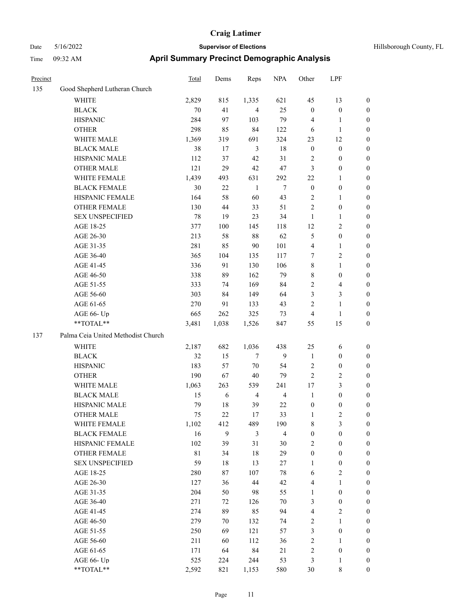| Precinct |                                    | Total       | Dems             | Reps           | <b>NPA</b>              | Other            | LPF                     |                  |
|----------|------------------------------------|-------------|------------------|----------------|-------------------------|------------------|-------------------------|------------------|
| 135      | Good Shepherd Lutheran Church      |             |                  |                |                         |                  |                         |                  |
|          | <b>WHITE</b>                       | 2,829       | 815              | 1,335          | 621                     | 45               | 13                      | $\boldsymbol{0}$ |
|          | <b>BLACK</b>                       | 70          | 41               | $\overline{4}$ | 25                      | $\boldsymbol{0}$ | $\boldsymbol{0}$        | $\boldsymbol{0}$ |
|          | <b>HISPANIC</b>                    | 284         | 97               | 103            | 79                      | 4                | $\mathbf{1}$            | $\boldsymbol{0}$ |
|          | <b>OTHER</b>                       | 298         | 85               | 84             | 122                     | 6                | $\mathbf{1}$            | $\boldsymbol{0}$ |
|          | WHITE MALE                         | 1,369       | 319              | 691            | 324                     | 23               | 12                      | 0                |
|          | <b>BLACK MALE</b>                  | 38          | 17               | 3              | 18                      | $\boldsymbol{0}$ | $\boldsymbol{0}$        | 0                |
|          | HISPANIC MALE                      | 112         | 37               | 42             | 31                      | 2                | $\boldsymbol{0}$        | 0                |
|          | <b>OTHER MALE</b>                  | 121         | 29               | 42             | 47                      | 3                | $\boldsymbol{0}$        | 0                |
|          | WHITE FEMALE                       | 1,439       | 493              | 631            | 292                     | $22\,$           | $\mathbf{1}$            | $\boldsymbol{0}$ |
|          | <b>BLACK FEMALE</b>                | 30          | $22\,$           | $\mathbf{1}$   | $\tau$                  | $\boldsymbol{0}$ | $\boldsymbol{0}$        | $\boldsymbol{0}$ |
|          | HISPANIC FEMALE                    | 164         | 58               | 60             | 43                      | 2                | $\mathbf{1}$            | $\boldsymbol{0}$ |
|          | OTHER FEMALE                       | 130         | 44               | 33             | 51                      | $\sqrt{2}$       | $\boldsymbol{0}$        | $\boldsymbol{0}$ |
|          | <b>SEX UNSPECIFIED</b>             | 78          | 19               | 23             | 34                      | $\mathbf{1}$     | $\mathbf{1}$            | $\boldsymbol{0}$ |
|          | AGE 18-25                          | 377         | 100              | 145            | 118                     | 12               | $\overline{2}$          | $\boldsymbol{0}$ |
|          | AGE 26-30                          | 213         | 58               | $88\,$         | 62                      | 5                | $\boldsymbol{0}$        | 0                |
|          | AGE 31-35                          | 281         | 85               | 90             | 101                     | $\overline{4}$   | $\mathbf{1}$            | 0                |
|          | AGE 36-40                          | 365         | 104              | 135            | 117                     | 7                | $\sqrt{2}$              | 0                |
|          | AGE 41-45                          | 336         | 91               | 130            | 106                     | 8                | $\mathbf{1}$            | 0                |
|          | AGE 46-50                          | 338         | 89               | 162            | 79                      | 8                | $\boldsymbol{0}$        | $\boldsymbol{0}$ |
|          | AGE 51-55                          | 333         | 74               | 169            | 84                      | $\overline{c}$   | $\overline{\mathbf{4}}$ | $\boldsymbol{0}$ |
|          | AGE 56-60                          | 303         | 84               | 149            | 64                      | 3                | $\mathfrak{Z}$          | $\boldsymbol{0}$ |
|          | AGE 61-65                          | 270         | 91               | 133            | 43                      | $\sqrt{2}$       | $\mathbf{1}$            | $\boldsymbol{0}$ |
|          | AGE 66- Up                         | 665         | 262              | 325            | 73                      | $\overline{4}$   | $\mathbf{1}$            | $\boldsymbol{0}$ |
|          | **TOTAL**                          | 3,481       | 1,038            | 1,526          | 847                     | 55               | 15                      | $\boldsymbol{0}$ |
| 137      | Palma Ceia United Methodist Church |             |                  |                |                         |                  |                         |                  |
|          | WHITE                              | 2,187       | 682              | 1,036          | 438                     | 25               | 6                       | $\boldsymbol{0}$ |
|          | <b>BLACK</b>                       | 32          | 15               | 7              | 9                       | $\mathbf{1}$     | $\boldsymbol{0}$        | $\boldsymbol{0}$ |
|          | <b>HISPANIC</b>                    | 183         | 57               | $70\,$         | 54                      | $\overline{c}$   | $\boldsymbol{0}$        | 0                |
|          | <b>OTHER</b>                       | 190         | 67               | 40             | 79                      | $\sqrt{2}$       | $\overline{c}$          | 0                |
|          | WHITE MALE                         | 1,063       | 263              | 539            | 241                     | $17$             | $\mathfrak{Z}$          | 0                |
|          | <b>BLACK MALE</b>                  | 15          | 6                | 4              | $\overline{4}$          | $\mathbf{1}$     | $\boldsymbol{0}$        | $\boldsymbol{0}$ |
|          | HISPANIC MALE                      | 79          | 18               | 39             | 22                      | $\boldsymbol{0}$ | $\boldsymbol{0}$        | $\boldsymbol{0}$ |
|          | <b>OTHER MALE</b>                  | 75          | 22               | 17             | 33                      | 1                | $\mathfrak{2}$          | $\boldsymbol{0}$ |
|          | WHITE FEMALE                       | 1,102       | 412              | 489            | 190                     | $\,$ 8 $\,$      | $\mathfrak{Z}$          | $\boldsymbol{0}$ |
|          | <b>BLACK FEMALE</b>                | 16          | $\boldsymbol{9}$ | $\mathfrak{Z}$ | $\overline{\mathbf{4}}$ | $\boldsymbol{0}$ | $\boldsymbol{0}$        | $\overline{0}$   |
|          | HISPANIC FEMALE                    | 102         | 39               | 31             | 30                      | 2                | $\boldsymbol{0}$        | $\overline{0}$   |
|          | <b>OTHER FEMALE</b>                | $8\sqrt{1}$ | 34               | $18\,$         | 29                      | $\boldsymbol{0}$ | $\boldsymbol{0}$        | 0                |
|          | <b>SEX UNSPECIFIED</b>             | 59          | 18               | 13             | $27\,$                  | $\mathbf{1}$     | $\boldsymbol{0}$        | 0                |
|          | AGE 18-25                          | 280         | 87               | 107            | $78\,$                  | 6                | $\sqrt{2}$              | 0                |
|          | AGE 26-30                          | 127         | 36               | 44             | 42                      | $\overline{4}$   | $\mathbf{1}$            | $\boldsymbol{0}$ |
|          | AGE 31-35                          | 204         | 50               | 98             | 55                      | 1                | $\boldsymbol{0}$        | $\boldsymbol{0}$ |
|          | AGE 36-40                          | 271         | 72               | 126            | $70\,$                  | 3                | $\boldsymbol{0}$        | $\boldsymbol{0}$ |
|          | AGE 41-45                          | 274         | 89               | 85             | 94                      | $\overline{4}$   | $\sqrt{2}$              | $\overline{0}$   |
|          | AGE 46-50                          | 279         | 70               | 132            | 74                      | $\overline{c}$   | $\mathbf{1}$            | $\boldsymbol{0}$ |
|          | AGE 51-55                          | 250         | 69               | 121            | 57                      | 3                | $\boldsymbol{0}$        | $\overline{0}$   |
|          | AGE 56-60                          | 211         | 60               | 112            | 36                      | $\sqrt{2}$       | $\mathbf{1}$            | $\overline{0}$   |
|          | AGE 61-65                          | 171         | 64               | 84             | 21                      | $\sqrt{2}$       | $\boldsymbol{0}$        | $\boldsymbol{0}$ |
|          | AGE 66- Up                         | 525         | 224              | 244            | 53                      | $\mathfrak{Z}$   | $\mathbf{1}$            | $\boldsymbol{0}$ |
|          | $**TOTAL**$                        | 2,592       | 821              | 1,153          | 580                     | $30\,$           | $\,$ 8 $\,$             | $\overline{0}$   |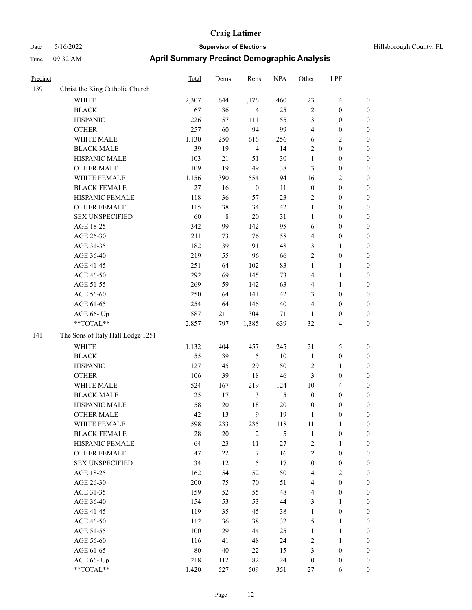| Precinct |                                   | Total  | Dems   | Reps             | <b>NPA</b> | Other            | LPF                     |                  |
|----------|-----------------------------------|--------|--------|------------------|------------|------------------|-------------------------|------------------|
| 139      | Christ the King Catholic Church   |        |        |                  |            |                  |                         |                  |
|          | WHITE                             | 2,307  | 644    | 1,176            | 460        | 23               | $\overline{\mathbf{4}}$ | $\boldsymbol{0}$ |
|          | <b>BLACK</b>                      | 67     | 36     | $\overline{4}$   | 25         | $\overline{c}$   | $\boldsymbol{0}$        | $\boldsymbol{0}$ |
|          | <b>HISPANIC</b>                   | 226    | 57     | 111              | 55         | 3                | $\boldsymbol{0}$        | $\boldsymbol{0}$ |
|          | <b>OTHER</b>                      | 257    | 60     | 94               | 99         | 4                | $\boldsymbol{0}$        | 0                |
|          | WHITE MALE                        | 1,130  | 250    | 616              | 256        | 6                | $\overline{c}$          | 0                |
|          | <b>BLACK MALE</b>                 | 39     | 19     | $\overline{4}$   | 14         | $\mathfrak{2}$   | $\boldsymbol{0}$        | $\boldsymbol{0}$ |
|          | HISPANIC MALE                     | 103    | $21\,$ | 51               | 30         | $\mathbf{1}$     | $\boldsymbol{0}$        | $\boldsymbol{0}$ |
|          | <b>OTHER MALE</b>                 | 109    | 19     | 49               | 38         | 3                | $\boldsymbol{0}$        | $\boldsymbol{0}$ |
|          | WHITE FEMALE                      | 1,156  | 390    | 554              | 194        | 16               | $\sqrt{2}$              | 0                |
|          | <b>BLACK FEMALE</b>               | 27     | 16     | $\boldsymbol{0}$ | 11         | $\boldsymbol{0}$ | $\boldsymbol{0}$        | $\boldsymbol{0}$ |
|          | HISPANIC FEMALE                   | 118    | 36     | 57               | 23         | $\overline{c}$   | $\boldsymbol{0}$        | $\boldsymbol{0}$ |
|          | <b>OTHER FEMALE</b>               | 115    | 38     | 34               | 42         | $\mathbf{1}$     | $\boldsymbol{0}$        | $\boldsymbol{0}$ |
|          | <b>SEX UNSPECIFIED</b>            | 60     | 8      | 20               | 31         | $\mathbf{1}$     | $\boldsymbol{0}$        | 0                |
|          | AGE 18-25                         | 342    | 99     | 142              | 95         | 6                | $\boldsymbol{0}$        | 0                |
|          | AGE 26-30                         | 211    | 73     | 76               | 58         | 4                | $\boldsymbol{0}$        | 0                |
|          | AGE 31-35                         | 182    | 39     | 91               | 48         | 3                | $\mathbf{1}$            | 0                |
|          | AGE 36-40                         | 219    | 55     | 96               | 66         | $\overline{c}$   | $\boldsymbol{0}$        | $\boldsymbol{0}$ |
|          | AGE 41-45                         | 251    | 64     | 102              | 83         | $\mathbf{1}$     | 1                       | $\boldsymbol{0}$ |
|          | AGE 46-50                         | 292    | 69     | 145              | 73         | 4                | $\mathbf{1}$            | $\boldsymbol{0}$ |
|          | AGE 51-55                         | 269    | 59     | 142              | 63         | 4                | $\mathbf{1}$            | $\boldsymbol{0}$ |
|          | AGE 56-60                         | 250    | 64     | 141              | 42         | 3                | $\boldsymbol{0}$        | $\boldsymbol{0}$ |
|          | AGE 61-65                         | 254    | 64     | 146              | $40\,$     | 4                | $\boldsymbol{0}$        | 0                |
|          | AGE 66- Up                        | 587    | 211    | 304              | 71         | 1                | $\boldsymbol{0}$        | 0                |
|          | **TOTAL**                         | 2,857  | 797    | 1,385            | 639        | 32               | $\overline{4}$          | 0                |
| 141      | The Sons of Italy Hall Lodge 1251 |        |        |                  |            |                  |                         |                  |
|          | <b>WHITE</b>                      | 1,132  | 404    | 457              | 245        | 21               | 5                       | 0                |
|          | <b>BLACK</b>                      | 55     | 39     | 5                | $10\,$     | $\mathbf{1}$     | $\boldsymbol{0}$        | 0                |
|          | <b>HISPANIC</b>                   | 127    | 45     | 29               | 50         | 2                | $\mathbf{1}$            | 0                |
|          | <b>OTHER</b>                      | 106    | 39     | 18               | 46         | 3                | $\boldsymbol{0}$        | $\boldsymbol{0}$ |
|          | WHITE MALE                        | 524    | 167    | 219              | 124        | 10               | $\overline{\mathbf{4}}$ | $\boldsymbol{0}$ |
|          | <b>BLACK MALE</b>                 | 25     | 17     | $\mathfrak{Z}$   | 5          | $\boldsymbol{0}$ | $\boldsymbol{0}$        | $\boldsymbol{0}$ |
|          | HISPANIC MALE                     | 58     | 20     | 18               | 20         | $\boldsymbol{0}$ | $\boldsymbol{0}$        | $\boldsymbol{0}$ |
|          | <b>OTHER MALE</b>                 | 42     | 13     | 9                | 19         | $\mathbf{1}$     | $\boldsymbol{0}$        | $\boldsymbol{0}$ |
|          | WHITE FEMALE                      | 598    | 233    | 235              | 118        | $11\,$           | $\mathbf{1}$            | 0                |
|          | <b>BLACK FEMALE</b>               | 28     | $20\,$ | $\sqrt{2}$       | 5          | $\mathbf{1}$     | $\boldsymbol{0}$        | 0                |
|          | HISPANIC FEMALE                   | 64     | 23     | 11               | 27         | $\sqrt{2}$       | $\mathbf{1}$            | 0                |
|          | OTHER FEMALE                      | 47     | 22     | $\boldsymbol{7}$ | 16         | $\sqrt{2}$       | $\boldsymbol{0}$        | 0                |
|          | <b>SEX UNSPECIFIED</b>            | 34     | 12     | $\sqrt{5}$       | $17\,$     | $\boldsymbol{0}$ | $\boldsymbol{0}$        | 0                |
|          | AGE 18-25                         | 162    | 54     | 52               | 50         | 4                | $\sqrt{2}$              | $\overline{0}$   |
|          | AGE 26-30                         | 200    | 75     | $70\,$           | 51         | 4                | $\boldsymbol{0}$        | $\overline{0}$   |
|          | AGE 31-35                         | 159    | 52     | 55               | 48         | $\overline{4}$   | $\boldsymbol{0}$        | $\overline{0}$   |
|          | AGE 36-40                         | 154    | 53     | 53               | 44         | 3                | $\mathbf{1}$            | $\overline{0}$   |
|          | AGE 41-45                         | 119    | 35     | 45               | 38         | $\mathbf{1}$     | $\boldsymbol{0}$        | $\overline{0}$   |
|          | AGE 46-50                         | 112    | 36     | 38               | 32         | 5                | $\mathbf{1}$            | $\boldsymbol{0}$ |
|          | AGE 51-55                         | 100    | 29     | 44               | 25         | $\mathbf{1}$     | $\mathbf{1}$            | 0                |
|          | AGE 56-60                         | 116    | 41     | 48               | 24         | $\sqrt{2}$       | $\mathbf{1}$            | 0                |
|          | AGE 61-65                         | $80\,$ | 40     | 22               | 15         | 3                | $\boldsymbol{0}$        | 0                |
|          | AGE 66- Up                        | 218    | 112    | 82               | 24         | $\boldsymbol{0}$ | $\boldsymbol{0}$        | 0                |
|          | $**TOTAL**$                       | 1,420  | 527    | 509              | 351        | $27\,$           | 6                       | $\overline{0}$   |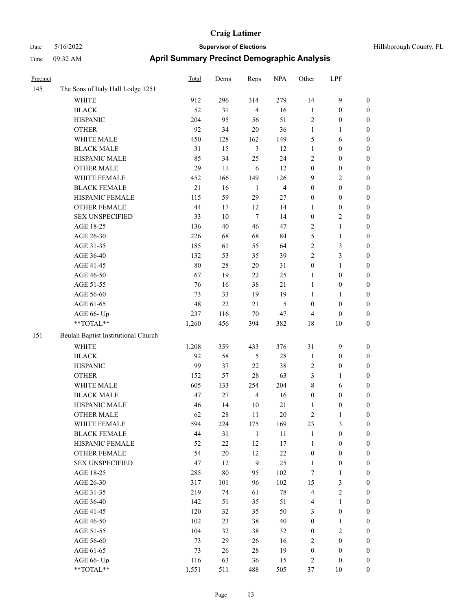| Hillsborough County, FL |  |  |
|-------------------------|--|--|
|-------------------------|--|--|

| Precinct |                                     | <b>Total</b> | Dems   | Reps             | <b>NPA</b>              | Other            | LPF              |                  |
|----------|-------------------------------------|--------------|--------|------------------|-------------------------|------------------|------------------|------------------|
| 145      | The Sons of Italy Hall Lodge 1251   |              |        |                  |                         |                  |                  |                  |
|          | <b>WHITE</b>                        | 912          | 296    | 314              | 279                     | 14               | $\mathbf{9}$     | $\boldsymbol{0}$ |
|          | $_{\rm BLACK}$                      | 52           | 31     | $\overline{4}$   | 16                      | $\mathbf{1}$     | $\boldsymbol{0}$ | $\boldsymbol{0}$ |
|          | <b>HISPANIC</b>                     | 204          | 95     | 56               | 51                      | 2                | $\boldsymbol{0}$ | $\boldsymbol{0}$ |
|          | <b>OTHER</b>                        | 92           | 34     | $20\,$           | 36                      | $\mathbf{1}$     | 1                | $\boldsymbol{0}$ |
|          | WHITE MALE                          | 450          | 128    | 162              | 149                     | 5                | 6                | $\boldsymbol{0}$ |
|          | <b>BLACK MALE</b>                   | 31           | 15     | $\mathfrak{Z}$   | 12                      | $\mathbf{1}$     | $\boldsymbol{0}$ | $\boldsymbol{0}$ |
|          | HISPANIC MALE                       | 85           | 34     | 25               | 24                      | $\mathfrak{2}$   | $\boldsymbol{0}$ | $\boldsymbol{0}$ |
|          | <b>OTHER MALE</b>                   | 29           | 11     | 6                | 12                      | $\boldsymbol{0}$ | $\boldsymbol{0}$ | $\boldsymbol{0}$ |
|          | WHITE FEMALE                        | 452          | 166    | 149              | 126                     | 9                | $\sqrt{2}$       | 0                |
|          | <b>BLACK FEMALE</b>                 | $21\,$       | 16     | -1               | $\overline{\mathbf{4}}$ | $\boldsymbol{0}$ | $\boldsymbol{0}$ | 0                |
|          | HISPANIC FEMALE                     | 115          | 59     | 29               | 27                      | $\boldsymbol{0}$ | $\boldsymbol{0}$ | 0                |
|          | OTHER FEMALE                        | 44           | 17     | 12               | 14                      | 1                | $\boldsymbol{0}$ | 0                |
|          | <b>SEX UNSPECIFIED</b>              | 33           | $10\,$ | $\tau$           | 14                      | $\boldsymbol{0}$ | $\sqrt{2}$       | $\boldsymbol{0}$ |
|          | AGE 18-25                           | 136          | 40     | 46               | 47                      | 2                | $\mathbf{1}$     | $\boldsymbol{0}$ |
|          | AGE 26-30                           | 226          | 68     | 68               | 84                      | 5                | $\mathbf{1}$     | $\boldsymbol{0}$ |
|          | AGE 31-35                           | 185          | 61     | 55               | 64                      | 2                | $\mathfrak{Z}$   | $\boldsymbol{0}$ |
|          | AGE 36-40                           | 132          | 53     | 35               | 39                      | $\mathbf{2}$     | $\mathfrak{Z}$   | $\boldsymbol{0}$ |
|          | AGE 41-45                           | 80           | 28     | 20               | 31                      | $\boldsymbol{0}$ | $\mathbf{1}$     | $\boldsymbol{0}$ |
|          | AGE 46-50                           | 67           | 19     | 22               | 25                      | 1                | $\boldsymbol{0}$ | 0                |
|          | AGE 51-55                           | 76           | 16     | 38               | 21                      | $\mathbf{1}$     | $\boldsymbol{0}$ | 0                |
|          | AGE 56-60                           | 73           | 33     | 19               | 19                      | $\mathbf{1}$     | $\mathbf{1}$     | 0                |
|          | AGE 61-65                           | 48           | $22\,$ | 21               | 5                       | $\boldsymbol{0}$ | $\boldsymbol{0}$ | 0                |
|          | AGE 66- Up                          | 237          | 116    | $70\,$           | 47                      | 4                | $\boldsymbol{0}$ | $\boldsymbol{0}$ |
|          | **TOTAL**                           | 1,260        | 456    | 394              | 382                     | 18               | $10\,$           | $\boldsymbol{0}$ |
| 151      | Beulah Baptist Institutional Church |              |        |                  |                         |                  |                  |                  |
|          | <b>WHITE</b>                        | 1,208        | 359    | 433              | 376                     | 31               | $\mathbf{9}$     | $\boldsymbol{0}$ |
|          | <b>BLACK</b>                        | 92           | 58     | 5                | $28\,$                  | $\mathbf{1}$     | $\boldsymbol{0}$ | $\boldsymbol{0}$ |
|          | <b>HISPANIC</b>                     | 99           | 37     | 22               | 38                      | 2                | $\boldsymbol{0}$ | $\boldsymbol{0}$ |
|          | <b>OTHER</b>                        | 152          | 57     | 28               | 63                      | 3                | $\mathbf{1}$     | $\boldsymbol{0}$ |
|          | WHITE MALE                          | 605          | 133    | 254              | 204                     | 8                | 6                | $\boldsymbol{0}$ |
|          | <b>BLACK MALE</b>                   | 47           | 27     | $\overline{4}$   | 16                      | $\boldsymbol{0}$ | $\boldsymbol{0}$ | $\boldsymbol{0}$ |
|          | HISPANIC MALE                       | 46           | 14     | $10\,$           | 21                      | 1                | $\boldsymbol{0}$ | 0                |
|          | <b>OTHER MALE</b>                   | 62           | 28     | 11               | 20                      | 2                | 1                | 0                |
|          | WHITE FEMALE                        | 594          | 224    | 175              | 169                     | 23               | 3                | $\boldsymbol{0}$ |
|          | <b>BLACK FEMALE</b>                 | 44           | 31     | $\mathbf{1}$     | $11\,$                  | $\mathbf{1}$     | $\boldsymbol{0}$ | $\boldsymbol{0}$ |
|          | HISPANIC FEMALE                     | 52           | $22\,$ | 12               | 17                      | $\mathbf{1}$     | $\boldsymbol{0}$ | $\overline{0}$   |
|          | <b>OTHER FEMALE</b>                 | 54           | 20     | 12               | $22\,$                  | $\boldsymbol{0}$ | $\boldsymbol{0}$ | 0                |
|          | <b>SEX UNSPECIFIED</b>              | 47           | 12     | $\boldsymbol{9}$ | 25                      | $\mathbf{1}$     | $\boldsymbol{0}$ | $\overline{0}$   |
|          | AGE 18-25                           | 285          | $80\,$ | 95               | 102                     | $\boldsymbol{7}$ | $\mathbf{1}$     | $\overline{0}$   |
|          | AGE 26-30                           | 317          | 101    | 96               | 102                     | 15               | $\mathfrak{Z}$   | 0                |
|          | AGE 31-35                           | 219          | 74     | 61               | $78\,$                  | $\overline{4}$   | $\sqrt{2}$       | 0                |
|          | AGE 36-40                           | 142          | 51     | 35               | 51                      | $\overline{4}$   | $\mathbf{1}$     | 0                |
|          | AGE 41-45                           | 120          | 32     | 35               | 50                      | 3                | $\boldsymbol{0}$ | 0                |
|          | AGE 46-50                           | 102          | 23     | 38               | $40\,$                  | $\boldsymbol{0}$ | $\mathbf{1}$     | $\boldsymbol{0}$ |
|          | AGE 51-55                           | 104          | 32     | 38               | 32                      | $\boldsymbol{0}$ | $\sqrt{2}$       | $\boldsymbol{0}$ |
|          | AGE 56-60                           | 73           | 29     | 26               | 16                      | 2                | $\boldsymbol{0}$ | $\overline{0}$   |
|          | AGE 61-65                           | 73           | 26     | $28\,$           | 19                      | $\boldsymbol{0}$ | $\boldsymbol{0}$ | $\boldsymbol{0}$ |
|          | AGE 66- Up                          | 116          | 63     | 36               | 15                      | 2                | $\boldsymbol{0}$ | $\boldsymbol{0}$ |
|          | $**TOTAL**$                         | 1,551        | 511    | 488              | 505                     | 37               | $10\,$           | $\boldsymbol{0}$ |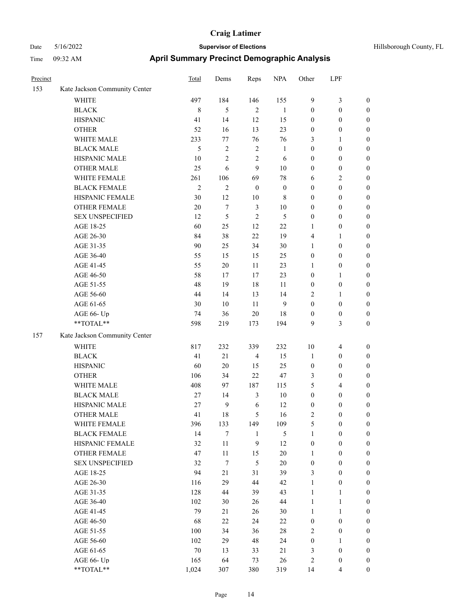# Date 5/16/2022 **Supervisor of Elections Supervisor of Elections** Hillsborough County, FL Time 09:32 AM **April Summary Precinct Demographic Analysis**

| Precinct |                               | Total          | Dems           | Reps             | <b>NPA</b>       | Other                   | LPF              |                  |
|----------|-------------------------------|----------------|----------------|------------------|------------------|-------------------------|------------------|------------------|
| 153      | Kate Jackson Community Center |                |                |                  |                  |                         |                  |                  |
|          | <b>WHITE</b>                  | 497            | 184            | 146              | 155              | 9                       | 3                | $\boldsymbol{0}$ |
|          | <b>BLACK</b>                  | $\,8\,$        | 5              | $\overline{c}$   | $\mathbf{1}$     | $\boldsymbol{0}$        | $\boldsymbol{0}$ | $\mathbf{0}$     |
|          | <b>HISPANIC</b>               | 41             | 14             | 12               | 15               | $\boldsymbol{0}$        | $\boldsymbol{0}$ | $\boldsymbol{0}$ |
|          | <b>OTHER</b>                  | 52             | 16             | 13               | 23               | $\boldsymbol{0}$        | $\boldsymbol{0}$ | $\boldsymbol{0}$ |
|          | WHITE MALE                    | 233            | 77             | 76               | 76               | 3                       | 1                | $\boldsymbol{0}$ |
|          | <b>BLACK MALE</b>             | $\mathfrak{H}$ | 2              | $\mathfrak{2}$   | 1                | $\boldsymbol{0}$        | $\boldsymbol{0}$ | $\boldsymbol{0}$ |
|          | HISPANIC MALE                 | 10             | $\overline{c}$ | $\overline{2}$   | 6                | $\boldsymbol{0}$        | $\boldsymbol{0}$ | $\boldsymbol{0}$ |
|          | <b>OTHER MALE</b>             | 25             | 6              | 9                | 10               | $\boldsymbol{0}$        | $\boldsymbol{0}$ | $\boldsymbol{0}$ |
|          | WHITE FEMALE                  | 261            | 106            | 69               | 78               | 6                       | 2                | $\boldsymbol{0}$ |
|          | <b>BLACK FEMALE</b>           | $\overline{2}$ | $\overline{c}$ | $\boldsymbol{0}$ | $\boldsymbol{0}$ | $\boldsymbol{0}$        | $\boldsymbol{0}$ | $\boldsymbol{0}$ |
|          | HISPANIC FEMALE               | 30             | 12             | 10               | 8                | $\boldsymbol{0}$        | $\boldsymbol{0}$ | $\boldsymbol{0}$ |
|          | OTHER FEMALE                  | 20             | 7              | $\mathfrak{Z}$   | 10               | $\boldsymbol{0}$        | $\boldsymbol{0}$ | $\boldsymbol{0}$ |
|          | <b>SEX UNSPECIFIED</b>        | 12             | 5              | $\sqrt{2}$       | $\sqrt{5}$       | $\boldsymbol{0}$        | $\boldsymbol{0}$ | $\boldsymbol{0}$ |
|          | AGE 18-25                     | 60             | 25             | 12               | 22               | $\mathbf{1}$            | $\boldsymbol{0}$ | $\boldsymbol{0}$ |
|          | AGE 26-30                     | 84             | 38             | 22               | 19               | $\overline{\mathbf{4}}$ | 1                | $\boldsymbol{0}$ |
|          | AGE 31-35                     | 90             | 25             | 34               | 30               | 1                       | $\boldsymbol{0}$ | $\boldsymbol{0}$ |
|          | AGE 36-40                     | 55             | 15             | 15               | 25               | $\boldsymbol{0}$        | $\boldsymbol{0}$ | $\boldsymbol{0}$ |
|          | AGE 41-45                     | 55             | $20\,$         | 11               | 23               | 1                       | $\boldsymbol{0}$ | $\boldsymbol{0}$ |
|          | AGE 46-50                     | 58             | 17             | 17               | 23               | $\boldsymbol{0}$        | 1                | $\boldsymbol{0}$ |
|          | AGE 51-55                     | 48             | 19             | 18               | 11               | $\boldsymbol{0}$        | $\boldsymbol{0}$ | $\boldsymbol{0}$ |
|          | AGE 56-60                     | 44             | 14             | 13               | 14               | $\mathfrak{2}$          | 1                | $\boldsymbol{0}$ |
|          | AGE 61-65                     | 30             | 10             | 11               | 9                | $\boldsymbol{0}$        | $\boldsymbol{0}$ | $\boldsymbol{0}$ |
|          | AGE 66- Up                    | 74             | 36             | 20               | 18               | $\boldsymbol{0}$        | $\boldsymbol{0}$ | $\boldsymbol{0}$ |
|          | **TOTAL**                     | 598            | 219            | 173              | 194              | 9                       | 3                | $\boldsymbol{0}$ |
| 157      | Kate Jackson Community Center |                |                |                  |                  |                         |                  |                  |
|          | <b>WHITE</b>                  | 817            | 232            | 339              | 232              | 10                      | $\overline{4}$   | $\boldsymbol{0}$ |
|          | <b>BLACK</b>                  | 41             | 21             | $\overline{4}$   | 15               | $\mathbf{1}$            | $\boldsymbol{0}$ | $\boldsymbol{0}$ |
|          | <b>HISPANIC</b>               | 60             | 20             | 15               | 25               | $\boldsymbol{0}$        | $\boldsymbol{0}$ | $\boldsymbol{0}$ |
|          | <b>OTHER</b>                  | 106            | 34             | 22               | 47               | 3                       | 0                | $\boldsymbol{0}$ |
|          | WHITE MALE                    | 408            | 97             | 187              | 115              | 5                       | 4                | $\boldsymbol{0}$ |
|          | <b>BLACK MALE</b>             | 27             | 14             | 3                | 10               | $\boldsymbol{0}$        | $\boldsymbol{0}$ | $\boldsymbol{0}$ |
|          | HISPANIC MALE                 | 27             | 9              | 6                | 12               | $\boldsymbol{0}$        | $\boldsymbol{0}$ | $\boldsymbol{0}$ |
|          | <b>OTHER MALE</b>             | 41             | 18             | 5                | 16               | $\mathfrak{2}$          | $\boldsymbol{0}$ | $\boldsymbol{0}$ |
|          | WHITE FEMALE                  | 396            | 133            | 149              | 109              | $\mathfrak{S}$          | $\boldsymbol{0}$ | $\boldsymbol{0}$ |
|          | <b>BLACK FEMALE</b>           | 14             | 7              | $\mathbf{1}$     | $\mathfrak{S}$   | $\mathbf{1}$            | $\boldsymbol{0}$ | $\boldsymbol{0}$ |
|          | HISPANIC FEMALE               | 32             | $11\,$         | 9                | 12               | $\boldsymbol{0}$        | $\boldsymbol{0}$ | $\boldsymbol{0}$ |
|          | <b>OTHER FEMALE</b>           | 47             | 11             | 15               | $20\,$           | $\mathbf{1}$            | $\boldsymbol{0}$ | $\boldsymbol{0}$ |
|          | SEX UNSPECIFIED               | 32             | $\tau$         | $\mathfrak{S}$   | $20\,$           | $\boldsymbol{0}$        | $\boldsymbol{0}$ | $\boldsymbol{0}$ |
|          | AGE 18-25                     | 94             | 21             | 31               | 39               | 3                       | $\boldsymbol{0}$ | $\mathbf{0}$     |
|          | AGE 26-30                     | 116            | 29             | 44               | 42               | $\mathbf{1}$            | $\boldsymbol{0}$ | $\boldsymbol{0}$ |
|          | AGE 31-35                     | 128            | 44             | 39               | 43               | $\mathbf{1}$            | $\mathbf{1}$     | $\boldsymbol{0}$ |
|          | AGE 36-40                     | 102            | 30             | 26               | 44               | $\mathbf{1}$            | $\mathbf{1}$     | $\boldsymbol{0}$ |
|          | AGE 41-45                     | 79             | 21             | 26               | 30               | $\mathbf{1}$            | $\mathbf{1}$     | $\boldsymbol{0}$ |
|          | AGE 46-50                     | 68             | 22             | 24               | 22               | $\boldsymbol{0}$        | $\boldsymbol{0}$ | $\boldsymbol{0}$ |
|          | AGE 51-55                     | 100            | 34             | 36               | $28\,$           | $\sqrt{2}$              | $\boldsymbol{0}$ | $\boldsymbol{0}$ |
|          | AGE 56-60                     | 102            | 29             | 48               | 24               | $\boldsymbol{0}$        | 1                | $\boldsymbol{0}$ |
|          | AGE 61-65                     | $70\,$         | 13             | 33               | 21               | 3                       | $\boldsymbol{0}$ | $\boldsymbol{0}$ |
|          | AGE 66- Up                    | 165            | 64             | 73               | 26               | $\sqrt{2}$              | $\boldsymbol{0}$ | $\boldsymbol{0}$ |

\*\*TOTAL\*\* 1,024 307 380 319 14 4 0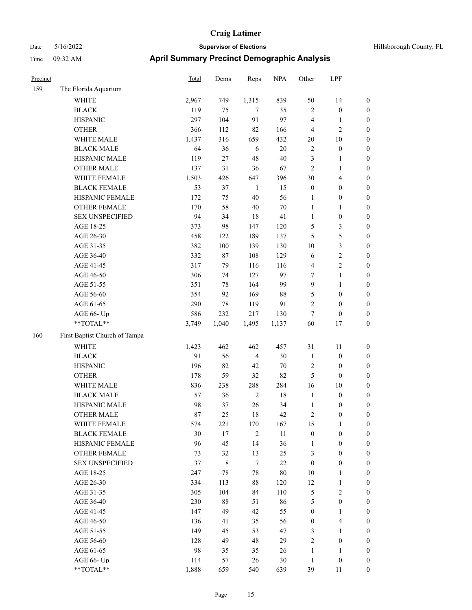| Precinct |                               | Total | Dems   | Reps           | <b>NPA</b> | Other            | LPF              |                  |
|----------|-------------------------------|-------|--------|----------------|------------|------------------|------------------|------------------|
| 159      | The Florida Aquarium          |       |        |                |            |                  |                  |                  |
|          | <b>WHITE</b>                  | 2,967 | 749    | 1,315          | 839        | 50               | 14               | $\boldsymbol{0}$ |
|          | <b>BLACK</b>                  | 119   | 75     | $\tau$         | 35         | $\overline{2}$   | $\boldsymbol{0}$ | $\boldsymbol{0}$ |
|          | <b>HISPANIC</b>               | 297   | 104    | 91             | 97         | $\overline{4}$   | 1                | $\boldsymbol{0}$ |
|          | <b>OTHER</b>                  | 366   | 112    | 82             | 166        | $\overline{4}$   | 2                | $\boldsymbol{0}$ |
|          | WHITE MALE                    | 1,437 | 316    | 659            | 432        | 20               | 10               | $\boldsymbol{0}$ |
|          | <b>BLACK MALE</b>             | 64    | 36     | $\sqrt{6}$     | $20\,$     | $\sqrt{2}$       | $\boldsymbol{0}$ | $\boldsymbol{0}$ |
|          | HISPANIC MALE                 | 119   | $27\,$ | 48             | 40         | 3                | 1                | $\boldsymbol{0}$ |
|          | <b>OTHER MALE</b>             | 137   | 31     | 36             | 67         | $\overline{2}$   | 1                | $\boldsymbol{0}$ |
|          | WHITE FEMALE                  | 1,503 | 426    | 647            | 396        | 30               | 4                | $\boldsymbol{0}$ |
|          | <b>BLACK FEMALE</b>           | 53    | 37     | $\mathbf{1}$   | 15         | $\boldsymbol{0}$ | $\boldsymbol{0}$ | $\boldsymbol{0}$ |
|          | HISPANIC FEMALE               | 172   | 75     | 40             | 56         | $\mathbf{1}$     | $\boldsymbol{0}$ | $\boldsymbol{0}$ |
|          | <b>OTHER FEMALE</b>           | 170   | 58     | 40             | 70         | $\mathbf{1}$     | 1                | $\boldsymbol{0}$ |
|          | <b>SEX UNSPECIFIED</b>        | 94    | 34     | 18             | 41         | $\mathbf{1}$     | $\boldsymbol{0}$ | $\boldsymbol{0}$ |
|          | AGE 18-25                     | 373   | 98     | 147            | 120        | 5                | 3                | $\boldsymbol{0}$ |
|          | AGE 26-30                     | 458   | 122    | 189            | 137        | 5                | 5                | $\boldsymbol{0}$ |
|          | AGE 31-35                     | 382   | 100    | 139            | 130        | 10               | 3                | $\boldsymbol{0}$ |
|          | AGE 36-40                     | 332   | 87     | 108            | 129        | 6                | 2                | $\boldsymbol{0}$ |
|          | AGE 41-45                     | 317   | 79     | 116            | 116        | $\overline{4}$   | 2                | $\boldsymbol{0}$ |
|          | AGE 46-50                     | 306   | 74     | 127            | 97         | $\tau$           | 1                | $\boldsymbol{0}$ |
|          | AGE 51-55                     | 351   | 78     | 164            | 99         | 9                | 1                | $\boldsymbol{0}$ |
|          | AGE 56-60                     | 354   | 92     | 169            | 88         | 5                | $\boldsymbol{0}$ | $\boldsymbol{0}$ |
|          | AGE 61-65                     | 290   | $78\,$ | 119            | 91         | $\overline{2}$   | $\boldsymbol{0}$ | $\boldsymbol{0}$ |
|          | AGE 66- Up                    | 586   | 232    | 217            | 130        | 7                | $\boldsymbol{0}$ | $\boldsymbol{0}$ |
|          | **TOTAL**                     | 3,749 | 1,040  | 1,495          | 1,137      | 60               | 17               | $\boldsymbol{0}$ |
| 160      | First Baptist Church of Tampa |       |        |                |            |                  |                  |                  |
|          | <b>WHITE</b>                  | 1,423 | 462    | 462            | 457        | 31               | 11               | $\boldsymbol{0}$ |
|          | <b>BLACK</b>                  | 91    | 56     | $\overline{4}$ | 30         | $\mathbf{1}$     | $\boldsymbol{0}$ | $\boldsymbol{0}$ |
|          | <b>HISPANIC</b>               | 196   | 82     | 42             | 70         | $\sqrt{2}$       | $\boldsymbol{0}$ | $\boldsymbol{0}$ |
|          | <b>OTHER</b>                  | 178   | 59     | 32             | 82         | 5                | $\boldsymbol{0}$ | $\boldsymbol{0}$ |
|          | WHITE MALE                    | 836   | 238    | 288            | 284        | 16               | 10               | $\boldsymbol{0}$ |
|          | <b>BLACK MALE</b>             | 57    | 36     | $\sqrt{2}$     | 18         | $\mathbf{1}$     | $\boldsymbol{0}$ | $\boldsymbol{0}$ |
|          | HISPANIC MALE                 | 98    | 37     | $26\,$         | 34         | $\mathbf{1}$     | $\boldsymbol{0}$ | $\boldsymbol{0}$ |
|          | <b>OTHER MALE</b>             | 87    | 25     | 18             | 42         | 2                | 0                | $\boldsymbol{0}$ |
|          | WHITE FEMALE                  | 574   | 221    | 170            | 167        | 15               | $\mathbf{1}$     | $\boldsymbol{0}$ |
|          | <b>BLACK FEMALE</b>           | 30    | $17\,$ | $\overline{2}$ | $11\,$     | $\boldsymbol{0}$ | $\boldsymbol{0}$ | $\boldsymbol{0}$ |
|          | HISPANIC FEMALE               | 96    | 45     | 14             | 36         | $\mathbf{1}$     | $\boldsymbol{0}$ | $\boldsymbol{0}$ |
|          | <b>OTHER FEMALE</b>           | 73    | 32     | 13             | $25\,$     | $\mathfrak{Z}$   | $\boldsymbol{0}$ | $\boldsymbol{0}$ |
|          | <b>SEX UNSPECIFIED</b>        | 37    | $8\,$  | $\tau$         | $22\,$     | $\boldsymbol{0}$ | $\boldsymbol{0}$ | $\boldsymbol{0}$ |
|          | AGE 18-25                     | 247   | 78     | $78\,$         | 80         | 10               | 1                | $\boldsymbol{0}$ |
|          | AGE 26-30                     | 334   | 113    | $88\,$         | 120        | 12               | 1                | $\boldsymbol{0}$ |
|          | AGE 31-35                     | 305   | 104    | 84             | 110        | 5                | $\sqrt{2}$       | $\boldsymbol{0}$ |
|          | AGE 36-40                     | 230   | $88\,$ | 51             | 86         | $\sqrt{5}$       | $\boldsymbol{0}$ | $\boldsymbol{0}$ |
|          | AGE 41-45                     | 147   | 49     | 42             | 55         | $\boldsymbol{0}$ | 1                | $\boldsymbol{0}$ |
|          | AGE 46-50                     | 136   | 41     | 35             | 56         | $\boldsymbol{0}$ | 4                | $\boldsymbol{0}$ |
|          | AGE 51-55                     | 149   | 45     | 53             | 47         | $\mathfrak{Z}$   | $\mathbf{1}$     | $\boldsymbol{0}$ |
|          | AGE 56-60                     | 128   | 49     | 48             | 29         | $\sqrt{2}$       | $\boldsymbol{0}$ | $\boldsymbol{0}$ |
|          | AGE 61-65                     | 98    | 35     | 35             | 26         | $\mathbf{1}$     | 1                | $\boldsymbol{0}$ |
|          | AGE 66- Up                    | 114   | 57     | 26             | 30         | $\mathbf{1}$     | $\boldsymbol{0}$ | $\boldsymbol{0}$ |
|          | **TOTAL**                     | 1,888 | 659    | 540            | 639        | 39               | 11               | $\boldsymbol{0}$ |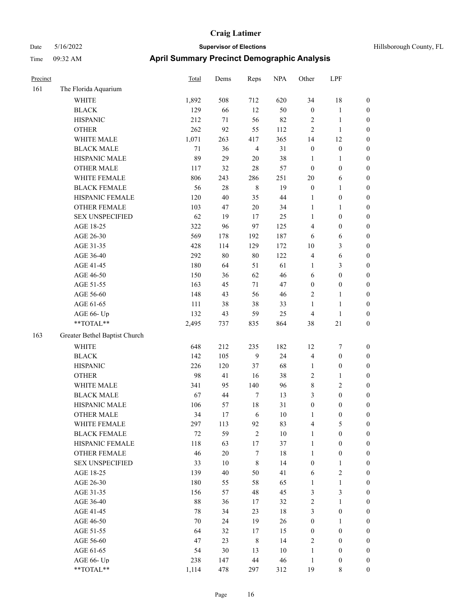| Hillsborough County, FL |  |  |
|-------------------------|--|--|
|-------------------------|--|--|

| Precinct |                               | Total  | Dems   | Reps             | <b>NPA</b> | Other            | LPF              |                  |
|----------|-------------------------------|--------|--------|------------------|------------|------------------|------------------|------------------|
| 161      | The Florida Aquarium          |        |        |                  |            |                  |                  |                  |
|          | <b>WHITE</b>                  | 1,892  | 508    | 712              | 620        | 34               | $18\,$           | $\boldsymbol{0}$ |
|          | $_{\rm BLACK}$                | 129    | 66     | 12               | 50         | $\boldsymbol{0}$ | $\mathbf{1}$     | $\boldsymbol{0}$ |
|          | <b>HISPANIC</b>               | 212    | 71     | 56               | 82         | $\overline{2}$   | $\mathbf{1}$     | $\boldsymbol{0}$ |
|          | <b>OTHER</b>                  | 262    | 92     | 55               | 112        | 2                | $\mathbf{1}$     | $\boldsymbol{0}$ |
|          | WHITE MALE                    | 1,071  | 263    | 417              | 365        | 14               | 12               | $\boldsymbol{0}$ |
|          | <b>BLACK MALE</b>             | $71\,$ | 36     | $\overline{4}$   | 31         | $\boldsymbol{0}$ | $\boldsymbol{0}$ | $\boldsymbol{0}$ |
|          | HISPANIC MALE                 | 89     | 29     | $20\,$           | 38         | $\mathbf{1}$     | $\mathbf{1}$     | $\boldsymbol{0}$ |
|          | <b>OTHER MALE</b>             | 117    | 32     | $28\,$           | 57         | $\boldsymbol{0}$ | $\boldsymbol{0}$ | $\boldsymbol{0}$ |
|          | WHITE FEMALE                  | 806    | 243    | 286              | 251        | 20               | 6                | $\boldsymbol{0}$ |
|          | <b>BLACK FEMALE</b>           | 56     | 28     | $\,8\,$          | 19         | $\boldsymbol{0}$ | $\mathbf{1}$     | 0                |
|          | HISPANIC FEMALE               | 120    | 40     | 35               | 44         | 1                | $\boldsymbol{0}$ | $\boldsymbol{0}$ |
|          | OTHER FEMALE                  | 103    | 47     | $20\,$           | 34         | $\mathbf{1}$     | $\mathbf{1}$     | $\boldsymbol{0}$ |
|          | <b>SEX UNSPECIFIED</b>        | 62     | 19     | 17               | 25         | $\mathbf{1}$     | $\boldsymbol{0}$ | $\boldsymbol{0}$ |
|          | AGE 18-25                     | 322    | 96     | 97               | 125        | 4                | $\boldsymbol{0}$ | $\boldsymbol{0}$ |
|          | AGE 26-30                     | 569    | 178    | 192              | 187        | 6                | 6                | $\boldsymbol{0}$ |
|          | AGE 31-35                     | 428    | 114    | 129              | 172        | 10               | $\mathfrak{Z}$   | $\boldsymbol{0}$ |
|          | AGE 36-40                     | 292    | $80\,$ | $80\,$           | 122        | $\overline{4}$   | $\sqrt{6}$       | $\boldsymbol{0}$ |
|          | AGE 41-45                     | 180    | 64     | 51               | 61         | 1                | $\mathfrak{Z}$   | $\boldsymbol{0}$ |
|          | AGE 46-50                     | 150    | 36     | 62               | 46         | 6                | $\boldsymbol{0}$ | $\boldsymbol{0}$ |
|          | AGE 51-55                     | 163    | 45     | 71               | 47         | $\boldsymbol{0}$ | $\boldsymbol{0}$ | 0                |
|          | AGE 56-60                     | 148    | 43     | 56               | 46         | 2                | $\mathbf{1}$     | $\boldsymbol{0}$ |
|          | AGE 61-65                     | 111    | 38     | 38               | 33         | $\mathbf{1}$     | $\mathbf{1}$     | $\boldsymbol{0}$ |
|          | AGE 66- Up                    | 132    | 43     | 59               | 25         | 4                | $\mathbf{1}$     | $\boldsymbol{0}$ |
|          | **TOTAL**                     | 2,495  | 737    | 835              | 864        | 38               | $21\,$           | $\boldsymbol{0}$ |
| 163      | Greater Bethel Baptist Church |        |        |                  |            |                  |                  |                  |
|          | <b>WHITE</b>                  | 648    | 212    | 235              | 182        | 12               | 7                | $\boldsymbol{0}$ |
|          | <b>BLACK</b>                  | 142    | 105    | $\overline{9}$   | 24         | $\overline{4}$   | $\boldsymbol{0}$ | $\boldsymbol{0}$ |
|          | <b>HISPANIC</b>               | 226    | 120    | 37               | 68         | $\mathbf{1}$     | $\boldsymbol{0}$ | $\boldsymbol{0}$ |
|          | <b>OTHER</b>                  | 98     | 41     | 16               | 38         | $\mathfrak{2}$   | $\mathbf{1}$     | $\boldsymbol{0}$ |
|          | WHITE MALE                    | 341    | 95     | 140              | 96         | 8                | $\sqrt{2}$       | $\boldsymbol{0}$ |
|          | <b>BLACK MALE</b>             | 67     | 44     | $\tau$           | 13         | 3                | $\boldsymbol{0}$ | $\boldsymbol{0}$ |
|          | HISPANIC MALE                 | 106    | 57     | 18               | 31         | $\boldsymbol{0}$ | $\boldsymbol{0}$ | 0                |
|          | <b>OTHER MALE</b>             | 34     | 17     | 6                | 10         | 1                | $\boldsymbol{0}$ | $\boldsymbol{0}$ |
|          | WHITE FEMALE                  | 297    | 113    | 92               | 83         | $\overline{4}$   | $\mathfrak{S}$   | $\boldsymbol{0}$ |
|          | <b>BLACK FEMALE</b>           | $72\,$ | 59     | $\sqrt{2}$       | $10\,$     | $\mathbf{1}$     | $\boldsymbol{0}$ | $\boldsymbol{0}$ |
|          | HISPANIC FEMALE               | 118    | 63     | 17               | 37         | $\mathbf{1}$     | $\boldsymbol{0}$ | $\overline{0}$   |
|          | <b>OTHER FEMALE</b>           | 46     | $20\,$ | $\boldsymbol{7}$ | $18\,$     | $\mathbf{1}$     | $\boldsymbol{0}$ | 0                |
|          | <b>SEX UNSPECIFIED</b>        | 33     | 10     | $\,8\,$          | 14         | $\boldsymbol{0}$ | $\mathbf{1}$     | 0                |
|          | AGE 18-25                     | 139    | 40     | 50               | 41         | 6                | $\sqrt{2}$       | 0                |
|          | AGE 26-30                     | 180    | 55     | 58               | 65         | $\mathbf{1}$     | $\mathbf{1}$     | 0                |
|          | AGE 31-35                     | 156    | 57     | 48               | 45         | 3                | $\mathfrak{Z}$   | 0                |
|          | AGE 36-40                     | 88     | 36     | 17               | 32         | $\sqrt{2}$       | $\mathbf{1}$     | 0                |
|          | AGE 41-45                     | 78     | 34     | 23               | $18\,$     | $\mathfrak{Z}$   | $\boldsymbol{0}$ | 0                |
|          | AGE 46-50                     | 70     | 24     | 19               | 26         | $\boldsymbol{0}$ | $\mathbf{1}$     | $\boldsymbol{0}$ |
|          | AGE 51-55                     | 64     | 32     | 17               | 15         | $\boldsymbol{0}$ | $\boldsymbol{0}$ | $\boldsymbol{0}$ |
|          | AGE 56-60                     | 47     | 23     | $\,$ 8 $\,$      | 14         | 2                | $\boldsymbol{0}$ | $\overline{0}$   |
|          | AGE 61-65                     | 54     | 30     | 13               | $10\,$     | $\mathbf{1}$     | $\boldsymbol{0}$ | 0                |
|          | AGE 66- Up                    | 238    | 147    | 44               | 46         | $\mathbf{1}$     | $\boldsymbol{0}$ | $\boldsymbol{0}$ |
|          | $**TOTAL**$                   | 1,114  | 478    | 297              | 312        | 19               | $\,$ 8 $\,$      | $\overline{0}$   |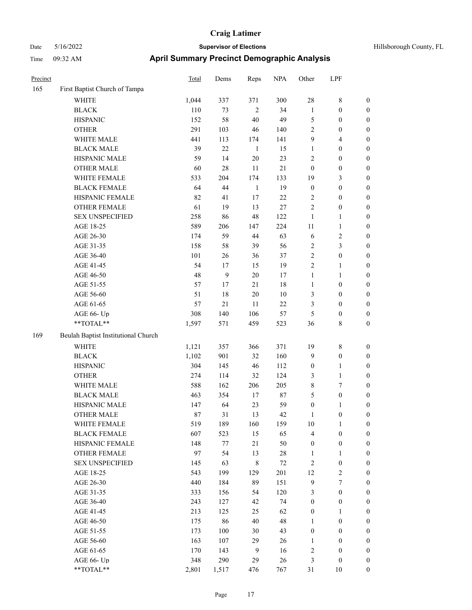| Precinct |                                     | <b>Total</b> | Dems         | Reps           | <b>NPA</b> | Other            | LPF              |                  |
|----------|-------------------------------------|--------------|--------------|----------------|------------|------------------|------------------|------------------|
| 165      | First Baptist Church of Tampa       |              |              |                |            |                  |                  |                  |
|          | <b>WHITE</b>                        | 1,044        | 337          | 371            | 300        | 28               | 8                | $\boldsymbol{0}$ |
|          | <b>BLACK</b>                        | 110          | 73           | $\overline{2}$ | 34         | $\mathbf{1}$     | $\boldsymbol{0}$ | $\boldsymbol{0}$ |
|          | <b>HISPANIC</b>                     | 152          | 58           | $40\,$         | 49         | $\mathfrak{S}$   | $\boldsymbol{0}$ | $\boldsymbol{0}$ |
|          | <b>OTHER</b>                        | 291          | 103          | 46             | 140        | $\overline{2}$   | $\boldsymbol{0}$ | $\boldsymbol{0}$ |
|          | WHITE MALE                          | 441          | 113          | 174            | 141        | 9                | 4                | $\boldsymbol{0}$ |
|          | <b>BLACK MALE</b>                   | 39           | 22           | $\mathbf{1}$   | 15         | $\mathbf{1}$     | $\boldsymbol{0}$ | $\boldsymbol{0}$ |
|          | HISPANIC MALE                       | 59           | 14           | $20\,$         | 23         | $\sqrt{2}$       | $\boldsymbol{0}$ | $\boldsymbol{0}$ |
|          | <b>OTHER MALE</b>                   | 60           | $28\,$       | 11             | $21\,$     | $\mathbf{0}$     | $\boldsymbol{0}$ | $\boldsymbol{0}$ |
|          | WHITE FEMALE                        | 533          | 204          | 174            | 133        | 19               | 3                | $\boldsymbol{0}$ |
|          | <b>BLACK FEMALE</b>                 | 64           | 44           | $\mathbf{1}$   | 19         | $\boldsymbol{0}$ | $\boldsymbol{0}$ | $\boldsymbol{0}$ |
|          | HISPANIC FEMALE                     | 82           | 41           | 17             | 22         | $\sqrt{2}$       | $\boldsymbol{0}$ | $\boldsymbol{0}$ |
|          | <b>OTHER FEMALE</b>                 | 61           | 19           | 13             | 27         | $\overline{2}$   | $\boldsymbol{0}$ | $\boldsymbol{0}$ |
|          | <b>SEX UNSPECIFIED</b>              | 258          | 86           | 48             | 122        | $\mathbf{1}$     | 1                | $\boldsymbol{0}$ |
|          | AGE 18-25                           | 589          | 206          | 147            | 224        | 11               | $\mathbf{1}$     | $\boldsymbol{0}$ |
|          | AGE 26-30                           | 174          | 59           | 44             | 63         | 6                | 2                | $\boldsymbol{0}$ |
|          | AGE 31-35                           | 158          | 58           | 39             | 56         | $\sqrt{2}$       | 3                | $\boldsymbol{0}$ |
|          | AGE 36-40                           | 101          | 26           | 36             | 37         | $\sqrt{2}$       | $\boldsymbol{0}$ | $\boldsymbol{0}$ |
|          | AGE 41-45                           | 54           | 17           | 15             | 19         | $\sqrt{2}$       | 1                | $\boldsymbol{0}$ |
|          | AGE 46-50                           | 48           | $\mathbf{9}$ | $20\,$         | 17         | $\mathbf{1}$     | 1                | $\boldsymbol{0}$ |
|          | AGE 51-55                           | 57           | 17           | 21             | 18         | $\mathbf{1}$     | $\boldsymbol{0}$ | $\boldsymbol{0}$ |
|          | AGE 56-60                           | 51           | 18           | $20\,$         | 10         | 3                | $\boldsymbol{0}$ | $\boldsymbol{0}$ |
|          | AGE 61-65                           | 57           | $21\,$       | 11             | $22\,$     | 3                | $\boldsymbol{0}$ | $\boldsymbol{0}$ |
|          | AGE 66- Up                          | 308          | 140          | 106            | 57         | 5                | $\boldsymbol{0}$ | $\boldsymbol{0}$ |
|          | **TOTAL**                           | 1,597        | 571          | 459            | 523        | 36               | 8                | $\boldsymbol{0}$ |
| 169      | Beulah Baptist Institutional Church |              |              |                |            |                  |                  |                  |
|          | <b>WHITE</b>                        | 1,121        | 357          | 366            | 371        | 19               | 8                | $\boldsymbol{0}$ |
|          | <b>BLACK</b>                        | 1,102        | 901          | 32             | 160        | 9                | $\boldsymbol{0}$ | $\boldsymbol{0}$ |
|          | <b>HISPANIC</b>                     | 304          | 145          | 46             | 112        | $\boldsymbol{0}$ | 1                | $\boldsymbol{0}$ |
|          | <b>OTHER</b>                        | 274          | 114          | 32             | 124        | 3                | 1                | $\boldsymbol{0}$ |
|          | WHITE MALE                          | 588          | 162          | 206            | 205        | $\,$ 8 $\,$      | 7                | $\boldsymbol{0}$ |
|          | <b>BLACK MALE</b>                   | 463          | 354          | 17             | 87         | 5                | $\boldsymbol{0}$ | $\boldsymbol{0}$ |
|          | HISPANIC MALE                       | 147          | 64           | 23             | 59         | $\boldsymbol{0}$ | 1                | $\boldsymbol{0}$ |
|          | <b>OTHER MALE</b>                   | 87           | 31           | 13             | 42         | 1                | $\boldsymbol{0}$ | $\boldsymbol{0}$ |
|          | WHITE FEMALE                        | 519          | 189          | 160            | 159        | $10\,$           | $\mathbf{1}$     | $\boldsymbol{0}$ |
|          | <b>BLACK FEMALE</b>                 | 607          | 523          | 15             | 65         | $\overline{4}$   | $\boldsymbol{0}$ | $\boldsymbol{0}$ |
|          | HISPANIC FEMALE                     | 148          | 77           | 21             | 50         | $\boldsymbol{0}$ | $\boldsymbol{0}$ | $\boldsymbol{0}$ |
|          | OTHER FEMALE                        | 97           | 54           | 13             | 28         | $\mathbf{1}$     | 1                | $\boldsymbol{0}$ |
|          | <b>SEX UNSPECIFIED</b>              | 145          | 63           | $\,$ 8 $\,$    | $72\,$     | $\sqrt{2}$       | $\boldsymbol{0}$ | $\boldsymbol{0}$ |
|          | AGE 18-25                           | 543          | 199          | 129            | 201        | 12               | $\sqrt{2}$       | $\boldsymbol{0}$ |
|          | AGE 26-30                           | 440          | 184          | 89             | 151        | $\mathbf{9}$     | 7                | $\boldsymbol{0}$ |
|          | AGE 31-35                           | 333          | 156          | 54             | 120        | 3                | $\boldsymbol{0}$ | $\boldsymbol{0}$ |
|          | AGE 36-40                           | 243          | 127          | 42             | 74         | $\boldsymbol{0}$ | $\boldsymbol{0}$ | $\boldsymbol{0}$ |
|          | AGE 41-45                           | 213          | 125          | 25             | 62         | $\boldsymbol{0}$ | 1                | $\boldsymbol{0}$ |
|          | AGE 46-50                           | 175          | 86           | 40             | 48         | $\mathbf{1}$     | $\boldsymbol{0}$ | $\boldsymbol{0}$ |
|          | AGE 51-55                           | 173          | $100\,$      | 30             | 43         | $\boldsymbol{0}$ | $\boldsymbol{0}$ | $\boldsymbol{0}$ |
|          | AGE 56-60                           | 163          | 107          | 29             | 26         | $\mathbf{1}$     | $\boldsymbol{0}$ | $\boldsymbol{0}$ |
|          | AGE 61-65                           | 170          | 143          | $\overline{9}$ | 16         | $\sqrt{2}$       | $\boldsymbol{0}$ | $\boldsymbol{0}$ |
|          | AGE 66- Up                          | 348          | 290          | 29             | 26         | $\mathfrak{Z}$   | $\boldsymbol{0}$ | $\boldsymbol{0}$ |
|          | $**TOTAL**$                         | 2,801        | 1,517        | 476            | 767        | 31               | $10\,$           | $\mathbf{0}$     |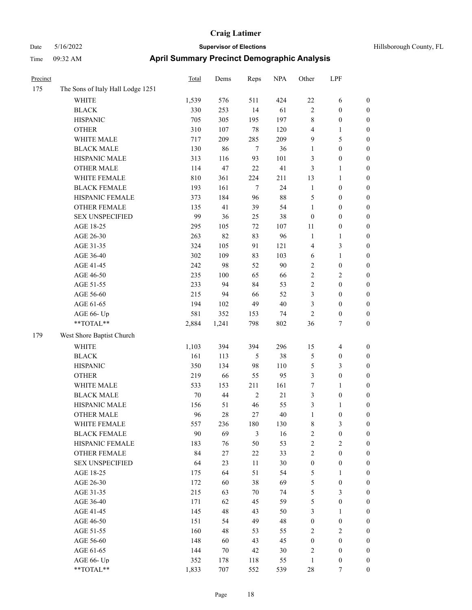| Precinct |                                   | <b>Total</b> | Dems  | Reps           | <b>NPA</b> | Other            | LPF              |                  |
|----------|-----------------------------------|--------------|-------|----------------|------------|------------------|------------------|------------------|
| 175      | The Sons of Italy Hall Lodge 1251 |              |       |                |            |                  |                  |                  |
|          | WHITE                             | 1,539        | 576   | 511            | 424        | $22\,$           | 6                | $\boldsymbol{0}$ |
|          | <b>BLACK</b>                      | 330          | 253   | 14             | 61         | $\sqrt{2}$       | $\boldsymbol{0}$ | $\boldsymbol{0}$ |
|          | <b>HISPANIC</b>                   | 705          | 305   | 195            | 197        | $\,$ 8 $\,$      | $\boldsymbol{0}$ | $\boldsymbol{0}$ |
|          | <b>OTHER</b>                      | 310          | 107   | $78\,$         | 120        | $\overline{4}$   | 1                | $\boldsymbol{0}$ |
|          | WHITE MALE                        | 717          | 209   | 285            | 209        | 9                | 5                | $\boldsymbol{0}$ |
|          | <b>BLACK MALE</b>                 | 130          | 86    | $\tau$         | 36         | 1                | $\boldsymbol{0}$ | $\boldsymbol{0}$ |
|          | HISPANIC MALE                     | 313          | 116   | 93             | 101        | $\mathfrak{Z}$   | $\boldsymbol{0}$ | $\boldsymbol{0}$ |
|          | <b>OTHER MALE</b>                 | 114          | 47    | 22             | 41         | $\mathfrak{Z}$   | 1                | $\boldsymbol{0}$ |
|          | WHITE FEMALE                      | 810          | 361   | 224            | 211        | 13               | 1                | $\boldsymbol{0}$ |
|          | <b>BLACK FEMALE</b>               | 193          | 161   | $\tau$         | 24         | $\mathbf{1}$     | $\boldsymbol{0}$ | $\boldsymbol{0}$ |
|          | HISPANIC FEMALE                   | 373          | 184   | 96             | 88         | 5                | $\boldsymbol{0}$ | $\boldsymbol{0}$ |
|          | <b>OTHER FEMALE</b>               | 135          | 41    | 39             | 54         | $\mathbf{1}$     | $\boldsymbol{0}$ | $\boldsymbol{0}$ |
|          | <b>SEX UNSPECIFIED</b>            | 99           | 36    | 25             | 38         | $\boldsymbol{0}$ | $\boldsymbol{0}$ | $\boldsymbol{0}$ |
|          | AGE 18-25                         | 295          | 105   | 72             | 107        | 11               | $\boldsymbol{0}$ | $\boldsymbol{0}$ |
|          | AGE 26-30                         | 263          | 82    | 83             | 96         | $\mathbf{1}$     | 1                | $\boldsymbol{0}$ |
|          | AGE 31-35                         | 324          | 105   | 91             | 121        | $\overline{4}$   | 3                | $\boldsymbol{0}$ |
|          | AGE 36-40                         | 302          | 109   | 83             | 103        | 6                | 1                | $\boldsymbol{0}$ |
|          | AGE 41-45                         | 242          | 98    | 52             | 90         | $\overline{2}$   | $\boldsymbol{0}$ | $\boldsymbol{0}$ |
|          | AGE 46-50                         | 235          | 100   | 65             | 66         | $\sqrt{2}$       | 2                | $\boldsymbol{0}$ |
|          | AGE 51-55                         | 233          | 94    | 84             | 53         | $\sqrt{2}$       | $\boldsymbol{0}$ | $\boldsymbol{0}$ |
|          | AGE 56-60                         | 215          | 94    | 66             | 52         | $\mathfrak{Z}$   | $\boldsymbol{0}$ | $\boldsymbol{0}$ |
|          | AGE 61-65                         | 194          | 102   | 49             | $40\,$     | 3                | $\boldsymbol{0}$ | $\boldsymbol{0}$ |
|          | AGE 66- Up                        | 581          | 352   | 153            | 74         | $\overline{2}$   | $\boldsymbol{0}$ | $\boldsymbol{0}$ |
|          | **TOTAL**                         | 2,884        | 1,241 | 798            | 802        | 36               | 7                | $\boldsymbol{0}$ |
| 179      | West Shore Baptist Church         |              |       |                |            |                  |                  |                  |
|          | <b>WHITE</b>                      | 1,103        | 394   | 394            | 296        | 15               | $\overline{4}$   | $\boldsymbol{0}$ |
|          | <b>BLACK</b>                      | 161          | 113   | 5              | 38         | 5                | $\boldsymbol{0}$ | $\boldsymbol{0}$ |
|          | <b>HISPANIC</b>                   | 350          | 134   | 98             | 110        | $\mathfrak{S}$   | 3                | $\boldsymbol{0}$ |
|          | <b>OTHER</b>                      | 219          | 66    | 55             | 95         | $\mathfrak{Z}$   | $\boldsymbol{0}$ | $\boldsymbol{0}$ |
|          | WHITE MALE                        | 533          | 153   | 211            | 161        | $\boldsymbol{7}$ | 1                | $\boldsymbol{0}$ |
|          | <b>BLACK MALE</b>                 | $70\,$       | 44    | 2              | $21\,$     | $\mathfrak{Z}$   | $\boldsymbol{0}$ | $\boldsymbol{0}$ |
|          | HISPANIC MALE                     | 156          | 51    | 46             | 55         | 3                | 1                | $\boldsymbol{0}$ |
|          | <b>OTHER MALE</b>                 | 96           | 28    | 27             | 40         | $\mathbf{1}$     | $\boldsymbol{0}$ | $\boldsymbol{0}$ |
|          | WHITE FEMALE                      | 557          | 236   | 180            | 130        | $\,$ 8 $\,$      | 3                | $\mathbf{0}$     |
|          | <b>BLACK FEMALE</b>               | 90           | 69    | $\mathfrak{Z}$ | 16         | $\sqrt{2}$       | $\boldsymbol{0}$ | $\boldsymbol{0}$ |
|          | HISPANIC FEMALE                   | 183          | 76    | 50             | 53         | $\sqrt{2}$       | $\sqrt{2}$       | $\boldsymbol{0}$ |
|          | <b>OTHER FEMALE</b>               | 84           | 27    | $22\,$         | 33         | $\sqrt{2}$       | $\boldsymbol{0}$ | $\boldsymbol{0}$ |
|          | <b>SEX UNSPECIFIED</b>            | 64           | 23    | 11             | 30         | $\boldsymbol{0}$ | $\boldsymbol{0}$ | $\boldsymbol{0}$ |
|          | AGE 18-25                         | 175          | 64    | 51             | 54         | $\sqrt{5}$       | $\mathbf{1}$     | $\boldsymbol{0}$ |
|          | AGE 26-30                         | 172          | 60    | 38             | 69         | $\mathfrak{S}$   | $\boldsymbol{0}$ | $\boldsymbol{0}$ |
|          | AGE 31-35                         | 215          | 63    | 70             | 74         | $\mathfrak{S}$   | 3                | $\boldsymbol{0}$ |
|          | AGE 36-40                         | 171          | 62    | 45             | 59         | $\mathfrak{S}$   | $\boldsymbol{0}$ | $\boldsymbol{0}$ |
|          | AGE 41-45                         | 145          | 48    | 43             | 50         | 3                | $\mathbf{1}$     | $\boldsymbol{0}$ |
|          | AGE 46-50                         | 151          | 54    | 49             | 48         | $\boldsymbol{0}$ | $\boldsymbol{0}$ | $\boldsymbol{0}$ |
|          | AGE 51-55                         | 160          | 48    | 53             | 55         | $\sqrt{2}$       | 2                | $\boldsymbol{0}$ |
|          | AGE 56-60                         | 148          | 60    | 43             | 45         | $\boldsymbol{0}$ | $\boldsymbol{0}$ | $\boldsymbol{0}$ |
|          | AGE 61-65                         | 144          | 70    | 42             | 30         | $\sqrt{2}$       | $\boldsymbol{0}$ | $\boldsymbol{0}$ |
|          | AGE 66- Up                        | 352          | 178   | 118            | 55         | $\mathbf{1}$     | $\boldsymbol{0}$ | $\bf{0}$         |
|          | **TOTAL**                         | 1,833        | 707   | 552            | 539        | $28\,$           | $\tau$           | $\mathbf{0}$     |
|          |                                   |              |       |                |            |                  |                  |                  |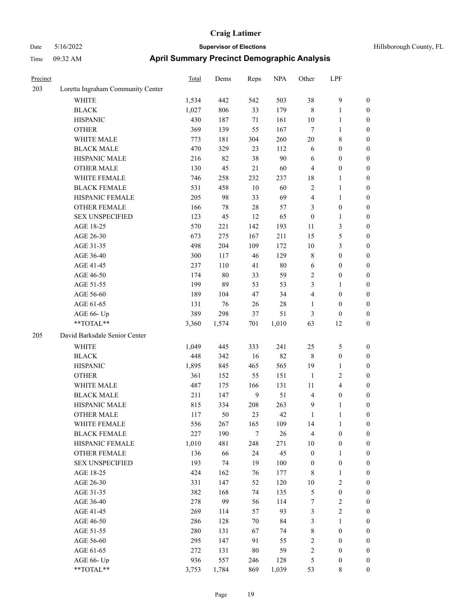| Precinct |                                   | Total | Dems  | Reps   | <b>NPA</b> | Other            | LPF              |                  |
|----------|-----------------------------------|-------|-------|--------|------------|------------------|------------------|------------------|
| 203      | Loretta Ingraham Community Center |       |       |        |            |                  |                  |                  |
|          | <b>WHITE</b>                      | 1,534 | 442   | 542    | 503        | 38               | $\mathbf{9}$     | $\boldsymbol{0}$ |
|          | <b>BLACK</b>                      | 1,027 | 806   | 33     | 179        | $\,8\,$          | 1                | $\boldsymbol{0}$ |
|          | <b>HISPANIC</b>                   | 430   | 187   | 71     | 161        | 10               | 1                | $\boldsymbol{0}$ |
|          | <b>OTHER</b>                      | 369   | 139   | 55     | 167        | $\tau$           | 1                | $\boldsymbol{0}$ |
|          | WHITE MALE                        | 773   | 181   | 304    | 260        | 20               | 8                | $\boldsymbol{0}$ |
|          | <b>BLACK MALE</b>                 | 470   | 329   | 23     | 112        | 6                | $\boldsymbol{0}$ | $\boldsymbol{0}$ |
|          | HISPANIC MALE                     | 216   | 82    | 38     | 90         | 6                | $\boldsymbol{0}$ | $\boldsymbol{0}$ |
|          | <b>OTHER MALE</b>                 | 130   | 45    | 21     | 60         | $\overline{4}$   | $\boldsymbol{0}$ | $\boldsymbol{0}$ |
|          | WHITE FEMALE                      | 746   | 258   | 232    | 237        | 18               | 1                | $\boldsymbol{0}$ |
|          | <b>BLACK FEMALE</b>               | 531   | 458   | $10\,$ | 60         | $\sqrt{2}$       | 1                | $\boldsymbol{0}$ |
|          | HISPANIC FEMALE                   | 205   | 98    | 33     | 69         | $\overline{4}$   | 1                | $\boldsymbol{0}$ |
|          | <b>OTHER FEMALE</b>               | 166   | 78    | 28     | 57         | 3                | $\boldsymbol{0}$ | $\boldsymbol{0}$ |
|          | <b>SEX UNSPECIFIED</b>            | 123   | 45    | 12     | 65         | $\boldsymbol{0}$ | 1                | $\boldsymbol{0}$ |
|          | AGE 18-25                         | 570   | 221   | 142    | 193        | 11               | 3                | $\boldsymbol{0}$ |
|          | AGE 26-30                         | 673   | 275   | 167    | 211        | 15               | 5                | $\boldsymbol{0}$ |
|          | AGE 31-35                         | 498   | 204   | 109    | 172        | 10               | 3                | $\boldsymbol{0}$ |
|          | AGE 36-40                         | 300   | 117   | 46     | 129        | $\,$ 8 $\,$      | $\boldsymbol{0}$ | $\boldsymbol{0}$ |
|          | AGE 41-45                         | 237   | 110   | 41     | $80\,$     | 6                | $\boldsymbol{0}$ | $\boldsymbol{0}$ |
|          | AGE 46-50                         | 174   | 80    | 33     | 59         | $\sqrt{2}$       | $\boldsymbol{0}$ | $\boldsymbol{0}$ |
|          | AGE 51-55                         | 199   | 89    | 53     | 53         | 3                | 1                | $\boldsymbol{0}$ |
|          | AGE 56-60                         | 189   | 104   | 47     | 34         | $\overline{4}$   | $\boldsymbol{0}$ | $\boldsymbol{0}$ |
|          | AGE 61-65                         | 131   | 76    | 26     | 28         | $\mathbf{1}$     | $\boldsymbol{0}$ | $\boldsymbol{0}$ |
|          | AGE 66- Up                        | 389   | 298   | 37     | 51         | 3                | $\boldsymbol{0}$ | $\boldsymbol{0}$ |
|          | **TOTAL**                         | 3,360 | 1,574 | 701    | 1,010      | 63               | 12               | $\boldsymbol{0}$ |
| 205      | David Barksdale Senior Center     |       |       |        |            |                  |                  |                  |
|          | WHITE                             | 1,049 | 445   | 333    | 241        | 25               | 5                | $\boldsymbol{0}$ |
|          | <b>BLACK</b>                      | 448   | 342   | 16     | 82         | $\,8\,$          | $\boldsymbol{0}$ | $\boldsymbol{0}$ |
|          | <b>HISPANIC</b>                   | 1,895 | 845   | 465    | 565        | 19               | 1                | $\boldsymbol{0}$ |
|          | <b>OTHER</b>                      | 361   | 152   | 55     | 151        | $\mathbf{1}$     | $\overline{c}$   | $\boldsymbol{0}$ |
|          | WHITE MALE                        | 487   | 175   | 166    | 131        | 11               | 4                | $\boldsymbol{0}$ |
|          | <b>BLACK MALE</b>                 | 211   | 147   | 9      | 51         | $\overline{4}$   | $\boldsymbol{0}$ | $\boldsymbol{0}$ |
|          | HISPANIC MALE                     | 815   | 334   | 208    | 263        | 9                | 1                | $\boldsymbol{0}$ |
|          | <b>OTHER MALE</b>                 | 117   | 50    | 23     | 42         | 1                | 1                | $\boldsymbol{0}$ |
|          | WHITE FEMALE                      | 556   | 267   | 165    | 109        | 14               | $\mathbf{1}$     | $\boldsymbol{0}$ |
|          | <b>BLACK FEMALE</b>               | 227   | 190   | $\tau$ | $26\,$     | $\overline{4}$   | $\boldsymbol{0}$ | $\boldsymbol{0}$ |
|          | HISPANIC FEMALE                   | 1,010 | 481   | 248    | 271        | 10               | $\boldsymbol{0}$ | $\boldsymbol{0}$ |
|          | OTHER FEMALE                      | 136   | 66    | 24     | 45         | $\boldsymbol{0}$ | 1                | $\boldsymbol{0}$ |
|          | <b>SEX UNSPECIFIED</b>            | 193   | 74    | 19     | 100        | $\boldsymbol{0}$ | $\boldsymbol{0}$ | $\boldsymbol{0}$ |
|          | AGE 18-25                         | 424   | 162   | 76     | 177        | $\,8\,$          | 1                | $\boldsymbol{0}$ |
|          | AGE 26-30                         | 331   | 147   | 52     | 120        | 10               | 2                | $\boldsymbol{0}$ |
|          | AGE 31-35                         | 382   | 168   | 74     | 135        | $\mathfrak s$    | $\boldsymbol{0}$ | $\boldsymbol{0}$ |
|          | AGE 36-40                         | 278   | 99    | 56     | 114        | $\boldsymbol{7}$ | $\sqrt{2}$       | $\boldsymbol{0}$ |
|          | AGE 41-45                         | 269   | 114   | 57     | 93         | $\mathfrak{Z}$   | $\overline{c}$   | $\boldsymbol{0}$ |
|          | AGE 46-50                         | 286   | 128   | 70     | 84         | $\mathfrak{Z}$   | $\mathbf{1}$     | $\boldsymbol{0}$ |
|          | AGE 51-55                         | 280   | 131   | 67     | 74         | $\,$ 8 $\,$      | $\boldsymbol{0}$ | $\boldsymbol{0}$ |
|          | AGE 56-60                         | 295   | 147   | 91     | 55         | $\sqrt{2}$       | $\boldsymbol{0}$ | $\boldsymbol{0}$ |
|          | AGE 61-65                         | 272   | 131   | 80     | 59         | $\sqrt{2}$       | $\boldsymbol{0}$ | $\boldsymbol{0}$ |
|          | AGE 66- Up                        | 936   | 557   | 246    | 128        | $\mathfrak{S}$   | $\boldsymbol{0}$ | $\boldsymbol{0}$ |
|          | **TOTAL**                         | 3,753 | 1,784 | 869    | 1,039      | 53               | $8\,$            | $\boldsymbol{0}$ |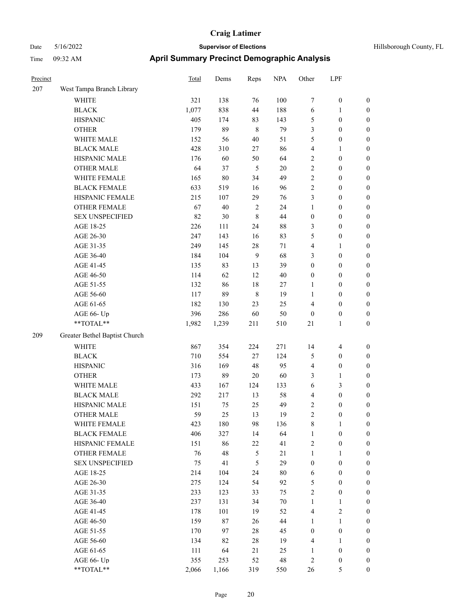| Hillsborough County, FL |  |  |
|-------------------------|--|--|
|-------------------------|--|--|

| Precinct |                               | Total | Dems   | Reps             | <b>NPA</b> | Other            | LPF              |                  |
|----------|-------------------------------|-------|--------|------------------|------------|------------------|------------------|------------------|
| 207      | West Tampa Branch Library     |       |        |                  |            |                  |                  |                  |
|          | WHITE                         | 321   | 138    | 76               | 100        | 7                | $\boldsymbol{0}$ | $\boldsymbol{0}$ |
|          | <b>BLACK</b>                  | 1,077 | 838    | 44               | 188        | 6                | $\mathbf{1}$     | $\boldsymbol{0}$ |
|          | <b>HISPANIC</b>               | 405   | 174    | 83               | 143        | 5                | $\boldsymbol{0}$ | 0                |
|          | <b>OTHER</b>                  | 179   | 89     | $\,8\,$          | 79         | 3                | $\boldsymbol{0}$ | $\boldsymbol{0}$ |
|          | WHITE MALE                    | 152   | 56     | $40\,$           | 51         | 5                | $\boldsymbol{0}$ | $\boldsymbol{0}$ |
|          | <b>BLACK MALE</b>             | 428   | 310    | $27\,$           | 86         | 4                | $\mathbf{1}$     | $\boldsymbol{0}$ |
|          | HISPANIC MALE                 | 176   | 60     | 50               | 64         | 2                | $\boldsymbol{0}$ | $\boldsymbol{0}$ |
|          | <b>OTHER MALE</b>             | 64    | 37     | $\sqrt{5}$       | $20\,$     | $\sqrt{2}$       | $\boldsymbol{0}$ | $\boldsymbol{0}$ |
|          | WHITE FEMALE                  | 165   | $80\,$ | 34               | 49         | $\sqrt{2}$       | $\boldsymbol{0}$ | $\boldsymbol{0}$ |
|          | <b>BLACK FEMALE</b>           | 633   | 519    | 16               | 96         | $\overline{c}$   | $\boldsymbol{0}$ | $\boldsymbol{0}$ |
|          | HISPANIC FEMALE               | 215   | 107    | 29               | 76         | 3                | $\boldsymbol{0}$ | $\boldsymbol{0}$ |
|          | OTHER FEMALE                  | 67    | 40     | $\overline{2}$   | 24         | $\mathbf{1}$     | $\boldsymbol{0}$ | 0                |
|          | <b>SEX UNSPECIFIED</b>        | 82    | 30     | $\,$ 8 $\,$      | 44         | $\boldsymbol{0}$ | $\boldsymbol{0}$ | 0                |
|          | AGE 18-25                     | 226   | 111    | 24               | $88\,$     | 3                | $\boldsymbol{0}$ | $\boldsymbol{0}$ |
|          | AGE 26-30                     | 247   | 143    | 16               | 83         | 5                | $\boldsymbol{0}$ | $\boldsymbol{0}$ |
|          | AGE 31-35                     | 249   | 145    | 28               | 71         | 4                | 1                | $\boldsymbol{0}$ |
|          | AGE 36-40                     | 184   | 104    | $\boldsymbol{9}$ | 68         | 3                | $\boldsymbol{0}$ | $\boldsymbol{0}$ |
|          | AGE 41-45                     | 135   | 83     | 13               | 39         | $\boldsymbol{0}$ | $\boldsymbol{0}$ | $\boldsymbol{0}$ |
|          | AGE 46-50                     | 114   | 62     | 12               | $40\,$     | $\boldsymbol{0}$ | $\boldsymbol{0}$ | $\boldsymbol{0}$ |
|          | AGE 51-55                     | 132   | 86     | 18               | 27         | $\mathbf{1}$     | $\boldsymbol{0}$ | $\boldsymbol{0}$ |
|          | AGE 56-60                     | 117   | 89     | $\,$ 8 $\,$      | 19         | $\mathbf{1}$     | $\boldsymbol{0}$ | $\boldsymbol{0}$ |
|          | AGE 61-65                     | 182   | 130    | 23               | 25         | $\overline{4}$   | $\boldsymbol{0}$ | 0                |
|          | AGE 66- Up                    | 396   | 286    | 60               | 50         | $\boldsymbol{0}$ | $\boldsymbol{0}$ | 0                |
|          | **TOTAL**                     | 1,982 | 1,239  | 211              | 510        | $21\,$           | $\mathbf{1}$     | $\boldsymbol{0}$ |
| 209      | Greater Bethel Baptist Church |       |        |                  |            |                  |                  |                  |
|          | <b>WHITE</b>                  | 867   | 354    | 224              | 271        | 14               | 4                | $\boldsymbol{0}$ |
|          | <b>BLACK</b>                  | 710   | 554    | 27               | 124        | 5                | $\boldsymbol{0}$ | $\boldsymbol{0}$ |
|          | <b>HISPANIC</b>               | 316   | 169    | 48               | 95         | 4                | $\boldsymbol{0}$ | $\boldsymbol{0}$ |
|          | <b>OTHER</b>                  | 173   | 89     | 20               | 60         | 3                | $\mathbf{1}$     | $\boldsymbol{0}$ |
|          | WHITE MALE                    | 433   | 167    | 124              | 133        | 6                | $\mathfrak{Z}$   | $\boldsymbol{0}$ |
|          | <b>BLACK MALE</b>             | 292   | 217    | 13               | 58         | 4                | $\boldsymbol{0}$ | $\boldsymbol{0}$ |
|          | HISPANIC MALE                 | 151   | 75     | 25               | 49         | 2                | $\boldsymbol{0}$ | $\boldsymbol{0}$ |
|          | <b>OTHER MALE</b>             | 59    | 25     | 13               | 19         | $\overline{c}$   | $\boldsymbol{0}$ | $\boldsymbol{0}$ |
|          | WHITE FEMALE                  | 423   | 180    | 98               | 136        | 8                | $\mathbf{1}$     | 0                |
|          | <b>BLACK FEMALE</b>           | 406   | 327    | 14               | 64         | $\mathbf{1}$     | $\boldsymbol{0}$ | 0                |
|          | HISPANIC FEMALE               | 151   | 86     | $22\,$           | 41         | $\overline{c}$   | $\boldsymbol{0}$ | 0                |
|          | <b>OTHER FEMALE</b>           | 76    | 48     | $\sqrt{5}$       | 21         | $\mathbf{1}$     | $\mathbf{1}$     | 0                |
|          | <b>SEX UNSPECIFIED</b>        | 75    | 41     | $\mathfrak{S}$   | 29         | $\boldsymbol{0}$ | $\boldsymbol{0}$ | $\boldsymbol{0}$ |
|          | AGE 18-25                     | 214   | 104    | 24               | $80\,$     | 6                | $\boldsymbol{0}$ | 0                |
|          | AGE 26-30                     | 275   | 124    | 54               | 92         | 5                | $\boldsymbol{0}$ | 0                |
|          | AGE 31-35                     | 233   | 123    | 33               | 75         | $\overline{c}$   | $\boldsymbol{0}$ | $\overline{0}$   |
|          | AGE 36-40                     | 237   | 131    | 34               | $70\,$     | $\mathbf{1}$     | $\mathbf{1}$     | 0                |
|          | AGE 41-45                     | 178   | 101    | 19               | 52         | 4                | $\sqrt{2}$       | 0                |
|          | AGE 46-50                     | 159   | 87     | 26               | 44         | $\mathbf{1}$     | $\mathbf{1}$     | 0                |
|          | AGE 51-55                     | 170   | 97     | $28\,$           | 45         | $\boldsymbol{0}$ | $\boldsymbol{0}$ | 0                |
|          | AGE 56-60                     | 134   | 82     | $28\,$           | 19         | 4                | $\mathbf{1}$     | 0                |
|          | AGE 61-65                     | 111   | 64     | 21               | 25         | 1                | $\boldsymbol{0}$ | $\boldsymbol{0}$ |
|          | AGE 66- Up                    | 355   | 253    | 52               | 48         | $\overline{c}$   | $\boldsymbol{0}$ | $\boldsymbol{0}$ |
|          | $**TOTAL**$                   | 2,066 | 1,166  | 319              | 550        | $26\,$           | 5                | $\boldsymbol{0}$ |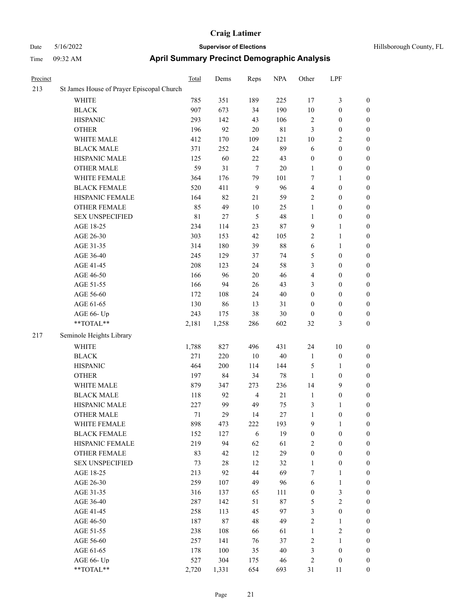| 1 111 IV | 02.32 AIVI                                | Aprili Odininal y i Technet Dennographic Analysis |      |              |                 |           |              |                  |  |  |
|----------|-------------------------------------------|---------------------------------------------------|------|--------------|-----------------|-----------|--------------|------------------|--|--|
| Precinct |                                           | Total                                             | Dems | Reps         | <b>NPA</b>      | Other     | LPF          |                  |  |  |
| 213      | St James House of Prayer Episcopal Church |                                                   |      |              |                 |           |              |                  |  |  |
|          | <b>WHITE</b>                              | 785                                               | 351  | 189          | 225             | 17        | 3            | $\boldsymbol{0}$ |  |  |
|          | <b>BLACK</b>                              | 907                                               | 673  | 34           | 190             | 10        | $\Omega$     | $\boldsymbol{0}$ |  |  |
|          | <b>HISPANIC</b>                           | 293                                               | 142  | 43           | 106             | 2         | $\theta$     | $\mathbf{0}$     |  |  |
|          | <b>OTHER</b>                              | 196                                               | 92   | 20           | 81              | 3         | $\theta$     | $\mathbf{0}$     |  |  |
|          | WHITE MALE                                | 412                                               | 170  | 109          | 121             | 10        | 2            | $\boldsymbol{0}$ |  |  |
|          | <b>BLACK MALE</b>                         | 371                                               | 252  | 24           | 89              | 6         | $\theta$     | $\mathbf{0}$     |  |  |
|          | <b>HISPANIC MALE</b>                      | 125                                               | 60   | 22           | 43              | $\theta$  | $\theta$     | $\boldsymbol{0}$ |  |  |
|          | <b>OTHER MALE</b>                         | 59                                                | 31   | 7            | 20              |           | $\mathbf{0}$ | $\boldsymbol{0}$ |  |  |
|          | WHITE FEMALE                              | 364                                               | 176  | 79           | 101             | 7         |              | $\mathbf{0}$     |  |  |
|          | <b>BLACK FEMALE</b>                       | 520                                               | 411  | 9            | 96              | 4         | $\theta$     | $\mathbf{0}$     |  |  |
|          | HISPANIC FEMALE                           | 164                                               | 82   | 21           | 59              | 2         | $\theta$     | $\boldsymbol{0}$ |  |  |
|          | <b>OTHER FEMALE</b>                       | 85                                                | 49   | 10           | 25              |           | $\theta$     | $\boldsymbol{0}$ |  |  |
|          | <b>SEX UNSPECIFIED</b>                    | 81                                                | 27   | 5            | 48              |           | $\theta$     | $\mathbf{0}$     |  |  |
|          | AGE 18-25                                 | 234                                               | 114  | 23           | 87              | 9         |              | $\mathbf{0}$     |  |  |
|          | AGE 26-30                                 | 303                                               | 153  | 42           | 105             | 2         |              | $\boldsymbol{0}$ |  |  |
|          | AGE 31-35                                 | 314                                               | 180  | 39           | 88              | 6         |              | $\mathbf{0}$     |  |  |
|          | AGE 36-40                                 | 245                                               | 129  | 37           | 74              | 5         | $\theta$     | $\mathbf{0}$     |  |  |
|          | AGE 41-45                                 | 208                                               | 123  | 24           | 58              | 3         | $\mathbf{0}$ | $\theta$         |  |  |
|          | ACEAC50                                   | 166                                               | በሬ   | $20^{\circ}$ | $\overline{16}$ | $\Lambda$ | $\Omega$     | $\Omega$         |  |  |

|     | <b>BLACK</b>             | 907         | 673    | 34             | 190    | $10\,$                  | $\boldsymbol{0}$ | $\boldsymbol{0}$ |
|-----|--------------------------|-------------|--------|----------------|--------|-------------------------|------------------|------------------|
|     | <b>HISPANIC</b>          | 293         | 142    | 43             | 106    | $\sqrt{2}$              | $\boldsymbol{0}$ | $\bf{0}$         |
|     | <b>OTHER</b>             | 196         | 92     | $20\,$         | $81\,$ | $\mathfrak{Z}$          | $\boldsymbol{0}$ | $\bf{0}$         |
|     | WHITE MALE               | 412         | 170    | 109            | 121    | $10\,$                  | 2                | $\boldsymbol{0}$ |
|     | <b>BLACK MALE</b>        | 371         | 252    | 24             | 89     | $\sqrt{6}$              | $\boldsymbol{0}$ | $\boldsymbol{0}$ |
|     | HISPANIC MALE            | 125         | 60     | $22\,$         | 43     | $\boldsymbol{0}$        | $\boldsymbol{0}$ | $\boldsymbol{0}$ |
|     | <b>OTHER MALE</b>        | 59          | 31     | $\overline{7}$ | $20\,$ | $\mathbf{1}$            | $\boldsymbol{0}$ | $\boldsymbol{0}$ |
|     | WHITE FEMALE             | 364         | 176    | 79             | 101    | $\tau$                  | 1                | $\boldsymbol{0}$ |
|     | <b>BLACK FEMALE</b>      | 520         | 411    | 9              | 96     | $\overline{\mathbf{4}}$ | $\boldsymbol{0}$ | $\boldsymbol{0}$ |
|     | HISPANIC FEMALE          | 164         | 82     | 21             | 59     | $\sqrt{2}$              | $\boldsymbol{0}$ | $\boldsymbol{0}$ |
|     | <b>OTHER FEMALE</b>      | 85          | 49     | $10\,$         | 25     | $\mathbf{1}$            | $\boldsymbol{0}$ | $\boldsymbol{0}$ |
|     | <b>SEX UNSPECIFIED</b>   | $8\sqrt{1}$ | $27\,$ | $\sqrt{5}$     | 48     | $\mathbf{1}$            | $\boldsymbol{0}$ | $\boldsymbol{0}$ |
|     | AGE 18-25                | 234         | 114    | 23             | $87\,$ | 9                       | 1                | $\bf{0}$         |
|     | AGE 26-30                | 303         | 153    | 42             | 105    | $\sqrt{2}$              | $\mathbf{1}$     | $\boldsymbol{0}$ |
|     | AGE 31-35                | 314         | 180    | 39             | $88\,$ | $\sqrt{6}$              | 1                | $\boldsymbol{0}$ |
|     | AGE 36-40                | 245         | 129    | 37             | 74     | $\mathfrak s$           | $\boldsymbol{0}$ | $\mathbf{0}$     |
|     | AGE 41-45                | 208         | 123    | 24             | 58     | 3                       | $\boldsymbol{0}$ | $\boldsymbol{0}$ |
|     | AGE 46-50                | 166         | 96     | $20\,$         | 46     | $\overline{\mathbf{4}}$ | $\boldsymbol{0}$ | $\boldsymbol{0}$ |
|     | AGE 51-55                | 166         | 94     | 26             | 43     | 3                       | $\boldsymbol{0}$ | $\boldsymbol{0}$ |
|     | AGE 56-60                | 172         | 108    | 24             | $40\,$ | $\boldsymbol{0}$        | $\boldsymbol{0}$ | $\bf{0}$         |
|     | AGE 61-65                | 130         | 86     | 13             | 31     | $\boldsymbol{0}$        | $\boldsymbol{0}$ | $\boldsymbol{0}$ |
|     | AGE 66- Up               | 243         | 175    | 38             | 30     | $\boldsymbol{0}$        | $\boldsymbol{0}$ | $\mathbf{0}$     |
|     | $**TOTAL**$              | 2,181       | 1,258  | 286            | 602    | 32                      | 3                | $\boldsymbol{0}$ |
| 217 | Seminole Heights Library |             |        |                |        |                         |                  |                  |
|     | WHITE                    | 1,788       | 827    | 496            | 431    | 24                      | $10\,$           | $\bf{0}$         |
|     | <b>BLACK</b>             | 271         | 220    | $10\,$         | $40\,$ | $\mathbf{1}$            | $\boldsymbol{0}$ | $\boldsymbol{0}$ |
|     | <b>HISPANIC</b>          | 464         | 200    | 114            | 144    | $\mathfrak{S}$          | $\mathbf{1}$     | $\boldsymbol{0}$ |
|     | <b>OTHER</b>             | 197         | 84     | 34             | $78\,$ | $\mathbf{1}$            | $\boldsymbol{0}$ | $\boldsymbol{0}$ |
|     | WHITE MALE               | 879         | 347    | 273            | 236    | 14                      | 9                | $\boldsymbol{0}$ |
|     | <b>BLACK MALE</b>        | 118         | 92     | $\overline{4}$ | 21     | $\mathbf{1}$            | $\boldsymbol{0}$ | $\bf{0}$         |
|     | HISPANIC MALE            | 227         | 99     | 49             | 75     | $\mathfrak{Z}$          | 1                | $\bf{0}$         |
|     | <b>OTHER MALE</b>        | 71          | 29     | 14             | $27\,$ | 1                       | $\boldsymbol{0}$ | $\bf{0}$         |
|     | WHITE FEMALE             | 898         | 473    | 222            | 193    | 9                       | 1                | $\boldsymbol{0}$ |
|     | <b>BLACK FEMALE</b>      | 152         | 127    | 6              | 19     | $\boldsymbol{0}$        | $\boldsymbol{0}$ | $\boldsymbol{0}$ |
|     | HISPANIC FEMALE          | 219         | 94     | 62             | 61     | $\overline{c}$          | $\boldsymbol{0}$ | $\boldsymbol{0}$ |
|     | OTHER FEMALE             | 83          | 42     | 12             | 29     | $\boldsymbol{0}$        | $\boldsymbol{0}$ | $\boldsymbol{0}$ |
|     | <b>SEX UNSPECIFIED</b>   | 73          | 28     | 12             | 32     | $\mathbf{1}$            | $\boldsymbol{0}$ | $\boldsymbol{0}$ |
|     | AGE 18-25                | 213         | 92     | 44             | 69     | 7                       | 1                | $\boldsymbol{0}$ |
|     | AGE 26-30                | 259         | 107    | 49             | 96     | 6                       | $\mathbf{1}$     | $\boldsymbol{0}$ |
|     | AGE 31-35                | 316         | 137    | 65             | 111    | $\boldsymbol{0}$        | 3                | $\boldsymbol{0}$ |
|     | AGE 36-40                | 287         | 142    | 51             | 87     | $\mathfrak{S}$          | $\sqrt{2}$       | $\boldsymbol{0}$ |
|     | AGE 41-45                | 258         | 113    | 45             | 97     | $\mathfrak{Z}$          | $\boldsymbol{0}$ | $\boldsymbol{0}$ |
|     | AGE 46-50                | 187         | 87     | 48             | 49     | $\sqrt{2}$              | $\mathbf{1}$     | $\boldsymbol{0}$ |
|     | AGE 51-55                | 238         | 108    | 66             | 61     | $\mathbf{1}$            | $\sqrt{2}$       | $\boldsymbol{0}$ |
|     | AGE 56-60                | 257         | 141    | 76             | 37     | $\sqrt{2}$              | $\mathbf{1}$     | $\boldsymbol{0}$ |
|     | AGE 61-65                | 178         | 100    | 35             | 40     | $\mathfrak{Z}$          | $\boldsymbol{0}$ | $\boldsymbol{0}$ |
|     | AGE 66- Up               | 527         | 304    | 175            | 46     | $\sqrt{2}$              | $\boldsymbol{0}$ | $\mathbf{0}$     |
|     | **TOTAL**                | 2.720       | 1.331  | 654            | 693    | 31                      | 11               | $\overline{0}$   |
|     |                          |             |        |                |        |                         |                  |                  |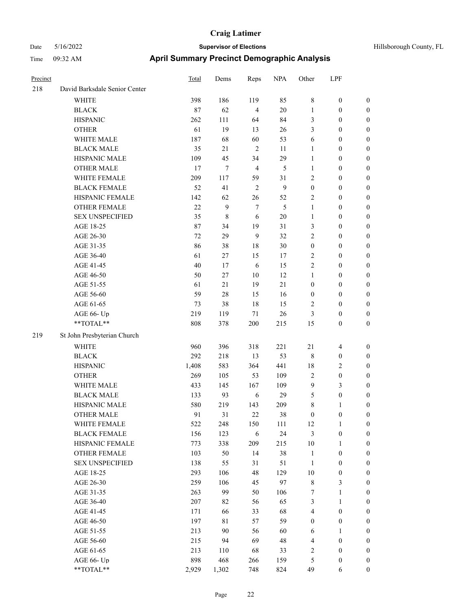| Precinct |                                                                          | <b>Total</b> | Dems       | Reps           | <b>NPA</b>     | Other                | LPF                   |                                      |
|----------|--------------------------------------------------------------------------|--------------|------------|----------------|----------------|----------------------|-----------------------|--------------------------------------|
| 218      | David Barksdale Senior Center                                            |              |            |                |                |                      |                       |                                      |
|          | WHITE                                                                    | 398          | 186        | 119            | 85             | $\,8\,$              | $\boldsymbol{0}$      | $\boldsymbol{0}$                     |
|          | <b>BLACK</b>                                                             | 87           | 62         | $\overline{4}$ | $20\,$         | $\mathbf{1}$         | $\boldsymbol{0}$      | $\boldsymbol{0}$                     |
|          | <b>HISPANIC</b>                                                          | 262          | 111        | 64             | 84             | 3                    | $\boldsymbol{0}$      | $\boldsymbol{0}$                     |
|          | <b>OTHER</b>                                                             | 61           | 19         | 13             | 26             | 3                    | $\boldsymbol{0}$      | $\boldsymbol{0}$                     |
|          | WHITE MALE                                                               | 187          | 68         | 60             | 53             | 6                    | $\boldsymbol{0}$      | $\boldsymbol{0}$                     |
|          | <b>BLACK MALE</b>                                                        | 35           | 21         | $\overline{2}$ | 11             | $\mathbf{1}$         | $\boldsymbol{0}$      | $\boldsymbol{0}$                     |
|          | HISPANIC MALE                                                            | 109          | 45         | 34             | 29             | $\mathbf{1}$         | $\mathbf{0}$          | $\boldsymbol{0}$                     |
|          | <b>OTHER MALE</b>                                                        | 17           | 7          | $\overline{4}$ | $\mathfrak{S}$ | $\mathbf{1}$         | $\boldsymbol{0}$      | $\boldsymbol{0}$                     |
|          | WHITE FEMALE                                                             | 209          | 117        | 59             | 31             | $\overline{2}$       | $\boldsymbol{0}$      | $\boldsymbol{0}$                     |
|          | <b>BLACK FEMALE</b>                                                      | 52           | 41         | 2              | 9              | $\boldsymbol{0}$     | $\boldsymbol{0}$      | $\boldsymbol{0}$                     |
|          | HISPANIC FEMALE                                                          | 142          | 62         | 26             | 52             | $\overline{2}$       | $\boldsymbol{0}$      | $\boldsymbol{0}$                     |
|          | <b>OTHER FEMALE</b>                                                      | 22           | 9          | $\tau$         | 5              | $\mathbf{1}$         | $\boldsymbol{0}$      | $\boldsymbol{0}$                     |
|          | <b>SEX UNSPECIFIED</b>                                                   | 35           | 8          | 6              | $20\,$         | $\mathbf{1}$         | $\boldsymbol{0}$      | $\boldsymbol{0}$                     |
|          | AGE 18-25                                                                | 87           | 34         | 19             | 31             | 3                    | $\boldsymbol{0}$      | $\boldsymbol{0}$                     |
|          | AGE 26-30                                                                | 72           | 29         | 9              | 32             | $\overline{c}$       | $\boldsymbol{0}$      | $\boldsymbol{0}$                     |
|          | AGE 31-35                                                                | 86           | 38         | 18             | 30             | $\boldsymbol{0}$     | $\boldsymbol{0}$      | $\boldsymbol{0}$                     |
|          | AGE 36-40                                                                | 61           | 27         | 15             | 17             | $\sqrt{2}$           | 0                     | $\boldsymbol{0}$                     |
|          | AGE 41-45                                                                | 40           | 17         | 6              | 15             | $\sqrt{2}$           | $\boldsymbol{0}$      | $\boldsymbol{0}$                     |
|          | AGE 46-50                                                                | 50           | 27         | 10             | 12             | 1                    | $\boldsymbol{0}$      | $\boldsymbol{0}$                     |
|          | AGE 51-55                                                                | 61           | 21         | 19             | 21             | $\boldsymbol{0}$     | $\boldsymbol{0}$      | $\boldsymbol{0}$                     |
|          | AGE 56-60                                                                | 59           | 28         | 15             | 16             | $\boldsymbol{0}$     | $\boldsymbol{0}$      | $\boldsymbol{0}$                     |
|          | AGE 61-65                                                                | 73           | 38         | 18             | 15             | $\overline{2}$       | $\boldsymbol{0}$      | $\boldsymbol{0}$                     |
|          | AGE 66- Up                                                               | 219          | 119        | 71             | 26             | 3                    | $\boldsymbol{0}$      | $\boldsymbol{0}$                     |
|          | **TOTAL**                                                                | 808          | 378        | 200            | 215            | 15                   | $\boldsymbol{0}$      | $\boldsymbol{0}$                     |
| 219      | St John Presbyterian Church                                              |              |            |                |                |                      |                       |                                      |
|          | <b>WHITE</b>                                                             | 960          | 396        | 318            | 221            | 21                   | $\overline{4}$        | $\boldsymbol{0}$                     |
|          | <b>BLACK</b>                                                             | 292          | 218        | 13             | 53             | $\,8\,$              | $\boldsymbol{0}$      | $\boldsymbol{0}$                     |
|          | <b>HISPANIC</b>                                                          | 1,408        | 583        | 364            | 441            | 18                   | 2                     | $\boldsymbol{0}$                     |
|          | <b>OTHER</b>                                                             | 269          |            | 53             | 109            | $\sqrt{2}$           | $\boldsymbol{0}$      |                                      |
|          |                                                                          |              | 105        | 167            |                | 9                    |                       | $\boldsymbol{0}$                     |
|          | WHITE MALE<br><b>BLACK MALE</b>                                          | 433<br>133   | 145<br>93  | 6              | 109<br>29      | 5                    | 3<br>$\boldsymbol{0}$ | $\boldsymbol{0}$<br>$\boldsymbol{0}$ |
|          | HISPANIC MALE                                                            |              |            |                |                | $\,$ 8 $\,$          |                       | $\boldsymbol{0}$                     |
|          | <b>OTHER MALE</b>                                                        | 580<br>91    | 219<br>31  | 143<br>22      | 209<br>38      | $\mathbf{0}$         | 1<br>$\mathbf{0}$     | $\boldsymbol{0}$                     |
|          |                                                                          |              |            |                |                |                      | $\mathbf{1}$          | $\boldsymbol{0}$                     |
|          | WHITE FEMALE<br><b>BLACK FEMALE</b>                                      | 522<br>156   | 248<br>123 | 150            | 111<br>24      | 12<br>$\mathfrak{Z}$ | $\boldsymbol{0}$      |                                      |
|          | HISPANIC FEMALE                                                          |              |            | 6              |                | $10\,$               |                       | $\boldsymbol{0}$                     |
|          |                                                                          | 773          | 338        | 209            | 215            |                      | 1                     | $\boldsymbol{0}$                     |
|          | <b>OTHER FEMALE</b><br>SEX UNSPECIFIED                                   | 103<br>138   | 50         | 14<br>31       | $38\,$         | $\mathbf{1}$         | $\boldsymbol{0}$      | $\boldsymbol{0}$                     |
|          |                                                                          |              | 55         |                | 51             | $\mathbf{1}$         | $\boldsymbol{0}$      | $\boldsymbol{0}$                     |
|          | AGE 18-25                                                                | 293          | 106        | $48\,$         | 129            | 10                   | $\boldsymbol{0}$      | $\boldsymbol{0}$                     |
|          | AGE 26-30                                                                | 259          | 106        | 45             | 97             | $\,$ 8 $\,$          | 3                     | $\boldsymbol{0}$                     |
|          | AGE 31-35                                                                | 263          | 99         | 50             | 106            | $\tau$               | $\mathbf{1}$          | $\boldsymbol{0}$                     |
|          | AGE 36-40                                                                | 207          | 82         | 56             | 65             | $\mathfrak{Z}$       | 1                     | $\boldsymbol{0}$                     |
|          | AGE 41-45                                                                | 171          | 66         | 33             | 68             | $\overline{4}$       | $\boldsymbol{0}$      | $\boldsymbol{0}$                     |
|          | AGE 46-50                                                                | 197          | 81         | 57             | 59             | $\boldsymbol{0}$     | $\boldsymbol{0}$      | $\boldsymbol{0}$                     |
|          | AGE 51-55                                                                | 213          | 90         | 56             | 60             | 6                    | 1                     | $\boldsymbol{0}$                     |
|          | AGE 56-60                                                                | 215          | 94         | 69             | 48             | $\overline{4}$       | $\boldsymbol{0}$      | $\boldsymbol{0}$                     |
|          | AGE 61-65                                                                | 213          | 110        | 68             | 33             | $\sqrt{2}$           | $\boldsymbol{0}$      | $\boldsymbol{0}$                     |
|          | AGE 66- Up<br>$\mathrm{*}\mathrm{*} \mathrm{TOTAL} \mathrm{*}\mathrm{*}$ | 898          | 468        | 266            | 159            | $\sqrt{5}$           | $\boldsymbol{0}$      | $\boldsymbol{0}$                     |
|          |                                                                          | 2,929        | 1,302      | 748            | 824            | 49                   | 6                     | $\boldsymbol{0}$                     |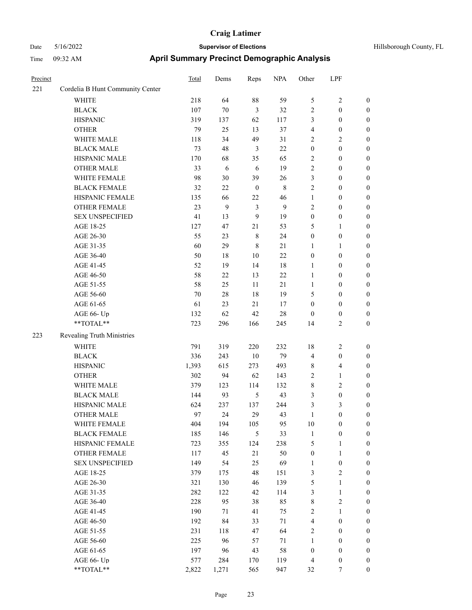| Precinct |                                  | <b>Total</b> | Dems   | Reps             | <b>NPA</b>   | Other            | LPF                     |                  |
|----------|----------------------------------|--------------|--------|------------------|--------------|------------------|-------------------------|------------------|
| 221      | Cordelia B Hunt Community Center |              |        |                  |              |                  |                         |                  |
|          | <b>WHITE</b>                     | 218          | 64     | $88\,$           | 59           | $\mathfrak{S}$   | $\sqrt{2}$              | $\boldsymbol{0}$ |
|          | <b>BLACK</b>                     | 107          | $70\,$ | 3                | 32           | $\overline{c}$   | $\boldsymbol{0}$        | $\boldsymbol{0}$ |
|          | <b>HISPANIC</b>                  | 319          | 137    | 62               | 117          | 3                | $\boldsymbol{0}$        | 0                |
|          | <b>OTHER</b>                     | 79           | 25     | 13               | 37           | 4                | $\boldsymbol{0}$        | 0                |
|          | WHITE MALE                       | 118          | 34     | 49               | 31           | $\overline{2}$   | $\overline{c}$          | 0                |
|          | <b>BLACK MALE</b>                | 73           | 48     | $\mathfrak{Z}$   | 22           | $\boldsymbol{0}$ | $\boldsymbol{0}$        | $\boldsymbol{0}$ |
|          | HISPANIC MALE                    | 170          | 68     | 35               | 65           | $\overline{c}$   | $\boldsymbol{0}$        | $\boldsymbol{0}$ |
|          | <b>OTHER MALE</b>                | 33           | 6      | 6                | 19           | $\overline{c}$   | $\boldsymbol{0}$        | $\boldsymbol{0}$ |
|          | WHITE FEMALE                     | 98           | 30     | 39               | 26           | 3                | $\boldsymbol{0}$        | $\boldsymbol{0}$ |
|          | <b>BLACK FEMALE</b>              | 32           | 22     | $\boldsymbol{0}$ | $\,$ 8 $\,$  | $\mathfrak{2}$   | $\boldsymbol{0}$        | $\boldsymbol{0}$ |
|          | HISPANIC FEMALE                  | 135          | 66     | 22               | 46           | $\mathbf{1}$     | $\boldsymbol{0}$        | $\boldsymbol{0}$ |
|          | OTHER FEMALE                     | 23           | 9      | $\mathfrak{Z}$   | $\mathbf{9}$ | $\overline{c}$   | $\boldsymbol{0}$        | $\boldsymbol{0}$ |
|          | <b>SEX UNSPECIFIED</b>           | 41           | 13     | 9                | 19           | $\boldsymbol{0}$ | $\boldsymbol{0}$        | 0                |
|          | AGE 18-25                        | 127          | 47     | 21               | 53           | 5                | $\mathbf{1}$            | 0                |
|          | AGE 26-30                        | 55           | 23     | $\,$ 8 $\,$      | 24           | $\boldsymbol{0}$ | $\boldsymbol{0}$        | 0                |
|          | AGE 31-35                        | 60           | 29     | $\,8\,$          | 21           | 1                | $\mathbf{1}$            | 0                |
|          | AGE 36-40                        | 50           | 18     | $10\,$           | $22\,$       | $\boldsymbol{0}$ | $\boldsymbol{0}$        | $\boldsymbol{0}$ |
|          | AGE 41-45                        | 52           | 19     | 14               | $18\,$       | 1                | $\boldsymbol{0}$        | $\boldsymbol{0}$ |
|          | AGE 46-50                        | 58           | 22     | 13               | 22           | $\mathbf{1}$     | $\boldsymbol{0}$        | $\boldsymbol{0}$ |
|          | AGE 51-55                        | 58           | 25     | 11               | 21           | $\mathbf{1}$     | $\boldsymbol{0}$        | $\boldsymbol{0}$ |
|          | AGE 56-60                        | 70           | 28     | 18               | 19           | 5                | $\boldsymbol{0}$        | 0                |
|          | AGE 61-65                        | 61           | 23     | 21               | 17           | $\boldsymbol{0}$ | $\boldsymbol{0}$        | 0                |
|          | AGE 66- Up                       | 132          | 62     | 42               | 28           | $\boldsymbol{0}$ | $\boldsymbol{0}$        | 0                |
|          | **TOTAL**                        | 723          | 296    | 166              | 245          | 14               | $\mathfrak{2}$          | 0                |
| 223      | Revealing Truth Ministries       |              |        |                  |              |                  |                         |                  |
|          | <b>WHITE</b>                     | 791          | 319    | 220              | 232          | 18               | $\overline{c}$          | 0                |
|          | <b>BLACK</b>                     | 336          | 243    | $10\,$           | 79           | $\overline{4}$   | $\boldsymbol{0}$        | 0                |
|          | <b>HISPANIC</b>                  | 1,393        | 615    | 273              | 493          | 8                | $\overline{\mathbf{4}}$ | 0                |
|          | <b>OTHER</b>                     | 302          | 94     | 62               | 143          | $\overline{c}$   | $\mathbf{1}$            | 0                |
|          | WHITE MALE                       | 379          | 123    | 114              | 132          | 8                | $\sqrt{2}$              | $\boldsymbol{0}$ |
|          | <b>BLACK MALE</b>                | 144          | 93     | $\mathfrak{S}$   | 43           | 3                | $\boldsymbol{0}$        | $\boldsymbol{0}$ |
|          | HISPANIC MALE                    | 624          | 237    | 137              | 244          | 3                | 3                       | $\boldsymbol{0}$ |
|          | <b>OTHER MALE</b>                | 97           | 24     | 29               | 43           | $\mathbf{1}$     | $\boldsymbol{0}$        | $\boldsymbol{0}$ |
|          | WHITE FEMALE                     | 404          | 194    | 105              | 95           | $10\,$           | $\boldsymbol{0}$        | 0                |
|          | <b>BLACK FEMALE</b>              | 185          | 146    | 5                | 33           | $\mathbf{1}$     | $\boldsymbol{0}$        | 0                |
|          | HISPANIC FEMALE                  | 723          | 355    | 124              | 238          | 5                | $\mathbf{1}$            | 0                |
|          | OTHER FEMALE                     | 117          | 45     | 21               | 50           | $\boldsymbol{0}$ | $\mathbf{1}$            | 0                |
|          | <b>SEX UNSPECIFIED</b>           | 149          | 54     | 25               | 69           | $\mathbf{1}$     | $\boldsymbol{0}$        | 0                |
|          | AGE 18-25                        | 379          | 175    | 48               | 151          | 3                | $\sqrt{2}$              | $\boldsymbol{0}$ |
|          | AGE 26-30                        | 321          | 130    | 46               | 139          | 5                | $\mathbf{1}$            | $\boldsymbol{0}$ |
|          | AGE 31-35                        | 282          | 122    | 42               | 114          | 3                | $\mathbf{1}$            | 0                |
|          | AGE 36-40                        | 228          | 95     | 38               | 85           | $\,$ 8 $\,$      | $\sqrt{2}$              | $\overline{0}$   |
|          | AGE 41-45                        | 190          | 71     | 41               | 75           | $\sqrt{2}$       | $\mathbf{1}$            | $\overline{0}$   |
|          | AGE 46-50                        | 192          | 84     | 33               | 71           | 4                | $\boldsymbol{0}$        | $\overline{0}$   |
|          | AGE 51-55                        | 231          | 118    | $47\,$           | 64           | $\sqrt{2}$       | $\boldsymbol{0}$        | $\boldsymbol{0}$ |
|          | AGE 56-60                        | 225          | 96     | 57               | 71           | $\mathbf{1}$     | $\boldsymbol{0}$        | 0                |
|          | AGE 61-65                        | 197          | 96     | 43               | 58           | $\boldsymbol{0}$ | $\boldsymbol{0}$        | $\boldsymbol{0}$ |
|          | AGE 66- Up                       | 577          | 284    | 170              | 119          | 4                | $\boldsymbol{0}$        | 0                |
|          | $**TOTAL**$                      | 2,822        | 1,271  | 565              | 947          | 32               | $\boldsymbol{7}$        | $\boldsymbol{0}$ |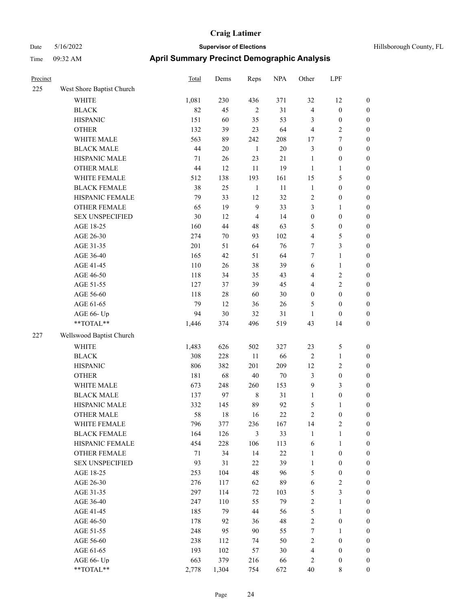| Hillsborough County, FL |  |
|-------------------------|--|
|                         |  |

| Precinct |                                                            | <b>Total</b> | Dems       | Reps           | <b>NPA</b> | Other            | LPF                     |                  |
|----------|------------------------------------------------------------|--------------|------------|----------------|------------|------------------|-------------------------|------------------|
| 225      | West Shore Baptist Church                                  |              |            |                |            |                  |                         |                  |
|          | WHITE                                                      | 1,081        | 230        | 436            | 371        | 32               | 12                      | $\boldsymbol{0}$ |
|          | <b>BLACK</b>                                               | 82           | 45         | $\overline{2}$ | 31         | $\overline{4}$   | $\boldsymbol{0}$        | $\boldsymbol{0}$ |
|          | <b>HISPANIC</b>                                            | 151          | 60         | 35             | 53         | 3                | $\boldsymbol{0}$        | $\boldsymbol{0}$ |
|          | <b>OTHER</b>                                               | 132          | 39         | 23             | 64         | $\overline{4}$   | 2                       | $\boldsymbol{0}$ |
|          | WHITE MALE                                                 | 563          | 89         | 242            | 208        | 17               | 7                       | $\boldsymbol{0}$ |
|          | <b>BLACK MALE</b>                                          | 44           | 20         | $\mathbf{1}$   | 20         | $\mathfrak{Z}$   | $\boldsymbol{0}$        | $\boldsymbol{0}$ |
|          | HISPANIC MALE                                              | 71           | 26         | 23             | $21\,$     | $\mathbf{1}$     | $\boldsymbol{0}$        | $\boldsymbol{0}$ |
|          | <b>OTHER MALE</b>                                          | 44           | 12         | 11             | 19         | 1                | 1                       | $\boldsymbol{0}$ |
|          | WHITE FEMALE                                               | 512          | 138        | 193            | 161        | 15               | 5                       | $\boldsymbol{0}$ |
|          | <b>BLACK FEMALE</b>                                        | 38           | 25         | $\mathbf{1}$   | 11         | $\mathbf{1}$     | $\boldsymbol{0}$        | $\boldsymbol{0}$ |
|          | HISPANIC FEMALE                                            | 79           | 33         | 12             | 32         | $\overline{2}$   | $\boldsymbol{0}$        | $\boldsymbol{0}$ |
|          | <b>OTHER FEMALE</b>                                        | 65           | 19         | 9              | 33         | 3                | 1                       | $\boldsymbol{0}$ |
|          | <b>SEX UNSPECIFIED</b>                                     | 30           | 12         | $\overline{4}$ | 14         | $\boldsymbol{0}$ | $\boldsymbol{0}$        | $\boldsymbol{0}$ |
|          | AGE 18-25                                                  | 160          | 44         | 48             | 63         | 5                | $\boldsymbol{0}$        | $\boldsymbol{0}$ |
|          | AGE 26-30                                                  | 274          | 70         | 93             | 102        | $\overline{4}$   | 5                       | $\boldsymbol{0}$ |
|          | AGE 31-35                                                  | 201          | 51         | 64             | 76         | $\tau$           | 3                       | $\boldsymbol{0}$ |
|          | AGE 36-40                                                  | 165          | 42         | 51             | 64         | 7                | 1                       | $\boldsymbol{0}$ |
|          | AGE 41-45                                                  | 110          | 26         | 38             | 39         | 6                | 1                       | $\boldsymbol{0}$ |
|          | AGE 46-50                                                  | 118          | 34         | 35             | 43         | $\overline{4}$   | $\overline{c}$          | $\boldsymbol{0}$ |
|          | AGE 51-55                                                  | 127          | 37         | 39             | 45         | $\overline{4}$   | 2                       | $\boldsymbol{0}$ |
|          | AGE 56-60                                                  | 118          | 28         | 60             | 30         | $\boldsymbol{0}$ | $\boldsymbol{0}$        | $\boldsymbol{0}$ |
|          | AGE 61-65                                                  | 79           | 12         | 36             | 26         | 5                | $\boldsymbol{0}$        | $\boldsymbol{0}$ |
|          | AGE 66- Up                                                 | 94           | 30         | 32             | 31         | $\mathbf{1}$     | $\boldsymbol{0}$        | $\boldsymbol{0}$ |
|          | **TOTAL**                                                  | 1,446        | 374        | 496            | 519        | 43               | 14                      | $\boldsymbol{0}$ |
| 227      | Wellswood Baptist Church                                   |              |            |                |            |                  |                         |                  |
|          | <b>WHITE</b>                                               |              | 626        |                | 327        |                  |                         |                  |
|          |                                                            | 1,483        |            | 502            |            | 23               | 5                       | $\boldsymbol{0}$ |
|          | <b>BLACK</b>                                               | 308<br>806   | 228<br>382 | 11<br>201      | 66<br>209  | $\sqrt{2}$<br>12 | 1                       | $\boldsymbol{0}$ |
|          | <b>HISPANIC</b>                                            |              |            |                |            |                  | 2                       | $\boldsymbol{0}$ |
|          | <b>OTHER</b>                                               | 181          | 68         | 40             | 70         | $\mathfrak{Z}$   | $\boldsymbol{0}$        | $\boldsymbol{0}$ |
|          | WHITE MALE                                                 | 673          | 248        | 260            | 153        | 9                | 3                       | $\boldsymbol{0}$ |
|          | <b>BLACK MALE</b>                                          | 137          | 97         | $\,$ 8 $\,$    | 31         | $\mathbf{1}$     | $\boldsymbol{0}$        | $\boldsymbol{0}$ |
|          | HISPANIC MALE                                              | 332          | 145        | 89             | 92         | 5                | 1                       | $\boldsymbol{0}$ |
|          | <b>OTHER MALE</b>                                          | 58           | 18         | 16             | 22         | $\overline{2}$   | 0                       | $\boldsymbol{0}$ |
|          | WHITE FEMALE                                               | 796          | 377        | 236            | 167        | 14               | 2                       | $\boldsymbol{0}$ |
|          | <b>BLACK FEMALE</b>                                        | 164          | 126        | $\mathfrak{Z}$ | 33         | $\mathbf{1}$     | $\mathbf{1}$            | $\boldsymbol{0}$ |
|          | HISPANIC FEMALE                                            | 454          | 228        | 106            | 113        | 6                | $\mathbf{1}$            | $\boldsymbol{0}$ |
|          | OTHER FEMALE                                               | 71           | 34         | 14             | $22\,$     | $\mathbf{1}$     | $\boldsymbol{0}$        | $\boldsymbol{0}$ |
|          | SEX UNSPECIFIED                                            | 93           | 31         | $22\,$         | 39         | $\mathbf{1}$     | $\boldsymbol{0}$        | $\boldsymbol{0}$ |
|          | AGE 18-25                                                  | 253          | 104        | $48\,$         | 96         | $\sqrt{5}$       | $\boldsymbol{0}$        | $\boldsymbol{0}$ |
|          | AGE 26-30                                                  | 276          | 117        | 62             | 89         | $\sqrt{6}$       | $\overline{\mathbf{c}}$ | $\boldsymbol{0}$ |
|          | AGE 31-35                                                  | 297          | 114        | 72             | 103        | $\mathfrak{S}$   | 3                       | $\boldsymbol{0}$ |
|          | AGE 36-40                                                  | 247          | 110        | 55             | 79         | $\sqrt{2}$       | $\mathbf{1}$            | $\boldsymbol{0}$ |
|          | AGE 41-45                                                  | 185          | 79         | 44             | 56         | $\mathfrak s$    | $\mathbf{1}$            | $\boldsymbol{0}$ |
|          | AGE 46-50                                                  | 178          | 92         | 36             | 48         | $\sqrt{2}$       | $\boldsymbol{0}$        | $\boldsymbol{0}$ |
|          | AGE 51-55                                                  | 248          | 95         | $90\,$         | 55         | $\boldsymbol{7}$ | 1                       | $\boldsymbol{0}$ |
|          | AGE 56-60                                                  | 238          | 112        | 74             | 50         | $\sqrt{2}$       | $\boldsymbol{0}$        | $\boldsymbol{0}$ |
|          | AGE 61-65                                                  | 193          | 102        | 57             | 30         | $\overline{4}$   | $\boldsymbol{0}$        | $\boldsymbol{0}$ |
|          | AGE 66- Up                                                 | 663          | 379        | 216            | 66         | $\sqrt{2}$       | $\boldsymbol{0}$        | $\boldsymbol{0}$ |
|          | $\mathrm{*}\mathrm{*} \mathrm{TOTAL} \mathrm{*}\mathrm{*}$ | 2,778        | 1,304      | 754            | 672        | $40\,$           | $8\,$                   | $\boldsymbol{0}$ |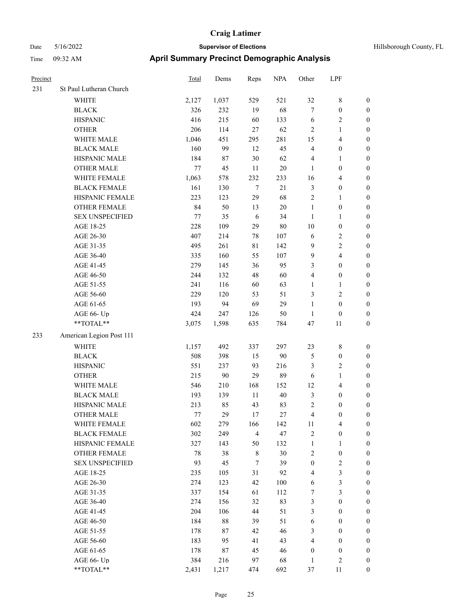# Date 5/16/2022 **Supervisor of Elections Supervisor of Elections** Hillsborough County, FL Time 09:32 AM **April Summary Precinct Demographic Analysis**

| Precinct |                          | Total  | Dems  | Reps           | <b>NPA</b> | Other                   | LPF                     |                  |
|----------|--------------------------|--------|-------|----------------|------------|-------------------------|-------------------------|------------------|
| 231      | St Paul Lutheran Church  |        |       |                |            |                         |                         |                  |
|          | WHITE                    | 2,127  | 1,037 | 529            | 521        | 32                      | $\,$ 8 $\,$             | $\boldsymbol{0}$ |
|          | <b>BLACK</b>             | 326    | 232   | 19             | 68         | 7                       | $\boldsymbol{0}$        | $\boldsymbol{0}$ |
|          | <b>HISPANIC</b>          | 416    | 215   | 60             | 133        | 6                       | 2                       | $\boldsymbol{0}$ |
|          | <b>OTHER</b>             | 206    | 114   | 27             | 62         | $\mathfrak{2}$          | $\mathbf{1}$            | $\boldsymbol{0}$ |
|          | WHITE MALE               | 1,046  | 451   | 295            | 281        | 15                      | $\overline{\mathbf{4}}$ | $\boldsymbol{0}$ |
|          | <b>BLACK MALE</b>        | 160    | 99    | 12             | 45         | $\overline{4}$          | $\boldsymbol{0}$        | $\boldsymbol{0}$ |
|          | HISPANIC MALE            | 184    | 87    | 30             | 62         | 4                       | 1                       | $\boldsymbol{0}$ |
|          | <b>OTHER MALE</b>        | 77     | 45    | 11             | $20\,$     | $\mathbf{1}$            | 0                       | $\boldsymbol{0}$ |
|          | WHITE FEMALE             | 1,063  | 578   | 232            | 233        | 16                      | $\overline{\mathbf{4}}$ | $\boldsymbol{0}$ |
|          | <b>BLACK FEMALE</b>      | 161    | 130   | $\tau$         | 21         | $\mathfrak{Z}$          | $\boldsymbol{0}$        | $\boldsymbol{0}$ |
|          | HISPANIC FEMALE          | 223    | 123   | 29             | 68         | $\mathfrak{2}$          | 1                       | $\boldsymbol{0}$ |
|          | <b>OTHER FEMALE</b>      | 84     | 50    | 13             | 20         | $\mathbf{1}$            | $\boldsymbol{0}$        | $\boldsymbol{0}$ |
|          | <b>SEX UNSPECIFIED</b>   | $77\,$ | 35    | 6              | 34         | 1                       | 1                       | $\boldsymbol{0}$ |
|          | AGE 18-25                | 228    | 109   | 29             | $80\,$     | 10                      | $\boldsymbol{0}$        | $\boldsymbol{0}$ |
|          | AGE 26-30                | 407    | 214   | 78             | 107        | 6                       | 2                       | $\boldsymbol{0}$ |
|          | AGE 31-35                | 495    | 261   | 81             | 142        | $\boldsymbol{9}$        | 2                       | $\boldsymbol{0}$ |
|          | AGE 36-40                | 335    | 160   | 55             | 107        | 9                       | 4                       | $\boldsymbol{0}$ |
|          | AGE 41-45                | 279    | 145   | 36             | 95         | 3                       | 0                       | $\boldsymbol{0}$ |
|          | AGE 46-50                | 244    | 132   | 48             | 60         | $\overline{4}$          | $\boldsymbol{0}$        | $\boldsymbol{0}$ |
|          | AGE 51-55                | 241    | 116   | 60             | 63         | 1                       | $\mathbf{1}$            | $\boldsymbol{0}$ |
|          | AGE 56-60                | 229    | 120   | 53             | 51         | 3                       | $\mathbf{2}$            | $\boldsymbol{0}$ |
|          | AGE 61-65                | 193    | 94    | 69             | 29         | $\mathbf{1}$            | $\boldsymbol{0}$        | $\boldsymbol{0}$ |
|          | AGE 66- Up               | 424    | 247   | 126            | 50         | $\mathbf{1}$            | $\boldsymbol{0}$        | $\boldsymbol{0}$ |
|          | **TOTAL**                | 3,075  | 1,598 | 635            | 784        | 47                      | 11                      | $\boldsymbol{0}$ |
| 233      | American Legion Post 111 |        |       |                |            |                         |                         |                  |
|          | <b>WHITE</b>             | 1,157  | 492   | 337            | 297        | 23                      | 8                       | $\boldsymbol{0}$ |
|          | <b>BLACK</b>             | 508    | 398   | 15             | 90         | $\mathfrak s$           | $\boldsymbol{0}$        | $\boldsymbol{0}$ |
|          | <b>HISPANIC</b>          | 551    | 237   | 93             | 216        | 3                       | 2                       | $\boldsymbol{0}$ |
|          | <b>OTHER</b>             | 215    | 90    | 29             | 89         | 6                       | $\mathbf{1}$            | $\boldsymbol{0}$ |
|          | WHITE MALE               | 546    | 210   | 168            | 152        | 12                      | 4                       | $\boldsymbol{0}$ |
|          | <b>BLACK MALE</b>        | 193    | 139   | 11             | 40         | 3                       | $\boldsymbol{0}$        | $\boldsymbol{0}$ |
|          | HISPANIC MALE            | 213    | 85    | 43             | 83         | $\sqrt{2}$              | $\boldsymbol{0}$        | $\boldsymbol{0}$ |
|          | <b>OTHER MALE</b>        | 77     | 29    | 17             | 27         | 4                       | 0                       | $\boldsymbol{0}$ |
|          | WHITE FEMALE             | 602    | 279   | 166            | 142        | 11                      | $\overline{4}$          | 0                |
|          | <b>BLACK FEMALE</b>      | 302    | 249   | $\overline{4}$ | 47         | $\sqrt{2}$              | $\boldsymbol{0}$        | 0                |
|          | HISPANIC FEMALE          | 327    | 143   | 50             | 132        | $\mathbf{1}$            | $\mathbf{1}$            | $\boldsymbol{0}$ |
|          | <b>OTHER FEMALE</b>      | 78     | 38    | $\,$ 8 $\,$    | 30         | $\sqrt{2}$              | $\boldsymbol{0}$        | $\theta$         |
|          | <b>SEX UNSPECIFIED</b>   | 93     | 45    | $\tau$         | 39         | $\boldsymbol{0}$        | $\overline{\mathbf{c}}$ | 0                |
|          | AGE 18-25                | 235    | 105   | 31             | 92         | $\overline{4}$          | 3                       | 0                |
|          | AGE 26-30                | 274    | 123   | 42             | 100        | 6                       | 3                       | $\boldsymbol{0}$ |
|          | AGE 31-35                | 337    | 154   | 61             | 112        | 7                       | 3                       | $\boldsymbol{0}$ |
|          | AGE 36-40                | 274    | 156   | 32             | 83         | 3                       | $\boldsymbol{0}$        | $\boldsymbol{0}$ |
|          | AGE 41-45                | 204    | 106   | 44             | 51         | 3                       | $\boldsymbol{0}$        | $\boldsymbol{0}$ |
|          | AGE 46-50                | 184    | 88    | 39             | 51         | 6                       | $\boldsymbol{0}$        | $\boldsymbol{0}$ |
|          | AGE 51-55                | 178    | 87    | 42             | 46         | 3                       | $\boldsymbol{0}$        | $\boldsymbol{0}$ |
|          | AGE 56-60                | 183    | 95    | 41             | 43         | $\overline{\mathbf{4}}$ | $\boldsymbol{0}$        | $\boldsymbol{0}$ |
|          | AGE 61-65                | 178    | 87    | 45             | 46         | $\boldsymbol{0}$        | $\boldsymbol{0}$        | $\boldsymbol{0}$ |
|          | AGE 66- Up               | 384    | 216   | 97             | 68         | $\mathbf{1}$            | $\mathbf{2}$            | $\boldsymbol{0}$ |

\*\*TOTAL\*\* 2,431 1,217 474 692 37 11 0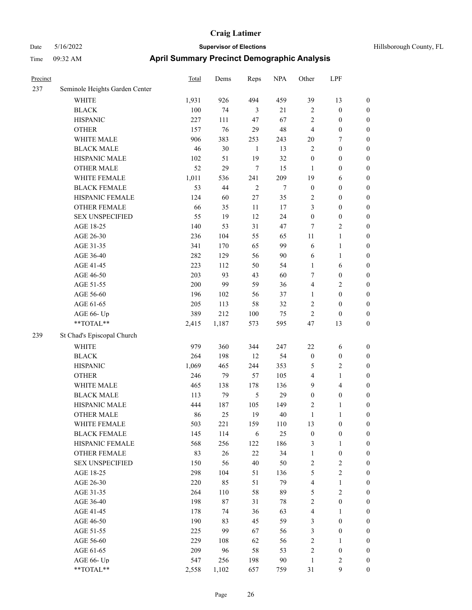| Precinct |                                | Total     | Dems      | Reps                  | <b>NPA</b> | Other                          | LPF                              |                                      |
|----------|--------------------------------|-----------|-----------|-----------------------|------------|--------------------------------|----------------------------------|--------------------------------------|
| 237      | Seminole Heights Garden Center |           |           |                       |            |                                |                                  |                                      |
|          | WHITE                          | 1,931     | 926       | 494                   | 459        | 39                             | 13                               | $\boldsymbol{0}$                     |
|          | <b>BLACK</b>                   | 100       | 74        | 3                     | 21         | $\mathfrak{2}$                 | $\boldsymbol{0}$                 | $\boldsymbol{0}$                     |
|          | <b>HISPANIC</b>                | 227       | 111       | 47                    | 67         | $\overline{c}$                 | $\boldsymbol{0}$                 | $\boldsymbol{0}$                     |
|          | <b>OTHER</b>                   | 157       | 76        | 29                    | 48         | 4                              | $\boldsymbol{0}$                 | $\boldsymbol{0}$                     |
|          | WHITE MALE                     | 906       | 383       | 253                   | 243        | 20                             | 7                                | 0                                    |
|          | <b>BLACK MALE</b>              | 46        | 30        | $\mathbf{1}$          | 13         | $\overline{c}$                 | $\boldsymbol{0}$                 | $\boldsymbol{0}$                     |
|          | HISPANIC MALE                  | 102       | 51        | 19                    | 32         | $\boldsymbol{0}$               | $\boldsymbol{0}$                 | $\boldsymbol{0}$                     |
|          | <b>OTHER MALE</b>              | 52        | 29        | 7                     | 15         | 1                              | $\boldsymbol{0}$                 | $\boldsymbol{0}$                     |
|          | WHITE FEMALE                   | 1,011     | 536       | 241                   | 209        | 19                             | 6                                | $\boldsymbol{0}$                     |
|          | <b>BLACK FEMALE</b>            | 53        | 44        | $\sqrt{2}$            | $\tau$     | $\boldsymbol{0}$               | $\boldsymbol{0}$                 | $\boldsymbol{0}$                     |
|          | HISPANIC FEMALE                | 124       | 60        | $27\,$                | 35         | $\overline{c}$                 | $\boldsymbol{0}$                 | $\boldsymbol{0}$                     |
|          | OTHER FEMALE                   | 66        | 35        | $11\,$                | $17\,$     | 3                              | $\boldsymbol{0}$                 | $\boldsymbol{0}$                     |
|          | <b>SEX UNSPECIFIED</b>         | 55        | 19        | 12                    | 24         | $\boldsymbol{0}$               | $\boldsymbol{0}$                 | $\boldsymbol{0}$                     |
|          | AGE 18-25                      | 140       | 53        | 31                    | 47         | 7                              | $\sqrt{2}$                       | 0                                    |
|          | AGE 26-30                      | 236       | 104       | 55                    | 65         | 11                             | $\mathbf{1}$                     | 0                                    |
|          | AGE 31-35                      | 341       | 170       | 65                    | 99         | 6                              | $\mathbf{1}$                     | $\boldsymbol{0}$                     |
|          | AGE 36-40                      | 282       | 129       | 56                    | 90         | 6                              | $\mathbf{1}$                     | $\boldsymbol{0}$                     |
|          | AGE 41-45                      | 223       | 112       | 50                    | 54         | $\mathbf{1}$                   | 6                                | $\boldsymbol{0}$                     |
|          | AGE 46-50                      | 203       | 93        | 43                    | 60         | 7                              | $\boldsymbol{0}$                 | $\boldsymbol{0}$                     |
|          | AGE 51-55                      | 200       | 99        | 59                    | 36         | 4                              | $\sqrt{2}$                       | $\boldsymbol{0}$                     |
|          | AGE 56-60                      | 196       | 102       | 56                    | 37         | $\mathbf{1}$                   | $\boldsymbol{0}$                 | $\boldsymbol{0}$                     |
|          | AGE 61-65                      | 205       | 113       | 58                    | 32         | $\mathfrak{2}$                 | $\boldsymbol{0}$                 | $\boldsymbol{0}$                     |
|          | AGE 66- Up                     | 389       | 212       | 100                   | 75         | $\overline{c}$                 | $\boldsymbol{0}$                 | 0                                    |
|          | **TOTAL**                      | 2,415     | 1,187     | 573                   | 595        | 47                             | 13                               | $\boldsymbol{0}$                     |
| 239      | St Chad's Episcopal Church     |           |           |                       |            |                                |                                  |                                      |
|          | <b>WHITE</b>                   | 979       | 360       | 344                   | 247        | $22\,$                         | 6                                | $\boldsymbol{0}$                     |
|          | <b>BLACK</b>                   | 264       | 198       | 12                    | 54         | $\boldsymbol{0}$               | $\boldsymbol{0}$                 | 0                                    |
|          | <b>HISPANIC</b>                | 1,069     | 465       | 244                   | 353        | 5                              | $\overline{c}$                   | 0                                    |
|          | <b>OTHER</b>                   | 246       | 79        | 57                    | 105        | 4                              | $\mathbf{1}$                     | $\boldsymbol{0}$                     |
|          | WHITE MALE                     | 465       |           |                       | 136        | 9                              | $\overline{4}$                   |                                      |
|          | <b>BLACK MALE</b>              |           | 138<br>79 | 178<br>$\mathfrak{S}$ | 29         |                                |                                  | $\boldsymbol{0}$                     |
|          | HISPANIC MALE                  | 113       |           | 105                   |            | $\boldsymbol{0}$               | $\boldsymbol{0}$<br>$\mathbf{1}$ | $\boldsymbol{0}$<br>$\boldsymbol{0}$ |
|          | <b>OTHER MALE</b>              | 444<br>86 | 187<br>25 | 19                    | 149<br>40  | $\overline{c}$<br>$\mathbf{1}$ | $\mathbf{1}$                     | $\boldsymbol{0}$                     |
|          | WHITE FEMALE                   | 503       | 221       | 159                   | 110        | 13                             | $\boldsymbol{0}$                 | $\boldsymbol{0}$                     |
|          | <b>BLACK FEMALE</b>            | 145       | 114       | 6                     | 25         | $\boldsymbol{0}$               | $\boldsymbol{0}$                 | 0                                    |
|          | HISPANIC FEMALE                | 568       | 256       | 122                   | 186        | 3                              | $\mathbf{1}$                     | 0                                    |
|          | <b>OTHER FEMALE</b>            | 83        | 26        | $22\,$                | 34         |                                |                                  |                                      |
|          | <b>SEX UNSPECIFIED</b>         | 150       | 56        | 40                    | 50         | $\mathbf{1}$<br>$\sqrt{2}$     | $\boldsymbol{0}$<br>$\sqrt{2}$   | 0<br>0                               |
|          |                                | 298       | 104       | 51                    |            |                                | $\sqrt{2}$                       | $\overline{0}$                       |
|          | AGE 18-25                      |           |           |                       | 136        | 5                              |                                  |                                      |
|          | AGE 26-30                      | 220       | 85        | 51<br>58              | 79<br>89   | 4                              | $\mathbf{1}$<br>$\sqrt{2}$       | $\boldsymbol{0}$<br>$\overline{0}$   |
|          | AGE 31-35                      | 264       | 110       |                       |            | 5                              |                                  |                                      |
|          | AGE 36-40                      | 198       | 87        | 31                    | 78         | $\sqrt{2}$                     | $\boldsymbol{0}$                 | $\boldsymbol{0}$<br>$\overline{0}$   |
|          | AGE 41-45                      | 178       | 74        | 36                    | 63         | 4                              | $\mathbf{1}$                     |                                      |
|          | AGE 46-50                      | 190       | 83        | 45                    | 59         | 3                              | $\boldsymbol{0}$                 | $\overline{0}$                       |
|          | AGE 51-55                      | 225       | 99        | 67                    | 56         | $\mathfrak{Z}$                 | $\boldsymbol{0}$                 | $\boldsymbol{0}$                     |
|          | AGE 56-60                      | 229       | 108       | 62                    | 56         | $\sqrt{2}$                     | $\mathbf{1}$                     | $\boldsymbol{0}$                     |
|          | AGE 61-65                      | 209       | 96        | 58                    | 53         | $\sqrt{2}$                     | $\boldsymbol{0}$                 | 0                                    |
|          | AGE 66- Up                     | 547       | 256       | 198                   | 90         | $\mathbf{1}$                   | $\sqrt{2}$                       | 0                                    |
|          | $**TOTAL**$                    | 2,558     | 1,102     | 657                   | 759        | 31                             | 9                                | $\boldsymbol{0}$                     |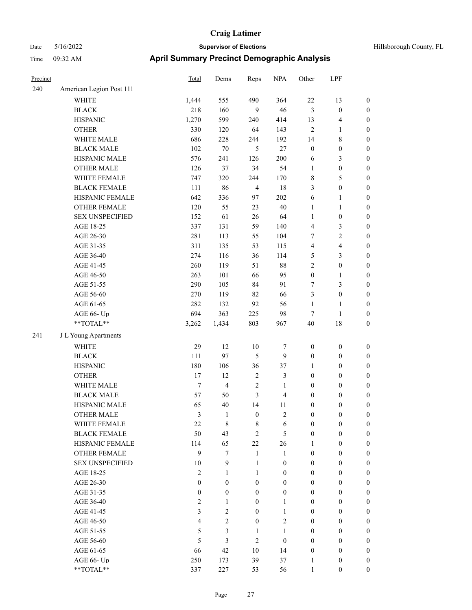| Precinct |                          | Total            | Dems             | Reps             | <b>NPA</b>              | Other            | LPF              |                  |
|----------|--------------------------|------------------|------------------|------------------|-------------------------|------------------|------------------|------------------|
| 240      | American Legion Post 111 |                  |                  |                  |                         |                  |                  |                  |
|          | <b>WHITE</b>             | 1,444            | 555              | 490              | 364                     | $22\,$           | 13               | $\boldsymbol{0}$ |
|          | <b>BLACK</b>             | 218              | 160              | 9                | 46                      | $\mathfrak{Z}$   | $\boldsymbol{0}$ | $\boldsymbol{0}$ |
|          | <b>HISPANIC</b>          | 1,270            | 599              | 240              | 414                     | 13               | 4                | $\boldsymbol{0}$ |
|          | <b>OTHER</b>             | 330              | 120              | 64               | 143                     | $\sqrt{2}$       | $\mathbf{1}$     | $\boldsymbol{0}$ |
|          | WHITE MALE               | 686              | 228              | 244              | 192                     | 14               | 8                | $\boldsymbol{0}$ |
|          | <b>BLACK MALE</b>        | 102              | $70\,$           | 5                | $27\,$                  | $\boldsymbol{0}$ | $\boldsymbol{0}$ | $\boldsymbol{0}$ |
|          | HISPANIC MALE            | 576              | 241              | 126              | 200                     | 6                | 3                | $\boldsymbol{0}$ |
|          | <b>OTHER MALE</b>        | 126              | 37               | 34               | 54                      | $\mathbf{1}$     | $\boldsymbol{0}$ | $\boldsymbol{0}$ |
|          | WHITE FEMALE             | 747              | 320              | 244              | 170                     | $\,$ 8 $\,$      | 5                | $\boldsymbol{0}$ |
|          | <b>BLACK FEMALE</b>      | 111              | 86               | $\overline{4}$   | 18                      | 3                | $\boldsymbol{0}$ | $\boldsymbol{0}$ |
|          | HISPANIC FEMALE          | 642              | 336              | 97               | 202                     | 6                | 1                | $\boldsymbol{0}$ |
|          | <b>OTHER FEMALE</b>      | 120              | 55               | 23               | $40\,$                  | $\mathbf{1}$     | 1                | $\boldsymbol{0}$ |
|          | <b>SEX UNSPECIFIED</b>   | 152              | 61               | 26               | 64                      | $\mathbf{1}$     | $\boldsymbol{0}$ | $\boldsymbol{0}$ |
|          | AGE 18-25                | 337              | 131              | 59               | 140                     | $\overline{4}$   | 3                | $\boldsymbol{0}$ |
|          | AGE 26-30                | 281              | 113              | 55               | 104                     | $\tau$           | $\overline{c}$   | $\boldsymbol{0}$ |
|          | AGE 31-35                | 311              | 135              | 53               | 115                     | $\overline{4}$   | 4                | $\boldsymbol{0}$ |
|          | AGE 36-40                | 274              | 116              | 36               | 114                     | 5                | 3                | $\boldsymbol{0}$ |
|          | AGE 41-45                | 260              | 119              | 51               | 88                      | $\sqrt{2}$       | $\boldsymbol{0}$ | $\boldsymbol{0}$ |
|          | AGE 46-50                | 263              | 101              | 66               | 95                      | $\boldsymbol{0}$ | 1                | $\boldsymbol{0}$ |
|          | AGE 51-55                | 290              | 105              | 84               | 91                      | $\tau$           | 3                | $\boldsymbol{0}$ |
|          | AGE 56-60                | 270              | 119              | 82               | 66                      | 3                | $\boldsymbol{0}$ | $\boldsymbol{0}$ |
|          | AGE 61-65                | 282              | 132              | 92               | 56                      | $\mathbf{1}$     | 1                | $\boldsymbol{0}$ |
|          | AGE 66- Up               | 694              | 363              | 225              | 98                      | $\tau$           | 1                | $\boldsymbol{0}$ |
|          | **TOTAL**                | 3,262            | 1,434            | 803              | 967                     | 40               | 18               | $\boldsymbol{0}$ |
| 241      | J L Young Apartments     |                  |                  |                  |                         |                  |                  |                  |
|          | <b>WHITE</b>             | 29               | 12               | 10               | 7                       | $\boldsymbol{0}$ | $\boldsymbol{0}$ | $\boldsymbol{0}$ |
|          | <b>BLACK</b>             | 111              | 97               | 5                | 9                       | $\boldsymbol{0}$ | $\boldsymbol{0}$ | $\boldsymbol{0}$ |
|          | <b>HISPANIC</b>          | 180              | 106              | 36               | 37                      | 1                | $\boldsymbol{0}$ | $\boldsymbol{0}$ |
|          | <b>OTHER</b>             | 17               | 12               | $\sqrt{2}$       | 3                       | $\boldsymbol{0}$ | $\boldsymbol{0}$ | $\boldsymbol{0}$ |
|          | WHITE MALE               | $\tau$           | $\overline{4}$   | $\sqrt{2}$       | $\mathbf{1}$            | $\boldsymbol{0}$ | $\boldsymbol{0}$ | $\boldsymbol{0}$ |
|          | <b>BLACK MALE</b>        | 57               | 50               | 3                | 4                       | $\boldsymbol{0}$ | $\boldsymbol{0}$ | $\boldsymbol{0}$ |
|          | HISPANIC MALE            | 65               | $40\,$           | 14               | 11                      | $\boldsymbol{0}$ | $\boldsymbol{0}$ | $\boldsymbol{0}$ |
|          | OTHER MALE               | 3                | $\mathbf{1}$     | $\boldsymbol{0}$ | $\overline{\mathbf{c}}$ | $\boldsymbol{0}$ | 0                | $\boldsymbol{0}$ |
|          | WHITE FEMALE             | 22               | $\,$ 8 $\,$      | 8                | 6                       | $\mathbf{0}$     | $\boldsymbol{0}$ | $\boldsymbol{0}$ |
|          | <b>BLACK FEMALE</b>      | 50               | 43               | $\mathbf{2}$     | 5                       | $\boldsymbol{0}$ | $\boldsymbol{0}$ | $\boldsymbol{0}$ |
|          | HISPANIC FEMALE          | 114              | 65               | 22               | 26                      | 1                | $\boldsymbol{0}$ | $\mathbf{0}$     |
|          | OTHER FEMALE             | 9                | $\tau$           | $\mathbf{1}$     | $\mathbf{1}$            | $\boldsymbol{0}$ | $\boldsymbol{0}$ | $\boldsymbol{0}$ |
|          | <b>SEX UNSPECIFIED</b>   | 10               | 9                | $\mathbf{1}$     | $\boldsymbol{0}$        | $\mathbf{0}$     | $\boldsymbol{0}$ | $\boldsymbol{0}$ |
|          | AGE 18-25                | $\mathfrak{2}$   | $\mathbf{1}$     | $\mathbf{1}$     | $\mathbf{0}$            | $\boldsymbol{0}$ | $\boldsymbol{0}$ | $\boldsymbol{0}$ |
|          | AGE 26-30                | $\boldsymbol{0}$ | $\boldsymbol{0}$ | $\boldsymbol{0}$ | $\boldsymbol{0}$        | $\boldsymbol{0}$ | $\boldsymbol{0}$ | $\boldsymbol{0}$ |
|          | AGE 31-35                | $\boldsymbol{0}$ | $\boldsymbol{0}$ | $\boldsymbol{0}$ | $\boldsymbol{0}$        | $\boldsymbol{0}$ | $\boldsymbol{0}$ | $\boldsymbol{0}$ |
|          | AGE 36-40                | $\mathfrak{2}$   | $\mathbf{1}$     | $\mathbf{0}$     | 1                       | $\boldsymbol{0}$ | $\boldsymbol{0}$ | $\boldsymbol{0}$ |
|          | AGE 41-45                | 3                | $\overline{2}$   | $\mathbf{0}$     | 1                       | $\mathbf{0}$     | $\overline{0}$   | $\boldsymbol{0}$ |
|          | AGE 46-50                | $\overline{4}$   | $\overline{2}$   | $\mathbf{0}$     | $\overline{2}$          | $\mathbf{0}$     | $\boldsymbol{0}$ | $\boldsymbol{0}$ |
|          | AGE 51-55                | 5                | 3                | 1                | $\mathbf{1}$            | $\boldsymbol{0}$ | $\boldsymbol{0}$ | $\boldsymbol{0}$ |
|          | AGE 56-60                | 5                | 3                | $\overline{2}$   | $\boldsymbol{0}$        | $\boldsymbol{0}$ | $\boldsymbol{0}$ | $\boldsymbol{0}$ |
|          | AGE 61-65                | 66               | 42               | 10               | 14                      | $\boldsymbol{0}$ | $\boldsymbol{0}$ | $\boldsymbol{0}$ |
|          | AGE 66- Up               | 250              | 173              | 39               | 37                      | 1                | $\boldsymbol{0}$ | $\mathbf{0}$     |
|          | $**TOTAL**$              | 337              | 227              | 53               | 56                      | 1                | $\overline{0}$   | $\boldsymbol{0}$ |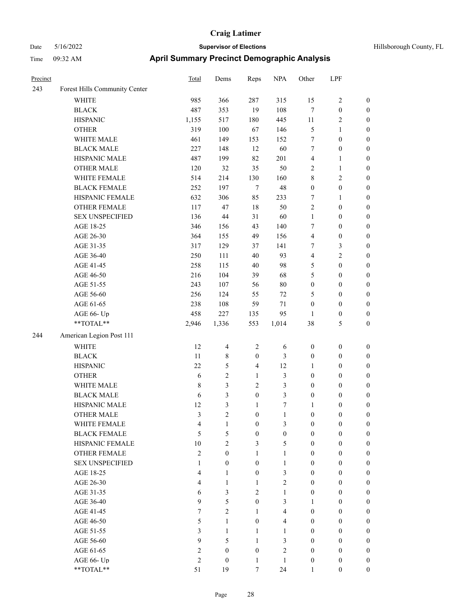| Precinct |                               | <b>Total</b>   | Dems                    | Reps             | <b>NPA</b>       | Other            | LPF              |                  |
|----------|-------------------------------|----------------|-------------------------|------------------|------------------|------------------|------------------|------------------|
| 243      | Forest Hills Community Center |                |                         |                  |                  |                  |                  |                  |
|          | <b>WHITE</b>                  | 985            | 366                     | 287              | 315              | 15               | 2                | $\boldsymbol{0}$ |
|          | <b>BLACK</b>                  | 487            | 353                     | 19               | 108              | $\tau$           | $\boldsymbol{0}$ | $\boldsymbol{0}$ |
|          | <b>HISPANIC</b>               | 1,155          | 517                     | 180              | 445              | $11\,$           | 2                | $\boldsymbol{0}$ |
|          | <b>OTHER</b>                  | 319            | $100\,$                 | 67               | 146              | $\mathfrak{S}$   | 1                | $\boldsymbol{0}$ |
|          | WHITE MALE                    | 461            | 149                     | 153              | 152              | $\tau$           | $\boldsymbol{0}$ | $\boldsymbol{0}$ |
|          | <b>BLACK MALE</b>             | 227            | 148                     | 12               | 60               | $\tau$           | $\boldsymbol{0}$ | $\boldsymbol{0}$ |
|          | HISPANIC MALE                 | 487            | 199                     | 82               | 201              | $\overline{4}$   | 1                | $\boldsymbol{0}$ |
|          | <b>OTHER MALE</b>             | 120            | 32                      | 35               | 50               | $\sqrt{2}$       | 1                | $\boldsymbol{0}$ |
|          | WHITE FEMALE                  | 514            | 214                     | 130              | 160              | $\,$ 8 $\,$      | 2                | $\boldsymbol{0}$ |
|          | <b>BLACK FEMALE</b>           | 252            | 197                     | $\tau$           | 48               | $\boldsymbol{0}$ | $\boldsymbol{0}$ | $\boldsymbol{0}$ |
|          | HISPANIC FEMALE               | 632            | 306                     | 85               | 233              | 7                | 1                | $\boldsymbol{0}$ |
|          | <b>OTHER FEMALE</b>           | 117            | 47                      | 18               | 50               | $\sqrt{2}$       | $\boldsymbol{0}$ | $\boldsymbol{0}$ |
|          | <b>SEX UNSPECIFIED</b>        | 136            | 44                      | 31               | 60               | $\mathbf{1}$     | $\boldsymbol{0}$ | $\boldsymbol{0}$ |
|          | AGE 18-25                     | 346            | 156                     | 43               | 140              | $\tau$           | $\boldsymbol{0}$ | $\boldsymbol{0}$ |
|          | AGE 26-30                     | 364            | 155                     | 49               | 156              | $\overline{4}$   | $\boldsymbol{0}$ | $\boldsymbol{0}$ |
|          | AGE 31-35                     | 317            | 129                     | 37               | 141              | 7                | 3                | $\boldsymbol{0}$ |
|          | AGE 36-40                     | 250            | 111                     | 40               | 93               | $\overline{4}$   | $\overline{c}$   | $\boldsymbol{0}$ |
|          | AGE 41-45                     | 258            | 115                     | 40               | 98               | 5                | $\boldsymbol{0}$ | $\boldsymbol{0}$ |
|          | AGE 46-50                     | 216            | 104                     | 39               | 68               | 5                | $\boldsymbol{0}$ | $\boldsymbol{0}$ |
|          | AGE 51-55                     | 243            | 107                     | 56               | $80\,$           | $\boldsymbol{0}$ | $\boldsymbol{0}$ | $\boldsymbol{0}$ |
|          | AGE 56-60                     | 256            | 124                     | 55               | $72\,$           | 5                | $\boldsymbol{0}$ | $\boldsymbol{0}$ |
|          | AGE 61-65                     | 238            | 108                     | 59               | 71               | $\boldsymbol{0}$ | $\boldsymbol{0}$ | $\boldsymbol{0}$ |
|          | AGE 66- Up                    | 458            | 227                     | 135              | 95               | $\mathbf{1}$     | $\boldsymbol{0}$ | $\boldsymbol{0}$ |
|          | $**TOTAL**$                   | 2,946          | 1,336                   | 553              | 1,014            | 38               | 5                | $\boldsymbol{0}$ |
| 244      | American Legion Post 111      |                |                         |                  |                  |                  |                  |                  |
|          | WHITE                         | 12             | $\overline{4}$          | $\overline{2}$   | 6                | $\boldsymbol{0}$ | $\boldsymbol{0}$ | $\boldsymbol{0}$ |
|          | <b>BLACK</b>                  | 11             | $\,$ 8 $\,$             | $\boldsymbol{0}$ | 3                | $\boldsymbol{0}$ | $\boldsymbol{0}$ | $\boldsymbol{0}$ |
|          | <b>HISPANIC</b>               | 22             | 5                       | $\overline{4}$   | 12               | $\mathbf{1}$     | $\boldsymbol{0}$ | $\boldsymbol{0}$ |
|          | <b>OTHER</b>                  | 6              | 2                       | $\mathbf{1}$     | 3                | $\boldsymbol{0}$ | $\boldsymbol{0}$ | $\boldsymbol{0}$ |
|          | WHITE MALE                    | $\,$ 8 $\,$    | 3                       | $\mathbf{2}$     | 3                | $\boldsymbol{0}$ | $\boldsymbol{0}$ | $\boldsymbol{0}$ |
|          | <b>BLACK MALE</b>             | 6              | 3                       | $\boldsymbol{0}$ | $\mathfrak{Z}$   | $\boldsymbol{0}$ | $\boldsymbol{0}$ | $\boldsymbol{0}$ |
|          | HISPANIC MALE                 | 12             | 3                       | $\mathbf{1}$     | 7                | 1                | $\boldsymbol{0}$ | $\boldsymbol{0}$ |
|          | <b>OTHER MALE</b>             | 3              | $\overline{\mathbf{c}}$ | $\boldsymbol{0}$ | 1                | $\mathbf{0}$     | $\boldsymbol{0}$ | $\boldsymbol{0}$ |
|          | WHITE FEMALE                  | 4              | 1                       | $\mathbf{0}$     | 3                | $\mathbf{0}$     | $\mathbf{0}$     | $\boldsymbol{0}$ |
|          | <b>BLACK FEMALE</b>           | 5              | 5                       | $\boldsymbol{0}$ | $\boldsymbol{0}$ | $\mathbf{0}$     | $\boldsymbol{0}$ | $\boldsymbol{0}$ |
|          | HISPANIC FEMALE               | 10             | $\overline{2}$          | $\overline{3}$   | 5                | $\mathbf{0}$     | $\mathbf{0}$     | $\boldsymbol{0}$ |
|          | <b>OTHER FEMALE</b>           | $\mathbf{2}$   | $\overline{0}$          | $\mathbf{1}$     | 1                | $\mathbf{0}$     | $\boldsymbol{0}$ | $\boldsymbol{0}$ |
|          | <b>SEX UNSPECIFIED</b>        | $\mathbf{1}$   | $\overline{0}$          | $\mathbf{0}$     | 1                | $\mathbf{0}$     | $\boldsymbol{0}$ | $\boldsymbol{0}$ |
|          | AGE 18-25                     | $\overline{4}$ | $\mathbf{1}$            | $\mathbf{0}$     | 3                | $\mathbf{0}$     | $\overline{0}$   | $\boldsymbol{0}$ |
|          | AGE 26-30                     | $\overline{4}$ | $\mathbf{1}$            | $\mathbf{1}$     | $\mathfrak{2}$   | $\boldsymbol{0}$ | $\boldsymbol{0}$ | $\boldsymbol{0}$ |
|          | AGE 31-35                     | 6              | 3                       | $\overline{2}$   | 1                | $\boldsymbol{0}$ | $\boldsymbol{0}$ | $\boldsymbol{0}$ |
|          | AGE 36-40                     | 9              | 5                       | $\mathbf{0}$     | 3                | 1                | $\boldsymbol{0}$ | $\boldsymbol{0}$ |
|          | AGE 41-45                     | $\tau$         | $\overline{2}$          | $\mathbf{1}$     | $\overline{4}$   | $\mathbf{0}$     | $\boldsymbol{0}$ | $\boldsymbol{0}$ |
|          | AGE 46-50                     | 5              | $\mathbf{1}$            | $\Omega$         | 4                | $\mathbf{0}$     | $\overline{0}$   | $\boldsymbol{0}$ |
|          | AGE 51-55                     | 3              | $\mathbf{1}$            | $\mathbf{1}$     | $\mathbf{1}$     | $\mathbf{0}$     | $\boldsymbol{0}$ | $\boldsymbol{0}$ |
|          | AGE 56-60                     | 9              | 5                       | 1                | 3                | $\mathbf{0}$     | $\mathbf{0}$     | $\boldsymbol{0}$ |
|          | AGE 61-65                     | $\mathfrak{2}$ | $\mathbf{0}$            | $\mathbf{0}$     | $\mathfrak{2}$   | $\boldsymbol{0}$ | $\boldsymbol{0}$ | $\boldsymbol{0}$ |
|          | AGE 66- Up                    | $\mathfrak{2}$ | $\overline{0}$          | $\mathbf{1}$     | $\mathbf{1}$     | $\boldsymbol{0}$ | $\boldsymbol{0}$ | $\boldsymbol{0}$ |
|          | **TOTAL**                     | 51             | 19                      | $\tau$           | 24               | $\mathbf{1}$     | $\overline{0}$   | $\boldsymbol{0}$ |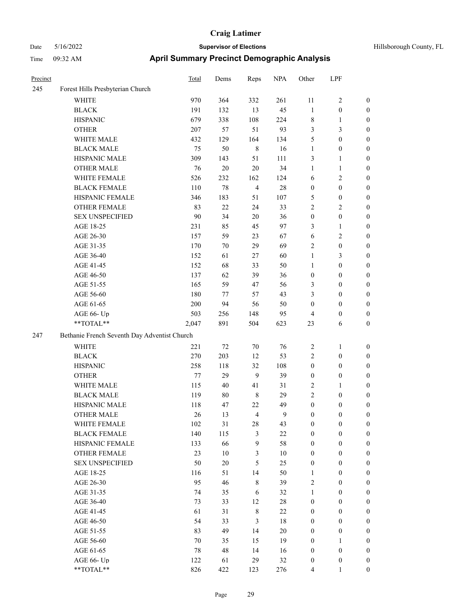| Precinct |                                              | <b>Total</b> | Dems   | Reps           | <b>NPA</b> | Other            | LPF              |                  |  |  |
|----------|----------------------------------------------|--------------|--------|----------------|------------|------------------|------------------|------------------|--|--|
| 245      | Forest Hills Presbyterian Church             |              |        |                |            |                  |                  |                  |  |  |
|          | WHITE                                        | 970          | 364    | 332            | 261        | 11               | 2                | $\boldsymbol{0}$ |  |  |
|          | <b>BLACK</b>                                 | 191          | 132    | 13             | 45         | $\mathbf{1}$     | $\boldsymbol{0}$ | $\boldsymbol{0}$ |  |  |
|          | <b>HISPANIC</b>                              | 679          | 338    | 108            | 224        | $\,$ 8 $\,$      | 1                | $\boldsymbol{0}$ |  |  |
|          | <b>OTHER</b>                                 | 207          | 57     | 51             | 93         | 3                | 3                | $\boldsymbol{0}$ |  |  |
|          | WHITE MALE                                   | 432          | 129    | 164            | 134        | 5                | $\boldsymbol{0}$ | $\boldsymbol{0}$ |  |  |
|          | <b>BLACK MALE</b>                            | 75           | 50     | $\,8\,$        | 16         | $\mathbf{1}$     | $\boldsymbol{0}$ | $\boldsymbol{0}$ |  |  |
|          | HISPANIC MALE                                | 309          | 143    | 51             | 111        | 3                | 1                | $\boldsymbol{0}$ |  |  |
|          | <b>OTHER MALE</b>                            | 76           | $20\,$ | 20             | 34         | $\mathbf{1}$     | 1                | $\boldsymbol{0}$ |  |  |
|          | WHITE FEMALE                                 | 526          | 232    | 162            | 124        | 6                | $\overline{c}$   | $\boldsymbol{0}$ |  |  |
|          | <b>BLACK FEMALE</b>                          | 110          | 78     | $\overline{4}$ | 28         | $\boldsymbol{0}$ | $\boldsymbol{0}$ | $\boldsymbol{0}$ |  |  |
|          | HISPANIC FEMALE                              | 346          | 183    | 51             | 107        | $\mathfrak{S}$   | $\boldsymbol{0}$ | $\boldsymbol{0}$ |  |  |
|          | <b>OTHER FEMALE</b>                          | 83           | $22\,$ | 24             | 33         | $\sqrt{2}$       | 2                | $\boldsymbol{0}$ |  |  |
|          | <b>SEX UNSPECIFIED</b>                       | 90           | 34     | 20             | 36         | $\boldsymbol{0}$ | $\boldsymbol{0}$ | $\boldsymbol{0}$ |  |  |
|          | AGE 18-25                                    | 231          | 85     | 45             | 97         | 3                | 1                | $\boldsymbol{0}$ |  |  |
|          | AGE 26-30                                    | 157          | 59     | 23             | 67         | 6                | 2                | $\boldsymbol{0}$ |  |  |
|          | AGE 31-35                                    | 170          | 70     | 29             | 69         | $\overline{2}$   | $\boldsymbol{0}$ | $\boldsymbol{0}$ |  |  |
|          | AGE 36-40                                    | 152          | 61     | 27             | 60         | $\mathbf{1}$     | 3                | $\boldsymbol{0}$ |  |  |
|          | AGE 41-45                                    | 152          | 68     | 33             | 50         | $\mathbf{1}$     | $\boldsymbol{0}$ | $\boldsymbol{0}$ |  |  |
|          | AGE 46-50                                    | 137          | 62     | 39             | 36         | $\boldsymbol{0}$ | $\boldsymbol{0}$ | $\boldsymbol{0}$ |  |  |
|          | AGE 51-55                                    | 165          | 59     | 47             | 56         | 3                | $\boldsymbol{0}$ | $\boldsymbol{0}$ |  |  |
|          | AGE 56-60                                    | 180          | 77     | 57             | 43         | 3                | $\boldsymbol{0}$ | $\boldsymbol{0}$ |  |  |
|          | AGE 61-65                                    | 200          | 94     | 56             | 50         | $\boldsymbol{0}$ | $\boldsymbol{0}$ | $\boldsymbol{0}$ |  |  |
|          | AGE 66- Up                                   | 503          | 256    | 148            | 95         | $\overline{4}$   | 0                | $\boldsymbol{0}$ |  |  |
|          | **TOTAL**                                    | 2,047        | 891    | 504            | 623        | 23               | 6                | $\boldsymbol{0}$ |  |  |
| 247      | Bethanie French Seventh Day Adventist Church |              |        |                |            |                  |                  |                  |  |  |
|          | <b>WHITE</b>                                 | 221          | 72     | 70             | 76         | $\overline{2}$   | 1                | $\boldsymbol{0}$ |  |  |
|          | <b>BLACK</b>                                 | 270          | 203    | 12             | 53         | $\sqrt{2}$       | $\boldsymbol{0}$ | $\boldsymbol{0}$ |  |  |
|          | <b>HISPANIC</b>                              | 258          | 118    | 32             | 108        | $\boldsymbol{0}$ | $\boldsymbol{0}$ | $\boldsymbol{0}$ |  |  |
|          | <b>OTHER</b>                                 | 77           | 29     | 9              | 39         | $\boldsymbol{0}$ | $\boldsymbol{0}$ | $\boldsymbol{0}$ |  |  |
|          | WHITE MALE                                   | 115          | 40     | 41             | 31         | $\sqrt{2}$       | 1                | $\boldsymbol{0}$ |  |  |
|          | <b>BLACK MALE</b>                            | 119          | 80     | 8              | 29         | $\sqrt{2}$       | $\boldsymbol{0}$ | $\boldsymbol{0}$ |  |  |
|          | HISPANIC MALE                                | 118          | 47     | 22             | 49         | $\boldsymbol{0}$ | $\boldsymbol{0}$ | $\boldsymbol{0}$ |  |  |
|          | <b>OTHER MALE</b>                            | 26           | 13     | $\overline{4}$ | 9          | $\boldsymbol{0}$ | $\boldsymbol{0}$ | $\boldsymbol{0}$ |  |  |
|          | WHITE FEMALE                                 | 102          | 31     | $28\,$         | 43         | $\boldsymbol{0}$ | $\boldsymbol{0}$ | $\boldsymbol{0}$ |  |  |
|          | <b>BLACK FEMALE</b>                          | 140          | 115    | 3              | $22\,$     | $\boldsymbol{0}$ | $\boldsymbol{0}$ | $\boldsymbol{0}$ |  |  |
|          | HISPANIC FEMALE                              | 133          | 66     | 9              | 58         | $\boldsymbol{0}$ | $\boldsymbol{0}$ | $\boldsymbol{0}$ |  |  |
|          | <b>OTHER FEMALE</b>                          | 23           | $10\,$ | 3              | $10\,$     | $\boldsymbol{0}$ | $\boldsymbol{0}$ | $\boldsymbol{0}$ |  |  |
|          | <b>SEX UNSPECIFIED</b>                       | 50           | $20\,$ | 5              | 25         | $\boldsymbol{0}$ | $\boldsymbol{0}$ | $\boldsymbol{0}$ |  |  |
|          | AGE 18-25                                    | 116          | 51     | 14             | 50         | $\mathbf{1}$     | $\boldsymbol{0}$ | $\boldsymbol{0}$ |  |  |
|          | AGE 26-30                                    | 95           | 46     | $\,8\,$        | 39         | $\sqrt{2}$       | $\boldsymbol{0}$ | $\boldsymbol{0}$ |  |  |
|          | AGE 31-35                                    | 74           | 35     | 6              | 32         | $\mathbf{1}$     | $\boldsymbol{0}$ | $\boldsymbol{0}$ |  |  |
|          | AGE 36-40                                    | 73           | 33     | 12             | $28\,$     | $\boldsymbol{0}$ | $\boldsymbol{0}$ | $\boldsymbol{0}$ |  |  |
|          | AGE 41-45                                    | 61           | 31     | $\,$ 8 $\,$    | $22\,$     | $\boldsymbol{0}$ | $\boldsymbol{0}$ | $\boldsymbol{0}$ |  |  |
|          | AGE 46-50                                    | 54           | 33     | $\mathfrak{Z}$ | 18         | $\boldsymbol{0}$ | $\boldsymbol{0}$ | $\boldsymbol{0}$ |  |  |
|          | AGE 51-55                                    | 83           | 49     | 14             | $20\,$     | $\boldsymbol{0}$ | $\boldsymbol{0}$ | $\boldsymbol{0}$ |  |  |
|          | AGE 56-60                                    | 70           | 35     | 15             | 19         | $\boldsymbol{0}$ | 1                | $\boldsymbol{0}$ |  |  |
|          | AGE 61-65                                    | 78           | 48     | 14             | 16         | $\boldsymbol{0}$ | $\boldsymbol{0}$ | $\boldsymbol{0}$ |  |  |
|          | AGE 66- Up                                   | 122          | 61     | 29             | 32         | $\boldsymbol{0}$ | $\boldsymbol{0}$ | $\mathbf{0}$     |  |  |
|          | $**TOTAL**$                                  | 826          | 422    | 123            | 276        | 4                |                  | $\overline{0}$   |  |  |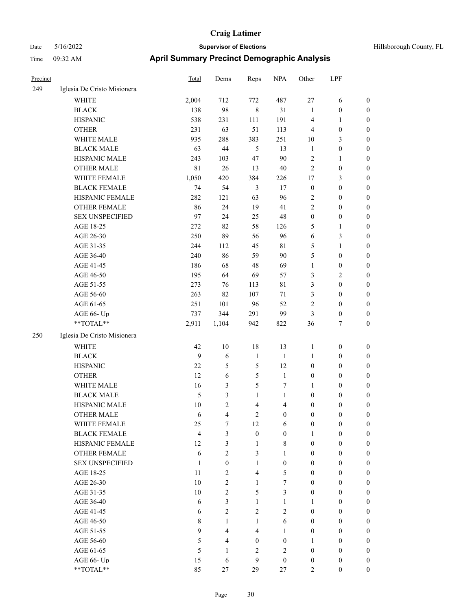| Precinct |                             | Total        | Dems             | Reps             | <b>NPA</b>       | Other            | LPF              |                  |
|----------|-----------------------------|--------------|------------------|------------------|------------------|------------------|------------------|------------------|
| 249      | Iglesia De Cristo Misionera |              |                  |                  |                  |                  |                  |                  |
|          | <b>WHITE</b>                | 2,004        | 712              | 772              | 487              | 27               | 6                | $\mathbf{0}$     |
|          | <b>BLACK</b>                | 138          | 98               | $\,8\,$          | 31               | 1                | $\boldsymbol{0}$ | $\mathbf{0}$     |
|          | <b>HISPANIC</b>             | 538          | 231              | 111              | 191              | 4                | 1                | 0                |
|          | <b>OTHER</b>                | 231          | 63               | 51               | 113              | 4                | $\boldsymbol{0}$ | $\mathbf{0}$     |
|          | WHITE MALE                  | 935          | 288              | 383              | 251              | 10               | 3                | $\mathbf{0}$     |
|          | <b>BLACK MALE</b>           | 63           | 44               | 5                | 13               | $\mathbf{1}$     | $\boldsymbol{0}$ | $\mathbf{0}$     |
|          | HISPANIC MALE               | 243          | 103              | 47               | 90               | $\overline{c}$   | $\mathbf{1}$     | $\mathbf{0}$     |
|          | <b>OTHER MALE</b>           | 81           | 26               | 13               | 40               | $\overline{c}$   | $\boldsymbol{0}$ | $\boldsymbol{0}$ |
|          | WHITE FEMALE                | 1,050        | 420              | 384              | 226              | 17               | 3                | $\mathbf{0}$     |
|          | <b>BLACK FEMALE</b>         | 74           | 54               | 3                | 17               | $\boldsymbol{0}$ | $\boldsymbol{0}$ | 0                |
|          | HISPANIC FEMALE             | 282          | 121              | 63               | 96               | 2                | $\boldsymbol{0}$ | $\mathbf{0}$     |
|          | OTHER FEMALE                | 86           | 24               | 19               | 41               | $\mathfrak{2}$   | $\boldsymbol{0}$ | $\mathbf{0}$     |
|          | <b>SEX UNSPECIFIED</b>      | 97           | 24               | 25               | 48               | $\boldsymbol{0}$ | $\boldsymbol{0}$ | $\boldsymbol{0}$ |
|          | AGE 18-25                   | 272          | 82               | 58               | 126              | 5                | $\mathbf{1}$     | $\mathbf{0}$     |
|          | AGE 26-30                   | 250          | 89               | 56               | 96               | 6                | 3                | $\mathbf{0}$     |
|          | AGE 31-35                   | 244          | 112              | 45               | $8\sqrt{1}$      | 5                | $\mathbf{1}$     | $\mathbf{0}$     |
|          | AGE 36-40                   | 240          | 86               | 59               | 90               | 5                | $\boldsymbol{0}$ | $\mathbf{0}$     |
|          | AGE 41-45                   | 186          | 68               | 48               | 69               | $\mathbf{1}$     | $\boldsymbol{0}$ | $\mathbf{0}$     |
|          | AGE 46-50                   | 195          | 64               | 69               | 57               | 3                | $\overline{2}$   | $\mathbf{0}$     |
|          | AGE 51-55                   | 273          | 76               | 113              | 81               | 3                | $\mathbf{0}$     | $\mathbf{0}$     |
|          | AGE 56-60                   | 263          | 82               | 107              | 71               | 3                | $\boldsymbol{0}$ | $\mathbf{0}$     |
|          | AGE 61-65                   | 251          | 101              | 96               | 52               | $\overline{c}$   | $\boldsymbol{0}$ | $\mathbf{0}$     |
|          | AGE 66- Up                  | 737          | 344              | 291              | 99               | 3                | $\boldsymbol{0}$ | $\boldsymbol{0}$ |
|          | **TOTAL**                   | 2,911        | 1,104            | 942              | 822              | 36               | 7                | $\boldsymbol{0}$ |
| 250      | Iglesia De Cristo Misionera |              |                  |                  |                  |                  |                  |                  |
|          | <b>WHITE</b>                | 42           | 10               | 18               | 13               | $\mathbf{1}$     | $\boldsymbol{0}$ | $\boldsymbol{0}$ |
|          | <b>BLACK</b>                | 9            | 6                | $\mathbf{1}$     | $\mathbf{1}$     | 1                | $\boldsymbol{0}$ | $\boldsymbol{0}$ |
|          | <b>HISPANIC</b>             | 22           | 5                | 5                | 12               | $\boldsymbol{0}$ | $\boldsymbol{0}$ | $\boldsymbol{0}$ |
|          | <b>OTHER</b>                | 12           | 6                | $\mathfrak{S}$   | $\mathbf{1}$     | $\boldsymbol{0}$ | $\boldsymbol{0}$ | $\boldsymbol{0}$ |
|          | WHITE MALE                  | 16           | 3                | 5                | 7                | 1                | $\boldsymbol{0}$ | $\boldsymbol{0}$ |
|          | <b>BLACK MALE</b>           | 5            | 3                | 1                | 1                | $\boldsymbol{0}$ | $\boldsymbol{0}$ | $\boldsymbol{0}$ |
|          | HISPANIC MALE               | 10           | $\overline{c}$   | $\overline{4}$   | $\overline{4}$   | $\boldsymbol{0}$ | $\boldsymbol{0}$ | 0                |
|          | <b>OTHER MALE</b>           | 6            | 4                | 2                | $\theta$         | $\theta$         | $\theta$         | $\overline{0}$   |
|          | WHITE FEMALE                | 25           | 7                | 12               | 6                | $\boldsymbol{0}$ | $\boldsymbol{0}$ | $\boldsymbol{0}$ |
|          | <b>BLACK FEMALE</b>         | 4            | 3                | $\boldsymbol{0}$ | $\boldsymbol{0}$ | 1                | $\boldsymbol{0}$ | $\boldsymbol{0}$ |
|          | HISPANIC FEMALE             | 12           | 3                | 1                | 8                | $\theta$         | $\theta$         | $\boldsymbol{0}$ |
|          | <b>OTHER FEMALE</b>         | 6            | $\mathfrak{2}$   | 3                | 1                | $\boldsymbol{0}$ | $\boldsymbol{0}$ | $\boldsymbol{0}$ |
|          | <b>SEX UNSPECIFIED</b>      | $\mathbf{1}$ | $\boldsymbol{0}$ | $\mathbf{1}$     | $\overline{0}$   | $\overline{0}$   | $\overline{0}$   | $\boldsymbol{0}$ |
|          | AGE 18-25                   | 11           | $\overline{c}$   | 4                | 5                | $\boldsymbol{0}$ | $\boldsymbol{0}$ | $\boldsymbol{0}$ |
|          | AGE 26-30                   | $10\,$       | $\overline{c}$   | 1                | 7                | $\overline{0}$   | $\overline{0}$   | 0                |
|          | AGE 31-35                   | $10\,$       | $\overline{c}$   | 5                | $\overline{3}$   | $\overline{0}$   | $\overline{0}$   | $\boldsymbol{0}$ |
|          | AGE 36-40                   | 6            | 3                | $\mathbf{1}$     | 1                | 1                | $\overline{0}$   | $\boldsymbol{0}$ |
|          | AGE 41-45                   | 6            | $\overline{c}$   | 2                | 2                | $\overline{0}$   | $\mathbf{0}$     | 0                |
|          | AGE 46-50                   | 8            | 1                | $\mathbf{1}$     | 6                | $\mathbf{0}$     | $\overline{0}$   | 0                |
|          | AGE 51-55                   | 9            | 4                | 4                | 1                | $\mathbf{0}$     | $\overline{0}$   | 0                |
|          | AGE 56-60                   | 5            | 4                | $\overline{0}$   | $\overline{0}$   | 1                | $\theta$         | 0                |
|          | AGE 61-65                   | 5            | 1                | 2                | 2                | $\boldsymbol{0}$ | $\boldsymbol{0}$ | $\boldsymbol{0}$ |
|          | AGE 66- Up                  | 15           | 6                | 9                | $\boldsymbol{0}$ | 0                | $\boldsymbol{0}$ | $\boldsymbol{0}$ |
|          | **TOTAL**                   | 85           | 27               | 29               | 27               | 2                | $\boldsymbol{0}$ | $\overline{0}$   |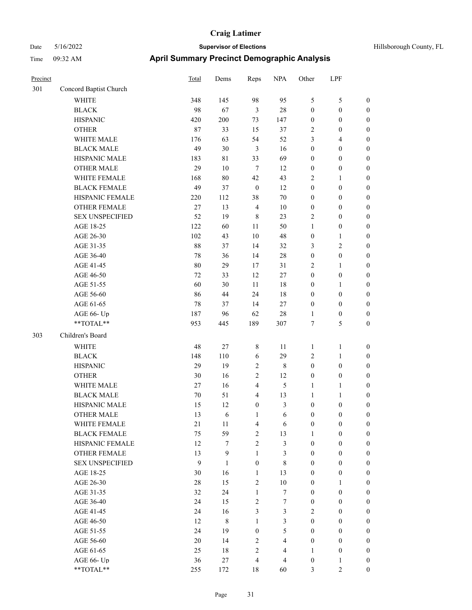| Precinct |                        | Total  | Dems           | Reps             | <b>NPA</b>       | Other            | LPF              |                  |
|----------|------------------------|--------|----------------|------------------|------------------|------------------|------------------|------------------|
| 301      | Concord Baptist Church |        |                |                  |                  |                  |                  |                  |
|          | <b>WHITE</b>           | 348    | 145            | 98               | 95               | $\mathfrak{S}$   | 5                | $\boldsymbol{0}$ |
|          | <b>BLACK</b>           | 98     | 67             | $\mathfrak{Z}$   | 28               | $\boldsymbol{0}$ | $\boldsymbol{0}$ | $\boldsymbol{0}$ |
|          | <b>HISPANIC</b>        | 420    | 200            | 73               | 147              | $\boldsymbol{0}$ | $\boldsymbol{0}$ | $\boldsymbol{0}$ |
|          | <b>OTHER</b>           | 87     | 33             | 15               | 37               | $\sqrt{2}$       | $\boldsymbol{0}$ | $\boldsymbol{0}$ |
|          | WHITE MALE             | 176    | 63             | 54               | 52               | 3                | 4                | $\boldsymbol{0}$ |
|          | <b>BLACK MALE</b>      | 49     | 30             | $\mathfrak{Z}$   | 16               | $\boldsymbol{0}$ | $\boldsymbol{0}$ | $\boldsymbol{0}$ |
|          | HISPANIC MALE          | 183    | $8\sqrt{1}$    | 33               | 69               | $\boldsymbol{0}$ | $\boldsymbol{0}$ | $\boldsymbol{0}$ |
|          | <b>OTHER MALE</b>      | 29     | 10             | $\overline{7}$   | 12               | $\boldsymbol{0}$ | $\boldsymbol{0}$ | $\boldsymbol{0}$ |
|          | WHITE FEMALE           | 168    | 80             | 42               | 43               | $\sqrt{2}$       | 1                | $\boldsymbol{0}$ |
|          | <b>BLACK FEMALE</b>    | 49     | 37             | $\boldsymbol{0}$ | 12               | $\boldsymbol{0}$ | $\boldsymbol{0}$ | $\boldsymbol{0}$ |
|          | HISPANIC FEMALE        | 220    | 112            | 38               | 70               | $\boldsymbol{0}$ | $\boldsymbol{0}$ | $\boldsymbol{0}$ |
|          | <b>OTHER FEMALE</b>    | 27     | 13             | $\overline{4}$   | 10               | $\boldsymbol{0}$ | $\boldsymbol{0}$ | $\boldsymbol{0}$ |
|          | <b>SEX UNSPECIFIED</b> | 52     | 19             | $\,8\,$          | 23               | $\overline{2}$   | $\boldsymbol{0}$ | $\boldsymbol{0}$ |
|          | AGE 18-25              | 122    | 60             | 11               | 50               | $\mathbf{1}$     | $\boldsymbol{0}$ | $\boldsymbol{0}$ |
|          | AGE 26-30              | 102    | 43             | 10               | 48               | $\boldsymbol{0}$ | 1                | $\boldsymbol{0}$ |
|          | AGE 31-35              | 88     | 37             | 14               | 32               | 3                | 2                | $\boldsymbol{0}$ |
|          | AGE 36-40              | 78     | 36             | 14               | 28               | $\boldsymbol{0}$ | $\boldsymbol{0}$ | $\boldsymbol{0}$ |
|          | AGE 41-45              | 80     | 29             | 17               | 31               | $\overline{2}$   | 1                | $\boldsymbol{0}$ |
|          | AGE 46-50              | 72     | 33             | 12               | $27\,$           | $\boldsymbol{0}$ | $\boldsymbol{0}$ | $\boldsymbol{0}$ |
|          | AGE 51-55              | 60     | 30             | 11               | 18               | $\boldsymbol{0}$ | 1                | $\boldsymbol{0}$ |
|          | AGE 56-60              | 86     | 44             | 24               | 18               | $\boldsymbol{0}$ | $\boldsymbol{0}$ | $\boldsymbol{0}$ |
|          | AGE 61-65              | 78     | 37             | 14               | $27\,$           | $\boldsymbol{0}$ | $\boldsymbol{0}$ | $\boldsymbol{0}$ |
|          | AGE 66- Up             | 187    | 96             | 62               | 28               | $\mathbf{1}$     | $\boldsymbol{0}$ | $\boldsymbol{0}$ |
|          | **TOTAL**              | 953    | 445            | 189              | 307              | $\tau$           | 5                | $\boldsymbol{0}$ |
| 303      | Children's Board       |        |                |                  |                  |                  |                  |                  |
|          | WHITE                  | 48     | $27\,$         | 8                | 11               | 1                | 1                | $\boldsymbol{0}$ |
|          | <b>BLACK</b>           | 148    | 110            | 6                | 29               | $\sqrt{2}$       | 1                | $\boldsymbol{0}$ |
|          | <b>HISPANIC</b>        | 29     | 19             | $\sqrt{2}$       | 8                | $\boldsymbol{0}$ | $\boldsymbol{0}$ | $\boldsymbol{0}$ |
|          | <b>OTHER</b>           | 30     | 16             | $\overline{c}$   | 12               | $\boldsymbol{0}$ | $\boldsymbol{0}$ | $\boldsymbol{0}$ |
|          | WHITE MALE             | $27\,$ | 16             | 4                | 5                | $\mathbf{1}$     | 1                | $\boldsymbol{0}$ |
|          | <b>BLACK MALE</b>      | 70     | 51             | $\overline{4}$   | 13               | $\mathbf{1}$     | 1                | $\boldsymbol{0}$ |
|          | HISPANIC MALE          | 15     | 12             | $\boldsymbol{0}$ | 3                | $\boldsymbol{0}$ | $\boldsymbol{0}$ | $\boldsymbol{0}$ |
|          | <b>OTHER MALE</b>      | 13     | 6              | 1                | 6                | $\mathbf{0}$     | $\mathbf{0}$     | $\boldsymbol{0}$ |
|          | WHITE FEMALE           | 21     | 11             | $\overline{4}$   | 6                | $\boldsymbol{0}$ | $\boldsymbol{0}$ | $\boldsymbol{0}$ |
|          | <b>BLACK FEMALE</b>    | 75     | 59             | $\overline{2}$   | 13               | $\mathbf{1}$     | $\boldsymbol{0}$ | $\boldsymbol{0}$ |
|          | HISPANIC FEMALE        | 12     | $\overline{7}$ | $\overline{2}$   | 3                | $\boldsymbol{0}$ | $\boldsymbol{0}$ | $\boldsymbol{0}$ |
|          | OTHER FEMALE           | 13     | 9              | $\mathbf{1}$     | 3                | $\boldsymbol{0}$ | $\boldsymbol{0}$ | $\boldsymbol{0}$ |
|          | SEX UNSPECIFIED        | 9      | $\mathbf{1}$   | $\boldsymbol{0}$ | 8                | $\boldsymbol{0}$ | $\boldsymbol{0}$ | $\boldsymbol{0}$ |
|          | AGE 18-25              | 30     | 16             | $\mathbf{1}$     | 13               | $\boldsymbol{0}$ | $\boldsymbol{0}$ | $\boldsymbol{0}$ |
|          | AGE 26-30              | 28     | 15             | $\overline{2}$   | $10\,$           | $\boldsymbol{0}$ | $\mathbf{1}$     | $\boldsymbol{0}$ |
|          | AGE 31-35              | 32     | 24             | $\mathbf{1}$     | $\boldsymbol{7}$ | $\boldsymbol{0}$ | $\boldsymbol{0}$ | $\boldsymbol{0}$ |
|          | AGE 36-40              | 24     | 15             | $\sqrt{2}$       | $\tau$           | $\boldsymbol{0}$ | $\boldsymbol{0}$ | $\boldsymbol{0}$ |
|          | AGE 41-45              | 24     | 16             | $\mathfrak{Z}$   | 3                | $\overline{2}$   | $\boldsymbol{0}$ | $\boldsymbol{0}$ |
|          | AGE 46-50              | 12     | $\,8\,$        | $\mathbf{1}$     | 3                | $\mathbf{0}$     | $\boldsymbol{0}$ | $\boldsymbol{0}$ |
|          | AGE 51-55              | 24     | 19             | $\boldsymbol{0}$ | 5                | $\boldsymbol{0}$ | $\boldsymbol{0}$ | $\boldsymbol{0}$ |
|          | AGE 56-60              | $20\,$ | 14             | $\overline{2}$   | $\overline{4}$   | $\boldsymbol{0}$ | $\boldsymbol{0}$ | $\boldsymbol{0}$ |
|          | AGE 61-65              | 25     | $18\,$         | $\overline{2}$   | $\overline{4}$   | $\mathbf{1}$     | $\boldsymbol{0}$ | $\boldsymbol{0}$ |
|          | AGE 66- Up             | 36     | 27             | $\overline{4}$   | $\overline{4}$   | $\boldsymbol{0}$ | $\mathbf{1}$     | $\boldsymbol{0}$ |
|          | **TOTAL**              | 255    | 172            | $18\,$           | 60               | $\mathfrak{Z}$   | $\overline{c}$   | $\boldsymbol{0}$ |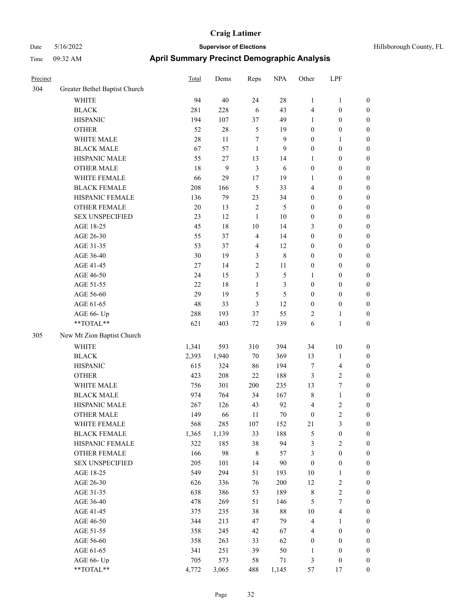| пше      | 09.32 A.W                     | Aprili Juliniary Fredrict Definegraphic Analysis |      |      |            |          |            |                |  |
|----------|-------------------------------|--------------------------------------------------|------|------|------------|----------|------------|----------------|--|
| Precinct |                               | Total                                            | Dems | Reps | <b>NPA</b> | Other    | <b>LPF</b> |                |  |
| 304      | Greater Bethel Baptist Church |                                                  |      |      |            |          |            |                |  |
|          | WHITE                         | 94                                               | 40   | 24   | 28         |          |            | $\overline{0}$ |  |
|          | <b>BLACK</b>                  | 281                                              | 228  | 6    | 43         | 4        | $\theta$   | $\theta$       |  |
|          | <b>HISPANIC</b>               | 194                                              | 107  | 37   | 49         |          |            | $\theta$       |  |
|          | <b>OTHER</b>                  | 52                                               | 28   |      | 19         | $\theta$ | $\theta$   | $\theta$       |  |
|          | WHITE MAI E                   | 28                                               | 11   |      | $\Omega$   | $\Omega$ |            | $\Omega$       |  |

|     | <b>OTHER</b>               | 52     | 28               | 5              | 19             | $\boldsymbol{0}$ | $\boldsymbol{0}$        | $\boldsymbol{0}$ |
|-----|----------------------------|--------|------------------|----------------|----------------|------------------|-------------------------|------------------|
|     | WHITE MALE                 | 28     | 11               | 7              | 9              | $\boldsymbol{0}$ | $\mathbf{1}$            | $\boldsymbol{0}$ |
|     | <b>BLACK MALE</b>          | 67     | 57               | $\mathbf{1}$   | 9              | $\boldsymbol{0}$ | $\boldsymbol{0}$        | $\boldsymbol{0}$ |
|     | HISPANIC MALE              | 55     | 27               | 13             | 14             | $\mathbf{1}$     | $\boldsymbol{0}$        | $\boldsymbol{0}$ |
|     | <b>OTHER MALE</b>          | 18     | $\boldsymbol{9}$ | $\mathfrak{Z}$ | 6              | $\boldsymbol{0}$ | $\boldsymbol{0}$        | $\boldsymbol{0}$ |
|     | WHITE FEMALE               | 66     | 29               | 17             | 19             | 1                | $\boldsymbol{0}$        | $\boldsymbol{0}$ |
|     | <b>BLACK FEMALE</b>        | 208    | 166              | 5              | 33             | 4                | $\boldsymbol{0}$        | 0                |
|     | HISPANIC FEMALE            | 136    | 79               | 23             | 34             | $\boldsymbol{0}$ | $\boldsymbol{0}$        | 0                |
|     | <b>OTHER FEMALE</b>        | $20\,$ | 13               | $\sqrt{2}$     | 5              | $\boldsymbol{0}$ | $\boldsymbol{0}$        | $\boldsymbol{0}$ |
|     | <b>SEX UNSPECIFIED</b>     | 23     | 12               | $\mathbf{1}$   | $10\,$         | $\boldsymbol{0}$ | $\boldsymbol{0}$        | $\boldsymbol{0}$ |
|     | AGE 18-25                  | 45     | $18\,$           | $10\,$         | 14             | 3                | $\boldsymbol{0}$        | $\boldsymbol{0}$ |
|     | AGE 26-30                  | 55     | 37               | 4              | 14             | $\boldsymbol{0}$ | $\boldsymbol{0}$        | $\boldsymbol{0}$ |
|     | AGE 31-35                  | 53     | 37               | $\overline{4}$ | 12             | $\boldsymbol{0}$ | $\boldsymbol{0}$        | $\boldsymbol{0}$ |
|     | AGE 36-40                  | 30     | 19               | 3              | $\,$ 8 $\,$    | $\boldsymbol{0}$ | $\boldsymbol{0}$        | $\boldsymbol{0}$ |
|     | AGE 41-45                  | $27\,$ | 14               | $\sqrt{2}$     | $11\,$         | $\boldsymbol{0}$ | $\boldsymbol{0}$        | $\boldsymbol{0}$ |
|     | AGE 46-50                  | 24     | 15               | $\mathfrak{Z}$ | $\mathfrak s$  | $\mathbf{1}$     | $\boldsymbol{0}$        | $\boldsymbol{0}$ |
|     | AGE 51-55                  | 22     | $18\,$           | $\mathbf{1}$   | $\mathfrak{Z}$ | $\boldsymbol{0}$ | $\boldsymbol{0}$        | 0                |
|     | AGE 56-60                  | 29     | 19               | 5              | $\mathfrak s$  | $\boldsymbol{0}$ | $\boldsymbol{0}$        | 0                |
|     | AGE 61-65                  | 48     | 33               | 3              | 12             | $\boldsymbol{0}$ | $\boldsymbol{0}$        | $\boldsymbol{0}$ |
|     | AGE 66- Up                 | 288    | 193              | 37             | 55             | 2                | 1                       | $\boldsymbol{0}$ |
|     | **TOTAL**                  | 621    | 403              | $72\,$         | 139            | 6                | $\mathbf{1}$            | $\boldsymbol{0}$ |
| 305 | New Mt Zion Baptist Church |        |                  |                |                |                  |                         |                  |
|     | <b>WHITE</b>               | 1,341  | 593              | 310            | 394            | 34               | $10\,$                  | $\boldsymbol{0}$ |
|     | <b>BLACK</b>               | 2,393  | 1,940            | $70\,$         | 369            | 13               | $\mathbf{1}$            | $\boldsymbol{0}$ |
|     | <b>HISPANIC</b>            | 615    | 324              | 86             | 194            | $\boldsymbol{7}$ | $\overline{\mathbf{4}}$ | $\boldsymbol{0}$ |
|     | <b>OTHER</b>               | 423    | 208              | 22             | 188            | 3                | $\sqrt{2}$              | $\boldsymbol{0}$ |
|     | WHITE MALE                 | 756    | 301              | 200            | 235            | 13               | $\boldsymbol{7}$        | $\boldsymbol{0}$ |
|     | <b>BLACK MALE</b>          | 974    | 764              | 34             | 167            | $\,$ 8 $\,$      | $\mathbf{1}$            | $\boldsymbol{0}$ |
|     | HISPANIC MALE              | 267    | 126              | 43             | 92             | 4                | $\sqrt{2}$              | 0                |
|     | <b>OTHER MALE</b>          | 149    | 66               | 11             | $70\,$         | $\boldsymbol{0}$ | $\sqrt{2}$              | 0                |
|     | WHITE FEMALE               | 568    | 285              | 107            | 152            | 21               | $\mathfrak{Z}$          | 0                |
|     | <b>BLACK FEMALE</b>        | 1,365  | 1,139            | 33             | 188            | 5                | $\boldsymbol{0}$        | $\boldsymbol{0}$ |
|     | HISPANIC FEMALE            | 322    | 185              | 38             | 94             | 3                | $\mathfrak{2}$          | $\boldsymbol{0}$ |
|     | <b>OTHER FEMALE</b>        | 166    | 98               | $\,$ 8 $\,$    | 57             | 3                | $\boldsymbol{0}$        | $\boldsymbol{0}$ |
|     | <b>SEX UNSPECIFIED</b>     | 205    | 101              | 14             | 90             | $\boldsymbol{0}$ | $\boldsymbol{0}$        | $\boldsymbol{0}$ |
|     | AGE 18-25                  | 549    | 294              | 51             | 193            | $10\,$           | $\mathbf{1}$            | 0                |
|     | AGE 26-30                  | 626    | 336              | 76             | 200            | 12               | $\sqrt{2}$              | 0                |
|     | AGE 31-35                  | 638    | 386              | 53             | 189            | $\,$ $\,$        | $\sqrt{2}$              | 0                |
|     | AGE 36-40                  | 478    | 269              | 51             | 146            | 5                | $\boldsymbol{7}$        | 0                |
|     | AGE 41-45                  | 375    | 235              | 38             | $88\,$         | $10\,$           | $\overline{\mathbf{4}}$ | 0                |
|     | AGE 46-50                  | 344    | 213              | 47             | 79             | 4                | 1                       | 0                |
|     | AGE 51-55                  | 358    | 245              | 42             | 67             | 4                | $\boldsymbol{0}$        | 0                |
|     | AGE 56-60                  | 358    | 263              | 33             | 62             | $\boldsymbol{0}$ | $\boldsymbol{0}$        | 0                |
|     | AGE 61-65                  | 341    | 251              | 39             | 50             | 1                | $\boldsymbol{0}$        | 0                |
|     | AGE 66- Up                 | 705    | 573              | 58             | 71             | 3                | $\boldsymbol{0}$        | 0                |
|     | **TOTAL**                  | 4,772  | 3,065            | 488            | 1,145          | 57               | 17                      | $\boldsymbol{0}$ |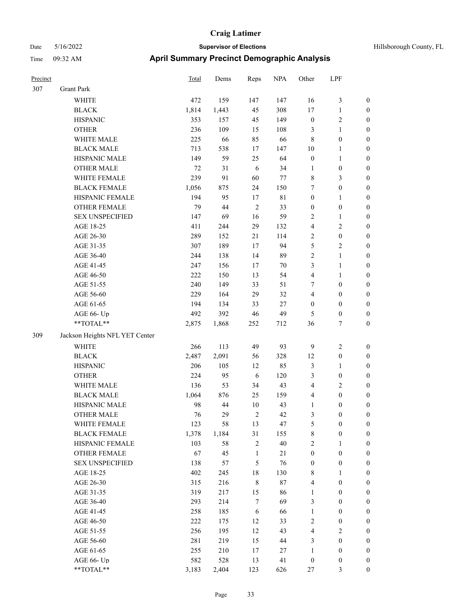| Precinct |                                                             | <b>Total</b> | Dems  | Reps           | <b>NPA</b>  | Other            | LPF                     |                  |
|----------|-------------------------------------------------------------|--------------|-------|----------------|-------------|------------------|-------------------------|------------------|
| 307      | <b>Grant Park</b>                                           |              |       |                |             |                  |                         |                  |
|          | <b>WHITE</b>                                                | 472          | 159   | 147            | 147         | 16               | 3                       | $\boldsymbol{0}$ |
|          | <b>BLACK</b>                                                | 1,814        | 1,443 | 45             | 308         | 17               | 1                       | $\boldsymbol{0}$ |
|          | <b>HISPANIC</b>                                             | 353          | 157   | 45             | 149         | $\boldsymbol{0}$ | 2                       | $\boldsymbol{0}$ |
|          | <b>OTHER</b>                                                | 236          | 109   | 15             | 108         | 3                | $\mathbf{1}$            | $\boldsymbol{0}$ |
|          | WHITE MALE                                                  | 225          | 66    | 85             | 66          | $\,8\,$          | $\boldsymbol{0}$        | $\boldsymbol{0}$ |
|          | <b>BLACK MALE</b>                                           | 713          | 538   | 17             | 147         | 10               | 1                       | $\boldsymbol{0}$ |
|          | HISPANIC MALE                                               | 149          | 59    | 25             | 64          | $\boldsymbol{0}$ | 1                       | $\boldsymbol{0}$ |
|          | <b>OTHER MALE</b>                                           | 72           | 31    | 6              | 34          | 1                | $\boldsymbol{0}$        | $\boldsymbol{0}$ |
|          | WHITE FEMALE                                                | 239          | 91    | 60             | 77          | $\,$ 8 $\,$      | 3                       | $\boldsymbol{0}$ |
|          | <b>BLACK FEMALE</b>                                         | 1,056        | 875   | 24             | 150         | 7                | $\boldsymbol{0}$        | $\boldsymbol{0}$ |
|          | HISPANIC FEMALE                                             | 194          | 95    | 17             | $8\sqrt{1}$ | $\boldsymbol{0}$ | 1                       | $\boldsymbol{0}$ |
|          | <b>OTHER FEMALE</b>                                         | 79           | 44    | $\overline{2}$ | 33          | $\boldsymbol{0}$ | $\boldsymbol{0}$        | $\boldsymbol{0}$ |
|          | <b>SEX UNSPECIFIED</b>                                      | 147          | 69    | 16             | 59          | $\overline{2}$   | 1                       | $\boldsymbol{0}$ |
|          | AGE 18-25                                                   | 411          | 244   | 29             | 132         | $\overline{4}$   | 2                       | $\boldsymbol{0}$ |
|          | AGE 26-30                                                   | 289          | 152   | 21             | 114         | $\overline{2}$   | $\boldsymbol{0}$        | $\boldsymbol{0}$ |
|          | AGE 31-35                                                   | 307          | 189   | 17             | 94          | 5                | 2                       | $\boldsymbol{0}$ |
|          | AGE 36-40                                                   | 244          | 138   | 14             | 89          | $\sqrt{2}$       | 1                       | $\boldsymbol{0}$ |
|          | AGE 41-45                                                   | 247          | 156   | 17             | 70          | 3                | 1                       | $\boldsymbol{0}$ |
|          | AGE 46-50                                                   | 222          | 150   | 13             | 54          | $\overline{4}$   | 1                       | $\boldsymbol{0}$ |
|          | AGE 51-55                                                   | 240          | 149   | 33             | 51          | 7                | $\boldsymbol{0}$        | $\boldsymbol{0}$ |
|          | AGE 56-60                                                   | 229          | 164   | 29             | 32          | $\overline{4}$   | $\boldsymbol{0}$        | $\boldsymbol{0}$ |
|          | AGE 61-65                                                   | 194          | 134   | 33             | $27\,$      | $\boldsymbol{0}$ | $\boldsymbol{0}$        | $\boldsymbol{0}$ |
|          | AGE 66- Up                                                  | 492          | 392   | 46             | 49          | 5                | $\boldsymbol{0}$        | $\boldsymbol{0}$ |
|          | **TOTAL**                                                   | 2,875        | 1,868 | 252            | 712         | 36               | 7                       | $\boldsymbol{0}$ |
| 309      | Jackson Heights NFL YET Center                              |              |       |                |             |                  |                         |                  |
|          | <b>WHITE</b>                                                | 266          | 113   | 49             | 93          | 9                | 2                       | $\boldsymbol{0}$ |
|          | <b>BLACK</b>                                                | 2,487        | 2,091 | 56             | 328         | 12               | $\boldsymbol{0}$        | $\boldsymbol{0}$ |
|          | <b>HISPANIC</b>                                             | 206          | 105   | 12             | 85          | $\mathfrak{Z}$   | 1                       | $\boldsymbol{0}$ |
|          | <b>OTHER</b>                                                | 224          | 95    | 6              | 120         | 3                | $\boldsymbol{0}$        | $\boldsymbol{0}$ |
|          | WHITE MALE                                                  | 136          | 53    | 34             | 43          | $\overline{4}$   | $\overline{\mathbf{c}}$ | $\boldsymbol{0}$ |
|          | <b>BLACK MALE</b>                                           | 1,064        | 876   | 25             | 159         | $\overline{4}$   | $\boldsymbol{0}$        | $\boldsymbol{0}$ |
|          | HISPANIC MALE                                               | 98           | 44    | 10             | 43          | $\mathbf{1}$     | $\boldsymbol{0}$        | $\boldsymbol{0}$ |
|          | <b>OTHER MALE</b>                                           | 76           | 29    | $\overline{2}$ | 42          | 3                | $\boldsymbol{0}$        | $\boldsymbol{0}$ |
|          | WHITE FEMALE                                                | 123          | 58    | 13             | 47          | $\sqrt{5}$       | $\boldsymbol{0}$        | $\boldsymbol{0}$ |
|          | <b>BLACK FEMALE</b>                                         | 1,378        | 1,184 | 31             | 155         | $\,8\,$          | $\boldsymbol{0}$        | $\boldsymbol{0}$ |
|          | HISPANIC FEMALE                                             | 103          | 58    | $\overline{2}$ | $40\,$      | $\overline{2}$   | 1                       | $\boldsymbol{0}$ |
|          | OTHER FEMALE                                                | 67           | 45    | $\mathbf{1}$   | 21          | $\boldsymbol{0}$ | $\boldsymbol{0}$        | $\boldsymbol{0}$ |
|          | <b>SEX UNSPECIFIED</b>                                      | 138          | 57    | $\mathfrak{S}$ | 76          | $\boldsymbol{0}$ | $\boldsymbol{0}$        | $\boldsymbol{0}$ |
|          | AGE 18-25                                                   | 402          | 245   | 18             | 130         | $\,$ 8 $\,$      | 1                       | $\boldsymbol{0}$ |
|          | AGE 26-30                                                   | 315          | 216   | $\,8\,$        | $87\,$      | $\overline{4}$   | $\boldsymbol{0}$        | $\boldsymbol{0}$ |
|          | AGE 31-35                                                   | 319          | 217   | 15             | 86          | $\mathbf{1}$     | $\boldsymbol{0}$        | $\boldsymbol{0}$ |
|          | AGE 36-40                                                   | 293          | 214   | $\tau$         | 69          | 3                | $\boldsymbol{0}$        | $\boldsymbol{0}$ |
|          | AGE 41-45                                                   | 258          | 185   | $\sqrt{6}$     | 66          | $\mathbf{1}$     | $\boldsymbol{0}$        | $\boldsymbol{0}$ |
|          | AGE 46-50                                                   | 222          | 175   | 12             | 33          | $\sqrt{2}$       | $\boldsymbol{0}$        | $\boldsymbol{0}$ |
|          | AGE 51-55                                                   | 256          | 195   | 12             | 43          | $\overline{4}$   | $\sqrt{2}$              | $\boldsymbol{0}$ |
|          | AGE 56-60                                                   | 281          | 219   | 15             | $44\,$      | $\mathfrak{Z}$   | $\boldsymbol{0}$        | $\boldsymbol{0}$ |
|          | AGE 61-65                                                   | 255          | 210   | 17             | 27          | $\mathbf{1}$     | $\boldsymbol{0}$        | $\boldsymbol{0}$ |
|          | AGE 66- Up                                                  | 582          | 528   | 13             | 41          | $\boldsymbol{0}$ | $\boldsymbol{0}$        | $\boldsymbol{0}$ |
|          | $\mathrm{*}\mathrm{*} \mathrm{TOTAL} \mathrm{*} \mathrm{*}$ | 3,183        | 2,404 | 123            | 626         | 27               | 3                       | $\overline{0}$   |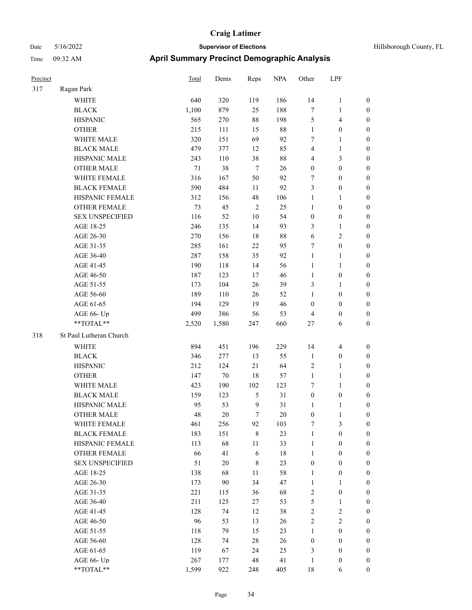| Hillsborough County, FL |  |  |
|-------------------------|--|--|
|-------------------------|--|--|

| Precinct |                         | Total  | Dems   | Reps             | <b>NPA</b> | Other            | LPF                     |                  |
|----------|-------------------------|--------|--------|------------------|------------|------------------|-------------------------|------------------|
| 317      | Ragan Park              |        |        |                  |            |                  |                         |                  |
|          | WHITE                   | 640    | 320    | 119              | 186        | 14               | $\mathbf{1}$            | $\boldsymbol{0}$ |
|          | <b>BLACK</b>            | 1,100  | 879    | 25               | 188        | 7                | $\mathbf{1}$            | $\boldsymbol{0}$ |
|          | <b>HISPANIC</b>         | 565    | 270    | 88               | 198        | 5                | $\overline{\mathbf{4}}$ | 0                |
|          | <b>OTHER</b>            | 215    | 111    | 15               | $88\,$     | $\mathbf{1}$     | $\boldsymbol{0}$        | 0                |
|          | WHITE MALE              | 320    | 151    | 69               | 92         | 7                | $\mathbf{1}$            | $\boldsymbol{0}$ |
|          | <b>BLACK MALE</b>       | 479    | 377    | 12               | 85         | 4                | $\mathbf{1}$            | $\boldsymbol{0}$ |
|          | HISPANIC MALE           | 243    | 110    | 38               | 88         | 4                | $\mathfrak{Z}$          | $\boldsymbol{0}$ |
|          | <b>OTHER MALE</b>       | $71\,$ | 38     | $\boldsymbol{7}$ | 26         | $\boldsymbol{0}$ | $\boldsymbol{0}$        | $\boldsymbol{0}$ |
|          | WHITE FEMALE            | 316    | 167    | 50               | 92         | 7                | $\boldsymbol{0}$        | $\boldsymbol{0}$ |
|          | <b>BLACK FEMALE</b>     | 590    | 484    | 11               | 92         | 3                | $\boldsymbol{0}$        | $\boldsymbol{0}$ |
|          | HISPANIC FEMALE         | 312    | 156    | 48               | 106        | $\mathbf{1}$     | $\mathbf{1}$            | 0                |
|          | OTHER FEMALE            | 73     | 45     | $\sqrt{2}$       | 25         | $\mathbf{1}$     | $\boldsymbol{0}$        | 0                |
|          | <b>SEX UNSPECIFIED</b>  | 116    | 52     | 10               | 54         | $\boldsymbol{0}$ | $\boldsymbol{0}$        | 0                |
|          | AGE 18-25               | 246    | 135    | 14               | 93         | 3                | $\mathbf{1}$            | 0                |
|          | AGE 26-30               | 270    | 156    | $18\,$           | $88\,$     | 6                | $\sqrt{2}$              | 0                |
|          | AGE 31-35               | 285    | 161    | 22               | 95         | 7                | $\boldsymbol{0}$        | $\boldsymbol{0}$ |
|          | AGE 36-40               | 287    | 158    | 35               | 92         | $\mathbf{1}$     | $\mathbf{1}$            | $\boldsymbol{0}$ |
|          | AGE 41-45               | 190    | 118    | 14               | 56         | $\mathbf{1}$     | $\mathbf{1}$            | 0                |
|          | AGE 46-50               | 187    | 123    | 17               | 46         | $\mathbf{1}$     | $\boldsymbol{0}$        | $\boldsymbol{0}$ |
|          | AGE 51-55               | 173    | 104    | 26               | 39         | 3                | $\mathbf{1}$            | $\boldsymbol{0}$ |
|          | AGE 56-60               | 189    | 110    | 26               | 52         | $\mathbf{1}$     | $\boldsymbol{0}$        | 0                |
|          | AGE 61-65               | 194    | 129    | 19               | 46         | $\boldsymbol{0}$ | $\boldsymbol{0}$        | 0                |
|          | AGE 66- Up              | 499    | 386    | 56               | 53         | $\overline{4}$   | $\boldsymbol{0}$        | 0                |
|          | **TOTAL**               | 2,520  | 1,580  | 247              | 660        | 27               | 6                       | $\boldsymbol{0}$ |
| 318      | St Paul Lutheran Church |        |        |                  |            |                  |                         |                  |
|          | <b>WHITE</b>            | 894    | 451    | 196              | 229        | 14               | $\overline{\mathbf{4}}$ | 0                |
|          | <b>BLACK</b>            | 346    | 277    | 13               | 55         | $\mathbf{1}$     | $\boldsymbol{0}$        | $\boldsymbol{0}$ |
|          | <b>HISPANIC</b>         | 212    | 124    | 21               | 64         | $\overline{c}$   | $\mathbf{1}$            | 0                |
|          | <b>OTHER</b>            | 147    | $70\,$ | 18               | 57         | $\mathbf{1}$     | $\mathbf{1}$            | $\boldsymbol{0}$ |
|          | WHITE MALE              | 423    | 190    | 102              | 123        | 7                | $\mathbf{1}$            | 0                |
|          | <b>BLACK MALE</b>       | 159    | 123    | $\mathfrak{S}$   | 31         | $\boldsymbol{0}$ | $\boldsymbol{0}$        | 0                |
|          | HISPANIC MALE           | 95     | 53     | $\overline{9}$   | 31         | $\mathbf{1}$     | $\mathbf{1}$            | 0                |
|          | <b>OTHER MALE</b>       | 48     | 20     | 7                | 20         | $\boldsymbol{0}$ | $\mathbf{1}$            | $\boldsymbol{0}$ |
|          | WHITE FEMALE            | 461    | 256    | 92               | 103        | 7                | $\mathfrak{Z}$          | 0                |
|          | <b>BLACK FEMALE</b>     | 183    | 151    | $\,$ 8 $\,$      | 23         | $\mathbf{1}$     | $\boldsymbol{0}$        | 0                |
|          | HISPANIC FEMALE         | 113    | 68     | 11               | 33         | $\mathbf{1}$     | $\boldsymbol{0}$        | 0                |
|          | OTHER FEMALE            | 66     | 41     | $\sqrt{6}$       | $18\,$     | $\mathbf{1}$     | $\boldsymbol{0}$        | 0                |
|          | <b>SEX UNSPECIFIED</b>  | 51     | $20\,$ | $\,8\,$          | 23         | $\boldsymbol{0}$ | $\boldsymbol{0}$        | $\overline{0}$   |
|          | AGE 18-25               | 138    | 68     | 11               | 58         | $\mathbf{1}$     | $\boldsymbol{0}$        | $\overline{0}$   |
|          | AGE 26-30               | 173    | 90     | 34               | 47         | $\mathbf{1}$     | $\mathbf{1}$            | 0                |
|          | AGE 31-35               | 221    | 115    | 36               | 68         | $\overline{c}$   | $\boldsymbol{0}$        | 0                |
|          | AGE 36-40               | 211    | 125    | 27               | 53         | $\mathfrak{S}$   | $\mathbf{1}$            | 0                |
|          | AGE 41-45               | 128    | 74     | 12               | 38         | $\sqrt{2}$       | $\sqrt{2}$              | 0                |
|          | AGE 46-50               | 96     | 53     | 13               | 26         | $\sqrt{2}$       | $\sqrt{2}$              | 0                |
|          | AGE 51-55               | 118    | 79     | 15               | 23         | $\mathbf{1}$     | $\boldsymbol{0}$        | 0                |
|          | AGE 56-60               | 128    | 74     | $28\,$           | 26         | $\boldsymbol{0}$ | $\boldsymbol{0}$        | 0                |
|          | AGE 61-65               | 119    | 67     | 24               | 25         | 3                | $\boldsymbol{0}$        | $\overline{0}$   |
|          | AGE 66- Up              | 267    | 177    | 48               | 41         | $\mathbf{1}$     | $\boldsymbol{0}$        | 0                |
|          | $**TOTAL**$             | 1,599  | 922    | 248              | 405        | 18               | 6                       | $\boldsymbol{0}$ |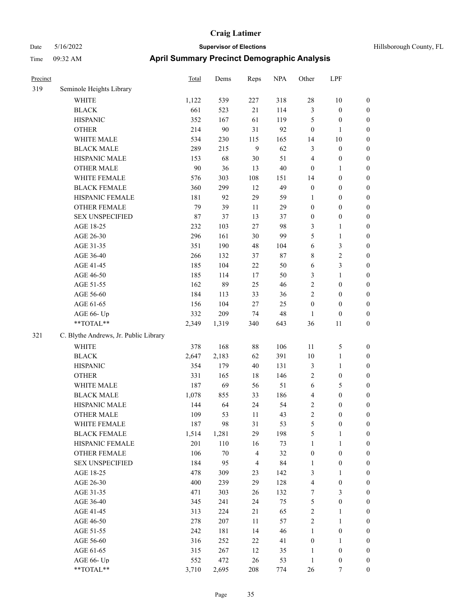| Precinct |                                       | <b>Total</b> | Dems   | Reps           | <b>NPA</b> | Other                   | LPF              |                  |
|----------|---------------------------------------|--------------|--------|----------------|------------|-------------------------|------------------|------------------|
| 319      | Seminole Heights Library              |              |        |                |            |                         |                  |                  |
|          | <b>WHITE</b>                          | 1,122        | 539    | 227            | 318        | $28\,$                  | $10\,$           | $\boldsymbol{0}$ |
|          | <b>BLACK</b>                          | 661          | 523    | 21             | 114        | 3                       | $\boldsymbol{0}$ | $\boldsymbol{0}$ |
|          | <b>HISPANIC</b>                       | 352          | 167    | 61             | 119        | 5                       | $\boldsymbol{0}$ | $\boldsymbol{0}$ |
|          | <b>OTHER</b>                          | 214          | 90     | 31             | 92         | $\boldsymbol{0}$        | $\mathbf{1}$     | $\boldsymbol{0}$ |
|          | WHITE MALE                            | 534          | 230    | 115            | 165        | 14                      | $10\,$           | $\boldsymbol{0}$ |
|          | <b>BLACK MALE</b>                     | 289          | 215    | $\overline{9}$ | 62         | 3                       | $\boldsymbol{0}$ | $\boldsymbol{0}$ |
|          | HISPANIC MALE                         | 153          | 68     | $30\,$         | 51         | 4                       | $\boldsymbol{0}$ | $\boldsymbol{0}$ |
|          | <b>OTHER MALE</b>                     | 90           | 36     | 13             | 40         | $\boldsymbol{0}$        | 1                | $\boldsymbol{0}$ |
|          | WHITE FEMALE                          | 576          | 303    | 108            | 151        | 14                      | $\boldsymbol{0}$ | $\boldsymbol{0}$ |
|          | <b>BLACK FEMALE</b>                   | 360          | 299    | 12             | 49         | $\boldsymbol{0}$        | $\boldsymbol{0}$ | 0                |
|          | HISPANIC FEMALE                       | 181          | 92     | 29             | 59         | 1                       | $\boldsymbol{0}$ | 0                |
|          | OTHER FEMALE                          | 79           | 39     | 11             | 29         | $\boldsymbol{0}$        | $\boldsymbol{0}$ | $\boldsymbol{0}$ |
|          | <b>SEX UNSPECIFIED</b>                | 87           | 37     | 13             | 37         | $\boldsymbol{0}$        | $\boldsymbol{0}$ | $\boldsymbol{0}$ |
|          | AGE 18-25                             | 232          | 103    | 27             | 98         | 3                       | $\mathbf{1}$     | $\boldsymbol{0}$ |
|          | AGE 26-30                             | 296          | 161    | $30\,$         | 99         | 5                       | $\mathbf{1}$     | $\boldsymbol{0}$ |
|          | AGE 31-35                             | 351          | 190    | 48             | 104        | 6                       | $\mathfrak{Z}$   | $\boldsymbol{0}$ |
|          | AGE 36-40                             | 266          | 132    | 37             | 87         | 8                       | $\sqrt{2}$       | $\boldsymbol{0}$ |
|          | AGE 41-45                             | 185          | 104    | 22             | 50         | 6                       | $\mathfrak{Z}$   | $\boldsymbol{0}$ |
|          | AGE 46-50                             | 185          | 114    | 17             | 50         | 3                       | $\mathbf{1}$     | $\boldsymbol{0}$ |
|          | AGE 51-55                             | 162          | 89     | 25             | 46         | $\sqrt{2}$              | $\boldsymbol{0}$ | 0                |
|          | AGE 56-60                             | 184          | 113    | 33             | 36         | $\mathbf{2}$            | $\boldsymbol{0}$ | 0                |
|          | AGE 61-65                             | 156          | 104    | $27\,$         | 25         | $\boldsymbol{0}$        | $\boldsymbol{0}$ | $\boldsymbol{0}$ |
|          | AGE 66- Up                            | 332          | 209    | 74             | 48         | 1                       | $\boldsymbol{0}$ | $\boldsymbol{0}$ |
|          | $**TOTAL**$                           | 2,349        | 1,319  | 340            | 643        | 36                      | 11               | $\boldsymbol{0}$ |
| 321      | C. Blythe Andrews, Jr. Public Library |              |        |                |            |                         |                  |                  |
|          | WHITE                                 | 378          | 168    | $88\,$         | 106        | 11                      | $\mathfrak{S}$   | $\boldsymbol{0}$ |
|          | <b>BLACK</b>                          | 2,647        | 2,183  | 62             | 391        | 10                      | $\mathbf{1}$     | $\boldsymbol{0}$ |
|          | <b>HISPANIC</b>                       | 354          | 179    | 40             | 131        | $\mathfrak{Z}$          | $\mathbf{1}$     | $\boldsymbol{0}$ |
|          | <b>OTHER</b>                          | 331          | 165    | 18             | 146        | 2                       | $\boldsymbol{0}$ | $\boldsymbol{0}$ |
|          | WHITE MALE                            | 187          | 69     | 56             | 51         | 6                       | $\mathfrak{S}$   | $\boldsymbol{0}$ |
|          | <b>BLACK MALE</b>                     | 1,078        | 855    | 33             | 186        | 4                       | $\boldsymbol{0}$ | $\boldsymbol{0}$ |
|          | HISPANIC MALE                         | 144          | 64     | 24             | 54         | 2                       | 0                | 0                |
|          | <b>OTHER MALE</b>                     | 109          | 53     | 11             | 43         | $\overline{\mathbf{c}}$ | $\boldsymbol{0}$ | $\overline{0}$   |
|          | WHITE FEMALE                          | 187          | 98     | 31             | 53         | 5                       | $\boldsymbol{0}$ | $\boldsymbol{0}$ |
|          | <b>BLACK FEMALE</b>                   | 1,514        | 1,281  | 29             | 198        | 5                       | $\mathbf{1}$     | $\boldsymbol{0}$ |
|          | HISPANIC FEMALE                       | 201          | 110    | 16             | 73         | $\mathbf{1}$            | $\mathbf{1}$     | $\boldsymbol{0}$ |
|          | <b>OTHER FEMALE</b>                   | 106          | $70\,$ | $\overline{4}$ | 32         | $\boldsymbol{0}$        | $\boldsymbol{0}$ | 0                |
|          | <b>SEX UNSPECIFIED</b>                | 184          | 95     | $\overline{4}$ | 84         | $\mathbf{1}$            | $\boldsymbol{0}$ | 0                |
|          | AGE 18-25                             | 478          | 309    | 23             | 142        | 3                       | $\mathbf{1}$     | $\overline{0}$   |
|          | AGE 26-30                             | 400          | 239    | 29             | 128        | 4                       | $\boldsymbol{0}$ | 0                |
|          | AGE 31-35                             | 471          | 303    | 26             | 132        | 7                       | $\mathfrak{Z}$   | 0                |
|          | AGE 36-40                             | 345          | 241    | 24             | 75         | $\mathfrak s$           | $\boldsymbol{0}$ | 0                |
|          | AGE 41-45                             | 313          | 224    | 21             | 65         | $\sqrt{2}$              | $\mathbf{1}$     | 0                |
|          | AGE 46-50                             | 278          | 207    | $11\,$         | 57         | $\sqrt{2}$              | $\mathbf{1}$     | $\boldsymbol{0}$ |
|          | AGE 51-55                             | 242          | 181    | 14             | 46         | $\mathbf{1}$            | $\boldsymbol{0}$ | $\boldsymbol{0}$ |
|          | AGE 56-60                             | 316          | 252    | 22             | 41         | $\boldsymbol{0}$        | $\mathbf{1}$     | $\boldsymbol{0}$ |
|          | AGE 61-65                             | 315          | 267    | 12             | 35         | $\mathbf{1}$            | $\boldsymbol{0}$ | 0                |
|          | AGE 66- Up                            | 552          | 472    | $26\,$         | 53         | $\mathbf{1}$            | $\boldsymbol{0}$ | 0                |
|          | $**TOTAL**$                           | 3,710        | 2,695  | 208            | 774        | 26                      | $\tau$           | $\overline{0}$   |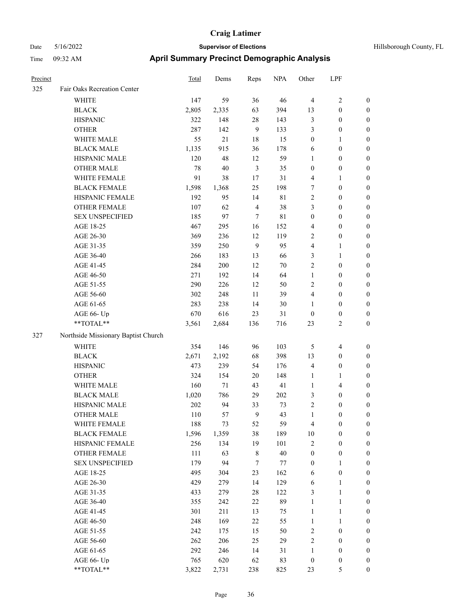| <b>Precinct</b> |                                     | Total | Dems   | Reps           | <b>NPA</b>  | Other            | LPF                     |                  |
|-----------------|-------------------------------------|-------|--------|----------------|-------------|------------------|-------------------------|------------------|
| 325             | Fair Oaks Recreation Center         |       |        |                |             |                  |                         |                  |
|                 | <b>WHITE</b>                        | 147   | 59     | 36             | 46          | $\overline{4}$   | $\mathbf{2}$            | 0                |
|                 | <b>BLACK</b>                        | 2,805 | 2,335  | 63             | 394         | 13               | $\boldsymbol{0}$        | 0                |
|                 | <b>HISPANIC</b>                     | 322   | 148    | 28             | 143         | 3                | $\boldsymbol{0}$        | $\boldsymbol{0}$ |
|                 | <b>OTHER</b>                        | 287   | 142    | 9              | 133         | 3                | $\boldsymbol{0}$        | $\boldsymbol{0}$ |
|                 | WHITE MALE                          | 55    | 21     | 18             | 15          | $\boldsymbol{0}$ | 1                       | $\boldsymbol{0}$ |
|                 | <b>BLACK MALE</b>                   | 1,135 | 915    | 36             | 178         | 6                | $\boldsymbol{0}$        | $\boldsymbol{0}$ |
|                 | HISPANIC MALE                       | 120   | 48     | 12             | 59          | $\mathbf{1}$     | $\boldsymbol{0}$        | $\boldsymbol{0}$ |
|                 | <b>OTHER MALE</b>                   | 78    | 40     | 3              | 35          | $\boldsymbol{0}$ | $\boldsymbol{0}$        | $\boldsymbol{0}$ |
|                 | WHITE FEMALE                        | 91    | 38     | 17             | 31          | 4                | $\mathbf{1}$            | $\boldsymbol{0}$ |
|                 | <b>BLACK FEMALE</b>                 | 1,598 | 1,368  | 25             | 198         | 7                | $\boldsymbol{0}$        | 0                |
|                 | HISPANIC FEMALE                     | 192   | 95     | 14             | 81          | $\mathfrak{2}$   | $\boldsymbol{0}$        | 0                |
|                 | <b>OTHER FEMALE</b>                 | 107   | 62     | $\overline{4}$ | 38          | 3                | $\boldsymbol{0}$        | $\boldsymbol{0}$ |
|                 | <b>SEX UNSPECIFIED</b>              | 185   | 97     | $\tau$         | $8\sqrt{1}$ | $\boldsymbol{0}$ | $\boldsymbol{0}$        | $\boldsymbol{0}$ |
|                 | AGE 18-25                           | 467   | 295    | 16             | 152         | 4                | $\boldsymbol{0}$        | $\boldsymbol{0}$ |
|                 | AGE 26-30                           | 369   | 236    | 12             | 119         | $\overline{c}$   | $\boldsymbol{0}$        | $\boldsymbol{0}$ |
|                 | AGE 31-35                           | 359   | 250    | 9              | 95          | 4                | $\mathbf{1}$            | $\boldsymbol{0}$ |
|                 | AGE 36-40                           | 266   | 183    | 13             | 66          | 3                | $\mathbf{1}$            | $\boldsymbol{0}$ |
|                 | AGE 41-45                           | 284   | 200    | 12             | 70          | $\mathfrak{2}$   | $\boldsymbol{0}$        | $\boldsymbol{0}$ |
|                 | AGE 46-50                           | 271   | 192    | 14             | 64          | $\mathbf{1}$     | $\boldsymbol{0}$        | $\boldsymbol{0}$ |
|                 | AGE 51-55                           | 290   | 226    | 12             | 50          | $\sqrt{2}$       | $\boldsymbol{0}$        | $\boldsymbol{0}$ |
|                 | AGE 56-60                           | 302   | 248    | 11             | 39          | $\overline{4}$   | $\boldsymbol{0}$        | 0                |
|                 | AGE 61-65                           | 283   | 238    | 14             | 30          | 1                | $\boldsymbol{0}$        | 0                |
|                 | AGE 66- Up                          | 670   | 616    | 23             | 31          | $\boldsymbol{0}$ | $\boldsymbol{0}$        | $\boldsymbol{0}$ |
|                 | $**TOTAL**$                         | 3,561 | 2,684  | 136            | 716         | 23               | $\overline{2}$          | $\boldsymbol{0}$ |
| 327             | Northside Missionary Baptist Church |       |        |                |             |                  |                         |                  |
|                 | <b>WHITE</b>                        | 354   | 146    | 96             | 103         | 5                | $\overline{\mathbf{4}}$ | $\boldsymbol{0}$ |
|                 | <b>BLACK</b>                        | 2,671 | 2,192  | 68             | 398         | 13               | $\boldsymbol{0}$        | $\boldsymbol{0}$ |
|                 | <b>HISPANIC</b>                     | 473   | 239    | 54             | 176         | 4                | $\boldsymbol{0}$        | $\boldsymbol{0}$ |
|                 | <b>OTHER</b>                        | 324   | 154    | 20             | 148         | $\mathbf{1}$     | $\mathbf{1}$            | $\boldsymbol{0}$ |
|                 | <b>WHITE MALE</b>                   | 160   | $71\,$ | 43             | 41          | $\mathbf{1}$     | $\overline{4}$          | $\boldsymbol{0}$ |
|                 | <b>BLACK MALE</b>                   | 1,020 | 786    | 29             | 202         | 3                | $\boldsymbol{0}$        | $\boldsymbol{0}$ |
|                 | HISPANIC MALE                       | 202   | 94     | 33             | 73          | $\overline{c}$   | $\boldsymbol{0}$        | $\boldsymbol{0}$ |
|                 | <b>OTHER MALE</b>                   | 110   | 57     | 9              | 43          | $\mathbf{1}$     | $\boldsymbol{0}$        | $\boldsymbol{0}$ |
|                 | WHITE FEMALE                        | 188   | 73     | 52             | 59          | 4                | $\boldsymbol{0}$        | 0                |
|                 | <b>BLACK FEMALE</b>                 | 1,596 | 1,359  | 38             | 189         | $10\,$           | $\boldsymbol{0}$        | $\boldsymbol{0}$ |
|                 | HISPANIC FEMALE                     | 256   | 134    | 19             | 101         | 2                | $\boldsymbol{0}$        | $\overline{0}$   |
|                 | OTHER FEMALE                        | 111   | 63     | $\,$ 8 $\,$    | 40          | $\boldsymbol{0}$ | $\boldsymbol{0}$        | $\overline{0}$   |
|                 | <b>SEX UNSPECIFIED</b>              | 179   | 94     | 7              | 77          | $\boldsymbol{0}$ | $\mathbf{1}$            | 0                |
|                 | AGE 18-25                           | 495   | 304    | 23             | 162         | 6                | $\boldsymbol{0}$        | 0                |
|                 | AGE 26-30                           | 429   | 279    | 14             | 129         | 6                | $\mathbf{1}$            | 0                |
|                 | AGE 31-35                           | 433   | 279    | $28\,$         | 122         | 3                | $\mathbf{1}$            | 0                |
|                 | AGE 36-40                           | 355   | 242    | $22\,$         | 89          | $\mathbf{1}$     | $\mathbf{1}$            | 0                |
|                 | AGE 41-45                           | 301   | 211    | 13             | 75          | $\mathbf{1}$     | $\mathbf{1}$            | 0                |
|                 | AGE 46-50                           | 248   | 169    | 22             | 55          | $\mathbf{1}$     | $\mathbf{1}$            | 0                |
|                 | AGE 51-55                           | 242   | 175    | 15             | 50          | $\sqrt{2}$       | $\boldsymbol{0}$        | $\boldsymbol{0}$ |
|                 | AGE 56-60                           | 262   | 206    | 25             | 29          | $\overline{c}$   | $\boldsymbol{0}$        | $\boldsymbol{0}$ |
|                 | AGE 61-65                           | 292   | 246    | 14             | 31          | $\mathbf{1}$     | $\boldsymbol{0}$        | $\boldsymbol{0}$ |
|                 | AGE 66- Up                          | 765   | 620    | 62             | 83          | $\boldsymbol{0}$ | $\boldsymbol{0}$        | $\boldsymbol{0}$ |
|                 | **TOTAL**                           | 3,822 | 2,731  | 238            | 825         | 23               | $\mathfrak{S}$          | $\boldsymbol{0}$ |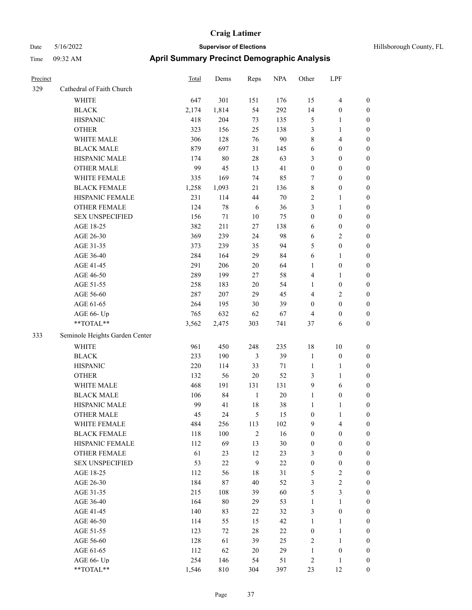| Hillsborough County, FL |  |  |
|-------------------------|--|--|
|-------------------------|--|--|

| Precinct |                                                           | Total | Dems   | Reps           | <b>NPA</b> | Other            | LPF                     |                  |
|----------|-----------------------------------------------------------|-------|--------|----------------|------------|------------------|-------------------------|------------------|
| 329      | Cathedral of Faith Church                                 |       |        |                |            |                  |                         |                  |
|          | WHITE                                                     | 647   | 301    | 151            | 176        | 15               | $\overline{4}$          | $\boldsymbol{0}$ |
|          | <b>BLACK</b>                                              | 2,174 | 1,814  | 54             | 292        | 14               | $\boldsymbol{0}$        | $\boldsymbol{0}$ |
|          | <b>HISPANIC</b>                                           | 418   | 204    | 73             | 135        | $\mathfrak{S}$   | 1                       | $\boldsymbol{0}$ |
|          | <b>OTHER</b>                                              | 323   | 156    | 25             | 138        | 3                | 1                       | $\boldsymbol{0}$ |
|          | WHITE MALE                                                | 306   | 128    | 76             | 90         | $\,$ 8 $\,$      | 4                       | $\boldsymbol{0}$ |
|          | <b>BLACK MALE</b>                                         | 879   | 697    | 31             | 145        | 6                | $\boldsymbol{0}$        | $\boldsymbol{0}$ |
|          | HISPANIC MALE                                             | 174   | $80\,$ | $28\,$         | 63         | 3                | $\boldsymbol{0}$        | $\boldsymbol{0}$ |
|          | <b>OTHER MALE</b>                                         | 99    | 45     | 13             | 41         | $\boldsymbol{0}$ | $\boldsymbol{0}$        | $\boldsymbol{0}$ |
|          | WHITE FEMALE                                              | 335   | 169    | 74             | 85         | $\tau$           | $\boldsymbol{0}$        | $\boldsymbol{0}$ |
|          | <b>BLACK FEMALE</b>                                       | 1,258 | 1,093  | 21             | 136        | $\,$ 8 $\,$      | $\boldsymbol{0}$        | $\boldsymbol{0}$ |
|          | HISPANIC FEMALE                                           | 231   | 114    | 44             | 70         | $\sqrt{2}$       | 1                       | $\boldsymbol{0}$ |
|          | <b>OTHER FEMALE</b>                                       | 124   | $78\,$ | 6              | 36         | 3                | 1                       | $\boldsymbol{0}$ |
|          | <b>SEX UNSPECIFIED</b>                                    | 156   | 71     | 10             | 75         | $\boldsymbol{0}$ | $\boldsymbol{0}$        | $\boldsymbol{0}$ |
|          | AGE 18-25                                                 | 382   | 211    | 27             | 138        | 6                | $\boldsymbol{0}$        | $\boldsymbol{0}$ |
|          | AGE 26-30                                                 | 369   | 239    | 24             | 98         | 6                | $\overline{\mathbf{c}}$ | $\boldsymbol{0}$ |
|          | AGE 31-35                                                 | 373   | 239    | 35             | 94         | 5                | $\boldsymbol{0}$        | $\boldsymbol{0}$ |
|          | AGE 36-40                                                 | 284   | 164    | 29             | 84         | 6                | 1                       | $\boldsymbol{0}$ |
|          | AGE 41-45                                                 | 291   | 206    | 20             | 64         | 1                | $\boldsymbol{0}$        | $\boldsymbol{0}$ |
|          | AGE 46-50                                                 | 289   | 199    | 27             | 58         | $\overline{4}$   | 1                       | $\boldsymbol{0}$ |
|          | AGE 51-55                                                 | 258   | 183    | 20             | 54         | $\mathbf{1}$     | $\boldsymbol{0}$        | $\boldsymbol{0}$ |
|          | AGE 56-60                                                 | 287   | 207    | 29             | 45         | $\overline{4}$   | 2                       | $\boldsymbol{0}$ |
|          | AGE 61-65                                                 | 264   | 195    | $30\,$         | 39         | $\boldsymbol{0}$ | $\boldsymbol{0}$        | $\boldsymbol{0}$ |
|          | AGE 66- Up                                                | 765   | 632    | 62             | 67         | $\overline{4}$   | $\boldsymbol{0}$        | $\boldsymbol{0}$ |
|          | **TOTAL**                                                 | 3,562 | 2,475  | 303            | 741        | 37               | 6                       | $\boldsymbol{0}$ |
| 333      | Seminole Heights Garden Center                            |       |        |                |            |                  |                         |                  |
|          | <b>WHITE</b>                                              | 961   | 450    | 248            | 235        | $18\,$           | 10                      | $\boldsymbol{0}$ |
|          | <b>BLACK</b>                                              | 233   | 190    | 3              | 39         | $\mathbf{1}$     | $\boldsymbol{0}$        | $\boldsymbol{0}$ |
|          | <b>HISPANIC</b>                                           | 220   | 114    | 33             | 71         | $\mathbf{1}$     | 1                       | $\boldsymbol{0}$ |
|          | <b>OTHER</b>                                              | 132   | 56     | 20             | 52         | 3                | 1                       | $\boldsymbol{0}$ |
|          | WHITE MALE                                                | 468   | 191    | 131            | 131        | 9                | 6                       | $\boldsymbol{0}$ |
|          | <b>BLACK MALE</b>                                         | 106   | 84     | $\mathbf{1}$   | 20         | $\mathbf{1}$     | $\boldsymbol{0}$        | $\boldsymbol{0}$ |
|          | HISPANIC MALE                                             | 99    | 41     | 18             | 38         | 1                | 1                       | $\boldsymbol{0}$ |
|          | <b>OTHER MALE</b>                                         | 45    | 24     | 5              | 15         | $\boldsymbol{0}$ |                         | 0                |
|          | WHITE FEMALE                                              | 484   | 256    | 113            | 102        | 9                | $\overline{4}$          | $\boldsymbol{0}$ |
|          | <b>BLACK FEMALE</b>                                       | 118   | 100    | $\overline{2}$ | 16         | $\boldsymbol{0}$ | $\boldsymbol{0}$        | $\boldsymbol{0}$ |
|          | HISPANIC FEMALE                                           | 112   | 69     | 13             | 30         | $\boldsymbol{0}$ | $\boldsymbol{0}$        | $\boldsymbol{0}$ |
|          | <b>OTHER FEMALE</b>                                       | 61    | 23     | 12             | 23         | $\mathfrak{Z}$   | $\boldsymbol{0}$        | $\boldsymbol{0}$ |
|          | <b>SEX UNSPECIFIED</b>                                    | 53    | $22\,$ | $\overline{9}$ | 22         | $\boldsymbol{0}$ | $\boldsymbol{0}$        | $\boldsymbol{0}$ |
|          | AGE 18-25                                                 | 112   | 56     | $18\,$         | 31         | $\mathfrak{S}$   | $\mathbf{2}$            | $\boldsymbol{0}$ |
|          | AGE 26-30                                                 | 184   | $87\,$ | $40\,$         | 52         | $\mathfrak{Z}$   | $\overline{c}$          | $\boldsymbol{0}$ |
|          | AGE 31-35                                                 | 215   | 108    | 39             | 60         | $\mathfrak s$    | $\mathfrak{Z}$          | $\boldsymbol{0}$ |
|          | AGE 36-40                                                 | 164   | $80\,$ | 29             | 53         | $\mathbf{1}$     | $\mathbf{1}$            | $\boldsymbol{0}$ |
|          | AGE 41-45                                                 | 140   | 83     | 22             | 32         | $\mathfrak{Z}$   | $\boldsymbol{0}$        | $\boldsymbol{0}$ |
|          | AGE 46-50                                                 | 114   | 55     | 15             | 42         | $\mathbf{1}$     | $\mathbf{1}$            | $\boldsymbol{0}$ |
|          | AGE 51-55                                                 | 123   | 72     | $28\,$         | $22\,$     | $\boldsymbol{0}$ | $\mathbf{1}$            | $\boldsymbol{0}$ |
|          | AGE 56-60                                                 | 128   | 61     | 39             | 25         | $\sqrt{2}$       | $\mathbf{1}$            | $\boldsymbol{0}$ |
|          | AGE 61-65                                                 | 112   | 62     | 20             | 29         | $\mathbf{1}$     | $\boldsymbol{0}$        | $\boldsymbol{0}$ |
|          | AGE 66- Up                                                | 254   | 146    | 54             | 51         | $\sqrt{2}$       | $\mathbf{1}$            | $\boldsymbol{0}$ |
|          | $\mathrm{*}\mathrm{*}\mathrm{TOTAL} \mathrm{*}\mathrm{*}$ | 1,546 | 810    | 304            | 397        | 23               | 12                      | $\boldsymbol{0}$ |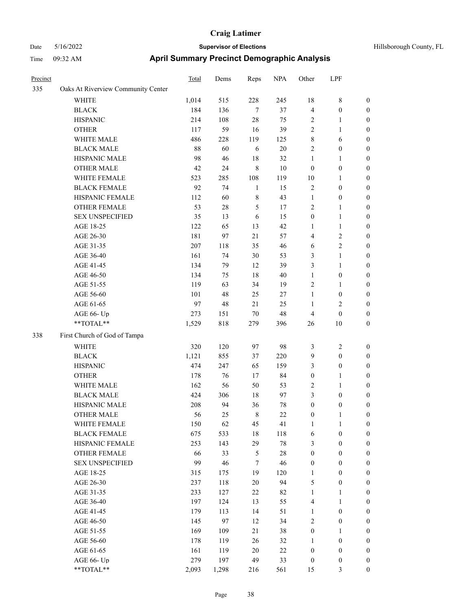## Date 5/16/2022 **Supervisor of Elections Supervisor of Elections** Hillsborough County, FL Time 09:32 AM **April Summary Precinct Demographic Analysis**

| Precinct |                                    | Total | Dems  | Reps        | <b>NPA</b> | Other            | LPF              |                  |
|----------|------------------------------------|-------|-------|-------------|------------|------------------|------------------|------------------|
| 335      | Oaks At Riverview Community Center |       |       |             |            |                  |                  |                  |
|          | WHITE                              | 1,014 | 515   | 228         | 245        | 18               | 8                | $\boldsymbol{0}$ |
|          | <b>BLACK</b>                       | 184   | 136   | $\tau$      | 37         | $\overline{4}$   | $\boldsymbol{0}$ | $\boldsymbol{0}$ |
|          | <b>HISPANIC</b>                    | 214   | 108   | 28          | 75         | $\overline{2}$   | 1                | $\boldsymbol{0}$ |
|          | <b>OTHER</b>                       | 117   | 59    | 16          | 39         | $\sqrt{2}$       | 1                | $\boldsymbol{0}$ |
|          | WHITE MALE                         | 486   | 228   | 119         | 125        | $\,$ 8 $\,$      | 6                | $\boldsymbol{0}$ |
|          | <b>BLACK MALE</b>                  | 88    | 60    | 6           | $20\,$     | $\sqrt{2}$       | $\boldsymbol{0}$ | $\boldsymbol{0}$ |
|          | HISPANIC MALE                      | 98    | 46    | 18          | 32         | $\mathbf{1}$     | 1                | $\boldsymbol{0}$ |
|          | <b>OTHER MALE</b>                  | 42    | 24    | $\,8\,$     | $10\,$     | $\mathbf{0}$     | $\boldsymbol{0}$ | $\boldsymbol{0}$ |
|          | WHITE FEMALE                       | 523   | 285   | 108         | 119        | 10               | 1                | $\boldsymbol{0}$ |
|          | <b>BLACK FEMALE</b>                | 92    | 74    | 1           | 15         | $\sqrt{2}$       | $\boldsymbol{0}$ | $\boldsymbol{0}$ |
|          | HISPANIC FEMALE                    | 112   | 60    | $\,$ 8 $\,$ | 43         | $\mathbf{1}$     | $\boldsymbol{0}$ | $\boldsymbol{0}$ |
|          | <b>OTHER FEMALE</b>                | 53    | 28    | 5           | 17         | $\overline{2}$   | 1                | $\boldsymbol{0}$ |
|          | <b>SEX UNSPECIFIED</b>             | 35    | 13    | 6           | 15         | $\boldsymbol{0}$ | $\mathbf{1}$     | $\boldsymbol{0}$ |
|          | AGE 18-25                          | 122   | 65    | 13          | 42         | 1                | 1                | $\boldsymbol{0}$ |
|          | AGE 26-30                          | 181   | 97    | 21          | 57         | $\overline{4}$   | 2                | $\boldsymbol{0}$ |
|          | AGE 31-35                          | 207   | 118   | 35          | 46         | 6                | 2                | $\boldsymbol{0}$ |
|          | AGE 36-40                          | 161   | 74    | 30          | 53         | $\mathfrak{Z}$   | 1                | $\boldsymbol{0}$ |
|          | AGE 41-45                          | 134   | 79    | 12          | 39         | 3                | 1                | $\boldsymbol{0}$ |
|          | AGE 46-50                          | 134   | 75    | 18          | 40         | $\mathbf{1}$     | $\boldsymbol{0}$ | $\boldsymbol{0}$ |
|          | AGE 51-55                          | 119   | 63    | 34          | 19         | $\overline{2}$   | 1                | $\boldsymbol{0}$ |
|          | AGE 56-60                          | 101   | 48    | 25          | 27         | $\mathbf{1}$     | $\boldsymbol{0}$ | $\boldsymbol{0}$ |
|          | AGE 61-65                          | 97    | 48    | 21          | 25         | $\mathbf{1}$     | 2                | $\boldsymbol{0}$ |
|          | AGE 66- Up                         | 273   | 151   | 70          | 48         | $\overline{4}$   | $\boldsymbol{0}$ | $\boldsymbol{0}$ |
|          | **TOTAL**                          | 1,529 | 818   | 279         | 396        | 26               | 10               | $\boldsymbol{0}$ |
| 338      | First Church of God of Tampa       |       |       |             |            |                  |                  |                  |
|          | <b>WHITE</b>                       | 320   | 120   | 97          | 98         | 3                | 2                | $\boldsymbol{0}$ |
|          | <b>BLACK</b>                       | 1,121 | 855   | 37          | 220        | 9                | $\boldsymbol{0}$ | $\boldsymbol{0}$ |
|          | <b>HISPANIC</b>                    | 474   | 247   | 65          | 159        | 3                | $\boldsymbol{0}$ | $\boldsymbol{0}$ |
|          | <b>OTHER</b>                       | 178   | 76    | 17          | 84         | $\boldsymbol{0}$ | 1                | $\boldsymbol{0}$ |
|          | WHITE MALE                         | 162   | 56    | 50          | 53         | $\sqrt{2}$       | 1                | $\boldsymbol{0}$ |
|          | <b>BLACK MALE</b>                  | 424   | 306   | 18          | 97         | 3                | $\boldsymbol{0}$ | $\boldsymbol{0}$ |
|          | HISPANIC MALE                      | 208   | 94    | 36          | 78         | $\boldsymbol{0}$ | $\boldsymbol{0}$ | $\boldsymbol{0}$ |
|          | <b>OTHER MALE</b>                  | 56    | 25    | 8           | 22         | $\mathbf{0}$     | 1                | $\boldsymbol{0}$ |
|          | WHITE FEMALE                       | 150   | 62    | 45          | 41         | $\mathbf{1}$     | $\mathbf{1}$     | $\boldsymbol{0}$ |
|          | <b>BLACK FEMALE</b>                | 675   | 533   | $18\,$      | 118        | 6                | $\boldsymbol{0}$ | $\boldsymbol{0}$ |
|          | HISPANIC FEMALE                    | 253   | 143   | 29          | $78\,$     | 3                | $\boldsymbol{0}$ | $\boldsymbol{0}$ |
|          | OTHER FEMALE                       | 66    | 33    | $\sqrt{5}$  | $28\,$     | $\boldsymbol{0}$ | $\boldsymbol{0}$ | $\boldsymbol{0}$ |
|          | <b>SEX UNSPECIFIED</b>             | 99    | 46    | $\tau$      | 46         | $\boldsymbol{0}$ | $\boldsymbol{0}$ | $\boldsymbol{0}$ |
|          | AGE 18-25                          | 315   | 175   | 19          | 120        | 1                | $\boldsymbol{0}$ | $\boldsymbol{0}$ |
|          | AGE 26-30                          | 237   | 118   | 20          | 94         | $\mathfrak{S}$   | $\boldsymbol{0}$ | $\boldsymbol{0}$ |
|          | AGE 31-35                          | 233   | 127   | $22\,$      | 82         | $\mathbf{1}$     | 1                | $\boldsymbol{0}$ |
|          | AGE 36-40                          | 197   | 124   | 13          | 55         | $\overline{4}$   | 1                | $\boldsymbol{0}$ |
|          | AGE 41-45                          | 179   | 113   | 14          | 51         | $\mathbf{1}$     | $\boldsymbol{0}$ | $\boldsymbol{0}$ |
|          | AGE 46-50                          | 145   | 97    | 12          | 34         | $\sqrt{2}$       | $\boldsymbol{0}$ | $\boldsymbol{0}$ |
|          | AGE 51-55                          | 169   | 109   | 21          | 38         | $\boldsymbol{0}$ | 1                | $\boldsymbol{0}$ |
|          | AGE 56-60                          | 178   | 119   | $26\,$      | 32         | $\mathbf{1}$     | $\boldsymbol{0}$ | $\boldsymbol{0}$ |
|          | AGE 61-65                          | 161   | 119   | $20\,$      | $22\,$     | $\boldsymbol{0}$ | $\boldsymbol{0}$ | $\boldsymbol{0}$ |
|          | AGE 66- Up                         | 279   | 197   | 49          | 33         | $\boldsymbol{0}$ | $\boldsymbol{0}$ | $\boldsymbol{0}$ |
|          | **TOTAL**                          | 2,093 | 1,298 | 216         | 561        | 15               | 3                | $\boldsymbol{0}$ |

Page 38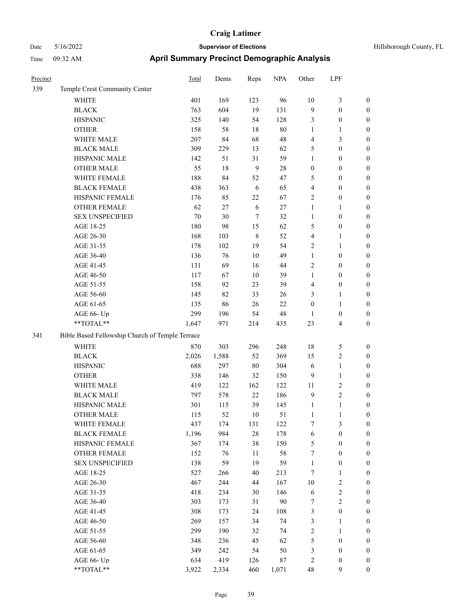| Precinct |                                                 | <b>Total</b> | Dems   | Reps           | <b>NPA</b> | Other            | LPF                     |                  |  |
|----------|-------------------------------------------------|--------------|--------|----------------|------------|------------------|-------------------------|------------------|--|
| 339      | Temple Crest Community Center                   |              |        |                |            |                  |                         |                  |  |
|          | WHITE                                           | 401          | 169    | 123            | 96         | 10               | 3                       | $\boldsymbol{0}$ |  |
|          | <b>BLACK</b>                                    | 763          | 604    | 19             | 131        | 9                | $\boldsymbol{0}$        | $\boldsymbol{0}$ |  |
|          | <b>HISPANIC</b>                                 | 325          | 140    | 54             | 128        | $\mathfrak{Z}$   | $\boldsymbol{0}$        | $\boldsymbol{0}$ |  |
|          | <b>OTHER</b>                                    | 158          | 58     | 18             | 80         | $\mathbf{1}$     | 1                       | $\boldsymbol{0}$ |  |
|          | WHITE MALE                                      | 207          | 84     | 68             | 48         | $\overline{4}$   | 3                       | $\boldsymbol{0}$ |  |
|          | <b>BLACK MALE</b>                               | 309          | 229    | 13             | 62         | 5                | $\boldsymbol{0}$        | $\boldsymbol{0}$ |  |
|          | HISPANIC MALE                                   | 142          | 51     | 31             | 59         | 1                | $\boldsymbol{0}$        | $\boldsymbol{0}$ |  |
|          | <b>OTHER MALE</b>                               | 55           | 18     | $\overline{9}$ | 28         | $\boldsymbol{0}$ | $\boldsymbol{0}$        | $\boldsymbol{0}$ |  |
|          | WHITE FEMALE                                    | 188          | 84     | 52             | 47         | 5                | $\boldsymbol{0}$        | $\boldsymbol{0}$ |  |
|          | <b>BLACK FEMALE</b>                             | 438          | 363    | 6              | 65         | $\overline{4}$   | $\boldsymbol{0}$        | $\boldsymbol{0}$ |  |
|          | HISPANIC FEMALE                                 | 176          | 85     | 22             | 67         | $\overline{2}$   | $\boldsymbol{0}$        | $\boldsymbol{0}$ |  |
|          | <b>OTHER FEMALE</b>                             | 62           | 27     | 6              | 27         | $\mathbf{1}$     | 1                       | $\boldsymbol{0}$ |  |
|          | <b>SEX UNSPECIFIED</b>                          | 70           | $30\,$ | $\tau$         | 32         | 1                | $\boldsymbol{0}$        | $\boldsymbol{0}$ |  |
|          | AGE 18-25                                       | 180          | 98     | 15             | 62         | 5                | $\boldsymbol{0}$        | $\boldsymbol{0}$ |  |
|          | AGE 26-30                                       | 168          | 103    | $\,8\,$        | 52         | $\overline{4}$   | 1                       | $\boldsymbol{0}$ |  |
|          | AGE 31-35                                       | 178          | 102    | 19             | 54         | $\overline{2}$   | 1                       | $\boldsymbol{0}$ |  |
|          | AGE 36-40                                       | 136          | 76     | 10             | 49         | $\mathbf{1}$     | $\boldsymbol{0}$        | $\boldsymbol{0}$ |  |
|          | AGE 41-45                                       | 131          | 69     | 16             | 44         | $\sqrt{2}$       | $\boldsymbol{0}$        | $\boldsymbol{0}$ |  |
|          | AGE 46-50                                       | 117          | 67     | $10\,$         | 39         | $\mathbf{1}$     | $\boldsymbol{0}$        | $\boldsymbol{0}$ |  |
|          | AGE 51-55                                       | 158          | 92     | 23             | 39         | $\overline{4}$   | $\boldsymbol{0}$        | $\boldsymbol{0}$ |  |
|          | AGE 56-60                                       | 145          | 82     | 33             | 26         | 3                | 1                       | $\boldsymbol{0}$ |  |
|          | AGE 61-65                                       | 135          | 86     | 26             | $22\,$     | $\boldsymbol{0}$ | 1                       | $\boldsymbol{0}$ |  |
|          | AGE 66- Up                                      | 299          | 196    | 54             | 48         | 1                | $\boldsymbol{0}$        | $\boldsymbol{0}$ |  |
|          | **TOTAL**                                       | 1,647        | 971    | 214            | 435        | 23               | 4                       | $\boldsymbol{0}$ |  |
| 341      | Bible Based Fellowship Church of Temple Terrace |              |        |                |            |                  |                         |                  |  |
|          | <b>WHITE</b>                                    | 870          | 303    | 296            | 248        | 18               | 5                       | $\boldsymbol{0}$ |  |
|          | <b>BLACK</b>                                    | 2,026        | 1,588  | 52             | 369        | 15               | 2                       | $\boldsymbol{0}$ |  |
|          | <b>HISPANIC</b>                                 | 688          | 297    | 80             | 304        | 6                | $\mathbf{1}$            | $\boldsymbol{0}$ |  |
|          | <b>OTHER</b>                                    | 338          | 146    | 32             | 150        | 9                | 1                       | $\boldsymbol{0}$ |  |
|          | WHITE MALE                                      | 419          | 122    | 162            | 122        | 11               | 2                       | $\boldsymbol{0}$ |  |
|          | <b>BLACK MALE</b>                               | 797          | 578    | 22             | 186        | $\overline{9}$   | $\overline{c}$          | $\boldsymbol{0}$ |  |
|          | HISPANIC MALE                                   | 301          | 115    | 39             | 145        | $\mathbf{1}$     | 1                       | $\boldsymbol{0}$ |  |
|          | <b>OTHER MALE</b>                               | 115          | 52     | 10             | 51         | 1                | 1                       | $\boldsymbol{0}$ |  |
|          | WHITE FEMALE                                    | 437          | 174    | 131            | 122        | $\boldsymbol{7}$ | 3                       | $\boldsymbol{0}$ |  |
|          | <b>BLACK FEMALE</b>                             | 1,196        | 984    | $28\,$         | 178        | 6                | $\boldsymbol{0}$        | $\boldsymbol{0}$ |  |
|          | HISPANIC FEMALE                                 | 367          | 174    | 38             | 150        | $\mathfrak{S}$   | $\boldsymbol{0}$        | $\boldsymbol{0}$ |  |
|          | OTHER FEMALE                                    | 152          | $76\,$ | 11             | 58         | $\boldsymbol{7}$ | $\boldsymbol{0}$        | $\boldsymbol{0}$ |  |
|          | <b>SEX UNSPECIFIED</b>                          | 138          | 59     | 19             | 59         | $\mathbf{1}$     | $\boldsymbol{0}$        | $\boldsymbol{0}$ |  |
|          | AGE 18-25                                       | 527          | 266    | 40             | 213        | $\tau$           | 1                       | $\boldsymbol{0}$ |  |
|          | AGE 26-30                                       | 467          | 244    | 44             | 167        | 10               | $\overline{\mathbf{c}}$ | $\boldsymbol{0}$ |  |
|          | AGE 31-35                                       | 418          | 234    | 30             | 146        | $\sqrt{6}$       | 2                       | $\boldsymbol{0}$ |  |
|          | AGE 36-40                                       | 303          | 173    | 31             | 90         | 7                | 2                       | $\boldsymbol{0}$ |  |
|          | AGE 41-45                                       | 308          | 173    | 24             | 108        | $\mathfrak{Z}$   | $\boldsymbol{0}$        | $\boldsymbol{0}$ |  |
|          | AGE 46-50                                       | 269          | 157    | 34             | 74         | $\mathfrak z$    | 1                       | $\boldsymbol{0}$ |  |
|          | AGE 51-55                                       | 299          | 190    | 32             | 74         | $\sqrt{2}$       | 1                       | $\boldsymbol{0}$ |  |
|          | AGE 56-60                                       | 348          | 236    | 45             | 62         | $\sqrt{5}$       | $\boldsymbol{0}$        | $\boldsymbol{0}$ |  |
|          | AGE 61-65                                       | 349          | 242    | 54             | 50         | $\mathfrak{Z}$   | $\boldsymbol{0}$        | $\boldsymbol{0}$ |  |
|          | AGE 66- Up                                      | 634          | 419    | 126            | $87\,$     | $\sqrt{2}$       | $\boldsymbol{0}$        | $\boldsymbol{0}$ |  |
|          | $**TOTAL**$                                     | 3,922        | 2,334  | 460            | 1,071      | 48               | 9                       | $\boldsymbol{0}$ |  |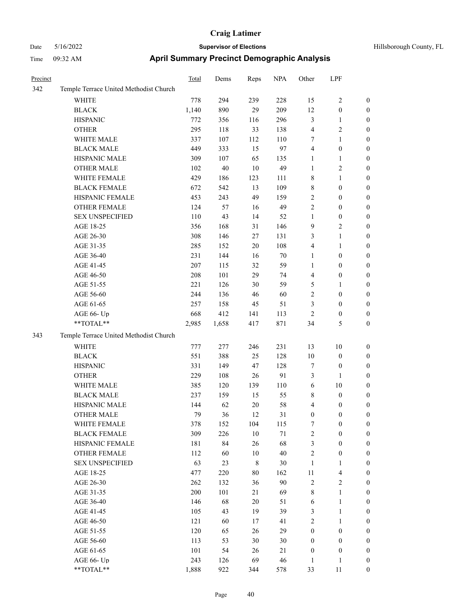| Precinct |                                        | <b>Total</b> | Dems     | Reps        | <b>NPA</b> | Other                      | LPF              |                  |
|----------|----------------------------------------|--------------|----------|-------------|------------|----------------------------|------------------|------------------|
| 342      | Temple Terrace United Methodist Church |              |          |             |            |                            |                  |                  |
|          | WHITE                                  | 778          | 294      | 239         | 228        | 15                         | 2                | $\boldsymbol{0}$ |
|          | <b>BLACK</b>                           | 1,140        | 890      | 29          | 209        | 12                         | $\boldsymbol{0}$ | $\boldsymbol{0}$ |
|          | <b>HISPANIC</b>                        | 772          | 356      | 116         | 296        | $\mathfrak{Z}$             | 1                | $\boldsymbol{0}$ |
|          | <b>OTHER</b>                           | 295          | 118      | 33          | 138        | $\overline{4}$             | 2                | $\boldsymbol{0}$ |
|          | WHITE MALE                             | 337          | 107      | 112         | 110        | $\tau$                     | 1                | $\boldsymbol{0}$ |
|          | <b>BLACK MALE</b>                      | 449          | 333      | 15          | 97         | $\overline{4}$             | $\boldsymbol{0}$ | $\boldsymbol{0}$ |
|          | HISPANIC MALE                          | 309          | 107      | 65          | 135        | $\mathbf{1}$               | 1                | $\boldsymbol{0}$ |
|          | <b>OTHER MALE</b>                      | 102          | $40\,$   | 10          | 49         | $\mathbf{1}$               | $\overline{c}$   | $\boldsymbol{0}$ |
|          | WHITE FEMALE                           | 429          | 186      | 123         | 111        | $\,$ 8 $\,$                | 1                | $\boldsymbol{0}$ |
|          | <b>BLACK FEMALE</b>                    | 672          | 542      | 13          | 109        | $\,$ 8 $\,$                | $\boldsymbol{0}$ | $\boldsymbol{0}$ |
|          | HISPANIC FEMALE                        | 453          | 243      | 49          | 159        | $\sqrt{2}$                 | 0                | $\boldsymbol{0}$ |
|          | <b>OTHER FEMALE</b>                    | 124          | 57       | 16          | 49         | $\overline{2}$             | $\boldsymbol{0}$ | $\boldsymbol{0}$ |
|          | <b>SEX UNSPECIFIED</b>                 | 110          | 43       | 14          | 52         | $\mathbf{1}$               | $\boldsymbol{0}$ | $\boldsymbol{0}$ |
|          | AGE 18-25                              | 356          | 168      | 31          | 146        | 9                          | 2                | $\boldsymbol{0}$ |
|          | AGE 26-30                              | 308          | 146      | 27          | 131        | 3                          | 1                | $\boldsymbol{0}$ |
|          | AGE 31-35                              | 285          | 152      | 20          | 108        | $\overline{4}$             | 1                | $\boldsymbol{0}$ |
|          | AGE 36-40                              | 231          | 144      | 16          | 70         | $\mathbf{1}$               | $\boldsymbol{0}$ | $\boldsymbol{0}$ |
|          | AGE 41-45                              | 207          | 115      | 32          | 59         | $\mathbf{1}$               | $\boldsymbol{0}$ | $\boldsymbol{0}$ |
|          | AGE 46-50                              | 208          | 101      | 29          | 74         | $\overline{4}$             | $\boldsymbol{0}$ | $\boldsymbol{0}$ |
|          | AGE 51-55                              | 221          | 126      | 30          | 59         | 5                          | 1                | $\boldsymbol{0}$ |
|          | AGE 56-60                              | 244          | 136      | 46          | 60         | $\sqrt{2}$                 | $\boldsymbol{0}$ | $\boldsymbol{0}$ |
|          | AGE 61-65                              | 257          | 158      | 45          | 51         | 3                          | $\boldsymbol{0}$ | $\boldsymbol{0}$ |
|          | AGE 66- Up                             | 668          | 412      | 141         | 113        | $\overline{2}$             | $\boldsymbol{0}$ | $\boldsymbol{0}$ |
|          | **TOTAL**                              | 2,985        | 1,658    | 417         | 871        | 34                         | 5                | $\boldsymbol{0}$ |
| 343      | Temple Terrace United Methodist Church |              |          |             |            |                            |                  |                  |
|          | WHITE                                  | 777          | 277      | 246         | 231        | 13                         | 10               | $\boldsymbol{0}$ |
|          | <b>BLACK</b>                           | 551          | 388      | 25          | 128        | 10                         | $\boldsymbol{0}$ | $\boldsymbol{0}$ |
|          | <b>HISPANIC</b>                        | 331          | 149      | 47          | 128        | $\tau$                     | 0                | $\boldsymbol{0}$ |
|          | <b>OTHER</b>                           | 229          | 108      | 26          | 91         | $\mathfrak{Z}$             | 1                | $\boldsymbol{0}$ |
|          | WHITE MALE                             | 385          | 120      | 139         | 110        | 6                          | 10               | $\boldsymbol{0}$ |
|          | <b>BLACK MALE</b>                      | 237          | 159      | 15          | 55         | $\,$ 8 $\,$                | $\boldsymbol{0}$ | $\boldsymbol{0}$ |
|          | HISPANIC MALE                          | 144          | 62       | 20          | 58         | $\overline{4}$             | 0                | $\boldsymbol{0}$ |
|          | <b>OTHER MALE</b>                      | 79           | 36       | 12          | 31         | $\mathbf{0}$               | 0                | $\boldsymbol{0}$ |
|          | WHITE FEMALE                           | 378          | 152      | 104         | 115        | 7                          | $\boldsymbol{0}$ | $\boldsymbol{0}$ |
|          | <b>BLACK FEMALE</b>                    | 309          | 226      | $10\,$      | 71         | $\sqrt{2}$                 | $\boldsymbol{0}$ | $\boldsymbol{0}$ |
|          | HISPANIC FEMALE                        | 181          | 84       | 26          | 68         | $\mathfrak{Z}$             | $\boldsymbol{0}$ | $\boldsymbol{0}$ |
|          | OTHER FEMALE                           | 112          |          | $10\,$      | $40\,$     |                            |                  |                  |
|          | <b>SEX UNSPECIFIED</b>                 | 63           | 60<br>23 | $\,$ 8 $\,$ |            | $\sqrt{2}$<br>$\mathbf{1}$ | $\boldsymbol{0}$ | $\boldsymbol{0}$ |
|          |                                        |              |          |             | 30         |                            | 1                | $\boldsymbol{0}$ |
|          | AGE 18-25                              | 477          | 220      | 80          | 162        | 11                         | $\overline{4}$   | $\boldsymbol{0}$ |
|          | AGE 26-30                              | 262          | 132      | 36          | 90         | $\sqrt{2}$                 | $\mathbf{2}$     | $\boldsymbol{0}$ |
|          | AGE 31-35                              | $200\,$      | 101      | 21          | 69         | $\,$ $\,$                  | 1                | $\boldsymbol{0}$ |
|          | AGE 36-40                              | 146          | 68       | 20          | 51         | 6                          | 1                | $\boldsymbol{0}$ |
|          | AGE 41-45                              | 105          | 43       | 19          | 39         | 3                          | $\mathbf{1}$     | $\boldsymbol{0}$ |
|          | AGE 46-50                              | 121          | 60       | 17          | 41         | $\sqrt{2}$                 | 1                | $\boldsymbol{0}$ |
|          | AGE 51-55                              | 120          | 65       | 26          | 29         | $\boldsymbol{0}$           | $\boldsymbol{0}$ | $\boldsymbol{0}$ |
|          | AGE 56-60                              | 113          | 53       | 30          | 30         | $\boldsymbol{0}$           | $\boldsymbol{0}$ | $\boldsymbol{0}$ |
|          | AGE 61-65                              | 101          | 54       | 26          | 21         | $\boldsymbol{0}$           | $\boldsymbol{0}$ | $\boldsymbol{0}$ |
|          | AGE 66- Up                             | 243          | 126      | 69          | $46\,$     | 1                          | 1                | $\boldsymbol{0}$ |
|          | **TOTAL**                              | 1,888        | 922      | 344         | 578        | 33                         | 11               | $\boldsymbol{0}$ |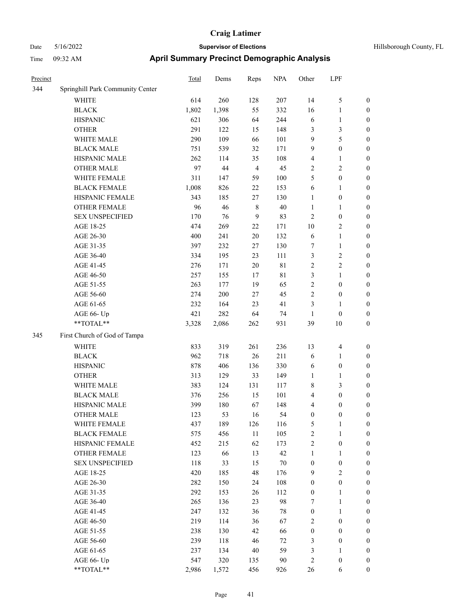| Precinct |                                  | <b>Total</b> | Dems  | Reps           | <b>NPA</b> | Other            | LPF              |                  |
|----------|----------------------------------|--------------|-------|----------------|------------|------------------|------------------|------------------|
| 344      | Springhill Park Community Center |              |       |                |            |                  |                  |                  |
|          | WHITE                            | 614          | 260   | 128            | 207        | 14               | $\mathfrak{S}$   | $\boldsymbol{0}$ |
|          | <b>BLACK</b>                     | 1,802        | 1,398 | 55             | 332        | 16               | $\mathbf{1}$     | $\boldsymbol{0}$ |
|          | <b>HISPANIC</b>                  | 621          | 306   | 64             | 244        | 6                | $\mathbf{1}$     | 0                |
|          | <b>OTHER</b>                     | 291          | 122   | 15             | 148        | 3                | $\mathfrak{Z}$   | 0                |
|          | WHITE MALE                       | 290          | 109   | 66             | 101        | 9                | $\mathfrak{S}$   | $\boldsymbol{0}$ |
|          | <b>BLACK MALE</b>                | 751          | 539   | 32             | 171        | 9                | $\boldsymbol{0}$ | $\boldsymbol{0}$ |
|          | HISPANIC MALE                    | 262          | 114   | 35             | 108        | 4                | $\mathbf{1}$     | $\boldsymbol{0}$ |
|          | <b>OTHER MALE</b>                | 97           | 44    | $\overline{4}$ | 45         | 2                | $\mathbf{2}$     | $\boldsymbol{0}$ |
|          | WHITE FEMALE                     | 311          | 147   | 59             | 100        | 5                | $\boldsymbol{0}$ | $\boldsymbol{0}$ |
|          | <b>BLACK FEMALE</b>              | 1,008        | 826   | $22\,$         | 153        | 6                | $\mathbf{1}$     | $\boldsymbol{0}$ |
|          | HISPANIC FEMALE                  | 343          | 185   | 27             | 130        | $\mathbf{1}$     | $\boldsymbol{0}$ | $\boldsymbol{0}$ |
|          | OTHER FEMALE                     | 96           | 46    | 8              | $40\,$     | $\mathbf{1}$     | $\mathbf{1}$     | 0                |
|          | <b>SEX UNSPECIFIED</b>           | 170          | 76    | 9              | 83         | $\overline{c}$   | $\boldsymbol{0}$ | 0                |
|          | AGE 18-25                        | 474          | 269   | 22             | 171        | 10               | $\sqrt{2}$       | 0                |
|          | AGE 26-30                        | 400          | 241   | 20             | 132        | 6                | $\mathbf{1}$     | 0                |
|          | AGE 31-35                        | 397          | 232   | 27             | 130        | 7                | 1                | $\boldsymbol{0}$ |
|          | AGE 36-40                        | 334          | 195   | 23             | 111        | 3                | $\sqrt{2}$       | $\boldsymbol{0}$ |
|          | AGE 41-45                        | 276          | 171   | 20             | 81         | $\overline{c}$   | $\sqrt{2}$       | $\boldsymbol{0}$ |
|          | AGE 46-50                        | 257          | 155   | 17             | 81         | 3                | $\mathbf{1}$     | $\boldsymbol{0}$ |
|          | AGE 51-55                        | 263          | 177   | 19             | 65         | 2                | $\boldsymbol{0}$ | $\boldsymbol{0}$ |
|          | AGE 56-60                        | 274          | 200   | 27             | 45         | $\mathfrak{2}$   | $\boldsymbol{0}$ | 0                |
|          | AGE 61-65                        | 232          | 164   | 23             | 41         | $\mathfrak{Z}$   | $\mathbf{1}$     | 0                |
|          | AGE 66- Up                       | 421          | 282   | 64             | 74         | $\mathbf{1}$     | $\boldsymbol{0}$ | 0                |
|          | **TOTAL**                        | 3,328        | 2,086 | 262            | 931        | 39               | $10\,$           | $\boldsymbol{0}$ |
| 345      | First Church of God of Tampa     |              |       |                |            |                  |                  |                  |
|          | WHITE                            | 833          | 319   | 261            | 236        | 13               | 4                | 0                |
|          | <b>BLACK</b>                     | 962          | 718   | 26             | 211        | 6                | $\mathbf{1}$     | 0                |
|          | <b>HISPANIC</b>                  | 878          | 406   | 136            | 330        | 6                | $\boldsymbol{0}$ | 0                |
|          | <b>OTHER</b>                     | 313          | 129   | 33             | 149        | $\mathbf{1}$     | $\mathbf{1}$     | $\boldsymbol{0}$ |
|          | WHITE MALE                       | 383          | 124   | 131            | 117        | 8                | $\mathfrak{Z}$   | $\boldsymbol{0}$ |
|          | <b>BLACK MALE</b>                | 376          | 256   | 15             | 101        | 4                | $\boldsymbol{0}$ | $\boldsymbol{0}$ |
|          | HISPANIC MALE                    | 399          | 180   | 67             | 148        | 4                | $\boldsymbol{0}$ | $\boldsymbol{0}$ |
|          | <b>OTHER MALE</b>                | 123          | 53    | 16             | 54         | $\boldsymbol{0}$ | $\boldsymbol{0}$ | $\boldsymbol{0}$ |
|          | WHITE FEMALE                     | 437          | 189   | 126            | 116        | $\mathfrak{S}$   | $\mathbf{1}$     | 0                |
|          | <b>BLACK FEMALE</b>              | 575          | 456   | $11\,$         | 105        | $\sqrt{2}$       | $\mathbf{1}$     | 0                |
|          | HISPANIC FEMALE                  | 452          | 215   | 62             | 173        | $\sqrt{2}$       | $\boldsymbol{0}$ | 0                |
|          | OTHER FEMALE                     | 123          | 66    | 13             | 42         | $\mathbf{1}$     | $\mathbf{1}$     | 0                |
|          | <b>SEX UNSPECIFIED</b>           | 118          | 33    | 15             | $70\,$     | $\boldsymbol{0}$ | $\boldsymbol{0}$ | 0                |
|          | AGE 18-25                        | 420          | 185   | 48             | 176        | 9                | $\sqrt{2}$       | $\boldsymbol{0}$ |
|          | AGE 26-30                        | 282          | 150   | 24             | 108        | $\boldsymbol{0}$ | $\boldsymbol{0}$ | $\overline{0}$   |
|          | AGE 31-35                        | 292          | 153   | 26             | 112        | $\boldsymbol{0}$ | $\mathbf{1}$     | 0                |
|          | AGE 36-40                        | 265          | 136   | 23             | 98         | 7                | $\mathbf{1}$     | $\overline{0}$   |
|          | AGE 41-45                        | 247          | 132   | 36             | 78         | $\boldsymbol{0}$ | $\mathbf{1}$     | $\overline{0}$   |
|          | AGE 46-50                        | 219          | 114   | 36             | 67         | $\sqrt{2}$       | $\boldsymbol{0}$ | $\boldsymbol{0}$ |
|          | AGE 51-55                        | 238          | 130   | 42             | 66         | $\boldsymbol{0}$ | $\boldsymbol{0}$ | 0                |
|          | AGE 56-60                        | 239          | 118   | $46\,$         | 72         | 3                | $\boldsymbol{0}$ | 0                |
|          | AGE 61-65                        | 237          | 134   | 40             | 59         | 3                | $\mathbf{1}$     | $\boldsymbol{0}$ |
|          | AGE 66- Up                       | 547          | 320   | 135            | 90         | $\sqrt{2}$       | $\boldsymbol{0}$ | 0                |
|          | $**TOTAL**$                      | 2,986        | 1,572 | 456            | 926        | $26\,$           | 6                | $\boldsymbol{0}$ |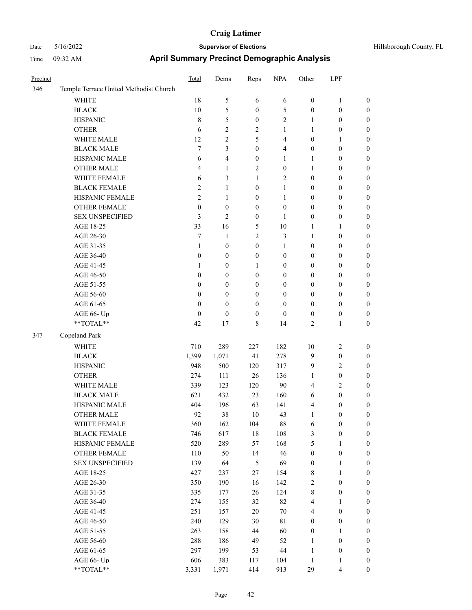| Precinct |                                                             | Total            | Dems             | Reps             | <b>NPA</b>       | Other              | LPF                          |                  |
|----------|-------------------------------------------------------------|------------------|------------------|------------------|------------------|--------------------|------------------------------|------------------|
| 346      | Temple Terrace United Methodist Church                      |                  |                  |                  |                  |                    |                              |                  |
|          | <b>WHITE</b>                                                | 18               | 5                | 6                | 6                | $\boldsymbol{0}$   | 1                            | $\boldsymbol{0}$ |
|          | <b>BLACK</b>                                                | 10               | 5                | $\mathbf{0}$     | 5                | $\boldsymbol{0}$   | $\boldsymbol{0}$             | $\boldsymbol{0}$ |
|          | <b>HISPANIC</b>                                             | $\,8\,$          | 5                | $\boldsymbol{0}$ | $\overline{c}$   | 1                  | $\boldsymbol{0}$             | $\boldsymbol{0}$ |
|          | <b>OTHER</b>                                                | 6                | 2                | $\mathfrak{2}$   | 1                | 1                  | $\boldsymbol{0}$             | $\boldsymbol{0}$ |
|          | WHITE MALE                                                  | 12               | 2                | 5                | 4                | $\boldsymbol{0}$   | 1                            | $\boldsymbol{0}$ |
|          | <b>BLACK MALE</b>                                           | 7                | 3                | $\boldsymbol{0}$ | 4                | $\boldsymbol{0}$   | $\boldsymbol{0}$             | $\boldsymbol{0}$ |
|          | HISPANIC MALE                                               | 6                | 4                | $\boldsymbol{0}$ | 1                | 1                  | $\boldsymbol{0}$             | $\boldsymbol{0}$ |
|          | <b>OTHER MALE</b>                                           | 4                | $\mathbf{1}$     | $\overline{c}$   | $\boldsymbol{0}$ | $\mathbf{1}$       | $\boldsymbol{0}$             | $\boldsymbol{0}$ |
|          | WHITE FEMALE                                                | 6                | 3                | 1                | $\overline{2}$   | $\boldsymbol{0}$   | $\boldsymbol{0}$             | $\boldsymbol{0}$ |
|          | <b>BLACK FEMALE</b>                                         | 2                | $\mathbf{1}$     | $\boldsymbol{0}$ | 1                | $\boldsymbol{0}$   | $\boldsymbol{0}$             | $\boldsymbol{0}$ |
|          | HISPANIC FEMALE                                             | $\mathfrak{2}$   | 1                | $\mathbf{0}$     | 1                | $\boldsymbol{0}$   | $\boldsymbol{0}$             | $\boldsymbol{0}$ |
|          | <b>OTHER FEMALE</b>                                         | $\mathbf{0}$     | $\overline{0}$   | $\mathbf{0}$     | $\mathbf{0}$     | $\mathbf{0}$       | $\boldsymbol{0}$             | $\boldsymbol{0}$ |
|          | <b>SEX UNSPECIFIED</b>                                      | 3                | 2                | $\boldsymbol{0}$ | 1                | $\boldsymbol{0}$   | $\boldsymbol{0}$             | $\boldsymbol{0}$ |
|          | AGE 18-25                                                   | 33               | 16               | 5                | 10               | 1                  | 1                            | $\boldsymbol{0}$ |
|          | AGE 26-30                                                   | 7                | $\mathbf{1}$     | $\overline{2}$   | 3                | 1                  | $\boldsymbol{0}$             | $\boldsymbol{0}$ |
|          | AGE 31-35                                                   | $\mathbf{1}$     | $\boldsymbol{0}$ | $\boldsymbol{0}$ | 1                | $\boldsymbol{0}$   | $\boldsymbol{0}$             | $\boldsymbol{0}$ |
|          | AGE 36-40                                                   | $\boldsymbol{0}$ | $\boldsymbol{0}$ | $\boldsymbol{0}$ | $\boldsymbol{0}$ | $\boldsymbol{0}$   | $\boldsymbol{0}$             | $\boldsymbol{0}$ |
|          | AGE 41-45                                                   | 1                | $\boldsymbol{0}$ | $\mathbf{1}$     | $\boldsymbol{0}$ | $\boldsymbol{0}$   | $\boldsymbol{0}$             | $\boldsymbol{0}$ |
|          | AGE 46-50                                                   | $\boldsymbol{0}$ | $\boldsymbol{0}$ | $\boldsymbol{0}$ | $\boldsymbol{0}$ | $\boldsymbol{0}$   | $\boldsymbol{0}$             | $\boldsymbol{0}$ |
|          | AGE 51-55                                                   | $\boldsymbol{0}$ | $\boldsymbol{0}$ | $\boldsymbol{0}$ | $\boldsymbol{0}$ | $\boldsymbol{0}$   | $\boldsymbol{0}$             | $\boldsymbol{0}$ |
|          | AGE 56-60                                                   | 0                | $\boldsymbol{0}$ | $\boldsymbol{0}$ | $\boldsymbol{0}$ | $\boldsymbol{0}$   | $\boldsymbol{0}$             | $\boldsymbol{0}$ |
|          | AGE 61-65                                                   | $\theta$         | $\overline{0}$   | $\mathbf{0}$     | $\mathbf{0}$     | $\boldsymbol{0}$   | $\boldsymbol{0}$             | $\boldsymbol{0}$ |
|          | AGE 66- Up                                                  | $\boldsymbol{0}$ | $\boldsymbol{0}$ | $\boldsymbol{0}$ | $\boldsymbol{0}$ | $\boldsymbol{0}$   | $\boldsymbol{0}$             | $\boldsymbol{0}$ |
|          | **TOTAL**                                                   | 42               | 17               | 8                | 14               | $\overline{2}$     | 1                            | $\boldsymbol{0}$ |
| 347      | Copeland Park                                               |                  |                  |                  |                  |                    |                              |                  |
|          | <b>WHITE</b>                                                | 710              | 289              | 227              | 182              | 10                 | 2                            | $\boldsymbol{0}$ |
|          | <b>BLACK</b>                                                | 1,399            | 1,071            | 41               | 278              | 9                  | $\boldsymbol{0}$             | $\boldsymbol{0}$ |
|          | <b>HISPANIC</b>                                             | 948              | 500              | 120              | 317              | 9                  | $\overline{\mathbf{c}}$      | $\boldsymbol{0}$ |
|          | <b>OTHER</b>                                                | 274              | 111              | 26               | 136              | 1                  | 0                            | $\boldsymbol{0}$ |
|          | WHITE MALE                                                  | 339              | 123              | 120              | 90               | $\overline{4}$     | 2                            | $\boldsymbol{0}$ |
|          | <b>BLACK MALE</b>                                           | 621              | 432              | 23               | 160              | 6                  | $\boldsymbol{0}$             | $\boldsymbol{0}$ |
|          | HISPANIC MALE                                               | 404              | 196              | 63               | 141              | $\overline{4}$     | $\boldsymbol{0}$             | $\boldsymbol{0}$ |
|          | <b>OTHER MALE</b>                                           | 92               | 38               | 10               | 43               | 1                  | $\mathbf{0}$                 | $\boldsymbol{0}$ |
|          | WHITE FEMALE                                                | 360              | 162              | 104              | $88\,$           | 6                  | $\boldsymbol{0}$             | $\boldsymbol{0}$ |
|          | <b>BLACK FEMALE</b>                                         | 746              | 617              | $18\,$           | 108              | $\mathfrak{Z}$     | $\boldsymbol{0}$             | $\boldsymbol{0}$ |
|          | HISPANIC FEMALE                                             | 520              | 289              | 57               | 168              | $\mathfrak{S}$     | $\mathbf{1}$                 | $\boldsymbol{0}$ |
|          | <b>OTHER FEMALE</b>                                         | 110              | 50               | 14               | 46               | $\boldsymbol{0}$   | $\boldsymbol{0}$             | $\boldsymbol{0}$ |
|          | <b>SEX UNSPECIFIED</b>                                      | 139              | 64               | $\mathfrak{H}$   | 69               | $\boldsymbol{0}$   | 1                            | $\boldsymbol{0}$ |
|          | AGE 18-25                                                   | 427              | 237              | $27\,$           | 154              | $\,$ 8 $\,$        | 1                            | $\boldsymbol{0}$ |
|          | AGE 26-30                                                   | 350              | 190              | 16               | 142              | $\sqrt{2}$         | $\boldsymbol{0}$             | $\boldsymbol{0}$ |
|          | AGE 31-35                                                   | 335              | 177              | $26\,$           | 124              | $\,$ $\,$          | $\boldsymbol{0}$             | $\boldsymbol{0}$ |
|          | AGE 36-40                                                   | 274              | 155              | 32               | 82               | $\overline{4}$     | 1                            | $\boldsymbol{0}$ |
|          | AGE 41-45                                                   | 251              | 157              | $20\,$           | $70\,$           | $\overline{4}$     | $\boldsymbol{0}$             | $\boldsymbol{0}$ |
|          |                                                             |                  |                  |                  |                  |                    |                              |                  |
|          | AGE 46-50                                                   | 240              | 129              | $30\,$           | $8\sqrt{1}$      | $\boldsymbol{0}$   | $\boldsymbol{0}$             | $\boldsymbol{0}$ |
|          | AGE 51-55                                                   | 263              | 158              | 44               | 60               | $\boldsymbol{0}$   | $\mathbf{1}$                 | $\boldsymbol{0}$ |
|          | AGE 56-60                                                   | 288              | 186              | 49               | 52               | $\mathbf{1}$       | $\boldsymbol{0}$             | $\boldsymbol{0}$ |
|          | AGE 61-65<br>AGE 66- Up                                     | 297<br>606       | 199<br>383       | 53               | $44\,$           | $\mathbf{1}$       | $\boldsymbol{0}$             | $\boldsymbol{0}$ |
|          | $\mathrm{*}\mathrm{*} \mathrm{TOTAL} \mathrm{*} \mathrm{*}$ |                  |                  | 117              | 104              | $\mathbf{1}$<br>29 | 1<br>$\overline{\mathbf{4}}$ | $\boldsymbol{0}$ |
|          |                                                             | 3,331            | 1,971            | 414              | 913              |                    |                              | $\boldsymbol{0}$ |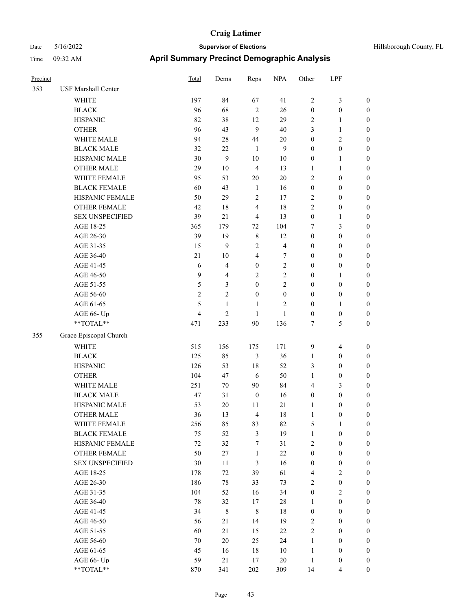| Hillsborough County, FL |  |  |
|-------------------------|--|--|
|-------------------------|--|--|

| Precinct |                            | Total          | Dems           | Reps             | <b>NPA</b>       | Other            | LPF              |                  |
|----------|----------------------------|----------------|----------------|------------------|------------------|------------------|------------------|------------------|
| 353      | <b>USF Marshall Center</b> |                |                |                  |                  |                  |                  |                  |
|          | <b>WHITE</b>               | 197            | 84             | 67               | 41               | $\overline{2}$   | 3                | $\boldsymbol{0}$ |
|          | <b>BLACK</b>               | 96             | 68             | $\overline{2}$   | 26               | $\boldsymbol{0}$ | $\boldsymbol{0}$ | $\boldsymbol{0}$ |
|          | <b>HISPANIC</b>            | 82             | 38             | 12               | 29               | $\sqrt{2}$       | 1                | $\boldsymbol{0}$ |
|          | <b>OTHER</b>               | 96             | 43             | 9                | 40               | 3                | $\mathbf{1}$     | $\boldsymbol{0}$ |
|          | WHITE MALE                 | 94             | 28             | 44               | 20               | $\boldsymbol{0}$ | 2                | $\boldsymbol{0}$ |
|          | <b>BLACK MALE</b>          | 32             | 22             | $\mathbf{1}$     | 9                | $\boldsymbol{0}$ | $\boldsymbol{0}$ | $\boldsymbol{0}$ |
|          | HISPANIC MALE              | 30             | 9              | 10               | $10\,$           | $\boldsymbol{0}$ | 1                | $\boldsymbol{0}$ |
|          | <b>OTHER MALE</b>          | 29             | $10\,$         | $\overline{4}$   | 13               | $\mathbf{1}$     | 1                | $\boldsymbol{0}$ |
|          | WHITE FEMALE               | 95             | 53             | 20               | $20\,$           | $\overline{2}$   | $\boldsymbol{0}$ | $\boldsymbol{0}$ |
|          | <b>BLACK FEMALE</b>        | 60             | 43             | $\mathbf{1}$     | 16               | $\boldsymbol{0}$ | $\boldsymbol{0}$ | $\boldsymbol{0}$ |
|          | HISPANIC FEMALE            | 50             | 29             | 2                | 17               | $\overline{2}$   | $\boldsymbol{0}$ | $\boldsymbol{0}$ |
|          | <b>OTHER FEMALE</b>        | 42             | 18             | 4                | 18               | $\sqrt{2}$       | $\boldsymbol{0}$ | $\boldsymbol{0}$ |
|          | <b>SEX UNSPECIFIED</b>     | 39             | 21             | $\overline{4}$   | 13               | $\boldsymbol{0}$ | 1                | $\boldsymbol{0}$ |
|          | AGE 18-25                  | 365            | 179            | 72               | 104              | 7                | 3                | $\boldsymbol{0}$ |
|          | AGE 26-30                  | 39             | 19             | $\,8\,$          | 12               | $\boldsymbol{0}$ | $\boldsymbol{0}$ | $\boldsymbol{0}$ |
|          | AGE 31-35                  | 15             | 9              | $\overline{c}$   | 4                | $\boldsymbol{0}$ | $\boldsymbol{0}$ | $\boldsymbol{0}$ |
|          | AGE 36-40                  | 21             | 10             | 4                | 7                | $\boldsymbol{0}$ | $\boldsymbol{0}$ | $\boldsymbol{0}$ |
|          | AGE 41-45                  | 6              | $\overline{4}$ | $\boldsymbol{0}$ | $\mathfrak{2}$   | $\boldsymbol{0}$ | $\boldsymbol{0}$ | $\boldsymbol{0}$ |
|          | AGE 46-50                  | 9              | $\overline{4}$ | $\overline{2}$   | $\overline{2}$   | $\boldsymbol{0}$ | 1                | $\boldsymbol{0}$ |
|          | AGE 51-55                  | 5              | 3              | $\mathbf{0}$     | $\overline{2}$   | $\boldsymbol{0}$ | $\boldsymbol{0}$ | $\boldsymbol{0}$ |
|          | AGE 56-60                  | $\mathfrak{2}$ | $\overline{2}$ | $\mathbf{0}$     | $\boldsymbol{0}$ | $\boldsymbol{0}$ | $\boldsymbol{0}$ | $\boldsymbol{0}$ |
|          | AGE 61-65                  | 5              | $\mathbf{1}$   | 1                | $\overline{c}$   | $\boldsymbol{0}$ | $\mathbf{1}$     | $\boldsymbol{0}$ |
|          | AGE 66- Up                 | $\overline{4}$ | $\mathbf{2}$   | 1                | 1                | $\boldsymbol{0}$ | $\boldsymbol{0}$ | $\boldsymbol{0}$ |
|          | **TOTAL**                  | 471            | 233            | 90               | 136              | 7                | 5                | $\boldsymbol{0}$ |
| 355      | Grace Episcopal Church     |                |                |                  |                  |                  |                  |                  |
|          | <b>WHITE</b>               | 515            | 156            | 175              | 171              | 9                | 4                | $\boldsymbol{0}$ |
|          | <b>BLACK</b>               | 125            | 85             | 3                | 36               | 1                | $\boldsymbol{0}$ | $\boldsymbol{0}$ |
|          | <b>HISPANIC</b>            | 126            | 53             | 18               | 52               | 3                | $\boldsymbol{0}$ | $\boldsymbol{0}$ |
|          | <b>OTHER</b>               | 104            | 47             | 6                | 50               | 1                | $\boldsymbol{0}$ | $\boldsymbol{0}$ |
|          | WHITE MALE                 | 251            | 70             | 90               | 84               | $\overline{4}$   | 3                | $\boldsymbol{0}$ |
|          | <b>BLACK MALE</b>          | 47             | 31             | $\boldsymbol{0}$ | 16               | $\boldsymbol{0}$ | $\boldsymbol{0}$ | $\boldsymbol{0}$ |
|          | HISPANIC MALE              | 53             | 20             | 11               | 21               | $\mathbf{1}$     | 0                | $\boldsymbol{0}$ |
|          | <b>OTHER MALE</b>          | 36             | 13             | $\overline{4}$   | 18               | 1                | 0                | $\boldsymbol{0}$ |
|          | WHITE FEMALE               | 256            | 85             | 83               | 82               | 5                | $\mathbf{1}$     | $\boldsymbol{0}$ |
|          | <b>BLACK FEMALE</b>        | 75             | 52             | $\mathfrak{Z}$   | 19               | $\mathbf{1}$     | $\boldsymbol{0}$ | $\boldsymbol{0}$ |
|          | HISPANIC FEMALE            | 72             | 32             | 7                | 31               | $\sqrt{2}$       | $\boldsymbol{0}$ | $\boldsymbol{0}$ |
|          | <b>OTHER FEMALE</b>        | 50             | 27             | $\mathbf{1}$     | $22\,$           | $\boldsymbol{0}$ | $\boldsymbol{0}$ | $\boldsymbol{0}$ |
|          | <b>SEX UNSPECIFIED</b>     | 30             | 11             | $\mathfrak{Z}$   | 16               | $\boldsymbol{0}$ | $\boldsymbol{0}$ | $\boldsymbol{0}$ |
|          | AGE 18-25                  | 178            | 72             | 39               | 61               | $\overline{4}$   | $\mathbf{2}$     | $\boldsymbol{0}$ |
|          | AGE 26-30                  | 186            | 78             | 33               | 73               | $\sqrt{2}$       | $\boldsymbol{0}$ | $\boldsymbol{0}$ |
|          | AGE 31-35                  | 104            | 52             | 16               | 34               | $\boldsymbol{0}$ | $\mathbf{2}$     | $\boldsymbol{0}$ |
|          | AGE 36-40                  | 78             | 32             | 17               | 28               | $\mathbf{1}$     | $\boldsymbol{0}$ | $\boldsymbol{0}$ |
|          | AGE 41-45                  | 34             | $8\,$          | $\,8\,$          | $18\,$           | $\boldsymbol{0}$ | $\boldsymbol{0}$ | $\boldsymbol{0}$ |
|          | AGE 46-50                  | 56             | 21             | 14               | 19               | $\sqrt{2}$       | $\boldsymbol{0}$ | $\boldsymbol{0}$ |
|          | AGE 51-55                  | 60             | 21             | 15               | $22\,$           | $\sqrt{2}$       | $\boldsymbol{0}$ | $\boldsymbol{0}$ |
|          | AGE 56-60                  | 70             | $20\,$         | 25               | 24               | $\mathbf{1}$     | $\boldsymbol{0}$ | $\boldsymbol{0}$ |
|          | AGE 61-65                  | 45             | 16             | 18               | $10\,$           | $1\,$            | $\boldsymbol{0}$ | $\boldsymbol{0}$ |
|          | AGE 66- Up                 | 59             | 21             | 17               | 20               | $\mathbf{1}$     | $\boldsymbol{0}$ | $\mathbf{0}$     |
|          | $**TOTAL**$                | 870            | 341            | 202              | 309              | 14               | 4                | $\boldsymbol{0}$ |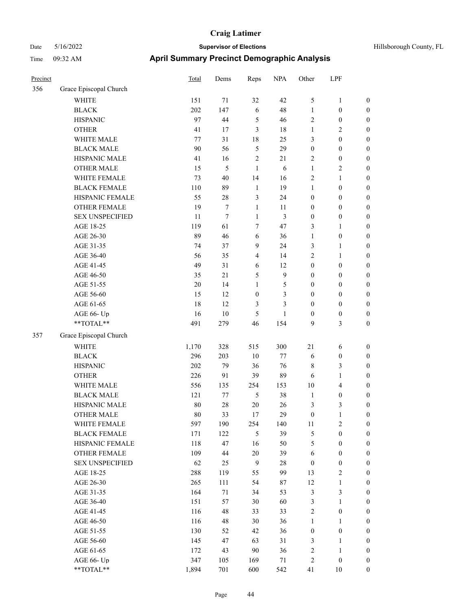| Hillsborough County, FL |  |  |
|-------------------------|--|--|
|-------------------------|--|--|

| Precinct |                        | Total   | Dems   | Reps             | <b>NPA</b>       | Other            | LPF              |                  |
|----------|------------------------|---------|--------|------------------|------------------|------------------|------------------|------------------|
| 356      | Grace Episcopal Church |         |        |                  |                  |                  |                  |                  |
|          | WHITE                  | 151     | 71     | 32               | 42               | 5                | $\mathbf{1}$     | $\boldsymbol{0}$ |
|          | <b>BLACK</b>           | 202     | 147    | 6                | 48               | $\mathbf{1}$     | $\boldsymbol{0}$ | $\boldsymbol{0}$ |
|          | <b>HISPANIC</b>        | 97      | 44     | $\mathfrak{S}$   | 46               | $\mathbf{2}$     | $\boldsymbol{0}$ | 0                |
|          | <b>OTHER</b>           | 41      | 17     | 3                | $18\,$           | $\mathbf{1}$     | $\sqrt{2}$       | 0                |
|          | WHITE MALE             | $77 \,$ | 31     | $18\,$           | 25               | 3                | $\boldsymbol{0}$ | $\boldsymbol{0}$ |
|          | <b>BLACK MALE</b>      | 90      | 56     | 5                | 29               | $\boldsymbol{0}$ | $\boldsymbol{0}$ | $\boldsymbol{0}$ |
|          | HISPANIC MALE          | 41      | 16     | $\sqrt{2}$       | 21               | $\overline{c}$   | $\boldsymbol{0}$ | $\boldsymbol{0}$ |
|          | <b>OTHER MALE</b>      | 15      | 5      | $\mathbf{1}$     | 6                | $\mathbf{1}$     | $\sqrt{2}$       | $\boldsymbol{0}$ |
|          | WHITE FEMALE           | 73      | 40     | 14               | 16               | $\sqrt{2}$       | $\mathbf{1}$     | $\boldsymbol{0}$ |
|          | <b>BLACK FEMALE</b>    | 110     | 89     | $\mathbf{1}$     | 19               | $\mathbf{1}$     | $\boldsymbol{0}$ | $\boldsymbol{0}$ |
|          | HISPANIC FEMALE        | 55      | 28     | 3                | 24               | $\boldsymbol{0}$ | $\boldsymbol{0}$ | $\boldsymbol{0}$ |
|          | OTHER FEMALE           | 19      | 7      | $\mathbf{1}$     | 11               | $\boldsymbol{0}$ | $\boldsymbol{0}$ | 0                |
|          | <b>SEX UNSPECIFIED</b> | 11      | $\tau$ | $\mathbf{1}$     | 3                | $\boldsymbol{0}$ | $\boldsymbol{0}$ | 0                |
|          | AGE 18-25              | 119     | 61     | $\tau$           | 47               | 3                | $\mathbf{1}$     | 0                |
|          | AGE 26-30              | 89      | 46     | 6                | 36               | $\mathbf{1}$     | $\boldsymbol{0}$ | 0                |
|          | AGE 31-35              | 74      | 37     | 9                | 24               | 3                | $\mathbf{1}$     | $\boldsymbol{0}$ |
|          | AGE 36-40              | 56      | 35     | $\overline{4}$   | 14               | $\overline{c}$   | $\mathbf{1}$     | $\boldsymbol{0}$ |
|          | AGE 41-45              | 49      | 31     | 6                | 12               | $\boldsymbol{0}$ | $\boldsymbol{0}$ | $\boldsymbol{0}$ |
|          | AGE 46-50              | 35      | 21     | 5                | $\boldsymbol{9}$ | $\boldsymbol{0}$ | $\boldsymbol{0}$ | $\boldsymbol{0}$ |
|          | AGE 51-55              | 20      | 14     | $\mathbf{1}$     | 5                | $\boldsymbol{0}$ | $\boldsymbol{0}$ | $\boldsymbol{0}$ |
|          | AGE 56-60              | 15      | 12     | $\boldsymbol{0}$ | 3                | $\boldsymbol{0}$ | $\boldsymbol{0}$ | $\boldsymbol{0}$ |
|          | AGE 61-65              | 18      | 12     | $\mathfrak{Z}$   | 3                | $\boldsymbol{0}$ | $\boldsymbol{0}$ | 0                |
|          | AGE 66- Up             | 16      | $10\,$ | 5                | $\mathbf{1}$     | $\boldsymbol{0}$ | $\boldsymbol{0}$ | 0                |
|          | **TOTAL**              | 491     | 279    | 46               | 154              | 9                | 3                | $\boldsymbol{0}$ |
| 357      | Grace Episcopal Church |         |        |                  |                  |                  |                  |                  |
|          | <b>WHITE</b>           | 1,170   | 328    | 515              | 300              | 21               | 6                | 0                |
|          | <b>BLACK</b>           | 296     | 203    | $10\,$           | $77\,$           | 6                | $\boldsymbol{0}$ | $\boldsymbol{0}$ |
|          | <b>HISPANIC</b>        | 202     | 79     | 36               | 76               | 8                | 3                | $\boldsymbol{0}$ |
|          | <b>OTHER</b>           | 226     | 91     | 39               | 89               | 6                | $\mathbf{1}$     | $\boldsymbol{0}$ |
|          | WHITE MALE             | 556     | 135    | 254              | 153              | 10               | $\overline{4}$   | $\boldsymbol{0}$ |
|          | <b>BLACK MALE</b>      | 121     | 77     | $\mathfrak{S}$   | 38               | $\mathbf{1}$     | $\boldsymbol{0}$ | $\boldsymbol{0}$ |
|          | HISPANIC MALE          | 80      | 28     | $20\,$           | 26               | 3                | 3                | $\boldsymbol{0}$ |
|          | <b>OTHER MALE</b>      | 80      | 33     | 17               | 29               | $\boldsymbol{0}$ | $\mathbf{1}$     | $\boldsymbol{0}$ |
|          | WHITE FEMALE           | 597     | 190    | 254              | 140              | $11\,$           | $\sqrt{2}$       | 0                |
|          | <b>BLACK FEMALE</b>    | 171     | 122    | 5                | 39               | $\mathfrak s$    | $\boldsymbol{0}$ | 0                |
|          | HISPANIC FEMALE        | 118     | 47     | 16               | 50               | 5                | $\boldsymbol{0}$ | 0                |
|          | OTHER FEMALE           | 109     | 44     | $20\,$           | 39               | 6                | $\boldsymbol{0}$ | $\overline{0}$   |
|          | <b>SEX UNSPECIFIED</b> | 62      | 25     | 9                | 28               | $\boldsymbol{0}$ | $\boldsymbol{0}$ | $\overline{0}$   |
|          | AGE 18-25              | 288     | 119    | 55               | 99               | 13               | $\sqrt{2}$       | $\boldsymbol{0}$ |
|          | AGE 26-30              | 265     | 111    | 54               | 87               | 12               | $\mathbf{1}$     | $\overline{0}$   |
|          | AGE 31-35              | 164     | 71     | 34               | 53               | 3                | $\mathfrak{Z}$   | $\overline{0}$   |
|          | AGE 36-40              | 151     | 57     | 30               | 60               | 3                | $\mathbf{1}$     | $\overline{0}$   |
|          | AGE 41-45              | 116     | 48     | 33               | 33               | $\sqrt{2}$       | $\boldsymbol{0}$ | $\overline{0}$   |
|          | AGE 46-50              | 116     | 48     | $30\,$           | 36               | $\mathbf{1}$     | $\mathbf{1}$     | $\boldsymbol{0}$ |
|          | AGE 51-55              | 130     | 52     | 42               | 36               | $\boldsymbol{0}$ | $\boldsymbol{0}$ | 0                |
|          | AGE 56-60              | 145     | 47     | 63               | 31               | 3                | $\mathbf{1}$     | 0                |
|          | AGE 61-65              | 172     | 43     | $90\,$           | 36               | $\sqrt{2}$       | $\mathbf{1}$     | $\boldsymbol{0}$ |
|          | AGE 66- Up             | 347     | 105    | 169              | 71               | $\sqrt{2}$       | $\boldsymbol{0}$ | $\boldsymbol{0}$ |
|          | $**TOTAL**$            | 1,894   | 701    | 600              | 542              | 41               | $10\,$           | $\boldsymbol{0}$ |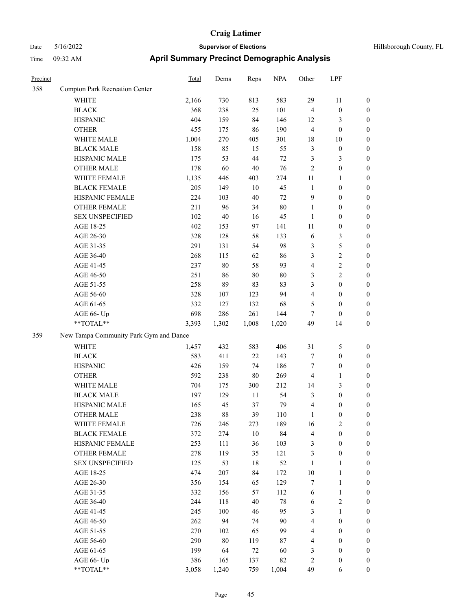| Hillsborough County, FL |  |
|-------------------------|--|
|                         |  |

| Precinct |                                                             | <b>Total</b> | Dems   | Reps   | <b>NPA</b> | Other          | LPF              |                  |
|----------|-------------------------------------------------------------|--------------|--------|--------|------------|----------------|------------------|------------------|
| 358      | Compton Park Recreation Center                              |              |        |        |            |                |                  |                  |
|          | <b>WHITE</b>                                                | 2,166        | 730    | 813    | 583        | 29             | $11\,$           | $\boldsymbol{0}$ |
|          | <b>BLACK</b>                                                | 368          | 238    | 25     | 101        | $\overline{4}$ | $\boldsymbol{0}$ | $\boldsymbol{0}$ |
|          | <b>HISPANIC</b>                                             | 404          | 159    | 84     | 146        | 12             | 3                | $\boldsymbol{0}$ |
|          | <b>OTHER</b>                                                | 455          | 175    | 86     | 190        | $\overline{4}$ | $\boldsymbol{0}$ | $\boldsymbol{0}$ |
|          | WHITE MALE                                                  | 1,004        | 270    | 405    | 301        | 18             | 10               | $\boldsymbol{0}$ |
|          | <b>BLACK MALE</b>                                           | 158          | 85     | 15     | 55         | $\mathfrak{Z}$ | $\boldsymbol{0}$ | $\boldsymbol{0}$ |
|          | HISPANIC MALE                                               | 175          | 53     | 44     | $72\,$     | $\mathfrak{Z}$ | 3                | $\boldsymbol{0}$ |
|          | <b>OTHER MALE</b>                                           | 178          | 60     | $40\,$ | 76         | $\sqrt{2}$     | $\boldsymbol{0}$ | $\boldsymbol{0}$ |
|          | WHITE FEMALE                                                | 1,135        | 446    | 403    | 274        | 11             | 1                | $\boldsymbol{0}$ |
|          | <b>BLACK FEMALE</b>                                         | 205          | 149    | 10     | 45         | $\mathbf{1}$   | $\boldsymbol{0}$ | $\boldsymbol{0}$ |
|          | HISPANIC FEMALE                                             | 224          | 103    | 40     | 72         | 9              | $\boldsymbol{0}$ | $\boldsymbol{0}$ |
|          | <b>OTHER FEMALE</b>                                         | 211          | 96     | 34     | $80\,$     | 1              | $\boldsymbol{0}$ | $\boldsymbol{0}$ |
|          | <b>SEX UNSPECIFIED</b>                                      | 102          | $40\,$ | 16     | 45         | $\mathbf{1}$   | $\boldsymbol{0}$ | $\boldsymbol{0}$ |
|          | AGE 18-25                                                   | 402          | 153    | 97     | 141        | 11             | $\boldsymbol{0}$ | $\boldsymbol{0}$ |
|          | AGE 26-30                                                   | 328          | 128    | 58     | 133        | 6              | 3                | $\boldsymbol{0}$ |
|          | AGE 31-35                                                   | 291          | 131    | 54     | 98         | $\mathfrak{Z}$ | 5                | $\boldsymbol{0}$ |
|          | AGE 36-40                                                   | 268          | 115    | 62     | 86         | 3              | $\overline{c}$   | $\boldsymbol{0}$ |
|          | AGE 41-45                                                   | 237          | $80\,$ | 58     | 93         | $\overline{4}$ | 2                | $\boldsymbol{0}$ |
|          | AGE 46-50                                                   | 251          | 86     | $80\,$ | $80\,$     | 3              | $\overline{c}$   | $\boldsymbol{0}$ |
|          | AGE 51-55                                                   | 258          | 89     | 83     | 83         | 3              | $\boldsymbol{0}$ | $\boldsymbol{0}$ |
|          | AGE 56-60                                                   | 328          | 107    | 123    | 94         | $\overline{4}$ | $\boldsymbol{0}$ | $\boldsymbol{0}$ |
|          | AGE 61-65                                                   | 332          | 127    | 132    | 68         | 5              | $\boldsymbol{0}$ | $\boldsymbol{0}$ |
|          | AGE 66- Up                                                  | 698          | 286    | 261    | 144        | $\tau$         | $\boldsymbol{0}$ | $\boldsymbol{0}$ |
|          | **TOTAL**                                                   | 3,393        | 1,302  | 1,008  | 1,020      | 49             | 14               | $\boldsymbol{0}$ |
| 359      | New Tampa Community Park Gym and Dance                      |              |        |        |            |                |                  |                  |
|          | <b>WHITE</b>                                                | 1,457        | 432    | 583    | 406        | 31             | 5                | $\boldsymbol{0}$ |
|          | <b>BLACK</b>                                                | 583          | 411    | 22     | 143        | $\tau$         | $\boldsymbol{0}$ | $\boldsymbol{0}$ |
|          | <b>HISPANIC</b>                                             | 426          | 159    | 74     | 186        | $\tau$         | $\boldsymbol{0}$ | $\boldsymbol{0}$ |
|          | <b>OTHER</b>                                                | 592          | 238    | 80     | 269        | $\overline{4}$ | 1                | $\boldsymbol{0}$ |
|          | WHITE MALE                                                  | 704          | 175    | 300    | 212        | 14             | 3                | $\boldsymbol{0}$ |
|          | <b>BLACK MALE</b>                                           | 197          | 129    | 11     | 54         | 3              | $\boldsymbol{0}$ | $\boldsymbol{0}$ |
|          | HISPANIC MALE                                               | 165          | 45     | 37     | 79         | $\overline{4}$ | 0                | $\boldsymbol{0}$ |
|          | OTHER MALE                                                  | 238          | 88     | 39     | 110        |                | 0                | $\boldsymbol{0}$ |
|          | WHITE FEMALE                                                | 726          | 246    | 273    | 189        | 16             | $\sqrt{2}$       | $\boldsymbol{0}$ |
|          | <b>BLACK FEMALE</b>                                         | 372          | 274    | $10\,$ | 84         | $\overline{4}$ | $\boldsymbol{0}$ | $\boldsymbol{0}$ |
|          | HISPANIC FEMALE                                             | 253          | 111    | 36     | 103        | $\mathfrak{Z}$ | $\boldsymbol{0}$ | $\boldsymbol{0}$ |
|          | <b>OTHER FEMALE</b>                                         | 278          | 119    | 35     | 121        | 3              | $\boldsymbol{0}$ | $\boldsymbol{0}$ |
|          | <b>SEX UNSPECIFIED</b>                                      | 125          | 53     | 18     | 52         | $\mathbf{1}$   | 1                | $\boldsymbol{0}$ |
|          | AGE 18-25                                                   | 474          | 207    | 84     | 172        | $10\,$         | 1                | $\boldsymbol{0}$ |
|          | AGE 26-30                                                   | 356          | 154    | 65     | 129        | $\tau$         | 1                | $\boldsymbol{0}$ |
|          | AGE 31-35                                                   | 332          | 156    | 57     | 112        | 6              | $\mathbf{1}$     | $\boldsymbol{0}$ |
|          | AGE 36-40                                                   | 244          | 118    | $40\,$ | $78\,$     | 6              | $\sqrt{2}$       | $\boldsymbol{0}$ |
|          | AGE 41-45                                                   | 245          | 100    | 46     | 95         | $\mathfrak{Z}$ | $\mathbf{1}$     | $\boldsymbol{0}$ |
|          | AGE 46-50                                                   | 262          | 94     | 74     | 90         | $\overline{4}$ | $\boldsymbol{0}$ | $\boldsymbol{0}$ |
|          | AGE 51-55                                                   | 270          | 102    | 65     | 99         | $\overline{4}$ | $\boldsymbol{0}$ | $\boldsymbol{0}$ |
|          | AGE 56-60                                                   | 290          | $80\,$ | 119    | 87         | $\overline{4}$ | $\boldsymbol{0}$ | $\boldsymbol{0}$ |
|          | AGE 61-65                                                   | 199          | 64     | 72     | 60         | $\mathfrak{Z}$ | $\boldsymbol{0}$ | $\boldsymbol{0}$ |
|          | AGE 66- Up                                                  | 386          | 165    | 137    | 82         | $\overline{c}$ | $\boldsymbol{0}$ | $\boldsymbol{0}$ |
|          | $\mathrm{*}\mathrm{*} \mathrm{TOTAL} \mathrm{*} \mathrm{*}$ | 3,058        | 1,240  | 759    | 1,004      | 49             | 6                | $\boldsymbol{0}$ |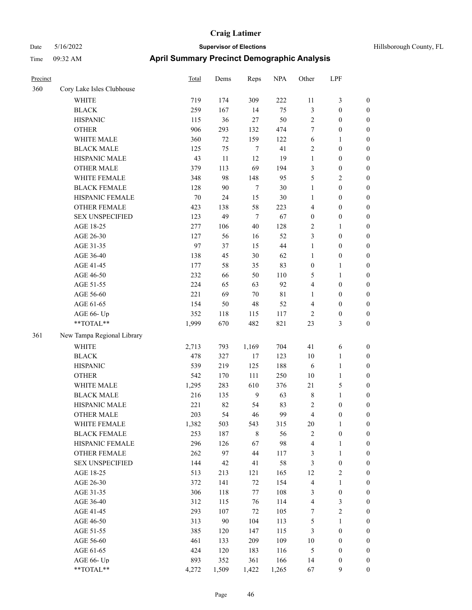| Hillsborough County, F. |  |
|-------------------------|--|
|                         |  |

| Precinct |                            | <b>Total</b> | Dems       | Reps           | <b>NPA</b> | Other                | LPF                     |                                      |
|----------|----------------------------|--------------|------------|----------------|------------|----------------------|-------------------------|--------------------------------------|
| 360      | Cory Lake Isles Clubhouse  |              |            |                |            |                      |                         |                                      |
|          | WHITE                      | 719          | 174        | 309            | 222        | 11                   | 3                       | $\boldsymbol{0}$                     |
|          | <b>BLACK</b>               | 259          | 167        | 14             | 75         | $\mathfrak{Z}$       | $\boldsymbol{0}$        | $\boldsymbol{0}$                     |
|          | <b>HISPANIC</b>            | 115          | 36         | 27             | 50         | $\sqrt{2}$           | $\boldsymbol{0}$        | $\boldsymbol{0}$                     |
|          | <b>OTHER</b>               | 906          | 293        | 132            | 474        | 7                    | $\boldsymbol{0}$        | $\boldsymbol{0}$                     |
|          | WHITE MALE                 | 360          | $72\,$     | 159            | 122        | 6                    | 1                       | $\boldsymbol{0}$                     |
|          | <b>BLACK MALE</b>          | 125          | 75         | $\tau$         | 41         | $\sqrt{2}$           | $\boldsymbol{0}$        | $\boldsymbol{0}$                     |
|          | HISPANIC MALE              | 43           | 11         | 12             | 19         | $\mathbf{1}$         | $\boldsymbol{0}$        | $\boldsymbol{0}$                     |
|          | <b>OTHER MALE</b>          | 379          | 113        | 69             | 194        | $\mathfrak{Z}$       | $\boldsymbol{0}$        | $\boldsymbol{0}$                     |
|          | WHITE FEMALE               | 348          | 98         | 148            | 95         | 5                    | $\overline{\mathbf{c}}$ | $\boldsymbol{0}$                     |
|          | <b>BLACK FEMALE</b>        | 128          | 90         | $\tau$         | $30\,$     | $\mathbf{1}$         | $\boldsymbol{0}$        | $\boldsymbol{0}$                     |
|          | HISPANIC FEMALE            | 70           | 24         | 15             | $30\,$     | 1                    | $\boldsymbol{0}$        | $\boldsymbol{0}$                     |
|          | <b>OTHER FEMALE</b>        | 423          | 138        | 58             | 223        | $\overline{4}$       | $\boldsymbol{0}$        | $\boldsymbol{0}$                     |
|          | <b>SEX UNSPECIFIED</b>     | 123          | 49         | $\overline{7}$ | 67         | $\boldsymbol{0}$     | $\boldsymbol{0}$        | $\boldsymbol{0}$                     |
|          | AGE 18-25                  | 277          | 106        | 40             | 128        | $\overline{2}$       | 1                       | $\boldsymbol{0}$                     |
|          | AGE 26-30                  | 127          | 56         | 16             | 52         | 3                    | $\boldsymbol{0}$        | $\boldsymbol{0}$                     |
|          | AGE 31-35                  | 97           | 37         | 15             | 44         | $\mathbf{1}$         | $\boldsymbol{0}$        | $\boldsymbol{0}$                     |
|          | AGE 36-40                  | 138          | 45         | $30\,$         | 62         | $\mathbf{1}$         | $\boldsymbol{0}$        | $\boldsymbol{0}$                     |
|          | AGE 41-45                  | 177          | 58         | 35             | 83         | $\boldsymbol{0}$     | 1                       | $\boldsymbol{0}$                     |
|          | AGE 46-50                  | 232          | 66         | 50             | 110        | 5                    | 1                       | $\boldsymbol{0}$                     |
|          | AGE 51-55                  | 224          | 65         | 63             | 92         | $\overline{4}$       | $\boldsymbol{0}$        | $\boldsymbol{0}$                     |
|          | AGE 56-60                  | 221          | 69         | $70\,$         | 81         | 1                    | $\boldsymbol{0}$        | $\boldsymbol{0}$                     |
|          | AGE 61-65                  | 154          | 50         | 48             | 52         | $\overline{4}$       | $\boldsymbol{0}$        | $\boldsymbol{0}$                     |
|          | AGE 66- Up                 | 352          | 118        | 115            | 117        | $\overline{2}$       | 0                       | $\boldsymbol{0}$                     |
|          | **TOTAL**                  | 1,999        | 670        | 482            | 821        | 23                   | 3                       | $\boldsymbol{0}$                     |
| 361      | New Tampa Regional Library |              |            |                |            |                      |                         |                                      |
|          | <b>WHITE</b>               | 2,713        | 793        | 1,169          | 704        | 41                   | 6                       | $\boldsymbol{0}$                     |
|          | <b>BLACK</b>               | 478          | 327        | 17             | 123        | 10                   | 1                       | $\boldsymbol{0}$                     |
|          | <b>HISPANIC</b>            | 539          | 219        | 125            | 188        | 6                    | 1                       | $\boldsymbol{0}$                     |
|          | <b>OTHER</b>               | 542          | 170        | 111            | 250        | 10                   | 1                       | $\boldsymbol{0}$                     |
|          | WHITE MALE                 | 1,295        | 283        | 610            | 376        | $21\,$               | 5                       | $\boldsymbol{0}$                     |
|          | <b>BLACK MALE</b>          | 216          | 135        | 9              | 63         | $\,$ 8 $\,$          | 1                       | $\boldsymbol{0}$                     |
|          | HISPANIC MALE              | 221          | 82         | 54             | 83         | $\sqrt{2}$           | $\boldsymbol{0}$        | $\boldsymbol{0}$                     |
|          | <b>OTHER MALE</b>          | 203          | 54         | 46             | 99         | 4                    | $\boldsymbol{0}$        | $\boldsymbol{0}$                     |
|          | WHITE FEMALE               | 1,382        | 503        | 543            | 315        | 20                   | $\mathbf{1}$            | $\boldsymbol{0}$                     |
|          | <b>BLACK FEMALE</b>        | 253          | 187        | $\,$ 8 $\,$    | 56         | $\sqrt{2}$           | $\boldsymbol{0}$        | $\boldsymbol{0}$                     |
|          | HISPANIC FEMALE            | 296          | 126        | 67             | 98         | $\overline{4}$       | 1                       | $\boldsymbol{0}$                     |
|          | <b>OTHER FEMALE</b>        | 262          | 97         | 44             | 117        | $\mathfrak{Z}$       | $\mathbf{1}$            | $\boldsymbol{0}$                     |
|          | <b>SEX UNSPECIFIED</b>     | 144          | 42         | 41             | 58         | $\mathfrak{Z}$       | $\boldsymbol{0}$        | $\boldsymbol{0}$                     |
|          |                            |              |            |                |            |                      |                         | $\boldsymbol{0}$                     |
|          | AGE 18-25                  | 513          | 213        | 121<br>$72\,$  | 165        | 12<br>$\overline{4}$ | $\overline{\mathbf{c}}$ |                                      |
|          | AGE 26-30                  | 372<br>306   | 141        |                | 154        |                      | 1                       | $\boldsymbol{0}$<br>$\boldsymbol{0}$ |
|          | AGE 31-35                  |              | 118        | 77             | 108        | 3<br>$\overline{4}$  | $\boldsymbol{0}$        | $\boldsymbol{0}$                     |
|          | AGE 36-40                  | 312<br>293   | 115        | 76             | 114        | $\boldsymbol{7}$     | 3<br>$\overline{c}$     | $\boldsymbol{0}$                     |
|          | AGE 41-45                  |              | 107        | 72             | 105        |                      |                         |                                      |
|          | AGE 46-50                  | 313          | $90\,$     | 104            | 113        | $\mathfrak s$        | 1                       | $\boldsymbol{0}$                     |
|          | AGE 51-55                  | 385          | 120        | 147            | 115        | $\mathfrak{Z}$       | $\boldsymbol{0}$        | $\boldsymbol{0}$                     |
|          | AGE 56-60                  | 461          | 133        | 209            | 109        | 10                   | $\boldsymbol{0}$        | $\boldsymbol{0}$                     |
|          | AGE 61-65                  | 424<br>893   | 120<br>352 | 183            | 116        | $\mathfrak{S}$       | $\boldsymbol{0}$        | $\boldsymbol{0}$                     |
|          | AGE 66- Up<br>**TOTAL**    | 4,272        | 1,509      | 361<br>1,422   | 166        | 14<br>67             | 0<br>9                  | $\boldsymbol{0}$<br>$\boldsymbol{0}$ |
|          |                            |              |            |                | 1,265      |                      |                         |                                      |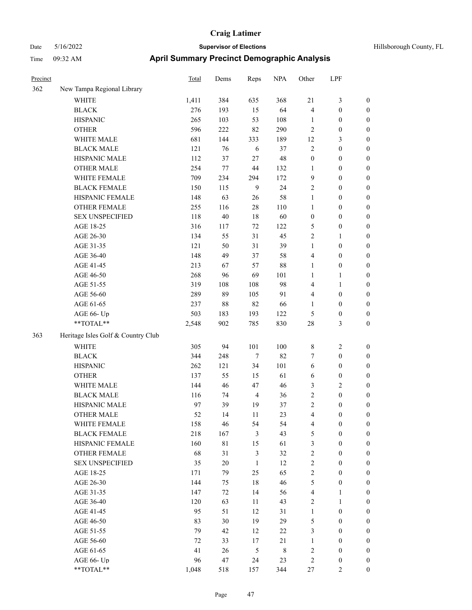|  |  | Hillsborough County, FI |  |
|--|--|-------------------------|--|

| Precinct |                                    | Total | Dems    | Reps           | <b>NPA</b>  | Other                   | LPF              |                  |
|----------|------------------------------------|-------|---------|----------------|-------------|-------------------------|------------------|------------------|
| 362      | New Tampa Regional Library         |       |         |                |             |                         |                  |                  |
|          | WHITE                              | 1,411 | 384     | 635            | 368         | $21\,$                  | $\mathfrak{Z}$   | $\boldsymbol{0}$ |
|          | <b>BLACK</b>                       | 276   | 193     | 15             | 64          | 4                       | $\boldsymbol{0}$ | $\boldsymbol{0}$ |
|          | <b>HISPANIC</b>                    | 265   | 103     | 53             | 108         | 1                       | $\boldsymbol{0}$ | $\boldsymbol{0}$ |
|          | <b>OTHER</b>                       | 596   | 222     | 82             | 290         | 2                       | $\boldsymbol{0}$ | $\boldsymbol{0}$ |
|          | WHITE MALE                         | 681   | 144     | 333            | 189         | 12                      | $\mathfrak{Z}$   | 0                |
|          | <b>BLACK MALE</b>                  | 121   | 76      | 6              | 37          | 2                       | $\boldsymbol{0}$ | $\boldsymbol{0}$ |
|          | HISPANIC MALE                      | 112   | 37      | 27             | 48          | $\boldsymbol{0}$        | $\boldsymbol{0}$ | $\boldsymbol{0}$ |
|          | <b>OTHER MALE</b>                  | 254   | $77 \,$ | 44             | 132         | 1                       | $\boldsymbol{0}$ | $\boldsymbol{0}$ |
|          | WHITE FEMALE                       | 709   | 234     | 294            | 172         | 9                       | $\boldsymbol{0}$ | $\boldsymbol{0}$ |
|          | <b>BLACK FEMALE</b>                | 150   | 115     | 9              | 24          | $\sqrt{2}$              | $\boldsymbol{0}$ | $\boldsymbol{0}$ |
|          | HISPANIC FEMALE                    | 148   | 63      | 26             | 58          | $\mathbf{1}$            | $\boldsymbol{0}$ | $\boldsymbol{0}$ |
|          | OTHER FEMALE                       | 255   | 116     | $28\,$         | 110         | $\mathbf{1}$            | $\boldsymbol{0}$ | $\boldsymbol{0}$ |
|          | <b>SEX UNSPECIFIED</b>             | 118   | $40\,$  | $18\,$         | 60          | $\boldsymbol{0}$        | $\boldsymbol{0}$ | $\boldsymbol{0}$ |
|          | AGE 18-25                          | 316   | 117     | 72             | 122         | 5                       | $\boldsymbol{0}$ | $\boldsymbol{0}$ |
|          | AGE 26-30                          | 134   | 55      | 31             | 45          | 2                       | $\mathbf{1}$     | 0                |
|          | AGE 31-35                          | 121   | 50      | 31             | 39          | $\mathbf{1}$            | $\boldsymbol{0}$ | $\boldsymbol{0}$ |
|          | AGE 36-40                          | 148   | 49      | 37             | 58          | $\overline{4}$          | $\boldsymbol{0}$ | $\boldsymbol{0}$ |
|          | AGE 41-45                          | 213   | 67      | 57             | 88          | 1                       | $\boldsymbol{0}$ | $\boldsymbol{0}$ |
|          | AGE 46-50                          | 268   | 96      | 69             | 101         | $\mathbf{1}$            | 1                | $\boldsymbol{0}$ |
|          | AGE 51-55                          | 319   | 108     | 108            | 98          | 4                       | $\mathbf{1}$     | $\boldsymbol{0}$ |
|          | AGE 56-60                          | 289   | 89      | 105            | 91          | 4                       | $\boldsymbol{0}$ | $\boldsymbol{0}$ |
|          | AGE 61-65                          | 237   | 88      | 82             | 66          | $\mathbf{1}$            | $\boldsymbol{0}$ | $\boldsymbol{0}$ |
|          | AGE 66- Up                         | 503   | 183     | 193            | 122         | 5                       | $\boldsymbol{0}$ | 0                |
|          | **TOTAL**                          | 2,548 | 902     | 785            | 830         | 28                      | $\mathfrak{Z}$   | $\boldsymbol{0}$ |
| 363      | Heritage Isles Golf & Country Club |       |         |                |             |                         |                  |                  |
|          | WHITE                              | 305   | 94      | 101            | 100         | 8                       | $\overline{c}$   | $\boldsymbol{0}$ |
|          | <b>BLACK</b>                       | 344   | 248     | $\tau$         | 82          | 7                       | $\boldsymbol{0}$ | 0                |
|          | <b>HISPANIC</b>                    | 262   | 121     | 34             | 101         | 6                       | $\boldsymbol{0}$ | 0                |
|          | <b>OTHER</b>                       | 137   | 55      | 15             | 61          | 6                       | $\boldsymbol{0}$ | $\boldsymbol{0}$ |
|          | WHITE MALE                         | 144   | 46      | 47             | 46          | 3                       | $\sqrt{2}$       | $\boldsymbol{0}$ |
|          | <b>BLACK MALE</b>                  | 116   | 74      | $\overline{4}$ | 36          | 2                       | $\boldsymbol{0}$ | $\boldsymbol{0}$ |
|          | HISPANIC MALE                      | 97    | 39      | 19             | 37          | $\sqrt{2}$              | $\boldsymbol{0}$ | $\boldsymbol{0}$ |
|          | <b>OTHER MALE</b>                  | 52    | 14      | 11             | 23          | 4                       | $\boldsymbol{0}$ | $\boldsymbol{0}$ |
|          | WHITE FEMALE                       | 158   | 46      | 54             | 54          | $\overline{\mathbf{4}}$ | $\boldsymbol{0}$ | $\boldsymbol{0}$ |
|          | <b>BLACK FEMALE</b>                | 218   | 167     | $\mathfrak{Z}$ | 43          | 5                       | $\boldsymbol{0}$ | 0                |
|          | HISPANIC FEMALE                    | 160   | 81      | 15             | 61          | 3                       | $\boldsymbol{0}$ | 0                |
|          | <b>OTHER FEMALE</b>                | 68    | 31      | $\mathfrak{Z}$ | 32          | $\sqrt{2}$              | $\boldsymbol{0}$ | 0                |
|          | <b>SEX UNSPECIFIED</b>             | 35    | $20\,$  | $\mathbf{1}$   | 12          | $\sqrt{2}$              | $\boldsymbol{0}$ | 0                |
|          | AGE 18-25                          | 171   | 79      | 25             | 65          | $\sqrt{2}$              | $\boldsymbol{0}$ | $\overline{0}$   |
|          | AGE 26-30                          | 144   | 75      | 18             | 46          | 5                       | $\boldsymbol{0}$ | $\boldsymbol{0}$ |
|          | AGE 31-35                          | 147   | 72      | 14             | 56          | 4                       | $\mathbf{1}$     | $\overline{0}$   |
|          | AGE 36-40                          | 120   | 63      | 11             | 43          | 2                       | $\mathbf{1}$     | 0                |
|          | AGE 41-45                          | 95    | 51      | 12             | 31          | $\mathbf{1}$            | $\boldsymbol{0}$ | $\overline{0}$   |
|          | AGE 46-50                          | 83    | 30      | 19             | 29          | 5                       | $\boldsymbol{0}$ | $\overline{0}$   |
|          | AGE 51-55                          | 79    | 42      | 12             | $22\,$      | $\mathfrak{Z}$          | $\boldsymbol{0}$ | $\overline{0}$   |
|          | AGE 56-60                          | 72    | 33      | 17             | $21\,$      | $\mathbf{1}$            | $\boldsymbol{0}$ | $\boldsymbol{0}$ |
|          | AGE 61-65                          | 41    | 26      | $\mathfrak s$  | $\,$ 8 $\,$ | $\sqrt{2}$              | $\boldsymbol{0}$ | 0                |
|          | AGE 66- Up                         | 96    | 47      | 24             | 23          | $\sqrt{2}$              | $\boldsymbol{0}$ | 0                |
|          | $**TOTAL**$                        | 1,048 | 518     | 157            | 344         | $27\,$                  | $\overline{2}$   | $\boldsymbol{0}$ |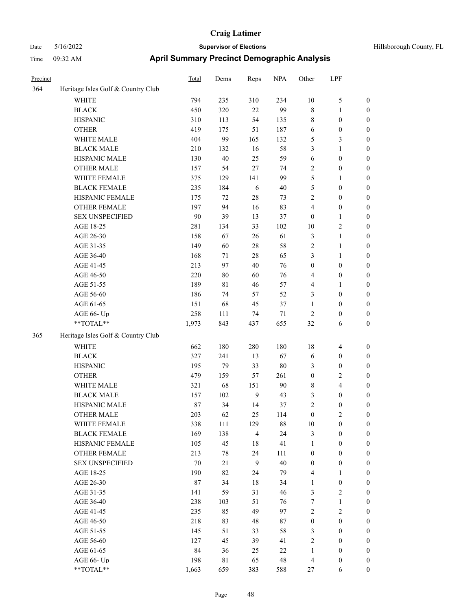| Precinct |                                                             | <b>Total</b> | Dems        | Reps           | <b>NPA</b> | Other            | LPF                     |                  |
|----------|-------------------------------------------------------------|--------------|-------------|----------------|------------|------------------|-------------------------|------------------|
| 364      | Heritage Isles Golf & Country Club                          |              |             |                |            |                  |                         |                  |
|          | WHITE                                                       | 794          | 235         | 310            | 234        | 10               | 5                       | $\boldsymbol{0}$ |
|          | <b>BLACK</b>                                                | 450          | 320         | 22             | 99         | $\,$ 8 $\,$      | 1                       | $\boldsymbol{0}$ |
|          | <b>HISPANIC</b>                                             | 310          | 113         | 54             | 135        | $\,$ 8 $\,$      | $\boldsymbol{0}$        | $\boldsymbol{0}$ |
|          | <b>OTHER</b>                                                | 419          | 175         | 51             | 187        | 6                | $\boldsymbol{0}$        | $\boldsymbol{0}$ |
|          | WHITE MALE                                                  | 404          | 99          | 165            | 132        | $\mathfrak{S}$   | 3                       | $\boldsymbol{0}$ |
|          | <b>BLACK MALE</b>                                           | 210          | 132         | 16             | 58         | 3                | 1                       | $\boldsymbol{0}$ |
|          | HISPANIC MALE                                               | 130          | $40\,$      | 25             | 59         | 6                | $\boldsymbol{0}$        | $\boldsymbol{0}$ |
|          | <b>OTHER MALE</b>                                           | 157          | 54          | 27             | 74         | $\sqrt{2}$       | $\boldsymbol{0}$        | $\boldsymbol{0}$ |
|          | WHITE FEMALE                                                | 375          | 129         | 141            | 99         | 5                | 1                       | $\boldsymbol{0}$ |
|          | <b>BLACK FEMALE</b>                                         | 235          | 184         | 6              | 40         | 5                | $\boldsymbol{0}$        | $\boldsymbol{0}$ |
|          | HISPANIC FEMALE                                             | 175          | 72          | 28             | 73         | $\overline{2}$   | $\boldsymbol{0}$        | $\boldsymbol{0}$ |
|          | <b>OTHER FEMALE</b>                                         | 197          | 94          | 16             | 83         | $\overline{4}$   | $\boldsymbol{0}$        | $\boldsymbol{0}$ |
|          | <b>SEX UNSPECIFIED</b>                                      | 90           | 39          | 13             | 37         | $\mathbf{0}$     | 1                       | $\boldsymbol{0}$ |
|          | AGE 18-25                                                   | 281          | 134         | 33             | 102        | 10               | 2                       | $\boldsymbol{0}$ |
|          | AGE 26-30                                                   | 158          | 67          | 26             | 61         | $\mathfrak{Z}$   | 1                       | $\boldsymbol{0}$ |
|          | AGE 31-35                                                   | 149          | 60          | 28             | 58         | $\overline{2}$   | 1                       | $\boldsymbol{0}$ |
|          | AGE 36-40                                                   | 168          | 71          | 28             | 65         | $\mathfrak{Z}$   | 1                       | $\boldsymbol{0}$ |
|          | AGE 41-45                                                   | 213          | 97          | 40             | 76         | $\boldsymbol{0}$ | $\boldsymbol{0}$        | $\boldsymbol{0}$ |
|          | AGE 46-50                                                   | 220          | 80          | 60             | 76         | $\overline{4}$   | $\boldsymbol{0}$        | $\boldsymbol{0}$ |
|          | AGE 51-55                                                   | 189          | 81          | 46             | 57         | $\overline{4}$   | 1                       | $\boldsymbol{0}$ |
|          | AGE 56-60                                                   | 186          | 74          | 57             | 52         | 3                | $\boldsymbol{0}$        | $\boldsymbol{0}$ |
|          | AGE 61-65                                                   | 151          | 68          | 45             | 37         | $\mathbf{1}$     | $\boldsymbol{0}$        | $\boldsymbol{0}$ |
|          | AGE 66- Up                                                  | 258          | 111         | 74             | $71\,$     | $\sqrt{2}$       | $\boldsymbol{0}$        | $\boldsymbol{0}$ |
|          | **TOTAL**                                                   | 1,973        | 843         | 437            | 655        | 32               | 6                       | $\boldsymbol{0}$ |
| 365      | Heritage Isles Golf & Country Club                          |              |             |                |            |                  |                         |                  |
|          | <b>WHITE</b>                                                | 662          | 180         | 280            | 180        | 18               | $\overline{4}$          | $\boldsymbol{0}$ |
|          | <b>BLACK</b>                                                | 327          | 241         | 13             | 67         | 6                | $\boldsymbol{0}$        | $\boldsymbol{0}$ |
|          | <b>HISPANIC</b>                                             | 195          | 79          | 33             | $80\,$     | 3                | $\boldsymbol{0}$        | $\boldsymbol{0}$ |
|          | <b>OTHER</b>                                                | 479          | 159         | 57             | 261        | $\boldsymbol{0}$ | $\overline{\mathbf{c}}$ | $\boldsymbol{0}$ |
|          | WHITE MALE                                                  | 321          | 68          | 151            | 90         | $\,$ 8 $\,$      | 4                       | $\boldsymbol{0}$ |
|          | <b>BLACK MALE</b>                                           | 157          | 102         | 9              | 43         | 3                | $\boldsymbol{0}$        | $\boldsymbol{0}$ |
|          | HISPANIC MALE                                               | 87           | 34          | 14             | 37         | $\sqrt{2}$       | $\boldsymbol{0}$        | $\boldsymbol{0}$ |
|          | <b>OTHER MALE</b>                                           | 203          | 62          | 25             | 114        | $\mathbf{0}$     | 2                       | $\boldsymbol{0}$ |
|          | WHITE FEMALE                                                | 338          | 111         | 129            | 88         | 10               | $\boldsymbol{0}$        | $\boldsymbol{0}$ |
|          | <b>BLACK FEMALE</b>                                         | 169          | 138         | $\overline{4}$ | 24         | $\mathfrak{Z}$   | $\boldsymbol{0}$        | $\boldsymbol{0}$ |
|          | HISPANIC FEMALE                                             | 105          | 45          | 18             | 41         | $\mathbf{1}$     | $\boldsymbol{0}$        | $\boldsymbol{0}$ |
|          | <b>OTHER FEMALE</b>                                         | 213          | 78          | 24             | 111        | $\boldsymbol{0}$ | $\boldsymbol{0}$        | $\boldsymbol{0}$ |
|          | SEX UNSPECIFIED                                             | 70           | 21          | $\overline{9}$ | 40         | $\boldsymbol{0}$ | $\boldsymbol{0}$        | $\boldsymbol{0}$ |
|          | AGE 18-25                                                   | 190          | 82          | 24             | 79         | $\overline{4}$   | 1                       | $\boldsymbol{0}$ |
|          | AGE 26-30                                                   | $87\,$       | 34          | 18             | 34         | $\mathbf{1}$     | $\boldsymbol{0}$        | $\boldsymbol{0}$ |
|          | AGE 31-35                                                   | 141          | 59          | 31             | 46         | 3                | 2                       | $\boldsymbol{0}$ |
|          | AGE 36-40                                                   | 238          | 103         | 51             | 76         | 7                | 1                       | $\boldsymbol{0}$ |
|          | AGE 41-45                                                   | 235          | 85          | 49             | 97         | $\sqrt{2}$       | $\sqrt{2}$              | $\boldsymbol{0}$ |
|          | AGE 46-50                                                   | 218          | 83          | 48             | 87         | $\boldsymbol{0}$ | $\boldsymbol{0}$        | $\boldsymbol{0}$ |
|          | AGE 51-55                                                   | 145          | 51          | 33             | 58         | $\mathfrak{Z}$   | $\boldsymbol{0}$        | $\boldsymbol{0}$ |
|          | AGE 56-60                                                   | 127          | 45          | 39             | 41         | $\sqrt{2}$       | $\boldsymbol{0}$        | $\boldsymbol{0}$ |
|          | AGE 61-65                                                   | 84           | 36          | 25             | $22\,$     | $\mathbf{1}$     | $\boldsymbol{0}$        | $\boldsymbol{0}$ |
|          | AGE 66- Up                                                  | 198          | $8\sqrt{1}$ | 65             | 48         | $\overline{4}$   | $\boldsymbol{0}$        | $\boldsymbol{0}$ |
|          | $\mathrm{*}\mathrm{*} \mathrm{TOTAL} \mathrm{*} \mathrm{*}$ | 1,663        | 659         | 383            | 588        | 27               | 6                       | $\boldsymbol{0}$ |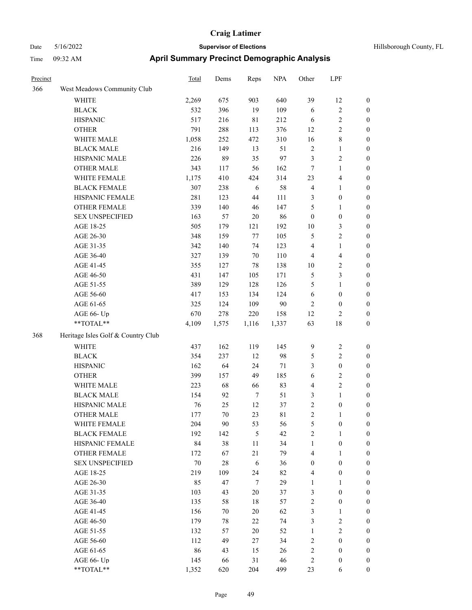| Hillsborough County, FL |  |
|-------------------------|--|
|                         |  |

| Precinct |                                    | <b>Total</b> | Dems  | Reps        | <b>NPA</b> | Other                   | LPF              |                  |
|----------|------------------------------------|--------------|-------|-------------|------------|-------------------------|------------------|------------------|
| 366      | West Meadows Community Club        |              |       |             |            |                         |                  |                  |
|          | <b>WHITE</b>                       | 2,269        | 675   | 903         | 640        | 39                      | 12               | $\boldsymbol{0}$ |
|          | <b>BLACK</b>                       | 532          | 396   | 19          | 109        | $\sqrt{6}$              | $\overline{c}$   | $\boldsymbol{0}$ |
|          | <b>HISPANIC</b>                    | 517          | 216   | $8\sqrt{1}$ | 212        | 6                       | $\overline{c}$   | $\boldsymbol{0}$ |
|          | <b>OTHER</b>                       | 791          | 288   | 113         | 376        | 12                      | 2                | $\boldsymbol{0}$ |
|          | WHITE MALE                         | 1,058        | 252   | 472         | 310        | 16                      | 8                | $\boldsymbol{0}$ |
|          | <b>BLACK MALE</b>                  | 216          | 149   | 13          | 51         | $\sqrt{2}$              | $\mathbf{1}$     | $\boldsymbol{0}$ |
|          | HISPANIC MALE                      | 226          | 89    | 35          | 97         | $\mathfrak{Z}$          | 2                | $\boldsymbol{0}$ |
|          | <b>OTHER MALE</b>                  | 343          | 117   | 56          | 162        | 7                       | $\mathbf{1}$     | $\boldsymbol{0}$ |
|          | WHITE FEMALE                       | 1,175        | 410   | 424         | 314        | 23                      | 4                | $\boldsymbol{0}$ |
|          | <b>BLACK FEMALE</b>                | 307          | 238   | 6           | 58         | $\overline{4}$          | 1                | $\boldsymbol{0}$ |
|          | HISPANIC FEMALE                    | 281          | 123   | 44          | 111        | 3                       | $\boldsymbol{0}$ | $\boldsymbol{0}$ |
|          | OTHER FEMALE                       | 339          | 140   | 46          | 147        | 5                       | 1                | $\boldsymbol{0}$ |
|          | <b>SEX UNSPECIFIED</b>             | 163          | 57    | $20\,$      | 86         | $\boldsymbol{0}$        | $\boldsymbol{0}$ | $\boldsymbol{0}$ |
|          | AGE 18-25                          | 505          | 179   | 121         | 192        | 10                      | 3                | $\boldsymbol{0}$ |
|          | AGE 26-30                          | 348          | 159   | 77          | 105        | 5                       | 2                | $\boldsymbol{0}$ |
|          | AGE 31-35                          | 342          | 140   | 74          | 123        | 4                       | $\mathbf{1}$     | $\boldsymbol{0}$ |
|          | AGE 36-40                          | 327          | 139   | $70\,$      | 110        | $\overline{4}$          | 4                | $\boldsymbol{0}$ |
|          | AGE 41-45                          | 355          | 127   | 78          | 138        | 10                      | 2                | $\boldsymbol{0}$ |
|          | AGE 46-50                          | 431          | 147   | 105         | 171        | $\mathfrak{S}$          | 3                | $\boldsymbol{0}$ |
|          | AGE 51-55                          | 389          | 129   | 128         | 126        | 5                       | $\mathbf{1}$     | $\boldsymbol{0}$ |
|          | AGE 56-60                          | 417          | 153   | 134         | 124        | 6                       | $\boldsymbol{0}$ | $\boldsymbol{0}$ |
|          | AGE 61-65                          | 325          | 124   | 109         | 90         | $\mathbf{2}$            | $\mathbf{0}$     | $\boldsymbol{0}$ |
|          | AGE 66- Up                         | 670          | 278   | 220         | 158        | 12                      | $\overline{c}$   | $\boldsymbol{0}$ |
|          | **TOTAL**                          | 4,109        | 1,575 | 1,116       | 1,337      | 63                      | 18               | $\boldsymbol{0}$ |
| 368      | Heritage Isles Golf & Country Club |              |       |             |            |                         |                  |                  |
|          | WHITE                              | 437          | 162   | 119         | 145        | $\overline{9}$          | 2                | $\boldsymbol{0}$ |
|          | <b>BLACK</b>                       | 354          | 237   | 12          | 98         | 5                       | $\overline{c}$   | $\boldsymbol{0}$ |
|          | <b>HISPANIC</b>                    | 162          | 64    | 24          | $71\,$     | 3                       | $\boldsymbol{0}$ | $\boldsymbol{0}$ |
|          | <b>OTHER</b>                       | 399          | 157   | 49          | 185        | $\sqrt{6}$              | 2                | $\boldsymbol{0}$ |
|          | WHITE MALE                         | 223          | 68    | 66          | 83         | $\overline{4}$          | 2                | $\boldsymbol{0}$ |
|          | <b>BLACK MALE</b>                  | 154          | 92    | $\tau$      | 51         | $\mathfrak{Z}$          | $\mathbf{1}$     | $\boldsymbol{0}$ |
|          | HISPANIC MALE                      | 76           | 25    | 12          | 37         | $\mathbf{2}$            | $\boldsymbol{0}$ | $\boldsymbol{0}$ |
|          | <b>OTHER MALE</b>                  | 177          | 70    | 23          | 81         | 2                       |                  | $\boldsymbol{0}$ |
|          | WHITE FEMALE                       | 204          | 90    | 53          | 56         | $\mathfrak{S}$          | $\boldsymbol{0}$ | $\boldsymbol{0}$ |
|          | <b>BLACK FEMALE</b>                | 192          | 142   | 5           | 42         | $\sqrt{2}$              | 1                | $\boldsymbol{0}$ |
|          | HISPANIC FEMALE                    | 84           | 38    | 11          | 34         | $\mathbf{1}$            | $\boldsymbol{0}$ | $\boldsymbol{0}$ |
|          | <b>OTHER FEMALE</b>                | 172          | 67    | 21          | 79         | $\overline{4}$          | 1                | $\boldsymbol{0}$ |
|          | <b>SEX UNSPECIFIED</b>             | 70           | 28    | $\sqrt{6}$  | 36         | $\boldsymbol{0}$        | $\boldsymbol{0}$ | $\boldsymbol{0}$ |
|          | AGE 18-25                          | 219          | 109   | 24          | 82         | $\overline{\mathbf{4}}$ | $\boldsymbol{0}$ | $\boldsymbol{0}$ |
|          | AGE 26-30                          | 85           | 47    | $\tau$      | 29         | 1                       | $\mathbf{1}$     | $\boldsymbol{0}$ |
|          | AGE 31-35                          | 103          | 43    | $20\,$      | 37         | $\mathfrak{Z}$          | $\boldsymbol{0}$ | $\boldsymbol{0}$ |
|          | AGE 36-40                          | 135          | 58    | 18          | 57         | $\sqrt{2}$              | $\boldsymbol{0}$ | $\boldsymbol{0}$ |
|          | AGE 41-45                          | 156          | 70    | 20          | 62         | $\mathfrak{Z}$          | $\mathbf{1}$     | $\boldsymbol{0}$ |
|          | AGE 46-50                          | 179          | 78    | $22\,$      | 74         | $\mathfrak{Z}$          | $\sqrt{2}$       | $\boldsymbol{0}$ |
|          | AGE 51-55                          | 132          | 57    | $20\,$      | 52         | $\mathbf{1}$            | 2                | $\boldsymbol{0}$ |
|          | AGE 56-60                          | 112          | 49    | 27          | 34         | $\sqrt{2}$              | $\boldsymbol{0}$ | $\boldsymbol{0}$ |
|          | AGE 61-65                          | 86           | 43    | 15          | 26         | $\sqrt{2}$              | $\boldsymbol{0}$ | $\boldsymbol{0}$ |
|          | AGE 66- Up                         | 145          | 66    | 31          | 46         | $\sqrt{2}$              | $\boldsymbol{0}$ | $\boldsymbol{0}$ |
|          | $**TOTAL**$                        | 1,352        | 620   | 204         | 499        | 23                      | 6                | $\boldsymbol{0}$ |
|          |                                    |              |       |             |            |                         |                  |                  |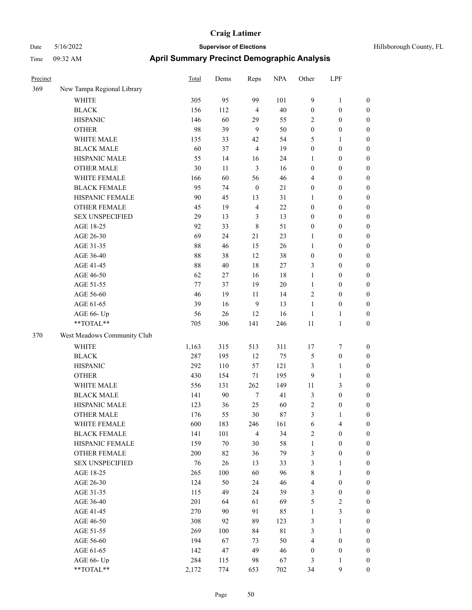| Precinct |                             | <b>Total</b> | Dems   | Reps             | <b>NPA</b>  | Other            | LPF              |                  |
|----------|-----------------------------|--------------|--------|------------------|-------------|------------------|------------------|------------------|
| 369      | New Tampa Regional Library  |              |        |                  |             |                  |                  |                  |
|          | WHITE                       | 305          | 95     | 99               | 101         | 9                | 1                | $\boldsymbol{0}$ |
|          | <b>BLACK</b>                | 156          | 112    | $\overline{4}$   | 40          | $\boldsymbol{0}$ | $\boldsymbol{0}$ | $\boldsymbol{0}$ |
|          | <b>HISPANIC</b>             | 146          | 60     | 29               | 55          | $\overline{2}$   | $\boldsymbol{0}$ | $\boldsymbol{0}$ |
|          | <b>OTHER</b>                | 98           | 39     | 9                | 50          | $\boldsymbol{0}$ | $\boldsymbol{0}$ | $\boldsymbol{0}$ |
|          | WHITE MALE                  | 135          | 33     | 42               | 54          | 5                | 1                | $\boldsymbol{0}$ |
|          | <b>BLACK MALE</b>           | 60           | 37     | $\overline{4}$   | 19          | $\boldsymbol{0}$ | $\boldsymbol{0}$ | $\boldsymbol{0}$ |
|          | HISPANIC MALE               | 55           | 14     | 16               | 24          | 1                | $\boldsymbol{0}$ | $\boldsymbol{0}$ |
|          | <b>OTHER MALE</b>           | 30           | 11     | $\mathfrak{Z}$   | 16          | $\boldsymbol{0}$ | $\boldsymbol{0}$ | $\boldsymbol{0}$ |
|          | WHITE FEMALE                | 166          | 60     | 56               | 46          | $\overline{4}$   | $\boldsymbol{0}$ | $\boldsymbol{0}$ |
|          | <b>BLACK FEMALE</b>         | 95           | 74     | $\boldsymbol{0}$ | $21\,$      | $\boldsymbol{0}$ | $\boldsymbol{0}$ | $\boldsymbol{0}$ |
|          | HISPANIC FEMALE             | 90           | 45     | 13               | 31          | 1                | $\boldsymbol{0}$ | $\boldsymbol{0}$ |
|          | <b>OTHER FEMALE</b>         | 45           | 19     | $\overline{4}$   | 22          | $\boldsymbol{0}$ | $\boldsymbol{0}$ | $\boldsymbol{0}$ |
|          | <b>SEX UNSPECIFIED</b>      | 29           | 13     | 3                | 13          | $\boldsymbol{0}$ | $\boldsymbol{0}$ | $\boldsymbol{0}$ |
|          | AGE 18-25                   | 92           | 33     | $\,8\,$          | 51          | $\boldsymbol{0}$ | $\boldsymbol{0}$ | $\boldsymbol{0}$ |
|          | AGE 26-30                   | 69           | 24     | 21               | 23          | 1                | $\boldsymbol{0}$ | $\boldsymbol{0}$ |
|          | AGE 31-35                   | 88           | 46     | 15               | 26          | 1                | $\boldsymbol{0}$ | $\boldsymbol{0}$ |
|          | AGE 36-40                   | 88           | 38     | 12               | 38          | $\boldsymbol{0}$ | $\boldsymbol{0}$ | $\boldsymbol{0}$ |
|          | AGE 41-45                   | 88           | $40\,$ | 18               | 27          | $\mathfrak{Z}$   | $\boldsymbol{0}$ | $\boldsymbol{0}$ |
|          | AGE 46-50                   | 62           | 27     | 16               | 18          | $\mathbf{1}$     | $\boldsymbol{0}$ | $\boldsymbol{0}$ |
|          | AGE 51-55                   | 77           | 37     | 19               | $20\,$      | 1                | $\boldsymbol{0}$ | $\boldsymbol{0}$ |
|          | AGE 56-60                   | 46           | 19     | 11               | 14          | $\overline{2}$   | $\boldsymbol{0}$ | $\boldsymbol{0}$ |
|          | AGE 61-65                   | 39           | 16     | 9                | 13          | 1                | $\boldsymbol{0}$ | $\boldsymbol{0}$ |
|          | AGE 66- Up                  | 56           | 26     | 12               | 16          | 1                | 1                | $\boldsymbol{0}$ |
|          | **TOTAL**                   | 705          | 306    | 141              | 246         | 11               | 1                | $\boldsymbol{0}$ |
| 370      | West Meadows Community Club |              |        |                  |             |                  |                  |                  |
|          | <b>WHITE</b>                | 1,163        | 315    | 513              | 311         | 17               | 7                | $\boldsymbol{0}$ |
|          | <b>BLACK</b>                | 287          | 195    | 12               | 75          | 5                | $\boldsymbol{0}$ | $\boldsymbol{0}$ |
|          | <b>HISPANIC</b>             | 292          | 110    | 57               | 121         | 3                | 1                | $\boldsymbol{0}$ |
|          | <b>OTHER</b>                | 430          | 154    | 71               | 195         | 9                | 1                | $\boldsymbol{0}$ |
|          | WHITE MALE                  | 556          | 131    | 262              | 149         | 11               | 3                | $\boldsymbol{0}$ |
|          | <b>BLACK MALE</b>           | 141          | 90     | $\tau$           | 41          | $\mathfrak{Z}$   | $\boldsymbol{0}$ | $\boldsymbol{0}$ |
|          | HISPANIC MALE               | 123          | 36     | 25               | 60          | $\sqrt{2}$       | $\boldsymbol{0}$ | $\boldsymbol{0}$ |
|          | <b>OTHER MALE</b>           | 176          | 55     | 30               | 87          | 3                | 1                | $\boldsymbol{0}$ |
|          | WHITE FEMALE                | 600          | 183    | 246              | 161         | 6                | 4                | $\boldsymbol{0}$ |
|          | <b>BLACK FEMALE</b>         | 141          | 101    | $\overline{4}$   | 34          | $\overline{2}$   | $\boldsymbol{0}$ | $\boldsymbol{0}$ |
|          | HISPANIC FEMALE             | 159          | $70\,$ | 30               | 58          | $\mathbf{1}$     | $\boldsymbol{0}$ | $\boldsymbol{0}$ |
|          | OTHER FEMALE                | 200          | 82     | 36               | 79          | $\mathfrak{Z}$   | $\boldsymbol{0}$ | $\boldsymbol{0}$ |
|          | <b>SEX UNSPECIFIED</b>      | 76           | 26     | 13               | 33          | $\mathfrak{Z}$   | $\mathbf{1}$     | $\boldsymbol{0}$ |
|          | AGE 18-25                   | 265          | 100    | 60               | 96          | $\,$ 8 $\,$      | $\mathbf{1}$     | $\boldsymbol{0}$ |
|          | AGE 26-30                   | 124          | 50     | 24               | 46          | $\overline{4}$   | $\boldsymbol{0}$ | $\boldsymbol{0}$ |
|          | AGE 31-35                   | 115          | 49     | 24               | 39          | $\mathfrak{Z}$   | $\boldsymbol{0}$ | $\boldsymbol{0}$ |
|          | AGE 36-40                   | 201          | 64     | 61               | 69          | $\mathfrak{S}$   | 2                | $\boldsymbol{0}$ |
|          | AGE 41-45                   | 270          | 90     | 91               | 85          | $\mathbf{1}$     | 3                | $\boldsymbol{0}$ |
|          | AGE 46-50                   | 308          | 92     | 89               | 123         | $\mathfrak{Z}$   | 1                | $\boldsymbol{0}$ |
|          | AGE 51-55                   | 269          | 100    | 84               | $8\sqrt{1}$ | $\mathfrak{Z}$   | $\mathbf{1}$     | $\boldsymbol{0}$ |
|          | AGE 56-60                   | 194          | 67     | 73               | 50          | $\overline{4}$   | $\boldsymbol{0}$ | $\boldsymbol{0}$ |
|          | AGE 61-65                   | 142          | 47     | 49               | 46          | $\boldsymbol{0}$ | $\boldsymbol{0}$ | $\boldsymbol{0}$ |
|          | AGE 66- Up                  | 284          | 115    | 98               | 67          | 3                | 1                | $\bf{0}$         |
|          | **TOTAL**                   | 2,172        | 774    | 653              | 702         | 34               | 9                | $\boldsymbol{0}$ |
|          |                             |              |        |                  |             |                  |                  |                  |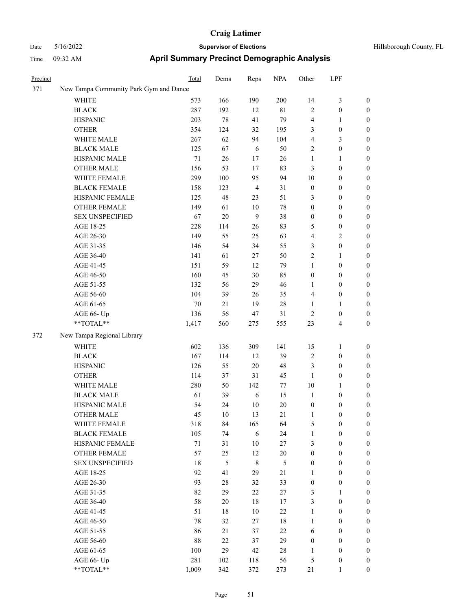## Date 5/16/2022 **Supervisor of Elections Supervisor of Elections** Hillsborough County, FL Time 09:32 AM **April Summary Precinct Demographic Analysis**

| Precinct |                                        | Total  | Dems   | Reps           | <b>NPA</b>     | Other            | LPF              |                  |
|----------|----------------------------------------|--------|--------|----------------|----------------|------------------|------------------|------------------|
| 371      | New Tampa Community Park Gym and Dance |        |        |                |                |                  |                  |                  |
|          | <b>WHITE</b>                           | 573    | 166    | 190            | 200            | 14               | $\mathfrak{Z}$   | $\boldsymbol{0}$ |
|          | <b>BLACK</b>                           | 287    | 192    | 12             | $8\sqrt{1}$    | $\mathfrak{2}$   | $\boldsymbol{0}$ | $\boldsymbol{0}$ |
|          | <b>HISPANIC</b>                        | 203    | 78     | 41             | 79             | 4                | $\mathbf{1}$     | $\boldsymbol{0}$ |
|          | <b>OTHER</b>                           | 354    | 124    | 32             | 195            | 3                | $\boldsymbol{0}$ | $\boldsymbol{0}$ |
|          | WHITE MALE                             | 267    | 62     | 94             | 104            | 4                | $\mathfrak{Z}$   | $\boldsymbol{0}$ |
|          | <b>BLACK MALE</b>                      | 125    | 67     | 6              | 50             | 2                | $\boldsymbol{0}$ | $\boldsymbol{0}$ |
|          | HISPANIC MALE                          | $71\,$ | 26     | 17             | 26             | $\mathbf{1}$     | $\mathbf{1}$     | $\boldsymbol{0}$ |
|          | <b>OTHER MALE</b>                      | 156    | 53     | 17             | 83             | $\mathfrak{Z}$   | $\boldsymbol{0}$ | $\boldsymbol{0}$ |
|          | WHITE FEMALE                           | 299    | 100    | 95             | 94             | 10               | $\boldsymbol{0}$ | $\boldsymbol{0}$ |
|          | <b>BLACK FEMALE</b>                    | 158    | 123    | $\overline{4}$ | 31             | $\boldsymbol{0}$ | $\boldsymbol{0}$ | 0                |
|          | HISPANIC FEMALE                        | 125    | 48     | 23             | 51             | 3                | $\boldsymbol{0}$ | 0                |
|          | OTHER FEMALE                           | 149    | 61     | 10             | $78\,$         | $\boldsymbol{0}$ | $\boldsymbol{0}$ | $\boldsymbol{0}$ |
|          | <b>SEX UNSPECIFIED</b>                 | 67     | $20\,$ | 9              | 38             | $\boldsymbol{0}$ | $\boldsymbol{0}$ | $\boldsymbol{0}$ |
|          | AGE 18-25                              | 228    | 114    | 26             | 83             | 5                | $\boldsymbol{0}$ | $\boldsymbol{0}$ |
|          | AGE 26-30                              | 149    | 55     | 25             | 63             | 4                | $\sqrt{2}$       | $\boldsymbol{0}$ |
|          | AGE 31-35                              | 146    | 54     | 34             | 55             | 3                | $\boldsymbol{0}$ | $\boldsymbol{0}$ |
|          | AGE 36-40                              | 141    | 61     | $27\,$         | 50             | $\overline{c}$   | $\mathbf{1}$     | $\boldsymbol{0}$ |
|          | AGE 41-45                              | 151    | 59     | 12             | 79             | $\mathbf{1}$     | $\boldsymbol{0}$ | $\boldsymbol{0}$ |
|          | AGE 46-50                              | 160    | 45     | $30\,$         | 85             | $\boldsymbol{0}$ | $\boldsymbol{0}$ | 0                |
|          | AGE 51-55                              | 132    | 56     | 29             | 46             | 1                | $\boldsymbol{0}$ | 0                |
|          | AGE 56-60                              | 104    | 39     | 26             | 35             | 4                | $\boldsymbol{0}$ | 0                |
|          | AGE 61-65                              | 70     | 21     | 19             | $28\,$         | 1                | $\mathbf{1}$     | $\boldsymbol{0}$ |
|          | AGE 66- Up                             | 136    | 56     | 47             | 31             | $\overline{c}$   | $\boldsymbol{0}$ | $\boldsymbol{0}$ |
|          | **TOTAL**                              | 1,417  | 560    | 275            | 555            | 23               | $\overline{4}$   | $\boldsymbol{0}$ |
| 372      | New Tampa Regional Library             |        |        |                |                |                  |                  |                  |
|          | WHITE                                  | 602    | 136    | 309            | 141            | 15               | $\mathbf{1}$     | $\boldsymbol{0}$ |
|          | <b>BLACK</b>                           | 167    | 114    | 12             | 39             | $\overline{c}$   | $\boldsymbol{0}$ | $\boldsymbol{0}$ |
|          | <b>HISPANIC</b>                        | 126    | 55     | 20             | 48             | 3                | $\boldsymbol{0}$ | $\boldsymbol{0}$ |
|          | <b>OTHER</b>                           | 114    | 37     | 31             | 45             | $\mathbf{1}$     | $\boldsymbol{0}$ | $\boldsymbol{0}$ |
|          | WHITE MALE                             | 280    | 50     | 142            | 77             | $10\,$           | 1                | $\boldsymbol{0}$ |
|          | <b>BLACK MALE</b>                      | 61     | 39     | 6              | 15             | $\mathbf{1}$     | $\boldsymbol{0}$ | $\boldsymbol{0}$ |
|          | HISPANIC MALE                          | 54     | 24     | $10\,$         | 20             | $\boldsymbol{0}$ | $\boldsymbol{0}$ | 0                |
|          | <b>OTHER MALE</b>                      | 45     | 10     | 13             | 21             | 1                | $\boldsymbol{0}$ | $\boldsymbol{0}$ |
|          | WHITE FEMALE                           | 318    | 84     | 165            | 64             | 5                | $\boldsymbol{0}$ | $\boldsymbol{0}$ |
|          | <b>BLACK FEMALE</b>                    | 105    | 74     | $\sqrt{6}$     | 24             | $\mathbf{1}$     | $\boldsymbol{0}$ | $\boldsymbol{0}$ |
|          | HISPANIC FEMALE                        | 71     | 31     | 10             | 27             | 3                | $\boldsymbol{0}$ | $\overline{0}$   |
|          | <b>OTHER FEMALE</b>                    | 57     | 25     | 12             | $20\,$         | $\boldsymbol{0}$ | $\boldsymbol{0}$ | 0                |
|          | <b>SEX UNSPECIFIED</b>                 | 18     | 5      | $\,8\,$        | $\mathfrak{S}$ | $\boldsymbol{0}$ | $\boldsymbol{0}$ | $\overline{0}$   |
|          | AGE 18-25                              | 92     | 41     | 29             | 21             | $\mathbf{1}$     | $\boldsymbol{0}$ | 0                |
|          | AGE 26-30                              | 93     | 28     | 32             | 33             | $\boldsymbol{0}$ | $\boldsymbol{0}$ | 0                |
|          | AGE 31-35                              | 82     | 29     | $22\,$         | $27\,$         | 3                | $\mathbf{1}$     | 0                |
|          | AGE 36-40                              | 58     | 20     | $18\,$         | 17             | 3                | $\boldsymbol{0}$ | 0                |
|          | AGE 41-45                              | 51     | 18     | 10             | 22             | $\mathbf{1}$     | $\boldsymbol{0}$ | 0                |
|          | AGE 46-50                              | 78     | 32     | 27             | 18             | $\mathbf{1}$     | $\boldsymbol{0}$ | $\overline{0}$   |
|          | AGE 51-55                              | 86     | 21     | 37             | $22\,$         | 6                | $\boldsymbol{0}$ | $\overline{0}$   |
|          | AGE 56-60                              | 88     | $22\,$ | 37             | 29             | $\boldsymbol{0}$ | $\boldsymbol{0}$ | 0                |
|          | AGE 61-65                              | 100    | 29     | 42             | $28\,$         | $\mathbf{1}$     | $\boldsymbol{0}$ | 0                |
|          | AGE 66- Up                             | 281    | 102    | 118            | 56             | $\mathfrak s$    | $\boldsymbol{0}$ | $\overline{0}$   |
|          |                                        |        |        |                |                |                  |                  |                  |

\*\*TOTAL\*\* 1,009 342 372 273 21 1 0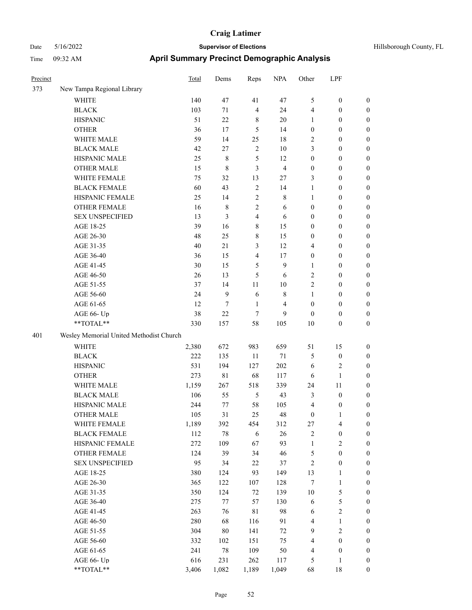# Date 5/16/2022 **Supervisor of Elections Supervisor of Elections** Hillsborough County, FL Time 09:32 AM **April Summary Precinct Demographic Analysis**

| Precinct |                                         | Total | Dems        | Reps           | <b>NPA</b>              | Other                   | LPF                     |                  |
|----------|-----------------------------------------|-------|-------------|----------------|-------------------------|-------------------------|-------------------------|------------------|
| 373      | New Tampa Regional Library              |       |             |                |                         |                         |                         |                  |
|          | <b>WHITE</b>                            | 140   | 47          | 41             | 47                      | 5                       | $\boldsymbol{0}$        | $\boldsymbol{0}$ |
|          | <b>BLACK</b>                            | 103   | 71          | $\overline{4}$ | 24                      | $\overline{4}$          | $\boldsymbol{0}$        | $\boldsymbol{0}$ |
|          | <b>HISPANIC</b>                         | 51    | 22          | 8              | 20                      | 1                       | $\boldsymbol{0}$        | $\boldsymbol{0}$ |
|          | <b>OTHER</b>                            | 36    | 17          | 5              | 14                      | $\boldsymbol{0}$        | $\boldsymbol{0}$        | $\boldsymbol{0}$ |
|          | WHITE MALE                              | 59    | 14          | 25             | 18                      | $\sqrt{2}$              | $\boldsymbol{0}$        | $\boldsymbol{0}$ |
|          | <b>BLACK MALE</b>                       | 42    | 27          | $\sqrt{2}$     | 10                      | 3                       | $\boldsymbol{0}$        | $\boldsymbol{0}$ |
|          | HISPANIC MALE                           | 25    | 8           | 5              | 12                      | $\boldsymbol{0}$        | $\boldsymbol{0}$        | $\boldsymbol{0}$ |
|          | <b>OTHER MALE</b>                       | 15    | 8           | 3              | $\overline{\mathbf{4}}$ | $\boldsymbol{0}$        | 0                       | $\boldsymbol{0}$ |
|          | WHITE FEMALE                            | 75    | 32          | 13             | 27                      | 3                       | 0                       | $\boldsymbol{0}$ |
|          | <b>BLACK FEMALE</b>                     | 60    | 43          | $\overline{2}$ | 14                      | 1                       | $\boldsymbol{0}$        | $\boldsymbol{0}$ |
|          | HISPANIC FEMALE                         | 25    | 14          | $\overline{2}$ | $\,$ 8 $\,$             | 1                       | 0                       | $\boldsymbol{0}$ |
|          | <b>OTHER FEMALE</b>                     | 16    | 8           | $\mathfrak{2}$ | 6                       | $\boldsymbol{0}$        | $\boldsymbol{0}$        | $\boldsymbol{0}$ |
|          | <b>SEX UNSPECIFIED</b>                  | 13    | 3           | 4              | 6                       | $\boldsymbol{0}$        | $\boldsymbol{0}$        | $\boldsymbol{0}$ |
|          | AGE 18-25                               | 39    | 16          | 8              | 15                      | $\boldsymbol{0}$        | $\boldsymbol{0}$        | $\boldsymbol{0}$ |
|          | AGE 26-30                               | 48    | 25          | 8              | 15                      | 0                       | $\boldsymbol{0}$        | $\boldsymbol{0}$ |
|          | AGE 31-35                               | 40    | 21          | 3              | 12                      | 4                       | $\boldsymbol{0}$        | $\boldsymbol{0}$ |
|          | AGE 36-40                               | 36    | 15          | 4              | 17                      | $\boldsymbol{0}$        | $\boldsymbol{0}$        | $\boldsymbol{0}$ |
|          | AGE 41-45                               | 30    | 15          | 5              | 9                       | $\mathbf{1}$            | 0                       | $\boldsymbol{0}$ |
|          | AGE 46-50                               | 26    | 13          | 5              | 6                       | $\overline{\mathbf{c}}$ | 0                       | $\boldsymbol{0}$ |
|          | AGE 51-55                               | 37    | 14          | 11             | 10                      | $\overline{2}$          | $\boldsymbol{0}$        | $\boldsymbol{0}$ |
|          | AGE 56-60                               | 24    | 9           | 6              | $\,$ 8 $\,$             | 1                       | 0                       | $\boldsymbol{0}$ |
|          | AGE 61-65                               | 12    | 7           | 1              | 4                       | $\boldsymbol{0}$        | $\boldsymbol{0}$        | $\boldsymbol{0}$ |
|          | AGE 66- Up                              | 38    | 22          | 7              | 9                       | $\theta$                | $\boldsymbol{0}$        | $\boldsymbol{0}$ |
|          | **TOTAL**                               | 330   | 157         | 58             | 105                     | 10                      | $\boldsymbol{0}$        | $\boldsymbol{0}$ |
| 401      | Wesley Memorial United Methodist Church |       |             |                |                         |                         |                         |                  |
|          | <b>WHITE</b>                            | 2,380 | 672         | 983            | 659                     | 51                      | 15                      | $\boldsymbol{0}$ |
|          | <b>BLACK</b>                            | 222   | 135         | 11             | $71\,$                  | 5                       | $\boldsymbol{0}$        | $\boldsymbol{0}$ |
|          | <b>HISPANIC</b>                         | 531   | 194         | 127            | 202                     | 6                       | $\overline{\mathbf{c}}$ | 0                |
|          | <b>OTHER</b>                            | 273   | $8\sqrt{1}$ | 68             | 117                     | 6                       | $\mathbf{1}$            | 0                |
|          | WHITE MALE                              | 1,159 | 267         | 518            | 339                     | 24                      | 11                      | $\boldsymbol{0}$ |
|          | <b>BLACK MALE</b>                       | 106   | 55          | 5              | 43                      | 3                       | $\boldsymbol{0}$        | $\boldsymbol{0}$ |
|          | HISPANIC MALE                           | 244   | 77          | 58             | 105                     | $\overline{4}$          | $\boldsymbol{0}$        | 0                |
|          | <b>OTHER MALE</b>                       | 105   | 31          | 25             | 48                      | $\theta$                | 1                       | 0                |
|          | WHITE FEMALE                            | 1,189 | 392         | 454            | 312                     | 27                      | $\overline{4}$          | $\boldsymbol{0}$ |
|          | <b>BLACK FEMALE</b>                     | 112   | $78\,$      | 6              | 26                      | $\sqrt{2}$              | $\boldsymbol{0}$        | $\boldsymbol{0}$ |
|          | HISPANIC FEMALE                         | 272   | 109         | 67             | 93                      | $\mathbf{1}$            | 2                       | $\boldsymbol{0}$ |
|          | OTHER FEMALE                            | 124   | 39          | 34             | 46                      | 5                       | $\boldsymbol{0}$        | 0                |
|          | <b>SEX UNSPECIFIED</b>                  | 95    | 34          | 22             | 37                      | $\sqrt{2}$              | $\boldsymbol{0}$        | $\theta$         |
|          | AGE 18-25                               | 380   | 124         | 93             | 149                     | 13                      | $\mathbf{1}$            | 0                |
|          | AGE 26-30                               | 365   | 122         | 107            | 128                     | $\tau$                  | $\mathbf{1}$            | $\boldsymbol{0}$ |
|          | AGE 31-35                               | 350   | 124         | 72             | 139                     | $10\,$                  | 5                       | $\boldsymbol{0}$ |
|          | AGE 36-40                               | 275   | 77          | 57             | 130                     | 6                       | 5                       | $\boldsymbol{0}$ |
|          | AGE 41-45                               | 263   | 76          | 81             | 98                      | 6                       | $\overline{c}$          | $\boldsymbol{0}$ |
|          | AGE 46-50                               | 280   | 68          | 116            | 91                      | $\overline{\mathbf{4}}$ | $\mathbf{1}$            | $\boldsymbol{0}$ |
|          | AGE 51-55                               | 304   | $80\,$      | 141            | 72                      | $\mathbf{9}$            | $\mathbf{2}$            | $\boldsymbol{0}$ |
|          | AGE 56-60                               | 332   | 102         | 151            | 75                      | $\overline{4}$          | $\boldsymbol{0}$        | $\boldsymbol{0}$ |
|          | AGE 61-65                               | 241   | $78\,$      | 109            | 50                      | $\overline{\mathbf{4}}$ | $\boldsymbol{0}$        | $\boldsymbol{0}$ |
|          | AGE 66- Up                              | 616   | 231         | 262            | 117                     | 5                       | 1                       | $\boldsymbol{0}$ |

\*\*TOTAL\*\* 3,406 1,082 1,189 1,049 68 18 0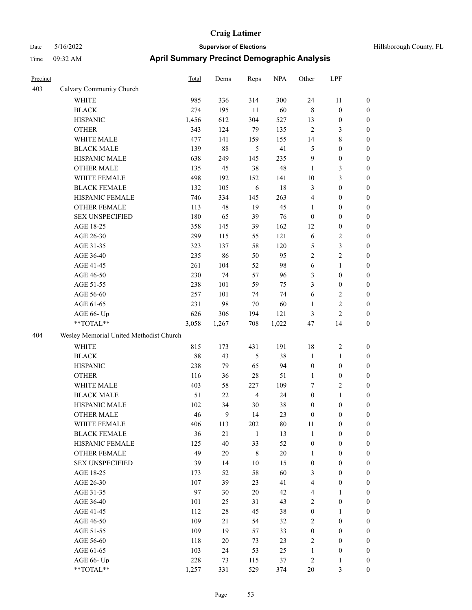## Date 5/16/2022 **Supervisor of Elections Supervisor of Elections** Hillsborough County, FL Time 09:32 AM **April Summary Precinct Demographic Analysis**

| Precinct |                                         | <b>Total</b> | Dems   | Reps           | <b>NPA</b> | Other            | LPF              |                  |
|----------|-----------------------------------------|--------------|--------|----------------|------------|------------------|------------------|------------------|
| 403      | Calvary Community Church                |              |        |                |            |                  |                  |                  |
|          | <b>WHITE</b>                            | 985          | 336    | 314            | 300        | 24               | 11               | $\boldsymbol{0}$ |
|          | <b>BLACK</b>                            | 274          | 195    | $11\,$         | 60         | $\,8\,$          | $\boldsymbol{0}$ | $\boldsymbol{0}$ |
|          | <b>HISPANIC</b>                         | 1,456        | 612    | 304            | 527        | 13               | $\boldsymbol{0}$ | $\boldsymbol{0}$ |
|          | <b>OTHER</b>                            | 343          | 124    | 79             | 135        | $\mathbf{2}$     | 3                | $\boldsymbol{0}$ |
|          | WHITE MALE                              | 477          | 141    | 159            | 155        | 14               | $\,$ 8 $\,$      | $\boldsymbol{0}$ |
|          | <b>BLACK MALE</b>                       | 139          | 88     | 5              | 41         | 5                | $\boldsymbol{0}$ | $\boldsymbol{0}$ |
|          | HISPANIC MALE                           | 638          | 249    | 145            | 235        | 9                | $\boldsymbol{0}$ | $\boldsymbol{0}$ |
|          | <b>OTHER MALE</b>                       | 135          | 45     | 38             | 48         | 1                | 3                | $\boldsymbol{0}$ |
|          | WHITE FEMALE                            | 498          | 192    | 152            | 141        | 10               | $\mathfrak{Z}$   | $\boldsymbol{0}$ |
|          | <b>BLACK FEMALE</b>                     | 132          | 105    | 6              | 18         | 3                | $\mathbf{0}$     | $\boldsymbol{0}$ |
|          | HISPANIC FEMALE                         | 746          | 334    | 145            | 263        | $\overline{4}$   | $\boldsymbol{0}$ | $\boldsymbol{0}$ |
|          | OTHER FEMALE                            | 113          | 48     | 19             | 45         | 1                | $\mathbf{0}$     | $\boldsymbol{0}$ |
|          | <b>SEX UNSPECIFIED</b>                  | 180          | 65     | 39             | 76         | $\boldsymbol{0}$ | $\boldsymbol{0}$ | $\boldsymbol{0}$ |
|          | AGE 18-25                               | 358          | 145    | 39             | 162        | 12               | $\boldsymbol{0}$ | $\boldsymbol{0}$ |
|          | AGE 26-30                               | 299          | 115    | 55             | 121        | 6                | $\overline{c}$   | $\boldsymbol{0}$ |
|          | AGE 31-35                               | 323          | 137    | 58             | 120        | 5                | 3                | $\boldsymbol{0}$ |
|          | AGE 36-40                               | 235          | 86     | 50             | 95         | $\overline{2}$   | $\overline{2}$   | $\boldsymbol{0}$ |
|          | AGE 41-45                               | 261          | 104    | 52             | 98         | 6                | $\mathbf{1}$     | $\boldsymbol{0}$ |
|          | AGE 46-50                               | 230          | 74     | 57             | 96         | 3                | $\mathbf{0}$     | $\mathbf{0}$     |
|          | AGE 51-55                               | 238          | 101    | 59             | 75         | 3                | $\mathbf{0}$     | $\boldsymbol{0}$ |
|          | AGE 56-60                               | 257          | 101    | 74             | 74         | 6                | $\overline{2}$   | $\boldsymbol{0}$ |
|          | AGE 61-65                               | 231          | 98     | 70             | 60         | 1                | $\mathfrak{2}$   | $\boldsymbol{0}$ |
|          | AGE 66- Up                              | 626          | 306    | 194            | 121        | 3                | $\overline{c}$   | $\boldsymbol{0}$ |
|          | **TOTAL**                               | 3,058        | 1,267  | 708            | 1,022      | 47               | 14               | $\boldsymbol{0}$ |
| 404      | Wesley Memorial United Methodist Church |              |        |                |            |                  |                  |                  |
|          | <b>WHITE</b>                            | 815          | 173    | 431            | 191        | 18               | $\overline{2}$   | $\boldsymbol{0}$ |
|          | <b>BLACK</b>                            | 88           | 43     | $\mathfrak s$  | 38         | $\mathbf{1}$     | 1                | $\boldsymbol{0}$ |
|          | <b>HISPANIC</b>                         | 238          | 79     | 65             | 94         | $\boldsymbol{0}$ | $\mathbf{0}$     | $\boldsymbol{0}$ |
|          | <b>OTHER</b>                            | 116          | 36     | 28             | 51         | $\mathbf{1}$     | $\mathbf{0}$     | $\boldsymbol{0}$ |
|          | WHITE MALE                              | 403          | 58     | 227            | 109        | 7                | $\overline{2}$   | $\boldsymbol{0}$ |
|          | <b>BLACK MALE</b>                       | 51           | 22     | $\overline{4}$ | 24         | $\overline{0}$   | 1                | $\mathbf{0}$     |
|          | HISPANIC MALE                           | 102          | 34     | 30             | 38         | $\overline{0}$   | $\mathbf{0}$     | $\boldsymbol{0}$ |
|          | <b>OTHER MALE</b>                       | 46           | 9      | 14             | 23         | $\boldsymbol{0}$ | $\boldsymbol{0}$ | $\boldsymbol{0}$ |
|          | WHITE FEMALE                            | 406          | 113    | 202            | 80         | 11               | $\mathbf{0}$     | $\overline{0}$   |
|          | <b>BLACK FEMALE</b>                     | 36           | 21     | $\mathbf{1}$   | 13         | $\mathbf{1}$     | $\boldsymbol{0}$ | $\boldsymbol{0}$ |
|          | HISPANIC FEMALE                         | 125          | 40     | 33             | 52         | $\boldsymbol{0}$ | $\mathbf{0}$     | $\mathbf{0}$     |
|          | <b>OTHER FEMALE</b>                     | 49           | $20\,$ | $\,8\,$        | $20\,$     | $\mathbf{1}$     | $\mathbf{0}$     | $\mathbf{0}$     |
|          | <b>SEX UNSPECIFIED</b>                  | 39           | 14     | 10             | 15         | $\mathbf{0}$     | $\mathbf{0}$     | $\mathbf{0}$     |
|          | AGE 18-25                               | 173          | 52     | 58             | 60         | 3                | $\mathbf{0}$     | $\overline{0}$   |
|          | AGE 26-30                               | 107          | 39     | 23             | 41         | $\overline{4}$   | $\boldsymbol{0}$ | $\boldsymbol{0}$ |
|          | AGE 31-35                               | 97           | 30     | 20             | 42         | $\overline{4}$   | $\mathbf{1}$     | $\mathbf{0}$     |
|          | AGE 36-40                               | 101          | 25     | 31             | 43         | $\overline{2}$   | $\mathbf{0}$     | 0                |
|          | AGE 41-45                               | 112          | 28     | 45             | 38         | $\mathbf{0}$     | $\mathbf{1}$     | 0                |
|          | AGE 46-50                               | 109          | 21     | 54             | 32         | 2                | $\boldsymbol{0}$ | $\mathbf{0}$     |
|          | AGE 51-55                               | 109          | 19     | 57             | 33         | $\boldsymbol{0}$ | $\boldsymbol{0}$ | 0                |
|          |                                         |              |        |                |            |                  |                  |                  |

AGE 56-60 118 20 73 23 2 0 0 AGE 61-65 103 24 53 25 1 0 0 AGE 66- Up 228 73 115 37 2 1 0 \*\*TOTAL\*\* 1,257 331 529 374 20 3 0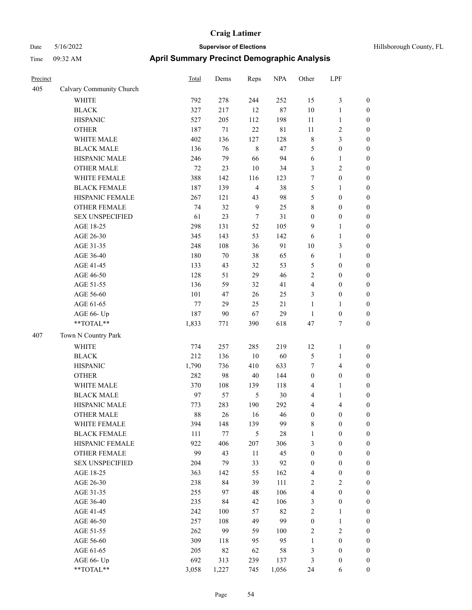| Hillsborough County, FL |  |  |  |  |  |
|-------------------------|--|--|--|--|--|
|-------------------------|--|--|--|--|--|

| Precinct |                          | <b>Total</b> | Dems   | Reps           | <b>NPA</b> | Other            | LPF                     |                  |
|----------|--------------------------|--------------|--------|----------------|------------|------------------|-------------------------|------------------|
| 405      | Calvary Community Church |              |        |                |            |                  |                         |                  |
|          | WHITE                    | 792          | 278    | 244            | 252        | 15               | $\mathfrak{Z}$          | $\boldsymbol{0}$ |
|          | <b>BLACK</b>             | 327          | 217    | 12             | 87         | 10               | $\mathbf{1}$            | $\boldsymbol{0}$ |
|          | <b>HISPANIC</b>          | 527          | 205    | 112            | 198        | $11\,$           | $\mathbf{1}$            | 0                |
|          | <b>OTHER</b>             | 187          | $71\,$ | 22             | 81         | $11\,$           | $\sqrt{2}$              | 0                |
|          | WHITE MALE               | 402          | 136    | 127            | 128        | $\,$ 8 $\,$      | $\mathfrak{Z}$          | $\boldsymbol{0}$ |
|          | <b>BLACK MALE</b>        | 136          | 76     | $\,$ 8 $\,$    | 47         | 5                | $\boldsymbol{0}$        | $\boldsymbol{0}$ |
|          | HISPANIC MALE            | 246          | 79     | 66             | 94         | 6                | $\mathbf{1}$            | $\boldsymbol{0}$ |
|          | <b>OTHER MALE</b>        | 72           | 23     | 10             | 34         | 3                | $\sqrt{2}$              | $\boldsymbol{0}$ |
|          | WHITE FEMALE             | 388          | 142    | 116            | 123        | 7                | $\boldsymbol{0}$        | $\boldsymbol{0}$ |
|          | <b>BLACK FEMALE</b>      | 187          | 139    | $\overline{4}$ | 38         | 5                | $\mathbf{1}$            | $\boldsymbol{0}$ |
|          | HISPANIC FEMALE          | 267          | 121    | 43             | 98         | 5                | $\boldsymbol{0}$        | $\boldsymbol{0}$ |
|          | OTHER FEMALE             | 74           | 32     | $\overline{9}$ | 25         | 8                | $\boldsymbol{0}$        | $\boldsymbol{0}$ |
|          | <b>SEX UNSPECIFIED</b>   | 61           | 23     | $\tau$         | 31         | $\boldsymbol{0}$ | $\boldsymbol{0}$        | 0                |
|          | AGE 18-25                | 298          | 131    | 52             | 105        | 9                | $\mathbf{1}$            | 0                |
|          | AGE 26-30                | 345          | 143    | 53             | 142        | 6                | $\mathbf{1}$            | $\boldsymbol{0}$ |
|          | AGE 31-35                | 248          | 108    | 36             | 91         | 10               | 3                       | $\boldsymbol{0}$ |
|          | AGE 36-40                | 180          | $70\,$ | 38             | 65         | 6                | $\mathbf{1}$            | $\boldsymbol{0}$ |
|          | AGE 41-45                | 133          | 43     | 32             | 53         | 5                | $\boldsymbol{0}$        | $\boldsymbol{0}$ |
|          | AGE 46-50                | 128          | 51     | 29             | 46         | $\sqrt{2}$       | $\boldsymbol{0}$        | $\boldsymbol{0}$ |
|          | AGE 51-55                | 136          | 59     | 32             | 41         | 4                | $\boldsymbol{0}$        | $\boldsymbol{0}$ |
|          | AGE 56-60                | 101          | 47     | 26             | 25         | 3                | $\boldsymbol{0}$        | $\boldsymbol{0}$ |
|          | AGE 61-65                | 77           | 29     | 25             | 21         | $\mathbf{1}$     | $\mathbf{1}$            | 0                |
|          | AGE 66- Up               | 187          | 90     | 67             | 29         | $\mathbf{1}$     | $\boldsymbol{0}$        | 0                |
|          | **TOTAL**                | 1,833        | 771    | 390            | 618        | 47               | $\tau$                  | $\boldsymbol{0}$ |
| 407      | Town N Country Park      |              |        |                |            |                  |                         |                  |
|          | <b>WHITE</b>             | 774          | 257    | 285            | 219        | 12               | $\mathbf{1}$            | 0                |
|          | <b>BLACK</b>             | 212          | 136    | $10\,$         | 60         | 5                | $\mathbf{1}$            | $\boldsymbol{0}$ |
|          | <b>HISPANIC</b>          | 1,790        | 736    | 410            | 633        | $\tau$           | $\overline{4}$          | 0                |
|          | <b>OTHER</b>             | 282          | 98     | 40             | 144        | $\boldsymbol{0}$ | $\boldsymbol{0}$        | $\boldsymbol{0}$ |
|          | WHITE MALE               | 370          | 108    | 139            | 118        | 4                | $\mathbf{1}$            | $\boldsymbol{0}$ |
|          | <b>BLACK MALE</b>        | 97           | 57     | 5              | 30         | 4                | $\mathbf{1}$            | $\boldsymbol{0}$ |
|          | HISPANIC MALE            | 773          | 283    | 190            | 292        | 4                | $\overline{\mathbf{4}}$ | $\boldsymbol{0}$ |
|          | <b>OTHER MALE</b>        | 88           | 26     | 16             | 46         | $\boldsymbol{0}$ | $\boldsymbol{0}$        | $\boldsymbol{0}$ |
|          | WHITE FEMALE             | 394          | 148    | 139            | 99         | 8                | $\boldsymbol{0}$        | 0                |
|          | <b>BLACK FEMALE</b>      | 111          | 77     | 5              | 28         | $\mathbf{1}$     | $\boldsymbol{0}$        | 0                |
|          | HISPANIC FEMALE          | 922          | 406    | 207            | 306        | 3                | $\boldsymbol{0}$        | 0                |
|          | OTHER FEMALE             | 99           | 43     | $11\,$         | 45         | $\boldsymbol{0}$ | $\boldsymbol{0}$        | $\boldsymbol{0}$ |
|          | <b>SEX UNSPECIFIED</b>   | 204          | 79     | 33             | 92         | $\boldsymbol{0}$ | $\boldsymbol{0}$        | $\boldsymbol{0}$ |
|          | AGE 18-25                | 363          | 142    | 55             | 162        | 4                | $\boldsymbol{0}$        | $\boldsymbol{0}$ |
|          | AGE 26-30                | 238          | 84     | 39             | 111        | 2                | $\mathbf{2}$            | $\overline{0}$   |
|          | AGE 31-35                | 255          | 97     | 48             | 106        | $\overline{4}$   | $\boldsymbol{0}$        | $\overline{0}$   |
|          | AGE 36-40                | 235          | 84     | 42             | 106        | 3                | $\boldsymbol{0}$        | $\overline{0}$   |
|          | AGE 41-45                | 242          | 100    | 57             | 82         | $\overline{c}$   | $\mathbf{1}$            | $\boldsymbol{0}$ |
|          | AGE 46-50                | 257          | 108    | 49             | 99         | $\boldsymbol{0}$ | $\mathbf{1}$            | $\boldsymbol{0}$ |
|          | AGE 51-55                | 262          | 99     | 59             | 100        | $\sqrt{2}$       | $\sqrt{2}$              | 0                |
|          | AGE 56-60                | 309          | 118    | 95             | 95         | $\mathbf{1}$     | $\boldsymbol{0}$        | 0                |
|          | AGE 61-65                | 205          | 82     | 62             | 58         | 3                | $\boldsymbol{0}$        | $\boldsymbol{0}$ |
|          | AGE 66- Up               | 692          | 313    | 239            | 137        | 3                | $\boldsymbol{0}$        | $\boldsymbol{0}$ |
|          | **TOTAL**                | 3,058        | 1,227  | 745            | 1,056      | 24               | 6                       | $\boldsymbol{0}$ |
|          |                          |              |        |                |            |                  |                         |                  |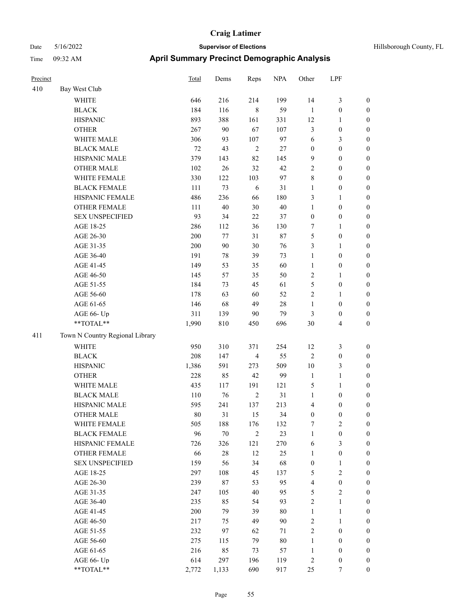|        | Hillsborough Co |
|--------|-----------------|
| $\sim$ |                 |

| Precinct |                                 | Total  | Dems   | Reps           | <b>NPA</b> | Other            | LPF                     |                  |
|----------|---------------------------------|--------|--------|----------------|------------|------------------|-------------------------|------------------|
| 410      | Bay West Club                   |        |        |                |            |                  |                         |                  |
|          | <b>WHITE</b>                    | 646    | 216    | 214            | 199        | 14               | $\mathfrak{Z}$          | $\boldsymbol{0}$ |
|          | <b>BLACK</b>                    | 184    | 116    | $\,8\,$        | 59         | $\mathbf{1}$     | $\boldsymbol{0}$        | $\boldsymbol{0}$ |
|          | <b>HISPANIC</b>                 | 893    | 388    | 161            | 331        | 12               | $\mathbf{1}$            | $\boldsymbol{0}$ |
|          | <b>OTHER</b>                    | 267    | 90     | 67             | 107        | 3                | $\boldsymbol{0}$        | $\boldsymbol{0}$ |
|          | WHITE MALE                      | 306    | 93     | 107            | 97         | 6                | $\mathfrak{Z}$          | $\boldsymbol{0}$ |
|          | <b>BLACK MALE</b>               | $72\,$ | 43     | $\overline{2}$ | 27         | $\boldsymbol{0}$ | $\boldsymbol{0}$        | $\boldsymbol{0}$ |
|          | HISPANIC MALE                   | 379    | 143    | 82             | 145        | 9                | $\boldsymbol{0}$        | $\boldsymbol{0}$ |
|          | <b>OTHER MALE</b>               | 102    | 26     | 32             | 42         | $\mathbf{2}$     | $\boldsymbol{0}$        | $\boldsymbol{0}$ |
|          | WHITE FEMALE                    | 330    | 122    | 103            | 97         | 8                | $\boldsymbol{0}$        | $\boldsymbol{0}$ |
|          | <b>BLACK FEMALE</b>             | 111    | 73     | 6              | 31         | $\mathbf{1}$     | $\boldsymbol{0}$        | $\boldsymbol{0}$ |
|          | HISPANIC FEMALE                 | 486    | 236    | 66             | 180        | 3                | $\mathbf{1}$            | $\boldsymbol{0}$ |
|          | OTHER FEMALE                    | 111    | 40     | 30             | $40\,$     | 1                | $\boldsymbol{0}$        | $\boldsymbol{0}$ |
|          | <b>SEX UNSPECIFIED</b>          | 93     | 34     | 22             | 37         | $\boldsymbol{0}$ | $\boldsymbol{0}$        | $\boldsymbol{0}$ |
|          | AGE 18-25                       | 286    | 112    | 36             | 130        | 7                | $\mathbf{1}$            | $\boldsymbol{0}$ |
|          | AGE 26-30                       | 200    | 77     | 31             | 87         | 5                | $\boldsymbol{0}$        | 0                |
|          | AGE 31-35                       | 200    | 90     | 30             | 76         | 3                | $\mathbf{1}$            | 0                |
|          | AGE 36-40                       | 191    | 78     | 39             | 73         | $\mathbf{1}$     | $\boldsymbol{0}$        | 0                |
|          | AGE 41-45                       | 149    | 53     | 35             | 60         | $\mathbf{1}$     | $\boldsymbol{0}$        | $\boldsymbol{0}$ |
|          | AGE 46-50                       | 145    | 57     | 35             | 50         | $\overline{c}$   | 1                       | $\boldsymbol{0}$ |
|          | AGE 51-55                       | 184    | 73     | 45             | 61         | 5                | $\boldsymbol{0}$        | $\boldsymbol{0}$ |
|          | AGE 56-60                       | 178    | 63     | 60             | 52         | $\mathfrak{2}$   | $\mathbf{1}$            | $\boldsymbol{0}$ |
|          | AGE 61-65                       | 146    | 68     | 49             | 28         | $\mathbf{1}$     | $\boldsymbol{0}$        | $\boldsymbol{0}$ |
|          | AGE 66- Up                      | 311    | 139    | $90\,$         | 79         | 3                | $\boldsymbol{0}$        | $\boldsymbol{0}$ |
|          | **TOTAL**                       | 1,990  | 810    | 450            | 696        | 30               | $\overline{\mathbf{4}}$ | $\boldsymbol{0}$ |
| 411      | Town N Country Regional Library |        |        |                |            |                  |                         |                  |
|          | <b>WHITE</b>                    | 950    | 310    | 371            | 254        | 12               | $\mathfrak{Z}$          | $\boldsymbol{0}$ |
|          | <b>BLACK</b>                    | 208    | 147    | $\overline{4}$ | 55         | $\sqrt{2}$       | $\boldsymbol{0}$        | $\boldsymbol{0}$ |
|          | <b>HISPANIC</b>                 | 1,386  | 591    | 273            | 509        | 10               | $\mathfrak{Z}$          | 0                |
|          | <b>OTHER</b>                    | 228    | 85     | 42             | 99         | $\mathbf{1}$     | $\mathbf{1}$            | 0                |
|          | WHITE MALE                      | 435    | 117    | 191            | 121        | 5                | $\mathbf{1}$            | $\boldsymbol{0}$ |
|          | <b>BLACK MALE</b>               | 110    | 76     | $\sqrt{2}$     | 31         | $\mathbf{1}$     | $\boldsymbol{0}$        | $\boldsymbol{0}$ |
|          | HISPANIC MALE                   | 595    | 241    | 137            | 213        | 4                | $\boldsymbol{0}$        | $\boldsymbol{0}$ |
|          | <b>OTHER MALE</b>               | 80     | 31     | 15             | 34         | $\boldsymbol{0}$ | $\boldsymbol{0}$        | $\boldsymbol{0}$ |
|          | WHITE FEMALE                    | 505    | 188    | 176            | 132        | 7                | $\sqrt{2}$              | $\overline{0}$   |
|          | <b>BLACK FEMALE</b>             | 96     | $70\,$ | $\sqrt{2}$     | 23         | $\mathbf{1}$     | $\boldsymbol{0}$        | 0                |
|          | HISPANIC FEMALE                 | 726    | 326    | 121            | 270        | 6                | $\mathfrak{Z}$          | 0                |
|          | <b>OTHER FEMALE</b>             | 66     | $28\,$ | 12             | 25         | $\mathbf{1}$     | $\boldsymbol{0}$        | 0                |
|          | <b>SEX UNSPECIFIED</b>          | 159    | 56     | 34             | 68         | $\boldsymbol{0}$ | $\mathbf{1}$            | 0                |
|          | AGE 18-25                       | 297    | 108    | 45             | 137        | 5                | $\sqrt{2}$              | 0                |
|          | AGE 26-30                       | 239    | 87     | 53             | 95         | $\overline{4}$   | $\boldsymbol{0}$        | $\overline{0}$   |
|          | AGE 31-35                       | 247    | 105    | 40             | 95         | 5                | $\sqrt{2}$              | $\overline{0}$   |
|          | AGE 36-40                       | 235    | 85     | 54             | 93         | $\overline{c}$   | $\mathbf{1}$            | $\overline{0}$   |
|          | AGE 41-45                       | 200    | 79     | 39             | $80\,$     | $\mathbf{1}$     | $\mathbf{1}$            | 0                |
|          | AGE 46-50                       | 217    | 75     | 49             | $90\,$     | 2                | $\mathbf{1}$            | $\overline{0}$   |
|          | AGE 51-55                       | 232    | 97     | 62             | 71         | $\mathbf{2}$     | $\boldsymbol{0}$        | $\overline{0}$   |
|          | AGE 56-60                       | 275    | 115    | 79             | $80\,$     | $\mathbf{1}$     | $\boldsymbol{0}$        | $\overline{0}$   |
|          | AGE 61-65                       | 216    | 85     | 73             | 57         | $\mathbf{1}$     | $\boldsymbol{0}$        | 0                |
|          | AGE 66- Up                      | 614    | 297    | 196            | 119        | $\sqrt{2}$       | $\boldsymbol{0}$        | 0                |
|          | **TOTAL**                       | 2,772  | 1,133  | 690            | 917        | 25               | $\boldsymbol{7}$        | $\boldsymbol{0}$ |
|          |                                 |        |        |                |            |                  |                         |                  |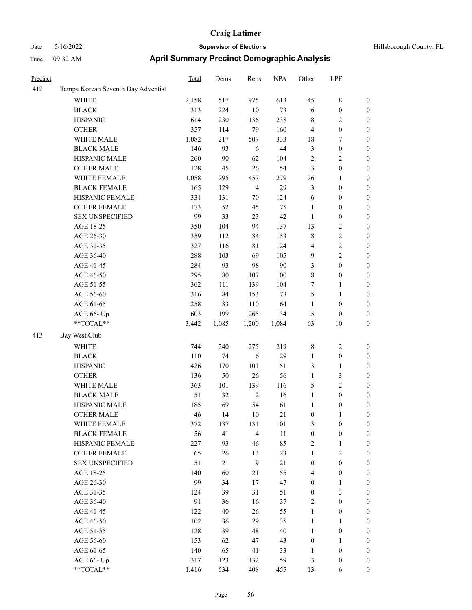| Precinct |                                    | <b>Total</b> | Dems   | Reps           | <b>NPA</b> | Other            | LPF                     |                  |
|----------|------------------------------------|--------------|--------|----------------|------------|------------------|-------------------------|------------------|
| 412      | Tampa Korean Seventh Day Adventist |              |        |                |            |                  |                         |                  |
|          | WHITE                              | 2,158        | 517    | 975            | 613        | 45               | 8                       | $\boldsymbol{0}$ |
|          | <b>BLACK</b>                       | 313          | 224    | $10\,$         | 73         | 6                | $\boldsymbol{0}$        | $\boldsymbol{0}$ |
|          | <b>HISPANIC</b>                    | 614          | 230    | 136            | 238        | $\,$ 8 $\,$      | 2                       | $\boldsymbol{0}$ |
|          | <b>OTHER</b>                       | 357          | 114    | 79             | 160        | $\overline{4}$   | $\boldsymbol{0}$        | $\boldsymbol{0}$ |
|          | WHITE MALE                         | 1,082        | 217    | 507            | 333        | 18               | 7                       | $\boldsymbol{0}$ |
|          | <b>BLACK MALE</b>                  | 146          | 93     | 6              | 44         | $\mathfrak{Z}$   | $\boldsymbol{0}$        | $\boldsymbol{0}$ |
|          | HISPANIC MALE                      | 260          | $90\,$ | 62             | 104        | $\overline{2}$   | 2                       | $\boldsymbol{0}$ |
|          | <b>OTHER MALE</b>                  | 128          | 45     | 26             | 54         | 3                | $\boldsymbol{0}$        | $\boldsymbol{0}$ |
|          | WHITE FEMALE                       | 1,058        | 295    | 457            | 279        | 26               | 1                       | $\boldsymbol{0}$ |
|          | <b>BLACK FEMALE</b>                | 165          | 129    | $\overline{4}$ | 29         | $\mathfrak{Z}$   | $\boldsymbol{0}$        | $\boldsymbol{0}$ |
|          | HISPANIC FEMALE                    | 331          | 131    | 70             | 124        | 6                | $\boldsymbol{0}$        | $\boldsymbol{0}$ |
|          | <b>OTHER FEMALE</b>                | 173          | 52     | 45             | 75         | $\mathbf{1}$     | $\boldsymbol{0}$        | $\boldsymbol{0}$ |
|          | <b>SEX UNSPECIFIED</b>             | 99           | 33     | 23             | 42         | $\mathbf{1}$     | $\boldsymbol{0}$        | $\boldsymbol{0}$ |
|          | AGE 18-25                          | 350          | 104    | 94             | 137        | 13               | 2                       | $\boldsymbol{0}$ |
|          | AGE 26-30                          | 359          | 112    | 84             | 153        | $\,$ 8 $\,$      | $\overline{c}$          | $\boldsymbol{0}$ |
|          | AGE 31-35                          | 327          | 116    | 81             | 124        | $\overline{4}$   | 2                       | $\boldsymbol{0}$ |
|          | AGE 36-40                          | 288          | 103    | 69             | 105        | 9                | 2                       | $\boldsymbol{0}$ |
|          | AGE 41-45                          | 284          | 93     | 98             | 90         | 3                | $\boldsymbol{0}$        | $\boldsymbol{0}$ |
|          | AGE 46-50                          | 295          | $80\,$ | 107            | 100        | 8                | $\boldsymbol{0}$        | $\boldsymbol{0}$ |
|          | AGE 51-55                          | 362          | 111    | 139            | 104        | 7                | 1                       | $\boldsymbol{0}$ |
|          | AGE 56-60                          | 316          | 84     | 153            | 73         | $\mathfrak{S}$   | 1                       | $\boldsymbol{0}$ |
|          | AGE 61-65                          | 258          | 83     | 110            | 64         | $\mathbf{1}$     | $\boldsymbol{0}$        | $\boldsymbol{0}$ |
|          | AGE 66- Up                         | 603          | 199    | 265            | 134        | 5                | $\boldsymbol{0}$        | $\boldsymbol{0}$ |
|          | **TOTAL**                          | 3,442        | 1,085  | 1,200          | 1,084      | 63               | 10                      | $\boldsymbol{0}$ |
| 413      | Bay West Club                      |              |        |                |            |                  |                         |                  |
|          | <b>WHITE</b>                       | 744          | 240    | 275            | 219        | $\,$ 8 $\,$      | 2                       | $\boldsymbol{0}$ |
|          | <b>BLACK</b>                       | 110          | 74     | 6              | 29         | 1                | $\boldsymbol{0}$        | $\boldsymbol{0}$ |
|          | <b>HISPANIC</b>                    | 426          | 170    | 101            | 151        | $\mathfrak{Z}$   | 1                       | $\boldsymbol{0}$ |
|          | <b>OTHER</b>                       | 136          | 50     | 26             | 56         | $\mathbf{1}$     | 3                       | $\boldsymbol{0}$ |
|          | WHITE MALE                         | 363          | 101    | 139            | 116        | 5                | $\overline{\mathbf{c}}$ | $\boldsymbol{0}$ |
|          | <b>BLACK MALE</b>                  | 51           | 32     | $\overline{2}$ | 16         | $\mathbf{1}$     | $\boldsymbol{0}$        | $\boldsymbol{0}$ |
|          | HISPANIC MALE                      | 185          | 69     | 54             | 61         | 1                | $\boldsymbol{0}$        | $\boldsymbol{0}$ |
|          | <b>OTHER MALE</b>                  | 46           | 14     | 10             | 21         | $\boldsymbol{0}$ | 1                       | $\boldsymbol{0}$ |
|          | WHITE FEMALE                       | 372          | 137    | 131            | 101        | 3                | $\boldsymbol{0}$        | $\boldsymbol{0}$ |
|          | <b>BLACK FEMALE</b>                | 56           | 41     | $\overline{4}$ | 11         | $\boldsymbol{0}$ | $\boldsymbol{0}$        | $\boldsymbol{0}$ |
|          | HISPANIC FEMALE                    | 227          | 93     | 46             | 85         | $\sqrt{2}$       | $\mathbf{1}$            | $\boldsymbol{0}$ |
|          | OTHER FEMALE                       | 65           | 26     | 13             | 23         | $\mathbf{1}$     | $\mathbf{2}$            | $\boldsymbol{0}$ |
|          | <b>SEX UNSPECIFIED</b>             | 51           | 21     | 9              | 21         | $\boldsymbol{0}$ | $\boldsymbol{0}$        | $\boldsymbol{0}$ |
|          | AGE 18-25                          | 140          | 60     | 21             | 55         | $\overline{4}$   | $\boldsymbol{0}$        | $\boldsymbol{0}$ |
|          | AGE 26-30                          | 99           | 34     | 17             | 47         | $\boldsymbol{0}$ | $\mathbf{1}$            | $\boldsymbol{0}$ |
|          | AGE 31-35                          | 124          | 39     | 31             | 51         | $\boldsymbol{0}$ | 3                       | $\boldsymbol{0}$ |
|          | AGE 36-40                          | 91           | 36     | 16             | 37         | $\sqrt{2}$       | $\boldsymbol{0}$        | $\boldsymbol{0}$ |
|          | AGE 41-45                          | 122          | 40     | 26             | 55         | $\mathbf{1}$     | $\boldsymbol{0}$        | $\boldsymbol{0}$ |
|          | AGE 46-50                          | 102          | 36     | 29             | 35         | $\mathbf{1}$     | 1                       | $\boldsymbol{0}$ |
|          | AGE 51-55                          | 128          | 39     | 48             | $40\,$     | $\mathbf{1}$     | $\boldsymbol{0}$        | $\boldsymbol{0}$ |
|          | AGE 56-60                          | 153          | 62     | $47\,$         | 43         | $\boldsymbol{0}$ | $\mathbf{1}$            | $\boldsymbol{0}$ |
|          | AGE 61-65                          | 140          | 65     | 41             | 33         | $\mathbf{1}$     | $\boldsymbol{0}$        | $\boldsymbol{0}$ |
|          | AGE 66- Up                         | 317          | 123    | 132            | 59         | $\mathfrak{Z}$   | $\boldsymbol{0}$        | $\bf{0}$         |
|          | $**TOTAL**$                        | 1,416        | 534    | 408            | 455        | 13               | 6                       | $\boldsymbol{0}$ |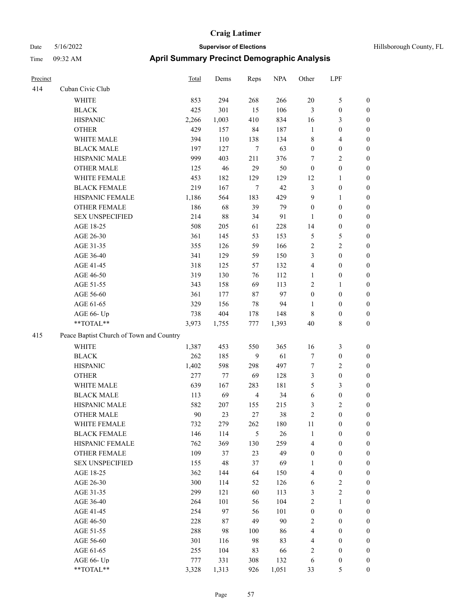| Precinct |                                          | <b>Total</b> | Dems        | Reps           | <b>NPA</b> | Other            | LPF                     |                  |
|----------|------------------------------------------|--------------|-------------|----------------|------------|------------------|-------------------------|------------------|
| 414      | Cuban Civic Club                         |              |             |                |            |                  |                         |                  |
|          | <b>WHITE</b>                             | 853          | 294         | 268            | 266        | 20               | 5                       | $\boldsymbol{0}$ |
|          | <b>BLACK</b>                             | 425          | 301         | 15             | 106        | $\mathfrak{Z}$   | $\boldsymbol{0}$        | $\boldsymbol{0}$ |
|          | <b>HISPANIC</b>                          | 2,266        | 1,003       | 410            | 834        | 16               | 3                       | $\boldsymbol{0}$ |
|          | <b>OTHER</b>                             | 429          | 157         | 84             | 187        | $\mathbf{1}$     | $\boldsymbol{0}$        | $\boldsymbol{0}$ |
|          | WHITE MALE                               | 394          | 110         | 138            | 134        | $\,$ 8 $\,$      | 4                       | $\boldsymbol{0}$ |
|          | <b>BLACK MALE</b>                        | 197          | 127         | $\tau$         | 63         | $\boldsymbol{0}$ | $\boldsymbol{0}$        | $\boldsymbol{0}$ |
|          | HISPANIC MALE                            | 999          | 403         | 211            | 376        | 7                | 2                       | $\boldsymbol{0}$ |
|          | <b>OTHER MALE</b>                        | 125          | 46          | 29             | 50         | $\boldsymbol{0}$ | $\boldsymbol{0}$        | $\boldsymbol{0}$ |
|          | WHITE FEMALE                             | 453          | 182         | 129            | 129        | 12               | 1                       | $\boldsymbol{0}$ |
|          | <b>BLACK FEMALE</b>                      | 219          | 167         | $\tau$         | 42         | 3                | $\boldsymbol{0}$        | $\boldsymbol{0}$ |
|          | HISPANIC FEMALE                          | 1,186        | 564         | 183            | 429        | 9                | 1                       | $\boldsymbol{0}$ |
|          | <b>OTHER FEMALE</b>                      | 186          | 68          | 39             | 79         | $\boldsymbol{0}$ | $\boldsymbol{0}$        | $\boldsymbol{0}$ |
|          | <b>SEX UNSPECIFIED</b>                   | 214          | $88\,$      | 34             | 91         | 1                | $\boldsymbol{0}$        | $\boldsymbol{0}$ |
|          | AGE 18-25                                | 508          | 205         | 61             | 228        | 14               | $\boldsymbol{0}$        | $\boldsymbol{0}$ |
|          | AGE 26-30                                | 361          | 145         | 53             | 153        | $\mathfrak{S}$   | 5                       | $\boldsymbol{0}$ |
|          | AGE 31-35                                | 355          | 126         | 59             | 166        | $\sqrt{2}$       | $\overline{\mathbf{c}}$ | $\boldsymbol{0}$ |
|          | AGE 36-40                                | 341          | 129         | 59             | 150        | 3                | $\boldsymbol{0}$        | $\boldsymbol{0}$ |
|          | AGE 41-45                                | 318          | 125         | 57             | 132        | $\overline{4}$   | $\boldsymbol{0}$        | $\boldsymbol{0}$ |
|          | AGE 46-50                                | 319          | 130         | 76             | 112        | 1                | $\boldsymbol{0}$        | $\boldsymbol{0}$ |
|          | AGE 51-55                                | 343          | 158         | 69             | 113        | $\sqrt{2}$       | 1                       | $\boldsymbol{0}$ |
|          | AGE 56-60                                | 361          | 177         | 87             | 97         | $\boldsymbol{0}$ | $\boldsymbol{0}$        | $\boldsymbol{0}$ |
|          | AGE 61-65                                | 329          | 156         | $78\,$         | 94         | $\mathbf{1}$     | $\boldsymbol{0}$        | $\boldsymbol{0}$ |
|          | AGE 66- Up                               | 738          | 404         | 178            | 148        | $\,8\,$          | $\boldsymbol{0}$        | $\boldsymbol{0}$ |
|          | **TOTAL**                                | 3,973        | 1,755       | 777            | 1,393      | 40               | 8                       | $\boldsymbol{0}$ |
| 415      | Peace Baptist Church of Town and Country |              |             |                |            |                  |                         |                  |
|          | <b>WHITE</b>                             | 1,387        | 453         | 550            | 365        | 16               | 3                       | $\boldsymbol{0}$ |
|          | <b>BLACK</b>                             | 262          | 185         | 9              | 61         | $\boldsymbol{7}$ | $\boldsymbol{0}$        | $\boldsymbol{0}$ |
|          | <b>HISPANIC</b>                          | 1,402        | 598         | 298            | 497        | $\tau$           | 2                       | $\boldsymbol{0}$ |
|          | <b>OTHER</b>                             | 277          | 77          | 69             | 128        | 3                | $\boldsymbol{0}$        | $\boldsymbol{0}$ |
|          | WHITE MALE                               | 639          | 167         | 283            | 181        | 5                | 3                       | $\boldsymbol{0}$ |
|          | <b>BLACK MALE</b>                        | 113          | 69          | $\overline{4}$ | 34         | 6                | $\boldsymbol{0}$        | $\boldsymbol{0}$ |
|          | HISPANIC MALE                            | 582          | 207         | 155            | 215        | $\mathfrak{Z}$   | $\overline{\mathbf{c}}$ | $\boldsymbol{0}$ |
|          | <b>OTHER MALE</b>                        | 90           | 23          | 27             | 38         | 2                | 0                       | $\boldsymbol{0}$ |
|          | WHITE FEMALE                             | 732          | 279         | 262            | 180        | 11               | $\boldsymbol{0}$        | $\boldsymbol{0}$ |
|          | <b>BLACK FEMALE</b>                      | 146          | 114         | 5              | $26\,$     | $\mathbf{1}$     | $\boldsymbol{0}$        | $\boldsymbol{0}$ |
|          | HISPANIC FEMALE                          | 762          | 369         | 130            | 259        | $\overline{4}$   | $\boldsymbol{0}$        | $\boldsymbol{0}$ |
|          | <b>OTHER FEMALE</b>                      | 109          | 37          | 23             | 49         | $\boldsymbol{0}$ | $\boldsymbol{0}$        | $\boldsymbol{0}$ |
|          | <b>SEX UNSPECIFIED</b>                   | 155          | $\sqrt{48}$ | 37             | 69         | $\mathbf{1}$     | $\boldsymbol{0}$        | $\boldsymbol{0}$ |
|          | AGE 18-25                                | 362          | 144         | 64             | 150        | $\overline{4}$   | $\boldsymbol{0}$        | $\boldsymbol{0}$ |
|          | AGE 26-30                                | 300          | 114         | 52             | 126        | 6                | $\sqrt{2}$              | $\boldsymbol{0}$ |
|          | AGE 31-35                                | 299          | 121         | 60             | 113        | $\mathfrak{Z}$   | $\sqrt{2}$              | $\boldsymbol{0}$ |
|          | AGE 36-40                                | 264          | 101         | 56             | 104        | $\sqrt{2}$       | $\mathbf{1}$            | $\boldsymbol{0}$ |
|          | AGE 41-45                                | 254          | 97          | 56             | 101        | $\boldsymbol{0}$ | $\boldsymbol{0}$        | $\boldsymbol{0}$ |
|          | AGE 46-50                                | 228          | 87          | 49             | 90         | $\sqrt{2}$       | $\boldsymbol{0}$        | $\boldsymbol{0}$ |
|          | AGE 51-55                                | 288          | 98          | 100            | 86         | $\overline{4}$   | $\boldsymbol{0}$        | $\boldsymbol{0}$ |
|          | AGE 56-60                                | 301          | 116         | 98             | 83         | $\overline{4}$   | $\boldsymbol{0}$        | $\boldsymbol{0}$ |
|          | AGE 61-65                                | 255          | 104         | 83             | 66         | $\sqrt{2}$       | $\boldsymbol{0}$        | $\boldsymbol{0}$ |
|          | AGE 66- Up                               | 777          | 331         | 308            | 132        | 6                | $\boldsymbol{0}$        | $\mathbf{0}$     |
|          | **TOTAL**                                | 3,328        | 1,313       | 926            | 1,051      | 33               | 5                       | $\boldsymbol{0}$ |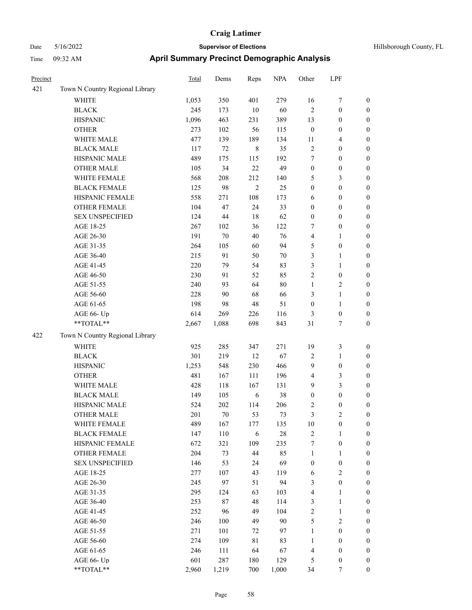| Hillsborough Count |  |
|--------------------|--|
|                    |  |

| Precinct |                                   | Total      | Dems       | Reps           | <b>NPA</b> | Other            | LPF                                |                                      |
|----------|-----------------------------------|------------|------------|----------------|------------|------------------|------------------------------------|--------------------------------------|
| 421      | Town N Country Regional Library   |            |            |                |            |                  |                                    |                                      |
|          | <b>WHITE</b>                      | 1,053      | 350        | 401            | 279        | 16               | $\boldsymbol{7}$                   | $\boldsymbol{0}$                     |
|          | <b>BLACK</b>                      | 245        | 173        | 10             | 60         | 2                | $\boldsymbol{0}$                   | $\boldsymbol{0}$                     |
|          | <b>HISPANIC</b>                   | 1,096      | 463        | 231            | 389        | 13               | $\boldsymbol{0}$                   | $\boldsymbol{0}$                     |
|          | <b>OTHER</b>                      | 273        | 102        | 56             | 115        | $\boldsymbol{0}$ | $\boldsymbol{0}$                   | $\boldsymbol{0}$                     |
|          | WHITE MALE                        | 477        | 139        | 189            | 134        | 11               | $\overline{4}$                     | $\boldsymbol{0}$                     |
|          | <b>BLACK MALE</b>                 | 117        | 72         | $\,$ 8 $\,$    | 35         | 2                | $\boldsymbol{0}$                   | $\boldsymbol{0}$                     |
|          | HISPANIC MALE                     | 489        | 175        | 115            | 192        | $\tau$           | $\boldsymbol{0}$                   | 0                                    |
|          | <b>OTHER MALE</b>                 | 105        | 34         | 22             | 49         | $\boldsymbol{0}$ | $\boldsymbol{0}$                   | $\boldsymbol{0}$                     |
|          | WHITE FEMALE                      | 568        | 208        | 212            | 140        | 5                | 3                                  | $\boldsymbol{0}$                     |
|          | <b>BLACK FEMALE</b>               | 125        | 98         | $\overline{c}$ | 25         | $\boldsymbol{0}$ | $\boldsymbol{0}$                   | $\boldsymbol{0}$                     |
|          | HISPANIC FEMALE                   | 558        | 271        | 108            | 173        | 6                | $\boldsymbol{0}$                   | $\boldsymbol{0}$                     |
|          | OTHER FEMALE                      | 104        | 47         | 24             | 33         | $\boldsymbol{0}$ | $\boldsymbol{0}$                   | $\boldsymbol{0}$                     |
|          | <b>SEX UNSPECIFIED</b>            | 124        | 44         | 18             | 62         | $\boldsymbol{0}$ | $\boldsymbol{0}$                   | $\boldsymbol{0}$                     |
|          | AGE 18-25                         | 267        | 102        | 36             | 122        | 7                | $\boldsymbol{0}$                   | $\boldsymbol{0}$                     |
|          | AGE 26-30                         | 191        | 70         | 40             | 76         | 4                | $\mathbf{1}$                       | $\boldsymbol{0}$                     |
|          | AGE 31-35                         | 264        | 105        | 60             | 94         | 5                | $\boldsymbol{0}$                   | $\boldsymbol{0}$                     |
|          | AGE 36-40                         | 215        | 91         | 50             | 70         | 3                | $\mathbf{1}$                       | 0                                    |
|          | AGE 41-45                         | 220        | 79         | 54             | 83         | 3                | $\mathbf{1}$                       | $\boldsymbol{0}$                     |
|          | AGE 46-50                         | 230        | 91         | 52             | 85         | $\overline{c}$   | $\boldsymbol{0}$                   | $\boldsymbol{0}$                     |
|          | AGE 51-55                         | 240        | 93         | 64             | 80         | 1                | $\sqrt{2}$                         | $\boldsymbol{0}$                     |
|          | AGE 56-60                         | 228        | 90         | 68             | 66         | 3                | $\mathbf{1}$                       | $\boldsymbol{0}$                     |
|          | AGE 61-65                         | 198        | 98         | 48             | 51         | $\boldsymbol{0}$ | $\mathbf{1}$                       | $\boldsymbol{0}$                     |
|          | AGE 66- Up                        | 614        | 269        | 226            | 116        | 3                | $\boldsymbol{0}$                   | $\boldsymbol{0}$                     |
|          | **TOTAL**                         | 2,667      | 1,088      | 698            | 843        | 31               | 7                                  | $\boldsymbol{0}$                     |
| 422      | Town N Country Regional Library   |            |            |                |            |                  |                                    |                                      |
|          | WHITE                             | 925        | 285        | 347            | 271        | 19               | $\mathfrak{Z}$                     | $\boldsymbol{0}$                     |
|          | <b>BLACK</b>                      | 301        | 219        | 12             | 67         | 2                | $\mathbf{1}$                       | $\boldsymbol{0}$                     |
|          | <b>HISPANIC</b>                   | 1,253      | 548        | 230            | 466        | 9                | $\boldsymbol{0}$                   | $\boldsymbol{0}$                     |
|          | <b>OTHER</b>                      | 481        |            | 111            | 196        | 4                |                                    |                                      |
|          | WHITE MALE                        |            | 167        | 167            | 131        | 9                | 3                                  | 0                                    |
|          | <b>BLACK MALE</b>                 | 428        | 118        |                | 38         |                  | 3<br>$\boldsymbol{0}$              | $\boldsymbol{0}$<br>$\boldsymbol{0}$ |
|          | HISPANIC MALE                     | 149<br>524 | 105<br>202 | 6              | 206        | $\boldsymbol{0}$ |                                    |                                      |
|          |                                   | 201        | $70\,$     | 114<br>53      | 73         | 2<br>3           | $\boldsymbol{0}$<br>$\overline{2}$ | $\boldsymbol{0}$                     |
|          | <b>OTHER MALE</b><br>WHITE FEMALE | 489        |            |                |            |                  | $\boldsymbol{0}$                   | $\boldsymbol{0}$                     |
|          |                                   |            | 167        | 177            | 135        | 10               |                                    | $\boldsymbol{0}$                     |
|          | <b>BLACK FEMALE</b>               | 147        | 110        | $\sqrt{6}$     | 28         | $\overline{c}$   | $\mathbf{1}$                       | $\overline{0}$<br>$\theta$           |
|          | HISPANIC FEMALE                   | 672        | 321        | 109            | 235        | 7                | $\boldsymbol{0}$                   |                                      |
|          | <b>OTHER FEMALE</b>               | 204        | 73         | 44             | 85         | 1                | $\mathbf{1}$                       | 0                                    |
|          | <b>SEX UNSPECIFIED</b>            | 146        | 53         | 24             | 69         | $\boldsymbol{0}$ | $\boldsymbol{0}$                   | 0                                    |
|          | AGE 18-25                         | 277        | 107        | 43             | 119        | 6                | $\sqrt{2}$                         | 0                                    |
|          | AGE 26-30                         | 245        | 97         | 51             | 94         | 3                | $\boldsymbol{0}$                   | 0                                    |
|          | AGE 31-35                         | 295        | 124        | 63             | 103        | 4                | $\mathbf{1}$                       | 0                                    |
|          | AGE 36-40                         | 253        | 87         | 48             | 114        | 3                | $\mathbf{1}$                       | $\boldsymbol{0}$                     |
|          | AGE 41-45                         | 252        | 96         | 49             | 104        | 2                | $\mathbf{1}$                       | $\boldsymbol{0}$                     |
|          | AGE 46-50                         | 246        | 100        | 49             | 90         | 5                | $\mathfrak{2}$                     | $\overline{0}$                       |
|          | AGE 51-55                         | 271        | 101        | 72             | 97         | 1                | $\boldsymbol{0}$                   | $\overline{0}$                       |
|          | AGE 56-60                         | 274        | 109        | 81             | 83         | 1                | $\boldsymbol{0}$                   | $\overline{0}$                       |
|          | AGE 61-65                         | 246        | 111        | 64             | 67         | 4                | $\boldsymbol{0}$                   | $\overline{0}$                       |
|          | AGE 66- Up                        | 601        | 287        | 180            | 129        | 5                | $\boldsymbol{0}$                   | 0                                    |
|          | $**TOTAL**$                       | 2,960      | 1,219      | 700            | 1,000      | 34               | $\boldsymbol{7}$                   | $\boldsymbol{0}$                     |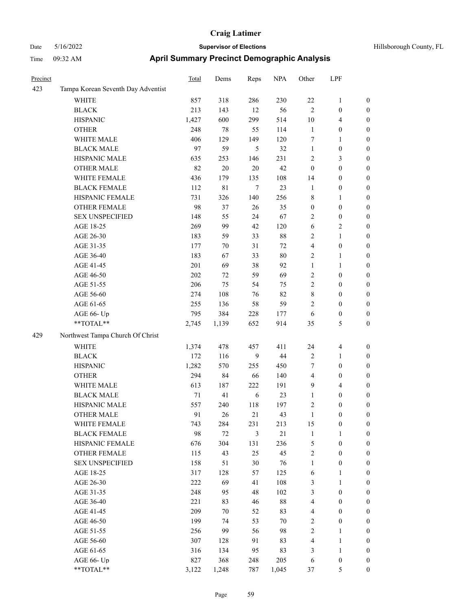| Precinct |                                    | <b>Total</b> | Dems        | Reps           | <b>NPA</b> | Other            | LPF              |                  |
|----------|------------------------------------|--------------|-------------|----------------|------------|------------------|------------------|------------------|
| 423      | Tampa Korean Seventh Day Adventist |              |             |                |            |                  |                  |                  |
|          | WHITE                              | 857          | 318         | 286            | 230        | $22\,$           | $\mathbf{1}$     | $\boldsymbol{0}$ |
|          | <b>BLACK</b>                       | 213          | 143         | 12             | 56         | $\overline{2}$   | $\boldsymbol{0}$ | $\boldsymbol{0}$ |
|          | <b>HISPANIC</b>                    | 1,427        | 600         | 299            | 514        | 10               | $\overline{4}$   | 0                |
|          | <b>OTHER</b>                       | 248          | 78          | 55             | 114        | $\mathbf{1}$     | $\boldsymbol{0}$ | 0                |
|          | WHITE MALE                         | 406          | 129         | 149            | 120        | 7                | $\mathbf{1}$     | 0                |
|          | <b>BLACK MALE</b>                  | 97           | 59          | 5              | 32         | $\mathbf{1}$     | $\boldsymbol{0}$ | $\boldsymbol{0}$ |
|          | HISPANIC MALE                      | 635          | 253         | 146            | 231        | $\overline{c}$   | $\mathfrak{Z}$   | $\boldsymbol{0}$ |
|          | <b>OTHER MALE</b>                  | 82           | $20\,$      | $20\,$         | 42         | $\boldsymbol{0}$ | $\boldsymbol{0}$ | $\boldsymbol{0}$ |
|          | WHITE FEMALE                       | 436          | 179         | 135            | 108        | 14               | $\boldsymbol{0}$ | 0                |
|          | <b>BLACK FEMALE</b>                | 112          | $8\sqrt{1}$ | $\tau$         | 23         | $\mathbf{1}$     | $\boldsymbol{0}$ | $\boldsymbol{0}$ |
|          | HISPANIC FEMALE                    | 731          | 326         | 140            | 256        | 8                | $\mathbf{1}$     | $\boldsymbol{0}$ |
|          | <b>OTHER FEMALE</b>                | 98           | 37          | 26             | 35         | $\boldsymbol{0}$ | $\boldsymbol{0}$ | 0                |
|          | <b>SEX UNSPECIFIED</b>             | 148          | 55          | 24             | 67         | 2                | $\boldsymbol{0}$ | 0                |
|          | AGE 18-25                          | 269          | 99          | 42             | 120        | 6                | $\overline{c}$   | 0                |
|          | AGE 26-30                          | 183          | 59          | 33             | $88\,$     | 2                | $\mathbf{1}$     | 0                |
|          | AGE 31-35                          | 177          | 70          | 31             | 72         | 4                | $\boldsymbol{0}$ | 0                |
|          | AGE 36-40                          | 183          | 67          | 33             | $80\,$     | 2                | $\mathbf{1}$     | 0                |
|          | AGE 41-45                          | 201          | 69          | 38             | 92         | $\mathbf{1}$     | 1                | $\boldsymbol{0}$ |
|          | AGE 46-50                          | 202          | 72          | 59             | 69         | $\overline{c}$   | $\boldsymbol{0}$ | $\boldsymbol{0}$ |
|          | AGE 51-55                          | 206          | 75          | 54             | 75         | 2                | $\boldsymbol{0}$ | $\boldsymbol{0}$ |
|          | AGE 56-60                          | 274          | 108         | 76             | 82         | 8                | $\boldsymbol{0}$ | 0                |
|          | AGE 61-65                          | 255          | 136         | 58             | 59         | $\overline{c}$   | $\boldsymbol{0}$ | 0                |
|          | AGE 66- Up                         | 795          | 384         | 228            | 177        | 6                | $\boldsymbol{0}$ | 0                |
|          | **TOTAL**                          | 2,745        | 1,139       | 652            | 914        | 35               | 5                | 0                |
| 429      | Northwest Tampa Church Of Christ   |              |             |                |            |                  |                  |                  |
|          | <b>WHITE</b>                       | 1,374        | 478         | 457            | 411        | 24               | $\overline{4}$   | 0                |
|          | <b>BLACK</b>                       | 172          | 116         | 9              | 44         | $\overline{2}$   | $\mathbf{1}$     | 0                |
|          | <b>HISPANIC</b>                    | 1,282        | 570         | 255            | 450        | 7                | $\boldsymbol{0}$ | 0                |
|          | <b>OTHER</b>                       | 294          | 84          | 66             | 140        | 4                | $\boldsymbol{0}$ | 0                |
|          | WHITE MALE                         | 613          | 187         | 222            | 191        | 9                | $\overline{4}$   | $\boldsymbol{0}$ |
|          | <b>BLACK MALE</b>                  | 71           | 41          | 6              | 23         | $\mathbf{1}$     | $\boldsymbol{0}$ | $\boldsymbol{0}$ |
|          | HISPANIC MALE                      | 557          | 240         | 118            | 197        | $\overline{c}$   | $\boldsymbol{0}$ | $\boldsymbol{0}$ |
|          | <b>OTHER MALE</b>                  | 91           | 26          | 21             | 43         | $\mathbf{1}$     | $\boldsymbol{0}$ | $\boldsymbol{0}$ |
|          | WHITE FEMALE                       | 743          | 284         | 231            | 213        | 15               | $\boldsymbol{0}$ | 0                |
|          | <b>BLACK FEMALE</b>                | 98           | $72\,$      | $\mathfrak{Z}$ | 21         | $\mathbf{1}$     | $\mathbf{1}$     | 0                |
|          | HISPANIC FEMALE                    | 676          | 304         | 131            | 236        | 5                | $\boldsymbol{0}$ | 0                |
|          | OTHER FEMALE                       | 115          | 43          | 25             | 45         | $\sqrt{2}$       | $\boldsymbol{0}$ | 0                |
|          | <b>SEX UNSPECIFIED</b>             | 158          | 51          | $30\,$         | 76         | $\mathbf{1}$     | $\boldsymbol{0}$ | $\boldsymbol{0}$ |
|          | AGE 18-25                          | 317          | 128         | 57             | 125        | 6                | $\mathbf{1}$     | $\boldsymbol{0}$ |
|          | AGE 26-30                          | 222          | 69          | 41             | 108        | 3                | $\mathbf{1}$     | $\boldsymbol{0}$ |
|          | AGE 31-35                          | 248          | 95          | 48             | 102        | 3                | $\boldsymbol{0}$ | $\boldsymbol{0}$ |
|          | AGE 36-40                          | 221          | 83          | 46             | $88\,$     | 4                | $\boldsymbol{0}$ | $\overline{0}$   |
|          | AGE 41-45                          | 209          | 70          | 52             | 83         | 4                | $\boldsymbol{0}$ | $\overline{0}$   |
|          | AGE 46-50                          | 199          | 74          | 53             | 70         | $\sqrt{2}$       | $\boldsymbol{0}$ | $\overline{0}$   |
|          | AGE 51-55                          | 256          | 99          | 56             | 98         | $\sqrt{2}$       | $\mathbf{1}$     | 0                |
|          | AGE 56-60                          | 307          | 128         | 91             | 83         | $\overline{4}$   | $\mathbf{1}$     | 0                |
|          | AGE 61-65                          | 316          | 134         | 95             | 83         | 3                | $\mathbf{1}$     | 0                |
|          | AGE 66- Up                         | 827          | 368         | 248            | 205        | 6                | $\boldsymbol{0}$ | 0                |
|          | $**TOTAL**$                        | 3,122        | 1,248       | 787            | 1,045      | $37\,$           | $\mathfrak{S}$   | $\boldsymbol{0}$ |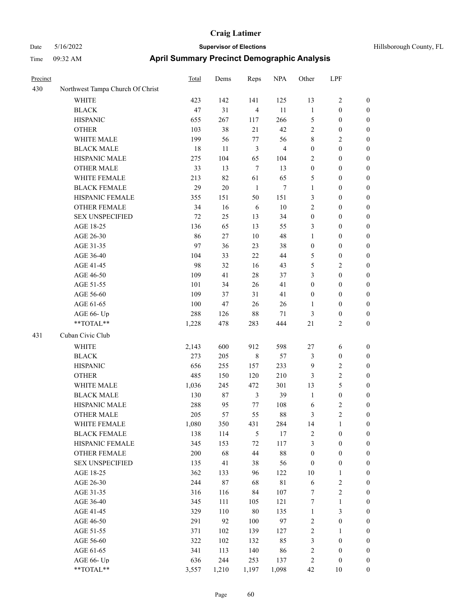| Precinct |                                  | Total | Dems   | Reps           | <b>NPA</b>     | Other            | LPF              |                  |
|----------|----------------------------------|-------|--------|----------------|----------------|------------------|------------------|------------------|
| 430      | Northwest Tampa Church Of Christ |       |        |                |                |                  |                  |                  |
|          | <b>WHITE</b>                     | 423   | 142    | 141            | 125            | 13               | $\sqrt{2}$       | $\boldsymbol{0}$ |
|          | <b>BLACK</b>                     | 47    | 31     | $\overline{4}$ | 11             | $\mathbf{1}$     | $\boldsymbol{0}$ | $\boldsymbol{0}$ |
|          | <b>HISPANIC</b>                  | 655   | 267    | 117            | 266            | 5                | $\boldsymbol{0}$ | $\boldsymbol{0}$ |
|          | <b>OTHER</b>                     | 103   | 38     | 21             | 42             | $\mathfrak{2}$   | $\boldsymbol{0}$ | $\boldsymbol{0}$ |
|          | WHITE MALE                       | 199   | 56     | 77             | 56             | 8                | $\sqrt{2}$       | 0                |
|          | <b>BLACK MALE</b>                | 18    | 11     | $\mathfrak{Z}$ | $\overline{4}$ | $\boldsymbol{0}$ | $\boldsymbol{0}$ | 0                |
|          | HISPANIC MALE                    | 275   | 104    | 65             | 104            | $\mathfrak{2}$   | $\boldsymbol{0}$ | 0                |
|          | <b>OTHER MALE</b>                | 33    | 13     | $\tau$         | 13             | $\boldsymbol{0}$ | $\boldsymbol{0}$ | $\boldsymbol{0}$ |
|          | WHITE FEMALE                     | 213   | 82     | 61             | 65             | 5                | $\boldsymbol{0}$ | $\boldsymbol{0}$ |
|          | <b>BLACK FEMALE</b>              | 29    | $20\,$ | $\mathbf{1}$   | 7              | $\mathbf{1}$     | $\boldsymbol{0}$ | $\boldsymbol{0}$ |
|          | HISPANIC FEMALE                  | 355   | 151    | 50             | 151            | 3                | $\boldsymbol{0}$ | $\boldsymbol{0}$ |
|          | OTHER FEMALE                     | 34    | 16     | 6              | $10\,$         | $\overline{c}$   | $\boldsymbol{0}$ | $\boldsymbol{0}$ |
|          | <b>SEX UNSPECIFIED</b>           | 72    | 25     | 13             | 34             | $\boldsymbol{0}$ | $\boldsymbol{0}$ | $\boldsymbol{0}$ |
|          | AGE 18-25                        | 136   | 65     | 13             | 55             | 3                | $\boldsymbol{0}$ | $\boldsymbol{0}$ |
|          | AGE 26-30                        | 86    | 27     | $10\,$         | 48             | $\mathbf{1}$     | $\boldsymbol{0}$ | $\boldsymbol{0}$ |
|          | AGE 31-35                        | 97    | 36     | 23             | 38             | $\boldsymbol{0}$ | $\boldsymbol{0}$ | 0                |
|          | AGE 36-40                        | 104   | 33     | 22             | 44             | 5                | $\boldsymbol{0}$ | 0                |
|          | AGE 41-45                        | 98    | 32     | 16             | 43             | 5                | $\mathbf{2}$     | $\boldsymbol{0}$ |
|          | AGE 46-50                        | 109   | 41     | $28\,$         | 37             | 3                | $\boldsymbol{0}$ | $\boldsymbol{0}$ |
|          | AGE 51-55                        | 101   | 34     | 26             | 41             | $\boldsymbol{0}$ | $\boldsymbol{0}$ | $\boldsymbol{0}$ |
|          | AGE 56-60                        | 109   | 37     | 31             | 41             | $\boldsymbol{0}$ | $\boldsymbol{0}$ | $\boldsymbol{0}$ |
|          | AGE 61-65                        | 100   | 47     | 26             | 26             | $\mathbf{1}$     | $\boldsymbol{0}$ | $\boldsymbol{0}$ |
|          | AGE 66- Up                       | 288   | 126    | $88\,$         | 71             | 3                | $\boldsymbol{0}$ | $\boldsymbol{0}$ |
|          | **TOTAL**                        | 1,228 | 478    | 283            | 444            | $21\,$           | $\mathfrak{2}$   | $\boldsymbol{0}$ |
| 431      | Cuban Civic Club                 |       |        |                |                |                  |                  |                  |
|          | WHITE                            | 2,143 | 600    | 912            | 598            | 27               | 6                | $\boldsymbol{0}$ |
|          | <b>BLACK</b>                     | 273   | 205    | $\,$ 8 $\,$    | 57             | 3                | $\boldsymbol{0}$ | $\boldsymbol{0}$ |
|          | <b>HISPANIC</b>                  | 656   | 255    | 157            | 233            | $\overline{9}$   | $\sqrt{2}$       | 0                |
|          | <b>OTHER</b>                     | 485   | 150    | 120            | 210            | 3                | $\sqrt{2}$       | 0                |
|          | WHITE MALE                       | 1,036 | 245    | 472            | 301            | 13               | $\mathfrak{S}$   | $\boldsymbol{0}$ |
|          | <b>BLACK MALE</b>                | 130   | 87     | $\mathfrak{Z}$ | 39             | $\mathbf{1}$     | $\boldsymbol{0}$ | $\boldsymbol{0}$ |
|          | HISPANIC MALE                    | 288   | 95     | 77             | 108            | 6                | $\sqrt{2}$       | $\boldsymbol{0}$ |
|          | <b>OTHER MALE</b>                | 205   | 57     | 55             | 88             | 3                | $\overline{c}$   | $\boldsymbol{0}$ |
|          | WHITE FEMALE                     | 1,080 | 350    | 431            | 284            | 14               | $\mathbf{1}$     | $\overline{0}$   |
|          | <b>BLACK FEMALE</b>              | 138   | 114    | $\sqrt{5}$     | 17             | $\sqrt{2}$       | $\boldsymbol{0}$ | $\overline{0}$   |
|          | <b>HISPANIC FEMALE</b>           | 345   | 153    | $72\,$         | 117            | 3                | $\boldsymbol{0}$ | $\overline{0}$   |
|          | OTHER FEMALE                     | 200   | 68     | 44             | $88\,$         | $\boldsymbol{0}$ | $\boldsymbol{0}$ | 0                |
|          | <b>SEX UNSPECIFIED</b>           | 135   | 41     | 38             | 56             | $\boldsymbol{0}$ | $\boldsymbol{0}$ | 0                |
|          | AGE 18-25                        | 362   | 133    | 96             | 122            | $10\,$           | $\mathbf{1}$     | 0                |
|          | AGE 26-30                        | 244   | 87     | 68             | $8\sqrt{1}$    | 6                | $\sqrt{2}$       | $\boldsymbol{0}$ |
|          | AGE 31-35                        | 316   | 116    | 84             | 107            | 7                | $\sqrt{2}$       | $\boldsymbol{0}$ |
|          | AGE 36-40                        | 345   | 111    | 105            | 121            | 7                | $\mathbf{1}$     | $\boldsymbol{0}$ |
|          | AGE 41-45                        | 329   | 110    | $80\,$         | 135            | $\mathbf{1}$     | $\mathfrak{Z}$   | $\boldsymbol{0}$ |
|          | AGE 46-50                        | 291   | 92     | 100            | 97             | 2                | $\boldsymbol{0}$ | $\overline{0}$   |
|          | AGE 51-55                        | 371   | 102    | 139            | 127            | $\sqrt{2}$       | $\mathbf{1}$     | $\boldsymbol{0}$ |
|          | AGE 56-60                        | 322   | 102    | 132            | 85             | $\mathfrak{Z}$   | $\boldsymbol{0}$ | $\overline{0}$   |
|          | AGE 61-65                        | 341   | 113    | 140            | 86             | $\sqrt{2}$       | $\boldsymbol{0}$ | $\boldsymbol{0}$ |
|          | AGE 66- Up                       | 636   | 244    | 253            | 137            | $\sqrt{2}$       | $\boldsymbol{0}$ | 0                |
|          | **TOTAL**                        | 3,557 | 1,210  | 1,197          | 1,098          | 42               | $10\,$           | $\boldsymbol{0}$ |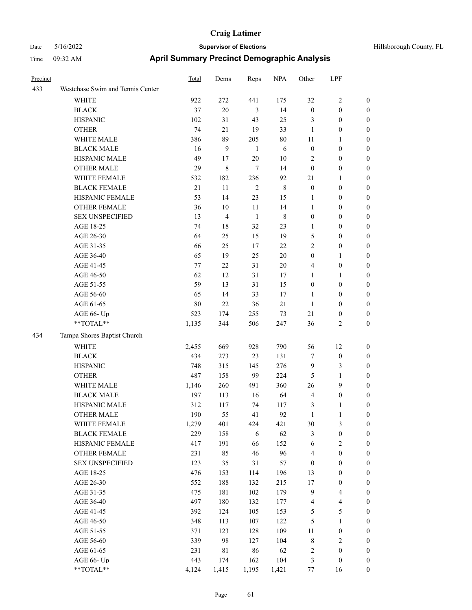| Precinct |                                  | <b>Total</b> | Dems           | Reps           | <b>NPA</b> | Other            | LPF              |                  |
|----------|----------------------------------|--------------|----------------|----------------|------------|------------------|------------------|------------------|
| 433      | Westchase Swim and Tennis Center |              |                |                |            |                  |                  |                  |
|          | WHITE                            | 922          | 272            | 441            | 175        | 32               | 2                | $\mathbf{0}$     |
|          | <b>BLACK</b>                     | 37           | $20\,$         | $\mathfrak{Z}$ | 14         | $\boldsymbol{0}$ | $\boldsymbol{0}$ | $\boldsymbol{0}$ |
|          | <b>HISPANIC</b>                  | 102          | 31             | 43             | 25         | 3                | $\boldsymbol{0}$ | $\boldsymbol{0}$ |
|          | <b>OTHER</b>                     | 74           | 21             | 19             | 33         | 1                | $\boldsymbol{0}$ | $\boldsymbol{0}$ |
|          | WHITE MALE                       | 386          | 89             | 205            | 80         | 11               | 1                | $\boldsymbol{0}$ |
|          | <b>BLACK MALE</b>                | 16           | 9              | $\mathbf{1}$   | 6          | $\boldsymbol{0}$ | $\boldsymbol{0}$ | $\boldsymbol{0}$ |
|          | HISPANIC MALE                    | 49           | 17             | $20\,$         | $10\,$     | $\overline{2}$   | $\boldsymbol{0}$ | $\boldsymbol{0}$ |
|          | <b>OTHER MALE</b>                | 29           | 8              | $\overline{7}$ | 14         | $\mathbf{0}$     | $\boldsymbol{0}$ | $\boldsymbol{0}$ |
|          | <b>WHITE FEMALE</b>              | 532          | 182            | 236            | 92         | 21               | 1                | $\boldsymbol{0}$ |
|          | <b>BLACK FEMALE</b>              | 21           | 11             | $\overline{2}$ | 8          | $\boldsymbol{0}$ | $\boldsymbol{0}$ | $\boldsymbol{0}$ |
|          | HISPANIC FEMALE                  | 53           | 14             | 23             | 15         | $\mathbf{1}$     | $\boldsymbol{0}$ | $\boldsymbol{0}$ |
|          | <b>OTHER FEMALE</b>              | 36           | 10             | 11             | 14         | 1                | $\boldsymbol{0}$ | $\boldsymbol{0}$ |
|          | <b>SEX UNSPECIFIED</b>           | 13           | $\overline{4}$ | $\mathbf{1}$   | 8          | $\boldsymbol{0}$ | $\boldsymbol{0}$ | $\boldsymbol{0}$ |
|          | AGE 18-25                        | 74           | 18             | 32             | 23         | 1                | $\mathbf{0}$     | $\boldsymbol{0}$ |
|          | AGE 26-30                        | 64           | 25             | 15             | 19         | 5                | $\boldsymbol{0}$ | $\boldsymbol{0}$ |
|          | AGE 31-35                        | 66           | 25             | 17             | 22         | $\mathfrak{2}$   | $\boldsymbol{0}$ | $\boldsymbol{0}$ |
|          | AGE 36-40                        | 65           | 19             | 25             | $20\,$     | $\boldsymbol{0}$ | 1                | $\boldsymbol{0}$ |
|          | AGE 41-45                        | 77           | 22             | 31             | 20         | $\overline{4}$   | $\boldsymbol{0}$ | $\boldsymbol{0}$ |
|          | AGE 46-50                        | 62           | 12             | 31             | 17         | 1                | 1                | $\boldsymbol{0}$ |
|          | AGE 51-55                        | 59           | 13             | 31             | 15         | $\boldsymbol{0}$ | $\boldsymbol{0}$ | $\boldsymbol{0}$ |
|          | AGE 56-60                        | 65           | 14             | 33             | 17         | 1                | $\boldsymbol{0}$ | $\boldsymbol{0}$ |
|          | AGE 61-65                        | 80           | 22             | 36             | 21         | 1                | $\boldsymbol{0}$ | $\boldsymbol{0}$ |
|          | AGE 66- Up                       | 523          | 174            | 255            | 73         | 21               | $\boldsymbol{0}$ | $\boldsymbol{0}$ |
|          | **TOTAL**                        | 1,135        | 344            | 506            | 247        | 36               | 2                | $\boldsymbol{0}$ |
| 434      | Tampa Shores Baptist Church      |              |                |                |            |                  |                  |                  |
|          | <b>WHITE</b>                     | 2,455        | 669            | 928            | 790        | 56               | 12               | $\boldsymbol{0}$ |
|          | <b>BLACK</b>                     | 434          | 273            | 23             | 131        | $\tau$           | $\boldsymbol{0}$ | $\boldsymbol{0}$ |
|          | <b>HISPANIC</b>                  | 748          | 315            | 145            | 276        | 9                | 3                | $\boldsymbol{0}$ |
|          | <b>OTHER</b>                     | 487          | 158            | 99             | 224        | 5                | 1                | $\boldsymbol{0}$ |
|          | WHITE MALE                       | 1,146        | 260            | 491            | 360        | 26               | 9                | $\boldsymbol{0}$ |
|          | <b>BLACK MALE</b>                | 197          | 113            | 16             | 64         | $\overline{4}$   | $\boldsymbol{0}$ | $\boldsymbol{0}$ |
|          | HISPANIC MALE                    | 312          | 117            | 74             | 117        | 3                | 1                | $\boldsymbol{0}$ |
|          | <b>OTHER MALE</b>                | 190          | 55             | 41             | 92         | 1                | 1                | $\boldsymbol{0}$ |
|          | WHITE FEMALE                     | 1,279        | 401            | 424            | 421        | $30\,$           | 3                | $\mathbf{0}$     |
|          | <b>BLACK FEMALE</b>              | 229          | 158            | 6              | 62         | $\mathfrak{Z}$   | $\boldsymbol{0}$ | $\boldsymbol{0}$ |
|          | HISPANIC FEMALE                  | 417          | 191            | 66             | 152        | 6                | $\sqrt{2}$       | $\boldsymbol{0}$ |
|          | <b>OTHER FEMALE</b>              | 231          | 85             | 46             | 96         | $\overline{4}$   | $\boldsymbol{0}$ | $\boldsymbol{0}$ |
|          | <b>SEX UNSPECIFIED</b>           | 123          | 35             | 31             | 57         | $\boldsymbol{0}$ | $\boldsymbol{0}$ | $\boldsymbol{0}$ |
|          | AGE 18-25                        | 476          | 153            | 114            | 196        | 13               | $\boldsymbol{0}$ | $\boldsymbol{0}$ |
|          | AGE 26-30                        | 552          | 188            | 132            | 215        | 17               | $\boldsymbol{0}$ | $\boldsymbol{0}$ |
|          | AGE 31-35                        | 475          | 181            | 102            | 179        | $\mathbf{9}$     | 4                | $\boldsymbol{0}$ |
|          | AGE 36-40                        | 497          | 180            | 132            | 177        | $\overline{4}$   | 4                | $\boldsymbol{0}$ |
|          | AGE 41-45                        | 392          | 124            | 105            | 153        | $\sqrt{5}$       | 5                | $\boldsymbol{0}$ |
|          | AGE 46-50                        | 348          | 113            | 107            | 122        | $\sqrt{5}$       | 1                | $\boldsymbol{0}$ |
|          | AGE 51-55                        | 371          | 123            | 128            | 109        | $11\,$           | $\boldsymbol{0}$ | $\boldsymbol{0}$ |
|          | AGE 56-60                        | 339          | 98             | 127            | 104        | $\,$ $\,$        | $\sqrt{2}$       | $\boldsymbol{0}$ |
|          | AGE 61-65                        | 231          | $81\,$         | 86             | 62         | $\sqrt{2}$       | $\boldsymbol{0}$ | $\boldsymbol{0}$ |
|          | AGE 66- Up                       | 443          | 174            | 162            | 104        | $\mathfrak{Z}$   | $\boldsymbol{0}$ | $\boldsymbol{0}$ |
|          | $**TOTAL**$                      | 4,124        | 1,415          | 1,195          | 1,421      | 77               | 16               | $\boldsymbol{0}$ |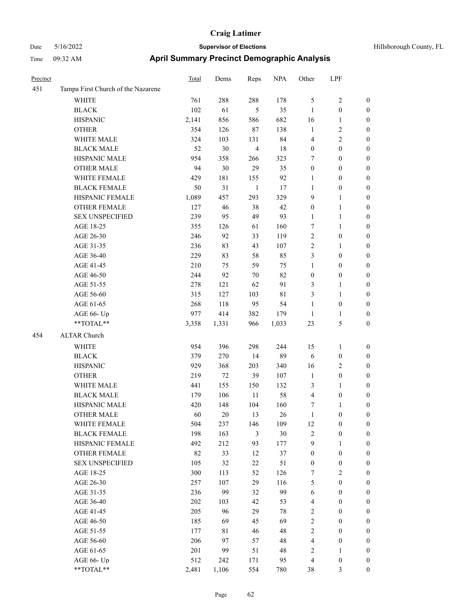| Hillsborough County, FL |  |  |
|-------------------------|--|--|
|-------------------------|--|--|

| Precinct |                                    | <b>Total</b> | Dems  | Reps                    | <b>NPA</b> | Other                   | LPF              |                  |
|----------|------------------------------------|--------------|-------|-------------------------|------------|-------------------------|------------------|------------------|
| 451      | Tampa First Church of the Nazarene |              |       |                         |            |                         |                  |                  |
|          | <b>WHITE</b>                       | 761          | 288   | 288                     | 178        | 5                       | $\sqrt{2}$       | $\boldsymbol{0}$ |
|          | <b>BLACK</b>                       | 102          | 61    | 5                       | 35         | $\mathbf{1}$            | $\boldsymbol{0}$ | $\boldsymbol{0}$ |
|          | <b>HISPANIC</b>                    | 2,141        | 856   | 586                     | 682        | 16                      | $\mathbf{1}$     | 0                |
|          | <b>OTHER</b>                       | 354          | 126   | 87                      | 138        | $\mathbf{1}$            | $\sqrt{2}$       | 0                |
|          | WHITE MALE                         | 324          | 103   | 131                     | 84         | 4                       | $\sqrt{2}$       | $\boldsymbol{0}$ |
|          | <b>BLACK MALE</b>                  | 52           | 30    | $\overline{\mathbf{4}}$ | 18         | $\boldsymbol{0}$        | $\boldsymbol{0}$ | $\boldsymbol{0}$ |
|          | HISPANIC MALE                      | 954          | 358   | 266                     | 323        | 7                       | $\boldsymbol{0}$ | $\boldsymbol{0}$ |
|          | <b>OTHER MALE</b>                  | 94           | 30    | 29                      | 35         | $\boldsymbol{0}$        | $\boldsymbol{0}$ | $\boldsymbol{0}$ |
|          | WHITE FEMALE                       | 429          | 181   | 155                     | 92         | $\mathbf{1}$            | $\boldsymbol{0}$ | $\boldsymbol{0}$ |
|          | <b>BLACK FEMALE</b>                | 50           | 31    | $\mathbf{1}$            | 17         | $\mathbf{1}$            | $\boldsymbol{0}$ | $\boldsymbol{0}$ |
|          | HISPANIC FEMALE                    | 1,089        | 457   | 293                     | 329        | 9                       | $\mathbf{1}$     | 0                |
|          | OTHER FEMALE                       | 127          | 46    | 38                      | 42         | $\boldsymbol{0}$        | $\mathbf{1}$     | 0                |
|          | <b>SEX UNSPECIFIED</b>             | 239          | 95    | 49                      | 93         | $\mathbf{1}$            | $\mathbf{1}$     | 0                |
|          | AGE 18-25                          | 355          | 126   | 61                      | 160        | 7                       | $\mathbf{1}$     | 0                |
|          | AGE 26-30                          | 246          | 92    | 33                      | 119        | 2                       | $\boldsymbol{0}$ | 0                |
|          | AGE 31-35                          | 236          | 83    | 43                      | 107        | 2                       | 1                | $\boldsymbol{0}$ |
|          | AGE 36-40                          | 229          | 83    | 58                      | 85         | 3                       | $\boldsymbol{0}$ | $\boldsymbol{0}$ |
|          | AGE 41-45                          | 210          | 75    | 59                      | 75         | $\mathbf{1}$            | $\boldsymbol{0}$ | 0                |
|          | AGE 46-50                          | 244          | 92    | 70                      | 82         | $\boldsymbol{0}$        | $\boldsymbol{0}$ | $\boldsymbol{0}$ |
|          | AGE 51-55                          | 278          | 121   | 62                      | 91         | 3                       | $\mathbf{1}$     | $\boldsymbol{0}$ |
|          | AGE 56-60                          | 315          | 127   | 103                     | 81         | 3                       | $\mathbf{1}$     | 0                |
|          | AGE 61-65                          | 268          | 118   | 95                      | 54         | $\mathbf{1}$            | $\boldsymbol{0}$ | 0                |
|          | AGE 66- Up                         | 977          | 414   | 382                     | 179        | $\mathbf{1}$            | $\mathbf{1}$     | 0                |
|          | **TOTAL**                          | 3,358        | 1,331 | 966                     | 1,033      | 23                      | $\mathfrak{S}$   | $\boldsymbol{0}$ |
| 454      | <b>ALTAR Church</b>                |              |       |                         |            |                         |                  |                  |
|          | <b>WHITE</b>                       | 954          | 396   | 298                     | 244        | 15                      | $\mathbf{1}$     | 0                |
|          | <b>BLACK</b>                       | 379          | 270   | 14                      | 89         | 6                       | $\boldsymbol{0}$ | $\boldsymbol{0}$ |
|          | <b>HISPANIC</b>                    | 929          | 368   | 203                     | 340        | 16                      | $\sqrt{2}$       | 0                |
|          | <b>OTHER</b>                       | 219          | 72    | 39                      | 107        | $\mathbf{1}$            | $\boldsymbol{0}$ | $\boldsymbol{0}$ |
|          | WHITE MALE                         | 441          | 155   | 150                     | 132        | 3                       | 1                | 0                |
|          | <b>BLACK MALE</b>                  | 179          | 106   | 11                      | 58         | 4                       | $\boldsymbol{0}$ | $\boldsymbol{0}$ |
|          | HISPANIC MALE                      | 420          | 148   | 104                     | 160        | 7                       | $\mathbf{1}$     | 0                |
|          | <b>OTHER MALE</b>                  | 60           | 20    | 13                      | 26         | $\mathbf{1}$            | $\boldsymbol{0}$ | $\boldsymbol{0}$ |
|          | WHITE FEMALE                       | 504          | 237   | 146                     | 109        | 12                      | $\boldsymbol{0}$ | 0                |
|          | <b>BLACK FEMALE</b>                | 198          | 163   | $\mathfrak{Z}$          | $30\,$     | $\sqrt{2}$              | $\boldsymbol{0}$ | 0                |
|          | HISPANIC FEMALE                    | 492          | 212   | 93                      | 177        | 9                       | $\mathbf{1}$     | 0                |
|          | OTHER FEMALE                       | 82           | 33    | 12                      | 37         | $\boldsymbol{0}$        | $\boldsymbol{0}$ | 0                |
|          | <b>SEX UNSPECIFIED</b>             | 105          | 32    | 22                      | 51         | $\boldsymbol{0}$        | $\boldsymbol{0}$ | $\overline{0}$   |
|          | AGE 18-25                          | 300          | 113   | 52                      | 126        | 7                       | $\sqrt{2}$       | $\overline{0}$   |
|          | AGE 26-30                          | 257          | 107   | 29                      | 116        | 5                       | $\boldsymbol{0}$ | 0                |
|          | AGE 31-35                          | 236          | 99    | 32                      | 99         | 6                       | $\boldsymbol{0}$ | 0                |
|          | AGE 36-40                          | 202          | 103   | 42                      | 53         | $\overline{\mathbf{4}}$ | $\boldsymbol{0}$ | 0                |
|          | AGE 41-45                          | 205          | 96    | 29                      | 78         | 2                       | $\boldsymbol{0}$ | 0                |
|          | AGE 46-50                          | 185          | 69    | 45                      | 69         | 2                       | $\boldsymbol{0}$ | 0                |
|          | AGE 51-55                          | 177          | 81    | 46                      | 48         | $\overline{c}$          | $\boldsymbol{0}$ | 0                |
|          | AGE 56-60                          | 206          | 97    | 57                      | 48         | 4                       | $\boldsymbol{0}$ | 0                |
|          | AGE 61-65                          | 201          | 99    | 51                      | 48         | 2                       | $\mathbf{1}$     | $\overline{0}$   |
|          | AGE 66- Up                         | 512          | 242   | 171                     | 95         | 4                       | $\boldsymbol{0}$ | 0                |
|          | **TOTAL**                          | 2,481        | 1,106 | 554                     | 780        | $38\,$                  | $\mathfrak{Z}$   | $\boldsymbol{0}$ |
|          |                                    |              |       |                         |            |                         |                  |                  |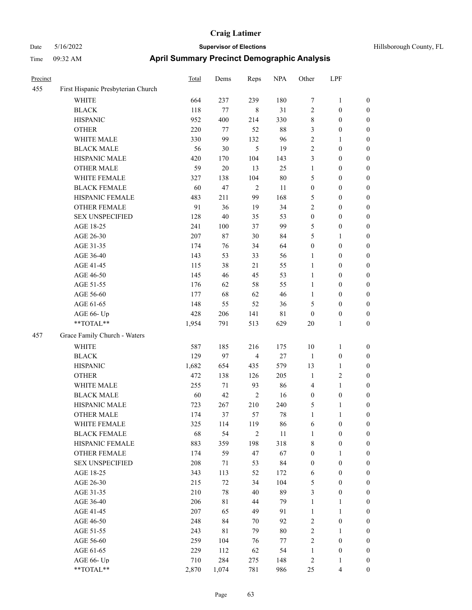| Precinct |                                    | <b>Total</b> | Dems   | Reps           | <b>NPA</b>  | Other            | LPF                     |                  |
|----------|------------------------------------|--------------|--------|----------------|-------------|------------------|-------------------------|------------------|
| 455      | First Hispanic Presbyterian Church |              |        |                |             |                  |                         |                  |
|          | WHITE                              | 664          | 237    | 239            | 180         | 7                | $\mathbf{1}$            | $\boldsymbol{0}$ |
|          | <b>BLACK</b>                       | 118          | 77     | 8              | 31          | $\overline{c}$   | $\boldsymbol{0}$        | $\boldsymbol{0}$ |
|          | <b>HISPANIC</b>                    | 952          | 400    | 214            | 330         | 8                | $\boldsymbol{0}$        | 0                |
|          | <b>OTHER</b>                       | 220          | 77     | 52             | $88\,$      | 3                | $\boldsymbol{0}$        | 0                |
|          | WHITE MALE                         | 330          | 99     | 132            | 96          | $\sqrt{2}$       | $\mathbf{1}$            | $\boldsymbol{0}$ |
|          | <b>BLACK MALE</b>                  | 56           | 30     | 5              | 19          | $\sqrt{2}$       | $\boldsymbol{0}$        | $\boldsymbol{0}$ |
|          | HISPANIC MALE                      | 420          | 170    | 104            | 143         | 3                | $\boldsymbol{0}$        | $\boldsymbol{0}$ |
|          | <b>OTHER MALE</b>                  | 59           | 20     | 13             | 25          | $\mathbf{1}$     | $\boldsymbol{0}$        | $\boldsymbol{0}$ |
|          | WHITE FEMALE                       | 327          | 138    | 104            | $80\,$      | 5                | $\boldsymbol{0}$        | $\boldsymbol{0}$ |
|          | <b>BLACK FEMALE</b>                | 60           | 47     | $\sqrt{2}$     | 11          | $\boldsymbol{0}$ | $\boldsymbol{0}$        | $\boldsymbol{0}$ |
|          | HISPANIC FEMALE                    | 483          | 211    | 99             | 168         | 5                | $\boldsymbol{0}$        | $\boldsymbol{0}$ |
|          | OTHER FEMALE                       | 91           | 36     | 19             | 34          | 2                | $\boldsymbol{0}$        | 0                |
|          | <b>SEX UNSPECIFIED</b>             | 128          | 40     | 35             | 53          | $\boldsymbol{0}$ | $\boldsymbol{0}$        | 0                |
|          | AGE 18-25                          | 241          | 100    | 37             | 99          | 5                | $\boldsymbol{0}$        | 0                |
|          | AGE 26-30                          | 207          | $87\,$ | 30             | 84          | 5                | 1                       | $\boldsymbol{0}$ |
|          | AGE 31-35                          | 174          | 76     | 34             | 64          | $\boldsymbol{0}$ | $\boldsymbol{0}$        | $\boldsymbol{0}$ |
|          | AGE 36-40                          | 143          | 53     | 33             | 56          | 1                | $\boldsymbol{0}$        | $\boldsymbol{0}$ |
|          | AGE 41-45                          | 115          | 38     | 21             | 55          | $\mathbf{1}$     | $\boldsymbol{0}$        | $\boldsymbol{0}$ |
|          | AGE 46-50                          | 145          | 46     | 45             | 53          | $\mathbf{1}$     | $\boldsymbol{0}$        | $\boldsymbol{0}$ |
|          | AGE 51-55                          | 176          | 62     | 58             | 55          | $\mathbf{1}$     | $\boldsymbol{0}$        | $\boldsymbol{0}$ |
|          | AGE 56-60                          | 177          | 68     | 62             | 46          | 1                | $\boldsymbol{0}$        | $\boldsymbol{0}$ |
|          | AGE 61-65                          | 148          | 55     | 52             | 36          | 5                | $\boldsymbol{0}$        | 0                |
|          | AGE 66- Up                         | 428          | 206    | 141            | $8\sqrt{1}$ | $\boldsymbol{0}$ | $\boldsymbol{0}$        | 0                |
|          | **TOTAL**                          | 1,954        | 791    | 513            | 629         | 20               | $\mathbf{1}$            | $\boldsymbol{0}$ |
| 457      | Grace Family Church - Waters       |              |        |                |             |                  |                         |                  |
|          | <b>WHITE</b>                       | 587          | 185    | 216            | 175         | 10               | $\mathbf{1}$            | 0                |
|          | <b>BLACK</b>                       | 129          | 97     | $\overline{4}$ | $27\,$      | $\mathbf{1}$     | $\boldsymbol{0}$        | 0                |
|          | <b>HISPANIC</b>                    | 1,682        | 654    | 435            | 579         | 13               | $\mathbf{1}$            | 0                |
|          | <b>OTHER</b>                       | 472          | 138    | 126            | 205         | $\mathbf{1}$     | $\sqrt{2}$              | $\boldsymbol{0}$ |
|          | WHITE MALE                         | 255          | 71     | 93             | 86          | 4                | $\mathbf{1}$            | $\boldsymbol{0}$ |
|          | <b>BLACK MALE</b>                  | 60           | 42     | $\sqrt{2}$     | 16          | $\boldsymbol{0}$ | $\boldsymbol{0}$        | $\boldsymbol{0}$ |
|          | HISPANIC MALE                      | 723          | 267    | 210            | 240         | 5                | $\mathbf{1}$            | $\boldsymbol{0}$ |
|          | <b>OTHER MALE</b>                  | 174          | 37     | 57             | 78          | $\mathbf{1}$     | $\mathbf{1}$            | $\boldsymbol{0}$ |
|          | WHITE FEMALE                       | 325          | 114    | 119            | 86          | 6                | $\boldsymbol{0}$        | 0                |
|          | <b>BLACK FEMALE</b>                | 68           | 54     | $\overline{2}$ | 11          | $\mathbf{1}$     | $\boldsymbol{0}$        | 0                |
|          | HISPANIC FEMALE                    | 883          | 359    | 198            | 318         | 8                | $\boldsymbol{0}$        | 0                |
|          | <b>OTHER FEMALE</b>                | 174          | 59     | 47             | 67          | $\boldsymbol{0}$ | $\mathbf{1}$            | 0                |
|          | <b>SEX UNSPECIFIED</b>             | 208          | 71     | 53             | 84          | $\boldsymbol{0}$ | $\boldsymbol{0}$        | $\overline{0}$   |
|          | AGE 18-25                          | 343          | 113    | 52             | 172         | 6                | $\boldsymbol{0}$        | $\overline{0}$   |
|          | AGE 26-30                          | 215          | 72     | 34             | 104         | 5                | $\boldsymbol{0}$        | $\overline{0}$   |
|          | AGE 31-35                          | 210          | $78\,$ | 40             | 89          | 3                | $\boldsymbol{0}$        | 0                |
|          | AGE 36-40                          | 206          | 81     | 44             | 79          | $\mathbf{1}$     | $\mathbf{1}$            | $\overline{0}$   |
|          | AGE 41-45                          | 207          | 65     | 49             | 91          | $\mathbf{1}$     | $\mathbf{1}$            | $\overline{0}$   |
|          | AGE 46-50                          | 248          | 84     | 70             | 92          | 2                | $\boldsymbol{0}$        | $\overline{0}$   |
|          | AGE 51-55                          | 243          | 81     | 79             | $80\,$      | $\overline{c}$   | $\mathbf{1}$            | 0                |
|          | AGE 56-60                          | 259          | 104    | 76             | $77\,$      | $\sqrt{2}$       | $\boldsymbol{0}$        | 0                |
|          | AGE 61-65                          | 229          | 112    | 62             | 54          | $\mathbf{1}$     | $\boldsymbol{0}$        | $\boldsymbol{0}$ |
|          | AGE 66- Up                         | 710          | 284    | 275            | 148         | $\sqrt{2}$       | $\mathbf{1}$            | 0                |
|          | $**TOTAL**$                        | 2,870        | 1,074  | 781            | 986         | 25               | $\overline{\mathbf{4}}$ | $\boldsymbol{0}$ |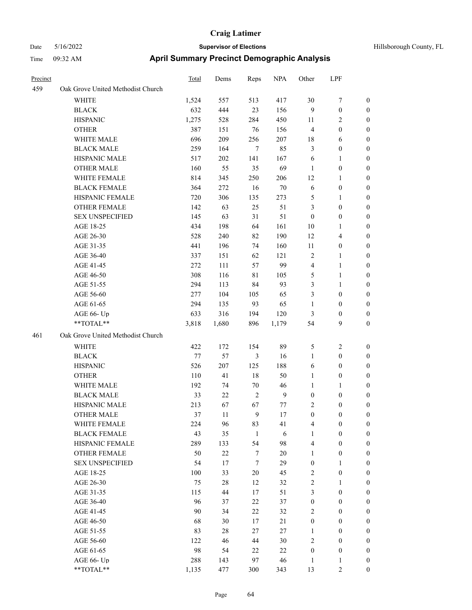| <b>Precinct</b> |                                   | <b>Total</b> | Dems   | Reps         | <b>NPA</b>       | Other            | LPF                     |                  |
|-----------------|-----------------------------------|--------------|--------|--------------|------------------|------------------|-------------------------|------------------|
| 459             | Oak Grove United Methodist Church |              |        |              |                  |                  |                         |                  |
|                 | WHITE                             | 1,524        | 557    | 513          | 417              | 30               | $\tau$                  | $\boldsymbol{0}$ |
|                 | <b>BLACK</b>                      | 632          | 444    | 23           | 156              | $\overline{9}$   | $\boldsymbol{0}$        | $\boldsymbol{0}$ |
|                 | <b>HISPANIC</b>                   | 1,275        | 528    | 284          | 450              | 11               | $\overline{c}$          | 0                |
|                 | <b>OTHER</b>                      | 387          | 151    | 76           | 156              | $\overline{4}$   | $\boldsymbol{0}$        | 0                |
|                 | WHITE MALE                        | 696          | 209    | 256          | 207              | 18               | 6                       | 0                |
|                 | <b>BLACK MALE</b>                 | 259          | 164    | 7            | 85               | 3                | $\boldsymbol{0}$        | 0                |
|                 | HISPANIC MALE                     | 517          | 202    | 141          | 167              | 6                | $\mathbf{1}$            | 0                |
|                 | <b>OTHER MALE</b>                 | 160          | 55     | 35           | 69               | $\mathbf{1}$     | $\boldsymbol{0}$        | $\boldsymbol{0}$ |
|                 | WHITE FEMALE                      | 814          | 345    | 250          | 206              | 12               | $\mathbf{1}$            | 0                |
|                 | <b>BLACK FEMALE</b>               | 364          | 272    | 16           | $70\,$           | 6                | $\boldsymbol{0}$        | $\boldsymbol{0}$ |
|                 | HISPANIC FEMALE                   | 720          | 306    | 135          | 273              | 5                | $\mathbf{1}$            | 0                |
|                 | <b>OTHER FEMALE</b>               | 142          | 63     | 25           | 51               | 3                | $\boldsymbol{0}$        | 0                |
|                 | <b>SEX UNSPECIFIED</b>            | 145          | 63     | 31           | 51               | $\boldsymbol{0}$ | $\boldsymbol{0}$        | 0                |
|                 | AGE 18-25                         | 434          | 198    | 64           | 161              | 10               | $\mathbf{1}$            | 0                |
|                 | AGE 26-30                         | 528          | 240    | 82           | 190              | 12               | $\overline{\mathbf{4}}$ | 0                |
|                 | AGE 31-35                         | 441          | 196    | 74           | 160              | 11               | $\boldsymbol{0}$        | 0                |
|                 | AGE 36-40                         | 337          | 151    | 62           | 121              | $\overline{c}$   | $\mathbf{1}$            | 0                |
|                 | AGE 41-45                         | 272          | 111    | 57           | 99               | 4                | $\mathbf{1}$            | 0                |
|                 | AGE 46-50                         | 308          | 116    | 81           | 105              | 5                | $\mathbf{1}$            | 0                |
|                 | AGE 51-55                         | 294          | 113    | 84           | 93               | 3                | $\mathbf{1}$            | 0                |
|                 | AGE 56-60                         | 277          | 104    | 105          | 65               | 3                | $\boldsymbol{0}$        | 0                |
|                 | AGE 61-65                         | 294          | 135    | 93           | 65               | $\mathbf{1}$     | $\boldsymbol{0}$        | 0                |
|                 | AGE 66- Up                        | 633          | 316    | 194          | 120              | 3                | $\boldsymbol{0}$        | 0                |
|                 | **TOTAL**                         | 3,818        | 1,680  | 896          | 1,179            | 54               | 9                       | 0                |
| 461             | Oak Grove United Methodist Church |              |        |              |                  |                  |                         |                  |
|                 | WHITE                             | 422          | 172    | 154          | 89               | 5                | 2                       | 0                |
|                 | <b>BLACK</b>                      | $77 \,$      | 57     | 3            | 16               | $\mathbf{1}$     | $\boldsymbol{0}$        | 0                |
|                 | <b>HISPANIC</b>                   | 526          | 207    | 125          | 188              | 6                | $\boldsymbol{0}$        | 0                |
|                 | <b>OTHER</b>                      | 110          | 41     | 18           | 50               | 1                | $\boldsymbol{0}$        | 0                |
|                 | WHITE MALE                        | 192          | 74     | 70           | 46               | $\mathbf{1}$     | 1                       | $\boldsymbol{0}$ |
|                 | <b>BLACK MALE</b>                 | 33           | 22     | $\sqrt{2}$   | $\boldsymbol{9}$ | $\boldsymbol{0}$ | $\boldsymbol{0}$        | 0                |
|                 | HISPANIC MALE                     | 213          | 67     | 67           | 77               | 2                | $\boldsymbol{0}$        | 0                |
|                 | <b>OTHER MALE</b>                 | 37           | 11     | 9            | 17               | $\boldsymbol{0}$ | $\boldsymbol{0}$        | $\boldsymbol{0}$ |
|                 | WHITE FEMALE                      | 224          | 96     | 83           | 41               | $\overline{4}$   | $\boldsymbol{0}$        | 0                |
|                 | <b>BLACK FEMALE</b>               | 43           | 35     | $\mathbf{1}$ | $\sqrt{6}$       | $\mathbf{1}$     | $\boldsymbol{0}$        | 0                |
|                 | HISPANIC FEMALE                   | 289          | 133    | 54           | 98               | $\overline{4}$   | $\boldsymbol{0}$        | 0                |
|                 | OTHER FEMALE                      | 50           | $22\,$ | $\tau$       | $20\,$           | $\mathbf{1}$     | $\boldsymbol{0}$        | 0                |
|                 | <b>SEX UNSPECIFIED</b>            | 54           | $17\,$ | $\tau$       | 29               | $\boldsymbol{0}$ | $\mathbf{1}$            | 0                |
|                 | AGE 18-25                         | 100          | 33     | 20           | 45               | $\overline{c}$   | $\boldsymbol{0}$        | $\boldsymbol{0}$ |
|                 | AGE 26-30                         | 75           | $28\,$ | 12           | 32               | 2                | $\mathbf{1}$            | $\overline{0}$   |
|                 | AGE 31-35                         | 115          | 44     | 17           | 51               | 3                | $\boldsymbol{0}$        | $\overline{0}$   |
|                 | AGE 36-40                         | 96           | 37     | $22\,$       | 37               | $\boldsymbol{0}$ | $\boldsymbol{0}$        | $\overline{0}$   |
|                 | AGE 41-45                         | $90\,$       | 34     | $22\,$       | 32               | $\sqrt{2}$       | $\boldsymbol{0}$        | $\overline{0}$   |
|                 | AGE 46-50                         | 68           | 30     | 17           | $21\,$           | $\boldsymbol{0}$ | $\boldsymbol{0}$        | $\overline{0}$   |
|                 | AGE 51-55                         | 83           | $28\,$ | $27\,$       | $27\,$           | $\mathbf{1}$     | $\boldsymbol{0}$        | $\boldsymbol{0}$ |
|                 | AGE 56-60                         | 122          | 46     | $44\,$       | 30               | $\sqrt{2}$       | $\boldsymbol{0}$        | 0                |
|                 | AGE 61-65                         | 98           | 54     | 22           | 22               | $\boldsymbol{0}$ | $\boldsymbol{0}$        | $\boldsymbol{0}$ |
|                 | AGE 66- Up                        | 288          | 143    | 97           | 46               | $\mathbf{1}$     | $\mathbf{1}$            | 0                |
|                 | $**TOTAL**$                       | 1,135        | 477    | 300          | 343              | 13               | $\sqrt{2}$              | $\overline{0}$   |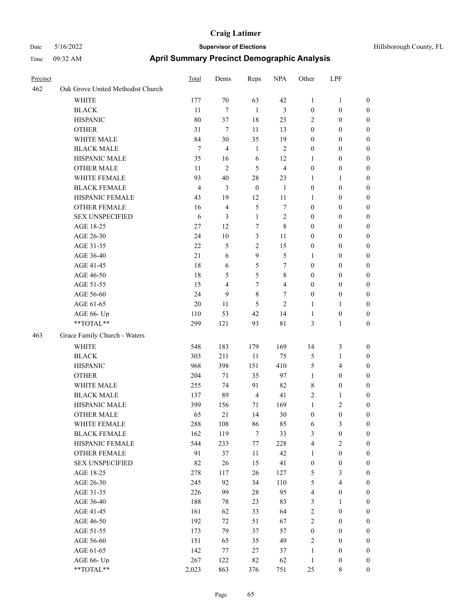| Precinct |                                   | <b>Total</b>   | Dems           | Reps             | <b>NPA</b>     | Other            | LPF                   |                              |
|----------|-----------------------------------|----------------|----------------|------------------|----------------|------------------|-----------------------|------------------------------|
| 462      | Oak Grove United Methodist Church |                |                |                  |                |                  |                       |                              |
|          | WHITE                             | 177            | 70             | 63               | 42             | $\mathbf{1}$     | $\mathbf{1}$          | $\boldsymbol{0}$             |
|          | <b>BLACK</b>                      | 11             | 7              | 1                | 3              | $\boldsymbol{0}$ | $\boldsymbol{0}$      | $\boldsymbol{0}$             |
|          | <b>HISPANIC</b>                   | 80             | 37             | 18               | 23             | $\overline{2}$   | $\boldsymbol{0}$      | $\boldsymbol{0}$             |
|          | <b>OTHER</b>                      | 31             | 7              | 11               | 13             | $\mathbf{0}$     | $\boldsymbol{0}$      | $\boldsymbol{0}$             |
|          | WHITE MALE                        | 84             | 30             | 35               | 19             | $\boldsymbol{0}$ | $\boldsymbol{0}$      | $\boldsymbol{0}$             |
|          | <b>BLACK MALE</b>                 | 7              | $\overline{4}$ | $\mathbf{1}$     | $\overline{2}$ | $\boldsymbol{0}$ | $\boldsymbol{0}$      | $\boldsymbol{0}$             |
|          | HISPANIC MALE                     | 35             | 16             | 6                | 12             | $\mathbf{1}$     | $\boldsymbol{0}$      | $\boldsymbol{0}$             |
|          | <b>OTHER MALE</b>                 | 11             | $\mathfrak{2}$ | 5                | $\overline{4}$ | $\boldsymbol{0}$ | $\boldsymbol{0}$      | $\boldsymbol{0}$             |
|          | WHITE FEMALE                      | 93             | 40             | 28               | 23             | 1                | 1                     | $\boldsymbol{0}$             |
|          | <b>BLACK FEMALE</b>               | $\overline{4}$ | 3              | $\boldsymbol{0}$ | 1              | $\boldsymbol{0}$ | $\boldsymbol{0}$      | $\boldsymbol{0}$             |
|          | HISPANIC FEMALE                   | 43             | 19             | 12               | 11             | 1                | $\boldsymbol{0}$      | $\boldsymbol{0}$             |
|          | <b>OTHER FEMALE</b>               | 16             | 4              | $\mathfrak{H}$   | $\overline{7}$ | $\boldsymbol{0}$ | $\boldsymbol{0}$      | $\boldsymbol{0}$             |
|          | <b>SEX UNSPECIFIED</b>            | 6              | 3              | 1                | $\mathfrak{2}$ | $\mathbf{0}$     | $\theta$              | $\boldsymbol{0}$             |
|          | AGE 18-25                         | 27             | 12             | 7                | 8              | $\mathbf{0}$     | $\theta$              | $\boldsymbol{0}$             |
|          | AGE 26-30                         | 24             | 10             | 3                | 11             | $\boldsymbol{0}$ | $\boldsymbol{0}$      | $\boldsymbol{0}$             |
|          | AGE 31-35                         | 22             | 5              | $\overline{2}$   | 15             | $\boldsymbol{0}$ | $\boldsymbol{0}$      | $\boldsymbol{0}$             |
|          | AGE 36-40                         | 21             | 6              | 9                | 5              | 1                | $\boldsymbol{0}$      | $\boldsymbol{0}$             |
|          | AGE 41-45                         | 18             | 6              | 5                | 7              | $\mathbf{0}$     | $\mathbf{0}$          | $\boldsymbol{0}$             |
|          | AGE 46-50                         | 18             | 5              | 5                | 8              | $\boldsymbol{0}$ | $\boldsymbol{0}$      | $\boldsymbol{0}$             |
|          | AGE 51-55                         | 15             | $\overline{4}$ | 7                | 4              | $\boldsymbol{0}$ | $\boldsymbol{0}$      | $\boldsymbol{0}$             |
|          | AGE 56-60                         | 24             | 9              | 8                | 7              | $\boldsymbol{0}$ | $\boldsymbol{0}$      | $\boldsymbol{0}$             |
|          | AGE 61-65                         | 20             | 11             | 5                | $\overline{c}$ | 1                | 1                     | $\boldsymbol{0}$             |
|          | AGE 66- Up                        | 110            | 53             | 42               | 14             | 1                | $\boldsymbol{0}$      | $\boldsymbol{0}$             |
|          | **TOTAL**                         | 299            | 121            | 93               | 81             | 3                | 1                     | $\boldsymbol{0}$             |
| 463      | Grace Family Church - Waters      |                |                |                  |                |                  |                       |                              |
|          | <b>WHITE</b>                      | 548            | 183            | 179              | 169            | 14               | 3                     | $\boldsymbol{0}$             |
|          | <b>BLACK</b>                      | 303            | 211            | 11               | 75             | 5                | 1                     | $\boldsymbol{0}$             |
|          | <b>HISPANIC</b>                   | 968            | 398            | 151              | 410            | 5                | 4                     | $\boldsymbol{0}$             |
|          | <b>OTHER</b>                      | 204            | 71             | 35               | 97             | $\mathbf{1}$     | $\boldsymbol{0}$      | $\boldsymbol{0}$             |
|          | WHITE MALE                        | 255            | 74             | 91               | 82             | $\,$ 8 $\,$      | $\boldsymbol{0}$      | $\boldsymbol{0}$             |
|          | <b>BLACK MALE</b>                 | 137            | 89             | $\overline{4}$   | 41             | $\sqrt{2}$       | 1                     | $\boldsymbol{0}$             |
|          | HISPANIC MALE                     | 399            | 156            | 71               | 169            | $\mathbf{1}$     | 2                     | $\boldsymbol{0}$             |
|          | <b>OTHER MALE</b>                 | 65             | 21             | 14               | 30             | $\mathbf{0}$     | $\theta$              | $\boldsymbol{0}$             |
|          | WHITE FEMALE                      | 288            | 108            | 86               | 85             | 6                | 3                     | $\boldsymbol{0}$             |
|          | <b>BLACK FEMALE</b>               | 162            | 119            | $\tau$           | 33             | $\mathfrak{Z}$   | $\boldsymbol{0}$      | $\boldsymbol{0}$             |
|          | HISPANIC FEMALE                   | 544            | 233            | 77               | 228            | $\overline{4}$   | 2                     | $\boldsymbol{0}$             |
|          | OTHER FEMALE                      | 91             | 37             | 11               | 42             | $\mathbf{1}$     | $\boldsymbol{0}$      | $\boldsymbol{0}$             |
|          | <b>SEX UNSPECIFIED</b>            | 82             | 26             | 15               | 41             | $\boldsymbol{0}$ | $\boldsymbol{0}$      | $\boldsymbol{0}$             |
|          | AGE 18-25                         | 278            | 117            | 26               | 127            | $\sqrt{5}$       | 3                     | $\boldsymbol{0}$             |
|          | AGE 26-30                         | 245            | 92             | 34               | 110            | $\mathfrak{S}$   | 4                     | $\boldsymbol{0}$             |
|          | AGE 31-35                         | 226            | 99             | 28               | 95             | $\overline{4}$   | $\boldsymbol{0}$      | $\boldsymbol{0}$             |
|          | AGE 36-40                         | 188            | 78             | 23               | 83             | 3                | $\mathbf{1}$          | $\boldsymbol{0}$             |
|          | AGE 41-45                         | 161            | 62             | 33               | 64             | $\sqrt{2}$       | $\boldsymbol{0}$      | $\boldsymbol{0}$             |
|          |                                   |                |                |                  |                | $\sqrt{2}$       |                       |                              |
|          | AGE 46-50                         | 192            | 72             | 51               | 67             |                  | $\boldsymbol{0}$      | $\boldsymbol{0}$             |
|          | AGE 51-55                         | 173            | 79             | 37               | 57             | $\boldsymbol{0}$ | $\boldsymbol{0}$      | $\boldsymbol{0}$             |
|          | AGE 56-60                         | 151            | 65             | 35               | 49             | $\sqrt{2}$       | $\boldsymbol{0}$      | $\boldsymbol{0}$             |
|          | AGE 61-65                         | 142<br>267     | 77<br>122      | $27\,$<br>$82\,$ | 37<br>62       | $\mathbf{1}$     | $\boldsymbol{0}$      | $\boldsymbol{0}$             |
|          | AGE 66- Up<br>**TOTAL**           |                |                |                  |                | 1                | $\boldsymbol{0}$<br>8 | $\bf{0}$<br>$\boldsymbol{0}$ |
|          |                                   | 2,023          | 863            | 376              | 751            | 25               |                       |                              |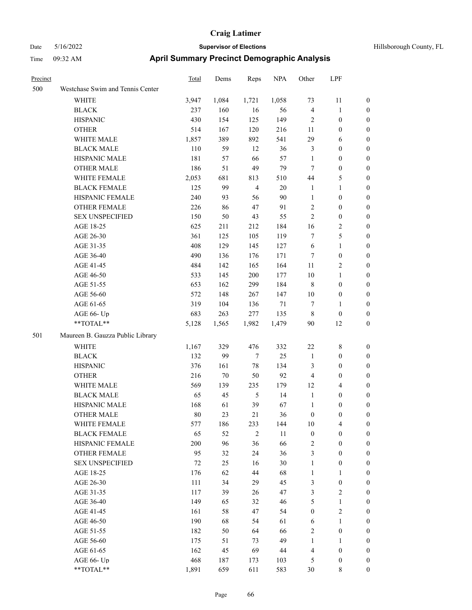| Precinct |                                  | Total | Dems   | Reps           | <b>NPA</b> | Other            | LPF                     |                  |
|----------|----------------------------------|-------|--------|----------------|------------|------------------|-------------------------|------------------|
| 500      | Westchase Swim and Tennis Center |       |        |                |            |                  |                         |                  |
|          | WHITE                            | 3,947 | 1,084  | 1,721          | 1,058      | 73               | 11                      | $\boldsymbol{0}$ |
|          | <b>BLACK</b>                     | 237   | 160    | 16             | 56         | $\overline{4}$   | $\mathbf{1}$            | $\boldsymbol{0}$ |
|          | <b>HISPANIC</b>                  | 430   | 154    | 125            | 149        | $\overline{2}$   | $\boldsymbol{0}$        | $\boldsymbol{0}$ |
|          | <b>OTHER</b>                     | 514   | 167    | 120            | 216        | 11               | $\boldsymbol{0}$        | 0                |
|          | WHITE MALE                       | 1,857 | 389    | 892            | 541        | 29               | 6                       | 0                |
|          | <b>BLACK MALE</b>                | 110   | 59     | 12             | 36         | $\mathfrak{Z}$   | $\boldsymbol{0}$        | 0                |
|          | HISPANIC MALE                    | 181   | 57     | 66             | 57         | $\mathbf{1}$     | $\boldsymbol{0}$        | $\boldsymbol{0}$ |
|          | <b>OTHER MALE</b>                | 186   | 51     | 49             | 79         | 7                | $\boldsymbol{0}$        | $\boldsymbol{0}$ |
|          | WHITE FEMALE                     | 2,053 | 681    | 813            | 510        | 44               | $\mathfrak{S}$          | $\boldsymbol{0}$ |
|          | <b>BLACK FEMALE</b>              | 125   | 99     | $\overline{4}$ | 20         | $\mathbf{1}$     | $\mathbf{1}$            | $\boldsymbol{0}$ |
|          | HISPANIC FEMALE                  | 240   | 93     | 56             | 90         | $\mathbf{1}$     | $\boldsymbol{0}$        | $\boldsymbol{0}$ |
|          | <b>OTHER FEMALE</b>              | 226   | 86     | 47             | 91         | $\overline{c}$   | $\boldsymbol{0}$        | $\boldsymbol{0}$ |
|          | <b>SEX UNSPECIFIED</b>           | 150   | 50     | 43             | 55         | $\overline{c}$   | $\boldsymbol{0}$        | $\boldsymbol{0}$ |
|          | AGE 18-25                        | 625   | 211    | 212            | 184        | 16               | $\sqrt{2}$              | 0                |
|          | AGE 26-30                        | 361   | 125    | 105            | 119        | 7                | 5                       | 0                |
|          | AGE 31-35                        | 408   | 129    | 145            | 127        | 6                | $\mathbf{1}$            | 0                |
|          | AGE 36-40                        | 490   | 136    | 176            | 171        | 7                | $\boldsymbol{0}$        | 0                |
|          | AGE 41-45                        | 484   | 142    | 165            | 164        | 11               | $\sqrt{2}$              | $\boldsymbol{0}$ |
|          | AGE 46-50                        | 533   | 145    | 200            | 177        | 10               | $\mathbf{1}$            | $\boldsymbol{0}$ |
|          | AGE 51-55                        | 653   | 162    | 299            | 184        | 8                | $\boldsymbol{0}$        | $\boldsymbol{0}$ |
|          | AGE 56-60                        | 572   | 148    | 267            | 147        | 10               | $\boldsymbol{0}$        | $\boldsymbol{0}$ |
|          | AGE 61-65                        | 319   | 104    | 136            | 71         | 7                | $\mathbf{1}$            | $\boldsymbol{0}$ |
|          | AGE 66- Up                       | 683   | 263    | 277            | 135        | $\,8\,$          | $\boldsymbol{0}$        | 0                |
|          | **TOTAL**                        | 5,128 | 1,565  | 1,982          | 1,479      | 90               | 12                      | $\boldsymbol{0}$ |
| 501      | Maureen B. Gauzza Public Library |       |        |                |            |                  |                         |                  |
|          | WHITE                            | 1,167 | 329    | 476            | 332        | 22               | 8                       | $\boldsymbol{0}$ |
|          | <b>BLACK</b>                     | 132   | 99     | $\tau$         | 25         | $\mathbf{1}$     | $\boldsymbol{0}$        | 0                |
|          | <b>HISPANIC</b>                  | 376   | 161    | $78\,$         | 134        | 3                | $\boldsymbol{0}$        | 0                |
|          | <b>OTHER</b>                     | 216   | $70\,$ | 50             | 92         | $\overline{4}$   | $\boldsymbol{0}$        | 0                |
|          | WHITE MALE                       | 569   | 139    | 235            | 179        | 12               | $\overline{4}$          | $\boldsymbol{0}$ |
|          | <b>BLACK MALE</b>                | 65    | 45     | $\mathfrak{H}$ | 14         | $\mathbf{1}$     | $\boldsymbol{0}$        | $\boldsymbol{0}$ |
|          | HISPANIC MALE                    | 168   | 61     | 39             | 67         | $\mathbf{1}$     | $\boldsymbol{0}$        | $\boldsymbol{0}$ |
|          | <b>OTHER MALE</b>                | 80    | 23     | 21             | 36         | $\boldsymbol{0}$ | $\boldsymbol{0}$        | $\boldsymbol{0}$ |
|          | WHITE FEMALE                     | 577   | 186    | 233            | 144        | 10               | $\overline{\mathbf{4}}$ | $\boldsymbol{0}$ |
|          | <b>BLACK FEMALE</b>              | 65    | 52     | $\sqrt{2}$     | 11         | $\boldsymbol{0}$ | $\boldsymbol{0}$        | 0                |
|          | HISPANIC FEMALE                  | 200   | 96     | 36             | 66         | $\overline{c}$   | $\boldsymbol{0}$        | 0                |
|          | <b>OTHER FEMALE</b>              | 95    | 32     | 24             | 36         | 3                | $\boldsymbol{0}$        | 0                |
|          | <b>SEX UNSPECIFIED</b>           | 72    | 25     | 16             | 30         | $\mathbf{1}$     | $\boldsymbol{0}$        | 0                |
|          | AGE 18-25                        | 176   | 62     | 44             | 68         | $\mathbf{1}$     | $\mathbf{1}$            | $\overline{0}$   |
|          | AGE 26-30                        | 111   | 34     | 29             | 45         | 3                | $\boldsymbol{0}$        | $\boldsymbol{0}$ |
|          | AGE 31-35                        | 117   | 39     | 26             | 47         | 3                | $\sqrt{2}$              | $\boldsymbol{0}$ |
|          | AGE 36-40                        | 149   | 65     | 32             | 46         | 5                | $\mathbf{1}$            | $\overline{0}$   |
|          | AGE 41-45                        | 161   | 58     | 47             | 54         | $\boldsymbol{0}$ | $\sqrt{2}$              | $\boldsymbol{0}$ |
|          | AGE 46-50                        | 190   | 68     | 54             | 61         | 6                | $\mathbf{1}$            | $\overline{0}$   |
|          | AGE 51-55                        | 182   | 50     | 64             | 66         | $\sqrt{2}$       | $\boldsymbol{0}$        | $\overline{0}$   |
|          | AGE 56-60                        | 175   | 51     | 73             | 49         | $\mathbf{1}$     | $\mathbf{1}$            | $\boldsymbol{0}$ |
|          | AGE 61-65                        | 162   | 45     | 69             | $44\,$     | $\overline{4}$   | $\boldsymbol{0}$        | 0                |
|          | AGE 66- Up                       | 468   | 187    | 173            | 103        | 5                | $\boldsymbol{0}$        | 0                |
|          | $**TOTAL**$                      | 1,891 | 659    | 611            | 583        | $30\,$           | $8\,$                   | $\boldsymbol{0}$ |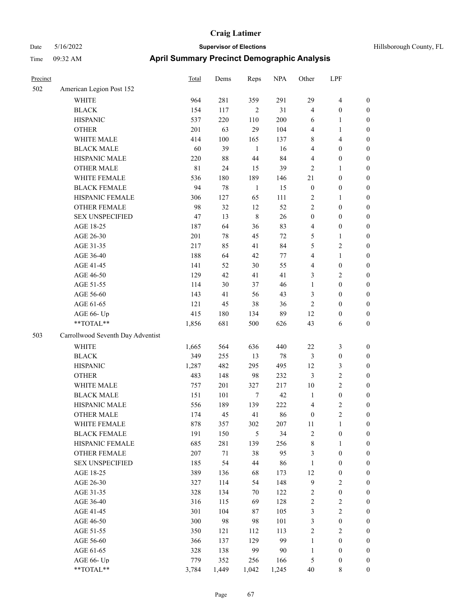# Date 5/16/2022 **Supervisor of Elections Supervisor of Elections** Hillsborough County, FL Time 09:32 AM **April Summary Precinct Demographic Analysis**

| Precinct |                                   | Total       | Dems    | Reps           | <b>NPA</b> | Other            | LPF              |                  |
|----------|-----------------------------------|-------------|---------|----------------|------------|------------------|------------------|------------------|
| 502      | American Legion Post 152          |             |         |                |            |                  |                  |                  |
|          | <b>WHITE</b>                      | 964         | 281     | 359            | 291        | 29               | 4                | $\boldsymbol{0}$ |
|          | <b>BLACK</b>                      | 154         | 117     | $\overline{2}$ | 31         | $\overline{4}$   | $\boldsymbol{0}$ | $\boldsymbol{0}$ |
|          | <b>HISPANIC</b>                   | 537         | 220     | 110            | 200        | 6                | 1                | $\boldsymbol{0}$ |
|          | <b>OTHER</b>                      | 201         | 63      | 29             | 104        | $\overline{4}$   | 1                | $\boldsymbol{0}$ |
|          | WHITE MALE                        | 414         | $100\,$ | 165            | 137        | $\,8\,$          | 4                | $\boldsymbol{0}$ |
|          | <b>BLACK MALE</b>                 | 60          | 39      | 1              | 16         | $\overline{4}$   | $\boldsymbol{0}$ | $\boldsymbol{0}$ |
|          | HISPANIC MALE                     | 220         | $88\,$  | 44             | 84         | $\overline{4}$   | $\boldsymbol{0}$ | $\boldsymbol{0}$ |
|          | <b>OTHER MALE</b>                 | $8\sqrt{1}$ | 24      | 15             | 39         | $\overline{2}$   | 1                | $\boldsymbol{0}$ |
|          | WHITE FEMALE                      | 536         | 180     | 189            | 146        | 21               | $\boldsymbol{0}$ | $\boldsymbol{0}$ |
|          | <b>BLACK FEMALE</b>               | 94          | $78\,$  | $\mathbf{1}$   | 15         | $\boldsymbol{0}$ | $\boldsymbol{0}$ | $\boldsymbol{0}$ |
|          | HISPANIC FEMALE                   | 306         | 127     | 65             | 111        | $\sqrt{2}$       | 1                | $\boldsymbol{0}$ |
|          | <b>OTHER FEMALE</b>               | 98          | 32      | 12             | 52         | $\sqrt{2}$       | $\boldsymbol{0}$ | $\boldsymbol{0}$ |
|          | <b>SEX UNSPECIFIED</b>            | 47          | 13      | $\,$ 8 $\,$    | $26\,$     | $\boldsymbol{0}$ | $\boldsymbol{0}$ | $\boldsymbol{0}$ |
|          | AGE 18-25                         | 187         | 64      | 36             | 83         | $\overline{4}$   | $\boldsymbol{0}$ | $\boldsymbol{0}$ |
|          | AGE 26-30                         | 201         | 78      | 45             | 72         | 5                | 1                | $\boldsymbol{0}$ |
|          | AGE 31-35                         | 217         | 85      | 41             | 84         | 5                | 2                | $\boldsymbol{0}$ |
|          | AGE 36-40                         | 188         | 64      | $42\,$         | 77         | $\overline{4}$   | 1                | $\boldsymbol{0}$ |
|          | AGE 41-45                         | 141         | 52      | $30\,$         | 55         | $\overline{4}$   | $\boldsymbol{0}$ | $\boldsymbol{0}$ |
|          | AGE 46-50                         | 129         | 42      | 41             | 41         | $\mathfrak{Z}$   | 2                | $\boldsymbol{0}$ |
|          | AGE 51-55                         | 114         | 30      | 37             | 46         | $\mathbf{1}$     | $\boldsymbol{0}$ | $\boldsymbol{0}$ |
|          | AGE 56-60                         | 143         | 41      | 56             | 43         | 3                | $\boldsymbol{0}$ | $\boldsymbol{0}$ |
|          | AGE 61-65                         | 121         | 45      | 38             | 36         | $\sqrt{2}$       | $\boldsymbol{0}$ | $\boldsymbol{0}$ |
|          | AGE 66- Up                        | 415         | 180     | 134            | 89         | 12               | $\boldsymbol{0}$ | $\boldsymbol{0}$ |
|          | **TOTAL**                         | 1,856       | 681     | 500            | 626        | 43               | 6                | $\boldsymbol{0}$ |
| 503      | Carrollwood Seventh Day Adventist |             |         |                |            |                  |                  |                  |
|          | WHITE                             | 1,665       | 564     | 636            | 440        | 22               | 3                | $\boldsymbol{0}$ |
|          | <b>BLACK</b>                      | 349         | 255     | 13             | 78         | 3                | $\boldsymbol{0}$ | $\boldsymbol{0}$ |
|          | <b>HISPANIC</b>                   | 1,287       | 482     | 295            | 495        | 12               | 3                | $\boldsymbol{0}$ |
|          | <b>OTHER</b>                      | 483         | 148     | 98             | 232        | $\mathfrak{Z}$   | 2                | $\boldsymbol{0}$ |
|          | WHITE MALE                        | 757         | 201     | 327            | 217        | 10               | 2                | $\boldsymbol{0}$ |
|          | <b>BLACK MALE</b>                 | 151         | 101     | $\tau$         | 42         | $\mathbf{1}$     | $\boldsymbol{0}$ | $\boldsymbol{0}$ |
|          | HISPANIC MALE                     | 556         | 189     | 139            | 222        | $\overline{4}$   | 2                | $\boldsymbol{0}$ |
|          | <b>OTHER MALE</b>                 | 174         | 45      | 41             | 86         | $\boldsymbol{0}$ | $\overline{c}$   | $\boldsymbol{0}$ |
|          | WHITE FEMALE                      | 878         | 357     | 302            | 207        | $11\,$           | $\mathbf{1}$     | $\boldsymbol{0}$ |
|          | <b>BLACK FEMALE</b>               | 191         | 150     | 5              | 34         | $\sqrt{2}$       | $\boldsymbol{0}$ | $\boldsymbol{0}$ |
|          | HISPANIC FEMALE                   | 685         | 281     | 139            | 256        | $\,$ $\,$        | 1                | $\boldsymbol{0}$ |
|          | OTHER FEMALE                      | 207         | 71      | 38             | 95         | $\mathfrak{Z}$   | $\boldsymbol{0}$ | $\boldsymbol{0}$ |
|          | <b>SEX UNSPECIFIED</b>            | 185         | 54      | 44             | 86         | $\mathbf{1}$     | $\boldsymbol{0}$ | $\boldsymbol{0}$ |
|          | AGE 18-25                         | 389         | 136     | 68             | 173        | 12               | $\boldsymbol{0}$ | $\boldsymbol{0}$ |
|          | AGE 26-30                         | 327         | 114     | 54             | 148        | $\mathbf{9}$     | $\mathbf{2}$     | $\boldsymbol{0}$ |
|          | AGE 31-35                         | 328         | 134     | 70             | 122        | $\sqrt{2}$       | $\boldsymbol{0}$ | $\boldsymbol{0}$ |
|          | AGE 36-40                         | 316         | 115     | 69             | 128        | $\sqrt{2}$       | 2                | $\boldsymbol{0}$ |
|          | AGE 41-45                         | 301         | 104     | 87             | 105        | $\mathfrak{Z}$   | $\overline{c}$   | $\boldsymbol{0}$ |
|          | AGE 46-50                         | 300         | 98      | 98             | 101        | $\mathfrak{Z}$   | $\boldsymbol{0}$ | $\boldsymbol{0}$ |
|          | AGE 51-55                         | 350         | 121     | 112            | 113        | $\sqrt{2}$       | $\sqrt{2}$       | $\boldsymbol{0}$ |
|          | AGE 56-60                         | 366         | 137     | 129            | 99         | $\mathbf{1}$     | $\boldsymbol{0}$ | $\boldsymbol{0}$ |
|          | AGE 61-65                         | 328         | 138     | 99             | 90         | $\mathbf{1}$     | $\boldsymbol{0}$ | $\boldsymbol{0}$ |
|          | AGE 66- Up                        | 779         | 352     | 256            | 166        | $\sqrt{5}$       | $\boldsymbol{0}$ | $\boldsymbol{0}$ |

\*\*TOTAL\*\* 3,784 1,449 1,042 1,245 40 8 0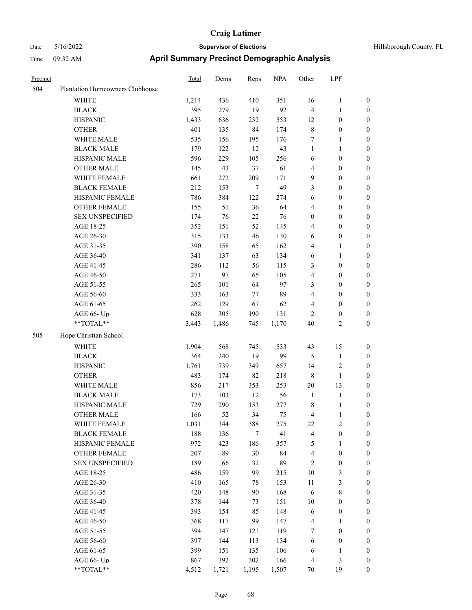# Date 5/16/2022 **Supervisor of Elections Supervisor of Elections** Hillsborough County, FL Time 09:32 AM **April Summary Precinct Demographic Analysis**

| Precinct |                                 | Total | Dems  | Reps   | <b>NPA</b> | Other                   | LPF              |                  |
|----------|---------------------------------|-------|-------|--------|------------|-------------------------|------------------|------------------|
| 504      | Plantation Homeowners Clubhouse |       |       |        |            |                         |                  |                  |
|          | <b>WHITE</b>                    | 1,214 | 436   | 410    | 351        | 16                      | $\mathbf{1}$     | $\boldsymbol{0}$ |
|          | <b>BLACK</b>                    | 395   | 279   | 19     | 92         | 4                       | $\mathbf{1}$     | $\boldsymbol{0}$ |
|          | <b>HISPANIC</b>                 | 1,433 | 636   | 232    | 553        | 12                      | $\boldsymbol{0}$ | $\boldsymbol{0}$ |
|          | <b>OTHER</b>                    | 401   | 135   | 84     | 174        | 8                       | $\boldsymbol{0}$ | $\boldsymbol{0}$ |
|          | WHITE MALE                      | 535   | 156   | 195    | 176        | 7                       | $\mathbf{1}$     | $\boldsymbol{0}$ |
|          | <b>BLACK MALE</b>               | 179   | 122   | 12     | 43         | $\mathbf{1}$            | $\mathbf{1}$     | $\boldsymbol{0}$ |
|          | HISPANIC MALE                   | 596   | 229   | 105    | 256        | 6                       | $\boldsymbol{0}$ | $\boldsymbol{0}$ |
|          | <b>OTHER MALE</b>               | 145   | 43    | 37     | 61         | 4                       | $\boldsymbol{0}$ | $\boldsymbol{0}$ |
|          | WHITE FEMALE                    | 661   | 272   | 209    | 171        | 9                       | $\boldsymbol{0}$ | $\boldsymbol{0}$ |
|          | <b>BLACK FEMALE</b>             | 212   | 153   | 7      | 49         | 3                       | $\boldsymbol{0}$ | $\boldsymbol{0}$ |
|          | HISPANIC FEMALE                 | 786   | 384   | 122    | 274        | 6                       | $\boldsymbol{0}$ | $\boldsymbol{0}$ |
|          | OTHER FEMALE                    | 155   | 51    | 36     | 64         | 4                       | $\boldsymbol{0}$ | $\boldsymbol{0}$ |
|          | <b>SEX UNSPECIFIED</b>          | 174   | 76    | $22\,$ | 76         | $\boldsymbol{0}$        | $\boldsymbol{0}$ | $\boldsymbol{0}$ |
|          | AGE 18-25                       | 352   | 151   | 52     | 145        | $\overline{4}$          | $\boldsymbol{0}$ | $\boldsymbol{0}$ |
|          | AGE 26-30                       | 315   | 133   | 46     | 130        | 6                       | $\boldsymbol{0}$ | $\boldsymbol{0}$ |
|          | AGE 31-35                       | 390   | 158   | 65     | 162        | $\overline{4}$          | 1                | $\boldsymbol{0}$ |
|          | AGE 36-40                       | 341   | 137   | 63     | 134        | 6                       | $\mathbf{1}$     | $\boldsymbol{0}$ |
|          | AGE 41-45                       | 286   | 112   | 56     | 115        | 3                       | $\boldsymbol{0}$ | $\boldsymbol{0}$ |
|          | AGE 46-50                       | 271   | 97    | 65     | 105        | 4                       | $\boldsymbol{0}$ | $\boldsymbol{0}$ |
|          | AGE 51-55                       | 265   | 101   | 64     | 97         | 3                       | $\boldsymbol{0}$ | $\boldsymbol{0}$ |
|          | AGE 56-60                       | 333   | 163   | 77     | 89         | 4                       | $\boldsymbol{0}$ | $\boldsymbol{0}$ |
|          | AGE 61-65                       | 262   | 129   | 67     | 62         | 4                       | $\boldsymbol{0}$ | $\boldsymbol{0}$ |
|          | AGE 66- Up                      | 628   | 305   | 190    | 131        | $\mathbf{2}$            | $\boldsymbol{0}$ | $\boldsymbol{0}$ |
|          | **TOTAL**                       | 3,443 | 1,486 | 745    | 1,170      | 40                      | $\mathbf{2}$     | $\boldsymbol{0}$ |
| 505      | Hope Christian School           |       |       |        |            |                         |                  |                  |
|          | <b>WHITE</b>                    | 1,904 | 568   | 745    | 533        | 43                      | 15               | $\boldsymbol{0}$ |
|          | <b>BLACK</b>                    | 364   | 240   | 19     | 99         | $\mathfrak{H}$          | $\mathbf{1}$     | $\boldsymbol{0}$ |
|          | <b>HISPANIC</b>                 | 1,761 | 739   | 349    | 657        | 14                      | $\overline{c}$   | $\boldsymbol{0}$ |
|          | <b>OTHER</b>                    | 483   | 174   | 82     | 218        | $\,8\,$                 | $\mathbf{1}$     | 0                |
|          | WHITE MALE                      | 856   | 217   | 353    | 253        | 20                      | 13               | $\boldsymbol{0}$ |
|          | <b>BLACK MALE</b>               | 173   | 103   | 12     | 56         | $\mathbf{1}$            | $\mathbf{1}$     | $\boldsymbol{0}$ |
|          | HISPANIC MALE                   | 729   | 290   | 153    | 277        | 8                       | $\mathbf{1}$     | $\boldsymbol{0}$ |
|          | <b>OTHER MALE</b>               | 166   | 52    | 34     | 75         | 4                       | $\mathbf{1}$     | $\boldsymbol{0}$ |
|          | WHITE FEMALE                    | 1,031 | 344   | 388    | 275        | 22                      | $\overline{c}$   | $\mathbf{0}$     |
|          | <b>BLACK FEMALE</b>             | 188   | 136   | $\tau$ | 41         | $\overline{\mathbf{4}}$ | $\boldsymbol{0}$ | $\boldsymbol{0}$ |
|          | HISPANIC FEMALE                 | 972   | 423   | 186    | 357        | 5                       | $\mathbf{1}$     | $\boldsymbol{0}$ |
|          | <b>OTHER FEMALE</b>             | 207   | 89    | 30     | 84         | $\overline{4}$          | $\boldsymbol{0}$ | $\boldsymbol{0}$ |
|          | SEX UNSPECIFIED                 | 189   | 66    | 32     | 89         | $\overline{c}$          | $\boldsymbol{0}$ | $\boldsymbol{0}$ |
|          | AGE 18-25                       | 486   | 159   | 99     | 215        | 10                      | 3                | 0                |
|          | AGE 26-30                       | 410   | 165   | 78     | 153        | 11                      | 3                | 0                |
|          | AGE 31-35                       | 420   | 148   | 90     | 168        | $\sqrt{6}$              | 8                | 0                |
|          | AGE 36-40                       | 378   | 144   | 73     | 151        | 10                      | $\boldsymbol{0}$ | 0                |
|          | AGE 41-45                       | 393   | 154   | 85     | 148        | 6                       | $\boldsymbol{0}$ | 0                |
|          | AGE 46-50                       | 368   | 117   | 99     | 147        | $\overline{\mathbf{4}}$ | 1                | 0                |
|          | AGE 51-55                       | 394   | 147   | 121    | 119        | 7                       | $\boldsymbol{0}$ | $\boldsymbol{0}$ |
|          | AGE 56-60                       | 397   | 144   | 113    | 134        | $\sqrt{6}$              | $\boldsymbol{0}$ | $\boldsymbol{0}$ |
|          | AGE 61-65                       | 399   | 151   | 135    | 106        | 6                       | 1                | $\boldsymbol{0}$ |
|          | AGE 66- Up                      | 867   | 392   | 302    | 166        | $\overline{4}$          | $\mathfrak{Z}$   | $\boldsymbol{0}$ |

\*\*TOTAL\*\* 4,512 1,721 1,195 1,507 70 19 0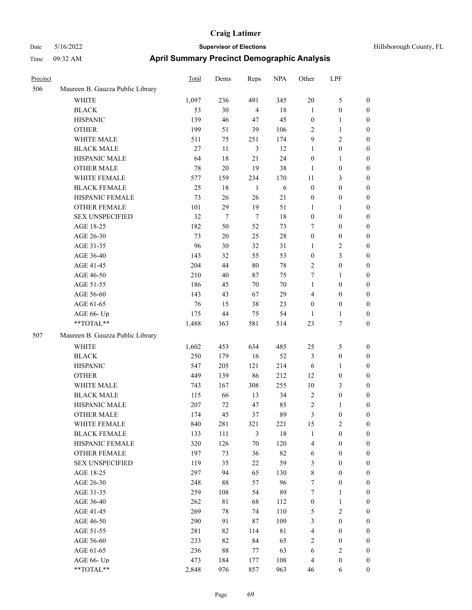| Hillsborough County, FL |  |  |
|-------------------------|--|--|
|-------------------------|--|--|

| Precinct |                                  | <b>Total</b> | Dems        | Reps           | <b>NPA</b> | Other            | LPF              |                  |
|----------|----------------------------------|--------------|-------------|----------------|------------|------------------|------------------|------------------|
| 506      | Maureen B. Gauzza Public Library |              |             |                |            |                  |                  |                  |
|          | WHITE                            | 1,097        | 236         | 491            | 345        | $20\,$           | $\mathfrak{S}$   | $\boldsymbol{0}$ |
|          | <b>BLACK</b>                     | 53           | 30          | $\overline{4}$ | $18\,$     | $\mathbf{1}$     | $\boldsymbol{0}$ | $\boldsymbol{0}$ |
|          | <b>HISPANIC</b>                  | 139          | 46          | 47             | 45         | $\boldsymbol{0}$ | $\mathbf{1}$     | 0                |
|          | <b>OTHER</b>                     | 199          | 51          | 39             | 106        | 2                | $\mathbf{1}$     | 0                |
|          | WHITE MALE                       | 511          | 75          | 251            | 174        | 9                | $\sqrt{2}$       | $\boldsymbol{0}$ |
|          | <b>BLACK MALE</b>                | $27\,$       | 11          | 3              | 12         | 1                | $\boldsymbol{0}$ | $\boldsymbol{0}$ |
|          | HISPANIC MALE                    | 64           | 18          | 21             | 24         | $\boldsymbol{0}$ | $\mathbf{1}$     | $\boldsymbol{0}$ |
|          | <b>OTHER MALE</b>                | 78           | 20          | 19             | 38         | $\mathbf{1}$     | $\boldsymbol{0}$ | $\boldsymbol{0}$ |
|          | WHITE FEMALE                     | 577          | 159         | 234            | 170        | 11               | $\mathfrak{Z}$   | $\boldsymbol{0}$ |
|          | <b>BLACK FEMALE</b>              | 25           | $18\,$      | $\mathbf{1}$   | $\sqrt{6}$ | $\boldsymbol{0}$ | $\boldsymbol{0}$ | $\boldsymbol{0}$ |
|          | HISPANIC FEMALE                  | 73           | 26          | 26             | 21         | $\boldsymbol{0}$ | $\boldsymbol{0}$ | 0                |
|          | OTHER FEMALE                     | 101          | 29          | 19             | 51         | 1                | $\mathbf{1}$     | 0                |
|          | <b>SEX UNSPECIFIED</b>           | 32           | 7           | $\tau$         | 18         | $\boldsymbol{0}$ | $\boldsymbol{0}$ | 0                |
|          | AGE 18-25                        | 182          | 50          | 52             | 73         | 7                | $\boldsymbol{0}$ | 0                |
|          | AGE 26-30                        | 73           | $20\,$      | 25             | $28\,$     | $\boldsymbol{0}$ | $\boldsymbol{0}$ | 0                |
|          | AGE 31-35                        | 96           | 30          | 32             | 31         | 1                | $\sqrt{2}$       | $\boldsymbol{0}$ |
|          | AGE 36-40                        | 143          | 32          | 55             | 53         | $\boldsymbol{0}$ | $\mathfrak{Z}$   | $\boldsymbol{0}$ |
|          | AGE 41-45                        | 204          | 44          | 80             | $78\,$     | $\overline{c}$   | $\boldsymbol{0}$ | $\boldsymbol{0}$ |
|          | AGE 46-50                        | 210          | 40          | $87\,$         | 75         | 7                | $\mathbf{1}$     | $\boldsymbol{0}$ |
|          | AGE 51-55                        | 186          | 45          | 70             | $70\,$     | $\mathbf{1}$     | $\boldsymbol{0}$ | $\boldsymbol{0}$ |
|          | AGE 56-60                        | 143          | 43          | 67             | 29         | 4                | $\boldsymbol{0}$ | 0                |
|          | AGE 61-65                        | 76           | 15          | 38             | 23         | $\boldsymbol{0}$ | $\boldsymbol{0}$ | 0                |
|          | AGE 66- Up                       | 175          | 44          | 75             | 54         | 1                | $\mathbf{1}$     | 0                |
|          | **TOTAL**                        | 1,488        | 363         | 581            | 514        | 23               | $\boldsymbol{7}$ | $\boldsymbol{0}$ |
| 507      | Maureen B. Gauzza Public Library |              |             |                |            |                  |                  |                  |
|          | WHITE                            | 1,602        | 453         | 634            | 485        | 25               | 5                | 0                |
|          | <b>BLACK</b>                     | 250          | 179         | 16             | 52         | 3                | $\boldsymbol{0}$ | $\boldsymbol{0}$ |
|          | <b>HISPANIC</b>                  | 547          | 205         | 121            | 214        | 6                | $\mathbf{1}$     | 0                |
|          | <b>OTHER</b>                     | 449          | 139         | 86             | 212        | 12               | $\boldsymbol{0}$ | $\boldsymbol{0}$ |
|          | WHITE MALE                       | 743          | 167         | 308            | 255        | 10               | $\mathfrak{Z}$   | $\boldsymbol{0}$ |
|          | <b>BLACK MALE</b>                | 115          | 66          | 13             | 34         | $\overline{c}$   | $\boldsymbol{0}$ | $\boldsymbol{0}$ |
|          | HISPANIC MALE                    | 207          | 72          | 47             | 85         | $\overline{c}$   | $\mathbf{1}$     | $\boldsymbol{0}$ |
|          | <b>OTHER MALE</b>                | 174          | 45          | 37             | 89         | 3                | $\boldsymbol{0}$ | $\boldsymbol{0}$ |
|          | WHITE FEMALE                     | 840          | 281         | 321            | 221        | 15               | $\sqrt{2}$       | 0                |
|          | <b>BLACK FEMALE</b>              | 133          | 111         | 3              | 18         | $\mathbf{1}$     | $\boldsymbol{0}$ | 0                |
|          | HISPANIC FEMALE                  | 320          | 126         | 70             | 120        | $\overline{4}$   | $\boldsymbol{0}$ | 0                |
|          | OTHER FEMALE                     | 197          | 73          | 36             | 82         | 6                | $\boldsymbol{0}$ | $\overline{0}$   |
|          | <b>SEX UNSPECIFIED</b>           | 119          | 35          | 22             | 59         | 3                | $\boldsymbol{0}$ | $\overline{0}$   |
|          | AGE 18-25                        | 297          | 94          | 65             | 130        | 8                | $\boldsymbol{0}$ | $\boldsymbol{0}$ |
|          | AGE 26-30                        | 248          | 88          | 57             | 96         | 7                | $\boldsymbol{0}$ | $\overline{0}$   |
|          | AGE 31-35                        | 259          | 108         | 54             | 89         | 7                | $\mathbf{1}$     | 0                |
|          | AGE 36-40                        | 262          | $8\sqrt{1}$ | 68             | 112        | $\boldsymbol{0}$ | $\mathbf{1}$     | $\overline{0}$   |
|          | AGE 41-45                        | 269          | 78          | 74             | 110        | 5                | $\overline{2}$   | $\overline{0}$   |
|          | AGE 46-50                        | 290          | 91          | 87             | 109        | $\mathfrak{Z}$   | $\boldsymbol{0}$ | $\overline{0}$   |
|          | AGE 51-55                        | 281          | 82          | 114            | 81         | $\overline{4}$   | $\boldsymbol{0}$ | 0                |
|          | AGE 56-60                        | 233          | 82          | 84             | 65         | $\sqrt{2}$       | $\boldsymbol{0}$ | 0                |
|          | AGE 61-65                        | 236          | $88\,$      | 77             | 63         | 6                | $\sqrt{2}$       | $\overline{0}$   |
|          | AGE 66- Up                       | 473          | 184         | 177            | 108        | $\overline{4}$   | $\boldsymbol{0}$ | $\boldsymbol{0}$ |
|          | **TOTAL**                        | 2,848        | 976         | 857            | 963        | 46               | 6                | $\boldsymbol{0}$ |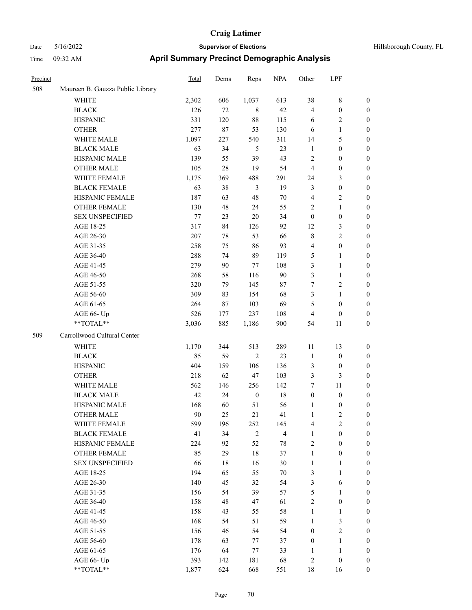| Precinct |                                  | <b>Total</b> | Dems   | Reps             | <b>NPA</b>     | Other            | LPF                     |                                      |
|----------|----------------------------------|--------------|--------|------------------|----------------|------------------|-------------------------|--------------------------------------|
| 508      | Maureen B. Gauzza Public Library |              |        |                  |                |                  |                         |                                      |
|          | WHITE                            | 2,302        | 606    | 1,037            | 613            | 38               | 8                       | $\mathbf{0}$                         |
|          | <b>BLACK</b>                     | 126          | 72     | 8                | 42             | $\overline{4}$   | $\boldsymbol{0}$        | $\mathbf{0}$                         |
|          | <b>HISPANIC</b>                  | 331          | 120    | 88               | 115            | 6                | 2                       | $\boldsymbol{0}$                     |
|          | <b>OTHER</b>                     | 277          | $87\,$ | 53               | 130            | 6                | 1                       | $\boldsymbol{0}$                     |
|          | WHITE MALE                       | 1,097        | 227    | 540              | 311            | 14               | 5                       | $\boldsymbol{0}$                     |
|          | <b>BLACK MALE</b>                | 63           | 34     | 5                | 23             | $\mathbf{1}$     | $\boldsymbol{0}$        | $\boldsymbol{0}$                     |
|          | HISPANIC MALE                    | 139          | 55     | 39               | 43             | $\overline{2}$   | $\boldsymbol{0}$        | $\boldsymbol{0}$                     |
|          | <b>OTHER MALE</b>                | 105          | 28     | 19               | 54             | $\overline{4}$   | $\boldsymbol{0}$        | $\boldsymbol{0}$                     |
|          | WHITE FEMALE                     | 1,175        | 369    | 488              | 291            | 24               | 3                       | $\boldsymbol{0}$                     |
|          | <b>BLACK FEMALE</b>              | 63           | 38     | $\mathfrak{Z}$   | 19             | $\mathfrak{Z}$   | $\boldsymbol{0}$        | $\boldsymbol{0}$                     |
|          | HISPANIC FEMALE                  | 187          | 63     | $48\,$           | 70             | $\overline{4}$   | 2                       | $\boldsymbol{0}$                     |
|          | <b>OTHER FEMALE</b>              | 130          | 48     | 24               | 55             | $\overline{2}$   | 1                       | $\boldsymbol{0}$                     |
|          | <b>SEX UNSPECIFIED</b>           | 77           | 23     | 20               | 34             | $\boldsymbol{0}$ | $\boldsymbol{0}$        | $\boldsymbol{0}$                     |
|          | AGE 18-25                        | 317          | 84     | 126              | 92             | 12               | 3                       | $\boldsymbol{0}$                     |
|          | AGE 26-30                        | 207          | 78     | 53               | 66             | $\,$ 8 $\,$      | 2                       | $\boldsymbol{0}$                     |
|          | AGE 31-35                        | 258          | 75     | 86               | 93             | $\overline{4}$   | $\boldsymbol{0}$        | $\boldsymbol{0}$                     |
|          | AGE 36-40                        | 288          | 74     | 89               | 119            | 5                | 1                       | $\boldsymbol{0}$                     |
|          | AGE 41-45                        | 279          | 90     | 77               | 108            | 3                | 1                       | $\boldsymbol{0}$                     |
|          | AGE 46-50                        | 268          | 58     | 116              | 90             | 3                | 1                       | $\boldsymbol{0}$                     |
|          | AGE 51-55                        | 320          | 79     | 145              | 87             | $\tau$           | $\overline{\mathbf{c}}$ | $\boldsymbol{0}$                     |
|          | AGE 56-60                        | 309          | 83     | 154              | 68             | $\mathfrak{Z}$   | 1                       | $\boldsymbol{0}$                     |
|          | AGE 61-65                        | 264          | 87     | 103              | 69             | 5                | $\boldsymbol{0}$        | $\boldsymbol{0}$                     |
|          | AGE 66- Up                       | 526          | 177    | 237              | 108            | $\overline{4}$   | $\boldsymbol{0}$        | $\boldsymbol{0}$                     |
|          | **TOTAL**                        | 3,036        | 885    | 1,186            | 900            | 54               | 11                      | $\boldsymbol{0}$                     |
| 509      | Carrollwood Cultural Center      |              |        |                  |                |                  |                         |                                      |
|          | <b>WHITE</b>                     | 1,170        | 344    | 513              | 289            | 11               | 13                      | $\boldsymbol{0}$                     |
|          | <b>BLACK</b>                     | 85           | 59     | $\overline{2}$   | 23             | $\mathbf{1}$     | $\boldsymbol{0}$        | $\boldsymbol{0}$                     |
|          | <b>HISPANIC</b>                  | 404          | 159    | 106              | 136            | 3                | $\boldsymbol{0}$        | $\boldsymbol{0}$                     |
|          | <b>OTHER</b>                     | 218          | 62     | 47               | 103            | $\mathfrak{Z}$   | 3                       | $\boldsymbol{0}$                     |
|          | <b>WHITE MALE</b>                | 562          | 146    | 256              | 142            | 7                | 11                      | $\boldsymbol{0}$                     |
|          | <b>BLACK MALE</b>                | 42           | 24     | $\boldsymbol{0}$ | 18             | $\boldsymbol{0}$ | $\boldsymbol{0}$        | $\boldsymbol{0}$                     |
|          | HISPANIC MALE                    | 168          | 60     | 51               | 56             | $\mathbf{1}$     | $\boldsymbol{0}$        | $\boldsymbol{0}$                     |
|          | <b>OTHER MALE</b>                | 90           | 25     | 21               | 41             | 1                | $\overline{c}$          | $\boldsymbol{0}$                     |
|          | WHITE FEMALE                     | 599          | 196    | 252              | 145            | $\overline{4}$   | $\mathbf{2}$            | $\mathbf{0}$                         |
|          | <b>BLACK FEMALE</b>              | 41           | 34     | $\overline{2}$   | $\overline{4}$ | $\mathbf{1}$     | $\boldsymbol{0}$        | $\boldsymbol{0}$                     |
|          | HISPANIC FEMALE                  | 224          | 92     | 52               | $78\,$         | $\sqrt{2}$       | $\boldsymbol{0}$        | $\boldsymbol{0}$                     |
|          | OTHER FEMALE                     | 85           | 29     | $18\,$           | 37             | $\mathbf{1}$     | $\boldsymbol{0}$        | $\boldsymbol{0}$                     |
|          | <b>SEX UNSPECIFIED</b>           | 66           | 18     | 16               | 30             | $\mathbf{1}$     | $\mathbf{1}$            | $\boldsymbol{0}$                     |
|          | AGE 18-25                        | 194          | 65     | 55               | $70\,$         | $\mathfrak{Z}$   | $\mathbf{1}$            | $\boldsymbol{0}$                     |
|          | AGE 26-30                        | 140          | 45     | 32               | 54             | $\mathfrak{Z}$   | 6                       | $\boldsymbol{0}$                     |
|          | AGE 31-35                        | 156          | 54     | 39               | 57             | 5                | 1                       | $\boldsymbol{0}$                     |
|          | AGE 36-40                        |              |        |                  |                | $\sqrt{2}$       | $\boldsymbol{0}$        |                                      |
|          |                                  | 158<br>158   | 48     | 47               | 61<br>58       | $\mathbf{1}$     | $\mathbf{1}$            | $\boldsymbol{0}$<br>$\boldsymbol{0}$ |
|          | AGE 41-45                        |              | 43     | 55               |                |                  |                         |                                      |
|          | AGE 46-50                        | 168          | 54     | 51               | 59             | $\mathbf{1}$     | 3                       | $\boldsymbol{0}$                     |
|          | AGE 51-55                        | 156          | 46     | 54               | 54             | $\boldsymbol{0}$ | $\overline{c}$          | $\boldsymbol{0}$                     |
|          | AGE 56-60                        | 178          | 63     | $77\,$           | 37             | $\boldsymbol{0}$ | $\mathbf{1}$            | $\boldsymbol{0}$                     |
|          | AGE 61-65                        | 176          | 64     | 77               | 33             | $\mathbf{1}$     | $\mathbf{1}$            | $\boldsymbol{0}$                     |
|          | AGE 66- Up                       | 393          | 142    | 181              | 68             | $\sqrt{2}$       | $\boldsymbol{0}$        | $\boldsymbol{0}$                     |
|          | **TOTAL**                        | 1,877        | 624    | 668              | 551            | 18               | 16                      | $\mathbf{0}$                         |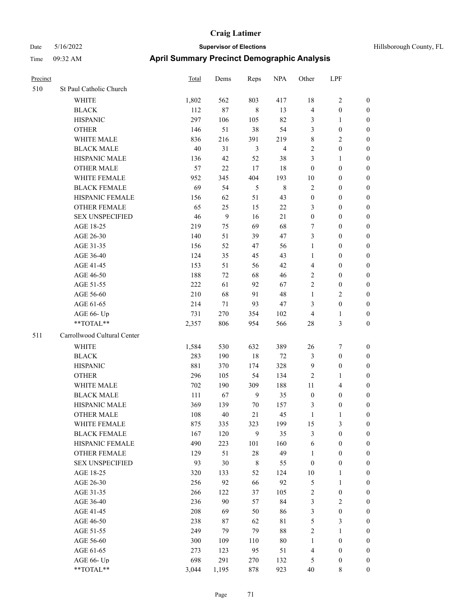| Hillsborough County, FL |  |  |
|-------------------------|--|--|
|-------------------------|--|--|

| Precinct |                             | Total | Dems  | Reps           | <b>NPA</b>     | Other            | LPF                     |                  |
|----------|-----------------------------|-------|-------|----------------|----------------|------------------|-------------------------|------------------|
| 510      | St Paul Catholic Church     |       |       |                |                |                  |                         |                  |
|          | WHITE                       | 1,802 | 562   | 803            | 417            | 18               | $\sqrt{2}$              | $\boldsymbol{0}$ |
|          | <b>BLACK</b>                | 112   | 87    | $\,$ 8 $\,$    | 13             | $\overline{4}$   | $\boldsymbol{0}$        | $\boldsymbol{0}$ |
|          | <b>HISPANIC</b>             | 297   | 106   | 105            | 82             | 3                | $\mathbf{1}$            | $\boldsymbol{0}$ |
|          | <b>OTHER</b>                | 146   | 51    | 38             | 54             | 3                | $\boldsymbol{0}$        | 0                |
|          | WHITE MALE                  | 836   | 216   | 391            | 219            | 8                | $\overline{c}$          | 0                |
|          | <b>BLACK MALE</b>           | 40    | 31    | 3              | $\overline{4}$ | $\mathbf{2}$     | $\boldsymbol{0}$        | $\boldsymbol{0}$ |
|          | HISPANIC MALE               | 136   | 42    | 52             | 38             | 3                | $\mathbf{1}$            | $\boldsymbol{0}$ |
|          | <b>OTHER MALE</b>           | 57    | 22    | 17             | 18             | $\boldsymbol{0}$ | $\boldsymbol{0}$        | $\boldsymbol{0}$ |
|          | WHITE FEMALE                | 952   | 345   | 404            | 193            | 10               | $\boldsymbol{0}$        | $\boldsymbol{0}$ |
|          | <b>BLACK FEMALE</b>         | 69    | 54    | $\sqrt{5}$     | $\,8\,$        | $\overline{c}$   | $\boldsymbol{0}$        | $\boldsymbol{0}$ |
|          | HISPANIC FEMALE             | 156   | 62    | 51             | 43             | $\boldsymbol{0}$ | $\boldsymbol{0}$        | $\boldsymbol{0}$ |
|          | <b>OTHER FEMALE</b>         | 65    | 25    | 15             | $22\,$         | 3                | $\boldsymbol{0}$        | $\boldsymbol{0}$ |
|          | <b>SEX UNSPECIFIED</b>      | 46    | 9     | 16             | 21             | $\boldsymbol{0}$ | $\boldsymbol{0}$        | 0                |
|          | AGE 18-25                   | 219   | 75    | 69             | 68             | 7                | $\boldsymbol{0}$        | 0                |
|          | AGE 26-30                   | 140   | 51    | 39             | 47             | 3                | $\boldsymbol{0}$        | 0                |
|          | AGE 31-35                   | 156   | 52    | 47             | 56             | $\mathbf{1}$     | $\boldsymbol{0}$        | 0                |
|          | AGE 36-40                   | 124   | 35    | 45             | 43             | 1                | $\boldsymbol{0}$        | $\boldsymbol{0}$ |
|          | AGE 41-45                   | 153   | 51    | 56             | 42             | 4                | $\boldsymbol{0}$        | $\boldsymbol{0}$ |
|          | AGE 46-50                   | 188   | 72    | 68             | 46             | 2                | $\boldsymbol{0}$        | $\boldsymbol{0}$ |
|          | AGE 51-55                   | 222   | 61    | 92             | 67             | $\overline{c}$   | $\boldsymbol{0}$        | $\boldsymbol{0}$ |
|          | AGE 56-60                   | 210   | 68    | 91             | 48             | $\mathbf{1}$     | $\overline{2}$          | $\boldsymbol{0}$ |
|          | AGE 61-65                   | 214   | 71    | 93             | 47             | 3                | $\boldsymbol{0}$        | 0                |
|          | AGE 66- Up                  | 731   | 270   | 354            | 102            | $\overline{4}$   | $\mathbf{1}$            | 0                |
|          | **TOTAL**                   | 2,357 | 806   | 954            | 566            | 28               | $\mathfrak{Z}$          | 0                |
| 511      | Carrollwood Cultural Center |       |       |                |                |                  |                         |                  |
|          | WHITE                       | 1,584 | 530   | 632            | 389            | 26               | 7                       | 0                |
|          | <b>BLACK</b>                | 283   | 190   | $18\,$         | $72\,$         | 3                | $\boldsymbol{0}$        | 0                |
|          | <b>HISPANIC</b>             | 881   | 370   | 174            | 328            | $\overline{9}$   | $\boldsymbol{0}$        | 0                |
|          | <b>OTHER</b>                | 296   | 105   | 54             | 134            | 2                | $\mathbf{1}$            | 0                |
|          | WHITE MALE                  | 702   | 190   | 309            | 188            | 11               | $\overline{\mathbf{4}}$ | $\boldsymbol{0}$ |
|          | <b>BLACK MALE</b>           | 111   | 67    | $\overline{9}$ | 35             | $\boldsymbol{0}$ | $\boldsymbol{0}$        | $\boldsymbol{0}$ |
|          | HISPANIC MALE               | 369   | 139   | 70             | 157            | 3                | $\boldsymbol{0}$        | 0                |
|          | <b>OTHER MALE</b>           | 108   | 40    | 21             | 45             | $\mathbf{1}$     | $\mathbf{1}$            | $\boldsymbol{0}$ |
|          | WHITE FEMALE                | 875   | 335   | 323            | 199            | 15               | $\mathfrak{Z}$          | 0                |
|          | <b>BLACK FEMALE</b>         | 167   | 120   | 9              | 35             | $\mathfrak{Z}$   | $\boldsymbol{0}$        | 0                |
|          | HISPANIC FEMALE             | 490   | 223   | 101            | 160            | 6                | $\boldsymbol{0}$        | 0                |
|          | OTHER FEMALE                | 129   | 51    | $28\,$         | 49             | $\mathbf{1}$     | $\boldsymbol{0}$        | 0                |
|          | <b>SEX UNSPECIFIED</b>      | 93    | 30    | $\,$ 8 $\,$    | 55             | $\boldsymbol{0}$ | $\boldsymbol{0}$        | 0                |
|          | AGE 18-25                   | 320   | 133   | 52             | 124            | 10               | $\mathbf{1}$            | $\boldsymbol{0}$ |
|          | AGE 26-30                   | 256   | 92    | 66             | 92             | 5                | $\mathbf{1}$            | $\boldsymbol{0}$ |
|          | AGE 31-35                   | 266   | 122   | 37             | 105            | 2                | $\boldsymbol{0}$        | 0                |
|          | AGE 36-40                   | 236   | 90    | 57             | 84             | $\mathfrak{Z}$   | $\sqrt{2}$              | 0                |
|          | AGE 41-45                   | 208   | 69    | 50             | 86             | 3                | $\boldsymbol{0}$        | $\overline{0}$   |
|          | AGE 46-50                   | 238   | 87    | 62             | $8\sqrt{1}$    | 5                | $\mathfrak{Z}$          | $\overline{0}$   |
|          | AGE 51-55                   | 249   | 79    | 79             | 88             | $\sqrt{2}$       | $\mathbf{1}$            | 0                |
|          | AGE 56-60                   | 300   | 109   | 110            | $80\,$         | $\mathbf{1}$     | $\boldsymbol{0}$        | 0                |
|          | AGE 61-65                   | 273   | 123   | 95             | 51             | $\overline{4}$   | $\boldsymbol{0}$        | 0                |
|          | AGE 66- Up                  | 698   | 291   | 270            | 132            | 5                | $\boldsymbol{0}$        | 0                |
|          | $**TOTAL**$                 | 3,044 | 1,195 | 878            | 923            | 40               | 8                       | $\boldsymbol{0}$ |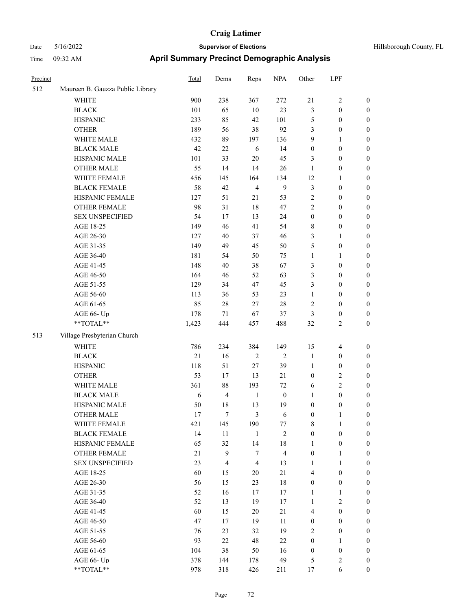| Precinct |                                  | <b>Total</b> | Dems           | Reps           | <b>NPA</b>       | Other            | LPF              |                  |
|----------|----------------------------------|--------------|----------------|----------------|------------------|------------------|------------------|------------------|
| 512      | Maureen B. Gauzza Public Library |              |                |                |                  |                  |                  |                  |
|          | WHITE                            | 900          | 238            | 367            | 272              | 21               | $\mathbf{2}$     | $\mathbf{0}$     |
|          | <b>BLACK</b>                     | 101          | 65             | $10\,$         | 23               | $\mathfrak{Z}$   | $\boldsymbol{0}$ | $\boldsymbol{0}$ |
|          | <b>HISPANIC</b>                  | 233          | 85             | 42             | 101              | 5                | $\boldsymbol{0}$ | $\boldsymbol{0}$ |
|          | <b>OTHER</b>                     | 189          | 56             | 38             | 92               | 3                | $\boldsymbol{0}$ | $\boldsymbol{0}$ |
|          | WHITE MALE                       | 432          | 89             | 197            | 136              | 9                | 1                | $\boldsymbol{0}$ |
|          | <b>BLACK MALE</b>                | 42           | 22             | 6              | 14               | $\boldsymbol{0}$ | $\boldsymbol{0}$ | $\boldsymbol{0}$ |
|          | HISPANIC MALE                    | 101          | 33             | $20\,$         | 45               | $\mathfrak{Z}$   | $\boldsymbol{0}$ | $\boldsymbol{0}$ |
|          | <b>OTHER MALE</b>                | 55           | 14             | 14             | 26               | $\mathbf{1}$     | $\boldsymbol{0}$ | $\boldsymbol{0}$ |
|          | WHITE FEMALE                     | 456          | 145            | 164            | 134              | 12               | 1                | $\boldsymbol{0}$ |
|          | <b>BLACK FEMALE</b>              | 58           | 42             | $\overline{4}$ | 9                | $\mathfrak{Z}$   | $\boldsymbol{0}$ | $\boldsymbol{0}$ |
|          | HISPANIC FEMALE                  | 127          | 51             | 21             | 53               | $\sqrt{2}$       | $\boldsymbol{0}$ | $\boldsymbol{0}$ |
|          | <b>OTHER FEMALE</b>              | 98           | 31             | 18             | 47               | $\overline{2}$   | $\boldsymbol{0}$ | $\boldsymbol{0}$ |
|          | <b>SEX UNSPECIFIED</b>           | 54           | 17             | 13             | 24               | $\boldsymbol{0}$ | $\boldsymbol{0}$ | $\boldsymbol{0}$ |
|          | AGE 18-25                        | 149          | 46             | 41             | 54               | $\,$ 8 $\,$      | $\boldsymbol{0}$ | $\boldsymbol{0}$ |
|          | AGE 26-30                        | 127          | 40             | 37             | 46               | 3                | 1                | $\boldsymbol{0}$ |
|          | AGE 31-35                        | 149          | 49             | 45             | 50               | 5                | $\boldsymbol{0}$ | $\boldsymbol{0}$ |
|          | AGE 36-40                        | 181          | 54             | 50             | 75               | $\mathbf{1}$     | 1                | $\boldsymbol{0}$ |
|          | AGE 41-45                        | 148          | $40\,$         | 38             | 67               | $\mathfrak{Z}$   | $\boldsymbol{0}$ | $\boldsymbol{0}$ |
|          | AGE 46-50                        | 164          | 46             | 52             | 63               | 3                | $\boldsymbol{0}$ | $\boldsymbol{0}$ |
|          | AGE 51-55                        | 129          | 34             | 47             | 45               | 3                | $\boldsymbol{0}$ | $\boldsymbol{0}$ |
|          | AGE 56-60                        | 113          | 36             | 53             | 23               | $\mathbf{1}$     | $\boldsymbol{0}$ | $\boldsymbol{0}$ |
|          | AGE 61-65                        | 85           | 28             | 27             | 28               | $\sqrt{2}$       | $\boldsymbol{0}$ | $\boldsymbol{0}$ |
|          | AGE 66- Up                       | 178          | 71             | 67             | 37               | 3                | $\boldsymbol{0}$ | $\boldsymbol{0}$ |
|          | **TOTAL**                        | 1,423        | 444            | 457            | 488              | 32               | 2                | $\boldsymbol{0}$ |
| 513      | Village Presbyterian Church      |              |                |                |                  |                  |                  |                  |
|          | <b>WHITE</b>                     | 786          | 234            | 384            | 149              | 15               | $\overline{4}$   | $\boldsymbol{0}$ |
|          | <b>BLACK</b>                     | 21           | 16             | $\overline{2}$ | $\overline{2}$   | $\mathbf{1}$     | $\boldsymbol{0}$ | $\boldsymbol{0}$ |
|          | <b>HISPANIC</b>                  | 118          | 51             | 27             | 39               | $\mathbf{1}$     | $\boldsymbol{0}$ | $\boldsymbol{0}$ |
|          | <b>OTHER</b>                     | 53           | 17             | 13             | 21               | $\boldsymbol{0}$ | 2                | $\boldsymbol{0}$ |
|          | WHITE MALE                       | 361          | $88\,$         | 193            | 72               | 6                | 2                | $\boldsymbol{0}$ |
|          | <b>BLACK MALE</b>                | 6            | $\overline{4}$ | $\mathbf{1}$   | $\boldsymbol{0}$ | 1                | $\boldsymbol{0}$ | $\boldsymbol{0}$ |
|          | HISPANIC MALE                    | 50           | 18             | 13             | 19               | $\boldsymbol{0}$ | $\boldsymbol{0}$ | $\boldsymbol{0}$ |
|          | <b>OTHER MALE</b>                | 17           | 7              | 3              | 6                | $\boldsymbol{0}$ | 1                | $\boldsymbol{0}$ |
|          | WHITE FEMALE                     | 421          | 145            | 190            | 77               | $\,$ 8 $\,$      | $\mathbf{1}$     | $\mathbf{0}$     |
|          | <b>BLACK FEMALE</b>              | 14           | $11\,$         | $\mathbf{1}$   | 2                | $\boldsymbol{0}$ | $\boldsymbol{0}$ | $\boldsymbol{0}$ |
|          | HISPANIC FEMALE                  | 65           | 32             | 14             | $18\,$           | $\mathbf{1}$     | $\boldsymbol{0}$ | $\boldsymbol{0}$ |
|          | OTHER FEMALE                     | 21           | 9              | $\tau$         | $\overline{4}$   | $\boldsymbol{0}$ | $\mathbf{1}$     | $\boldsymbol{0}$ |
|          | <b>SEX UNSPECIFIED</b>           | 23           | $\overline{4}$ | $\overline{4}$ | 13               | $\mathbf{1}$     | $\mathbf{1}$     | $\boldsymbol{0}$ |
|          | AGE 18-25                        | 60           | 15             | 20             | $21\,$           | $\overline{4}$   | $\boldsymbol{0}$ | $\boldsymbol{0}$ |
|          | AGE 26-30                        | 56           | 15             | 23             | $18\,$           | $\boldsymbol{0}$ | $\boldsymbol{0}$ | $\boldsymbol{0}$ |
|          | AGE 31-35                        | 52           | 16             | 17             | 17               | $\mathbf{1}$     | 1                | $\boldsymbol{0}$ |
|          | AGE 36-40                        | 52           | 13             | 19             | 17               | $\mathbf{1}$     | 2                | $\boldsymbol{0}$ |
|          | AGE 41-45                        | 60           | 15             | 20             | $21\,$           | $\overline{4}$   | $\boldsymbol{0}$ | $\boldsymbol{0}$ |
|          | AGE 46-50                        | 47           | 17             | 19             | 11               | $\boldsymbol{0}$ | $\boldsymbol{0}$ | $\boldsymbol{0}$ |
|          | AGE 51-55                        | 76           | 23             | 32             | 19               | $\overline{2}$   | $\boldsymbol{0}$ | $\boldsymbol{0}$ |
|          | AGE 56-60                        | 93           | $22\,$         | $48\,$         | $22\,$           | $\boldsymbol{0}$ | $\mathbf{1}$     | $\boldsymbol{0}$ |
|          | AGE 61-65                        | 104          | 38             | 50             | 16               | $\boldsymbol{0}$ | $\boldsymbol{0}$ | $\boldsymbol{0}$ |
|          | AGE 66- Up                       | 378          | 144            | 178            | 49               | $\sqrt{5}$       | $\mathbf{2}$     | $\mathbf{0}$     |
|          | **TOTAL**                        | 978          | 318            | 426            | 211              | 17               | 6                | $\boldsymbol{0}$ |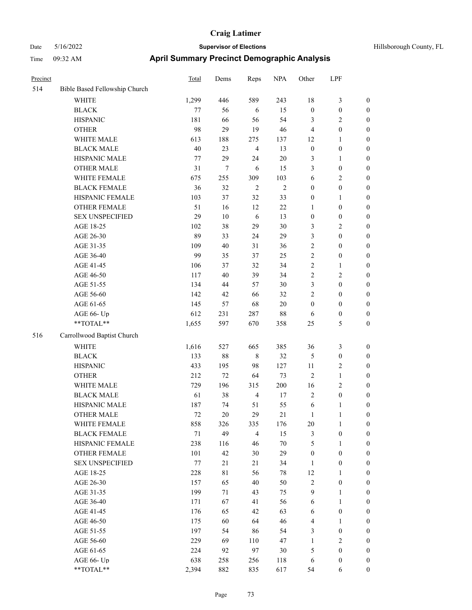| Hillsborough County, FL |  |  |
|-------------------------|--|--|
|-------------------------|--|--|

| Precinct |                                                           | <b>Total</b> | Dems   | Reps           | <b>NPA</b> | Other            | LPF              |                  |
|----------|-----------------------------------------------------------|--------------|--------|----------------|------------|------------------|------------------|------------------|
| 514      | Bible Based Fellowship Church                             |              |        |                |            |                  |                  |                  |
|          | <b>WHITE</b>                                              | 1,299        | 446    | 589            | 243        | 18               | $\mathfrak{Z}$   | $\boldsymbol{0}$ |
|          | <b>BLACK</b>                                              | $77 \,$      | 56     | 6              | 15         | $\boldsymbol{0}$ | $\boldsymbol{0}$ | $\boldsymbol{0}$ |
|          | <b>HISPANIC</b>                                           | 181          | 66     | 56             | 54         | 3                | $\overline{2}$   | $\boldsymbol{0}$ |
|          | <b>OTHER</b>                                              | 98           | 29     | 19             | 46         | $\overline{4}$   | $\boldsymbol{0}$ | $\boldsymbol{0}$ |
|          | WHITE MALE                                                | 613          | 188    | 275            | 137        | 12               | $\mathbf{1}$     | 0                |
|          | <b>BLACK MALE</b>                                         | 40           | 23     | $\overline{4}$ | 13         | $\boldsymbol{0}$ | $\boldsymbol{0}$ | 0                |
|          | HISPANIC MALE                                             | 77           | 29     | 24             | $20\,$     | 3                | $\mathbf{1}$     | 0                |
|          | <b>OTHER MALE</b>                                         | 31           | 7      | 6              | 15         | 3                | $\boldsymbol{0}$ | $\boldsymbol{0}$ |
|          | WHITE FEMALE                                              | 675          | 255    | 309            | 103        | 6                | $\sqrt{2}$       | $\boldsymbol{0}$ |
|          | <b>BLACK FEMALE</b>                                       | 36           | 32     | $\sqrt{2}$     | $\sqrt{2}$ | $\boldsymbol{0}$ | $\boldsymbol{0}$ | $\boldsymbol{0}$ |
|          | HISPANIC FEMALE                                           | 103          | 37     | 32             | 33         | $\boldsymbol{0}$ | $\mathbf{1}$     | $\boldsymbol{0}$ |
|          | OTHER FEMALE                                              | 51           | 16     | 12             | 22         | $\mathbf{1}$     | $\boldsymbol{0}$ | $\boldsymbol{0}$ |
|          | <b>SEX UNSPECIFIED</b>                                    | 29           | $10\,$ | $\sqrt{6}$     | 13         | $\boldsymbol{0}$ | $\boldsymbol{0}$ | $\boldsymbol{0}$ |
|          | AGE 18-25                                                 | 102          | 38     | 29             | 30         | 3                | $\mathbf{2}$     | $\boldsymbol{0}$ |
|          | AGE 26-30                                                 | 89           | 33     | 24             | 29         | 3                | $\boldsymbol{0}$ | $\boldsymbol{0}$ |
|          | AGE 31-35                                                 | 109          | 40     | 31             | 36         | $\sqrt{2}$       | $\boldsymbol{0}$ | 0                |
|          | AGE 36-40                                                 | 99           | 35     | 37             | 25         | $\sqrt{2}$       | $\boldsymbol{0}$ | 0                |
|          | AGE 41-45                                                 | 106          | 37     | 32             | 34         | $\sqrt{2}$       | $\mathbf{1}$     | $\boldsymbol{0}$ |
|          | AGE 46-50                                                 | 117          | 40     | 39             | 34         | 2                | $\sqrt{2}$       | $\boldsymbol{0}$ |
|          | AGE 51-55                                                 | 134          | 44     | 57             | 30         | 3                | $\boldsymbol{0}$ | $\boldsymbol{0}$ |
|          | AGE 56-60                                                 | 142          | 42     | 66             | 32         | $\mathfrak{2}$   | $\boldsymbol{0}$ | $\boldsymbol{0}$ |
|          | AGE 61-65                                                 | 145          | 57     | 68             | 20         | $\boldsymbol{0}$ | $\boldsymbol{0}$ | $\boldsymbol{0}$ |
|          | AGE 66- Up                                                | 612          | 231    | 287            | 88         | 6                | $\boldsymbol{0}$ | $\boldsymbol{0}$ |
|          | $\mathrm{*}\mathrm{*}\mathrm{TOTAL} \mathrm{*}\mathrm{*}$ | 1,655        | 597    | 670            | 358        | 25               | 5                | $\boldsymbol{0}$ |
| 516      | Carrollwood Baptist Church                                |              |        |                |            |                  |                  |                  |
|          | <b>WHITE</b>                                              | 1,616        | 527    | 665            | 385        | 36               | $\mathfrak{Z}$   | $\boldsymbol{0}$ |
|          | <b>BLACK</b>                                              | 133          | 88     | $\,$ 8 $\,$    | 32         | 5                | $\boldsymbol{0}$ | $\boldsymbol{0}$ |
|          | <b>HISPANIC</b>                                           | 433          | 195    | 98             | 127        | 11               | $\sqrt{2}$       | 0                |
|          | <b>OTHER</b>                                              | 212          | 72     | 64             | 73         | $\overline{2}$   | $\mathbf{1}$     | 0                |
|          | WHITE MALE                                                | 729          | 196    | 315            | 200        | 16               | $\sqrt{2}$       | $\boldsymbol{0}$ |
|          | <b>BLACK MALE</b>                                         | 61           | 38     | $\overline{4}$ | 17         | $\overline{c}$   | $\boldsymbol{0}$ | $\boldsymbol{0}$ |
|          | HISPANIC MALE                                             | 187          | 74     | 51             | 55         | 6                | 1                | $\boldsymbol{0}$ |
|          | <b>OTHER MALE</b>                                         | 72           | $20\,$ | 29             | 21         | $\mathbf{1}$     | $\mathbf{1}$     | $\boldsymbol{0}$ |
|          | WHITE FEMALE                                              | 858          | 326    | 335            | 176        | 20               | $\mathbf{1}$     | $\overline{0}$   |
|          | <b>BLACK FEMALE</b>                                       | $71\,$       | 49     | $\overline{4}$ | 15         | 3                | $\boldsymbol{0}$ | $\overline{0}$   |
|          | <b>HISPANIC FEMALE</b>                                    | 238          | 116    | 46             | $70\,$     | 5                | $\mathbf{1}$     | 0                |
|          | <b>OTHER FEMALE</b>                                       | 101          | 42     | $30\,$         | 29         | $\boldsymbol{0}$ | $\boldsymbol{0}$ | 0                |
|          | <b>SEX UNSPECIFIED</b>                                    | $77 \,$      | 21     | 21             | 34         | $\mathbf{1}$     | $\boldsymbol{0}$ | 0                |
|          | AGE 18-25                                                 | 228          | 81     | 56             | 78         | 12               | $\mathbf{1}$     | 0                |
|          | AGE 26-30                                                 | 157          | 65     | 40             | 50         | $\sqrt{2}$       | $\boldsymbol{0}$ | $\overline{0}$   |
|          | AGE 31-35                                                 | 199          | 71     | 43             | 75         | 9                | $\mathbf{1}$     | $\boldsymbol{0}$ |
|          | AGE 36-40                                                 | 171          | 67     | 41             | 56         | 6                | $\mathbf{1}$     | $\overline{0}$   |
|          | AGE 41-45                                                 | 176          | 65     | 42             | 63         | 6                | $\boldsymbol{0}$ | $\overline{0}$   |
|          | AGE 46-50                                                 | 175          | 60     | 64             | 46         | 4                | $\mathbf{1}$     | $\overline{0}$   |
|          | AGE 51-55                                                 | 197          | 54     | 86             | 54         | 3                | $\boldsymbol{0}$ | $\overline{0}$   |
|          | AGE 56-60                                                 | 229          | 69     | 110            | 47         | $\mathbf{1}$     | $\overline{2}$   | $\overline{0}$   |
|          | AGE 61-65                                                 | 224          | 92     | 97             | $30\,$     | 5                | $\boldsymbol{0}$ | $\boldsymbol{0}$ |
|          | AGE 66- Up                                                | 638          | 258    | 256            | 118        | 6                | $\boldsymbol{0}$ | 0                |
|          | **TOTAL**                                                 | 2,394        | 882    | 835            | 617        | 54               | 6                | $\boldsymbol{0}$ |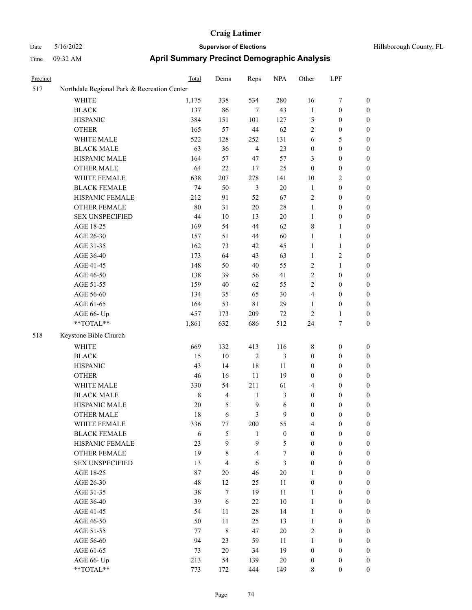| Precinct |                                             | Total  | Dems    | Reps           | <b>NPA</b>       | Other            | LPF              |                  |
|----------|---------------------------------------------|--------|---------|----------------|------------------|------------------|------------------|------------------|
| 517      | Northdale Regional Park & Recreation Center |        |         |                |                  |                  |                  |                  |
|          | WHITE                                       | 1,175  | 338     | 534            | 280              | 16               | $\tau$           | $\boldsymbol{0}$ |
|          | <b>BLACK</b>                                | 137    | 86      | $\tau$         | 43               | $\mathbf{1}$     | $\boldsymbol{0}$ | 0                |
|          | <b>HISPANIC</b>                             | 384    | 151     | 101            | 127              | 5                | $\boldsymbol{0}$ | 0                |
|          | <b>OTHER</b>                                | 165    | 57      | 44             | 62               | 2                | $\boldsymbol{0}$ | 0                |
|          | WHITE MALE                                  | 522    | 128     | 252            | 131              | 6                | 5                | $\boldsymbol{0}$ |
|          | <b>BLACK MALE</b>                           | 63     | 36      | $\overline{4}$ | 23               | $\boldsymbol{0}$ | $\boldsymbol{0}$ | $\boldsymbol{0}$ |
|          | HISPANIC MALE                               | 164    | 57      | 47             | 57               | 3                | $\boldsymbol{0}$ | $\boldsymbol{0}$ |
|          | <b>OTHER MALE</b>                           | 64     | 22      | 17             | 25               | $\boldsymbol{0}$ | $\boldsymbol{0}$ | $\boldsymbol{0}$ |
|          | WHITE FEMALE                                | 638    | $207\,$ | 278            | 141              | 10               | $\sqrt{2}$       | 0                |
|          | <b>BLACK FEMALE</b>                         | 74     | 50      | $\mathfrak{Z}$ | $20\,$           | $\mathbf{1}$     | $\boldsymbol{0}$ | $\boldsymbol{0}$ |
|          | HISPANIC FEMALE                             | 212    | 91      | 52             | 67               | 2                | $\boldsymbol{0}$ | 0                |
|          | OTHER FEMALE                                | 80     | 31      | $20\,$         | $28\,$           | $\mathbf{1}$     | $\boldsymbol{0}$ | 0                |
|          | <b>SEX UNSPECIFIED</b>                      | 44     | 10      | 13             | 20               | $\mathbf{1}$     | $\boldsymbol{0}$ | 0                |
|          | AGE 18-25                                   | 169    | 54      | 44             | 62               | 8                | $\mathbf{1}$     | 0                |
|          | AGE 26-30                                   | 157    | 51      | 44             | 60               | 1                | 1                | 0                |
|          | AGE 31-35                                   | 162    | 73      | 42             | 45               | $\mathbf{1}$     | $\mathbf{1}$     | $\boldsymbol{0}$ |
|          | AGE 36-40                                   | 173    | 64      | 43             | 63               | $\mathbf{1}$     | $\sqrt{2}$       | $\boldsymbol{0}$ |
|          | AGE 41-45                                   | 148    | 50      | $40\,$         | 55               | 2                | $\mathbf{1}$     | 0                |
|          | AGE 46-50                                   | 138    | 39      | 56             | 41               | 2                | $\boldsymbol{0}$ | $\boldsymbol{0}$ |
|          | AGE 51-55                                   | 159    | 40      | 62             | 55               | $\mathfrak{2}$   | $\boldsymbol{0}$ | 0                |
|          | AGE 56-60                                   | 134    | 35      | 65             | $30\,$           | 4                | $\boldsymbol{0}$ | 0                |
|          | AGE 61-65                                   | 164    | 53      | $8\sqrt{1}$    | 29               | $\mathbf{1}$     | $\boldsymbol{0}$ | 0                |
|          | AGE 66- Up                                  | 457    | 173     | 209            | $72\,$           | $\overline{c}$   | $\mathbf{1}$     | 0                |
|          | $**TOTAL**$                                 | 1,861  | 632     | 686            | 512              | 24               | $\tau$           | $\boldsymbol{0}$ |
| 518      | Keystone Bible Church                       |        |         |                |                  |                  |                  |                  |
|          | <b>WHITE</b>                                | 669    | 132     | 413            | 116              | 8                | $\boldsymbol{0}$ | 0                |
|          | <b>BLACK</b>                                | 15     | $10\,$  | $\sqrt{2}$     | 3                | $\boldsymbol{0}$ | $\boldsymbol{0}$ | $\boldsymbol{0}$ |
|          | <b>HISPANIC</b>                             | 43     | 14      | 18             | 11               | $\boldsymbol{0}$ | $\boldsymbol{0}$ | $\boldsymbol{0}$ |
|          | <b>OTHER</b>                                | 46     | 16      | 11             | 19               | $\boldsymbol{0}$ | $\boldsymbol{0}$ | $\boldsymbol{0}$ |
|          | WHITE MALE                                  | 330    | 54      | 211            | 61               | 4                | $\boldsymbol{0}$ | 0                |
|          | <b>BLACK MALE</b>                           | 8      | 4       | 1              | 3                | $\boldsymbol{0}$ | $\boldsymbol{0}$ | $\boldsymbol{0}$ |
|          | HISPANIC MALE                               | 20     | 5       | $\overline{9}$ | 6                | $\boldsymbol{0}$ | $\boldsymbol{0}$ | 0                |
|          | <b>OTHER MALE</b>                           | 18     | 6       | 3              | 9                | $\boldsymbol{0}$ | $\boldsymbol{0}$ | $\boldsymbol{0}$ |
|          | WHITE FEMALE                                | 336    | 77      | 200            | 55               | 4                | $\boldsymbol{0}$ | 0                |
|          | <b>BLACK FEMALE</b>                         | 6      | 5       | $\mathbf{1}$   | $\boldsymbol{0}$ | $\boldsymbol{0}$ | $\boldsymbol{0}$ | 0                |
|          | HISPANIC FEMALE                             | 23     | 9       | 9              | 5                | $\boldsymbol{0}$ | $\boldsymbol{0}$ | $\overline{0}$   |
|          | OTHER FEMALE                                | 19     | 8       | $\overline{4}$ | 7                | $\boldsymbol{0}$ | $\boldsymbol{0}$ | $\overline{0}$   |
|          | <b>SEX UNSPECIFIED</b>                      | 13     | 4       | 6              | 3                | $\boldsymbol{0}$ | $\boldsymbol{0}$ | $\overline{0}$   |
|          | AGE 18-25                                   | $87\,$ | 20      | 46             | $20\,$           | 1                | $\boldsymbol{0}$ | $\overline{0}$   |
|          | AGE 26-30                                   | 48     | 12      | 25             | 11               | $\boldsymbol{0}$ | $\boldsymbol{0}$ | $\overline{0}$   |
|          | AGE 31-35                                   | 38     | $\tau$  | 19             | 11               | $\mathbf{1}$     | $\boldsymbol{0}$ | $\overline{0}$   |
|          | AGE 36-40                                   | 39     | 6       | 22             | $10\,$           | $\mathbf{1}$     | $\boldsymbol{0}$ | $\overline{0}$   |
|          | AGE 41-45                                   | 54     | $11\,$  | $28\,$         | 14               | $\mathbf{1}$     | $\boldsymbol{0}$ | $\overline{0}$   |
|          | AGE 46-50                                   | 50     | 11      | 25             | 13               | $\mathbf{1}$     | $\boldsymbol{0}$ | 0                |
|          | AGE 51-55                                   | 77     | 8       | $47\,$         | $20\,$           | $\mathbf{2}$     | $\boldsymbol{0}$ | $\boldsymbol{0}$ |
|          | AGE 56-60                                   | 94     | 23      | 59             | 11               | $\mathbf{1}$     | $\boldsymbol{0}$ | $\overline{0}$   |
|          | AGE 61-65                                   | 73     | $20\,$  | 34             | 19               | $\boldsymbol{0}$ | $\boldsymbol{0}$ | $\overline{0}$   |
|          | AGE 66- Up                                  | 213    | 54      | 139            | $20\,$           | $\boldsymbol{0}$ | $\boldsymbol{0}$ | $\boldsymbol{0}$ |
|          | $**TOTAL**$                                 | 773    | 172     | 444            | 149              | $\,$ 8 $\,$      | $\boldsymbol{0}$ | $\boldsymbol{0}$ |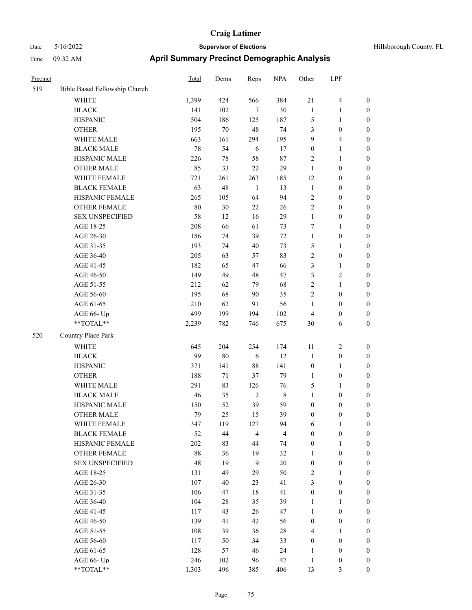| Hillsborough County, FL |  |  |
|-------------------------|--|--|
|-------------------------|--|--|

| Precinct |                               | <b>Total</b> | Dems   | Reps           | <b>NPA</b>              | Other            | LPF              |                  |
|----------|-------------------------------|--------------|--------|----------------|-------------------------|------------------|------------------|------------------|
| 519      | Bible Based Fellowship Church |              |        |                |                         |                  |                  |                  |
|          | <b>WHITE</b>                  | 1,399        | 424    | 566            | 384                     | 21               | $\overline{4}$   | $\boldsymbol{0}$ |
|          | <b>BLACK</b>                  | 141          | 102    | $\tau$         | $30\,$                  | $\mathbf{1}$     | $\mathbf{1}$     | $\boldsymbol{0}$ |
|          | <b>HISPANIC</b>               | 504          | 186    | 125            | 187                     | 5                | $\mathbf{1}$     | $\boldsymbol{0}$ |
|          | <b>OTHER</b>                  | 195          | $70\,$ | 48             | 74                      | 3                | $\boldsymbol{0}$ | $\boldsymbol{0}$ |
|          | WHITE MALE                    | 663          | 161    | 294            | 195                     | $\boldsymbol{9}$ | $\overline{4}$   | 0                |
|          | <b>BLACK MALE</b>             | 78           | 54     | 6              | 17                      | $\boldsymbol{0}$ | $\mathbf{1}$     | 0                |
|          | HISPANIC MALE                 | 226          | $78\,$ | 58             | $87\,$                  | $\overline{c}$   | $\mathbf{1}$     | $\boldsymbol{0}$ |
|          | <b>OTHER MALE</b>             | 85           | 33     | $22\,$         | 29                      | $\mathbf{1}$     | $\boldsymbol{0}$ | $\boldsymbol{0}$ |
|          | WHITE FEMALE                  | 721          | 261    | 263            | 185                     | 12               | $\boldsymbol{0}$ | $\boldsymbol{0}$ |
|          | <b>BLACK FEMALE</b>           | 63           | 48     | $\mathbf{1}$   | 13                      | $\mathbf{1}$     | $\boldsymbol{0}$ | $\boldsymbol{0}$ |
|          | HISPANIC FEMALE               | 265          | 105    | 64             | 94                      | $\overline{c}$   | $\boldsymbol{0}$ | $\boldsymbol{0}$ |
|          | <b>OTHER FEMALE</b>           | $80\,$       | 30     | $22\,$         | 26                      | $\overline{c}$   | $\boldsymbol{0}$ | $\boldsymbol{0}$ |
|          | <b>SEX UNSPECIFIED</b>        | 58           | 12     | 16             | 29                      | $\mathbf{1}$     | $\boldsymbol{0}$ | $\boldsymbol{0}$ |
|          | AGE 18-25                     | 208          | 66     | 61             | 73                      | 7                | 1                | $\boldsymbol{0}$ |
|          | AGE 26-30                     | 186          | 74     | 39             | $72\,$                  | $\mathbf{1}$     | $\boldsymbol{0}$ | $\boldsymbol{0}$ |
|          | AGE 31-35                     | 193          | 74     | 40             | 73                      | 5                | 1                | 0                |
|          | AGE 36-40                     | 205          | 63     | 57             | 83                      | 2                | $\boldsymbol{0}$ | 0                |
|          | AGE 41-45                     | 182          | 65     | 47             | 66                      | 3                | $\mathbf{1}$     | $\boldsymbol{0}$ |
|          | AGE 46-50                     | 149          | 49     | 48             | 47                      | 3                | $\sqrt{2}$       | $\boldsymbol{0}$ |
|          | AGE 51-55                     | 212          | 62     | 79             | 68                      | 2                | $\mathbf{1}$     | $\boldsymbol{0}$ |
|          | AGE 56-60                     | 195          | 68     | 90             | 35                      | $\overline{c}$   | $\boldsymbol{0}$ | $\boldsymbol{0}$ |
|          | AGE 61-65                     | 210          | 62     | 91             | 56                      | $\mathbf{1}$     | $\boldsymbol{0}$ | $\boldsymbol{0}$ |
|          | AGE 66- Up                    | 499          | 199    | 194            | 102                     | 4                | $\boldsymbol{0}$ | $\boldsymbol{0}$ |
|          | $**TOTAL**$                   | 2,239        | 782    | 746            | 675                     | 30               | 6                | $\boldsymbol{0}$ |
| 520      | Country Place Park            |              |        |                |                         |                  |                  |                  |
|          | WHITE                         | 645          | 204    | 254            | 174                     | $11\,$           | $\sqrt{2}$       | $\boldsymbol{0}$ |
|          | <b>BLACK</b>                  | 99           | $80\,$ | 6              | 12                      | $\mathbf{1}$     | $\boldsymbol{0}$ | $\boldsymbol{0}$ |
|          | <b>HISPANIC</b>               | 371          | 141    | 88             | 141                     | $\boldsymbol{0}$ | $\mathbf{1}$     | 0                |
|          | <b>OTHER</b>                  | 188          | 71     | 37             | 79                      | $\mathbf{1}$     | $\boldsymbol{0}$ | 0                |
|          | WHITE MALE                    | 291          | 83     | 126            | 76                      | 5                | 1                | $\boldsymbol{0}$ |
|          | <b>BLACK MALE</b>             | 46           | 35     | $\sqrt{2}$     | $\,$ 8 $\,$             | $\mathbf{1}$     | $\boldsymbol{0}$ | $\boldsymbol{0}$ |
|          | HISPANIC MALE                 | 150          | 52     | 39             | 59                      | $\boldsymbol{0}$ | $\boldsymbol{0}$ | $\boldsymbol{0}$ |
|          | <b>OTHER MALE</b>             | 79           | 25     | 15             | 39                      | $\boldsymbol{0}$ | $\boldsymbol{0}$ | $\boldsymbol{0}$ |
|          | WHITE FEMALE                  | 347          | 119    | 127            | 94                      | 6                | $\mathbf{1}$     | $\overline{0}$   |
|          | <b>BLACK FEMALE</b>           | 52           | 44     | $\overline{4}$ | $\overline{\mathbf{4}}$ | $\boldsymbol{0}$ | $\boldsymbol{0}$ | $\overline{0}$   |
|          | <b>HISPANIC FEMALE</b>        | 202          | 83     | 44             | 74                      | $\boldsymbol{0}$ | $\mathbf{1}$     | 0                |
|          | <b>OTHER FEMALE</b>           | 88           | 36     | 19             | 32                      | $\mathbf{1}$     | $\boldsymbol{0}$ | 0                |
|          | <b>SEX UNSPECIFIED</b>        | 48           | 19     | $\mathbf{9}$   | $20\,$                  | $\boldsymbol{0}$ | $\boldsymbol{0}$ | 0                |
|          | AGE 18-25                     | 131          | 49     | 29             | 50                      | 2                | $\mathbf{1}$     | 0                |
|          | AGE 26-30                     | 107          | $40\,$ | 23             | 41                      | 3                | $\boldsymbol{0}$ | $\overline{0}$   |
|          | AGE 31-35                     | 106          | 47     | $18\,$         | 41                      | $\boldsymbol{0}$ | $\boldsymbol{0}$ | $\overline{0}$   |
|          | AGE 36-40                     | 104          | 28     | 35             | 39                      | $\mathbf{1}$     | $\mathbf{1}$     | $\overline{0}$   |
|          | AGE 41-45                     | 117          | 43     | 26             | 47                      | $\mathbf{1}$     | $\boldsymbol{0}$ | $\overline{0}$   |
|          | AGE 46-50                     | 139          | 41     | 42             | 56                      | 0                | $\boldsymbol{0}$ | $\overline{0}$   |
|          | AGE 51-55                     | 108          | 39     | 36             | $28\,$                  | 4                | $\mathbf{1}$     | $\overline{0}$   |
|          | AGE 56-60                     | 117          | 50     | 34             | 33                      | $\boldsymbol{0}$ | $\boldsymbol{0}$ | $\overline{0}$   |
|          | AGE 61-65                     | 128          | 57     | 46             | 24                      | $\mathbf{1}$     | $\boldsymbol{0}$ | 0                |
|          | AGE 66- Up                    | 246          | 102    | 96             | 47                      | $\mathbf{1}$     | $\boldsymbol{0}$ | 0                |
|          | **TOTAL**                     | 1,303        | 496    | 385            | 406                     | 13               | $\mathfrak{Z}$   | $\boldsymbol{0}$ |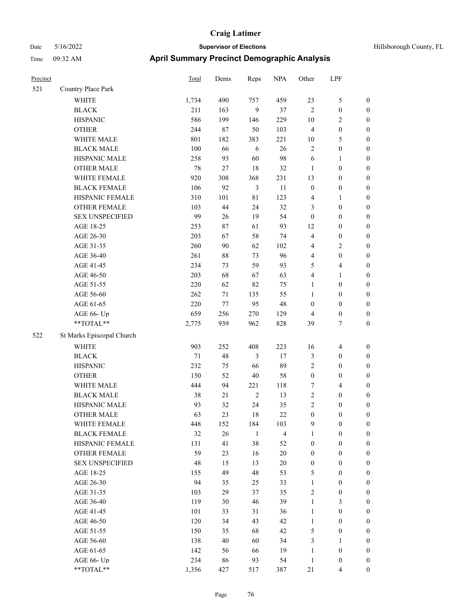| Hillsborough County, FL |  |  |
|-------------------------|--|--|
|-------------------------|--|--|

| Precinct |                           | Total  | Dems    | Reps           | <b>NPA</b>     | Other            | LPF                     |                  |
|----------|---------------------------|--------|---------|----------------|----------------|------------------|-------------------------|------------------|
| 521      | Country Place Park        |        |         |                |                |                  |                         |                  |
|          | WHITE                     | 1,734  | 490     | 757            | 459            | 23               | $\mathfrak{S}$          | $\boldsymbol{0}$ |
|          | <b>BLACK</b>              | 211    | 163     | $\mathbf{9}$   | 37             | $\overline{2}$   | $\boldsymbol{0}$        | $\boldsymbol{0}$ |
|          | <b>HISPANIC</b>           | 586    | 199     | 146            | 229            | $10\,$           | $\sqrt{2}$              | $\boldsymbol{0}$ |
|          | <b>OTHER</b>              | 244    | 87      | 50             | 103            | $\overline{4}$   | $\boldsymbol{0}$        | $\boldsymbol{0}$ |
|          | WHITE MALE                | 801    | 182     | 383            | 221            | 10               | $\mathfrak{S}$          | 0                |
|          | <b>BLACK MALE</b>         | 100    | 66      | 6              | 26             | $\overline{c}$   | $\boldsymbol{0}$        | $\boldsymbol{0}$ |
|          | HISPANIC MALE             | 258    | 93      | 60             | 98             | 6                | $\mathbf{1}$            | $\boldsymbol{0}$ |
|          | <b>OTHER MALE</b>         | 78     | 27      | 18             | 32             | $\mathbf{1}$     | $\boldsymbol{0}$        | $\boldsymbol{0}$ |
|          | WHITE FEMALE              | 920    | 308     | 368            | 231            | 13               | $\boldsymbol{0}$        | $\boldsymbol{0}$ |
|          | <b>BLACK FEMALE</b>       | 106    | 92      | $\mathfrak{Z}$ | 11             | $\boldsymbol{0}$ | $\boldsymbol{0}$        | $\boldsymbol{0}$ |
|          | HISPANIC FEMALE           | 310    | 101     | $8\sqrt{1}$    | 123            | 4                | $\mathbf{1}$            | $\boldsymbol{0}$ |
|          | OTHER FEMALE              | 103    | 44      | 24             | 32             | 3                | $\boldsymbol{0}$        | $\boldsymbol{0}$ |
|          | <b>SEX UNSPECIFIED</b>    | 99     | 26      | 19             | 54             | $\boldsymbol{0}$ | $\boldsymbol{0}$        | $\boldsymbol{0}$ |
|          | AGE 18-25                 | 253    | 87      | 61             | 93             | 12               | $\boldsymbol{0}$        | $\boldsymbol{0}$ |
|          | AGE 26-30                 | 203    | 67      | 58             | 74             | $\overline{4}$   | $\boldsymbol{0}$        | 0                |
|          | AGE 31-35                 | 260    | 90      | 62             | 102            | 4                | $\sqrt{2}$              | $\boldsymbol{0}$ |
|          | AGE 36-40                 | 261    | 88      | 73             | 96             | 4                | $\boldsymbol{0}$        | $\boldsymbol{0}$ |
|          | AGE 41-45                 | 234    | 73      | 59             | 93             | 5                | $\overline{\mathbf{4}}$ | $\boldsymbol{0}$ |
|          | AGE 46-50                 | 203    | 68      | 67             | 63             | 4                | $\mathbf{1}$            | $\boldsymbol{0}$ |
|          | AGE 51-55                 | 220    | 62      | 82             | 75             | $\mathbf{1}$     | $\boldsymbol{0}$        | $\boldsymbol{0}$ |
|          | AGE 56-60                 | 262    | 71      | 135            | 55             | $\mathbf{1}$     | $\boldsymbol{0}$        | $\boldsymbol{0}$ |
|          | AGE 61-65                 | 220    | $77 \,$ | 95             | 48             | $\boldsymbol{0}$ | $\boldsymbol{0}$        | $\boldsymbol{0}$ |
|          | AGE 66- Up                | 659    | 256     | 270            | 129            | 4                | $\boldsymbol{0}$        | 0                |
|          | **TOTAL**                 | 2,775  | 939     | 962            | 828            | 39               | 7                       | $\boldsymbol{0}$ |
| 522      | St Marks Episcopal Church |        |         |                |                |                  |                         |                  |
|          | WHITE                     | 903    | 252     | 408            | 223            | 16               | $\overline{\mathbf{4}}$ | $\boldsymbol{0}$ |
|          | <b>BLACK</b>              | $71\,$ | 48      | 3              | 17             | 3                | $\boldsymbol{0}$        | 0                |
|          | <b>HISPANIC</b>           | 232    | 75      | 66             | 89             | $\overline{c}$   | $\boldsymbol{0}$        | 0                |
|          | <b>OTHER</b>              | 150    | 52      | $40\,$         | 58             | $\boldsymbol{0}$ | $\boldsymbol{0}$        | $\boldsymbol{0}$ |
|          | WHITE MALE                | 444    | 94      | 221            | 118            | 7                | $\overline{4}$          | $\boldsymbol{0}$ |
|          | <b>BLACK MALE</b>         | 38     | 21      | $\sqrt{2}$     | 13             | 2                | $\boldsymbol{0}$        | $\boldsymbol{0}$ |
|          | HISPANIC MALE             | 93     | 32      | 24             | 35             | $\sqrt{2}$       | $\boldsymbol{0}$        | $\boldsymbol{0}$ |
|          | <b>OTHER MALE</b>         | 63     | 23      | 18             | 22             | $\boldsymbol{0}$ | $\boldsymbol{0}$        | $\boldsymbol{0}$ |
|          | WHITE FEMALE              | 448    | 152     | 184            | 103            | $\overline{9}$   | $\boldsymbol{0}$        | $\boldsymbol{0}$ |
|          | <b>BLACK FEMALE</b>       | 32     | 26      | $\mathbf{1}$   | $\overline{4}$ | $\mathbf{1}$     | $\boldsymbol{0}$        | 0                |
|          | HISPANIC FEMALE           | 131    | 41      | 38             | 52             | $\boldsymbol{0}$ | $\boldsymbol{0}$        | 0                |
|          | <b>OTHER FEMALE</b>       | 59     | 23      | 16             | $20\,$         | $\boldsymbol{0}$ | $\boldsymbol{0}$        | 0                |
|          | <b>SEX UNSPECIFIED</b>    | 48     | 15      | 13             | $20\,$         | $\boldsymbol{0}$ | $\boldsymbol{0}$        | 0                |
|          | AGE 18-25                 | 155    | 49      | 48             | 53             | 5                | $\boldsymbol{0}$        | $\overline{0}$   |
|          | AGE 26-30                 | 94     | 35      | 25             | 33             | $\mathbf{1}$     | $\boldsymbol{0}$        | $\boldsymbol{0}$ |
|          | AGE 31-35                 | 103    | 29      | 37             | 35             | 2                | $\boldsymbol{0}$        | $\overline{0}$   |
|          | AGE 36-40                 | 119    | 30      | 46             | 39             | $\mathbf{1}$     | $\mathfrak{Z}$          | $\overline{0}$   |
|          | AGE 41-45                 | 101    | 33      | 31             | 36             | $\mathbf{1}$     | $\boldsymbol{0}$        | $\overline{0}$   |
|          | AGE 46-50                 | 120    | 34      | 43             | 42             | $\mathbf{1}$     | $\boldsymbol{0}$        | $\overline{0}$   |
|          | AGE 51-55                 | 150    | 35      | 68             | 42             | 5                | $\boldsymbol{0}$        | $\boldsymbol{0}$ |
|          | AGE 56-60                 | 138    | 40      | 60             | 34             | 3                | $\mathbf{1}$            | $\boldsymbol{0}$ |
|          | AGE 61-65                 | 142    | 56      | 66             | 19             | $\mathbf{1}$     | $\boldsymbol{0}$        | 0                |
|          | AGE 66- Up                | 234    | 86      | 93             | 54             | $\mathbf{1}$     | $\boldsymbol{0}$        | 0                |
|          | $**TOTAL**$               | 1,356  | 427     | 517            | 387            | 21               | $\overline{4}$          | $\boldsymbol{0}$ |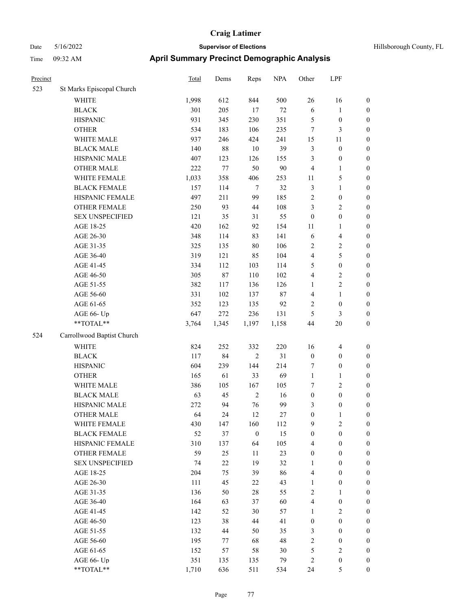| Precinct |                            | <b>Total</b> | Dems   | Reps             | <b>NPA</b> | Other            | LPF                     |                  |
|----------|----------------------------|--------------|--------|------------------|------------|------------------|-------------------------|------------------|
| 523      | St Marks Episcopal Church  |              |        |                  |            |                  |                         |                  |
|          | <b>WHITE</b>               | 1,998        | 612    | 844              | 500        | 26               | 16                      | $\boldsymbol{0}$ |
|          | <b>BLACK</b>               | 301          | 205    | 17               | $72\,$     | 6                | $\mathbf{1}$            | $\boldsymbol{0}$ |
|          | <b>HISPANIC</b>            | 931          | 345    | 230              | 351        | $\mathfrak{S}$   | $\boldsymbol{0}$        | $\boldsymbol{0}$ |
|          | <b>OTHER</b>               | 534          | 183    | 106              | 235        | $\tau$           | 3                       | $\boldsymbol{0}$ |
|          | WHITE MALE                 | 937          | 246    | 424              | 241        | 15               | 11                      | $\boldsymbol{0}$ |
|          | <b>BLACK MALE</b>          | 140          | $88\,$ | $10\,$           | 39         | $\mathfrak{Z}$   | $\boldsymbol{0}$        | $\boldsymbol{0}$ |
|          | HISPANIC MALE              | 407          | 123    | 126              | 155        | 3                | $\boldsymbol{0}$        | $\boldsymbol{0}$ |
|          | <b>OTHER MALE</b>          | 222          | 77     | 50               | $90\,$     | $\overline{4}$   | $\mathbf{1}$            | $\boldsymbol{0}$ |
|          | WHITE FEMALE               | 1,033        | 358    | 406              | 253        | 11               | 5                       | $\boldsymbol{0}$ |
|          | <b>BLACK FEMALE</b>        | 157          | 114    | $\tau$           | 32         | $\mathfrak{Z}$   | 1                       | $\boldsymbol{0}$ |
|          | HISPANIC FEMALE            | 497          | 211    | 99               | 185        | $\sqrt{2}$       | $\boldsymbol{0}$        | $\boldsymbol{0}$ |
|          | <b>OTHER FEMALE</b>        | 250          | 93     | 44               | 108        | 3                | 2                       | $\boldsymbol{0}$ |
|          | <b>SEX UNSPECIFIED</b>     | 121          | 35     | 31               | 55         | $\boldsymbol{0}$ | $\boldsymbol{0}$        | $\boldsymbol{0}$ |
|          | AGE 18-25                  | 420          | 162    | 92               | 154        | 11               | 1                       | $\boldsymbol{0}$ |
|          | AGE 26-30                  | 348          | 114    | 83               | 141        | 6                | 4                       | $\boldsymbol{0}$ |
|          | AGE 31-35                  | 325          | 135    | 80               | 106        | $\sqrt{2}$       | $\overline{\mathbf{c}}$ | $\boldsymbol{0}$ |
|          | AGE 36-40                  | 319          | 121    | 85               | 104        | $\overline{4}$   | 5                       | $\boldsymbol{0}$ |
|          | AGE 41-45                  | 334          | 112    | 103              | 114        | 5                | $\boldsymbol{0}$        | $\boldsymbol{0}$ |
|          | AGE 46-50                  | 305          | $87\,$ | 110              | 102        | $\overline{4}$   | 2                       | $\boldsymbol{0}$ |
|          | AGE 51-55                  | 382          | 117    | 136              | 126        | 1                | $\overline{c}$          | $\boldsymbol{0}$ |
|          | AGE 56-60                  | 331          | 102    | 137              | 87         | $\overline{4}$   | $\mathbf{1}$            | $\boldsymbol{0}$ |
|          | AGE 61-65                  | 352          | 123    | 135              | 92         | $\sqrt{2}$       | $\boldsymbol{0}$        | $\boldsymbol{0}$ |
|          | AGE 66- Up                 | 647          | 272    | 236              | 131        | 5                | 3                       | $\boldsymbol{0}$ |
|          | **TOTAL**                  | 3,764        | 1,345  | 1,197            | 1,158      | 44               | 20                      | $\boldsymbol{0}$ |
| 524      | Carrollwood Baptist Church |              |        |                  |            |                  |                         |                  |
|          | <b>WHITE</b>               | 824          | 252    | 332              | 220        | 16               | 4                       | $\boldsymbol{0}$ |
|          | <b>BLACK</b>               | 117          | 84     | $\overline{2}$   | 31         | $\boldsymbol{0}$ | $\boldsymbol{0}$        | $\boldsymbol{0}$ |
|          | <b>HISPANIC</b>            | 604          | 239    | 144              | 214        | 7                | $\boldsymbol{0}$        | $\boldsymbol{0}$ |
|          | <b>OTHER</b>               | 165          | 61     | 33               | 69         | $\mathbf{1}$     | 1                       | $\boldsymbol{0}$ |
|          | WHITE MALE                 | 386          | 105    | 167              | 105        | 7                | 2                       | $\boldsymbol{0}$ |
|          | <b>BLACK MALE</b>          | 63           | 45     | $\sqrt{2}$       | 16         | $\boldsymbol{0}$ | $\boldsymbol{0}$        | $\boldsymbol{0}$ |
|          | HISPANIC MALE              | 272          | 94     | 76               | 99         | 3                | $\boldsymbol{0}$        | $\boldsymbol{0}$ |
|          | <b>OTHER MALE</b>          | 64           | 24     | 12               | 27         | $\boldsymbol{0}$ |                         | $\boldsymbol{0}$ |
|          | WHITE FEMALE               | 430          | 147    | 160              | 112        | 9                | 2                       | $\boldsymbol{0}$ |
|          | <b>BLACK FEMALE</b>        | 52           | 37     | $\boldsymbol{0}$ | 15         | $\boldsymbol{0}$ | $\boldsymbol{0}$        | $\boldsymbol{0}$ |
|          | HISPANIC FEMALE            | 310          | 137    | 64               | 105        | $\overline{4}$   | $\boldsymbol{0}$        | $\boldsymbol{0}$ |
|          | <b>OTHER FEMALE</b>        | 59           | 25     | 11               | 23         | $\boldsymbol{0}$ | $\boldsymbol{0}$        | $\boldsymbol{0}$ |
|          | <b>SEX UNSPECIFIED</b>     | 74           | $22\,$ | 19               | 32         | 1                | $\boldsymbol{0}$        | $\boldsymbol{0}$ |
|          | AGE 18-25                  | 204          | 75     | 39               | 86         | $\overline{4}$   | $\boldsymbol{0}$        | $\boldsymbol{0}$ |
|          | AGE 26-30                  | 111          | 45     | 22               | 43         | 1                | $\boldsymbol{0}$        | $\boldsymbol{0}$ |
|          | AGE 31-35                  | 136          | 50     | $28\,$           | 55         | $\sqrt{2}$       | 1                       | $\boldsymbol{0}$ |
|          | AGE 36-40                  | 164          | 63     | 37               | 60         | $\overline{4}$   | $\boldsymbol{0}$        | $\boldsymbol{0}$ |
|          | AGE 41-45                  | 142          | 52     | $30\,$           | 57         | $\mathbf{1}$     | $\mathbf{2}$            | $\boldsymbol{0}$ |
|          | AGE 46-50                  | 123          | 38     | 44               | 41         | $\boldsymbol{0}$ | $\boldsymbol{0}$        | $\boldsymbol{0}$ |
|          | AGE 51-55                  | 132          | 44     | 50               | 35         | $\mathfrak{Z}$   | $\boldsymbol{0}$        | $\boldsymbol{0}$ |
|          | AGE 56-60                  | 195          | 77     | 68               | 48         | $\sqrt{2}$       | $\boldsymbol{0}$        | $\boldsymbol{0}$ |
|          | AGE 61-65                  | 152          | 57     | 58               | 30         | $\mathfrak s$    | $\sqrt{2}$              | $\boldsymbol{0}$ |
|          | AGE 66- Up                 | 351          | 135    | 135              | 79         | $\sqrt{2}$       | $\boldsymbol{0}$        | $\mathbf{0}$     |
|          | **TOTAL**                  | 1,710        | 636    | 511              | 534        | 24               | 5                       | $\boldsymbol{0}$ |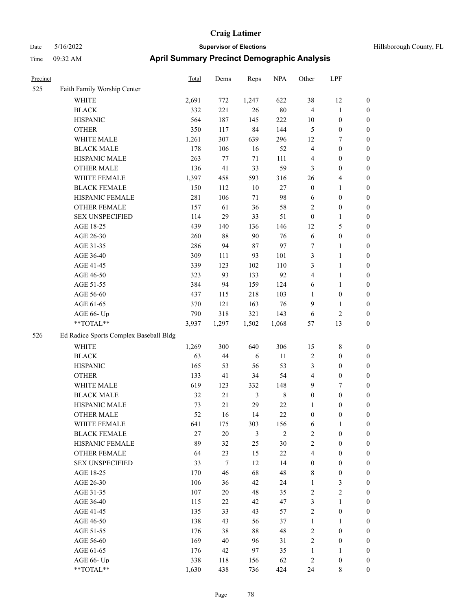| Precinct |                                        | <b>Total</b> | Dems   | Reps   | <b>NPA</b> | Other            | LPF              |                  |
|----------|----------------------------------------|--------------|--------|--------|------------|------------------|------------------|------------------|
| 525      | Faith Family Worship Center            |              |        |        |            |                  |                  |                  |
|          | <b>WHITE</b>                           | 2,691        | 772    | 1,247  | 622        | 38               | 12               | $\boldsymbol{0}$ |
|          | <b>BLACK</b>                           | 332          | 221    | 26     | $80\,$     | $\overline{4}$   | $\mathbf{1}$     | $\boldsymbol{0}$ |
|          | <b>HISPANIC</b>                        | 564          | 187    | 145    | 222        | 10               | $\boldsymbol{0}$ | $\boldsymbol{0}$ |
|          | <b>OTHER</b>                           | 350          | 117    | 84     | 144        | 5                | $\boldsymbol{0}$ | $\boldsymbol{0}$ |
|          | WHITE MALE                             | 1,261        | 307    | 639    | 296        | 12               | 7                | $\boldsymbol{0}$ |
|          | <b>BLACK MALE</b>                      | 178          | 106    | 16     | 52         | $\overline{4}$   | $\boldsymbol{0}$ | $\boldsymbol{0}$ |
|          | HISPANIC MALE                          | 263          | 77     | 71     | 111        | $\overline{4}$   | $\boldsymbol{0}$ | $\boldsymbol{0}$ |
|          | <b>OTHER MALE</b>                      | 136          | 41     | 33     | 59         | 3                | $\boldsymbol{0}$ | $\boldsymbol{0}$ |
|          | WHITE FEMALE                           | 1,397        | 458    | 593    | 316        | 26               | 4                | $\boldsymbol{0}$ |
|          | <b>BLACK FEMALE</b>                    | 150          | 112    | $10\,$ | $27\,$     | $\boldsymbol{0}$ | 1                | $\boldsymbol{0}$ |
|          | HISPANIC FEMALE                        | 281          | 106    | 71     | 98         | 6                | $\boldsymbol{0}$ | $\boldsymbol{0}$ |
|          | <b>OTHER FEMALE</b>                    | 157          | 61     | 36     | 58         | $\overline{2}$   | $\boldsymbol{0}$ | $\boldsymbol{0}$ |
|          | <b>SEX UNSPECIFIED</b>                 | 114          | 29     | 33     | 51         | $\boldsymbol{0}$ | 1                | $\boldsymbol{0}$ |
|          | AGE 18-25                              | 439          | 140    | 136    | 146        | 12               | 5                | $\boldsymbol{0}$ |
|          | AGE 26-30                              | 260          | $88\,$ | 90     | 76         | 6                | $\boldsymbol{0}$ | $\boldsymbol{0}$ |
|          | AGE 31-35                              | 286          | 94     | 87     | 97         | $\boldsymbol{7}$ | 1                | $\boldsymbol{0}$ |
|          | AGE 36-40                              | 309          | 111    | 93     | 101        | 3                | 1                | $\boldsymbol{0}$ |
|          | AGE 41-45                              | 339          | 123    | 102    | 110        | 3                | 1                | $\boldsymbol{0}$ |
|          | AGE 46-50                              | 323          | 93     | 133    | 92         | $\overline{4}$   | 1                | $\boldsymbol{0}$ |
|          | AGE 51-55                              | 384          | 94     | 159    | 124        | 6                | 1                | $\boldsymbol{0}$ |
|          | AGE 56-60                              | 437          | 115    | 218    | 103        | 1                | $\boldsymbol{0}$ | $\boldsymbol{0}$ |
|          | AGE 61-65                              | 370          | 121    | 163    | 76         | 9                | 1                | $\boldsymbol{0}$ |
|          | AGE 66- Up                             | 790          | 318    | 321    | 143        | 6                | 2                | $\boldsymbol{0}$ |
|          | **TOTAL**                              | 3,937        | 1,297  | 1,502  | 1,068      | 57               | 13               | $\boldsymbol{0}$ |
| 526      | Ed Radice Sports Complex Baseball Bldg |              |        |        |            |                  |                  |                  |
|          | <b>WHITE</b>                           | 1,269        | 300    | 640    | 306        | 15               | 8                | $\boldsymbol{0}$ |
|          | <b>BLACK</b>                           | 63           | 44     | 6      | 11         | $\sqrt{2}$       | $\boldsymbol{0}$ | $\boldsymbol{0}$ |
|          | <b>HISPANIC</b>                        | 165          | 53     | 56     | 53         | 3                | $\boldsymbol{0}$ | $\boldsymbol{0}$ |
|          | <b>OTHER</b>                           | 133          | 41     | 34     | 54         | $\overline{4}$   | $\boldsymbol{0}$ | $\boldsymbol{0}$ |
|          | WHITE MALE                             | 619          | 123    | 332    | 148        | 9                | 7                | $\boldsymbol{0}$ |
|          | <b>BLACK MALE</b>                      | 32           | $21\,$ | 3      | $\,8\,$    | $\boldsymbol{0}$ | $\boldsymbol{0}$ | $\boldsymbol{0}$ |
|          | HISPANIC MALE                          | 73           | 21     | 29     | $22\,$     | 1                | $\boldsymbol{0}$ | $\boldsymbol{0}$ |
|          | <b>OTHER MALE</b>                      | 52           | 16     | 14     | 22         | $\mathbf{0}$     | 0                | $\boldsymbol{0}$ |
|          | WHITE FEMALE                           | 641          | 175    | 303    | 156        | 6                | $\mathbf{1}$     | $\boldsymbol{0}$ |
|          | <b>BLACK FEMALE</b>                    | 27           | $20\,$ | 3      | $\sqrt{2}$ | $\sqrt{2}$       | $\boldsymbol{0}$ | $\boldsymbol{0}$ |
|          | HISPANIC FEMALE                        | 89           | 32     | 25     | 30         | $\sqrt{2}$       | $\boldsymbol{0}$ | $\boldsymbol{0}$ |
|          | <b>OTHER FEMALE</b>                    | 64           | 23     | 15     | $22\,$     | $\overline{4}$   | $\boldsymbol{0}$ | $\boldsymbol{0}$ |
|          | <b>SEX UNSPECIFIED</b>                 | 33           | $\tau$ | 12     | 14         | $\boldsymbol{0}$ | $\boldsymbol{0}$ | $\boldsymbol{0}$ |
|          | AGE 18-25                              | 170          | 46     | 68     | 48         | $\,$ 8 $\,$      | $\boldsymbol{0}$ | $\boldsymbol{0}$ |
|          | AGE 26-30                              | 106          | 36     | 42     | 24         | $\mathbf{1}$     | 3                | $\boldsymbol{0}$ |
|          | AGE 31-35                              | 107          | 20     | 48     | 35         | $\sqrt{2}$       | $\overline{c}$   | $\boldsymbol{0}$ |
|          | AGE 36-40                              | 115          | 22     | 42     | 47         | $\mathfrak{Z}$   | 1                | $\boldsymbol{0}$ |
|          | AGE 41-45                              | 135          | 33     | 43     | 57         | $\sqrt{2}$       | $\boldsymbol{0}$ | $\boldsymbol{0}$ |
|          | AGE 46-50                              | 138          | 43     | 56     | 37         | $\mathbf{1}$     | 1                | $\boldsymbol{0}$ |
|          | AGE 51-55                              | 176          | 38     | $88\,$ | 48         | $\sqrt{2}$       | $\boldsymbol{0}$ | $\boldsymbol{0}$ |
|          | AGE 56-60                              | 169          | $40\,$ | 96     | 31         | $\sqrt{2}$       | $\boldsymbol{0}$ | $\boldsymbol{0}$ |
|          | AGE 61-65                              | 176          | 42     | 97     | 35         | $\mathbf{1}$     | 1                | $\boldsymbol{0}$ |
|          | AGE 66- Up                             | 338          | 118    | 156    | 62         | $\sqrt{2}$       | $\boldsymbol{0}$ | $\boldsymbol{0}$ |
|          | **TOTAL**                              | 1,630        | 438    | 736    | 424        | 24               | $\,$ 8 $\,$      | $\boldsymbol{0}$ |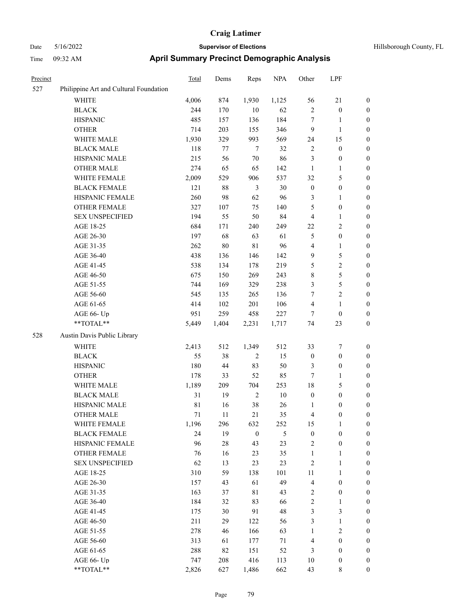| Precinct |                                        | Total       | Dems   | Reps             | <b>NPA</b>    | Other            | LPF              |                  |
|----------|----------------------------------------|-------------|--------|------------------|---------------|------------------|------------------|------------------|
| 527      | Philippine Art and Cultural Foundation |             |        |                  |               |                  |                  |                  |
|          | <b>WHITE</b>                           | 4,006       | 874    | 1,930            | 1,125         | 56               | 21               | $\boldsymbol{0}$ |
|          | <b>BLACK</b>                           | 244         | 170    | $10\,$           | 62            | $\sqrt{2}$       | $\boldsymbol{0}$ | $\boldsymbol{0}$ |
|          | <b>HISPANIC</b>                        | 485         | 157    | 136              | 184           | $\tau$           | 1                | $\boldsymbol{0}$ |
|          | <b>OTHER</b>                           | 714         | 203    | 155              | 346           | 9                | $\mathbf{1}$     | $\boldsymbol{0}$ |
|          | WHITE MALE                             | 1,930       | 329    | 993              | 569           | 24               | 15               | $\boldsymbol{0}$ |
|          | <b>BLACK MALE</b>                      | 118         | $77\,$ | $\tau$           | 32            | $\sqrt{2}$       | $\boldsymbol{0}$ | $\boldsymbol{0}$ |
|          | HISPANIC MALE                          | 215         | 56     | 70               | 86            | $\mathfrak{Z}$   | $\boldsymbol{0}$ | $\boldsymbol{0}$ |
|          | <b>OTHER MALE</b>                      | 274         | 65     | 65               | 142           | $\mathbf{1}$     | 1                | $\boldsymbol{0}$ |
|          | WHITE FEMALE                           | 2,009       | 529    | 906              | 537           | 32               | 5                | $\boldsymbol{0}$ |
|          | <b>BLACK FEMALE</b>                    | 121         | $88\,$ | 3                | 30            | $\boldsymbol{0}$ | $\boldsymbol{0}$ | $\boldsymbol{0}$ |
|          | HISPANIC FEMALE                        | 260         | 98     | 62               | 96            | 3                | 1                | $\boldsymbol{0}$ |
|          | <b>OTHER FEMALE</b>                    | 327         | 107    | 75               | 140           | 5                | $\boldsymbol{0}$ | $\boldsymbol{0}$ |
|          | <b>SEX UNSPECIFIED</b>                 | 194         | 55     | 50               | 84            | $\overline{4}$   | 1                | $\boldsymbol{0}$ |
|          | AGE 18-25                              | 684         | 171    | 240              | 249           | 22               | 2                | $\boldsymbol{0}$ |
|          | AGE 26-30                              | 197         | 68     | 63               | 61            | $\mathfrak{S}$   | $\boldsymbol{0}$ | $\boldsymbol{0}$ |
|          | AGE 31-35                              | 262         | $80\,$ | 81               | 96            | $\overline{4}$   | 1                | $\boldsymbol{0}$ |
|          | AGE 36-40                              | 438         | 136    | 146              | 142           | 9                | 5                | $\boldsymbol{0}$ |
|          | AGE 41-45                              | 538         | 134    | 178              | 219           | 5                | 2                | $\boldsymbol{0}$ |
|          | AGE 46-50                              | 675         | 150    | 269              | 243           | $\,$ 8 $\,$      | 5                | $\boldsymbol{0}$ |
|          | AGE 51-55                              | 744         | 169    | 329              | 238           | 3                | 5                | $\boldsymbol{0}$ |
|          | AGE 56-60                              | 545         | 135    | 265              | 136           | 7                | 2                | $\boldsymbol{0}$ |
|          | AGE 61-65                              | 414         | 102    | 201              | 106           | $\overline{4}$   | 1                | $\boldsymbol{0}$ |
|          | AGE 66- Up                             | 951         | 259    | 458              | 227           | $\tau$           | $\boldsymbol{0}$ | $\boldsymbol{0}$ |
|          | **TOTAL**                              | 5,449       | 1,404  | 2,231            | 1,717         | 74               | 23               | $\boldsymbol{0}$ |
| 528      | Austin Davis Public Library            |             |        |                  |               |                  |                  |                  |
|          | WHITE                                  | 2,413       | 512    | 1,349            | 512           | 33               | 7                | $\boldsymbol{0}$ |
|          | <b>BLACK</b>                           | 55          | 38     | $\overline{2}$   | 15            | $\boldsymbol{0}$ | $\boldsymbol{0}$ | $\boldsymbol{0}$ |
|          | <b>HISPANIC</b>                        | 180         | 44     | 83               | 50            | 3                | $\boldsymbol{0}$ | $\boldsymbol{0}$ |
|          | <b>OTHER</b>                           | 178         | 33     | 52               | 85            | $\tau$           | 1                | $\boldsymbol{0}$ |
|          | WHITE MALE                             | 1,189       | 209    | 704              | 253           | 18               | 5                | $\boldsymbol{0}$ |
|          | <b>BLACK MALE</b>                      | 31          | 19     | $\sqrt{2}$       | $10\,$        | $\boldsymbol{0}$ | $\boldsymbol{0}$ | $\boldsymbol{0}$ |
|          | HISPANIC MALE                          | $8\sqrt{1}$ | 16     | 38               | 26            | 1                | 0                | $\boldsymbol{0}$ |
|          | <b>OTHER MALE</b>                      | 71          | 11     | 21               | 35            | 4                | 0                | $\boldsymbol{0}$ |
|          | WHITE FEMALE                           | 1,196       | 296    | 632              | 252           | 15               | $\mathbf{1}$     | $\mathbf{0}$     |
|          | <b>BLACK FEMALE</b>                    | 24          | 19     | $\boldsymbol{0}$ | $\mathfrak s$ | $\boldsymbol{0}$ | $\boldsymbol{0}$ | $\boldsymbol{0}$ |
|          | HISPANIC FEMALE                        | 96          | $28\,$ | 43               | 23            | $\sqrt{2}$       | $\boldsymbol{0}$ | $\boldsymbol{0}$ |
|          | OTHER FEMALE                           | 76          | 16     | 23               | 35            | $\mathbf{1}$     | 1                | $\boldsymbol{0}$ |
|          | <b>SEX UNSPECIFIED</b>                 | 62          | 13     | 23               | 23            | $\sqrt{2}$       | $\mathbf{1}$     | $\boldsymbol{0}$ |
|          | AGE 18-25                              | 310         | 59     | 138              | 101           | 11               | 1                | $\boldsymbol{0}$ |
|          | AGE 26-30                              | 157         | 43     | 61               | 49            | $\overline{4}$   | $\boldsymbol{0}$ | $\boldsymbol{0}$ |
|          | AGE 31-35                              | 163         | 37     | $8\sqrt{1}$      | 43            | $\sqrt{2}$       | $\boldsymbol{0}$ | $\boldsymbol{0}$ |
|          | AGE 36-40                              | 184         | 32     | 83               | 66            | $\sqrt{2}$       | 1                | $\boldsymbol{0}$ |
|          | AGE 41-45                              | 175         | 30     | 91               | 48            | $\mathfrak{Z}$   | 3                | $\boldsymbol{0}$ |
|          | AGE 46-50                              | 211         | 29     | 122              | 56            | $\mathfrak{Z}$   | 1                | $\boldsymbol{0}$ |
|          | AGE 51-55                              | 278         | 46     | 166              | 63            | $\mathbf{1}$     | $\sqrt{2}$       | $\boldsymbol{0}$ |
|          | AGE 56-60                              | 313         | 61     | 177              | 71            | $\overline{4}$   | $\boldsymbol{0}$ | $\boldsymbol{0}$ |
|          | AGE 61-65                              | 288         | 82     | 151              | 52            | 3                | $\boldsymbol{0}$ | $\boldsymbol{0}$ |
|          | AGE 66- Up                             | 747         | 208    | 416              | 113           | 10               | $\boldsymbol{0}$ | $\boldsymbol{0}$ |
|          | **TOTAL**                              | 2,826       | 627    | 1,486            | 662           | 43               | 8                | $\boldsymbol{0}$ |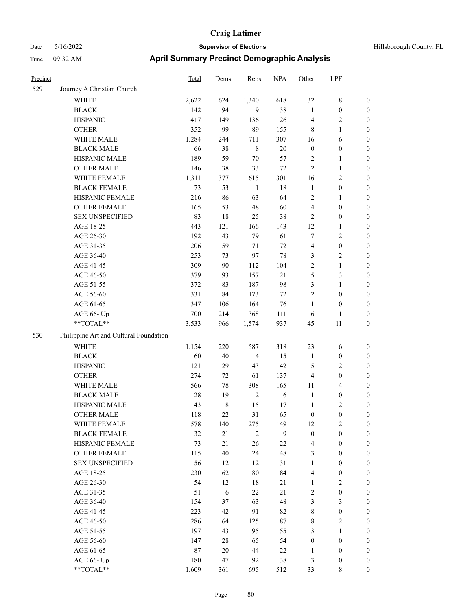# Date 5/16/2022 **Supervisor of Elections Supervisor of Elections** Hillsborough County, FL Time 09:32 AM **April Summary Precinct Demographic Analysis**

| Precinct |                                        | Total  | Dems        | Reps           | <b>NPA</b> | Other            | LPF              |                  |
|----------|----------------------------------------|--------|-------------|----------------|------------|------------------|------------------|------------------|
| 529      | Journey A Christian Church             |        |             |                |            |                  |                  |                  |
|          | <b>WHITE</b>                           | 2,622  | 624         | 1,340          | 618        | 32               | 8                | 0                |
|          | <b>BLACK</b>                           | 142    | 94          | 9              | 38         | $\mathbf{1}$     | $\boldsymbol{0}$ | 0                |
|          | <b>HISPANIC</b>                        | 417    | 149         | 136            | 126        | 4                | $\overline{2}$   | $\boldsymbol{0}$ |
|          | <b>OTHER</b>                           | 352    | 99          | 89             | 155        | 8                | $\mathbf{1}$     | $\boldsymbol{0}$ |
|          | WHITE MALE                             | 1,284  | 244         | 711            | 307        | 16               | 6                | $\boldsymbol{0}$ |
|          | <b>BLACK MALE</b>                      | 66     | 38          | $\,$ 8 $\,$    | $20\,$     | $\boldsymbol{0}$ | 0                | $\boldsymbol{0}$ |
|          | HISPANIC MALE                          | 189    | 59          | $70\,$         | 57         | 2                | $\mathbf{1}$     | $\boldsymbol{0}$ |
|          | <b>OTHER MALE</b>                      | 146    | 38          | 33             | 72         | 2                | $\mathbf{1}$     | $\boldsymbol{0}$ |
|          | WHITE FEMALE                           | 1,311  | 377         | 615            | 301        | 16               | $\overline{2}$   | $\boldsymbol{0}$ |
|          | <b>BLACK FEMALE</b>                    | 73     | 53          | $\mathbf{1}$   | 18         | $\mathbf{1}$     | $\boldsymbol{0}$ | 0                |
|          | HISPANIC FEMALE                        | 216    | 86          | 63             | 64         | 2                | 1                | $\boldsymbol{0}$ |
|          | OTHER FEMALE                           | 165    | 53          | 48             | 60         | 4                | $\boldsymbol{0}$ | $\boldsymbol{0}$ |
|          | <b>SEX UNSPECIFIED</b>                 | 83     | 18          | 25             | 38         | 2                | $\boldsymbol{0}$ | $\boldsymbol{0}$ |
|          | AGE 18-25                              | 443    | 121         | 166            | 143        | 12               | $\mathbf{1}$     | $\boldsymbol{0}$ |
|          | AGE 26-30                              | 192    | 43          | 79             | 61         | 7                | 2                | $\boldsymbol{0}$ |
|          | AGE 31-35                              | 206    | 59          | $71\,$         | 72         | 4                | $\boldsymbol{0}$ | $\boldsymbol{0}$ |
|          | AGE 36-40                              | 253    | 73          | 97             | 78         | 3                | $\overline{c}$   | $\boldsymbol{0}$ |
|          | AGE 41-45                              | 309    | $90\,$      | 112            | 104        | $\overline{c}$   | $\mathbf{1}$     | $\boldsymbol{0}$ |
|          | AGE 46-50                              | 379    | 93          | 157            | 121        | 5                | 3                | $\boldsymbol{0}$ |
|          | AGE 51-55                              | 372    | 83          | 187            | 98         | 3                | $\mathbf{1}$     | 0                |
|          | AGE 56-60                              | 331    | 84          | 173            | $72\,$     | 2                | $\boldsymbol{0}$ | 0                |
|          | AGE 61-65                              | 347    | 106         | 164            | 76         | 1                | $\boldsymbol{0}$ | $\boldsymbol{0}$ |
|          | AGE 66- Up                             | 700    | 214         | 368            | 111        | 6                | 1                | $\boldsymbol{0}$ |
|          | **TOTAL**                              | 3,533  | 966         | 1,574          | 937        | 45               | 11               | $\boldsymbol{0}$ |
| 530      | Philippine Art and Cultural Foundation |        |             |                |            |                  |                  |                  |
|          | <b>WHITE</b>                           | 1,154  | 220         | 587            | 318        | 23               | 6                | $\boldsymbol{0}$ |
|          | <b>BLACK</b>                           | 60     | 40          | $\overline{4}$ | 15         | $\mathbf{1}$     | $\boldsymbol{0}$ | $\boldsymbol{0}$ |
|          | <b>HISPANIC</b>                        | 121    | 29          | 43             | 42         | 5                | $\overline{c}$   | $\boldsymbol{0}$ |
|          | <b>OTHER</b>                           | 274    | $72\,$      | 61             | 137        | 4                | $\boldsymbol{0}$ | $\overline{0}$   |
|          | WHITE MALE                             | 566    | $78\,$      | 308            | 165        | 11               | 4                | $\boldsymbol{0}$ |
|          | <b>BLACK MALE</b>                      | $28\,$ | 19          | $\sqrt{2}$     | 6          | $\mathbf{1}$     | $\boldsymbol{0}$ | 0                |
|          | HISPANIC MALE                          | 43     | $\,$ 8 $\,$ | 15             | 17         | $\mathbf{1}$     | 2                | 0                |
|          | <b>OTHER MALE</b>                      | 118    | 22          | 31             | 65         | $\boldsymbol{0}$ | $\boldsymbol{0}$ | $\boldsymbol{0}$ |
|          | WHITE FEMALE                           | 578    | 140         | 275            | 149        | 12               | 2                | 0                |
|          | <b>BLACK FEMALE</b>                    | 32     | 21          | $\sqrt{2}$     | 9          | $\boldsymbol{0}$ | $\mathbf{0}$     | $\overline{0}$   |
|          | HISPANIC FEMALE                        | 73     | 21          | 26             | 22         | 4                | $\boldsymbol{0}$ | 0                |
|          | OTHER FEMALE                           | 115    | 40          | 24             | 48         | 3                | $\boldsymbol{0}$ | 0                |
|          | <b>SEX UNSPECIFIED</b>                 | 56     | 12          | 12             | 31         | 1                | $\overline{0}$   | 0                |
|          | AGE 18-25                              | 230    | 62          | $80\,$         | 84         | 4                | $\boldsymbol{0}$ | 0                |
|          | AGE 26-30                              | 54     | 12          | $18\,$         | 21         | $\mathbf{1}$     | $\overline{c}$   | 0                |
|          | AGE 31-35                              | 51     | $\sqrt{6}$  | $22\,$         | 21         | $\overline{2}$   | $\boldsymbol{0}$ | 0                |
|          | AGE 36-40                              | 154    | 37          | 63             | 48         | 3                | 3                | 0                |
|          | AGE 41-45                              | 223    | 42          | 91             | 82         | 8                | $\boldsymbol{0}$ | 0                |
|          | AGE 46-50                              | 286    | 64          | 125            | 87         | 8                | 2                | 0                |
|          | AGE 51-55                              | 197    | 43          | 95             | 55         | 3                | $\mathbf{1}$     | 0                |
|          | AGE 56-60                              | 147    | 28          | 65             | 54         | $\boldsymbol{0}$ | $\boldsymbol{0}$ | $\overline{0}$   |
|          | AGE 61-65                              | 87     | 20          | 44             | 22         | 1                | $\boldsymbol{0}$ | $\boldsymbol{0}$ |
|          | AGE 66- Up                             | 180    | 47          | 92             | 38         | 3                | $\boldsymbol{0}$ | $\overline{0}$   |

\*\*TOTAL\*\* 1,609 361 695 512 33 8 0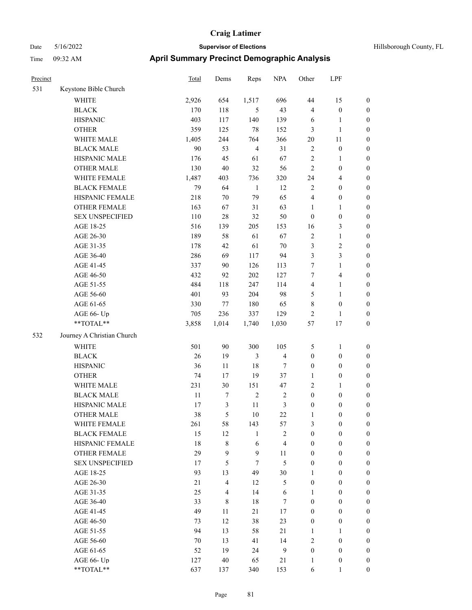| Precinct |                            | Total  | Dems           | Reps           | <b>NPA</b>     | Other            | LPF                     |                  |
|----------|----------------------------|--------|----------------|----------------|----------------|------------------|-------------------------|------------------|
| 531      | Keystone Bible Church      |        |                |                |                |                  |                         |                  |
|          | <b>WHITE</b>               | 2,926  | 654            | 1,517          | 696            | 44               | 15                      | $\boldsymbol{0}$ |
|          | <b>BLACK</b>               | 170    | 118            | 5              | 43             | $\overline{4}$   | $\boldsymbol{0}$        | $\boldsymbol{0}$ |
|          | <b>HISPANIC</b>            | 403    | 117            | 140            | 139            | 6                | 1                       | $\boldsymbol{0}$ |
|          | <b>OTHER</b>               | 359    | 125            | 78             | 152            | $\mathfrak{Z}$   | 1                       | $\boldsymbol{0}$ |
|          | WHITE MALE                 | 1,405  | 244            | 764            | 366            | 20               | 11                      | $\boldsymbol{0}$ |
|          | <b>BLACK MALE</b>          | 90     | 53             | $\overline{4}$ | 31             | $\sqrt{2}$       | $\boldsymbol{0}$        | $\boldsymbol{0}$ |
|          | HISPANIC MALE              | 176    | 45             | 61             | 67             | $\overline{2}$   | 1                       | $\boldsymbol{0}$ |
|          | <b>OTHER MALE</b>          | 130    | 40             | 32             | 56             | $\overline{2}$   | $\boldsymbol{0}$        | $\boldsymbol{0}$ |
|          | WHITE FEMALE               | 1,487  | 403            | 736            | 320            | 24               | 4                       | $\boldsymbol{0}$ |
|          | <b>BLACK FEMALE</b>        | 79     | 64             | $\mathbf{1}$   | 12             | $\overline{2}$   | $\boldsymbol{0}$        | $\boldsymbol{0}$ |
|          | HISPANIC FEMALE            | 218    | 70             | 79             | 65             | $\overline{4}$   | $\boldsymbol{0}$        | $\boldsymbol{0}$ |
|          | <b>OTHER FEMALE</b>        | 163    | 67             | 31             | 63             | 1                | 1                       | $\boldsymbol{0}$ |
|          | <b>SEX UNSPECIFIED</b>     | 110    | 28             | 32             | 50             | $\boldsymbol{0}$ | $\boldsymbol{0}$        | $\boldsymbol{0}$ |
|          | AGE 18-25                  | 516    | 139            | 205            | 153            | 16               | 3                       | $\boldsymbol{0}$ |
|          | AGE 26-30                  | 189    | 58             | 61             | 67             | $\sqrt{2}$       | 1                       | $\boldsymbol{0}$ |
|          | AGE 31-35                  | 178    | 42             | 61             | 70             | $\mathfrak{Z}$   | $\overline{\mathbf{c}}$ | $\boldsymbol{0}$ |
|          | AGE 36-40                  | 286    | 69             | 117            | 94             | 3                | 3                       | $\boldsymbol{0}$ |
|          | AGE 41-45                  | 337    | 90             | 126            | 113            | 7                | 1                       | $\boldsymbol{0}$ |
|          | AGE 46-50                  | 432    | 92             | 202            | 127            | $\tau$           | 4                       | $\boldsymbol{0}$ |
|          | AGE 51-55                  | 484    | 118            | 247            | 114            | $\overline{4}$   | 1                       | $\boldsymbol{0}$ |
|          | AGE 56-60                  | 401    | 93             | 204            | 98             | 5                | 1                       | $\boldsymbol{0}$ |
|          | AGE 61-65                  | 330    | $77\,$         | 180            | 65             | $\,$ 8 $\,$      | $\boldsymbol{0}$        | $\boldsymbol{0}$ |
|          | AGE 66- Up                 | 705    | 236            | 337            | 129            | $\sqrt{2}$       | 1                       | $\boldsymbol{0}$ |
|          | **TOTAL**                  | 3,858  | 1,014          | 1,740          | 1,030          | 57               | 17                      | $\boldsymbol{0}$ |
| 532      | Journey A Christian Church |        |                |                |                |                  |                         |                  |
|          | WHITE                      | 501    | 90             | 300            | 105            | 5                | 1                       | $\boldsymbol{0}$ |
|          | <b>BLACK</b>               | 26     | 19             | 3              | 4              | $\boldsymbol{0}$ | $\boldsymbol{0}$        | $\boldsymbol{0}$ |
|          | <b>HISPANIC</b>            | 36     | 11             | 18             | 7              | $\boldsymbol{0}$ | $\boldsymbol{0}$        | $\boldsymbol{0}$ |
|          | <b>OTHER</b>               | 74     | 17             | 19             | 37             | $\mathbf{1}$     | $\boldsymbol{0}$        | $\boldsymbol{0}$ |
|          | WHITE MALE                 | 231    | 30             | 151            | 47             | $\sqrt{2}$       | 1                       | $\boldsymbol{0}$ |
|          | <b>BLACK MALE</b>          | 11     | 7              | $\sqrt{2}$     | $\overline{2}$ | $\boldsymbol{0}$ | $\boldsymbol{0}$        | $\boldsymbol{0}$ |
|          | HISPANIC MALE              | 17     | $\mathfrak{Z}$ | 11             | 3              | $\boldsymbol{0}$ | 0                       | $\boldsymbol{0}$ |
|          | <b>OTHER MALE</b>          | 38     | 5              | 10             | 22             |                  | 0                       | $\boldsymbol{0}$ |
|          | WHITE FEMALE               | 261    | 58             | 143            | 57             | 3                | $\boldsymbol{0}$        | $\boldsymbol{0}$ |
|          | <b>BLACK FEMALE</b>        | 15     | 12             | $\mathbf{1}$   | $\overline{2}$ | $\boldsymbol{0}$ | $\boldsymbol{0}$        | $\boldsymbol{0}$ |
|          | HISPANIC FEMALE            | 18     | $8\,$          | 6              | $\overline{4}$ | $\boldsymbol{0}$ | $\boldsymbol{0}$        | $\boldsymbol{0}$ |
|          | <b>OTHER FEMALE</b>        | 29     | 9              | $\mathbf{9}$   | 11             | $\boldsymbol{0}$ | $\boldsymbol{0}$        | $\mathbf{0}$     |
|          | <b>SEX UNSPECIFIED</b>     | 17     | 5              | $\tau$         | 5              | $\boldsymbol{0}$ | $\boldsymbol{0}$        | $\mathbf{0}$     |
|          | AGE 18-25                  | 93     | 13             | 49             | 30             | $\mathbf{1}$     | $\boldsymbol{0}$        | $\boldsymbol{0}$ |
|          | AGE 26-30                  | $21\,$ | $\overline{4}$ | 12             | 5              | $\boldsymbol{0}$ | $\boldsymbol{0}$        | $\boldsymbol{0}$ |
|          | AGE 31-35                  | 25     | $\overline{4}$ | 14             | $\sqrt{6}$     | $\mathbf{1}$     | $\boldsymbol{0}$        | $\boldsymbol{0}$ |
|          | AGE 36-40                  | 33     | 8              | $18\,$         | $\tau$         | $\boldsymbol{0}$ | $\boldsymbol{0}$        | $\boldsymbol{0}$ |
|          | AGE 41-45                  | 49     | 11             | 21             | $17\,$         | $\boldsymbol{0}$ | $\boldsymbol{0}$        | $\boldsymbol{0}$ |
|          | AGE 46-50                  | 73     | 12             | 38             | 23             | $\boldsymbol{0}$ | $\boldsymbol{0}$        | $\boldsymbol{0}$ |
|          | AGE 51-55                  | 94     | 13             | 58             | $21\,$         | $\mathbf{1}$     | $\mathbf{1}$            | $\boldsymbol{0}$ |
|          | AGE 56-60                  | 70     | 13             | 41             | 14             | $\sqrt{2}$       | $\boldsymbol{0}$        | $\boldsymbol{0}$ |
|          | AGE 61-65                  | 52     | 19             | 24             | $\overline{9}$ | $\boldsymbol{0}$ | $\boldsymbol{0}$        | $\mathbf{0}$     |
|          | AGE 66- Up                 | 127    | 40             | 65             | $21\,$         | $\mathbf{1}$     | $\boldsymbol{0}$        | $\mathbf{0}$     |
|          | **TOTAL**                  | 637    | 137            | 340            | 153            | 6                |                         | $\boldsymbol{0}$ |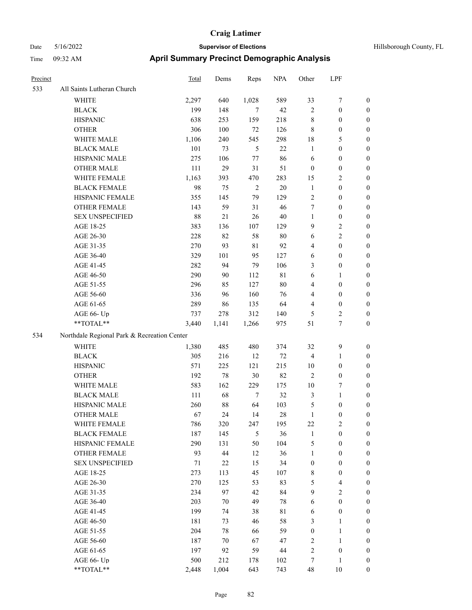#### Date 5/16/2022 **Supervisor of Elections Selections Hillsborough County, FL** Time 09:32 AM **April Summary Precinct Demographic Analysis**

| l'ime    | 09:32 AM                                    | April Summary Precinct Demographic Analysis |       |                |            |                |                  |                  |
|----------|---------------------------------------------|---------------------------------------------|-------|----------------|------------|----------------|------------------|------------------|
| Precinct |                                             | Total                                       | Dems  | Reps           | <b>NPA</b> | Other          | LPF              |                  |
| 533      | All Saints Lutheran Church                  |                                             |       |                |            |                |                  |                  |
|          | <b>WHITE</b>                                | 2,297                                       | 640   | 1,028          | 589        | 33             | 7                | $\mathbf{0}$     |
|          | <b>BLACK</b>                                | 199                                         | 148   | 7              | 42         | $\overline{c}$ | $\overline{0}$   | $\mathbf{0}$     |
|          | <b>HISPANIC</b>                             | 638                                         | 253   | 159            | 218        | 8              | $\Omega$         | $\mathbf{0}$     |
|          | <b>OTHER</b>                                | 306                                         | 100   | 72             | 126        | $\,$ 8 $\,$    | $\boldsymbol{0}$ | $\boldsymbol{0}$ |
|          | WHITE MALE                                  | 1,106                                       | 240   | 545            | 298        | 18             | 5                | $\mathbf{0}$     |
|          | <b>BLACK MALE</b>                           | 101                                         | 73    | 5              | 22         | 1              | $\overline{0}$   | $\boldsymbol{0}$ |
|          | HISPANIC MALE                               | 275                                         | 106   | 77             | 86         | 6              | $\overline{0}$   | $\boldsymbol{0}$ |
|          | <b>OTHER MALE</b>                           | 111                                         | 29    | 31             | 51         | $\Omega$       | $\overline{0}$   | $\mathbf{0}$     |
|          | WHITE FEMALE                                | 1,163                                       | 393   | 470            | 283        | 15             | 2                | $\boldsymbol{0}$ |
|          | <b>BLACK FEMALE</b>                         | 98                                          | 75    | $\overline{2}$ | 20         | $\mathbf{1}$   | $\mathbf{0}$     | $\mathbf{0}$     |
|          | HISPANIC FEMALE                             | 355                                         | 145   | 79             | 129        | $\overline{c}$ | $\mathbf{0}$     | $\boldsymbol{0}$ |
|          | <b>OTHER FEMALE</b>                         | 143                                         | 59    | 31             | 46         | 7              | $\overline{0}$   | $\mathbf{0}$     |
|          | <b>SEX UNSPECIFIED</b>                      | 88                                          | 21    | 26             | 40         | 1              | $\mathbf{0}$     | $\mathbf{0}$     |
|          | AGE 18-25                                   | 383                                         | 136   | 107            | 129        | 9              | $\overline{2}$   | $\mathbf{0}$     |
|          | AGE 26-30                                   | 228                                         | 82    | 58             | 80         | 6              | $\overline{c}$   | $\boldsymbol{0}$ |
|          | AGE 31-35                                   | 270                                         | 93    | 81             | 92         | 4              | $\mathbf{0}$     | $\boldsymbol{0}$ |
|          | AGE 36-40                                   | 329                                         | 101   | 95             | 127        | 6              | $\overline{0}$   | $\mathbf{0}$     |
|          | AGE 41-45                                   | 282                                         | 94    | 79             | 106        | 3              | $\mathbf{0}$     | $\mathbf{0}$     |
|          | AGE 46-50                                   | 290                                         | 90    | 112            | 81         | 6              | 1                | $\mathbf{0}$     |
|          | AGE 51-55                                   | 296                                         | 85    | 127            | 80         | 4              | $\boldsymbol{0}$ | $\boldsymbol{0}$ |
|          | AGE 56-60                                   | 336                                         | 96    | 160            | 76         | 4              | $\overline{0}$   | $\mathbf{0}$     |
|          | AGE 61-65                                   | 289                                         | 86    | 135            | 64         | 4              | $\overline{0}$   | $\boldsymbol{0}$ |
|          | AGE 66- Up                                  | 737                                         | 278   | 312            | 140        | 5              | 2                | $\bf{0}$         |
|          | **TOTAL**                                   | 3,440                                       | 1,141 | 1,266          | 975        | 51             | $\overline{7}$   | $\mathbf{0}$     |
| 534      | Northdale Regional Park & Recreation Center |                                             |       |                |            |                |                  |                  |
|          |                                             |                                             |       |                |            |                |                  |                  |

| Northdale Regional Park & Re<br>-534 |  |
|--------------------------------------|--|
|                                      |  |

| AGE 56-60     | 187   | 70    | 67  | 47  | ∸  |          | $\mathbf{0}$ |
|---------------|-------|-------|-----|-----|----|----------|--------------|
| AGE 61-65     | 197   | 92    | 59  | 44  |    | $\theta$ | $\mathbf{0}$ |
| AGE $66$ - Up | 500   | 212   | 178 | 102 |    |          | $\mathbf{0}$ |
| $*$ TOTAL $*$ | 2.448 | 1.004 | 643 | 743 | 48 | 10       | $\mathbf{0}$ |

WHITE 1,380 485 480 374 32 9 0 BLACK 305 216 12 72 4 1 0 HISPANIC 571 225 121 215 10 0 0 OTHER 192 78 30 82 2 0 0 WHITE MALE 583 162 229 175 10 7 0 BLACK MALE 111 68 7 32 3 1 0 HISPANIC MALE 260 88 64 103 5 0 0 OTHER MALE 67 24 14 28 1 0 0 WHITE FEMALE 786 320 247 195 22 2 0 BLACK FEMALE 187 145 5 36 1 0 0 HISPANIC FEMALE 290 131 50 104 5 0 0 OTHER FEMALE 93 44 12 36 1 0 0 SEX UNSPECIFIED 71 22 15 34 0 0 0 AGE 18-25 273 113 45 107 8 0 0 AGE 26-30 270 125 53 83 5 4 0 AGE 31-35 234 97 42 84 9 2 0 AGE 36-40 203 70 49 78 6 0 0 AGE 41-45 199 74 38 81 6 0 0 AGE 46-50 181 73 46 58 3 1 0 AGE 51-55 204 78 66 59 0 1 0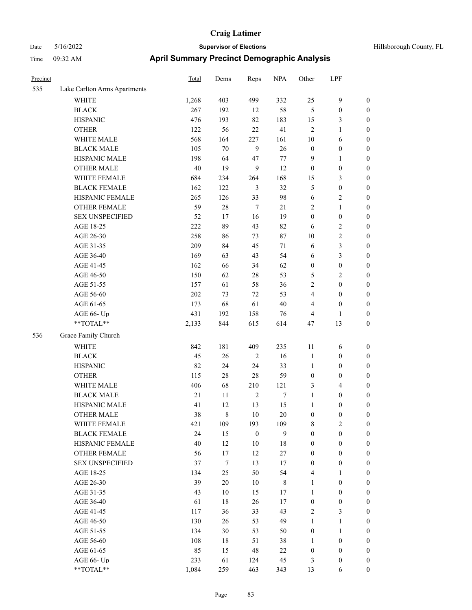| Hillsborough County, FL |  |  |
|-------------------------|--|--|
|-------------------------|--|--|

| Precinct |                              | <b>Total</b> | Dems             | Reps             | <b>NPA</b> | Other            | LPF              |                  |
|----------|------------------------------|--------------|------------------|------------------|------------|------------------|------------------|------------------|
| 535      | Lake Carlton Arms Apartments |              |                  |                  |            |                  |                  |                  |
|          | <b>WHITE</b>                 | 1,268        | 403              | 499              | 332        | 25               | $\mathbf{9}$     | $\boldsymbol{0}$ |
|          | <b>BLACK</b>                 | 267          | 192              | 12               | 58         | 5                | $\boldsymbol{0}$ | $\boldsymbol{0}$ |
|          | <b>HISPANIC</b>              | 476          | 193              | 82               | 183        | 15               | 3                | $\boldsymbol{0}$ |
|          | <b>OTHER</b>                 | 122          | 56               | 22               | 41         | $\overline{2}$   | 1                | $\boldsymbol{0}$ |
|          | WHITE MALE                   | 568          | 164              | 227              | 161        | 10               | 6                | $\boldsymbol{0}$ |
|          | <b>BLACK MALE</b>            | 105          | $70\,$           | 9                | 26         | $\boldsymbol{0}$ | 0                | $\boldsymbol{0}$ |
|          | HISPANIC MALE                | 198          | 64               | 47               | $77\,$     | 9                | 1                | $\boldsymbol{0}$ |
|          | <b>OTHER MALE</b>            | 40           | 19               | $\overline{9}$   | 12         | $\boldsymbol{0}$ | $\boldsymbol{0}$ | $\boldsymbol{0}$ |
|          | WHITE FEMALE                 | 684          | 234              | 264              | 168        | 15               | 3                | $\boldsymbol{0}$ |
|          | <b>BLACK FEMALE</b>          | 162          | 122              | 3                | 32         | $\mathfrak{H}$   | $\boldsymbol{0}$ | $\boldsymbol{0}$ |
|          | HISPANIC FEMALE              | 265          | 126              | 33               | 98         | 6                | 2                | $\boldsymbol{0}$ |
|          | <b>OTHER FEMALE</b>          | 59           | $28\,$           | $\tau$           | $21\,$     | $\sqrt{2}$       | 1                | $\boldsymbol{0}$ |
|          | <b>SEX UNSPECIFIED</b>       | 52           | 17               | 16               | 19         | $\boldsymbol{0}$ | $\boldsymbol{0}$ | $\boldsymbol{0}$ |
|          | AGE 18-25                    | 222          | 89               | 43               | 82         | 6                | 2                | $\boldsymbol{0}$ |
|          | AGE 26-30                    | 258          | 86               | 73               | $87\,$     | 10               | 2                | $\boldsymbol{0}$ |
|          | AGE 31-35                    | 209          | 84               | 45               | 71         | 6                | 3                | $\boldsymbol{0}$ |
|          | AGE 36-40                    | 169          | 63               | 43               | 54         | 6                | 3                | $\boldsymbol{0}$ |
|          | AGE 41-45                    | 162          | 66               | 34               | 62         | $\boldsymbol{0}$ | $\boldsymbol{0}$ | $\boldsymbol{0}$ |
|          | AGE 46-50                    | 150          | 62               | 28               | 53         | 5                | 2                | $\boldsymbol{0}$ |
|          | AGE 51-55                    | 157          | 61               | 58               | 36         | $\overline{2}$   | $\boldsymbol{0}$ | $\boldsymbol{0}$ |
|          | AGE 56-60                    | 202          | 73               | 72               | 53         | $\overline{4}$   | $\boldsymbol{0}$ | $\boldsymbol{0}$ |
|          | AGE 61-65                    | 173          | 68               | 61               | 40         | $\overline{4}$   | $\boldsymbol{0}$ | $\boldsymbol{0}$ |
|          | AGE 66- Up                   | 431          | 192              | 158              | 76         | $\overline{4}$   | 1                | $\boldsymbol{0}$ |
|          | **TOTAL**                    | 2,133        | 844              | 615              | 614        | 47               | 13               | $\boldsymbol{0}$ |
| 536      | Grace Family Church          |              |                  |                  |            |                  |                  |                  |
|          | <b>WHITE</b>                 | 842          | 181              | 409              | 235        | 11               | 6                | $\boldsymbol{0}$ |
|          | <b>BLACK</b>                 | 45           | 26               | $\overline{2}$   | 16         | $\mathbf{1}$     | $\boldsymbol{0}$ | $\boldsymbol{0}$ |
|          | <b>HISPANIC</b>              | 82           | 24               | 24               | 33         | $\mathbf{1}$     | $\boldsymbol{0}$ | $\boldsymbol{0}$ |
|          | <b>OTHER</b>                 | 115          | 28               | $28\,$           | 59         | $\boldsymbol{0}$ | $\boldsymbol{0}$ | $\boldsymbol{0}$ |
|          | WHITE MALE                   | 406          | 68               | 210              | 121        | 3                | 4                | $\boldsymbol{0}$ |
|          | <b>BLACK MALE</b>            | 21           | 11               | $\overline{2}$   | 7          | $\mathbf{1}$     | $\boldsymbol{0}$ | $\boldsymbol{0}$ |
|          | HISPANIC MALE                | 41           | 12               | 13               | 15         | $\mathbf{1}$     | 0                | $\boldsymbol{0}$ |
|          | <b>OTHER MALE</b>            | 38           | 8                | 10               | 20         | $\boldsymbol{0}$ | 0                | $\boldsymbol{0}$ |
|          | WHITE FEMALE                 | 421          | 109              | 193              | 109        | $\,$ 8 $\,$      | 2                | $\boldsymbol{0}$ |
|          | <b>BLACK FEMALE</b>          | 24           | 15               | $\boldsymbol{0}$ | 9          | $\boldsymbol{0}$ | $\boldsymbol{0}$ | $\boldsymbol{0}$ |
|          | HISPANIC FEMALE              | 40           | 12               | 10               | 18         | $\boldsymbol{0}$ | $\boldsymbol{0}$ | $\boldsymbol{0}$ |
|          | OTHER FEMALE                 | 56           | 17               | 12               | $27\,$     | $\boldsymbol{0}$ | $\boldsymbol{0}$ | $\boldsymbol{0}$ |
|          | <b>SEX UNSPECIFIED</b>       | 37           | $\boldsymbol{7}$ | 13               | 17         | $\boldsymbol{0}$ | $\boldsymbol{0}$ | $\boldsymbol{0}$ |
|          | AGE 18-25                    | 134          | 25               | 50               | 54         | $\overline{4}$   | 1                | $\boldsymbol{0}$ |
|          | AGE 26-30                    | 39           | 20               | 10               | $\,8\,$    | $\mathbf{1}$     | $\boldsymbol{0}$ | $\boldsymbol{0}$ |
|          | AGE 31-35                    | 43           | 10               | 15               | 17         | $\mathbf{1}$     | $\boldsymbol{0}$ | $\boldsymbol{0}$ |
|          | AGE 36-40                    | 61           | 18               | 26               | 17         | $\boldsymbol{0}$ | $\boldsymbol{0}$ | $\boldsymbol{0}$ |
|          | AGE 41-45                    | 117          | 36               | 33               | 43         | $\sqrt{2}$       | 3                | $\boldsymbol{0}$ |
|          | AGE 46-50                    | 130          | 26               | 53               | 49         | $\mathbf{1}$     | $\mathbf{1}$     | $\boldsymbol{0}$ |
|          | AGE 51-55                    | 134          | 30               | 53               | 50         | $\boldsymbol{0}$ | $\mathbf{1}$     | $\boldsymbol{0}$ |
|          | AGE 56-60                    | 108          | 18               | 51               | 38         | $\mathbf{1}$     | $\boldsymbol{0}$ | $\boldsymbol{0}$ |
|          | AGE 61-65                    | 85           | 15               | 48               | $22\,$     | $\boldsymbol{0}$ | $\boldsymbol{0}$ | $\boldsymbol{0}$ |
|          | AGE 66- Up                   | 233          | 61               | 124              | 45         | 3                | $\boldsymbol{0}$ | $\mathbf{0}$     |
|          | $**TOTAL**$                  | 1,084        | 259              | 463              | 343        | 13               | 6                | $\boldsymbol{0}$ |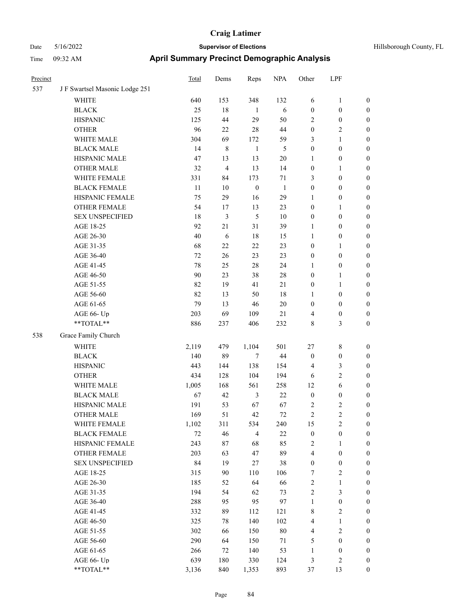| Precinct |                                                           | <b>Total</b> | Dems           | Reps             | <b>NPA</b>   | Other                   | LPF              |                  |
|----------|-----------------------------------------------------------|--------------|----------------|------------------|--------------|-------------------------|------------------|------------------|
| 537      | J F Swartsel Masonic Lodge 251                            |              |                |                  |              |                         |                  |                  |
|          | <b>WHITE</b>                                              | 640          | 153            | 348              | 132          | 6                       | $\mathbf{1}$     | $\boldsymbol{0}$ |
|          | <b>BLACK</b>                                              | 25           | 18             | $\mathbf{1}$     | 6            | $\boldsymbol{0}$        | $\boldsymbol{0}$ | $\boldsymbol{0}$ |
|          | <b>HISPANIC</b>                                           | 125          | 44             | 29               | 50           | 2                       | $\boldsymbol{0}$ | $\boldsymbol{0}$ |
|          | <b>OTHER</b>                                              | 96           | 22             | 28               | 44           | $\boldsymbol{0}$        | $\mathfrak{2}$   | $\boldsymbol{0}$ |
|          | WHITE MALE                                                | 304          | 69             | 172              | 59           | 3                       | $\mathbf{1}$     | 0                |
|          | <b>BLACK MALE</b>                                         | 14           | 8              | $\mathbf{1}$     | 5            | $\boldsymbol{0}$        | $\boldsymbol{0}$ | 0                |
|          | HISPANIC MALE                                             | 47           | 13             | 13               | $20\,$       | $\mathbf{1}$            | $\boldsymbol{0}$ | 0                |
|          | <b>OTHER MALE</b>                                         | 32           | $\overline{4}$ | 13               | 14           | $\boldsymbol{0}$        | $\mathbf{1}$     | $\boldsymbol{0}$ |
|          | WHITE FEMALE                                              | 331          | 84             | 173              | $71\,$       | 3                       | $\boldsymbol{0}$ | $\boldsymbol{0}$ |
|          | <b>BLACK FEMALE</b>                                       | 11           | $10\,$         | $\boldsymbol{0}$ | $\mathbf{1}$ | $\boldsymbol{0}$        | $\boldsymbol{0}$ | $\boldsymbol{0}$ |
|          | HISPANIC FEMALE                                           | 75           | 29             | 16               | 29           | $\mathbf{1}$            | $\boldsymbol{0}$ | $\boldsymbol{0}$ |
|          | OTHER FEMALE                                              | 54           | 17             | 13               | 23           | $\boldsymbol{0}$        | $\mathbf{1}$     | $\boldsymbol{0}$ |
|          | <b>SEX UNSPECIFIED</b>                                    | 18           | $\mathfrak{Z}$ | $\mathfrak{S}$   | $10\,$       | $\boldsymbol{0}$        | $\boldsymbol{0}$ | $\boldsymbol{0}$ |
|          | AGE 18-25                                                 | 92           | 21             | 31               | 39           | $\mathbf{1}$            | $\boldsymbol{0}$ | $\boldsymbol{0}$ |
|          | AGE 26-30                                                 | 40           | 6              | 18               | 15           | $\mathbf{1}$            | $\boldsymbol{0}$ | 0                |
|          | AGE 31-35                                                 | 68           | 22             | 22               | 23           | $\boldsymbol{0}$        | $\mathbf{1}$     | 0                |
|          | AGE 36-40                                                 | 72           | 26             | 23               | 23           | $\boldsymbol{0}$        | $\boldsymbol{0}$ | 0                |
|          | AGE 41-45                                                 | 78           | 25             | $28\,$           | 24           | 1                       | $\boldsymbol{0}$ | $\boldsymbol{0}$ |
|          | AGE 46-50                                                 | 90           | 23             | 38               | $28\,$       | $\boldsymbol{0}$        | $\mathbf{1}$     | $\boldsymbol{0}$ |
|          | AGE 51-55                                                 | 82           | 19             | 41               | 21           | $\boldsymbol{0}$        | $\mathbf{1}$     | $\boldsymbol{0}$ |
|          | AGE 56-60                                                 | 82           | 13             | 50               | 18           | $\mathbf{1}$            | $\boldsymbol{0}$ | $\boldsymbol{0}$ |
|          | AGE 61-65                                                 | 79           | 13             | $46\,$           | $20\,$       | $\boldsymbol{0}$        | $\boldsymbol{0}$ | $\boldsymbol{0}$ |
|          | AGE 66- Up                                                | 203          | 69             | 109              | 21           | 4                       | $\boldsymbol{0}$ | $\boldsymbol{0}$ |
|          | $\mathrm{*}\mathrm{*}\mathrm{TOTAL} \mathrm{*}\mathrm{*}$ | 886          | 237            | 406              | 232          | 8                       | 3                | $\boldsymbol{0}$ |
| 538      | Grace Family Church                                       |              |                |                  |              |                         |                  |                  |
|          | <b>WHITE</b>                                              | 2,119        | 479            | 1,104            | 501          | 27                      | $8\,$            | $\boldsymbol{0}$ |
|          | <b>BLACK</b>                                              | 140          | 89             | $\tau$           | $44\,$       | $\boldsymbol{0}$        | $\boldsymbol{0}$ | $\boldsymbol{0}$ |
|          | <b>HISPANIC</b>                                           | 443          | 144            | 138              | 154          | $\overline{4}$          | $\mathfrak{Z}$   | 0                |
|          | <b>OTHER</b>                                              | 434          | 128            | 104              | 194          | 6                       | $\sqrt{2}$       | 0                |
|          | WHITE MALE                                                | 1,005        | 168            | 561              | 258          | 12                      | 6                | $\boldsymbol{0}$ |
|          | <b>BLACK MALE</b>                                         | 67           | 42             | $\mathfrak{Z}$   | $22\,$       | $\boldsymbol{0}$        | $\boldsymbol{0}$ | $\boldsymbol{0}$ |
|          | HISPANIC MALE                                             | 191          | 53             | 67               | 67           | 2                       | $\sqrt{2}$       | $\boldsymbol{0}$ |
|          | <b>OTHER MALE</b>                                         | 169          | 51             | 42               | 72           | $\overline{c}$          | $\overline{c}$   | $\boldsymbol{0}$ |
|          | WHITE FEMALE                                              | 1,102        | 311            | 534              | 240          | 15                      | $\sqrt{2}$       | $\overline{0}$   |
|          | <b>BLACK FEMALE</b>                                       | $72\,$       | 46             | $\overline{4}$   | $22\,$       | $\boldsymbol{0}$        | $\boldsymbol{0}$ | 0                |
|          | HISPANIC FEMALE                                           | 243          | 87             | 68               | 85           | $\sqrt{2}$              | $\mathbf{1}$     | 0                |
|          | OTHER FEMALE                                              | 203          | 63             | 47               | 89           | $\overline{4}$          | $\boldsymbol{0}$ | 0                |
|          | <b>SEX UNSPECIFIED</b>                                    | 84           | 19             | $27\,$           | 38           | $\boldsymbol{0}$        | $\boldsymbol{0}$ | 0                |
|          | AGE 18-25                                                 | 315          | 90             | 110              | 106          | 7                       | $\sqrt{2}$       | 0                |
|          | AGE 26-30                                                 | 185          | 52             | 64               | 66           | $\sqrt{2}$              | $\mathbf{1}$     | $\boldsymbol{0}$ |
|          | AGE 31-35                                                 | 194          | 54             | 62               | 73           | $\sqrt{2}$              | $\mathfrak{Z}$   | $\boldsymbol{0}$ |
|          | AGE 36-40                                                 | 288          | 95             | 95               | 97           | $\mathbf{1}$            | $\boldsymbol{0}$ | $\overline{0}$   |
|          | AGE 41-45                                                 | 332          | 89             | 112              | 121          | 8                       | $\mathbf{2}$     | $\boldsymbol{0}$ |
|          | AGE 46-50                                                 | 325          | 78             | 140              | 102          | 4                       | $\mathbf{1}$     | $\overline{0}$   |
|          | AGE 51-55                                                 | 302          | 66             | 150              | $80\,$       | $\overline{\mathbf{4}}$ | $\sqrt{2}$       | $\overline{0}$   |
|          | AGE 56-60                                                 | 290          | 64             | 150              | $71\,$       | 5                       | $\boldsymbol{0}$ | $\overline{0}$   |
|          | AGE 61-65                                                 | 266          | 72             | 140              | 53           | $\mathbf{1}$            | $\boldsymbol{0}$ | 0                |
|          | AGE 66- Up                                                | 639          | 180            | 330              | 124          | 3                       | $\sqrt{2}$       | 0                |
|          | **TOTAL**                                                 | 3,136        | 840            | 1,353            | 893          | $37\,$                  | 13               | $\boldsymbol{0}$ |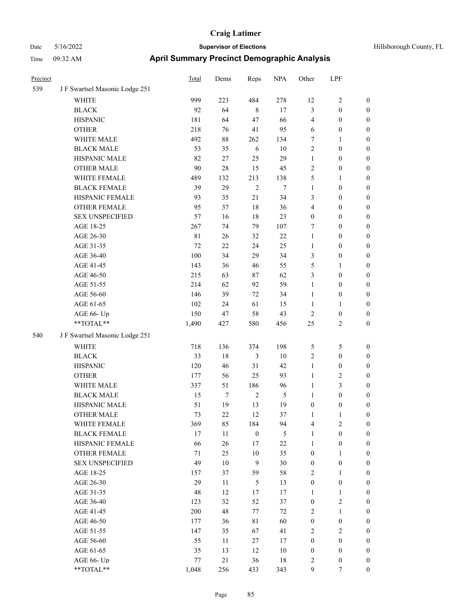| Precinct |                                | <b>Total</b> | Dems        | Reps             | <b>NPA</b> | Other            | LPF              |                  |
|----------|--------------------------------|--------------|-------------|------------------|------------|------------------|------------------|------------------|
| 539      | J F Swartsel Masonic Lodge 251 |              |             |                  |            |                  |                  |                  |
|          | <b>WHITE</b>                   | 999          | 223         | 484              | 278        | 12               | 2                | $\boldsymbol{0}$ |
|          | <b>BLACK</b>                   | 92           | 64          | $\,8\,$          | 17         | $\mathfrak{Z}$   | $\boldsymbol{0}$ | $\boldsymbol{0}$ |
|          | <b>HISPANIC</b>                | 181          | 64          | 47               | 66         | $\overline{4}$   | $\boldsymbol{0}$ | $\boldsymbol{0}$ |
|          | <b>OTHER</b>                   | 218          | 76          | 41               | 95         | 6                | $\boldsymbol{0}$ | $\boldsymbol{0}$ |
|          | WHITE MALE                     | 492          | 88          | 262              | 134        | 7                | 1                | $\boldsymbol{0}$ |
|          | <b>BLACK MALE</b>              | 53           | 35          | 6                | 10         | $\sqrt{2}$       | $\boldsymbol{0}$ | $\boldsymbol{0}$ |
|          | HISPANIC MALE                  | 82           | $27\,$      | 25               | 29         | $\mathbf{1}$     | $\boldsymbol{0}$ | $\boldsymbol{0}$ |
|          | <b>OTHER MALE</b>              | 90           | 28          | 15               | 45         | $\sqrt{2}$       | $\boldsymbol{0}$ | $\boldsymbol{0}$ |
|          | WHITE FEMALE                   | 489          | 132         | 213              | 138        | 5                | 1                | $\boldsymbol{0}$ |
|          | <b>BLACK FEMALE</b>            | 39           | 29          | $\overline{2}$   | $\tau$     | $\mathbf{1}$     | $\boldsymbol{0}$ | $\boldsymbol{0}$ |
|          | HISPANIC FEMALE                | 93           | 35          | 21               | 34         | 3                | $\boldsymbol{0}$ | $\boldsymbol{0}$ |
|          | <b>OTHER FEMALE</b>            | 95           | 37          | 18               | 36         | $\overline{4}$   | $\boldsymbol{0}$ | $\boldsymbol{0}$ |
|          | <b>SEX UNSPECIFIED</b>         | 57           | 16          | $18\,$           | 23         | $\boldsymbol{0}$ | $\boldsymbol{0}$ | $\boldsymbol{0}$ |
|          | AGE 18-25                      | 267          | 74          | 79               | 107        | 7                | $\boldsymbol{0}$ | $\boldsymbol{0}$ |
|          | AGE 26-30                      | $8\sqrt{1}$  | 26          | 32               | $22\,$     | $\mathbf{1}$     | $\boldsymbol{0}$ | $\boldsymbol{0}$ |
|          | AGE 31-35                      | 72           | 22          | 24               | 25         | $\mathbf{1}$     | $\boldsymbol{0}$ | $\boldsymbol{0}$ |
|          | AGE 36-40                      | 100          | 34          | 29               | 34         | $\mathfrak{Z}$   | $\boldsymbol{0}$ | $\boldsymbol{0}$ |
|          | AGE 41-45                      | 143          | 36          | 46               | 55         | 5                | 1                | $\boldsymbol{0}$ |
|          | AGE 46-50                      | 215          | 63          | 87               | 62         | 3                | $\boldsymbol{0}$ | $\boldsymbol{0}$ |
|          | AGE 51-55                      | 214          | 62          | 92               | 59         | $\mathbf{1}$     | $\boldsymbol{0}$ | $\boldsymbol{0}$ |
|          | AGE 56-60                      | 146          | 39          | 72               | 34         | $\mathbf{1}$     | $\boldsymbol{0}$ | $\boldsymbol{0}$ |
|          | AGE 61-65                      | 102          | 24          | 61               | 15         | 1                | 1                | $\boldsymbol{0}$ |
|          | AGE 66- Up                     | 150          | 47          | 58               | 43         | $\sqrt{2}$       | $\boldsymbol{0}$ | $\boldsymbol{0}$ |
|          | **TOTAL**                      | 1,490        | 427         | 580              | 456        | 25               | 2                | $\boldsymbol{0}$ |
| 540      | JF Swartsel Masonic Lodge 251  |              |             |                  |            |                  |                  |                  |
|          | <b>WHITE</b>                   | 718          | 136         | 374              | 198        | 5                | 5                | $\boldsymbol{0}$ |
|          | <b>BLACK</b>                   | 33           | $18\,$      | 3                | $10\,$     | $\sqrt{2}$       | $\boldsymbol{0}$ | $\boldsymbol{0}$ |
|          | <b>HISPANIC</b>                | 120          | 46          | 31               | 42         | $\mathbf{1}$     | $\boldsymbol{0}$ | $\boldsymbol{0}$ |
|          | <b>OTHER</b>                   | 177          | 56          | 25               | 93         | $\mathbf{1}$     | 2                | $\boldsymbol{0}$ |
|          | WHITE MALE                     | 337          | 51          | 186              | 96         | $\mathbf{1}$     | 3                | $\boldsymbol{0}$ |
|          | <b>BLACK MALE</b>              | 15           | 7           | $\sqrt{2}$       | $\sqrt{5}$ | $\mathbf{1}$     | $\boldsymbol{0}$ | $\boldsymbol{0}$ |
|          | HISPANIC MALE                  | 51           | 19          | 13               | 19         | $\boldsymbol{0}$ | $\boldsymbol{0}$ | $\boldsymbol{0}$ |
|          | <b>OTHER MALE</b>              | 73           | 22          | 12               | 37         | 1                | 1                | $\boldsymbol{0}$ |
|          | WHITE FEMALE                   | 369          | 85          | 184              | 94         | $\overline{4}$   | $\sqrt{2}$       | $\boldsymbol{0}$ |
|          | <b>BLACK FEMALE</b>            | 17           | 11          | $\boldsymbol{0}$ | $\sqrt{5}$ | $\mathbf{1}$     | $\boldsymbol{0}$ | $\boldsymbol{0}$ |
|          | HISPANIC FEMALE                | 66           | 26          | 17               | $22\,$     | $\mathbf{1}$     | $\boldsymbol{0}$ | $\boldsymbol{0}$ |
|          | OTHER FEMALE                   | $71\,$       | $25\,$      | $10\,$           | 35         | $\boldsymbol{0}$ | 1                | $\boldsymbol{0}$ |
|          | <b>SEX UNSPECIFIED</b>         | 49           | $10\,$      | 9                | 30         | $\boldsymbol{0}$ | $\boldsymbol{0}$ | $\boldsymbol{0}$ |
|          | AGE 18-25                      | 157          | 37          | 59               | 58         | $\sqrt{2}$       | $\mathbf{1}$     | $\boldsymbol{0}$ |
|          | AGE 26-30                      | 29           | 11          | $\mathfrak{H}$   | 13         | $\boldsymbol{0}$ | $\boldsymbol{0}$ | $\boldsymbol{0}$ |
|          | AGE 31-35                      | 48           | 12          | 17               | 17         | $\mathbf{1}$     | 1                | $\boldsymbol{0}$ |
|          | AGE 36-40                      | 123          | 32          | 52               | 37         | $\boldsymbol{0}$ | 2                | $\boldsymbol{0}$ |
|          | AGE 41-45                      | $200\,$      | $\sqrt{48}$ | 77               | $72\,$     | $\sqrt{2}$       | 1                | $\boldsymbol{0}$ |
|          | AGE 46-50                      | 177          | 36          | 81               | 60         | $\boldsymbol{0}$ | $\boldsymbol{0}$ | $\boldsymbol{0}$ |
|          | AGE 51-55                      | 147          | 35          | 67               | 41         | $\sqrt{2}$       | $\sqrt{2}$       | $\boldsymbol{0}$ |
|          | AGE 56-60                      | 55           | 11          | $27\,$           | 17         | $\boldsymbol{0}$ | $\boldsymbol{0}$ | $\boldsymbol{0}$ |
|          | AGE 61-65                      | 35           | 13          | 12               | 10         | $\boldsymbol{0}$ | $\boldsymbol{0}$ | $\boldsymbol{0}$ |
|          | AGE 66- Up                     | $77\,$       | 21          | 36               | 18         | $\overline{c}$   | $\boldsymbol{0}$ | $\boldsymbol{0}$ |
|          | **TOTAL**                      | 1,048        | 256         | 433              | 343        | 9                | 7                | $\boldsymbol{0}$ |
|          |                                |              |             |                  |            |                  |                  |                  |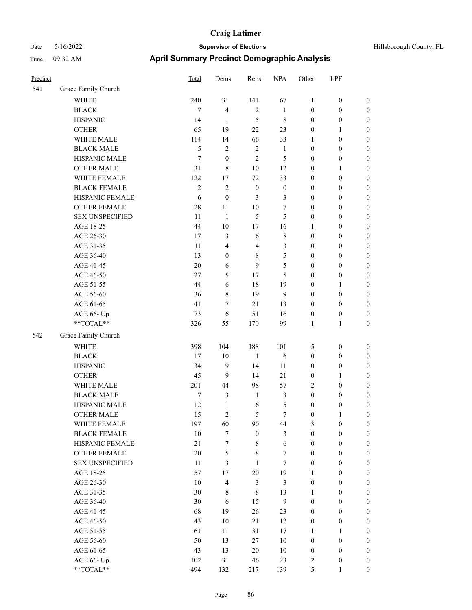| Hillsborough County, FL |  |  |
|-------------------------|--|--|
|-------------------------|--|--|

| Precinct |                        | Total            | Dems             | Reps             | <b>NPA</b>       | Other            | LPF              |                  |
|----------|------------------------|------------------|------------------|------------------|------------------|------------------|------------------|------------------|
| 541      | Grace Family Church    |                  |                  |                  |                  |                  |                  |                  |
|          | <b>WHITE</b>           | 240              | 31               | 141              | 67               | 1                | $\boldsymbol{0}$ | $\boldsymbol{0}$ |
|          | <b>BLACK</b>           | 7                | $\overline{4}$   | $\overline{2}$   | $\mathbf{1}$     | $\boldsymbol{0}$ | $\boldsymbol{0}$ | $\boldsymbol{0}$ |
|          | <b>HISPANIC</b>        | 14               | $\mathbf{1}$     | 5                | 8                | $\boldsymbol{0}$ | $\boldsymbol{0}$ | $\boldsymbol{0}$ |
|          | <b>OTHER</b>           | 65               | 19               | $22\,$           | 23               | $\boldsymbol{0}$ | 1                | $\boldsymbol{0}$ |
|          | WHITE MALE             | 114              | 14               | 66               | 33               | 1                | $\boldsymbol{0}$ | $\boldsymbol{0}$ |
|          | <b>BLACK MALE</b>      | $\mathfrak s$    | 2                | $\overline{2}$   | $\mathbf{1}$     | $\boldsymbol{0}$ | $\boldsymbol{0}$ | $\boldsymbol{0}$ |
|          | HISPANIC MALE          | 7                | $\boldsymbol{0}$ | $\overline{2}$   | 5                | $\boldsymbol{0}$ | $\boldsymbol{0}$ | $\boldsymbol{0}$ |
|          | <b>OTHER MALE</b>      | 31               | 8                | 10               | 12               | $\boldsymbol{0}$ | 1                | $\boldsymbol{0}$ |
|          | WHITE FEMALE           | 122              | 17               | 72               | 33               | $\boldsymbol{0}$ | $\boldsymbol{0}$ | $\boldsymbol{0}$ |
|          | <b>BLACK FEMALE</b>    | $\sqrt{2}$       | $\sqrt{2}$       | $\boldsymbol{0}$ | $\boldsymbol{0}$ | $\boldsymbol{0}$ | $\boldsymbol{0}$ | $\boldsymbol{0}$ |
|          | HISPANIC FEMALE        | 6                | $\boldsymbol{0}$ | 3                | 3                | $\boldsymbol{0}$ | $\boldsymbol{0}$ | $\boldsymbol{0}$ |
|          | <b>OTHER FEMALE</b>    | 28               | 11               | 10               | 7                | $\boldsymbol{0}$ | $\boldsymbol{0}$ | $\boldsymbol{0}$ |
|          | <b>SEX UNSPECIFIED</b> | 11               | $\mathbf{1}$     | 5                | 5                | $\boldsymbol{0}$ | $\boldsymbol{0}$ | $\boldsymbol{0}$ |
|          | AGE 18-25              | 44               | $10\,$           | 17               | 16               | $\mathbf{1}$     | $\boldsymbol{0}$ | $\boldsymbol{0}$ |
|          | AGE 26-30              | 17               | $\mathfrak{Z}$   | 6                | $\,8\,$          | $\boldsymbol{0}$ | $\boldsymbol{0}$ | $\boldsymbol{0}$ |
|          | AGE 31-35              | 11               | 4                | $\overline{4}$   | 3                | $\boldsymbol{0}$ | $\boldsymbol{0}$ | $\boldsymbol{0}$ |
|          | AGE 36-40              | 13               | $\boldsymbol{0}$ | $\,8\,$          | 5                | $\boldsymbol{0}$ | $\boldsymbol{0}$ | $\boldsymbol{0}$ |
|          | AGE 41-45              | 20               | 6                | 9                | 5                | $\boldsymbol{0}$ | $\boldsymbol{0}$ | $\boldsymbol{0}$ |
|          | AGE 46-50              | $27\,$           | 5                | 17               | 5                | $\boldsymbol{0}$ | $\boldsymbol{0}$ | $\boldsymbol{0}$ |
|          | AGE 51-55              | 44               | 6                | 18               | 19               | $\boldsymbol{0}$ | 1                | $\boldsymbol{0}$ |
|          | AGE 56-60              | 36               | 8                | 19               | 9                | $\boldsymbol{0}$ | $\boldsymbol{0}$ | $\boldsymbol{0}$ |
|          | AGE 61-65              | 41               | $\tau$           | 21               | 13               | $\boldsymbol{0}$ | $\boldsymbol{0}$ | $\boldsymbol{0}$ |
|          | AGE 66- Up             | 73               | 6                | 51               | 16               | $\boldsymbol{0}$ | $\boldsymbol{0}$ | $\boldsymbol{0}$ |
|          | **TOTAL**              | 326              | 55               | 170              | 99               | $\mathbf{1}$     | 1                | $\boldsymbol{0}$ |
| 542      | Grace Family Church    |                  |                  |                  |                  |                  |                  |                  |
|          | <b>WHITE</b>           | 398              | 104              | 188              | 101              | 5                | $\boldsymbol{0}$ | $\boldsymbol{0}$ |
|          | <b>BLACK</b>           | 17               | 10               | 1                | 6                | $\boldsymbol{0}$ | $\boldsymbol{0}$ | $\boldsymbol{0}$ |
|          | <b>HISPANIC</b>        | 34               | 9                | 14               | 11               | $\boldsymbol{0}$ | $\boldsymbol{0}$ | $\boldsymbol{0}$ |
|          | <b>OTHER</b>           | 45               | 9                | 14               | 21               | $\boldsymbol{0}$ | 1                | $\boldsymbol{0}$ |
|          | WHITE MALE             | 201              | 44               | 98               | 57               | $\overline{2}$   | $\boldsymbol{0}$ | $\boldsymbol{0}$ |
|          | <b>BLACK MALE</b>      | $\boldsymbol{7}$ | 3                | $\mathbf{1}$     | 3                | $\boldsymbol{0}$ | $\boldsymbol{0}$ | $\boldsymbol{0}$ |
|          | HISPANIC MALE          | 12               | $\mathbf{1}$     | 6                | 5                | $\boldsymbol{0}$ | $\boldsymbol{0}$ | $\boldsymbol{0}$ |
|          | <b>OTHER MALE</b>      | 15               | 2                | 5                | $\tau$           | $\boldsymbol{0}$ | 1                | $\boldsymbol{0}$ |
|          | WHITE FEMALE           | 197              | 60               | $90\,$           | 44               | $\mathfrak{Z}$   | $\boldsymbol{0}$ | $\boldsymbol{0}$ |
|          | <b>BLACK FEMALE</b>    | $10\,$           | $\tau$           | $\boldsymbol{0}$ | 3                | $\boldsymbol{0}$ | $\boldsymbol{0}$ | $\boldsymbol{0}$ |
|          | HISPANIC FEMALE        | $21\,$           | $\tau$           | $\,$ 8 $\,$      | 6                | $\boldsymbol{0}$ | $\boldsymbol{0}$ | $\boldsymbol{0}$ |
|          | OTHER FEMALE           | 20               | 5                | $\,8\,$          | $\tau$           | $\boldsymbol{0}$ | $\boldsymbol{0}$ | $\boldsymbol{0}$ |
|          | <b>SEX UNSPECIFIED</b> | 11               | 3                | $\mathbf{1}$     | $\tau$           | $\mathbf{0}$     | $\boldsymbol{0}$ | $\boldsymbol{0}$ |
|          | AGE 18-25              | 57               | 17               | $20\,$           | 19               | $\mathbf{1}$     | $\boldsymbol{0}$ | $\boldsymbol{0}$ |
|          | AGE 26-30              | 10               | $\overline{4}$   | 3                | $\mathfrak{Z}$   | $\boldsymbol{0}$ | $\boldsymbol{0}$ | $\boldsymbol{0}$ |
|          | AGE 31-35              | $30\,$           | 8                | $\,$ 8 $\,$      | 13               | $\mathbf{1}$     | $\boldsymbol{0}$ | $\boldsymbol{0}$ |
|          | AGE 36-40              | 30               | 6                | 15               | $\boldsymbol{9}$ | $\boldsymbol{0}$ | $\boldsymbol{0}$ | $\boldsymbol{0}$ |
|          | AGE 41-45              | 68               | 19               | 26               | 23               | $\boldsymbol{0}$ | $\boldsymbol{0}$ | $\boldsymbol{0}$ |
|          | AGE 46-50              | 43               | 10               | 21               | 12               | $\boldsymbol{0}$ | $\boldsymbol{0}$ | $\boldsymbol{0}$ |
|          | AGE 51-55              | 61               | 11               | 31               | $17\,$           | $\mathbf{1}$     | 1                | $\boldsymbol{0}$ |
|          | AGE 56-60              | 50               | 13               | $27\,$           | $10\,$           | $\boldsymbol{0}$ | $\boldsymbol{0}$ | $\boldsymbol{0}$ |
|          | AGE 61-65              | 43               | 13               | $20\,$           | $10\,$           | $\boldsymbol{0}$ | $\boldsymbol{0}$ | $\boldsymbol{0}$ |
|          | AGE 66- Up             | 102              | 31               | 46               | 23               | $\overline{2}$   | $\boldsymbol{0}$ | $\boldsymbol{0}$ |
|          | **TOTAL**              | 494              | 132              | 217              | 139              | $\mathfrak{S}$   | 1                | $\boldsymbol{0}$ |
|          |                        |                  |                  |                  |                  |                  |                  |                  |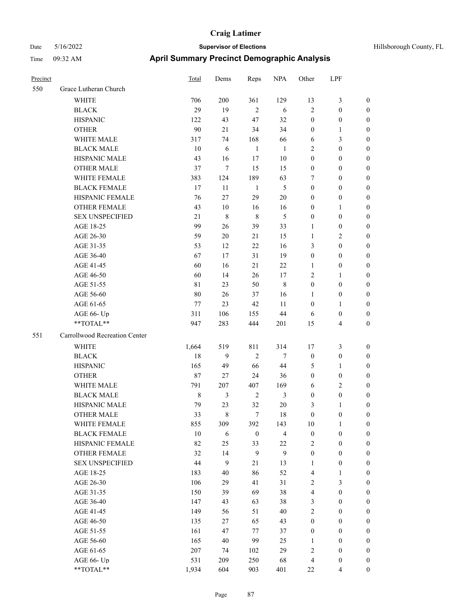| Precinct |                               | <b>Total</b> | Dems           | Reps             | <b>NPA</b>     | Other            | LPF                      |                  |
|----------|-------------------------------|--------------|----------------|------------------|----------------|------------------|--------------------------|------------------|
| 550      | Grace Lutheran Church         |              |                |                  |                |                  |                          |                  |
|          | WHITE                         | 706          | 200            | 361              | 129            | 13               | 3                        | $\boldsymbol{0}$ |
|          | <b>BLACK</b>                  | 29           | 19             | $\overline{2}$   | 6              | $\sqrt{2}$       | $\boldsymbol{0}$         | $\boldsymbol{0}$ |
|          | <b>HISPANIC</b>               | 122          | 43             | 47               | 32             | $\boldsymbol{0}$ | $\boldsymbol{0}$         | $\boldsymbol{0}$ |
|          | <b>OTHER</b>                  | 90           | 21             | 34               | 34             | $\mathbf{0}$     | 1                        | $\boldsymbol{0}$ |
|          | WHITE MALE                    | 317          | 74             | 168              | 66             | 6                | 3                        | $\boldsymbol{0}$ |
|          | <b>BLACK MALE</b>             | 10           | 6              | $\mathbf{1}$     | $\mathbf{1}$   | $\overline{2}$   | $\boldsymbol{0}$         | $\boldsymbol{0}$ |
|          | HISPANIC MALE                 | 43           | 16             | 17               | 10             | $\boldsymbol{0}$ | $\boldsymbol{0}$         | $\boldsymbol{0}$ |
|          | <b>OTHER MALE</b>             | 37           | $\tau$         | 15               | 15             | $\boldsymbol{0}$ | $\theta$                 | $\boldsymbol{0}$ |
|          | WHITE FEMALE                  | 383          | 124            | 189              | 63             | 7                | $\theta$                 | $\boldsymbol{0}$ |
|          | <b>BLACK FEMALE</b>           | 17           | 11             | $\mathbf{1}$     | 5              | $\boldsymbol{0}$ | $\boldsymbol{0}$         | $\boldsymbol{0}$ |
|          | HISPANIC FEMALE               | 76           | 27             | 29               | $20\,$         | $\boldsymbol{0}$ | $\boldsymbol{0}$         | $\boldsymbol{0}$ |
|          | <b>OTHER FEMALE</b>           | 43           | 10             | 16               | 16             | $\boldsymbol{0}$ | 1                        | $\boldsymbol{0}$ |
|          | <b>SEX UNSPECIFIED</b>        | 21           | $\,8\,$        | 8                | 5              | $\boldsymbol{0}$ | $\boldsymbol{0}$         | $\boldsymbol{0}$ |
|          | AGE 18-25                     | 99           | 26             | 39               | 33             | 1                | $\boldsymbol{0}$         | $\boldsymbol{0}$ |
|          | AGE 26-30                     | 59           | 20             | 21               | 15             | $\mathbf{1}$     | 2                        | $\boldsymbol{0}$ |
|          | AGE 31-35                     | 53           | 12             | 22               | 16             | $\mathfrak{Z}$   | $\boldsymbol{0}$         | $\boldsymbol{0}$ |
|          | AGE 36-40                     | 67           | 17             | 31               | 19             | $\boldsymbol{0}$ | $\boldsymbol{0}$         | $\boldsymbol{0}$ |
|          | AGE 41-45                     | 60           | 16             | 21               | 22             | 1                | 0                        | $\boldsymbol{0}$ |
|          | AGE 46-50                     | 60           | 14             | 26               | $17\,$         | $\sqrt{2}$       | 1                        | $\boldsymbol{0}$ |
|          | AGE 51-55                     | 81           | 23             | 50               | 8              | $\boldsymbol{0}$ | $\boldsymbol{0}$         | $\boldsymbol{0}$ |
|          | AGE 56-60                     | 80           | 26             | 37               | 16             | 1                | $\boldsymbol{0}$         | $\boldsymbol{0}$ |
|          | AGE 61-65                     | 77           | 23             | 42               | 11             | $\boldsymbol{0}$ | 1                        | $\boldsymbol{0}$ |
|          | AGE 66- Up                    | 311          | 106            | 155              | 44             | 6                | 0                        | $\boldsymbol{0}$ |
|          | **TOTAL**                     | 947          | 283            | 444              | 201            | 15               | 4                        | $\boldsymbol{0}$ |
| 551      | Carrollwood Recreation Center |              |                |                  |                |                  |                          |                  |
|          | <b>WHITE</b>                  | 1,664        | 519            | 811              | 314            | 17               | 3                        | $\boldsymbol{0}$ |
|          | <b>BLACK</b>                  | 18           | 9              | $\mathfrak{2}$   | $\tau$         | $\boldsymbol{0}$ | $\boldsymbol{0}$         | $\boldsymbol{0}$ |
|          | <b>HISPANIC</b>               | 165          | 49             | 66               | 44             | 5                | 1                        | $\boldsymbol{0}$ |
|          | <b>OTHER</b>                  | 87           | 27             | 24               | 36             | $\boldsymbol{0}$ | $\boldsymbol{0}$         | $\boldsymbol{0}$ |
|          | WHITE MALE                    | 791          | 207            | 407              | 169            | 6                | $\overline{\mathbf{c}}$  | $\boldsymbol{0}$ |
|          | <b>BLACK MALE</b>             | $\,$ 8 $\,$  | $\mathfrak{Z}$ | $\overline{2}$   | 3              | $\boldsymbol{0}$ | $\boldsymbol{0}$         | $\boldsymbol{0}$ |
|          | HISPANIC MALE                 | 79           | 23             | 32               | $20\,$         | 3                | 1                        | $\boldsymbol{0}$ |
|          | <b>OTHER MALE</b>             | 33           | 8              | 7                | 18             | $\mathbf{0}$     | $\boldsymbol{0}$         | $\boldsymbol{0}$ |
|          | WHITE FEMALE                  | 855          | 309            | 392              | 143            | 10               | $\mathbf{1}$             | $\boldsymbol{0}$ |
|          | <b>BLACK FEMALE</b>           | $10\,$       | $\sqrt{6}$     | $\boldsymbol{0}$ | $\overline{4}$ | $\boldsymbol{0}$ | $\boldsymbol{0}$         | $\boldsymbol{0}$ |
|          | HISPANIC FEMALE               | 82           | 25             | 33               | 22             | $\overline{2}$   | $\boldsymbol{0}$         | $\boldsymbol{0}$ |
|          | OTHER FEMALE                  | 32           | 14             | $\mathbf{9}$     | 9              | $\boldsymbol{0}$ | $\boldsymbol{0}$         | $\boldsymbol{0}$ |
|          | <b>SEX UNSPECIFIED</b>        | 44           | 9              | 21               | 13             | 1                | $\boldsymbol{0}$         | $\boldsymbol{0}$ |
|          | AGE 18-25                     | 183          | 40             | 86               | 52             | $\overline{4}$   | 1                        | $\boldsymbol{0}$ |
|          | AGE 26-30                     | 106          | 29             | 41               | 31             | $\sqrt{2}$       | 3                        | $\boldsymbol{0}$ |
|          | AGE 31-35                     | 150          | 39             | 69               | 38             | $\overline{4}$   | $\boldsymbol{0}$         | $\boldsymbol{0}$ |
|          | AGE 36-40                     | 147          | 43             | 63               | 38             | $\mathfrak{Z}$   | $\boldsymbol{0}$         | $\boldsymbol{0}$ |
|          | AGE 41-45                     | 149          | 56             | 51               | $40\,$         | $\sqrt{2}$       | $\boldsymbol{0}$         | $\boldsymbol{0}$ |
|          | AGE 46-50                     | 135          | 27             | 65               | 43             | $\boldsymbol{0}$ | $\boldsymbol{0}$         | $\boldsymbol{0}$ |
|          | AGE 51-55                     | 161          | 47             | $77\,$           | 37             | $\boldsymbol{0}$ | $\boldsymbol{0}$         | $\boldsymbol{0}$ |
|          | AGE 56-60                     | 165          | 40             | 99               | 25             | 1                | $\boldsymbol{0}$         | $\boldsymbol{0}$ |
|          | AGE 61-65                     | 207          | 74             | 102              | 29             | $\sqrt{2}$       | $\boldsymbol{0}$         | $\boldsymbol{0}$ |
|          | AGE 66- Up                    | 531          | 209            | 250              | 68             | $\overline{4}$   | $\boldsymbol{0}$         | $\boldsymbol{0}$ |
|          | **TOTAL**                     | 1,934        | 604            | 903              | 401            | $22\,$           | $\overline{\mathcal{L}}$ | $\boldsymbol{0}$ |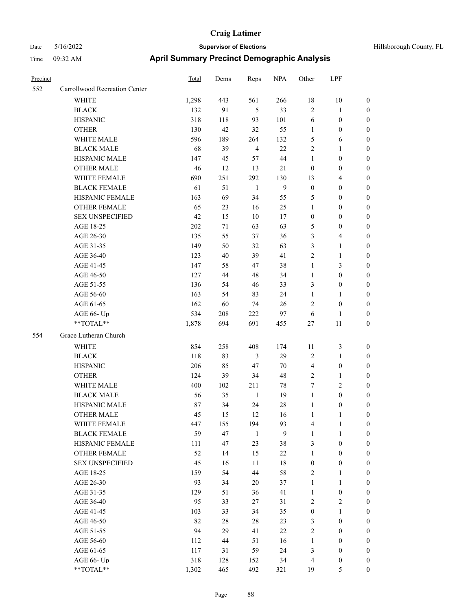| Precinct |                                                             | <b>Total</b> | Dems      | Reps           | <b>NPA</b> | Other                        | LPF                   |                                      |
|----------|-------------------------------------------------------------|--------------|-----------|----------------|------------|------------------------------|-----------------------|--------------------------------------|
| 552      | Carrollwood Recreation Center                               |              |           |                |            |                              |                       |                                      |
|          | WHITE                                                       | 1,298        | 443       | 561            | 266        | 18                           | 10                    | $\boldsymbol{0}$                     |
|          | <b>BLACK</b>                                                | 132          | 91        | 5              | 33         | $\sqrt{2}$                   | 1                     | $\boldsymbol{0}$                     |
|          | <b>HISPANIC</b>                                             | 318          | 118       | 93             | 101        | 6                            | $\boldsymbol{0}$      | $\boldsymbol{0}$                     |
|          | <b>OTHER</b>                                                | 130          | 42        | 32             | 55         | $\mathbf{1}$                 | $\boldsymbol{0}$      | $\boldsymbol{0}$                     |
|          | WHITE MALE                                                  | 596          | 189       | 264            | 132        | $\mathfrak{S}$               | 6                     | $\boldsymbol{0}$                     |
|          | <b>BLACK MALE</b>                                           | 68           | 39        | $\overline{4}$ | 22         | $\overline{2}$               | 1                     | $\boldsymbol{0}$                     |
|          | HISPANIC MALE                                               | 147          | 45        | 57             | 44         | $\mathbf{1}$                 | $\boldsymbol{0}$      | $\boldsymbol{0}$                     |
|          | <b>OTHER MALE</b>                                           | 46           | 12        | 13             | $21\,$     | $\boldsymbol{0}$             | $\boldsymbol{0}$      | $\boldsymbol{0}$                     |
|          | WHITE FEMALE                                                | 690          | 251       | 292            | 130        | 13                           | 4                     | $\boldsymbol{0}$                     |
|          | <b>BLACK FEMALE</b>                                         | 61           | 51        | 1              | 9          | $\boldsymbol{0}$             | $\boldsymbol{0}$      | $\boldsymbol{0}$                     |
|          | HISPANIC FEMALE                                             | 163          | 69        | 34             | 55         | 5                            | $\boldsymbol{0}$      | $\boldsymbol{0}$                     |
|          | <b>OTHER FEMALE</b>                                         | 65           | 23        | 16             | 25         | 1                            | 0                     | $\boldsymbol{0}$                     |
|          | <b>SEX UNSPECIFIED</b>                                      | 42           | 15        | 10             | 17         | $\boldsymbol{0}$             | $\boldsymbol{0}$      | $\boldsymbol{0}$                     |
|          | AGE 18-25                                                   | 202          | 71        | 63             | 63         | 5                            | $\boldsymbol{0}$      | $\boldsymbol{0}$                     |
|          | AGE 26-30                                                   | 135          | 55        | 37             | 36         | 3                            | 4                     | $\boldsymbol{0}$                     |
|          | AGE 31-35                                                   | 149          | 50        | 32             | 63         | 3                            | 1                     | $\boldsymbol{0}$                     |
|          | AGE 36-40                                                   | 123          | 40        | 39             | 41         | $\sqrt{2}$                   | 1                     | $\boldsymbol{0}$                     |
|          | AGE 41-45                                                   | 147          | 58        | 47             | 38         | $\mathbf{1}$                 | 3                     | $\boldsymbol{0}$                     |
|          | AGE 46-50                                                   | 127          | 44        | 48             | 34         | 1                            | $\boldsymbol{0}$      | $\boldsymbol{0}$                     |
|          | AGE 51-55                                                   | 136          | 54        | 46             | 33         | 3                            | $\boldsymbol{0}$      | $\boldsymbol{0}$                     |
|          | AGE 56-60                                                   | 163          | 54        | 83             | 24         | $\mathbf{1}$                 | 1                     | $\boldsymbol{0}$                     |
|          | AGE 61-65                                                   | 162          | 60        | 74             | 26         | $\overline{2}$               | $\boldsymbol{0}$      | $\boldsymbol{0}$                     |
|          | AGE 66- Up                                                  | 534          | 208       | 222            | 97         | 6                            | 1                     | $\boldsymbol{0}$                     |
|          | **TOTAL**                                                   | 1,878        | 694       | 691            | 455        | $27\,$                       | $11\,$                | $\boldsymbol{0}$                     |
| 554      | Grace Lutheran Church                                       |              |           |                |            |                              |                       |                                      |
|          | <b>WHITE</b>                                                | 854          | 258       | 408            | 174        | 11                           | 3                     | $\boldsymbol{0}$                     |
|          | $\operatorname{BLACK}$                                      | 118          | 83        | 3              | 29         | $\sqrt{2}$                   | 1                     | $\boldsymbol{0}$                     |
|          | <b>HISPANIC</b>                                             | 206          | 85        | 47             | 70         | $\overline{4}$               | $\boldsymbol{0}$      | $\boldsymbol{0}$                     |
|          | <b>OTHER</b>                                                | 124          | 39        | 34             | 48         | $\sqrt{2}$                   | 1                     | $\boldsymbol{0}$                     |
|          | WHITE MALE                                                  | 400          | 102       | 211            | 78         | 7                            | 2                     | $\boldsymbol{0}$                     |
|          | <b>BLACK MALE</b>                                           | 56           | 35        | $\mathbf{1}$   | 19         | $\mathbf{1}$                 | $\boldsymbol{0}$      | $\boldsymbol{0}$                     |
|          | HISPANIC MALE                                               | 87           | 34        | 24             | 28         | $\mathbf{1}$                 | $\boldsymbol{0}$      | $\boldsymbol{0}$                     |
|          | <b>OTHER MALE</b>                                           | 45           | 15        | 12             | 16         | 1                            | 1                     | $\boldsymbol{0}$                     |
|          | WHITE FEMALE                                                | 447          | 155       | 194            | 93         | $\overline{4}$               | $\mathbf{1}$          | $\boldsymbol{0}$                     |
|          | <b>BLACK FEMALE</b>                                         | 59           | 47        | $\mathbf{1}$   | 9          | $\mathbf{1}$                 | $\mathbf{1}$          | $\boldsymbol{0}$                     |
|          | HISPANIC FEMALE                                             | 111          | 47        | 23             | 38         | $\mathfrak{Z}$               | $\boldsymbol{0}$      | $\boldsymbol{0}$                     |
|          | OTHER FEMALE                                                | 52           | 14        | 15             | $22\,$     | $\mathbf{1}$                 | $\boldsymbol{0}$      | $\boldsymbol{0}$                     |
|          | <b>SEX UNSPECIFIED</b>                                      | 45           | 16        | 11             | $18\,$     | $\boldsymbol{0}$             | $\boldsymbol{0}$      | $\boldsymbol{0}$                     |
|          | AGE 18-25                                                   | 159          | 54        | $44\,$         | 58         | $\sqrt{2}$                   | 1                     | $\boldsymbol{0}$                     |
|          | AGE 26-30                                                   | 93           |           |                | 37         |                              | $\mathbf{1}$          |                                      |
|          | AGE 31-35                                                   | 129          | 34<br>51  | 20<br>36       | 41         | $\mathbf{1}$<br>$\mathbf{1}$ | $\boldsymbol{0}$      | $\boldsymbol{0}$<br>$\boldsymbol{0}$ |
|          |                                                             | 95           |           |                | 31         | $\sqrt{2}$                   | $\mathbf{2}$          | $\boldsymbol{0}$                     |
|          | AGE 36-40<br>AGE 41-45                                      | 103          | 33<br>33  | 27<br>34       | 35         | $\boldsymbol{0}$             | $\mathbf{1}$          | $\boldsymbol{0}$                     |
|          |                                                             |              |           |                |            |                              |                       |                                      |
|          | AGE 46-50                                                   | 82           | 28        | $28\,$         | 23         | $\mathfrak{Z}$               | $\boldsymbol{0}$      | $\boldsymbol{0}$                     |
|          | AGE 51-55                                                   | 94           | 29        | 41             | $22\,$     | $\sqrt{2}$                   | $\boldsymbol{0}$      | $\boldsymbol{0}$                     |
|          | AGE 56-60                                                   | 112          | 44        | 51             | 16         | $\mathbf{1}$                 | $\boldsymbol{0}$      | $\boldsymbol{0}$                     |
|          | AGE 61-65<br>AGE 66- Up                                     | 117<br>318   | 31<br>128 | 59             | 24         | $\mathfrak{Z}$               | $\boldsymbol{0}$      | $\boldsymbol{0}$                     |
|          | $\mathrm{*}\mathrm{*} \mathrm{TOTAL} \mathrm{*} \mathrm{*}$ | 1,302        | 465       | 152<br>492     | 34<br>321  | $\overline{4}$<br>19         | $\boldsymbol{0}$<br>5 | $\boldsymbol{0}$<br>$\boldsymbol{0}$ |
|          |                                                             |              |           |                |            |                              |                       |                                      |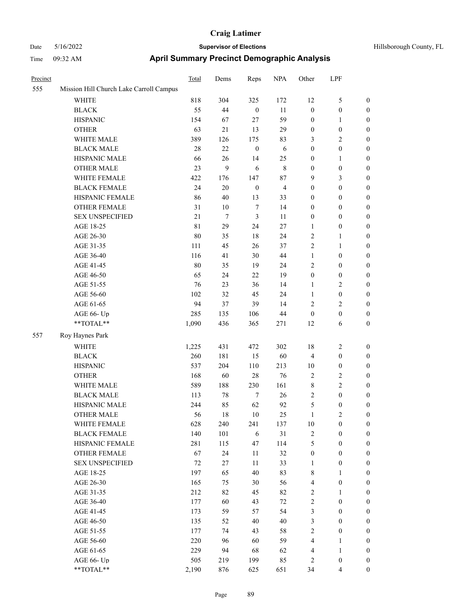| Precinct |                                         | Total       | Dems   | Reps             | <b>NPA</b>     | Other            | LPF              |                  |
|----------|-----------------------------------------|-------------|--------|------------------|----------------|------------------|------------------|------------------|
| 555      | Mission Hill Church Lake Carroll Campus |             |        |                  |                |                  |                  |                  |
|          | <b>WHITE</b>                            | 818         | 304    | 325              | 172            | 12               | 5                | $\boldsymbol{0}$ |
|          | <b>BLACK</b>                            | 55          | 44     | $\boldsymbol{0}$ | 11             | $\boldsymbol{0}$ | $\boldsymbol{0}$ | $\boldsymbol{0}$ |
|          | <b>HISPANIC</b>                         | 154         | 67     | $27\,$           | 59             | $\boldsymbol{0}$ | 1                | $\boldsymbol{0}$ |
|          | <b>OTHER</b>                            | 63          | 21     | 13               | 29             | $\boldsymbol{0}$ | $\boldsymbol{0}$ | $\boldsymbol{0}$ |
|          | WHITE MALE                              | 389         | 126    | 175              | 83             | $\mathfrak{Z}$   | 2                | $\boldsymbol{0}$ |
|          | <b>BLACK MALE</b>                       | 28          | 22     | $\boldsymbol{0}$ | 6              | $\boldsymbol{0}$ | $\boldsymbol{0}$ | $\boldsymbol{0}$ |
|          | HISPANIC MALE                           | 66          | $26\,$ | 14               | 25             | $\boldsymbol{0}$ | 1                | $\boldsymbol{0}$ |
|          | <b>OTHER MALE</b>                       | 23          | 9      | 6                | 8              | $\boldsymbol{0}$ | $\boldsymbol{0}$ | $\boldsymbol{0}$ |
|          | WHITE FEMALE                            | 422         | 176    | 147              | 87             | 9                | 3                | $\boldsymbol{0}$ |
|          | <b>BLACK FEMALE</b>                     | 24          | 20     | $\boldsymbol{0}$ | $\overline{4}$ | $\boldsymbol{0}$ | $\boldsymbol{0}$ | $\boldsymbol{0}$ |
|          | HISPANIC FEMALE                         | 86          | 40     | 13               | 33             | $\mathbf{0}$     | $\boldsymbol{0}$ | $\boldsymbol{0}$ |
|          | <b>OTHER FEMALE</b>                     | 31          | 10     | $\tau$           | 14             | $\boldsymbol{0}$ | $\boldsymbol{0}$ | $\boldsymbol{0}$ |
|          | <b>SEX UNSPECIFIED</b>                  | 21          | $\tau$ | $\mathfrak{Z}$   | 11             | $\boldsymbol{0}$ | $\boldsymbol{0}$ | $\boldsymbol{0}$ |
|          | AGE 18-25                               | $8\sqrt{1}$ | 29     | 24               | $27\,$         | 1                | $\boldsymbol{0}$ | $\boldsymbol{0}$ |
|          | AGE 26-30                               | 80          | 35     | 18               | 24             | $\overline{2}$   | 1                | $\boldsymbol{0}$ |
|          | AGE 31-35                               | 111         | 45     | 26               | 37             | $\sqrt{2}$       | 1                | $\boldsymbol{0}$ |
|          | AGE 36-40                               | 116         | 41     | 30               | 44             | $\mathbf{1}$     | $\boldsymbol{0}$ | $\boldsymbol{0}$ |
|          | AGE 41-45                               | 80          | 35     | 19               | 24             | $\overline{2}$   | $\boldsymbol{0}$ | $\boldsymbol{0}$ |
|          | AGE 46-50                               | 65          | 24     | 22               | 19             | $\boldsymbol{0}$ | $\boldsymbol{0}$ | $\boldsymbol{0}$ |
|          | AGE 51-55                               | 76          | 23     | 36               | 14             | $\mathbf{1}$     | 2                | $\boldsymbol{0}$ |
|          | AGE 56-60                               | 102         | 32     | 45               | 24             | $\mathbf{1}$     | $\boldsymbol{0}$ | $\boldsymbol{0}$ |
|          | AGE 61-65                               | 94          | 37     | 39               | 14             | $\sqrt{2}$       | 2                | $\boldsymbol{0}$ |
|          | AGE 66- Up                              | 285         | 135    | 106              | 44             | $\boldsymbol{0}$ | $\boldsymbol{0}$ | $\boldsymbol{0}$ |
|          | **TOTAL**                               | 1,090       | 436    | 365              | 271            | 12               | 6                | $\boldsymbol{0}$ |
| 557      | Roy Haynes Park                         |             |        |                  |                |                  |                  |                  |
|          | <b>WHITE</b>                            | 1,225       | 431    | 472              | 302            | 18               | 2                | $\boldsymbol{0}$ |
|          | <b>BLACK</b>                            | 260         | 181    | 15               | 60             | $\overline{4}$   | $\boldsymbol{0}$ | $\boldsymbol{0}$ |
|          | <b>HISPANIC</b>                         | 537         | 204    | 110              | 213            | 10               | $\boldsymbol{0}$ | $\boldsymbol{0}$ |
|          | <b>OTHER</b>                            | 168         | 60     | 28               | 76             | $\sqrt{2}$       | 2                | $\boldsymbol{0}$ |
|          | WHITE MALE                              | 589         | 188    | 230              | 161            | $\,$ 8 $\,$      | 2                | $\boldsymbol{0}$ |
|          | <b>BLACK MALE</b>                       | 113         | 78     | $\tau$           | 26             | $\sqrt{2}$       | $\boldsymbol{0}$ | $\boldsymbol{0}$ |
|          | HISPANIC MALE                           | 244         | 85     | 62               | 92             | 5                | 0                | $\boldsymbol{0}$ |
|          | <b>OTHER MALE</b>                       | 56          | 18     | 10               | 25             | 1                | $\overline{c}$   | $\boldsymbol{0}$ |
|          | WHITE FEMALE                            | 628         | 240    | 241              | 137            | 10               | $\boldsymbol{0}$ | $\boldsymbol{0}$ |
|          | <b>BLACK FEMALE</b>                     | 140         | 101    | $\sqrt{6}$       | $31\,$         | $\sqrt{2}$       | $\boldsymbol{0}$ | $\boldsymbol{0}$ |
|          | HISPANIC FEMALE                         | 281         | 115    | 47               | 114            | $\sqrt{5}$       | $\boldsymbol{0}$ | $\boldsymbol{0}$ |
|          | <b>OTHER FEMALE</b>                     | 67          | 24     | 11               | 32             | $\boldsymbol{0}$ | $\boldsymbol{0}$ | $\boldsymbol{0}$ |
|          | <b>SEX UNSPECIFIED</b>                  | 72          | 27     | 11               | 33             | $\mathbf{1}$     | $\boldsymbol{0}$ | $\boldsymbol{0}$ |
|          | AGE 18-25                               | 197         | 65     | $40\,$           | 83             | $\,$ 8 $\,$      | 1                | $\boldsymbol{0}$ |
|          | AGE 26-30                               | 165         | 75     | 30               | 56             | $\overline{4}$   | $\boldsymbol{0}$ | $\boldsymbol{0}$ |
|          | AGE 31-35                               | 212         | 82     | 45               | 82             | $\sqrt{2}$       | 1                | $\boldsymbol{0}$ |
|          | AGE 36-40                               | 177         | 60     | 43               | $72\,$         | $\sqrt{2}$       | $\boldsymbol{0}$ | $\boldsymbol{0}$ |
|          | AGE 41-45                               | 173         | 59     | 57               | 54             | $\mathfrak{Z}$   | $\boldsymbol{0}$ | $\boldsymbol{0}$ |
|          | AGE 46-50                               | 135         | 52     | $40\,$           | $40\,$         | $\mathfrak{Z}$   | $\boldsymbol{0}$ | $\boldsymbol{0}$ |
|          | AGE 51-55                               | 177         | 74     | 43               | 58             | $\sqrt{2}$       | $\boldsymbol{0}$ | $\boldsymbol{0}$ |
|          | AGE 56-60                               | 220         | 96     | 60               | 59             | $\overline{4}$   | $\mathbf{1}$     | $\boldsymbol{0}$ |
|          | AGE 61-65                               | 229         | 94     | 68               | 62             | $\overline{4}$   | $\mathbf{1}$     | $\boldsymbol{0}$ |
|          | AGE 66- Up                              | 505         | 219    | 199              | 85             | $\sqrt{2}$       | $\boldsymbol{0}$ | $\mathbf{0}$     |
|          | $**TOTAL**$                             | 2,190       | 876    | 625              | 651            | 34               | 4                | $\boldsymbol{0}$ |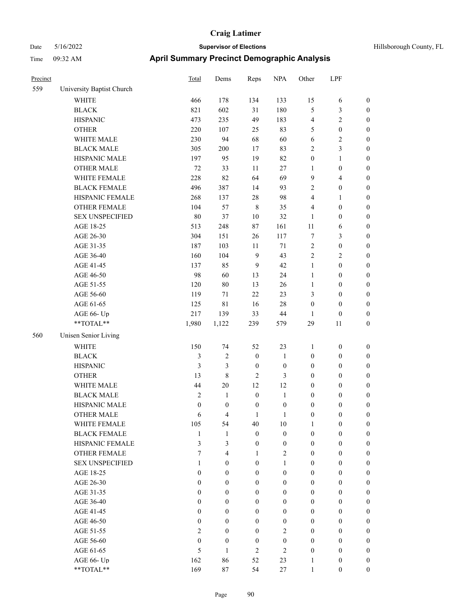| Hillsborough County, FL |  |  |
|-------------------------|--|--|
|-------------------------|--|--|

| Precinct |                           | <b>Total</b>     | Dems             | Reps             | <b>NPA</b>       | Other            | LPF                     |                  |
|----------|---------------------------|------------------|------------------|------------------|------------------|------------------|-------------------------|------------------|
| 559      | University Baptist Church |                  |                  |                  |                  |                  |                         |                  |
|          | WHITE                     | 466              | 178              | 134              | 133              | 15               | 6                       | $\boldsymbol{0}$ |
|          | <b>BLACK</b>              | 821              | 602              | 31               | 180              | 5                | $\mathfrak{Z}$          | $\boldsymbol{0}$ |
|          | <b>HISPANIC</b>           | 473              | 235              | 49               | 183              | 4                | $\sqrt{2}$              | $\boldsymbol{0}$ |
|          | <b>OTHER</b>              | 220              | 107              | 25               | 83               | 5                | $\boldsymbol{0}$        | 0                |
|          | WHITE MALE                | 230              | 94               | 68               | 60               | $\sqrt{6}$       | $\sqrt{2}$              | $\boldsymbol{0}$ |
|          | <b>BLACK MALE</b>         | 305              | 200              | 17               | 83               | $\sqrt{2}$       | $\mathfrak{Z}$          | $\boldsymbol{0}$ |
|          | HISPANIC MALE             | 197              | 95               | 19               | 82               | $\boldsymbol{0}$ | $\mathbf{1}$            | $\boldsymbol{0}$ |
|          | <b>OTHER MALE</b>         | $72\,$           | 33               | $11\,$           | $27\,$           | $\mathbf{1}$     | $\boldsymbol{0}$        | $\boldsymbol{0}$ |
|          | WHITE FEMALE              | 228              | 82               | 64               | 69               | 9                | $\overline{\mathbf{4}}$ | $\boldsymbol{0}$ |
|          | <b>BLACK FEMALE</b>       | 496              | 387              | 14               | 93               | 2                | $\boldsymbol{0}$        | $\boldsymbol{0}$ |
|          | HISPANIC FEMALE           | 268              | 137              | $28\,$           | 98               | 4                | $\mathbf{1}$            | $\boldsymbol{0}$ |
|          | OTHER FEMALE              | 104              | 57               | $\,$ 8 $\,$      | 35               | 4                | $\boldsymbol{0}$        | $\boldsymbol{0}$ |
|          | <b>SEX UNSPECIFIED</b>    | 80               | 37               | $10\,$           | 32               | $\mathbf{1}$     | $\boldsymbol{0}$        | $\boldsymbol{0}$ |
|          | AGE 18-25                 | 513              | 248              | $87\,$           | 161              | 11               | 6                       | 0                |
|          | AGE 26-30                 | 304              | 151              | 26               | 117              | $\boldsymbol{7}$ | $\mathfrak{Z}$          | 0                |
|          | AGE 31-35                 | 187              | 103              | 11               | $71\,$           | $\sqrt{2}$       | $\boldsymbol{0}$        | $\boldsymbol{0}$ |
|          | AGE 36-40                 | 160              | 104              | 9                | 43               | 2                | $\sqrt{2}$              | $\boldsymbol{0}$ |
|          | AGE 41-45                 | 137              | 85               | 9                | 42               | $\mathbf{1}$     | $\boldsymbol{0}$        | $\boldsymbol{0}$ |
|          | AGE 46-50                 | 98               | 60               | 13               | 24               | $\mathbf{1}$     | $\boldsymbol{0}$        | $\boldsymbol{0}$ |
|          | AGE 51-55                 | 120              | $80\,$           | 13               | 26               | $\mathbf{1}$     | $\boldsymbol{0}$        | $\boldsymbol{0}$ |
|          | AGE 56-60                 | 119              | 71               | 22               | 23               | 3                | $\boldsymbol{0}$        | $\boldsymbol{0}$ |
|          | AGE 61-65                 | 125              | $8\sqrt{1}$      | 16               | $28\,$           | $\boldsymbol{0}$ | $\boldsymbol{0}$        | $\boldsymbol{0}$ |
|          | AGE 66- Up                | 217              | 139              | 33               | $44\,$           | 1                | $\boldsymbol{0}$        | 0                |
|          | **TOTAL**                 | 1,980            | 1,122            | 239              | 579              | 29               | 11                      | $\boldsymbol{0}$ |
| 560      | Unisen Senior Living      |                  |                  |                  |                  |                  |                         |                  |
|          | <b>WHITE</b>              | 150              | 74               | 52               | 23               | $\mathbf{1}$     | $\boldsymbol{0}$        | 0                |
|          | <b>BLACK</b>              | $\mathfrak{Z}$   | 2                | $\boldsymbol{0}$ | $\mathbf{1}$     | $\boldsymbol{0}$ | $\boldsymbol{0}$        | 0                |
|          | <b>HISPANIC</b>           | $\mathfrak{Z}$   | 3                | $\boldsymbol{0}$ | $\boldsymbol{0}$ | $\boldsymbol{0}$ | $\boldsymbol{0}$        | 0                |
|          | <b>OTHER</b>              | 13               | 8                | $\overline{2}$   | 3                | $\boldsymbol{0}$ | $\boldsymbol{0}$        | $\boldsymbol{0}$ |
|          | WHITE MALE                | 44               | $20\,$           | 12               | 12               | $\boldsymbol{0}$ | $\boldsymbol{0}$        | $\boldsymbol{0}$ |
|          | <b>BLACK MALE</b>         | $\sqrt{2}$       | $\mathbf{1}$     | $\boldsymbol{0}$ | $\mathbf{1}$     | $\boldsymbol{0}$ | $\boldsymbol{0}$        | $\boldsymbol{0}$ |
|          | HISPANIC MALE             | $\boldsymbol{0}$ | $\boldsymbol{0}$ | $\boldsymbol{0}$ | $\boldsymbol{0}$ | $\boldsymbol{0}$ | $\boldsymbol{0}$        | $\boldsymbol{0}$ |
|          | <b>OTHER MALE</b>         | 6                | 4                | 1                | $\mathbf{1}$     | $\boldsymbol{0}$ | $\boldsymbol{0}$        | $\boldsymbol{0}$ |
|          | WHITE FEMALE              | 105              | 54               | 40               | $10\,$           | $\mathbf{1}$     | $\boldsymbol{0}$        | 0                |
|          | <b>BLACK FEMALE</b>       | $\mathbf{1}$     | $\mathbf{1}$     | $\boldsymbol{0}$ | $\boldsymbol{0}$ | $\boldsymbol{0}$ | $\boldsymbol{0}$        | 0                |
|          | HISPANIC FEMALE           | 3                | 3                | $\boldsymbol{0}$ | $\boldsymbol{0}$ | $\boldsymbol{0}$ | $\boldsymbol{0}$        | 0                |
|          | <b>OTHER FEMALE</b>       | $\tau$           | $\overline{4}$   | $\mathbf{1}$     | $\mathbf{2}$     | $\boldsymbol{0}$ | $\boldsymbol{0}$        | $\boldsymbol{0}$ |
|          | <b>SEX UNSPECIFIED</b>    | 1                | $\boldsymbol{0}$ | $\boldsymbol{0}$ | $\mathbf{1}$     | $\boldsymbol{0}$ | $\boldsymbol{0}$        | $\overline{0}$   |
|          | AGE 18-25                 | $\theta$         | $\overline{0}$   | $\boldsymbol{0}$ | $\boldsymbol{0}$ | $\boldsymbol{0}$ | $\boldsymbol{0}$        | $\overline{0}$   |
|          | AGE 26-30                 | $\theta$         | $\boldsymbol{0}$ | $\boldsymbol{0}$ | $\boldsymbol{0}$ | $\boldsymbol{0}$ | $\boldsymbol{0}$        | $\overline{0}$   |
|          | AGE 31-35                 | $\boldsymbol{0}$ | $\mathbf{0}$     | $\boldsymbol{0}$ | $\boldsymbol{0}$ | $\boldsymbol{0}$ | $\boldsymbol{0}$        | $\overline{0}$   |
|          | AGE 36-40                 | $\theta$         | $\boldsymbol{0}$ | $\boldsymbol{0}$ | $\boldsymbol{0}$ | $\boldsymbol{0}$ | $\boldsymbol{0}$        | $\overline{0}$   |
|          | AGE 41-45                 | $\boldsymbol{0}$ | $\boldsymbol{0}$ | $\boldsymbol{0}$ | $\boldsymbol{0}$ | $\boldsymbol{0}$ | $\boldsymbol{0}$        | $\overline{0}$   |
|          | AGE 46-50                 | $\boldsymbol{0}$ | $\boldsymbol{0}$ | $\boldsymbol{0}$ | $\boldsymbol{0}$ | $\boldsymbol{0}$ | $\boldsymbol{0}$        | $\overline{0}$   |
|          | AGE 51-55                 | $\mathfrak{2}$   | $\boldsymbol{0}$ | $\boldsymbol{0}$ | $\mathbf{2}$     | $\boldsymbol{0}$ | $\boldsymbol{0}$        | $\boldsymbol{0}$ |
|          | AGE 56-60                 | $\boldsymbol{0}$ | $\boldsymbol{0}$ | $\boldsymbol{0}$ | $\boldsymbol{0}$ | $\boldsymbol{0}$ | $\boldsymbol{0}$        | $\boldsymbol{0}$ |
|          | AGE 61-65                 | 5                | $\mathbf{1}$     | $\overline{2}$   | $\mathbf{2}$     | $\boldsymbol{0}$ | $\boldsymbol{0}$        | $\boldsymbol{0}$ |
|          | AGE 66- Up                | 162              | 86               | 52               | 23               | $\mathbf{1}$     | $\boldsymbol{0}$        | 0                |
|          | $**TOTAL**$               | 169              | 87               | 54               | 27               | 1                | $\boldsymbol{0}$        | $\overline{0}$   |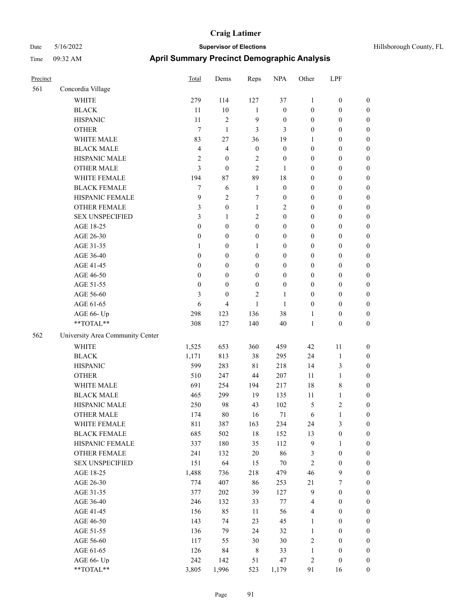| Precinct |                                  | Total            | Dems             | Reps             | <b>NPA</b>       | Other            | LPF              |                  |
|----------|----------------------------------|------------------|------------------|------------------|------------------|------------------|------------------|------------------|
| 561      | Concordia Village                |                  |                  |                  |                  |                  |                  |                  |
|          | <b>WHITE</b>                     | 279              | 114              | 127              | 37               | $\mathbf{1}$     | $\boldsymbol{0}$ | $\boldsymbol{0}$ |
|          | <b>BLACK</b>                     | 11               | $10\,$           | $\mathbf{1}$     | $\boldsymbol{0}$ | $\boldsymbol{0}$ | $\boldsymbol{0}$ | $\boldsymbol{0}$ |
|          | <b>HISPANIC</b>                  | 11               | $\overline{c}$   | 9                | $\boldsymbol{0}$ | $\boldsymbol{0}$ | $\boldsymbol{0}$ | $\boldsymbol{0}$ |
|          | <b>OTHER</b>                     | 7                | $\mathbf{1}$     | 3                | 3                | $\boldsymbol{0}$ | $\boldsymbol{0}$ | $\boldsymbol{0}$ |
|          | WHITE MALE                       | 83               | 27               | 36               | 19               | $\mathbf{1}$     | $\boldsymbol{0}$ | $\boldsymbol{0}$ |
|          | <b>BLACK MALE</b>                | $\overline{4}$   | 4                | $\boldsymbol{0}$ | $\boldsymbol{0}$ | $\boldsymbol{0}$ | $\boldsymbol{0}$ | $\boldsymbol{0}$ |
|          | HISPANIC MALE                    | $\sqrt{2}$       | $\boldsymbol{0}$ | 2                | $\boldsymbol{0}$ | $\boldsymbol{0}$ | $\boldsymbol{0}$ | $\boldsymbol{0}$ |
|          | <b>OTHER MALE</b>                | 3                | $\boldsymbol{0}$ | $\mathfrak{2}$   | 1                | $\boldsymbol{0}$ | $\boldsymbol{0}$ | $\boldsymbol{0}$ |
|          | WHITE FEMALE                     | 194              | 87               | 89               | 18               | $\boldsymbol{0}$ | $\boldsymbol{0}$ | $\boldsymbol{0}$ |
|          | <b>BLACK FEMALE</b>              | 7                | 6                | $\mathbf{1}$     | $\boldsymbol{0}$ | $\boldsymbol{0}$ | $\boldsymbol{0}$ | 0                |
|          | HISPANIC FEMALE                  | 9                | $\overline{c}$   | $\tau$           | $\boldsymbol{0}$ | $\boldsymbol{0}$ | $\boldsymbol{0}$ | $\boldsymbol{0}$ |
|          | <b>OTHER FEMALE</b>              | 3                | $\boldsymbol{0}$ | $\mathbf{1}$     | 2                | $\boldsymbol{0}$ | $\boldsymbol{0}$ | $\boldsymbol{0}$ |
|          | <b>SEX UNSPECIFIED</b>           | 3                | 1                | $\sqrt{2}$       | $\boldsymbol{0}$ | $\boldsymbol{0}$ | $\boldsymbol{0}$ | $\boldsymbol{0}$ |
|          | AGE 18-25                        | $\mathbf{0}$     | $\boldsymbol{0}$ | $\boldsymbol{0}$ | $\boldsymbol{0}$ | $\boldsymbol{0}$ | $\boldsymbol{0}$ | $\boldsymbol{0}$ |
|          | AGE 26-30                        | $\boldsymbol{0}$ | $\boldsymbol{0}$ | $\boldsymbol{0}$ | $\boldsymbol{0}$ | $\boldsymbol{0}$ | $\boldsymbol{0}$ | $\boldsymbol{0}$ |
|          | AGE 31-35                        | $\mathbf{1}$     | $\boldsymbol{0}$ | $\mathbf{1}$     | $\boldsymbol{0}$ | $\boldsymbol{0}$ | $\boldsymbol{0}$ | $\boldsymbol{0}$ |
|          | AGE 36-40                        | $\boldsymbol{0}$ | $\boldsymbol{0}$ | $\boldsymbol{0}$ | 0                | $\boldsymbol{0}$ | $\boldsymbol{0}$ | $\boldsymbol{0}$ |
|          | AGE 41-45                        | $\boldsymbol{0}$ | $\boldsymbol{0}$ | $\boldsymbol{0}$ | $\boldsymbol{0}$ | $\boldsymbol{0}$ | $\boldsymbol{0}$ | $\boldsymbol{0}$ |
|          | AGE 46-50                        | $\boldsymbol{0}$ | $\boldsymbol{0}$ | $\boldsymbol{0}$ | $\boldsymbol{0}$ | $\boldsymbol{0}$ | $\boldsymbol{0}$ | $\boldsymbol{0}$ |
|          | AGE 51-55                        | $\boldsymbol{0}$ | $\overline{0}$   | $\boldsymbol{0}$ | $\boldsymbol{0}$ | $\boldsymbol{0}$ | $\boldsymbol{0}$ | 0                |
|          | AGE 56-60                        | 3                | $\boldsymbol{0}$ | 2                | 1                | $\boldsymbol{0}$ | $\boldsymbol{0}$ | 0                |
|          | AGE 61-65                        | 6                | 4                | 1                | 1                | $\boldsymbol{0}$ | $\boldsymbol{0}$ | $\boldsymbol{0}$ |
|          | AGE 66- Up                       | 298              | 123              | 136              | 38               | 1                | $\boldsymbol{0}$ | $\boldsymbol{0}$ |
|          | $**TOTAL**$                      | 308              | 127              | 140              | 40               | $\mathbf{1}$     | $\boldsymbol{0}$ | $\boldsymbol{0}$ |
| 562      | University Area Community Center |                  |                  |                  |                  |                  |                  |                  |
|          | <b>WHITE</b>                     | 1,525            | 653              | 360              | 459              | 42               | 11               | $\boldsymbol{0}$ |
|          | <b>BLACK</b>                     | 1,171            | 813              | 38               | 295              | 24               | $\mathbf{1}$     | $\boldsymbol{0}$ |
|          | <b>HISPANIC</b>                  | 599              | 283              | $8\sqrt{1}$      | 218              | 14               | 3                | $\boldsymbol{0}$ |
|          | <b>OTHER</b>                     | 510              | 247              | 44               | 207              | 11               | $\mathbf{1}$     | $\boldsymbol{0}$ |
|          | WHITE MALE                       | 691              | 254              | 194              | 217              | 18               | 8                | $\boldsymbol{0}$ |
|          | <b>BLACK MALE</b>                | 465              | 299              | 19               | 135              | 11               | $\mathbf{1}$     | $\boldsymbol{0}$ |
|          | HISPANIC MALE                    | 250              | 98               | 43               | 102              | 5                | $\mathbf{2}$     | 0                |
|          | <b>OTHER MALE</b>                | 174              | 80               | 16               | 71               | 6                | $\mathbf{1}$     | $\boldsymbol{0}$ |
|          | WHITE FEMALE                     | 811              | 387              | 163              | 234              | 24               | 3                | $\boldsymbol{0}$ |
|          | <b>BLACK FEMALE</b>              | 685              | 502              | $18\,$           | 152              | 13               | $\boldsymbol{0}$ | $\boldsymbol{0}$ |
|          | HISPANIC FEMALE                  | 337              | 180              | 35               | 112              | 9                | $\mathbf{1}$     | $\boldsymbol{0}$ |
|          | OTHER FEMALE                     | 241              | 132              | $20\,$           | 86               | 3                | $\boldsymbol{0}$ | $\boldsymbol{0}$ |
|          | <b>SEX UNSPECIFIED</b>           | 151              | 64               | 15               | $70\,$           | $\sqrt{2}$       | $\boldsymbol{0}$ | $\boldsymbol{0}$ |
|          | AGE 18-25                        | 1,488            | 736              | 218              | 479              | 46               | $\boldsymbol{9}$ | $\overline{0}$   |
|          | AGE 26-30                        | 774              | 407              | 86               | 253              | 21               | $\boldsymbol{7}$ | 0                |
|          | AGE 31-35                        | 377              | 202              | 39               | 127              | $\mathbf{9}$     | $\boldsymbol{0}$ | 0                |
|          | AGE 36-40                        | 246              | 132              | 33               | $77\,$           | $\overline{4}$   | $\boldsymbol{0}$ | 0                |
|          | AGE 41-45                        | 156              | 85               | 11               | 56               | $\overline{4}$   | $\boldsymbol{0}$ | 0                |
|          | AGE 46-50                        | 143              | 74               | 23               | 45               | $\mathbf{1}$     | $\boldsymbol{0}$ | $\boldsymbol{0}$ |
|          | AGE 51-55                        | 136              | 79               | 24               | 32               | $\mathbf{1}$     | $\boldsymbol{0}$ | $\boldsymbol{0}$ |
|          | AGE 56-60                        | 117              | 55               | 30               | 30               | $\sqrt{2}$       | $\boldsymbol{0}$ | $\boldsymbol{0}$ |
|          | AGE 61-65                        | 126              | 84               | $\,$ 8 $\,$      | 33               | $\mathbf{1}$     | $\boldsymbol{0}$ | $\boldsymbol{0}$ |
|          | AGE 66- Up                       | 242              | 142              | 51               | 47               | $\boldsymbol{2}$ | $\boldsymbol{0}$ | $\boldsymbol{0}$ |
|          | $**TOTAL**$                      | 3,805            | 1,996            | 523              | 1,179            | 91               | 16               | $\boldsymbol{0}$ |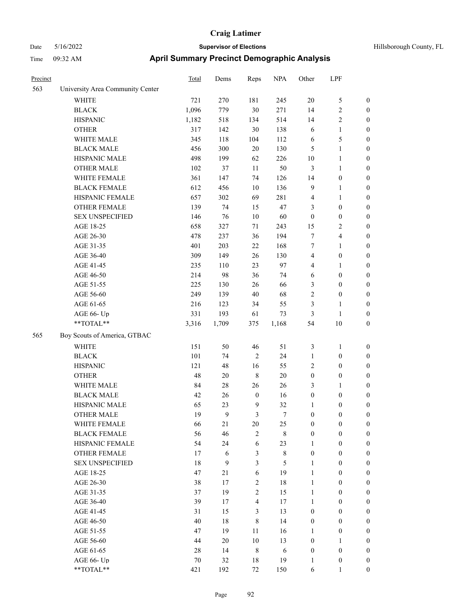| Hillsborough County, FL |  |  |
|-------------------------|--|--|
|-------------------------|--|--|

| Precinct |                                  | Total  | Dems       | Reps             | <b>NPA</b>  | Other            | LPF              |                  |
|----------|----------------------------------|--------|------------|------------------|-------------|------------------|------------------|------------------|
| 563      | University Area Community Center |        |            |                  |             |                  |                  |                  |
|          | <b>WHITE</b>                     | 721    | 270        | 181              | 245         | $20\,$           | $\mathfrak{S}$   | $\boldsymbol{0}$ |
|          | $\operatorname{BLACK}$           | 1,096  | 779        | $30\,$           | 271         | 14               | $\sqrt{2}$       | $\boldsymbol{0}$ |
|          | <b>HISPANIC</b>                  | 1,182  | 518        | 134              | 514         | 14               | $\sqrt{2}$       | $\boldsymbol{0}$ |
|          | <b>OTHER</b>                     | 317    | 142        | $30\,$           | 138         | 6                | $\mathbf{1}$     | $\boldsymbol{0}$ |
|          | WHITE MALE                       | 345    | 118        | 104              | 112         | 6                | $\mathfrak{S}$   | $\boldsymbol{0}$ |
|          | <b>BLACK MALE</b>                | 456    | 300        | $20\,$           | 130         | $\mathfrak{S}$   | $\mathbf{1}$     | $\boldsymbol{0}$ |
|          | HISPANIC MALE                    | 498    | 199        | 62               | 226         | $10\,$           | $\mathbf{1}$     | $\boldsymbol{0}$ |
|          | <b>OTHER MALE</b>                | 102    | 37         | 11               | 50          | $\mathfrak{Z}$   | $\mathbf{1}$     | 0                |
|          | WHITE FEMALE                     | 361    | 147        | 74               | 126         | 14               | $\boldsymbol{0}$ | 0                |
|          | <b>BLACK FEMALE</b>              | 612    | 456        | 10               | 136         | 9                | $\mathbf{1}$     | 0                |
|          | HISPANIC FEMALE                  | 657    | 302        | 69               | 281         | 4                | $\mathbf{1}$     | $\boldsymbol{0}$ |
|          | OTHER FEMALE                     | 139    | 74         | 15               | 47          | 3                | $\boldsymbol{0}$ | $\boldsymbol{0}$ |
|          | <b>SEX UNSPECIFIED</b>           | 146    | 76         | 10               | 60          | $\boldsymbol{0}$ | $\boldsymbol{0}$ | $\boldsymbol{0}$ |
|          | AGE 18-25                        | 658    | 327        | 71               | 243         | 15               | $\sqrt{2}$       | $\boldsymbol{0}$ |
|          | AGE 26-30                        | 478    | 237        | 36               | 194         | 7                | $\overline{4}$   | $\boldsymbol{0}$ |
|          | AGE 31-35                        | 401    | 203        | 22               | 168         | 7                | $\mathbf{1}$     | $\boldsymbol{0}$ |
|          | AGE 36-40                        | 309    | 149        | 26               | 130         | 4                | $\boldsymbol{0}$ | $\boldsymbol{0}$ |
|          | AGE 41-45                        | 235    | 110        | 23               | 97          | 4                | $\mathbf{1}$     | $\boldsymbol{0}$ |
|          | AGE 46-50                        | 214    | 98         | 36               | 74          | 6                | $\boldsymbol{0}$ | 0                |
|          | AGE 51-55                        | 225    | 130        | 26               | 66          | 3                | $\boldsymbol{0}$ | 0                |
|          | AGE 56-60                        | 249    | 139        | 40               | 68          | $\sqrt{2}$       | $\boldsymbol{0}$ | $\boldsymbol{0}$ |
|          | AGE 61-65                        | 216    | 123        | 34               | 55          | 3                | $\mathbf{1}$     | $\boldsymbol{0}$ |
|          | AGE 66- Up                       | 331    | 193        | 61               | 73          | 3                | $\mathbf{1}$     | $\boldsymbol{0}$ |
|          | **TOTAL**                        | 3,316  | 1,709      | 375              | 1,168       | 54               | $10\,$           | $\boldsymbol{0}$ |
| 565      | Boy Scouts of America, GTBAC     |        |            |                  |             |                  |                  |                  |
|          | WHITE                            | 151    | 50         | 46               | 51          | 3                | $\mathbf{1}$     | $\boldsymbol{0}$ |
|          | <b>BLACK</b>                     | 101    | 74         | $\sqrt{2}$       | 24          | $\mathbf{1}$     | $\boldsymbol{0}$ | $\boldsymbol{0}$ |
|          | <b>HISPANIC</b>                  | 121    | 48         | 16               | 55          | 2                | $\boldsymbol{0}$ | $\boldsymbol{0}$ |
|          | <b>OTHER</b>                     | 48     | 20         | $\,$ 8 $\,$      | $20\,$      | $\boldsymbol{0}$ | $\boldsymbol{0}$ | $\boldsymbol{0}$ |
|          | WHITE MALE                       | 84     | $28\,$     | 26               | 26          | 3                | $\mathbf{1}$     | $\boldsymbol{0}$ |
|          | <b>BLACK MALE</b>                | 42     | 26         | $\boldsymbol{0}$ | 16          | $\boldsymbol{0}$ | $\boldsymbol{0}$ | 0                |
|          | HISPANIC MALE                    | 65     | 23         | 9                | 32          | $\mathbf{1}$     | $\boldsymbol{0}$ | 0                |
|          | <b>OTHER MALE</b>                | 19     | 9          | 3                | 7           | $\bf{0}$         | 0                | 0                |
|          | WHITE FEMALE                     | 66     | 21         | $20\,$           | 25          | $\boldsymbol{0}$ | $\boldsymbol{0}$ | $\boldsymbol{0}$ |
|          | <b>BLACK FEMALE</b>              | 56     | 46         | $\sqrt{2}$       | $\,$ 8 $\,$ | $\boldsymbol{0}$ | $\boldsymbol{0}$ | $\boldsymbol{0}$ |
|          | HISPANIC FEMALE                  | 54     | 24         | $\sqrt{6}$       | 23          | $\mathbf{1}$     | $\boldsymbol{0}$ | $\boldsymbol{0}$ |
|          | <b>OTHER FEMALE</b>              | 17     | $\sqrt{6}$ | $\mathfrak{Z}$   | $\,$ 8 $\,$ | $\boldsymbol{0}$ | $\boldsymbol{0}$ | $\overline{0}$   |
|          | <b>SEX UNSPECIFIED</b>           | $18\,$ | 9          | $\mathfrak{Z}$   | 5           | $\mathbf{1}$     | $\boldsymbol{0}$ | $\boldsymbol{0}$ |
|          | AGE 18-25                        | 47     | 21         | 6                | 19          | $\mathbf{1}$     | $\boldsymbol{0}$ | $\boldsymbol{0}$ |
|          | AGE 26-30                        | 38     | 17         | $\sqrt{2}$       | $18\,$      | $\mathbf{1}$     | $\boldsymbol{0}$ | $\boldsymbol{0}$ |
|          | AGE 31-35                        | 37     | 19         | $\sqrt{2}$       | 15          | $\mathbf{1}$     | $\boldsymbol{0}$ | 0                |
|          | AGE 36-40                        | 39     | 17         | $\overline{4}$   | $17\,$      | 1                | $\boldsymbol{0}$ | $\boldsymbol{0}$ |
|          | AGE 41-45                        | 31     | 15         | $\mathfrak{Z}$   | 13          | $\boldsymbol{0}$ | $\boldsymbol{0}$ | $\boldsymbol{0}$ |
|          | AGE 46-50                        | 40     | 18         | $\,$ 8 $\,$      | 14          | $\boldsymbol{0}$ | $\boldsymbol{0}$ | $\boldsymbol{0}$ |
|          | AGE 51-55                        | 47     | 19         | $11\,$           | 16          | $\mathbf{1}$     | $\boldsymbol{0}$ | $\boldsymbol{0}$ |
|          | AGE 56-60                        | $44\,$ | $20\,$     | $10\,$           | 13          | $\boldsymbol{0}$ | $\mathbf{1}$     | $\boldsymbol{0}$ |
|          | AGE 61-65                        | $28\,$ | 14         | $\,8\,$          | $\sqrt{6}$  | $\boldsymbol{0}$ | $\boldsymbol{0}$ | $\overline{0}$   |
|          | AGE 66- Up                       | $70\,$ | 32         | $18\,$           | 19          | $\mathbf{1}$     | $\boldsymbol{0}$ | $\overline{0}$   |
|          | $**TOTAL**$                      | 421    | 192        | $72\,$           | 150         | 6                | 1                | $\overline{0}$   |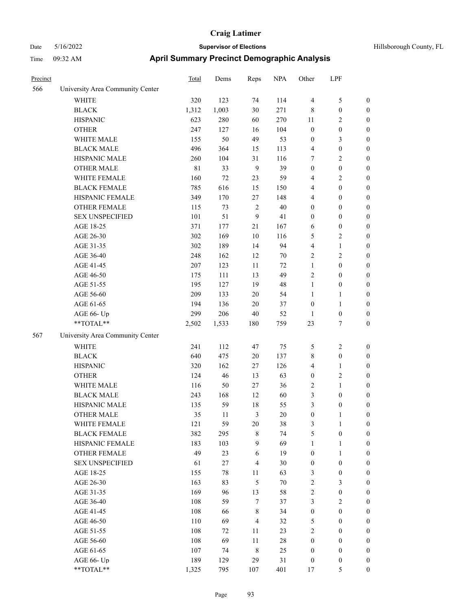# Date 5/16/2022 **Supervisor of Elections Supervisor of Elections** Hillsborough County, FL Time 09:32 AM **April Summary Precinct Demographic Analysis**

| Precinct |                                  | <b>Total</b> | Dems   | Reps           | <b>NPA</b> | Other            | LPF              |                  |
|----------|----------------------------------|--------------|--------|----------------|------------|------------------|------------------|------------------|
| 566      | University Area Community Center |              |        |                |            |                  |                  |                  |
|          | <b>WHITE</b>                     | 320          | 123    | 74             | 114        | $\overline{4}$   | $\mathfrak{S}$   | $\boldsymbol{0}$ |
|          | <b>BLACK</b>                     | 1,312        | 1,003  | $30\,$         | 271        | 8                | $\boldsymbol{0}$ | $\boldsymbol{0}$ |
|          | <b>HISPANIC</b>                  | 623          | 280    | 60             | 270        | 11               | $\sqrt{2}$       | $\boldsymbol{0}$ |
|          | <b>OTHER</b>                     | 247          | 127    | 16             | 104        | $\boldsymbol{0}$ | $\boldsymbol{0}$ | $\boldsymbol{0}$ |
|          | WHITE MALE                       | 155          | 50     | 49             | 53         | $\boldsymbol{0}$ | $\mathfrak{Z}$   | $\boldsymbol{0}$ |
|          | <b>BLACK MALE</b>                | 496          | 364    | 15             | 113        | 4                | $\boldsymbol{0}$ | $\boldsymbol{0}$ |
|          | HISPANIC MALE                    | 260          | 104    | 31             | 116        | 7                | $\sqrt{2}$       | $\boldsymbol{0}$ |
|          | <b>OTHER MALE</b>                | $8\sqrt{1}$  | 33     | 9              | 39         | $\boldsymbol{0}$ | $\boldsymbol{0}$ | 0                |
|          | WHITE FEMALE                     | 160          | $72\,$ | 23             | 59         | 4                | $\overline{c}$   | 0                |
|          | <b>BLACK FEMALE</b>              | 785          | 616    | 15             | 150        | 4                | $\boldsymbol{0}$ | $\boldsymbol{0}$ |
|          | HISPANIC FEMALE                  | 349          | 170    | 27             | 148        | 4                | $\boldsymbol{0}$ | $\boldsymbol{0}$ |
|          | OTHER FEMALE                     | 115          | 73     | $\sqrt{2}$     | 40         | $\boldsymbol{0}$ | $\boldsymbol{0}$ | $\boldsymbol{0}$ |
|          | <b>SEX UNSPECIFIED</b>           | 101          | 51     | $\overline{9}$ | 41         | $\boldsymbol{0}$ | $\boldsymbol{0}$ | $\boldsymbol{0}$ |
|          | AGE 18-25                        | 371          | 177    | 21             | 167        | 6                | $\boldsymbol{0}$ | $\boldsymbol{0}$ |
|          | AGE 26-30                        | 302          | 169    | $10\,$         | 116        | 5                | $\mathfrak{2}$   | $\boldsymbol{0}$ |
|          | AGE 31-35                        | 302          | 189    | 14             | 94         | 4                | $\mathbf{1}$     | $\boldsymbol{0}$ |
|          | AGE 36-40                        | 248          | 162    | 12             | $70\,$     | 2                | $\sqrt{2}$       | $\boldsymbol{0}$ |
|          | AGE 41-45                        | 207          | 123    | 11             | $72\,$     | $\mathbf{1}$     | $\boldsymbol{0}$ | 0                |
|          | AGE 46-50                        | 175          | 111    | 13             | 49         | $\overline{c}$   | $\boldsymbol{0}$ | 0                |
|          | AGE 51-55                        | 195          | 127    | 19             | 48         | $\mathbf{1}$     | $\boldsymbol{0}$ | $\boldsymbol{0}$ |
|          | AGE 56-60                        | 209          | 133    | $20\,$         | 54         | $\mathbf{1}$     | $\mathbf{1}$     | $\boldsymbol{0}$ |
|          | AGE 61-65                        | 194          | 136    | $20\,$         | 37         | $\boldsymbol{0}$ | $\mathbf{1}$     | $\boldsymbol{0}$ |
|          | AGE 66- Up                       | 299          | 206    | $40\,$         | 52         | $\mathbf{1}$     | $\boldsymbol{0}$ | $\boldsymbol{0}$ |
|          | **TOTAL**                        | 2,502        | 1,533  | 180            | 759        | 23               | 7                | $\boldsymbol{0}$ |
| 567      | University Area Community Center |              |        |                |            |                  |                  |                  |
|          | <b>WHITE</b>                     | 241          | 112    | 47             | 75         | 5                | $\sqrt{2}$       | $\boldsymbol{0}$ |
|          | <b>BLACK</b>                     | 640          | 475    | $20\,$         | 137        | 8                | $\boldsymbol{0}$ | $\boldsymbol{0}$ |
|          | <b>HISPANIC</b>                  | 320          | 162    | 27             | 126        | 4                | $\mathbf{1}$     | $\boldsymbol{0}$ |
|          | <b>OTHER</b>                     | 124          | 46     | 13             | 63         | $\boldsymbol{0}$ | $\sqrt{2}$       | $\boldsymbol{0}$ |
|          | WHITE MALE                       | 116          | 50     | 27             | 36         | 2                | $\mathbf{1}$     | 0                |
|          | <b>BLACK MALE</b>                | 243          | 168    | 12             | 60         | 3                | $\boldsymbol{0}$ | 0                |
|          | HISPANIC MALE                    | 135          | 59     | 18             | 55         | 3                | $\boldsymbol{0}$ | $\boldsymbol{0}$ |
|          | <b>OTHER MALE</b>                | 35           | 11     | 3              | 20         | $\theta$         | 1                | $\theta$         |
|          | WHITE FEMALE                     | 121          | 59     | $20\,$         | 38         | $\mathfrak{Z}$   | $\mathbf{1}$     | $\boldsymbol{0}$ |
|          | <b>BLACK FEMALE</b>              | 382          | 295    | $\,$ 8 $\,$    | 74         | 5                | $\boldsymbol{0}$ | 0                |
|          | HISPANIC FEMALE                  | 183          | 103    | $\mathbf{9}$   | 69         | $\mathbf{1}$     | $\mathbf{1}$     | 0                |
|          | <b>OTHER FEMALE</b>              | 49           | 23     | 6              | 19         | $\boldsymbol{0}$ | $\mathbf{1}$     | 0                |
|          | <b>SEX UNSPECIFIED</b>           | 61           | 27     | $\overline{4}$ | 30         | $\boldsymbol{0}$ | $\boldsymbol{0}$ | 0                |
|          | AGE 18-25                        | 155          | 78     | 11             | 63         | 3                | $\boldsymbol{0}$ | 0                |
|          | AGE 26-30                        | 163          | 83     | $\sqrt{5}$     | $70\,$     | $\sqrt{2}$       | $\mathfrak{Z}$   | 0                |
|          | AGE 31-35                        | 169          | 96     | 13             | 58         | $\sqrt{2}$       | $\boldsymbol{0}$ | 0                |
|          | AGE 36-40                        | 108          | 59     | $\tau$         | 37         | 3                | $\sqrt{2}$       | 0                |
|          | AGE 41-45                        | 108          | 66     | $\,$ 8 $\,$    | 34         | $\boldsymbol{0}$ | $\boldsymbol{0}$ | $\boldsymbol{0}$ |
|          | AGE 46-50                        | 110          | 69     | $\overline{4}$ | 32         | 5                | $\boldsymbol{0}$ | $\boldsymbol{0}$ |
|          | AGE 51-55                        | 108          | 72     | 11             | 23         | $\boldsymbol{2}$ | $\boldsymbol{0}$ | 0                |
|          | AGE 56-60                        | 108          | 69     | $11\,$         | $28\,$     | $\boldsymbol{0}$ | $\boldsymbol{0}$ | 0                |
|          | AGE 61-65                        | 107          | 74     | $\,8\,$        | 25         | $\boldsymbol{0}$ | $\boldsymbol{0}$ | 0                |
|          | AGE 66- Up                       | 189          | 129    | 29             | 31         | $\boldsymbol{0}$ | $\boldsymbol{0}$ | $\boldsymbol{0}$ |
|          |                                  |              |        |                |            |                  |                  |                  |

\*\*TOTAL\*\* 1,325 795 107 401 17 5 0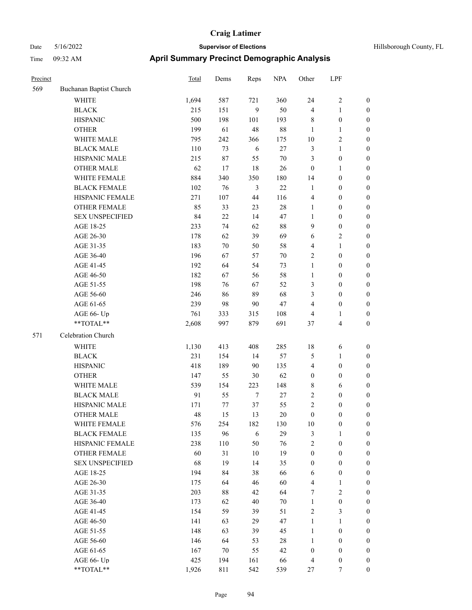| Precinct |                         | <b>Total</b> | Dems      | Reps           | <b>NPA</b>   | Other                        | LPF                                  |                                      |
|----------|-------------------------|--------------|-----------|----------------|--------------|------------------------------|--------------------------------------|--------------------------------------|
| 569      | Buchanan Baptist Church |              |           |                |              |                              |                                      |                                      |
|          | WHITE                   | 1,694        | 587       | 721            | 360          | 24                           | 2                                    | $\mathbf{0}$                         |
|          | <b>BLACK</b>            | 215          | 151       | 9              | 50           | $\overline{4}$               | 1                                    | $\boldsymbol{0}$                     |
|          | <b>HISPANIC</b>         | 500          | 198       | 101            | 193          | $\,$ 8 $\,$                  | $\boldsymbol{0}$                     | $\boldsymbol{0}$                     |
|          | <b>OTHER</b>            | 199          | 61        | 48             | 88           | $\mathbf{1}$                 | 1                                    | $\boldsymbol{0}$                     |
|          | WHITE MALE              | 795          | 242       | 366            | 175          | 10                           | 2                                    | $\boldsymbol{0}$                     |
|          | <b>BLACK MALE</b>       | 110          | 73        | $\sqrt{6}$     | $27\,$       | $\mathfrak{Z}$               | 1                                    | $\boldsymbol{0}$                     |
|          | HISPANIC MALE           | 215          | $87\,$    | 55             | $70\,$       | $\mathfrak{Z}$               | $\boldsymbol{0}$                     | $\boldsymbol{0}$                     |
|          | <b>OTHER MALE</b>       | 62           | 17        | 18             | 26           | $\boldsymbol{0}$             | 1                                    | $\boldsymbol{0}$                     |
|          | WHITE FEMALE            | 884          | 340       | 350            | 180          | 14                           | $\boldsymbol{0}$                     | $\boldsymbol{0}$                     |
|          | <b>BLACK FEMALE</b>     | 102          | 76        | $\mathfrak{Z}$ | $22\,$       | $\mathbf{1}$                 | $\boldsymbol{0}$                     | $\boldsymbol{0}$                     |
|          | HISPANIC FEMALE         | 271          | 107       | 44             | 116          | $\overline{4}$               | $\boldsymbol{0}$                     | $\boldsymbol{0}$                     |
|          | <b>OTHER FEMALE</b>     | 85           | 33        | 23             | 28           | $\mathbf{1}$                 | $\boldsymbol{0}$                     | $\boldsymbol{0}$                     |
|          | <b>SEX UNSPECIFIED</b>  | 84           | 22        | 14             | 47           | $\mathbf{1}$                 | $\boldsymbol{0}$                     | $\boldsymbol{0}$                     |
|          | AGE 18-25               | 233          | 74        | 62             | $88\,$       | 9                            | $\boldsymbol{0}$                     | $\boldsymbol{0}$                     |
|          | AGE 26-30               | 178          | 62        | 39             | 69           | 6                            | 2                                    | $\boldsymbol{0}$                     |
|          | AGE 31-35               | 183          | 70        | 50             | 58           | $\overline{4}$               | 1                                    | $\boldsymbol{0}$                     |
|          | AGE 36-40               | 196          | 67        | 57             | $70\,$       | $\sqrt{2}$                   | $\boldsymbol{0}$                     | $\boldsymbol{0}$                     |
|          | AGE 41-45               | 192          | 64        | 54             | 73           | $\mathbf{1}$                 | $\boldsymbol{0}$                     | $\boldsymbol{0}$                     |
|          | AGE 46-50               | 182          | 67        | 56             | 58           | $\mathbf{1}$                 | $\boldsymbol{0}$                     | $\boldsymbol{0}$                     |
|          | AGE 51-55               | 198          | 76        | 67             | 52           | 3                            | $\boldsymbol{0}$                     | $\boldsymbol{0}$                     |
|          | AGE 56-60               | 246          | 86        | 89             | 68           | 3                            | $\boldsymbol{0}$                     | $\boldsymbol{0}$                     |
|          | AGE 61-65               | 239          | 98        | 90             | 47           | $\overline{4}$               | $\boldsymbol{0}$                     | $\boldsymbol{0}$                     |
|          | AGE 66- Up              | 761          | 333       | 315            | 108          | $\overline{4}$               | 1                                    | $\boldsymbol{0}$                     |
|          | **TOTAL**               | 2,608        | 997       | 879            | 691          | 37                           | 4                                    | $\boldsymbol{0}$                     |
| 571      | Celebration Church      |              |           |                |              |                              |                                      |                                      |
|          | <b>WHITE</b>            | 1,130        | 413       | 408            | 285          | 18                           | 6                                    | $\boldsymbol{0}$                     |
|          | <b>BLACK</b>            | 231          | 154       | 14             | 57           | 5                            | 1                                    | $\boldsymbol{0}$                     |
|          | <b>HISPANIC</b>         | 418          | 189       | 90             | 135          | $\overline{4}$               | $\boldsymbol{0}$                     | $\boldsymbol{0}$                     |
|          | <b>OTHER</b>            | 147          | 55        | 30             | 62           | $\boldsymbol{0}$             | $\boldsymbol{0}$                     | $\boldsymbol{0}$                     |
|          | WHITE MALE              | 539          | 154       | 223            | 148          | $\,$ 8 $\,$                  | 6                                    | $\boldsymbol{0}$                     |
|          | <b>BLACK MALE</b>       | 91           | 55        | $\tau$         | $27\,$       | $\sqrt{2}$                   | 0                                    | $\boldsymbol{0}$                     |
|          | HISPANIC MALE           | 171          | 77        | 37             | 55           | $\overline{c}$               | $\boldsymbol{0}$                     | $\boldsymbol{0}$                     |
|          | <b>OTHER MALE</b>       | 48           | 15        | 13             | 20           | $\boldsymbol{0}$             | $\boldsymbol{0}$                     | $\boldsymbol{0}$                     |
|          | WHITE FEMALE            | 576          | 254       | 182            | 130          | 10                           | $\boldsymbol{0}$                     | $\mathbf{0}$                         |
|          | <b>BLACK FEMALE</b>     | 135          | 96        | $\sqrt{6}$     | 29           | $\mathfrak{Z}$               | 1                                    | $\boldsymbol{0}$                     |
|          | HISPANIC FEMALE         | 238          | 110       | 50             | 76           | $\sqrt{2}$                   | $\boldsymbol{0}$                     | $\boldsymbol{0}$                     |
|          | OTHER FEMALE            | 60           | 31        | $10\,$         | 19           | $\boldsymbol{0}$             | $\boldsymbol{0}$                     | $\boldsymbol{0}$                     |
|          | <b>SEX UNSPECIFIED</b>  | 68           | 19        | 14             | 35           | $\boldsymbol{0}$             | $\boldsymbol{0}$                     | $\boldsymbol{0}$                     |
|          | AGE 18-25               | 194          | 84        | 38             | 66           | 6                            | $\boldsymbol{0}$                     | $\boldsymbol{0}$                     |
|          | AGE 26-30               | 175          | 64        | 46             | 60           | $\overline{4}$               | 1                                    | $\boldsymbol{0}$                     |
|          | AGE 31-35               | 203          | 88        | 42             | 64           | 7                            | $\overline{c}$                       | $\boldsymbol{0}$                     |
|          | AGE 36-40               | 173          | 62        | 40             | $70\,$       | $\mathbf{1}$                 | $\boldsymbol{0}$                     | $\boldsymbol{0}$                     |
|          | AGE 41-45               | 154          | 59        | 39             | 51           | $\sqrt{2}$                   | 3                                    | $\boldsymbol{0}$                     |
|          |                         | 141          |           |                | 47           |                              | 1                                    | $\boldsymbol{0}$                     |
|          | AGE 46-50               |              | 63        | 29             |              | $\mathbf{1}$                 |                                      |                                      |
|          | AGE 51-55<br>AGE 56-60  | 148<br>146   | 63        | 39             | 45<br>$28\,$ | $\mathbf{1}$<br>$\mathbf{1}$ | $\boldsymbol{0}$<br>$\boldsymbol{0}$ | $\boldsymbol{0}$<br>$\boldsymbol{0}$ |
|          | AGE 61-65               |              | 64        | 53             | 42           | $\boldsymbol{0}$             |                                      | $\boldsymbol{0}$                     |
|          | AGE 66- Up              | 167<br>425   | 70<br>194 | 55<br>161      | 66           | $\overline{4}$               | $\boldsymbol{0}$<br>$\boldsymbol{0}$ | $\boldsymbol{0}$                     |
|          | $**TOTAL**$             | 1,926        | 811       | 542            | 539          | 27                           | 7                                    | $\boldsymbol{0}$                     |
|          |                         |              |           |                |              |                              |                                      |                                      |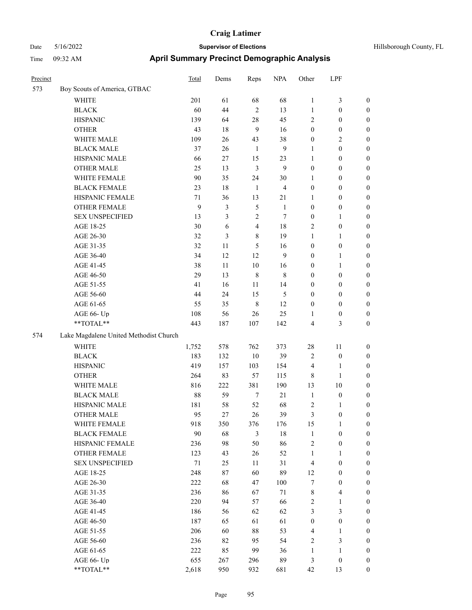| Precinct |                                                           | Total | Dems | Reps           | <b>NPA</b>     | Other            | LPF              |                  |
|----------|-----------------------------------------------------------|-------|------|----------------|----------------|------------------|------------------|------------------|
| 573      | Boy Scouts of America, GTBAC                              |       |      |                |                |                  |                  |                  |
|          | WHITE                                                     | 201   | 61   | 68             | 68             | $\mathbf{1}$     | 3                | $\boldsymbol{0}$ |
|          | <b>BLACK</b>                                              | 60    | 44   | $\overline{2}$ | 13             | $\mathbf{1}$     | $\boldsymbol{0}$ | $\boldsymbol{0}$ |
|          | <b>HISPANIC</b>                                           | 139   | 64   | 28             | 45             | $\overline{2}$   | $\boldsymbol{0}$ | $\boldsymbol{0}$ |
|          | <b>OTHER</b>                                              | 43    | 18   | 9              | 16             | $\boldsymbol{0}$ | $\boldsymbol{0}$ | $\boldsymbol{0}$ |
|          | WHITE MALE                                                | 109   | 26   | 43             | 38             | $\boldsymbol{0}$ | 2                | $\boldsymbol{0}$ |
|          | <b>BLACK MALE</b>                                         | 37    | 26   | $\mathbf{1}$   | 9              | 1                | $\boldsymbol{0}$ | $\boldsymbol{0}$ |
|          | HISPANIC MALE                                             | 66    | 27   | 15             | 23             | $\mathbf{1}$     | $\boldsymbol{0}$ | $\boldsymbol{0}$ |
|          | <b>OTHER MALE</b>                                         | 25    | 13   | $\mathfrak{Z}$ | 9              | $\boldsymbol{0}$ | $\boldsymbol{0}$ | $\boldsymbol{0}$ |
|          | WHITE FEMALE                                              | 90    | 35   | 24             | 30             | 1                | $\boldsymbol{0}$ | $\boldsymbol{0}$ |
|          | <b>BLACK FEMALE</b>                                       | 23    | 18   | $\mathbf{1}$   | $\overline{4}$ | $\boldsymbol{0}$ | $\boldsymbol{0}$ | $\boldsymbol{0}$ |
|          | HISPANIC FEMALE                                           | 71    | 36   | 13             | 21             | 1                | $\boldsymbol{0}$ | $\boldsymbol{0}$ |
|          | <b>OTHER FEMALE</b>                                       | 9     | 3    | 5              | 1              | $\boldsymbol{0}$ | $\boldsymbol{0}$ | $\boldsymbol{0}$ |
|          | <b>SEX UNSPECIFIED</b>                                    | 13    | 3    | $\mathfrak{2}$ | $\tau$         | $\boldsymbol{0}$ | 1                | $\boldsymbol{0}$ |
|          | AGE 18-25                                                 | 30    | 6    | $\overline{4}$ | 18             | $\overline{2}$   | $\boldsymbol{0}$ | $\boldsymbol{0}$ |
|          | AGE 26-30                                                 | 32    | 3    | 8              | 19             | 1                | 1                | $\boldsymbol{0}$ |
|          | AGE 31-35                                                 | 32    | 11   | 5              | 16             | $\boldsymbol{0}$ | $\boldsymbol{0}$ | $\boldsymbol{0}$ |
|          | AGE 36-40                                                 | 34    | 12   | 12             | 9              | $\boldsymbol{0}$ | 1                | $\boldsymbol{0}$ |
|          | AGE 41-45                                                 | 38    | 11   | 10             | 16             | $\boldsymbol{0}$ | 1                | $\boldsymbol{0}$ |
|          | AGE 46-50                                                 | 29    | 13   | $\,$ 8 $\,$    | 8              | $\boldsymbol{0}$ | $\boldsymbol{0}$ | $\boldsymbol{0}$ |
|          | AGE 51-55                                                 | 41    | 16   | 11             | 14             | $\boldsymbol{0}$ | $\boldsymbol{0}$ | $\boldsymbol{0}$ |
|          | AGE 56-60                                                 | 44    | 24   | 15             | 5              | $\boldsymbol{0}$ | $\boldsymbol{0}$ | $\boldsymbol{0}$ |
|          | AGE 61-65                                                 | 55    | 35   | $\,8\,$        | 12             | $\boldsymbol{0}$ | $\boldsymbol{0}$ | $\boldsymbol{0}$ |
|          | AGE 66- Up                                                | 108   | 56   | 26             | 25             | 1                | $\boldsymbol{0}$ | $\boldsymbol{0}$ |
|          | **TOTAL**                                                 | 443   | 187  | 107            | 142            | $\overline{4}$   | 3                | $\boldsymbol{0}$ |
| 574      | Lake Magdalene United Methodist Church                    |       |      |                |                |                  |                  |                  |
|          | <b>WHITE</b>                                              | 1,752 | 578  | 762            | 373            | 28               | 11               | $\boldsymbol{0}$ |
|          | <b>BLACK</b>                                              | 183   | 132  | 10             | 39             | $\sqrt{2}$       | $\boldsymbol{0}$ | $\boldsymbol{0}$ |
|          | <b>HISPANIC</b>                                           | 419   | 157  | 103            | 154            | $\overline{4}$   | 1                | $\boldsymbol{0}$ |
|          | <b>OTHER</b>                                              | 264   | 83   | 57             | 115            | $\,8\,$          | 1                | $\boldsymbol{0}$ |
|          | WHITE MALE                                                | 816   | 222  | 381            | 190            | 13               | 10               | $\boldsymbol{0}$ |
|          | <b>BLACK MALE</b>                                         | 88    | 59   | $\tau$         | $21\,$         | $\mathbf{1}$     | $\boldsymbol{0}$ | $\boldsymbol{0}$ |
|          | HISPANIC MALE                                             | 181   | 58   | 52             | 68             | $\sqrt{2}$       | 1                | 0                |
|          | <b>OTHER MALE</b>                                         | 95    | 27   | 26             | 39             | 3                | $\boldsymbol{0}$ | $\boldsymbol{0}$ |
|          | WHITE FEMALE                                              | 918   | 350  | 376            | 176            | 15               | $\mathbf{1}$     | $\boldsymbol{0}$ |
|          | <b>BLACK FEMALE</b>                                       | 90    | 68   | 3              | $18\,$         | $\mathbf{1}$     | $\boldsymbol{0}$ | $\boldsymbol{0}$ |
|          | HISPANIC FEMALE                                           | 236   | 98   | 50             | 86             | $\sqrt{2}$       | $\boldsymbol{0}$ | $\boldsymbol{0}$ |
|          | OTHER FEMALE                                              | 123   | 43   | 26             | 52             | $\mathbf{1}$     | 1                | $\boldsymbol{0}$ |
|          | <b>SEX UNSPECIFIED</b>                                    | 71    | 25   | 11             | $31\,$         | $\overline{4}$   | $\boldsymbol{0}$ | $\boldsymbol{0}$ |
|          | AGE 18-25                                                 | 248   | 87   | 60             | 89             | 12               | $\boldsymbol{0}$ | $\boldsymbol{0}$ |
|          | AGE 26-30                                                 | 222   | 68   | 47             | 100            | $\tau$           | $\boldsymbol{0}$ | $\boldsymbol{0}$ |
|          | AGE 31-35                                                 | 236   | 86   | 67             | 71             | $\,$ $\,$        | 4                | $\boldsymbol{0}$ |
|          | AGE 36-40                                                 | 220   | 94   | 57             | 66             | $\sqrt{2}$       | 1                | $\boldsymbol{0}$ |
|          | AGE 41-45                                                 | 186   | 56   | 62             | 62             | $\mathfrak{Z}$   | 3                | $\boldsymbol{0}$ |
|          | AGE 46-50                                                 | 187   | 65   | 61             | 61             | $\boldsymbol{0}$ | $\boldsymbol{0}$ | $\boldsymbol{0}$ |
|          | AGE 51-55                                                 | 206   | 60   | $88\,$         | 53             | $\overline{4}$   | 1                | $\boldsymbol{0}$ |
|          | AGE 56-60                                                 | 236   | 82   | 95             | 54             | $\sqrt{2}$       | 3                | $\boldsymbol{0}$ |
|          | AGE 61-65                                                 | 222   | 85   | 99             | 36             | $\mathbf{1}$     | 1                | $\boldsymbol{0}$ |
|          | AGE 66- Up                                                | 655   | 267  | 296            | 89             | $\mathfrak{Z}$   | $\boldsymbol{0}$ | $\boldsymbol{0}$ |
|          | $\mathrm{*}\mathrm{*}\mathrm{TOTAL} \mathrm{*}\mathrm{*}$ | 2,618 | 950  | 932            | 681            | 42               | 13               | $\boldsymbol{0}$ |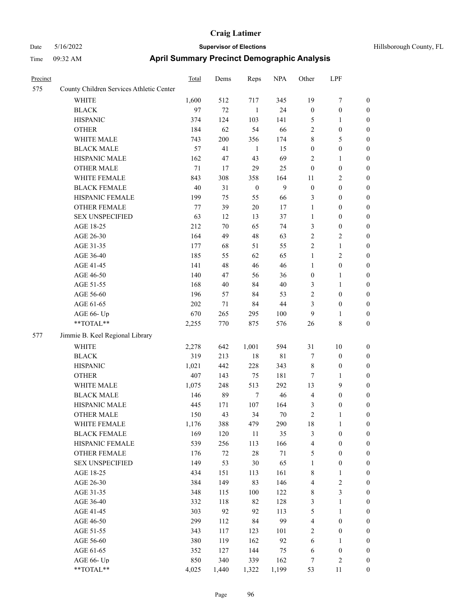| Hillsborough County, FL |  |
|-------------------------|--|
|                         |  |

| Precinct |                                          | Total  | Dems   | Reps             | <b>NPA</b>   | Other            | LPF              |                  |
|----------|------------------------------------------|--------|--------|------------------|--------------|------------------|------------------|------------------|
| 575      | County Children Services Athletic Center |        |        |                  |              |                  |                  |                  |
|          | WHITE                                    | 1,600  | 512    | 717              | 345          | 19               | $\boldsymbol{7}$ | $\boldsymbol{0}$ |
|          | <b>BLACK</b>                             | 97     | 72     | $\mathbf{1}$     | 24           | $\boldsymbol{0}$ | $\boldsymbol{0}$ | $\boldsymbol{0}$ |
|          | <b>HISPANIC</b>                          | 374    | 124    | 103              | 141          | 5                | 1                | 0                |
|          | <b>OTHER</b>                             | 184    | 62     | 54               | 66           | $\overline{c}$   | $\boldsymbol{0}$ | 0                |
|          | WHITE MALE                               | 743    | 200    | 356              | 174          | 8                | 5                | $\boldsymbol{0}$ |
|          | <b>BLACK MALE</b>                        | 57     | 41     | $\mathbf{1}$     | 15           | $\boldsymbol{0}$ | $\boldsymbol{0}$ | $\boldsymbol{0}$ |
|          | HISPANIC MALE                            | 162    | 47     | 43               | 69           | 2                | $\mathbf{1}$     | $\boldsymbol{0}$ |
|          | <b>OTHER MALE</b>                        | 71     | 17     | 29               | 25           | $\boldsymbol{0}$ | $\boldsymbol{0}$ | $\boldsymbol{0}$ |
|          | WHITE FEMALE                             | 843    | 308    | 358              | 164          | 11               | $\sqrt{2}$       | $\boldsymbol{0}$ |
|          | <b>BLACK FEMALE</b>                      | $40\,$ | 31     | $\boldsymbol{0}$ | $\mathbf{9}$ | $\boldsymbol{0}$ | $\boldsymbol{0}$ | $\boldsymbol{0}$ |
|          | HISPANIC FEMALE                          | 199    | 75     | 55               | 66           | 3                | $\boldsymbol{0}$ | $\boldsymbol{0}$ |
|          | <b>OTHER FEMALE</b>                      | 77     | 39     | $20\,$           | 17           | $\mathbf{1}$     | $\boldsymbol{0}$ | 0                |
|          | <b>SEX UNSPECIFIED</b>                   | 63     | 12     | 13               | 37           | $\mathbf{1}$     | $\boldsymbol{0}$ | 0                |
|          | AGE 18-25                                | 212    | 70     | 65               | 74           | 3                | $\boldsymbol{0}$ | 0                |
|          | AGE 26-30                                | 164    | 49     | 48               | 63           | $\overline{c}$   | $\sqrt{2}$       | 0                |
|          | AGE 31-35                                | 177    | 68     | 51               | 55           | 2                | $\mathbf{1}$     | $\boldsymbol{0}$ |
|          | AGE 36-40                                | 185    | 55     | 62               | 65           | $\mathbf{1}$     | $\sqrt{2}$       | $\boldsymbol{0}$ |
|          | AGE 41-45                                | 141    | 48     | 46               | 46           | $\mathbf{1}$     | $\boldsymbol{0}$ | $\boldsymbol{0}$ |
|          | AGE 46-50                                | 140    | 47     | 56               | 36           | $\boldsymbol{0}$ | 1                | $\boldsymbol{0}$ |
|          | AGE 51-55                                | 168    | $40\,$ | 84               | $40\,$       | 3                | $\mathbf{1}$     | $\boldsymbol{0}$ |
|          | AGE 56-60                                | 196    | 57     | 84               | 53           | $\overline{c}$   | $\boldsymbol{0}$ | $\boldsymbol{0}$ |
|          | AGE 61-65                                | 202    | 71     | 84               | $44\,$       | 3                | $\boldsymbol{0}$ | 0                |
|          | AGE 66- Up                               | 670    | 265    | 295              | 100          | 9                | $\mathbf{1}$     | 0                |
|          | **TOTAL**                                | 2,255  | 770    | 875              | 576          | 26               | $\,$ 8 $\,$      | $\boldsymbol{0}$ |
| 577      | Jimmie B. Keel Regional Library          |        |        |                  |              |                  |                  |                  |
|          | <b>WHITE</b>                             | 2,278  | 642    | 1,001            | 594          | 31               | 10               | 0                |
|          | <b>BLACK</b>                             | 319    | 213    | $18\,$           | $8\sqrt{1}$  | 7                | $\boldsymbol{0}$ | 0                |
|          | <b>HISPANIC</b>                          | 1,021  | 442    | 228              | 343          | 8                | $\boldsymbol{0}$ | 0                |
|          | <b>OTHER</b>                             | 407    | 143    | 75               | 181          | 7                | 1                | $\boldsymbol{0}$ |
|          | WHITE MALE                               | 1,075  | 248    | 513              | 292          | 13               | $\mathbf{9}$     | $\boldsymbol{0}$ |
|          | <b>BLACK MALE</b>                        | 146    | 89     | 7                | $46\,$       | 4                | $\boldsymbol{0}$ | $\boldsymbol{0}$ |
|          | HISPANIC MALE                            | 445    | 171    | 107              | 164          | 3                | $\boldsymbol{0}$ | $\boldsymbol{0}$ |
|          | <b>OTHER MALE</b>                        | 150    | 43     | 34               | 70           | $\overline{c}$   | $\mathbf{1}$     | $\boldsymbol{0}$ |
|          | WHITE FEMALE                             | 1,176  | 388    | 479              | 290          | 18               | $\mathbf{1}$     | 0                |
|          | <b>BLACK FEMALE</b>                      | 169    | 120    | $11\,$           | 35           | 3                | $\boldsymbol{0}$ | 0                |
|          | HISPANIC FEMALE                          | 539    | 256    | 113              | 166          | 4                | $\boldsymbol{0}$ | 0                |
|          | OTHER FEMALE                             | 176    | 72     | $28\,$           | 71           | 5                | $\boldsymbol{0}$ | 0                |
|          | <b>SEX UNSPECIFIED</b>                   | 149    | 53     | $30\,$           | 65           | $\mathbf{1}$     | $\boldsymbol{0}$ | $\boldsymbol{0}$ |
|          | AGE 18-25                                | 434    | 151    | 113              | 161          | 8                | $\mathbf{1}$     | $\boldsymbol{0}$ |
|          | AGE 26-30                                | 384    | 149    | 83               | 146          | 4                | $\sqrt{2}$       | 0                |
|          | AGE 31-35                                | 348    | 115    | 100              | 122          | 8                | 3                | 0                |
|          | AGE 36-40                                | 332    | 118    | 82               | 128          | 3                | $\mathbf{1}$     | $\overline{0}$   |
|          | AGE 41-45                                | 303    | 92     | 92               | 113          | 5                | $\mathbf{1}$     | $\boldsymbol{0}$ |
|          | AGE 46-50                                | 299    | 112    | 84               | 99           | 4                | $\boldsymbol{0}$ | $\boldsymbol{0}$ |
|          | AGE 51-55                                | 343    | 117    | 123              | 101          | 2                | $\boldsymbol{0}$ | 0                |
|          | AGE 56-60                                | 380    | 119    | 162              | 92           | 6                | $\mathbf{1}$     | 0                |
|          | AGE 61-65                                | 352    | 127    | 144              | 75           | 6                | $\boldsymbol{0}$ | $\boldsymbol{0}$ |
|          | AGE 66- Up                               | 850    | 340    | 339              | 162          | 7                | $\sqrt{2}$       | 0                |
|          | $**TOTAL**$                              | 4,025  | 1,440  | 1,322            | 1,199        | 53               | 11               | $\boldsymbol{0}$ |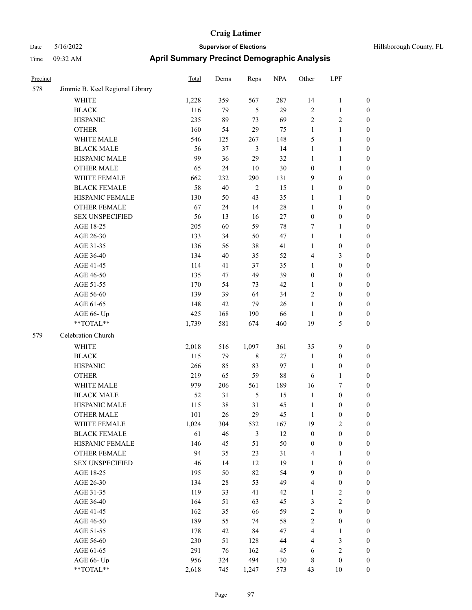| Hillsborough County, FL |  |  |
|-------------------------|--|--|
|-------------------------|--|--|

| Precinct |                                                            | <b>Total</b> | Dems   | Reps           | <b>NPA</b> | Other                   | LPF                     |                  |
|----------|------------------------------------------------------------|--------------|--------|----------------|------------|-------------------------|-------------------------|------------------|
| 578      | Jimmie B. Keel Regional Library                            |              |        |                |            |                         |                         |                  |
|          | <b>WHITE</b>                                               | 1,228        | 359    | 567            | 287        | 14                      | $\mathbf{1}$            | $\boldsymbol{0}$ |
|          | <b>BLACK</b>                                               | 116          | 79     | 5              | 29         | $\sqrt{2}$              | 1                       | $\boldsymbol{0}$ |
|          | <b>HISPANIC</b>                                            | 235          | 89     | 73             | 69         | $\overline{2}$          | 2                       | $\boldsymbol{0}$ |
|          | <b>OTHER</b>                                               | 160          | 54     | 29             | 75         | $\mathbf{1}$            | 1                       | $\boldsymbol{0}$ |
|          | WHITE MALE                                                 | 546          | 125    | 267            | 148        | 5                       | 1                       | $\boldsymbol{0}$ |
|          | <b>BLACK MALE</b>                                          | 56           | 37     | $\mathfrak{Z}$ | 14         | $\mathbf{1}$            | 1                       | $\boldsymbol{0}$ |
|          | HISPANIC MALE                                              | 99           | 36     | 29             | 32         | $\mathbf{1}$            | 1                       | $\boldsymbol{0}$ |
|          | <b>OTHER MALE</b>                                          | 65           | 24     | 10             | 30         | $\boldsymbol{0}$        | 1                       | $\boldsymbol{0}$ |
|          | WHITE FEMALE                                               | 662          | 232    | 290            | 131        | 9                       | $\boldsymbol{0}$        | $\boldsymbol{0}$ |
|          | <b>BLACK FEMALE</b>                                        | 58           | 40     | $\overline{2}$ | 15         | $\mathbf{1}$            | $\boldsymbol{0}$        | $\boldsymbol{0}$ |
|          | HISPANIC FEMALE                                            | 130          | 50     | 43             | 35         | $\mathbf{1}$            | 1                       | $\boldsymbol{0}$ |
|          | OTHER FEMALE                                               | 67           | 24     | 14             | $28\,$     | $\mathbf{1}$            | $\boldsymbol{0}$        | $\boldsymbol{0}$ |
|          | <b>SEX UNSPECIFIED</b>                                     | 56           | 13     | 16             | 27         | $\boldsymbol{0}$        | $\boldsymbol{0}$        | $\boldsymbol{0}$ |
|          | AGE 18-25                                                  | 205          | 60     | 59             | 78         | 7                       | 1                       | $\boldsymbol{0}$ |
|          | AGE 26-30                                                  | 133          | 34     | 50             | 47         | $\mathbf{1}$            | 1                       | $\boldsymbol{0}$ |
|          | AGE 31-35                                                  | 136          | 56     | 38             | 41         | $\mathbf{1}$            | $\boldsymbol{0}$        | $\boldsymbol{0}$ |
|          | AGE 36-40                                                  | 134          | 40     | 35             | 52         | $\overline{4}$          | 3                       | $\boldsymbol{0}$ |
|          | AGE 41-45                                                  | 114          | 41     | 37             | 35         | $\mathbf{1}$            | $\boldsymbol{0}$        | $\boldsymbol{0}$ |
|          | AGE 46-50                                                  | 135          | 47     | 49             | 39         | $\boldsymbol{0}$        | $\boldsymbol{0}$        | $\boldsymbol{0}$ |
|          | AGE 51-55                                                  | 170          | 54     | 73             | 42         | $\mathbf{1}$            | $\boldsymbol{0}$        | $\boldsymbol{0}$ |
|          | AGE 56-60                                                  | 139          | 39     | 64             | 34         | $\sqrt{2}$              | $\boldsymbol{0}$        | $\boldsymbol{0}$ |
|          | AGE 61-65                                                  | 148          | 42     | 79             | 26         | $\mathbf{1}$            | $\boldsymbol{0}$        | $\boldsymbol{0}$ |
|          | AGE 66- Up                                                 | 425          | 168    | 190            | 66         | $\mathbf{1}$            | $\boldsymbol{0}$        | $\boldsymbol{0}$ |
|          | $**TOTAL**$                                                | 1,739        | 581    | 674            | 460        | 19                      | 5                       | $\boldsymbol{0}$ |
| 579      | Celebration Church                                         |              |        |                |            |                         |                         |                  |
|          | <b>WHITE</b>                                               | 2,018        | 516    | 1,097          | 361        | 35                      | 9                       | $\boldsymbol{0}$ |
|          | <b>BLACK</b>                                               | 115          | 79     | $\,$ 8 $\,$    | 27         | $\mathbf{1}$            | $\boldsymbol{0}$        | $\boldsymbol{0}$ |
|          | <b>HISPANIC</b>                                            | 266          | 85     | 83             | 97         | $\mathbf{1}$            | $\boldsymbol{0}$        | $\boldsymbol{0}$ |
|          | <b>OTHER</b>                                               | 219          | 65     | 59             | 88         | 6                       | 1                       | $\boldsymbol{0}$ |
|          | WHITE MALE                                                 | 979          | 206    | 561            | 189        | 16                      | 7                       | $\boldsymbol{0}$ |
|          | <b>BLACK MALE</b>                                          | 52           | 31     | 5              | 15         | $\mathbf{1}$            | $\boldsymbol{0}$        | $\boldsymbol{0}$ |
|          | HISPANIC MALE                                              | 115          | 38     | 31             | 45         | $\mathbf{1}$            | $\boldsymbol{0}$        | $\boldsymbol{0}$ |
|          | <b>OTHER MALE</b>                                          | 101          | 26     | 29             | 45         | 1                       | $\mathbf{0}$            | $\mathbf{0}$     |
|          | WHITE FEMALE                                               | 1,024        | 304    | 532            | 167        | 19                      | $\overline{\mathbf{c}}$ | $\boldsymbol{0}$ |
|          | <b>BLACK FEMALE</b>                                        | 61           | $46\,$ | $\mathfrak{Z}$ | 12         | $\boldsymbol{0}$        | 0                       | $\boldsymbol{0}$ |
|          | HISPANIC FEMALE                                            | 146          | 45     | 51             | 50         | $\boldsymbol{0}$        | $\boldsymbol{0}$        | $\boldsymbol{0}$ |
|          | <b>OTHER FEMALE</b>                                        | 94           | 35     | 23             | 31         | $\overline{4}$          | 1                       | $\boldsymbol{0}$ |
|          | <b>SEX UNSPECIFIED</b>                                     | 46           | 14     | 12             | 19         | $\mathbf{1}$            | $\boldsymbol{0}$        | $\boldsymbol{0}$ |
|          | AGE 18-25                                                  | 195          | 50     | 82             | 54         | $\boldsymbol{9}$        | $\boldsymbol{0}$        | $\boldsymbol{0}$ |
|          | AGE 26-30                                                  | 134          | $28\,$ | 53             | 49         | $\overline{\mathbf{4}}$ | $\boldsymbol{0}$        | $\boldsymbol{0}$ |
|          | AGE 31-35                                                  | 119          | 33     | 41             | 42         | $\mathbf{1}$            | $\sqrt{2}$              | $\boldsymbol{0}$ |
|          | AGE 36-40                                                  | 164          | 51     | 63             | 45         | $\mathfrak{Z}$          | $\sqrt{2}$              | $\boldsymbol{0}$ |
|          | AGE 41-45                                                  | 162          | 35     | 66             | 59         | $\sqrt{2}$              | $\boldsymbol{0}$        | $\boldsymbol{0}$ |
|          | AGE 46-50                                                  | 189          | 55     | 74             | 58         | $\sqrt{2}$              | $\boldsymbol{0}$        | $\boldsymbol{0}$ |
|          | AGE 51-55                                                  | 178          | 42     | 84             | 47         | $\overline{\mathbf{4}}$ | 1                       | $\boldsymbol{0}$ |
|          | AGE 56-60                                                  | 230          | 51     | 128            | $44\,$     | $\overline{4}$          | 3                       | $\boldsymbol{0}$ |
|          | AGE 61-65                                                  | 291          | 76     | 162            | 45         | 6                       | $\overline{\mathbf{c}}$ | $\boldsymbol{0}$ |
|          | AGE 66- Up                                                 | 956          | 324    | 494            | 130        | $\,8\,$                 | $\boldsymbol{0}$        | $\boldsymbol{0}$ |
|          | $\mathrm{*}\mathrm{*} \mathrm{TOTAL} \mathrm{*}\mathrm{*}$ | 2,618        | 745    | 1,247          | 573        | 43                      | $10\,$                  | $\boldsymbol{0}$ |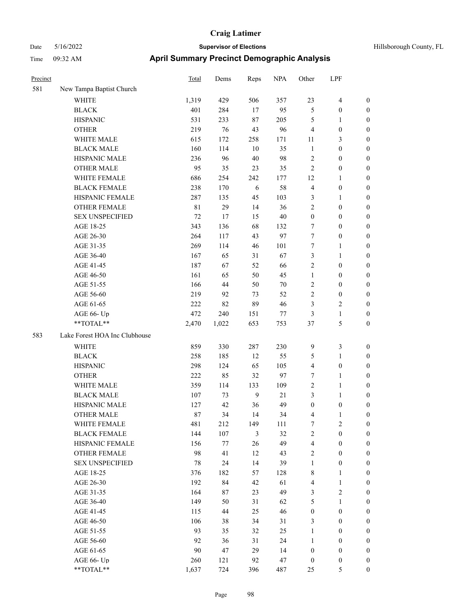| Hillsborough County, FL |  |  |
|-------------------------|--|--|
|-------------------------|--|--|

| Precinct |                               | Total       | Dems  | Reps           | <b>NPA</b> | Other            | LPF                     |                  |
|----------|-------------------------------|-------------|-------|----------------|------------|------------------|-------------------------|------------------|
| 581      | New Tampa Baptist Church      |             |       |                |            |                  |                         |                  |
|          | WHITE                         | 1,319       | 429   | 506            | 357        | 23               | $\overline{\mathbf{4}}$ | $\boldsymbol{0}$ |
|          | <b>BLACK</b>                  | 401         | 284   | 17             | 95         | 5                | $\boldsymbol{0}$        | $\boldsymbol{0}$ |
|          | <b>HISPANIC</b>               | 531         | 233   | 87             | 205        | 5                | $\mathbf{1}$            | $\boldsymbol{0}$ |
|          | <b>OTHER</b>                  | 219         | 76    | 43             | 96         | $\overline{4}$   | $\boldsymbol{0}$        | 0                |
|          | WHITE MALE                    | 615         | 172   | 258            | 171        | 11               | 3                       | 0                |
|          | <b>BLACK MALE</b>             | 160         | 114   | 10             | 35         | $\mathbf{1}$     | $\boldsymbol{0}$        | $\boldsymbol{0}$ |
|          | HISPANIC MALE                 | 236         | 96    | 40             | 98         | $\sqrt{2}$       | $\boldsymbol{0}$        | $\boldsymbol{0}$ |
|          | <b>OTHER MALE</b>             | 95          | 35    | 23             | 35         | $\overline{c}$   | $\boldsymbol{0}$        | $\boldsymbol{0}$ |
|          | WHITE FEMALE                  | 686         | 254   | 242            | 177        | 12               | $\mathbf{1}$            | $\boldsymbol{0}$ |
|          | <b>BLACK FEMALE</b>           | 238         | 170   | 6              | 58         | $\overline{4}$   | $\boldsymbol{0}$        | $\boldsymbol{0}$ |
|          | HISPANIC FEMALE               | 287         | 135   | 45             | 103        | 3                | $\mathbf{1}$            | $\boldsymbol{0}$ |
|          | OTHER FEMALE                  | $8\sqrt{1}$ | 29    | 14             | 36         | $\overline{c}$   | $\boldsymbol{0}$        | $\boldsymbol{0}$ |
|          | <b>SEX UNSPECIFIED</b>        | $72\,$      | 17    | 15             | 40         | $\boldsymbol{0}$ | $\boldsymbol{0}$        | $\boldsymbol{0}$ |
|          | AGE 18-25                     | 343         | 136   | 68             | 132        | 7                | $\boldsymbol{0}$        | 0                |
|          | AGE 26-30                     | 264         | 117   | 43             | 97         | 7                | $\boldsymbol{0}$        | 0                |
|          | AGE 31-35                     | 269         | 114   | 46             | 101        | 7                | 1                       | 0                |
|          | AGE 36-40                     | 167         | 65    | 31             | 67         | 3                | 1                       | $\boldsymbol{0}$ |
|          | AGE 41-45                     | 187         | 67    | 52             | 66         | $\overline{c}$   | $\boldsymbol{0}$        | $\boldsymbol{0}$ |
|          | AGE 46-50                     | 161         | 65    | 50             | 45         | $\mathbf{1}$     | $\boldsymbol{0}$        | $\boldsymbol{0}$ |
|          | AGE 51-55                     | 166         | 44    | 50             | 70         | $\overline{c}$   | $\boldsymbol{0}$        | $\boldsymbol{0}$ |
|          | AGE 56-60                     | 219         | 92    | 73             | 52         | $\mathfrak{2}$   | $\boldsymbol{0}$        | $\boldsymbol{0}$ |
|          | AGE 61-65                     | 222         | 82    | 89             | 46         | 3                | $\mathfrak{2}$          | 0                |
|          | AGE 66- Up                    | 472         | 240   | 151            | 77         | 3                | $\mathbf{1}$            | $\boldsymbol{0}$ |
|          | **TOTAL**                     | 2,470       | 1,022 | 653            | 753        | 37               | 5                       | 0                |
| 583      | Lake Forest HOA Inc Clubhouse |             |       |                |            |                  |                         |                  |
|          | WHITE                         | 859         | 330   | 287            | 230        | 9                | $\mathfrak{Z}$          | 0                |
|          | <b>BLACK</b>                  | 258         | 185   | 12             | 55         | 5                | $\mathbf{1}$            | 0                |
|          | <b>HISPANIC</b>               | 298         | 124   | 65             | 105        | 4                | $\boldsymbol{0}$        | 0                |
|          | <b>OTHER</b>                  | 222         | 85    | 32             | 97         | 7                | $\mathbf{1}$            | 0                |
|          | WHITE MALE                    | 359         | 114   | 133            | 109        | $\overline{c}$   | $\mathbf{1}$            | $\boldsymbol{0}$ |
|          | <b>BLACK MALE</b>             | 107         | 73    | $\overline{9}$ | 21         | 3                | $\mathbf{1}$            | $\boldsymbol{0}$ |
|          | HISPANIC MALE                 | 127         | 42    | 36             | 49         | $\boldsymbol{0}$ | $\boldsymbol{0}$        | $\boldsymbol{0}$ |
|          | <b>OTHER MALE</b>             | 87          | 34    | 14             | 34         | 4                | $\mathbf{1}$            | $\boldsymbol{0}$ |
|          | WHITE FEMALE                  | 481         | 212   | 149            | 111        | 7                | $\sqrt{2}$              | 0                |
|          | <b>BLACK FEMALE</b>           | 144         | 107   | 3              | 32         | $\sqrt{2}$       | $\boldsymbol{0}$        | 0                |
|          | HISPANIC FEMALE               | 156         | 77    | 26             | 49         | $\overline{4}$   | $\boldsymbol{0}$        | 0                |
|          | OTHER FEMALE                  | 98          | 41    | 12             | 43         | $\overline{c}$   | $\boldsymbol{0}$        | 0                |
|          | <b>SEX UNSPECIFIED</b>        | 78          | 24    | 14             | 39         | $\mathbf{1}$     | $\boldsymbol{0}$        | 0                |
|          | AGE 18-25                     | 376         | 182   | 57             | 128        | 8                | $\mathbf{1}$            | $\boldsymbol{0}$ |
|          | AGE 26-30                     | 192         | 84    | 42             | 61         | $\overline{4}$   | $\mathbf{1}$            | $\overline{0}$   |
|          | AGE 31-35                     | 164         | 87    | 23             | 49         | 3                | $\sqrt{2}$              | 0                |
|          | AGE 36-40                     | 149         | 50    | 31             | 62         | 5                | $\mathbf{1}$            | 0                |
|          | AGE 41-45                     | 115         | 44    | 25             | 46         | $\boldsymbol{0}$ | $\boldsymbol{0}$        | $\overline{0}$   |
|          | AGE 46-50                     | 106         | 38    | 34             | 31         | 3                | $\boldsymbol{0}$        | $\overline{0}$   |
|          | AGE 51-55                     | 93          | 35    | 32             | 25         | $\mathbf{1}$     | $\boldsymbol{0}$        | 0                |
|          | AGE 56-60                     | 92          | 36    | 31             | 24         | $\mathbf{1}$     | $\boldsymbol{0}$        | 0                |
|          | AGE 61-65                     | 90          | 47    | 29             | 14         | $\boldsymbol{0}$ | $\boldsymbol{0}$        | 0                |
|          | AGE 66- Up                    | 260         | 121   | 92             | 47         | $\boldsymbol{0}$ | $\boldsymbol{0}$        | 0                |
|          | $**TOTAL**$                   | 1,637       | 724   | 396            | 487        | 25               | $\mathfrak{S}$          | $\boldsymbol{0}$ |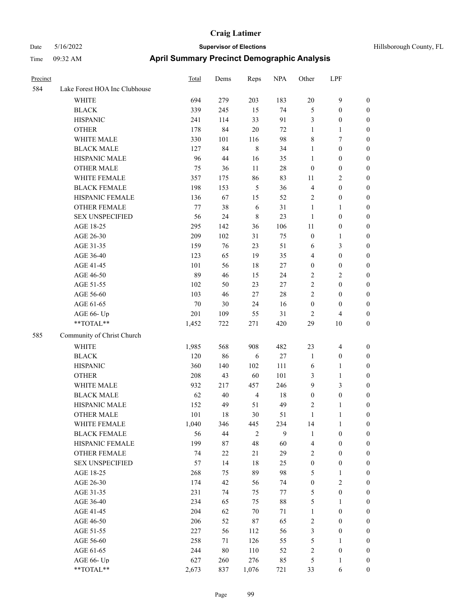# Date 5/16/2022 **Supervisor of Elections Supervisor of Elections** Hillsborough County, FL Time 09:32 AM **April Summary Precinct Demographic Analysis**

| Precinct |                               | <b>Total</b> | Dems   | Reps           | <b>NPA</b> | Other            | LPF                     |                  |
|----------|-------------------------------|--------------|--------|----------------|------------|------------------|-------------------------|------------------|
| 584      | Lake Forest HOA Inc Clubhouse |              |        |                |            |                  |                         |                  |
|          | WHITE                         | 694          | 279    | 203            | 183        | 20               | 9                       | $\mathbf{0}$     |
|          | <b>BLACK</b>                  | 339          | 245    | 15             | 74         | 5                | $\boldsymbol{0}$        | $\boldsymbol{0}$ |
|          | <b>HISPANIC</b>               | 241          | 114    | 33             | 91         | $\mathfrak{Z}$   | $\boldsymbol{0}$        | $\boldsymbol{0}$ |
|          | <b>OTHER</b>                  | 178          | 84     | 20             | 72         | $\mathbf{1}$     | 1                       | $\boldsymbol{0}$ |
|          | WHITE MALE                    | 330          | 101    | 116            | 98         | $\,8\,$          | 7                       | $\boldsymbol{0}$ |
|          | <b>BLACK MALE</b>             | 127          | 84     | $\,8\,$        | 34         | 1                | $\boldsymbol{0}$        | $\boldsymbol{0}$ |
|          | HISPANIC MALE                 | 96           | 44     | 16             | 35         | $\mathbf{1}$     | $\boldsymbol{0}$        | $\boldsymbol{0}$ |
|          | <b>OTHER MALE</b>             | 75           | 36     | 11             | 28         | $\boldsymbol{0}$ | $\boldsymbol{0}$        | $\boldsymbol{0}$ |
|          | WHITE FEMALE                  | 357          | 175    | 86             | 83         | 11               | 2                       | $\boldsymbol{0}$ |
|          | <b>BLACK FEMALE</b>           | 198          | 153    | $\sqrt{5}$     | 36         | $\overline{4}$   | $\boldsymbol{0}$        | $\boldsymbol{0}$ |
|          | HISPANIC FEMALE               | 136          | 67     | 15             | 52         | $\sqrt{2}$       | $\boldsymbol{0}$        | $\boldsymbol{0}$ |
|          | <b>OTHER FEMALE</b>           | 77           | 38     | 6              | 31         | 1                | 1                       | $\boldsymbol{0}$ |
|          | <b>SEX UNSPECIFIED</b>        | 56           | 24     | $\,8\,$        | 23         | 1                | $\boldsymbol{0}$        | $\boldsymbol{0}$ |
|          | AGE 18-25                     | 295          | 142    | 36             | 106        | 11               | $\boldsymbol{0}$        | $\boldsymbol{0}$ |
|          | AGE 26-30                     | 209          | 102    | 31             | 75         | $\boldsymbol{0}$ | 1                       | $\boldsymbol{0}$ |
|          | AGE 31-35                     | 159          | 76     | 23             | 51         | 6                | 3                       | $\boldsymbol{0}$ |
|          | AGE 36-40                     | 123          | 65     | 19             | 35         | $\overline{4}$   | $\boldsymbol{0}$        | $\boldsymbol{0}$ |
|          | AGE 41-45                     | 101          | 56     | 18             | 27         | $\boldsymbol{0}$ | $\boldsymbol{0}$        | $\boldsymbol{0}$ |
|          | AGE 46-50                     | 89           | 46     | 15             | 24         | $\sqrt{2}$       | $\overline{\mathbf{c}}$ | $\boldsymbol{0}$ |
|          | AGE 51-55                     | 102          | 50     | 23             | 27         | $\sqrt{2}$       | $\boldsymbol{0}$        | $\boldsymbol{0}$ |
|          | AGE 56-60                     | 103          | 46     | 27             | 28         | $\overline{2}$   | $\boldsymbol{0}$        | $\boldsymbol{0}$ |
|          | AGE 61-65                     | $70\,$       | 30     | 24             | 16         | $\boldsymbol{0}$ | $\boldsymbol{0}$        | $\boldsymbol{0}$ |
|          | AGE 66- Up                    | 201          | 109    | 55             | 31         | $\overline{2}$   | 4                       | $\boldsymbol{0}$ |
|          | **TOTAL**                     | 1,452        | 722    | 271            | 420        | 29               | 10                      | $\boldsymbol{0}$ |
| 585      | Community of Christ Church    |              |        |                |            |                  |                         |                  |
|          | <b>WHITE</b>                  |              |        | 908            |            | 23               | $\overline{4}$          |                  |
|          |                               | 1,985        | 568    |                | 482        |                  |                         | $\boldsymbol{0}$ |
|          | <b>BLACK</b>                  | 120          | 86     | 6              | $27\,$     | $\mathbf{1}$     | $\boldsymbol{0}$        | $\boldsymbol{0}$ |
|          | <b>HISPANIC</b>               | 360          | 140    | 102            | 111        | 6                | 1                       | $\boldsymbol{0}$ |
|          | <b>OTHER</b>                  | 208          | 43     | 60             | 101        | $\mathfrak{Z}$   | 1                       | $\boldsymbol{0}$ |
|          | WHITE MALE                    | 932          | 217    | 457            | 246        | 9                | 3                       | $\boldsymbol{0}$ |
|          | <b>BLACK MALE</b>             | 62           | 40     | $\overline{4}$ | 18         | $\boldsymbol{0}$ | $\boldsymbol{0}$        | $\boldsymbol{0}$ |
|          | HISPANIC MALE                 | 152          | 49     | 51             | 49         | $\sqrt{2}$       | 1                       | $\boldsymbol{0}$ |
|          | <b>OTHER MALE</b>             | 101          | 18     | 30             | 51         | $\mathbf{1}$     | 1                       | $\boldsymbol{0}$ |
|          | WHITE FEMALE                  | 1,040        | 346    | 445            | 234        | 14               | $\mathbf{1}$            | $\mathbf{0}$     |
|          | <b>BLACK FEMALE</b>           | 56           | 44     | $\overline{2}$ | 9          | 1                | $\boldsymbol{0}$        | $\boldsymbol{0}$ |
|          | HISPANIC FEMALE               | 199          | 87     | 48             | 60         | $\overline{4}$   | $\boldsymbol{0}$        | $\boldsymbol{0}$ |
|          | <b>OTHER FEMALE</b>           | 74           | 22     | 21             | 29         | $\sqrt{2}$       | $\boldsymbol{0}$        | $\boldsymbol{0}$ |
|          | <b>SEX UNSPECIFIED</b>        | 57           | 14     | $18\,$         | 25         | $\boldsymbol{0}$ | $\boldsymbol{0}$        | $\boldsymbol{0}$ |
|          | AGE 18-25                     | 268          | 75     | 89             | 98         | $\sqrt{5}$       | $\mathbf{1}$            | $\boldsymbol{0}$ |
|          | AGE 26-30                     | 174          | 42     | 56             | 74         | $\boldsymbol{0}$ | $\mathbf{2}$            | $\boldsymbol{0}$ |
|          | AGE 31-35                     | 231          | 74     | 75             | 77         | $\sqrt{5}$       | $\boldsymbol{0}$        | $\boldsymbol{0}$ |
|          | AGE 36-40                     | 234          | 65     | 75             | $88\,$     | $\mathfrak{S}$   | 1                       | $\boldsymbol{0}$ |
|          | AGE 41-45                     | 204          | 62     | $70\,$         | 71         | $\mathbf{1}$     | $\boldsymbol{0}$        | $\boldsymbol{0}$ |
|          | AGE 46-50                     | 206          | 52     | 87             | 65         | $\sqrt{2}$       | $\boldsymbol{0}$        | $\boldsymbol{0}$ |
|          | AGE 51-55                     | 227          | 56     | 112            | 56         | $\mathfrak{Z}$   | $\boldsymbol{0}$        | $\boldsymbol{0}$ |
|          | AGE 56-60                     | 258          | 71     | 126            | 55         | $\sqrt{5}$       | $\mathbf{1}$            | $\boldsymbol{0}$ |
|          | AGE 61-65                     | 244          | $80\,$ | 110            | 52         | $\sqrt{2}$       | $\boldsymbol{0}$        | $\boldsymbol{0}$ |
|          | AGE 66- Up                    | 627          | 260    | 276            | 85         | $\mathfrak{S}$   | 1                       | $\boldsymbol{0}$ |
|          | **TOTAL**                     | 2,673        | 837    | 1,076          | 721        | 33               | 6                       | $\boldsymbol{0}$ |

Page 99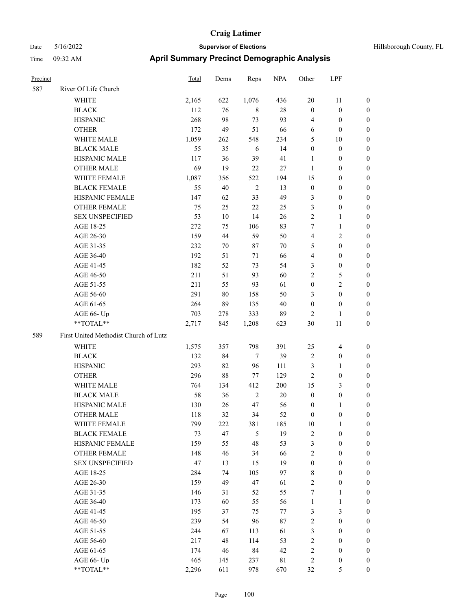| Hillsborough County, FL |  |  |
|-------------------------|--|--|
|-------------------------|--|--|

| Precinct |                                               | Total      | Dems     | Reps           | <b>NPA</b> | Other            | LPF                                  |                                  |
|----------|-----------------------------------------------|------------|----------|----------------|------------|------------------|--------------------------------------|----------------------------------|
| 587      | River Of Life Church                          |            |          |                |            |                  |                                      |                                  |
|          | WHITE                                         | 2,165      | 622      | 1,076          | 436        | 20               | 11                                   | $\boldsymbol{0}$                 |
|          | <b>BLACK</b>                                  | 112        | 76       | 8              | 28         | $\mathbf{0}$     | $\boldsymbol{0}$                     | $\boldsymbol{0}$                 |
|          | <b>HISPANIC</b>                               | 268        | 98       | 73             | 93         | 4                | $\boldsymbol{0}$                     | 0                                |
|          | <b>OTHER</b>                                  | 172        | 49       | 51             | 66         | 6                | $\boldsymbol{0}$                     | 0                                |
|          | WHITE MALE                                    | 1,059      | 262      | 548            | 234        | 5                | 10                                   | $\boldsymbol{0}$                 |
|          | <b>BLACK MALE</b>                             | 55         | 35       | 6              | 14         | $\boldsymbol{0}$ | $\boldsymbol{0}$                     | $\boldsymbol{0}$                 |
|          | HISPANIC MALE                                 | 117        | 36       | 39             | 41         | $\mathbf{1}$     | $\boldsymbol{0}$                     | $\boldsymbol{0}$                 |
|          | <b>OTHER MALE</b>                             | 69         | 19       | 22             | 27         | $\mathbf{1}$     | $\boldsymbol{0}$                     | $\boldsymbol{0}$                 |
|          | WHITE FEMALE                                  | 1,087      | 356      | 522            | 194        | 15               | $\boldsymbol{0}$                     | $\boldsymbol{0}$                 |
|          | <b>BLACK FEMALE</b>                           | 55         | 40       | $\sqrt{2}$     | 13         | $\boldsymbol{0}$ | $\boldsymbol{0}$                     | $\boldsymbol{0}$                 |
|          | HISPANIC FEMALE                               | 147        | 62       | 33             | 49         | 3                | $\boldsymbol{0}$                     | 0                                |
|          | OTHER FEMALE                                  | 75         | 25       | 22             | 25         | 3                | $\boldsymbol{0}$                     | 0                                |
|          | <b>SEX UNSPECIFIED</b>                        | 53         | 10       | 14             | 26         | $\overline{c}$   | $\mathbf{1}$                         | 0                                |
|          | AGE 18-25                                     | 272        | 75       | 106            | 83         | 7                | $\mathbf{1}$                         | 0                                |
|          | AGE 26-30                                     | 159        | 44       | 59             | 50         | 4                | $\sqrt{2}$                           | 0                                |
|          | AGE 31-35                                     | 232        | 70       | 87             | 70         | 5                | $\boldsymbol{0}$                     | $\boldsymbol{0}$                 |
|          | AGE 36-40                                     | 192        | 51       | 71             | 66         | 4                | $\boldsymbol{0}$                     | $\boldsymbol{0}$                 |
|          | AGE 41-45                                     | 182        | 52       | 73             | 54         | 3                | $\boldsymbol{0}$                     | 0                                |
|          | AGE 46-50                                     | 211        | 51       | 93             | 60         | $\overline{c}$   | 5                                    | $\boldsymbol{0}$                 |
|          | AGE 51-55                                     | 211        | 55       | 93             | 61         | $\boldsymbol{0}$ | $\overline{c}$                       | $\boldsymbol{0}$                 |
|          | AGE 56-60                                     | 291        | $80\,$   | 158            | 50         | 3                | $\boldsymbol{0}$                     | 0                                |
|          | AGE 61-65                                     | 264        | 89       | 135            | 40         | $\boldsymbol{0}$ | $\boldsymbol{0}$                     | 0                                |
|          | AGE 66- Up                                    | 703        | 278      | 333            | 89         | 2                | 1                                    | 0                                |
|          | **TOTAL**                                     | 2,717      | 845      | 1,208          | 623        | 30               | 11                                   | $\boldsymbol{0}$                 |
| 589      | First United Methodist Church of Lutz         |            |          |                |            |                  |                                      |                                  |
|          | WHITE                                         | 1,575      | 357      | 798            | 391        | 25               | 4                                    | $\boldsymbol{0}$                 |
|          | <b>BLACK</b>                                  | 132        | 84       | $\tau$         | 39         | $\overline{2}$   | $\boldsymbol{0}$                     | $\boldsymbol{0}$                 |
|          | <b>HISPANIC</b>                               | 293        | 82       | 96             | 111        | 3                | $\mathbf{1}$                         | $\boldsymbol{0}$                 |
|          | <b>OTHER</b>                                  | 296        | 88       | 77             | 129        | $\overline{c}$   | $\boldsymbol{0}$                     | $\boldsymbol{0}$                 |
|          | WHITE MALE                                    | 764        | 134      | 412            | 200        | 15               | $\mathfrak{Z}$                       | $\boldsymbol{0}$                 |
|          | <b>BLACK MALE</b>                             | 58         | 36       | $\overline{2}$ | 20         | $\boldsymbol{0}$ | $\boldsymbol{0}$                     | $\boldsymbol{0}$                 |
|          | HISPANIC MALE                                 | 130        | 26       | 47             | 56         | $\boldsymbol{0}$ | 1                                    | 0                                |
|          | <b>OTHER MALE</b>                             | 118        | 32       | 34             | 52         | $\boldsymbol{0}$ | $\boldsymbol{0}$                     | $\boldsymbol{0}$                 |
|          | WHITE FEMALE                                  | 799        | 222      | 381            | 185        | 10               | $\mathbf{1}$                         | 0                                |
|          | <b>BLACK FEMALE</b>                           | 73         | 47       | 5              | 19         | $\overline{c}$   | $\boldsymbol{0}$                     | 0                                |
|          | HISPANIC FEMALE                               | 159        | 55       | 48             | 53         | 3                | $\boldsymbol{0}$                     | 0                                |
|          | <b>OTHER FEMALE</b><br><b>SEX UNSPECIFIED</b> | 148<br>47  | 46       | 34             | 66<br>19   | $\overline{c}$   | $\boldsymbol{0}$<br>$\boldsymbol{0}$ | $\overline{0}$<br>$\overline{0}$ |
|          |                                               |            | 13<br>74 | 15             |            | $\boldsymbol{0}$ | $\boldsymbol{0}$                     | 0                                |
|          | AGE 18-25                                     | 284        | 49       | 105            | 97         | 8<br>$\sqrt{2}$  |                                      | 0                                |
|          | AGE 26-30<br>AGE 31-35                        | 159<br>146 | 31       | 47<br>52       | 61<br>55   | 7                | $\boldsymbol{0}$<br>$\mathbf{1}$     | $\overline{0}$                   |
|          | AGE 36-40                                     | 173        | 60       | 55             | 56         | $\mathbf{1}$     | $\mathbf{1}$                         | 0                                |
|          | AGE 41-45                                     | 195        | 37       | 75             | 77         | 3                | $\mathfrak{Z}$                       | 0                                |
|          | AGE 46-50                                     | 239        | 54       | 96             | $87\,$     | $\sqrt{2}$       | $\boldsymbol{0}$                     | 0                                |
|          | AGE 51-55                                     | 244        | 67       | 113            | 61         | $\mathfrak{Z}$   | $\boldsymbol{0}$                     | $\boldsymbol{0}$                 |
|          | AGE 56-60                                     | 217        | 48       | 114            | 53         | $\sqrt{2}$       | $\boldsymbol{0}$                     | $\overline{0}$                   |
|          | AGE 61-65                                     | 174        | 46       | 84             | 42         | $\sqrt{2}$       | $\boldsymbol{0}$                     | $\boldsymbol{0}$                 |
|          | AGE 66- Up                                    | 465        | 145      | 237            | 81         | $\overline{c}$   | $\boldsymbol{0}$                     | $\boldsymbol{0}$                 |
|          | $**TOTAL**$                                   | 2,296      | 611      | 978            | 670        | 32               | 5                                    | $\boldsymbol{0}$                 |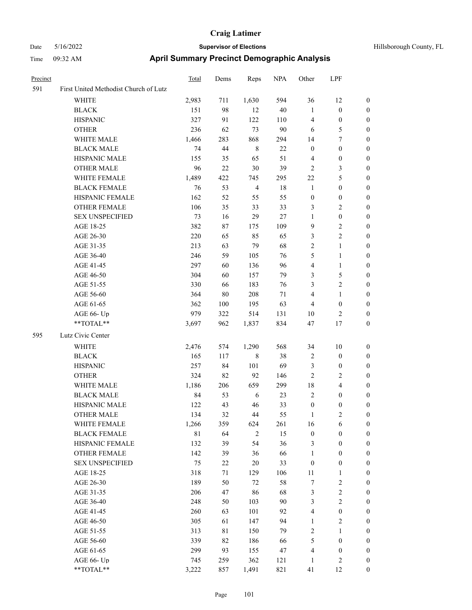| Precinct |                                       | Total       | Dems   | Reps           | <b>NPA</b> | Other            | LPF                     |                  |
|----------|---------------------------------------|-------------|--------|----------------|------------|------------------|-------------------------|------------------|
| 591      | First United Methodist Church of Lutz |             |        |                |            |                  |                         |                  |
|          | WHITE                                 | 2,983       | 711    | 1,630          | 594        | 36               | 12                      | $\boldsymbol{0}$ |
|          | <b>BLACK</b>                          | 151         | 98     | 12             | 40         | $\mathbf{1}$     | $\boldsymbol{0}$        | $\boldsymbol{0}$ |
|          | <b>HISPANIC</b>                       | 327         | 91     | 122            | 110        | $\overline{4}$   | $\boldsymbol{0}$        | 0                |
|          | <b>OTHER</b>                          | 236         | 62     | 73             | 90         | 6                | 5                       | 0                |
|          | WHITE MALE                            | 1,466       | 283    | 868            | 294        | 14               | $\tau$                  | $\boldsymbol{0}$ |
|          | <b>BLACK MALE</b>                     | 74          | 44     | $\,$ 8 $\,$    | $22\,$     | $\boldsymbol{0}$ | $\boldsymbol{0}$        | $\boldsymbol{0}$ |
|          | HISPANIC MALE                         | 155         | 35     | 65             | 51         | $\overline{4}$   | $\boldsymbol{0}$        | $\boldsymbol{0}$ |
|          | <b>OTHER MALE</b>                     | 96          | $22\,$ | 30             | 39         | $\sqrt{2}$       | $\mathfrak{Z}$          | $\boldsymbol{0}$ |
|          | WHITE FEMALE                          | 1,489       | 422    | 745            | 295        | 22               | $\mathfrak{S}$          | $\boldsymbol{0}$ |
|          | <b>BLACK FEMALE</b>                   | 76          | 53     | $\overline{4}$ | $18\,$     | $\mathbf{1}$     | $\boldsymbol{0}$        | $\boldsymbol{0}$ |
|          | HISPANIC FEMALE                       | 162         | 52     | 55             | 55         | $\boldsymbol{0}$ | $\boldsymbol{0}$        | 0                |
|          | OTHER FEMALE                          | 106         | 35     | 33             | 33         | 3                | $\mathfrak{2}$          | 0                |
|          | <b>SEX UNSPECIFIED</b>                | 73          | 16     | 29             | 27         | $\mathbf{1}$     | $\boldsymbol{0}$        | 0                |
|          | AGE 18-25                             | 382         | 87     | 175            | 109        | 9                | $\sqrt{2}$              | 0                |
|          | AGE 26-30                             | 220         | 65     | 85             | 65         | 3                | $\sqrt{2}$              | 0                |
|          | AGE 31-35                             | 213         | 63     | 79             | 68         | $\overline{c}$   | $\mathbf{1}$            | $\boldsymbol{0}$ |
|          | AGE 36-40                             | 246         | 59     | 105            | 76         | 5                | $\mathbf{1}$            | $\boldsymbol{0}$ |
|          | AGE 41-45                             | 297         | 60     | 136            | 96         | 4                | $\mathbf{1}$            | 0                |
|          | AGE 46-50                             | 304         | 60     | 157            | 79         | 3                | $\mathfrak{S}$          | $\boldsymbol{0}$ |
|          | AGE 51-55                             | 330         | 66     | 183            | 76         | 3                | $\overline{c}$          | 0                |
|          | AGE 56-60                             | 364         | $80\,$ | 208            | 71         | 4                | $\mathbf{1}$            | 0                |
|          | AGE 61-65                             | 362         | 100    | 195            | 63         | $\overline{4}$   | $\boldsymbol{0}$        | 0                |
|          | AGE 66- Up                            | 979         | 322    | 514            | 131        | 10               | $\overline{c}$          | 0                |
|          | **TOTAL**                             | 3,697       | 962    | 1,837          | 834        | 47               | 17                      | $\boldsymbol{0}$ |
| 595      | Lutz Civic Center                     |             |        |                |            |                  |                         |                  |
|          | <b>WHITE</b>                          | 2,476       | 574    | 1,290          | 568        | 34               | 10                      | $\boldsymbol{0}$ |
|          | <b>BLACK</b>                          | 165         | 117    | 8              | 38         | $\overline{2}$   | $\boldsymbol{0}$        | $\boldsymbol{0}$ |
|          | <b>HISPANIC</b>                       | 257         | 84     | 101            | 69         | 3                | $\boldsymbol{0}$        | $\boldsymbol{0}$ |
|          | <b>OTHER</b>                          | 324         | 82     | 92             | 146        | $\overline{c}$   | $\mathfrak{2}$          | $\boldsymbol{0}$ |
|          | WHITE MALE                            | 1,186       | 206    | 659            | 299        | 18               | $\overline{\mathbf{4}}$ | 0                |
|          | <b>BLACK MALE</b>                     | 84          | 53     | 6              | 23         | $\overline{c}$   | $\boldsymbol{0}$        | $\boldsymbol{0}$ |
|          | HISPANIC MALE                         | 122         | 43     | 46             | 33         | $\boldsymbol{0}$ | $\boldsymbol{0}$        | 0                |
|          | <b>OTHER MALE</b>                     | 134         | 32     | 44             | 55         | 1                | $\overline{c}$          | $\boldsymbol{0}$ |
|          | WHITE FEMALE                          | 1,266       | 359    | 624            | 261        | 16               | 6                       | 0                |
|          | <b>BLACK FEMALE</b>                   | $8\sqrt{1}$ | 64     | $\overline{2}$ | 15         | $\boldsymbol{0}$ | $\boldsymbol{0}$        | 0                |
|          | HISPANIC FEMALE                       | 132         | 39     | 54             | 36         | 3                | $\boldsymbol{0}$        | $\overline{0}$   |
|          | <b>OTHER FEMALE</b>                   | 142         | 39     | 36             | 66         | $\mathbf{1}$     | $\boldsymbol{0}$        | $\boldsymbol{0}$ |
|          | <b>SEX UNSPECIFIED</b>                | 75          | 22     | 20             | 33         | $\boldsymbol{0}$ | $\boldsymbol{0}$        | $\boldsymbol{0}$ |
|          | AGE 18-25                             | 318         | 71     | 129            | 106        | 11               | $\mathbf{1}$            | 0                |
|          | AGE 26-30                             | 189         | 50     | 72             | 58         | 7                | $\sqrt{2}$              | 0                |
|          | AGE 31-35                             | 206         | 47     | 86             | 68         | 3                | $\sqrt{2}$              | $\overline{0}$   |
|          | AGE 36-40                             | 248         | 50     | 103            | 90         | 3                | $\overline{2}$          | 0                |
|          | AGE 41-45                             | 260         | 63     | 101            | 92         | 4                | $\boldsymbol{0}$        | 0                |
|          | AGE 46-50                             | 305         | 61     | 147            | 94         | $\mathbf{1}$     | $\sqrt{2}$              | 0                |
|          | AGE 51-55                             | 313         | 81     | 150            | 79         | $\sqrt{2}$       | $\mathbf{1}$            | 0                |
|          | AGE 56-60                             | 339         | 82     | 186            | 66         | 5                | $\boldsymbol{0}$        | $\boldsymbol{0}$ |
|          | AGE 61-65                             | 299         | 93     | 155            | 47         | 4                | $\boldsymbol{0}$        | $\boldsymbol{0}$ |
|          | AGE 66- Up                            | 745         | 259    | 362            | 121        | $\mathbf{1}$     | $\sqrt{2}$              | $\boldsymbol{0}$ |
|          | $**TOTAL**$                           | 3,222       | 857    | 1,491          | 821        | 41               | 12                      | $\boldsymbol{0}$ |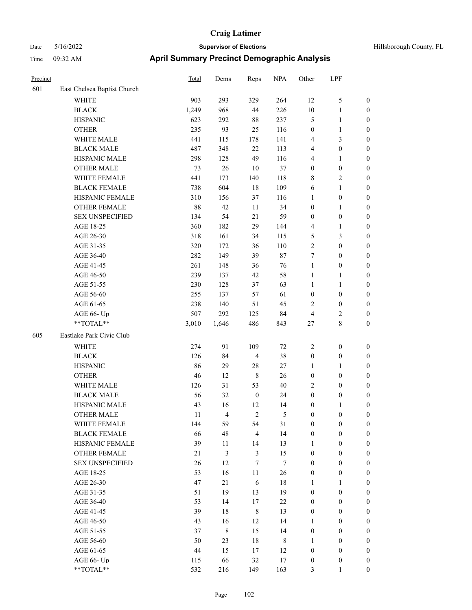| Hillsborough County, FL |  |  |
|-------------------------|--|--|
|-------------------------|--|--|

| Precinct |                             | <b>Total</b> | Dems           | Reps             | <b>NPA</b>       | Other            | LPF              |                  |
|----------|-----------------------------|--------------|----------------|------------------|------------------|------------------|------------------|------------------|
| 601      | East Chelsea Baptist Church |              |                |                  |                  |                  |                  |                  |
|          | WHITE                       | 903          | 293            | 329              | 264              | 12               | $\mathfrak s$    | $\boldsymbol{0}$ |
|          | <b>BLACK</b>                | 1,249        | 968            | 44               | 226              | 10               | $\mathbf{1}$     | 0                |
|          | <b>HISPANIC</b>             | 623          | 292            | 88               | 237              | 5                | $\mathbf{1}$     | 0                |
|          | <b>OTHER</b>                | 235          | 93             | 25               | 116              | $\boldsymbol{0}$ | $\mathbf{1}$     | $\boldsymbol{0}$ |
|          | WHITE MALE                  | 441          | 115            | 178              | 141              | 4                | $\mathfrak{Z}$   | $\boldsymbol{0}$ |
|          | <b>BLACK MALE</b>           | 487          | 348            | $22\,$           | 113              | 4                | $\boldsymbol{0}$ | $\boldsymbol{0}$ |
|          | HISPANIC MALE               | 298          | 128            | 49               | 116              | 4                | $\mathbf{1}$     | $\boldsymbol{0}$ |
|          | <b>OTHER MALE</b>           | 73           | 26             | 10               | 37               | $\boldsymbol{0}$ | $\boldsymbol{0}$ | $\boldsymbol{0}$ |
|          | WHITE FEMALE                | 441          | 173            | 140              | 118              | 8                | $\sqrt{2}$       | $\boldsymbol{0}$ |
|          | <b>BLACK FEMALE</b>         | 738          | 604            | 18               | 109              | 6                | $\mathbf{1}$     | $\boldsymbol{0}$ |
|          | HISPANIC FEMALE             | 310          | 156            | 37               | 116              | 1                | $\boldsymbol{0}$ | $\boldsymbol{0}$ |
|          | OTHER FEMALE                | 88           | 42             | 11               | 34               | $\boldsymbol{0}$ | $\mathbf{1}$     | 0                |
|          | <b>SEX UNSPECIFIED</b>      | 134          | 54             | 21               | 59               | $\boldsymbol{0}$ | $\boldsymbol{0}$ | 0                |
|          | AGE 18-25                   | 360          | 182            | 29               | 144              | 4                | $\mathbf{1}$     | 0                |
|          | AGE 26-30                   | 318          | 161            | 34               | 115              | 5                | 3                | $\boldsymbol{0}$ |
|          | AGE 31-35                   | 320          | 172            | 36               | 110              | $\overline{c}$   | $\boldsymbol{0}$ | $\boldsymbol{0}$ |
|          | AGE 36-40                   | 282          | 149            | 39               | $87\,$           | 7                | $\boldsymbol{0}$ | $\boldsymbol{0}$ |
|          | AGE 41-45                   | 261          | 148            | 36               | 76               | $\mathbf{1}$     | $\boldsymbol{0}$ | $\boldsymbol{0}$ |
|          | AGE 46-50                   | 239          | 137            | 42               | 58               | $\mathbf{1}$     | $\mathbf{1}$     | $\boldsymbol{0}$ |
|          | AGE 51-55                   | 230          | 128            | 37               | 63               | $\mathbf{1}$     | 1                | $\boldsymbol{0}$ |
|          | AGE 56-60                   | 255          | 137            | 57               | 61               | $\boldsymbol{0}$ | $\boldsymbol{0}$ | 0                |
|          | AGE 61-65                   | 238          | 140            | 51               | 45               | $\overline{c}$   | $\boldsymbol{0}$ | 0                |
|          | AGE 66- Up                  | 507          | 292            | 125              | 84               | 4                | $\overline{c}$   | 0                |
|          | **TOTAL**                   | 3,010        | 1,646          | 486              | 843              | 27               | $\,8\,$          | $\boldsymbol{0}$ |
| 605      | Eastlake Park Civic Club    |              |                |                  |                  |                  |                  |                  |
|          | <b>WHITE</b>                | 274          | 91             | 109              | 72               | 2                | $\boldsymbol{0}$ | $\boldsymbol{0}$ |
|          | <b>BLACK</b>                | 126          | 84             | $\overline{4}$   | 38               | $\boldsymbol{0}$ | $\boldsymbol{0}$ | $\boldsymbol{0}$ |
|          | <b>HISPANIC</b>             | 86           | 29             | 28               | 27               | 1                | 1                | $\boldsymbol{0}$ |
|          | <b>OTHER</b>                | 46           | 12             | $\,$ 8 $\,$      | 26               | $\boldsymbol{0}$ | $\boldsymbol{0}$ | $\boldsymbol{0}$ |
|          | WHITE MALE                  | 126          | 31             | 53               | $40\,$           | $\overline{c}$   | $\boldsymbol{0}$ | $\boldsymbol{0}$ |
|          | <b>BLACK MALE</b>           | 56           | 32             | $\boldsymbol{0}$ | 24               | $\boldsymbol{0}$ | $\boldsymbol{0}$ | $\boldsymbol{0}$ |
|          | HISPANIC MALE               | 43           | 16             | 12               | 14               | $\boldsymbol{0}$ | 1                | $\boldsymbol{0}$ |
|          | <b>OTHER MALE</b>           | 11           | $\overline{4}$ | $\overline{c}$   | 5                | $\boldsymbol{0}$ | $\boldsymbol{0}$ | $\boldsymbol{0}$ |
|          | WHITE FEMALE                | 144          | 59             | 54               | 31               | $\boldsymbol{0}$ | $\boldsymbol{0}$ | 0                |
|          | <b>BLACK FEMALE</b>         | 66           | 48             | $\overline{4}$   | 14               | $\boldsymbol{0}$ | $\boldsymbol{0}$ | 0                |
|          | HISPANIC FEMALE             | 39           | 11             | 14               | 13               | $\mathbf{1}$     | $\boldsymbol{0}$ | $\overline{0}$   |
|          | OTHER FEMALE                | 21           | 3              | $\mathfrak{Z}$   | 15               | $\boldsymbol{0}$ | $\boldsymbol{0}$ | $\overline{0}$   |
|          | <b>SEX UNSPECIFIED</b>      | 26           | 12             | $\tau$           | $\boldsymbol{7}$ | $\boldsymbol{0}$ | $\boldsymbol{0}$ | $\overline{0}$   |
|          | AGE 18-25                   | 53           | 16             | 11               | 26               | $\boldsymbol{0}$ | $\boldsymbol{0}$ | 0                |
|          | AGE 26-30                   | 47           | 21             | 6                | $18\,$           | 1                | $\mathbf{1}$     | $\overline{0}$   |
|          | AGE 31-35                   | 51           | 19             | 13               | 19               | $\boldsymbol{0}$ | $\boldsymbol{0}$ | $\overline{0}$   |
|          | AGE 36-40                   | 53           | 14             | $17\,$           | $22\,$           | $\boldsymbol{0}$ | $\boldsymbol{0}$ | $\overline{0}$   |
|          | AGE 41-45                   | 39           | 18             | $\,$ 8 $\,$      | 13               | $\boldsymbol{0}$ | $\boldsymbol{0}$ | $\overline{0}$   |
|          | AGE 46-50                   | 43           | 16             | 12               | 14               | $\mathbf{1}$     | $\boldsymbol{0}$ | 0                |
|          | AGE 51-55                   | 37           | 8              | 15               | 14               | $\boldsymbol{0}$ | $\boldsymbol{0}$ | $\boldsymbol{0}$ |
|          | AGE 56-60                   | 50           | 23             | $18\,$           | $\,$ 8 $\,$      | $\mathbf{1}$     | $\boldsymbol{0}$ | $\overline{0}$   |
|          | AGE 61-65                   | 44           | 15             | 17               | 12               | $\boldsymbol{0}$ | $\boldsymbol{0}$ | $\overline{0}$   |
|          | AGE 66- Up                  | 115          | 66             | 32               | 17               | $\boldsymbol{0}$ | $\boldsymbol{0}$ | $\boldsymbol{0}$ |
|          | $**TOTAL**$                 | 532          | 216            | 149              | 163              | $\mathfrak{Z}$   | $\mathbf{1}$     | $\boldsymbol{0}$ |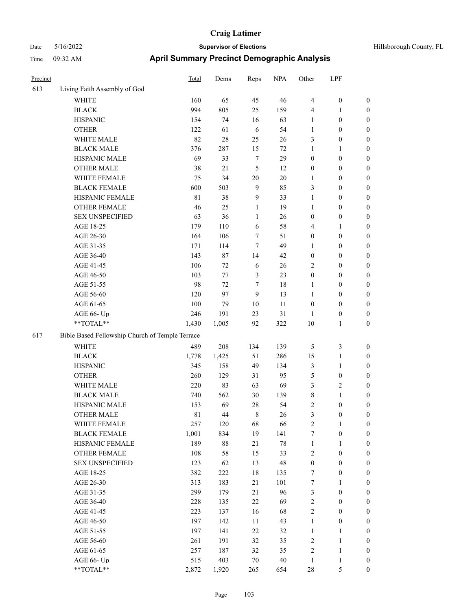| Precinct |                                                 | <b>Total</b> | Dems   | Reps           | <b>NPA</b> | Other            | LPF              |                  |  |  |
|----------|-------------------------------------------------|--------------|--------|----------------|------------|------------------|------------------|------------------|--|--|
| 613      | Living Faith Assembly of God                    |              |        |                |            |                  |                  |                  |  |  |
|          | <b>WHITE</b>                                    | 160          | 65     | 45             | 46         | $\overline{4}$   | $\boldsymbol{0}$ | $\boldsymbol{0}$ |  |  |
|          | <b>BLACK</b>                                    | 994          | 805    | 25             | 159        | $\overline{4}$   | 1                | $\boldsymbol{0}$ |  |  |
|          | <b>HISPANIC</b>                                 | 154          | 74     | 16             | 63         | 1                | $\boldsymbol{0}$ | $\boldsymbol{0}$ |  |  |
|          | <b>OTHER</b>                                    | 122          | 61     | 6              | 54         | $\mathbf{1}$     | $\boldsymbol{0}$ | $\boldsymbol{0}$ |  |  |
|          | WHITE MALE                                      | 82           | 28     | 25             | 26         | 3                | $\boldsymbol{0}$ | $\boldsymbol{0}$ |  |  |
|          | <b>BLACK MALE</b>                               | 376          | 287    | 15             | 72         | $\mathbf{1}$     | 1                | $\boldsymbol{0}$ |  |  |
|          | HISPANIC MALE                                   | 69           | 33     | $\tau$         | 29         | $\boldsymbol{0}$ | $\boldsymbol{0}$ | $\boldsymbol{0}$ |  |  |
|          | <b>OTHER MALE</b>                               | 38           | $21\,$ | 5              | 12         | $\boldsymbol{0}$ | $\boldsymbol{0}$ | $\boldsymbol{0}$ |  |  |
|          | WHITE FEMALE                                    | 75           | 34     | $20\,$         | 20         | $\mathbf{1}$     | $\boldsymbol{0}$ | $\boldsymbol{0}$ |  |  |
|          | <b>BLACK FEMALE</b>                             | 600          | 503    | $\overline{9}$ | 85         | 3                | $\boldsymbol{0}$ | $\boldsymbol{0}$ |  |  |
|          | HISPANIC FEMALE                                 | $8\sqrt{1}$  | 38     | 9              | 33         | $\mathbf{1}$     | $\boldsymbol{0}$ | $\boldsymbol{0}$ |  |  |
|          | <b>OTHER FEMALE</b>                             | 46           | 25     | $\mathbf{1}$   | 19         | $\mathbf{1}$     | $\boldsymbol{0}$ | $\boldsymbol{0}$ |  |  |
|          | <b>SEX UNSPECIFIED</b>                          | 63           | 36     | 1              | 26         | $\boldsymbol{0}$ | $\boldsymbol{0}$ | $\boldsymbol{0}$ |  |  |
|          | AGE 18-25                                       | 179          | 110    | 6              | 58         | $\overline{4}$   | 1                | $\boldsymbol{0}$ |  |  |
|          | AGE 26-30                                       | 164          | 106    | 7              | 51         | $\boldsymbol{0}$ | $\boldsymbol{0}$ | $\boldsymbol{0}$ |  |  |
|          | AGE 31-35                                       | 171          | 114    | $\overline{7}$ | 49         | 1                | $\boldsymbol{0}$ | $\boldsymbol{0}$ |  |  |
|          | AGE 36-40                                       | 143          | $87\,$ | 14             | 42         | $\boldsymbol{0}$ | $\boldsymbol{0}$ | $\boldsymbol{0}$ |  |  |
|          | AGE 41-45                                       | 106          | 72     | 6              | 26         | $\sqrt{2}$       | $\boldsymbol{0}$ | $\boldsymbol{0}$ |  |  |
|          | AGE 46-50                                       | 103          | 77     | 3              | 23         | $\boldsymbol{0}$ | $\boldsymbol{0}$ | $\boldsymbol{0}$ |  |  |
|          | AGE 51-55                                       | 98           | 72     | 7              | 18         | 1                | $\boldsymbol{0}$ | $\boldsymbol{0}$ |  |  |
|          | AGE 56-60                                       | 120          | 97     | 9              | 13         | 1                | $\boldsymbol{0}$ | $\boldsymbol{0}$ |  |  |
|          | AGE 61-65                                       | 100          | 79     | $10\,$         | 11         | $\boldsymbol{0}$ | $\boldsymbol{0}$ | $\boldsymbol{0}$ |  |  |
|          | AGE 66- Up                                      | 246          | 191    | 23             | 31         | $\mathbf{1}$     | $\boldsymbol{0}$ | $\boldsymbol{0}$ |  |  |
|          | **TOTAL**                                       | 1,430        | 1,005  | 92             | 322        | 10               | 1                | $\boldsymbol{0}$ |  |  |
| 617      | Bible Based Fellowship Church of Temple Terrace |              |        |                |            |                  |                  |                  |  |  |
|          | <b>WHITE</b>                                    | 489          | 208    | 134            | 139        | 5                | 3                | $\boldsymbol{0}$ |  |  |
|          | <b>BLACK</b>                                    | 1,778        | 1,425  | 51             | 286        | 15               | 1                | $\boldsymbol{0}$ |  |  |
|          | <b>HISPANIC</b>                                 | 345          | 158    | 49             | 134        | $\mathfrak{Z}$   | 1                | $\boldsymbol{0}$ |  |  |
|          | <b>OTHER</b>                                    | 260          | 129    | 31             | 95         | 5                | $\boldsymbol{0}$ | $\boldsymbol{0}$ |  |  |
|          | WHITE MALE                                      | 220          | 83     | 63             | 69         | 3                | 2                | $\boldsymbol{0}$ |  |  |
|          | <b>BLACK MALE</b>                               | 740          | 562    | 30             | 139        | $\,$ 8 $\,$      | 1                | $\boldsymbol{0}$ |  |  |
|          | HISPANIC MALE                                   | 153          | 69     | $28\,$         | 54         | 2                | $\boldsymbol{0}$ | $\boldsymbol{0}$ |  |  |
|          | <b>OTHER MALE</b>                               | 81           | 44     | $\,8\,$        | 26         | 3                | $\boldsymbol{0}$ | $\boldsymbol{0}$ |  |  |
|          | WHITE FEMALE                                    | 257          | 120    | 68             | 66         | $\sqrt{2}$       | $\mathbf{1}$     | $\boldsymbol{0}$ |  |  |
|          | <b>BLACK FEMALE</b>                             | 1,001        | 834    | 19             | 141        | 7                | $\boldsymbol{0}$ | $\boldsymbol{0}$ |  |  |
|          | HISPANIC FEMALE                                 | 189          | $88\,$ | 21             | $78\,$     | $\mathbf{1}$     | 1                | $\boldsymbol{0}$ |  |  |
|          | OTHER FEMALE                                    | 108          | 58     | 15             | 33         | $\sqrt{2}$       | $\boldsymbol{0}$ | $\boldsymbol{0}$ |  |  |
|          | <b>SEX UNSPECIFIED</b>                          | 123          | 62     | 13             | 48         | $\boldsymbol{0}$ | $\boldsymbol{0}$ | $\boldsymbol{0}$ |  |  |
|          | AGE 18-25                                       | 382          | 222    | 18             | 135        | $\boldsymbol{7}$ | $\boldsymbol{0}$ | $\boldsymbol{0}$ |  |  |
|          | AGE 26-30                                       | 313          | 183    | 21             | 101        | $\boldsymbol{7}$ | 1                | $\boldsymbol{0}$ |  |  |
|          | AGE 31-35                                       | 299          | 179    | 21             | 96         | $\mathfrak{Z}$   | $\boldsymbol{0}$ | $\boldsymbol{0}$ |  |  |
|          | AGE 36-40                                       | 228          | 135    | $22\,$         | 69         | $\sqrt{2}$       | $\boldsymbol{0}$ | $\boldsymbol{0}$ |  |  |
|          | AGE 41-45                                       | 223          | 137    | 16             | 68         | $\sqrt{2}$       | $\boldsymbol{0}$ | $\boldsymbol{0}$ |  |  |
|          | AGE 46-50                                       | 197          | 142    | 11             | 43         | $\mathbf{1}$     | $\boldsymbol{0}$ | $\boldsymbol{0}$ |  |  |
|          | AGE 51-55                                       | 197          | 141    | $22\,$         | 32         | $\mathbf{1}$     | 1                | $\boldsymbol{0}$ |  |  |
|          | AGE 56-60                                       | 261          | 191    | 32             | 35         | $\sqrt{2}$       | $\mathbf{1}$     | $\boldsymbol{0}$ |  |  |
|          | AGE 61-65                                       | 257          | 187    | 32             | 35         | $\sqrt{2}$       | $\mathbf{1}$     | $\boldsymbol{0}$ |  |  |
|          | AGE 66- Up                                      | 515          | 403    | $70\,$         | $40\,$     | $\mathbf{1}$     | 1                | $\boldsymbol{0}$ |  |  |
|          | $**TOTAL**$                                     | 2,872        | 1,920  | 265            | 654        | $28\,$           | 5                | $\mathbf{0}$     |  |  |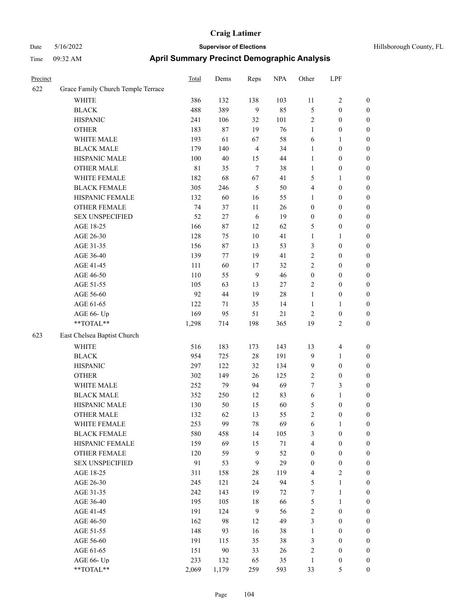| Precinct |                                    | Total       | Dems   | Reps           | <b>NPA</b> | Other            | LPF              |                  |
|----------|------------------------------------|-------------|--------|----------------|------------|------------------|------------------|------------------|
| 622      | Grace Family Church Temple Terrace |             |        |                |            |                  |                  |                  |
|          | <b>WHITE</b>                       | 386         | 132    | 138            | 103        | 11               | 2                | $\boldsymbol{0}$ |
|          | <b>BLACK</b>                       | 488         | 389    | 9              | 85         | $\mathfrak{S}$   | 0                | $\boldsymbol{0}$ |
|          | <b>HISPANIC</b>                    | 241         | 106    | 32             | 101        | $\overline{2}$   | $\boldsymbol{0}$ | $\boldsymbol{0}$ |
|          | <b>OTHER</b>                       | 183         | $87\,$ | 19             | 76         | $\mathbf{1}$     | $\boldsymbol{0}$ | $\boldsymbol{0}$ |
|          | WHITE MALE                         | 193         | 61     | 67             | 58         | 6                | 1                | $\boldsymbol{0}$ |
|          | <b>BLACK MALE</b>                  | 179         | 140    | $\overline{4}$ | 34         | $\mathbf{1}$     | $\boldsymbol{0}$ | $\boldsymbol{0}$ |
|          | HISPANIC MALE                      | 100         | $40\,$ | 15             | 44         | $\mathbf{1}$     | $\boldsymbol{0}$ | $\boldsymbol{0}$ |
|          | <b>OTHER MALE</b>                  | $8\sqrt{1}$ | 35     | $\tau$         | 38         | $\mathbf{1}$     | $\boldsymbol{0}$ | $\boldsymbol{0}$ |
|          | WHITE FEMALE                       | 182         | 68     | 67             | 41         | 5                | 1                | $\boldsymbol{0}$ |
|          | <b>BLACK FEMALE</b>                | 305         | 246    | 5              | 50         | $\overline{4}$   | $\boldsymbol{0}$ | $\boldsymbol{0}$ |
|          | HISPANIC FEMALE                    | 132         | 60     | 16             | 55         | $\mathbf{1}$     | $\boldsymbol{0}$ | $\boldsymbol{0}$ |
|          | <b>OTHER FEMALE</b>                | 74          | 37     | 11             | 26         | $\boldsymbol{0}$ | $\boldsymbol{0}$ | $\boldsymbol{0}$ |
|          | <b>SEX UNSPECIFIED</b>             | 52          | 27     | 6              | 19         | $\boldsymbol{0}$ | $\boldsymbol{0}$ | $\boldsymbol{0}$ |
|          | AGE 18-25                          | 166         | 87     | 12             | 62         | 5                | $\boldsymbol{0}$ | $\boldsymbol{0}$ |
|          | AGE 26-30                          | 128         | 75     | $10\,$         | 41         | $\mathbf{1}$     | 1                | $\boldsymbol{0}$ |
|          | AGE 31-35                          | 156         | 87     | 13             | 53         | $\mathfrak{Z}$   | $\boldsymbol{0}$ | $\boldsymbol{0}$ |
|          | AGE 36-40                          | 139         | 77     | 19             | 41         | $\overline{2}$   | $\boldsymbol{0}$ | $\boldsymbol{0}$ |
|          | AGE 41-45                          | 111         | 60     | 17             | 32         | $\overline{2}$   | $\boldsymbol{0}$ | $\boldsymbol{0}$ |
|          | AGE 46-50                          | 110         | 55     | 9              | 46         | $\boldsymbol{0}$ | $\boldsymbol{0}$ | $\boldsymbol{0}$ |
|          | AGE 51-55                          | 105         | 63     | 13             | $27\,$     | $\sqrt{2}$       | $\boldsymbol{0}$ | $\boldsymbol{0}$ |
|          | AGE 56-60                          | 92          | 44     | 19             | 28         | $\mathbf{1}$     | $\boldsymbol{0}$ | $\boldsymbol{0}$ |
|          | AGE 61-65                          | 122         | 71     | 35             | 14         | 1                | 1                | $\boldsymbol{0}$ |
|          | AGE 66- Up                         | 169         | 95     | 51             | $21\,$     | $\overline{2}$   | $\boldsymbol{0}$ | $\boldsymbol{0}$ |
|          | **TOTAL**                          | 1,298       | 714    | 198            | 365        | 19               | 2                | $\boldsymbol{0}$ |
| 623      | East Chelsea Baptist Church        |             |        |                |            |                  |                  |                  |
|          | WHITE                              | 516         | 183    | 173            | 143        | 13               | 4                | $\boldsymbol{0}$ |
|          | <b>BLACK</b>                       | 954         | 725    | $28\,$         | 191        | $\overline{9}$   | 1                | $\boldsymbol{0}$ |
|          | <b>HISPANIC</b>                    | 297         | 122    | 32             | 134        | $\overline{9}$   | $\boldsymbol{0}$ | $\boldsymbol{0}$ |
|          | <b>OTHER</b>                       | 302         | 149    | 26             | 125        | $\overline{2}$   | $\boldsymbol{0}$ | $\boldsymbol{0}$ |
|          | WHITE MALE                         | 252         | 79     | 94             | 69         | $\tau$           | 3                | $\boldsymbol{0}$ |
|          | <b>BLACK MALE</b>                  | 352         | 250    | 12             | 83         | 6                | 1                | $\boldsymbol{0}$ |
|          | HISPANIC MALE                      | 130         | 50     | 15             | 60         | 5                | $\boldsymbol{0}$ | $\boldsymbol{0}$ |
|          | <b>OTHER MALE</b>                  | 132         | 62     | 13             | 55         | $\overline{c}$   | $\boldsymbol{0}$ | $\boldsymbol{0}$ |
|          | WHITE FEMALE                       | 253         | 99     | $78\,$         | 69         | $\sqrt{6}$       | $\mathbf{1}$     | $\boldsymbol{0}$ |
|          | <b>BLACK FEMALE</b>                | 580         | 458    | 14             | 105        | 3                | $\boldsymbol{0}$ | $\boldsymbol{0}$ |
|          | HISPANIC FEMALE                    | 159         | 69     | 15             | $71\,$     | $\overline{4}$   | $\boldsymbol{0}$ | $\boldsymbol{0}$ |
|          | OTHER FEMALE                       | 120         | 59     | 9              | 52         | $\boldsymbol{0}$ | $\boldsymbol{0}$ | $\boldsymbol{0}$ |
|          | <b>SEX UNSPECIFIED</b>             | 91          | 53     | 9              | 29         | $\boldsymbol{0}$ | $\boldsymbol{0}$ | $\boldsymbol{0}$ |
|          | AGE 18-25                          | 311         | 158    | 28             | 119        | $\overline{4}$   | $\mathbf{2}$     | $\boldsymbol{0}$ |
|          | AGE 26-30                          | 245         | 121    | 24             | 94         | $\sqrt{5}$       | $\mathbf{1}$     | $\boldsymbol{0}$ |
|          | AGE 31-35                          | 242         | 143    | 19             | 72         | $\boldsymbol{7}$ | $\mathbf{1}$     | $\boldsymbol{0}$ |
|          | AGE 36-40                          | 195         | 105    | 18             | 66         | $\sqrt{5}$       | $\mathbf{1}$     | $\boldsymbol{0}$ |
|          | AGE 41-45                          | 191         | 124    | $\mathbf{9}$   | 56         | $\sqrt{2}$       | $\boldsymbol{0}$ | $\boldsymbol{0}$ |
|          | AGE 46-50                          | 162         | 98     | 12             | 49         | $\mathfrak{Z}$   | $\boldsymbol{0}$ | $\boldsymbol{0}$ |
|          | AGE 51-55                          | 148         | 93     | 16             | 38         | $\mathbf{1}$     | $\boldsymbol{0}$ | $\boldsymbol{0}$ |
|          | AGE 56-60                          | 191         | 115    | 35             | 38         | 3                | $\boldsymbol{0}$ | $\boldsymbol{0}$ |
|          | AGE 61-65                          | 151         | $90\,$ | 33             | 26         | $\sqrt{2}$       | $\boldsymbol{0}$ | $\boldsymbol{0}$ |
|          | AGE 66- Up                         | 233         | 132    | 65             | 35         | $\mathbf{1}$     | $\boldsymbol{0}$ | $\boldsymbol{0}$ |
|          | **TOTAL**                          | 2,069       | 1,179  | 259            | 593        | 33               | 5                | $\mathbf{0}$     |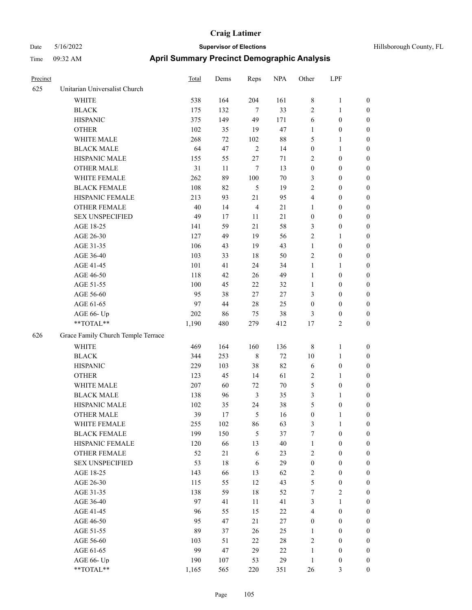| Hillsborough County, FL |  |  |
|-------------------------|--|--|
|-------------------------|--|--|

| Precinct |                                    | Total  | Dems   | Reps           | <b>NPA</b> | Other            | LPF              |                  |
|----------|------------------------------------|--------|--------|----------------|------------|------------------|------------------|------------------|
| 625      | Unitarian Universalist Church      |        |        |                |            |                  |                  |                  |
|          | <b>WHITE</b>                       | 538    | 164    | 204            | 161        | $\,$ 8 $\,$      | $\mathbf{1}$     | $\boldsymbol{0}$ |
|          | <b>BLACK</b>                       | 175    | 132    | 7              | 33         | $\overline{2}$   | $\mathbf{1}$     | $\boldsymbol{0}$ |
|          | <b>HISPANIC</b>                    | 375    | 149    | 49             | 171        | 6                | $\boldsymbol{0}$ | $\boldsymbol{0}$ |
|          | <b>OTHER</b>                       | 102    | 35     | 19             | 47         | $\mathbf{1}$     | $\boldsymbol{0}$ | 0                |
|          | WHITE MALE                         | 268    | $72\,$ | 102            | $88\,$     | 5                | $\mathbf{1}$     | 0                |
|          | <b>BLACK MALE</b>                  | 64     | 47     | $\overline{2}$ | 14         | $\boldsymbol{0}$ | $\mathbf{1}$     | $\boldsymbol{0}$ |
|          | HISPANIC MALE                      | 155    | 55     | $27\,$         | 71         | $\overline{c}$   | $\boldsymbol{0}$ | $\boldsymbol{0}$ |
|          | <b>OTHER MALE</b>                  | 31     | 11     | 7              | 13         | $\boldsymbol{0}$ | $\boldsymbol{0}$ | $\boldsymbol{0}$ |
|          | WHITE FEMALE                       | 262    | 89     | 100            | $70\,$     | 3                | $\boldsymbol{0}$ | $\boldsymbol{0}$ |
|          | <b>BLACK FEMALE</b>                | 108    | 82     | 5              | 19         | $\overline{c}$   | $\boldsymbol{0}$ | $\boldsymbol{0}$ |
|          | HISPANIC FEMALE                    | 213    | 93     | 21             | 95         | 4                | $\boldsymbol{0}$ | $\boldsymbol{0}$ |
|          | <b>OTHER FEMALE</b>                | $40\,$ | 14     | $\overline{4}$ | 21         | $\mathbf{1}$     | $\boldsymbol{0}$ | $\boldsymbol{0}$ |
|          | <b>SEX UNSPECIFIED</b>             | 49     | 17     | $11\,$         | 21         | $\boldsymbol{0}$ | $\boldsymbol{0}$ | $\boldsymbol{0}$ |
|          | AGE 18-25                          | 141    | 59     | 21             | 58         | 3                | $\boldsymbol{0}$ | $\boldsymbol{0}$ |
|          | AGE 26-30                          | 127    | 49     | 19             | 56         | 2                | 1                | 0                |
|          | AGE 31-35                          | 106    | 43     | 19             | 43         | $\mathbf{1}$     | $\boldsymbol{0}$ | 0                |
|          | AGE 36-40                          | 103    | 33     | $18\,$         | 50         | 2                | $\boldsymbol{0}$ | $\boldsymbol{0}$ |
|          | AGE 41-45                          | 101    | 41     | 24             | 34         | $\mathbf{1}$     | 1                | $\boldsymbol{0}$ |
|          | AGE 46-50                          | 118    | 42     | 26             | 49         | $\mathbf{1}$     | $\boldsymbol{0}$ | $\boldsymbol{0}$ |
|          | AGE 51-55                          | 100    | 45     | 22             | 32         | $\mathbf{1}$     | $\boldsymbol{0}$ | $\boldsymbol{0}$ |
|          | AGE 56-60                          | 95     | 38     | 27             | 27         | 3                | $\boldsymbol{0}$ | $\boldsymbol{0}$ |
|          | AGE 61-65                          | 97     | 44     | 28             | 25         | $\boldsymbol{0}$ | $\boldsymbol{0}$ | $\boldsymbol{0}$ |
|          | AGE 66- Up                         | 202    | 86     | 75             | $38\,$     | 3                | $\boldsymbol{0}$ | 0                |
|          | **TOTAL**                          | 1,190  | 480    | 279            | 412        | 17               | $\mathfrak{2}$   | $\boldsymbol{0}$ |
| 626      | Grace Family Church Temple Terrace |        |        |                |            |                  |                  |                  |
|          | WHITE                              | 469    | 164    | 160            | 136        | $\,$ 8 $\,$      | $\mathbf{1}$     | $\boldsymbol{0}$ |
|          | <b>BLACK</b>                       | 344    | 253    | $\,$ 8 $\,$    | $72\,$     | $10\,$           | $\mathbf{1}$     | 0                |
|          | <b>HISPANIC</b>                    | 229    | 103    | 38             | 82         | 6                | $\boldsymbol{0}$ | 0                |
|          | <b>OTHER</b>                       | 123    | 45     | 14             | 61         | 2                | 1                | 0                |
|          | WHITE MALE                         | 207    | 60     | 72             | $70\,$     | 5                | $\boldsymbol{0}$ | $\boldsymbol{0}$ |
|          | <b>BLACK MALE</b>                  | 138    | 96     | $\mathfrak{Z}$ | 35         | 3                | 1                | $\boldsymbol{0}$ |
|          | HISPANIC MALE                      | 102    | 35     | 24             | 38         | 5                | $\boldsymbol{0}$ | $\boldsymbol{0}$ |
|          | <b>OTHER MALE</b>                  | 39     | 17     | 5              | 16         | $\boldsymbol{0}$ | $\mathbf{1}$     | $\boldsymbol{0}$ |
|          | WHITE FEMALE                       | 255    | 102    | 86             | 63         | 3                | $\mathbf{1}$     | $\overline{0}$   |
|          | <b>BLACK FEMALE</b>                | 199    | 150    | 5              | 37         | 7                | $\boldsymbol{0}$ | 0                |
|          | HISPANIC FEMALE                    | 120    | 66     | 13             | $40\,$     | $\mathbf{1}$     | $\boldsymbol{0}$ | 0                |
|          | <b>OTHER FEMALE</b>                | 52     | 21     | $\sqrt{6}$     | 23         | 2                | $\boldsymbol{0}$ | 0                |
|          | <b>SEX UNSPECIFIED</b>             | 53     | 18     | 6              | 29         | $\boldsymbol{0}$ | $\boldsymbol{0}$ | 0                |
|          | AGE 18-25                          | 143    | 66     | 13             | 62         | 2                | $\boldsymbol{0}$ | $\overline{0}$   |
|          | AGE 26-30                          | 115    | 55     | 12             | 43         | 5                | $\boldsymbol{0}$ | $\boldsymbol{0}$ |
|          | AGE 31-35                          | 138    | 59     | $18\,$         | 52         | 7                | $\sqrt{2}$       | $\boldsymbol{0}$ |
|          | AGE 36-40                          | 97     | 41     | 11             | 41         | 3                | $\mathbf{1}$     | $\overline{0}$   |
|          | AGE 41-45                          | 96     | 55     | 15             | $22\,$     | 4                | $\boldsymbol{0}$ | $\boldsymbol{0}$ |
|          | AGE 46-50                          | 95     | 47     | 21             | 27         | $\boldsymbol{0}$ | $\boldsymbol{0}$ | $\overline{0}$   |
|          | AGE 51-55                          | 89     | 37     | 26             | 25         | $\mathbf{1}$     | $\boldsymbol{0}$ | $\overline{0}$   |
|          | AGE 56-60                          | 103    | 51     | $22\,$         | $28\,$     | 2                | $\boldsymbol{0}$ | $\boldsymbol{0}$ |
|          | AGE 61-65                          | 99     | 47     | 29             | $22\,$     | $\mathbf{1}$     | $\boldsymbol{0}$ | 0                |
|          | AGE 66- Up                         | 190    | 107    | 53             | 29         | $\mathbf{1}$     | $\boldsymbol{0}$ | 0                |
|          | **TOTAL**                          | 1,165  | 565    | 220            | 351        | 26               | $\mathfrak{Z}$   | $\boldsymbol{0}$ |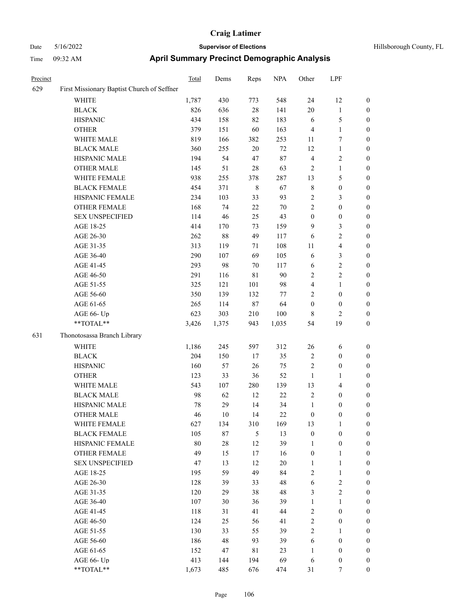| Precinct |                                            | Total | Dems   | Reps           | <b>NPA</b> | Other            | LPF                     |                  |
|----------|--------------------------------------------|-------|--------|----------------|------------|------------------|-------------------------|------------------|
| 629      | First Missionary Baptist Church of Seffner |       |        |                |            |                  |                         |                  |
|          | <b>WHITE</b>                               | 1,787 | 430    | 773            | 548        | 24               | 12                      | $\boldsymbol{0}$ |
|          | <b>BLACK</b>                               | 826   | 636    | $28\,$         | 141        | 20               | $\mathbf{1}$            | $\boldsymbol{0}$ |
|          | <b>HISPANIC</b>                            | 434   | 158    | 82             | 183        | 6                | 5                       | $\boldsymbol{0}$ |
|          | <b>OTHER</b>                               | 379   | 151    | 60             | 163        | $\overline{4}$   | $\mathbf{1}$            | $\boldsymbol{0}$ |
|          | WHITE MALE                                 | 819   | 166    | 382            | 253        | 11               | 7                       | $\boldsymbol{0}$ |
|          | <b>BLACK MALE</b>                          | 360   | 255    | $20\,$         | 72         | 12               | $\mathbf{1}$            | $\boldsymbol{0}$ |
|          | HISPANIC MALE                              | 194   | 54     | 47             | $87\,$     | $\overline{4}$   | $\overline{\mathbf{c}}$ | $\boldsymbol{0}$ |
|          | <b>OTHER MALE</b>                          | 145   | 51     | $28\,$         | 63         | $\sqrt{2}$       | $\mathbf{1}$            | $\boldsymbol{0}$ |
|          | WHITE FEMALE                               | 938   | 255    | 378            | 287        | 13               | 5                       | $\boldsymbol{0}$ |
|          | <b>BLACK FEMALE</b>                        | 454   | 371    | $\,$ 8 $\,$    | 67         | $\,$ 8 $\,$      | $\boldsymbol{0}$        | $\boldsymbol{0}$ |
|          | HISPANIC FEMALE                            | 234   | 103    | 33             | 93         | $\overline{2}$   | 3                       | $\boldsymbol{0}$ |
|          | <b>OTHER FEMALE</b>                        | 168   | 74     | $22\,$         | $70\,$     | $\sqrt{2}$       | $\boldsymbol{0}$        | $\boldsymbol{0}$ |
|          | <b>SEX UNSPECIFIED</b>                     | 114   | 46     | 25             | 43         | $\boldsymbol{0}$ | $\boldsymbol{0}$        | $\boldsymbol{0}$ |
|          | AGE 18-25                                  | 414   | 170    | 73             | 159        | 9                | 3                       | $\boldsymbol{0}$ |
|          | AGE 26-30                                  | 262   | $88\,$ | 49             | 117        | 6                | $\overline{c}$          | $\boldsymbol{0}$ |
|          | AGE 31-35                                  | 313   | 119    | 71             | 108        | 11               | 4                       | $\boldsymbol{0}$ |
|          | AGE 36-40                                  | 290   | 107    | 69             | 105        | 6                | 3                       | $\boldsymbol{0}$ |
|          | AGE 41-45                                  | 293   | 98     | 70             | 117        | 6                | 2                       | $\boldsymbol{0}$ |
|          | AGE 46-50                                  | 291   | 116    | 81             | $90\,$     | $\sqrt{2}$       | 2                       | $\boldsymbol{0}$ |
|          | AGE 51-55                                  | 325   | 121    | 101            | 98         | $\overline{4}$   | $\mathbf{1}$            | $\boldsymbol{0}$ |
|          | AGE 56-60                                  | 350   | 139    | 132            | $77 \,$    | $\overline{2}$   | $\boldsymbol{0}$        | $\boldsymbol{0}$ |
|          | AGE 61-65                                  | 265   | 114    | 87             | 64         | $\boldsymbol{0}$ | $\boldsymbol{0}$        | $\boldsymbol{0}$ |
|          | AGE 66- Up                                 | 623   | 303    | 210            | 100        | $\,8\,$          | 2                       | $\boldsymbol{0}$ |
|          | **TOTAL**                                  | 3,426 | 1,375  | 943            | 1,035      | 54               | 19                      | $\boldsymbol{0}$ |
| 631      | Thonotosassa Branch Library                |       |        |                |            |                  |                         |                  |
|          | <b>WHITE</b>                               | 1,186 | 245    | 597            | 312        | 26               | 6                       | $\boldsymbol{0}$ |
|          | <b>BLACK</b>                               | 204   | 150    | 17             | 35         | $\sqrt{2}$       | $\boldsymbol{0}$        | $\boldsymbol{0}$ |
|          | <b>HISPANIC</b>                            | 160   | 57     | 26             | 75         | $\sqrt{2}$       | 0                       | $\boldsymbol{0}$ |
|          | <b>OTHER</b>                               | 123   | 33     | 36             | 52         | $\mathbf{1}$     | 1                       | $\boldsymbol{0}$ |
|          | WHITE MALE                                 | 543   | 107    | 280            | 139        | 13               | 4                       | $\boldsymbol{0}$ |
|          | <b>BLACK MALE</b>                          | 98    | 62     | 12             | 22         | $\sqrt{2}$       | $\boldsymbol{0}$        | $\boldsymbol{0}$ |
|          | HISPANIC MALE                              | 78    | 29     | 14             | 34         | $\mathbf{1}$     | 0                       | $\boldsymbol{0}$ |
|          | <b>OTHER MALE</b>                          | 46    | $10\,$ | 14             | 22         | $\boldsymbol{0}$ | 0                       | $\boldsymbol{0}$ |
|          | WHITE FEMALE                               | 627   | 134    | 310            | 169        | 13               | $\mathbf{1}$            | $\boldsymbol{0}$ |
|          | <b>BLACK FEMALE</b>                        | 105   | $87\,$ | $\mathfrak{H}$ | 13         | $\boldsymbol{0}$ | $\boldsymbol{0}$        | $\boldsymbol{0}$ |
|          | HISPANIC FEMALE                            | 80    | 28     | 12             | 39         | $\mathbf{1}$     | $\boldsymbol{0}$        | $\boldsymbol{0}$ |
|          | <b>OTHER FEMALE</b>                        | 49    | 15     | 17             | 16         | $\boldsymbol{0}$ | 1                       | $\boldsymbol{0}$ |
|          | <b>SEX UNSPECIFIED</b>                     | 47    | 13     | 12             | 20         | $\mathbf{1}$     | $\mathbf{1}$            | $\boldsymbol{0}$ |
|          | AGE 18-25                                  | 195   | 59     | 49             | 84         | $\sqrt{2}$       | $\mathbf{1}$            | $\boldsymbol{0}$ |
|          | AGE 26-30                                  | 128   | 39     | 33             | 48         | 6                | $\sqrt{2}$              | $\boldsymbol{0}$ |
|          | AGE 31-35                                  | 120   | 29     | 38             | 48         | $\mathfrak{Z}$   | $\sqrt{2}$              | $\boldsymbol{0}$ |
|          | AGE 36-40                                  | 107   | 30     | 36             | 39         | $\mathbf{1}$     | $\mathbf{1}$            | $\boldsymbol{0}$ |
|          | AGE 41-45                                  | 118   | 31     | 41             | 44         | $\sqrt{2}$       | $\boldsymbol{0}$        | $\boldsymbol{0}$ |
|          | AGE 46-50                                  | 124   | 25     | 56             | 41         | $\sqrt{2}$       | $\boldsymbol{0}$        | $\boldsymbol{0}$ |
|          | AGE 51-55                                  | 130   | 33     | 55             | 39         | $\sqrt{2}$       | 1                       | $\boldsymbol{0}$ |
|          | AGE 56-60                                  | 186   | 48     | 93             | 39         | 6                | $\boldsymbol{0}$        | $\boldsymbol{0}$ |
|          | AGE 61-65                                  | 152   | 47     | $8\sqrt{1}$    | 23         | $\mathbf{1}$     | $\boldsymbol{0}$        | $\boldsymbol{0}$ |
|          | AGE 66- Up                                 | 413   | 144    | 194            | 69         | 6                | $\boldsymbol{0}$        | $\bf{0}$         |
|          | **TOTAL**                                  | 1.673 | 485    | 676            | 474        | 31               | 7                       | $\overline{0}$   |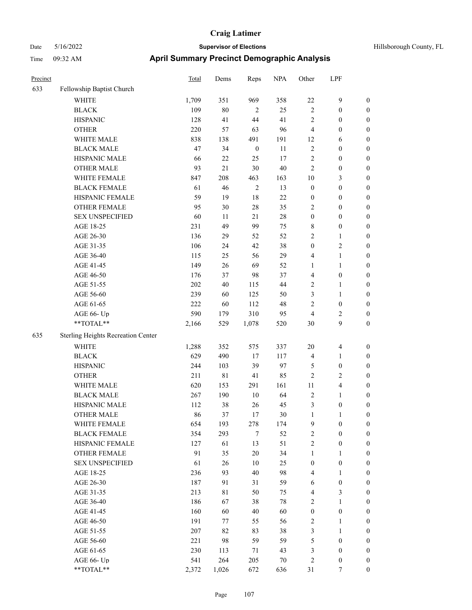| Hillsborough County, FL |  |  |
|-------------------------|--|--|
|-------------------------|--|--|

| Precinct |                                    | <b>Total</b> | Dems        | Reps             | <b>NPA</b> | Other              | LPF                          |                  |
|----------|------------------------------------|--------------|-------------|------------------|------------|--------------------|------------------------------|------------------|
| 633      | Fellowship Baptist Church          |              |             |                  |            |                    |                              |                  |
|          | WHITE                              | 1,709        | 351         | 969              | 358        | 22                 | $\mathbf{9}$                 | $\boldsymbol{0}$ |
|          | <b>BLACK</b>                       | 109          | $80\,$      | $\overline{2}$   | 25         | $\sqrt{2}$         | $\boldsymbol{0}$             | $\boldsymbol{0}$ |
|          | <b>HISPANIC</b>                    | 128          | 41          | $44\,$           | 41         | $\overline{c}$     | $\boldsymbol{0}$             | 0                |
|          | <b>OTHER</b>                       | 220          | 57          | 63               | 96         | $\overline{4}$     | $\boldsymbol{0}$             | 0                |
|          | WHITE MALE                         | 838          | 138         | 491              | 191        | 12                 | 6                            | $\boldsymbol{0}$ |
|          | <b>BLACK MALE</b>                  | 47           | 34          | $\boldsymbol{0}$ | 11         | $\overline{c}$     | $\boldsymbol{0}$             | $\boldsymbol{0}$ |
|          | HISPANIC MALE                      | 66           | 22          | 25               | 17         | $\overline{c}$     | $\boldsymbol{0}$             | $\boldsymbol{0}$ |
|          | <b>OTHER MALE</b>                  | 93           | 21          | $30\,$           | 40         | $\sqrt{2}$         | $\boldsymbol{0}$             | $\boldsymbol{0}$ |
|          | WHITE FEMALE                       | 847          | 208         | 463              | 163        | 10                 | $\mathfrak{Z}$               | $\boldsymbol{0}$ |
|          | <b>BLACK FEMALE</b>                | 61           | 46          | $\sqrt{2}$       | 13         | $\boldsymbol{0}$   | $\boldsymbol{0}$             | $\boldsymbol{0}$ |
|          | HISPANIC FEMALE                    | 59           | 19          | 18               | $22\,$     | $\boldsymbol{0}$   | $\boldsymbol{0}$             | $\boldsymbol{0}$ |
|          | <b>OTHER FEMALE</b>                | 95           | 30          | 28               | 35         | 2                  | $\boldsymbol{0}$             | $\boldsymbol{0}$ |
|          | <b>SEX UNSPECIFIED</b>             | 60           | 11          | 21               | $28\,$     | $\boldsymbol{0}$   | $\boldsymbol{0}$             | 0                |
|          | AGE 18-25                          | 231          | 49          | 99               | 75         | 8                  | $\boldsymbol{0}$             | 0                |
|          | AGE 26-30                          | 136          | 29          | 52               | 52         | $\mathfrak{2}$     | $\mathbf{1}$                 | 0                |
|          | AGE 31-35                          | 106          | 24          | 42               | 38         | $\boldsymbol{0}$   | $\sqrt{2}$                   | $\boldsymbol{0}$ |
|          | AGE 36-40                          | 115          | 25          | 56               | 29         | 4                  | $\mathbf{1}$                 | $\boldsymbol{0}$ |
|          | AGE 41-45                          | 149          | 26          | 69               | 52         | $\mathbf{1}$       | $\mathbf{1}$                 | $\boldsymbol{0}$ |
|          | AGE 46-50                          | 176          | 37          | 98               | 37         | 4                  | $\boldsymbol{0}$             | $\boldsymbol{0}$ |
|          | AGE 51-55                          | $202\,$      | 40          | 115              | $44\,$     | $\mathbf{2}$       | $\mathbf{1}$                 | $\boldsymbol{0}$ |
|          | AGE 56-60                          | 239          | 60          | 125              | 50         | 3                  | $\mathbf{1}$                 | 0                |
|          | AGE 61-65                          | 222          | 60          | 112              | 48         | $\overline{c}$     | $\boldsymbol{0}$             | 0                |
|          | AGE 66- Up                         | 590          | 179         | 310              | 95         | $\overline{4}$     | $\overline{c}$               | 0                |
|          | $**TOTAL**$                        | 2,166        | 529         | 1,078            | 520        | 30                 | 9                            | $\boldsymbol{0}$ |
| 635      | Sterling Heights Recreation Center |              |             |                  |            |                    |                              |                  |
|          | <b>WHITE</b>                       | 1,288        | 352         | 575              | 337        | 20                 | 4                            | 0                |
|          | <b>BLACK</b>                       | 629          | 490         | 17               | 117        | $\overline{4}$     | $\mathbf{1}$                 | $\boldsymbol{0}$ |
|          | <b>HISPANIC</b>                    | 244          | 103         | 39               | 97         | 5                  | $\boldsymbol{0}$             | 0                |
|          | <b>OTHER</b>                       | 211          | $8\sqrt{1}$ | 41               | 85         | $\overline{c}$     | $\sqrt{2}$                   | $\boldsymbol{0}$ |
|          | WHITE MALE                         | 620          | 153         | 291              | 161        | 11                 | $\overline{\mathbf{4}}$      | $\boldsymbol{0}$ |
|          | <b>BLACK MALE</b>                  | 267          | 190         | 10               | 64         | $\overline{c}$     | $\mathbf{1}$                 | $\boldsymbol{0}$ |
|          | HISPANIC MALE                      | 112          | 38          | 26               | 45         | $\mathfrak{Z}$     | $\boldsymbol{0}$             | 0                |
|          | <b>OTHER MALE</b>                  | 86           | 37          | 17               | 30         | $\mathbf{1}$       | 1                            | $\boldsymbol{0}$ |
|          | WHITE FEMALE                       | 654          | 193         | 278              | 174        | 9                  | $\boldsymbol{0}$             | 0                |
|          | <b>BLACK FEMALE</b>                | 354          | 293         | $\tau$           | 52         | $\overline{c}$     | $\boldsymbol{0}$             | 0                |
|          | HISPANIC FEMALE                    | 127          | 61          | 13               | 51         | $\sqrt{2}$         | $\boldsymbol{0}$             | 0                |
|          | <b>OTHER FEMALE</b>                | 91           | 35          | $20\,$           | 34         | $\mathbf{1}$       | $\mathbf{1}$                 | 0                |
|          | <b>SEX UNSPECIFIED</b>             | 61           | 26          | $10\,$           | 25         | $\boldsymbol{0}$   | $\boldsymbol{0}$             | $\overline{0}$   |
|          | AGE 18-25                          | 236          | 93          | 40               | 98         | 4                  | $\mathbf{1}$                 | 0                |
|          | AGE 26-30                          | 187          | 91          | 31               | 59         | 6                  | $\boldsymbol{0}$             | 0                |
|          | AGE 31-35                          | 213          | 81          | 50               | 75         | 4                  | $\mathfrak{Z}$               | 0                |
|          | AGE 36-40                          | 186          | 67          | 38               | 78         | $\sqrt{2}$         | $\mathbf{1}$                 | 0                |
|          | AGE 41-45                          | 160          | 60          | 40               | 60         | $\boldsymbol{0}$   | $\boldsymbol{0}$             | 0                |
|          |                                    | 191          |             |                  | 56         | $\sqrt{2}$         |                              |                  |
|          | AGE 46-50<br>AGE 51-55             | 207          | 77          | 55<br>83         | 38         |                    | $\mathbf{1}$<br>$\mathbf{1}$ | 0                |
|          | AGE 56-60                          | 221          | 82<br>98    | 59               | 59         | 3<br>$\mathfrak s$ | $\boldsymbol{0}$             | 0<br>0           |
|          | AGE 61-65                          | 230          | 113         | 71               | 43         | 3                  | $\boldsymbol{0}$             | $\overline{0}$   |
|          | AGE 66- Up                         | 541          | 264         | 205              | 70         | $\overline{c}$     | $\boldsymbol{0}$             | 0                |
|          | $**TOTAL**$                        | 2,372        | 1,026       | 672              | 636        | 31                 | $\tau$                       | $\boldsymbol{0}$ |
|          |                                    |              |             |                  |            |                    |                              |                  |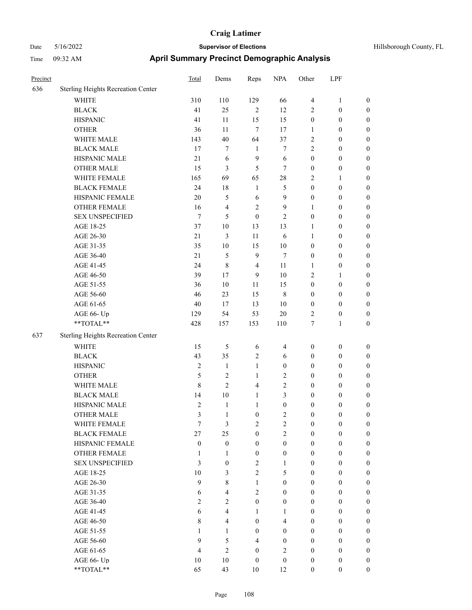| Hillsborough County, F |  |
|------------------------|--|

| Precinct |                                    | Total            | Dems                    | Reps             | <b>NPA</b>              | Other                   | LPF              |                  |
|----------|------------------------------------|------------------|-------------------------|------------------|-------------------------|-------------------------|------------------|------------------|
| 636      | Sterling Heights Recreation Center |                  |                         |                  |                         |                         |                  |                  |
|          | WHITE                              | 310              | 110                     | 129              | 66                      | $\overline{\mathbf{4}}$ | $\mathbf{1}$     | $\boldsymbol{0}$ |
|          | <b>BLACK</b>                       | 41               | 25                      | $\sqrt{2}$       | 12                      | 2                       | $\boldsymbol{0}$ | $\boldsymbol{0}$ |
|          | <b>HISPANIC</b>                    | 41               | 11                      | 15               | 15                      | $\boldsymbol{0}$        | $\boldsymbol{0}$ | 0                |
|          | <b>OTHER</b>                       | 36               | 11                      | $\tau$           | 17                      | $\mathbf{1}$            | $\boldsymbol{0}$ | 0                |
|          | WHITE MALE                         | 143              | 40                      | 64               | 37                      | 2                       | $\boldsymbol{0}$ | $\boldsymbol{0}$ |
|          | <b>BLACK MALE</b>                  | 17               | 7                       | $\mathbf{1}$     | 7                       | 2                       | $\boldsymbol{0}$ | $\boldsymbol{0}$ |
|          | HISPANIC MALE                      | $21\,$           | 6                       | $\overline{9}$   | 6                       | $\boldsymbol{0}$        | $\boldsymbol{0}$ | $\boldsymbol{0}$ |
|          | OTHER MALE                         | 15               | 3                       | 5                | $\tau$                  | $\boldsymbol{0}$        | $\boldsymbol{0}$ | $\boldsymbol{0}$ |
|          | WHITE FEMALE                       | 165              | 69                      | 65               | $28\,$                  | 2                       | $\mathbf{1}$     | $\boldsymbol{0}$ |
|          | <b>BLACK FEMALE</b>                | 24               | 18                      | $\mathbf{1}$     | $\mathfrak s$           | $\boldsymbol{0}$        | $\boldsymbol{0}$ | $\boldsymbol{0}$ |
|          | HISPANIC FEMALE                    | 20               | 5                       | 6                | $\mathbf{9}$            | $\boldsymbol{0}$        | $\boldsymbol{0}$ | 0                |
|          | OTHER FEMALE                       | 16               | $\overline{\mathbf{4}}$ | $\sqrt{2}$       | $\mathbf{9}$            | 1                       | $\boldsymbol{0}$ | 0                |
|          | <b>SEX UNSPECIFIED</b>             | $\boldsymbol{7}$ | 5                       | $\mathbf{0}$     | $\mathfrak{2}$          | $\boldsymbol{0}$        | $\boldsymbol{0}$ | 0                |
|          | AGE 18-25                          | 37               | 10                      | 13               | 13                      | $\mathbf{1}$            | $\boldsymbol{0}$ | 0                |
|          | AGE 26-30                          | 21               | 3                       | 11               | 6                       | $\mathbf{1}$            | $\boldsymbol{0}$ | $\boldsymbol{0}$ |
|          | AGE 31-35                          | 35               | 10                      | 15               | $10\,$                  | $\boldsymbol{0}$        | $\boldsymbol{0}$ | $\boldsymbol{0}$ |
|          | AGE 36-40                          | $21\,$           | 5                       | $\mathbf{9}$     | $\tau$                  | $\boldsymbol{0}$        | $\boldsymbol{0}$ | $\boldsymbol{0}$ |
|          | AGE 41-45                          | 24               | $\,8\,$                 | $\overline{4}$   | 11                      | 1                       | $\boldsymbol{0}$ | $\boldsymbol{0}$ |
|          | AGE 46-50                          | 39               | 17                      | 9                | $10\,$                  | 2                       | $\mathbf{1}$     | $\boldsymbol{0}$ |
|          | AGE 51-55                          | 36               | 10                      | 11               | 15                      | $\boldsymbol{0}$        | $\boldsymbol{0}$ | $\boldsymbol{0}$ |
|          | AGE 56-60                          | 46               | 23                      | 15               | $\,$ 8 $\,$             | $\boldsymbol{0}$        | $\boldsymbol{0}$ | 0                |
|          | AGE 61-65                          | 40               | 17                      | 13               | $10\,$                  | $\boldsymbol{0}$        | $\boldsymbol{0}$ | 0                |
|          | AGE 66- Up                         | 129              | 54                      | 53               | $20\,$                  | $\overline{2}$          | $\boldsymbol{0}$ | 0                |
|          | **TOTAL**                          | 428              | 157                     | 153              | 110                     | $\tau$                  | $\mathbf{1}$     | $\boldsymbol{0}$ |
| 637      | Sterling Heights Recreation Center |                  |                         |                  |                         |                         |                  |                  |
|          | <b>WHITE</b>                       | 15               | 5                       | 6                | 4                       | $\boldsymbol{0}$        | $\boldsymbol{0}$ | 0                |
|          | <b>BLACK</b>                       | 43               | 35                      | $\sqrt{2}$       | 6                       | $\boldsymbol{0}$        | $\boldsymbol{0}$ | $\boldsymbol{0}$ |
|          | <b>HISPANIC</b>                    | $\overline{2}$   | $\mathbf{1}$            | $\mathbf{1}$     | $\boldsymbol{0}$        | $\boldsymbol{0}$        | $\boldsymbol{0}$ | $\boldsymbol{0}$ |
|          | <b>OTHER</b>                       | 5                | 2                       | $\mathbf{1}$     | $\sqrt{2}$              | $\boldsymbol{0}$        | $\boldsymbol{0}$ | $\boldsymbol{0}$ |
|          | WHITE MALE                         | 8                | $\overline{2}$          | $\overline{4}$   | $\sqrt{2}$              | $\boldsymbol{0}$        | $\boldsymbol{0}$ | $\boldsymbol{0}$ |
|          | <b>BLACK MALE</b>                  | 14               | $10\,$                  | $\mathbf{1}$     | 3                       | $\boldsymbol{0}$        | $\boldsymbol{0}$ | $\boldsymbol{0}$ |
|          | HISPANIC MALE                      | $\mathfrak{2}$   | $\mathbf{1}$            | $\mathbf{1}$     | $\boldsymbol{0}$        | $\boldsymbol{0}$        | $\boldsymbol{0}$ | $\boldsymbol{0}$ |
|          | <b>OTHER MALE</b>                  | 3                | 1                       | $\boldsymbol{0}$ | $\overline{2}$          | $\boldsymbol{0}$        | $\boldsymbol{0}$ | $\boldsymbol{0}$ |
|          | WHITE FEMALE                       | 7                | $\mathfrak{Z}$          | $\sqrt{2}$       | $\sqrt{2}$              | $\boldsymbol{0}$        | $\boldsymbol{0}$ | 0                |
|          | <b>BLACK FEMALE</b>                | 27               | 25                      | $\boldsymbol{0}$ | $\overline{2}$          | $\boldsymbol{0}$        | $\boldsymbol{0}$ | 0                |
|          | HISPANIC FEMALE                    | $\boldsymbol{0}$ | $\boldsymbol{0}$        | $\boldsymbol{0}$ | $\boldsymbol{0}$        | $\boldsymbol{0}$        | $\boldsymbol{0}$ | 0                |
|          | <b>OTHER FEMALE</b>                | 1                | $\mathbf{1}$            | $\boldsymbol{0}$ | $\boldsymbol{0}$        | $\boldsymbol{0}$        | $\boldsymbol{0}$ | $\overline{0}$   |
|          | <b>SEX UNSPECIFIED</b>             | 3                | $\boldsymbol{0}$        | $\overline{2}$   | $\mathbf{1}$            | $\boldsymbol{0}$        | $\boldsymbol{0}$ | $\overline{0}$   |
|          | AGE 18-25                          | 10               | 3                       | $\sqrt{2}$       | 5                       | $\boldsymbol{0}$        | $\boldsymbol{0}$ | $\overline{0}$   |
|          | AGE 26-30                          | 9                | 8                       | $\mathbf{1}$     | $\boldsymbol{0}$        | $\boldsymbol{0}$        | $\boldsymbol{0}$ | $\overline{0}$   |
|          | AGE 31-35                          | 6                | $\overline{4}$          | $\overline{c}$   | $\boldsymbol{0}$        | $\boldsymbol{0}$        | $\boldsymbol{0}$ | $\theta$         |
|          | AGE 36-40                          | $\overline{2}$   | $\overline{c}$          | $\boldsymbol{0}$ | $\boldsymbol{0}$        | $\boldsymbol{0}$        | $\boldsymbol{0}$ | $\overline{0}$   |
|          | AGE 41-45                          | 6                | $\overline{\mathbf{4}}$ | $\mathbf{1}$     | $\mathbf{1}$            | $\boldsymbol{0}$        | $\boldsymbol{0}$ | $\overline{0}$   |
|          | AGE 46-50                          | $\,$ 8 $\,$      | $\overline{\mathbf{4}}$ | $\boldsymbol{0}$ | $\overline{\mathbf{4}}$ | $\boldsymbol{0}$        | $\boldsymbol{0}$ | $\boldsymbol{0}$ |
|          | AGE 51-55                          | 1                | $\mathbf{1}$            | $\boldsymbol{0}$ | $\boldsymbol{0}$        | $\boldsymbol{0}$        | $\boldsymbol{0}$ | $\boldsymbol{0}$ |
|          | AGE 56-60                          | 9                | 5                       | $\overline{4}$   | $\boldsymbol{0}$        | $\boldsymbol{0}$        | $\boldsymbol{0}$ | $\overline{0}$   |
|          | AGE 61-65                          | $\overline{4}$   | $\mathfrak{2}$          | $\boldsymbol{0}$ | $\overline{2}$          | $\boldsymbol{0}$        | $\boldsymbol{0}$ | $\overline{0}$   |
|          | AGE 66- Up                         | 10               | $10\,$                  | $\boldsymbol{0}$ | $\boldsymbol{0}$        | $\boldsymbol{0}$        | $\boldsymbol{0}$ | $\boldsymbol{0}$ |
|          | **TOTAL**                          | 65               | 43                      | $10\,$           | 12                      | $\boldsymbol{0}$        | $\boldsymbol{0}$ | $\boldsymbol{0}$ |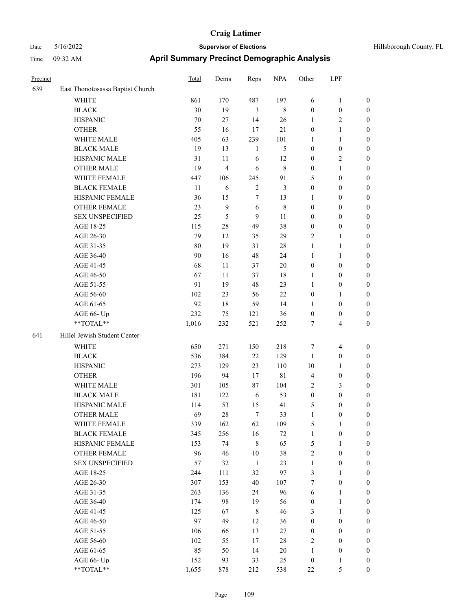| Hillsborough County, |
|----------------------|
|                      |

| Precinct |                                  | Total  | Dems                    | Reps           | <b>NPA</b>  | Other            | LPF              |                  |
|----------|----------------------------------|--------|-------------------------|----------------|-------------|------------------|------------------|------------------|
| 639      | East Thonotosassa Baptist Church |        |                         |                |             |                  |                  |                  |
|          | <b>WHITE</b>                     | 861    | 170                     | 487            | 197         | 6                | $\mathbf{1}$     | $\boldsymbol{0}$ |
|          | <b>BLACK</b>                     | 30     | 19                      | $\mathfrak{Z}$ | $\,$ 8 $\,$ | $\boldsymbol{0}$ | $\boldsymbol{0}$ | $\boldsymbol{0}$ |
|          | <b>HISPANIC</b>                  | $70\,$ | 27                      | 14             | 26          | $\mathbf{1}$     | $\mathfrak{2}$   | $\boldsymbol{0}$ |
|          | <b>OTHER</b>                     | 55     | 16                      | 17             | 21          | $\boldsymbol{0}$ | $\mathbf{1}$     | $\boldsymbol{0}$ |
|          | WHITE MALE                       | 405    | 63                      | 239            | 101         | 1                | $\mathbf{1}$     | 0                |
|          | <b>BLACK MALE</b>                | 19     | 13                      | $\mathbf{1}$   | 5           | $\boldsymbol{0}$ | $\boldsymbol{0}$ | 0                |
|          | HISPANIC MALE                    | 31     | 11                      | 6              | 12          | $\boldsymbol{0}$ | $\sqrt{2}$       | $\boldsymbol{0}$ |
|          | <b>OTHER MALE</b>                | 19     | $\overline{\mathbf{4}}$ | 6              | 8           | $\boldsymbol{0}$ | $\mathbf{1}$     | $\boldsymbol{0}$ |
|          | WHITE FEMALE                     | 447    | 106                     | 245            | 91          | 5                | $\boldsymbol{0}$ | $\boldsymbol{0}$ |
|          | <b>BLACK FEMALE</b>              | 11     | 6                       | $\sqrt{2}$     | 3           | $\boldsymbol{0}$ | $\boldsymbol{0}$ | $\boldsymbol{0}$ |
|          | HISPANIC FEMALE                  | 36     | 15                      | 7              | 13          | 1                | $\boldsymbol{0}$ | $\boldsymbol{0}$ |
|          | <b>OTHER FEMALE</b>              | 23     | $\mathbf{9}$            | $\sqrt{6}$     | $\,$ 8 $\,$ | $\boldsymbol{0}$ | $\boldsymbol{0}$ | $\boldsymbol{0}$ |
|          | <b>SEX UNSPECIFIED</b>           | 25     | $\mathfrak s$           | $\overline{9}$ | $11\,$      | $\boldsymbol{0}$ | $\boldsymbol{0}$ | $\boldsymbol{0}$ |
|          | AGE 18-25                        | 115    | $28\,$                  | 49             | 38          | $\boldsymbol{0}$ | $\boldsymbol{0}$ | $\boldsymbol{0}$ |
|          | AGE 26-30                        | 79     | 12                      | 35             | 29          | 2                | $\mathbf{1}$     | 0                |
|          | AGE 31-35                        | 80     | 19                      | 31             | $28\,$      | $\mathbf{1}$     | $\mathbf{1}$     | 0                |
|          | AGE 36-40                        | 90     | 16                      | 48             | 24          | $\mathbf{1}$     | $\mathbf{1}$     | $\boldsymbol{0}$ |
|          | AGE 41-45                        | 68     | 11                      | 37             | $20\,$      | $\boldsymbol{0}$ | $\boldsymbol{0}$ | $\boldsymbol{0}$ |
|          | AGE 46-50                        | 67     | 11                      | 37             | 18          | $\mathbf{1}$     | $\boldsymbol{0}$ | $\boldsymbol{0}$ |
|          | AGE 51-55                        | 91     | 19                      | 48             | 23          | $\mathbf{1}$     | $\boldsymbol{0}$ | $\boldsymbol{0}$ |
|          | AGE 56-60                        | 102    | 23                      | 56             | 22          | $\boldsymbol{0}$ | $\mathbf{1}$     | $\boldsymbol{0}$ |
|          | AGE 61-65                        | 92     | 18                      | 59             | 14          | $\mathbf{1}$     | $\boldsymbol{0}$ | $\boldsymbol{0}$ |
|          | AGE 66- Up                       | 232    | 75                      | 121            | 36          | $\boldsymbol{0}$ | $\boldsymbol{0}$ | $\boldsymbol{0}$ |
|          | **TOTAL**                        | 1,016  | 232                     | 521            | 252         | 7                | $\overline{4}$   | $\boldsymbol{0}$ |
| 641      | Hillel Jewish Student Center     |        |                         |                |             |                  |                  |                  |
|          | WHITE                            | 650    | 271                     | 150            | 218         | 7                | $\overline{4}$   | $\boldsymbol{0}$ |
|          | <b>BLACK</b>                     | 536    | 384                     | 22             | 129         | $\mathbf{1}$     | $\boldsymbol{0}$ | 0                |
|          | <b>HISPANIC</b>                  | 273    | 129                     | 23             | 110         | $10\,$           | $\mathbf{1}$     | 0                |
|          | <b>OTHER</b>                     | 196    | 94                      | 17             | $8\sqrt{1}$ | 4                | $\boldsymbol{0}$ | $\boldsymbol{0}$ |
|          | WHITE MALE                       | 301    | 105                     | 87             | 104         | 2                | $\mathfrak{Z}$   | $\boldsymbol{0}$ |
|          | <b>BLACK MALE</b>                | 181    | 122                     | 6              | 53          | $\boldsymbol{0}$ | $\boldsymbol{0}$ | $\boldsymbol{0}$ |
|          | HISPANIC MALE                    | 114    | 53                      | 15             | 41          | 5                | $\boldsymbol{0}$ | $\boldsymbol{0}$ |
|          | <b>OTHER MALE</b>                | 69     | $28\,$                  | 7              | 33          | $\mathbf{1}$     | $\boldsymbol{0}$ | $\boldsymbol{0}$ |
|          | WHITE FEMALE                     | 339    | 162                     | 62             | 109         | 5                | $\mathbf{1}$     | $\overline{0}$   |
|          | <b>BLACK FEMALE</b>              | 345    | 256                     | 16             | $72\,$      | $\mathbf{1}$     | $\boldsymbol{0}$ | 0                |
|          | HISPANIC FEMALE                  | 153    | 74                      | $\,$ 8 $\,$    | 65          | 5                | $\mathbf{1}$     | 0                |
|          | <b>OTHER FEMALE</b>              | 96     | 46                      | $10\,$         | 38          | 2                | $\boldsymbol{0}$ | 0                |
|          | <b>SEX UNSPECIFIED</b>           | 57     | 32                      | $\mathbf{1}$   | 23          | $\mathbf{1}$     | $\boldsymbol{0}$ | 0                |
|          | AGE 18-25                        | 244    | 111                     | 32             | 97          | 3                | $\mathbf{1}$     | 0                |
|          | AGE 26-30                        | 307    | 153                     | 40             | 107         | 7                | $\boldsymbol{0}$ | $\boldsymbol{0}$ |
|          | AGE 31-35                        | 263    | 136                     | 24             | 96          | 6                | $\mathbf{1}$     | $\boldsymbol{0}$ |
|          | AGE 36-40                        | 174    | 98                      | 19             | 56          | $\boldsymbol{0}$ | $\mathbf{1}$     | $\overline{0}$   |
|          | AGE 41-45                        | 125    | 67                      | $\,$ 8 $\,$    | 46          | 3                | $\mathbf{1}$     | 0                |
|          | AGE 46-50                        | 97     | 49                      | 12             | 36          | $\boldsymbol{0}$ | $\boldsymbol{0}$ | $\overline{0}$   |
|          | AGE 51-55                        | 106    | 66                      | 13             | $27\,$      | $\boldsymbol{0}$ | $\boldsymbol{0}$ | $\overline{0}$   |
|          | AGE 56-60                        | 102    | 55                      | 17             | $28\,$      | 2                | $\boldsymbol{0}$ | $\overline{0}$   |
|          | AGE 61-65                        | 85     | 50                      | 14             | $20\,$      | $\mathbf{1}$     | $\boldsymbol{0}$ | 0                |
|          | AGE 66- Up                       | 152    | 93                      | 33             | 25          | $\boldsymbol{0}$ | 1                | 0                |
|          | **TOTAL**                        | 1,655  | 878                     | 212            | 538         | $22\,$           | $\mathfrak s$    | $\boldsymbol{0}$ |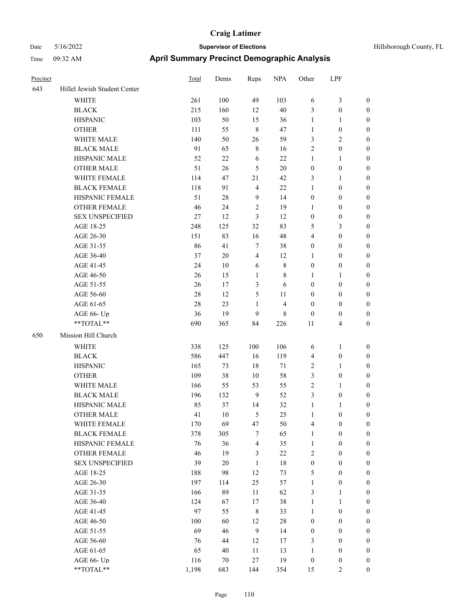| Hillsborough County, FL |  |  |
|-------------------------|--|--|
|-------------------------|--|--|

| Precinct |                                        | Total     | Dems      | Reps                 | <b>NPA</b>              | Other                        | LPF                              |                  |
|----------|----------------------------------------|-----------|-----------|----------------------|-------------------------|------------------------------|----------------------------------|------------------|
| 643      | Hillel Jewish Student Center           |           |           |                      |                         |                              |                                  |                  |
|          | WHITE                                  | 261       | 100       | 49                   | 103                     | 6                            | $\mathfrak{Z}$                   | $\boldsymbol{0}$ |
|          | <b>BLACK</b>                           | 215       | 160       | 12                   | 40                      | 3                            | $\boldsymbol{0}$                 | $\boldsymbol{0}$ |
|          | <b>HISPANIC</b>                        | 103       | 50        | 15                   | 36                      | $\mathbf{1}$                 | $\mathbf{1}$                     | $\boldsymbol{0}$ |
|          | <b>OTHER</b>                           | 111       | 55        | $\,$ 8 $\,$          | 47                      | $\mathbf{1}$                 | $\boldsymbol{0}$                 | 0                |
|          | WHITE MALE                             | 140       | 50        | 26                   | 59                      | 3                            | $\sqrt{2}$                       | 0                |
|          | <b>BLACK MALE</b>                      | 91        | 65        | $\,$ 8 $\,$          | 16                      | 2                            | $\boldsymbol{0}$                 | $\boldsymbol{0}$ |
|          | HISPANIC MALE                          | 52        | 22        | 6                    | 22                      | $\mathbf{1}$                 | $\mathbf{1}$                     | $\boldsymbol{0}$ |
|          | <b>OTHER MALE</b>                      | 51        | 26        | 5                    | $20\,$                  | $\boldsymbol{0}$             | $\boldsymbol{0}$                 | $\boldsymbol{0}$ |
|          | WHITE FEMALE                           | 114       | 47        | 21                   | 42                      | 3                            | $\mathbf{1}$                     | $\boldsymbol{0}$ |
|          | <b>BLACK FEMALE</b>                    | 118       | 91        | $\overline{4}$       | $22\,$                  | $\mathbf{1}$                 | $\boldsymbol{0}$                 | $\boldsymbol{0}$ |
|          | HISPANIC FEMALE                        | 51        | $28\,$    | 9                    | 14                      | $\boldsymbol{0}$             | $\boldsymbol{0}$                 | $\boldsymbol{0}$ |
|          | <b>OTHER FEMALE</b>                    | 46        | 24        | $\sqrt{2}$           | 19                      | $\mathbf{1}$                 | $\boldsymbol{0}$                 | $\boldsymbol{0}$ |
|          | <b>SEX UNSPECIFIED</b>                 | 27        | 12        | $\mathfrak{Z}$       | 12                      | $\boldsymbol{0}$             | $\boldsymbol{0}$                 | $\boldsymbol{0}$ |
|          | AGE 18-25                              | 248       | 125       | 32                   | 83                      | 5                            | $\mathfrak{Z}$                   | 0                |
|          | AGE 26-30                              | 151       | 83        | 16                   | 48                      | $\overline{4}$               | $\boldsymbol{0}$                 | 0                |
|          | AGE 31-35                              | 86        | 41        | $\tau$               | 38                      | $\boldsymbol{0}$             | $\boldsymbol{0}$                 | $\boldsymbol{0}$ |
|          | AGE 36-40                              | 37        | 20        | $\overline{4}$       | 12                      | 1                            | $\boldsymbol{0}$                 | $\boldsymbol{0}$ |
|          | AGE 41-45                              | 24        | 10        | 6                    | $\,$ 8 $\,$             | $\boldsymbol{0}$             | $\boldsymbol{0}$                 | $\boldsymbol{0}$ |
|          | AGE 46-50                              | 26        | 15        | $\mathbf{1}$         | 8                       | 1                            | $\mathbf{1}$                     | $\boldsymbol{0}$ |
|          | AGE 51-55                              | 26        | 17        | 3                    | 6                       | $\boldsymbol{0}$             | $\boldsymbol{0}$                 | $\boldsymbol{0}$ |
|          | AGE 56-60                              | $28\,$    | 12        | 5                    | 11                      | $\boldsymbol{0}$             | $\boldsymbol{0}$                 | $\boldsymbol{0}$ |
|          | AGE 61-65                              | 28        | 23        | $\mathbf{1}$         | $\overline{\mathbf{4}}$ | $\boldsymbol{0}$             | $\boldsymbol{0}$                 | $\boldsymbol{0}$ |
|          | AGE 66- Up                             | 36        | 19        | 9                    | $\,$ 8 $\,$             | $\boldsymbol{0}$             | $\boldsymbol{0}$                 | 0                |
|          | **TOTAL**                              | 690       | 365       | 84                   | 226                     | 11                           | $\overline{4}$                   | 0                |
| 650      | Mission Hill Church                    |           |           |                      |                         |                              |                                  |                  |
|          | WHITE                                  | 338       | 125       | 100                  | 106                     | 6                            | $\mathbf{1}$                     | $\boldsymbol{0}$ |
|          | <b>BLACK</b>                           | 586       | 447       | 16                   | 119                     | $\overline{4}$               | $\boldsymbol{0}$                 | 0                |
|          | <b>HISPANIC</b>                        | 165       | 73        | 18                   | 71                      | 2                            | $\mathbf{1}$                     | 0                |
|          | <b>OTHER</b>                           | 109       | 38        | 10                   | 58                      |                              |                                  | $\boldsymbol{0}$ |
|          | WHITE MALE                             |           |           |                      |                         | 3<br>$\overline{c}$          | $\boldsymbol{0}$                 |                  |
|          |                                        | 166       | 55        | 53<br>$\overline{9}$ | 55<br>52                |                              | $\mathbf{1}$                     | $\boldsymbol{0}$ |
|          | <b>BLACK MALE</b><br>HISPANIC MALE     | 196       | 132       |                      |                         | 3                            | $\boldsymbol{0}$                 | $\boldsymbol{0}$ |
|          |                                        | 85<br>41  | 37<br>10  | 14<br>5              | 32<br>25                | $\mathbf{1}$<br>$\mathbf{1}$ | $\mathbf{1}$<br>$\boldsymbol{0}$ | 0                |
|          | <b>OTHER MALE</b>                      |           |           |                      |                         |                              |                                  | $\boldsymbol{0}$ |
|          | WHITE FEMALE<br><b>BLACK FEMALE</b>    | 170       | 69        | 47                   | 50                      | $\overline{\mathbf{4}}$      | $\boldsymbol{0}$                 | $\boldsymbol{0}$ |
|          | HISPANIC FEMALE                        | 378<br>76 | 305<br>36 | 7<br>$\overline{4}$  | 65<br>35                | $\mathbf{1}$                 | $\boldsymbol{0}$                 | 0                |
|          |                                        |           |           |                      |                         | $\mathbf{1}$                 | $\boldsymbol{0}$                 | 0                |
|          | OTHER FEMALE<br><b>SEX UNSPECIFIED</b> | 46        | 19        | 3                    | $22\,$                  | 2                            | $\boldsymbol{0}$                 | 0                |
|          |                                        | 39        | $20\,$    | $\mathbf{1}$         | $18\,$                  | $\boldsymbol{0}$             | $\boldsymbol{0}$                 | 0                |
|          | AGE 18-25                              | 188       | 98        | 12                   | 73                      | 5                            | $\boldsymbol{0}$                 | $\overline{0}$   |
|          | AGE 26-30                              | 197       | 114       | 25                   | 57                      | $\mathbf{1}$                 | $\boldsymbol{0}$                 | $\boldsymbol{0}$ |
|          | AGE 31-35                              | 166       | 89        | 11                   | 62                      | 3                            | $\mathbf{1}$                     | $\overline{0}$   |
|          | AGE 36-40                              | 124       | 67        | 17                   | 38                      | $\mathbf{1}$                 | $\mathbf{1}$                     | $\boldsymbol{0}$ |
|          | AGE 41-45                              | 97        | 55        | $\,8\,$              | 33                      | $\mathbf{1}$                 | $\boldsymbol{0}$                 | $\overline{0}$   |
|          | AGE 46-50                              | 100       | 60        | 12                   | $28\,$                  | $\boldsymbol{0}$             | $\boldsymbol{0}$                 | $\overline{0}$   |
|          | AGE 51-55                              | 69        | 46        | $\boldsymbol{9}$     | 14                      | $\boldsymbol{0}$             | $\boldsymbol{0}$                 | $\boldsymbol{0}$ |
|          | AGE 56-60                              | 76        | 44        | 12                   | 17                      | 3                            | $\boldsymbol{0}$                 | $\boldsymbol{0}$ |
|          | AGE 61-65                              | 65        | 40        | 11                   | 13                      | $\mathbf{1}$                 | $\boldsymbol{0}$                 | 0                |
|          | AGE 66- Up                             | 116       | $70\,$    | $27\,$               | 19                      | $\boldsymbol{0}$             | $\boldsymbol{0}$                 | 0                |
|          | $**TOTAL**$                            | 1,198     | 683       | 144                  | 354                     | 15                           | $\overline{2}$                   | $\boldsymbol{0}$ |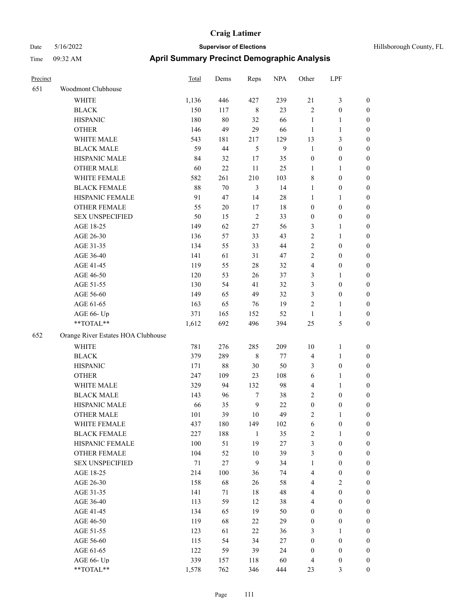| Hillsborough County, FL |  |
|-------------------------|--|
|                         |  |

| Precinct |                                    | Total  | Dems   | Reps           | <b>NPA</b> | Other            | LPF              |                  |
|----------|------------------------------------|--------|--------|----------------|------------|------------------|------------------|------------------|
| 651      | Woodmont Clubhouse                 |        |        |                |            |                  |                  |                  |
|          | <b>WHITE</b>                       | 1,136  | 446    | 427            | 239        | 21               | 3                | $\boldsymbol{0}$ |
|          | <b>BLACK</b>                       | 150    | 117    | $\,$ 8 $\,$    | 23         | $\overline{2}$   | $\boldsymbol{0}$ | $\boldsymbol{0}$ |
|          | <b>HISPANIC</b>                    | 180    | 80     | 32             | 66         | $\mathbf{1}$     | 1                | $\boldsymbol{0}$ |
|          | <b>OTHER</b>                       | 146    | 49     | 29             | 66         | $\mathbf{1}$     | 1                | $\boldsymbol{0}$ |
|          | WHITE MALE                         | 543    | 181    | 217            | 129        | 13               | 3                | $\boldsymbol{0}$ |
|          | <b>BLACK MALE</b>                  | 59     | 44     | 5              | 9          | $\mathbf{1}$     | $\boldsymbol{0}$ | $\boldsymbol{0}$ |
|          | HISPANIC MALE                      | 84     | 32     | 17             | 35         | $\boldsymbol{0}$ | $\boldsymbol{0}$ | $\boldsymbol{0}$ |
|          | <b>OTHER MALE</b>                  | 60     | 22     | 11             | 25         | $\mathbf{1}$     | 1                | $\boldsymbol{0}$ |
|          | WHITE FEMALE                       | 582    | 261    | 210            | 103        | $\,$ 8 $\,$      | $\boldsymbol{0}$ | $\boldsymbol{0}$ |
|          | <b>BLACK FEMALE</b>                | 88     | 70     | 3              | 14         | $\mathbf{1}$     | $\boldsymbol{0}$ | $\boldsymbol{0}$ |
|          | HISPANIC FEMALE                    | 91     | 47     | 14             | $28\,$     | $\mathbf{1}$     | 1                | $\boldsymbol{0}$ |
|          | OTHER FEMALE                       | 55     | 20     | 17             | 18         | $\boldsymbol{0}$ | $\boldsymbol{0}$ | $\boldsymbol{0}$ |
|          | <b>SEX UNSPECIFIED</b>             | 50     | 15     | $\overline{2}$ | 33         | $\boldsymbol{0}$ | $\boldsymbol{0}$ | $\boldsymbol{0}$ |
|          | AGE 18-25                          | 149    | 62     | 27             | 56         | 3                | 1                | $\boldsymbol{0}$ |
|          | AGE 26-30                          | 136    | 57     | 33             | 43         | $\sqrt{2}$       | 1                | $\boldsymbol{0}$ |
|          | AGE 31-35                          | 134    | 55     | 33             | 44         | $\sqrt{2}$       | $\boldsymbol{0}$ | $\boldsymbol{0}$ |
|          | AGE 36-40                          | 141    | 61     | 31             | 47         | $\mathbf{2}$     | $\boldsymbol{0}$ | $\boldsymbol{0}$ |
|          | AGE 41-45                          | 119    | 55     | 28             | 32         | $\overline{4}$   | $\boldsymbol{0}$ | $\boldsymbol{0}$ |
|          | AGE 46-50                          | 120    | 53     | 26             | 37         | 3                | 1                | $\boldsymbol{0}$ |
|          | AGE 51-55                          | 130    | 54     | 41             | 32         | 3                | $\boldsymbol{0}$ | $\boldsymbol{0}$ |
|          | AGE 56-60                          | 149    | 65     | 49             | 32         | 3                | $\boldsymbol{0}$ | $\boldsymbol{0}$ |
|          | AGE 61-65                          | 163    | 65     | 76             | 19         | $\overline{2}$   | 1                | $\boldsymbol{0}$ |
|          | AGE 66- Up                         | 371    | 165    | 152            | 52         | $\mathbf{1}$     | 1                | $\boldsymbol{0}$ |
|          | **TOTAL**                          | 1,612  | 692    | 496            | 394        | 25               | 5                | $\boldsymbol{0}$ |
| 652      | Orange River Estates HOA Clubhouse |        |        |                |            |                  |                  |                  |
|          | WHITE                              | 781    | 276    | 285            | 209        | 10               | 1                | $\boldsymbol{0}$ |
|          | <b>BLACK</b>                       | 379    | 289    | 8              | 77         | $\overline{4}$   | 1                | $\boldsymbol{0}$ |
|          | <b>HISPANIC</b>                    | 171    | $88\,$ | 30             | 50         | 3                | $\boldsymbol{0}$ | $\boldsymbol{0}$ |
|          | <b>OTHER</b>                       | 247    | 109    | 23             | 108        | 6                | 1                | $\boldsymbol{0}$ |
|          | WHITE MALE                         | 329    | 94     | 132            | 98         | $\overline{4}$   | 1                | $\boldsymbol{0}$ |
|          | <b>BLACK MALE</b>                  | 143    | 96     | $\tau$         | 38         | $\sqrt{2}$       | $\boldsymbol{0}$ | $\boldsymbol{0}$ |
|          | HISPANIC MALE                      | 66     | 35     | 9              | 22         | $\boldsymbol{0}$ | 0                | $\boldsymbol{0}$ |
|          | <b>OTHER MALE</b>                  | 101    | 39     | 10             | 49         | 2                |                  | $\boldsymbol{0}$ |
|          | WHITE FEMALE                       | 437    | 180    | 149            | 102        | 6                | $\boldsymbol{0}$ | $\boldsymbol{0}$ |
|          | <b>BLACK FEMALE</b>                | 227    | 188    | $\mathbf{1}$   | 35         | $\sqrt{2}$       | 1                | $\boldsymbol{0}$ |
|          | HISPANIC FEMALE                    | 100    | 51     | 19             | $27\,$     | $\mathfrak{Z}$   | $\boldsymbol{0}$ | $\boldsymbol{0}$ |
|          | <b>OTHER FEMALE</b>                | 104    | 52     | 10             | 39         | $\mathfrak{Z}$   | $\boldsymbol{0}$ | $\boldsymbol{0}$ |
|          | <b>SEX UNSPECIFIED</b>             | $71\,$ | 27     | $\overline{9}$ | 34         | $\mathbf{1}$     | $\boldsymbol{0}$ | $\boldsymbol{0}$ |
|          | AGE 18-25                          | 214    | 100    | 36             | 74         | $\overline{4}$   | $\boldsymbol{0}$ | $\boldsymbol{0}$ |
|          | AGE 26-30                          | 158    | 68     | 26             | 58         | $\overline{4}$   | $\mathbf{2}$     | $\boldsymbol{0}$ |
|          | AGE 31-35                          | 141    | 71     | 18             | 48         | $\overline{4}$   | $\boldsymbol{0}$ | $\boldsymbol{0}$ |
|          | AGE 36-40                          | 113    | 59     | 12             | 38         | $\overline{4}$   | $\boldsymbol{0}$ | $\boldsymbol{0}$ |
|          | AGE 41-45                          | 134    | 65     | 19             | 50         | $\boldsymbol{0}$ | $\boldsymbol{0}$ | $\boldsymbol{0}$ |
|          | AGE 46-50                          | 119    | 68     | $22\,$         | 29         | $\boldsymbol{0}$ | $\boldsymbol{0}$ | $\boldsymbol{0}$ |
|          | AGE 51-55                          | 123    | 61     | $22\,$         | 36         | $\mathfrak{Z}$   | $\mathbf{1}$     | $\boldsymbol{0}$ |
|          | AGE 56-60                          | 115    | 54     | 34             | $27\,$     | $\boldsymbol{0}$ | $\boldsymbol{0}$ | $\boldsymbol{0}$ |
|          | AGE 61-65                          | 122    | 59     | 39             | 24         | $\boldsymbol{0}$ | $\boldsymbol{0}$ | $\boldsymbol{0}$ |
|          | AGE 66- Up                         | 339    | 157    | 118            | 60         | $\overline{4}$   | $\boldsymbol{0}$ | $\boldsymbol{0}$ |
|          | $**TOTAL**$                        | 1,578  | 762    | 346            | 444        | 23               | 3                | $\boldsymbol{0}$ |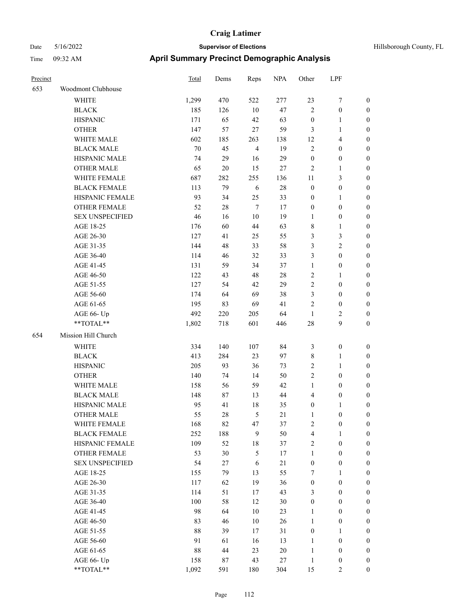| Precinct |                        | Total  | Dems | Reps           | <b>NPA</b> | Other            | LPF                     |                  |
|----------|------------------------|--------|------|----------------|------------|------------------|-------------------------|------------------|
| 653      | Woodmont Clubhouse     |        |      |                |            |                  |                         |                  |
|          | <b>WHITE</b>           | 1,299  | 470  | 522            | 277        | 23               | 7                       | $\boldsymbol{0}$ |
|          | <b>BLACK</b>           | 185    | 126  | 10             | 47         | $\overline{2}$   | $\boldsymbol{0}$        | $\boldsymbol{0}$ |
|          | <b>HISPANIC</b>        | 171    | 65   | 42             | 63         | $\boldsymbol{0}$ | 1                       | $\boldsymbol{0}$ |
|          | <b>OTHER</b>           | 147    | 57   | $27\,$         | 59         | $\mathfrak{Z}$   | 1                       | $\boldsymbol{0}$ |
|          | WHITE MALE             | 602    | 185  | 263            | 138        | 12               | 4                       | $\boldsymbol{0}$ |
|          | <b>BLACK MALE</b>      | $70\,$ | 45   | $\overline{4}$ | 19         | $\sqrt{2}$       | $\boldsymbol{0}$        | $\boldsymbol{0}$ |
|          | HISPANIC MALE          | 74     | 29   | 16             | 29         | $\boldsymbol{0}$ | $\boldsymbol{0}$        | $\boldsymbol{0}$ |
|          | <b>OTHER MALE</b>      | 65     | 20   | 15             | 27         | $\overline{2}$   | 1                       | $\boldsymbol{0}$ |
|          | WHITE FEMALE           | 687    | 282  | 255            | 136        | 11               | 3                       | $\boldsymbol{0}$ |
|          | <b>BLACK FEMALE</b>    | 113    | 79   | 6              | $28\,$     | $\boldsymbol{0}$ | $\boldsymbol{0}$        | $\boldsymbol{0}$ |
|          | HISPANIC FEMALE        | 93     | 34   | 25             | 33         | $\boldsymbol{0}$ | 1                       | $\boldsymbol{0}$ |
|          | <b>OTHER FEMALE</b>    | 52     | 28   | $\overline{7}$ | 17         | $\boldsymbol{0}$ | $\boldsymbol{0}$        | $\boldsymbol{0}$ |
|          | <b>SEX UNSPECIFIED</b> | 46     | 16   | 10             | 19         | 1                | $\boldsymbol{0}$        | $\boldsymbol{0}$ |
|          | AGE 18-25              | 176    | 60   | 44             | 63         | $\,$ 8 $\,$      | 1                       | $\boldsymbol{0}$ |
|          | AGE 26-30              | 127    | 41   | 25             | 55         | $\mathfrak{Z}$   | 3                       | $\boldsymbol{0}$ |
|          | AGE 31-35              | 144    | 48   | 33             | 58         | 3                | $\overline{\mathbf{c}}$ | $\boldsymbol{0}$ |
|          | AGE 36-40              | 114    | 46   | 32             | 33         | 3                | $\boldsymbol{0}$        | $\boldsymbol{0}$ |
|          | AGE 41-45              | 131    | 59   | 34             | 37         | $\mathbf{1}$     | $\boldsymbol{0}$        | $\boldsymbol{0}$ |
|          | AGE 46-50              | 122    | 43   | 48             | 28         | $\sqrt{2}$       | 1                       | $\boldsymbol{0}$ |
|          | AGE 51-55              | 127    | 54   | 42             | 29         | $\overline{2}$   | $\boldsymbol{0}$        | $\boldsymbol{0}$ |
|          | AGE 56-60              | 174    | 64   | 69             | 38         | 3                | $\boldsymbol{0}$        | $\boldsymbol{0}$ |
|          | AGE 61-65              | 195    | 83   | 69             | 41         | $\overline{2}$   | $\boldsymbol{0}$        | $\boldsymbol{0}$ |
|          | AGE 66- Up             | 492    | 220  | 205            | 64         | $\mathbf{1}$     | 2                       | $\boldsymbol{0}$ |
|          | **TOTAL**              | 1,802  | 718  | 601            | 446        | 28               | 9                       | $\boldsymbol{0}$ |
| 654      | Mission Hill Church    |        |      |                |            |                  |                         |                  |
|          | WHITE                  | 334    | 140  | 107            | 84         | $\mathfrak{Z}$   | $\boldsymbol{0}$        | $\boldsymbol{0}$ |
|          | <b>BLACK</b>           | 413    | 284  | 23             | 97         | $\,$ 8 $\,$      | 1                       | $\boldsymbol{0}$ |
|          | <b>HISPANIC</b>        | 205    | 93   | 36             | 73         | $\overline{2}$   | 1                       | $\boldsymbol{0}$ |
|          | <b>OTHER</b>           | 140    | 74   | 14             | 50         | $\overline{2}$   | $\boldsymbol{0}$        | $\boldsymbol{0}$ |
|          | WHITE MALE             | 158    | 56   | 59             | 42         | $\mathbf{1}$     | $\boldsymbol{0}$        | $\boldsymbol{0}$ |
|          | <b>BLACK MALE</b>      | 148    | 87   | 13             | 44         | $\overline{4}$   | $\boldsymbol{0}$        | $\boldsymbol{0}$ |
|          | HISPANIC MALE          | 95     | 41   | 18             | 35         | $\boldsymbol{0}$ | 1                       | $\boldsymbol{0}$ |
|          | <b>OTHER MALE</b>      | 55     | 28   | 5              | 21         | 1                | 0                       | $\boldsymbol{0}$ |
|          | WHITE FEMALE           | 168    | 82   | 47             | 37         | $\sqrt{2}$       | $\boldsymbol{0}$        | $\boldsymbol{0}$ |
|          | <b>BLACK FEMALE</b>    | 252    | 188  | 9              | 50         | $\overline{4}$   | 1                       | $\boldsymbol{0}$ |
|          | HISPANIC FEMALE        | 109    | 52   | 18             | 37         | $\sqrt{2}$       | $\boldsymbol{0}$        | $\boldsymbol{0}$ |
|          | <b>OTHER FEMALE</b>    | 53     | 30   | $\mathfrak{H}$ | 17         | $\mathbf{1}$     | $\boldsymbol{0}$        | $\boldsymbol{0}$ |
|          | <b>SEX UNSPECIFIED</b> | 54     | 27   | $\sqrt{6}$     | $21\,$     | $\boldsymbol{0}$ | $\boldsymbol{0}$        | $\boldsymbol{0}$ |
|          | AGE 18-25              | 155    | 79   | 13             | 55         | 7                | $\mathbf{1}$            | $\boldsymbol{0}$ |
|          | AGE 26-30              | 117    | 62   | 19             | 36         | $\boldsymbol{0}$ | $\boldsymbol{0}$        | $\boldsymbol{0}$ |
|          | AGE 31-35              | 114    | 51   | 17             | 43         | $\mathfrak{Z}$   | $\boldsymbol{0}$        | $\boldsymbol{0}$ |
|          | AGE 36-40              | 100    | 58   | 12             | 30         | $\boldsymbol{0}$ | $\boldsymbol{0}$        | $\boldsymbol{0}$ |
|          | AGE 41-45              | 98     | 64   | 10             | 23         | $\mathbf{1}$     | $\boldsymbol{0}$        | $\boldsymbol{0}$ |
|          | AGE 46-50              | 83     | 46   | 10             | 26         | $\mathbf{1}$     | $\boldsymbol{0}$        | $\boldsymbol{0}$ |
|          | AGE 51-55              | 88     | 39   | 17             | 31         | $\boldsymbol{0}$ | $\mathbf{1}$            | $\boldsymbol{0}$ |
|          | AGE 56-60              | 91     | 61   | 16             | 13         | $\mathbf{1}$     | $\boldsymbol{0}$        | $\boldsymbol{0}$ |
|          | AGE 61-65              | 88     | 44   | 23             | $20\,$     | $\mathbf{1}$     | $\boldsymbol{0}$        | $\boldsymbol{0}$ |
|          | AGE 66- Up             | 158    | 87   | 43             | 27         | $\mathbf{1}$     | $\boldsymbol{0}$        | $\boldsymbol{0}$ |
|          | **TOTAL**              | 1,092  | 591  | 180            | 304        | 15               | 2                       | $\boldsymbol{0}$ |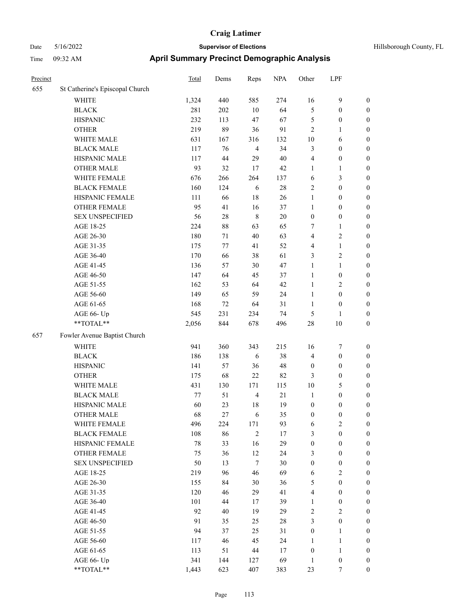| Hillsborough County, FL |  |
|-------------------------|--|
|                         |  |

| Precinct |                                 | <b>Total</b> | Dems   | Reps           | <b>NPA</b> | Other            | LPF              |                  |
|----------|---------------------------------|--------------|--------|----------------|------------|------------------|------------------|------------------|
| 655      | St Catherine's Episcopal Church |              |        |                |            |                  |                  |                  |
|          | WHITE                           | 1,324        | 440    | 585            | 274        | 16               | 9                | $\boldsymbol{0}$ |
|          | <b>BLACK</b>                    | 281          | 202    | 10             | 64         | 5                | $\boldsymbol{0}$ | $\boldsymbol{0}$ |
|          | <b>HISPANIC</b>                 | 232          | 113    | 47             | 67         | 5                | $\boldsymbol{0}$ | 0                |
|          | <b>OTHER</b>                    | 219          | 89     | 36             | 91         | 2                | $\mathbf{1}$     | 0                |
|          | WHITE MALE                      | 631          | 167    | 316            | 132        | $10\,$           | 6                | $\boldsymbol{0}$ |
|          | <b>BLACK MALE</b>               | 117          | 76     | $\overline{4}$ | 34         | 3                | $\boldsymbol{0}$ | $\boldsymbol{0}$ |
|          | HISPANIC MALE                   | 117          | 44     | 29             | 40         | 4                | $\boldsymbol{0}$ | $\boldsymbol{0}$ |
|          | <b>OTHER MALE</b>               | 93           | 32     | 17             | 42         | $\mathbf{1}$     | $\mathbf{1}$     | $\boldsymbol{0}$ |
|          | WHITE FEMALE                    | 676          | 266    | 264            | 137        | 6                | $\mathfrak{Z}$   | $\boldsymbol{0}$ |
|          | <b>BLACK FEMALE</b>             | 160          | 124    | 6              | $28\,$     | $\sqrt{2}$       | $\boldsymbol{0}$ | $\boldsymbol{0}$ |
|          | HISPANIC FEMALE                 | 111          | 66     | 18             | 26         | $\mathbf{1}$     | $\boldsymbol{0}$ | $\boldsymbol{0}$ |
|          | OTHER FEMALE                    | 95           | 41     | 16             | 37         | $\mathbf{1}$     | $\boldsymbol{0}$ | 0                |
|          | <b>SEX UNSPECIFIED</b>          | 56           | $28\,$ | $\,$ 8 $\,$    | $20\,$     | $\boldsymbol{0}$ | $\boldsymbol{0}$ | 0                |
|          | AGE 18-25                       | 224          | 88     | 63             | 65         | 7                | $\mathbf{1}$     | 0                |
|          | AGE 26-30                       | 180          | 71     | 40             | 63         | 4                | $\sqrt{2}$       | $\boldsymbol{0}$ |
|          | AGE 31-35                       | 175          | 77     | 41             | 52         | 4                | $\mathbf{1}$     | $\boldsymbol{0}$ |
|          | AGE 36-40                       | 170          | 66     | 38             | 61         | 3                | $\sqrt{2}$       | $\boldsymbol{0}$ |
|          | AGE 41-45                       | 136          | 57     | 30             | 47         | $\mathbf{1}$     | $\mathbf{1}$     | $\boldsymbol{0}$ |
|          | AGE 46-50                       | 147          | 64     | 45             | 37         | $\mathbf{1}$     | $\boldsymbol{0}$ | $\boldsymbol{0}$ |
|          | AGE 51-55                       | 162          | 53     | 64             | 42         | $\mathbf{1}$     | $\sqrt{2}$       | $\boldsymbol{0}$ |
|          | AGE 56-60                       | 149          | 65     | 59             | 24         | $\mathbf{1}$     | $\boldsymbol{0}$ | $\boldsymbol{0}$ |
|          | AGE 61-65                       | 168          | 72     | 64             | 31         | $\mathbf{1}$     | $\boldsymbol{0}$ | 0                |
|          | AGE 66- Up                      | 545          | 231    | 234            | 74         | 5                | $\mathbf{1}$     | 0                |
|          | **TOTAL**                       | 2,056        | 844    | 678            | 496        | 28               | $10\,$           | $\boldsymbol{0}$ |
| 657      | Fowler Avenue Baptist Church    |              |        |                |            |                  |                  |                  |
|          | <b>WHITE</b>                    | 941          | 360    | 343            | 215        | 16               | 7                | 0                |
|          | <b>BLACK</b>                    | 186          | 138    | 6              | 38         | 4                | $\boldsymbol{0}$ | $\boldsymbol{0}$ |
|          | <b>HISPANIC</b>                 | 141          | 57     | 36             | 48         | $\boldsymbol{0}$ | $\boldsymbol{0}$ | 0                |
|          | <b>OTHER</b>                    | 175          | 68     | 22             | 82         | 3                | $\boldsymbol{0}$ | $\boldsymbol{0}$ |
|          | WHITE MALE                      | 431          | 130    | 171            | 115        | 10               | 5                | $\boldsymbol{0}$ |
|          | <b>BLACK MALE</b>               | 77           | 51     | $\overline{4}$ | $21\,$     | $\mathbf{1}$     | $\boldsymbol{0}$ | $\boldsymbol{0}$ |
|          | HISPANIC MALE                   | 60           | 23     | 18             | 19         | $\boldsymbol{0}$ | $\boldsymbol{0}$ | $\boldsymbol{0}$ |
|          | <b>OTHER MALE</b>               | 68           | 27     | 6              | 35         | $\boldsymbol{0}$ | $\boldsymbol{0}$ | $\boldsymbol{0}$ |
|          | WHITE FEMALE                    | 496          | 224    | 171            | 93         | 6                | $\sqrt{2}$       | 0                |
|          | <b>BLACK FEMALE</b>             | 108          | 86     | $\mathbf{2}$   | 17         | 3                | $\boldsymbol{0}$ | 0                |
|          | HISPANIC FEMALE                 | $78\,$       | 33     | 16             | 29         | $\boldsymbol{0}$ | $\boldsymbol{0}$ | 0                |
|          | OTHER FEMALE                    | 75           | 36     | 12             | 24         | 3                | $\boldsymbol{0}$ | 0                |
|          | <b>SEX UNSPECIFIED</b>          | 50           | 13     | $\tau$         | 30         | $\boldsymbol{0}$ | $\boldsymbol{0}$ | $\overline{0}$   |
|          | AGE 18-25                       | 219          | 96     | 46             | 69         | 6                | $\sqrt{2}$       | $\overline{0}$   |
|          | AGE 26-30                       | 155          | 84     | 30             | 36         | 5                | $\boldsymbol{0}$ | $\overline{0}$   |
|          | AGE 31-35                       | 120          | 46     | 29             | 41         | 4                | $\boldsymbol{0}$ | 0                |
|          | AGE 36-40                       | 101          | 44     | 17             | 39         | $\mathbf{1}$     | $\boldsymbol{0}$ | $\overline{0}$   |
|          | AGE 41-45                       | 92           | 40     | 19             | 29         | 2                | $\overline{2}$   | $\overline{0}$   |
|          | AGE 46-50                       | 91           | 35     | 25             | $28\,$     | 3                | $\boldsymbol{0}$ | $\overline{0}$   |
|          | AGE 51-55                       | 94           | 37     | 25             | 31         | $\boldsymbol{0}$ | $\mathbf{1}$     | 0                |
|          | AGE 56-60                       | 117          | 46     | 45             | 24         | $\mathbf{1}$     | $\mathbf{1}$     | 0                |
|          | AGE 61-65                       | 113          | 51     | 44             | $17\,$     | $\boldsymbol{0}$ | $\mathbf{1}$     | $\boldsymbol{0}$ |
|          | AGE 66- Up                      | 341          | 144    | 127            | 69         | $\mathbf{1}$     | $\boldsymbol{0}$ | 0                |
|          | $**TOTAL**$                     | 1,443        | 623    | 407            | 383        | 23               | $\tau$           | $\boldsymbol{0}$ |
|          |                                 |              |        |                |            |                  |                  |                  |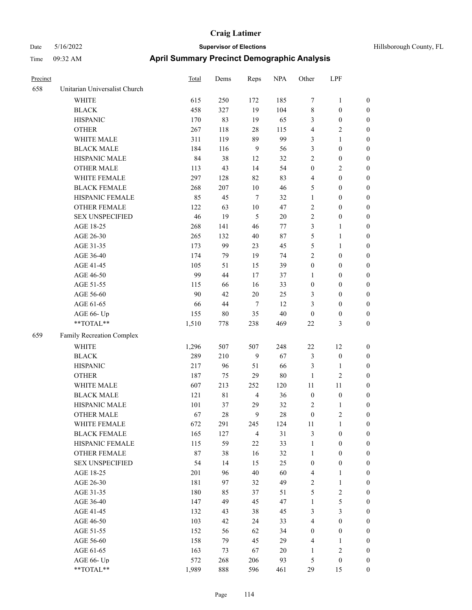| Hillsborough County, FL |  |
|-------------------------|--|
|                         |  |

| Precinct |                                                             | <b>Total</b> | Dems      | Reps                  | <b>NPA</b> | Other                            | LPF                 |                                      |
|----------|-------------------------------------------------------------|--------------|-----------|-----------------------|------------|----------------------------------|---------------------|--------------------------------------|
| 658      | Unitarian Universalist Church                               |              |           |                       |            |                                  |                     |                                      |
|          | WHITE                                                       | 615          | 250       | 172                   | 185        | $\tau$                           | $\mathbf{1}$        | $\boldsymbol{0}$                     |
|          | <b>BLACK</b>                                                | 458          | 327       | 19                    | 104        | $\,$ 8 $\,$                      | $\boldsymbol{0}$    | $\boldsymbol{0}$                     |
|          | <b>HISPANIC</b>                                             | 170          | 83        | 19                    | 65         | 3                                | $\boldsymbol{0}$    | $\boldsymbol{0}$                     |
|          | <b>OTHER</b>                                                | 267          | 118       | 28                    | 115        | $\overline{4}$                   | 2                   | $\boldsymbol{0}$                     |
|          | WHITE MALE                                                  | 311          | 119       | 89                    | 99         | 3                                | 1                   | $\boldsymbol{0}$                     |
|          | <b>BLACK MALE</b>                                           | 184          | 116       | 9                     | 56         | 3                                | $\boldsymbol{0}$    | $\boldsymbol{0}$                     |
|          | HISPANIC MALE                                               | 84           | 38        | 12                    | 32         | $\sqrt{2}$                       | $\boldsymbol{0}$    | $\boldsymbol{0}$                     |
|          | <b>OTHER MALE</b>                                           | 113          | 43        | 14                    | 54         | $\boldsymbol{0}$                 | 2                   | $\boldsymbol{0}$                     |
|          | WHITE FEMALE                                                | 297          | 128       | 82                    | 83         | $\overline{4}$                   | $\boldsymbol{0}$    | $\boldsymbol{0}$                     |
|          | <b>BLACK FEMALE</b>                                         | 268          | 207       | 10                    | 46         | 5                                | $\boldsymbol{0}$    | $\boldsymbol{0}$                     |
|          | HISPANIC FEMALE                                             | 85           | 45        | 7                     | 32         | $\mathbf{1}$                     | $\boldsymbol{0}$    | $\boldsymbol{0}$                     |
|          | <b>OTHER FEMALE</b>                                         | 122          | 63        | 10                    | 47         | $\overline{2}$                   | $\boldsymbol{0}$    | $\boldsymbol{0}$                     |
|          | <b>SEX UNSPECIFIED</b>                                      | 46           | 19        | 5                     | $20\,$     | $\sqrt{2}$                       | $\boldsymbol{0}$    | $\boldsymbol{0}$                     |
|          | AGE 18-25                                                   | 268          | 141       | 46                    | 77         | 3                                | 1                   | $\boldsymbol{0}$                     |
|          | AGE 26-30                                                   | 265          | 132       | 40                    | 87         | $\mathfrak{S}$                   | 1                   | $\boldsymbol{0}$                     |
|          | AGE 31-35                                                   | 173          | 99        | 23                    | 45         | 5                                | 1                   | $\boldsymbol{0}$                     |
|          | AGE 36-40                                                   | 174          | 79        | 19                    | 74         | $\sqrt{2}$                       | $\boldsymbol{0}$    | $\boldsymbol{0}$                     |
|          | AGE 41-45                                                   | 105          | 51        | 15                    | 39         | $\boldsymbol{0}$                 | $\boldsymbol{0}$    | $\boldsymbol{0}$                     |
|          | AGE 46-50                                                   | 99           | 44        | 17                    | 37         | 1                                | $\boldsymbol{0}$    | $\boldsymbol{0}$                     |
|          | AGE 51-55                                                   | 115          | 66        | 16                    | 33         | $\boldsymbol{0}$                 | $\boldsymbol{0}$    | $\boldsymbol{0}$                     |
|          | AGE 56-60                                                   | 90           | 42        | $20\,$                | 25         | 3                                | $\boldsymbol{0}$    | $\boldsymbol{0}$                     |
|          | AGE 61-65                                                   | 66           | 44        | $\tau$                | 12         | 3                                | $\boldsymbol{0}$    | $\boldsymbol{0}$                     |
|          | AGE 66- Up                                                  | 155          | $80\,$    | 35                    | $40\,$     | $\boldsymbol{0}$                 | $\boldsymbol{0}$    | $\boldsymbol{0}$                     |
|          | **TOTAL**                                                   | 1,510        | 778       | 238                   | 469        | 22                               | 3                   | $\boldsymbol{0}$                     |
| 659      | Family Recreation Complex                                   |              |           |                       |            |                                  |                     |                                      |
|          | <b>WHITE</b>                                                | 1,296        | 507       | 507                   | 248        | 22                               | 12                  | $\boldsymbol{0}$                     |
|          | <b>BLACK</b>                                                | 289          | 210       | 9                     | 67         | $\mathfrak{Z}$                   | $\boldsymbol{0}$    | $\boldsymbol{0}$                     |
|          | <b>HISPANIC</b>                                             | 217          | 96        | 51                    | 66         | 3                                | 1                   | $\boldsymbol{0}$                     |
|          | <b>OTHER</b>                                                | 187          | 75        | 29                    | 80         | 1                                | $\overline{c}$      | $\boldsymbol{0}$                     |
|          |                                                             |              |           |                       |            | 11                               | 11                  |                                      |
|          | WHITE MALE<br><b>BLACK MALE</b>                             | 607<br>121   | 213<br>81 | 252<br>$\overline{4}$ | 120<br>36  | $\boldsymbol{0}$                 | $\boldsymbol{0}$    | $\boldsymbol{0}$<br>$\boldsymbol{0}$ |
|          | HISPANIC MALE                                               |              | 37        |                       | 32         | $\sqrt{2}$                       |                     |                                      |
|          | <b>OTHER MALE</b>                                           | 101<br>67    | 28        | 29<br>9               | 28         | $\mathbf{0}$                     | 1<br>$\overline{c}$ | $\boldsymbol{0}$<br>$\boldsymbol{0}$ |
|          | WHITE FEMALE                                                | 672          | 291       | 245                   | 124        | 11                               | $\mathbf{1}$        | $\boldsymbol{0}$                     |
|          | <b>BLACK FEMALE</b>                                         | 165          | 127       | $\overline{4}$        | 31         | $\mathfrak{Z}$                   | $\boldsymbol{0}$    |                                      |
|          | HISPANIC FEMALE                                             | 115          | 59        |                       | 33         |                                  |                     | $\boldsymbol{0}$                     |
|          |                                                             |              |           | 22                    |            | $\mathbf{1}$                     | $\boldsymbol{0}$    | $\boldsymbol{0}$                     |
|          | OTHER FEMALE<br><b>SEX UNSPECIFIED</b>                      | 87           | 38        | 16                    | 32<br>25   | $\mathbf{1}$<br>$\boldsymbol{0}$ | $\boldsymbol{0}$    | $\boldsymbol{0}$<br>$\boldsymbol{0}$ |
|          |                                                             | 54           | 14        | 15                    |            |                                  | $\boldsymbol{0}$    |                                      |
|          | AGE 18-25                                                   | 201          | 96        | $40\,$                | 60         | $\overline{4}$                   | 1                   | $\boldsymbol{0}$                     |
|          | AGE 26-30                                                   | 181          | 97        | 32                    | 49         | $\sqrt{2}$                       | $\mathbf{1}$        | $\boldsymbol{0}$                     |
|          | AGE 31-35                                                   | 180          | 85        | 37                    | 51         | $\mathfrak{S}$                   | $\sqrt{2}$          | $\boldsymbol{0}$                     |
|          | AGE 36-40                                                   | 147          | 49        | 45                    | 47         | $\mathbf{1}$                     | 5                   | $\boldsymbol{0}$                     |
|          | AGE 41-45                                                   | 132          | 43        | 38                    | 45         | $\mathfrak{Z}$                   | 3                   | $\boldsymbol{0}$                     |
|          | AGE 46-50                                                   | 103          | 42        | 24                    | 33         | $\overline{4}$                   | $\boldsymbol{0}$    | $\boldsymbol{0}$                     |
|          | AGE 51-55                                                   | 152          | 56        | 62                    | 34         | $\boldsymbol{0}$                 | $\boldsymbol{0}$    | $\boldsymbol{0}$                     |
|          | AGE 56-60                                                   | 158          | 79        | 45                    | 29         | $\overline{4}$                   | $\mathbf{1}$        | $\boldsymbol{0}$                     |
|          | AGE 61-65                                                   | 163          | 73        | 67                    | 20         | $\mathbf{1}$                     | $\mathbf{2}$        | $\boldsymbol{0}$                     |
|          | AGE 66- Up                                                  | 572          | 268       | 206                   | 93         | 5                                | $\boldsymbol{0}$    | $\boldsymbol{0}$                     |
|          | $\mathrm{*}\mathrm{*} \mathrm{TOTAL} \mathrm{*} \mathrm{*}$ | 1,989        | 888       | 596                   | 461        | 29                               | 15                  | $\boldsymbol{0}$                     |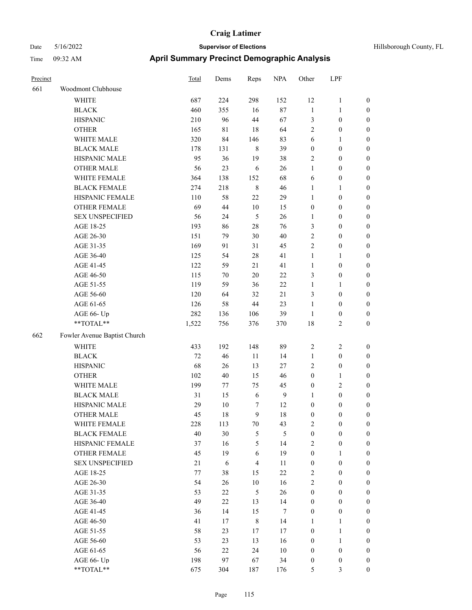| Hillsborough County. |  |  |
|----------------------|--|--|

| Precinct |                              | <b>Total</b> | Dems       | Reps           | <b>NPA</b>       | Other            | LPF              |                  |
|----------|------------------------------|--------------|------------|----------------|------------------|------------------|------------------|------------------|
| 661      | Woodmont Clubhouse           |              |            |                |                  |                  |                  |                  |
|          | WHITE                        | 687          | 224        | 298            | 152              | 12               | $\mathbf{1}$     | $\boldsymbol{0}$ |
|          | <b>BLACK</b>                 | 460          | 355        | 16             | 87               | $\mathbf{1}$     | $\mathbf{1}$     | $\boldsymbol{0}$ |
|          | <b>HISPANIC</b>              | 210          | 96         | $44\,$         | 67               | 3                | $\boldsymbol{0}$ | $\boldsymbol{0}$ |
|          | <b>OTHER</b>                 | 165          | 81         | 18             | 64               | $\mathbf{2}$     | $\boldsymbol{0}$ | 0                |
|          | WHITE MALE                   | 320          | 84         | 146            | 83               | $\sqrt{6}$       | $\mathbf{1}$     | 0                |
|          | <b>BLACK MALE</b>            | 178          | 131        | $\,$ 8 $\,$    | 39               | $\boldsymbol{0}$ | $\boldsymbol{0}$ | $\boldsymbol{0}$ |
|          | HISPANIC MALE                | 95           | 36         | 19             | 38               | $\overline{c}$   | $\boldsymbol{0}$ | $\boldsymbol{0}$ |
|          | <b>OTHER MALE</b>            | 56           | 23         | 6              | 26               | $\mathbf{1}$     | $\boldsymbol{0}$ | $\boldsymbol{0}$ |
|          | WHITE FEMALE                 | 364          | 138        | 152            | 68               | 6                | $\boldsymbol{0}$ | $\boldsymbol{0}$ |
|          | <b>BLACK FEMALE</b>          | 274          | 218        | $\,8\,$        | 46               | $\mathbf{1}$     | $\mathbf{1}$     | $\boldsymbol{0}$ |
|          | HISPANIC FEMALE              | 110          | 58         | 22             | 29               | $\mathbf{1}$     | $\boldsymbol{0}$ | $\boldsymbol{0}$ |
|          | OTHER FEMALE                 | 69           | 44         | $10\,$         | 15               | $\boldsymbol{0}$ | $\boldsymbol{0}$ | $\boldsymbol{0}$ |
|          | <b>SEX UNSPECIFIED</b>       | 56           | 24         | $\sqrt{5}$     | 26               | 1                | $\boldsymbol{0}$ | $\boldsymbol{0}$ |
|          | AGE 18-25                    | 193          | 86         | $28\,$         | 76               | 3                | $\boldsymbol{0}$ | 0                |
|          | AGE 26-30                    | 151          | 79         | $30\,$         | $40\,$           | $\sqrt{2}$       | $\boldsymbol{0}$ | 0                |
|          | AGE 31-35                    | 169          | 91         | 31             | 45               | $\sqrt{2}$       | $\boldsymbol{0}$ | $\boldsymbol{0}$ |
|          | AGE 36-40                    | 125          | 54         | $28\,$         | 41               | $\mathbf{1}$     | $\mathbf{1}$     | $\boldsymbol{0}$ |
|          | AGE 41-45                    | 122          | 59         | 21             | 41               | $\mathbf{1}$     | $\boldsymbol{0}$ | $\boldsymbol{0}$ |
|          | AGE 46-50                    | 115          | 70         | $20\,$         | $22\,$           | 3                | $\boldsymbol{0}$ | $\boldsymbol{0}$ |
|          | AGE 51-55                    | 119          | 59         | 36             | 22               | $\mathbf{1}$     | $\mathbf{1}$     | $\boldsymbol{0}$ |
|          | AGE 56-60                    | 120          | 64         | 32             | 21               | 3                | $\boldsymbol{0}$ | $\boldsymbol{0}$ |
|          | AGE 61-65                    | 126          | 58         | $44\,$         | 23               | $\mathbf{1}$     | $\boldsymbol{0}$ | $\boldsymbol{0}$ |
|          | AGE 66- Up                   | 282          | 136        | 106            | 39               | $\mathbf{1}$     | $\boldsymbol{0}$ | 0                |
|          | **TOTAL**                    | 1,522        | 756        | 376            | 370              | 18               | $\mathbf{2}$     | 0                |
| 662      | Fowler Avenue Baptist Church |              |            |                |                  |                  |                  |                  |
|          | <b>WHITE</b>                 | 433          | 192        | 148            | 89               | $\overline{2}$   | $\sqrt{2}$       | 0                |
|          | <b>BLACK</b>                 | 72           | 46         | 11             | 14               | $\mathbf{1}$     | $\boldsymbol{0}$ | 0                |
|          | <b>HISPANIC</b>              | 68           | 26         | 13             | $27\,$           | 2                | $\boldsymbol{0}$ | 0                |
|          | <b>OTHER</b>                 | 102          | 40         | 15             | 46               | $\boldsymbol{0}$ | $\mathbf{1}$     | $\boldsymbol{0}$ |
|          | WHITE MALE                   | 199          | 77         | 75             | 45               | $\boldsymbol{0}$ | $\sqrt{2}$       | $\boldsymbol{0}$ |
|          | <b>BLACK MALE</b>            | 31           | 15         | 6              | $\boldsymbol{9}$ | $\mathbf{1}$     | $\boldsymbol{0}$ | $\boldsymbol{0}$ |
|          | HISPANIC MALE                | 29           | $10\,$     | 7              | 12               | $\boldsymbol{0}$ | $\boldsymbol{0}$ | $\boldsymbol{0}$ |
|          | <b>OTHER MALE</b>            | 45           | 18         | 9              | 18               | $\boldsymbol{0}$ | $\boldsymbol{0}$ | $\boldsymbol{0}$ |
|          | WHITE FEMALE                 | 228          | 113        | $70\,$         | 43               | $\sqrt{2}$       | $\boldsymbol{0}$ | 0                |
|          | <b>BLACK FEMALE</b>          | 40           | 30         | $\mathfrak{S}$ | 5                | $\boldsymbol{0}$ | $\boldsymbol{0}$ | 0                |
|          | HISPANIC FEMALE              | 37           | 16         | 5              | 14               | 2                | $\boldsymbol{0}$ | 0                |
|          | OTHER FEMALE                 | 45           | 19         | 6              | 19               | $\boldsymbol{0}$ | $\mathbf{1}$     | 0                |
|          | <b>SEX UNSPECIFIED</b>       | 21           | $\sqrt{6}$ | $\overline{4}$ | 11               | $\boldsymbol{0}$ | $\boldsymbol{0}$ | 0                |
|          | AGE 18-25                    | $77 \,$      | 38         | 15             | $22\,$           | $\overline{c}$   | $\boldsymbol{0}$ | $\overline{0}$   |
|          | AGE 26-30                    | 54           | 26         | $10\,$         | 16               | $\overline{c}$   | $\boldsymbol{0}$ | $\overline{0}$   |
|          | AGE 31-35                    | 53           | 22         | $\sqrt{5}$     | 26               | $\boldsymbol{0}$ | $\boldsymbol{0}$ | $\overline{0}$   |
|          | AGE 36-40                    | 49           | 22         | 13             | 14               | $\boldsymbol{0}$ | $\boldsymbol{0}$ | $\overline{0}$   |
|          | AGE 41-45                    | 36           | 14         | 15             | $\boldsymbol{7}$ | $\boldsymbol{0}$ | $\boldsymbol{0}$ | $\overline{0}$   |
|          | AGE 46-50                    | 41           | 17         | $\,$ $\,$      | 14               | $\mathbf{1}$     | $\mathbf{1}$     | $\overline{0}$   |
|          | AGE 51-55                    | 58           | 23         | $17\,$         | 17               | $\boldsymbol{0}$ | $\mathbf{1}$     | 0                |
|          | AGE 56-60                    | 53           | 23         | 13             | 16               | $\boldsymbol{0}$ | $\mathbf{1}$     | 0                |
|          | AGE 61-65                    | 56           | $22\,$     | 24             | $10\,$           | $\boldsymbol{0}$ | $\boldsymbol{0}$ | 0                |
|          | AGE 66- Up                   | 198          | 97         | 67             | 34               | $\boldsymbol{0}$ | $\boldsymbol{0}$ | 0                |
|          | $**TOTAL**$                  | 675          | 304        | 187            | 176              | 5                | $\mathfrak{Z}$   | $\overline{0}$   |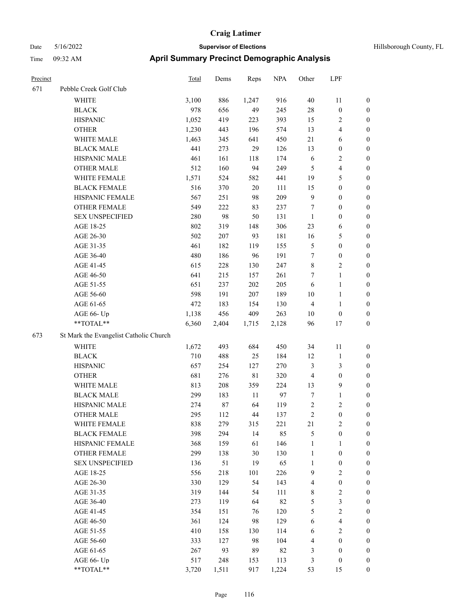# Date 5/16/2022 **Supervisor of Elections Supervisor of Elections** Hillsborough County, FL Time 09:32 AM **April Summary Precinct Demographic Analysis**

| Precinct |                                        | <b>Total</b> | Dems  | Reps  | <b>NPA</b> | Other          | LPF                     |                  |
|----------|----------------------------------------|--------------|-------|-------|------------|----------------|-------------------------|------------------|
| 671      | Pebble Creek Golf Club                 |              |       |       |            |                |                         |                  |
|          | <b>WHITE</b>                           | 3,100        | 886   | 1,247 | 916        | 40             | 11                      | $\bf{0}$         |
|          | <b>BLACK</b>                           | 978          | 656   | 49    | 245        | 28             | $\boldsymbol{0}$        | $\bf{0}$         |
|          | <b>HISPANIC</b>                        | 1,052        | 419   | 223   | 393        | 15             | $\overline{c}$          | $\boldsymbol{0}$ |
|          | <b>OTHER</b>                           | 1,230        | 443   | 196   | 574        | 13             | $\overline{4}$          | $\boldsymbol{0}$ |
|          | WHITE MALE                             | 1,463        | 345   | 641   | 450        | 21             | 6                       | $\boldsymbol{0}$ |
|          | <b>BLACK MALE</b>                      | 441          | 273   | 29    | 126        | 13             | $\boldsymbol{0}$        | $\boldsymbol{0}$ |
|          | HISPANIC MALE                          | 461          | 161   | 118   | 174        | 6              | $\sqrt{2}$              | $\boldsymbol{0}$ |
|          | <b>OTHER MALE</b>                      | 512          | 160   | 94    | 249        | 5              | $\overline{\mathbf{4}}$ | $\boldsymbol{0}$ |
|          | WHITE FEMALE                           | 1,571        | 524   | 582   | 441        | 19             | 5                       | $\boldsymbol{0}$ |
|          | <b>BLACK FEMALE</b>                    | 516          | 370   | 20    | 111        | 15             | $\boldsymbol{0}$        | $\boldsymbol{0}$ |
|          | HISPANIC FEMALE                        | 567          | 251   | 98    | 209        | 9              | $\boldsymbol{0}$        | $\boldsymbol{0}$ |
|          | <b>OTHER FEMALE</b>                    | 549          | 222   | 83    | 237        | 7              | $\boldsymbol{0}$        | $\boldsymbol{0}$ |
|          | <b>SEX UNSPECIFIED</b>                 | 280          | 98    | 50    | 131        | $\mathbf{1}$   | $\boldsymbol{0}$        | $\boldsymbol{0}$ |
|          | AGE 18-25                              | 802          | 319   | 148   | 306        | 23             | 6                       | $\boldsymbol{0}$ |
|          | AGE 26-30                              | 502          | 207   | 93    | 181        | 16             | $\mathfrak s$           | $\boldsymbol{0}$ |
|          | AGE 31-35                              | 461          | 182   | 119   | 155        | 5              | $\boldsymbol{0}$        | $\boldsymbol{0}$ |
|          | AGE 36-40                              | 480          | 186   | 96    | 191        | 7              | $\boldsymbol{0}$        | $\boldsymbol{0}$ |
|          | AGE 41-45                              | 615          | 228   | 130   | 247        | 8              | $\sqrt{2}$              | $\boldsymbol{0}$ |
|          | AGE 46-50                              | 641          | 215   | 157   | 261        | $\tau$         | $\mathbf{1}$            | $\boldsymbol{0}$ |
|          | AGE 51-55                              | 651          | 237   | 202   | 205        | 6              | $\mathbf{1}$            | $\boldsymbol{0}$ |
|          | AGE 56-60                              | 598          | 191   | 207   | 189        | 10             | $\mathbf{1}$            | $\boldsymbol{0}$ |
|          | AGE 61-65                              | 472          | 183   | 154   | 130        | 4              | $\mathbf{1}$            | $\boldsymbol{0}$ |
|          | AGE 66- Up                             | 1,138        | 456   | 409   | 263        | 10             | $\boldsymbol{0}$        | $\boldsymbol{0}$ |
|          | **TOTAL**                              | 6,360        | 2,404 | 1,715 | 2,128      | 96             | 17                      | $\boldsymbol{0}$ |
| 673      | St Mark the Evangelist Catholic Church |              |       |       |            |                |                         |                  |
|          | <b>WHITE</b>                           | 1,672        | 493   | 684   | 450        | 34             | 11                      | $\bf{0}$         |
|          | <b>BLACK</b>                           | 710          | 488   | 25    | 184        | 12             | $\mathbf{1}$            | $\boldsymbol{0}$ |
|          | <b>HISPANIC</b>                        | 657          | 254   | 127   | 270        | 3              | $\mathfrak{Z}$          | $\boldsymbol{0}$ |
|          | <b>OTHER</b>                           | 681          | 276   | 81    | 320        | $\overline{4}$ | $\boldsymbol{0}$        | $\boldsymbol{0}$ |
|          | WHITE MALE                             | 813          | 208   | 359   | 224        | 13             | 9                       | $\boldsymbol{0}$ |
|          | <b>BLACK MALE</b>                      | 299          | 183   | 11    | 97         | $\tau$         | $\mathbf{1}$            | $\boldsymbol{0}$ |
|          | HISPANIC MALE                          | 274          | 87    | 64    | 119        | $\overline{c}$ | $\sqrt{2}$              | $\boldsymbol{0}$ |
|          | <b>OTHER MALE</b>                      | 295          | 112   | 44    | 137        | $\overline{c}$ | $\mathbf{0}$            | $\boldsymbol{0}$ |
|          | WHITE FEMALE                           | 838          | 279   | 315   | 221        | 21             | $\sqrt{2}$              | $\boldsymbol{0}$ |
|          | <b>BLACK FEMALE</b>                    | 398          | 294   | 14    | 85         | 5              | $\boldsymbol{0}$        | $\boldsymbol{0}$ |
|          | HISPANIC FEMALE                        | 368          | 159   | 61    | 146        | $\mathbf{1}$   | 1                       | $\boldsymbol{0}$ |
|          | <b>OTHER FEMALE</b>                    | 299          | 138   | 30    | 130        | $\mathbf{1}$   | $\boldsymbol{0}$        | $\boldsymbol{0}$ |
|          | <b>SEX UNSPECIFIED</b>                 | 136          | 51    | 19    | 65         | $\mathbf{1}$   | $\boldsymbol{0}$        | $\boldsymbol{0}$ |
|          | AGE 18-25                              | 556          | 218   | 101   | 226        | 9              | $\sqrt{2}$              | $\boldsymbol{0}$ |
|          | AGE 26-30                              | 330          | 129   | 54    | 143        | 4              | $\boldsymbol{0}$        | $\boldsymbol{0}$ |
|          | AGE 31-35                              | 319          | 144   | 54    | 111        | $\,$ 8 $\,$    | $\sqrt{2}$              | $\boldsymbol{0}$ |
|          | AGE 36-40                              | 273          | 119   | 64    | 82         | 5              | $\mathfrak{Z}$          | $\boldsymbol{0}$ |
|          | AGE 41-45                              | 354          | 151   | 76    | 120        | 5              | $\boldsymbol{2}$        | $\boldsymbol{0}$ |
|          | AGE 46-50                              | 361          | 124   | 98    | 129        | 6              | $\overline{\mathbf{4}}$ | $\boldsymbol{0}$ |
|          | AGE 51-55                              | 410          | 158   | 130   | 114        | 6              | $\sqrt{2}$              | $\boldsymbol{0}$ |
|          | AGE 56-60                              | 333          | 127   | 98    | 104        | $\overline{4}$ | $\boldsymbol{0}$        | $\boldsymbol{0}$ |
|          | AGE 61-65                              | 267          | 93    | 89    | 82         | 3              | $\boldsymbol{0}$        | $\mathbf{0}$     |
|          | AGE 66- Up                             | 517          | 248   | 153   | 113        | $\mathfrak{Z}$ | $\boldsymbol{0}$        | $\mathbf{0}$     |

\*\*TOTAL\*\* 3,720 1,511 917 1,224 53 15 0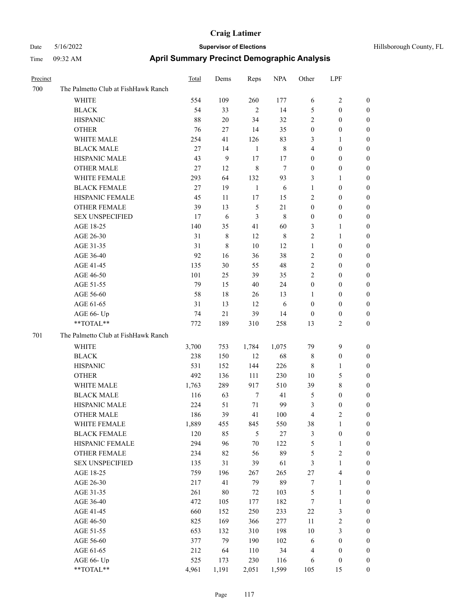| Precinct |                                     | <b>Total</b> | Dems   | Reps           | <b>NPA</b> | Other            | LPF              |                  |
|----------|-------------------------------------|--------------|--------|----------------|------------|------------------|------------------|------------------|
| 700      | The Palmetto Club at FishHawk Ranch |              |        |                |            |                  |                  |                  |
|          | WHITE                               | 554          | 109    | 260            | 177        | 6                | 2                | $\boldsymbol{0}$ |
|          | <b>BLACK</b>                        | 54           | 33     | $\overline{2}$ | 14         | 5                | $\boldsymbol{0}$ | $\boldsymbol{0}$ |
|          | <b>HISPANIC</b>                     | 88           | 20     | 34             | 32         | $\sqrt{2}$       | $\boldsymbol{0}$ | $\boldsymbol{0}$ |
|          | <b>OTHER</b>                        | 76           | 27     | 14             | 35         | $\boldsymbol{0}$ | $\boldsymbol{0}$ | $\boldsymbol{0}$ |
|          | WHITE MALE                          | 254          | 41     | 126            | 83         | 3                | 1                | $\boldsymbol{0}$ |
|          | <b>BLACK MALE</b>                   | 27           | 14     | $\mathbf{1}$   | 8          | $\overline{4}$   | $\boldsymbol{0}$ | $\boldsymbol{0}$ |
|          | HISPANIC MALE                       | 43           | 9      | 17             | 17         | $\mathbf{0}$     | $\theta$         | $\boldsymbol{0}$ |
|          | <b>OTHER MALE</b>                   | 27           | 12     | $\,8\,$        | $\tau$     | $\boldsymbol{0}$ | $\boldsymbol{0}$ | $\boldsymbol{0}$ |
|          | WHITE FEMALE                        | 293          | 64     | 132            | 93         | 3                | 1                | $\boldsymbol{0}$ |
|          | <b>BLACK FEMALE</b>                 | 27           | 19     | 1              | 6          | $\mathbf{1}$     | $\boldsymbol{0}$ | $\boldsymbol{0}$ |
|          | HISPANIC FEMALE                     | 45           | 11     | 17             | 15         | $\overline{2}$   | $\boldsymbol{0}$ | $\boldsymbol{0}$ |
|          | <b>OTHER FEMALE</b>                 | 39           | 13     | 5              | 21         | $\mathbf{0}$     | $\theta$         | $\boldsymbol{0}$ |
|          | <b>SEX UNSPECIFIED</b>              | 17           | 6      | 3              | 8          | $\boldsymbol{0}$ | $\boldsymbol{0}$ | $\boldsymbol{0}$ |
|          | AGE 18-25                           | 140          | 35     | 41             | 60         | 3                | 1                | $\boldsymbol{0}$ |
|          | AGE 26-30                           | 31           | 8      | 12             | 8          | $\overline{2}$   | 1                | $\boldsymbol{0}$ |
|          | AGE 31-35                           | 31           | 8      | 10             | 12         | $\mathbf{1}$     | $\boldsymbol{0}$ | $\boldsymbol{0}$ |
|          | AGE 36-40                           | 92           | 16     | 36             | 38         | $\sqrt{2}$       | 0                | $\boldsymbol{0}$ |
|          | AGE 41-45                           | 135          | 30     | 55             | 48         | $\sqrt{2}$       | $\boldsymbol{0}$ | $\boldsymbol{0}$ |
|          | AGE 46-50                           | 101          | 25     | 39             | 35         | $\overline{c}$   | $\boldsymbol{0}$ | $\boldsymbol{0}$ |
|          | AGE 51-55                           | 79           | 15     | 40             | 24         | $\boldsymbol{0}$ | $\boldsymbol{0}$ | $\boldsymbol{0}$ |
|          | AGE 56-60                           | 58           | 18     | 26             | 13         | 1                | $\boldsymbol{0}$ | $\boldsymbol{0}$ |
|          | AGE 61-65                           | 31           | 13     | 12             | 6          | $\mathbf{0}$     | $\boldsymbol{0}$ | $\boldsymbol{0}$ |
|          | AGE 66- Up                          | 74           | $21\,$ | 39             | 14         | $\boldsymbol{0}$ | $\boldsymbol{0}$ | $\boldsymbol{0}$ |
|          | **TOTAL**                           | 772          | 189    | 310            | 258        | 13               | 2                | $\boldsymbol{0}$ |
| 701      | The Palmetto Club at FishHawk Ranch |              |        |                |            |                  |                  |                  |
|          | <b>WHITE</b>                        | 3,700        | 753    | 1,784          | 1,075      | 79               | 9                | $\boldsymbol{0}$ |
|          | <b>BLACK</b>                        | 238          | 150    | 12             | 68         | 8                | $\boldsymbol{0}$ | $\boldsymbol{0}$ |
|          | <b>HISPANIC</b>                     | 531          | 152    | 144            | 226        | 8                | 1                | $\boldsymbol{0}$ |
|          | <b>OTHER</b>                        | 492          | 136    | 111            | 230        | 10               | 5                | $\boldsymbol{0}$ |
|          | WHITE MALE                          | 1,763        | 289    | 917            | 510        | 39               | 8                | $\boldsymbol{0}$ |
|          | <b>BLACK MALE</b>                   | 116          | 63     | $\tau$         | 41         | $\mathfrak{S}$   | $\boldsymbol{0}$ | $\boldsymbol{0}$ |
|          | HISPANIC MALE                       | 224          | 51     | 71             | 99         | $\mathfrak{Z}$   | $\boldsymbol{0}$ | $\boldsymbol{0}$ |
|          | <b>OTHER MALE</b>                   | 186          | 39     | 41             | 100        | 4                | 2                | $\boldsymbol{0}$ |
|          | WHITE FEMALE                        | 1,889        | 455    | 845            | 550        | 38               | $\mathbf{1}$     | $\boldsymbol{0}$ |
|          | <b>BLACK FEMALE</b>                 | 120          | 85     | 5              | $27\,$     | $\mathfrak{Z}$   | $\boldsymbol{0}$ | $\boldsymbol{0}$ |
|          | HISPANIC FEMALE                     | 294          | 96     | $70\,$         | 122        | $\mathfrak s$    | 1                | $\boldsymbol{0}$ |
|          | <b>OTHER FEMALE</b>                 | 234          | 82     | 56             | 89         | $\mathfrak{S}$   | $\overline{c}$   | $\boldsymbol{0}$ |
|          | <b>SEX UNSPECIFIED</b>              | 135          | 31     | 39             | 61         | $\mathfrak{Z}$   | $\mathbf{1}$     | $\boldsymbol{0}$ |
|          | AGE 18-25                           | 759          | 196    | 267            | 265        | $27\,$           | 4                | $\boldsymbol{0}$ |
|          | AGE 26-30                           | 217          | 41     | 79             | 89         | $\tau$           | 1                | $\boldsymbol{0}$ |
|          | AGE 31-35                           | 261          | $80\,$ | 72             | 103        | $\mathfrak s$    | $\mathbf{1}$     | $\boldsymbol{0}$ |
|          | AGE 36-40                           | 472          | 105    | 177            | 182        | $\tau$           | 1                | $\boldsymbol{0}$ |
|          | AGE 41-45                           | 660          | 152    | 250            | 233        | $22\,$           | 3                | $\boldsymbol{0}$ |
|          | AGE 46-50                           | 825          | 169    | 366            | 277        | 11               | $\sqrt{2}$       | $\boldsymbol{0}$ |
|          | AGE 51-55                           | 653          | 132    | 310            | 198        | $10\,$           | 3                | $\boldsymbol{0}$ |
|          | AGE 56-60                           | 377          | 79     | 190            | 102        | 6                | $\boldsymbol{0}$ | $\boldsymbol{0}$ |
|          | AGE 61-65                           | 212          | 64     | 110            | 34         | $\overline{4}$   | $\boldsymbol{0}$ | $\boldsymbol{0}$ |
|          | AGE 66- Up                          | 525          | 173    | 230            | 116        | 6                | $\boldsymbol{0}$ | $\boldsymbol{0}$ |
|          | $**TOTAL**$                         | 4,961        | 1,191  | 2,051          | 1,599      | 105              | 15               | $\boldsymbol{0}$ |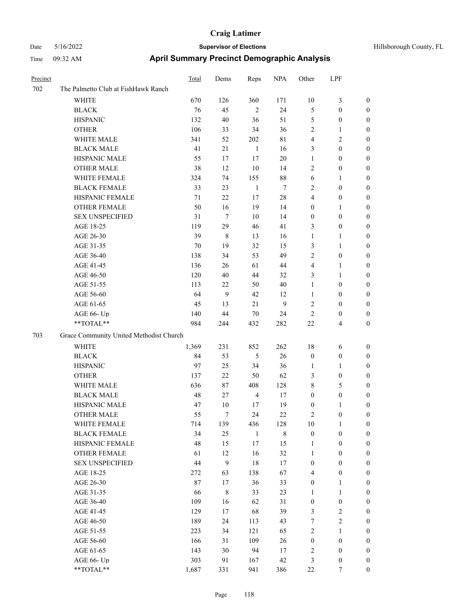| Precinct |                                         | <b>Total</b> | Dems           | Reps           | <b>NPA</b>  | Other            | LPF              |                  |
|----------|-----------------------------------------|--------------|----------------|----------------|-------------|------------------|------------------|------------------|
| 702      | The Palmetto Club at FishHawk Ranch     |              |                |                |             |                  |                  |                  |
|          | WHITE                                   | 670          | 126            | 360            | 171         | 10               | 3                | $\mathbf{0}$     |
|          | <b>BLACK</b>                            | 76           | 45             | 2              | 24          | $\mathfrak{S}$   | $\boldsymbol{0}$ | $\mathbf{0}$     |
|          | <b>HISPANIC</b>                         | 132          | 40             | 36             | 51          | 5                | $\boldsymbol{0}$ | $\boldsymbol{0}$ |
|          | <b>OTHER</b>                            | 106          | 33             | 34             | 36          | $\overline{2}$   | 1                | $\boldsymbol{0}$ |
|          | WHITE MALE                              | 341          | 52             | 202            | $8\sqrt{1}$ | $\overline{4}$   | 2                | $\boldsymbol{0}$ |
|          | <b>BLACK MALE</b>                       | 41           | 21             | $\mathbf{1}$   | 16          | 3                | $\boldsymbol{0}$ | $\boldsymbol{0}$ |
|          | HISPANIC MALE                           | 55           | 17             | 17             | $20\,$      | $\mathbf{1}$     | $\boldsymbol{0}$ | $\boldsymbol{0}$ |
|          | <b>OTHER MALE</b>                       | 38           | 12             | 10             | 14          | $\overline{2}$   | $\boldsymbol{0}$ | $\boldsymbol{0}$ |
|          | WHITE FEMALE                            | 324          | 74             | 155            | 88          | 6                | 1                | $\boldsymbol{0}$ |
|          | <b>BLACK FEMALE</b>                     | 33           | 23             | $\mathbf{1}$   | $\tau$      | $\sqrt{2}$       | $\boldsymbol{0}$ | $\boldsymbol{0}$ |
|          | HISPANIC FEMALE                         | 71           | 22             | 17             | 28          | $\overline{4}$   | $\boldsymbol{0}$ | $\boldsymbol{0}$ |
|          | <b>OTHER FEMALE</b>                     | 50           | 16             | 19             | 14          | $\boldsymbol{0}$ | 1                | $\boldsymbol{0}$ |
|          | <b>SEX UNSPECIFIED</b>                  | 31           | $\tau$         | 10             | 14          | $\boldsymbol{0}$ | $\boldsymbol{0}$ | $\boldsymbol{0}$ |
|          | AGE 18-25                               | 119          | 29             | 46             | 41          | 3                | $\boldsymbol{0}$ | $\boldsymbol{0}$ |
|          | AGE 26-30                               | 39           | 8              | 13             | 16          | $\mathbf{1}$     | 1                | $\boldsymbol{0}$ |
|          | AGE 31-35                               | 70           | 19             | 32             | 15          | $\mathfrak{Z}$   | 1                | $\boldsymbol{0}$ |
|          | AGE 36-40                               | 138          | 34             | 53             | 49          | $\overline{c}$   | $\boldsymbol{0}$ | $\boldsymbol{0}$ |
|          | AGE 41-45                               | 136          | 26             | 61             | 44          | $\overline{4}$   | 1                | $\boldsymbol{0}$ |
|          | AGE 46-50                               | 120          | 40             | 44             | 32          | 3                | 1                | $\boldsymbol{0}$ |
|          | AGE 51-55                               | 113          | 22             | 50             | 40          | 1                | $\boldsymbol{0}$ | $\boldsymbol{0}$ |
|          | AGE 56-60                               | 64           | 9              | 42             | 12          | 1                | $\boldsymbol{0}$ | $\boldsymbol{0}$ |
|          | AGE 61-65                               | 45           | 13             | 21             | 9           | $\overline{2}$   | $\boldsymbol{0}$ | $\boldsymbol{0}$ |
|          | AGE 66- Up                              | 140          | 44             | 70             | 24          | $\overline{2}$   | 0                | $\boldsymbol{0}$ |
|          | **TOTAL**                               | 984          | 244            | 432            | 282         | 22               | 4                | $\boldsymbol{0}$ |
| 703      | Grace Community United Methodist Church |              |                |                |             |                  |                  |                  |
|          | <b>WHITE</b>                            | 1,369        | 231            | 852            | 262         | 18               | 6                | $\boldsymbol{0}$ |
|          | <b>BLACK</b>                            | 84           | 53             | 5              | $26\,$      | $\boldsymbol{0}$ | $\boldsymbol{0}$ | $\boldsymbol{0}$ |
|          | <b>HISPANIC</b>                         | 97           | 25             | 34             | 36          | 1                | 1                | $\boldsymbol{0}$ |
|          | <b>OTHER</b>                            | 137          | 22             | 50             | 62          | $\mathfrak{Z}$   | $\boldsymbol{0}$ | $\boldsymbol{0}$ |
|          | WHITE MALE                              | 636          | 87             | 408            | 128         | $\,8\,$          | 5                | $\boldsymbol{0}$ |
|          | <b>BLACK MALE</b>                       | 48           | 27             | $\overline{4}$ | 17          | $\boldsymbol{0}$ | $\boldsymbol{0}$ | $\boldsymbol{0}$ |
|          | HISPANIC MALE                           | 47           | 10             | 17             | 19          | $\boldsymbol{0}$ | 1                | $\boldsymbol{0}$ |
|          | <b>OTHER MALE</b>                       | 55           | $\overline{7}$ | 24             | 22          | $\overline{c}$   | $\boldsymbol{0}$ | $\boldsymbol{0}$ |
|          | WHITE FEMALE                            | 714          | 139            | 436            | 128         | $10\,$           | $\mathbf{1}$     | $\mathbf{0}$     |
|          | <b>BLACK FEMALE</b>                     | 34           | 25             | $\mathbf{1}$   | $\,$ 8 $\,$ | $\boldsymbol{0}$ | $\boldsymbol{0}$ | $\boldsymbol{0}$ |
|          | HISPANIC FEMALE                         | 48           | 15             | 17             | 15          | 1                | $\boldsymbol{0}$ | $\boldsymbol{0}$ |
|          | OTHER FEMALE                            | 61           | 12             | 16             | 32          | $\mathbf{1}$     | $\boldsymbol{0}$ | $\boldsymbol{0}$ |
|          | <b>SEX UNSPECIFIED</b>                  | 44           | 9              | $18\,$         | 17          | $\boldsymbol{0}$ | $\boldsymbol{0}$ | $\boldsymbol{0}$ |
|          | AGE 18-25                               | 272          | 63             | 138            | 67          | $\overline{4}$   | $\boldsymbol{0}$ | $\boldsymbol{0}$ |
|          | AGE 26-30                               | 87           | 17             | 36             | 33          | $\boldsymbol{0}$ | 1                | $\boldsymbol{0}$ |
|          | AGE 31-35                               | 66           | $8\,$          | 33             | 23          | 1                | $\mathbf{1}$     | $\boldsymbol{0}$ |
|          | AGE 36-40                               | 109          | 16             | 62             | 31          | $\boldsymbol{0}$ | $\boldsymbol{0}$ | $\boldsymbol{0}$ |
|          | AGE 41-45                               | 129          | 17             | 68             | 39          | $\mathfrak{Z}$   | $\mathbf{2}$     | $\boldsymbol{0}$ |
|          | AGE 46-50                               | 189          | 24             | 113            | 43          | 7                | $\mathbf{2}$     | $\boldsymbol{0}$ |
|          | AGE 51-55                               | 223          | 34             |                | 65          | $\sqrt{2}$       | $\mathbf{1}$     | $\boldsymbol{0}$ |
|          | AGE 56-60                               | 166          | 31             | 121<br>109     | $26\,$      | $\boldsymbol{0}$ | $\boldsymbol{0}$ | $\boldsymbol{0}$ |
|          | AGE 61-65                               | 143          | 30             | 94             | $17\,$      | $\sqrt{2}$       | $\boldsymbol{0}$ | $\boldsymbol{0}$ |
|          | AGE 66- Up                              | 303          | 91             | 167            | 42          | $\mathfrak{Z}$   | $\boldsymbol{0}$ | $\bf{0}$         |
|          | **TOTAL**                               | 1,687        | 331            | 941            | 386         | 22               | $\tau$           | $\boldsymbol{0}$ |
|          |                                         |              |                |                |             |                  |                  |                  |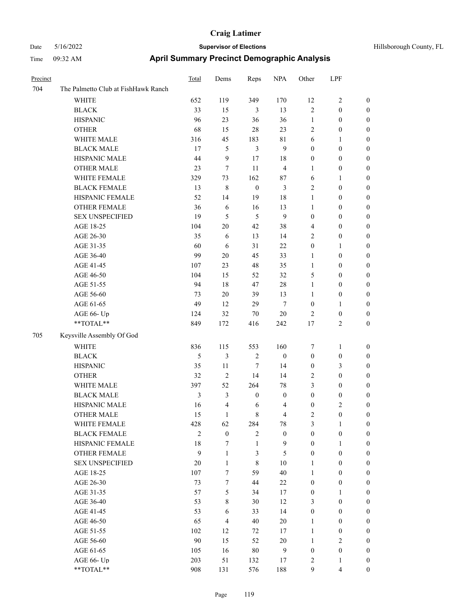| Precinct |                                     | <b>Total</b>   | Dems             | Reps             | <b>NPA</b>       | Other            | LPF              |                  |
|----------|-------------------------------------|----------------|------------------|------------------|------------------|------------------|------------------|------------------|
| 704      | The Palmetto Club at FishHawk Ranch |                |                  |                  |                  |                  |                  |                  |
|          | WHITE                               | 652            | 119              | 349              | 170              | 12               | 2                | $\mathbf{0}$     |
|          | <b>BLACK</b>                        | 33             | 15               | 3                | 13               | $\sqrt{2}$       | $\boldsymbol{0}$ | $\boldsymbol{0}$ |
|          | <b>HISPANIC</b>                     | 96             | 23               | 36               | 36               | 1                | $\boldsymbol{0}$ | $\boldsymbol{0}$ |
|          | <b>OTHER</b>                        | 68             | 15               | 28               | 23               | $\overline{2}$   | $\boldsymbol{0}$ | $\boldsymbol{0}$ |
|          | WHITE MALE                          | 316            | 45               | 183              | 81               | 6                | 1                | $\boldsymbol{0}$ |
|          | <b>BLACK MALE</b>                   | 17             | 5                | $\mathfrak{Z}$   | 9                | $\boldsymbol{0}$ | $\boldsymbol{0}$ | $\boldsymbol{0}$ |
|          | HISPANIC MALE                       | 44             | 9                | 17               | 18               | $\boldsymbol{0}$ | $\boldsymbol{0}$ | $\boldsymbol{0}$ |
|          | <b>OTHER MALE</b>                   | 23             | 7                | 11               | $\overline{4}$   | 1                | $\boldsymbol{0}$ | $\boldsymbol{0}$ |
|          | WHITE FEMALE                        | 329            | 73               | 162              | 87               | 6                | 1                | $\boldsymbol{0}$ |
|          | <b>BLACK FEMALE</b>                 | 13             | $\,8\,$          | $\boldsymbol{0}$ | 3                | $\overline{2}$   | $\boldsymbol{0}$ | $\boldsymbol{0}$ |
|          | HISPANIC FEMALE                     | 52             | 14               | 19               | 18               | 1                | $\boldsymbol{0}$ | $\boldsymbol{0}$ |
|          | <b>OTHER FEMALE</b>                 | 36             | 6                | 16               | 13               | 1                | $\boldsymbol{0}$ | $\boldsymbol{0}$ |
|          | <b>SEX UNSPECIFIED</b>              | 19             | 5                | 5                | 9                | $\mathbf{0}$     | $\theta$         | $\boldsymbol{0}$ |
|          | AGE 18-25                           | 104            | 20               | 42               | 38               | $\overline{4}$   | $\boldsymbol{0}$ | $\boldsymbol{0}$ |
|          | AGE 26-30                           | 35             | 6                | 13               | 14               | $\overline{2}$   | $\boldsymbol{0}$ | $\boldsymbol{0}$ |
|          | AGE 31-35                           | 60             | 6                | 31               | 22               | $\boldsymbol{0}$ | 1                | $\boldsymbol{0}$ |
|          | AGE 36-40                           | 99             | 20               | 45               | 33               | $\mathbf{1}$     | $\boldsymbol{0}$ | $\boldsymbol{0}$ |
|          | AGE 41-45                           | 107            | 23               | 48               | 35               | 1                | $\boldsymbol{0}$ | $\boldsymbol{0}$ |
|          | AGE 46-50                           | 104            | 15               | 52               | 32               | 5                | $\boldsymbol{0}$ | $\boldsymbol{0}$ |
|          | AGE 51-55                           | 94             | 18               | 47               | 28               | 1                | $\boldsymbol{0}$ | $\boldsymbol{0}$ |
|          | AGE 56-60                           | 73             | 20               | 39               | 13               | 1                | $\boldsymbol{0}$ | $\boldsymbol{0}$ |
|          | AGE 61-65                           | 49             | 12               | 29               | $\overline{7}$   | $\boldsymbol{0}$ | 1                | $\boldsymbol{0}$ |
|          | AGE 66- Up                          | 124            | 32               | 70               | 20               | $\overline{2}$   | $\boldsymbol{0}$ | $\boldsymbol{0}$ |
|          | **TOTAL**                           | 849            | 172              | 416              | 242              | $17\,$           | 2                | $\boldsymbol{0}$ |
| 705      | Keysville Assembly Of God           |                |                  |                  |                  |                  |                  |                  |
|          | <b>WHITE</b>                        | 836            | 115              | 553              | 160              | 7                | 1                | $\boldsymbol{0}$ |
|          | <b>BLACK</b>                        | 5              | 3                | $\overline{2}$   | $\boldsymbol{0}$ | $\boldsymbol{0}$ | $\boldsymbol{0}$ | $\boldsymbol{0}$ |
|          | <b>HISPANIC</b>                     | 35             | 11               | 7                | 14               | $\boldsymbol{0}$ | 3                | $\boldsymbol{0}$ |
|          | <b>OTHER</b>                        | 32             | $\mathbf{2}$     | 14               | 14               | $\sqrt{2}$       | $\boldsymbol{0}$ | $\boldsymbol{0}$ |
|          | WHITE MALE                          | 397            | 52               | 264              | 78               | 3                | $\boldsymbol{0}$ | $\boldsymbol{0}$ |
|          | <b>BLACK MALE</b>                   | $\mathfrak{Z}$ | 3                | $\boldsymbol{0}$ | $\mathbf{0}$     | $\boldsymbol{0}$ | $\boldsymbol{0}$ | $\boldsymbol{0}$ |
|          | HISPANIC MALE                       | 16             | $\overline{4}$   | 6                | 4                | $\boldsymbol{0}$ | 2                | $\boldsymbol{0}$ |
|          | <b>OTHER MALE</b>                   | 15             | 1                | 8                | 4                | $\overline{2}$   | $\theta$         | $\boldsymbol{0}$ |
|          | WHITE FEMALE                        | 428            | 62               | 284              | 78               | $\mathfrak{Z}$   | $\mathbf{1}$     | $\mathbf{0}$     |
|          | <b>BLACK FEMALE</b>                 | $\mathbf{2}$   | $\boldsymbol{0}$ | $\overline{2}$   | $\boldsymbol{0}$ | $\boldsymbol{0}$ | $\boldsymbol{0}$ | $\boldsymbol{0}$ |
|          | HISPANIC FEMALE                     | 18             | 7                | $\mathbf{1}$     | 9                | $\mathbf{0}$     | 1                | $\boldsymbol{0}$ |
|          | OTHER FEMALE                        | 9              | $\mathbf{1}$     | 3                | $\mathfrak{S}$   | $\boldsymbol{0}$ | $\boldsymbol{0}$ | $\boldsymbol{0}$ |
|          | <b>SEX UNSPECIFIED</b>              | 20             | $\mathbf{1}$     | $\,8\,$          | 10               | $\mathbf{1}$     | $\boldsymbol{0}$ | $\boldsymbol{0}$ |
|          | AGE 18-25                           | 107            | $\tau$           | 59               | 40               | $\mathbf{1}$     | $\boldsymbol{0}$ | $\boldsymbol{0}$ |
|          | AGE 26-30                           | 73             | $\tau$           | 44               | $22\,$           | $\boldsymbol{0}$ | $\boldsymbol{0}$ | $\boldsymbol{0}$ |
|          | AGE 31-35                           | 57             | 5                | 34               | 17               | $\boldsymbol{0}$ | 1                | $\mathbf{0}$     |
|          | AGE 36-40                           | 53             | $8\,$            | 30               | 12               | 3                | $\boldsymbol{0}$ | $\boldsymbol{0}$ |
|          | AGE 41-45                           | 53             | 6                | 33               | 14               | $\boldsymbol{0}$ | $\boldsymbol{0}$ | $\boldsymbol{0}$ |
|          | AGE 46-50                           | 65             | $\overline{4}$   | $40\,$           | $20\,$           | $\mathbf{1}$     | $\boldsymbol{0}$ | $\boldsymbol{0}$ |
|          | AGE 51-55                           | 102            | 12               | 72               | $17\,$           | $\mathbf{1}$     | $\boldsymbol{0}$ | $\boldsymbol{0}$ |
|          | AGE 56-60                           | 90             | 15               | 52               | $20\,$           | $\mathbf{1}$     | $\mathbf{2}$     | $\boldsymbol{0}$ |
|          | AGE 61-65                           | 105            | 16               | $80\,$           | 9                | $\boldsymbol{0}$ | $\boldsymbol{0}$ | $\boldsymbol{0}$ |
|          | AGE 66- Up                          | 203            | 51               | 132              | 17               | $\sqrt{2}$       | 1                | $\bf{0}$         |
|          | $**TOTAL**$                         | 908            | 131              | 576              | 188              | 9                | 4                | $\boldsymbol{0}$ |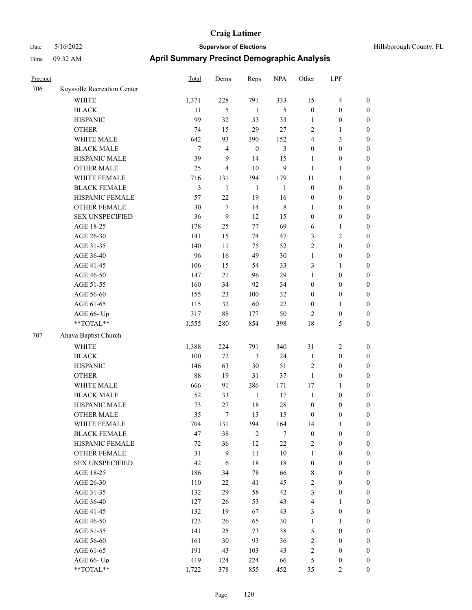| Precinct |                             | Total  | Dems           | Reps             | <b>NPA</b>     | Other            | LPF              |                  |
|----------|-----------------------------|--------|----------------|------------------|----------------|------------------|------------------|------------------|
| 706      | Keysville Recreation Center |        |                |                  |                |                  |                  |                  |
|          | WHITE                       | 1,371  | 228            | 791              | 333            | 15               | 4                | $\boldsymbol{0}$ |
|          | <b>BLACK</b>                | 11     | 5              | $\mathbf{1}$     | 5              | $\boldsymbol{0}$ | $\boldsymbol{0}$ | $\boldsymbol{0}$ |
|          | <b>HISPANIC</b>             | 99     | 32             | 33               | 33             | 1                | $\boldsymbol{0}$ | $\boldsymbol{0}$ |
|          | <b>OTHER</b>                | 74     | 15             | 29               | $27\,$         | $\sqrt{2}$       | 1                | $\boldsymbol{0}$ |
|          | WHITE MALE                  | 642    | 93             | 390              | 152            | $\overline{4}$   | 3                | $\boldsymbol{0}$ |
|          | <b>BLACK MALE</b>           | $\tau$ | 4              | $\boldsymbol{0}$ | $\mathfrak{Z}$ | $\boldsymbol{0}$ | $\boldsymbol{0}$ | $\boldsymbol{0}$ |
|          | HISPANIC MALE               | 39     | 9              | 14               | 15             | $\mathbf{1}$     | $\boldsymbol{0}$ | $\boldsymbol{0}$ |
|          | <b>OTHER MALE</b>           | 25     | $\overline{4}$ | 10               | 9              | 1                | 1                | $\boldsymbol{0}$ |
|          | WHITE FEMALE                | 716    | 131            | 394              | 179            | 11               | 1                | $\boldsymbol{0}$ |
|          | <b>BLACK FEMALE</b>         | 3      | $\mathbf{1}$   | $\mathbf{1}$     | $\mathbf{1}$   | $\boldsymbol{0}$ | $\boldsymbol{0}$ | $\boldsymbol{0}$ |
|          | HISPANIC FEMALE             | 57     | 22             | 19               | 16             | $\boldsymbol{0}$ | $\boldsymbol{0}$ | $\boldsymbol{0}$ |
|          | <b>OTHER FEMALE</b>         | 30     | $\tau$         | 14               | 8              | 1                | $\boldsymbol{0}$ | $\boldsymbol{0}$ |
|          | <b>SEX UNSPECIFIED</b>      | 36     | 9              | 12               | 15             | $\mathbf{0}$     | $\boldsymbol{0}$ | $\boldsymbol{0}$ |
|          | AGE 18-25                   | 178    | 25             | 77               | 69             | 6                | 1                | $\boldsymbol{0}$ |
|          | AGE 26-30                   | 141    | 15             | 74               | 47             | $\mathfrak{Z}$   | 2                | $\boldsymbol{0}$ |
|          | AGE 31-35                   | 140    | 11             | 75               | 52             | $\sqrt{2}$       | $\boldsymbol{0}$ | $\boldsymbol{0}$ |
|          | AGE 36-40                   | 96     | 16             | 49               | 30             | $\mathbf{1}$     | $\boldsymbol{0}$ | $\boldsymbol{0}$ |
|          | AGE 41-45                   | 106    | 15             | 54               | 33             | 3                | 1                | $\boldsymbol{0}$ |
|          | AGE 46-50                   | 147    | $21\,$         | 96               | 29             | $\mathbf{1}$     | $\boldsymbol{0}$ | $\boldsymbol{0}$ |
|          | AGE 51-55                   | 160    | 34             | 92               | 34             | $\boldsymbol{0}$ | $\boldsymbol{0}$ | $\boldsymbol{0}$ |
|          | AGE 56-60                   | 155    | 23             | 100              | 32             | $\boldsymbol{0}$ | $\boldsymbol{0}$ | $\boldsymbol{0}$ |
|          | AGE 61-65                   | 115    | 32             | 60               | 22             | $\boldsymbol{0}$ | 1                | $\boldsymbol{0}$ |
|          | AGE 66- Up                  | 317    | $88\,$         | 177              | 50             | $\overline{2}$   | $\boldsymbol{0}$ | $\boldsymbol{0}$ |
|          | $**TOTAL**$                 | 1,555  | 280            | 854              | 398            | 18               | 5                | $\boldsymbol{0}$ |
| 707      | Ahava Baptist Church        |        |                |                  |                |                  |                  |                  |
|          | <b>WHITE</b>                | 1,388  | 224            | 791              | 340            | 31               | 2                | $\boldsymbol{0}$ |
|          | <b>BLACK</b>                | 100    | $72\,$         | 3                | 24             | $\mathbf{1}$     | $\boldsymbol{0}$ | $\boldsymbol{0}$ |
|          | <b>HISPANIC</b>             | 146    | 63             | 30               | 51             | $\sqrt{2}$       | $\boldsymbol{0}$ | $\boldsymbol{0}$ |
|          | <b>OTHER</b>                | 88     | 19             | 31               | 37             | $\mathbf{1}$     | $\boldsymbol{0}$ | $\boldsymbol{0}$ |
|          | WHITE MALE                  | 666    | 91             | 386              | 171            | 17               | 1                | $\boldsymbol{0}$ |
|          | <b>BLACK MALE</b>           | 52     | 33             | $\mathbf{1}$     | 17             | $\mathbf{1}$     | $\boldsymbol{0}$ | $\boldsymbol{0}$ |
|          | HISPANIC MALE               | 73     | 27             | 18               | 28             | $\boldsymbol{0}$ | $\boldsymbol{0}$ | $\boldsymbol{0}$ |
|          | <b>OTHER MALE</b>           | 35     | 7              | 13               | 15             | $\mathbf{0}$     | 0                | $\boldsymbol{0}$ |
|          | WHITE FEMALE                | 704    | 131            | 394              | 164            | 14               | $\mathbf{1}$     | $\boldsymbol{0}$ |
|          | <b>BLACK FEMALE</b>         | 47     | 38             | 2                | $\tau$         | $\boldsymbol{0}$ | $\boldsymbol{0}$ | $\boldsymbol{0}$ |
|          | HISPANIC FEMALE             | 72     | 36             | 12               | 22             | $\sqrt{2}$       | $\boldsymbol{0}$ | $\boldsymbol{0}$ |
|          | <b>OTHER FEMALE</b>         | 31     | 9              | 11               | $10\,$         | $\mathbf{1}$     | $\boldsymbol{0}$ | $\boldsymbol{0}$ |
|          | <b>SEX UNSPECIFIED</b>      | 42     | 6              | $18\,$           | $18\,$         | $\boldsymbol{0}$ | $\boldsymbol{0}$ | $\boldsymbol{0}$ |
|          | AGE 18-25                   | 186    | 34             | $78\,$           | 66             | $\,$ 8 $\,$      | $\boldsymbol{0}$ | $\boldsymbol{0}$ |
|          | AGE 26-30                   | 110    | 22             | 41               | 45             | $\sqrt{2}$       | $\boldsymbol{0}$ | $\boldsymbol{0}$ |
|          | AGE 31-35                   | 132    | 29             | 58               | 42             | $\mathfrak{Z}$   | $\boldsymbol{0}$ | $\boldsymbol{0}$ |
|          | AGE 36-40                   | 127    | 26             | 53               | 43             | $\overline{4}$   | 1                | $\boldsymbol{0}$ |
|          | AGE 41-45                   | 132    | 19             | 67               | 43             | $\mathfrak{Z}$   | $\boldsymbol{0}$ | $\boldsymbol{0}$ |
|          | AGE 46-50                   | 123    | 26             | 65               | 30             | $\mathbf{1}$     | $\mathbf{1}$     | $\boldsymbol{0}$ |
|          | AGE 51-55                   | 141    | 25             | 73               | 38             | $\mathfrak s$    | $\boldsymbol{0}$ | $\boldsymbol{0}$ |
|          | AGE 56-60                   | 161    | 30             | 93               | 36             | $\sqrt{2}$       | $\boldsymbol{0}$ | $\boldsymbol{0}$ |
|          | AGE 61-65                   | 191    | 43             | 103              | 43             | $\sqrt{2}$       | $\boldsymbol{0}$ | $\boldsymbol{0}$ |
|          | AGE 66- Up                  | 419    | 124            | 224              | 66             | $\mathfrak s$    | $\boldsymbol{0}$ | $\boldsymbol{0}$ |
|          | $**TOTAL**$                 | 1,722  | 378            | 855              | 452            | 35               | $\overline{c}$   | $\boldsymbol{0}$ |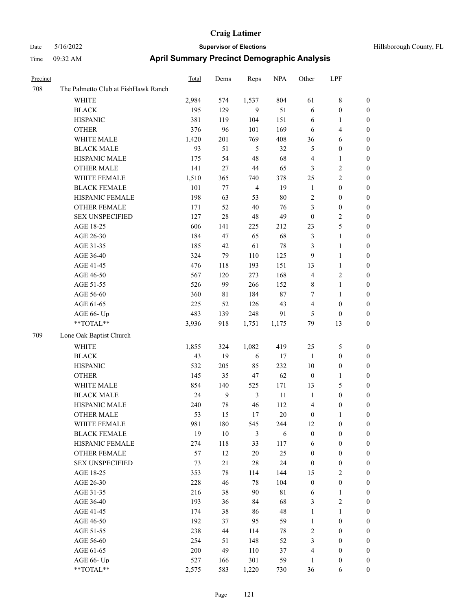| Precinct |                                     | <b>Total</b> | Dems         | Reps           | <b>NPA</b>  | Other            | LPF                     |                  |
|----------|-------------------------------------|--------------|--------------|----------------|-------------|------------------|-------------------------|------------------|
| 708      | The Palmetto Club at FishHawk Ranch |              |              |                |             |                  |                         |                  |
|          | WHITE                               | 2,984        | 574          | 1,537          | 804         | 61               | $8\,$                   | $\boldsymbol{0}$ |
|          | <b>BLACK</b>                        | 195          | 129          | $\mathbf{9}$   | 51          | 6                | $\boldsymbol{0}$        | $\boldsymbol{0}$ |
|          | <b>HISPANIC</b>                     | 381          | 119          | 104            | 151         | 6                | $\mathbf{1}$            | 0                |
|          | <b>OTHER</b>                        | 376          | 96           | 101            | 169         | 6                | $\overline{\mathbf{4}}$ | 0                |
|          | WHITE MALE                          | 1,420        | 201          | 769            | 408         | 36               | 6                       | 0                |
|          | <b>BLACK MALE</b>                   | 93           | 51           | 5              | 32          | 5                | $\boldsymbol{0}$        | $\boldsymbol{0}$ |
|          | HISPANIC MALE                       | 175          | 54           | 48             | 68          | 4                | $\mathbf{1}$            | $\boldsymbol{0}$ |
|          | <b>OTHER MALE</b>                   | 141          | 27           | $44\,$         | 65          | 3                | $\sqrt{2}$              | $\boldsymbol{0}$ |
|          | WHITE FEMALE                        | 1,510        | 365          | 740            | 378         | 25               | $\sqrt{2}$              | $\boldsymbol{0}$ |
|          | <b>BLACK FEMALE</b>                 | 101          | 77           | $\overline{4}$ | 19          | $\mathbf{1}$     | $\boldsymbol{0}$        | $\boldsymbol{0}$ |
|          | HISPANIC FEMALE                     | 198          | 63           | 53             | $80\,$      | $\overline{c}$   | $\boldsymbol{0}$        | $\boldsymbol{0}$ |
|          | <b>OTHER FEMALE</b>                 | 171          | 52           | 40             | 76          | 3                | $\boldsymbol{0}$        | 0                |
|          | <b>SEX UNSPECIFIED</b>              | 127          | 28           | $48\,$         | 49          | $\boldsymbol{0}$ | $\sqrt{2}$              | 0                |
|          | AGE 18-25                           | 606          | 141          | 225            | 212         | 23               | $\mathfrak s$           | 0                |
|          | AGE 26-30                           | 184          | 47           | 65             | 68          | 3                | $\mathbf{1}$            | 0                |
|          | AGE 31-35                           | 185          | 42           | 61             | $78\,$      | 3                | $\mathbf{1}$            | $\boldsymbol{0}$ |
|          | AGE 36-40                           | 324          | 79           | 110            | 125         | 9                | $\mathbf{1}$            | $\boldsymbol{0}$ |
|          | AGE 41-45                           | 476          | 118          | 193            | 151         | 13               | $\mathbf{1}$            | 0                |
|          | AGE 46-50                           | 567          | 120          | 273            | 168         | 4                | $\sqrt{2}$              | 0                |
|          | AGE 51-55                           | 526          | 99           | 266            | 152         | 8                | $\mathbf{1}$            | $\boldsymbol{0}$ |
|          | AGE 56-60                           | 360          | 81           | 184            | 87          | 7                | $\mathbf{1}$            | 0                |
|          | AGE 61-65                           | 225          | 52           | 126            | 43          | 4                | $\boldsymbol{0}$        | 0                |
|          | AGE 66- Up                          | 483          | 139          | 248            | 91          | 5                | $\boldsymbol{0}$        | 0                |
|          | **TOTAL**                           | 3,936        | 918          | 1,751          | 1,175       | 79               | 13                      | 0                |
| 709      | Lone Oak Baptist Church             |              |              |                |             |                  |                         |                  |
|          | <b>WHITE</b>                        | 1,855        | 324          | 1,082          | 419         | 25               | 5                       | 0                |
|          | <b>BLACK</b>                        | 43           | 19           | 6              | 17          | $\mathbf{1}$     | $\boldsymbol{0}$        | 0                |
|          | <b>HISPANIC</b>                     | 532          | 205          | 85             | 232         | 10               | $\boldsymbol{0}$        | 0                |
|          | <b>OTHER</b>                        | 145          | 35           | 47             | 62          | $\boldsymbol{0}$ | $\mathbf{1}$            | $\boldsymbol{0}$ |
|          | WHITE MALE                          | 854          | 140          | 525            | 171         | 13               | $\mathfrak{S}$          | $\boldsymbol{0}$ |
|          | <b>BLACK MALE</b>                   | 24           | $\mathbf{9}$ | $\mathfrak{Z}$ | 11          | $\mathbf{1}$     | $\boldsymbol{0}$        | $\boldsymbol{0}$ |
|          | HISPANIC MALE                       | 240          | 78           | 46             | 112         | 4                | $\boldsymbol{0}$        | 0                |
|          | <b>OTHER MALE</b>                   | 53           | 15           | 17             | 20          | $\boldsymbol{0}$ | $\mathbf{1}$            | $\boldsymbol{0}$ |
|          | WHITE FEMALE                        | 981          | 180          | 545            | 244         | 12               | $\boldsymbol{0}$        | 0                |
|          | <b>BLACK FEMALE</b>                 | 19           | $10\,$       | 3              | 6           | $\boldsymbol{0}$ | $\boldsymbol{0}$        | 0                |
|          | HISPANIC FEMALE                     | 274          | 118          | 33             | 117         | 6                | $\boldsymbol{0}$        | 0                |
|          | OTHER FEMALE                        | 57           | 12           | $20\,$         | 25          | $\boldsymbol{0}$ | $\boldsymbol{0}$        | $\overline{0}$   |
|          | <b>SEX UNSPECIFIED</b>              | 73           | 21           | $28\,$         | 24          | $\boldsymbol{0}$ | $\boldsymbol{0}$        | $\overline{0}$   |
|          | AGE 18-25                           | 353          | 78           | 114            | 144         | 15               | $\sqrt{2}$              | $\overline{0}$   |
|          | AGE 26-30                           | 228          | 46           | 78             | 104         | $\boldsymbol{0}$ | $\boldsymbol{0}$        | $\overline{0}$   |
|          | AGE 31-35                           | 216          | 38           | 90             | $8\sqrt{1}$ | 6                | $\mathbf{1}$            | 0                |
|          | AGE 36-40                           | 193          | 36           | 84             | 68          | 3                | $\sqrt{2}$              | $\overline{0}$   |
|          | AGE 41-45                           | 174          | 38           | 86             | 48          | $\mathbf{1}$     | $\mathbf{1}$            | $\overline{0}$   |
|          | AGE 46-50                           | 192          | 37           | 95             | 59          | $\mathbf{1}$     | $\boldsymbol{0}$        | $\overline{0}$   |
|          | AGE 51-55                           | 238          | 44           | 114            | 78          | $\sqrt{2}$       | $\boldsymbol{0}$        | 0                |
|          | AGE 56-60                           | 254          | 51           | 148            | 52          | 3                | $\boldsymbol{0}$        | 0                |
|          | AGE 61-65                           | 200          | 49           | 110            | 37          | $\overline{4}$   | $\boldsymbol{0}$        | $\overline{0}$   |
|          | AGE 66- Up                          | 527          | 166          | 301            | 59          | $\mathbf{1}$     | $\boldsymbol{0}$        | 0                |
|          | $**TOTAL**$                         | 2,575        | 583          | 1,220          | 730         | 36               | 6                       | $\boldsymbol{0}$ |
|          |                                     |              |              |                |             |                  |                         |                  |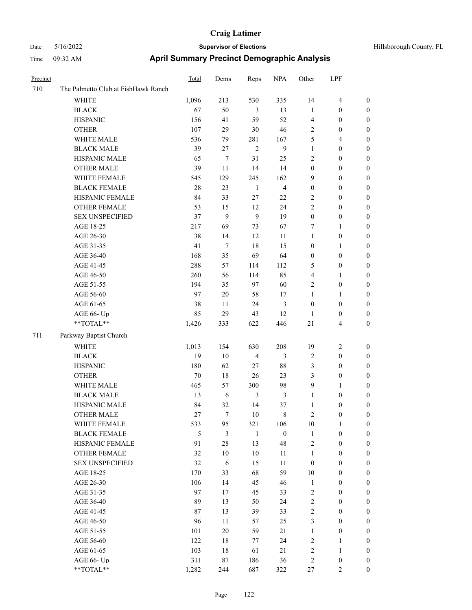| Precinct |                                     | Total         | Dems           | Reps           | <b>NPA</b>              | Other            | LPF                     |                  |
|----------|-------------------------------------|---------------|----------------|----------------|-------------------------|------------------|-------------------------|------------------|
| 710      | The Palmetto Club at FishHawk Ranch |               |                |                |                         |                  |                         |                  |
|          | WHITE                               | 1,096         | 213            | 530            | 335                     | 14               | $\overline{\mathbf{4}}$ | $\boldsymbol{0}$ |
|          | <b>BLACK</b>                        | 67            | 50             | 3              | 13                      | $\mathbf{1}$     | $\boldsymbol{0}$        | $\boldsymbol{0}$ |
|          | <b>HISPANIC</b>                     | 156           | 41             | 59             | 52                      | 4                | $\boldsymbol{0}$        | $\boldsymbol{0}$ |
|          | <b>OTHER</b>                        | 107           | 29             | $30\,$         | 46                      | $\sqrt{2}$       | $\boldsymbol{0}$        | $\boldsymbol{0}$ |
|          | WHITE MALE                          | 536           | 79             | 281            | 167                     | 5                | $\overline{4}$          | 0                |
|          | <b>BLACK MALE</b>                   | 39            | 27             | $\sqrt{2}$     | 9                       | $\mathbf{1}$     | $\boldsymbol{0}$        | $\boldsymbol{0}$ |
|          | HISPANIC MALE                       | 65            | 7              | 31             | 25                      | $\mathfrak{2}$   | $\boldsymbol{0}$        | $\boldsymbol{0}$ |
|          | <b>OTHER MALE</b>                   | 39            | 11             | 14             | 14                      | $\boldsymbol{0}$ | $\boldsymbol{0}$        | $\boldsymbol{0}$ |
|          | WHITE FEMALE                        | 545           | 129            | 245            | 162                     | 9                | $\boldsymbol{0}$        | $\boldsymbol{0}$ |
|          | <b>BLACK FEMALE</b>                 | 28            | 23             | $\mathbf{1}$   | $\overline{\mathbf{4}}$ | $\boldsymbol{0}$ | $\boldsymbol{0}$        | $\boldsymbol{0}$ |
|          | HISPANIC FEMALE                     | 84            | 33             | $27\,$         | $22\,$                  | $\sqrt{2}$       | $\boldsymbol{0}$        | $\boldsymbol{0}$ |
|          | OTHER FEMALE                        | 53            | 15             | 12             | 24                      | $\mathfrak{2}$   | $\boldsymbol{0}$        | $\boldsymbol{0}$ |
|          | <b>SEX UNSPECIFIED</b>              | 37            | 9              | 9              | 19                      | $\boldsymbol{0}$ | $\boldsymbol{0}$        | 0                |
|          | AGE 18-25                           | 217           | 69             | 73             | 67                      | 7                | $\mathbf{1}$            | 0                |
|          | AGE 26-30                           | 38            | 14             | 12             | 11                      | $\mathbf{1}$     | $\boldsymbol{0}$        | 0                |
|          | AGE 31-35                           | 41            | $\tau$         | 18             | 15                      | $\boldsymbol{0}$ | $\mathbf{1}$            | 0                |
|          | AGE 36-40                           | 168           | 35             | 69             | 64                      | $\boldsymbol{0}$ | $\boldsymbol{0}$        | $\boldsymbol{0}$ |
|          | AGE 41-45                           | 288           | 57             | 114            | 112                     | 5                | $\boldsymbol{0}$        | $\boldsymbol{0}$ |
|          | AGE 46-50                           | 260           | 56             | 114            | 85                      | 4                | $\mathbf{1}$            | $\boldsymbol{0}$ |
|          | AGE 51-55                           | 194           | 35             | 97             | 60                      | $\overline{c}$   | $\boldsymbol{0}$        | $\boldsymbol{0}$ |
|          | AGE 56-60                           | 97            | $20\,$         | 58             | 17                      | $\mathbf{1}$     | $\mathbf{1}$            | $\boldsymbol{0}$ |
|          | AGE 61-65                           | 38            | 11             | 24             | 3                       | $\boldsymbol{0}$ | $\boldsymbol{0}$        | $\boldsymbol{0}$ |
|          | AGE 66- Up                          | 85            | 29             | 43             | 12                      | $\mathbf{1}$     | $\boldsymbol{0}$        | 0                |
|          | **TOTAL**                           | 1,426         | 333            | 622            | 446                     | $21\,$           | $\overline{4}$          | 0                |
| 711      | Parkway Baptist Church              |               |                |                |                         |                  |                         |                  |
|          | WHITE                               | 1,013         | 154            | 630            | 208                     | 19               | $\overline{c}$          | $\boldsymbol{0}$ |
|          | <b>BLACK</b>                        | 19            | 10             | $\overline{4}$ | 3                       | $\overline{2}$   | $\boldsymbol{0}$        | 0                |
|          | <b>HISPANIC</b>                     | 180           | 62             | 27             | $88\,$                  | 3                | $\boldsymbol{0}$        | 0                |
|          | <b>OTHER</b>                        | 70            | 18             | 26             | 23                      | 3                | $\boldsymbol{0}$        | $\boldsymbol{0}$ |
|          | WHITE MALE                          | 465           | 57             | 300            | 98                      | 9                | $\mathbf{1}$            | $\boldsymbol{0}$ |
|          | <b>BLACK MALE</b>                   | 13            | 6              | $\mathfrak{Z}$ | 3                       | $\mathbf{1}$     | $\boldsymbol{0}$        | $\boldsymbol{0}$ |
|          | HISPANIC MALE                       | 84            | 32             | 14             | 37                      | $\mathbf{1}$     | $\boldsymbol{0}$        | $\boldsymbol{0}$ |
|          | <b>OTHER MALE</b>                   | 27            | 7              | 10             | 8                       | $\overline{c}$   | $\boldsymbol{0}$        | $\boldsymbol{0}$ |
|          | WHITE FEMALE                        | 533           | 95             | 321            | 106                     | $10\,$           | $\mathbf{1}$            | $\boldsymbol{0}$ |
|          | <b>BLACK FEMALE</b>                 | $\mathfrak s$ | $\mathfrak{Z}$ | $\mathbf{1}$   | $\boldsymbol{0}$        | $\mathbf{1}$     | $\boldsymbol{0}$        | 0                |
|          | HISPANIC FEMALE                     | 91            | $28\,$         | 13             | 48                      | 2                | $\boldsymbol{0}$        | 0                |
|          | OTHER FEMALE                        | 32            | 10             | $10\,$         | 11                      | $\mathbf{1}$     | $\boldsymbol{0}$        | 0                |
|          | <b>SEX UNSPECIFIED</b>              | 32            | $\sqrt{6}$     | 15             | 11                      | $\boldsymbol{0}$ | $\boldsymbol{0}$        | 0                |
|          | AGE 18-25                           | 170           | 33             | 68             | 59                      | $10\,$           | $\boldsymbol{0}$        | $\overline{0}$   |
|          | AGE 26-30                           | 106           | 14             | 45             | 46                      | $\mathbf{1}$     | $\boldsymbol{0}$        | $\boldsymbol{0}$ |
|          | AGE 31-35                           | 97            | 17             | 45             | 33                      | 2                | $\boldsymbol{0}$        | $\overline{0}$   |
|          | AGE 36-40                           | 89            | 13             | 50             | 24                      | $\sqrt{2}$       | $\boldsymbol{0}$        | $\overline{0}$   |
|          | AGE 41-45                           | 87            | 13             | 39             | 33                      | $\sqrt{2}$       | $\boldsymbol{0}$        | $\overline{0}$   |
|          | AGE 46-50                           | 96            | 11             | 57             | 25                      | 3                | $\boldsymbol{0}$        | $\overline{0}$   |
|          | AGE 51-55                           | 101           | $20\,$         | 59             | $21\,$                  | $\mathbf{1}$     | $\boldsymbol{0}$        | $\overline{0}$   |
|          | AGE 56-60                           | 122           | 18             | 77             | 24                      | $\sqrt{2}$       | $\mathbf{1}$            | 0                |
|          | AGE 61-65                           | 103           | 18             | 61             | $21\,$                  | $\sqrt{2}$       | $\mathbf{1}$            | 0                |
|          | AGE 66- Up                          | 311           | 87             | 186            | 36                      | $\sqrt{2}$       | $\boldsymbol{0}$        | 0                |
|          | $**TOTAL**$                         | 1,282         | 244            | 687            | 322                     | $27\,$           | $\overline{2}$          | $\boldsymbol{0}$ |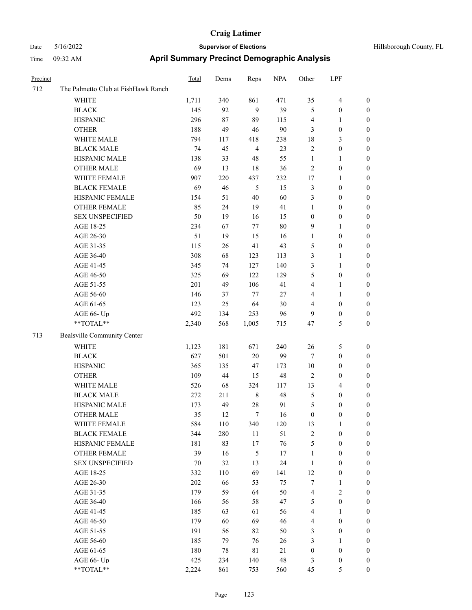| Hillsborough County, FL |  |
|-------------------------|--|
|                         |  |

| Precinct |                                                            | <b>Total</b> | Dems | Reps           | <b>NPA</b> | Other                    | LPF              |                  |
|----------|------------------------------------------------------------|--------------|------|----------------|------------|--------------------------|------------------|------------------|
| 712      | The Palmetto Club at FishHawk Ranch                        |              |      |                |            |                          |                  |                  |
|          | <b>WHITE</b>                                               | 1,711        | 340  | 861            | 471        | 35                       | $\overline{4}$   | $\boldsymbol{0}$ |
|          | $_{\rm BLACK}$                                             | 145          | 92   | 9              | 39         | 5                        | $\boldsymbol{0}$ | $\boldsymbol{0}$ |
|          | <b>HISPANIC</b>                                            | 296          | 87   | 89             | 115        | 4                        | $\mathbf{1}$     | $\boldsymbol{0}$ |
|          | <b>OTHER</b>                                               | 188          | 49   | 46             | 90         | 3                        | $\boldsymbol{0}$ | $\boldsymbol{0}$ |
|          | WHITE MALE                                                 | 794          | 117  | 418            | 238        | 18                       | 3                | $\boldsymbol{0}$ |
|          | <b>BLACK MALE</b>                                          | 74           | 45   | $\overline{4}$ | 23         | 2                        | $\boldsymbol{0}$ | $\boldsymbol{0}$ |
|          | HISPANIC MALE                                              | 138          | 33   | 48             | 55         | $\mathbf{1}$             | 1                | $\boldsymbol{0}$ |
|          | <b>OTHER MALE</b>                                          | 69           | 13   | 18             | 36         | 2                        | $\boldsymbol{0}$ | 0                |
|          | WHITE FEMALE                                               | 907          | 220  | 437            | 232        | 17                       | 1                | 0                |
|          | <b>BLACK FEMALE</b>                                        | 69           | 46   | 5              | 15         | 3                        | $\boldsymbol{0}$ | 0                |
|          | HISPANIC FEMALE                                            | 154          | 51   | 40             | 60         | 3                        | $\boldsymbol{0}$ | $\boldsymbol{0}$ |
|          | OTHER FEMALE                                               | 85           | 24   | 19             | 41         | 1                        | $\boldsymbol{0}$ | $\boldsymbol{0}$ |
|          | <b>SEX UNSPECIFIED</b>                                     | 50           | 19   | 16             | 15         | $\boldsymbol{0}$         | $\boldsymbol{0}$ | $\boldsymbol{0}$ |
|          | AGE 18-25                                                  | 234          | 67   | 77             | 80         | 9                        | $\mathbf{1}$     | $\boldsymbol{0}$ |
|          | AGE 26-30                                                  | 51           | 19   | 15             | 16         | 1                        | $\boldsymbol{0}$ | $\boldsymbol{0}$ |
|          | AGE 31-35                                                  | 115          | 26   | 41             | 43         | 5                        | $\boldsymbol{0}$ | $\boldsymbol{0}$ |
|          | AGE 36-40                                                  | 308          | 68   | 123            | 113        | 3                        | 1                | $\boldsymbol{0}$ |
|          | AGE 41-45                                                  | 345          | 74   | 127            | 140        | 3                        | $\mathbf{1}$     | 0                |
|          | AGE 46-50                                                  | 325          | 69   | 122            | 129        | 5                        | $\boldsymbol{0}$ | 0                |
|          | AGE 51-55                                                  | 201          | 49   | 106            | 41         | 4                        | 1                | 0                |
|          | AGE 56-60                                                  | 146          | 37   | 77             | $27\,$     | 4                        | $\mathbf{1}$     | $\boldsymbol{0}$ |
|          | AGE 61-65                                                  | 123          | 25   | 64             | 30         | 4                        | $\boldsymbol{0}$ | $\boldsymbol{0}$ |
|          | AGE 66- Up                                                 | 492          | 134  | 253            | 96         | 9                        | $\boldsymbol{0}$ | $\boldsymbol{0}$ |
|          | **TOTAL**                                                  | 2,340        | 568  | 1,005          | 715        | 47                       | 5                | $\boldsymbol{0}$ |
| 713      | Bealsville Community Center                                |              |      |                |            |                          |                  |                  |
|          | <b>WHITE</b>                                               | 1,123        | 181  | 671            | 240        | 26                       | 5                | $\boldsymbol{0}$ |
|          | <b>BLACK</b>                                               | 627          | 501  | 20             | 99         | 7                        | $\boldsymbol{0}$ | $\boldsymbol{0}$ |
|          | <b>HISPANIC</b>                                            | 365          | 135  | 47             | 173        | $10\,$                   | $\boldsymbol{0}$ | $\boldsymbol{0}$ |
|          | <b>OTHER</b>                                               | 109          | 44   | 15             | 48         | $\mathfrak{2}$           | $\boldsymbol{0}$ | $\boldsymbol{0}$ |
|          | WHITE MALE                                                 | 526          | 68   | 324            | 117        | 13                       | $\overline{4}$   | 0                |
|          | <b>BLACK MALE</b>                                          | 272          | 211  | 8              | 48         | 5                        | $\boldsymbol{0}$ | 0                |
|          | HISPANIC MALE                                              | 173          | 49   | 28             | 91         | 5                        | 0                | 0                |
|          | <b>OTHER MALE</b>                                          | 35           | 12   | 7              | 16         | $\boldsymbol{0}$         | 0                | $\boldsymbol{0}$ |
|          | WHITE FEMALE                                               | 584          | 110  | 340            | 120        | 13                       | 1                | $\boldsymbol{0}$ |
|          | <b>BLACK FEMALE</b>                                        | 344          | 280  | $11\,$         | 51         | $\overline{\mathbf{c}}$  | $\boldsymbol{0}$ | $\boldsymbol{0}$ |
|          | HISPANIC FEMALE                                            | 181          | 83   | 17             | 76         | 5                        | $\boldsymbol{0}$ | 0                |
|          | <b>OTHER FEMALE</b>                                        | 39           | 16   | $\mathfrak s$  | 17         | $\mathbf{1}$             | $\boldsymbol{0}$ | $\overline{0}$   |
|          | <b>SEX UNSPECIFIED</b>                                     | 70           | 32   | 13             | 24         | $\mathbf{1}$             | $\boldsymbol{0}$ | $\overline{0}$   |
|          | AGE 18-25                                                  | 332          | 110  | 69             | 141        | 12                       | $\boldsymbol{0}$ | 0                |
|          | AGE 26-30                                                  | 202          | 66   | 53             | 75         | 7                        | 1                | 0                |
|          | AGE 31-35                                                  | 179          | 59   | 64             | 50         | $\overline{\mathcal{L}}$ | $\sqrt{2}$       | 0                |
|          | AGE 36-40                                                  | 166          | 56   | 58             | 47         | 5                        | $\boldsymbol{0}$ | 0                |
|          | AGE 41-45                                                  | 185          | 63   | 61             | 56         | 4                        | $\mathbf{1}$     | $\boldsymbol{0}$ |
|          | AGE 46-50                                                  | 179          | 60   | 69             | 46         | 4                        | $\boldsymbol{0}$ | $\boldsymbol{0}$ |
|          | AGE 51-55                                                  | 191          | 56   | 82             | 50         | 3                        | $\boldsymbol{0}$ | $\boldsymbol{0}$ |
|          | AGE 56-60                                                  | 185          | 79   | 76             | 26         | 3                        | $\mathbf{1}$     | $\boldsymbol{0}$ |
|          | AGE 61-65                                                  | 180          | 78   | $8\sqrt{1}$    | 21         | $\boldsymbol{0}$         | $\boldsymbol{0}$ | $\overline{0}$   |
|          | AGE 66- Up                                                 | 425          | 234  | 140            | 48         | 3                        | $\boldsymbol{0}$ | $\boldsymbol{0}$ |
|          | $\mathrm{*}\mathrm{*} \mathrm{TOTAL} \mathrm{*}\mathrm{*}$ | 2,224        | 861  | 753            | 560        | 45                       | 5                | $\overline{0}$   |
|          |                                                            |              |      |                |            |                          |                  |                  |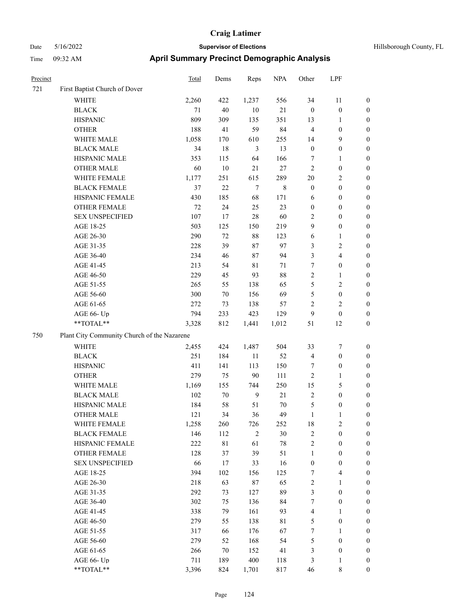| Hillsborough County, FI |  |
|-------------------------|--|

| Precinct |                                             | <b>Total</b> | Dems        | Reps           | <b>NPA</b>  | Other            | LPF              |                  |
|----------|---------------------------------------------|--------------|-------------|----------------|-------------|------------------|------------------|------------------|
| 721      | First Baptist Church of Dover               |              |             |                |             |                  |                  |                  |
|          | WHITE                                       | 2,260        | 422         | 1,237          | 556         | 34               | 11               | $\boldsymbol{0}$ |
|          | <b>BLACK</b>                                | 71           | 40          | $10\,$         | $21\,$      | $\boldsymbol{0}$ | $\boldsymbol{0}$ | $\boldsymbol{0}$ |
|          | <b>HISPANIC</b>                             | 809          | 309         | 135            | 351         | 13               | 1                | $\boldsymbol{0}$ |
|          | <b>OTHER</b>                                | 188          | 41          | 59             | 84          | 4                | $\boldsymbol{0}$ | $\boldsymbol{0}$ |
|          | WHITE MALE                                  | 1,058        | 170         | 610            | 255         | 14               | 9                | $\boldsymbol{0}$ |
|          | <b>BLACK MALE</b>                           | 34           | 18          | $\mathfrak{Z}$ | 13          | $\boldsymbol{0}$ | $\boldsymbol{0}$ | $\boldsymbol{0}$ |
|          | HISPANIC MALE                               | 353          | 115         | 64             | 166         | 7                | $\mathbf{1}$     | $\boldsymbol{0}$ |
|          | <b>OTHER MALE</b>                           | 60           | $10\,$      | 21             | $27\,$      | $\overline{2}$   | $\boldsymbol{0}$ | $\boldsymbol{0}$ |
|          | WHITE FEMALE                                | 1,177        | 251         | 615            | 289         | 20               | $\sqrt{2}$       | $\boldsymbol{0}$ |
|          | <b>BLACK FEMALE</b>                         | 37           | 22          | $\tau$         | $\,$ 8 $\,$ | $\boldsymbol{0}$ | $\boldsymbol{0}$ | 0                |
|          | HISPANIC FEMALE                             | 430          | 185         | 68             | 171         | 6                | $\boldsymbol{0}$ | 0                |
|          | OTHER FEMALE                                | 72           | 24          | 25             | 23          | $\boldsymbol{0}$ | $\boldsymbol{0}$ | $\boldsymbol{0}$ |
|          | <b>SEX UNSPECIFIED</b>                      | 107          | 17          | 28             | 60          | 2                | $\boldsymbol{0}$ | $\boldsymbol{0}$ |
|          | AGE 18-25                                   | 503          | 125         | 150            | 219         | 9                | $\boldsymbol{0}$ | $\boldsymbol{0}$ |
|          | AGE 26-30                                   | 290          | 72          | 88             | 123         | 6                | $\mathbf{1}$     | $\boldsymbol{0}$ |
|          | AGE 31-35                                   | 228          | 39          | 87             | 97          | 3                | $\sqrt{2}$       | $\boldsymbol{0}$ |
|          | AGE 36-40                                   | 234          | 46          | 87             | 94          | 3                | $\overline{4}$   | $\boldsymbol{0}$ |
|          | AGE 41-45                                   | 213          | 54          | 81             | 71          | 7                | $\boldsymbol{0}$ | $\boldsymbol{0}$ |
|          | AGE 46-50                                   | 229          | 45          | 93             | 88          | $\sqrt{2}$       | $\mathbf{1}$     | $\boldsymbol{0}$ |
|          | AGE 51-55                                   | 265          | 55          | 138            | 65          | 5                | $\mathbf{2}$     | 0                |
|          | AGE 56-60                                   | 300          | 70          | 156            | 69          | $\mathfrak s$    | $\boldsymbol{0}$ | 0                |
|          | AGE 61-65                                   | 272          | 73          | 138            | 57          | $\overline{c}$   | $\sqrt{2}$       | 0                |
|          | AGE 66- Up                                  | 794          | 233         | 423            | 129         | 9                | $\boldsymbol{0}$ | 0                |
|          | **TOTAL**                                   | 3,328        | 812         | 1,441          | 1,012       | 51               | 12               | $\boldsymbol{0}$ |
| 750      | Plant City Community Church of the Nazarene |              |             |                |             |                  |                  |                  |
|          | <b>WHITE</b>                                | 2,455        | 424         | 1,487          | 504         | 33               | 7                | $\boldsymbol{0}$ |
|          | <b>BLACK</b>                                | 251          | 184         | 11             | 52          | $\overline{4}$   | $\boldsymbol{0}$ | $\boldsymbol{0}$ |
|          | <b>HISPANIC</b>                             | 411          | 141         | 113            | 150         | 7                | $\boldsymbol{0}$ | $\boldsymbol{0}$ |
|          | <b>OTHER</b>                                | 279          | 75          | 90             | 111         | $\overline{c}$   | $\mathbf{1}$     | $\boldsymbol{0}$ |
|          | WHITE MALE                                  | 1,169        | 155         | 744            | 250         | 15               | $\mathfrak{S}$   | $\boldsymbol{0}$ |
|          | <b>BLACK MALE</b>                           | 102          | 70          | $\overline{9}$ | $21\,$      | $\sqrt{2}$       | $\boldsymbol{0}$ | $\boldsymbol{0}$ |
|          | HISPANIC MALE                               | 184          | 58          | 51             | $70\,$      | 5                | 0                | 0                |
|          | <b>OTHER MALE</b>                           | 121          | 34          | 36             | 49          | 1                | 1                | $\overline{0}$   |
|          | WHITE FEMALE                                | 1,258        | 260         | 726            | 252         | 18               | $\overline{c}$   | 0                |
|          | <b>BLACK FEMALE</b>                         | 146          | 112         | $\sqrt{2}$     | 30          | $\sqrt{2}$       | $\boldsymbol{0}$ | $\boldsymbol{0}$ |
|          | HISPANIC FEMALE                             | 222          | $8\sqrt{1}$ | 61             | 78          | $\overline{c}$   | $\boldsymbol{0}$ | $\boldsymbol{0}$ |
|          | <b>OTHER FEMALE</b>                         | 128          | 37          | 39             | 51          | $\mathbf{1}$     | $\boldsymbol{0}$ | 0                |
|          | <b>SEX UNSPECIFIED</b>                      | 66           | 17          | 33             | 16          | $\boldsymbol{0}$ | $\boldsymbol{0}$ | 0                |
|          | AGE 18-25                                   | 394          | 102         | 156            | 125         | 7                | $\overline{4}$   | 0                |
|          | AGE 26-30                                   | 218          | 63          | $87\,$         | 65          | $\sqrt{2}$       | $\mathbf{1}$     | 0                |
|          | AGE 31-35                                   | 292          | 73          | 127            | 89          | $\mathfrak{Z}$   | $\boldsymbol{0}$ | 0                |
|          | AGE 36-40                                   | 302          | 75          | 136            | 84          | $\boldsymbol{7}$ | $\boldsymbol{0}$ | 0                |
|          | AGE 41-45                                   | 338          | 79          | 161            | 93          | $\overline{4}$   | $\mathbf{1}$     | 0                |
|          | AGE 46-50                                   | 279          | 55          | 138            | $8\sqrt{1}$ | $\mathfrak{S}$   | $\boldsymbol{0}$ | $\boldsymbol{0}$ |
|          | AGE 51-55                                   | 317          | 66          | 176            | 67          | 7                | $\mathbf{1}$     | $\boldsymbol{0}$ |
|          | AGE 56-60                                   | 279          | 52          | 168            | 54          | 5                | $\boldsymbol{0}$ | $\boldsymbol{0}$ |
|          | AGE 61-65                                   | 266          | $70\,$      | 152            | 41          | 3                | $\boldsymbol{0}$ | 0                |
|          | AGE 66- Up                                  | 711          | 189         | 400            | 118         | 3                | $\mathbf{1}$     | 0                |
|          | $**TOTAL**$                                 | 3,396        | 824         | 1,701          | 817         | $46\,$           | $\,$ 8 $\,$      | $\overline{0}$   |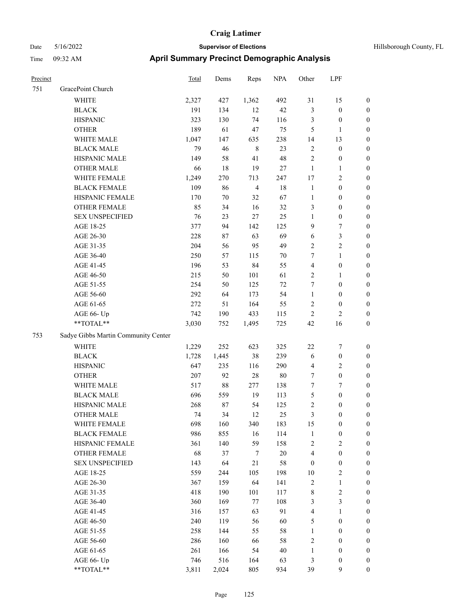| Precinct |                                     | <b>Total</b> | Dems   | Reps           | <b>NPA</b> | Other            | LPF                     |                  |
|----------|-------------------------------------|--------------|--------|----------------|------------|------------------|-------------------------|------------------|
| 751      | GracePoint Church                   |              |        |                |            |                  |                         |                  |
|          | <b>WHITE</b>                        | 2,327        | 427    | 1,362          | 492        | 31               | 15                      | $\boldsymbol{0}$ |
|          | <b>BLACK</b>                        | 191          | 134    | 12             | 42         | $\mathfrak{Z}$   | $\boldsymbol{0}$        | $\boldsymbol{0}$ |
|          | <b>HISPANIC</b>                     | 323          | 130    | 74             | 116        | $\mathfrak{Z}$   | $\boldsymbol{0}$        | $\boldsymbol{0}$ |
|          | <b>OTHER</b>                        | 189          | 61     | 47             | 75         | 5                | 1                       | $\boldsymbol{0}$ |
|          | WHITE MALE                          | 1,047        | 147    | 635            | 238        | 14               | 13                      | $\boldsymbol{0}$ |
|          | <b>BLACK MALE</b>                   | 79           | 46     | $\,8\,$        | 23         | $\sqrt{2}$       | $\boldsymbol{0}$        | $\boldsymbol{0}$ |
|          | HISPANIC MALE                       | 149          | 58     | 41             | 48         | $\overline{2}$   | $\boldsymbol{0}$        | $\boldsymbol{0}$ |
|          | <b>OTHER MALE</b>                   | 66           | 18     | 19             | 27         | $\mathbf{1}$     | $\mathbf{1}$            | $\boldsymbol{0}$ |
|          | WHITE FEMALE                        | 1,249        | 270    | 713            | 247        | 17               | 2                       | $\boldsymbol{0}$ |
|          | <b>BLACK FEMALE</b>                 | 109          | 86     | $\overline{4}$ | 18         | $\mathbf{1}$     | $\boldsymbol{0}$        | $\boldsymbol{0}$ |
|          | HISPANIC FEMALE                     | 170          | 70     | 32             | 67         | $\mathbf{1}$     | $\boldsymbol{0}$        | $\boldsymbol{0}$ |
|          | <b>OTHER FEMALE</b>                 | 85           | 34     | 16             | 32         | 3                | $\boldsymbol{0}$        | $\boldsymbol{0}$ |
|          | <b>SEX UNSPECIFIED</b>              | 76           | 23     | 27             | 25         | 1                | $\boldsymbol{0}$        | $\boldsymbol{0}$ |
|          | AGE 18-25                           | 377          | 94     | 142            | 125        | 9                | 7                       | $\boldsymbol{0}$ |
|          | AGE 26-30                           | 228          | 87     | 63             | 69         | 6                | 3                       | $\boldsymbol{0}$ |
|          | AGE 31-35                           | 204          | 56     | 95             | 49         | $\sqrt{2}$       | $\overline{\mathbf{c}}$ | $\boldsymbol{0}$ |
|          | AGE 36-40                           | 250          | 57     | 115            | 70         | 7                | 1                       | $\boldsymbol{0}$ |
|          | AGE 41-45                           | 196          | 53     | 84             | 55         | $\overline{4}$   | $\boldsymbol{0}$        | $\boldsymbol{0}$ |
|          | AGE 46-50                           | 215          | 50     | 101            | 61         | $\sqrt{2}$       | 1                       | $\boldsymbol{0}$ |
|          | AGE 51-55                           | 254          | 50     | 125            | 72         | $\tau$           | $\boldsymbol{0}$        | $\boldsymbol{0}$ |
|          | AGE 56-60                           | 292          | 64     | 173            | 54         | $\mathbf{1}$     | $\boldsymbol{0}$        | $\boldsymbol{0}$ |
|          | AGE 61-65                           | 272          | 51     | 164            | 55         | $\overline{2}$   | $\boldsymbol{0}$        | $\boldsymbol{0}$ |
|          | AGE 66- Up                          | 742          | 190    | 433            | 115        | $\overline{2}$   | 2                       | $\boldsymbol{0}$ |
|          | **TOTAL**                           | 3,030        | 752    | 1,495          | 725        | 42               | 16                      | $\boldsymbol{0}$ |
| 753      | Sadye Gibbs Martin Community Center |              |        |                |            |                  |                         |                  |
|          | <b>WHITE</b>                        | 1,229        | 252    | 623            | 325        | 22               | 7                       | $\boldsymbol{0}$ |
|          | <b>BLACK</b>                        | 1,728        | 1,445  | 38             | 239        | 6                | $\boldsymbol{0}$        | $\boldsymbol{0}$ |
|          | <b>HISPANIC</b>                     | 647          | 235    | 116            | 290        | $\overline{4}$   | 2                       | $\boldsymbol{0}$ |
|          | <b>OTHER</b>                        | 207          | 92     | 28             | 80         | 7                | $\boldsymbol{0}$        | $\boldsymbol{0}$ |
|          | WHITE MALE                          | 517          | $88\,$ | 277            | 138        | 7                | 7                       | $\boldsymbol{0}$ |
|          | <b>BLACK MALE</b>                   | 696          | 559    | 19             | 113        | $\mathfrak{S}$   | $\boldsymbol{0}$        | $\boldsymbol{0}$ |
|          | HISPANIC MALE                       | 268          | 87     | 54             | 125        | $\sqrt{2}$       | $\boldsymbol{0}$        | $\boldsymbol{0}$ |
|          | <b>OTHER MALE</b>                   | 74           | 34     | 12             | 25         | 3                | $\boldsymbol{0}$        | $\boldsymbol{0}$ |
|          | WHITE FEMALE                        | 698          | 160    | 340            | 183        | 15               | $\boldsymbol{0}$        | $\boldsymbol{0}$ |
|          | <b>BLACK FEMALE</b>                 | 986          | 855    | 16             | 114        | $\mathbf{1}$     | $\boldsymbol{0}$        | $\boldsymbol{0}$ |
|          | HISPANIC FEMALE                     | 361          | 140    | 59             | 158        | $\sqrt{2}$       | $\mathbf{2}$            | $\boldsymbol{0}$ |
|          | <b>OTHER FEMALE</b>                 | 68           | 37     | $\tau$         | $20\,$     | $\overline{4}$   | $\boldsymbol{0}$        | $\boldsymbol{0}$ |
|          | <b>SEX UNSPECIFIED</b>              | 143          | 64     | $21\,$         | 58         | $\boldsymbol{0}$ | $\boldsymbol{0}$        | $\boldsymbol{0}$ |
|          | AGE 18-25                           | 559          | 244    | 105            | 198        | 10               | 2                       | $\boldsymbol{0}$ |
|          | AGE 26-30                           | 367          | 159    | 64             | 141        | $\sqrt{2}$       | $\mathbf{1}$            | $\boldsymbol{0}$ |
|          | AGE 31-35                           | 418          | 190    | 101            | 117        | $\,$ $\,$        | $\overline{\mathbf{c}}$ | $\boldsymbol{0}$ |
|          | AGE 36-40                           | 360          | 169    | 77             | 108        | $\mathfrak{Z}$   | 3                       | $\boldsymbol{0}$ |
|          | AGE 41-45                           | 316          | 157    | 63             | 91         | $\overline{4}$   | $\mathbf{1}$            | $\boldsymbol{0}$ |
|          | AGE 46-50                           | 240          | 119    | 56             | 60         | 5                | $\boldsymbol{0}$        | $\boldsymbol{0}$ |
|          | AGE 51-55                           | 258          | 144    | 55             | 58         | $\mathbf{1}$     | $\boldsymbol{0}$        | $\boldsymbol{0}$ |
|          | AGE 56-60                           | 286          | 160    | 66             | 58         | $\sqrt{2}$       | $\boldsymbol{0}$        | $\boldsymbol{0}$ |
|          | AGE 61-65                           | 261          | 166    | 54             | $40\,$     | $\mathbf{1}$     | $\boldsymbol{0}$        | $\boldsymbol{0}$ |
|          | AGE 66- Up                          | 746          | 516    | 164            | 63         | $\mathfrak{Z}$   | $\boldsymbol{0}$        | $\bf{0}$         |
|          | **TOTAL**                           | 3,811        | 2,024  | 805            | 934        | 39               | 9                       | $\boldsymbol{0}$ |
|          |                                     |              |        |                |            |                  |                         |                  |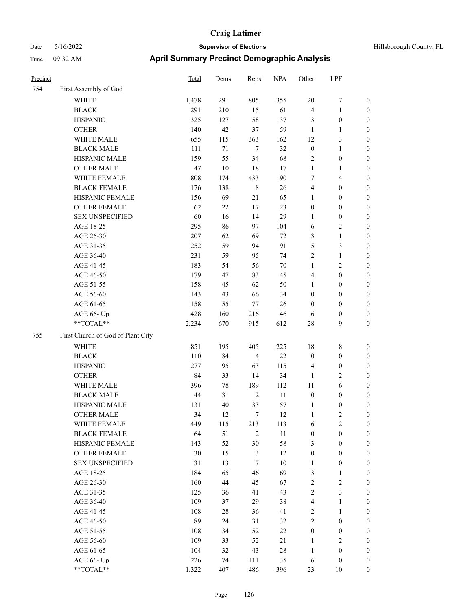| Precinct |                                   | <b>Total</b> | Dems   | Reps           | <b>NPA</b> | Other            | LPF              |                  |
|----------|-----------------------------------|--------------|--------|----------------|------------|------------------|------------------|------------------|
| 754      | First Assembly of God             |              |        |                |            |                  |                  |                  |
|          | <b>WHITE</b>                      | 1,478        | 291    | 805            | 355        | 20               | 7                | $\boldsymbol{0}$ |
|          | <b>BLACK</b>                      | 291          | 210    | 15             | 61         | $\overline{4}$   | 1                | $\boldsymbol{0}$ |
|          | <b>HISPANIC</b>                   | 325          | 127    | 58             | 137        | 3                | $\boldsymbol{0}$ | $\boldsymbol{0}$ |
|          | <b>OTHER</b>                      | 140          | 42     | 37             | 59         | $\mathbf{1}$     | 1                | $\boldsymbol{0}$ |
|          | WHITE MALE                        | 655          | 115    | 363            | 162        | 12               | 3                | $\boldsymbol{0}$ |
|          | <b>BLACK MALE</b>                 | 111          | $71\,$ | $\tau$         | 32         | $\boldsymbol{0}$ | 1                | $\boldsymbol{0}$ |
|          | HISPANIC MALE                     | 159          | 55     | 34             | 68         | $\sqrt{2}$       | $\boldsymbol{0}$ | $\boldsymbol{0}$ |
|          | <b>OTHER MALE</b>                 | 47           | $10\,$ | 18             | 17         | $\mathbf{1}$     | 1                | $\boldsymbol{0}$ |
|          | WHITE FEMALE                      | 808          | 174    | 433            | 190        | $\tau$           | 4                | $\boldsymbol{0}$ |
|          | <b>BLACK FEMALE</b>               | 176          | 138    | $\,$ 8 $\,$    | 26         | $\overline{4}$   | $\boldsymbol{0}$ | $\boldsymbol{0}$ |
|          | HISPANIC FEMALE                   | 156          | 69     | 21             | 65         | 1                | $\boldsymbol{0}$ | $\boldsymbol{0}$ |
|          | <b>OTHER FEMALE</b>               | 62           | 22     | 17             | 23         | $\boldsymbol{0}$ | $\boldsymbol{0}$ | $\boldsymbol{0}$ |
|          | <b>SEX UNSPECIFIED</b>            | 60           | 16     | 14             | 29         | 1                | $\boldsymbol{0}$ | $\boldsymbol{0}$ |
|          | AGE 18-25                         | 295          | 86     | 97             | 104        | 6                | 2                | $\boldsymbol{0}$ |
|          | AGE 26-30                         | 207          | 62     | 69             | 72         | $\mathfrak{Z}$   | 1                | $\boldsymbol{0}$ |
|          | AGE 31-35                         | 252          | 59     | 94             | 91         | 5                | 3                | $\boldsymbol{0}$ |
|          | AGE 36-40                         | 231          | 59     | 95             | 74         | $\overline{2}$   | 1                | $\boldsymbol{0}$ |
|          | AGE 41-45                         | 183          | 54     | 56             | 70         | 1                | $\overline{c}$   | $\boldsymbol{0}$ |
|          | AGE 46-50                         | 179          | 47     | 83             | 45         | $\overline{4}$   | $\boldsymbol{0}$ | $\boldsymbol{0}$ |
|          | AGE 51-55                         | 158          | 45     | 62             | 50         | $\mathbf{1}$     | $\boldsymbol{0}$ | $\boldsymbol{0}$ |
|          | AGE 56-60                         | 143          | 43     | 66             | 34         | $\boldsymbol{0}$ | $\boldsymbol{0}$ | $\boldsymbol{0}$ |
|          | AGE 61-65                         | 158          | 55     | 77             | 26         | $\mathbf{0}$     | $\boldsymbol{0}$ | $\boldsymbol{0}$ |
|          | AGE 66- Up                        | 428          | 160    | 216            | 46         | 6                | $\boldsymbol{0}$ | $\boldsymbol{0}$ |
|          | **TOTAL**                         | 2,234        | 670    | 915            | 612        | 28               | 9                | $\boldsymbol{0}$ |
| 755      | First Church of God of Plant City |              |        |                |            |                  |                  |                  |
|          | <b>WHITE</b>                      | 851          | 195    | 405            | 225        | 18               | 8                | $\boldsymbol{0}$ |
|          | <b>BLACK</b>                      | 110          | 84     | $\overline{4}$ | $22\,$     | $\boldsymbol{0}$ | $\boldsymbol{0}$ | $\boldsymbol{0}$ |
|          | <b>HISPANIC</b>                   | 277          | 95     | 63             | 115        | $\overline{4}$   | $\boldsymbol{0}$ | $\boldsymbol{0}$ |
|          | <b>OTHER</b>                      | 84           | 33     | 14             | 34         | 1                | 2                | $\boldsymbol{0}$ |
|          | WHITE MALE                        | 396          | 78     | 189            | 112        | 11               | 6                | $\boldsymbol{0}$ |
|          | <b>BLACK MALE</b>                 | 44           | 31     | $\overline{2}$ | 11         | $\boldsymbol{0}$ | $\boldsymbol{0}$ | $\boldsymbol{0}$ |
|          | HISPANIC MALE                     | 131          | 40     | 33             | 57         | $\mathbf{1}$     | $\boldsymbol{0}$ | $\boldsymbol{0}$ |
|          | <b>OTHER MALE</b>                 | 34           | 12     | 7              | 12         | 1                | 2                | $\boldsymbol{0}$ |
|          | WHITE FEMALE                      | 449          | 115    | 213            | 113        | 6                | 2                | $\boldsymbol{0}$ |
|          | <b>BLACK FEMALE</b>               | 64           | 51     | $\overline{2}$ | $11\,$     | $\boldsymbol{0}$ | $\boldsymbol{0}$ | $\boldsymbol{0}$ |
|          | HISPANIC FEMALE                   | 143          | 52     | 30             | 58         | $\mathfrak{Z}$   | $\boldsymbol{0}$ | $\boldsymbol{0}$ |
|          | OTHER FEMALE                      | 30           | 15     | $\mathfrak{Z}$ | 12         | $\boldsymbol{0}$ | $\boldsymbol{0}$ | $\boldsymbol{0}$ |
|          | <b>SEX UNSPECIFIED</b>            | 31           | 13     | $\tau$         | $10\,$     | $\mathbf{1}$     | $\boldsymbol{0}$ | $\boldsymbol{0}$ |
|          | AGE 18-25                         | 184          | 65     | 46             | 69         | $\mathfrak{Z}$   | $\mathbf{1}$     | $\boldsymbol{0}$ |
|          | AGE 26-30                         | 160          | 44     | 45             | 67         | $\sqrt{2}$       | 2                | $\boldsymbol{0}$ |
|          | AGE 31-35                         | 125          | 36     | 41             | 43         | $\sqrt{2}$       | 3                | $\boldsymbol{0}$ |
|          | AGE 36-40                         | 109          | 37     | 29             | 38         | $\overline{4}$   | 1                | $\boldsymbol{0}$ |
|          | AGE 41-45                         | 108          | 28     | 36             | 41         | $\sqrt{2}$       | $\mathbf{1}$     | $\boldsymbol{0}$ |
|          | AGE 46-50                         | 89           | 24     | 31             | 32         | $\sqrt{2}$       | $\boldsymbol{0}$ | $\boldsymbol{0}$ |
|          | AGE 51-55                         | 108          | 34     | 52             | $22\,$     | $\boldsymbol{0}$ | $\boldsymbol{0}$ | $\boldsymbol{0}$ |
|          | AGE 56-60                         | 109          | 33     | 52             | 21         | $\mathbf{1}$     | $\mathbf{2}$     | $\boldsymbol{0}$ |
|          | AGE 61-65                         | 104          | 32     | 43             | $28\,$     | $\mathbf{1}$     | $\boldsymbol{0}$ | $\boldsymbol{0}$ |
|          | AGE 66- Up                        | 226          | 74     | 111            | 35         | 6                | $\boldsymbol{0}$ | $\boldsymbol{0}$ |
|          | **TOTAL**                         | 1,322        | 407    | 486            | 396        | 23               | $10\,$           | $\boldsymbol{0}$ |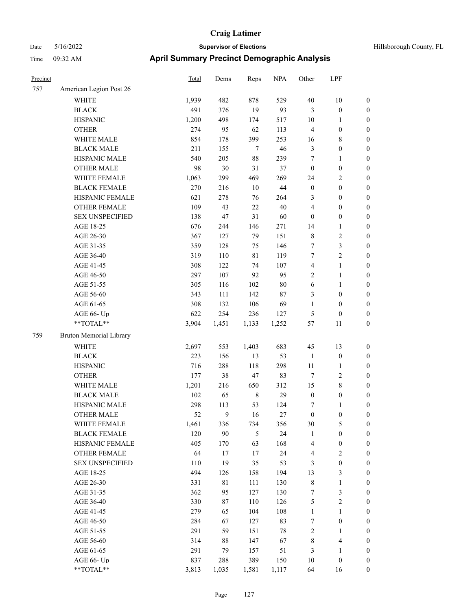| Precinct |                                | <b>Total</b> | Dems   | Reps           | <b>NPA</b> | Other            | LPF                     |                  |
|----------|--------------------------------|--------------|--------|----------------|------------|------------------|-------------------------|------------------|
| 757      | American Legion Post 26        |              |        |                |            |                  |                         |                  |
|          | <b>WHITE</b>                   | 1,939        | 482    | 878            | 529        | 40               | 10                      | $\boldsymbol{0}$ |
|          | <b>BLACK</b>                   | 491          | 376    | 19             | 93         | 3                | $\boldsymbol{0}$        | $\boldsymbol{0}$ |
|          | <b>HISPANIC</b>                | 1,200        | 498    | 174            | 517        | $10\,$           | 1                       | $\boldsymbol{0}$ |
|          | <b>OTHER</b>                   | 274          | 95     | 62             | 113        | $\overline{4}$   | $\boldsymbol{0}$        | $\boldsymbol{0}$ |
|          | WHITE MALE                     | 854          | 178    | 399            | 253        | 16               | 8                       | $\boldsymbol{0}$ |
|          | <b>BLACK MALE</b>              | 211          | 155    | $\tau$         | 46         | $\mathfrak{Z}$   | 0                       | $\boldsymbol{0}$ |
|          | HISPANIC MALE                  | 540          | 205    | 88             | 239        | $\tau$           | 1                       | $\boldsymbol{0}$ |
|          | <b>OTHER MALE</b>              | 98           | 30     | 31             | 37         | $\boldsymbol{0}$ | $\boldsymbol{0}$        | $\boldsymbol{0}$ |
|          | WHITE FEMALE                   | 1,063        | 299    | 469            | 269        | 24               | 2                       | $\boldsymbol{0}$ |
|          | <b>BLACK FEMALE</b>            | 270          | 216    | $10\,$         | $44\,$     | $\boldsymbol{0}$ | $\boldsymbol{0}$        | $\boldsymbol{0}$ |
|          | HISPANIC FEMALE                | 621          | 278    | 76             | 264        | 3                | $\boldsymbol{0}$        | $\boldsymbol{0}$ |
|          | <b>OTHER FEMALE</b>            | 109          | 43     | 22             | 40         | $\overline{4}$   | $\boldsymbol{0}$        | $\boldsymbol{0}$ |
|          | <b>SEX UNSPECIFIED</b>         | 138          | 47     | 31             | 60         | $\mathbf{0}$     | $\boldsymbol{0}$        | $\boldsymbol{0}$ |
|          | AGE 18-25                      | 676          | 244    | 146            | 271        | 14               | 1                       | $\boldsymbol{0}$ |
|          | AGE 26-30                      | 367          | 127    | 79             | 151        | $\,$ 8 $\,$      | 2                       | $\boldsymbol{0}$ |
|          | AGE 31-35                      | 359          | 128    | 75             | 146        | 7                | 3                       | $\boldsymbol{0}$ |
|          | AGE 36-40                      | 319          | 110    | 81             | 119        | 7                | $\overline{c}$          | $\boldsymbol{0}$ |
|          | AGE 41-45                      | 308          | 122    | 74             | 107        | $\overline{4}$   | 1                       | $\boldsymbol{0}$ |
|          | AGE 46-50                      | 297          | 107    | 92             | 95         | $\sqrt{2}$       | 1                       | $\boldsymbol{0}$ |
|          | AGE 51-55                      | 305          | 116    | 102            | $80\,$     | 6                | 1                       | $\boldsymbol{0}$ |
|          | AGE 56-60                      | 343          | 111    | 142            | 87         | 3                | $\boldsymbol{0}$        | $\boldsymbol{0}$ |
|          | AGE 61-65                      | 308          | 132    | 106            | 69         | 1                | $\boldsymbol{0}$        | $\boldsymbol{0}$ |
|          | AGE 66- Up                     | 622          | 254    | 236            | 127        | $\mathfrak{S}$   | $\boldsymbol{0}$        | $\boldsymbol{0}$ |
|          | **TOTAL**                      | 3,904        | 1,451  | 1,133          | 1,252      | 57               | 11                      | $\boldsymbol{0}$ |
| 759      | <b>Bruton Memorial Library</b> |              |        |                |            |                  |                         |                  |
|          | <b>WHITE</b>                   | 2,697        | 553    | 1,403          | 683        | 45               | 13                      | $\boldsymbol{0}$ |
|          | <b>BLACK</b>                   | 223          | 156    | 13             | 53         | $\mathbf{1}$     | $\boldsymbol{0}$        | $\boldsymbol{0}$ |
|          | <b>HISPANIC</b>                | 716          | 288    | 118            | 298        | 11               | 1                       | $\boldsymbol{0}$ |
|          | <b>OTHER</b>                   | 177          | 38     | 47             | 83         | $\tau$           | $\overline{\mathbf{c}}$ | $\boldsymbol{0}$ |
|          | WHITE MALE                     | 1,201        | 216    | 650            | 312        | 15               | 8                       | $\boldsymbol{0}$ |
|          | <b>BLACK MALE</b>              | 102          | 65     | $\,$ 8 $\,$    | 29         | $\boldsymbol{0}$ | $\boldsymbol{0}$        | $\boldsymbol{0}$ |
|          | HISPANIC MALE                  | 298          | 113    | 53             | 124        | $\tau$           | 1                       | $\boldsymbol{0}$ |
|          | <b>OTHER MALE</b>              | 52           | 9      | 16             | 27         | $\boldsymbol{0}$ | 0                       | $\boldsymbol{0}$ |
|          | WHITE FEMALE                   | 1,461        | 336    | 734            | 356        | 30               | 5                       | $\boldsymbol{0}$ |
|          | <b>BLACK FEMALE</b>            | 120          | 90     | $\mathfrak{H}$ | 24         | $\mathbf{1}$     | $\boldsymbol{0}$        | $\boldsymbol{0}$ |
|          | HISPANIC FEMALE                | 405          | 170    | 63             | 168        | $\overline{4}$   | $\boldsymbol{0}$        | $\boldsymbol{0}$ |
|          | OTHER FEMALE                   | 64           | 17     | 17             | 24         | $\overline{4}$   | $\overline{\mathbf{c}}$ | $\boldsymbol{0}$ |
|          | <b>SEX UNSPECIFIED</b>         | 110          | 19     | 35             | 53         | $\mathfrak{Z}$   | $\boldsymbol{0}$        | $\boldsymbol{0}$ |
|          | AGE 18-25                      | 494          | 126    | 158            | 194        | 13               | 3                       | $\boldsymbol{0}$ |
|          | AGE 26-30                      | 331          | 81     | 111            | 130        | $\,$ 8 $\,$      | $\mathbf{1}$            | $\boldsymbol{0}$ |
|          | AGE 31-35                      | 362          | 95     | 127            | 130        | $\boldsymbol{7}$ | 3                       | $\boldsymbol{0}$ |
|          | AGE 36-40                      | 330          | 87     | 110            | 126        | $\sqrt{5}$       | $\sqrt{2}$              | $\boldsymbol{0}$ |
|          | AGE 41-45                      | 279          | 65     | 104            | 108        | $\mathbf{1}$     | $\mathbf{1}$            | $\boldsymbol{0}$ |
|          | AGE 46-50                      | 284          | 67     | 127            | 83         | $\boldsymbol{7}$ | $\boldsymbol{0}$        | $\boldsymbol{0}$ |
|          | AGE 51-55                      | 291          | 59     | 151            | $78\,$     | $\sqrt{2}$       | $\mathbf{1}$            | $\boldsymbol{0}$ |
|          | AGE 56-60                      | 314          | $88\,$ | 147            | 67         | $\,$ 8 $\,$      | 4                       | $\boldsymbol{0}$ |
|          | AGE 61-65                      | 291          | 79     | 157            | 51         | $\mathfrak{Z}$   | 1                       | $\boldsymbol{0}$ |
|          | AGE 66- Up                     | 837          | 288    | 389            | 150        | 10               | $\boldsymbol{0}$        | $\boldsymbol{0}$ |
|          | **TOTAL**                      | 3,813        | 1,035  | 1,581          | 1,117      | 64               | 16                      | $\boldsymbol{0}$ |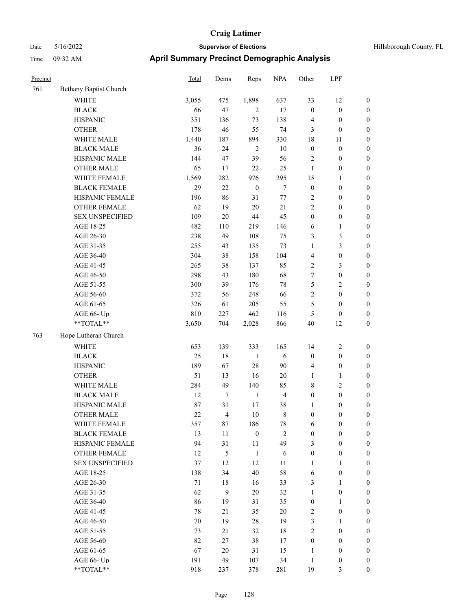| Precinct |                        | <b>Total</b> | Dems   | Reps             | <b>NPA</b>     | Other            | LPF              |                  |
|----------|------------------------|--------------|--------|------------------|----------------|------------------|------------------|------------------|
| 761      | Bethany Baptist Church |              |        |                  |                |                  |                  |                  |
|          | <b>WHITE</b>           | 3,055        | 475    | 1,898            | 637            | 33               | 12               | $\boldsymbol{0}$ |
|          | <b>BLACK</b>           | 66           | 47     | $\overline{2}$   | 17             | $\boldsymbol{0}$ | $\boldsymbol{0}$ | $\boldsymbol{0}$ |
|          | <b>HISPANIC</b>        | 351          | 136    | 73               | 138            | $\overline{4}$   | $\boldsymbol{0}$ | $\boldsymbol{0}$ |
|          | <b>OTHER</b>           | 178          | 46     | 55               | 74             | $\mathfrak{Z}$   | $\boldsymbol{0}$ | $\boldsymbol{0}$ |
|          | WHITE MALE             | 1,440        | 187    | 894              | 330            | 18               | 11               | $\boldsymbol{0}$ |
|          | <b>BLACK MALE</b>      | 36           | 24     | $\sqrt{2}$       | $10\,$         | $\boldsymbol{0}$ | $\boldsymbol{0}$ | $\boldsymbol{0}$ |
|          | HISPANIC MALE          | 144          | 47     | 39               | 56             | $\sqrt{2}$       | $\boldsymbol{0}$ | $\boldsymbol{0}$ |
|          | <b>OTHER MALE</b>      | 65           | 17     | $22\,$           | 25             | $\mathbf{1}$     | $\boldsymbol{0}$ | $\boldsymbol{0}$ |
|          | WHITE FEMALE           | 1,569        | 282    | 976              | 295            | 15               | 1                | $\boldsymbol{0}$ |
|          | <b>BLACK FEMALE</b>    | 29           | 22     | $\boldsymbol{0}$ | $\tau$         | $\boldsymbol{0}$ | $\boldsymbol{0}$ | $\boldsymbol{0}$ |
|          | HISPANIC FEMALE        | 196          | 86     | 31               | 77             | $\overline{2}$   | $\boldsymbol{0}$ | $\boldsymbol{0}$ |
|          | <b>OTHER FEMALE</b>    | 62           | 19     | $20\,$           | 21             | $\overline{2}$   | $\boldsymbol{0}$ | $\boldsymbol{0}$ |
|          | <b>SEX UNSPECIFIED</b> | 109          | $20\,$ | 44               | 45             | $\boldsymbol{0}$ | $\boldsymbol{0}$ | $\boldsymbol{0}$ |
|          | AGE 18-25              | 482          | 110    | 219              | 146            | 6                | 1                | $\boldsymbol{0}$ |
|          | AGE 26-30              | 238          | 49     | 108              | 75             | 3                | 3                | $\boldsymbol{0}$ |
|          | AGE 31-35              | 255          | 43     | 135              | 73             | 1                | 3                | $\boldsymbol{0}$ |
|          | AGE 36-40              | 304          | 38     | 158              | 104            | $\overline{4}$   | $\boldsymbol{0}$ | $\boldsymbol{0}$ |
|          | AGE 41-45              | 265          | 38     | 137              | 85             | $\sqrt{2}$       | 3                | $\boldsymbol{0}$ |
|          | AGE 46-50              | 298          | 43     | 180              | 68             | $\tau$           | $\boldsymbol{0}$ | $\boldsymbol{0}$ |
|          | AGE 51-55              | 300          | 39     | 176              | 78             | $\mathfrak{S}$   | 2                | $\boldsymbol{0}$ |
|          | AGE 56-60              | 372          | 56     | 248              | 66             | $\overline{2}$   | $\boldsymbol{0}$ | $\boldsymbol{0}$ |
|          | AGE 61-65              | 326          | 61     | 205              | 55             | 5                | $\boldsymbol{0}$ | $\boldsymbol{0}$ |
|          | AGE 66- Up             | 810          | 227    | 462              | 116            | 5                | $\boldsymbol{0}$ | $\boldsymbol{0}$ |
|          | **TOTAL**              | 3,650        | 704    | 2,028            | 866            | 40               | 12               | $\boldsymbol{0}$ |
| 763      | Hope Lutheran Church   |              |        |                  |                |                  |                  |                  |
|          | <b>WHITE</b>           | 653          | 139    | 333              | 165            | 14               | 2                | $\boldsymbol{0}$ |
|          | <b>BLACK</b>           | 25           | 18     | $\mathbf{1}$     | 6              | $\boldsymbol{0}$ | $\boldsymbol{0}$ | $\boldsymbol{0}$ |
|          | <b>HISPANIC</b>        | 189          | 67     | 28               | 90             | $\overline{4}$   | $\boldsymbol{0}$ | $\boldsymbol{0}$ |
|          | <b>OTHER</b>           | 51           | 13     | 16               | 20             | $\mathbf{1}$     | 1                | $\boldsymbol{0}$ |
|          | WHITE MALE             | 284          | 49     | 140              | 85             | $\,$ 8 $\,$      | 2                | $\boldsymbol{0}$ |
|          | <b>BLACK MALE</b>      | 12           | 7      | $\mathbf{1}$     | $\overline{4}$ | $\boldsymbol{0}$ | $\boldsymbol{0}$ | $\boldsymbol{0}$ |
|          | HISPANIC MALE          | 87           | 31     | 17               | 38             | 1                | $\boldsymbol{0}$ | $\boldsymbol{0}$ |
|          | <b>OTHER MALE</b>      | 22           | 4      | 10               | 8              | $\boldsymbol{0}$ | 0                | $\boldsymbol{0}$ |
|          | WHITE FEMALE           | 357          | $87\,$ | 186              | 78             | 6                | $\boldsymbol{0}$ | $\boldsymbol{0}$ |
|          | <b>BLACK FEMALE</b>    | 13           | 11     | $\boldsymbol{0}$ | $\sqrt{2}$     | $\boldsymbol{0}$ | $\boldsymbol{0}$ | $\boldsymbol{0}$ |
|          | HISPANIC FEMALE        | 94           | 31     | 11               | 49             | 3                | $\boldsymbol{0}$ | $\boldsymbol{0}$ |
|          | <b>OTHER FEMALE</b>    | 12           | 5      | $\mathbf{1}$     | 6              | $\boldsymbol{0}$ | $\boldsymbol{0}$ | $\boldsymbol{0}$ |
|          | <b>SEX UNSPECIFIED</b> | 37           | 12     | 12               | 11             | $\mathbf{1}$     | $\mathbf{1}$     | $\boldsymbol{0}$ |
|          | AGE 18-25              | 138          | 34     | 40               | 58             | 6                | $\boldsymbol{0}$ | $\boldsymbol{0}$ |
|          | AGE 26-30              | $71\,$       | 18     | 16               | 33             | $\mathfrak{Z}$   | $\mathbf{1}$     | $\boldsymbol{0}$ |
|          | AGE 31-35              | 62           | 9      | $20\,$           | 32             | $\mathbf{1}$     | $\boldsymbol{0}$ | $\boldsymbol{0}$ |
|          | AGE 36-40              | 86           | 19     | 31               | 35             | $\boldsymbol{0}$ | 1                | $\boldsymbol{0}$ |
|          | AGE 41-45              | 78           | 21     | 35               | $20\,$         | $\sqrt{2}$       | $\boldsymbol{0}$ | $\boldsymbol{0}$ |
|          | AGE 46-50              | 70           | 19     | $28\,$           | 19             | $\mathfrak{Z}$   | $\mathbf{1}$     | $\boldsymbol{0}$ |
|          | AGE 51-55              | 73           | 21     | 32               | $18\,$         | $\sqrt{2}$       | $\boldsymbol{0}$ | $\boldsymbol{0}$ |
|          | AGE 56-60              | 82           | 27     | 38               | 17             | $\boldsymbol{0}$ | $\boldsymbol{0}$ | $\boldsymbol{0}$ |
|          | AGE 61-65              | 67           | $20\,$ | 31               | 15             | $\mathbf{1}$     | $\boldsymbol{0}$ | $\boldsymbol{0}$ |
|          | AGE 66- Up             | 191          | 49     | 107              | 34             | $\mathbf{1}$     | $\boldsymbol{0}$ | $\boldsymbol{0}$ |
|          | **TOTAL**              | 918          | 237    | 378              | 281            | 19               | 3                | $\overline{0}$   |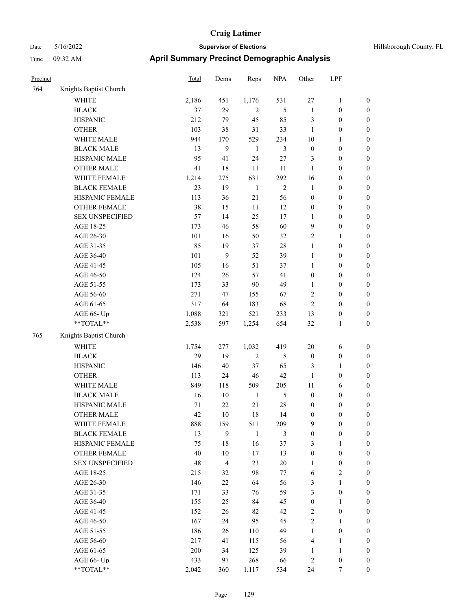| Precinct |                        | Total | Dems           | Reps           | $\rm NPA$      | Other            | LPF              |                  |
|----------|------------------------|-------|----------------|----------------|----------------|------------------|------------------|------------------|
| 764      | Knights Baptist Church |       |                |                |                |                  |                  |                  |
|          | <b>WHITE</b>           | 2,186 | 451            | 1,176          | 531            | $27\,$           | $\mathbf{1}$     | $\boldsymbol{0}$ |
|          | <b>BLACK</b>           | 37    | 29             | $\overline{2}$ | 5              | $\mathbf{1}$     | $\boldsymbol{0}$ | $\boldsymbol{0}$ |
|          | <b>HISPANIC</b>        | 212   | 79             | 45             | 85             | $\mathfrak{Z}$   | $\boldsymbol{0}$ | $\boldsymbol{0}$ |
|          | <b>OTHER</b>           | 103   | 38             | 31             | 33             | $\mathbf{1}$     | $\boldsymbol{0}$ | $\boldsymbol{0}$ |
|          | WHITE MALE             | 944   | 170            | 529            | 234            | 10               | 1                | $\boldsymbol{0}$ |
|          | <b>BLACK MALE</b>      | 13    | 9              | $\mathbf{1}$   | $\mathfrak{Z}$ | $\boldsymbol{0}$ | $\boldsymbol{0}$ | $\boldsymbol{0}$ |
|          | HISPANIC MALE          | 95    | 41             | 24             | 27             | 3                | $\boldsymbol{0}$ | $\boldsymbol{0}$ |
|          | <b>OTHER MALE</b>      | 41    | 18             | 11             | 11             | 1                | $\boldsymbol{0}$ | $\boldsymbol{0}$ |
|          | WHITE FEMALE           | 1,214 | 275            | 631            | 292            | 16               | $\boldsymbol{0}$ | $\boldsymbol{0}$ |
|          | <b>BLACK FEMALE</b>    | 23    | 19             | $\mathbf{1}$   | $\mathfrak{2}$ | -1               | $\boldsymbol{0}$ | $\boldsymbol{0}$ |
|          | HISPANIC FEMALE        | 113   | 36             | 21             | 56             | $\boldsymbol{0}$ | $\boldsymbol{0}$ | $\boldsymbol{0}$ |
|          | <b>OTHER FEMALE</b>    | 38    | 15             | 11             | 12             | $\boldsymbol{0}$ | $\boldsymbol{0}$ | $\boldsymbol{0}$ |
|          | <b>SEX UNSPECIFIED</b> | 57    | 14             | 25             | 17             | 1                | $\boldsymbol{0}$ | $\boldsymbol{0}$ |
|          | AGE 18-25              | 173   | 46             | 58             | 60             | 9                | $\boldsymbol{0}$ | $\boldsymbol{0}$ |
|          | AGE 26-30              | 101   | 16             | 50             | 32             | $\sqrt{2}$       | 1                | $\boldsymbol{0}$ |
|          | AGE 31-35              | 85    | 19             | 37             | 28             | $\mathbf{1}$     | $\boldsymbol{0}$ | $\boldsymbol{0}$ |
|          | AGE 36-40              | 101   | 9              | 52             | 39             | $\mathbf{1}$     | $\boldsymbol{0}$ | $\boldsymbol{0}$ |
|          | AGE 41-45              | 105   | 16             | 51             | 37             | $\mathbf{1}$     | $\boldsymbol{0}$ | $\boldsymbol{0}$ |
|          | AGE 46-50              | 124   | 26             | 57             | 41             | $\boldsymbol{0}$ | $\boldsymbol{0}$ | $\boldsymbol{0}$ |
|          | AGE 51-55              | 173   | 33             | 90             | 49             | 1                | $\boldsymbol{0}$ | $\boldsymbol{0}$ |
|          | AGE 56-60              | 271   | 47             | 155            | 67             | $\sqrt{2}$       | $\boldsymbol{0}$ | $\boldsymbol{0}$ |
|          | AGE 61-65              | 317   | 64             | 183            | 68             | $\overline{2}$   | $\boldsymbol{0}$ | $\boldsymbol{0}$ |
|          | AGE 66- Up             | 1,088 | 321            | 521            | 233            | 13               | $\boldsymbol{0}$ | $\boldsymbol{0}$ |
|          | **TOTAL**              | 2,538 | 597            | 1,254          | 654            | 32               | 1                | $\boldsymbol{0}$ |
| 765      | Knights Baptist Church |       |                |                |                |                  |                  |                  |
|          | <b>WHITE</b>           | 1,754 | 277            | 1,032          | 419            | 20               | 6                | $\boldsymbol{0}$ |
|          | <b>BLACK</b>           | 29    | 19             | $\overline{2}$ | 8              | $\boldsymbol{0}$ | $\boldsymbol{0}$ | $\boldsymbol{0}$ |
|          | <b>HISPANIC</b>        | 146   | 40             | 37             | 65             | 3                | 1                | $\boldsymbol{0}$ |
|          | <b>OTHER</b>           | 113   | 24             | 46             | 42             | 1                | $\boldsymbol{0}$ | $\boldsymbol{0}$ |
|          | WHITE MALE             | 849   | 118            | 509            | 205            | 11               | 6                | $\boldsymbol{0}$ |
|          | <b>BLACK MALE</b>      | 16    | 10             | $\mathbf{1}$   | 5              | $\boldsymbol{0}$ | $\boldsymbol{0}$ | $\boldsymbol{0}$ |
|          | HISPANIC MALE          | 71    | 22             | 21             | 28             | $\boldsymbol{0}$ | 0                | $\boldsymbol{0}$ |
|          | <b>OTHER MALE</b>      | 42    | 10             | 18             | 14             | $\boldsymbol{0}$ | 0                | $\boldsymbol{0}$ |
|          | WHITE FEMALE           | 888   | 159            | 511            | 209            | 9                | $\boldsymbol{0}$ | $\boldsymbol{0}$ |
|          | <b>BLACK FEMALE</b>    | 13    | 9              | $\mathbf{1}$   | $\mathfrak{Z}$ | $\boldsymbol{0}$ | $\boldsymbol{0}$ | $\boldsymbol{0}$ |
|          | HISPANIC FEMALE        | 75    | 18             | 16             | 37             | $\mathfrak{Z}$   | 1                | $\boldsymbol{0}$ |
|          | <b>OTHER FEMALE</b>    | 40    | 10             | 17             | 13             | $\boldsymbol{0}$ | $\boldsymbol{0}$ | $\boldsymbol{0}$ |
|          | <b>SEX UNSPECIFIED</b> | 48    | $\overline{4}$ | 23             | $20\,$         | $\mathbf{1}$     | $\boldsymbol{0}$ | $\boldsymbol{0}$ |
|          | AGE 18-25              | 215   | 32             | 98             | 77             | 6                | $\mathbf{2}$     | $\boldsymbol{0}$ |
|          | AGE 26-30              | 146   | 22             | 64             | 56             | $\mathfrak{Z}$   | $\mathbf{1}$     | $\boldsymbol{0}$ |
|          | AGE 31-35              | 171   | 33             | 76             | 59             | $\mathfrak{Z}$   | $\boldsymbol{0}$ | $\boldsymbol{0}$ |
|          | AGE 36-40              | 155   | 25             | 84             | 45             | $\boldsymbol{0}$ | $\mathbf{1}$     | $\boldsymbol{0}$ |
|          | AGE 41-45              | 152   | 26             | 82             | 42             | $\sqrt{2}$       | $\boldsymbol{0}$ | $\boldsymbol{0}$ |
|          | AGE 46-50              | 167   | 24             | 95             | 45             | $\sqrt{2}$       | $\mathbf{1}$     | $\boldsymbol{0}$ |
|          | AGE 51-55              | 186   | 26             | 110            | 49             | $\mathbf{1}$     | $\boldsymbol{0}$ | $\boldsymbol{0}$ |
|          | AGE 56-60              | 217   | 41             | 115            | 56             | $\overline{4}$   | $\mathbf{1}$     | $\boldsymbol{0}$ |
|          | AGE 61-65              | 200   | 34             | 125            | 39             | $\mathbf{1}$     | $\mathbf{1}$     | $\boldsymbol{0}$ |
|          | AGE 66- Up             | 433   | 97             | 268            | 66             | $\overline{2}$   | $\boldsymbol{0}$ | $\boldsymbol{0}$ |
|          | **TOTAL**              | 2,042 | 360            | 1,117          | 534            | 24               | 7                | $\boldsymbol{0}$ |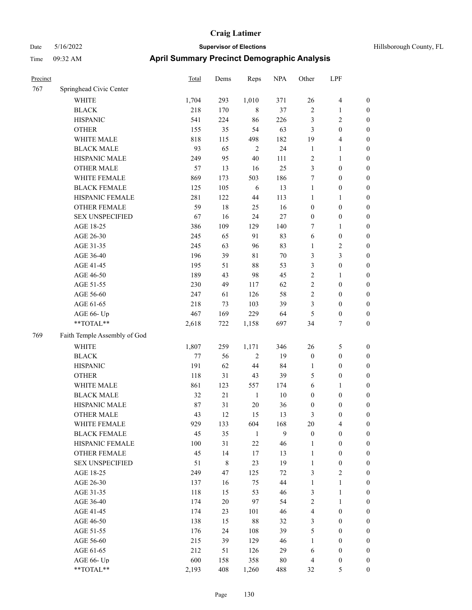| Hillsborough County, FI |  |  |
|-------------------------|--|--|
|                         |  |  |

| Precinct |                              | <b>Total</b> | Dems        | Reps         | <b>NPA</b> | Other            | LPF                     |                  |
|----------|------------------------------|--------------|-------------|--------------|------------|------------------|-------------------------|------------------|
| 767      | Springhead Civic Center      |              |             |              |            |                  |                         |                  |
|          | <b>WHITE</b>                 | 1,704        | 293         | 1,010        | 371        | 26               | $\overline{\mathbf{4}}$ | $\boldsymbol{0}$ |
|          | <b>BLACK</b>                 | 218          | 170         | $\,$ 8 $\,$  | 37         | $\sqrt{2}$       | $\mathbf{1}$            | $\boldsymbol{0}$ |
|          | <b>HISPANIC</b>              | 541          | 224         | 86           | 226        | 3                | $\sqrt{2}$              | $\boldsymbol{0}$ |
|          | <b>OTHER</b>                 | 155          | 35          | 54           | 63         | 3                | $\boldsymbol{0}$        | $\boldsymbol{0}$ |
|          | WHITE MALE                   | 818          | 115         | 498          | 182        | 19               | $\overline{\mathbf{4}}$ | $\boldsymbol{0}$ |
|          | <b>BLACK MALE</b>            | 93           | 65          | $\sqrt{2}$   | 24         | $\mathbf{1}$     | $\mathbf{1}$            | $\boldsymbol{0}$ |
|          | HISPANIC MALE                | 249          | 95          | $40\,$       | 111        | $\overline{c}$   | $\mathbf{1}$            | $\boldsymbol{0}$ |
|          | <b>OTHER MALE</b>            | 57           | 13          | 16           | 25         | 3                | $\boldsymbol{0}$        | $\boldsymbol{0}$ |
|          | WHITE FEMALE                 | 869          | 173         | 503          | 186        | 7                | $\boldsymbol{0}$        | $\boldsymbol{0}$ |
|          | <b>BLACK FEMALE</b>          | 125          | 105         | 6            | 13         | $\mathbf{1}$     | $\boldsymbol{0}$        | 0                |
|          | HISPANIC FEMALE              | 281          | 122         | 44           | 113        | 1                | $\mathbf{1}$            | 0                |
|          | OTHER FEMALE                 | 59           | 18          | 25           | 16         | $\boldsymbol{0}$ | $\boldsymbol{0}$        | $\boldsymbol{0}$ |
|          | <b>SEX UNSPECIFIED</b>       | 67           | 16          | 24           | $27\,$     | $\boldsymbol{0}$ | $\boldsymbol{0}$        | $\boldsymbol{0}$ |
|          | AGE 18-25                    | 386          | 109         | 129          | 140        | 7                | 1                       | $\boldsymbol{0}$ |
|          | AGE 26-30                    | 245          | 65          | 91           | 83         | 6                | $\boldsymbol{0}$        | $\boldsymbol{0}$ |
|          | AGE 31-35                    | 245          | 63          | 96           | 83         | $\mathbf{1}$     | $\sqrt{2}$              | $\boldsymbol{0}$ |
|          | AGE 36-40                    | 196          | 39          | $8\sqrt{1}$  | $70\,$     | 3                | $\mathfrak{Z}$          | $\boldsymbol{0}$ |
|          | AGE 41-45                    | 195          | 51          | 88           | 53         | 3                | $\boldsymbol{0}$        | $\boldsymbol{0}$ |
|          | AGE 46-50                    | 189          | 43          | 98           | 45         | $\overline{c}$   | $\mathbf{1}$            | $\boldsymbol{0}$ |
|          | AGE 51-55                    | 230          | 49          | 117          | 62         | $\sqrt{2}$       | $\boldsymbol{0}$        | 0                |
|          | AGE 56-60                    | 247          | 61          | 126          | 58         | $\sqrt{2}$       | $\boldsymbol{0}$        | $\boldsymbol{0}$ |
|          | AGE 61-65                    | 218          | 73          | 103          | 39         | 3                | $\boldsymbol{0}$        | $\boldsymbol{0}$ |
|          | AGE 66- Up                   | 467          | 169         | 229          | 64         | 5                | $\boldsymbol{0}$        | $\boldsymbol{0}$ |
|          | **TOTAL**                    | 2,618        | 722         | 1,158        | 697        | 34               | $\tau$                  | $\boldsymbol{0}$ |
| 769      | Faith Temple Assembly of God |              |             |              |            |                  |                         |                  |
|          | <b>WHITE</b>                 | 1,807        | 259         | 1,171        | 346        | 26               | 5                       | $\boldsymbol{0}$ |
|          | <b>BLACK</b>                 | $77 \,$      | 56          | $\sqrt{2}$   | 19         | $\boldsymbol{0}$ | $\boldsymbol{0}$        | $\boldsymbol{0}$ |
|          | <b>HISPANIC</b>              | 191          | 62          | 44           | 84         | $\mathbf{1}$     | $\boldsymbol{0}$        | $\boldsymbol{0}$ |
|          | <b>OTHER</b>                 | 118          | 31          | 43           | 39         | 5                | $\boldsymbol{0}$        | $\boldsymbol{0}$ |
|          | WHITE MALE                   | 861          | 123         | 557          | 174        | 6                | 1                       | $\boldsymbol{0}$ |
|          | <b>BLACK MALE</b>            | 32           | 21          | $\mathbf{1}$ | 10         | $\boldsymbol{0}$ | $\boldsymbol{0}$        | $\boldsymbol{0}$ |
|          | HISPANIC MALE                | 87           | 31          | $20\,$       | 36         | $\boldsymbol{0}$ | $\boldsymbol{0}$        | 0                |
|          | <b>OTHER MALE</b>            | 43           | 12          | 15           | 13         | 3                | $\boldsymbol{0}$        | $\boldsymbol{0}$ |
|          | WHITE FEMALE                 | 929          | 133         | 604          | 168        | 20               | $\overline{4}$          | $\boldsymbol{0}$ |
|          | <b>BLACK FEMALE</b>          | 45           | 35          | $\mathbf{1}$ | 9          | $\boldsymbol{0}$ | $\boldsymbol{0}$        | $\boldsymbol{0}$ |
|          | HISPANIC FEMALE              | 100          | 31          | $22\,$       | 46         | $\mathbf{1}$     | $\boldsymbol{0}$        | $\boldsymbol{0}$ |
|          | <b>OTHER FEMALE</b>          | 45           | 14          | 17           | 13         | $\mathbf{1}$     | $\boldsymbol{0}$        | 0                |
|          | <b>SEX UNSPECIFIED</b>       | 51           | $\,$ 8 $\,$ | 23           | 19         | $\mathbf{1}$     | $\boldsymbol{0}$        | $\overline{0}$   |
|          | AGE 18-25                    | 249          | 47          | 125          | 72         | 3                | $\overline{2}$          | 0                |
|          | AGE 26-30                    | 137          | 16          | 75           | 44         | $\mathbf{1}$     | $\mathbf{1}$            | 0                |
|          | AGE 31-35                    | 118          | 15          | 53           | 46         | 3                | $\mathbf{1}$            | 0                |
|          | AGE 36-40                    | 174          | $20\,$      | 97           | 54         | $\sqrt{2}$       | $\mathbf{1}$            | 0                |
|          | AGE 41-45                    | 174          | 23          | 101          | 46         | 4                | $\boldsymbol{0}$        | 0                |
|          | AGE 46-50                    | 138          | 15          | $88\,$       | 32         | 3                | $\boldsymbol{0}$        | $\boldsymbol{0}$ |
|          | AGE 51-55                    | 176          | 24          | 108          | 39         | 5                | $\boldsymbol{0}$        | $\boldsymbol{0}$ |
|          | AGE 56-60                    | 215          | 39          | 129          | 46         | $\mathbf{1}$     | $\boldsymbol{0}$        | $\overline{0}$   |
|          | AGE 61-65                    | 212          | 51          | 126          | 29         | 6                | $\boldsymbol{0}$        | $\boldsymbol{0}$ |
|          | AGE 66- Up                   | 600          | 158         | 358          | $80\,$     | 4                | $\boldsymbol{0}$        | $\boldsymbol{0}$ |
|          | $**TOTAL**$                  | 2,193        | 408         | 1,260        | 488        | 32               | 5                       | $\boldsymbol{0}$ |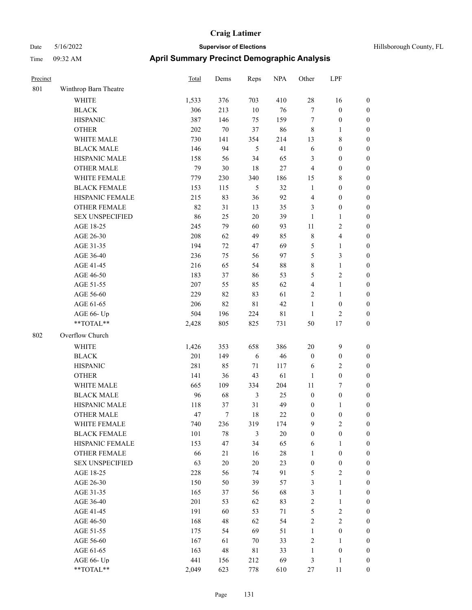| Hillsborough County, FL |  |
|-------------------------|--|
|-------------------------|--|

| Precinct |                        | Total   | Dems   | Reps           | <b>NPA</b>  | Other            | LPF                     |                  |
|----------|------------------------|---------|--------|----------------|-------------|------------------|-------------------------|------------------|
| 801      | Winthrop Barn Theatre  |         |        |                |             |                  |                         |                  |
|          | WHITE                  | 1,533   | 376    | 703            | 410         | 28               | 16                      | $\boldsymbol{0}$ |
|          | <b>BLACK</b>           | 306     | 213    | 10             | 76          | $\tau$           | $\boldsymbol{0}$        | $\boldsymbol{0}$ |
|          | <b>HISPANIC</b>        | 387     | 146    | 75             | 159         | $\tau$           | $\boldsymbol{0}$        | $\boldsymbol{0}$ |
|          | <b>OTHER</b>           | 202     | $70\,$ | 37             | 86          | $\,8\,$          | 1                       | $\boldsymbol{0}$ |
|          | WHITE MALE             | 730     | 141    | 354            | 214         | 13               | 8                       | $\boldsymbol{0}$ |
|          | <b>BLACK MALE</b>      | 146     | 94     | 5              | 41          | 6                | $\boldsymbol{0}$        | $\boldsymbol{0}$ |
|          | HISPANIC MALE          | 158     | 56     | 34             | 65          | 3                | $\boldsymbol{0}$        | $\boldsymbol{0}$ |
|          | <b>OTHER MALE</b>      | 79      | 30     | 18             | $27\,$      | $\overline{4}$   | $\boldsymbol{0}$        | $\boldsymbol{0}$ |
|          | WHITE FEMALE           | 779     | 230    | 340            | 186         | 15               | 8                       | $\boldsymbol{0}$ |
|          | <b>BLACK FEMALE</b>    | 153     | 115    | $\mathfrak{S}$ | 32          | $\mathbf{1}$     | $\boldsymbol{0}$        | $\boldsymbol{0}$ |
|          | HISPANIC FEMALE        | 215     | 83     | 36             | 92          | $\overline{4}$   | $\boldsymbol{0}$        | $\boldsymbol{0}$ |
|          | <b>OTHER FEMALE</b>    | 82      | 31     | 13             | 35          | 3                | $\boldsymbol{0}$        | $\boldsymbol{0}$ |
|          | <b>SEX UNSPECIFIED</b> | 86      | 25     | 20             | 39          | $\mathbf{1}$     | 1                       | $\boldsymbol{0}$ |
|          | AGE 18-25              | 245     | 79     | 60             | 93          | 11               | 2                       | $\boldsymbol{0}$ |
|          | AGE 26-30              | 208     | 62     | 49             | 85          | $\,$ 8 $\,$      | 4                       | $\boldsymbol{0}$ |
|          | AGE 31-35              | 194     | 72     | 47             | 69          | $\mathfrak{S}$   | 1                       | $\boldsymbol{0}$ |
|          | AGE 36-40              | 236     | 75     | 56             | 97          | 5                | 3                       | $\boldsymbol{0}$ |
|          | AGE 41-45              | 216     | 65     | 54             | $88\,$      | $\,$ 8 $\,$      | 1                       | $\boldsymbol{0}$ |
|          | AGE 46-50              | 183     | 37     | 86             | 53          | 5                | $\overline{\mathbf{c}}$ | $\boldsymbol{0}$ |
|          | AGE 51-55              | 207     | 55     | 85             | 62          | $\overline{4}$   | 1                       | $\boldsymbol{0}$ |
|          | AGE 56-60              | 229     | 82     | 83             | 61          | $\overline{2}$   | 1                       | $\boldsymbol{0}$ |
|          | AGE 61-65              | 206     | 82     | 81             | 42          | $\mathbf{1}$     | $\boldsymbol{0}$        | $\boldsymbol{0}$ |
|          | AGE 66- Up             | 504     | 196    | 224            | $8\sqrt{1}$ | $\mathbf{1}$     | 2                       | $\boldsymbol{0}$ |
|          | **TOTAL**              | 2,428   | 805    | 825            | 731         | 50               | $17\,$                  | $\boldsymbol{0}$ |
| 802      | Overflow Church        |         |        |                |             |                  |                         |                  |
|          | <b>WHITE</b>           | 1,426   | 353    | 658            | 386         | 20               | 9                       | $\boldsymbol{0}$ |
|          | <b>BLACK</b>           | 201     | 149    | 6              | 46          | $\boldsymbol{0}$ | $\boldsymbol{0}$        | $\boldsymbol{0}$ |
|          | <b>HISPANIC</b>        | 281     | 85     | 71             | 117         | 6                | 2                       | $\boldsymbol{0}$ |
|          | <b>OTHER</b>           | 141     | 36     | 43             | 61          | $\mathbf{1}$     | $\boldsymbol{0}$        | $\boldsymbol{0}$ |
|          | WHITE MALE             | 665     | 109    | 334            | 204         | 11               | 7                       | $\boldsymbol{0}$ |
|          | <b>BLACK MALE</b>      | 96      | 68     | 3              | 25          | $\boldsymbol{0}$ | $\boldsymbol{0}$        | $\boldsymbol{0}$ |
|          | HISPANIC MALE          | 118     | 37     | 31             | 49          | $\boldsymbol{0}$ | 1                       | $\boldsymbol{0}$ |
|          | <b>OTHER MALE</b>      | 47      | 7      | 18             | 22          | $\boldsymbol{0}$ | $\boldsymbol{0}$        | $\boldsymbol{0}$ |
|          | WHITE FEMALE           | 740     | 236    | 319            | 174         | 9                | $\mathbf{2}$            | $\boldsymbol{0}$ |
|          | <b>BLACK FEMALE</b>    | $101\,$ | $78\,$ | 3              | $20\,$      | $\boldsymbol{0}$ | $\boldsymbol{0}$        | $\boldsymbol{0}$ |
|          | HISPANIC FEMALE        | 153     | 47     | 34             | 65          | 6                | $\mathbf{1}$            | $\boldsymbol{0}$ |
|          | OTHER FEMALE           | 66      | 21     | 16             | $28\,$      | $\mathbf{1}$     | $\boldsymbol{0}$        | $\boldsymbol{0}$ |
|          | <b>SEX UNSPECIFIED</b> | 63      | $20\,$ | $20\,$         | 23          | $\boldsymbol{0}$ | $\boldsymbol{0}$        | $\boldsymbol{0}$ |
|          | AGE 18-25              | 228     | 56     | 74             | 91          | 5                | $\mathbf{2}$            | $\boldsymbol{0}$ |
|          | AGE 26-30              | 150     | 50     | 39             | 57          | $\mathfrak{Z}$   | 1                       | $\boldsymbol{0}$ |
|          | AGE 31-35              | 165     | 37     | 56             | 68          | $\mathfrak{Z}$   | 1                       | $\boldsymbol{0}$ |
|          | AGE 36-40              | 201     | 53     | 62             | 83          | $\sqrt{2}$       | $\mathbf{1}$            | $\boldsymbol{0}$ |
|          | AGE 41-45              | 191     | 60     | 53             | 71          | $\mathfrak{S}$   | $\sqrt{2}$              | $\boldsymbol{0}$ |
|          | AGE 46-50              | 168     | 48     | 62             | 54          | $\sqrt{2}$       | $\sqrt{2}$              | $\boldsymbol{0}$ |
|          | AGE 51-55              | 175     | 54     | 69             | 51          | $\mathbf{1}$     | $\boldsymbol{0}$        | $\boldsymbol{0}$ |
|          | AGE 56-60              | 167     | 61     | 70             | 33          | $\sqrt{2}$       | $\mathbf{1}$            | $\boldsymbol{0}$ |
|          | AGE 61-65              | 163     | 48     | 81             | 33          | $\mathbf{1}$     | $\boldsymbol{0}$        | $\boldsymbol{0}$ |
|          | AGE 66- Up             | 441     | 156    | 212            | 69          | 3                | 1                       | $\boldsymbol{0}$ |
|          | $**TOTAL**$            | 2,049   | 623    | 778            | 610         | $27\,$           | 11                      | $\boldsymbol{0}$ |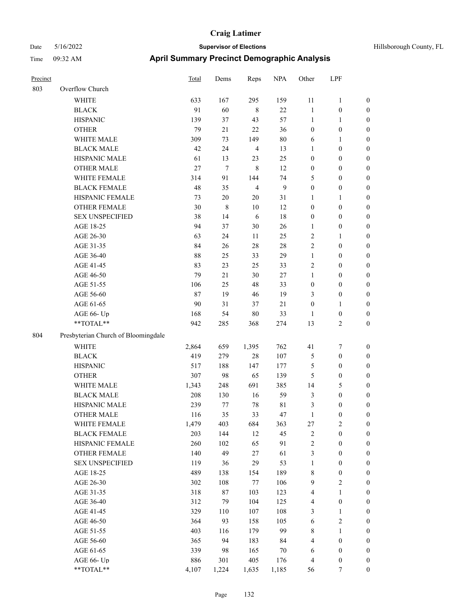| Hillsborough County |  |
|---------------------|--|

| Precinct |                                     | Total | Dems        | Reps           | <b>NPA</b> | Other            | LPF              |                  |
|----------|-------------------------------------|-------|-------------|----------------|------------|------------------|------------------|------------------|
| 803      | Overflow Church                     |       |             |                |            |                  |                  |                  |
|          | <b>WHITE</b>                        | 633   | 167         | 295            | 159        | 11               | $\mathbf{1}$     | $\boldsymbol{0}$ |
|          | <b>BLACK</b>                        | 91    | 60          | $\,$ 8 $\,$    | 22         | $\mathbf{1}$     | $\boldsymbol{0}$ | $\boldsymbol{0}$ |
|          | <b>HISPANIC</b>                     | 139   | 37          | 43             | 57         | $\mathbf{1}$     | $\mathbf{1}$     | $\boldsymbol{0}$ |
|          | <b>OTHER</b>                        | 79    | 21          | 22             | 36         | $\boldsymbol{0}$ | $\boldsymbol{0}$ | $\boldsymbol{0}$ |
|          | WHITE MALE                          | 309   | 73          | 149            | $80\,$     | 6                | $\mathbf{1}$     | 0                |
|          | <b>BLACK MALE</b>                   | 42    | 24          | $\overline{4}$ | 13         | $\mathbf{1}$     | $\boldsymbol{0}$ | $\boldsymbol{0}$ |
|          | HISPANIC MALE                       | 61    | 13          | 23             | 25         | $\boldsymbol{0}$ | $\boldsymbol{0}$ | $\boldsymbol{0}$ |
|          | <b>OTHER MALE</b>                   | 27    | $\tau$      | $\,8\,$        | 12         | $\boldsymbol{0}$ | $\boldsymbol{0}$ | $\boldsymbol{0}$ |
|          | WHITE FEMALE                        | 314   | 91          | 144            | 74         | 5                | $\boldsymbol{0}$ | $\boldsymbol{0}$ |
|          | <b>BLACK FEMALE</b>                 | 48    | 35          | $\overline{4}$ | 9          | $\boldsymbol{0}$ | $\boldsymbol{0}$ | $\boldsymbol{0}$ |
|          | HISPANIC FEMALE                     | 73    | $20\,$      | 20             | 31         | $\mathbf{1}$     | $\mathbf{1}$     | $\boldsymbol{0}$ |
|          | OTHER FEMALE                        | 30    | $\,$ 8 $\,$ | $10\,$         | 12         | $\boldsymbol{0}$ | $\boldsymbol{0}$ | $\boldsymbol{0}$ |
|          | <b>SEX UNSPECIFIED</b>              | 38    | 14          | 6              | $18\,$     | $\boldsymbol{0}$ | $\boldsymbol{0}$ | $\boldsymbol{0}$ |
|          | AGE 18-25                           | 94    | 37          | $30\,$         | 26         | 1                | $\boldsymbol{0}$ | $\boldsymbol{0}$ |
|          | AGE 26-30                           | 63    | 24          | 11             | 25         | $\overline{c}$   | $\mathbf{1}$     | 0                |
|          | AGE 31-35                           | 84    | 26          | $28\,$         | $28\,$     | $\sqrt{2}$       | $\boldsymbol{0}$ | 0                |
|          | AGE 36-40                           | 88    | 25          | 33             | 29         | $\mathbf{1}$     | $\boldsymbol{0}$ | $\boldsymbol{0}$ |
|          | AGE 41-45                           | 83    | 23          | 25             | 33         | 2                | $\boldsymbol{0}$ | $\boldsymbol{0}$ |
|          | AGE 46-50                           | 79    | 21          | $30\,$         | $27\,$     | $\mathbf{1}$     | $\boldsymbol{0}$ | $\boldsymbol{0}$ |
|          | AGE 51-55                           | 106   | 25          | 48             | 33         | $\boldsymbol{0}$ | $\boldsymbol{0}$ | $\boldsymbol{0}$ |
|          | AGE 56-60                           | 87    | 19          | $46\,$         | 19         | 3                | $\boldsymbol{0}$ | $\boldsymbol{0}$ |
|          | AGE 61-65                           | 90    | 31          | 37             | 21         | $\boldsymbol{0}$ | $\mathbf{1}$     | $\boldsymbol{0}$ |
|          | AGE 66- Up                          | 168   | 54          | $80\,$         | 33         | $\mathbf{1}$     | $\boldsymbol{0}$ | $\boldsymbol{0}$ |
|          | **TOTAL**                           | 942   | 285         | 368            | 274        | 13               | $\mathbf{2}$     | $\boldsymbol{0}$ |
| 804      | Presbyterian Church of Bloomingdale |       |             |                |            |                  |                  |                  |
|          | WHITE                               | 2,864 | 659         | 1,395          | 762        | 41               | 7                | $\boldsymbol{0}$ |
|          | <b>BLACK</b>                        | 419   | 279         | 28             | 107        | 5                | $\boldsymbol{0}$ | $\boldsymbol{0}$ |
|          | <b>HISPANIC</b>                     | 517   | 188         | 147            | 177        | 5                | $\boldsymbol{0}$ | 0                |
|          | <b>OTHER</b>                        | 307   | 98          | 65             | 139        | 5                | $\boldsymbol{0}$ | $\boldsymbol{0}$ |
|          | WHITE MALE                          | 1,343 | 248         | 691            | 385        | 14               | 5                | $\boldsymbol{0}$ |
|          | <b>BLACK MALE</b>                   | 208   | 130         | 16             | 59         | 3                | $\boldsymbol{0}$ | $\boldsymbol{0}$ |
|          | HISPANIC MALE                       | 239   | 77          | $78\,$         | 81         | 3                | $\boldsymbol{0}$ | $\boldsymbol{0}$ |
|          | <b>OTHER MALE</b>                   | 116   | 35          | 33             | 47         | $\mathbf{1}$     | $\boldsymbol{0}$ | $\boldsymbol{0}$ |
|          | WHITE FEMALE                        | 1,479 | 403         | 684            | 363        | $27\,$           | $\sqrt{2}$       | $\boldsymbol{0}$ |
|          | <b>BLACK FEMALE</b>                 | 203   | 144         | 12             | 45         | $\sqrt{2}$       | $\boldsymbol{0}$ | 0                |
|          | HISPANIC FEMALE                     | 260   | 102         | 65             | 91         | $\sqrt{2}$       | $\boldsymbol{0}$ | 0                |
|          | <b>OTHER FEMALE</b>                 | 140   | 49          | $27\,$         | 61         | 3                | $\boldsymbol{0}$ | 0                |
|          | <b>SEX UNSPECIFIED</b>              | 119   | 36          | 29             | 53         | $\mathbf{1}$     | $\boldsymbol{0}$ | 0                |
|          | AGE 18-25                           | 489   | 138         | 154            | 189        | $\,$ 8 $\,$      | $\boldsymbol{0}$ | $\boldsymbol{0}$ |
|          | AGE 26-30                           | 302   | 108         | $77\,$         | 106        | 9                | $\sqrt{2}$       | $\boldsymbol{0}$ |
|          | AGE 31-35                           | 318   | $87\,$      | 103            | 123        | 4                | $\mathbf{1}$     | $\boldsymbol{0}$ |
|          | AGE 36-40                           | 312   | 79          | 104            | 125        | $\overline{4}$   | $\boldsymbol{0}$ | $\boldsymbol{0}$ |
|          | AGE 41-45                           | 329   | 110         | 107            | 108        | 3                | $\mathbf{1}$     | $\boldsymbol{0}$ |
|          | AGE 46-50                           | 364   | 93          | 158            | 105        | 6                | $\sqrt{2}$       | $\overline{0}$   |
|          | AGE 51-55                           | 403   | 116         | 179            | 99         | $\,$ 8 $\,$      | $\mathbf{1}$     | $\boldsymbol{0}$ |
|          | AGE 56-60                           | 365   | 94          | 183            | 84         | 4                | $\boldsymbol{0}$ | $\boldsymbol{0}$ |
|          | AGE 61-65                           | 339   | 98          | 165            | $70\,$     | 6                | $\boldsymbol{0}$ | 0                |
|          | AGE 66- Up                          | 886   | 301         | 405            | 176        | $\overline{4}$   | $\boldsymbol{0}$ | 0                |
|          | $**TOTAL**$                         | 4,107 | 1,224       | 1,635          | 1,185      | 56               | $\boldsymbol{7}$ | $\boldsymbol{0}$ |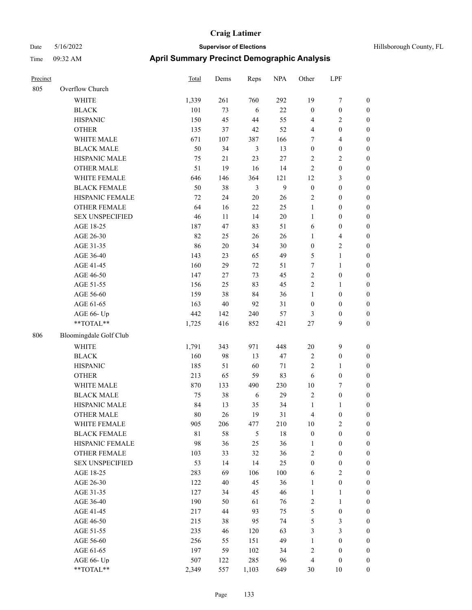| Hillsborough County, FL |  |  |
|-------------------------|--|--|
|-------------------------|--|--|

| Precinct |                        | Total       | Dems   | Reps           | <b>NPA</b>   | Other            | LPF              |                  |
|----------|------------------------|-------------|--------|----------------|--------------|------------------|------------------|------------------|
| 805      | Overflow Church        |             |        |                |              |                  |                  |                  |
|          | <b>WHITE</b>           | 1,339       | 261    | 760            | 292          | 19               | 7                | $\boldsymbol{0}$ |
|          | <b>BLACK</b>           | 101         | 73     | 6              | 22           | $\boldsymbol{0}$ | $\boldsymbol{0}$ | $\boldsymbol{0}$ |
|          | <b>HISPANIC</b>        | 150         | 45     | 44             | 55           | $\overline{4}$   | 2                | $\boldsymbol{0}$ |
|          | <b>OTHER</b>           | 135         | 37     | 42             | 52           | $\overline{4}$   | $\boldsymbol{0}$ | $\boldsymbol{0}$ |
|          | WHITE MALE             | 671         | 107    | 387            | 166          | 7                | 4                | $\boldsymbol{0}$ |
|          | <b>BLACK MALE</b>      | 50          | 34     | $\mathfrak{Z}$ | 13           | $\boldsymbol{0}$ | $\boldsymbol{0}$ | $\boldsymbol{0}$ |
|          | HISPANIC MALE          | 75          | 21     | 23             | 27           | $\overline{2}$   | 2                | $\boldsymbol{0}$ |
|          | <b>OTHER MALE</b>      | 51          | 19     | 16             | 14           | $\overline{2}$   | $\boldsymbol{0}$ | $\boldsymbol{0}$ |
|          | WHITE FEMALE           | 646         | 146    | 364            | 121          | 12               | 3                | $\boldsymbol{0}$ |
|          | <b>BLACK FEMALE</b>    | 50          | 38     | 3              | $\mathbf{9}$ | $\boldsymbol{0}$ | $\boldsymbol{0}$ | $\boldsymbol{0}$ |
|          | HISPANIC FEMALE        | 72          | 24     | $20\,$         | 26           | $\sqrt{2}$       | $\boldsymbol{0}$ | $\boldsymbol{0}$ |
|          | <b>OTHER FEMALE</b>    | 64          | 16     | 22             | 25           | $\mathbf{1}$     | $\boldsymbol{0}$ | $\boldsymbol{0}$ |
|          | <b>SEX UNSPECIFIED</b> | 46          | 11     | 14             | $20\,$       | $\mathbf{1}$     | $\boldsymbol{0}$ | $\boldsymbol{0}$ |
|          | AGE 18-25              | 187         | 47     | 83             | 51           | 6                | $\boldsymbol{0}$ | $\boldsymbol{0}$ |
|          | AGE 26-30              | 82          | 25     | 26             | $26\,$       | $\mathbf{1}$     | $\overline{4}$   | $\boldsymbol{0}$ |
|          | AGE 31-35              | 86          | $20\,$ | 34             | 30           | $\boldsymbol{0}$ | 2                | $\boldsymbol{0}$ |
|          | AGE 36-40              | 143         | 23     | 65             | 49           | $\mathfrak{S}$   | $\mathbf{1}$     | $\boldsymbol{0}$ |
|          | AGE 41-45              | 160         | 29     | 72             | 51           | 7                | 1                | $\boldsymbol{0}$ |
|          | AGE 46-50              | 147         | 27     | 73             | 45           | $\sqrt{2}$       | $\boldsymbol{0}$ | $\boldsymbol{0}$ |
|          | AGE 51-55              | 156         | 25     | 83             | 45           | $\sqrt{2}$       | 1                | $\boldsymbol{0}$ |
|          | AGE 56-60              | 159         | 38     | 84             | 36           | $\mathbf{1}$     | $\boldsymbol{0}$ | $\boldsymbol{0}$ |
|          | AGE 61-65              | 163         | $40\,$ | 92             | 31           | $\boldsymbol{0}$ | $\boldsymbol{0}$ | $\boldsymbol{0}$ |
|          | AGE 66- Up             | 442         | 142    | 240            | 57           | 3                | $\boldsymbol{0}$ | $\boldsymbol{0}$ |
|          | **TOTAL**              | 1,725       | 416    | 852            | 421          | $27\,$           | 9                | $\boldsymbol{0}$ |
| 806      | Bloomingdale Golf Club |             |        |                |              |                  |                  |                  |
|          | <b>WHITE</b>           | 1,791       | 343    | 971            | 448          | 20               | $\mathbf{9}$     | $\boldsymbol{0}$ |
|          | <b>BLACK</b>           | 160         | 98     | 13             | 47           | $\sqrt{2}$       | $\boldsymbol{0}$ | $\boldsymbol{0}$ |
|          | <b>HISPANIC</b>        | 185         | 51     | 60             | 71           | $\overline{2}$   | 1                | $\boldsymbol{0}$ |
|          | <b>OTHER</b>           | 213         | 65     | 59             | 83           | 6                | $\boldsymbol{0}$ | $\boldsymbol{0}$ |
|          | WHITE MALE             | 870         | 133    | 490            | 230          | $10\,$           | 7                | $\boldsymbol{0}$ |
|          | <b>BLACK MALE</b>      | 75          | 38     | 6              | 29           | $\sqrt{2}$       | $\boldsymbol{0}$ | $\boldsymbol{0}$ |
|          | HISPANIC MALE          | 84          | 13     | 35             | 34           | $\mathbf{1}$     | 1                | $\boldsymbol{0}$ |
|          | <b>OTHER MALE</b>      | 80          | 26     | 19             | 31           | $\overline{4}$   | $\boldsymbol{0}$ | $\boldsymbol{0}$ |
|          | WHITE FEMALE           | 905         | 206    | 477            | 210          | $10\,$           | $\mathbf{2}$     | $\boldsymbol{0}$ |
|          | <b>BLACK FEMALE</b>    | $8\sqrt{1}$ | 58     | $\mathfrak{H}$ | $18\,$       | $\boldsymbol{0}$ | $\boldsymbol{0}$ | $\boldsymbol{0}$ |
|          | HISPANIC FEMALE        | 98          | 36     | $25\,$         | 36           | $\mathbf{1}$     | $\boldsymbol{0}$ | $\boldsymbol{0}$ |
|          | OTHER FEMALE           | 103         | 33     | 32             | 36           | $\sqrt{2}$       | $\boldsymbol{0}$ | $\boldsymbol{0}$ |
|          | <b>SEX UNSPECIFIED</b> | 53          | 14     | 14             | 25           | $\boldsymbol{0}$ | $\boldsymbol{0}$ | $\boldsymbol{0}$ |
|          | AGE 18-25              | 283         | 69     | 106            | 100          | 6                | $\mathbf{2}$     | $\boldsymbol{0}$ |
|          | AGE 26-30              | 122         | 40     | 45             | 36           | $\mathbf{1}$     | $\boldsymbol{0}$ | $\boldsymbol{0}$ |
|          | AGE 31-35              | 127         | 34     | 45             | 46           | $\mathbf{1}$     | 1                | $\boldsymbol{0}$ |
|          | AGE 36-40              | 190         | 50     | 61             | 76           | $\sqrt{2}$       | 1                | $\boldsymbol{0}$ |
|          | AGE 41-45              | 217         | 44     | 93             | 75           | $\sqrt{5}$       | $\boldsymbol{0}$ | $\boldsymbol{0}$ |
|          | AGE 46-50              | 215         | 38     | 95             | 74           | $\mathfrak{S}$   | 3                | $\boldsymbol{0}$ |
|          | AGE 51-55              | 235         | 46     | 120            | 63           | $\mathfrak{Z}$   | 3                | $\boldsymbol{0}$ |
|          | AGE 56-60              | 256         | 55     | 151            | 49           | $\mathbf{1}$     | $\boldsymbol{0}$ | $\boldsymbol{0}$ |
|          | AGE 61-65              | 197         | 59     | 102            | 34           | $\sqrt{2}$       | $\boldsymbol{0}$ | $\boldsymbol{0}$ |
|          | AGE 66- Up             | 507         | 122    | 285            | 96           | $\overline{4}$   | $\boldsymbol{0}$ | $\mathbf{0}$     |
|          | **TOTAL**              | 2,349       | 557    | 1,103          | 649          | $30\,$           | $10\,$           | $\boldsymbol{0}$ |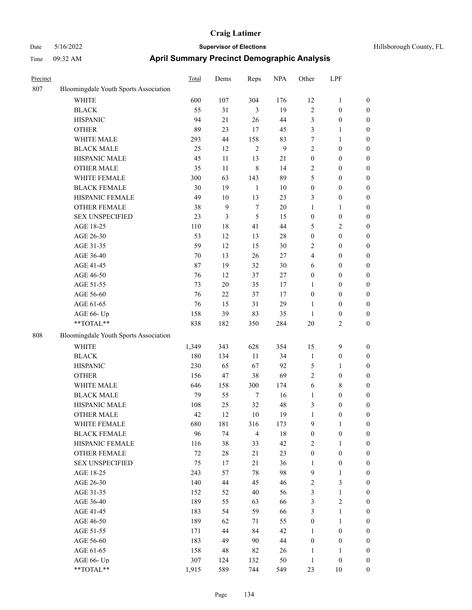| Precinct |                                       | <b>Total</b> | Dems | Reps           | <b>NPA</b> | Other            | LPF              |                  |
|----------|---------------------------------------|--------------|------|----------------|------------|------------------|------------------|------------------|
| 807      | Bloomingdale Youth Sports Association |              |      |                |            |                  |                  |                  |
|          | <b>WHITE</b>                          | 600          | 107  | 304            | 176        | 12               | 1                | $\boldsymbol{0}$ |
|          | <b>BLACK</b>                          | 55           | 31   | 3              | 19         | $\overline{2}$   | $\boldsymbol{0}$ | $\boldsymbol{0}$ |
|          | <b>HISPANIC</b>                       | 94           | 21   | 26             | 44         | $\mathfrak{Z}$   | $\boldsymbol{0}$ | $\boldsymbol{0}$ |
|          | <b>OTHER</b>                          | 89           | 23   | 17             | 45         | $\mathfrak{Z}$   | 1                | $\boldsymbol{0}$ |
|          | WHITE MALE                            | 293          | 44   | 158            | 83         | $\tau$           | 1                | $\boldsymbol{0}$ |
|          | <b>BLACK MALE</b>                     | 25           | 12   | $\sqrt{2}$     | 9          | $\sqrt{2}$       | $\boldsymbol{0}$ | $\boldsymbol{0}$ |
|          | HISPANIC MALE                         | 45           | 11   | 13             | 21         | $\boldsymbol{0}$ | $\boldsymbol{0}$ | $\boldsymbol{0}$ |
|          | <b>OTHER MALE</b>                     | 35           | 11   | $\,$ 8 $\,$    | 14         | $\sqrt{2}$       | $\boldsymbol{0}$ | $\boldsymbol{0}$ |
|          | WHITE FEMALE                          | 300          | 63   | 143            | 89         | 5                | $\boldsymbol{0}$ | $\boldsymbol{0}$ |
|          | <b>BLACK FEMALE</b>                   | 30           | 19   | $\mathbf{1}$   | 10         | $\boldsymbol{0}$ | $\boldsymbol{0}$ | $\boldsymbol{0}$ |
|          | HISPANIC FEMALE                       | 49           | 10   | 13             | 23         | 3                | $\boldsymbol{0}$ | $\boldsymbol{0}$ |
|          | <b>OTHER FEMALE</b>                   | 38           | 9    | $\tau$         | 20         | $\mathbf{1}$     | 1                | $\boldsymbol{0}$ |
|          | <b>SEX UNSPECIFIED</b>                | 23           | 3    | 5              | 15         | $\boldsymbol{0}$ | $\boldsymbol{0}$ | $\boldsymbol{0}$ |
|          | AGE 18-25                             | 110          | 18   | 41             | 44         | 5                | 2                | $\boldsymbol{0}$ |
|          | AGE 26-30                             | 53           | 12   | 13             | 28         | $\boldsymbol{0}$ | $\boldsymbol{0}$ | $\boldsymbol{0}$ |
|          | AGE 31-35                             | 59           | 12   | 15             | 30         | $\sqrt{2}$       | $\boldsymbol{0}$ | $\boldsymbol{0}$ |
|          | AGE 36-40                             | 70           | 13   | 26             | 27         | $\overline{4}$   | $\boldsymbol{0}$ | $\boldsymbol{0}$ |
|          | AGE 41-45                             | 87           | 19   | 32             | 30         | 6                | $\boldsymbol{0}$ | $\boldsymbol{0}$ |
|          | AGE 46-50                             | 76           | 12   | 37             | 27         | $\boldsymbol{0}$ | $\boldsymbol{0}$ | $\boldsymbol{0}$ |
|          | AGE 51-55                             | 73           | 20   | 35             | 17         | 1                | $\boldsymbol{0}$ | $\boldsymbol{0}$ |
|          | AGE 56-60                             | 76           | 22   | 37             | 17         | $\boldsymbol{0}$ | $\boldsymbol{0}$ | $\boldsymbol{0}$ |
|          | AGE 61-65                             | 76           | 15   | 31             | 29         | $\mathbf{1}$     | $\boldsymbol{0}$ | $\boldsymbol{0}$ |
|          | AGE 66- Up                            | 158          | 39   | 83             | 35         | 1                | $\boldsymbol{0}$ | $\boldsymbol{0}$ |
|          | **TOTAL**                             | 838          | 182  | 350            | 284        | 20               | 2                | $\boldsymbol{0}$ |
| 808      | Bloomingdale Youth Sports Association |              |      |                |            |                  |                  |                  |
|          | <b>WHITE</b>                          | 1,349        | 343  | 628            | 354        | 15               | 9                | $\boldsymbol{0}$ |
|          | <b>BLACK</b>                          | 180          | 134  | 11             | 34         | $\mathbf{1}$     | $\boldsymbol{0}$ | $\boldsymbol{0}$ |
|          | <b>HISPANIC</b>                       | 230          | 65   | 67             | 92         | $\mathfrak{S}$   | 1                | $\boldsymbol{0}$ |
|          | <b>OTHER</b>                          | 156          | 47   | 38             | 69         | $\overline{2}$   | $\boldsymbol{0}$ | $\boldsymbol{0}$ |
|          | WHITE MALE                            | 646          | 158  | 300            | 174        | 6                | 8                | $\boldsymbol{0}$ |
|          | <b>BLACK MALE</b>                     | 79           | 55   | $\tau$         | 16         | $\mathbf{1}$     | $\boldsymbol{0}$ | $\boldsymbol{0}$ |
|          | HISPANIC MALE                         | 108          | 25   | 32             | 48         | 3                | $\boldsymbol{0}$ | $\boldsymbol{0}$ |
|          | <b>OTHER MALE</b>                     | 42           | 12   | 10             | 19         | 1                | $\boldsymbol{0}$ | $\boldsymbol{0}$ |
|          | WHITE FEMALE                          | 680          | 181  | 316            | 173        | $\overline{9}$   | $\mathbf{1}$     | $\boldsymbol{0}$ |
|          | <b>BLACK FEMALE</b>                   | 96           | 74   | $\overline{4}$ | $18\,$     | $\boldsymbol{0}$ | $\boldsymbol{0}$ | $\boldsymbol{0}$ |
|          | HISPANIC FEMALE                       | 116          | 38   | 33             | 42         | $\sqrt{2}$       | 1                | $\boldsymbol{0}$ |
|          | OTHER FEMALE                          | $72\,$       | 28   | 21             | 23         | $\boldsymbol{0}$ | $\boldsymbol{0}$ | $\boldsymbol{0}$ |
|          | <b>SEX UNSPECIFIED</b>                | 75           | 17   | 21             | 36         | $\mathbf{1}$     | $\boldsymbol{0}$ | $\boldsymbol{0}$ |
|          | AGE 18-25                             | 243          | 57   | 78             | 98         | $\mathbf{9}$     | 1                | $\boldsymbol{0}$ |
|          | AGE 26-30                             | 140          | 44   | 45             | 46         | $\sqrt{2}$       | 3                | $\boldsymbol{0}$ |
|          | AGE 31-35                             | 152          | 52   | 40             | 56         | 3                | $\mathbf{1}$     | $\boldsymbol{0}$ |
|          | AGE 36-40                             | 189          | 55   | 63             | 66         | 3                | 2                | $\boldsymbol{0}$ |
|          | AGE 41-45                             | 183          | 54   | 59             | 66         | $\mathfrak{Z}$   | 1                | $\boldsymbol{0}$ |
|          | AGE 46-50                             | 189          | 62   | 71             | 55         | $\boldsymbol{0}$ | $\mathbf{1}$     | $\boldsymbol{0}$ |
|          | AGE 51-55                             | 171          | 44   | 84             | 42         | 1                | $\boldsymbol{0}$ | $\boldsymbol{0}$ |
|          | AGE 56-60                             | 183          | 49   | 90             | $44\,$     | $\boldsymbol{0}$ | $\boldsymbol{0}$ | $\boldsymbol{0}$ |
|          | AGE 61-65                             | 158          | 48   | 82             | 26         | $\mathbf{1}$     | 1                | $\boldsymbol{0}$ |
|          | AGE 66- Up                            | 307          | 124  | 132            | 50         | $\mathbf{1}$     | $\boldsymbol{0}$ | $\boldsymbol{0}$ |
|          | **TOTAL**                             | 1,915        | 589  | 744            | 549        | 23               | $10\,$           | $\boldsymbol{0}$ |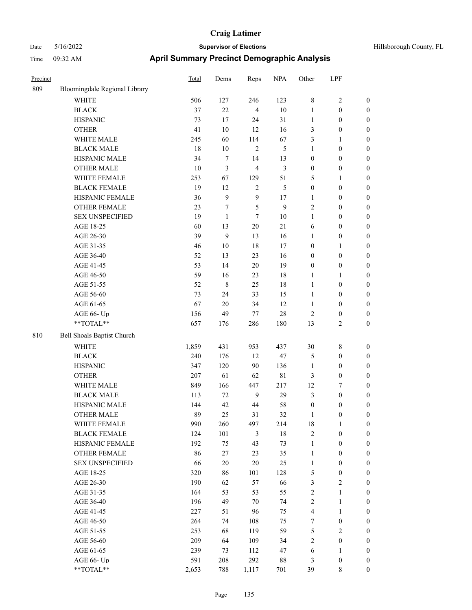| Precinct |                               | <b>Total</b> | Dems         | Reps           | <b>NPA</b>  | Other            | LPF              |                  |
|----------|-------------------------------|--------------|--------------|----------------|-------------|------------------|------------------|------------------|
| 809      | Bloomingdale Regional Library |              |              |                |             |                  |                  |                  |
|          | <b>WHITE</b>                  | 506          | 127          | 246            | 123         | $\,$ 8 $\,$      | 2                | $\boldsymbol{0}$ |
|          | <b>BLACK</b>                  | 37           | 22           | $\overline{4}$ | $10\,$      | 1                | $\boldsymbol{0}$ | $\boldsymbol{0}$ |
|          | <b>HISPANIC</b>               | 73           | 17           | 24             | 31          | $\mathbf{1}$     | $\boldsymbol{0}$ | $\boldsymbol{0}$ |
|          | <b>OTHER</b>                  | 41           | 10           | 12             | 16          | 3                | $\boldsymbol{0}$ | $\boldsymbol{0}$ |
|          | WHITE MALE                    | 245          | 60           | 114            | 67          | 3                | 1                | $\boldsymbol{0}$ |
|          | <b>BLACK MALE</b>             | 18           | $10\,$       | $\overline{2}$ | 5           | 1                | $\boldsymbol{0}$ | $\boldsymbol{0}$ |
|          | HISPANIC MALE                 | 34           | 7            | 14             | 13          | $\boldsymbol{0}$ | $\boldsymbol{0}$ | $\boldsymbol{0}$ |
|          | <b>OTHER MALE</b>             | 10           | 3            | $\overline{4}$ | 3           | $\boldsymbol{0}$ | $\boldsymbol{0}$ | $\boldsymbol{0}$ |
|          | WHITE FEMALE                  | 253          | 67           | 129            | 51          | 5                | 1                | $\boldsymbol{0}$ |
|          | <b>BLACK FEMALE</b>           | 19           | 12           | $\overline{2}$ | 5           | $\boldsymbol{0}$ | $\boldsymbol{0}$ | $\boldsymbol{0}$ |
|          | HISPANIC FEMALE               | 36           | 9            | 9              | 17          | 1                | $\boldsymbol{0}$ | $\boldsymbol{0}$ |
|          | <b>OTHER FEMALE</b>           | 23           | 7            | 5              | 9           | $\overline{2}$   | $\boldsymbol{0}$ | $\boldsymbol{0}$ |
|          | <b>SEX UNSPECIFIED</b>        | 19           | $\mathbf{1}$ | 7              | $10\,$      | 1                | $\boldsymbol{0}$ | $\boldsymbol{0}$ |
|          | AGE 18-25                     | 60           | 13           | 20             | 21          | 6                | $\boldsymbol{0}$ | $\boldsymbol{0}$ |
|          | AGE 26-30                     | 39           | 9            | 13             | 16          | 1                | $\boldsymbol{0}$ | $\boldsymbol{0}$ |
|          | AGE 31-35                     | 46           | 10           | 18             | 17          | $\boldsymbol{0}$ | 1                | $\boldsymbol{0}$ |
|          | AGE 36-40                     | 52           | 13           | 23             | 16          | $\boldsymbol{0}$ | $\boldsymbol{0}$ | $\boldsymbol{0}$ |
|          | AGE 41-45                     | 53           | 14           | $20\,$         | 19          | $\boldsymbol{0}$ | $\boldsymbol{0}$ | $\boldsymbol{0}$ |
|          | AGE 46-50                     | 59           | 16           | 23             | 18          | $\mathbf{1}$     | 1                | $\boldsymbol{0}$ |
|          | AGE 51-55                     | 52           | 8            | 25             | 18          | 1                | $\boldsymbol{0}$ | $\boldsymbol{0}$ |
|          | AGE 56-60                     | 73           | 24           | 33             | 15          | 1                | $\boldsymbol{0}$ | $\boldsymbol{0}$ |
|          | AGE 61-65                     | 67           | 20           | 34             | 12          | $\mathbf{1}$     | $\boldsymbol{0}$ | $\boldsymbol{0}$ |
|          | AGE 66- Up                    | 156          | 49           | 77             | 28          | $\sqrt{2}$       | $\boldsymbol{0}$ | $\boldsymbol{0}$ |
|          | **TOTAL**                     | 657          | 176          | 286            | 180         | 13               | 2                | $\boldsymbol{0}$ |
| 810      | Bell Shoals Baptist Church    |              |              |                |             |                  |                  |                  |
|          | <b>WHITE</b>                  | 1,859        | 431          | 953            | 437         | 30               | 8                | $\boldsymbol{0}$ |
|          | <b>BLACK</b>                  | 240          | 176          | 12             | 47          | $\mathfrak{S}$   | $\boldsymbol{0}$ | $\boldsymbol{0}$ |
|          | <b>HISPANIC</b>               | 347          | 120          | 90             | 136         | 1                | $\boldsymbol{0}$ | $\boldsymbol{0}$ |
|          | <b>OTHER</b>                  | 207          | 61           | 62             | $8\sqrt{1}$ | $\mathfrak{Z}$   | $\boldsymbol{0}$ | $\boldsymbol{0}$ |
|          | WHITE MALE                    | 849          | 166          | 447            | 217         | 12               | 7                | $\boldsymbol{0}$ |
|          | <b>BLACK MALE</b>             | 113          | 72           | $\overline{9}$ | 29          | $\mathfrak{Z}$   | $\boldsymbol{0}$ | $\boldsymbol{0}$ |
|          | HISPANIC MALE                 | 144          | 42           | 44             | 58          | $\boldsymbol{0}$ | 0                | $\boldsymbol{0}$ |
|          | <b>OTHER MALE</b>             | 89           | 25           | 31             | 32          | 1                | $\boldsymbol{0}$ | $\boldsymbol{0}$ |
|          | WHITE FEMALE                  | 990          | 260          | 497            | 214         | 18               | $\mathbf{1}$     | $\boldsymbol{0}$ |
|          | <b>BLACK FEMALE</b>           | 124          | 101          | 3              | $18\,$      | $\sqrt{2}$       | $\boldsymbol{0}$ | $\boldsymbol{0}$ |
|          | HISPANIC FEMALE               | 192          | 75           | 43             | 73          | $\mathbf{1}$     | $\boldsymbol{0}$ | $\boldsymbol{0}$ |
|          | OTHER FEMALE                  | 86           | $27\,$       | 23             | 35          | $\mathbf{1}$     | $\boldsymbol{0}$ | $\boldsymbol{0}$ |
|          | <b>SEX UNSPECIFIED</b>        | 66           | $20\,$       | $20\,$         | 25          | $\mathbf{1}$     | $\boldsymbol{0}$ | $\boldsymbol{0}$ |
|          | AGE 18-25                     | 320          | 86           | 101            | 128         | $\mathfrak{S}$   | $\boldsymbol{0}$ | $\boldsymbol{0}$ |
|          | AGE 26-30                     | 190          | 62           | 57             | 66          | $\mathfrak{Z}$   | $\sqrt{2}$       | $\boldsymbol{0}$ |
|          | AGE 31-35                     | 164          | 53           | 53             | 55          | $\sqrt{2}$       | $\mathbf{1}$     | $\boldsymbol{0}$ |
|          | AGE 36-40                     | 196          | 49           | 70             | 74          | $\sqrt{2}$       | 1                | $\boldsymbol{0}$ |
|          | AGE 41-45                     | 227          | 51           | 96             | 75          | $\overline{4}$   | 1                | $\boldsymbol{0}$ |
|          | AGE 46-50                     | 264          | 74           | 108            | 75          | $\boldsymbol{7}$ | $\boldsymbol{0}$ | $\boldsymbol{0}$ |
|          | AGE 51-55                     | 253          | 68           | 119            | 59          | $\sqrt{5}$       | $\sqrt{2}$       | $\boldsymbol{0}$ |
|          | AGE 56-60                     | 209          | 64           | 109            | 34          | $\sqrt{2}$       | $\boldsymbol{0}$ | $\boldsymbol{0}$ |
|          | AGE 61-65                     | 239          | 73           | 112            | 47          | 6                | 1                | $\boldsymbol{0}$ |
|          | AGE 66- Up                    | 591          | 208          | 292            | $88\,$      | 3                | $\boldsymbol{0}$ | $\boldsymbol{0}$ |
|          | **TOTAL**                     | 2,653        | 788          | 1,117          | 701         | 39               | $8\,$            | $\boldsymbol{0}$ |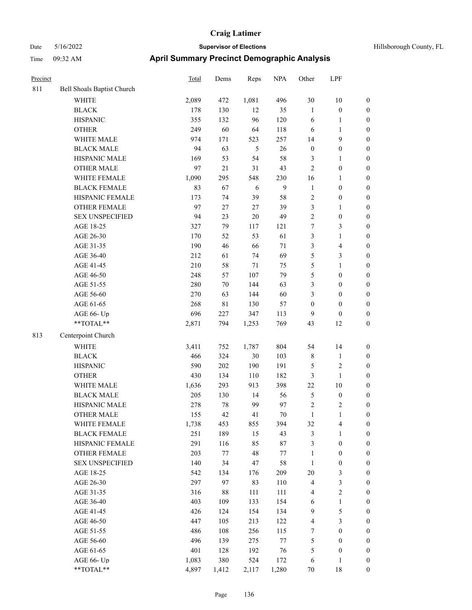| Precinct |                            | Total | Dems        | Reps  | <b>NPA</b> | Other            | LPF                     |                  |
|----------|----------------------------|-------|-------------|-------|------------|------------------|-------------------------|------------------|
| 811      | Bell Shoals Baptist Church |       |             |       |            |                  |                         |                  |
|          | <b>WHITE</b>               | 2,089 | 472         | 1,081 | 496        | 30               | $10\,$                  | $\boldsymbol{0}$ |
|          | <b>BLACK</b>               | 178   | 130         | 12    | 35         | $\mathbf{1}$     | $\boldsymbol{0}$        | $\boldsymbol{0}$ |
|          | <b>HISPANIC</b>            | 355   | 132         | 96    | 120        | 6                | $\mathbf{1}$            | $\boldsymbol{0}$ |
|          | <b>OTHER</b>               | 249   | 60          | 64    | 118        | 6                | $\mathbf{1}$            | $\boldsymbol{0}$ |
|          | WHITE MALE                 | 974   | 171         | 523   | 257        | 14               | $\mathbf{9}$            | $\boldsymbol{0}$ |
|          | <b>BLACK MALE</b>          | 94    | 63          | 5     | $26\,$     | $\boldsymbol{0}$ | $\boldsymbol{0}$        | 0                |
|          | HISPANIC MALE              | 169   | 53          | 54    | 58         | 3                | $\mathbf{1}$            | $\boldsymbol{0}$ |
|          | OTHER MALE                 | 97    | 21          | 31    | 43         | $\sqrt{2}$       | $\boldsymbol{0}$        | $\boldsymbol{0}$ |
|          | WHITE FEMALE               | 1,090 | 295         | 548   | 230        | 16               | 1                       | $\boldsymbol{0}$ |
|          | <b>BLACK FEMALE</b>        | 83    | 67          | 6     | 9          | $\mathbf{1}$     | $\boldsymbol{0}$        | $\boldsymbol{0}$ |
|          | HISPANIC FEMALE            | 173   | 74          | 39    | 58         | $\sqrt{2}$       | $\boldsymbol{0}$        | $\boldsymbol{0}$ |
|          | OTHER FEMALE               | 97    | 27          | 27    | 39         | 3                | $\mathbf{1}$            | $\boldsymbol{0}$ |
|          | <b>SEX UNSPECIFIED</b>     | 94    | 23          | 20    | 49         | $\overline{c}$   | $\boldsymbol{0}$        | $\boldsymbol{0}$ |
|          | AGE 18-25                  | 327   | 79          | 117   | 121        | 7                | $\mathfrak{Z}$          | $\boldsymbol{0}$ |
|          | AGE 26-30                  | 170   | 52          | 53    | 61         | 3                | $\mathbf{1}$            | $\boldsymbol{0}$ |
|          | AGE 31-35                  | 190   | 46          | 66    | $71\,$     | 3                | $\overline{\mathbf{4}}$ | 0                |
|          | AGE 36-40                  | 212   | 61          | 74    | 69         | 5                | $\mathfrak{Z}$          | 0                |
|          | AGE 41-45                  | 210   | 58          | 71    | 75         | 5                | $\mathbf{1}$            | $\boldsymbol{0}$ |
|          | AGE 46-50                  | 248   | 57          | 107   | 79         | 5                | $\boldsymbol{0}$        | $\boldsymbol{0}$ |
|          | AGE 51-55                  | 280   | $70\,$      | 144   | 63         | 3                | $\boldsymbol{0}$        | $\boldsymbol{0}$ |
|          | AGE 56-60                  | 270   | 63          | 144   | 60         | 3                | $\boldsymbol{0}$        | $\boldsymbol{0}$ |
|          | AGE 61-65                  | 268   | $8\sqrt{1}$ | 130   | 57         | $\boldsymbol{0}$ | $\boldsymbol{0}$        | $\boldsymbol{0}$ |
|          | AGE 66- Up                 | 696   | 227         | 347   | 113        | 9                | $\boldsymbol{0}$        | $\boldsymbol{0}$ |
|          | **TOTAL**                  | 2,871 | 794         | 1,253 | 769        | 43               | 12                      | $\boldsymbol{0}$ |
| 813      | Centerpoint Church         |       |             |       |            |                  |                         |                  |
|          | <b>WHITE</b>               | 3,411 | 752         | 1,787 | 804        | 54               | 14                      | $\boldsymbol{0}$ |
|          | <b>BLACK</b>               | 466   | 324         | 30    | 103        | 8                | $\mathbf{1}$            | $\boldsymbol{0}$ |
|          | <b>HISPANIC</b>            | 590   | 202         | 190   | 191        | 5                | $\sqrt{2}$              | 0                |
|          | <b>OTHER</b>               | 430   | 134         | 110   | 182        | 3                | $\mathbf{1}$            | 0                |
|          | WHITE MALE                 | 1,636 | 293         | 913   | 398        | $22\,$           | $10\,$                  | $\boldsymbol{0}$ |
|          | <b>BLACK MALE</b>          | 205   | 130         | 14    | 56         | 5                | $\boldsymbol{0}$        | $\boldsymbol{0}$ |
|          | HISPANIC MALE              | 278   | $78\,$      | 99    | 97         | $\overline{c}$   | $\sqrt{2}$              | $\boldsymbol{0}$ |
|          | <b>OTHER MALE</b>          | 155   | 42          | 41    | 70         | $\mathbf{1}$     | $\mathbf{1}$            | $\boldsymbol{0}$ |
|          | WHITE FEMALE               | 1,738 | 453         | 855   | 394        | 32               | $\overline{4}$          | 0                |
|          | <b>BLACK FEMALE</b>        | 251   | 189         | 15    | 43         | 3                | $\mathbf{1}$            | 0                |
|          | <b>HISPANIC FEMALE</b>     | 291   | 116         | 85    | $87\,$     | 3                | $\boldsymbol{0}$        | 0                |
|          | <b>OTHER FEMALE</b>        | 203   | 77          | 48    | 77         | $\mathbf{1}$     | $\boldsymbol{0}$        | 0                |
|          | <b>SEX UNSPECIFIED</b>     | 140   | 34          | 47    | 58         | $\mathbf{1}$     | $\boldsymbol{0}$        | 0                |
|          | AGE 18-25                  | 542   | 134         | 176   | 209        | $20\,$           | $\mathfrak{Z}$          | 0                |
|          | AGE 26-30                  | 297   | 97          | 83    | 110        | 4                | $\mathfrak{Z}$          | $\boldsymbol{0}$ |
|          | AGE 31-35                  | 316   | $88\,$      | 111   | 111        | 4                | $\sqrt{2}$              | $\boldsymbol{0}$ |
|          | AGE 36-40                  | 403   | 109         | 133   | 154        | 6                | $\mathbf{1}$            | $\boldsymbol{0}$ |
|          | AGE 41-45                  | 426   | 124         | 154   | 134        | 9                | $\mathfrak{S}$          | $\boldsymbol{0}$ |
|          | AGE 46-50                  | 447   | 105         | 213   | 122        | 4                | $\mathfrak{Z}$          | $\overline{0}$   |
|          | AGE 51-55                  | 486   | 108         | 256   | 115        | $\boldsymbol{7}$ | $\boldsymbol{0}$        | $\overline{0}$   |
|          | AGE 56-60                  | 496   | 139         | 275   | $77\,$     | 5                | $\boldsymbol{0}$        | $\overline{0}$   |
|          | AGE 61-65                  | 401   | 128         | 192   | 76         | 5                | $\boldsymbol{0}$        | 0                |
|          | AGE 66- Up                 | 1,083 | 380         | 524   | 172        | 6                | $\mathbf{1}$            | 0                |
|          | **TOTAL**                  | 4,897 | 1,412       | 2,117 | 1,280      | $70\,$           | 18                      | $\boldsymbol{0}$ |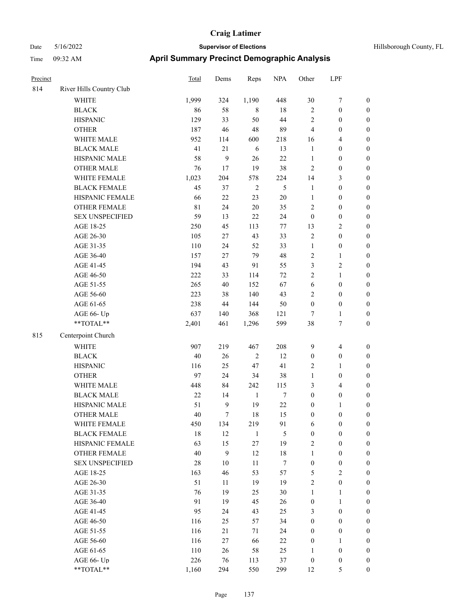| Precinct |                          | <b>Total</b> | Dems   | Reps           | <b>NPA</b>       | Other            | LPF              |                  |
|----------|--------------------------|--------------|--------|----------------|------------------|------------------|------------------|------------------|
| 814      | River Hills Country Club |              |        |                |                  |                  |                  |                  |
|          | <b>WHITE</b>             | 1,999        | 324    | 1,190          | 448              | 30               | 7                | $\boldsymbol{0}$ |
|          | <b>BLACK</b>             | 86           | 58     | 8              | 18               | $\sqrt{2}$       | $\boldsymbol{0}$ | $\boldsymbol{0}$ |
|          | <b>HISPANIC</b>          | 129          | 33     | 50             | 44               | $\overline{2}$   | $\boldsymbol{0}$ | $\boldsymbol{0}$ |
|          | <b>OTHER</b>             | 187          | 46     | $48\,$         | 89               | $\overline{4}$   | $\boldsymbol{0}$ | $\boldsymbol{0}$ |
|          | WHITE MALE               | 952          | 114    | 600            | 218              | 16               | 4                | $\boldsymbol{0}$ |
|          | <b>BLACK MALE</b>        | 41           | 21     | 6              | 13               | $\mathbf{1}$     | $\boldsymbol{0}$ | $\boldsymbol{0}$ |
|          | HISPANIC MALE            | 58           | 9      | 26             | 22               | $\mathbf{1}$     | $\boldsymbol{0}$ | $\boldsymbol{0}$ |
|          | <b>OTHER MALE</b>        | 76           | 17     | 19             | 38               | $\overline{2}$   | $\boldsymbol{0}$ | $\boldsymbol{0}$ |
|          | WHITE FEMALE             | 1,023        | 204    | 578            | 224              | 14               | 3                | $\boldsymbol{0}$ |
|          | <b>BLACK FEMALE</b>      | 45           | 37     | $\overline{2}$ | 5                | $\mathbf{1}$     | $\boldsymbol{0}$ | $\boldsymbol{0}$ |
|          | HISPANIC FEMALE          | 66           | 22     | 23             | $20\,$           | $\mathbf{1}$     | $\boldsymbol{0}$ | $\boldsymbol{0}$ |
|          | <b>OTHER FEMALE</b>      | $8\sqrt{1}$  | 24     | 20             | 35               | $\overline{2}$   | $\boldsymbol{0}$ | $\boldsymbol{0}$ |
|          | <b>SEX UNSPECIFIED</b>   | 59           | 13     | 22             | 24               | $\boldsymbol{0}$ | $\boldsymbol{0}$ | $\boldsymbol{0}$ |
|          | AGE 18-25                | 250          | 45     | 113            | 77               | 13               | 2                | $\boldsymbol{0}$ |
|          | AGE 26-30                | 105          | 27     | 43             | 33               | $\sqrt{2}$       | $\boldsymbol{0}$ | $\boldsymbol{0}$ |
|          | AGE 31-35                | 110          | 24     | 52             | 33               | $\mathbf{1}$     | $\boldsymbol{0}$ | $\boldsymbol{0}$ |
|          | AGE 36-40                | 157          | 27     | 79             | 48               | $\sqrt{2}$       | 1                | $\boldsymbol{0}$ |
|          | AGE 41-45                | 194          | 43     | 91             | 55               | 3                | $\overline{c}$   | $\boldsymbol{0}$ |
|          | AGE 46-50                | 222          | 33     | 114            | 72               | $\sqrt{2}$       | 1                | $\boldsymbol{0}$ |
|          | AGE 51-55                | 265          | $40\,$ | 152            | 67               | 6                | $\boldsymbol{0}$ | $\boldsymbol{0}$ |
|          | AGE 56-60                | 223          | 38     | 140            | 43               | $\overline{2}$   | $\boldsymbol{0}$ | $\boldsymbol{0}$ |
|          | AGE 61-65                | 238          | 44     | 144            | 50               | $\boldsymbol{0}$ | $\boldsymbol{0}$ | $\boldsymbol{0}$ |
|          | AGE 66- Up               | 637          | 140    | 368            | 121              | $\tau$           | $\mathbf{1}$     | $\boldsymbol{0}$ |
|          | $**TOTAL**$              | 2,401        | 461    | 1,296          | 599              | 38               | 7                | $\boldsymbol{0}$ |
| 815      | Centerpoint Church       |              |        |                |                  |                  |                  |                  |
|          | <b>WHITE</b>             | 907          | 219    | 467            | 208              | 9                | 4                | $\boldsymbol{0}$ |
|          | <b>BLACK</b>             | 40           | 26     | $\sqrt{2}$     | 12               | $\boldsymbol{0}$ | $\boldsymbol{0}$ | $\boldsymbol{0}$ |
|          | <b>HISPANIC</b>          | 116          | 25     | 47             | 41               | $\overline{2}$   | 1                | $\boldsymbol{0}$ |
|          | <b>OTHER</b>             | 97           | 24     | 34             | 38               | $\mathbf{1}$     | $\boldsymbol{0}$ | $\boldsymbol{0}$ |
|          | WHITE MALE               | 448          | 84     | 242            | 115              | 3                | 4                | $\boldsymbol{0}$ |
|          | <b>BLACK MALE</b>        | 22           | 14     | $\mathbf{1}$   | 7                | $\boldsymbol{0}$ | $\boldsymbol{0}$ | $\boldsymbol{0}$ |
|          | HISPANIC MALE            | 51           | 9      | 19             | $22\,$           | $\boldsymbol{0}$ | 1                | $\boldsymbol{0}$ |
|          | <b>OTHER MALE</b>        | 40           | 7      | 18             | 15               | $\mathbf{0}$     | 0                | $\boldsymbol{0}$ |
|          | WHITE FEMALE             | 450          | 134    | 219            | 91               | 6                | $\boldsymbol{0}$ | $\boldsymbol{0}$ |
|          | <b>BLACK FEMALE</b>      | 18           | 12     | $\mathbf{1}$   | $\mathfrak{H}$   | $\boldsymbol{0}$ | $\boldsymbol{0}$ | $\boldsymbol{0}$ |
|          | HISPANIC FEMALE          | 63           | 15     | 27             | 19               | $\sqrt{2}$       | $\boldsymbol{0}$ | $\boldsymbol{0}$ |
|          | OTHER FEMALE             | 40           | 9      | 12             | $18\,$           | $\mathbf{1}$     | $\boldsymbol{0}$ | $\boldsymbol{0}$ |
|          | <b>SEX UNSPECIFIED</b>   | 28           | 10     | $11\,$         | $\boldsymbol{7}$ | $\boldsymbol{0}$ | $\boldsymbol{0}$ | $\boldsymbol{0}$ |
|          | AGE 18-25                | 163          | 46     | 53             | 57               | $\sqrt{5}$       | $\mathbf{2}$     | $\boldsymbol{0}$ |
|          | AGE 26-30                | 51           | 11     | 19             | 19               | $\sqrt{2}$       | $\boldsymbol{0}$ | $\boldsymbol{0}$ |
|          | AGE 31-35                | 76           | 19     | 25             | 30               | $\mathbf{1}$     | 1                | $\boldsymbol{0}$ |
|          | AGE 36-40                | 91           | 19     | 45             | 26               | $\boldsymbol{0}$ | 1                | $\boldsymbol{0}$ |
|          | AGE 41-45                | 95           | 24     | 43             | 25               | 3                | $\boldsymbol{0}$ | $\boldsymbol{0}$ |
|          | AGE 46-50                | 116          | 25     | 57             | 34               | $\boldsymbol{0}$ | $\boldsymbol{0}$ | $\boldsymbol{0}$ |
|          | AGE 51-55                | 116          | 21     | 71             | 24               | $\boldsymbol{0}$ | $\boldsymbol{0}$ | $\boldsymbol{0}$ |
|          | AGE 56-60                | 116          | 27     | 66             | 22               | $\boldsymbol{0}$ | $\mathbf{1}$     | $\boldsymbol{0}$ |
|          | AGE 61-65                | 110          | 26     | 58             | $25\,$           | $\mathbf{1}$     | $\boldsymbol{0}$ | $\boldsymbol{0}$ |
|          | AGE 66- Up               | 226          | 76     | 113            | 37               | $\boldsymbol{0}$ | $\boldsymbol{0}$ | $\bf{0}$         |
|          | **TOTAL**                | 1,160        | 294    | 550            | 299              | 12               | 5                | $\boldsymbol{0}$ |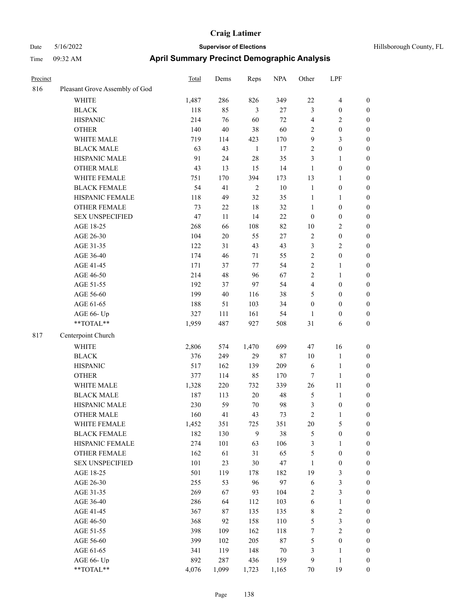| Hillsborough County, FI |  |
|-------------------------|--|

| Precinct |                                | <b>Total</b> | Dems   | Reps           | <b>NPA</b> | Other            | LPF                     |                  |
|----------|--------------------------------|--------------|--------|----------------|------------|------------------|-------------------------|------------------|
| 816      | Pleasant Grove Assembly of God |              |        |                |            |                  |                         |                  |
|          | WHITE                          | 1,487        | 286    | 826            | 349        | $22\,$           | $\overline{\mathbf{4}}$ | $\boldsymbol{0}$ |
|          | <b>BLACK</b>                   | 118          | 85     | $\mathfrak{Z}$ | 27         | 3                | $\boldsymbol{0}$        | $\boldsymbol{0}$ |
|          | <b>HISPANIC</b>                | 214          | 76     | 60             | 72         | $\overline{4}$   | $\mathbf{2}$            | 0                |
|          | <b>OTHER</b>                   | 140          | 40     | 38             | 60         | 2                | $\boldsymbol{0}$        | 0                |
|          | WHITE MALE                     | 719          | 114    | 423            | 170        | 9                | $\mathfrak{Z}$          | $\boldsymbol{0}$ |
|          | <b>BLACK MALE</b>              | 63           | 43     | $\mathbf{1}$   | 17         | $\overline{c}$   | $\boldsymbol{0}$        | $\boldsymbol{0}$ |
|          | HISPANIC MALE                  | 91           | 24     | 28             | 35         | 3                | $\mathbf{1}$            | $\boldsymbol{0}$ |
|          | <b>OTHER MALE</b>              | 43           | 13     | 15             | 14         | $\mathbf{1}$     | $\boldsymbol{0}$        | $\boldsymbol{0}$ |
|          | WHITE FEMALE                   | 751          | 170    | 394            | 173        | 13               | $\mathbf{1}$            | $\boldsymbol{0}$ |
|          | <b>BLACK FEMALE</b>            | 54           | 41     | $\sqrt{2}$     | $10\,$     | $\mathbf{1}$     | $\boldsymbol{0}$        | $\boldsymbol{0}$ |
|          | HISPANIC FEMALE                | 118          | 49     | 32             | 35         | $\mathbf{1}$     | $\mathbf{1}$            | $\boldsymbol{0}$ |
|          | OTHER FEMALE                   | 73           | 22     | 18             | 32         | $\mathbf{1}$     | $\boldsymbol{0}$        | $\boldsymbol{0}$ |
|          | <b>SEX UNSPECIFIED</b>         | 47           | 11     | 14             | 22         | $\boldsymbol{0}$ | $\boldsymbol{0}$        | 0                |
|          | AGE 18-25                      | 268          | 66     | 108            | 82         | 10               | $\sqrt{2}$              | 0                |
|          | AGE 26-30                      | 104          | $20\,$ | 55             | $27\,$     | $\sqrt{2}$       | $\boldsymbol{0}$        | 0                |
|          | AGE 31-35                      | 122          | 31     | 43             | 43         | 3                | $\sqrt{2}$              | $\boldsymbol{0}$ |
|          | AGE 36-40                      | 174          | 46     | 71             | 55         | $\overline{c}$   | $\boldsymbol{0}$        | $\boldsymbol{0}$ |
|          | AGE 41-45                      | 171          | 37     | 77             | 54         | $\overline{c}$   | $\mathbf{1}$            | $\boldsymbol{0}$ |
|          | AGE 46-50                      | 214          | 48     | 96             | 67         | $\sqrt{2}$       | $\mathbf{1}$            | $\boldsymbol{0}$ |
|          | AGE 51-55                      | 192          | 37     | 97             | 54         | 4                | $\boldsymbol{0}$        | $\boldsymbol{0}$ |
|          | AGE 56-60                      | 199          | $40\,$ | 116            | 38         | 5                | $\boldsymbol{0}$        | $\boldsymbol{0}$ |
|          | AGE 61-65                      | 188          | 51     | 103            | 34         | $\boldsymbol{0}$ | $\boldsymbol{0}$        | 0                |
|          | AGE 66- Up                     | 327          | 111    | 161            | 54         | $\mathbf{1}$     | $\boldsymbol{0}$        | 0                |
|          | **TOTAL**                      | 1,959        | 487    | 927            | 508        | 31               | 6                       | $\boldsymbol{0}$ |
| 817      | Centerpoint Church             |              |        |                |            |                  |                         |                  |
|          | <b>WHITE</b>                   | 2,806        | 574    | 1,470          | 699        | 47               | 16                      | 0                |
|          | <b>BLACK</b>                   | 376          | 249    | 29             | 87         | 10               | $\mathbf{1}$            | 0                |
|          | <b>HISPANIC</b>                | 517          | 162    | 139            | 209        | 6                | $\mathbf{1}$            | 0                |
|          | <b>OTHER</b>                   | 377          | 114    | 85             | 170        | 7                | $\mathbf{1}$            | $\boldsymbol{0}$ |
|          | WHITE MALE                     | 1,328        | 220    | 732            | 339        | 26               | 11                      | $\boldsymbol{0}$ |
|          | <b>BLACK MALE</b>              | 187          | 113    | 20             | 48         | 5                | $\mathbf{1}$            | $\boldsymbol{0}$ |
|          | HISPANIC MALE                  | 230          | 59     | 70             | 98         | 3                | $\boldsymbol{0}$        | $\boldsymbol{0}$ |
|          | <b>OTHER MALE</b>              | 160          | 41     | 43             | 73         | $\overline{c}$   | $\mathbf{1}$            | $\boldsymbol{0}$ |
|          | WHITE FEMALE                   | 1,452        | 351    | 725            | 351        | $20\,$           | $\mathfrak{S}$          | 0                |
|          | <b>BLACK FEMALE</b>            | 182          | 130    | 9              | 38         | $\mathfrak{S}$   | $\boldsymbol{0}$        | 0                |
|          | HISPANIC FEMALE                | 274          | 101    | 63             | 106        | 3                | $\mathbf{1}$            | 0                |
|          | OTHER FEMALE                   | 162          | 61     | 31             | 65         | 5                | $\boldsymbol{0}$        | 0                |
|          | <b>SEX UNSPECIFIED</b>         | 101          | 23     | $30\,$         | 47         | $\mathbf{1}$     | $\boldsymbol{0}$        | 0                |
|          | AGE 18-25                      | 501          | 119    | 178            | 182        | 19               | $\mathfrak{Z}$          | $\boldsymbol{0}$ |
|          | AGE 26-30                      |              | 53     | 96             | 97         | 6                | $\mathfrak{Z}$          |                  |
|          |                                | 255          |        |                |            |                  | $\mathfrak{Z}$          | 0                |
|          | AGE 31-35                      | 269          | 67     | 93             | 104        | $\overline{c}$   |                         | 0                |
|          | AGE 36-40                      | 286          | 64     | 112            | 103        | 6                | $\mathbf{1}$            | 0                |
|          | AGE 41-45                      | 367          | 87     | 135            | 135        | $\,$ 8 $\,$      | $\sqrt{2}$              | 0                |
|          | AGE 46-50                      | 368          | 92     | 158            | 110        | 5                | $\mathfrak{Z}$          | 0                |
|          | AGE 51-55                      | 398          | 109    | 162            | 118        | $\boldsymbol{7}$ | $\sqrt{2}$              | 0                |
|          | AGE 56-60                      | 399          | 102    | 205            | $87\,$     | 5                | $\boldsymbol{0}$        | 0                |
|          | AGE 61-65                      | 341          | 119    | 148            | $70\,$     | 3                | $\mathbf{1}$            | $\boldsymbol{0}$ |
|          | AGE 66- Up                     | 892          | 287    | 436            | 159        | 9                | $\mathbf{1}$            | 0                |
|          | **TOTAL**                      | 4,076        | 1,099  | 1,723          | 1,165      | $70\,$           | 19                      | $\boldsymbol{0}$ |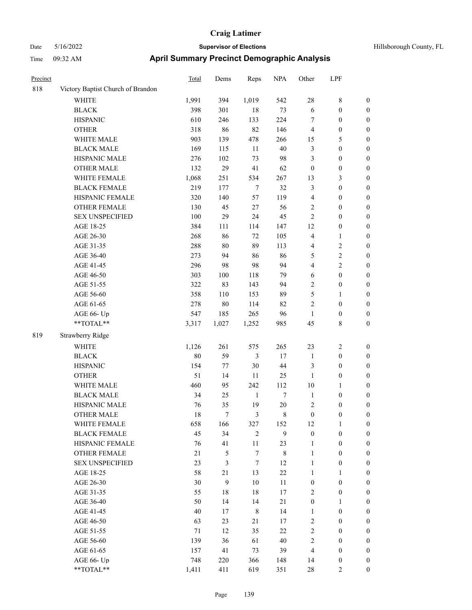| Hillsborough County, FL |  |  |
|-------------------------|--|--|
|-------------------------|--|--|

| Precinct |                                   | Total  | Dems             | Reps             | <b>NPA</b>       | Other            | LPF              |                  |
|----------|-----------------------------------|--------|------------------|------------------|------------------|------------------|------------------|------------------|
| 818      | Victory Baptist Church of Brandon |        |                  |                  |                  |                  |                  |                  |
|          | WHITE                             | 1,991  | 394              | 1,019            | 542              | $28\,$           | $\,$ 8 $\,$      | $\boldsymbol{0}$ |
|          | <b>BLACK</b>                      | 398    | 301              | 18               | 73               | 6                | $\boldsymbol{0}$ | 0                |
|          | <b>HISPANIC</b>                   | 610    | 246              | 133              | 224              | 7                | $\boldsymbol{0}$ | 0                |
|          | <b>OTHER</b>                      | 318    | 86               | 82               | 146              | 4                | $\boldsymbol{0}$ | $\boldsymbol{0}$ |
|          | WHITE MALE                        | 903    | 139              | 478              | 266              | 15               | 5                | $\boldsymbol{0}$ |
|          | <b>BLACK MALE</b>                 | 169    | 115              | $11\,$           | 40               | 3                | $\boldsymbol{0}$ | $\boldsymbol{0}$ |
|          | HISPANIC MALE                     | 276    | 102              | 73               | 98               | 3                | $\boldsymbol{0}$ | $\boldsymbol{0}$ |
|          | OTHER MALE                        | 132    | 29               | 41               | 62               | $\boldsymbol{0}$ | $\boldsymbol{0}$ | $\boldsymbol{0}$ |
|          | WHITE FEMALE                      | 1,068  | 251              | 534              | 267              | 13               | $\mathfrak{Z}$   | $\boldsymbol{0}$ |
|          | <b>BLACK FEMALE</b>               | 219    | 177              | $\boldsymbol{7}$ | 32               | 3                | $\boldsymbol{0}$ | $\boldsymbol{0}$ |
|          | HISPANIC FEMALE                   | 320    | 140              | 57               | 119              | 4                | $\boldsymbol{0}$ | $\boldsymbol{0}$ |
|          | OTHER FEMALE                      | 130    | 45               | 27               | 56               | 2                | $\boldsymbol{0}$ | 0                |
|          | <b>SEX UNSPECIFIED</b>            | 100    | 29               | 24               | 45               | $\sqrt{2}$       | $\boldsymbol{0}$ | 0                |
|          | AGE 18-25                         | 384    | 111              | 114              | 147              | 12               | $\boldsymbol{0}$ | $\boldsymbol{0}$ |
|          | AGE 26-30                         | 268    | 86               | 72               | 105              | 4                | $\mathbf{1}$     | $\boldsymbol{0}$ |
|          | AGE 31-35                         | 288    | $80\,$           | 89               | 113              | 4                | $\sqrt{2}$       | $\boldsymbol{0}$ |
|          | AGE 36-40                         | 273    | 94               | 86               | 86               | 5                | $\sqrt{2}$       | $\boldsymbol{0}$ |
|          | AGE 41-45                         | 296    | 98               | 98               | 94               | 4                | $\sqrt{2}$       | $\boldsymbol{0}$ |
|          | AGE 46-50                         | 303    | 100              | 118              | 79               | 6                | $\boldsymbol{0}$ | $\boldsymbol{0}$ |
|          | AGE 51-55                         | 322    | 83               | 143              | 94               | 2                | $\boldsymbol{0}$ | $\boldsymbol{0}$ |
|          | AGE 56-60                         | 358    | 110              | 153              | 89               | 5                | $\mathbf{1}$     | $\boldsymbol{0}$ |
|          | AGE 61-65                         | 278    | $80\,$           | 114              | 82               | $\mathbf{2}$     | $\boldsymbol{0}$ | 0                |
|          | AGE 66- Up                        | 547    | 185              | 265              | 96               | $\mathbf{1}$     | $\boldsymbol{0}$ | 0                |
|          | **TOTAL**                         | 3,317  | 1,027            | 1,252            | 985              | 45               | $8\,$            | $\boldsymbol{0}$ |
| 819      | Strawberry Ridge                  |        |                  |                  |                  |                  |                  |                  |
|          | <b>WHITE</b>                      | 1,126  | 261              | 575              | 265              | 23               | $\overline{c}$   | $\boldsymbol{0}$ |
|          | <b>BLACK</b>                      | 80     | 59               | 3                | 17               | $\mathbf{1}$     | $\boldsymbol{0}$ | $\boldsymbol{0}$ |
|          | <b>HISPANIC</b>                   | 154    | 77               | 30               | $44\,$           | 3                | $\boldsymbol{0}$ | $\boldsymbol{0}$ |
|          | <b>OTHER</b>                      | 51     | 14               | 11               | 25               | $\mathbf{1}$     | $\boldsymbol{0}$ | $\boldsymbol{0}$ |
|          | WHITE MALE                        | 460    | 95               | 242              | 112              | 10               | $\mathbf{1}$     | $\boldsymbol{0}$ |
|          | <b>BLACK MALE</b>                 | 34     | 25               | $\mathbf{1}$     | $\boldsymbol{7}$ | $\mathbf{1}$     | $\boldsymbol{0}$ | $\boldsymbol{0}$ |
|          | HISPANIC MALE                     | 76     | 35               | 19               | $20\,$           | 2                | $\boldsymbol{0}$ | $\boldsymbol{0}$ |
|          | <b>OTHER MALE</b>                 | 18     | 7                | 3                | 8                | $\boldsymbol{0}$ | $\boldsymbol{0}$ | $\boldsymbol{0}$ |
|          | WHITE FEMALE                      | 658    | 166              | 327              | 152              | 12               | $\mathbf{1}$     | 0                |
|          | <b>BLACK FEMALE</b>               | 45     | 34               | $\mathbf{2}$     | 9                | $\boldsymbol{0}$ | $\boldsymbol{0}$ | 0                |
|          | HISPANIC FEMALE                   | 76     | 41               | 11               | 23               | $\mathbf{1}$     | $\boldsymbol{0}$ | 0                |
|          | <b>OTHER FEMALE</b>               | 21     | 5                | $\boldsymbol{7}$ | $8\,$            | $\mathbf{1}$     | $\boldsymbol{0}$ | 0                |
|          | <b>SEX UNSPECIFIED</b>            | 23     | 3                | $\tau$           | 12               | $\mathbf{1}$     | $\boldsymbol{0}$ | $\overline{0}$   |
|          | AGE 18-25                         | 58     | 21               | 13               | $22\,$           | $\mathbf{1}$     | $\mathbf{1}$     | 0                |
|          | AGE 26-30                         | $30\,$ | $\boldsymbol{9}$ | $10\,$           | 11               | $\boldsymbol{0}$ | $\boldsymbol{0}$ | 0                |
|          | AGE 31-35                         | 55     | 18               | 18               | 17               | 2                | $\boldsymbol{0}$ | 0                |
|          | AGE 36-40                         | 50     | 14               | 14               | 21               | $\boldsymbol{0}$ | $\mathbf{1}$     | 0                |
|          | AGE 41-45                         | 40     | 17               | $\,8\,$          | 14               | $\mathbf{1}$     | $\boldsymbol{0}$ | 0                |
|          | AGE 46-50                         | 63     | 23               | 21               | 17               | 2                | $\boldsymbol{0}$ | 0                |
|          | AGE 51-55                         | 71     | 12               | 35               | 22               | 2                | $\boldsymbol{0}$ | 0                |
|          | AGE 56-60                         | 139    | 36               | 61               | $40\,$           | 2                | $\boldsymbol{0}$ | 0                |
|          | AGE 61-65                         | 157    | 41               | 73               | 39               | 4                | $\boldsymbol{0}$ | $\overline{0}$   |
|          | AGE 66- Up                        | 748    | 220              | 366              | 148              | 14               | $\boldsymbol{0}$ | $\boldsymbol{0}$ |
|          | **TOTAL**                         | 1,411  | 411              | 619              | 351              | $28\,$           | $\overline{2}$   | $\boldsymbol{0}$ |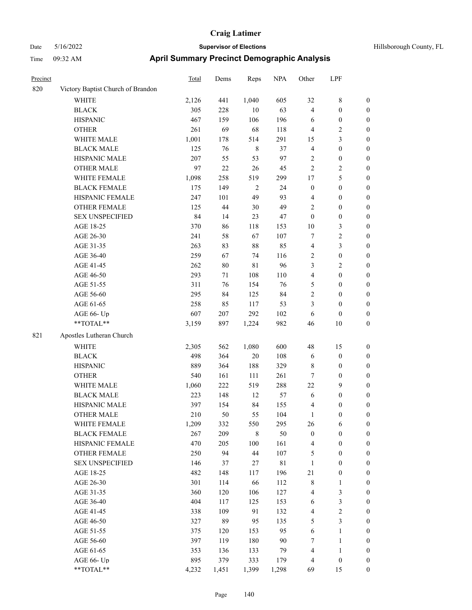### Date 5/16/2022 **Supervisor of Elections Supervisor of Elections** Hillsborough County, FL Time 09:32 AM **April Summary Precinct Demographic Analysis**

| Precinct |                                   | <b>Total</b> | Dems | Reps         | <b>NPA</b>  | Other            | LPF              |                  |
|----------|-----------------------------------|--------------|------|--------------|-------------|------------------|------------------|------------------|
| 820      | Victory Baptist Church of Brandon |              |      |              |             |                  |                  |                  |
|          | <b>WHITE</b>                      | 2,126        | 441  | 1,040        | 605         | 32               | $\,$ $\,$        | $\boldsymbol{0}$ |
|          | <b>BLACK</b>                      | 305          | 228  | $10\,$       | 63          | $\overline{4}$   | $\boldsymbol{0}$ | $\boldsymbol{0}$ |
|          | <b>HISPANIC</b>                   | 467          | 159  | 106          | 196         | 6                | $\boldsymbol{0}$ | $\boldsymbol{0}$ |
|          | <b>OTHER</b>                      | 261          | 69   | 68           | 118         | $\overline{4}$   | 2                | $\boldsymbol{0}$ |
|          | WHITE MALE                        | 1,001        | 178  | 514          | 291         | 15               | 3                | $\boldsymbol{0}$ |
|          | <b>BLACK MALE</b>                 | 125          | 76   | $\,8\,$      | 37          | 4                | $\boldsymbol{0}$ | $\boldsymbol{0}$ |
|          | HISPANIC MALE                     | 207          | 55   | 53           | 97          | 2                | $\boldsymbol{0}$ | $\boldsymbol{0}$ |
|          | <b>OTHER MALE</b>                 | 97           | 22   | 26           | 45          | $\overline{c}$   | $\sqrt{2}$       | $\boldsymbol{0}$ |
|          | WHITE FEMALE                      | 1,098        | 258  | 519          | 299         | 17               | 5                | $\boldsymbol{0}$ |
|          | <b>BLACK FEMALE</b>               | 175          | 149  | $\mathbf{2}$ | 24          | $\boldsymbol{0}$ | $\boldsymbol{0}$ | $\boldsymbol{0}$ |
|          | HISPANIC FEMALE                   | 247          | 101  | 49           | 93          | 4                | $\boldsymbol{0}$ | $\boldsymbol{0}$ |
|          | <b>OTHER FEMALE</b>               | 125          | 44   | 30           | 49          | 2                | $\boldsymbol{0}$ | $\boldsymbol{0}$ |
|          | <b>SEX UNSPECIFIED</b>            | 84           | 14   | 23           | 47          | $\boldsymbol{0}$ | $\boldsymbol{0}$ | $\boldsymbol{0}$ |
|          | AGE 18-25                         | 370          | 86   | 118          | 153         | $10\,$           | 3                | $\boldsymbol{0}$ |
|          | AGE 26-30                         | 241          | 58   | 67           | 107         | 7                | $\overline{c}$   | $\boldsymbol{0}$ |
|          | AGE 31-35                         | 263          | 83   | 88           | 85          | 4                | 3                | $\boldsymbol{0}$ |
|          | AGE 36-40                         | 259          | 67   | 74           | 116         | $\mathbf{2}$     | $\boldsymbol{0}$ | $\boldsymbol{0}$ |
|          | AGE 41-45                         | 262          | 80   | 81           | 96          | 3                | 2                | $\boldsymbol{0}$ |
|          | AGE 46-50                         | 293          | 71   | 108          | 110         | $\overline{4}$   | $\boldsymbol{0}$ | $\boldsymbol{0}$ |
|          | AGE 51-55                         | 311          | 76   | 154          | 76          | 5                | $\boldsymbol{0}$ | $\boldsymbol{0}$ |
|          | AGE 56-60                         | 295          | 84   | 125          | 84          | $\mathbf{2}$     | $\boldsymbol{0}$ | $\boldsymbol{0}$ |
|          | AGE 61-65                         | 258          | 85   | 117          | 53          | 3                | $\boldsymbol{0}$ | $\boldsymbol{0}$ |
|          | AGE 66- Up                        | 607          | 207  | 292          | 102         | $\sqrt{6}$       | $\boldsymbol{0}$ | $\boldsymbol{0}$ |
|          | **TOTAL**                         | 3,159        | 897  | 1,224        | 982         | 46               | $10\,$           | $\boldsymbol{0}$ |
| 821      | Apostles Lutheran Church          |              |      |              |             |                  |                  |                  |
|          | WHITE                             | 2,305        | 562  | 1,080        | 600         | 48               | 15               | $\boldsymbol{0}$ |
|          | <b>BLACK</b>                      | 498          | 364  | $20\,$       | 108         | 6                | $\boldsymbol{0}$ | $\boldsymbol{0}$ |
|          | <b>HISPANIC</b>                   | 889          | 364  | 188          | 329         | 8                | $\boldsymbol{0}$ | $\boldsymbol{0}$ |
|          | <b>OTHER</b>                      | 540          | 161  | 111          | 261         | 7                | $\boldsymbol{0}$ | $\boldsymbol{0}$ |
|          | WHITE MALE                        | 1,060        | 222  | 519          | 288         | 22               | 9                | $\boldsymbol{0}$ |
|          | <b>BLACK MALE</b>                 | 223          | 148  | 12           | 57          | 6                | $\boldsymbol{0}$ | $\boldsymbol{0}$ |
|          | HISPANIC MALE                     | 397          | 154  | 84           | 155         | $\overline{4}$   | $\boldsymbol{0}$ | $\boldsymbol{0}$ |
|          | <b>OTHER MALE</b>                 | 210          | 50   | 55           | 104         | $\mathbf{1}$     | $\boldsymbol{0}$ | $\boldsymbol{0}$ |
|          | WHITE FEMALE                      | 1,209        | 332  | 550          | 295         | 26               | 6                | 0                |
|          | <b>BLACK FEMALE</b>               | 267          | 209  | 8            | 50          | $\boldsymbol{0}$ | $\boldsymbol{0}$ | 0                |
|          | HISPANIC FEMALE                   | 470          | 205  | 100          | 161         | 4                | $\boldsymbol{0}$ | 0                |
|          | OTHER FEMALE                      | 250          | 94   | $44\,$       | 107         | 5                | $\boldsymbol{0}$ | 0                |
|          | <b>SEX UNSPECIFIED</b>            | 146          | 37   | $27\,$       | $8\sqrt{1}$ | $\mathbf{1}$     | $\boldsymbol{0}$ | 0                |
|          | AGE 18-25                         | 482          | 148  | 117          | 196         | $21\,$           | $\boldsymbol{0}$ | 0                |
|          | AGE 26-30                         | 301          | 114  | 66           | 112         | $8\,$            | $\mathbf{1}$     | 0                |
|          | AGE 31-35                         | 360          | 120  | 106          | 127         | $\overline{4}$   | $\mathfrak{Z}$   | 0                |
|          | AGE 36-40                         | 404          | 117  | 125          | 153         | 6                | $\mathfrak{Z}$   | 0                |
|          | AGE 41-45                         | 338          | 109  | 91           | 132         | $\overline{4}$   | $\sqrt{2}$       | $\theta$         |
|          | AGE 46-50                         | 327          | 89   | 95           | 135         | 5                | 3                | $\boldsymbol{0}$ |
|          |                                   |              |      |              |             |                  |                  |                  |

AGE 51-55 375 120 153 95 6 1 0 AGE 56-60 397 119 180 90 7 1 0 AGE 61-65 353 136 133 79 4 1 0 AGE 66- Up 895 379 333 179 4 0 0 \*\*TOTAL\*\* 4,232 1,451 1,399 1,298 69 15 0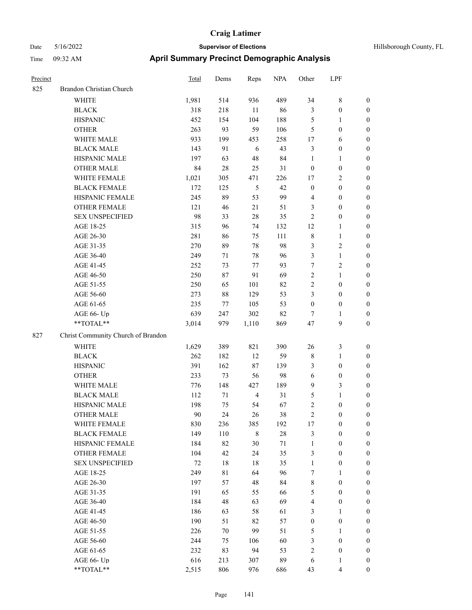| Precinct |                                    | <b>Total</b> | Dems   | Reps           | <b>NPA</b> | Other            | LPF                     |                  |
|----------|------------------------------------|--------------|--------|----------------|------------|------------------|-------------------------|------------------|
| 825      | Brandon Christian Church           |              |        |                |            |                  |                         |                  |
|          | <b>WHITE</b>                       | 1,981        | 514    | 936            | 489        | 34               | 8                       | $\boldsymbol{0}$ |
|          | <b>BLACK</b>                       | 318          | 218    | 11             | 86         | 3                | $\boldsymbol{0}$        | $\boldsymbol{0}$ |
|          | <b>HISPANIC</b>                    | 452          | 154    | 104            | 188        | $\mathfrak{S}$   | 1                       | $\boldsymbol{0}$ |
|          | <b>OTHER</b>                       | 263          | 93     | 59             | 106        | 5                | $\boldsymbol{0}$        | $\boldsymbol{0}$ |
|          | WHITE MALE                         | 933          | 199    | 453            | 258        | 17               | 6                       | $\boldsymbol{0}$ |
|          | <b>BLACK MALE</b>                  | 143          | 91     | 6              | 43         | $\mathfrak{Z}$   | $\boldsymbol{0}$        | $\boldsymbol{0}$ |
|          | HISPANIC MALE                      | 197          | 63     | 48             | 84         | $\mathbf{1}$     | $\mathbf{1}$            | $\boldsymbol{0}$ |
|          | <b>OTHER MALE</b>                  | 84           | 28     | 25             | 31         | $\boldsymbol{0}$ | $\boldsymbol{0}$        | $\boldsymbol{0}$ |
|          | WHITE FEMALE                       | 1,021        | 305    | 471            | 226        | 17               | 2                       | $\boldsymbol{0}$ |
|          | <b>BLACK FEMALE</b>                | 172          | 125    | 5              | 42         | $\boldsymbol{0}$ | $\boldsymbol{0}$        | $\boldsymbol{0}$ |
|          | HISPANIC FEMALE                    | 245          | 89     | 53             | 99         | $\overline{4}$   | $\boldsymbol{0}$        | $\boldsymbol{0}$ |
|          | <b>OTHER FEMALE</b>                | 121          | 46     | 21             | 51         | 3                | $\boldsymbol{0}$        | $\boldsymbol{0}$ |
|          | <b>SEX UNSPECIFIED</b>             | 98           | 33     | 28             | 35         | $\overline{2}$   | $\boldsymbol{0}$        | $\boldsymbol{0}$ |
|          | AGE 18-25                          | 315          | 96     | 74             | 132        | 12               | 1                       | $\boldsymbol{0}$ |
|          | AGE 26-30                          | 281          | 86     | 75             | 111        | $\,$ 8 $\,$      | $\mathbf{1}$            | $\boldsymbol{0}$ |
|          | AGE 31-35                          | 270          | 89     | $78\,$         | 98         | 3                | $\overline{\mathbf{c}}$ | $\boldsymbol{0}$ |
|          | AGE 36-40                          | 249          | 71     | 78             | 96         | 3                | $\mathbf{1}$            | $\boldsymbol{0}$ |
|          | AGE 41-45                          | 252          | 73     | 77             | 93         | 7                | 2                       | $\boldsymbol{0}$ |
|          | AGE 46-50                          | 250          | 87     | 91             | 69         | $\sqrt{2}$       | $\mathbf{1}$            | $\boldsymbol{0}$ |
|          | AGE 51-55                          | 250          | 65     | 101            | 82         | $\overline{2}$   | $\boldsymbol{0}$        | $\boldsymbol{0}$ |
|          | AGE 56-60                          | 273          | 88     | 129            | 53         | 3                | $\boldsymbol{0}$        | $\boldsymbol{0}$ |
|          | AGE 61-65                          | 235          | 77     | 105            | 53         | $\boldsymbol{0}$ | $\boldsymbol{0}$        | $\boldsymbol{0}$ |
|          | AGE 66- Up                         | 639          | 247    | 302            | 82         | $\tau$           | 1                       | $\boldsymbol{0}$ |
|          | **TOTAL**                          | 3,014        | 979    | 1,110          | 869        | 47               | 9                       | $\boldsymbol{0}$ |
| 827      | Christ Community Church of Brandon |              |        |                |            |                  |                         |                  |
|          | <b>WHITE</b>                       | 1,629        | 389    | 821            | 390        | 26               | 3                       | $\boldsymbol{0}$ |
|          | <b>BLACK</b>                       | 262          | 182    | 12             | 59         | $\,$ 8 $\,$      | 1                       | $\boldsymbol{0}$ |
|          | <b>HISPANIC</b>                    | 391          | 162    | 87             | 139        | 3                | $\boldsymbol{0}$        | $\boldsymbol{0}$ |
|          | <b>OTHER</b>                       | 233          | 73     | 56             | 98         | 6                | $\boldsymbol{0}$        | $\boldsymbol{0}$ |
|          | WHITE MALE                         | 776          | 148    | 427            | 189        | 9                | 3                       | $\boldsymbol{0}$ |
|          | <b>BLACK MALE</b>                  | 112          | 71     | $\overline{4}$ | 31         | 5                | $\mathbf{1}$            | $\boldsymbol{0}$ |
|          | HISPANIC MALE                      | 198          | 75     | 54             | 67         | $\overline{2}$   | $\boldsymbol{0}$        | $\boldsymbol{0}$ |
|          | OTHER MALE                         | 90           | 24     | 26             | 38         | $\boldsymbol{2}$ | 0                       | $\boldsymbol{0}$ |
|          | WHITE FEMALE                       | 830          | 236    | 385            | 192        | 17               | $\boldsymbol{0}$        | $\boldsymbol{0}$ |
|          | <b>BLACK FEMALE</b>                | 149          | 110    | $\,$ 8 $\,$    | $28\,$     | $\mathfrak{Z}$   | $\boldsymbol{0}$        | $\boldsymbol{0}$ |
|          | HISPANIC FEMALE                    | 184          | 82     | 30             | 71         | $\mathbf{1}$     | $\boldsymbol{0}$        | $\boldsymbol{0}$ |
|          | OTHER FEMALE                       | 104          | 42     | 24             | 35         | $\mathfrak{Z}$   | $\boldsymbol{0}$        | $\boldsymbol{0}$ |
|          | <b>SEX UNSPECIFIED</b>             | 72           | 18     | 18             | 35         | $\mathbf{1}$     | $\boldsymbol{0}$        | $\boldsymbol{0}$ |
|          | AGE 18-25                          | 249          | 81     | 64             | 96         | 7                | 1                       | $\boldsymbol{0}$ |
|          | AGE 26-30                          | 197          | 57     | $48\,$         | 84         | $\,$ $\,$        | $\boldsymbol{0}$        | $\boldsymbol{0}$ |
|          | AGE 31-35                          | 191          | 65     | 55             | 66         | $\mathfrak{S}$   | $\boldsymbol{0}$        | $\boldsymbol{0}$ |
|          | AGE 36-40                          | 184          | 48     | 63             | 69         | $\overline{4}$   | $\boldsymbol{0}$        | $\boldsymbol{0}$ |
|          | AGE 41-45                          | 186          | 63     | 58             | 61         | 3                | 1                       | $\boldsymbol{0}$ |
|          | AGE 46-50                          | 190          | 51     | 82             | 57         | $\boldsymbol{0}$ | $\boldsymbol{0}$        | $\boldsymbol{0}$ |
|          | AGE 51-55                          | 226          | $70\,$ | 99             | 51         | $\mathfrak{S}$   | 1                       | $\boldsymbol{0}$ |
|          | AGE 56-60                          | 244          | 75     | 106            | 60         | 3                | $\boldsymbol{0}$        | $\boldsymbol{0}$ |
|          | AGE 61-65                          | 232          | 83     | 94             | 53         | $\sqrt{2}$       | $\boldsymbol{0}$        | $\boldsymbol{0}$ |
|          | AGE 66- Up                         | 616          | 213    | 307            | 89         | 6                | 1                       | $\bf{0}$         |
|          | **TOTAL**                          | 2,515        | 806    | 976            | 686        | 43               | 4                       | $\boldsymbol{0}$ |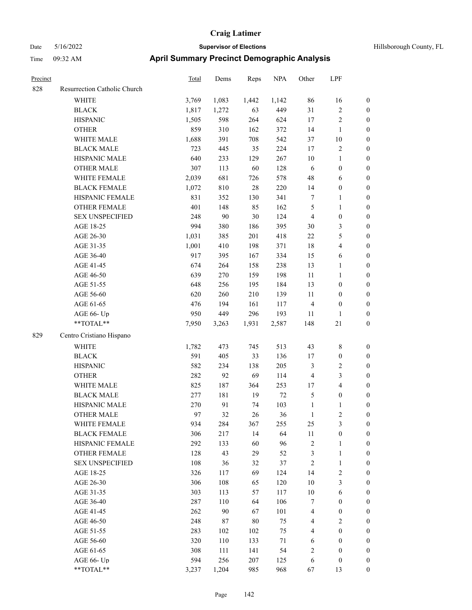| Precinct |                              | <b>Total</b> | Dems  | Reps   | <b>NPA</b> | Other            | LPF                     |                  |
|----------|------------------------------|--------------|-------|--------|------------|------------------|-------------------------|------------------|
| 828      | Resurrection Catholic Church |              |       |        |            |                  |                         |                  |
|          | WHITE                        | 3,769        | 1,083 | 1,442  | 1,142      | 86               | 16                      | $\boldsymbol{0}$ |
|          | <b>BLACK</b>                 | 1,817        | 1,272 | 63     | 449        | 31               | $\sqrt{2}$              | $\boldsymbol{0}$ |
|          | <b>HISPANIC</b>              | 1,505        | 598   | 264    | 624        | 17               | $\sqrt{2}$              | 0                |
|          | <b>OTHER</b>                 | 859          | 310   | 162    | 372        | 14               | $\mathbf{1}$            | 0                |
|          | WHITE MALE                   | 1,688        | 391   | 708    | 542        | $37\,$           | $10\,$                  | $\boldsymbol{0}$ |
|          | <b>BLACK MALE</b>            | 723          | 445   | 35     | 224        | 17               | $\sqrt{2}$              | $\boldsymbol{0}$ |
|          | HISPANIC MALE                | 640          | 233   | 129    | 267        | 10               | $\mathbf{1}$            | $\boldsymbol{0}$ |
|          | <b>OTHER MALE</b>            | 307          | 113   | 60     | 128        | 6                | $\boldsymbol{0}$        | $\boldsymbol{0}$ |
|          | WHITE FEMALE                 | 2,039        | 681   | 726    | 578        | 48               | 6                       | $\boldsymbol{0}$ |
|          | <b>BLACK FEMALE</b>          | 1,072        | 810   | 28     | 220        | 14               | $\boldsymbol{0}$        | $\boldsymbol{0}$ |
|          | HISPANIC FEMALE              | 831          | 352   | 130    | 341        | 7                | $\mathbf{1}$            | $\boldsymbol{0}$ |
|          | <b>OTHER FEMALE</b>          | 401          | 148   | 85     | 162        | 5                | $\mathbf{1}$            | 0                |
|          | <b>SEX UNSPECIFIED</b>       | 248          | 90    | $30\,$ | 124        | $\overline{4}$   | $\boldsymbol{0}$        | 0                |
|          | AGE 18-25                    | 994          | 380   | 186    | 395        | 30               | $\mathfrak{Z}$          | 0                |
|          | AGE 26-30                    | 1,031        | 385   | 201    | 418        | $22\,$           | $\mathfrak{S}$          | $\boldsymbol{0}$ |
|          | AGE 31-35                    | 1,001        | 410   | 198    | 371        | 18               | $\overline{\mathbf{4}}$ | $\boldsymbol{0}$ |
|          | AGE 36-40                    | 917          | 395   | 167    | 334        | 15               | 6                       | $\boldsymbol{0}$ |
|          | AGE 41-45                    | 674          | 264   | 158    | 238        | 13               | $\mathbf{1}$            | $\boldsymbol{0}$ |
|          | AGE 46-50                    | 639          | 270   | 159    | 198        | 11               | $\mathbf{1}$            | $\boldsymbol{0}$ |
|          | AGE 51-55                    | 648          | 256   | 195    | 184        | 13               | $\boldsymbol{0}$        | $\boldsymbol{0}$ |
|          | AGE 56-60                    | 620          | 260   | 210    | 139        | 11               | $\boldsymbol{0}$        | $\boldsymbol{0}$ |
|          | AGE 61-65                    | 476          | 194   | 161    | 117        | $\overline{4}$   | $\boldsymbol{0}$        | 0                |
|          | AGE 66- Up                   | 950          | 449   | 296    | 193        | 11               | $\mathbf{1}$            | 0                |
|          | **TOTAL**                    | 7,950        | 3,263 | 1,931  | 2,587      | 148              | $21\,$                  | $\boldsymbol{0}$ |
| 829      | Centro Cristiano Hispano     |              |       |        |            |                  |                         |                  |
|          | <b>WHITE</b>                 | 1,782        | 473   | 745    | 513        | 43               | $8\,$                   | 0                |
|          | <b>BLACK</b>                 | 591          | 405   | 33     | 136        | 17               | $\boldsymbol{0}$        | $\boldsymbol{0}$ |
|          | <b>HISPANIC</b>              | 582          | 234   | 138    | 205        | 3                | $\overline{c}$          | 0                |
|          | <b>OTHER</b>                 | 282          | 92    | 69     | 114        | 4                | $\mathfrak{Z}$          | $\boldsymbol{0}$ |
|          | WHITE MALE                   | 825          | 187   | 364    | 253        | 17               | $\overline{\mathbf{4}}$ | $\boldsymbol{0}$ |
|          | <b>BLACK MALE</b>            | 277          | 181   | 19     | 72         | 5                | $\boldsymbol{0}$        | $\boldsymbol{0}$ |
|          | HISPANIC MALE                | 270          | 91    | 74     | 103        | $\mathbf{1}$     | $\mathbf{1}$            | $\boldsymbol{0}$ |
|          | <b>OTHER MALE</b>            | 97           | 32    | 26     | 36         | $\mathbf{1}$     | $\mathbf{2}$            | $\boldsymbol{0}$ |
|          | WHITE FEMALE                 | 934          | 284   | 367    | 255        | 25               | $\mathfrak{Z}$          | 0                |
|          | <b>BLACK FEMALE</b>          | 306          | 217   | 14     | 64         | $11\,$           | $\boldsymbol{0}$        | 0                |
|          | HISPANIC FEMALE              | 292          | 133   | 60     | 96         | $\boldsymbol{2}$ | $\mathbf{1}$            | 0                |
|          | OTHER FEMALE                 | 128          | 43    | 29     | 52         | 3                | $\mathbf{1}$            | 0                |
|          | <b>SEX UNSPECIFIED</b>       | 108          | 36    | 32     | 37         | $\sqrt{2}$       | $\mathbf{1}$            | 0                |
|          | AGE 18-25                    | 326          | 117   | 69     | 124        | 14               | $\sqrt{2}$              | $\boldsymbol{0}$ |
|          | AGE 26-30                    | 306          | 108   | 65     | 120        | $10\,$           | $\mathfrak{Z}$          | 0                |
|          | AGE 31-35                    | 303          | 113   | 57     | 117        | $10\,$           | 6                       | 0                |
|          | AGE 36-40                    | 287          | 110   | 64     | 106        | 7                | $\boldsymbol{0}$        | $\overline{0}$   |
|          | AGE 41-45                    | 262          | 90    | 67     | 101        | $\overline{4}$   | $\boldsymbol{0}$        | $\overline{0}$   |
|          | AGE 46-50                    | 248          | 87    | $80\,$ | 75         | $\overline{4}$   | $\sqrt{2}$              | $\overline{0}$   |
|          | AGE 51-55                    | 283          | 102   | 102    | 75         | $\overline{4}$   | $\boldsymbol{0}$        | 0                |
|          | AGE 56-60                    | 320          | 110   | 133    | $71\,$     | 6                | $\boldsymbol{0}$        | 0                |
|          | AGE 61-65                    | 308          | 111   | 141    | 54         | $\sqrt{2}$       | $\boldsymbol{0}$        | $\boldsymbol{0}$ |
|          | AGE 66- Up                   | 594          | 256   | 207    | 125        | 6                | $\boldsymbol{0}$        | 0                |
|          | **TOTAL**                    | 3,237        | 1,204 | 985    | 968        | 67               | 13                      | $\boldsymbol{0}$ |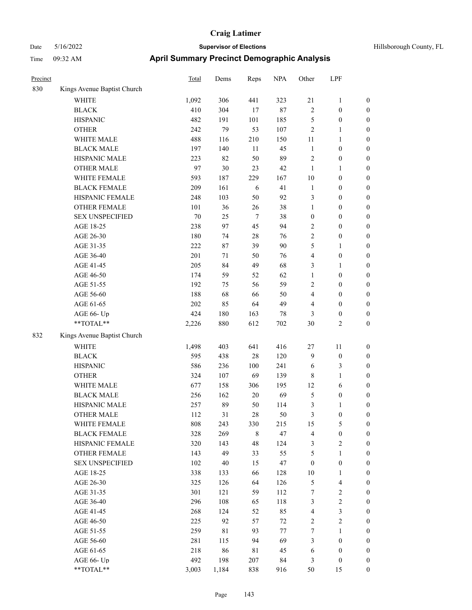| Hillsborough County, FL |  |  |
|-------------------------|--|--|
|-------------------------|--|--|

| Precinct |                             | <b>Total</b> | Dems  | Reps    | <b>NPA</b> | Other                   | LPF                     |                  |
|----------|-----------------------------|--------------|-------|---------|------------|-------------------------|-------------------------|------------------|
| 830      | Kings Avenue Baptist Church |              |       |         |            |                         |                         |                  |
|          | WHITE                       | 1,092        | 306   | 441     | 323        | 21                      | $\mathbf{1}$            | $\boldsymbol{0}$ |
|          | <b>BLACK</b>                | 410          | 304   | 17      | 87         | $\sqrt{2}$              | $\boldsymbol{0}$        | $\boldsymbol{0}$ |
|          | <b>HISPANIC</b>             | 482          | 191   | 101     | 185        | 5                       | $\boldsymbol{0}$        | 0                |
|          | <b>OTHER</b>                | 242          | 79    | 53      | 107        | $\sqrt{2}$              | $\mathbf{1}$            | 0                |
|          | WHITE MALE                  | 488          | 116   | 210     | 150        | 11                      | $\mathbf{1}$            | $\boldsymbol{0}$ |
|          | <b>BLACK MALE</b>           | 197          | 140   | $11\,$  | 45         | $\mathbf{1}$            | $\boldsymbol{0}$        | $\boldsymbol{0}$ |
|          | HISPANIC MALE               | 223          | 82    | 50      | 89         | $\overline{c}$          | $\boldsymbol{0}$        | $\boldsymbol{0}$ |
|          | <b>OTHER MALE</b>           | 97           | 30    | 23      | 42         | $\mathbf{1}$            | $\mathbf{1}$            | $\boldsymbol{0}$ |
|          | WHITE FEMALE                | 593          | 187   | 229     | 167        | 10                      | $\boldsymbol{0}$        | $\boldsymbol{0}$ |
|          | <b>BLACK FEMALE</b>         | 209          | 161   | 6       | 41         | $\mathbf{1}$            | $\boldsymbol{0}$        | $\boldsymbol{0}$ |
|          | HISPANIC FEMALE             | 248          | 103   | 50      | 92         | 3                       | $\boldsymbol{0}$        | $\boldsymbol{0}$ |
|          | OTHER FEMALE                | 101          | 36    | 26      | 38         | $\mathbf{1}$            | $\boldsymbol{0}$        | $\boldsymbol{0}$ |
|          | <b>SEX UNSPECIFIED</b>      | 70           | 25    | $\tau$  | 38         | $\boldsymbol{0}$        | $\boldsymbol{0}$        | 0                |
|          | AGE 18-25                   | 238          | 97    | 45      | 94         | 2                       | $\boldsymbol{0}$        | 0                |
|          | AGE 26-30                   | 180          | 74    | 28      | 76         | 2                       | $\boldsymbol{0}$        | $\boldsymbol{0}$ |
|          | AGE 31-35                   | 222          | 87    | 39      | 90         | 5                       | 1                       | $\boldsymbol{0}$ |
|          | AGE 36-40                   | 201          | 71    | 50      | 76         | 4                       | $\boldsymbol{0}$        | $\boldsymbol{0}$ |
|          | AGE 41-45                   | 205          | 84    | 49      | 68         | 3                       | $\mathbf{1}$            | $\boldsymbol{0}$ |
|          | AGE 46-50                   | 174          | 59    | 52      | 62         | $\mathbf{1}$            | $\boldsymbol{0}$        | $\boldsymbol{0}$ |
|          | AGE 51-55                   | 192          | 75    | 56      | 59         | 2                       | $\boldsymbol{0}$        | $\boldsymbol{0}$ |
|          | AGE 56-60                   | 188          | 68    | 66      | 50         | 4                       | $\boldsymbol{0}$        | $\boldsymbol{0}$ |
|          | AGE 61-65                   | 202          | 85    | 64      | 49         | 4                       | $\boldsymbol{0}$        | 0                |
|          | AGE 66- Up                  | 424          | 180   | 163     | 78         | 3                       | $\boldsymbol{0}$        | 0                |
|          | **TOTAL**                   | 2,226        | 880   | 612     | 702        | 30                      | $\mathbf{2}$            | $\boldsymbol{0}$ |
| 832      | Kings Avenue Baptist Church |              |       |         |            |                         |                         |                  |
|          | <b>WHITE</b>                | 1,498        | 403   | 641     | 416        | 27                      | 11                      | 0                |
|          | <b>BLACK</b>                | 595          | 438   | 28      | 120        | $\overline{9}$          | $\boldsymbol{0}$        | 0                |
|          | <b>HISPANIC</b>             | 586          | 236   | 100     | 241        | 6                       | 3                       | 0                |
|          | <b>OTHER</b>                | 324          | 107   | 69      | 139        | 8                       | $\mathbf{1}$            | $\boldsymbol{0}$ |
|          | WHITE MALE                  | 677          | 158   | 306     | 195        | 12                      | 6                       | $\boldsymbol{0}$ |
|          | <b>BLACK MALE</b>           | 256          | 162   | 20      | 69         | 5                       | $\boldsymbol{0}$        | $\boldsymbol{0}$ |
|          | HISPANIC MALE               | 257          | 89    | 50      | 114        | 3                       | $\mathbf{1}$            | $\boldsymbol{0}$ |
|          | <b>OTHER MALE</b>           | 112          | 31    | 28      | 50         | 3                       | $\boldsymbol{0}$        | $\boldsymbol{0}$ |
|          | WHITE FEMALE                | 808          | 243   | 330     | 215        | 15                      | $\mathfrak{S}$          | 0                |
|          | <b>BLACK FEMALE</b>         | 328          | 269   | $\,8\,$ | 47         | $\overline{4}$          | $\boldsymbol{0}$        | 0                |
|          | HISPANIC FEMALE             | 320          | 143   | 48      | 124        | 3                       | $\sqrt{2}$              | 0                |
|          | OTHER FEMALE                | 143          | 49    | 33      | 55         | 5                       | $\mathbf{1}$            | 0                |
|          | <b>SEX UNSPECIFIED</b>      | 102          | 40    | 15      | 47         | $\boldsymbol{0}$        | $\boldsymbol{0}$        | 0                |
|          | AGE 18-25                   | 338          | 133   | 66      | 128        | $10\,$                  | $\mathbf{1}$            | $\boldsymbol{0}$ |
|          | AGE 26-30                   | 325          | 126   | 64      | 126        | 5                       | $\overline{\mathbf{4}}$ | 0                |
|          | AGE 31-35                   | 301          | 121   | 59      | 112        | 7                       | $\sqrt{2}$              | 0                |
|          | AGE 36-40                   | 296          | 108   | 65      | 118        | 3                       | $\sqrt{2}$              | $\overline{0}$   |
|          | AGE 41-45                   | 268          | 124   | 52      | 85         | $\overline{\mathbf{4}}$ | $\mathfrak{Z}$          | $\overline{0}$   |
|          | AGE 46-50                   | 225          | 92    | 57      | 72         | $\overline{c}$          | $\sqrt{2}$              | 0                |
|          | AGE 51-55                   | 259          | 81    | 93      | 77         | $\boldsymbol{7}$        | $\mathbf{1}$            | 0                |
|          | AGE 56-60                   | 281          | 115   | 94      | 69         | 3                       | $\boldsymbol{0}$        | 0                |
|          | AGE 61-65                   | 218          | 86    | 81      | 45         | 6                       | $\boldsymbol{0}$        | $\boldsymbol{0}$ |
|          | AGE 66- Up                  | 492          | 198   | 207     | 84         | 3                       | $\boldsymbol{0}$        | 0                |
|          | $**TOTAL**$                 | 3,003        | 1,184 | 838     | 916        | 50                      | 15                      | $\boldsymbol{0}$ |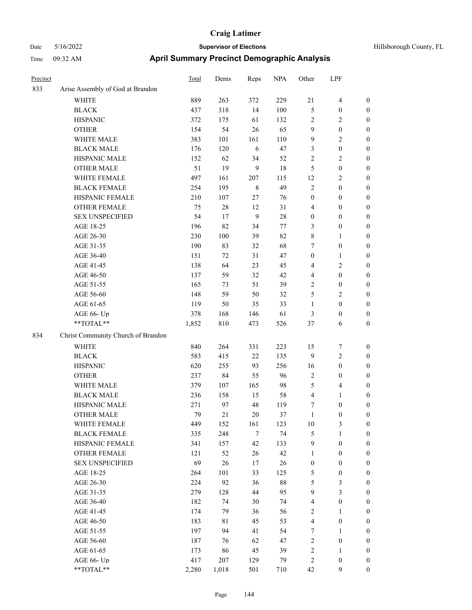| Hillsborough County, FL |  |
|-------------------------|--|

| Precinct |                                    | Total | Dems   | Reps        | <b>NPA</b> | Other                   | LPF                     |                  |
|----------|------------------------------------|-------|--------|-------------|------------|-------------------------|-------------------------|------------------|
| 833      | Arise Assembly of God at Brandon   |       |        |             |            |                         |                         |                  |
|          | WHITE                              | 889   | 263    | 372         | 229        | 21                      | $\overline{\mathbf{4}}$ | $\boldsymbol{0}$ |
|          | <b>BLACK</b>                       | 437   | 318    | 14          | 100        | 5                       | $\boldsymbol{0}$        | $\boldsymbol{0}$ |
|          | <b>HISPANIC</b>                    | 372   | 175    | 61          | 132        | 2                       | $\overline{2}$          | 0                |
|          | <b>OTHER</b>                       | 154   | 54     | 26          | 65         | 9                       | $\boldsymbol{0}$        | 0                |
|          | WHITE MALE                         | 383   | 101    | 161         | 110        | 9                       | $\sqrt{2}$              | $\boldsymbol{0}$ |
|          | <b>BLACK MALE</b>                  | 176   | 120    | 6           | 47         | 3                       | $\boldsymbol{0}$        | $\boldsymbol{0}$ |
|          | HISPANIC MALE                      | 152   | 62     | 34          | 52         | $\sqrt{2}$              | $\sqrt{2}$              | $\boldsymbol{0}$ |
|          | <b>OTHER MALE</b>                  | 51    | 19     | 9           | $18\,$     | 5                       | $\boldsymbol{0}$        | $\boldsymbol{0}$ |
|          | WHITE FEMALE                       | 497   | 161    | 207         | 115        | 12                      | $\sqrt{2}$              | $\boldsymbol{0}$ |
|          | <b>BLACK FEMALE</b>                | 254   | 195    | $\,$ 8 $\,$ | 49         | $\sqrt{2}$              | $\boldsymbol{0}$        | $\boldsymbol{0}$ |
|          | HISPANIC FEMALE                    | 210   | 107    | 27          | 76         | $\boldsymbol{0}$        | $\boldsymbol{0}$        | $\boldsymbol{0}$ |
|          | <b>OTHER FEMALE</b>                | 75    | $28\,$ | 12          | 31         | 4                       | $\boldsymbol{0}$        | 0                |
|          | <b>SEX UNSPECIFIED</b>             | 54    | 17     | 9           | $28\,$     | $\boldsymbol{0}$        | $\boldsymbol{0}$        | 0                |
|          | AGE 18-25                          | 196   | 82     | 34          | 77         | 3                       | $\boldsymbol{0}$        | 0                |
|          | AGE 26-30                          | 230   | 100    | 39          | 82         | 8                       | 1                       | 0                |
|          | AGE 31-35                          | 190   | 83     | 32          | 68         | 7                       | $\boldsymbol{0}$        | $\boldsymbol{0}$ |
|          | AGE 36-40                          | 151   | 72     | 31          | 47         | $\boldsymbol{0}$        | $\mathbf{1}$            | $\boldsymbol{0}$ |
|          | AGE 41-45                          | 138   | 64     | 23          | 45         | 4                       | $\sqrt{2}$              | 0                |
|          | AGE 46-50                          | 137   | 59     | 32          | 42         | 4                       | $\boldsymbol{0}$        | $\boldsymbol{0}$ |
|          | AGE 51-55                          | 165   | 73     | 51          | 39         | 2                       | $\boldsymbol{0}$        | $\boldsymbol{0}$ |
|          | AGE 56-60                          | 148   | 59     | 50          | 32         | 5                       | $\overline{2}$          | 0                |
|          | AGE 61-65                          | 119   | 50     | 35          | 33         | $\mathbf{1}$            | $\boldsymbol{0}$        | 0                |
|          | AGE 66- Up                         | 378   | 168    | 146         | 61         | 3                       | $\boldsymbol{0}$        | 0                |
|          | **TOTAL**                          | 1,852 | 810    | 473         | 526        | 37                      | 6                       | 0                |
| 834      | Christ Community Church of Brandon |       |        |             |            |                         |                         |                  |
|          | <b>WHITE</b>                       | 840   | 264    | 331         | 223        | 15                      | 7                       | 0                |
|          | <b>BLACK</b>                       | 583   | 415    | 22          | 135        | 9                       | $\sqrt{2}$              | 0                |
|          | <b>HISPANIC</b>                    | 620   | 255    | 93          | 256        | 16                      | $\boldsymbol{0}$        | 0                |
|          | <b>OTHER</b>                       | 237   | 84     | 55          | 96         | $\sqrt{2}$              | $\boldsymbol{0}$        | $\boldsymbol{0}$ |
|          | WHITE MALE                         | 379   | 107    | 165         | 98         | 5                       | $\overline{\mathbf{4}}$ | 0                |
|          | <b>BLACK MALE</b>                  | 236   | 158    | 15          | 58         | 4                       | $\mathbf{1}$            | $\boldsymbol{0}$ |
|          | HISPANIC MALE                      | 271   | 97     | 48          | 119        | 7                       | $\boldsymbol{0}$        | $\boldsymbol{0}$ |
|          | <b>OTHER MALE</b>                  | 79    | 21     | 20          | 37         | $\mathbf{1}$            | $\boldsymbol{0}$        | $\boldsymbol{0}$ |
|          | WHITE FEMALE                       | 449   | 152    | 161         | 123        | $10\,$                  | $\mathfrak{Z}$          | 0                |
|          | <b>BLACK FEMALE</b>                | 335   | 248    | $\tau$      | 74         | 5                       | $\mathbf{1}$            | 0                |
|          | HISPANIC FEMALE                    | 341   | 157    | 42          | 133        | $\overline{9}$          | $\boldsymbol{0}$        | 0                |
|          | OTHER FEMALE                       | 121   | 52     | 26          | 42         | $\mathbf{1}$            | $\boldsymbol{0}$        | 0                |
|          | <b>SEX UNSPECIFIED</b>             | 69    | 26     | 17          | 26         | $\boldsymbol{0}$        | $\boldsymbol{0}$        | $\overline{0}$   |
|          | AGE 18-25                          | 264   | 101    | 33          | 125        | 5                       | $\boldsymbol{0}$        | $\overline{0}$   |
|          | AGE 26-30                          | 224   | 92     | 36          | $88\,$     | 5                       | $\mathfrak{Z}$          | $\overline{0}$   |
|          | AGE 31-35                          | 279   | 128    | $44\,$      | 95         | 9                       | $\mathfrak{Z}$          | 0                |
|          | AGE 36-40                          | 182   | 74     | 30          | 74         | $\overline{\mathbf{4}}$ | $\boldsymbol{0}$        | $\overline{0}$   |
|          | AGE 41-45                          | 174   | 79     | 36          | 56         | $\overline{c}$          | $\mathbf{1}$            | $\overline{0}$   |
|          | AGE 46-50                          | 183   | 81     | 45          | 53         | $\overline{\mathbf{4}}$ | $\boldsymbol{0}$        | $\overline{0}$   |
|          | AGE 51-55                          | 197   | 94     | 41          | 54         | 7                       | $\mathbf{1}$            | 0                |
|          | AGE 56-60                          | 187   | 76     | 62          | 47         | $\sqrt{2}$              | $\boldsymbol{0}$        | 0                |
|          | AGE 61-65                          | 173   | 86     | 45          | 39         | $\sqrt{2}$              | $\mathbf{1}$            | $\boldsymbol{0}$ |
|          | AGE 66- Up                         | 417   | 207    | 129         | 79         | $\sqrt{2}$              | $\boldsymbol{0}$        | 0                |
|          | $**TOTAL**$                        | 2,280 | 1,018  | 501         | 710        | 42                      | 9                       | $\boldsymbol{0}$ |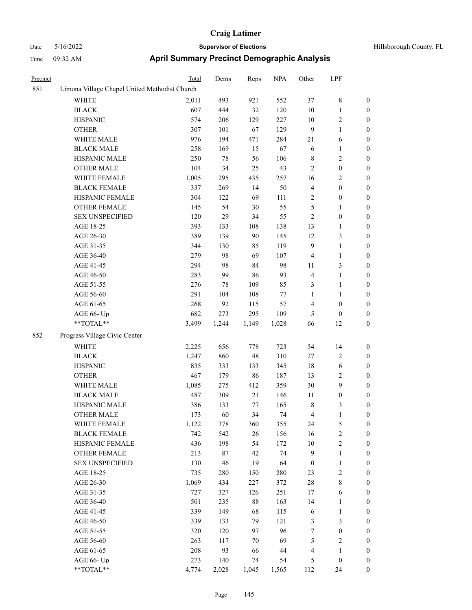# Date 5/16/2022 **Supervisor of Elections Supervisor of Elections** Hillsborough County, FL Time 09:32 AM **April Summary Precinct Demographic Analysis**

| Precinct |                                               | <b>Total</b> | Dems   | Reps   | <b>NPA</b> | Other            | LPF              |                  |
|----------|-----------------------------------------------|--------------|--------|--------|------------|------------------|------------------|------------------|
| 851      | Limona Village Chapel United Methodist Church |              |        |        |            |                  |                  |                  |
|          | <b>WHITE</b>                                  | 2,011        | 493    | 921    | 552        | 37               | $\,8\,$          | $\boldsymbol{0}$ |
|          | <b>BLACK</b>                                  | 607          | 444    | 32     | 120        | 10               | $\mathbf{1}$     | $\boldsymbol{0}$ |
|          | <b>HISPANIC</b>                               | 574          | 206    | 129    | 227        | 10               | $\sqrt{2}$       | $\boldsymbol{0}$ |
|          | <b>OTHER</b>                                  | 307          | 101    | 67     | 129        | $\overline{9}$   | $\mathbf{1}$     | $\boldsymbol{0}$ |
|          | WHITE MALE                                    | 976          | 194    | 471    | 284        | 21               | 6                | $\boldsymbol{0}$ |
|          | <b>BLACK MALE</b>                             | 258          | 169    | 15     | 67         | 6                | $\mathbf{1}$     | $\boldsymbol{0}$ |
|          | HISPANIC MALE                                 | 250          | 78     | 56     | 106        | $\,$ 8 $\,$      | $\sqrt{2}$       | $\boldsymbol{0}$ |
|          | <b>OTHER MALE</b>                             | 104          | 34     | 25     | 43         | $\sqrt{2}$       | $\boldsymbol{0}$ | $\boldsymbol{0}$ |
|          | WHITE FEMALE                                  | 1,005        | 295    | 435    | 257        | 16               | $\overline{2}$   | 0                |
|          | <b>BLACK FEMALE</b>                           | 337          | 269    | 14     | 50         | $\overline{4}$   | $\boldsymbol{0}$ | 0                |
|          | HISPANIC FEMALE                               | 304          | 122    | 69     | 111        | $\overline{c}$   | $\boldsymbol{0}$ | $\boldsymbol{0}$ |
|          | OTHER FEMALE                                  | 145          | 54     | $30\,$ | 55         | 5                | $\mathbf{1}$     | $\boldsymbol{0}$ |
|          | <b>SEX UNSPECIFIED</b>                        | 120          | 29     | 34     | 55         | $\sqrt{2}$       | $\boldsymbol{0}$ | $\boldsymbol{0}$ |
|          | AGE 18-25                                     | 393          | 133    | 108    | 138        | 13               | $\mathbf{1}$     | $\boldsymbol{0}$ |
|          | AGE 26-30                                     | 389          | 139    | 90     | 145        | 12               | $\mathfrak{Z}$   | $\boldsymbol{0}$ |
|          | AGE 31-35                                     | 344          | 130    | 85     | 119        | $\overline{9}$   | $\mathbf{1}$     | $\boldsymbol{0}$ |
|          | AGE 36-40                                     | 279          | 98     | 69     | 107        | $\overline{4}$   | $\mathbf{1}$     | $\boldsymbol{0}$ |
|          | AGE 41-45                                     | 294          | 98     | 84     | 98         | 11               | $\mathfrak{Z}$   | 0                |
|          | AGE 46-50                                     | 283          | 99     | 86     | 93         | $\overline{4}$   | $\mathbf{1}$     | 0                |
|          | AGE 51-55                                     | 276          | 78     | 109    | 85         | 3                | $\mathbf{1}$     | 0                |
|          | AGE 56-60                                     | 291          | 104    | 108    | $77\,$     | $\mathbf{1}$     | $\mathbf{1}$     | $\boldsymbol{0}$ |
|          | AGE 61-65                                     | 268          | 92     | 115    | 57         | 4                | $\boldsymbol{0}$ | $\boldsymbol{0}$ |
|          | AGE 66- Up                                    | 682          | 273    | 295    | 109        | 5                | $\boldsymbol{0}$ | $\boldsymbol{0}$ |
|          | **TOTAL**                                     | 3,499        | 1,244  | 1,149  | 1,028      | 66               | 12               | $\boldsymbol{0}$ |
| 852      | Progress Village Civic Center                 |              |        |        |            |                  |                  |                  |
|          | WHITE                                         | 2,225        | 656    | 778    | 723        | 54               | 14               | $\boldsymbol{0}$ |
|          | <b>BLACK</b>                                  | 1,247        | 860    | 48     | 310        | 27               | $\sqrt{2}$       | $\boldsymbol{0}$ |
|          | <b>HISPANIC</b>                               | 835          | 333    | 133    | 345        | 18               | 6                | $\boldsymbol{0}$ |
|          | <b>OTHER</b>                                  | 467          | 179    | 86     | 187        | 13               | $\sqrt{2}$       | $\boldsymbol{0}$ |
|          | WHITE MALE                                    | 1,085        | 275    | 412    | 359        | 30               | $\boldsymbol{9}$ | $\boldsymbol{0}$ |
|          | <b>BLACK MALE</b>                             | 487          | 309    | 21     | 146        | 11               | $\boldsymbol{0}$ | $\boldsymbol{0}$ |
|          | HISPANIC MALE                                 | 386          | 133    | $77\,$ | 165        | $\,$ 8 $\,$      | 3                | 0                |
|          | OTHER MALE                                    | 173          | 60     | 34     | 74         | 4                | 1                | 0                |
|          | WHITE FEMALE                                  | 1,122        | 378    | 360    | 355        | 24               | 5                | 0                |
|          | <b>BLACK FEMALE</b>                           | 742          | 542    | 26     | 156        | 16               | $\sqrt{2}$       | 0                |
|          | HISPANIC FEMALE                               | 436          | 198    | 54     | 172        | $10\,$           | $\sqrt{2}$       | 0                |
|          | <b>OTHER FEMALE</b>                           | 213          | 87     | 42     | 74         | $\overline{9}$   | $\mathbf{1}$     | 0                |
|          | <b>SEX UNSPECIFIED</b>                        | 130          | $46\,$ | 19     | 64         | $\boldsymbol{0}$ | $\mathbf{1}$     | 0                |
|          | AGE 18-25                                     | 735          | 280    | 150    | 280        | 23               | $\sqrt{2}$       | 0                |
|          | AGE 26-30                                     | 1,069        | 434    | 227    | 372        | $28\,$           | $\,$ 8 $\,$      | 0                |
|          | AGE 31-35                                     | 727          | 327    | 126    | 251        | 17               | 6                | 0                |
|          | AGE 36-40                                     | 501          | 235    | $88\,$ | 163        | 14               | $\mathbf{1}$     | 0                |
|          | AGE 41-45                                     | 339          | 149    | 68     | 115        | 6                | $\mathbf{1}$     | 0                |
|          | AGE 46-50                                     | 339          | 133    | 79     | 121        | $\mathfrak{Z}$   | $\mathfrak{Z}$   | $\boldsymbol{0}$ |
|          | AGE 51-55                                     | 320          | 120    | 97     | 96         | 7                | $\boldsymbol{0}$ | 0                |
|          | AGE 56-60                                     | 263          | 117    | 70     | 69         | 5                | $\sqrt{2}$       | 0                |
|          | AGE 61-65                                     | 208          | 93     | 66     | 44         | 4                | $\mathbf{1}$     | $\boldsymbol{0}$ |
|          | AGE 66- Up                                    | 273          | 140    | $74\,$ | 54         | 5                | $\boldsymbol{0}$ | $\boldsymbol{0}$ |
|          |                                               |              |        |        |            |                  |                  |                  |

\*\*TOTAL\*\* 4,774 2,028 1,045 1,565 112 24 0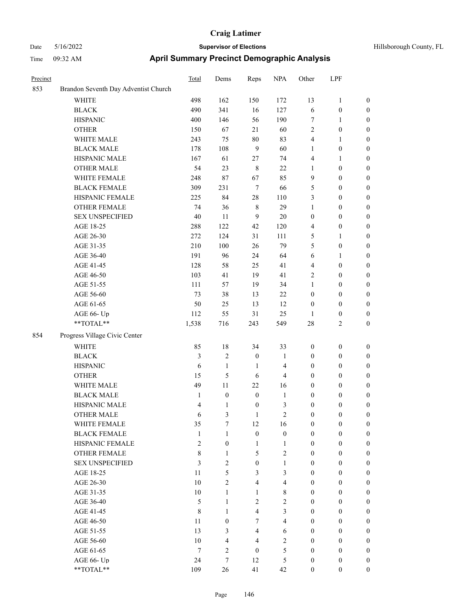| Precinct |                                      | Total          | Dems             | Reps             | <b>NPA</b>     | Other            | LPF              |                  |
|----------|--------------------------------------|----------------|------------------|------------------|----------------|------------------|------------------|------------------|
| 853      | Brandon Seventh Day Adventist Church |                |                  |                  |                |                  |                  |                  |
|          | <b>WHITE</b>                         | 498            | 162              | 150              | 172            | 13               | $\mathbf{1}$     | $\boldsymbol{0}$ |
|          | <b>BLACK</b>                         | 490            | 341              | 16               | 127            | 6                | $\boldsymbol{0}$ | $\boldsymbol{0}$ |
|          | <b>HISPANIC</b>                      | 400            | 146              | 56               | 190            | $\tau$           | 1                | $\boldsymbol{0}$ |
|          | <b>OTHER</b>                         | 150            | 67               | 21               | 60             | $\sqrt{2}$       | $\boldsymbol{0}$ | $\boldsymbol{0}$ |
|          | WHITE MALE                           | 243            | 75               | $80\,$           | 83             | $\overline{4}$   | 1                | $\boldsymbol{0}$ |
|          | <b>BLACK MALE</b>                    | 178            | 108              | $\overline{9}$   | 60             | $\mathbf{1}$     | $\boldsymbol{0}$ | $\boldsymbol{0}$ |
|          | HISPANIC MALE                        | 167            | 61               | $27\,$           | 74             | $\overline{4}$   | 1                | $\boldsymbol{0}$ |
|          | <b>OTHER MALE</b>                    | 54             | 23               | $\,$ 8 $\,$      | 22             | $\mathbf{1}$     | $\boldsymbol{0}$ | $\boldsymbol{0}$ |
|          | WHITE FEMALE                         | 248            | $87\,$           | 67               | 85             | 9                | $\boldsymbol{0}$ | $\boldsymbol{0}$ |
|          | <b>BLACK FEMALE</b>                  | 309            | 231              | $\tau$           | 66             | $\mathfrak{S}$   | $\boldsymbol{0}$ | $\boldsymbol{0}$ |
|          | HISPANIC FEMALE                      | 225            | 84               | 28               | 110            | 3                | $\boldsymbol{0}$ | $\boldsymbol{0}$ |
|          | <b>OTHER FEMALE</b>                  | 74             | 36               | 8                | 29             | $\mathbf{1}$     | $\boldsymbol{0}$ | $\boldsymbol{0}$ |
|          | <b>SEX UNSPECIFIED</b>               | 40             | 11               | 9                | $20\,$         | $\boldsymbol{0}$ | $\boldsymbol{0}$ | $\boldsymbol{0}$ |
|          | AGE 18-25                            | 288            | 122              | 42               | 120            | $\overline{4}$   | $\boldsymbol{0}$ | $\boldsymbol{0}$ |
|          | AGE 26-30                            | 272            | 124              | 31               | 111            | 5                | 1                | $\boldsymbol{0}$ |
|          | AGE 31-35                            | 210            | 100              | $26\,$           | 79             | 5                | $\boldsymbol{0}$ | $\boldsymbol{0}$ |
|          | AGE 36-40                            | 191            | 96               | 24               | 64             | 6                | 1                | $\boldsymbol{0}$ |
|          | AGE 41-45                            | 128            | 58               | 25               | 41             | $\overline{4}$   | $\boldsymbol{0}$ | $\boldsymbol{0}$ |
|          | AGE 46-50                            | 103            | 41               | 19               | 41             | $\sqrt{2}$       | $\boldsymbol{0}$ | $\boldsymbol{0}$ |
|          | AGE 51-55                            | 111            | 57               | 19               | 34             | $\mathbf{1}$     | $\boldsymbol{0}$ | $\boldsymbol{0}$ |
|          | AGE 56-60                            | 73             | 38               | 13               | $22\,$         | $\boldsymbol{0}$ | $\boldsymbol{0}$ | $\boldsymbol{0}$ |
|          | AGE 61-65                            | 50             | 25               | 13               | 12             | $\boldsymbol{0}$ | $\boldsymbol{0}$ | $\boldsymbol{0}$ |
|          | AGE 66- Up                           | 112            | 55               | 31               | 25             | 1                | $\boldsymbol{0}$ | $\boldsymbol{0}$ |
|          | **TOTAL**                            | 1,538          | 716              | 243              | 549            | 28               | 2                | $\boldsymbol{0}$ |
| 854      | Progress Village Civic Center        |                |                  |                  |                |                  |                  |                  |
|          | <b>WHITE</b>                         | 85             | 18               | 34               | 33             | $\boldsymbol{0}$ | $\boldsymbol{0}$ | $\boldsymbol{0}$ |
|          | <b>BLACK</b>                         | $\mathfrak{Z}$ | $\overline{2}$   | $\boldsymbol{0}$ | $\mathbf{1}$   | $\boldsymbol{0}$ | $\boldsymbol{0}$ | $\boldsymbol{0}$ |
|          | <b>HISPANIC</b>                      | 6              | $\mathbf{1}$     | 1                | 4              | $\boldsymbol{0}$ | $\boldsymbol{0}$ | $\boldsymbol{0}$ |
|          | <b>OTHER</b>                         | 15             | 5                | 6                | 4              | $\boldsymbol{0}$ | $\boldsymbol{0}$ | $\boldsymbol{0}$ |
|          | WHITE MALE                           | 49             | 11               | 22               | 16             | $\boldsymbol{0}$ | $\boldsymbol{0}$ | $\boldsymbol{0}$ |
|          | <b>BLACK MALE</b>                    | $\mathbf{1}$   | $\boldsymbol{0}$ | $\boldsymbol{0}$ | $\mathbf{1}$   | $\boldsymbol{0}$ | $\boldsymbol{0}$ | $\boldsymbol{0}$ |
|          | HISPANIC MALE                        | $\overline{4}$ | 1                | $\boldsymbol{0}$ | 3              | $\boldsymbol{0}$ | $\boldsymbol{0}$ | $\boldsymbol{0}$ |
|          | <b>OTHER MALE</b>                    | 6              | 3                | 1                | $\overline{2}$ | $\mathbf{0}$     | 0                | $\boldsymbol{0}$ |
|          | WHITE FEMALE                         | 35             | $\tau$           | 12               | 16             | $\boldsymbol{0}$ | $\boldsymbol{0}$ | $\boldsymbol{0}$ |
|          | <b>BLACK FEMALE</b>                  | $\mathbf{1}$   | $\mathbf{1}$     | $\mathbf{0}$     | $\mathbf{0}$   | $\mathbf{0}$     | $\boldsymbol{0}$ | $\boldsymbol{0}$ |
|          | HISPANIC FEMALE                      | $\mathfrak{2}$ | $\overline{0}$   | $\mathbf{1}$     | $\mathbf{1}$   | $\mathbf{0}$     | $\boldsymbol{0}$ | $\boldsymbol{0}$ |
|          | OTHER FEMALE                         | $\,$ 8 $\,$    | $\mathbf{1}$     | 5                | $\mathfrak{2}$ | $\mathbf{0}$     | $\boldsymbol{0}$ | $\boldsymbol{0}$ |
|          | <b>SEX UNSPECIFIED</b>               | 3              | $\overline{2}$   | $\mathbf{0}$     | $\mathbf{1}$   | $\mathbf{0}$     | $\boldsymbol{0}$ | $\boldsymbol{0}$ |
|          | AGE 18-25                            | 11             | 5                | $\overline{3}$   | 3              | $\boldsymbol{0}$ | $\boldsymbol{0}$ | $\boldsymbol{0}$ |
|          | AGE 26-30                            | 10             | $\overline{2}$   | $\overline{4}$   | $\overline{4}$ | $\mathbf{0}$     | $\boldsymbol{0}$ | $\boldsymbol{0}$ |
|          | AGE 31-35                            | 10             | $\mathbf{1}$     | $\mathbf{1}$     | $8\,$          | $\boldsymbol{0}$ | $\boldsymbol{0}$ | $\boldsymbol{0}$ |
|          | AGE 36-40                            | 5              | $\mathbf{1}$     | $\overline{2}$   | $\overline{c}$ | $\boldsymbol{0}$ | $\boldsymbol{0}$ | $\boldsymbol{0}$ |
|          | AGE 41-45                            | 8              | $\mathbf{1}$     | $\overline{4}$   | $\mathfrak{Z}$ | $\boldsymbol{0}$ | $\boldsymbol{0}$ | $\boldsymbol{0}$ |
|          | AGE 46-50                            | 11             | $\mathbf{0}$     | $\overline{7}$   | $\overline{4}$ | $\boldsymbol{0}$ | $\boldsymbol{0}$ | $\boldsymbol{0}$ |
|          | AGE 51-55                            | 13             | 3                | $\overline{4}$   | 6              | $\mathbf{0}$     | $\boldsymbol{0}$ | $\boldsymbol{0}$ |
|          | AGE 56-60                            | 10             | 4                | $\overline{4}$   | $\overline{2}$ | $\mathbf{0}$     | $\boldsymbol{0}$ | $\boldsymbol{0}$ |
|          | AGE 61-65                            | $\overline{7}$ | $\overline{2}$   | $\mathbf{0}$     | 5              | $\boldsymbol{0}$ | $\boldsymbol{0}$ | $\boldsymbol{0}$ |
|          | AGE 66- Up                           | 24             | $\overline{7}$   | 12               | 5              | $\boldsymbol{0}$ | $\boldsymbol{0}$ | $\boldsymbol{0}$ |
|          | **TOTAL**                            | 109            | 26               | 41               | 42             | $\boldsymbol{0}$ | $\boldsymbol{0}$ | $\boldsymbol{0}$ |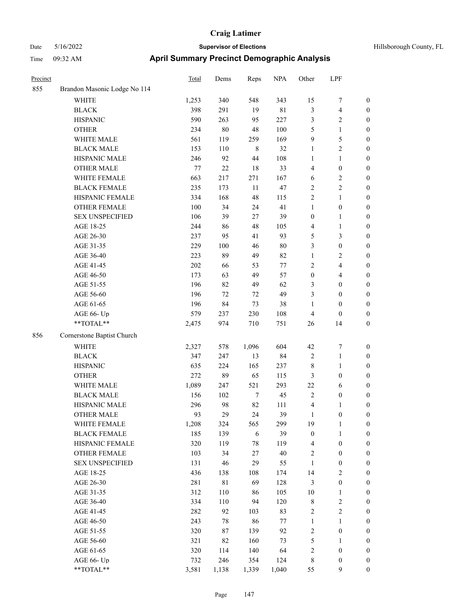| Hillsborough County, FL |  |
|-------------------------|--|
|                         |  |

| Precinct |                              | <b>Total</b> | Dems   | Reps        | <b>NPA</b> | Other            | LPF              |                  |
|----------|------------------------------|--------------|--------|-------------|------------|------------------|------------------|------------------|
| 855      | Brandon Masonic Lodge No 114 |              |        |             |            |                  |                  |                  |
|          | WHITE                        | 1,253        | 340    | 548         | 343        | 15               | 7                | $\boldsymbol{0}$ |
|          | <b>BLACK</b>                 | 398          | 291    | 19          | 81         | $\mathfrak{Z}$   | $\overline{4}$   | $\boldsymbol{0}$ |
|          | <b>HISPANIC</b>              | 590          | 263    | 95          | 227        | 3                | $\sqrt{2}$       | 0                |
|          | <b>OTHER</b>                 | 234          | $80\,$ | $48\,$      | 100        | 5                | $\mathbf{1}$     | 0                |
|          | WHITE MALE                   | 561          | 119    | 259         | 169        | 9                | $\mathfrak{S}$   | $\boldsymbol{0}$ |
|          | <b>BLACK MALE</b>            | 153          | 110    | $\,$ 8 $\,$ | 32         | 1                | $\sqrt{2}$       | $\boldsymbol{0}$ |
|          | HISPANIC MALE                | 246          | 92     | 44          | 108        | $\mathbf{1}$     | $\mathbf{1}$     | $\boldsymbol{0}$ |
|          | <b>OTHER MALE</b>            | 77           | 22     | 18          | 33         | 4                | $\boldsymbol{0}$ | $\boldsymbol{0}$ |
|          | WHITE FEMALE                 | 663          | 217    | 271         | 167        | 6                | $\sqrt{2}$       | $\boldsymbol{0}$ |
|          | <b>BLACK FEMALE</b>          | 235          | 173    | $11\,$      | 47         | 2                | $\sqrt{2}$       | $\boldsymbol{0}$ |
|          | HISPANIC FEMALE              | 334          | 168    | 48          | 115        | $\mathfrak{2}$   | $\mathbf{1}$     | $\boldsymbol{0}$ |
|          | OTHER FEMALE                 | 100          | 34     | 24          | 41         | $\mathbf{1}$     | $\boldsymbol{0}$ | 0                |
|          | <b>SEX UNSPECIFIED</b>       | 106          | 39     | 27          | 39         | $\boldsymbol{0}$ | $\mathbf{1}$     | 0                |
|          | AGE 18-25                    | 244          | 86     | 48          | 105        | 4                | $\mathbf{1}$     | 0                |
|          | AGE 26-30                    | 237          | 95     | 41          | 93         | 5                | $\mathfrak{Z}$   | 0                |
|          | AGE 31-35                    | 229          | 100    | 46          | $80\,$     | 3                | $\boldsymbol{0}$ | $\boldsymbol{0}$ |
|          | AGE 36-40                    | 223          | 89     | 49          | 82         | $\mathbf{1}$     | $\sqrt{2}$       | $\boldsymbol{0}$ |
|          | AGE 41-45                    | 202          | 66     | 53          | 77         | 2                | $\overline{4}$   | $\boldsymbol{0}$ |
|          | AGE 46-50                    | 173          | 63     | 49          | 57         | $\boldsymbol{0}$ | $\overline{4}$   | $\boldsymbol{0}$ |
|          | AGE 51-55                    | 196          | 82     | 49          | 62         | 3                | $\boldsymbol{0}$ | $\boldsymbol{0}$ |
|          | AGE 56-60                    | 196          | 72     | 72          | 49         | 3                | $\boldsymbol{0}$ | $\boldsymbol{0}$ |
|          | AGE 61-65                    | 196          | 84     | 73          | 38         | $\mathbf{1}$     | $\boldsymbol{0}$ | 0                |
|          | AGE 66- Up                   | 579          | 237    | 230         | 108        | $\overline{4}$   | $\boldsymbol{0}$ | 0                |
|          | **TOTAL**                    | 2,475        | 974    | 710         | 751        | 26               | 14               | $\boldsymbol{0}$ |
| 856      | Cornerstone Baptist Church   |              |        |             |            |                  |                  |                  |
|          | <b>WHITE</b>                 | 2,327        | 578    | 1,096       | 604        | 42               | $\boldsymbol{7}$ | 0                |
|          | <b>BLACK</b>                 | 347          | 247    | 13          | 84         | $\overline{2}$   | $\mathbf{1}$     | $\boldsymbol{0}$ |
|          | <b>HISPANIC</b>              | 635          | 224    | 165         | 237        | 8                | $\mathbf{1}$     | 0                |
|          | <b>OTHER</b>                 | 272          | 89     | 65          | 115        | 3                | $\boldsymbol{0}$ | $\boldsymbol{0}$ |
|          | WHITE MALE                   | 1,089        | 247    | 521         | 293        | 22               | 6                | $\boldsymbol{0}$ |
|          | <b>BLACK MALE</b>            | 156          | 102    | $\tau$      | 45         | 2                | $\boldsymbol{0}$ | $\boldsymbol{0}$ |
|          | HISPANIC MALE                | 296          | 98     | 82          | 111        | 4                | $\mathbf{1}$     | $\boldsymbol{0}$ |
|          | <b>OTHER MALE</b>            | 93           | 29     | 24          | 39         | $\mathbf{1}$     | $\boldsymbol{0}$ | $\boldsymbol{0}$ |
|          | WHITE FEMALE                 | 1,208        | 324    | 565         | 299        | 19               | $\mathbf{1}$     | 0                |
|          | <b>BLACK FEMALE</b>          | 185          | 139    | 6           | 39         | $\boldsymbol{0}$ | $\mathbf{1}$     | 0                |
|          | HISPANIC FEMALE              | 320          | 119    | 78          | 119        | 4                | $\boldsymbol{0}$ | 0                |
|          | <b>OTHER FEMALE</b>          | 103          | 34     | $27\,$      | $40\,$     | 2                | $\boldsymbol{0}$ | 0                |
|          | <b>SEX UNSPECIFIED</b>       | 131          | 46     | 29          | 55         | $\mathbf{1}$     | $\boldsymbol{0}$ | $\boldsymbol{0}$ |
|          | AGE 18-25                    | 436          | 138    | 108         | 174        | 14               | $\sqrt{2}$       | $\boldsymbol{0}$ |
|          | AGE 26-30                    | 281          | 81     | 69          | 128        | 3                | $\boldsymbol{0}$ | $\overline{0}$   |
|          | AGE 31-35                    | 312          | 110    | 86          | 105        | 10               | $\mathbf{1}$     | 0                |
|          | AGE 36-40                    | 334          | 110    | 94          | 120        | $\,$ 8 $\,$      | $\sqrt{2}$       | $\overline{0}$   |
|          | AGE 41-45                    | 282          | 92     | 103         | 83         | $\sqrt{2}$       | $\sqrt{2}$       | $\overline{0}$   |
|          | AGE 46-50                    | 243          | 78     | 86          | 77         | $\mathbf{1}$     | $\mathbf{1}$     | $\boldsymbol{0}$ |
|          | AGE 51-55                    | 320          | 87     | 139         | 92         | $\sqrt{2}$       | $\boldsymbol{0}$ | 0                |
|          | AGE 56-60                    | 321          | 82     | 160         | 73         | 5                | $\mathbf{1}$     | 0                |
|          | AGE 61-65                    | 320          | 114    | 140         | 64         | $\sqrt{2}$       | $\boldsymbol{0}$ | $\boldsymbol{0}$ |
|          | AGE 66- Up                   | 732          | 246    | 354         | 124        | $\,$ 8 $\,$      | $\boldsymbol{0}$ | $\boldsymbol{0}$ |
|          | $**TOTAL**$                  | 3,581        | 1,138  | 1,339       | 1,040      | 55               | 9                | $\boldsymbol{0}$ |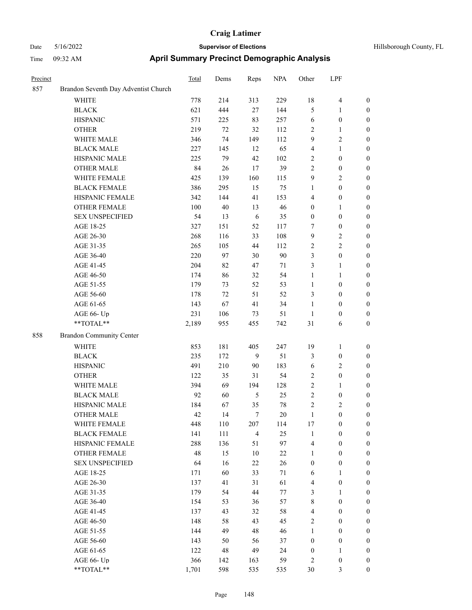| Precinct |                                        | <b>Total</b> | Dems     | Reps           | <b>NPA</b> | Other            | LPF                                         |                                      |
|----------|----------------------------------------|--------------|----------|----------------|------------|------------------|---------------------------------------------|--------------------------------------|
| 857      | Brandon Seventh Day Adventist Church   |              |          |                |            |                  |                                             |                                      |
|          | WHITE                                  | 778          | 214      | 313            | 229        | 18               | 4                                           | $\boldsymbol{0}$                     |
|          | <b>BLACK</b>                           | 621          | 444      | 27             | 144        | 5                | 1                                           | $\boldsymbol{0}$                     |
|          | <b>HISPANIC</b>                        | 571          | 225      | 83             | 257        | 6                | $\boldsymbol{0}$                            | $\boldsymbol{0}$                     |
|          | <b>OTHER</b>                           | 219          | $72\,$   | 32             | 112        | $\sqrt{2}$       | 1                                           | $\boldsymbol{0}$                     |
|          | WHITE MALE                             | 346          | 74       | 149            | 112        | 9                | 2                                           | $\boldsymbol{0}$                     |
|          | <b>BLACK MALE</b>                      | 227          | 145      | 12             | 65         | $\overline{4}$   | 1                                           | $\boldsymbol{0}$                     |
|          | HISPANIC MALE                          | 225          | 79       | 42             | 102        | $\overline{2}$   | $\boldsymbol{0}$                            | $\boldsymbol{0}$                     |
|          | <b>OTHER MALE</b>                      | 84           | 26       | 17             | 39         | $\sqrt{2}$       | $\boldsymbol{0}$                            | $\boldsymbol{0}$                     |
|          | WHITE FEMALE                           | 425          | 139      | 160            | 115        | 9                | 2                                           | $\boldsymbol{0}$                     |
|          | <b>BLACK FEMALE</b>                    | 386          | 295      | 15             | 75         | $\mathbf{1}$     | $\boldsymbol{0}$                            | $\boldsymbol{0}$                     |
|          | HISPANIC FEMALE                        | 342          | 144      | 41             | 153        | $\overline{4}$   | $\boldsymbol{0}$                            | $\boldsymbol{0}$                     |
|          | <b>OTHER FEMALE</b>                    | 100          | $40\,$   | 13             | 46         | $\boldsymbol{0}$ | 1                                           | $\boldsymbol{0}$                     |
|          | <b>SEX UNSPECIFIED</b>                 | 54           | 13       | 6              | 35         | $\boldsymbol{0}$ | $\boldsymbol{0}$                            | $\boldsymbol{0}$                     |
|          | AGE 18-25                              | 327          | 151      | 52             | 117        | $\tau$           | $\boldsymbol{0}$                            | $\boldsymbol{0}$                     |
|          | AGE 26-30                              | 268          | 116      | 33             | 108        | 9                | 2                                           | $\boldsymbol{0}$                     |
|          | AGE 31-35                              | 265          | 105      | 44             | 112        | $\sqrt{2}$       | 2                                           | $\boldsymbol{0}$                     |
|          | AGE 36-40                              | 220          | 97       | 30             | 90         | 3                | $\boldsymbol{0}$                            | $\boldsymbol{0}$                     |
|          | AGE 41-45                              | 204          | 82       | 47             | 71         | 3                | 1                                           | $\boldsymbol{0}$                     |
|          | AGE 46-50                              | 174          | 86       | 32             | 54         | $\mathbf{1}$     | 1                                           | $\boldsymbol{0}$                     |
|          | AGE 51-55                              | 179          | 73       | 52             | 53         | 1                | $\boldsymbol{0}$                            | $\boldsymbol{0}$                     |
|          | AGE 56-60                              | 178          | 72       | 51             | 52         | 3                | $\boldsymbol{0}$                            | $\boldsymbol{0}$                     |
|          | AGE 61-65                              | 143          | 67       | 41             | 34         | $\mathbf{1}$     | $\boldsymbol{0}$                            | $\boldsymbol{0}$                     |
|          | AGE 66- Up                             | 231          | 106      | 73             | 51         | 1                | $\boldsymbol{0}$                            | $\boldsymbol{0}$                     |
|          | $**TOTAL**$                            | 2,189        | 955      | 455            | 742        | 31               | 6                                           | $\boldsymbol{0}$                     |
| 858      | <b>Brandon Community Center</b>        |              |          |                |            |                  |                                             |                                      |
|          | <b>WHITE</b>                           | 853          | 181      | 405            | 247        | 19               | 1                                           | $\boldsymbol{0}$                     |
|          | <b>BLACK</b>                           | 235          | 172      | 9              | 51         | $\mathfrak{Z}$   | $\boldsymbol{0}$                            | $\boldsymbol{0}$                     |
|          | <b>HISPANIC</b>                        | 491          | 210      | 90             | 183        | 6                | 2                                           | $\boldsymbol{0}$                     |
|          | <b>OTHER</b>                           | 122          | 35       | 31             | 54         | $\overline{2}$   | $\boldsymbol{0}$                            | $\boldsymbol{0}$                     |
|          |                                        |              |          | 194            |            | $\sqrt{2}$       |                                             |                                      |
|          | WHITE MALE<br><b>BLACK MALE</b>        | 394<br>92    | 69       |                | 128        | $\sqrt{2}$       | 1                                           | $\boldsymbol{0}$                     |
|          | HISPANIC MALE                          |              | 60       | 5<br>35        | 25<br>78   | $\sqrt{2}$       | $\boldsymbol{0}$                            | $\boldsymbol{0}$                     |
|          |                                        | 184<br>42    | 67<br>14 | 7              | 20         | 1                | $\overline{\mathbf{c}}$<br>$\boldsymbol{0}$ | $\boldsymbol{0}$                     |
|          | <b>OTHER MALE</b>                      | 448          | 110      |                |            |                  | $\boldsymbol{0}$                            | $\boldsymbol{0}$<br>$\boldsymbol{0}$ |
|          | WHITE FEMALE                           |              |          | 207            | 114        | 17               |                                             |                                      |
|          | <b>BLACK FEMALE</b>                    | 141          | 111      | $\overline{4}$ | 25         | $\mathbf{1}$     | $\boldsymbol{0}$                            | $\boldsymbol{0}$                     |
|          | HISPANIC FEMALE<br><b>OTHER FEMALE</b> | 288          | 136      | 51             | 97         | $\overline{4}$   | $\boldsymbol{0}$                            | $\boldsymbol{0}$                     |
|          |                                        | 48           | 15       | $10\,$         | 22         | $\mathbf{1}$     | $\boldsymbol{0}$                            | $\boldsymbol{0}$                     |
|          | <b>SEX UNSPECIFIED</b>                 | 64           | 16       | $22\,$         | 26         | $\boldsymbol{0}$ | $\boldsymbol{0}$                            | $\boldsymbol{0}$                     |
|          | AGE 18-25                              | 171          | 60       | 33             | 71         | 6                | 1                                           | $\boldsymbol{0}$                     |
|          | AGE 26-30                              | 137          | 41       | 31             | 61         | $\overline{4}$   | $\boldsymbol{0}$                            | $\boldsymbol{0}$                     |
|          | AGE 31-35                              | 179          | 54       | $44\,$         | 77         | $\mathfrak{Z}$   | 1                                           | $\boldsymbol{0}$                     |
|          | AGE 36-40                              | 154          | 53       | 36             | 57         | $\,$ 8 $\,$      | $\boldsymbol{0}$                            | $\boldsymbol{0}$                     |
|          | AGE 41-45                              | 137          | 43       | 32             | 58         | $\overline{4}$   | $\boldsymbol{0}$                            | $\boldsymbol{0}$                     |
|          | AGE 46-50                              | 148          | 58       | 43             | 45         | $\sqrt{2}$       | $\boldsymbol{0}$                            | $\boldsymbol{0}$                     |
|          | AGE 51-55                              | 144          | 49       | 48             | 46         | $\mathbf{1}$     | $\boldsymbol{0}$                            | $\boldsymbol{0}$                     |
|          | AGE 56-60                              | 143          | 50       | 56             | 37         | $\boldsymbol{0}$ | $\boldsymbol{0}$                            | $\boldsymbol{0}$                     |
|          | AGE 61-65                              | 122          | 48       | 49             | 24         | $\boldsymbol{0}$ | $\mathbf{1}$                                | $\boldsymbol{0}$                     |
|          | AGE 66- Up                             | 366          | 142      | 163            | 59         | $\sqrt{2}$       | $\boldsymbol{0}$                            | $\boldsymbol{0}$                     |
|          | **TOTAL**                              | 1,701        | 598      | 535            | 535        | $30\,$           | 3                                           | $\boldsymbol{0}$                     |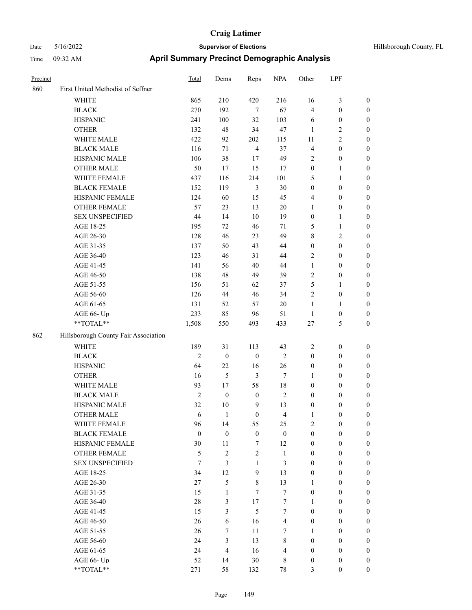| Hillsborough County, FL |  |  |
|-------------------------|--|--|
|-------------------------|--|--|

| Precinct |                                      | <b>Total</b>     | Dems             | Reps             | <b>NPA</b>       | Other            | LPF              |                  |
|----------|--------------------------------------|------------------|------------------|------------------|------------------|------------------|------------------|------------------|
| 860      | First United Methodist of Seffner    |                  |                  |                  |                  |                  |                  |                  |
|          | WHITE                                | 865              | 210              | 420              | 216              | 16               | $\mathfrak{Z}$   | $\boldsymbol{0}$ |
|          | <b>BLACK</b>                         | 270              | 192              | $\tau$           | 67               | 4                | $\boldsymbol{0}$ | $\boldsymbol{0}$ |
|          | <b>HISPANIC</b>                      | 241              | 100              | 32               | 103              | 6                | $\boldsymbol{0}$ | 0                |
|          | <b>OTHER</b>                         | 132              | 48               | 34               | $47\,$           | 1                | $\sqrt{2}$       | 0                |
|          | WHITE MALE                           | 422              | 92               | 202              | 115              | 11               | $\sqrt{2}$       | $\boldsymbol{0}$ |
|          | <b>BLACK MALE</b>                    | 116              | 71               | $\overline{4}$   | 37               | 4                | $\boldsymbol{0}$ | $\boldsymbol{0}$ |
|          | HISPANIC MALE                        | 106              | 38               | $17$             | 49               | 2                | $\boldsymbol{0}$ | $\boldsymbol{0}$ |
|          | <b>OTHER MALE</b>                    | 50               | 17               | 15               | 17               | $\boldsymbol{0}$ | $\mathbf{1}$     | $\boldsymbol{0}$ |
|          | WHITE FEMALE                         | 437              | 116              | 214              | 101              | 5                | $\mathbf{1}$     | $\boldsymbol{0}$ |
|          | <b>BLACK FEMALE</b>                  | 152              | 119              | $\mathfrak{Z}$   | $30\,$           | $\boldsymbol{0}$ | $\boldsymbol{0}$ | $\boldsymbol{0}$ |
|          | HISPANIC FEMALE                      | 124              | 60               | 15               | 45               | 4                | $\boldsymbol{0}$ | $\boldsymbol{0}$ |
|          | OTHER FEMALE                         | 57               | 23               | 13               | $20\,$           | $\mathbf{1}$     | $\boldsymbol{0}$ | 0                |
|          | <b>SEX UNSPECIFIED</b>               | 44               | 14               | 10               | 19               | $\boldsymbol{0}$ | $\mathbf{1}$     | 0                |
|          | AGE 18-25                            | 195              | 72               | 46               | 71               | 5                | $\mathbf{1}$     | 0                |
|          | AGE 26-30                            | 128              | 46               | 23               | 49               | 8                | $\sqrt{2}$       | 0                |
|          | AGE 31-35                            | 137              | 50               | 43               | 44               | $\boldsymbol{0}$ | $\boldsymbol{0}$ | $\boldsymbol{0}$ |
|          | AGE 36-40                            | 123              | 46               | 31               | 44               | 2                | $\boldsymbol{0}$ | $\boldsymbol{0}$ |
|          | AGE 41-45                            | 141              | 56               | 40               | 44               | $\mathbf{1}$     | $\boldsymbol{0}$ | $\boldsymbol{0}$ |
|          | AGE 46-50                            | 138              | 48               | 49               | 39               | 2                | $\boldsymbol{0}$ | $\boldsymbol{0}$ |
|          | AGE 51-55                            | 156              | 51               | 62               | 37               | 5                | $\mathbf{1}$     | $\boldsymbol{0}$ |
|          | AGE 56-60                            | 126              | 44               | 46               | 34               | $\overline{c}$   | $\boldsymbol{0}$ | 0                |
|          | AGE 61-65                            | 131              | 52               | 57               | $20\,$           | $\mathbf{1}$     | 1                | 0                |
|          | AGE 66- Up                           | 233              | 85               | 96               | 51               | $\mathbf{1}$     | $\boldsymbol{0}$ | 0                |
|          | **TOTAL**                            | 1,508            | 550              | 493              | 433              | $27\,$           | 5                | $\boldsymbol{0}$ |
| 862      | Hillsborough County Fair Association |                  |                  |                  |                  |                  |                  |                  |
|          | <b>WHITE</b>                         | 189              | 31               | 113              | 43               | $\overline{c}$   | $\boldsymbol{0}$ | 0                |
|          | <b>BLACK</b>                         | $\mathfrak{2}$   | $\boldsymbol{0}$ | $\boldsymbol{0}$ | $\sqrt{2}$       | $\boldsymbol{0}$ | $\boldsymbol{0}$ | 0                |
|          | <b>HISPANIC</b>                      | 64               | 22               | 16               | 26               | $\boldsymbol{0}$ | $\boldsymbol{0}$ | 0                |
|          | <b>OTHER</b>                         | 16               | 5                | $\mathfrak{Z}$   | $\tau$           | 1                | $\boldsymbol{0}$ | $\boldsymbol{0}$ |
|          | WHITE MALE                           | 93               | 17               | 58               | 18               | $\boldsymbol{0}$ | $\boldsymbol{0}$ | $\boldsymbol{0}$ |
|          | <b>BLACK MALE</b>                    | $\mathfrak{2}$   | $\boldsymbol{0}$ | $\boldsymbol{0}$ | $\sqrt{2}$       | $\boldsymbol{0}$ | $\boldsymbol{0}$ | $\boldsymbol{0}$ |
|          | HISPANIC MALE                        | 32               | $10\,$           | 9                | 13               | $\boldsymbol{0}$ | $\boldsymbol{0}$ | $\boldsymbol{0}$ |
|          | <b>OTHER MALE</b>                    | 6                | $\mathbf{1}$     | $\boldsymbol{0}$ | $\overline{4}$   | 1                | $\boldsymbol{0}$ | $\boldsymbol{0}$ |
|          | WHITE FEMALE                         | 96               | 14               | 55               | 25               | $\overline{c}$   | $\boldsymbol{0}$ | 0                |
|          | <b>BLACK FEMALE</b>                  | $\boldsymbol{0}$ | $\boldsymbol{0}$ | $\boldsymbol{0}$ | $\boldsymbol{0}$ | $\boldsymbol{0}$ | $\boldsymbol{0}$ | 0                |
|          | HISPANIC FEMALE                      | 30               | 11               | $\tau$           | 12               | $\boldsymbol{0}$ | $\boldsymbol{0}$ | 0                |
|          | <b>OTHER FEMALE</b>                  | 5                | $\mathfrak{2}$   | $\sqrt{2}$       | $\mathbf{1}$     | $\boldsymbol{0}$ | $\boldsymbol{0}$ | $\overline{0}$   |
|          | <b>SEX UNSPECIFIED</b>               | $\overline{7}$   | 3                | $\mathbf{1}$     | 3                | $\boldsymbol{0}$ | $\boldsymbol{0}$ | $\overline{0}$   |
|          | AGE 18-25                            | 34               | 12               | 9                | 13               | $\boldsymbol{0}$ | $\boldsymbol{0}$ | $\overline{0}$   |
|          | AGE 26-30                            | 27               | 5                | $\,$ 8 $\,$      | 13               | 1                | $\boldsymbol{0}$ | $\overline{0}$   |
|          | AGE 31-35                            | 15               | $\mathbf{1}$     | 7                | $\boldsymbol{7}$ | $\boldsymbol{0}$ | $\boldsymbol{0}$ | $\overline{0}$   |
|          | AGE 36-40                            | $28\,$           | 3                | 17               | $\boldsymbol{7}$ | $\mathbf{1}$     | $\boldsymbol{0}$ | $\overline{0}$   |
|          | AGE 41-45                            | 15               | 3                | 5                | $\tau$           | $\boldsymbol{0}$ | $\boldsymbol{0}$ | $\overline{0}$   |
|          | AGE 46-50                            | 26               | 6                | 16               | $\overline{4}$   | $\boldsymbol{0}$ | $\boldsymbol{0}$ | $\overline{0}$   |
|          | AGE 51-55                            | 26               | 7                | 11               | $\tau$           | 1                | $\boldsymbol{0}$ | 0                |
|          | AGE 56-60                            | 24               | $\mathfrak{Z}$   | 13               | $\,$ 8 $\,$      | $\boldsymbol{0}$ | $\boldsymbol{0}$ | $\boldsymbol{0}$ |
|          | AGE 61-65                            | 24               | $\overline{4}$   | 16               | $\overline{4}$   | $\boldsymbol{0}$ | $\boldsymbol{0}$ | $\overline{0}$   |
|          | AGE 66- Up                           | 52               | 14               | 30               | 8                | $\boldsymbol{0}$ | $\boldsymbol{0}$ | 0                |
|          | **TOTAL**                            | 271              | 58               | 132              | $78\,$           | 3                | $\boldsymbol{0}$ | $\boldsymbol{0}$ |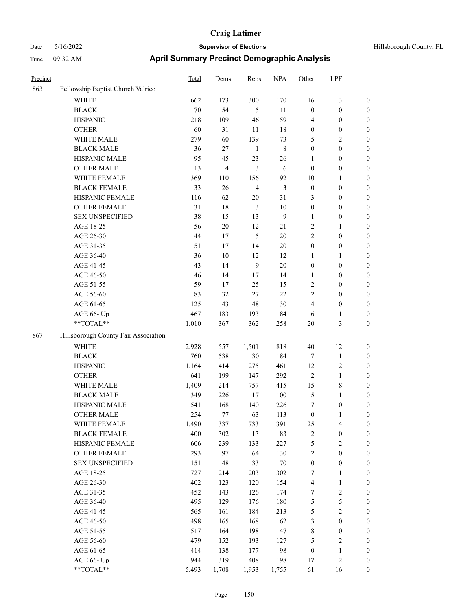| Precinct |                                      | <b>Total</b> | Dems   | Reps           | <b>NPA</b>     | Other            | LPF                     |                  |
|----------|--------------------------------------|--------------|--------|----------------|----------------|------------------|-------------------------|------------------|
| 863      | Fellowship Baptist Church Valrico    |              |        |                |                |                  |                         |                  |
|          | WHITE                                | 662          | 173    | 300            | 170            | 16               | 3                       | $\boldsymbol{0}$ |
|          | <b>BLACK</b>                         | 70           | 54     | 5              | 11             | $\boldsymbol{0}$ | $\boldsymbol{0}$        | $\boldsymbol{0}$ |
|          | <b>HISPANIC</b>                      | 218          | 109    | 46             | 59             | $\overline{4}$   | $\boldsymbol{0}$        | $\boldsymbol{0}$ |
|          | <b>OTHER</b>                         | 60           | 31     | 11             | 18             | $\boldsymbol{0}$ | $\boldsymbol{0}$        | $\boldsymbol{0}$ |
|          | WHITE MALE                           | 279          | 60     | 139            | 73             | 5                | 2                       | $\boldsymbol{0}$ |
|          | <b>BLACK MALE</b>                    | 36           | $27\,$ | $\mathbf{1}$   | 8              | $\boldsymbol{0}$ | $\boldsymbol{0}$        | $\boldsymbol{0}$ |
|          | HISPANIC MALE                        | 95           | 45     | 23             | 26             | 1                | $\boldsymbol{0}$        | $\boldsymbol{0}$ |
|          | <b>OTHER MALE</b>                    | 13           | 4      | 3              | 6              | $\mathbf{0}$     | $\boldsymbol{0}$        | $\boldsymbol{0}$ |
|          | WHITE FEMALE                         | 369          | 110    | 156            | 92             | 10               | 1                       | $\boldsymbol{0}$ |
|          | <b>BLACK FEMALE</b>                  | 33           | 26     | $\overline{4}$ | 3              | $\boldsymbol{0}$ | $\boldsymbol{0}$        | $\boldsymbol{0}$ |
|          | HISPANIC FEMALE                      | 116          | 62     | $20\,$         | 31             | 3                | $\boldsymbol{0}$        | $\boldsymbol{0}$ |
|          | <b>OTHER FEMALE</b>                  | 31           | 18     | 3              | $10\,$         | $\boldsymbol{0}$ | $\boldsymbol{0}$        | $\boldsymbol{0}$ |
|          | <b>SEX UNSPECIFIED</b>               | 38           | 15     | 13             | $\overline{9}$ | $\mathbf{1}$     | $\boldsymbol{0}$        | $\boldsymbol{0}$ |
|          | AGE 18-25                            | 56           | 20     | 12             | 21             | $\overline{2}$   | 1                       | $\boldsymbol{0}$ |
|          | AGE 26-30                            | 44           | 17     | 5              | $20\,$         | $\overline{2}$   | $\boldsymbol{0}$        | $\boldsymbol{0}$ |
|          | AGE 31-35                            | 51           | 17     | 14             | 20             | $\boldsymbol{0}$ | $\boldsymbol{0}$        | $\boldsymbol{0}$ |
|          | AGE 36-40                            | 36           | 10     | 12             | 12             | 1                | 1                       | $\boldsymbol{0}$ |
|          | AGE 41-45                            | 43           | 14     | $\overline{9}$ | $20\,$         | $\boldsymbol{0}$ | $\boldsymbol{0}$        | $\boldsymbol{0}$ |
|          | AGE 46-50                            | 46           | 14     | 17             | 14             | $\mathbf{1}$     | $\boldsymbol{0}$        | $\boldsymbol{0}$ |
|          | AGE 51-55                            | 59           | 17     | 25             | 15             | $\sqrt{2}$       | $\boldsymbol{0}$        | $\boldsymbol{0}$ |
|          | AGE 56-60                            | 83           | 32     | 27             | 22             | $\overline{c}$   | $\boldsymbol{0}$        | $\boldsymbol{0}$ |
|          | AGE 61-65                            | 125          | 43     | 48             | $30\,$         | $\overline{4}$   | $\boldsymbol{0}$        | $\boldsymbol{0}$ |
|          | AGE 66- Up                           | 467          | 183    | 193            | 84             | 6                | 1                       | $\boldsymbol{0}$ |
|          | **TOTAL**                            | 1,010        | 367    | 362            | 258            | 20               | 3                       | $\boldsymbol{0}$ |
| 867      | Hillsborough County Fair Association |              |        |                |                |                  |                         |                  |
|          | <b>WHITE</b>                         | 2,928        | 557    | 1,501          | 818            | 40               | 12                      | $\boldsymbol{0}$ |
|          | <b>BLACK</b>                         | 760          | 538    | 30             | 184            | $\tau$           | $\mathbf{1}$            | $\boldsymbol{0}$ |
|          | <b>HISPANIC</b>                      | 1,164        | 414    | 275            | 461            | 12               | $\overline{\mathbf{c}}$ | $\boldsymbol{0}$ |
|          | <b>OTHER</b>                         | 641          | 199    | 147            | 292            | $\overline{2}$   | 1                       | $\boldsymbol{0}$ |
|          | WHITE MALE                           | 1,409        | 214    | 757            | 415            | 15               | 8                       | $\boldsymbol{0}$ |
|          | <b>BLACK MALE</b>                    | 349          | 226    | 17             | 100            | 5                | 1                       | $\boldsymbol{0}$ |
|          | HISPANIC MALE                        | 541          | 168    | 140            | 226            | 7                | $\boldsymbol{0}$        | $\boldsymbol{0}$ |
|          | <b>OTHER MALE</b>                    | 254          | 77     | 63             | 113            | $\boldsymbol{0}$ | 1                       | $\boldsymbol{0}$ |
|          | WHITE FEMALE                         | 1,490        | 337    | 733            | 391            | 25               | $\overline{\mathbf{4}}$ | $\boldsymbol{0}$ |
|          | <b>BLACK FEMALE</b>                  | 400          | 302    | 13             | 83             | $\sqrt{2}$       | $\boldsymbol{0}$        | $\boldsymbol{0}$ |
|          | HISPANIC FEMALE                      | 606          | 239    | 133            | 227            | $\sqrt{5}$       | $\mathbf{2}$            | $\boldsymbol{0}$ |
|          | OTHER FEMALE                         | 293          | 97     | 64             | 130            | $\sqrt{2}$       | $\boldsymbol{0}$        | $\boldsymbol{0}$ |
|          | <b>SEX UNSPECIFIED</b>               | 151          | 48     | 33             | $70\,$         | $\boldsymbol{0}$ | $\boldsymbol{0}$        | $\boldsymbol{0}$ |
|          | AGE 18-25                            | 727          | 214    | 203            | 302            | $\boldsymbol{7}$ | 1                       | $\boldsymbol{0}$ |
|          | AGE 26-30                            | 402          | 123    | 120            | 154            | $\overline{4}$   | $\mathbf{1}$            | $\boldsymbol{0}$ |
|          | AGE 31-35                            | 452          | 143    | 126            | 174            | $\boldsymbol{7}$ | $\overline{\mathbf{c}}$ | $\boldsymbol{0}$ |
|          | AGE 36-40                            | 495          | 129    | 176            | 180            | $\mathfrak s$    | 5                       | $\boldsymbol{0}$ |
|          | AGE 41-45                            | 565          | 161    | 184            | 213            | $\mathfrak s$    | $\overline{\mathbf{c}}$ | $\boldsymbol{0}$ |
|          | AGE 46-50                            | 498          | 165    | 168            | 162            | $\mathfrak z$    | $\boldsymbol{0}$        | $\boldsymbol{0}$ |
|          | AGE 51-55                            | 517          | 164    | 198            | 147            | $\,8\,$          | $\boldsymbol{0}$        | $\boldsymbol{0}$ |
|          | AGE 56-60                            | 479          | 152    | 193            | 127            | $\mathfrak s$    | $\mathbf{2}$            | $\boldsymbol{0}$ |
|          | AGE 61-65                            | 414          | 138    | 177            | 98             | $\boldsymbol{0}$ | $\mathbf{1}$            | $\boldsymbol{0}$ |
|          | AGE 66- Up                           | 944          | 319    | 408            | 198            | 17               | $\overline{\mathbf{c}}$ | $\boldsymbol{0}$ |
|          | $**TOTAL**$                          | 5,493        | 1,708  | 1,953          | 1,755          | 61               | 16                      | $\boldsymbol{0}$ |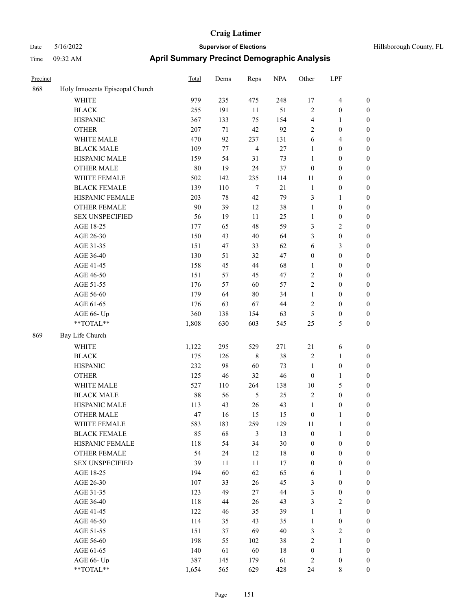| Hillsborough County. |  |
|----------------------|--|

| Precinct |                                 | <b>Total</b> | Dems | Reps             | <b>NPA</b> | Other            | LPF                     |                  |
|----------|---------------------------------|--------------|------|------------------|------------|------------------|-------------------------|------------------|
| 868      | Holy Innocents Episcopal Church |              |      |                  |            |                  |                         |                  |
|          | WHITE                           | 979          | 235  | 475              | 248        | 17               | $\overline{\mathbf{4}}$ | $\boldsymbol{0}$ |
|          | <b>BLACK</b>                    | 255          | 191  | 11               | 51         | $\sqrt{2}$       | $\boldsymbol{0}$        | $\boldsymbol{0}$ |
|          | <b>HISPANIC</b>                 | 367          | 133  | 75               | 154        | 4                | $\mathbf{1}$            | 0                |
|          | <b>OTHER</b>                    | 207          | 71   | 42               | 92         | 2                | $\boldsymbol{0}$        | 0                |
|          | WHITE MALE                      | 470          | 92   | 237              | 131        | 6                | $\overline{4}$          | $\boldsymbol{0}$ |
|          | <b>BLACK MALE</b>               | 109          | 77   | $\overline{4}$   | $27\,$     | $\mathbf{1}$     | $\boldsymbol{0}$        | $\boldsymbol{0}$ |
|          | HISPANIC MALE                   | 159          | 54   | 31               | 73         | $\mathbf{1}$     | $\boldsymbol{0}$        | $\boldsymbol{0}$ |
|          | OTHER MALE                      | 80           | 19   | 24               | 37         | $\boldsymbol{0}$ | $\boldsymbol{0}$        | $\boldsymbol{0}$ |
|          | WHITE FEMALE                    | 502          | 142  | 235              | 114        | 11               | $\boldsymbol{0}$        | $\boldsymbol{0}$ |
|          | <b>BLACK FEMALE</b>             | 139          | 110  | $\boldsymbol{7}$ | $21\,$     | $\mathbf{1}$     | $\boldsymbol{0}$        | $\boldsymbol{0}$ |
|          | HISPANIC FEMALE                 | 203          | 78   | 42               | 79         | 3                | 1                       | 0                |
|          | OTHER FEMALE                    | 90           | 39   | 12               | 38         | $\mathbf{1}$     | $\boldsymbol{0}$        | 0                |
|          | <b>SEX UNSPECIFIED</b>          | 56           | 19   | 11               | 25         | 1                | $\boldsymbol{0}$        | 0                |
|          | AGE 18-25                       | 177          | 65   | 48               | 59         | 3                | $\overline{c}$          | 0                |
|          | AGE 26-30                       | 150          | 43   | $40\,$           | 64         | 3                | $\boldsymbol{0}$        | $\boldsymbol{0}$ |
|          | AGE 31-35                       | 151          | 47   | 33               | 62         | 6                | 3                       | $\boldsymbol{0}$ |
|          | AGE 36-40                       | 130          | 51   | 32               | 47         | $\boldsymbol{0}$ | $\boldsymbol{0}$        | $\boldsymbol{0}$ |
|          | AGE 41-45                       | 158          | 45   | 44               | 68         | 1                | $\boldsymbol{0}$        | $\boldsymbol{0}$ |
|          | AGE 46-50                       | 151          | 57   | 45               | 47         | 2                | $\boldsymbol{0}$        | $\boldsymbol{0}$ |
|          | AGE 51-55                       | 176          | 57   | 60               | 57         | 2                | $\boldsymbol{0}$        | $\boldsymbol{0}$ |
|          | AGE 56-60                       | 179          | 64   | 80               | 34         | $\mathbf{1}$     | $\boldsymbol{0}$        | 0                |
|          | AGE 61-65                       | 176          | 63   | 67               | $44\,$     | 2                | $\boldsymbol{0}$        | 0                |
|          | AGE 66- Up                      | 360          | 138  | 154              | 63         | 5                | $\boldsymbol{0}$        | 0                |
|          | **TOTAL**                       | 1,808        | 630  | 603              | 545        | 25               | 5                       | $\boldsymbol{0}$ |
| 869      | Bay Life Church                 |              |      |                  |            |                  |                         |                  |
|          | <b>WHITE</b>                    | 1,122        | 295  | 529              | 271        | $21\,$           | 6                       | 0                |
|          | <b>BLACK</b>                    | 175          | 126  | 8                | 38         | $\sqrt{2}$       | $\mathbf{1}$            | $\boldsymbol{0}$ |
|          | <b>HISPANIC</b>                 | 232          | 98   | 60               | 73         | 1                | $\boldsymbol{0}$        | 0                |
|          | <b>OTHER</b>                    | 125          | 46   | 32               | 46         | $\boldsymbol{0}$ | 1                       | $\boldsymbol{0}$ |
|          | WHITE MALE                      | 527          | 110  | 264              | 138        | 10               | $\mathfrak{S}$          | $\boldsymbol{0}$ |
|          | <b>BLACK MALE</b>               | $88\,$       | 56   | 5                | 25         | 2                | $\boldsymbol{0}$        | $\boldsymbol{0}$ |
|          | HISPANIC MALE                   | 113          | 43   | 26               | 43         | $\mathbf{1}$     | $\boldsymbol{0}$        | 0                |
|          | <b>OTHER MALE</b>               | 47           | 16   | 15               | 15         | $\boldsymbol{0}$ | $\mathbf{1}$            | $\boldsymbol{0}$ |
|          | WHITE FEMALE                    | 583          | 183  | 259              | 129        | 11               | $\mathbf{1}$            | 0                |
|          | <b>BLACK FEMALE</b>             | 85           | 68   | 3                | 13         | $\boldsymbol{0}$ | $\mathbf{1}$            | 0                |
|          | HISPANIC FEMALE                 | 118          | 54   | 34               | $30\,$     | $\boldsymbol{0}$ | $\boldsymbol{0}$        | 0                |
|          | OTHER FEMALE                    | 54           | 24   | 12               | 18         | $\boldsymbol{0}$ | $\boldsymbol{0}$        | 0                |
|          | <b>SEX UNSPECIFIED</b>          | 39           | 11   | $11\,$           | 17         | $\boldsymbol{0}$ | $\boldsymbol{0}$        | $\overline{0}$   |
|          | AGE 18-25                       | 194          | 60   | 62               | 65         | 6                | $\mathbf{1}$            | $\overline{0}$   |
|          | AGE 26-30                       | 107          | 33   | 26               | 45         | 3                | $\boldsymbol{0}$        | 0                |
|          | AGE 31-35                       | 123          | 49   | 27               | 44         | 3                | $\boldsymbol{0}$        | 0                |
|          | AGE 36-40                       | 118          | 44   | 26               | 43         | 3                | $\overline{2}$          | 0                |
|          | AGE 41-45                       | 122          | 46   | 35               | 39         | $\mathbf{1}$     | $\mathbf{1}$            | 0                |
|          | AGE 46-50                       | 114          | 35   | 43               | 35         | $\mathbf{1}$     | $\boldsymbol{0}$        | 0                |
|          | AGE 51-55                       | 151          | 37   | 69               | $40\,$     | 3                | $\sqrt{2}$              | 0                |
|          | AGE 56-60                       | 198          | 55   | 102              | 38         | 2                | $\mathbf{1}$            | 0                |
|          | AGE 61-65                       | 140          | 61   | 60               | 18         | $\boldsymbol{0}$ | $\mathbf{1}$            | $\overline{0}$   |
|          | AGE 66- Up                      | 387          | 145  | 179              | 61         | $\overline{c}$   | $\boldsymbol{0}$        | 0                |
|          | **TOTAL**                       | 1,654        | 565  | 629              | 428        | 24               | $\,$ 8 $\,$             | $\boldsymbol{0}$ |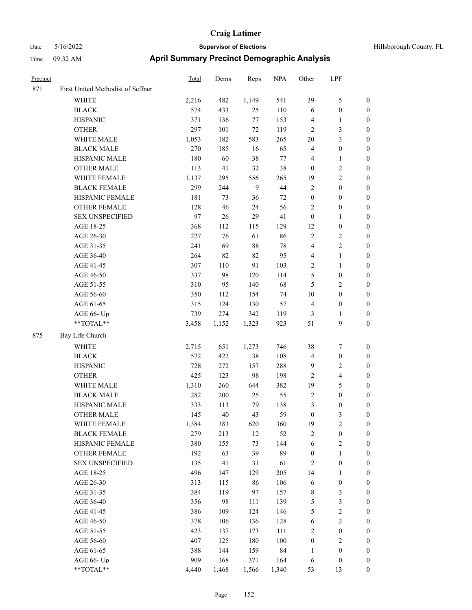| Precinct |                                   | <b>Total</b> | Dems  | Reps  | <b>NPA</b> | Other            | LPF                     |                  |
|----------|-----------------------------------|--------------|-------|-------|------------|------------------|-------------------------|------------------|
| 871      | First United Methodist of Seffner |              |       |       |            |                  |                         |                  |
|          | WHITE                             | 2,216        | 482   | 1,149 | 541        | 39               | 5                       | $\boldsymbol{0}$ |
|          | <b>BLACK</b>                      | 574          | 433   | 25    | 110        | 6                | $\boldsymbol{0}$        | $\boldsymbol{0}$ |
|          | <b>HISPANIC</b>                   | 371          | 136   | 77    | 153        | $\overline{4}$   | 1                       | $\boldsymbol{0}$ |
|          | <b>OTHER</b>                      | 297          | 101   | 72    | 119        | $\overline{2}$   | 3                       | $\boldsymbol{0}$ |
|          | WHITE MALE                        | 1,053        | 182   | 583   | 265        | 20               | 3                       | $\boldsymbol{0}$ |
|          | <b>BLACK MALE</b>                 | 270          | 185   | 16    | 65         | $\overline{4}$   | $\boldsymbol{0}$        | $\boldsymbol{0}$ |
|          | HISPANIC MALE                     | 180          | 60    | 38    | $77 \,$    | $\overline{4}$   | 1                       | $\boldsymbol{0}$ |
|          | <b>OTHER MALE</b>                 | 113          | 41    | 32    | 38         | $\mathbf{0}$     | $\overline{\mathbf{c}}$ | $\boldsymbol{0}$ |
|          | WHITE FEMALE                      | 1,137        | 295   | 556   | 265        | 19               | $\overline{c}$          | $\boldsymbol{0}$ |
|          | <b>BLACK FEMALE</b>               | 299          | 244   | 9     | 44         | $\sqrt{2}$       | $\boldsymbol{0}$        | $\boldsymbol{0}$ |
|          | HISPANIC FEMALE                   | 181          | 73    | 36    | 72         | $\boldsymbol{0}$ | $\boldsymbol{0}$        | $\boldsymbol{0}$ |
|          | <b>OTHER FEMALE</b>               | 128          | 46    | 24    | 56         | $\sqrt{2}$       | $\boldsymbol{0}$        | $\boldsymbol{0}$ |
|          | <b>SEX UNSPECIFIED</b>            | 97           | 26    | 29    | 41         | $\boldsymbol{0}$ | 1                       | $\boldsymbol{0}$ |
|          | AGE 18-25                         | 368          | 112   | 115   | 129        | 12               | $\boldsymbol{0}$        | $\boldsymbol{0}$ |
|          | AGE 26-30                         | 227          | 76    | 61    | 86         | $\sqrt{2}$       | 2                       | $\boldsymbol{0}$ |
|          | AGE 31-35                         | 241          | 69    | 88    | 78         | $\overline{4}$   | 2                       | $\boldsymbol{0}$ |
|          | AGE 36-40                         | 264          | 82    | 82    | 95         | $\overline{4}$   | 1                       | $\boldsymbol{0}$ |
|          | AGE 41-45                         | 307          | 110   | 91    | 103        | $\sqrt{2}$       | 1                       | $\boldsymbol{0}$ |
|          | AGE 46-50                         | 337          | 98    | 120   | 114        | 5                | $\boldsymbol{0}$        | $\boldsymbol{0}$ |
|          | AGE 51-55                         | 310          | 95    | 140   | 68         | 5                | 2                       | $\boldsymbol{0}$ |
|          | AGE 56-60                         | 350          | 112   | 154   | 74         | 10               | $\boldsymbol{0}$        | $\boldsymbol{0}$ |
|          | AGE 61-65                         | 315          | 124   | 130   | 57         | $\overline{4}$   | $\boldsymbol{0}$        | $\boldsymbol{0}$ |
|          | AGE 66- Up                        | 739          | 274   | 342   | 119        | 3                | 1                       | $\boldsymbol{0}$ |
|          | **TOTAL**                         | 3,458        | 1,152 | 1,323 | 923        | 51               | 9                       | $\boldsymbol{0}$ |
| 875      | Bay Life Church                   |              |       |       |            |                  |                         |                  |
|          | <b>WHITE</b>                      | 2,715        | 651   | 1,273 | 746        | 38               | 7                       | $\boldsymbol{0}$ |
|          | <b>BLACK</b>                      | 572          | 422   | 38    | 108        | $\overline{4}$   | $\boldsymbol{0}$        | $\boldsymbol{0}$ |
|          | <b>HISPANIC</b>                   | 728          | 272   | 157   | 288        | 9                | 2                       | $\boldsymbol{0}$ |
|          | <b>OTHER</b>                      | 425          | 123   | 98    | 198        | $\overline{2}$   | 4                       | $\boldsymbol{0}$ |
|          | WHITE MALE                        | 1,310        | 260   | 644   | 382        | 19               | 5                       | $\boldsymbol{0}$ |
|          | <b>BLACK MALE</b>                 | 282          | 200   | 25    | 55         | $\overline{2}$   | $\boldsymbol{0}$        | $\boldsymbol{0}$ |
|          | HISPANIC MALE                     | 333          | 113   | 79    | 138        | 3                | $\boldsymbol{0}$        | $\boldsymbol{0}$ |
|          | <b>OTHER MALE</b>                 | 145          | 40    | 43    | 59         | $\boldsymbol{0}$ | 3                       | $\boldsymbol{0}$ |
|          | WHITE FEMALE                      | 1,384        | 383   | 620   | 360        | 19               | $\overline{c}$          | $\boldsymbol{0}$ |
|          | <b>BLACK FEMALE</b>               | 279          | 213   | 12    | 52         | $\sqrt{2}$       | $\boldsymbol{0}$        | $\boldsymbol{0}$ |
|          | HISPANIC FEMALE                   | 380          | 155   | 73    | 144        | 6                | $\overline{\mathbf{c}}$ | $\boldsymbol{0}$ |
|          | OTHER FEMALE                      | 192          | 63    | 39    | 89         | $\boldsymbol{0}$ | $\mathbf{1}$            | $\boldsymbol{0}$ |
|          | <b>SEX UNSPECIFIED</b>            | 135          | 41    | 31    | 61         | $\sqrt{2}$       | $\boldsymbol{0}$        | $\boldsymbol{0}$ |
|          | AGE 18-25                         | 496          | 147   | 129   | 205        | 14               | 1                       | $\boldsymbol{0}$ |
|          | AGE 26-30                         | 313          | 115   | 86    | 106        | 6                | $\boldsymbol{0}$        | $\boldsymbol{0}$ |
|          | AGE 31-35                         | 384          | 119   | 97    | 157        | $\,$ 8 $\,$      | 3                       | $\boldsymbol{0}$ |
|          | AGE 36-40                         | 356          | 98    | 111   | 139        | $\mathfrak s$    | 3                       | $\boldsymbol{0}$ |
|          | AGE 41-45                         | 386          | 109   | 124   | 146        | $\sqrt{5}$       | $\overline{c}$          | $\boldsymbol{0}$ |
|          | AGE 46-50                         | 378          | 106   | 136   | 128        | 6                | $\sqrt{2}$              | $\boldsymbol{0}$ |
|          | AGE 51-55                         | 423          | 137   | 173   | 111        | $\sqrt{2}$       | $\boldsymbol{0}$        | $\boldsymbol{0}$ |
|          | AGE 56-60                         | 407          | 125   | 180   | 100        | $\boldsymbol{0}$ | $\mathbf{2}$            | $\boldsymbol{0}$ |
|          | AGE 61-65                         | 388          | 144   | 159   | 84         | $\mathbf{1}$     | $\boldsymbol{0}$        | $\boldsymbol{0}$ |
|          | AGE 66- Up                        | 909          | 368   | 371   | 164        | 6                | $\boldsymbol{0}$        | $\boldsymbol{0}$ |
|          | **TOTAL**                         | 4,440        | 1,468 | 1,566 | 1,340      | 53               | 13                      | $\boldsymbol{0}$ |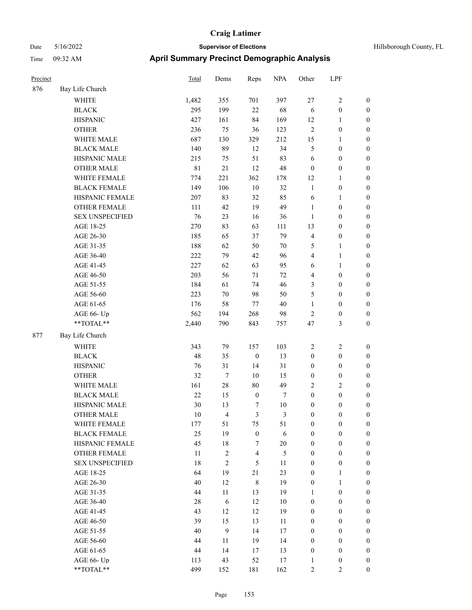| Hillsborough County, FL |  |  |
|-------------------------|--|--|
|-------------------------|--|--|

| Precinct |                        | Total       | Dems           | Reps             | <b>NPA</b> | Other            | LPF              |                  |
|----------|------------------------|-------------|----------------|------------------|------------|------------------|------------------|------------------|
| 876      | Bay Life Church        |             |                |                  |            |                  |                  |                  |
|          | <b>WHITE</b>           | 1,482       | 355            | 701              | 397        | 27               | 2                | $\boldsymbol{0}$ |
|          | <b>BLACK</b>           | 295         | 199            | $22\,$           | 68         | 6                | $\boldsymbol{0}$ | $\boldsymbol{0}$ |
|          | <b>HISPANIC</b>        | 427         | 161            | 84               | 169        | 12               | 1                | $\boldsymbol{0}$ |
|          | <b>OTHER</b>           | 236         | 75             | 36               | 123        | $\overline{2}$   | $\boldsymbol{0}$ | $\boldsymbol{0}$ |
|          | WHITE MALE             | 687         | 130            | 329              | 212        | 15               | 1                | $\boldsymbol{0}$ |
|          | <b>BLACK MALE</b>      | 140         | 89             | 12               | 34         | $\mathfrak{S}$   | $\boldsymbol{0}$ | $\boldsymbol{0}$ |
|          | HISPANIC MALE          | 215         | 75             | 51               | 83         | 6                | $\boldsymbol{0}$ | $\boldsymbol{0}$ |
|          | <b>OTHER MALE</b>      | $8\sqrt{1}$ | $21\,$         | 12               | 48         | $\boldsymbol{0}$ | $\boldsymbol{0}$ | $\boldsymbol{0}$ |
|          | WHITE FEMALE           | 774         | 221            | 362              | 178        | 12               | 1                | $\boldsymbol{0}$ |
|          | <b>BLACK FEMALE</b>    | 149         | 106            | $10\,$           | 32         | $\mathbf{1}$     | $\boldsymbol{0}$ | $\boldsymbol{0}$ |
|          | HISPANIC FEMALE        | 207         | 83             | 32               | 85         | 6                | 1                | $\boldsymbol{0}$ |
|          | <b>OTHER FEMALE</b>    | 111         | 42             | 19               | 49         | $\mathbf{1}$     | $\boldsymbol{0}$ | $\boldsymbol{0}$ |
|          | <b>SEX UNSPECIFIED</b> | 76          | 23             | 16               | 36         | $\mathbf{1}$     | $\boldsymbol{0}$ | $\boldsymbol{0}$ |
|          | AGE 18-25              | 270         | 83             | 63               | 111        | 13               | $\boldsymbol{0}$ | $\boldsymbol{0}$ |
|          | AGE 26-30              | 185         | 65             | 37               | 79         | $\overline{4}$   | $\boldsymbol{0}$ | $\boldsymbol{0}$ |
|          | AGE 31-35              | 188         | 62             | 50               | 70         | 5                | 1                | $\boldsymbol{0}$ |
|          | AGE 36-40              | 222         | 79             | 42               | 96         | $\overline{4}$   | 1                | $\boldsymbol{0}$ |
|          | AGE 41-45              | 227         | 62             | 63               | 95         | 6                | 1                | $\boldsymbol{0}$ |
|          | AGE 46-50              | 203         | 56             | 71               | $72\,$     | $\overline{4}$   | $\boldsymbol{0}$ | $\boldsymbol{0}$ |
|          | AGE 51-55              | 184         | 61             | 74               | 46         | 3                | $\boldsymbol{0}$ | $\boldsymbol{0}$ |
|          | AGE 56-60              | 223         | 70             | 98               | 50         | 5                | $\boldsymbol{0}$ | $\boldsymbol{0}$ |
|          | AGE 61-65              | 176         | 58             | $77 \,$          | 40         | $\mathbf{1}$     | $\boldsymbol{0}$ | $\boldsymbol{0}$ |
|          | AGE 66- Up             | 562         | 194            | 268              | 98         | $\sqrt{2}$       | $\boldsymbol{0}$ | $\boldsymbol{0}$ |
|          | **TOTAL**              | 2,440       | 790            | 843              | 757        | 47               | 3                | $\boldsymbol{0}$ |
| 877      | Bay Life Church        |             |                |                  |            |                  |                  |                  |
|          | <b>WHITE</b>           | 343         | 79             | 157              | 103        | $\overline{2}$   | $\overline{c}$   | $\boldsymbol{0}$ |
|          | <b>BLACK</b>           | 48          | 35             | $\boldsymbol{0}$ | 13         | $\boldsymbol{0}$ | $\boldsymbol{0}$ | $\boldsymbol{0}$ |
|          | <b>HISPANIC</b>        | 76          | 31             | 14               | 31         | $\boldsymbol{0}$ | $\boldsymbol{0}$ | $\boldsymbol{0}$ |
|          | <b>OTHER</b>           | 32          | $\tau$         | 10               | 15         | $\boldsymbol{0}$ | $\boldsymbol{0}$ | $\boldsymbol{0}$ |
|          | WHITE MALE             | 161         | 28             | $80\,$           | 49         | $\sqrt{2}$       | 2                | $\boldsymbol{0}$ |
|          | <b>BLACK MALE</b>      | 22          | 15             | $\boldsymbol{0}$ | $\tau$     | $\boldsymbol{0}$ | $\boldsymbol{0}$ | $\boldsymbol{0}$ |
|          | HISPANIC MALE          | 30          | 13             | 7                | 10         | $\boldsymbol{0}$ | $\boldsymbol{0}$ | $\boldsymbol{0}$ |
|          | <b>OTHER MALE</b>      | 10          | $\overline{4}$ | 3                | 3          | $\boldsymbol{0}$ | 0                | $\boldsymbol{0}$ |
|          | WHITE FEMALE           | 177         | 51             | 75               | 51         | $\boldsymbol{0}$ | $\boldsymbol{0}$ | $\mathbf{0}$     |
|          | <b>BLACK FEMALE</b>    | 25          | 19             | $\boldsymbol{0}$ | $\sqrt{6}$ | $\boldsymbol{0}$ | $\boldsymbol{0}$ | $\boldsymbol{0}$ |
|          | HISPANIC FEMALE        | 45          | 18             | $\tau$           | $20\,$     | $\boldsymbol{0}$ | $\boldsymbol{0}$ | $\boldsymbol{0}$ |
|          | OTHER FEMALE           | 11          | $\sqrt{2}$     | $\overline{4}$   | $\sqrt{5}$ | $\boldsymbol{0}$ | $\boldsymbol{0}$ | $\boldsymbol{0}$ |
|          | <b>SEX UNSPECIFIED</b> | 18          | $\overline{2}$ | 5                | 11         | $\boldsymbol{0}$ | $\boldsymbol{0}$ | $\boldsymbol{0}$ |
|          | AGE 18-25              | 64          | 19             | 21               | 23         | $\boldsymbol{0}$ | 1                | $\boldsymbol{0}$ |
|          | AGE 26-30              | 40          | 12             | $\,$ 8 $\,$      | 19         | $\boldsymbol{0}$ | $\mathbf{1}$     | $\boldsymbol{0}$ |
|          | AGE 31-35              | 44          | 11             | 13               | 19         | $\mathbf{1}$     | $\boldsymbol{0}$ | $\boldsymbol{0}$ |
|          | AGE 36-40              | 28          | $\sqrt{6}$     | 12               | $10\,$     | $\boldsymbol{0}$ | $\boldsymbol{0}$ | $\boldsymbol{0}$ |
|          | AGE 41-45              | 43          | 12             | 12               | 19         | $\boldsymbol{0}$ | $\boldsymbol{0}$ | $\boldsymbol{0}$ |
|          | AGE 46-50              | 39          | 15             | 13               | 11         | $\boldsymbol{0}$ | $\boldsymbol{0}$ | $\boldsymbol{0}$ |
|          | AGE 51-55              | 40          | $\mathbf{9}$   | 14               | 17         | $\boldsymbol{0}$ | $\boldsymbol{0}$ | $\boldsymbol{0}$ |
|          | AGE 56-60              | 44          | 11             | 19               | 14         | $\boldsymbol{0}$ | $\boldsymbol{0}$ | $\boldsymbol{0}$ |
|          | AGE 61-65              | 44          | 14             | 17               | 13         | $\boldsymbol{0}$ | $\boldsymbol{0}$ | $\boldsymbol{0}$ |
|          | AGE 66- Up             | 113         | 43             | 52               | 17         | $\mathbf{1}$     | $\boldsymbol{0}$ | $\mathbf{0}$     |
|          | $**TOTAL**$            | 499         | 152            | 181              | 162        | $\overline{2}$   | 2                | $\mathbf{0}$     |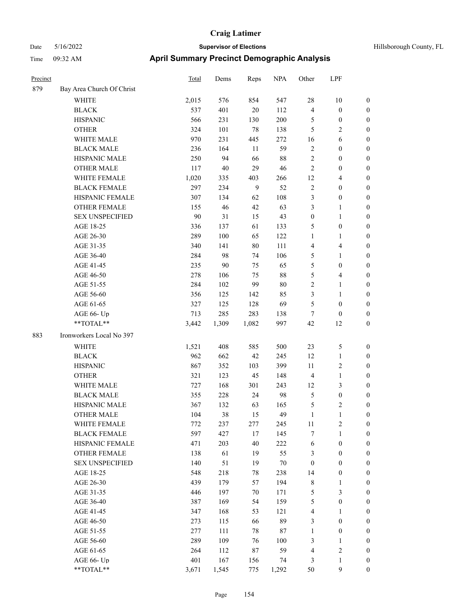| Precinct |                           | <b>Total</b> | Dems  | Reps   | <b>NPA</b> | Other            | LPF                     |                  |
|----------|---------------------------|--------------|-------|--------|------------|------------------|-------------------------|------------------|
| 879      | Bay Area Church Of Christ |              |       |        |            |                  |                         |                  |
|          | <b>WHITE</b>              | 2,015        | 576   | 854    | 547        | 28               | 10                      | $\boldsymbol{0}$ |
|          | <b>BLACK</b>              | 537          | 401   | 20     | 112        | $\overline{4}$   | $\boldsymbol{0}$        | $\boldsymbol{0}$ |
|          | <b>HISPANIC</b>           | 566          | 231   | 130    | 200        | 5                | $\boldsymbol{0}$        | $\boldsymbol{0}$ |
|          | <b>OTHER</b>              | 324          | 101   | 78     | 138        | 5                | 2                       | $\boldsymbol{0}$ |
|          | WHITE MALE                | 970          | 231   | 445    | 272        | 16               | 6                       | $\boldsymbol{0}$ |
|          | <b>BLACK MALE</b>         | 236          | 164   | 11     | 59         | $\sqrt{2}$       | $\boldsymbol{0}$        | $\boldsymbol{0}$ |
|          | HISPANIC MALE             | 250          | 94    | 66     | 88         | $\sqrt{2}$       | $\boldsymbol{0}$        | $\boldsymbol{0}$ |
|          | <b>OTHER MALE</b>         | 117          | 40    | 29     | 46         | $\overline{2}$   | $\boldsymbol{0}$        | $\boldsymbol{0}$ |
|          | WHITE FEMALE              | 1,020        | 335   | 403    | 266        | 12               | 4                       | $\boldsymbol{0}$ |
|          | <b>BLACK FEMALE</b>       | 297          | 234   | 9      | 52         | $\overline{2}$   | $\boldsymbol{0}$        | $\boldsymbol{0}$ |
|          | HISPANIC FEMALE           | 307          | 134   | 62     | 108        | $\mathfrak{Z}$   | $\boldsymbol{0}$        | $\boldsymbol{0}$ |
|          | <b>OTHER FEMALE</b>       | 155          | 46    | 42     | 63         | $\mathfrak{Z}$   | 1                       | $\boldsymbol{0}$ |
|          | <b>SEX UNSPECIFIED</b>    | 90           | 31    | 15     | 43         | $\boldsymbol{0}$ | 1                       | $\boldsymbol{0}$ |
|          | AGE 18-25                 | 336          | 137   | 61     | 133        | 5                | $\boldsymbol{0}$        | $\boldsymbol{0}$ |
|          | AGE 26-30                 | 289          | 100   | 65     | 122        | $\mathbf{1}$     | 1                       | $\boldsymbol{0}$ |
|          | AGE 31-35                 | 340          | 141   | 80     | 111        | $\overline{4}$   | 4                       | $\boldsymbol{0}$ |
|          | AGE 36-40                 | 284          | 98    | 74     | 106        | 5                | 1                       | $\boldsymbol{0}$ |
|          | AGE 41-45                 | 235          | 90    | 75     | 65         | 5                | $\boldsymbol{0}$        | $\boldsymbol{0}$ |
|          | AGE 46-50                 | 278          | 106   | 75     | 88         | 5                | 4                       | $\boldsymbol{0}$ |
|          | AGE 51-55                 | 284          | 102   | 99     | 80         | $\overline{2}$   | $\mathbf{1}$            | $\boldsymbol{0}$ |
|          | AGE 56-60                 | 356          | 125   | 142    | 85         | 3                | 1                       | $\boldsymbol{0}$ |
|          | AGE 61-65                 | 327          | 125   | 128    | 69         | 5                | $\boldsymbol{0}$        | $\boldsymbol{0}$ |
|          | AGE 66- Up                | 713          | 285   | 283    | 138        | $\tau$           | $\theta$                | $\boldsymbol{0}$ |
|          | **TOTAL**                 | 3,442        | 1,309 | 1,082  | 997        | 42               | 12                      | $\boldsymbol{0}$ |
| 883      | Ironworkers Local No 397  |              |       |        |            |                  |                         |                  |
|          | <b>WHITE</b>              | 1,521        | 408   | 585    | 500        | 23               | 5                       | $\boldsymbol{0}$ |
|          | <b>BLACK</b>              | 962          | 662   | 42     | 245        | 12               | 1                       | $\boldsymbol{0}$ |
|          | <b>HISPANIC</b>           | 867          | 352   | 103    | 399        | 11               | $\overline{\mathbf{c}}$ | $\boldsymbol{0}$ |
|          | <b>OTHER</b>              | 321          | 123   | 45     | 148        | $\overline{4}$   | 1                       | $\boldsymbol{0}$ |
|          | WHITE MALE                | 727          | 168   | 301    | 243        | 12               | 3                       | $\boldsymbol{0}$ |
|          | <b>BLACK MALE</b>         | 355          | 228   | 24     | 98         | $\mathfrak{S}$   | $\boldsymbol{0}$        | $\boldsymbol{0}$ |
|          | HISPANIC MALE             | 367          | 132   | 63     | 165        | 5                | 2                       | $\boldsymbol{0}$ |
|          | OTHER MALE                | 104          | 38    | 15     | 49         | 1                | 1                       | 0                |
|          | WHITE FEMALE              | 772          | 237   | 277    | 245        | 11               | 2                       | $\boldsymbol{0}$ |
|          | <b>BLACK FEMALE</b>       | 597          | 427   | 17     | 145        | $\boldsymbol{7}$ | $\mathbf{1}$            | $\boldsymbol{0}$ |
|          | HISPANIC FEMALE           | 471          | 203   | 40     | 222        | 6                | $\boldsymbol{0}$        | $\boldsymbol{0}$ |
|          | <b>OTHER FEMALE</b>       | 138          | 61    | 19     | 55         | $\mathfrak{Z}$   | $\boldsymbol{0}$        | $\boldsymbol{0}$ |
|          | <b>SEX UNSPECIFIED</b>    | 140          | 51    | 19     | $70\,$     | $\boldsymbol{0}$ | $\boldsymbol{0}$        | $\boldsymbol{0}$ |
|          | AGE 18-25                 | 548          | 218   | 78     | 238        | 14               | $\boldsymbol{0}$        | $\boldsymbol{0}$ |
|          | AGE 26-30                 | 439          | 179   | 57     | 194        | $\,$ 8 $\,$      | 1                       | $\boldsymbol{0}$ |
|          | AGE 31-35                 | 446          | 197   | 70     | 171        | $\sqrt{5}$       | 3                       | $\boldsymbol{0}$ |
|          | AGE 36-40                 | 387          | 169   | 54     | 159        | $\mathfrak{S}$   | $\boldsymbol{0}$        | $\boldsymbol{0}$ |
|          | AGE 41-45                 | 347          | 168   | 53     | 121        | $\overline{4}$   | 1                       | $\boldsymbol{0}$ |
|          | AGE 46-50                 | 273          | 115   | 66     | 89         | $\mathfrak{Z}$   | $\boldsymbol{0}$        | $\boldsymbol{0}$ |
|          | AGE 51-55                 | 277          | 111   | $78\,$ | $87\,$     | $\mathbf{1}$     | $\boldsymbol{0}$        | $\boldsymbol{0}$ |
|          | AGE 56-60                 | 289          | 109   | 76     | 100        | 3                | $\mathbf{1}$            | $\boldsymbol{0}$ |
|          | AGE 61-65                 | 264          | 112   | 87     | 59         | $\overline{4}$   | $\mathbf{2}$            | $\boldsymbol{0}$ |
|          | AGE 66- Up                | 401          | 167   | 156    | 74         | $\mathfrak{Z}$   | 1                       | $\bf{0}$         |
|          | **TOTAL**                 | 3,671        | 1,545 | 775    | 1,292      | 50               | 9                       | $\boldsymbol{0}$ |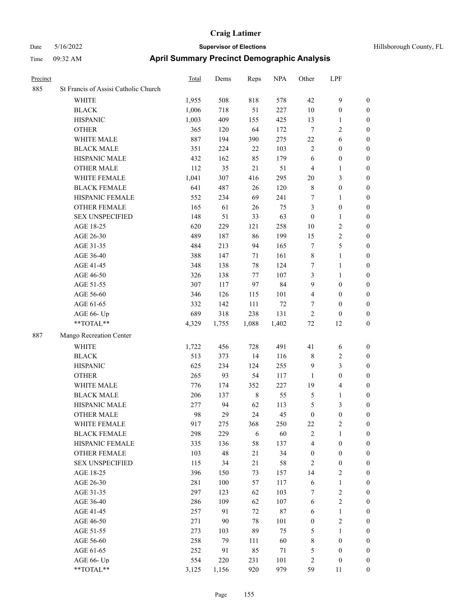| Precinct |                                      | Total | Dems  | Reps        | <b>NPA</b> | Other            | LPF                     |                  |
|----------|--------------------------------------|-------|-------|-------------|------------|------------------|-------------------------|------------------|
| 885      | St Francis of Assisi Catholic Church |       |       |             |            |                  |                         |                  |
|          | <b>WHITE</b>                         | 1,955 | 508   | 818         | 578        | 42               | $\mathbf{9}$            | $\boldsymbol{0}$ |
|          | <b>BLACK</b>                         | 1,006 | 718   | 51          | 227        | 10               | $\boldsymbol{0}$        | $\boldsymbol{0}$ |
|          | <b>HISPANIC</b>                      | 1,003 | 409   | 155         | 425        | 13               | $\mathbf{1}$            | $\boldsymbol{0}$ |
|          | <b>OTHER</b>                         | 365   | 120   | 64          | 172        | $\tau$           | $\sqrt{2}$              | 0                |
|          | WHITE MALE                           | 887   | 194   | 390         | 275        | $22\,$           | 6                       | 0                |
|          | <b>BLACK MALE</b>                    | 351   | 224   | $22\,$      | 103        | $\overline{c}$   | $\boldsymbol{0}$        | $\boldsymbol{0}$ |
|          | HISPANIC MALE                        | 432   | 162   | 85          | 179        | 6                | $\boldsymbol{0}$        | $\boldsymbol{0}$ |
|          | <b>OTHER MALE</b>                    | 112   | 35    | 21          | 51         | 4                | $\mathbf{1}$            | $\boldsymbol{0}$ |
|          | WHITE FEMALE                         | 1,041 | 307   | 416         | 295        | $20\,$           | $\mathfrak{Z}$          | $\boldsymbol{0}$ |
|          | <b>BLACK FEMALE</b>                  | 641   | 487   | 26          | 120        | $\,$ 8 $\,$      | $\boldsymbol{0}$        | $\boldsymbol{0}$ |
|          | HISPANIC FEMALE                      | 552   | 234   | 69          | 241        | 7                | $\mathbf{1}$            | $\boldsymbol{0}$ |
|          | <b>OTHER FEMALE</b>                  | 165   | 61    | 26          | 75         | 3                | $\boldsymbol{0}$        | $\boldsymbol{0}$ |
|          | <b>SEX UNSPECIFIED</b>               | 148   | 51    | 33          | 63         | $\boldsymbol{0}$ | $\mathbf{1}$            | $\boldsymbol{0}$ |
|          | AGE 18-25                            | 620   | 229   | 121         | 258        | 10               | $\sqrt{2}$              | 0                |
|          | AGE 26-30                            | 489   | 187   | 86          | 199        | 15               | $\sqrt{2}$              | 0                |
|          | AGE 31-35                            | 484   | 213   | 94          | 165        | 7                | $\mathfrak{S}$          | 0                |
|          | AGE 36-40                            | 388   | 147   | 71          | 161        | $\,$ 8 $\,$      | $\mathbf{1}$            | $\boldsymbol{0}$ |
|          | AGE 41-45                            | 348   | 138   | 78          | 124        | 7                | $\mathbf{1}$            | $\boldsymbol{0}$ |
|          | AGE 46-50                            | 326   | 138   | 77          | 107        | 3                | $\mathbf{1}$            | $\boldsymbol{0}$ |
|          | AGE 51-55                            | 307   | 117   | 97          | 84         | 9                | $\boldsymbol{0}$        | $\boldsymbol{0}$ |
|          | AGE 56-60                            | 346   | 126   | 115         | 101        | 4                | $\boldsymbol{0}$        | $\boldsymbol{0}$ |
|          | AGE 61-65                            | 332   | 142   | 111         | 72         | 7                | $\boldsymbol{0}$        | $\boldsymbol{0}$ |
|          | AGE 66- Up                           | 689   | 318   | 238         | 131        | $\mathfrak{2}$   | $\boldsymbol{0}$        | 0                |
|          | $**TOTAL**$                          | 4,329 | 1,755 | 1,088       | 1,402      | $72\,$           | 12                      | 0                |
| 887      | Mango Recreation Center              |       |       |             |            |                  |                         |                  |
|          | WHITE                                | 1,722 | 456   | 728         | 491        | 41               | 6                       | 0                |
|          | <b>BLACK</b>                         | 513   | 373   | 14          | 116        | 8                | $\overline{c}$          | 0                |
|          | <b>HISPANIC</b>                      | 625   | 234   | 124         | 255        | $\overline{9}$   | $\mathfrak{Z}$          | 0                |
|          | <b>OTHER</b>                         | 265   | 93    | 54          | 117        | 1                | $\boldsymbol{0}$        | $\boldsymbol{0}$ |
|          | WHITE MALE                           | 776   | 174   | 352         | 227        | 19               | $\overline{\mathbf{4}}$ | $\boldsymbol{0}$ |
|          | <b>BLACK MALE</b>                    | 206   | 137   | $\,$ 8 $\,$ | 55         | 5                | $\mathbf{1}$            | $\boldsymbol{0}$ |
|          | HISPANIC MALE                        | 277   | 94    | 62          | 113        | 5                | 3                       | $\boldsymbol{0}$ |
|          | <b>OTHER MALE</b>                    | 98    | 29    | 24          | 45         | $\boldsymbol{0}$ | $\boldsymbol{0}$        | $\boldsymbol{0}$ |
|          | WHITE FEMALE                         | 917   | 275   | 368         | 250        | $22\,$           | $\overline{2}$          | $\boldsymbol{0}$ |
|          | <b>BLACK FEMALE</b>                  | 298   | 229   | 6           | 60         | $\sqrt{2}$       | $\mathbf{1}$            | 0                |
|          | HISPANIC FEMALE                      | 335   | 136   | 58          | 137        | 4                | $\boldsymbol{0}$        | 0                |
|          | <b>OTHER FEMALE</b>                  | 103   | 48    | 21          | 34         | $\boldsymbol{0}$ | $\boldsymbol{0}$        | 0                |
|          | <b>SEX UNSPECIFIED</b>               | 115   | 34    | 21          | 58         | $\overline{2}$   | $\boldsymbol{0}$        | 0                |
|          | AGE 18-25                            | 396   | 150   | 73          | 157        | 14               | $\sqrt{2}$              | $\overline{0}$   |
|          | AGE 26-30                            | 281   | 100   | 57          | 117        | 6                | $\mathbf{1}$            | $\boldsymbol{0}$ |
|          | AGE 31-35                            | 297   | 123   | 62          | 103        | 7                | $\sqrt{2}$              | $\overline{0}$   |
|          | AGE 36-40                            | 286   | 109   | 62          | 107        | 6                | $\sqrt{2}$              | 0                |
|          | AGE 41-45                            | 257   | 91    | $72\,$      | $87\,$     | 6                | $\mathbf{1}$            | $\overline{0}$   |
|          | AGE 46-50                            | 271   | 90    | $78\,$      | 101        | $\boldsymbol{0}$ | $\overline{2}$          | $\overline{0}$   |
|          | AGE 51-55                            | 273   | 103   | 89          | 75         | 5                | $\mathbf{1}$            | $\boldsymbol{0}$ |
|          | AGE 56-60                            | 258   | 79    | 111         | 60         | 8                | $\boldsymbol{0}$        | 0                |
|          | AGE 61-65                            | 252   | 91    | 85          | 71         | 5                | $\boldsymbol{0}$        | 0                |
|          | AGE 66- Up                           | 554   | 220   | 231         | 101        | $\overline{c}$   | $\boldsymbol{0}$        | 0                |
|          | $**TOTAL**$                          | 3,125 | 1,156 | 920         | 979        | 59               | $11\,$                  | $\boldsymbol{0}$ |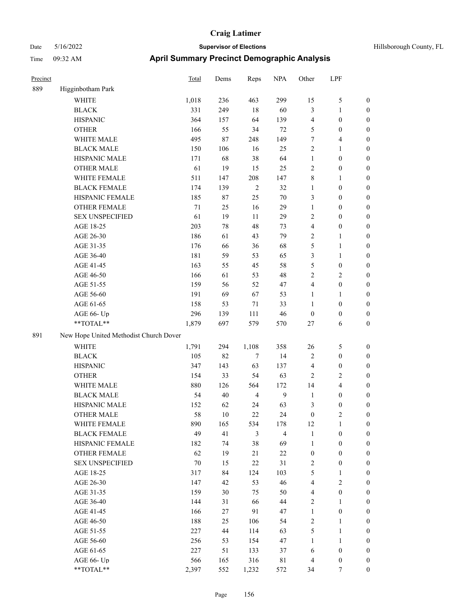| Hillsborough County, FL |  |  |
|-------------------------|--|--|
|-------------------------|--|--|

| Precinct |                                                             | Total  | Dems   | Reps           | <b>NPA</b>     | Other            | LPF              |                  |
|----------|-------------------------------------------------------------|--------|--------|----------------|----------------|------------------|------------------|------------------|
| 889      | Higginbotham Park                                           |        |        |                |                |                  |                  |                  |
|          | <b>WHITE</b>                                                | 1,018  | 236    | 463            | 299            | 15               | 5                | $\boldsymbol{0}$ |
|          | <b>BLACK</b>                                                | 331    | 249    | $18\,$         | 60             | $\mathfrak{Z}$   | 1                | $\boldsymbol{0}$ |
|          | <b>HISPANIC</b>                                             | 364    | 157    | 64             | 139            | $\overline{4}$   | $\boldsymbol{0}$ | $\boldsymbol{0}$ |
|          | <b>OTHER</b>                                                | 166    | 55     | 34             | $72\,$         | 5                | $\boldsymbol{0}$ | $\boldsymbol{0}$ |
|          | WHITE MALE                                                  | 495    | $87\,$ | 248            | 149            | 7                | 4                | $\boldsymbol{0}$ |
|          | <b>BLACK MALE</b>                                           | 150    | 106    | 16             | 25             | $\sqrt{2}$       | 1                | $\boldsymbol{0}$ |
|          | HISPANIC MALE                                               | 171    | 68     | 38             | 64             | $\mathbf{1}$     | $\boldsymbol{0}$ | $\boldsymbol{0}$ |
|          | <b>OTHER MALE</b>                                           | 61     | 19     | 15             | 25             | $\sqrt{2}$       | $\boldsymbol{0}$ | $\boldsymbol{0}$ |
|          | WHITE FEMALE                                                | 511    | 147    | 208            | 147            | $\,$ 8 $\,$      | 1                | $\boldsymbol{0}$ |
|          | <b>BLACK FEMALE</b>                                         | 174    | 139    | $\overline{2}$ | 32             | $\mathbf{1}$     | 0                | $\boldsymbol{0}$ |
|          | HISPANIC FEMALE                                             | 185    | 87     | 25             | 70             | 3                | $\boldsymbol{0}$ | $\boldsymbol{0}$ |
|          | <b>OTHER FEMALE</b>                                         | 71     | 25     | 16             | 29             | $\mathbf{1}$     | $\boldsymbol{0}$ | $\boldsymbol{0}$ |
|          | <b>SEX UNSPECIFIED</b>                                      | 61     | 19     | 11             | 29             | $\overline{c}$   | $\boldsymbol{0}$ | $\boldsymbol{0}$ |
|          | AGE 18-25                                                   | 203    | 78     | 48             | 73             | $\overline{4}$   | $\boldsymbol{0}$ | $\boldsymbol{0}$ |
|          | AGE 26-30                                                   | 186    | 61     | 43             | 79             | $\sqrt{2}$       | 1                | $\boldsymbol{0}$ |
|          | AGE 31-35                                                   | 176    | 66     | 36             | 68             | 5                | 1                | $\boldsymbol{0}$ |
|          | AGE 36-40                                                   | 181    | 59     | 53             | 65             | 3                | 1                | $\boldsymbol{0}$ |
|          | AGE 41-45                                                   | 163    | 55     | 45             | 58             | 5                | $\boldsymbol{0}$ | $\boldsymbol{0}$ |
|          | AGE 46-50                                                   | 166    | 61     | 53             | 48             | $\sqrt{2}$       | 2                | $\boldsymbol{0}$ |
|          | AGE 51-55                                                   | 159    | 56     | 52             | 47             | $\overline{4}$   | $\boldsymbol{0}$ | $\boldsymbol{0}$ |
|          | AGE 56-60                                                   | 191    | 69     | 67             | 53             | $\mathbf{1}$     | 1                | $\boldsymbol{0}$ |
|          | AGE 61-65                                                   | 158    | 53     | 71             | 33             | 1                | $\boldsymbol{0}$ | $\boldsymbol{0}$ |
|          | AGE 66- Up                                                  | 296    | 139    | 111            | 46             | $\boldsymbol{0}$ | $\boldsymbol{0}$ | $\boldsymbol{0}$ |
|          | **TOTAL**                                                   | 1,879  | 697    | 579            | 570            | 27               | 6                | $\boldsymbol{0}$ |
| 891      | New Hope United Methodist Church Dover                      |        |        |                |                |                  |                  |                  |
|          | <b>WHITE</b>                                                | 1,791  | 294    | 1,108          | 358            | 26               | 5                | $\boldsymbol{0}$ |
|          | <b>BLACK</b>                                                | 105    | 82     | $\tau$         | 14             | $\sqrt{2}$       | $\boldsymbol{0}$ | $\boldsymbol{0}$ |
|          | <b>HISPANIC</b>                                             | 347    | 143    | 63             | 137            | $\overline{4}$   | $\boldsymbol{0}$ | $\boldsymbol{0}$ |
|          | <b>OTHER</b>                                                | 154    | 33     | 54             | 63             | $\overline{2}$   | 2                | $\boldsymbol{0}$ |
|          | WHITE MALE                                                  | 880    | 126    | 564            | 172            | 14               | 4                | $\boldsymbol{0}$ |
|          | <b>BLACK MALE</b>                                           | 54     | $40\,$ | $\overline{4}$ | 9              | 1                | $\boldsymbol{0}$ | $\boldsymbol{0}$ |
|          | HISPANIC MALE                                               | 152    | 62     | 24             | 63             | $\mathfrak{Z}$   | 0                | $\boldsymbol{0}$ |
|          | <b>OTHER MALE</b>                                           | 58     | 10     | 22             | 24             | $\boldsymbol{0}$ | 2                | $\boldsymbol{0}$ |
|          | WHITE FEMALE                                                | 890    | 165    | 534            | 178            | 12               | $\mathbf{1}$     | $\boldsymbol{0}$ |
|          | <b>BLACK FEMALE</b>                                         | 49     | 41     | 3              | $\overline{4}$ | $\mathbf{1}$     | $\boldsymbol{0}$ | $\boldsymbol{0}$ |
|          | HISPANIC FEMALE                                             | 182    | 74     | 38             | 69             | $\mathbf{1}$     | $\boldsymbol{0}$ | $\boldsymbol{0}$ |
|          | <b>OTHER FEMALE</b>                                         | 62     | 19     | 21             | $22\,$         | $\boldsymbol{0}$ | $\boldsymbol{0}$ | $\boldsymbol{0}$ |
|          | <b>SEX UNSPECIFIED</b>                                      | $70\,$ | 15     | $22\,$         | 31             | $\sqrt{2}$       | $\boldsymbol{0}$ | $\boldsymbol{0}$ |
|          | AGE 18-25                                                   | 317    | 84     | 124            | 103            | $\mathfrak{S}$   | $\mathbf{1}$     | $\boldsymbol{0}$ |
|          | AGE 26-30                                                   | 147    | 42     | 53             | 46             | $\overline{4}$   | $\mathbf{2}$     | $\boldsymbol{0}$ |
|          | AGE 31-35                                                   | 159    | 30     | 75             | 50             | $\overline{4}$   | $\boldsymbol{0}$ | $\boldsymbol{0}$ |
|          | AGE 36-40                                                   | 144    | 31     | 66             | 44             | $\sqrt{2}$       | $\mathbf{1}$     | $\boldsymbol{0}$ |
|          | AGE 41-45                                                   | 166    | 27     | 91             | 47             | $\mathbf{1}$     | $\boldsymbol{0}$ | $\boldsymbol{0}$ |
|          | AGE 46-50                                                   | 188    | 25     | 106            | 54             | $\sqrt{2}$       | $\mathbf{1}$     | $\boldsymbol{0}$ |
|          | AGE 51-55                                                   | 227    | 44     | 114            | 63             | $\sqrt{5}$       | $\mathbf{1}$     | $\boldsymbol{0}$ |
|          | AGE 56-60                                                   | 256    | 53     | 154            | 47             | $\mathbf{1}$     | $\mathbf{1}$     | $\boldsymbol{0}$ |
|          | AGE 61-65                                                   | 227    | 51     | 133            | 37             | 6                | $\boldsymbol{0}$ | $\boldsymbol{0}$ |
|          | AGE 66- Up                                                  | 566    | 165    | 316            | $8\sqrt{1}$    | $\overline{4}$   | $\boldsymbol{0}$ | $\boldsymbol{0}$ |
|          | $\mathrm{*}\mathrm{*} \mathrm{TOTAL} \mathrm{*} \mathrm{*}$ | 2,397  | 552    | 1,232          | 572            | 34               | 7                | $\boldsymbol{0}$ |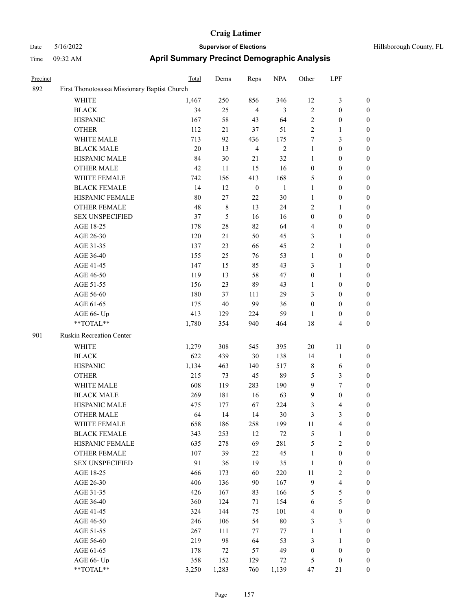| Precinct |                                              | Total | Dems   | Reps             | <b>NPA</b>     | Other            | LPF                                                                                                                                                                                                                                                                                                                                                                                                                                                                                                                                                                                                      |                  |
|----------|----------------------------------------------|-------|--------|------------------|----------------|------------------|----------------------------------------------------------------------------------------------------------------------------------------------------------------------------------------------------------------------------------------------------------------------------------------------------------------------------------------------------------------------------------------------------------------------------------------------------------------------------------------------------------------------------------------------------------------------------------------------------------|------------------|
| 892      | First Thonotosassa Missionary Baptist Church |       |        |                  |                |                  | 3<br>$\boldsymbol{0}$<br>$\boldsymbol{0}$<br>1<br>3<br>$\boldsymbol{0}$<br>$\boldsymbol{0}$<br>$\boldsymbol{0}$<br>$\boldsymbol{0}$<br>$\boldsymbol{0}$<br>$\boldsymbol{0}$<br>1<br>$\boldsymbol{0}$<br>$\boldsymbol{0}$<br>1<br>1<br>$\boldsymbol{0}$<br>1<br>1<br>$\boldsymbol{0}$<br>$\boldsymbol{0}$<br>$\boldsymbol{0}$<br>$\boldsymbol{0}$<br>4<br>11<br>1<br>6<br>3<br>7<br>$\boldsymbol{0}$<br>4<br>3<br>4<br>1<br>$\overline{c}$<br>$\boldsymbol{0}$<br>$\boldsymbol{0}$<br>2<br>$\overline{\mathbf{4}}$<br>5<br>5<br>$\boldsymbol{0}$<br>3<br>$\mathbf{1}$<br>$\mathbf{1}$<br>$\boldsymbol{0}$ |                  |
|          | WHITE                                        | 1,467 | 250    | 856              | 346            | 12               |                                                                                                                                                                                                                                                                                                                                                                                                                                                                                                                                                                                                          | $\boldsymbol{0}$ |
|          | <b>BLACK</b>                                 | 34    | 25     | $\overline{4}$   | 3              | $\overline{2}$   |                                                                                                                                                                                                                                                                                                                                                                                                                                                                                                                                                                                                          | $\boldsymbol{0}$ |
|          | <b>HISPANIC</b>                              | 167   | 58     | 43               | 64             | $\overline{2}$   |                                                                                                                                                                                                                                                                                                                                                                                                                                                                                                                                                                                                          | $\boldsymbol{0}$ |
|          | <b>OTHER</b>                                 | 112   | 21     | 37               | 51             | $\sqrt{2}$       |                                                                                                                                                                                                                                                                                                                                                                                                                                                                                                                                                                                                          | $\boldsymbol{0}$ |
|          | WHITE MALE                                   | 713   | 92     | 436              | 175            | $\tau$           |                                                                                                                                                                                                                                                                                                                                                                                                                                                                                                                                                                                                          | $\boldsymbol{0}$ |
|          | <b>BLACK MALE</b>                            | 20    | 13     | $\overline{4}$   | $\overline{c}$ | $\mathbf{1}$     |                                                                                                                                                                                                                                                                                                                                                                                                                                                                                                                                                                                                          | $\boldsymbol{0}$ |
|          | HISPANIC MALE                                | 84    | 30     | 21               | 32             | 1                |                                                                                                                                                                                                                                                                                                                                                                                                                                                                                                                                                                                                          | $\boldsymbol{0}$ |
|          | <b>OTHER MALE</b>                            | 42    | 11     | 15               | 16             | $\boldsymbol{0}$ |                                                                                                                                                                                                                                                                                                                                                                                                                                                                                                                                                                                                          | $\boldsymbol{0}$ |
|          | WHITE FEMALE                                 | 742   | 156    | 413              | 168            | 5                |                                                                                                                                                                                                                                                                                                                                                                                                                                                                                                                                                                                                          | $\boldsymbol{0}$ |
|          | <b>BLACK FEMALE</b>                          | 14    | 12     | $\boldsymbol{0}$ | $\mathbf{1}$   | $\mathbf{1}$     |                                                                                                                                                                                                                                                                                                                                                                                                                                                                                                                                                                                                          | $\boldsymbol{0}$ |
|          | HISPANIC FEMALE                              | 80    | 27     | 22               | 30             | $\mathbf{1}$     |                                                                                                                                                                                                                                                                                                                                                                                                                                                                                                                                                                                                          | $\boldsymbol{0}$ |
|          | <b>OTHER FEMALE</b>                          | 48    | 8      | 13               | 24             | $\overline{2}$   |                                                                                                                                                                                                                                                                                                                                                                                                                                                                                                                                                                                                          | $\boldsymbol{0}$ |
|          | <b>SEX UNSPECIFIED</b>                       | 37    | 5      | 16               | 16             | $\boldsymbol{0}$ |                                                                                                                                                                                                                                                                                                                                                                                                                                                                                                                                                                                                          | $\boldsymbol{0}$ |
|          | AGE 18-25                                    | 178   | 28     | 82               | 64             | $\overline{4}$   |                                                                                                                                                                                                                                                                                                                                                                                                                                                                                                                                                                                                          | $\boldsymbol{0}$ |
|          | AGE 26-30                                    | 120   | 21     | 50               | 45             | 3                |                                                                                                                                                                                                                                                                                                                                                                                                                                                                                                                                                                                                          | $\boldsymbol{0}$ |
|          | AGE 31-35                                    | 137   | 23     | 66               | 45             | $\sqrt{2}$       |                                                                                                                                                                                                                                                                                                                                                                                                                                                                                                                                                                                                          | $\boldsymbol{0}$ |
|          | AGE 36-40                                    | 155   | 25     | 76               | 53             | 1                |                                                                                                                                                                                                                                                                                                                                                                                                                                                                                                                                                                                                          | $\boldsymbol{0}$ |
|          | AGE 41-45                                    | 147   | 15     | 85               | 43             | 3                |                                                                                                                                                                                                                                                                                                                                                                                                                                                                                                                                                                                                          | $\boldsymbol{0}$ |
|          | AGE 46-50                                    | 119   | 13     | 58               | 47             | $\boldsymbol{0}$ |                                                                                                                                                                                                                                                                                                                                                                                                                                                                                                                                                                                                          | $\boldsymbol{0}$ |
|          | AGE 51-55                                    | 156   | 23     | 89               | 43             | 1                |                                                                                                                                                                                                                                                                                                                                                                                                                                                                                                                                                                                                          | $\boldsymbol{0}$ |
|          | AGE 56-60                                    | 180   | 37     | 111              | 29             | 3                |                                                                                                                                                                                                                                                                                                                                                                                                                                                                                                                                                                                                          | $\boldsymbol{0}$ |
|          | AGE 61-65                                    | 175   | $40\,$ | 99               | 36             | $\mathbf{0}$     |                                                                                                                                                                                                                                                                                                                                                                                                                                                                                                                                                                                                          | $\boldsymbol{0}$ |
|          | AGE 66- Up                                   | 413   | 129    | 224              | 59             | 1                |                                                                                                                                                                                                                                                                                                                                                                                                                                                                                                                                                                                                          | $\boldsymbol{0}$ |
|          | **TOTAL**                                    | 1,780 | 354    | 940              | 464            | 18               |                                                                                                                                                                                                                                                                                                                                                                                                                                                                                                                                                                                                          | $\boldsymbol{0}$ |
| 901      | Ruskin Recreation Center                     |       |        |                  |                |                  |                                                                                                                                                                                                                                                                                                                                                                                                                                                                                                                                                                                                          |                  |
|          | <b>WHITE</b>                                 | 1,279 | 308    | 545              | 395            | 20               |                                                                                                                                                                                                                                                                                                                                                                                                                                                                                                                                                                                                          | $\boldsymbol{0}$ |
|          | <b>BLACK</b>                                 | 622   | 439    | 30               | 138            | 14               |                                                                                                                                                                                                                                                                                                                                                                                                                                                                                                                                                                                                          | $\boldsymbol{0}$ |
|          | <b>HISPANIC</b>                              | 1,134 | 463    | 140              | 517            | $\,$ 8 $\,$      |                                                                                                                                                                                                                                                                                                                                                                                                                                                                                                                                                                                                          | $\boldsymbol{0}$ |
|          | <b>OTHER</b>                                 | 215   | 73     | 45               | 89             | $\mathfrak{S}$   |                                                                                                                                                                                                                                                                                                                                                                                                                                                                                                                                                                                                          | $\boldsymbol{0}$ |
|          | WHITE MALE                                   | 608   | 119    | 283              | 190            | 9                |                                                                                                                                                                                                                                                                                                                                                                                                                                                                                                                                                                                                          | $\boldsymbol{0}$ |
|          | <b>BLACK MALE</b>                            | 269   | 181    | 16               | 63             | 9                |                                                                                                                                                                                                                                                                                                                                                                                                                                                                                                                                                                                                          | $\boldsymbol{0}$ |
|          | HISPANIC MALE                                | 475   | 177    | 67               | 224            | 3                |                                                                                                                                                                                                                                                                                                                                                                                                                                                                                                                                                                                                          | $\boldsymbol{0}$ |
|          | <b>OTHER MALE</b>                            | 64    | 14     | 14               | 30             | 3                |                                                                                                                                                                                                                                                                                                                                                                                                                                                                                                                                                                                                          | $\boldsymbol{0}$ |
|          | WHITE FEMALE                                 | 658   | 186    | 258              | 199            | 11               |                                                                                                                                                                                                                                                                                                                                                                                                                                                                                                                                                                                                          | $\boldsymbol{0}$ |
|          | <b>BLACK FEMALE</b>                          | 343   | 253    | 12               | $72\,$         | $\sqrt{5}$       |                                                                                                                                                                                                                                                                                                                                                                                                                                                                                                                                                                                                          | $\boldsymbol{0}$ |
|          | HISPANIC FEMALE                              | 635   | 278    | 69               | 281            | $\mathfrak{S}$   |                                                                                                                                                                                                                                                                                                                                                                                                                                                                                                                                                                                                          | $\boldsymbol{0}$ |
|          | <b>OTHER FEMALE</b>                          | 107   | 39     | $22\,$           | 45             | $\mathbf{1}$     |                                                                                                                                                                                                                                                                                                                                                                                                                                                                                                                                                                                                          | $\boldsymbol{0}$ |
|          | <b>SEX UNSPECIFIED</b>                       | 91    | 36     | 19               | 35             | $\mathbf{1}$     |                                                                                                                                                                                                                                                                                                                                                                                                                                                                                                                                                                                                          | $\boldsymbol{0}$ |
|          | AGE 18-25                                    | 466   | 173    | 60               | 220            | 11               |                                                                                                                                                                                                                                                                                                                                                                                                                                                                                                                                                                                                          | $\boldsymbol{0}$ |
|          | AGE 26-30                                    | 406   | 136    | 90               | 167            | $\overline{9}$   |                                                                                                                                                                                                                                                                                                                                                                                                                                                                                                                                                                                                          | $\boldsymbol{0}$ |
|          | AGE 31-35                                    | 426   | 167    | 83               | 166            | $\mathfrak{S}$   |                                                                                                                                                                                                                                                                                                                                                                                                                                                                                                                                                                                                          | $\boldsymbol{0}$ |
|          | AGE 36-40                                    | 360   | 124    | 71               | 154            | 6                |                                                                                                                                                                                                                                                                                                                                                                                                                                                                                                                                                                                                          | $\boldsymbol{0}$ |
|          | AGE 41-45                                    | 324   | 144    | 75               | 101            | $\overline{4}$   |                                                                                                                                                                                                                                                                                                                                                                                                                                                                                                                                                                                                          | $\boldsymbol{0}$ |
|          | AGE 46-50                                    | 246   | 106    | 54               | $80\,$         | $\mathfrak{Z}$   |                                                                                                                                                                                                                                                                                                                                                                                                                                                                                                                                                                                                          | $\boldsymbol{0}$ |
|          | AGE 51-55                                    | 267   | 111    | 77               | 77             | $\mathbf{1}$     |                                                                                                                                                                                                                                                                                                                                                                                                                                                                                                                                                                                                          | $\boldsymbol{0}$ |
|          | AGE 56-60                                    | 219   | 98     | 64               | 53             | 3                |                                                                                                                                                                                                                                                                                                                                                                                                                                                                                                                                                                                                          | $\boldsymbol{0}$ |
|          | AGE 61-65                                    | 178   | 72     | 57               | 49             | $\boldsymbol{0}$ |                                                                                                                                                                                                                                                                                                                                                                                                                                                                                                                                                                                                          | $\boldsymbol{0}$ |
|          | AGE 66- Up                                   | 358   | 152    | 129              | 72             | 5                | $\boldsymbol{0}$                                                                                                                                                                                                                                                                                                                                                                                                                                                                                                                                                                                         | $\bf{0}$         |
|          | **TOTAL**                                    | 3,250 | 1,283  | 760              | 1,139          | 47               | 21                                                                                                                                                                                                                                                                                                                                                                                                                                                                                                                                                                                                       | $\boldsymbol{0}$ |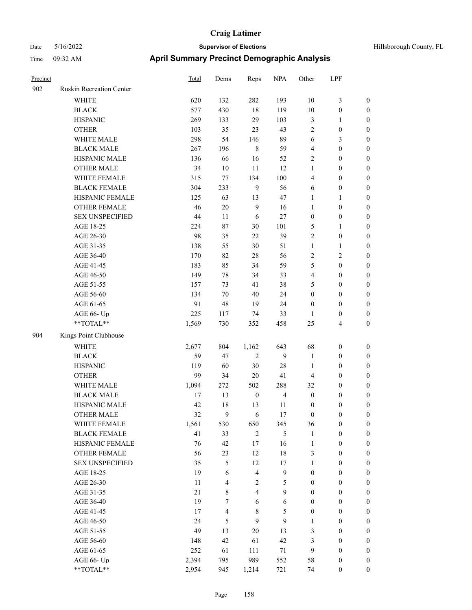| Hillsborough County, 1 |  |
|------------------------|--|

| Precinct |                                                             | <b>Total</b> | Dems           | Reps                    | <b>NPA</b>     | Other            | LPF                     |                  |
|----------|-------------------------------------------------------------|--------------|----------------|-------------------------|----------------|------------------|-------------------------|------------------|
| 902      | Ruskin Recreation Center                                    |              |                |                         |                |                  |                         |                  |
|          | WHITE                                                       | 620          | 132            | 282                     | 193            | 10               | 3                       | $\boldsymbol{0}$ |
|          | <b>BLACK</b>                                                | 577          | 430            | 18                      | 119            | 10               | $\boldsymbol{0}$        | $\boldsymbol{0}$ |
|          | <b>HISPANIC</b>                                             | 269          | 133            | 29                      | 103            | $\mathfrak{Z}$   | 1                       | $\boldsymbol{0}$ |
|          | <b>OTHER</b>                                                | 103          | 35             | 23                      | 43             | $\overline{2}$   | $\boldsymbol{0}$        | $\boldsymbol{0}$ |
|          | WHITE MALE                                                  | 298          | 54             | 146                     | 89             | 6                | 3                       | $\boldsymbol{0}$ |
|          | <b>BLACK MALE</b>                                           | 267          | 196            | $\,8\,$                 | 59             | $\overline{4}$   | $\boldsymbol{0}$        | $\boldsymbol{0}$ |
|          | HISPANIC MALE                                               | 136          | 66             | 16                      | 52             | $\sqrt{2}$       | $\boldsymbol{0}$        | $\boldsymbol{0}$ |
|          | <b>OTHER MALE</b>                                           | 34           | 10             | 11                      | 12             | $\mathbf{1}$     | $\boldsymbol{0}$        | $\boldsymbol{0}$ |
|          | WHITE FEMALE                                                | 315          | 77             | 134                     | 100            | $\overline{4}$   | $\boldsymbol{0}$        | $\boldsymbol{0}$ |
|          | <b>BLACK FEMALE</b>                                         | 304          | 233            | 9                       | 56             | 6                | $\boldsymbol{0}$        | $\boldsymbol{0}$ |
|          | HISPANIC FEMALE                                             | 125          | 63             | 13                      | 47             | 1                | 1                       | $\boldsymbol{0}$ |
|          | <b>OTHER FEMALE</b>                                         | 46           | 20             | 9                       | 16             | 1                | $\boldsymbol{0}$        | $\boldsymbol{0}$ |
|          | <b>SEX UNSPECIFIED</b>                                      | 44           | 11             | 6                       | $27\,$         | $\boldsymbol{0}$ | $\boldsymbol{0}$        | $\boldsymbol{0}$ |
|          | AGE 18-25                                                   | 224          | $87\,$         | 30                      | 101            | 5                | 1                       | $\boldsymbol{0}$ |
|          | AGE 26-30                                                   | 98           | 35             | 22                      | 39             | $\overline{2}$   | $\boldsymbol{0}$        | $\boldsymbol{0}$ |
|          | AGE 31-35                                                   | 138          | 55             | 30                      | 51             | $\mathbf{1}$     | 1                       | $\boldsymbol{0}$ |
|          | AGE 36-40                                                   | 170          | 82             | $28\,$                  | 56             | $\sqrt{2}$       | $\overline{\mathbf{c}}$ | $\boldsymbol{0}$ |
|          | AGE 41-45                                                   | 183          | 85             | 34                      | 59             | 5                | $\boldsymbol{0}$        | $\boldsymbol{0}$ |
|          | AGE 46-50                                                   | 149          | 78             | 34                      | 33             | $\overline{4}$   | $\boldsymbol{0}$        | $\boldsymbol{0}$ |
|          | AGE 51-55                                                   | 157          | 73             | 41                      | 38             | 5                | $\boldsymbol{0}$        | $\boldsymbol{0}$ |
|          | AGE 56-60                                                   | 134          | 70             | 40                      | 24             | $\boldsymbol{0}$ | $\boldsymbol{0}$        | $\boldsymbol{0}$ |
|          | AGE 61-65                                                   | 91           | 48             | 19                      | 24             | $\boldsymbol{0}$ | $\boldsymbol{0}$        | $\boldsymbol{0}$ |
|          | AGE 66- Up                                                  | 225          | 117            | 74                      | 33             | 1                | $\boldsymbol{0}$        | $\boldsymbol{0}$ |
|          | **TOTAL**                                                   | 1,569        | 730            | 352                     | 458            | 25               | 4                       | $\boldsymbol{0}$ |
| 904      | Kings Point Clubhouse                                       |              |                |                         |                |                  |                         |                  |
|          |                                                             |              |                |                         |                |                  |                         |                  |
|          | <b>WHITE</b>                                                | 2,677        | 804            | 1,162                   | 643            | 68               | $\boldsymbol{0}$        | $\boldsymbol{0}$ |
|          | <b>BLACK</b>                                                | 59           | 47             | $\overline{2}$          | 9              | $\mathbf{1}$     | $\boldsymbol{0}$        | $\boldsymbol{0}$ |
|          | <b>HISPANIC</b>                                             | 119          | 60             | 30                      | 28             | $\mathbf{1}$     | $\boldsymbol{0}$        | $\boldsymbol{0}$ |
|          | <b>OTHER</b>                                                | 99           | 34             | 20                      | 41             | $\overline{4}$   | 0                       | $\boldsymbol{0}$ |
|          | WHITE MALE                                                  | 1,094        | 272            | 502                     | 288            | 32               | $\boldsymbol{0}$        | $\boldsymbol{0}$ |
|          | <b>BLACK MALE</b>                                           | 17           | 13             | $\boldsymbol{0}$        | 4              | $\boldsymbol{0}$ | $\boldsymbol{0}$        | $\boldsymbol{0}$ |
|          | HISPANIC MALE                                               | 42           | 18             | 13                      | 11             | $\boldsymbol{0}$ | $\boldsymbol{0}$        | $\boldsymbol{0}$ |
|          | <b>OTHER MALE</b>                                           | 32           | 9              | 6                       | 17             | $\mathbf{0}$     | $\boldsymbol{0}$        | $\boldsymbol{0}$ |
|          | WHITE FEMALE                                                | 1,561        | 530            | 650                     | 345            | 36               | $\boldsymbol{0}$        | $\boldsymbol{0}$ |
|          | <b>BLACK FEMALE</b>                                         | 41           | 33             | $\sqrt{2}$              | 5              | $\mathbf{1}$     | $\boldsymbol{0}$        | $\boldsymbol{0}$ |
|          | HISPANIC FEMALE                                             | 76           | 42             | 17                      | 16             | $\mathbf{1}$     | $\boldsymbol{0}$        | $\boldsymbol{0}$ |
|          | OTHER FEMALE                                                | 56           | 23             | 12                      | $18\,$         | $\mathfrak{Z}$   | $\boldsymbol{0}$        | $\boldsymbol{0}$ |
|          | <b>SEX UNSPECIFIED</b>                                      | 35           | 5              | 12                      | 17             | $\mathbf{1}$     | $\boldsymbol{0}$        | $\boldsymbol{0}$ |
|          | AGE 18-25                                                   | 19           | 6              | $\overline{4}$          | $\overline{9}$ | $\boldsymbol{0}$ | $\boldsymbol{0}$        | $\boldsymbol{0}$ |
|          | AGE 26-30                                                   | 11           | 4              | $\sqrt{2}$              | $\mathfrak{S}$ | $\boldsymbol{0}$ | $\boldsymbol{0}$        | $\boldsymbol{0}$ |
|          | AGE 31-35                                                   | 21           | $8\,$          | $\overline{\mathbf{4}}$ | 9              | $\boldsymbol{0}$ | $\boldsymbol{0}$        | $\boldsymbol{0}$ |
|          | AGE 36-40                                                   | 19           | $\tau$         | 6                       | 6              | $\boldsymbol{0}$ | $\boldsymbol{0}$        | $\boldsymbol{0}$ |
|          | AGE 41-45                                                   | 17           | $\overline{4}$ | $\,8\,$                 | 5              | $\boldsymbol{0}$ | $\boldsymbol{0}$        | $\boldsymbol{0}$ |
|          | AGE 46-50                                                   | 24           | 5              | 9                       | 9              | $\mathbf{1}$     | $\boldsymbol{0}$        | $\boldsymbol{0}$ |
|          | AGE 51-55                                                   | 49           | 13             | $20\,$                  | 13             | 3                | $\boldsymbol{0}$        | $\boldsymbol{0}$ |
|          | AGE 56-60                                                   | 148          | 42             | 61                      | 42             | 3                | $\boldsymbol{0}$        | $\boldsymbol{0}$ |
|          | AGE 61-65                                                   | 252          | 61             | 111                     | 71             | 9                | $\boldsymbol{0}$        | $\boldsymbol{0}$ |
|          | AGE 66- Up                                                  | 2,394        | 795            | 989                     | 552            | 58               | $\boldsymbol{0}$        | $\boldsymbol{0}$ |
|          | $\mathrm{*}\mathrm{*} \mathrm{TOTAL} \mathrm{*} \mathrm{*}$ | 2,954        | 945            | 1,214                   | 721            | 74               | $\mathbf{0}$            | $\boldsymbol{0}$ |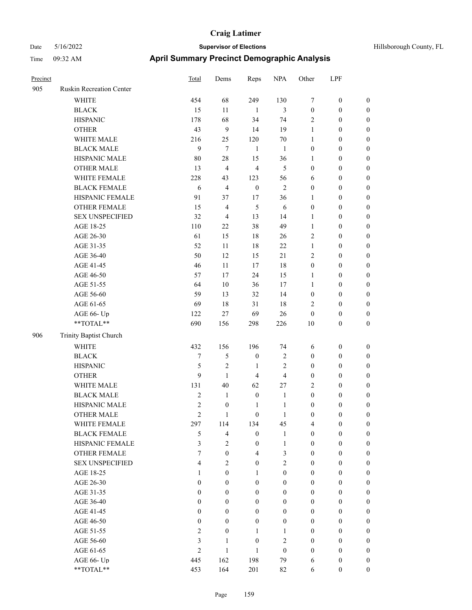| Hillsborough County, FL |  |  |
|-------------------------|--|--|
|-------------------------|--|--|

| Precinct |                                                             | <b>Total</b>     | Dems             | Reps             | <b>NPA</b>       | Other            | LPF              |                  |
|----------|-------------------------------------------------------------|------------------|------------------|------------------|------------------|------------------|------------------|------------------|
| 905      | Ruskin Recreation Center                                    |                  |                  |                  |                  |                  |                  |                  |
|          | WHITE                                                       | 454              | 68               | 249              | 130              | $\tau$           | $\boldsymbol{0}$ | $\boldsymbol{0}$ |
|          | <b>BLACK</b>                                                | 15               | 11               | 1                | 3                | $\boldsymbol{0}$ | $\boldsymbol{0}$ | $\boldsymbol{0}$ |
|          | <b>HISPANIC</b>                                             | 178              | 68               | 34               | 74               | $\overline{2}$   | $\boldsymbol{0}$ | $\boldsymbol{0}$ |
|          | <b>OTHER</b>                                                | 43               | 9                | 14               | 19               | $\mathbf{1}$     | $\boldsymbol{0}$ | $\boldsymbol{0}$ |
|          | WHITE MALE                                                  | 216              | 25               | 120              | 70               | 1                | $\boldsymbol{0}$ | $\boldsymbol{0}$ |
|          | <b>BLACK MALE</b>                                           | 9                | $\overline{7}$   | $\mathbf{1}$     | $\mathbf{1}$     | $\boldsymbol{0}$ | $\boldsymbol{0}$ | $\boldsymbol{0}$ |
|          | HISPANIC MALE                                               | 80               | 28               | 15               | 36               | $\mathbf{1}$     | $\boldsymbol{0}$ | $\boldsymbol{0}$ |
|          | <b>OTHER MALE</b>                                           | 13               | $\overline{4}$   | $\overline{4}$   | 5                | $\boldsymbol{0}$ | $\boldsymbol{0}$ | $\boldsymbol{0}$ |
|          | WHITE FEMALE                                                | 228              | 43               | 123              | 56               | 6                | $\boldsymbol{0}$ | $\boldsymbol{0}$ |
|          | <b>BLACK FEMALE</b>                                         | 6                | $\overline{4}$   | $\boldsymbol{0}$ | $\overline{2}$   | $\boldsymbol{0}$ | $\boldsymbol{0}$ | $\boldsymbol{0}$ |
|          | HISPANIC FEMALE                                             | 91               | 37               | 17               | 36               | 1                | $\boldsymbol{0}$ | $\boldsymbol{0}$ |
|          | <b>OTHER FEMALE</b>                                         | 15               | $\overline{4}$   | 5                | 6                | $\boldsymbol{0}$ | $\boldsymbol{0}$ | $\boldsymbol{0}$ |
|          | <b>SEX UNSPECIFIED</b>                                      | 32               | $\overline{4}$   | 13               | 14               | 1                | $\boldsymbol{0}$ | $\boldsymbol{0}$ |
|          | AGE 18-25                                                   | 110              | 22               | 38               | 49               | $\mathbf{1}$     | $\boldsymbol{0}$ | $\boldsymbol{0}$ |
|          | AGE 26-30                                                   | 61               | 15               | 18               | 26               | $\overline{2}$   | $\boldsymbol{0}$ | $\boldsymbol{0}$ |
|          | AGE 31-35                                                   | 52               | 11               | 18               | 22               | $\mathbf{1}$     | $\boldsymbol{0}$ | $\boldsymbol{0}$ |
|          | AGE 36-40                                                   | 50               | 12               | 15               | $21\,$           | $\sqrt{2}$       | $\boldsymbol{0}$ | $\boldsymbol{0}$ |
|          | AGE 41-45                                                   | 46               | 11               | 17               | 18               | $\boldsymbol{0}$ | $\boldsymbol{0}$ | $\boldsymbol{0}$ |
|          | AGE 46-50                                                   | 57               | 17               | 24               | 15               | 1                | $\boldsymbol{0}$ | $\boldsymbol{0}$ |
|          | AGE 51-55                                                   | 64               | 10               | 36               | 17               | 1                | $\boldsymbol{0}$ | $\boldsymbol{0}$ |
|          | AGE 56-60                                                   | 59               | 13               | 32               | 14               | $\boldsymbol{0}$ | $\boldsymbol{0}$ | $\boldsymbol{0}$ |
|          | AGE 61-65                                                   | 69               | 18               | 31               | 18               | $\sqrt{2}$       | $\boldsymbol{0}$ | $\boldsymbol{0}$ |
|          | AGE 66- Up                                                  | 122              | $27\,$           | 69               | 26               | $\mathbf{0}$     | $\boldsymbol{0}$ | $\boldsymbol{0}$ |
|          | **TOTAL**                                                   | 690              | 156              | 298              | 226              | 10               | $\boldsymbol{0}$ | $\boldsymbol{0}$ |
| 906      | Trinity Baptist Church                                      |                  |                  |                  |                  |                  |                  |                  |
|          | <b>WHITE</b>                                                | 432              | 156              | 196              | 74               | 6                | $\boldsymbol{0}$ | $\boldsymbol{0}$ |
|          | <b>BLACK</b>                                                | 7                | 5                | $\boldsymbol{0}$ | $\mathbf{2}$     | $\boldsymbol{0}$ | $\boldsymbol{0}$ | $\boldsymbol{0}$ |
|          | <b>HISPANIC</b>                                             | 5                | $\mathfrak{2}$   | 1                | $\mathfrak{2}$   | $\boldsymbol{0}$ | $\boldsymbol{0}$ | $\boldsymbol{0}$ |
|          | <b>OTHER</b>                                                | 9                | $\mathbf{1}$     | $\overline{4}$   | 4                | $\boldsymbol{0}$ | $\boldsymbol{0}$ | $\boldsymbol{0}$ |
|          | WHITE MALE                                                  | 131              | 40               | 62               | 27               | $\sqrt{2}$       | $\boldsymbol{0}$ | $\boldsymbol{0}$ |
|          | <b>BLACK MALE</b>                                           | $\sqrt{2}$       | $\mathbf{1}$     | $\boldsymbol{0}$ | $\mathbf{1}$     | $\boldsymbol{0}$ | $\boldsymbol{0}$ | $\boldsymbol{0}$ |
|          | HISPANIC MALE                                               | $\mathfrak{2}$   | $\boldsymbol{0}$ | $\mathbf{1}$     | $\mathbf{1}$     | $\boldsymbol{0}$ | $\boldsymbol{0}$ | $\boldsymbol{0}$ |
|          | <b>OTHER MALE</b>                                           | $\overline{2}$   | $\mathbf{1}$     | $\boldsymbol{0}$ | 1                | $\boldsymbol{0}$ | $\boldsymbol{0}$ | $\boldsymbol{0}$ |
|          | WHITE FEMALE                                                | 297              | 114              | 134              | 45               | $\overline{4}$   | $\boldsymbol{0}$ | $\mathbf{0}$     |
|          | <b>BLACK FEMALE</b>                                         | 5                | $\overline{4}$   | $\mathbf{0}$     | $\mathbf{1}$     | $\mathbf{0}$     | $\boldsymbol{0}$ | $\boldsymbol{0}$ |
|          | HISPANIC FEMALE                                             | 3                | $\overline{2}$   | $\mathbf{0}$     | $\mathbf{1}$     | $\mathbf{0}$     | $\boldsymbol{0}$ | $\boldsymbol{0}$ |
|          | OTHER FEMALE                                                | $\overline{7}$   | $\mathbf{0}$     | $\overline{4}$   | 3                | $\mathbf{0}$     | $\boldsymbol{0}$ | $\mathbf{0}$     |
|          | <b>SEX UNSPECIFIED</b>                                      | $\overline{4}$   | $\overline{2}$   | $\mathbf{0}$     | $\overline{2}$   | $\mathbf{0}$     | $\boldsymbol{0}$ | $\boldsymbol{0}$ |
|          | AGE 18-25                                                   | 1                | $\boldsymbol{0}$ | $\mathbf{1}$     | $\boldsymbol{0}$ | $\mathbf{0}$     | $\boldsymbol{0}$ | $\boldsymbol{0}$ |
|          | AGE 26-30                                                   | $\theta$         | $\overline{0}$   | $\mathbf{0}$     | $\mathbf{0}$     | $\mathbf{0}$     | $\overline{0}$   | $\mathbf{0}$     |
|          | AGE 31-35                                                   | $\theta$         | $\overline{0}$   | $\mathbf{0}$     | $\mathbf{0}$     | $\mathbf{0}$     | $\boldsymbol{0}$ | $\mathbf{0}$     |
|          | AGE 36-40                                                   | $\boldsymbol{0}$ | $\mathbf{0}$     | $\boldsymbol{0}$ | $\boldsymbol{0}$ | $\boldsymbol{0}$ | $\boldsymbol{0}$ | $\boldsymbol{0}$ |
|          | AGE 41-45                                                   | $\boldsymbol{0}$ | $\mathbf{0}$     | $\boldsymbol{0}$ | $\boldsymbol{0}$ | $\boldsymbol{0}$ | $\boldsymbol{0}$ | $\boldsymbol{0}$ |
|          | AGE 46-50                                                   | $\boldsymbol{0}$ | $\mathbf{0}$     | $\boldsymbol{0}$ | $\boldsymbol{0}$ | $\boldsymbol{0}$ | $\boldsymbol{0}$ | $\boldsymbol{0}$ |
|          | AGE 51-55                                                   | $\mathbf{2}$     | $\mathbf{0}$     | $\mathbf{1}$     | 1                | $\mathbf{0}$     | $\boldsymbol{0}$ | $\boldsymbol{0}$ |
|          | AGE 56-60                                                   | $\mathfrak{Z}$   | $\mathbf{1}$     | $\mathbf{0}$     | $\overline{2}$   | $\mathbf{0}$     | $\boldsymbol{0}$ | $\boldsymbol{0}$ |
|          | AGE 61-65                                                   | $\overline{c}$   | $\mathbf{1}$     | $\mathbf{1}$     | $\boldsymbol{0}$ | $\boldsymbol{0}$ | $\boldsymbol{0}$ | $\boldsymbol{0}$ |
|          | AGE 66- Up                                                  | 445              | 162              | 198              | 79               | 6                | $\boldsymbol{0}$ | $\mathbf{0}$     |
|          | $\mathrm{*}\mathrm{*} \mathrm{TOTAL} \mathrm{*} \mathrm{*}$ | 453              | 164              | 201              | 82               | 6                | $\overline{0}$   | $\boldsymbol{0}$ |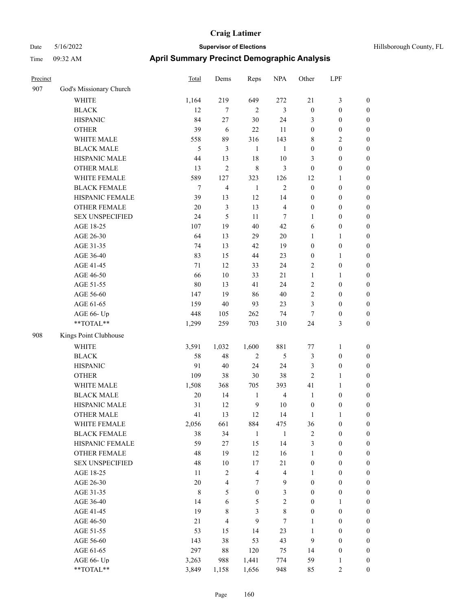| Hillsborough County, F |  |
|------------------------|--|

| Precinct |                         | <b>Total</b> | Dems                    | Reps             | <b>NPA</b>              | Other            | LPF              |                  |
|----------|-------------------------|--------------|-------------------------|------------------|-------------------------|------------------|------------------|------------------|
| 907      | God's Missionary Church |              |                         |                  |                         |                  |                  |                  |
|          | <b>WHITE</b>            | 1,164        | 219                     | 649              | 272                     | $21\,$           | $\mathfrak{Z}$   | $\boldsymbol{0}$ |
|          | <b>BLACK</b>            | 12           | 7                       | $\overline{2}$   | 3                       | $\boldsymbol{0}$ | $\boldsymbol{0}$ | $\boldsymbol{0}$ |
|          | <b>HISPANIC</b>         | 84           | 27                      | $30\,$           | 24                      | 3                | $\boldsymbol{0}$ | $\boldsymbol{0}$ |
|          | <b>OTHER</b>            | 39           | 6                       | $22\,$           | 11                      | $\boldsymbol{0}$ | $\boldsymbol{0}$ | $\boldsymbol{0}$ |
|          | WHITE MALE              | 558          | 89                      | 316              | 143                     | 8                | $\sqrt{2}$       | $\boldsymbol{0}$ |
|          | <b>BLACK MALE</b>       | 5            | 3                       | $\mathbf{1}$     | $\mathbf{1}$            | $\boldsymbol{0}$ | $\boldsymbol{0}$ | $\boldsymbol{0}$ |
|          | HISPANIC MALE           | 44           | 13                      | 18               | 10                      | 3                | $\boldsymbol{0}$ | $\boldsymbol{0}$ |
|          | <b>OTHER MALE</b>       | 13           | $\overline{c}$          | $\,$ 8 $\,$      | 3                       | $\boldsymbol{0}$ | $\boldsymbol{0}$ | $\boldsymbol{0}$ |
|          | WHITE FEMALE            | 589          | 127                     | 323              | 126                     | 12               | 1                | $\boldsymbol{0}$ |
|          | <b>BLACK FEMALE</b>     | $\tau$       | 4                       | $\mathbf{1}$     | $\sqrt{2}$              | $\boldsymbol{0}$ | $\boldsymbol{0}$ | $\boldsymbol{0}$ |
|          | HISPANIC FEMALE         | 39           | 13                      | 12               | 14                      | $\boldsymbol{0}$ | $\boldsymbol{0}$ | 0                |
|          | OTHER FEMALE            | 20           | 3                       | 13               | $\overline{\mathbf{4}}$ | $\boldsymbol{0}$ | $\boldsymbol{0}$ | 0                |
|          | <b>SEX UNSPECIFIED</b>  | 24           | 5                       | 11               | 7                       | 1                | $\boldsymbol{0}$ | $\boldsymbol{0}$ |
|          | AGE 18-25               | 107          | 19                      | 40               | 42                      | 6                | $\boldsymbol{0}$ | $\boldsymbol{0}$ |
|          | AGE 26-30               | 64           | 13                      | 29               | 20                      | 1                | 1                | $\boldsymbol{0}$ |
|          | AGE 31-35               | 74           | 13                      | 42               | 19                      | $\boldsymbol{0}$ | $\boldsymbol{0}$ | $\boldsymbol{0}$ |
|          | AGE 36-40               | 83           | 15                      | 44               | 23                      | $\boldsymbol{0}$ | $\mathbf{1}$     | $\boldsymbol{0}$ |
|          | AGE 41-45               | 71           | 12                      | 33               | 24                      | $\overline{c}$   | $\boldsymbol{0}$ | $\boldsymbol{0}$ |
|          | AGE 46-50               | 66           | 10                      | 33               | 21                      | $\mathbf{1}$     | 1                | $\boldsymbol{0}$ |
|          | AGE 51-55               | 80           | 13                      | 41               | 24                      | $\overline{c}$   | $\boldsymbol{0}$ | 0                |
|          | AGE 56-60               | 147          | 19                      | 86               | 40                      | $\sqrt{2}$       | $\boldsymbol{0}$ | 0                |
|          | AGE 61-65               | 159          | 40                      | 93               | 23                      | 3                | $\boldsymbol{0}$ | 0                |
|          | AGE 66- Up              | 448          | 105                     | 262              | 74                      | $\tau$           | $\boldsymbol{0}$ | $\boldsymbol{0}$ |
|          | $**TOTAL**$             | 1,299        | 259                     | 703              | 310                     | 24               | 3                | $\boldsymbol{0}$ |
| 908      | Kings Point Clubhouse   |              |                         |                  |                         |                  |                  |                  |
|          | <b>WHITE</b>            | 3,591        | 1,032                   | 1,600            | 881                     | 77               | $\mathbf{1}$     | $\boldsymbol{0}$ |
|          | <b>BLACK</b>            | 58           | 48                      | $\overline{2}$   | 5                       | 3                | $\boldsymbol{0}$ | $\boldsymbol{0}$ |
|          | <b>HISPANIC</b>         | 91           | 40                      | 24               | 24                      | 3                | $\boldsymbol{0}$ | $\boldsymbol{0}$ |
|          | <b>OTHER</b>            | 109          | 38                      | 30               | 38                      | $\overline{c}$   | $\mathbf{1}$     | $\boldsymbol{0}$ |
|          | WHITE MALE              | 1,508        | 368                     | 705              | 393                     | 41               | $\mathbf{1}$     | $\boldsymbol{0}$ |
|          | <b>BLACK MALE</b>       | 20           | 14                      | $\mathbf{1}$     | $\overline{\mathbf{4}}$ | $\mathbf{1}$     | $\boldsymbol{0}$ | $\boldsymbol{0}$ |
|          | HISPANIC MALE           | 31           | 12                      | 9                | 10                      | $\boldsymbol{0}$ | $\boldsymbol{0}$ | $\boldsymbol{0}$ |
|          | <b>OTHER MALE</b>       | 41           | 13                      | 12               | 14                      | 1                | 1                | $\boldsymbol{0}$ |
|          | WHITE FEMALE            | 2,056        | 661                     | 884              | 475                     | 36               | $\boldsymbol{0}$ | 0                |
|          | <b>BLACK FEMALE</b>     | 38           | 34                      | $\mathbf{1}$     | $\mathbf{1}$            | $\mathfrak{2}$   | $\boldsymbol{0}$ | $\boldsymbol{0}$ |
|          | HISPANIC FEMALE         | 59           | 27                      | 15               | 14                      | 3                | $\boldsymbol{0}$ | $\overline{0}$   |
|          | OTHER FEMALE            | 48           | 19                      | 12               | 16                      | $\mathbf{1}$     | $\boldsymbol{0}$ | $\overline{0}$   |
|          | <b>SEX UNSPECIFIED</b>  | 48           | 10                      | 17               | 21                      | $\boldsymbol{0}$ | $\boldsymbol{0}$ | $\overline{0}$   |
|          | AGE 18-25               | 11           | $\overline{c}$          | $\overline{4}$   | $\overline{4}$          | 1                | $\boldsymbol{0}$ | $\overline{0}$   |
|          | AGE 26-30               | $20\,$       | $\overline{\mathbf{4}}$ | $\tau$           | $\mathbf{9}$            | $\boldsymbol{0}$ | $\boldsymbol{0}$ | $\overline{0}$   |
|          | AGE 31-35               | $\,$ 8 $\,$  | 5                       | $\boldsymbol{0}$ | 3                       | $\boldsymbol{0}$ | $\boldsymbol{0}$ | $\overline{0}$   |
|          | AGE 36-40               | 14           | 6                       | $\mathfrak{S}$   | $\overline{c}$          | $\boldsymbol{0}$ | $\mathbf{1}$     | 0                |
|          | AGE 41-45               | 19           | 8                       | 3                | $\,8\,$                 | $\boldsymbol{0}$ | $\boldsymbol{0}$ | 0                |
|          | AGE 46-50               | $21\,$       | 4                       | 9                | $\tau$                  | 1                | $\boldsymbol{0}$ | $\boldsymbol{0}$ |
|          | AGE 51-55               | 53           | 15                      | 14               | 23                      | $\mathbf{1}$     | $\boldsymbol{0}$ | $\boldsymbol{0}$ |
|          | AGE 56-60               | 143          | 38                      | 53               | 43                      | 9                | $\boldsymbol{0}$ | $\boldsymbol{0}$ |
|          | AGE 61-65               | 297          | 88                      | 120              | 75                      | 14               | $\boldsymbol{0}$ | $\boldsymbol{0}$ |
|          | AGE 66- Up              | 3,263        | 988                     | 1,441            | 774                     | 59               | $\mathbf{1}$     | $\boldsymbol{0}$ |
|          | $**TOTAL**$             | 3,849        | 1,158                   | 1,656            | 948                     | 85               | $\overline{c}$   | $\overline{0}$   |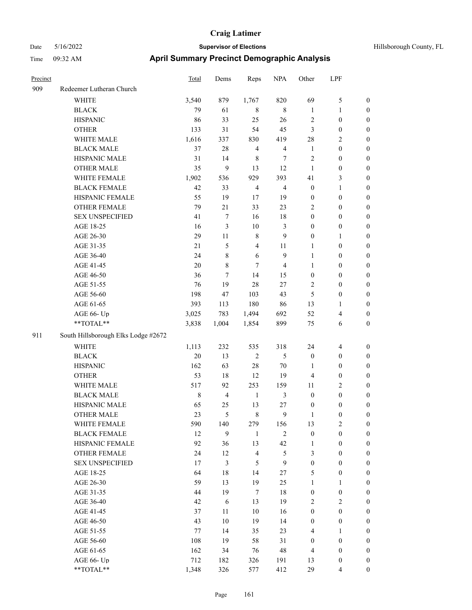| Precinct |                                     | <b>Total</b> | Dems           | Reps           | <b>NPA</b>     | Other            | LPF              |                  |
|----------|-------------------------------------|--------------|----------------|----------------|----------------|------------------|------------------|------------------|
| 909      | Redeemer Lutheran Church            |              |                |                |                |                  |                  |                  |
|          | <b>WHITE</b>                        | 3,540        | 879            | 1,767          | 820            | 69               | 5                | $\boldsymbol{0}$ |
|          | <b>BLACK</b>                        | 79           | 61             | 8              | $\,8\,$        | $\mathbf{1}$     | 1                | $\boldsymbol{0}$ |
|          | <b>HISPANIC</b>                     | 86           | 33             | 25             | 26             | $\sqrt{2}$       | $\boldsymbol{0}$ | $\boldsymbol{0}$ |
|          | <b>OTHER</b>                        | 133          | 31             | 54             | 45             | $\mathfrak{Z}$   | $\boldsymbol{0}$ | $\boldsymbol{0}$ |
|          | WHITE MALE                          | 1,616        | 337            | 830            | 419            | 28               | 2                | $\boldsymbol{0}$ |
|          | <b>BLACK MALE</b>                   | 37           | 28             | $\overline{4}$ | $\overline{4}$ | $\mathbf{1}$     | $\boldsymbol{0}$ | $\boldsymbol{0}$ |
|          | HISPANIC MALE                       | 31           | 14             | $\,$ 8 $\,$    | 7              | $\sqrt{2}$       | $\boldsymbol{0}$ | $\boldsymbol{0}$ |
|          | <b>OTHER MALE</b>                   | 35           | 9              | 13             | 12             | $\mathbf{1}$     | $\boldsymbol{0}$ | $\boldsymbol{0}$ |
|          | WHITE FEMALE                        | 1,902        | 536            | 929            | 393            | 41               | 3                | $\boldsymbol{0}$ |
|          | <b>BLACK FEMALE</b>                 | 42           | 33             | $\overline{4}$ | $\overline{4}$ | $\boldsymbol{0}$ | $\mathbf{1}$     | $\boldsymbol{0}$ |
|          | HISPANIC FEMALE                     | 55           | 19             | 17             | 19             | $\boldsymbol{0}$ | $\boldsymbol{0}$ | $\boldsymbol{0}$ |
|          | <b>OTHER FEMALE</b>                 | 79           | 21             | 33             | 23             | $\sqrt{2}$       | $\boldsymbol{0}$ | $\boldsymbol{0}$ |
|          | <b>SEX UNSPECIFIED</b>              | 41           | $\tau$         | 16             | 18             | $\boldsymbol{0}$ | $\boldsymbol{0}$ | $\boldsymbol{0}$ |
|          | AGE 18-25                           | 16           | 3              | 10             | 3              | $\boldsymbol{0}$ | $\boldsymbol{0}$ | $\boldsymbol{0}$ |
|          | AGE 26-30                           | 29           | 11             | $\,8\,$        | 9              | $\boldsymbol{0}$ | 1                | $\boldsymbol{0}$ |
|          | AGE 31-35                           | 21           | 5              | 4              | 11             | 1                | $\boldsymbol{0}$ | $\boldsymbol{0}$ |
|          | AGE 36-40                           | 24           | $8\,$          | 6              | 9              | 1                | $\boldsymbol{0}$ | $\boldsymbol{0}$ |
|          | AGE 41-45                           | 20           | $\,8\,$        | 7              | $\overline{4}$ | $\mathbf{1}$     | $\boldsymbol{0}$ | $\boldsymbol{0}$ |
|          | AGE 46-50                           | 36           | 7              | 14             | 15             | $\boldsymbol{0}$ | $\boldsymbol{0}$ | $\boldsymbol{0}$ |
|          | AGE 51-55                           | 76           | 19             | 28             | 27             | $\overline{2}$   | $\boldsymbol{0}$ | $\boldsymbol{0}$ |
|          | AGE 56-60                           | 198          | 47             | 103            | 43             | 5                | $\boldsymbol{0}$ | $\boldsymbol{0}$ |
|          | AGE 61-65                           | 393          | 113            | 180            | 86             | 13               | 1                | $\boldsymbol{0}$ |
|          | AGE 66- Up                          | 3,025        | 783            | 1,494          | 692            | 52               | 4                | $\boldsymbol{0}$ |
|          | **TOTAL**                           | 3,838        | 1,004          | 1,854          | 899            | 75               | 6                | $\boldsymbol{0}$ |
| 911      | South Hillsborough Elks Lodge #2672 |              |                |                |                |                  |                  |                  |
|          | <b>WHITE</b>                        | 1,113        | 232            | 535            | 318            | 24               | 4                | $\boldsymbol{0}$ |
|          | <b>BLACK</b>                        | 20           | 13             | $\overline{2}$ | 5              | $\boldsymbol{0}$ | $\boldsymbol{0}$ | $\boldsymbol{0}$ |
|          | <b>HISPANIC</b>                     | 162          | 63             | 28             | 70             | 1                | 0                | $\boldsymbol{0}$ |
|          | <b>OTHER</b>                        | 53           | 18             | 12             | 19             | $\overline{4}$   | $\boldsymbol{0}$ | $\boldsymbol{0}$ |
|          | WHITE MALE                          | 517          | 92             | 253            | 159            | $11\,$           | 2                | $\boldsymbol{0}$ |
|          | <b>BLACK MALE</b>                   | $\,8\,$      | $\overline{4}$ | $\mathbf{1}$   | 3              | $\boldsymbol{0}$ | $\boldsymbol{0}$ | $\boldsymbol{0}$ |
|          | HISPANIC MALE                       | 65           | 25             | 13             | 27             | $\boldsymbol{0}$ | 0                | $\boldsymbol{0}$ |
|          | <b>OTHER MALE</b>                   | 23           | 5              | $\,$ 8 $\,$    | 9              | 1                | 0                | $\boldsymbol{0}$ |
|          | WHITE FEMALE                        | 590          | 140            | 279            | 156            | 13               | 2                | $\boldsymbol{0}$ |
|          | <b>BLACK FEMALE</b>                 | 12           | 9              | $\mathbf{1}$   | $\sqrt{2}$     | $\boldsymbol{0}$ | $\boldsymbol{0}$ | $\boldsymbol{0}$ |
|          | HISPANIC FEMALE                     | 92           | 36             | 13             | 42             | $\mathbf{1}$     | $\boldsymbol{0}$ | $\boldsymbol{0}$ |
|          | <b>OTHER FEMALE</b>                 | 24           | 12             | $\overline{4}$ | 5              | 3                | $\boldsymbol{0}$ | $\boldsymbol{0}$ |
|          | <b>SEX UNSPECIFIED</b>              | 17           | $\mathfrak{Z}$ | 5              | 9              | $\boldsymbol{0}$ | $\boldsymbol{0}$ | $\boldsymbol{0}$ |
|          | AGE 18-25                           | 64           | $18\,$         | 14             | 27             | $\mathfrak{S}$   | $\boldsymbol{0}$ | $\boldsymbol{0}$ |
|          | AGE 26-30                           | 59           | 13             | 19             | 25             | $\mathbf{1}$     | 1                | $\boldsymbol{0}$ |
|          | AGE 31-35                           | 44           | 19             | $\tau$         | 18             | $\boldsymbol{0}$ | $\boldsymbol{0}$ | $\boldsymbol{0}$ |
|          | AGE 36-40                           | 42           | $\sqrt{6}$     | 13             | 19             | $\overline{2}$   | $\mathbf{2}$     | $\boldsymbol{0}$ |
|          | AGE 41-45                           | 37           | 11             | $10\,$         | 16             | $\boldsymbol{0}$ | $\boldsymbol{0}$ | $\boldsymbol{0}$ |
|          | AGE 46-50                           | 43           | $10\,$         | 19             | 14             | $\boldsymbol{0}$ | $\boldsymbol{0}$ | $\boldsymbol{0}$ |
|          | AGE 51-55                           | $77 \,$      | 14             | 35             | 23             | $\overline{4}$   | $\mathbf{1}$     | $\boldsymbol{0}$ |
|          | AGE 56-60                           | 108          | 19             | 58             | 31             | $\boldsymbol{0}$ | $\boldsymbol{0}$ | $\boldsymbol{0}$ |
|          | AGE 61-65                           | 162          | 34             | 76             | 48             | $\overline{4}$   | $\boldsymbol{0}$ | $\boldsymbol{0}$ |
|          | AGE 66- Up                          | 712          | 182            | 326            | 191            | 13               | $\boldsymbol{0}$ | $\mathbf{0}$     |
|          | $**TOTAL**$                         | 1,348        | 326            | 577            | 412            | 29               | 4                | $\boldsymbol{0}$ |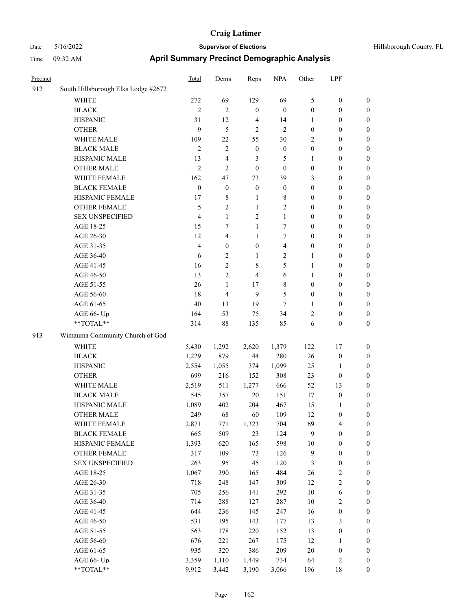| Precinct |                                     | Total            | Dems             | Reps             | <b>NPA</b>       | Other            | LPF                     |                  |
|----------|-------------------------------------|------------------|------------------|------------------|------------------|------------------|-------------------------|------------------|
| 912      | South Hillsborough Elks Lodge #2672 |                  |                  |                  |                  |                  |                         |                  |
|          | <b>WHITE</b>                        | 272              | 69               | 129              | 69               | 5                | $\boldsymbol{0}$        | $\boldsymbol{0}$ |
|          | <b>BLACK</b>                        | $\mathbf{2}$     | $\mathbf{2}$     | $\boldsymbol{0}$ | $\boldsymbol{0}$ | $\boldsymbol{0}$ | $\boldsymbol{0}$        | $\boldsymbol{0}$ |
|          | <b>HISPANIC</b>                     | 31               | 12               | $\overline{4}$   | 14               | 1                | $\boldsymbol{0}$        | $\boldsymbol{0}$ |
|          | <b>OTHER</b>                        | 9                | 5                | $\sqrt{2}$       | $\mathbf{2}$     | $\boldsymbol{0}$ | $\boldsymbol{0}$        | $\boldsymbol{0}$ |
|          | WHITE MALE                          | 109              | 22               | 55               | $30\,$           | 2                | $\boldsymbol{0}$        | 0                |
|          | <b>BLACK MALE</b>                   | $\overline{2}$   | $\mathbf{2}$     | $\boldsymbol{0}$ | $\boldsymbol{0}$ | $\boldsymbol{0}$ | $\boldsymbol{0}$        | $\boldsymbol{0}$ |
|          | HISPANIC MALE                       | 13               | 4                | 3                | 5                | $\mathbf{1}$     | $\boldsymbol{0}$        | $\boldsymbol{0}$ |
|          | <b>OTHER MALE</b>                   | $\overline{2}$   | 2                | $\boldsymbol{0}$ | $\boldsymbol{0}$ | $\boldsymbol{0}$ | $\boldsymbol{0}$        | $\boldsymbol{0}$ |
|          | WHITE FEMALE                        | 162              | 47               | 73               | 39               | 3                | $\boldsymbol{0}$        | $\boldsymbol{0}$ |
|          | <b>BLACK FEMALE</b>                 | $\boldsymbol{0}$ | $\boldsymbol{0}$ | $\mathbf{0}$     | $\boldsymbol{0}$ | $\boldsymbol{0}$ | $\boldsymbol{0}$        | $\boldsymbol{0}$ |
|          | HISPANIC FEMALE                     | 17               | 8                | $\mathbf{1}$     | $8\,$            | $\boldsymbol{0}$ | $\boldsymbol{0}$        | $\boldsymbol{0}$ |
|          | OTHER FEMALE                        | 5                | $\overline{c}$   | $\mathbf{1}$     | $\mathbf{2}$     | $\boldsymbol{0}$ | $\boldsymbol{0}$        | $\boldsymbol{0}$ |
|          | <b>SEX UNSPECIFIED</b>              | $\overline{4}$   | $\mathbf{1}$     | 2                | $\mathbf{1}$     | $\boldsymbol{0}$ | $\boldsymbol{0}$        | $\boldsymbol{0}$ |
|          | AGE 18-25                           | 15               | 7                | $\mathbf{1}$     | 7                | $\boldsymbol{0}$ | $\boldsymbol{0}$        | $\boldsymbol{0}$ |
|          | AGE 26-30                           | 12               | 4                | $\mathbf{1}$     | $\tau$           | $\boldsymbol{0}$ | $\boldsymbol{0}$        | 0                |
|          | AGE 31-35                           | $\overline{4}$   | $\boldsymbol{0}$ | $\boldsymbol{0}$ | $\overline{4}$   | $\boldsymbol{0}$ | $\boldsymbol{0}$        | $\boldsymbol{0}$ |
|          | AGE 36-40                           | 6                | $\overline{c}$   | $\mathbf{1}$     | $\overline{2}$   | $\mathbf{1}$     | $\boldsymbol{0}$        | $\boldsymbol{0}$ |
|          | AGE 41-45                           | 16               | 2                | 8                | 5                | $\mathbf{1}$     | $\boldsymbol{0}$        | $\boldsymbol{0}$ |
|          | AGE 46-50                           | 13               | 2                | 4                | 6                | $\mathbf{1}$     | $\boldsymbol{0}$        | $\boldsymbol{0}$ |
|          | AGE 51-55                           | 26               | $\mathbf{1}$     | 17               | 8                | $\boldsymbol{0}$ | $\boldsymbol{0}$        | $\boldsymbol{0}$ |
|          | AGE 56-60                           | 18               | $\overline{4}$   | 9                | $\mathfrak{S}$   | $\boldsymbol{0}$ | $\boldsymbol{0}$        | $\boldsymbol{0}$ |
|          | AGE 61-65                           | 40               | 13               | 19               | $\tau$           | $\mathbf{1}$     | $\boldsymbol{0}$        | $\boldsymbol{0}$ |
|          | AGE 66- Up                          | 164              | 53               | 75               | 34               | 2                | $\boldsymbol{0}$        | 0                |
|          | **TOTAL**                           | 314              | 88               | 135              | 85               | 6                | $\boldsymbol{0}$        | $\boldsymbol{0}$ |
| 913      | Wimauma Community Church of God     |                  |                  |                  |                  |                  |                         |                  |
|          | <b>WHITE</b>                        | 5,430            | 1,292            | 2,620            | 1,379            | 122              | 17                      | $\boldsymbol{0}$ |
|          | <b>BLACK</b>                        | 1,229            | 879              | 44               | 280              | 26               | $\boldsymbol{0}$        | 0                |
|          | <b>HISPANIC</b>                     | 2,554            | 1,055            | 374              | 1,099            | 25               | 1                       | 0                |
|          | <b>OTHER</b>                        | 699              | 216              | 152              | 308              | 23               | $\boldsymbol{0}$        | 0                |
|          | WHITE MALE                          | 2,519            | 511              | 1,277            | 666              | 52               | 13                      | $\boldsymbol{0}$ |
|          | <b>BLACK MALE</b>                   | 545              | 357              | 20               | 151              | 17               | $\boldsymbol{0}$        | $\boldsymbol{0}$ |
|          | HISPANIC MALE                       | 1,089            | 402              | 204              | 467              | 15               | 1                       | $\boldsymbol{0}$ |
|          | <b>OTHER MALE</b>                   | 249              | 68               | 60               | 109              | 12               | $\boldsymbol{0}$        | $\boldsymbol{0}$ |
|          | WHITE FEMALE                        | 2,871            | 771              | 1,323            | 704              | 69               | $\overline{\mathbf{4}}$ | 0                |
|          | <b>BLACK FEMALE</b>                 | 665              | 509              | 23               | 124              | 9                | $\boldsymbol{0}$        | 0                |
|          | HISPANIC FEMALE                     | 1,393            | 620              | 165              | 598              | $10\,$           | $\boldsymbol{0}$        | 0                |
|          | <b>OTHER FEMALE</b>                 | 317              | 109              | 73               | 126              | $\overline{9}$   | $\boldsymbol{0}$        | 0                |
|          | <b>SEX UNSPECIFIED</b>              | 263              | 95               | 45               | 120              | 3                | $\boldsymbol{0}$        | 0                |
|          | AGE 18-25                           | 1,067            | 390              | 165              | 484              | 26               | $\sqrt{2}$              | 0                |
|          | AGE 26-30                           | 718              | 248              | 147              | 309              | 12               | $\sqrt{2}$              | $\boldsymbol{0}$ |
|          | AGE 31-35                           | 705              | 256              | 141              | 292              | 10               | 6                       | 0                |
|          | AGE 36-40                           | 714              | 288              | 127              | 287              | 10               | $\sqrt{2}$              | 0                |
|          | AGE 41-45                           | 644              | 236              | 145              | 247              | 16               | $\boldsymbol{0}$        | 0                |
|          | AGE 46-50                           | 531              | 195              | 143              | 177              | 13               | 3                       | 0                |
|          | AGE 51-55                           | 563              | 178              | 220              | 152              | 13               | $\boldsymbol{0}$        | 0                |
|          | AGE 56-60                           | 676              | 221              | 267              | 175              | 12               | $\mathbf{1}$            | 0                |
|          | AGE 61-65                           | 935              | 320              | 386              | 209              | $20\,$           | $\boldsymbol{0}$        | 0                |
|          | AGE 66- Up                          | 3,359            | 1,110            | 1,449            | 734              | 64               | $\overline{c}$          | 0                |
|          | **TOTAL**                           | 9,912            | 3,442            | 3,190            | 3,066            | 196              | $18\,$                  | $\boldsymbol{0}$ |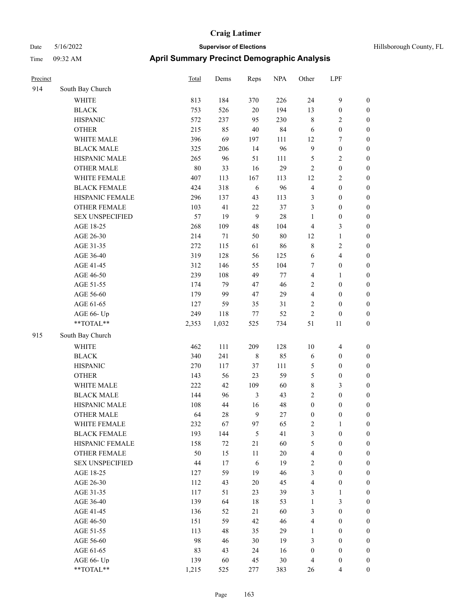| Hillsborough County, FL |  |  |
|-------------------------|--|--|
|-------------------------|--|--|

| Precinct |                        | <b>Total</b> | Dems  | Reps       | <b>NPA</b> | Other            | LPF              |                  |
|----------|------------------------|--------------|-------|------------|------------|------------------|------------------|------------------|
| 914      | South Bay Church       |              |       |            |            |                  |                  |                  |
|          | <b>WHITE</b>           | 813          | 184   | 370        | 226        | 24               | 9                | $\boldsymbol{0}$ |
|          | <b>BLACK</b>           | 753          | 526   | $20\,$     | 194        | 13               | $\boldsymbol{0}$ | $\boldsymbol{0}$ |
|          | <b>HISPANIC</b>        | 572          | 237   | 95         | 230        | $\,$ 8 $\,$      | 2                | $\boldsymbol{0}$ |
|          | <b>OTHER</b>           | 215          | 85    | $40\,$     | 84         | 6                | $\boldsymbol{0}$ | $\boldsymbol{0}$ |
|          | WHITE MALE             | 396          | 69    | 197        | 111        | 12               | 7                | $\boldsymbol{0}$ |
|          | <b>BLACK MALE</b>      | 325          | 206   | 14         | 96         | 9                | $\boldsymbol{0}$ | $\boldsymbol{0}$ |
|          | HISPANIC MALE          | 265          | 96    | 51         | 111        | $\mathfrak{S}$   | 2                | $\boldsymbol{0}$ |
|          | <b>OTHER MALE</b>      | 80           | 33    | 16         | 29         | $\sqrt{2}$       | $\boldsymbol{0}$ | $\boldsymbol{0}$ |
|          | WHITE FEMALE           | 407          | 113   | 167        | 113        | 12               | 2                | $\boldsymbol{0}$ |
|          | <b>BLACK FEMALE</b>    | 424          | 318   | 6          | 96         | $\overline{4}$   | $\boldsymbol{0}$ | $\boldsymbol{0}$ |
|          | HISPANIC FEMALE        | 296          | 137   | 43         | 113        | $\mathfrak{Z}$   | $\boldsymbol{0}$ | $\boldsymbol{0}$ |
|          | <b>OTHER FEMALE</b>    | 103          | 41    | 22         | 37         | $\mathfrak{Z}$   | $\boldsymbol{0}$ | $\boldsymbol{0}$ |
|          | <b>SEX UNSPECIFIED</b> | 57           | 19    | 9          | 28         | $\mathbf{1}$     | $\boldsymbol{0}$ | $\boldsymbol{0}$ |
|          | AGE 18-25              | 268          | 109   | 48         | 104        | $\overline{4}$   | 3                | $\boldsymbol{0}$ |
|          | AGE 26-30              | 214          | 71    | 50         | $80\,$     | 12               | 1                | $\boldsymbol{0}$ |
|          | AGE 31-35              | 272          | 115   | 61         | 86         | $\,$ 8 $\,$      | 2                | $\boldsymbol{0}$ |
|          | AGE 36-40              | 319          | 128   | 56         | 125        | 6                | 4                | $\boldsymbol{0}$ |
|          | AGE 41-45              | 312          | 146   | 55         | 104        | $\tau$           | $\boldsymbol{0}$ | $\boldsymbol{0}$ |
|          | AGE 46-50              | 239          | 108   | 49         | 77         | $\overline{4}$   | 1                | $\boldsymbol{0}$ |
|          | AGE 51-55              | 174          | 79    | 47         | 46         | $\sqrt{2}$       | $\boldsymbol{0}$ | $\boldsymbol{0}$ |
|          | AGE 56-60              | 179          | 99    | 47         | 29         | $\overline{4}$   | $\boldsymbol{0}$ | $\boldsymbol{0}$ |
|          | AGE 61-65              | 127          | 59    | 35         | 31         | $\sqrt{2}$       | $\boldsymbol{0}$ | $\boldsymbol{0}$ |
|          | AGE 66- Up             | 249          | 118   | 77         | 52         | $\sqrt{2}$       | $\boldsymbol{0}$ | $\boldsymbol{0}$ |
|          | **TOTAL**              | 2,353        | 1,032 | 525        | 734        | 51               | 11               | $\boldsymbol{0}$ |
| 915      | South Bay Church       |              |       |            |            |                  |                  |                  |
|          | <b>WHITE</b>           | 462          | 111   | 209        | 128        | 10               | $\overline{4}$   | $\boldsymbol{0}$ |
|          | <b>BLACK</b>           | 340          | 241   | 8          | 85         | 6                | $\boldsymbol{0}$ | $\boldsymbol{0}$ |
|          | <b>HISPANIC</b>        | 270          | 117   | 37         | 111        | 5                | $\boldsymbol{0}$ | $\boldsymbol{0}$ |
|          | <b>OTHER</b>           | 143          | 56    | 23         | 59         | $\mathfrak{S}$   | $\boldsymbol{0}$ | $\boldsymbol{0}$ |
|          | WHITE MALE             | 222          | 42    | 109        | 60         | $\,$ 8 $\,$      | 3                | $\boldsymbol{0}$ |
|          | <b>BLACK MALE</b>      | 144          | 96    | 3          | 43         | $\sqrt{2}$       | $\boldsymbol{0}$ | $\boldsymbol{0}$ |
|          | HISPANIC MALE          | 108          | 44    | 16         | 48         | $\boldsymbol{0}$ | $\boldsymbol{0}$ | $\boldsymbol{0}$ |
|          | <b>OTHER MALE</b>      | 64           | 28    | 9          | 27         | $\boldsymbol{0}$ | $\boldsymbol{0}$ | $\boldsymbol{0}$ |
|          | WHITE FEMALE           | 232          | 67    | 97         | 65         | $\sqrt{2}$       | $\mathbf{1}$     | $\boldsymbol{0}$ |
|          | <b>BLACK FEMALE</b>    | 193          | 144   | $\sqrt{5}$ | 41         | $\mathfrak{Z}$   | $\boldsymbol{0}$ | $\boldsymbol{0}$ |
|          | HISPANIC FEMALE        | 158          | 72    | $21\,$     | 60         | $\mathfrak{S}$   | $\boldsymbol{0}$ | $\boldsymbol{0}$ |
|          | OTHER FEMALE           | 50           | 15    | 11         | $20\,$     | $\overline{4}$   | $\boldsymbol{0}$ | $\boldsymbol{0}$ |
|          | <b>SEX UNSPECIFIED</b> | 44           | 17    | $\sqrt{6}$ | 19         | $\sqrt{2}$       | $\boldsymbol{0}$ | $\boldsymbol{0}$ |
|          | AGE 18-25              | 127          | 59    | 19         | 46         | $\mathfrak{Z}$   | $\boldsymbol{0}$ | $\boldsymbol{0}$ |
|          | AGE 26-30              | 112          | 43    | $20\,$     | 45         | $\overline{4}$   | $\boldsymbol{0}$ | $\boldsymbol{0}$ |
|          | AGE 31-35              | 117          | 51    | 23         | 39         | $\mathfrak{Z}$   | 1                | $\boldsymbol{0}$ |
|          | AGE 36-40              | 139          | 64    | 18         | 53         | $\mathbf{1}$     | 3                | $\boldsymbol{0}$ |
|          | AGE 41-45              | 136          | 52    | 21         | 60         | $\mathfrak{Z}$   | $\boldsymbol{0}$ | $\boldsymbol{0}$ |
|          | AGE 46-50              | 151          | 59    | 42         | 46         | $\overline{4}$   | $\boldsymbol{0}$ | $\boldsymbol{0}$ |
|          | AGE 51-55              | 113          | 48    | 35         | 29         | $\mathbf{1}$     | $\boldsymbol{0}$ | $\boldsymbol{0}$ |
|          | AGE 56-60              | 98           | 46    | $30\,$     | 19         | $\mathfrak{Z}$   | $\boldsymbol{0}$ | $\boldsymbol{0}$ |
|          | AGE 61-65              | 83           | 43    | 24         | 16         | $\boldsymbol{0}$ | $\boldsymbol{0}$ | $\boldsymbol{0}$ |
|          | AGE 66- Up             | 139          | 60    | 45         | 30         | $\overline{4}$   | $\boldsymbol{0}$ | $\boldsymbol{0}$ |
|          | $**TOTAL**$            | 1,215        | 525   | 277        | 383        | 26               | 4                | $\boldsymbol{0}$ |
|          |                        |              |       |            |            |                  |                  |                  |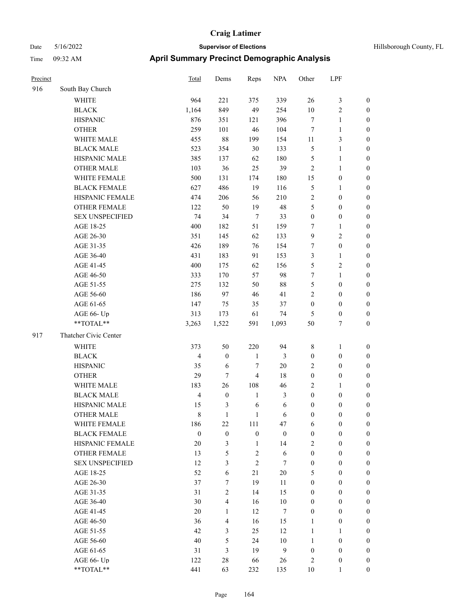| Hillsborough County, FL |  |  |
|-------------------------|--|--|
|-------------------------|--|--|

| Precinct |                        | Total            | Dems             | Reps             | <b>NPA</b>       | Other            | LPF              |                  |
|----------|------------------------|------------------|------------------|------------------|------------------|------------------|------------------|------------------|
| 916      | South Bay Church       |                  |                  |                  |                  |                  |                  |                  |
|          | <b>WHITE</b>           | 964              | 221              | 375              | 339              | 26               | $\mathfrak z$    | $\boldsymbol{0}$ |
|          | <b>BLACK</b>           | 1,164            | 849              | 49               | 254              | $10\,$           | 2                | $\boldsymbol{0}$ |
|          | <b>HISPANIC</b>        | 876              | 351              | 121              | 396              | $\tau$           | 1                | $\boldsymbol{0}$ |
|          | <b>OTHER</b>           | 259              | 101              | $46\,$           | 104              | $\tau$           | 1                | $\boldsymbol{0}$ |
|          | WHITE MALE             | 455              | $88\,$           | 199              | 154              | 11               | 3                | $\boldsymbol{0}$ |
|          | <b>BLACK MALE</b>      | 523              | 354              | $30\,$           | 133              | $\mathfrak{S}$   | 1                | $\boldsymbol{0}$ |
|          | HISPANIC MALE          | 385              | 137              | 62               | 180              | $\mathfrak{S}$   | 1                | $\boldsymbol{0}$ |
|          | <b>OTHER MALE</b>      | 103              | 36               | 25               | 39               | $\overline{2}$   | 1                | $\boldsymbol{0}$ |
|          | WHITE FEMALE           | 500              | 131              | 174              | 180              | 15               | $\boldsymbol{0}$ | $\boldsymbol{0}$ |
|          | <b>BLACK FEMALE</b>    | 627              | 486              | 19               | 116              | $\mathfrak{S}$   | 1                | $\boldsymbol{0}$ |
|          | HISPANIC FEMALE        | 474              | 206              | 56               | 210              | $\sqrt{2}$       | $\boldsymbol{0}$ | $\boldsymbol{0}$ |
|          | <b>OTHER FEMALE</b>    | 122              | 50               | 19               | 48               | 5                | $\boldsymbol{0}$ | $\boldsymbol{0}$ |
|          | <b>SEX UNSPECIFIED</b> | 74               | 34               | $\tau$           | 33               | $\boldsymbol{0}$ | $\boldsymbol{0}$ | $\boldsymbol{0}$ |
|          | AGE 18-25              | 400              | 182              | 51               | 159              | $\tau$           | 1                | $\boldsymbol{0}$ |
|          | AGE 26-30              | 351              | 145              | 62               | 133              | 9                | $\overline{c}$   | $\boldsymbol{0}$ |
|          | AGE 31-35              | 426              | 189              | 76               | 154              | 7                | $\boldsymbol{0}$ | $\boldsymbol{0}$ |
|          | AGE 36-40              | 431              | 183              | 91               | 153              | 3                | $\mathbf{1}$     | $\boldsymbol{0}$ |
|          | AGE 41-45              | 400              | 175              | 62               | 156              | 5                | 2                | $\boldsymbol{0}$ |
|          | AGE 46-50              | 333              | 170              | 57               | 98               | $\boldsymbol{7}$ | 1                | $\boldsymbol{0}$ |
|          | AGE 51-55              | 275              | 132              | 50               | 88               | $\mathfrak{S}$   | $\boldsymbol{0}$ | $\boldsymbol{0}$ |
|          | AGE 56-60              | 186              | 97               | 46               | 41               | $\sqrt{2}$       | $\boldsymbol{0}$ | $\boldsymbol{0}$ |
|          | AGE 61-65              | 147              | 75               | 35               | 37               | $\boldsymbol{0}$ | $\boldsymbol{0}$ | $\boldsymbol{0}$ |
|          | AGE 66- Up             | 313              | 173              | 61               | 74               | $\mathfrak{S}$   | $\boldsymbol{0}$ | $\boldsymbol{0}$ |
|          | **TOTAL**              | 3,263            | 1,522            | 591              | 1,093            | 50               | 7                | $\boldsymbol{0}$ |
| 917      | Thatcher Civic Center  |                  |                  |                  |                  |                  |                  |                  |
|          | WHITE                  | 373              | 50               | 220              | 94               | $\,$ 8 $\,$      | 1                | $\boldsymbol{0}$ |
|          | <b>BLACK</b>           | $\overline{4}$   | $\mathbf{0}$     | $\mathbf{1}$     | $\mathfrak{Z}$   | $\boldsymbol{0}$ | $\boldsymbol{0}$ | $\bf{0}$         |
|          | <b>HISPANIC</b>        | 35               | 6                | 7                | 20               | $\overline{2}$   | $\boldsymbol{0}$ | $\boldsymbol{0}$ |
|          | <b>OTHER</b>           | 29               | 7                | 4                | 18               | $\boldsymbol{0}$ | $\boldsymbol{0}$ | $\boldsymbol{0}$ |
|          | WHITE MALE             | 183              | 26               | 108              | 46               | $\overline{2}$   | 1                | $\boldsymbol{0}$ |
|          | <b>BLACK MALE</b>      | $\overline{4}$   | $\boldsymbol{0}$ | $\mathbf{1}$     | $\mathfrak{Z}$   | $\boldsymbol{0}$ | $\boldsymbol{0}$ | $\boldsymbol{0}$ |
|          | HISPANIC MALE          | 15               | 3                | 6                | 6                | $\boldsymbol{0}$ | 0                | $\boldsymbol{0}$ |
|          | <b>OTHER MALE</b>      | 8                | 1                | 1                | 6                | $\boldsymbol{0}$ | 0                | $\boldsymbol{0}$ |
|          | WHITE FEMALE           | 186              | 22               | 111              | 47               | 6                | $\boldsymbol{0}$ | $\boldsymbol{0}$ |
|          | <b>BLACK FEMALE</b>    | $\boldsymbol{0}$ | $\boldsymbol{0}$ | $\boldsymbol{0}$ | $\boldsymbol{0}$ | $\boldsymbol{0}$ | $\boldsymbol{0}$ | $\boldsymbol{0}$ |
|          | HISPANIC FEMALE        | 20               | 3                | $\mathbf{1}$     | 14               | $\sqrt{2}$       | $\boldsymbol{0}$ | $\boldsymbol{0}$ |
|          | <b>OTHER FEMALE</b>    | 13               | 5                | $\mathbf{2}$     | 6                | $\boldsymbol{0}$ | $\boldsymbol{0}$ | $\mathbf{0}$     |
|          | <b>SEX UNSPECIFIED</b> | 12               | 3                | $\overline{2}$   | $\tau$           | $\boldsymbol{0}$ | $\boldsymbol{0}$ | $\mathbf{0}$     |
|          | AGE 18-25              | 52               | 6                | 21               | $20\,$           | 5                | $\boldsymbol{0}$ | $\boldsymbol{0}$ |
|          | AGE 26-30              | 37               | $\tau$           | 19               | 11               | $\boldsymbol{0}$ | $\boldsymbol{0}$ | $\boldsymbol{0}$ |
|          | AGE 31-35              | 31               | $\overline{c}$   | 14               | 15               | $\boldsymbol{0}$ | $\boldsymbol{0}$ | $\boldsymbol{0}$ |
|          | AGE 36-40              | 30               | $\overline{4}$   | 16               | $10\,$           | $\boldsymbol{0}$ | $\boldsymbol{0}$ | $\boldsymbol{0}$ |
|          | AGE 41-45              | 20               | $\mathbf{1}$     | 12               | $\boldsymbol{7}$ | $\boldsymbol{0}$ | $\boldsymbol{0}$ | $\boldsymbol{0}$ |
|          | AGE 46-50              | 36               | $\overline{4}$   | 16               | 15               | $\mathbf{1}$     | $\boldsymbol{0}$ | $\boldsymbol{0}$ |
|          | AGE 51-55              | 42               | $\mathfrak{Z}$   | 25               | 12               | $\mathbf{1}$     | $\mathbf{1}$     | $\boldsymbol{0}$ |
|          | AGE 56-60              | 40               | 5                | 24               | $10\,$           | $\mathbf{1}$     | $\boldsymbol{0}$ | $\boldsymbol{0}$ |
|          | AGE 61-65              | 31               | $\mathfrak{Z}$   | 19               | $\mathbf{9}$     | $\boldsymbol{0}$ | $\boldsymbol{0}$ | $\mathbf{0}$     |
|          | AGE 66- Up             | 122              | $28\,$           | 66               | 26               | $\overline{2}$   | $\boldsymbol{0}$ | $\mathbf{0}$     |
|          | **TOTAL**              | 441              | 63               | 232              | 135              | $10\,$           |                  | $\boldsymbol{0}$ |
|          |                        |                  |                  |                  |                  |                  |                  |                  |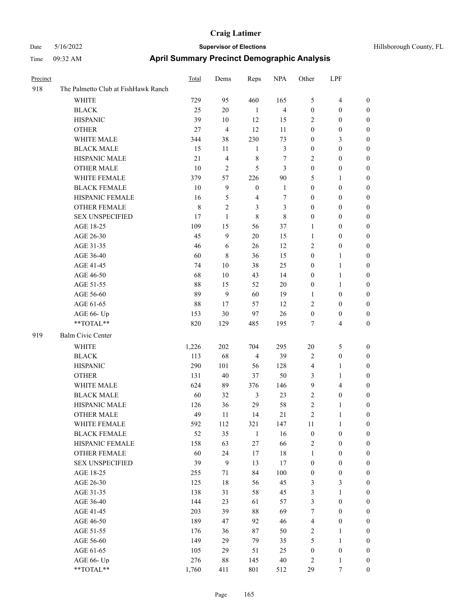| Hillsborough County, FL |  |
|-------------------------|--|
|                         |  |

| Precinct |                                     | <b>Total</b> | Dems                    | Reps             | <b>NPA</b>              | Other            | LPF              |                  |
|----------|-------------------------------------|--------------|-------------------------|------------------|-------------------------|------------------|------------------|------------------|
| 918      | The Palmetto Club at FishHawk Ranch |              |                         |                  |                         |                  |                  |                  |
|          | <b>WHITE</b>                        | 729          | 95                      | 460              | 165                     | 5                | $\overline{4}$   | 0                |
|          | <b>BLACK</b>                        | 25           | 20                      | $\mathbf{1}$     | $\overline{\mathbf{4}}$ | $\boldsymbol{0}$ | $\boldsymbol{0}$ | 0                |
|          | <b>HISPANIC</b>                     | 39           | 10                      | 12               | 15                      | 2                | $\boldsymbol{0}$ | 0                |
|          | <b>OTHER</b>                        | 27           | $\overline{\mathbf{4}}$ | 12               | 11                      | $\boldsymbol{0}$ | $\boldsymbol{0}$ | $\boldsymbol{0}$ |
|          | WHITE MALE                          | 344          | 38                      | 230              | 73                      | $\boldsymbol{0}$ | $\mathfrak{Z}$   | $\boldsymbol{0}$ |
|          | <b>BLACK MALE</b>                   | 15           | 11                      | $\mathbf{1}$     | $\mathfrak{Z}$          | $\boldsymbol{0}$ | $\boldsymbol{0}$ | $\boldsymbol{0}$ |
|          | HISPANIC MALE                       | 21           | $\overline{\mathbf{4}}$ | 8                | 7                       | 2                | $\boldsymbol{0}$ | $\boldsymbol{0}$ |
|          | <b>OTHER MALE</b>                   | $10\,$       | $\mathfrak{2}$          | 5                | $\mathfrak{Z}$          | $\boldsymbol{0}$ | $\boldsymbol{0}$ | $\boldsymbol{0}$ |
|          | WHITE FEMALE                        | 379          | 57                      | 226              | $90\,$                  | 5                | 1                | 0                |
|          | <b>BLACK FEMALE</b>                 | $10\,$       | 9                       | $\boldsymbol{0}$ | $\mathbf{1}$            | $\boldsymbol{0}$ | $\boldsymbol{0}$ | 0                |
|          | HISPANIC FEMALE                     | 16           | 5                       | $\overline{4}$   | $\tau$                  | 0                | $\boldsymbol{0}$ | 0                |
|          | <b>OTHER FEMALE</b>                 | $\,8\,$      | $\mathfrak{2}$          | 3                | 3                       | $\boldsymbol{0}$ | $\boldsymbol{0}$ | 0                |
|          | <b>SEX UNSPECIFIED</b>              | 17           | $\mathbf{1}$            | $\,8\,$          | $8\,$                   | $\boldsymbol{0}$ | 0                | 0                |
|          | AGE 18-25                           | 109          | 15                      | 56               | 37                      | 1                | 0                | $\boldsymbol{0}$ |
|          | AGE 26-30                           | 45           | 9                       | $20\,$           | 15                      | $\mathbf{1}$     | $\boldsymbol{0}$ | $\boldsymbol{0}$ |
|          | AGE 31-35                           | 46           | 6                       | 26               | 12                      | 2                | $\boldsymbol{0}$ | 0                |
|          | AGE 36-40                           | 60           | $8\,$                   | 36               | 15                      | 0                | $\mathbf{1}$     | 0                |
|          | AGE 41-45                           | 74           | 10                      | 38               | 25                      | $\boldsymbol{0}$ | $\mathbf{1}$     | 0                |
|          | AGE 46-50                           | 68           | 10                      | 43               | 14                      | $\boldsymbol{0}$ | $\mathbf{1}$     | 0                |
|          | AGE 51-55                           | 88           | 15                      | 52               | $20\,$                  | $\boldsymbol{0}$ | $\mathbf{1}$     | 0                |
|          | AGE 56-60                           | 89           | 9                       | 60               | 19                      | 1                | $\boldsymbol{0}$ | 0                |
|          | AGE 61-65                           | 88           | 17                      | 57               | 12                      | 2                | $\boldsymbol{0}$ | 0                |
|          | AGE 66- Up                          | 153          | 30                      | 97               | 26                      | $\boldsymbol{0}$ | $\boldsymbol{0}$ | 0                |
|          | **TOTAL**                           | 820          | 129                     | 485              | 195                     | 7                | $\overline{4}$   | $\boldsymbol{0}$ |
| 919      | Balm Civic Center                   |              |                         |                  |                         |                  |                  |                  |
|          | WHITE                               | 1,226        | 202                     | 704              | 295                     | 20               | 5                | 0                |
|          | <b>BLACK</b>                        | 113          | 68                      | $\overline{4}$   | 39                      | 2                | $\boldsymbol{0}$ | $\boldsymbol{0}$ |
|          | <b>HISPANIC</b>                     | 290          | 101                     | 56               | 128                     | 4                | $\mathbf{1}$     | 0                |
|          | <b>OTHER</b>                        | 131          | 40                      | 37               | 50                      | 3                | $\mathbf{1}$     | 0                |
|          | WHITE MALE                          | 624          | 89                      | 376              | 146                     | 9                | $\overline{4}$   | 0                |
|          | <b>BLACK MALE</b>                   | 60           | 32                      | 3                | 23                      | 2                | $\boldsymbol{0}$ | 0                |
|          | HISPANIC MALE                       | 126          | 36                      | 29               | 58                      | 2                | 1                | $\boldsymbol{0}$ |
|          | <b>OTHER MALE</b>                   | 49           | 11                      | 14               | 21                      | 2                | 1                | $\boldsymbol{0}$ |
|          | WHITE FEMALE                        | 592          | 112                     | 321              | 147                     | 11               | $\mathbf{1}$     | 0                |
|          | <b>BLACK FEMALE</b>                 | 52           | 35                      | $\mathbf{1}$     | 16                      | $\boldsymbol{0}$ | $\boldsymbol{0}$ | 0                |
|          | HISPANIC FEMALE                     | 158          | 63                      | 27               | 66                      | 2                | $\boldsymbol{0}$ | $\overline{0}$   |
|          | <b>OTHER FEMALE</b>                 | 60           | 24                      | 17               | 18                      | $\mathbf{1}$     | $\boldsymbol{0}$ | 0                |
|          | <b>SEX UNSPECIFIED</b>              | 39           | $\boldsymbol{9}$        | 13               | 17                      | $\boldsymbol{0}$ | $\boldsymbol{0}$ | 0                |
|          | AGE 18-25                           | 255          | 71                      | 84               | 100                     | $\boldsymbol{0}$ | $\boldsymbol{0}$ | 0                |
|          | AGE 26-30                           | 125          | 18                      | 56               | 45                      | 3                | $\mathfrak{Z}$   | 0                |
|          | AGE 31-35                           | 138          | 31                      | 58               | 45                      | 3                | $\mathbf{1}$     | 0                |
|          | AGE 36-40                           | 144          | 23                      | 61               | 57                      | 3                | $\boldsymbol{0}$ | 0                |
|          | AGE 41-45                           | 203          | 39                      | 88               | 69                      | $\boldsymbol{7}$ | $\boldsymbol{0}$ | 0                |
|          | AGE 46-50                           | 189          | 47                      | 92               | 46                      | 4                | $\boldsymbol{0}$ | 0                |
|          | AGE 51-55                           | 176          | 36                      | 87               | 50                      | 2                | $\mathbf{1}$     | $\boldsymbol{0}$ |
|          | AGE 56-60                           | 149          | 29                      | 79               | 35                      | 5                | $\mathbf{1}$     | $\boldsymbol{0}$ |
|          | AGE 61-65                           | 105          | 29                      | 51               | 25                      | $\boldsymbol{0}$ | $\boldsymbol{0}$ | 0                |
|          | AGE 66- Up                          | 276          | $88\,$                  | 145              | $40\,$                  | 2                | $\mathbf{1}$     | 0                |
|          | $**TOTAL**$                         | 1,760        | 411                     | 801              | 512                     | 29               | 7                | $\overline{0}$   |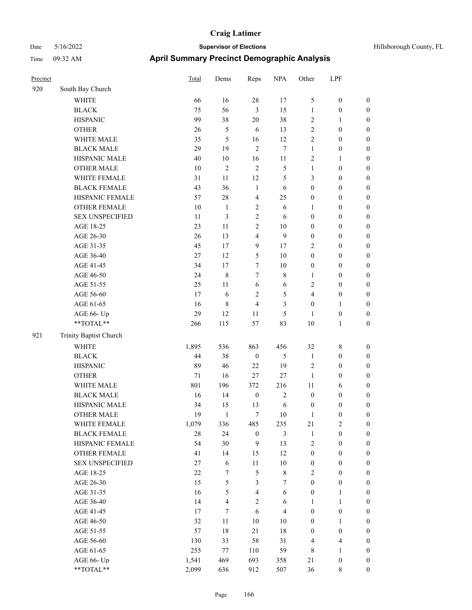| Precinct |                        | <b>Total</b> | Dems           | Reps                    | <b>NPA</b>     | Other            | LPF              |                  |
|----------|------------------------|--------------|----------------|-------------------------|----------------|------------------|------------------|------------------|
| 920      | South Bay Church       |              |                |                         |                |                  |                  |                  |
|          | <b>WHITE</b>           | 66           | 16             | $28\,$                  | 17             | 5                | $\boldsymbol{0}$ | $\boldsymbol{0}$ |
|          | <b>BLACK</b>           | 75           | 56             | $\mathfrak{Z}$          | 15             | $\mathbf{1}$     | $\boldsymbol{0}$ | $\boldsymbol{0}$ |
|          | <b>HISPANIC</b>        | 99           | 38             | $20\,$                  | 38             | $\sqrt{2}$       | 1                | $\boldsymbol{0}$ |
|          | <b>OTHER</b>           | 26           | 5              | 6                       | 13             | $\overline{2}$   | $\boldsymbol{0}$ | $\boldsymbol{0}$ |
|          | WHITE MALE             | 35           | 5              | 16                      | 12             | $\sqrt{2}$       | $\boldsymbol{0}$ | $\boldsymbol{0}$ |
|          | <b>BLACK MALE</b>      | 29           | 19             | $\overline{2}$          | $\overline{7}$ | $\mathbf{1}$     | $\boldsymbol{0}$ | $\boldsymbol{0}$ |
|          | HISPANIC MALE          | 40           | $10\,$         | 16                      | 11             | $\overline{2}$   | 1                | $\boldsymbol{0}$ |
|          | <b>OTHER MALE</b>      | 10           | $\mathfrak{2}$ | $\overline{2}$          | 5              | $\mathbf{1}$     | $\boldsymbol{0}$ | $\boldsymbol{0}$ |
|          | WHITE FEMALE           | 31           | 11             | 12                      | 5              | $\mathfrak{Z}$   | $\boldsymbol{0}$ | $\boldsymbol{0}$ |
|          | <b>BLACK FEMALE</b>    | 43           | 36             | $\mathbf{1}$            | 6              | $\boldsymbol{0}$ | $\boldsymbol{0}$ | $\boldsymbol{0}$ |
|          | HISPANIC FEMALE        | 57           | 28             | 4                       | 25             | $\boldsymbol{0}$ | $\boldsymbol{0}$ | $\boldsymbol{0}$ |
|          | <b>OTHER FEMALE</b>    | 10           | $\mathbf{1}$   | $\overline{2}$          | 6              | 1                | $\boldsymbol{0}$ | $\boldsymbol{0}$ |
|          | <b>SEX UNSPECIFIED</b> | 11           | 3              | $\sqrt{2}$              | 6              | $\boldsymbol{0}$ | $\boldsymbol{0}$ | $\boldsymbol{0}$ |
|          | AGE 18-25              | 23           | 11             | $\mathfrak{2}$          | 10             | $\boldsymbol{0}$ | $\boldsymbol{0}$ | $\boldsymbol{0}$ |
|          | AGE 26-30              | 26           | 13             | 4                       | 9              | $\mathbf{0}$     | $\boldsymbol{0}$ | $\boldsymbol{0}$ |
|          | AGE 31-35              | 45           | 17             | 9                       | 17             | $\overline{c}$   | $\boldsymbol{0}$ | $\boldsymbol{0}$ |
|          | AGE 36-40              | 27           | 12             | 5                       | 10             | $\boldsymbol{0}$ | $\boldsymbol{0}$ | $\boldsymbol{0}$ |
|          | AGE 41-45              | 34           | 17             | 7                       | $10\,$         | $\boldsymbol{0}$ | $\boldsymbol{0}$ | $\boldsymbol{0}$ |
|          | AGE 46-50              | 24           | $\,8\,$        | $\tau$                  | 8              | $\mathbf{1}$     | $\boldsymbol{0}$ | $\boldsymbol{0}$ |
|          | AGE 51-55              | 25           | 11             | 6                       | 6              | $\overline{2}$   | $\boldsymbol{0}$ | $\boldsymbol{0}$ |
|          | AGE 56-60              | 17           | 6              | $\mathfrak{2}$          | 5              | $\overline{4}$   | $\boldsymbol{0}$ | $\boldsymbol{0}$ |
|          | AGE 61-65              | 16           | 8              | $\overline{4}$          | 3              | $\boldsymbol{0}$ | 1                | $\boldsymbol{0}$ |
|          | AGE 66- Up             | 29           | 12             | 11                      | 5              | $\mathbf{1}$     | $\boldsymbol{0}$ | $\boldsymbol{0}$ |
|          | **TOTAL**              | 266          | 115            | 57                      | 83             | 10               | 1                | $\boldsymbol{0}$ |
| 921      | Trinity Baptist Church |              |                |                         |                |                  |                  |                  |
|          | <b>WHITE</b>           | 1,895        | 536            | 863                     | 456            | 32               | 8                | $\boldsymbol{0}$ |
|          | <b>BLACK</b>           | 44           | 38             | $\boldsymbol{0}$        | 5              | $\mathbf{1}$     | $\boldsymbol{0}$ | $\boldsymbol{0}$ |
|          | <b>HISPANIC</b>        | 89           | 46             | $22\,$                  | 19             | $\sqrt{2}$       | $\boldsymbol{0}$ | $\boldsymbol{0}$ |
|          | <b>OTHER</b>           | $71\,$       | 16             | 27                      | 27             | 1                | $\boldsymbol{0}$ | $\boldsymbol{0}$ |
|          | WHITE MALE             | 801          | 196            | 372                     | 216            | 11               | 6                | $\boldsymbol{0}$ |
|          | <b>BLACK MALE</b>      | 16           | 14             | $\boldsymbol{0}$        | $\overline{2}$ | $\boldsymbol{0}$ | $\boldsymbol{0}$ | $\boldsymbol{0}$ |
|          | HISPANIC MALE          | 34           | 15             | 13                      | 6              | $\boldsymbol{0}$ | 0                | $\boldsymbol{0}$ |
|          | <b>OTHER MALE</b>      | 19           | -1             | 7                       | 10             | 1                | 0                | $\boldsymbol{0}$ |
|          | WHITE FEMALE           | 1,079        | 336            | 485                     | 235            | 21               | $\sqrt{2}$       | $\boldsymbol{0}$ |
|          | <b>BLACK FEMALE</b>    | 28           | 24             | $\boldsymbol{0}$        | $\mathfrak{Z}$ | $\mathbf{1}$     | $\boldsymbol{0}$ | $\boldsymbol{0}$ |
|          | HISPANIC FEMALE        | 54           | 30             | $\mathbf{9}$            | 13             | $\sqrt{2}$       | $\boldsymbol{0}$ | $\boldsymbol{0}$ |
|          | <b>OTHER FEMALE</b>    | 41           | 14             | 15                      | 12             | $\boldsymbol{0}$ | $\boldsymbol{0}$ | $\boldsymbol{0}$ |
|          | <b>SEX UNSPECIFIED</b> | $27\,$       | 6              | $11\,$                  | $10\,$         | $\boldsymbol{0}$ | $\boldsymbol{0}$ | $\boldsymbol{0}$ |
|          | AGE 18-25              | $22\,$       | $\tau$         | $\sqrt{5}$              | $\,8\,$        | $\sqrt{2}$       | $\boldsymbol{0}$ | $\boldsymbol{0}$ |
|          | AGE 26-30              | 15           | 5              | $\mathfrak{Z}$          | 7              | $\boldsymbol{0}$ | $\boldsymbol{0}$ | $\boldsymbol{0}$ |
|          | AGE 31-35              | 16           | 5              | $\overline{\mathbf{4}}$ | 6              | $\boldsymbol{0}$ | $\mathbf{1}$     | $\boldsymbol{0}$ |
|          | AGE 36-40              | 14           | $\overline{4}$ | $\overline{2}$          | 6              | $\mathbf{1}$     | $\mathbf{1}$     | $\boldsymbol{0}$ |
|          | AGE 41-45              | 17           | $\tau$         | $\sqrt{6}$              | $\overline{4}$ | $\boldsymbol{0}$ | $\boldsymbol{0}$ | $\boldsymbol{0}$ |
|          | AGE 46-50              | 32           | 11             | $10\,$                  | 10             | $\boldsymbol{0}$ | $\mathbf{1}$     | $\boldsymbol{0}$ |
|          | AGE 51-55              | 57           | $18\,$         | 21                      | $18\,$         | $\boldsymbol{0}$ | $\boldsymbol{0}$ | $\boldsymbol{0}$ |
|          | AGE 56-60              | 130          | 33             | 58                      | 31             | $\overline{4}$   | 4                | $\boldsymbol{0}$ |
|          | AGE 61-65              | 255          | 77             | 110                     | 59             | $\,$ 8 $\,$      | $\mathbf{1}$     | $\boldsymbol{0}$ |
|          | AGE 66- Up             | 1,541        | 469            | 693                     | 358            | 21               | $\boldsymbol{0}$ | $\mathbf{0}$     |
|          | **TOTAL**              | 2,099        | 636            | 912                     | 507            | 36               | 8                | $\overline{0}$   |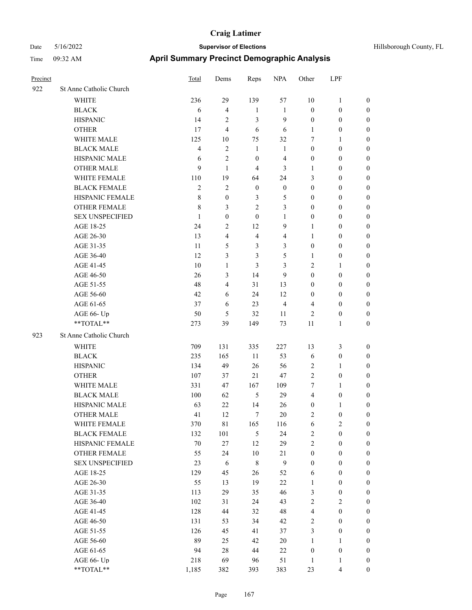| Precinct |                         | Total          | Dems             | Reps             | <b>NPA</b>     | Other            | LPF                     |                  |
|----------|-------------------------|----------------|------------------|------------------|----------------|------------------|-------------------------|------------------|
| 922      | St Anne Catholic Church |                |                  |                  |                |                  |                         |                  |
|          | <b>WHITE</b>            | 236            | 29               | 139              | 57             | 10               | $\mathbf{1}$            | $\boldsymbol{0}$ |
|          | <b>BLACK</b>            | 6              | $\overline{4}$   | $\mathbf{1}$     | $\mathbf{1}$   | $\boldsymbol{0}$ | $\boldsymbol{0}$        | $\boldsymbol{0}$ |
|          | <b>HISPANIC</b>         | 14             | $\mathfrak{2}$   | 3                | 9              | $\boldsymbol{0}$ | $\boldsymbol{0}$        | $\boldsymbol{0}$ |
|          | <b>OTHER</b>            | 17             | $\overline{4}$   | 6                | 6              | 1                | $\boldsymbol{0}$        | $\boldsymbol{0}$ |
|          | WHITE MALE              | 125            | 10               | 75               | 32             | $\tau$           | $\mathbf{1}$            | $\boldsymbol{0}$ |
|          | <b>BLACK MALE</b>       | $\overline{4}$ | 2                | 1                | 1              | $\boldsymbol{0}$ | $\boldsymbol{0}$        | $\boldsymbol{0}$ |
|          | HISPANIC MALE           | 6              | 2                | $\boldsymbol{0}$ | 4              | $\boldsymbol{0}$ | $\boldsymbol{0}$        | $\boldsymbol{0}$ |
|          | <b>OTHER MALE</b>       | 9              | $\mathbf{1}$     | $\overline{4}$   | 3              | 1                | $\boldsymbol{0}$        | $\boldsymbol{0}$ |
|          | WHITE FEMALE            | 110            | 19               | 64               | 24             | 3                | $\boldsymbol{0}$        | $\boldsymbol{0}$ |
|          | <b>BLACK FEMALE</b>     | $\mathfrak{2}$ | $\overline{2}$   | $\boldsymbol{0}$ | $\mathbf{0}$   | $\boldsymbol{0}$ | $\boldsymbol{0}$        | $\boldsymbol{0}$ |
|          | HISPANIC FEMALE         | $\,$ 8 $\,$    | $\boldsymbol{0}$ | 3                | 5              | $\mathbf{0}$     | $\boldsymbol{0}$        | $\boldsymbol{0}$ |
|          | <b>OTHER FEMALE</b>     | $\,$ 8 $\,$    | 3                | $\overline{c}$   | 3              | $\mathbf{0}$     | $\boldsymbol{0}$        | $\boldsymbol{0}$ |
|          | <b>SEX UNSPECIFIED</b>  | 1              | $\overline{0}$   | $\mathbf{0}$     | 1              | $\boldsymbol{0}$ | $\boldsymbol{0}$        | $\boldsymbol{0}$ |
|          | AGE 18-25               | 24             | 2                | 12               | 9              | 1                | $\boldsymbol{0}$        | $\boldsymbol{0}$ |
|          | AGE 26-30               | 13             | $\overline{4}$   | $\overline{4}$   | $\overline{4}$ | 1                | $\boldsymbol{0}$        | $\boldsymbol{0}$ |
|          | AGE 31-35               | 11             | 5                | 3                | 3              | $\boldsymbol{0}$ | $\boldsymbol{0}$        | $\boldsymbol{0}$ |
|          | AGE 36-40               | 12             | 3                | 3                | 5              | 1                | $\boldsymbol{0}$        | $\boldsymbol{0}$ |
|          | AGE 41-45               | 10             | $\mathbf{1}$     | 3                | 3              | $\overline{2}$   | 1                       | $\boldsymbol{0}$ |
|          | AGE 46-50               | 26             | 3                | 14               | 9              | $\boldsymbol{0}$ | $\boldsymbol{0}$        | $\boldsymbol{0}$ |
|          | AGE 51-55               | 48             | $\overline{4}$   | 31               | 13             | $\boldsymbol{0}$ | $\boldsymbol{0}$        | $\boldsymbol{0}$ |
|          | AGE 56-60               | 42             | 6                | 24               | 12             | $\mathbf{0}$     | $\boldsymbol{0}$        | $\boldsymbol{0}$ |
|          | AGE 61-65               | 37             | 6                | 23               | $\overline{4}$ | $\overline{4}$   | $\boldsymbol{0}$        | $\boldsymbol{0}$ |
|          | AGE 66- Up              | 50             | 5                | 32               | 11             | $\overline{2}$   | $\boldsymbol{0}$        | $\boldsymbol{0}$ |
|          | **TOTAL**               | 273            | 39               | 149              | 73             | 11               | 1                       | $\boldsymbol{0}$ |
| 923      | St Anne Catholic Church |                |                  |                  |                |                  |                         |                  |
|          | <b>WHITE</b>            | 709            | 131              | 335              | 227            | 13               | 3                       | $\boldsymbol{0}$ |
|          | <b>BLACK</b>            | 235            | 165              | 11               | 53             | 6                | $\boldsymbol{0}$        | $\boldsymbol{0}$ |
|          | <b>HISPANIC</b>         | 134            | 49               | 26               | 56             | $\sqrt{2}$       | 1                       | $\boldsymbol{0}$ |
|          | <b>OTHER</b>            | 107            | 37               | 21               | 47             | $\sqrt{2}$       | $\boldsymbol{0}$        | $\boldsymbol{0}$ |
|          | WHITE MALE              | 331            | 47               | 167              | 109            | 7                | 1                       | $\boldsymbol{0}$ |
|          | <b>BLACK MALE</b>       | 100            | 62               | 5                | 29             | $\overline{4}$   | $\boldsymbol{0}$        | $\boldsymbol{0}$ |
|          | HISPANIC MALE           | 63             | 22               | 14               | 26             | $\boldsymbol{0}$ | 1                       | $\boldsymbol{0}$ |
|          | <b>OTHER MALE</b>       | 41             | 12               | 7                | 20             | $\overline{2}$   | 0                       | $\boldsymbol{0}$ |
|          | WHITE FEMALE            | 370            | 81               | 165              | 116            | 6                | $\overline{\mathbf{c}}$ | $\boldsymbol{0}$ |
|          | <b>BLACK FEMALE</b>     | 132            | 101              | $\mathfrak{H}$   | 24             | $\sqrt{2}$       | $\boldsymbol{0}$        | $\boldsymbol{0}$ |
|          | HISPANIC FEMALE         | $70\,$         | 27               | 12               | 29             | $\sqrt{2}$       | $\boldsymbol{0}$        | $\boldsymbol{0}$ |
|          | <b>OTHER FEMALE</b>     | 55             | 24               | $10\,$           | 21             | $\boldsymbol{0}$ | $\boldsymbol{0}$        | $\boldsymbol{0}$ |
|          | <b>SEX UNSPECIFIED</b>  | 23             | $\sqrt{6}$       | $\,$ 8 $\,$      | $\overline{9}$ | $\boldsymbol{0}$ | $\boldsymbol{0}$        | $\boldsymbol{0}$ |
|          | AGE 18-25               | 129            | 45               | 26               | 52             | 6                | $\boldsymbol{0}$        | $\boldsymbol{0}$ |
|          | AGE 26-30               | 55             | 13               | 19               | $22\,$         | $\mathbf{1}$     | $\boldsymbol{0}$        | $\boldsymbol{0}$ |
|          | AGE 31-35               | 113            | 29               | 35               | 46             | $\mathfrak{Z}$   | $\boldsymbol{0}$        | $\boldsymbol{0}$ |
|          | AGE 36-40               | 102            | 31               | 24               | 43             | $\sqrt{2}$       | $\mathbf{2}$            | $\boldsymbol{0}$ |
|          | AGE 41-45               | 128            | 44               | 32               | 48             | $\overline{4}$   | $\boldsymbol{0}$        | $\boldsymbol{0}$ |
|          | AGE 46-50               | 131            | 53               | 34               | 42             | $\sqrt{2}$       | $\boldsymbol{0}$        | $\boldsymbol{0}$ |
|          | AGE 51-55               | 126            | 45               | 41               | 37             | $\mathfrak{Z}$   | $\boldsymbol{0}$        | $\boldsymbol{0}$ |
|          | AGE 56-60               | 89             | 25               | 42               | $20\,$         | $\mathbf{1}$     | $\mathbf{1}$            | $\boldsymbol{0}$ |
|          | AGE 61-65               | 94             | $28\,$           | $44\,$           | $22\,$         | $\boldsymbol{0}$ | $\boldsymbol{0}$        | $\boldsymbol{0}$ |
|          | AGE 66- Up              | 218            | 69               | 96               | 51             | 1                | 1                       | $\boldsymbol{0}$ |
|          | $**TOTAL**$             | 1,185          | 382              | 393              | 383            | 23               | 4                       | $\boldsymbol{0}$ |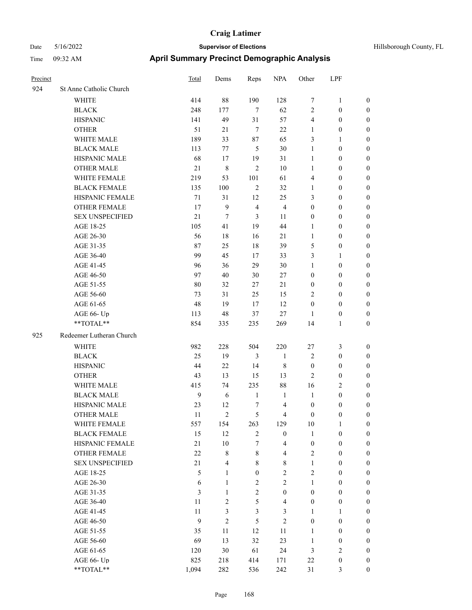| Hillsborough County, FL |  |
|-------------------------|--|
|                         |  |

| Precinct |                          | Total            | Dems           | Reps             | <b>NPA</b>              | Other                   | LPF              |                  |
|----------|--------------------------|------------------|----------------|------------------|-------------------------|-------------------------|------------------|------------------|
| 924      | St Anne Catholic Church  |                  |                |                  |                         |                         |                  |                  |
|          | <b>WHITE</b>             | 414              | 88             | 190              | 128                     | $\boldsymbol{7}$        | $\mathbf{1}$     | $\boldsymbol{0}$ |
|          | <b>BLACK</b>             | 248              | 177            | 7                | 62                      | $\mathfrak{2}$          | $\boldsymbol{0}$ | $\boldsymbol{0}$ |
|          | <b>HISPANIC</b>          | 141              | 49             | 31               | 57                      | $\overline{\mathbf{4}}$ | $\boldsymbol{0}$ | $\boldsymbol{0}$ |
|          | <b>OTHER</b>             | 51               | 21             | $\tau$           | $22\,$                  | 1                       | $\boldsymbol{0}$ | $\boldsymbol{0}$ |
|          | WHITE MALE               | 189              | 33             | 87               | 65                      | 3                       | $\mathbf{1}$     | 0                |
|          | <b>BLACK MALE</b>        | 113              | 77             | 5                | 30                      | $\mathbf{1}$            | $\boldsymbol{0}$ | 0                |
|          | HISPANIC MALE            | 68               | 17             | 19               | 31                      | $\mathbf{1}$            | $\boldsymbol{0}$ | 0                |
|          | <b>OTHER MALE</b>        | 21               | 8              | $\overline{2}$   | 10                      | $\mathbf{1}$            | $\boldsymbol{0}$ | $\boldsymbol{0}$ |
|          | WHITE FEMALE             | 219              | 53             | 101              | 61                      | 4                       | $\boldsymbol{0}$ | $\boldsymbol{0}$ |
|          | <b>BLACK FEMALE</b>      | 135              | 100            | $\overline{2}$   | 32                      | $\mathbf{1}$            | $\boldsymbol{0}$ | $\boldsymbol{0}$ |
|          | HISPANIC FEMALE          | 71               | 31             | 12               | 25                      | 3                       | $\boldsymbol{0}$ | $\boldsymbol{0}$ |
|          | OTHER FEMALE             | 17               | 9              | $\overline{4}$   | $\overline{4}$          | $\boldsymbol{0}$        | $\boldsymbol{0}$ | $\boldsymbol{0}$ |
|          | <b>SEX UNSPECIFIED</b>   | 21               | $\tau$         | 3                | $11\,$                  | $\boldsymbol{0}$        | $\boldsymbol{0}$ | $\boldsymbol{0}$ |
|          | AGE 18-25                | 105              | 41             | 19               | 44                      | $\mathbf{1}$            | $\boldsymbol{0}$ | $\boldsymbol{0}$ |
|          | AGE 26-30                | 56               | $18\,$         | 16               | 21                      | $\mathbf{1}$            | $\boldsymbol{0}$ | 0                |
|          | AGE 31-35                | 87               | 25             | 18               | 39                      | 5                       | $\boldsymbol{0}$ | 0                |
|          | AGE 36-40                | 99               | 45             | 17               | 33                      | 3                       | $\mathbf{1}$     | 0                |
|          | AGE 41-45                | 96               | 36             | 29               | 30                      | 1                       | $\boldsymbol{0}$ | $\boldsymbol{0}$ |
|          | AGE 46-50                | 97               | 40             | 30               | $27\,$                  | $\boldsymbol{0}$        | $\boldsymbol{0}$ | $\boldsymbol{0}$ |
|          | AGE 51-55                | 80               | 32             | 27               | 21                      | $\boldsymbol{0}$        | $\boldsymbol{0}$ | $\boldsymbol{0}$ |
|          | AGE 56-60                | 73               | 31             | 25               | 15                      | $\overline{c}$          | $\boldsymbol{0}$ | $\boldsymbol{0}$ |
|          | AGE 61-65                | 48               | 19             | 17               | $12\,$                  | $\boldsymbol{0}$        | $\boldsymbol{0}$ | $\boldsymbol{0}$ |
|          | AGE 66- Up               | 113              | 48             | 37               | 27                      | $\mathbf{1}$            | $\boldsymbol{0}$ | $\boldsymbol{0}$ |
|          | **TOTAL**                | 854              | 335            | 235              | 269                     | 14                      | $\mathbf{1}$     | $\boldsymbol{0}$ |
| 925      | Redeemer Lutheran Church |                  |                |                  |                         |                         |                  |                  |
|          | <b>WHITE</b>             | 982              | 228            | 504              | 220                     | 27                      | $\mathfrak{Z}$   | $\boldsymbol{0}$ |
|          | <b>BLACK</b>             | 25               | 19             | 3                | $\mathbf{1}$            | $\mathbf{2}$            | $\boldsymbol{0}$ | $\boldsymbol{0}$ |
|          | <b>HISPANIC</b>          | 44               | 22             | 14               | $\,$ 8 $\,$             | $\boldsymbol{0}$        | $\boldsymbol{0}$ | 0                |
|          | <b>OTHER</b>             | 43               | 13             | 15               | 13                      | $\overline{2}$          | $\boldsymbol{0}$ | 0                |
|          | WHITE MALE               | 415              | 74             | 235              | $88\,$                  | 16                      | $\overline{2}$   | $\boldsymbol{0}$ |
|          | <b>BLACK MALE</b>        | 9                | 6              | $\mathbf{1}$     | $\mathbf{1}$            | $\mathbf{1}$            | $\boldsymbol{0}$ | $\boldsymbol{0}$ |
|          | HISPANIC MALE            | 23               | 12             | 7                | $\overline{4}$          | $\boldsymbol{0}$        | $\boldsymbol{0}$ | $\boldsymbol{0}$ |
|          | <b>OTHER MALE</b>        | 11               | $\overline{c}$ | 5                | $\overline{4}$          | $\boldsymbol{0}$        | $\boldsymbol{0}$ | $\boldsymbol{0}$ |
|          | WHITE FEMALE             | 557              | 154            | 263              | 129                     | $10\,$                  | $\mathbf{1}$     | $\overline{0}$   |
|          | <b>BLACK FEMALE</b>      | 15               | 12             | $\sqrt{2}$       | $\boldsymbol{0}$        | $\mathbf{1}$            | $\boldsymbol{0}$ | $\overline{0}$   |
|          | HISPANIC FEMALE          | 21               | $10\,$         | 7                | $\overline{\mathbf{4}}$ | $\boldsymbol{0}$        | $\boldsymbol{0}$ | $\overline{0}$   |
|          | OTHER FEMALE             | $22\,$           | $8\,$          | $\,$ 8 $\,$      | $\overline{4}$          | 2                       | $\boldsymbol{0}$ | 0                |
|          | <b>SEX UNSPECIFIED</b>   | 21               | $\overline{4}$ | $\,$ 8 $\,$      | $8\,$                   | $\mathbf{1}$            | $\boldsymbol{0}$ | 0                |
|          | AGE 18-25                | 5                | 1              | $\boldsymbol{0}$ | $\sqrt{2}$              | $\mathbf{2}$            | $\boldsymbol{0}$ | $\boldsymbol{0}$ |
|          | AGE 26-30                | 6                | $\mathbf{1}$   | $\sqrt{2}$       | $\overline{2}$          | $\mathbf{1}$            | $\boldsymbol{0}$ | $\overline{0}$   |
|          | AGE 31-35                | 3                | $\mathbf{1}$   | $\sqrt{2}$       | $\boldsymbol{0}$        | $\boldsymbol{0}$        | $\boldsymbol{0}$ | $\overline{0}$   |
|          | AGE 36-40                | 11               | 2              | 5                | $\overline{\mathbf{4}}$ | $\boldsymbol{0}$        | $\boldsymbol{0}$ | $\overline{0}$   |
|          | AGE 41-45                | 11               | 3              | 3                | $\mathfrak{Z}$          | 1                       | $\mathbf{1}$     | $\overline{0}$   |
|          | AGE 46-50                | $\boldsymbol{9}$ | $\overline{c}$ | $\mathfrak s$    | $\sqrt{2}$              | $\boldsymbol{0}$        | $\boldsymbol{0}$ | $\overline{0}$   |
|          | AGE 51-55                | 35               | 11             | 12               | $11\,$                  | $\mathbf{1}$            | $\boldsymbol{0}$ | $\overline{0}$   |
|          | AGE 56-60                | 69               | 13             | 32               | 23                      | $\mathbf{1}$            | $\boldsymbol{0}$ | $\overline{0}$   |
|          | AGE 61-65                | 120              | 30             | 61               | 24                      | 3                       | $\sqrt{2}$       | $\boldsymbol{0}$ |
|          | AGE 66- Up               | 825              | 218            | 414              | 171                     | $22\,$                  | $\boldsymbol{0}$ | 0                |
|          | **TOTAL**                | 1,094            | 282            | 536              | 242                     | 31                      | $\mathfrak{Z}$   | $\boldsymbol{0}$ |
|          |                          |                  |                |                  |                         |                         |                  |                  |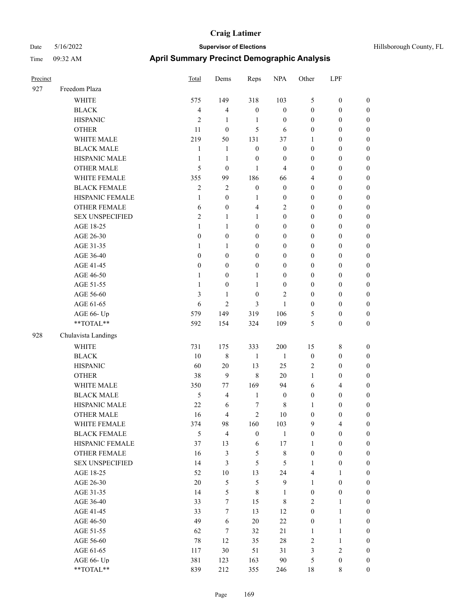| Hillsborough County, FL |  |  |
|-------------------------|--|--|
|-------------------------|--|--|

| Precinct |                        | Total            | Dems             | Reps             | <b>NPA</b>       | Other            | LPF              |                  |
|----------|------------------------|------------------|------------------|------------------|------------------|------------------|------------------|------------------|
| 927      | Freedom Plaza          |                  |                  |                  |                  |                  |                  |                  |
|          | <b>WHITE</b>           | 575              | 149              | 318              | 103              | $\mathfrak{S}$   | $\boldsymbol{0}$ | $\boldsymbol{0}$ |
|          | <b>BLACK</b>           | $\overline{4}$   | $\overline{4}$   | $\boldsymbol{0}$ | $\boldsymbol{0}$ | $\boldsymbol{0}$ | $\boldsymbol{0}$ | $\boldsymbol{0}$ |
|          | <b>HISPANIC</b>        | $\overline{2}$   | 1                | 1                | $\boldsymbol{0}$ | $\boldsymbol{0}$ | $\boldsymbol{0}$ | $\boldsymbol{0}$ |
|          | <b>OTHER</b>           | 11               | $\mathbf{0}$     | 5                | 6                | $\boldsymbol{0}$ | $\boldsymbol{0}$ | $\boldsymbol{0}$ |
|          | WHITE MALE             | 219              | 50               | 131              | 37               | 1                | $\boldsymbol{0}$ | $\boldsymbol{0}$ |
|          | <b>BLACK MALE</b>      | $\mathbf{1}$     | $\mathbf{1}$     | $\mathbf{0}$     | $\boldsymbol{0}$ | $\mathbf{0}$     | $\boldsymbol{0}$ | $\boldsymbol{0}$ |
|          | HISPANIC MALE          | $\mathbf{1}$     | $\mathbf{1}$     | $\boldsymbol{0}$ | $\mathbf{0}$     | $\boldsymbol{0}$ | $\boldsymbol{0}$ | $\boldsymbol{0}$ |
|          | <b>OTHER MALE</b>      | 5                | $\boldsymbol{0}$ | 1                | 4                | $\boldsymbol{0}$ | $\boldsymbol{0}$ | $\boldsymbol{0}$ |
|          | WHITE FEMALE           | 355              | 99               | 186              | 66               | $\overline{4}$   | $\boldsymbol{0}$ | $\boldsymbol{0}$ |
|          | <b>BLACK FEMALE</b>    | $\mathfrak{2}$   | $\overline{2}$   | $\boldsymbol{0}$ | $\boldsymbol{0}$ | $\boldsymbol{0}$ | $\boldsymbol{0}$ | $\boldsymbol{0}$ |
|          | HISPANIC FEMALE        | 1                | $\boldsymbol{0}$ | 1                | $\boldsymbol{0}$ | $\boldsymbol{0}$ | $\boldsymbol{0}$ | $\boldsymbol{0}$ |
|          | <b>OTHER FEMALE</b>    | 6                | $\boldsymbol{0}$ | 4                | $\overline{c}$   | $\boldsymbol{0}$ | $\boldsymbol{0}$ | $\boldsymbol{0}$ |
|          | <b>SEX UNSPECIFIED</b> | $\overline{2}$   | $\mathbf{1}$     | 1                | $\boldsymbol{0}$ | $\boldsymbol{0}$ | $\boldsymbol{0}$ | $\boldsymbol{0}$ |
|          | AGE 18-25              | 1                | $\mathbf{1}$     | $\mathbf{0}$     | $\boldsymbol{0}$ | $\boldsymbol{0}$ | $\boldsymbol{0}$ | $\boldsymbol{0}$ |
|          | AGE 26-30              | $\boldsymbol{0}$ | $\boldsymbol{0}$ | $\mathbf{0}$     | $\mathbf{0}$     | $\boldsymbol{0}$ | $\boldsymbol{0}$ | $\boldsymbol{0}$ |
|          | AGE 31-35              | 1                | $\mathbf{1}$     | $\mathbf{0}$     | $\mathbf{0}$     | $\mathbf{0}$     | $\boldsymbol{0}$ | $\boldsymbol{0}$ |
|          | AGE 36-40              | $\theta$         | $\overline{0}$   | $\mathbf{0}$     | $\mathbf{0}$     | $\mathbf{0}$     | $\boldsymbol{0}$ | $\boldsymbol{0}$ |
|          | AGE 41-45              | $\theta$         | $\mathbf{0}$     | $\boldsymbol{0}$ | $\mathbf{0}$     | $\boldsymbol{0}$ | $\boldsymbol{0}$ | $\boldsymbol{0}$ |
|          | AGE 46-50              | 1                | $\boldsymbol{0}$ | 1                | $\boldsymbol{0}$ | $\boldsymbol{0}$ | $\boldsymbol{0}$ | $\boldsymbol{0}$ |
|          | AGE 51-55              | $\mathbf{1}$     | $\boldsymbol{0}$ | 1                | $\boldsymbol{0}$ | $\boldsymbol{0}$ | $\boldsymbol{0}$ | $\boldsymbol{0}$ |
|          | AGE 56-60              | $\mathfrak{Z}$   | $\mathbf{1}$     | $\mathbf{0}$     | $\overline{2}$   | $\mathbf{0}$     | $\boldsymbol{0}$ | $\boldsymbol{0}$ |
|          | AGE 61-65              | 6                | 2                | 3                | $\mathbf{1}$     | $\boldsymbol{0}$ | $\boldsymbol{0}$ | $\boldsymbol{0}$ |
|          | AGE 66- Up             | 579              | 149              | 319              | 106              | 5                | $\boldsymbol{0}$ | $\boldsymbol{0}$ |
|          | **TOTAL**              | 592              | 154              | 324              | 109              | 5                | $\boldsymbol{0}$ | $\boldsymbol{0}$ |
| 928      | Chulavista Landings    |                  |                  |                  |                  |                  |                  |                  |
|          | <b>WHITE</b>           | 731              | 175              | 333              | 200              | 15               | 8                | $\boldsymbol{0}$ |
|          | <b>BLACK</b>           | 10               | $\,8\,$          | 1                | $\mathbf{1}$     | $\boldsymbol{0}$ | $\boldsymbol{0}$ | $\boldsymbol{0}$ |
|          | <b>HISPANIC</b>        | 60               | 20               | 13               | 25               | $\overline{2}$   | $\boldsymbol{0}$ | $\boldsymbol{0}$ |
|          | <b>OTHER</b>           | 38               | 9                | $\,8\,$          | 20               | 1                | $\boldsymbol{0}$ | $\boldsymbol{0}$ |
|          | WHITE MALE             | 350              | 77               | 169              | 94               | 6                | 4                | $\boldsymbol{0}$ |
|          | <b>BLACK MALE</b>      | $\mathfrak s$    | $\overline{4}$   | $\mathbf{1}$     | $\boldsymbol{0}$ | $\boldsymbol{0}$ | $\boldsymbol{0}$ | $\boldsymbol{0}$ |
|          | HISPANIC MALE          | 22               | 6                | 7                | 8                | 1                | $\boldsymbol{0}$ | $\boldsymbol{0}$ |
|          | <b>OTHER MALE</b>      | 16               | 4                | $\mathfrak{2}$   | 10               | $\boldsymbol{0}$ | $\mathbf{0}$     | $\boldsymbol{0}$ |
|          | WHITE FEMALE           | 374              | 98               | 160              | 103              | 9                | 4                | $\boldsymbol{0}$ |
|          | <b>BLACK FEMALE</b>    | 5                | $\overline{4}$   | $\boldsymbol{0}$ | $\mathbf{1}$     | $\boldsymbol{0}$ | $\boldsymbol{0}$ | $\boldsymbol{0}$ |
|          | HISPANIC FEMALE        | 37               | 13               | 6                | 17               | $\mathbf{1}$     | $\boldsymbol{0}$ | $\boldsymbol{0}$ |
|          | OTHER FEMALE           | 16               | $\mathfrak{Z}$   | 5                | $\,8\,$          | $\boldsymbol{0}$ | $\boldsymbol{0}$ | $\boldsymbol{0}$ |
|          | <b>SEX UNSPECIFIED</b> | 14               | $\mathfrak{Z}$   | 5                | 5                | 1                | $\boldsymbol{0}$ | $\boldsymbol{0}$ |
|          | AGE 18-25              | 52               | $10\,$           | 13               | 24               | $\overline{4}$   | $\mathbf{1}$     | $\boldsymbol{0}$ |
|          | AGE 26-30              | $20\,$           | 5                | $\mathfrak{H}$   | $\mathbf{9}$     | $\mathbf{1}$     | $\boldsymbol{0}$ | $\boldsymbol{0}$ |
|          | AGE 31-35              | 14               | 5                | $\,$ 8 $\,$      | $\mathbf{1}$     | $\boldsymbol{0}$ | $\boldsymbol{0}$ | $\boldsymbol{0}$ |
|          | AGE 36-40              | 33               | $\tau$           | 15               | 8                | $\overline{2}$   | $\mathbf{1}$     | $\boldsymbol{0}$ |
|          | AGE 41-45              | 33               | $\tau$           | 13               | 12               | $\boldsymbol{0}$ | 1                | $\boldsymbol{0}$ |
|          | AGE 46-50              | 49               | 6                | $20\,$           | $22\,$           | $\boldsymbol{0}$ | 1                | $\boldsymbol{0}$ |
|          | AGE 51-55              | 62               | $\tau$           | 32               | 21               | $\mathbf{1}$     | 1                | $\boldsymbol{0}$ |
|          | AGE 56-60              | $78\,$           | 12               | 35               | $28\,$           | $\sqrt{2}$       | 1                | $\boldsymbol{0}$ |
|          | AGE 61-65              | 117              | 30               | 51               | 31               | $\mathfrak{Z}$   | $\mathbf{2}$     | $\boldsymbol{0}$ |
|          | AGE 66- Up             | 381              | 123              | 163              | 90               | $\sqrt{5}$       | $\boldsymbol{0}$ | $\mathbf{0}$     |
|          | $**TOTAL**$            | 839              | 212              | 355              | 246              | $18\,$           | $\,$ 8 $\,$      | $\mathbf{0}$     |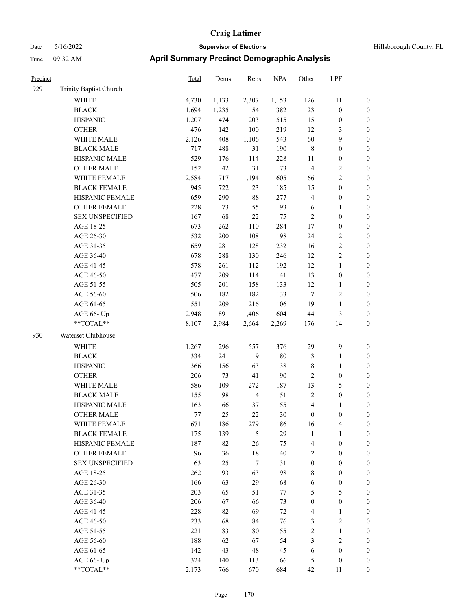| Precinct |                        | <b>Total</b> | Dems  | Reps           | <b>NPA</b> | Other            | LPF              |                  |
|----------|------------------------|--------------|-------|----------------|------------|------------------|------------------|------------------|
| 929      | Trinity Baptist Church |              |       |                |            |                  |                  |                  |
|          | <b>WHITE</b>           | 4,730        | 1,133 | 2,307          | 1,153      | 126              | 11               | $\boldsymbol{0}$ |
|          | <b>BLACK</b>           | 1,694        | 1,235 | 54             | 382        | 23               | $\boldsymbol{0}$ | $\boldsymbol{0}$ |
|          | <b>HISPANIC</b>        | 1,207        | 474   | 203            | 515        | 15               | $\boldsymbol{0}$ | $\boldsymbol{0}$ |
|          | <b>OTHER</b>           | 476          | 142   | 100            | 219        | 12               | 3                | $\boldsymbol{0}$ |
|          | WHITE MALE             | 2,126        | 408   | 1,106          | 543        | 60               | 9                | $\boldsymbol{0}$ |
|          | <b>BLACK MALE</b>      | 717          | 488   | 31             | 190        | $\,$ 8 $\,$      | $\boldsymbol{0}$ | $\boldsymbol{0}$ |
|          | HISPANIC MALE          | 529          | 176   | 114            | 228        | 11               | $\boldsymbol{0}$ | $\boldsymbol{0}$ |
|          | <b>OTHER MALE</b>      | 152          | 42    | 31             | 73         | $\overline{4}$   | 2                | $\boldsymbol{0}$ |
|          | WHITE FEMALE           | 2,584        | 717   | 1,194          | 605        | 66               | 2                | $\boldsymbol{0}$ |
|          | <b>BLACK FEMALE</b>    | 945          | 722   | 23             | 185        | 15               | $\boldsymbol{0}$ | $\boldsymbol{0}$ |
|          | HISPANIC FEMALE        | 659          | 290   | 88             | 277        | $\overline{4}$   | $\boldsymbol{0}$ | $\boldsymbol{0}$ |
|          | <b>OTHER FEMALE</b>    | 228          | 73    | 55             | 93         | 6                | 1                | $\boldsymbol{0}$ |
|          | <b>SEX UNSPECIFIED</b> | 167          | 68    | 22             | 75         | $\overline{2}$   | $\boldsymbol{0}$ | $\boldsymbol{0}$ |
|          | AGE 18-25              | 673          | 262   | 110            | 284        | 17               | $\boldsymbol{0}$ | $\boldsymbol{0}$ |
|          | AGE 26-30              | 532          | 200   | 108            | 198        | 24               | 2                | $\boldsymbol{0}$ |
|          | AGE 31-35              | 659          | 281   | 128            | 232        | 16               | $\overline{c}$   | $\boldsymbol{0}$ |
|          | AGE 36-40              | 678          | 288   | 130            | 246        | 12               | $\overline{c}$   | $\boldsymbol{0}$ |
|          | AGE 41-45              | 578          | 261   | 112            | 192        | 12               | 1                | $\boldsymbol{0}$ |
|          | AGE 46-50              | 477          | 209   | 114            | 141        | 13               | $\boldsymbol{0}$ | $\boldsymbol{0}$ |
|          | AGE 51-55              | 505          | 201   | 158            | 133        | 12               | 1                | $\boldsymbol{0}$ |
|          | AGE 56-60              | 506          | 182   | 182            | 133        | $\tau$           | 2                | $\boldsymbol{0}$ |
|          | AGE 61-65              | 551          | 209   | 216            | 106        | 19               | $\mathbf{1}$     | $\boldsymbol{0}$ |
|          | AGE 66- Up             | 2,948        | 891   | 1,406          | 604        | 44               | 3                | $\boldsymbol{0}$ |
|          | **TOTAL**              | 8,107        | 2,984 | 2,664          | 2,269      | 176              | 14               | $\boldsymbol{0}$ |
| 930      | Waterset Clubhouse     |              |       |                |            |                  |                  |                  |
|          | WHITE                  | 1,267        | 296   | 557            | 376        | 29               | 9                | $\boldsymbol{0}$ |
|          | <b>BLACK</b>           | 334          | 241   | 9              | $80\,$     | $\mathfrak{Z}$   | 1                | $\boldsymbol{0}$ |
|          | <b>HISPANIC</b>        | 366          | 156   | 63             | 138        | $\,$ 8 $\,$      | 1                | $\boldsymbol{0}$ |
|          | <b>OTHER</b>           | 206          | 73    | 41             | 90         | $\overline{2}$   | $\boldsymbol{0}$ | $\boldsymbol{0}$ |
|          | WHITE MALE             | 586          | 109   | 272            | 187        | 13               | 5                | $\boldsymbol{0}$ |
|          | <b>BLACK MALE</b>      | 155          | 98    | $\overline{4}$ | 51         | $\sqrt{2}$       | $\boldsymbol{0}$ | $\boldsymbol{0}$ |
|          | HISPANIC MALE          | 163          | 66    | 37             | 55         | $\overline{4}$   | 1                | $\boldsymbol{0}$ |
|          | <b>OTHER MALE</b>      | 77           | 25    | 22             | $30\,$     | $\mathbf{0}$     | 0                | $\boldsymbol{0}$ |
|          | WHITE FEMALE           | 671          | 186   | 279            | 186        | 16               | 4                | $\boldsymbol{0}$ |
|          | <b>BLACK FEMALE</b>    | 175          | 139   | 5              | 29         | $\mathbf{1}$     | 1                | $\boldsymbol{0}$ |
|          | HISPANIC FEMALE        | 187          | 82    | 26             | 75         | $\overline{4}$   | $\boldsymbol{0}$ | $\boldsymbol{0}$ |
|          | <b>OTHER FEMALE</b>    | 96           | 36    | $18\,$         | $40\,$     | $\sqrt{2}$       | $\boldsymbol{0}$ | $\boldsymbol{0}$ |
|          | <b>SEX UNSPECIFIED</b> | 63           | 25    | $\tau$         | 31         | $\boldsymbol{0}$ | $\boldsymbol{0}$ | $\boldsymbol{0}$ |
|          | AGE 18-25              | 262          | 93    | 63             | 98         | $\,$ 8 $\,$      | $\boldsymbol{0}$ | $\boldsymbol{0}$ |
|          | AGE 26-30              | 166          | 63    | 29             | 68         | 6                | $\boldsymbol{0}$ | $\boldsymbol{0}$ |
|          | AGE 31-35              | 203          | 65    | 51             | 77         | $\mathfrak{S}$   | 5                | $\boldsymbol{0}$ |
|          | AGE 36-40              | 206          | 67    | 66             | 73         | $\boldsymbol{0}$ | $\boldsymbol{0}$ | $\boldsymbol{0}$ |
|          | AGE 41-45              | 228          | 82    | 69             | 72         | $\overline{4}$   | 1                | $\boldsymbol{0}$ |
|          | AGE 46-50              | 233          | 68    | 84             | 76         | 3                | 2                | $\boldsymbol{0}$ |
|          | AGE 51-55              | 221          | 83    | 80             | 55         | $\sqrt{2}$       | $\mathbf{1}$     | $\boldsymbol{0}$ |
|          | AGE 56-60              | 188          | 62    | 67             | 54         | $\mathfrak{Z}$   | $\mathbf{2}$     | $\boldsymbol{0}$ |
|          | AGE 61-65              | 142          | 43    | $48\,$         | 45         | 6                | $\boldsymbol{0}$ | $\boldsymbol{0}$ |
|          | AGE 66- Up             | 324          | 140   | 113            | 66         | 5                | $\boldsymbol{0}$ | $\bf{0}$         |
|          | **TOTAL**              | 2,173        | 766   | 670            | 684        | 42               | 11               | $\boldsymbol{0}$ |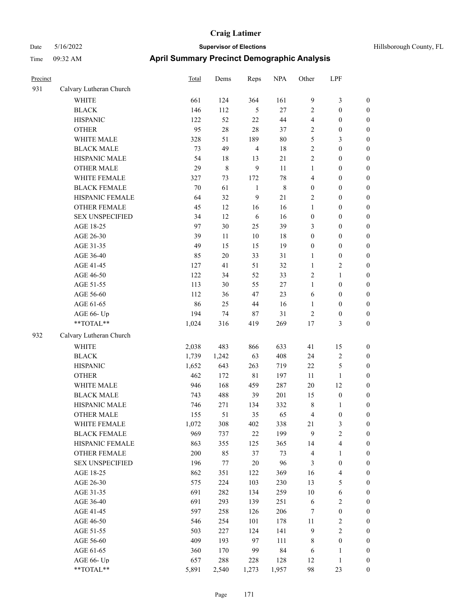# Date 5/16/2022 **Supervisor of Elections Supervisor of Elections** Hillsborough County, FL Time 09:32 AM **April Summary Precinct Demographic Analysis**

| Precinct |                                                           | Total | Dems   | Reps           | <b>NPA</b>  | Other            | LPF                     |                  |
|----------|-----------------------------------------------------------|-------|--------|----------------|-------------|------------------|-------------------------|------------------|
| 931      | Calvary Lutheran Church                                   |       |        |                |             |                  |                         |                  |
|          | <b>WHITE</b>                                              | 661   | 124    | 364            | 161         | $\overline{9}$   | $\mathfrak{Z}$          | $\boldsymbol{0}$ |
|          | <b>BLACK</b>                                              | 146   | 112    | 5              | $27\,$      | 2                | $\boldsymbol{0}$        | $\boldsymbol{0}$ |
|          | <b>HISPANIC</b>                                           | 122   | 52     | 22             | $44\,$      | 4                | $\boldsymbol{0}$        | $\boldsymbol{0}$ |
|          | <b>OTHER</b>                                              | 95    | $28\,$ | $28\,$         | 37          | $\overline{c}$   | $\boldsymbol{0}$        | $\boldsymbol{0}$ |
|          | WHITE MALE                                                | 328   | 51     | 189            | $80\,$      | 5                | $\mathfrak{Z}$          | $\boldsymbol{0}$ |
|          | <b>BLACK MALE</b>                                         | 73    | 49     | $\overline{4}$ | $18\,$      | $\sqrt{2}$       | $\boldsymbol{0}$        | $\boldsymbol{0}$ |
|          | HISPANIC MALE                                             | 54    | 18     | 13             | 21          | $\overline{c}$   | $\boldsymbol{0}$        | 0                |
|          | <b>OTHER MALE</b>                                         | 29    | 8      | 9              | 11          | $\mathbf{1}$     | $\boldsymbol{0}$        | $\boldsymbol{0}$ |
|          | WHITE FEMALE                                              | 327   | 73     | 172            | $78\,$      | 4                | $\boldsymbol{0}$        | $\boldsymbol{0}$ |
|          | <b>BLACK FEMALE</b>                                       | 70    | 61     | $\mathbf{1}$   | $\,$ 8 $\,$ | $\boldsymbol{0}$ | $\boldsymbol{0}$        | $\boldsymbol{0}$ |
|          | HISPANIC FEMALE                                           | 64    | 32     | 9              | 21          | $\overline{c}$   | $\boldsymbol{0}$        | $\boldsymbol{0}$ |
|          | OTHER FEMALE                                              | 45    | 12     | 16             | 16          | $\mathbf{1}$     | $\boldsymbol{0}$        | $\boldsymbol{0}$ |
|          | <b>SEX UNSPECIFIED</b>                                    | 34    | 12     | $\sqrt{6}$     | 16          | $\boldsymbol{0}$ | $\boldsymbol{0}$        | $\boldsymbol{0}$ |
|          | AGE 18-25                                                 | 97    | 30     | 25             | 39          | 3                | $\boldsymbol{0}$        | $\boldsymbol{0}$ |
|          | AGE 26-30                                                 | 39    | $11\,$ | $10\,$         | $18\,$      | $\boldsymbol{0}$ | $\boldsymbol{0}$        | $\boldsymbol{0}$ |
|          | AGE 31-35                                                 | 49    | 15     | 15             | 19          | $\boldsymbol{0}$ | $\boldsymbol{0}$        | $\boldsymbol{0}$ |
|          | AGE 36-40                                                 | 85    | $20\,$ | 33             | 31          | 1                | $\boldsymbol{0}$        | 0                |
|          | AGE 41-45                                                 | 127   | 41     | 51             | 32          | $\mathbf{1}$     | $\overline{c}$          | 0                |
|          | AGE 46-50                                                 | 122   | 34     | 52             | 33          | $\overline{c}$   | $\mathbf{1}$            | $\boldsymbol{0}$ |
|          | AGE 51-55                                                 | 113   | 30     | 55             | $27\,$      | $\mathbf{1}$     | $\boldsymbol{0}$        | $\boldsymbol{0}$ |
|          | AGE 56-60                                                 | 112   | 36     | 47             | 23          | 6                | $\boldsymbol{0}$        | $\boldsymbol{0}$ |
|          | AGE 61-65                                                 | 86    | 25     | $44\,$         | 16          | $\mathbf{1}$     | $\boldsymbol{0}$        | $\boldsymbol{0}$ |
|          | AGE 66- Up                                                | 194   | 74     | 87             | 31          | $\overline{c}$   | $\boldsymbol{0}$        | $\boldsymbol{0}$ |
|          | $\mathrm{*}\mathrm{*}\mathrm{TOTAL} \mathrm{*}\mathrm{*}$ | 1,024 | 316    | 419            | 269         | $17\,$           | $\mathfrak{Z}$          | $\boldsymbol{0}$ |
| 932      | Calvary Lutheran Church                                   |       |        |                |             |                  |                         |                  |
|          | <b>WHITE</b>                                              | 2,038 | 483    | 866            | 633         | 41               | 15                      | $\boldsymbol{0}$ |
|          | <b>BLACK</b>                                              | 1,739 | 1,242  | 63             | 408         | 24               | $\sqrt{2}$              | $\boldsymbol{0}$ |
|          | <b>HISPANIC</b>                                           | 1,652 | 643    | 263            | 719         | $22\,$           | $\mathfrak s$           | $\boldsymbol{0}$ |
|          | <b>OTHER</b>                                              | 462   | 172    | $8\sqrt{1}$    | 197         | 11               | $\mathbf{1}$            | 0                |
|          | WHITE MALE                                                | 946   | 168    | 459            | 287         | $20\,$           | 12                      | 0                |
|          | <b>BLACK MALE</b>                                         | 743   | 488    | 39             | 201         | 15               | $\boldsymbol{0}$        | 0                |
|          | HISPANIC MALE                                             | 746   | 271    | 134            | 332         | $\,$ 8 $\,$      | 1                       | $\boldsymbol{0}$ |
|          | <b>OTHER MALE</b>                                         | 155   | 51     | 35             | 65          | 4                | $\boldsymbol{0}$        | $\boldsymbol{0}$ |
|          | WHITE FEMALE                                              | 1,072 | 308    | 402            | 338         | 21               | $\mathfrak{Z}$          | $\boldsymbol{0}$ |
|          | <b>BLACK FEMALE</b>                                       | 969   | 737    | $22\,$         | 199         | 9                | $\sqrt{2}$              | $\theta$         |
|          | HISPANIC FEMALE                                           | 863   | 355    | 125            | 365         | 14               | $\overline{\mathbf{4}}$ | $\theta$         |
|          | <b>OTHER FEMALE</b>                                       | 200   | 85     | 37             | 73          | $\overline{4}$   | $\mathbf{1}$            | $\overline{0}$   |
|          | <b>SEX UNSPECIFIED</b>                                    | 196   | 77     | $20\,$         | 96          | $\mathfrak{Z}$   | $\boldsymbol{0}$        | 0                |
|          | AGE 18-25                                                 | 862   | 351    | 122            | 369         | 16               | $\overline{4}$          | 0                |
|          | AGE 26-30                                                 | 575   | 224    | 103            | 230         | 13               | 5                       | 0                |
|          | AGE 31-35                                                 | 691   | 282    | 134            | 259         | 10               | 6                       | 0                |
|          | AGE 36-40                                                 | 691   | 293    | 139            | 251         | 6                | $\sqrt{2}$              | $\boldsymbol{0}$ |
|          | AGE 41-45                                                 | 597   | 258    | 126            | 206         | 7                | $\boldsymbol{0}$        | $\boldsymbol{0}$ |
|          | AGE 46-50                                                 | 546   | 254    | 101            | 178         | 11               | $\sqrt{2}$              | 0                |
|          | AGE 51-55                                                 | 503   | 227    | 124            | 141         | $\overline{9}$   | $\sqrt{2}$              | $\overline{0}$   |
|          | AGE 56-60                                                 | 409   | 193    | 97             | 111         | 8                | $\boldsymbol{0}$        | $\overline{0}$   |
|          | AGE 61-65                                                 | 360   | 170    | 99             | 84          | 6                | $\mathbf{1}$            | $\boldsymbol{0}$ |
|          | AGE 66- Up                                                | 657   | 288    | 228            | 128         | 12               | 1                       | $\boldsymbol{0}$ |

\*\*TOTAL\*\* 5,891 2,540 1,273 1,957 98 23 0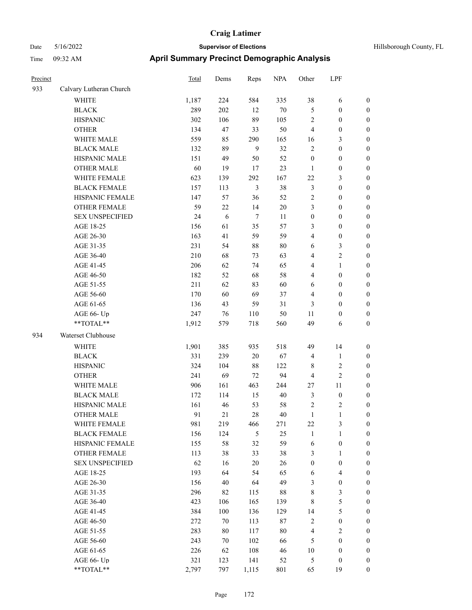| Precinct |                         | <b>Total</b> | Dems    | Reps           | <b>NPA</b> | Other            | LPF              |                  |
|----------|-------------------------|--------------|---------|----------------|------------|------------------|------------------|------------------|
| 933      | Calvary Lutheran Church |              |         |                |            |                  |                  |                  |
|          | WHITE                   | 1,187        | 224     | 584            | 335        | 38               | 6                | $\boldsymbol{0}$ |
|          | <b>BLACK</b>            | 289          | 202     | 12             | $70\,$     | 5                | $\boldsymbol{0}$ | $\boldsymbol{0}$ |
|          | <b>HISPANIC</b>         | 302          | 106     | 89             | 105        | $\overline{c}$   | $\boldsymbol{0}$ | $\boldsymbol{0}$ |
|          | <b>OTHER</b>            | 134          | 47      | 33             | 50         | $\overline{4}$   | $\boldsymbol{0}$ | 0                |
|          | WHITE MALE              | 559          | 85      | 290            | 165        | 16               | 3                | $\boldsymbol{0}$ |
|          | <b>BLACK MALE</b>       | 132          | 89      | 9              | 32         | $\sqrt{2}$       | $\boldsymbol{0}$ | $\boldsymbol{0}$ |
|          | HISPANIC MALE           | 151          | 49      | 50             | 52         | $\boldsymbol{0}$ | $\boldsymbol{0}$ | $\boldsymbol{0}$ |
|          | <b>OTHER MALE</b>       | 60           | 19      | 17             | 23         | $\mathbf{1}$     | $\boldsymbol{0}$ | $\boldsymbol{0}$ |
|          | WHITE FEMALE            | 623          | 139     | 292            | 167        | 22               | $\mathfrak{Z}$   | $\boldsymbol{0}$ |
|          | <b>BLACK FEMALE</b>     | 157          | 113     | $\mathfrak{Z}$ | 38         | $\mathfrak{Z}$   | $\boldsymbol{0}$ | $\boldsymbol{0}$ |
|          | HISPANIC FEMALE         | 147          | 57      | 36             | 52         | $\sqrt{2}$       | $\boldsymbol{0}$ | $\boldsymbol{0}$ |
|          | OTHER FEMALE            | 59           | 22      | 14             | $20\,$     | 3                | $\boldsymbol{0}$ | $\boldsymbol{0}$ |
|          | <b>SEX UNSPECIFIED</b>  | 24           | 6       | $\tau$         | 11         | $\boldsymbol{0}$ | $\boldsymbol{0}$ | 0                |
|          | AGE 18-25               | 156          | 61      | 35             | 57         | 3                | $\boldsymbol{0}$ | 0                |
|          | AGE 26-30               | 163          | 41      | 59             | 59         | 4                | $\boldsymbol{0}$ | 0                |
|          | AGE 31-35               | 231          | 54      | $88\,$         | $80\,$     | 6                | 3                | $\boldsymbol{0}$ |
|          | AGE 36-40               | 210          | 68      | 73             | 63         | 4                | $\sqrt{2}$       | $\boldsymbol{0}$ |
|          | AGE 41-45               | 206          | 62      | 74             | 65         | 4                | $\mathbf{1}$     | $\boldsymbol{0}$ |
|          | AGE 46-50               | 182          | 52      | 68             | 58         | 4                | $\boldsymbol{0}$ | $\boldsymbol{0}$ |
|          | AGE 51-55               | 211          | 62      | 83             | 60         | 6                | $\boldsymbol{0}$ | $\boldsymbol{0}$ |
|          | AGE 56-60               | 170          | 60      | 69             | 37         | 4                | $\boldsymbol{0}$ | $\boldsymbol{0}$ |
|          | AGE 61-65               | 136          | 43      | 59             | 31         | 3                | $\boldsymbol{0}$ | $\boldsymbol{0}$ |
|          | AGE 66- Up              | 247          | 76      | 110            | 50         | 11               | $\boldsymbol{0}$ | 0                |
|          | **TOTAL**               | 1,912        | 579     | 718            | 560        | 49               | 6                | 0                |
| 934      | Waterset Clubhouse      |              |         |                |            |                  |                  |                  |
|          | <b>WHITE</b>            | 1,901        | 385     | 935            | 518        | 49               | 14               | 0                |
|          | <b>BLACK</b>            | 331          | 239     | $20\,$         | 67         | 4                | $\mathbf{1}$     | 0                |
|          | <b>HISPANIC</b>         | 324          | 104     | $88\,$         | 122        | 8                | $\sqrt{2}$       | 0                |
|          | <b>OTHER</b>            | 241          | 69      | 72             | 94         | 4                | $\sqrt{2}$       | $\boldsymbol{0}$ |
|          | WHITE MALE              | 906          | 161     | 463            | 244        | $27\,$           | 11               | $\boldsymbol{0}$ |
|          | <b>BLACK MALE</b>       | 172          | 114     | 15             | $40\,$     | 3                | $\boldsymbol{0}$ | $\boldsymbol{0}$ |
|          | HISPANIC MALE           | 161          | 46      | 53             | 58         | 2                | $\sqrt{2}$       | $\boldsymbol{0}$ |
|          | <b>OTHER MALE</b>       | 91           | 21      | 28             | 40         | $\mathbf{1}$     | $\mathbf{1}$     | $\boldsymbol{0}$ |
|          | WHITE FEMALE            | 981          | 219     | 466            | 271        | 22               | $\mathfrak{Z}$   | 0                |
|          | <b>BLACK FEMALE</b>     | 156          | 124     | 5              | 25         | $\mathbf{1}$     | $\mathbf{1}$     | 0                |
|          | HISPANIC FEMALE         | 155          | 58      | 32             | 59         | 6                | $\boldsymbol{0}$ | 0                |
|          | OTHER FEMALE            | 113          | 38      | 33             | 38         | 3                | $\mathbf{1}$     | 0                |
|          | <b>SEX UNSPECIFIED</b>  | 62           | 16      | $20\,$         | 26         | $\boldsymbol{0}$ | $\boldsymbol{0}$ | 0                |
|          | AGE 18-25               | 193          | 64      | 54             | 65         | 6                | $\overline{4}$   | $\boldsymbol{0}$ |
|          | AGE 26-30               | 156          | 40      | 64             | 49         | 3                | $\boldsymbol{0}$ | $\overline{0}$   |
|          | AGE 31-35               | 296          | 82      | 115            | 88         | 8                | $\mathfrak{Z}$   | 0                |
|          | AGE 36-40               | 423          | 106     | 165            | 139        | $\,$ 8 $\,$      | $\mathfrak s$    | $\overline{0}$   |
|          | AGE 41-45               | 384          | $100\,$ | 136            | 129        | 14               | $\mathfrak{S}$   | $\overline{0}$   |
|          | AGE 46-50               | 272          | 70      | 113            | $87\,$     | $\sqrt{2}$       | $\boldsymbol{0}$ | $\overline{0}$   |
|          | AGE 51-55               | 283          | $80\,$  | 117            | $80\,$     | $\overline{4}$   | $\sqrt{2}$       | 0                |
|          | AGE 56-60               | 243          | 70      | 102            | 66         | $\mathfrak{S}$   | $\boldsymbol{0}$ | 0                |
|          | AGE 61-65               | 226          | 62      | 108            | 46         | $10\,$           | $\boldsymbol{0}$ | $\boldsymbol{0}$ |
|          | AGE 66- Up              | 321          | 123     | 141            | 52         | 5                | $\boldsymbol{0}$ | 0                |
|          | $**TOTAL**$             | 2,797        | 797     | 1,115          | 801        | 65               | 19               | $\boldsymbol{0}$ |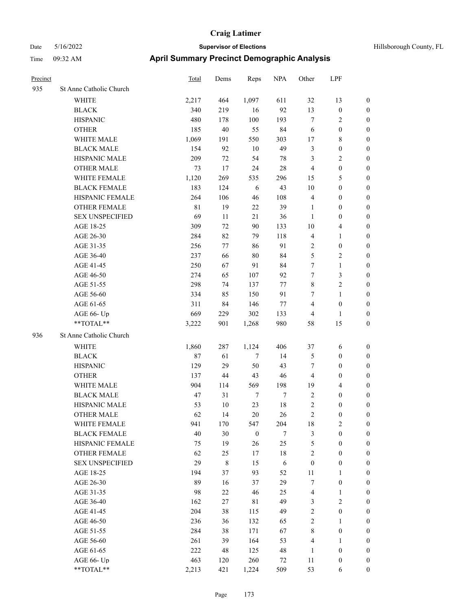| Precinct |                         | <b>Total</b> | Dems        | Reps             | <b>NPA</b> | Other            | LPF                     |                  |
|----------|-------------------------|--------------|-------------|------------------|------------|------------------|-------------------------|------------------|
| 935      | St Anne Catholic Church |              |             |                  |            |                  |                         |                  |
|          | <b>WHITE</b>            | 2,217        | 464         | 1,097            | 611        | 32               | 13                      | $\boldsymbol{0}$ |
|          | <b>BLACK</b>            | 340          | 219         | 16               | 92         | 13               | $\boldsymbol{0}$        | $\boldsymbol{0}$ |
|          | <b>HISPANIC</b>         | 480          | 178         | 100              | 193        | $\tau$           | 2                       | $\boldsymbol{0}$ |
|          | <b>OTHER</b>            | 185          | $40\,$      | 55               | 84         | 6                | $\boldsymbol{0}$        | $\boldsymbol{0}$ |
|          | WHITE MALE              | 1,069        | 191         | 550              | 303        | 17               | 8                       | $\boldsymbol{0}$ |
|          | <b>BLACK MALE</b>       | 154          | 92          | 10               | 49         | $\mathfrak{Z}$   | $\boldsymbol{0}$        | $\boldsymbol{0}$ |
|          | HISPANIC MALE           | 209          | 72          | 54               | 78         | $\mathfrak{Z}$   | 2                       | $\boldsymbol{0}$ |
|          | <b>OTHER MALE</b>       | 73           | 17          | 24               | 28         | $\overline{4}$   | $\boldsymbol{0}$        | $\boldsymbol{0}$ |
|          | WHITE FEMALE            | 1,120        | 269         | 535              | 296        | 15               | 5                       | $\boldsymbol{0}$ |
|          | <b>BLACK FEMALE</b>     | 183          | 124         | 6                | 43         | 10               | $\boldsymbol{0}$        | $\boldsymbol{0}$ |
|          | HISPANIC FEMALE         | 264          | 106         | 46               | 108        | $\overline{4}$   | $\boldsymbol{0}$        | $\boldsymbol{0}$ |
|          | <b>OTHER FEMALE</b>     | $8\sqrt{1}$  | 19          | $22\,$           | 39         | 1                | $\boldsymbol{0}$        | $\boldsymbol{0}$ |
|          | <b>SEX UNSPECIFIED</b>  | 69           | 11          | 21               | 36         | 1                | $\boldsymbol{0}$        | $\boldsymbol{0}$ |
|          | AGE 18-25               | 309          | 72          | 90               | 133        | 10               | 4                       | $\boldsymbol{0}$ |
|          | AGE 26-30               | 284          | 82          | 79               | 118        | $\overline{4}$   | 1                       | $\boldsymbol{0}$ |
|          | AGE 31-35               | 256          | 77          | 86               | 91         | $\overline{2}$   | $\boldsymbol{0}$        | $\boldsymbol{0}$ |
|          | AGE 36-40               | 237          | 66          | 80               | 84         | 5                | $\overline{\mathbf{c}}$ | $\boldsymbol{0}$ |
|          | AGE 41-45               | 250          | 67          | 91               | 84         | 7                | 1                       | $\boldsymbol{0}$ |
|          | AGE 46-50               | 274          | 65          | 107              | 92         | 7                | 3                       | $\boldsymbol{0}$ |
|          | AGE 51-55               | 298          | 74          | 137              | 77         | $\,8\,$          | 2                       | $\boldsymbol{0}$ |
|          | AGE 56-60               | 334          | 85          | 150              | 91         | 7                | 1                       | $\boldsymbol{0}$ |
|          | AGE 61-65               | 311          | 84          | 146              | 77         | $\overline{4}$   | $\boldsymbol{0}$        | $\boldsymbol{0}$ |
|          | AGE 66- Up              | 669          | 229         | 302              | 133        | $\overline{4}$   | 1                       | $\boldsymbol{0}$ |
|          | **TOTAL**               | 3,222        | 901         | 1,268            | 980        | 58               | 15                      | $\boldsymbol{0}$ |
| 936      | St Anne Catholic Church |              |             |                  |            |                  |                         |                  |
|          | WHITE                   | 1,860        | 287         | 1,124            | 406        | 37               | 6                       | $\boldsymbol{0}$ |
|          | <b>BLACK</b>            | 87           | 61          | $\tau$           | 14         | $\mathfrak{S}$   | $\boldsymbol{0}$        | $\boldsymbol{0}$ |
|          | <b>HISPANIC</b>         | 129          | 29          | 50               | 43         | 7                | 0                       | $\boldsymbol{0}$ |
|          | <b>OTHER</b>            | 137          | 44          | 43               | 46         | $\overline{4}$   | $\boldsymbol{0}$        | $\boldsymbol{0}$ |
|          | WHITE MALE              | 904          | 114         | 569              | 198        | 19               | 4                       | $\boldsymbol{0}$ |
|          | <b>BLACK MALE</b>       | 47           | 31          | $\tau$           | $\tau$     | $\sqrt{2}$       | $\boldsymbol{0}$        | $\boldsymbol{0}$ |
|          | HISPANIC MALE           | 53           | 10          | 23               | 18         | $\overline{2}$   | 0                       | $\boldsymbol{0}$ |
|          | OTHER MALE              | 62           | 14          | 20               | 26         | $\boldsymbol{2}$ | 0                       | $\boldsymbol{0}$ |
|          | WHITE FEMALE            | 941          | 170         | 547              | 204        | 18               | 2                       | $\boldsymbol{0}$ |
|          | <b>BLACK FEMALE</b>     | 40           | 30          | $\boldsymbol{0}$ | $\tau$     | $\mathfrak{Z}$   | $\boldsymbol{0}$        | $\boldsymbol{0}$ |
|          | HISPANIC FEMALE         | 75           | 19          | 26               | 25         | $\mathfrak{S}$   | $\boldsymbol{0}$        | $\boldsymbol{0}$ |
|          | <b>OTHER FEMALE</b>     | 62           | 25          | 17               | $18\,$     | $\sqrt{2}$       | $\boldsymbol{0}$        | $\boldsymbol{0}$ |
|          | <b>SEX UNSPECIFIED</b>  | 29           | $\,8\,$     | 15               | $\sqrt{6}$ | $\boldsymbol{0}$ | $\boldsymbol{0}$        | $\boldsymbol{0}$ |
|          | AGE 18-25               | 194          | 37          | 93               | 52         | 11               | 1                       | $\boldsymbol{0}$ |
|          | AGE 26-30               | 89           | 16          | 37               | 29         | $\boldsymbol{7}$ | $\boldsymbol{0}$        | $\boldsymbol{0}$ |
|          | AGE 31-35               | 98           | 22          | 46               | 25         | $\overline{4}$   | 1                       | $\boldsymbol{0}$ |
|          | AGE 36-40               | 162          | 27          | 81               | 49         | 3                | $\mathbf{2}$            | $\boldsymbol{0}$ |
|          | AGE 41-45               | 204          | 38          | 115              | 49         | $\sqrt{2}$       | $\boldsymbol{0}$        | $\boldsymbol{0}$ |
|          | AGE 46-50               | 236          | 36          | 132              | 65         | $\sqrt{2}$       | 1                       | $\boldsymbol{0}$ |
|          | AGE 51-55               | 284          | 38          | 171              | 67         | $\,8\,$          | $\boldsymbol{0}$        | $\boldsymbol{0}$ |
|          | AGE 56-60               | 261          | 39          | 164              | 53         | $\overline{4}$   | $\mathbf{1}$            | $\boldsymbol{0}$ |
|          | AGE 61-65               | 222          | $\sqrt{48}$ | 125              | 48         | $\mathbf{1}$     | $\boldsymbol{0}$        | $\boldsymbol{0}$ |
|          | AGE 66- Up              | 463          | 120         | 260              | 72         | $11\,$           | $\boldsymbol{0}$        | $\boldsymbol{0}$ |
|          | $**TOTAL**$             | 2,213        | 421         | 1,224            | 509        | 53               | 6                       | $\boldsymbol{0}$ |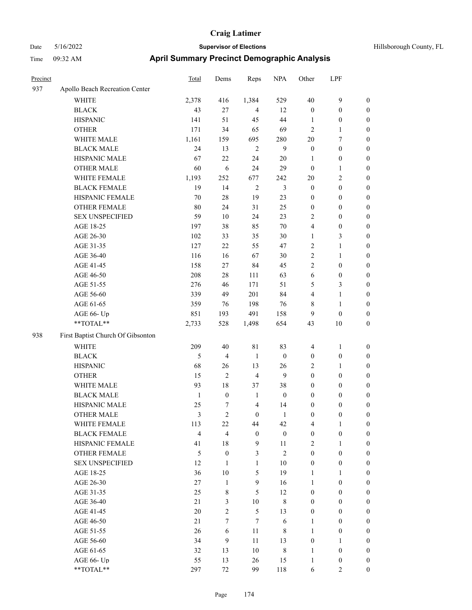| Precinct |                                   | <b>Total</b>   | Dems             | Reps             | <b>NPA</b>       | Other            | LPF              |                  |
|----------|-----------------------------------|----------------|------------------|------------------|------------------|------------------|------------------|------------------|
| 937      | Apollo Beach Recreation Center    |                |                  |                  |                  |                  |                  |                  |
|          | WHITE                             | 2,378          | 416              | 1,384            | 529              | 40               | 9                | $\boldsymbol{0}$ |
|          | <b>BLACK</b>                      | 43             | 27               | $\overline{4}$   | 12               | $\boldsymbol{0}$ | $\boldsymbol{0}$ | $\boldsymbol{0}$ |
|          | <b>HISPANIC</b>                   | 141            | 51               | 45               | 44               | 1                | $\boldsymbol{0}$ | $\boldsymbol{0}$ |
|          | <b>OTHER</b>                      | 171            | 34               | 65               | 69               | $\overline{2}$   | 1                | $\boldsymbol{0}$ |
|          | WHITE MALE                        | 1,161          | 159              | 695              | 280              | 20               | 7                | $\boldsymbol{0}$ |
|          | <b>BLACK MALE</b>                 | 24             | 13               | $\overline{2}$   | 9                | $\boldsymbol{0}$ | $\boldsymbol{0}$ | $\boldsymbol{0}$ |
|          | HISPANIC MALE                     | 67             | 22               | 24               | $20\,$           | 1                | $\boldsymbol{0}$ | $\boldsymbol{0}$ |
|          | <b>OTHER MALE</b>                 | 60             | 6                | 24               | 29               | $\boldsymbol{0}$ | $\mathbf{1}$     | $\boldsymbol{0}$ |
|          | WHITE FEMALE                      | 1,193          | 252              | 677              | 242              | 20               | $\overline{c}$   | $\boldsymbol{0}$ |
|          | <b>BLACK FEMALE</b>               | 19             | 14               | $\overline{2}$   | $\mathfrak{Z}$   | $\boldsymbol{0}$ | $\boldsymbol{0}$ | $\boldsymbol{0}$ |
|          | HISPANIC FEMALE                   | 70             | 28               | 19               | 23               | $\boldsymbol{0}$ | $\boldsymbol{0}$ | $\boldsymbol{0}$ |
|          | <b>OTHER FEMALE</b>               | 80             | 24               | 31               | 25               | $\boldsymbol{0}$ | $\boldsymbol{0}$ | $\boldsymbol{0}$ |
|          | <b>SEX UNSPECIFIED</b>            | 59             | 10               | 24               | 23               | $\overline{2}$   | $\boldsymbol{0}$ | $\boldsymbol{0}$ |
|          | AGE 18-25                         | 197            | 38               | 85               | 70               | $\overline{4}$   | $\boldsymbol{0}$ | $\boldsymbol{0}$ |
|          | AGE 26-30                         | 102            | 33               | 35               | 30               | 1                | 3                | $\boldsymbol{0}$ |
|          | AGE 31-35                         | 127            | 22               | 55               | 47               | $\sqrt{2}$       | 1                | $\boldsymbol{0}$ |
|          | AGE 36-40                         | 116            | 16               | 67               | $30\,$           | $\overline{2}$   | 1                | $\boldsymbol{0}$ |
|          | AGE 41-45                         | 158            | 27               | 84               | 45               | $\overline{2}$   | $\boldsymbol{0}$ | $\boldsymbol{0}$ |
|          | AGE 46-50                         | 208            | 28               | 111              | 63               | 6                | $\boldsymbol{0}$ | $\boldsymbol{0}$ |
|          | AGE 51-55                         | 276            | 46               | 171              | 51               | 5                | 3                | $\boldsymbol{0}$ |
|          | AGE 56-60                         | 339            | 49               | 201              | 84               | $\overline{4}$   | 1                | $\boldsymbol{0}$ |
|          | AGE 61-65                         | 359            | 76               | 198              | 76               | $\,$ 8 $\,$      | 1                | $\boldsymbol{0}$ |
|          | AGE 66- Up                        | 851            | 193              | 491              | 158              | 9                | $\boldsymbol{0}$ | $\boldsymbol{0}$ |
|          | **TOTAL**                         | 2,733          | 528              | 1,498            | 654              | 43               | 10               | $\boldsymbol{0}$ |
| 938      | First Baptist Church Of Gibsonton |                |                  |                  |                  |                  |                  |                  |
|          | <b>WHITE</b>                      | 209            | 40               | 81               | 83               | 4                | 1                | $\boldsymbol{0}$ |
|          | <b>BLACK</b>                      | 5              | $\overline{4}$   | 1                | $\mathbf{0}$     | $\boldsymbol{0}$ | $\boldsymbol{0}$ | $\boldsymbol{0}$ |
|          | <b>HISPANIC</b>                   | 68             | 26               | 13               | 26               | $\overline{2}$   | 1                | $\boldsymbol{0}$ |
|          | <b>OTHER</b>                      | 15             | $\overline{2}$   | $\overline{4}$   | 9                | $\boldsymbol{0}$ | $\boldsymbol{0}$ | $\boldsymbol{0}$ |
|          | WHITE MALE                        | 93             | 18               | 37               | 38               | $\boldsymbol{0}$ | $\boldsymbol{0}$ | $\boldsymbol{0}$ |
|          | <b>BLACK MALE</b>                 | $\mathbf{1}$   | $\boldsymbol{0}$ | 1                | $\mathbf{0}$     | $\boldsymbol{0}$ | 0                | $\boldsymbol{0}$ |
|          | HISPANIC MALE                     | 25             | 7                | $\overline{4}$   | 14               | $\boldsymbol{0}$ | $\boldsymbol{0}$ | $\boldsymbol{0}$ |
|          | <b>OTHER MALE</b>                 | 3              | 2                | $\mathbf{0}$     | 1                | $\boldsymbol{0}$ | $\boldsymbol{0}$ | $\boldsymbol{0}$ |
|          | WHITE FEMALE                      | 113            | 22               | 44               | 42               | $\overline{4}$   | $\mathbf{1}$     | $\boldsymbol{0}$ |
|          | <b>BLACK FEMALE</b>               | $\overline{4}$ | $\overline{4}$   | $\boldsymbol{0}$ | $\boldsymbol{0}$ | $\boldsymbol{0}$ | $\boldsymbol{0}$ | $\boldsymbol{0}$ |
|          | HISPANIC FEMALE                   | 41             | 18               | 9                | 11               | $\overline{2}$   | $\mathbf{1}$     | $\boldsymbol{0}$ |
|          | OTHER FEMALE                      | 5              | $\boldsymbol{0}$ | 3                | $\mathfrak{2}$   | $\mathbf{0}$     | $\boldsymbol{0}$ | $\boldsymbol{0}$ |
|          | <b>SEX UNSPECIFIED</b>            | 12             | $\mathbf{1}$     | $\mathbf{1}$     | 10               | $\boldsymbol{0}$ | $\boldsymbol{0}$ | $\boldsymbol{0}$ |
|          | AGE 18-25                         | 36             | $10\,$           | 5                | 19               | $\mathbf{1}$     | $\mathbf{1}$     | $\boldsymbol{0}$ |
|          | AGE 26-30                         | 27             | $\mathbf{1}$     | 9                | 16               | $\mathbf{1}$     | $\boldsymbol{0}$ | $\boldsymbol{0}$ |
|          | AGE 31-35                         | 25             | $\,$ 8 $\,$      | 5                | 12               | $\boldsymbol{0}$ | $\boldsymbol{0}$ | $\boldsymbol{0}$ |
|          | AGE 36-40                         | $21\,$         | 3                | $10\,$           | $\,8\,$          | $\boldsymbol{0}$ | $\boldsymbol{0}$ | $\boldsymbol{0}$ |
|          | AGE 41-45                         | $20\,$         | $\overline{2}$   | 5                | 13               | $\boldsymbol{0}$ | $\boldsymbol{0}$ | $\boldsymbol{0}$ |
|          | AGE 46-50                         | $21\,$         | $\tau$           | $7\phantom{.0}$  | 6                | $\mathbf{1}$     | $\boldsymbol{0}$ | $\boldsymbol{0}$ |
|          | AGE 51-55                         | 26             | 6                | 11               | 8                | $\mathbf{1}$     | $\boldsymbol{0}$ | $\boldsymbol{0}$ |
|          | AGE 56-60                         | 34             | 9                | 11               | 13               | $\boldsymbol{0}$ | $\mathbf{1}$     | $\boldsymbol{0}$ |
|          | AGE 61-65                         | 32             | 13               | $10\,$           | $\,8\,$          | $\mathbf{1}$     | $\boldsymbol{0}$ | $\boldsymbol{0}$ |
|          | AGE 66- Up                        | 55             | 13               | 26               | 15               | $\mathbf{1}$     | $\boldsymbol{0}$ | $\boldsymbol{0}$ |
|          | $**TOTAL**$                       | 297            | 72               | 99               | 118              | 6                | $\overline{2}$   | $\boldsymbol{0}$ |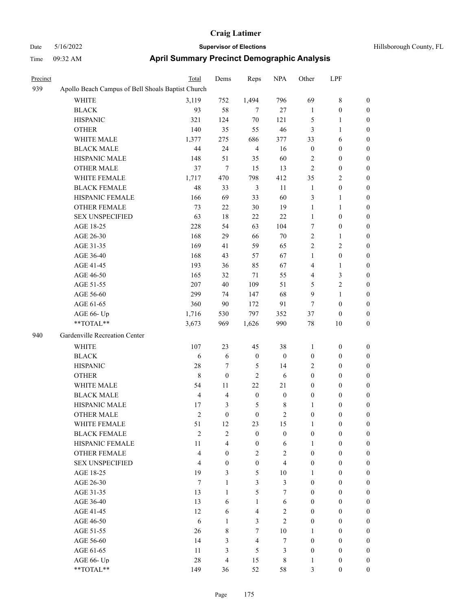| Precinct |                                                   | Total          | Dems             | Reps             | <b>NPA</b>       | Other            | LPF              |                  |
|----------|---------------------------------------------------|----------------|------------------|------------------|------------------|------------------|------------------|------------------|
| 939      | Apollo Beach Campus of Bell Shoals Baptist Church |                |                  |                  |                  |                  |                  |                  |
|          | <b>WHITE</b>                                      | 3,119          | 752              | 1,494            | 796              | 69               | $8\,$            | $\boldsymbol{0}$ |
|          | <b>BLACK</b>                                      | 93             | 58               | $\tau$           | 27               | $\mathbf{1}$     | $\boldsymbol{0}$ | $\boldsymbol{0}$ |
|          | <b>HISPANIC</b>                                   | 321            | 124              | $70\,$           | 121              | 5                | 1                | 0                |
|          | <b>OTHER</b>                                      | 140            | 35               | 55               | 46               | 3                | $\mathbf{1}$     | 0                |
|          | WHITE MALE                                        | 1,377          | 275              | 686              | 377              | 33               | 6                | 0                |
|          | <b>BLACK MALE</b>                                 | 44             | 24               | $\overline{4}$   | 16               | $\boldsymbol{0}$ | $\boldsymbol{0}$ | $\boldsymbol{0}$ |
|          | HISPANIC MALE                                     | 148            | 51               | 35               | 60               | 2                | $\boldsymbol{0}$ | $\boldsymbol{0}$ |
|          | <b>OTHER MALE</b>                                 | 37             | 7                | 15               | 13               | 2                | $\boldsymbol{0}$ | $\boldsymbol{0}$ |
|          | WHITE FEMALE                                      | 1,717          | 470              | 798              | 412              | 35               | $\sqrt{2}$       | 0                |
|          | <b>BLACK FEMALE</b>                               | 48             | 33               | $\mathfrak{Z}$   | 11               | $\mathbf{1}$     | $\boldsymbol{0}$ | $\boldsymbol{0}$ |
|          | HISPANIC FEMALE                                   | 166            | 69               | 33               | 60               | 3                | $\mathbf{1}$     | 0                |
|          | OTHER FEMALE                                      | 73             | 22               | $30\,$           | 19               | $\mathbf{1}$     | 1                | 0                |
|          | <b>SEX UNSPECIFIED</b>                            | 63             | 18               | 22               | $22\,$           | $\mathbf{1}$     | $\boldsymbol{0}$ | 0                |
|          | AGE 18-25                                         | 228            | 54               | 63               | 104              | 7                | $\boldsymbol{0}$ | 0                |
|          | AGE 26-30                                         | 168            | 29               | 66               | 70               | 2                | $\mathbf{1}$     | 0                |
|          | AGE 31-35                                         | 169            | 41               | 59               | 65               | $\mathbf{2}$     | $\mathbf{2}$     | 0                |
|          | AGE 36-40                                         | 168            | 43               | 57               | 67               | 1                | $\boldsymbol{0}$ | $\boldsymbol{0}$ |
|          | AGE 41-45                                         | 193            | 36               | 85               | 67               | 4                | 1                | $\boldsymbol{0}$ |
|          | AGE 46-50                                         | 165            | 32               | 71               | 55               | 4                | $\mathfrak{Z}$   | 0                |
|          | AGE 51-55                                         | 207            | 40               | 109              | 51               | 5                | $\sqrt{2}$       | $\boldsymbol{0}$ |
|          | AGE 56-60                                         | 299            | 74               | 147              | 68               | 9                | $\mathbf{1}$     | $\boldsymbol{0}$ |
|          | AGE 61-65                                         | 360            | 90               | 172              | 91               | 7                | $\boldsymbol{0}$ | 0                |
|          | AGE 66- Up                                        | 1,716          | 530              | 797              | 352              | 37               | $\boldsymbol{0}$ | 0                |
|          | **TOTAL**                                         | 3,673          | 969              | 1,626            | 990              | 78               | $10\,$           | 0                |
| 940      | Gardenville Recreation Center                     |                |                  |                  |                  |                  |                  |                  |
|          | <b>WHITE</b>                                      | 107            | 23               | 45               | 38               | 1                | $\boldsymbol{0}$ | 0                |
|          | <b>BLACK</b>                                      | 6              | 6                | $\boldsymbol{0}$ | $\boldsymbol{0}$ | $\boldsymbol{0}$ | $\boldsymbol{0}$ | 0                |
|          | <b>HISPANIC</b>                                   | 28             | 7                | 5                | 14               | 2                | $\boldsymbol{0}$ | 0                |
|          | <b>OTHER</b>                                      | $\,$ 8 $\,$    | $\boldsymbol{0}$ | $\mathbf{2}$     | 6                | $\boldsymbol{0}$ | $\boldsymbol{0}$ | 0                |
|          | WHITE MALE                                        | 54             | 11               | $22\,$           | 21               | $\boldsymbol{0}$ | $\boldsymbol{0}$ | $\boldsymbol{0}$ |
|          | <b>BLACK MALE</b>                                 | $\overline{4}$ | 4                | $\boldsymbol{0}$ | $\boldsymbol{0}$ | $\boldsymbol{0}$ | $\boldsymbol{0}$ | 0                |
|          | HISPANIC MALE                                     | 17             | 3                | 5                | 8                | $\mathbf{1}$     | $\boldsymbol{0}$ | 0                |
|          | <b>OTHER MALE</b>                                 | $\mathfrak{2}$ | $\boldsymbol{0}$ | $\boldsymbol{0}$ | $\overline{c}$   | $\boldsymbol{0}$ | $\boldsymbol{0}$ | $\boldsymbol{0}$ |
|          | WHITE FEMALE                                      | 51             | 12               | 23               | 15               | $\mathbf{1}$     | $\boldsymbol{0}$ | $\boldsymbol{0}$ |
|          | <b>BLACK FEMALE</b>                               | $\overline{c}$ | $\overline{c}$   | $\boldsymbol{0}$ | $\boldsymbol{0}$ | $\boldsymbol{0}$ | $\boldsymbol{0}$ | 0                |
|          | HISPANIC FEMALE                                   | 11             | $\overline{4}$   | $\boldsymbol{0}$ | 6                | $\mathbf{1}$     | $\boldsymbol{0}$ | 0                |
|          | <b>OTHER FEMALE</b>                               | $\overline{4}$ | $\overline{0}$   | $\mathfrak{2}$   | $\overline{c}$   | $\boldsymbol{0}$ | $\boldsymbol{0}$ | $\boldsymbol{0}$ |
|          | <b>SEX UNSPECIFIED</b>                            | $\overline{4}$ | $\boldsymbol{0}$ | $\boldsymbol{0}$ | $\overline{4}$   | $\boldsymbol{0}$ | $\boldsymbol{0}$ | $\overline{0}$   |
|          | AGE 18-25                                         | 19             | 3                | 5                | 10               | 1                | $\boldsymbol{0}$ | $\overline{0}$   |
|          | AGE 26-30                                         | $\tau$         | $\mathbf{1}$     | $\mathfrak{Z}$   | $\mathfrak{Z}$   | $\boldsymbol{0}$ | $\boldsymbol{0}$ | $\overline{0}$   |
|          | AGE 31-35                                         | 13             | $\mathbf{1}$     | 5                | $\tau$           | $\boldsymbol{0}$ | $\boldsymbol{0}$ | $\overline{0}$   |
|          | AGE 36-40                                         | 13             | 6                | $\mathbf{1}$     | 6                | $\boldsymbol{0}$ | $\boldsymbol{0}$ | $\overline{0}$   |
|          | AGE 41-45                                         | 12             | 6                | $\overline{4}$   | $\mathbf{2}$     | $\boldsymbol{0}$ | $\boldsymbol{0}$ | $\overline{0}$   |
|          | AGE 46-50                                         | 6              | $\mathbf{1}$     | $\mathfrak{Z}$   | $\overline{c}$   | $\boldsymbol{0}$ | $\boldsymbol{0}$ | $\overline{0}$   |
|          | AGE 51-55                                         | 26             | 8                | $\tau$           | $10\,$           | $\mathbf{1}$     | $\boldsymbol{0}$ | $\boldsymbol{0}$ |
|          | AGE 56-60                                         | 14             | 3                | $\overline{4}$   | $\boldsymbol{7}$ | $\boldsymbol{0}$ | $\boldsymbol{0}$ | $\boldsymbol{0}$ |
|          | AGE 61-65                                         | 11             | 3                | $\mathfrak{S}$   | $\mathfrak{Z}$   | $\boldsymbol{0}$ | $\boldsymbol{0}$ | $\boldsymbol{0}$ |
|          | AGE 66- Up                                        | $28\,$         | 4                | 15               | $8\,$            | $\mathbf{1}$     | $\boldsymbol{0}$ | 0                |
|          | $**TOTAL**$                                       | 149            | 36               | 52               | 58               | 3                | $\boldsymbol{0}$ | $\overline{0}$   |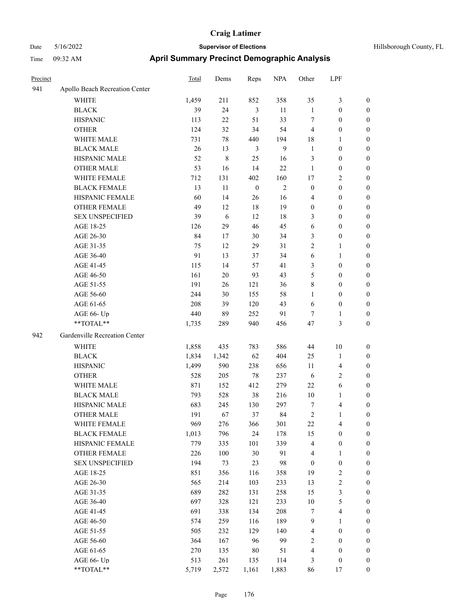| Precinct |                                                           | Total | Dems   | Reps             | <b>NPA</b>     | Other            | LPF                     |                  |
|----------|-----------------------------------------------------------|-------|--------|------------------|----------------|------------------|-------------------------|------------------|
| 941      | Apollo Beach Recreation Center                            |       |        |                  |                |                  |                         |                  |
|          | WHITE                                                     | 1,459 | 211    | 852              | 358            | 35               | 3                       | $\boldsymbol{0}$ |
|          | <b>BLACK</b>                                              | 39    | 24     | 3                | 11             | 1                | $\boldsymbol{0}$        | $\boldsymbol{0}$ |
|          | <b>HISPANIC</b>                                           | 113   | 22     | 51               | 33             | 7                | $\boldsymbol{0}$        | $\boldsymbol{0}$ |
|          | <b>OTHER</b>                                              | 124   | 32     | 34               | 54             | $\overline{4}$   | $\boldsymbol{0}$        | $\boldsymbol{0}$ |
|          | WHITE MALE                                                | 731   | $78\,$ | 440              | 194            | 18               | 1                       | $\boldsymbol{0}$ |
|          | <b>BLACK MALE</b>                                         | 26    | 13     | 3                | 9              | $\mathbf{1}$     | $\boldsymbol{0}$        | $\boldsymbol{0}$ |
|          | HISPANIC MALE                                             | 52    | 8      | 25               | 16             | 3                | $\boldsymbol{0}$        | $\boldsymbol{0}$ |
|          | <b>OTHER MALE</b>                                         | 53    | 16     | 14               | 22             | 1                | $\boldsymbol{0}$        | $\boldsymbol{0}$ |
|          | WHITE FEMALE                                              | 712   | 131    | 402              | 160            | 17               | 2                       | $\boldsymbol{0}$ |
|          | <b>BLACK FEMALE</b>                                       | 13    | 11     | $\boldsymbol{0}$ | $\overline{2}$ | $\boldsymbol{0}$ | $\boldsymbol{0}$        | $\boldsymbol{0}$ |
|          | HISPANIC FEMALE                                           | 60    | 14     | 26               | 16             | $\overline{4}$   | $\boldsymbol{0}$        | $\boldsymbol{0}$ |
|          | <b>OTHER FEMALE</b>                                       | 49    | 12     | 18               | 19             | $\boldsymbol{0}$ | $\boldsymbol{0}$        | $\boldsymbol{0}$ |
|          | <b>SEX UNSPECIFIED</b>                                    | 39    | 6      | 12               | 18             | 3                | $\boldsymbol{0}$        | $\boldsymbol{0}$ |
|          | AGE 18-25                                                 | 126   | 29     | 46               | 45             | 6                | $\boldsymbol{0}$        | $\boldsymbol{0}$ |
|          | AGE 26-30                                                 | 84    | 17     | 30               | 34             | 3                | $\boldsymbol{0}$        | $\boldsymbol{0}$ |
|          | AGE 31-35                                                 | 75    | 12     | 29               | 31             | $\overline{c}$   | 1                       | $\boldsymbol{0}$ |
|          | AGE 36-40                                                 | 91    | 13     | 37               | 34             | 6                | 1                       | $\boldsymbol{0}$ |
|          | AGE 41-45                                                 | 115   | 14     | 57               | 41             | 3                | 0                       | $\boldsymbol{0}$ |
|          | AGE 46-50                                                 | 161   | 20     | 93               | 43             | 5                | $\boldsymbol{0}$        | $\boldsymbol{0}$ |
|          | AGE 51-55                                                 | 191   | 26     | 121              | 36             | $\,$ 8 $\,$      | $\boldsymbol{0}$        | $\boldsymbol{0}$ |
|          | AGE 56-60                                                 | 244   | 30     | 155              | 58             | $\mathbf{1}$     | $\boldsymbol{0}$        | $\boldsymbol{0}$ |
|          | AGE 61-65                                                 | 208   | 39     | 120              | 43             | 6                | $\boldsymbol{0}$        | $\boldsymbol{0}$ |
|          | AGE 66- Up                                                | 440   | 89     | 252              | 91             | 7                | 1                       | $\boldsymbol{0}$ |
|          | **TOTAL**                                                 | 1,735 | 289    | 940              | 456            | 47               | 3                       | $\boldsymbol{0}$ |
| 942      | Gardenville Recreation Center                             |       |        |                  |                |                  |                         |                  |
|          | <b>WHITE</b>                                              | 1,858 | 435    | 783              | 586            | 44               | 10                      | $\boldsymbol{0}$ |
|          | <b>BLACK</b>                                              | 1,834 | 1,342  | 62               | 404            | 25               | 1                       | $\boldsymbol{0}$ |
|          | <b>HISPANIC</b>                                           | 1,499 | 590    | 238              | 656            | 11               | 4                       | $\boldsymbol{0}$ |
|          | <b>OTHER</b>                                              | 528   | 205    | 78               | 237            | 6                | 2                       | $\boldsymbol{0}$ |
|          | WHITE MALE                                                | 871   | 152    | 412              | 279            | 22               | 6                       | $\boldsymbol{0}$ |
|          | <b>BLACK MALE</b>                                         | 793   | 528    | 38               | 216            | 10               | 1                       | $\boldsymbol{0}$ |
|          | HISPANIC MALE                                             | 683   | 245    | 130              | 297            | 7                | 4                       | $\boldsymbol{0}$ |
|          | <b>OTHER MALE</b>                                         | 191   | 67     | 37               | 84             | $\overline{c}$   | 1                       | $\boldsymbol{0}$ |
|          | WHITE FEMALE                                              | 969   | 276    | 366              | 301            | 22               | 4                       | $\boldsymbol{0}$ |
|          | <b>BLACK FEMALE</b>                                       | 1,013 | 796    | 24               | 178            | 15               | $\boldsymbol{0}$        | $\boldsymbol{0}$ |
|          | HISPANIC FEMALE                                           | 779   | 335    | 101              | 339            | $\overline{4}$   | $\boldsymbol{0}$        | $\boldsymbol{0}$ |
|          | OTHER FEMALE                                              | 226   | 100    | 30               | 91             | $\overline{4}$   | 1                       | $\boldsymbol{0}$ |
|          | <b>SEX UNSPECIFIED</b>                                    | 194   | 73     | 23               | 98             | $\boldsymbol{0}$ | $\boldsymbol{0}$        | $\boldsymbol{0}$ |
|          | AGE 18-25                                                 | 851   | 356    | 116              | 358            | 19               | 2                       | $\boldsymbol{0}$ |
|          | AGE 26-30                                                 | 565   | 214    | 103              | 233            | 13               | $\overline{\mathbf{c}}$ | $\boldsymbol{0}$ |
|          | AGE 31-35                                                 | 689   | 282    | 131              | 258            | 15               | 3                       | $\boldsymbol{0}$ |
|          | AGE 36-40                                                 | 697   | 328    | 121              | 233            | $10\,$           | 5                       | $\boldsymbol{0}$ |
|          | AGE 41-45                                                 | 691   | 338    | 134              | 208            | $\tau$           | $\overline{\mathbf{4}}$ | $\boldsymbol{0}$ |
|          | AGE 46-50                                                 | 574   | 259    | 116              | 189            | $\overline{9}$   | $\mathbf{1}$            | $\boldsymbol{0}$ |
|          | AGE 51-55                                                 | 505   | 232    | 129              | 140            | $\overline{4}$   | $\boldsymbol{0}$        | $\boldsymbol{0}$ |
|          | AGE 56-60                                                 | 364   | 167    | 96               | 99             | $\sqrt{2}$       | $\boldsymbol{0}$        | $\boldsymbol{0}$ |
|          | AGE 61-65                                                 | 270   | 135    | 80               | 51             | $\overline{4}$   | $\boldsymbol{0}$        | $\boldsymbol{0}$ |
|          | AGE 66- Up                                                | 513   | 261    | 135              | 114            | 3                | $\boldsymbol{0}$        | $\boldsymbol{0}$ |
|          | $\mathrm{*}\mathrm{*}\mathrm{TOTAL} \mathrm{*}\mathrm{*}$ | 5,719 | 2,572  | 1,161            | 1,883          | 86               | 17                      | $\boldsymbol{0}$ |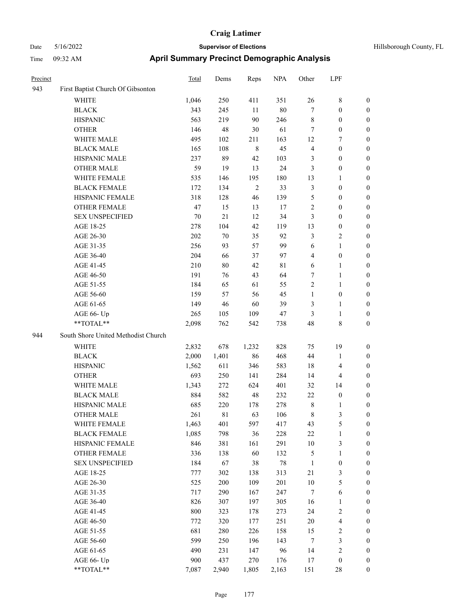| Hillsborough County, FI |  |
|-------------------------|--|

| Precinct |                                                           | <b>Total</b> | Dems  | Reps        | <b>NPA</b> | Other            | LPF                     |                  |
|----------|-----------------------------------------------------------|--------------|-------|-------------|------------|------------------|-------------------------|------------------|
| 943      | First Baptist Church Of Gibsonton                         |              |       |             |            |                  |                         |                  |
|          | WHITE                                                     | 1,046        | 250   | 411         | 351        | 26               | 8                       | 0                |
|          | <b>BLACK</b>                                              | 343          | 245   | 11          | $80\,$     | 7                | $\boldsymbol{0}$        | 0                |
|          | <b>HISPANIC</b>                                           | 563          | 219   | 90          | 246        | 8                | $\boldsymbol{0}$        | 0                |
|          | <b>OTHER</b>                                              | 146          | 48    | 30          | 61         | 7                | $\boldsymbol{0}$        | $\boldsymbol{0}$ |
|          | WHITE MALE                                                | 495          | 102   | 211         | 163        | 12               | 7                       | $\boldsymbol{0}$ |
|          | <b>BLACK MALE</b>                                         | 165          | 108   | $\,$ 8 $\,$ | 45         | 4                | $\boldsymbol{0}$        | $\boldsymbol{0}$ |
|          | HISPANIC MALE                                             | 237          | 89    | 42          | 103        | 3                | $\boldsymbol{0}$        | $\boldsymbol{0}$ |
|          | <b>OTHER MALE</b>                                         | 59           | 19    | 13          | 24         | 3                | $\boldsymbol{0}$        | $\boldsymbol{0}$ |
|          | WHITE FEMALE                                              | 535          | 146   | 195         | 180        | 13               | $\mathbf{1}$            | 0                |
|          | <b>BLACK FEMALE</b>                                       | 172          | 134   | $\sqrt{2}$  | 33         | 3                | $\boldsymbol{0}$        | 0                |
|          | HISPANIC FEMALE                                           | 318          | 128   | 46          | 139        | 5                | $\boldsymbol{0}$        | 0                |
|          | OTHER FEMALE                                              | 47           | 15    | 13          | 17         | 2                | $\boldsymbol{0}$        | 0                |
|          | <b>SEX UNSPECIFIED</b>                                    | 70           | 21    | 12          | 34         | 3                | $\boldsymbol{0}$        | 0                |
|          | AGE 18-25                                                 | 278          | 104   | 42          | 119        | 13               | $\boldsymbol{0}$        | 0                |
|          | AGE 26-30                                                 | 202          | 70    | 35          | 92         | 3                | $\sqrt{2}$              | $\boldsymbol{0}$ |
|          | AGE 31-35                                                 | 256          | 93    | 57          | 99         | 6                | $\mathbf{1}$            | 0                |
|          | AGE 36-40                                                 | 204          | 66    | 37          | 97         | 4                | $\boldsymbol{0}$        | 0                |
|          | AGE 41-45                                                 | 210          | 80    | 42          | 81         | 6                | $\mathbf{1}$            | 0                |
|          | AGE 46-50                                                 | 191          | 76    | 43          | 64         | 7                | $\mathbf{1}$            | 0                |
|          | AGE 51-55                                                 | 184          | 65    | 61          | 55         | 2                | $\mathbf{1}$            | 0                |
|          | AGE 56-60                                                 | 159          | 57    | 56          | 45         | $\mathbf{1}$     | $\boldsymbol{0}$        | 0                |
|          | AGE 61-65                                                 | 149          | 46    | 60          | 39         | 3                | $\mathbf{1}$            | 0                |
|          | AGE 66- Up                                                | 265          | 105   | 109         | 47         | 3                | $\mathbf{1}$            | 0                |
|          | **TOTAL**                                                 | 2,098        | 762   | 542         | 738        | 48               | $\,$ 8 $\,$             | $\boldsymbol{0}$ |
| 944      | South Shore United Methodist Church                       |              |       |             |            |                  |                         |                  |
|          | <b>WHITE</b>                                              | 2,832        | 678   | 1,232       | 828        | 75               | 19                      | 0                |
|          | <b>BLACK</b>                                              | 2,000        | 1,401 | 86          | 468        | 44               | 1                       | $\boldsymbol{0}$ |
|          | <b>HISPANIC</b>                                           | 1,562        | 611   | 346         | 583        | 18               | $\overline{4}$          | $\boldsymbol{0}$ |
|          | <b>OTHER</b>                                              | 693          | 250   | 141         | 284        | 14               | 4                       | 0                |
|          | WHITE MALE                                                | 1,343        | 272   | 624         | 401        | 32               | 14                      | 0                |
|          | <b>BLACK MALE</b>                                         | 884          | 582   | 48          | 232        | $22\,$           | $\boldsymbol{0}$        | $\boldsymbol{0}$ |
|          | HISPANIC MALE                                             | 685          | 220   | 178         | 278        | 8                | 1                       | 0                |
|          | <b>OTHER MALE</b>                                         | 261          | 81    | 63          | 106        | 8                | 3                       | $\boldsymbol{0}$ |
|          | WHITE FEMALE                                              | 1,463        | 401   | 597         | 417        | 43               | $\mathfrak{S}$          | 0                |
|          | <b>BLACK FEMALE</b>                                       | 1,085        | 798   | 36          | 228        | $22\,$           | $\mathbf{1}$            | 0                |
|          | HISPANIC FEMALE                                           | 846          | 381   | 161         | 291        | $10\,$           | $\mathfrak{Z}$          | 0                |
|          | <b>OTHER FEMALE</b>                                       | 336          | 138   | 60          | 132        | 5                | 1                       | 0                |
|          | <b>SEX UNSPECIFIED</b>                                    | 184          | 67    | 38          | $78\,$     | $\mathbf{1}$     | $\boldsymbol{0}$        | 0                |
|          | AGE 18-25                                                 | 777          | 302   | 138         | 313        | 21               | $\mathfrak{Z}$          | 0                |
|          | AGE 26-30                                                 | 525          | 200   | 109         | 201        | $10\,$           | $\mathfrak{S}$          | 0                |
|          | AGE 31-35                                                 | 717          | 290   | 167         | 247        | $\boldsymbol{7}$ | $\sqrt{6}$              | 0                |
|          | AGE 36-40                                                 | 826          | 307   | 197         | 305        | 16               | $\mathbf{1}$            | 0                |
|          | AGE 41-45                                                 | 800          | 323   | 178         | 273        | 24               | $\sqrt{2}$              | 0                |
|          | AGE 46-50                                                 | 772          | 320   | 177         | 251        | 20               | $\overline{\mathbf{4}}$ | 0                |
|          | AGE 51-55                                                 | 681          | 280   | 226         | 158        | 15               | $\sqrt{2}$              | 0                |
|          | AGE 56-60                                                 | 599          | 250   | 196         | 143        | 7                | $\mathfrak{Z}$          | 0                |
|          | AGE 61-65                                                 | 490          | 231   | 147         | 96         | 14               | $\sqrt{2}$              | $\boldsymbol{0}$ |
|          | AGE 66- Up                                                | 900          | 437   | 270         | 176        | 17               | $\boldsymbol{0}$        | $\boldsymbol{0}$ |
|          | $\mathrm{*}\mathrm{*}\mathrm{TOTAL} \mathrm{*}\mathrm{*}$ | 7,087        | 2,940 | 1,805       | 2,163      | 151              | $28\,$                  | $\overline{0}$   |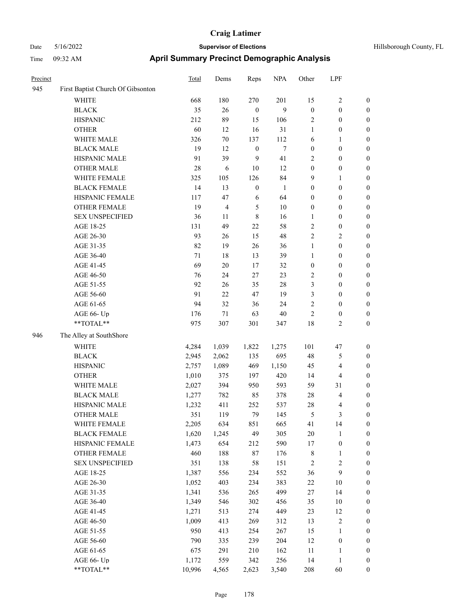| Precinct |                                   | Total  | Dems   | Reps             | <b>NPA</b>   | Other            | LPF                     |                  |
|----------|-----------------------------------|--------|--------|------------------|--------------|------------------|-------------------------|------------------|
| 945      | First Baptist Church Of Gibsonton |        |        |                  |              |                  |                         |                  |
|          | <b>WHITE</b>                      | 668    | 180    | 270              | 201          | 15               | $\sqrt{2}$              | $\boldsymbol{0}$ |
|          | <b>BLACK</b>                      | 35     | 26     | $\boldsymbol{0}$ | 9            | $\boldsymbol{0}$ | $\boldsymbol{0}$        | $\boldsymbol{0}$ |
|          | <b>HISPANIC</b>                   | 212    | 89     | 15               | 106          | $\overline{c}$   | $\boldsymbol{0}$        | $\boldsymbol{0}$ |
|          | <b>OTHER</b>                      | 60     | 12     | 16               | 31           | $\mathbf{1}$     | $\boldsymbol{0}$        | 0                |
|          | WHITE MALE                        | 326    | $70\,$ | 137              | 112          | 6                | $\mathbf{1}$            | 0                |
|          | <b>BLACK MALE</b>                 | 19     | 12     | $\boldsymbol{0}$ | $\tau$       | $\boldsymbol{0}$ | $\boldsymbol{0}$        | 0                |
|          | HISPANIC MALE                     | 91     | 39     | 9                | 41           | $\overline{c}$   | $\boldsymbol{0}$        | $\boldsymbol{0}$ |
|          | <b>OTHER MALE</b>                 | 28     | 6      | $10\,$           | 12           | $\boldsymbol{0}$ | $\boldsymbol{0}$        | $\boldsymbol{0}$ |
|          | WHITE FEMALE                      | 325    | 105    | 126              | 84           | 9                | $\mathbf{1}$            | $\boldsymbol{0}$ |
|          | <b>BLACK FEMALE</b>               | 14     | 13     | $\boldsymbol{0}$ | $\mathbf{1}$ | $\boldsymbol{0}$ | $\boldsymbol{0}$        | $\boldsymbol{0}$ |
|          | HISPANIC FEMALE                   | 117    | 47     | 6                | 64           | $\boldsymbol{0}$ | $\boldsymbol{0}$        | $\boldsymbol{0}$ |
|          | <b>OTHER FEMALE</b>               | 19     | 4      | $\mathfrak{S}$   | $10\,$       | $\boldsymbol{0}$ | $\boldsymbol{0}$        | $\boldsymbol{0}$ |
|          | <b>SEX UNSPECIFIED</b>            | 36     | 11     | $\,8\,$          | 16           | $\mathbf{1}$     | $\boldsymbol{0}$        | $\boldsymbol{0}$ |
|          | AGE 18-25                         | 131    | 49     | 22               | 58           | $\sqrt{2}$       | $\boldsymbol{0}$        | $\boldsymbol{0}$ |
|          | AGE 26-30                         | 93     | 26     | 15               | 48           | $\mathfrak{2}$   | $\mathfrak{2}$          | 0                |
|          | AGE 31-35                         | 82     | 19     | 26               | 36           | $\mathbf{1}$     | $\boldsymbol{0}$        | 0                |
|          | AGE 36-40                         | 71     | 18     | 13               | 39           | $\mathbf{1}$     | $\boldsymbol{0}$        | 0                |
|          | AGE 41-45                         | 69     | $20\,$ | 17               | 32           | $\boldsymbol{0}$ | $\boldsymbol{0}$        | $\boldsymbol{0}$ |
|          | AGE 46-50                         | 76     | 24     | 27               | 23           | 2                | $\boldsymbol{0}$        | $\boldsymbol{0}$ |
|          | AGE 51-55                         | 92     | 26     | 35               | 28           | 3                | $\boldsymbol{0}$        | $\boldsymbol{0}$ |
|          | AGE 56-60                         | 91     | 22     | $47\,$           | 19           | 3                | $\boldsymbol{0}$        | $\boldsymbol{0}$ |
|          | AGE 61-65                         | 94     | 32     | 36               | 24           | $\overline{c}$   | $\boldsymbol{0}$        | $\boldsymbol{0}$ |
|          | AGE 66- Up                        | 176    | $71\,$ | 63               | 40           | $\overline{c}$   | $\boldsymbol{0}$        | $\boldsymbol{0}$ |
|          | **TOTAL**                         | 975    | 307    | 301              | 347          | 18               | $\mathfrak{2}$          | $\boldsymbol{0}$ |
| 946      | The Alley at SouthShore           |        |        |                  |              |                  |                         |                  |
|          | WHITE                             | 4,284  | 1,039  | 1,822            | 1,275        | 101              | 47                      | $\boldsymbol{0}$ |
|          | <b>BLACK</b>                      | 2,945  | 2,062  | 135              | 695          | 48               | 5                       | $\boldsymbol{0}$ |
|          | <b>HISPANIC</b>                   | 2,757  | 1,089  | 469              | 1,150        | 45               | $\overline{\mathbf{4}}$ | 0                |
|          | <b>OTHER</b>                      | 1,010  | 375    | 197              | 420          | 14               | $\overline{\mathbf{4}}$ | 0                |
|          | WHITE MALE                        | 2,027  | 394    | 950              | 593          | 59               | 31                      | $\boldsymbol{0}$ |
|          | <b>BLACK MALE</b>                 | 1,277  | 782    | 85               | 378          | 28               | $\overline{\mathbf{4}}$ | $\boldsymbol{0}$ |
|          | HISPANIC MALE                     | 1,232  | 411    | 252              | 537          | 28               | 4                       | $\boldsymbol{0}$ |
|          | <b>OTHER MALE</b>                 | 351    | 119    | 79               | 145          | 5                | $\mathfrak{Z}$          | $\boldsymbol{0}$ |
|          | WHITE FEMALE                      | 2,205  | 634    | 851              | 665          | 41               | 14                      | $\boldsymbol{0}$ |
|          | <b>BLACK FEMALE</b>               | 1,620  | 1,245  | 49               | 305          | $20\,$           | $\mathbf{1}$            | 0                |
|          | HISPANIC FEMALE                   | 1,473  | 654    | 212              | 590          | 17               | $\boldsymbol{0}$        | 0                |
|          | <b>OTHER FEMALE</b>               | 460    | 188    | $87\,$           | 176          | $\,$ 8 $\,$      | $\mathbf{1}$            | 0                |
|          | <b>SEX UNSPECIFIED</b>            | 351    | 138    | 58               | 151          | $\sqrt{2}$       | $\sqrt{2}$              | 0                |
|          | AGE 18-25                         | 1,387  | 556    | 234              | 552          | 36               | $\mathbf{9}$            | $\boldsymbol{0}$ |
|          | AGE 26-30                         | 1,052  | 403    | 234              | 383          | $22\,$           | $10\,$                  | $\boldsymbol{0}$ |
|          | AGE 31-35                         | 1,341  | 536    | 265              | 499          | 27               | 14                      | $\boldsymbol{0}$ |
|          | AGE 36-40                         | 1,349  | 546    | 302              | 456          | 35               | $10\,$                  | 0                |
|          | AGE 41-45                         | 1,271  | 513    | 274              | 449          | 23               | 12                      | 0                |
|          | AGE 46-50                         | 1,009  | 413    | 269              | 312          | 13               | $\sqrt{2}$              | $\boldsymbol{0}$ |
|          | AGE 51-55                         | 950    | 413    | 254              | 267          | 15               | $\mathbf{1}$            | $\boldsymbol{0}$ |
|          | AGE 56-60                         | 790    | 335    | 239              | 204          | 12               | $\boldsymbol{0}$        | $\boldsymbol{0}$ |
|          | AGE 61-65                         | 675    | 291    | 210              | 162          | $11\,$           | $\mathbf{1}$            | 0                |
|          | AGE 66- Up                        | 1,172  | 559    | 342              | 256          | 14               | $\mathbf{1}$            | 0                |
|          | **TOTAL**                         | 10,996 | 4,565  | 2,623            | 3,540        | 208              | 60                      | $\boldsymbol{0}$ |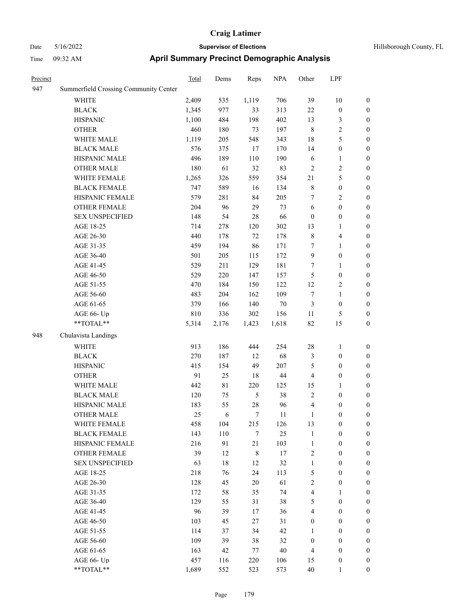#### Date 5/16/2022 **Supervisor of Elections Supervisor of Elections** Hillsborough County, FL Time 09:32 AM **April Summary Precinct Demographic Analysis**

| Precinct |                                       | Total | Dems  | Reps  | <b>NPA</b> | Other          | LPF            |                |
|----------|---------------------------------------|-------|-------|-------|------------|----------------|----------------|----------------|
| 947      | Summerfield Crossing Community Center |       |       |       |            |                |                |                |
|          | <b>WHITE</b>                          | 2,409 | 535   | 1,119 | 706        | 39             | 10             | $\theta$       |
|          | <b>BLACK</b>                          | 1,345 | 977   | 33    | 313        | 22             | $\theta$       | $\mathbf{0}$   |
|          | <b>HISPANIC</b>                       | 1,100 | 484   | 198   | 402        | 13             | 3              | $\mathbf{0}$   |
|          | <b>OTHER</b>                          | 460   | 180   | 73    | 197        | 8              | $\overline{c}$ | $\mathbf{0}$   |
|          | <b>WHITE MALE</b>                     | 1,119 | 205   | 548   | 343        | 18             | 5              | $\mathbf{0}$   |
|          | <b>BLACK MALE</b>                     | 576   | 375   | 17    | 170        | 14             | $\theta$       | $\mathbf{0}$   |
|          | <b>HISPANIC MALE</b>                  | 496   | 189   | 110   | 190        | 6              | 1              | $\mathbf{0}$   |
|          | <b>OTHER MALE</b>                     | 180   | 61    | 32    | 83         | $\overline{2}$ | 2              | $\mathbf{0}$   |
|          | WHITE FEMALE                          | 1,265 | 326   | 559   | 354        | 21             | 5              | $\theta$       |
|          | <b>BLACK FEMALE</b>                   | 747   | 589   | 16    | 134        | 8              | $\theta$       | $\overline{0}$ |
|          | <b>HISPANIC FEMALE</b>                | 579   | 281   | 84    | 205        | 7              | $\overline{2}$ | $\mathbf{0}$   |
|          | <b>OTHER FEMALE</b>                   | 204   | 96    | 29    | 73         | 6              | $\theta$       | $\mathbf{0}$   |
|          | <b>SEX UNSPECIFIED</b>                | 148   | 54    | 28    | 66         | $\Omega$       | $\theta$       | $\mathbf{0}$   |
|          | AGE 18-25                             | 714   | 278   | 120   | 302        | 13             | 1              | $\overline{0}$ |
|          | AGE 26-30                             | 440   | 178   | 72    | 178        | 8              | 4              | $\mathbf{0}$   |
|          | AGE 31-35                             | 459   | 194   | 86    | 171        | 7              | 1              | $\mathbf{0}$   |
|          | AGE 36-40                             | 501   | 205   | 115   | 172        | 9              | $\Omega$       | $\theta$       |
|          | AGE 41-45                             | 529   | 211   | 129   | 181        | 7              | 1              | $\mathbf{0}$   |
|          | AGE 46-50                             | 529   | 220   | 147   | 157        | 5              | $\theta$       | $\overline{0}$ |
|          | AGE 51-55                             | 470   | 184   | 150   | 122        | 12             | 2              | $\mathbf{0}$   |
|          | AGE 56-60                             | 483   | 204   | 162   | 109        | 7              | 1              | $\mathbf{0}$   |
|          | AGE 61-65                             | 379   | 166   | 140   | 70         | 3              | $\theta$       | $\overline{0}$ |
|          | AGE 66- Up                            | 810   | 336   | 302   | 156        | 11             | 5              | $\overline{0}$ |
|          | **TOTAL**                             | 5,314 | 2,176 | 1,423 | 1,618      | 82             | 15             | $\mathbf{0}$   |
| 0.40     | C(1, 1, 1, 1, 1, 1)                   |       |       |       |            |                |                |                |

#### 948

| $AUEU-0J$              | J 1 J | 1 Q Q | 14V            | $\overline{U}$ | J                       | v                | ν                |
|------------------------|-------|-------|----------------|----------------|-------------------------|------------------|------------------|
| AGE 66- Up             | 810   | 336   | 302            | 156            | 11                      | 5                | $\boldsymbol{0}$ |
| **TOTAL**              | 5,314 | 2,176 | 1,423          | 1,618          | 82                      | 15               | $\boldsymbol{0}$ |
| Chulavista Landings    |       |       |                |                |                         |                  |                  |
| <b>WHITE</b>           | 913   | 186   | 444            | 254            | 28                      | $\mathbf{1}$     | $\boldsymbol{0}$ |
| <b>BLACK</b>           | 270   | 187   | 12             | 68             | 3                       | $\theta$         | $\boldsymbol{0}$ |
| <b>HISPANIC</b>        | 415   | 154   | 49             | 207            | 5                       | $\boldsymbol{0}$ | $\boldsymbol{0}$ |
| <b>OTHER</b>           | 91    | 25    | 18             | 44             | $\overline{\mathbf{4}}$ | $\boldsymbol{0}$ | $\boldsymbol{0}$ |
| <b>WHITE MALE</b>      | 442   | 81    | 220            | 125            | 15                      | 1                | $\boldsymbol{0}$ |
| <b>BLACK MALE</b>      | 120   | 75    | 5              | 38             | $\overline{2}$          | $\mathbf{0}$     | $\boldsymbol{0}$ |
| <b>HISPANIC MALE</b>   | 183   | 55    | $28\,$         | 96             | $\overline{\mathbf{4}}$ | $\boldsymbol{0}$ | $\boldsymbol{0}$ |
| <b>OTHER MALE</b>      | 25    | 6     | $\overline{7}$ | 11             | 1                       | $\mathbf{0}$     | $\overline{0}$   |
| <b>WHITE FEMALE</b>    | 458   | 104   | 215            | 126            | 13                      | $\boldsymbol{0}$ | $\boldsymbol{0}$ |
| <b>BLACK FEMALE</b>    | 143   | 110   | 7              | 25             | 1                       | $\boldsymbol{0}$ | $\boldsymbol{0}$ |
| HISPANIC FEMALE        | 216   | 91    | 21             | 103            | $\mathbf{1}$            | $\mathbf{0}$     | $\boldsymbol{0}$ |
| <b>OTHER FEMALE</b>    | 39    | 12    | $\,8\,$        | 17             | $\overline{c}$          | $\boldsymbol{0}$ | $\boldsymbol{0}$ |
| <b>SEX UNSPECIFIED</b> | 63    | 18    | 12             | 32             | $\mathbf{1}$            | $\mathbf{0}$     | $\boldsymbol{0}$ |
| AGE 18-25              | 218   | 76    | 24             | 113            | 5                       | $\mathbf{0}$     | $\overline{0}$   |
| AGE 26-30              | 128   | 45    | 20             | 61             | $\overline{2}$          | $\mathbf{0}$     | $\boldsymbol{0}$ |
| AGE 31-35              | 172   | 58    | 35             | 74             | $\overline{\mathbf{4}}$ | 1                | $\boldsymbol{0}$ |
| AGE 36-40              | 129   | 55    | 31             | 38             | 5                       | $\mathbf{0}$     | $\overline{0}$   |
| AGE 41-45              | 96    | 39    | 17             | 36             | $\overline{\mathbf{4}}$ | $\boldsymbol{0}$ | $\boldsymbol{0}$ |
| AGE 46-50              | 103   | 45    | 27             | 31             | $\mathbf{0}$            | $\mathbf{0}$     | $\boldsymbol{0}$ |
| AGE 51-55              | 114   | 37    | 34             | 42             | $\mathbf{1}$            | $\mathbf{0}$     | $\boldsymbol{0}$ |
| AGE 56-60              | 109   | 39    | 38             | 32             | $\mathbf{0}$            | $\boldsymbol{0}$ | $\boldsymbol{0}$ |
| AGE 61-65              | 163   | 42    | 77             | 40             | 4                       | $\mathbf{0}$     | $\boldsymbol{0}$ |
| AGE 66- Up             | 457   | 116   | 220            | 106            | 15                      | $\mathbf{0}$     | $\boldsymbol{0}$ |
| **TOTAL**              | 1,689 | 552   | 523            | 573            | 40                      | 1                | $\boldsymbol{0}$ |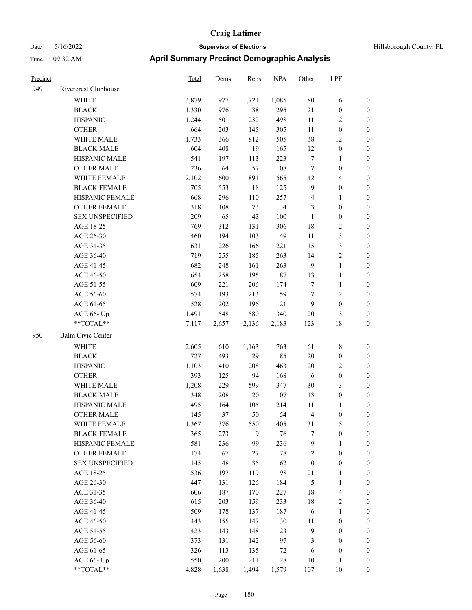| <u>Precinct</u> |                        | <b>Total</b> | Dems        | Reps  | <b>NPA</b> | Other            | LPF                     |                  |
|-----------------|------------------------|--------------|-------------|-------|------------|------------------|-------------------------|------------------|
| 949             | Rivercrest Clubhouse   |              |             |       |            |                  |                         |                  |
|                 | <b>WHITE</b>           | 3,879        | 977         | 1,721 | 1,085      | 80               | 16                      | $\boldsymbol{0}$ |
|                 | <b>BLACK</b>           | 1,330        | 976         | 38    | 295        | $21\,$           | $\boldsymbol{0}$        | $\boldsymbol{0}$ |
|                 | <b>HISPANIC</b>        | 1,244        | 501         | 232   | 498        | 11               | 2                       | $\boldsymbol{0}$ |
|                 | <b>OTHER</b>           | 664          | 203         | 145   | 305        | 11               | $\boldsymbol{0}$        | $\boldsymbol{0}$ |
|                 | WHITE MALE             | 1,733        | 366         | 812   | 505        | 38               | 12                      | $\boldsymbol{0}$ |
|                 | <b>BLACK MALE</b>      | 604          | 408         | 19    | 165        | 12               | $\boldsymbol{0}$        | $\mathbf{0}$     |
|                 | HISPANIC MALE          | 541          | 197         | 113   | 223        | $\tau$           | 1                       | $\boldsymbol{0}$ |
|                 | <b>OTHER MALE</b>      | 236          | 64          | 57    | 108        | $\tau$           | $\boldsymbol{0}$        | $\boldsymbol{0}$ |
|                 | WHITE FEMALE           | 2,102        | 600         | 891   | 565        | 42               | 4                       | $\boldsymbol{0}$ |
|                 | <b>BLACK FEMALE</b>    | 705          | 553         | 18    | 125        | 9                | $\boldsymbol{0}$        | $\boldsymbol{0}$ |
|                 | HISPANIC FEMALE        | 668          | 296         | 110   | 257        | $\overline{4}$   | 1                       | $\boldsymbol{0}$ |
|                 | <b>OTHER FEMALE</b>    | 318          | 108         | 73    | 134        | $\mathfrak{Z}$   | $\boldsymbol{0}$        | $\boldsymbol{0}$ |
|                 | <b>SEX UNSPECIFIED</b> | 209          | 65          | 43    | 100        | $\mathbf{1}$     | $\boldsymbol{0}$        | $\boldsymbol{0}$ |
|                 | AGE 18-25              | 769          | 312         | 131   | 306        | 18               | $\overline{\mathbf{c}}$ | $\boldsymbol{0}$ |
|                 | AGE 26-30              | 460          | 194         | 103   | 149        | 11               | 3                       | $\boldsymbol{0}$ |
|                 | AGE 31-35              | 631          | 226         | 166   | 221        | 15               | 3                       | $\boldsymbol{0}$ |
|                 | AGE 36-40              | 719          | 255         | 185   | 263        | 14               | 2                       | $\boldsymbol{0}$ |
|                 | AGE 41-45              | 682          | 248         | 161   | 263        | 9                | $\mathbf{1}$            | $\boldsymbol{0}$ |
|                 | AGE 46-50              | 654          | 258         | 195   | 187        | 13               | 1                       | $\boldsymbol{0}$ |
|                 | AGE 51-55              | 609          | 221         | 206   | 174        | $\tau$           | 1                       | $\boldsymbol{0}$ |
|                 | AGE 56-60              | 574          | 193         | 213   | 159        | $\tau$           | 2                       | $\boldsymbol{0}$ |
|                 | AGE 61-65              | 528          | 202         | 196   | 121        | 9                | $\boldsymbol{0}$        | $\boldsymbol{0}$ |
|                 | AGE 66- Up             | 1,491        | 548         | 580   | 340        | 20               | 3                       | $\boldsymbol{0}$ |
|                 | **TOTAL**              | 7,117        | 2,657       | 2,136 | 2,183      | 123              | 18                      | $\boldsymbol{0}$ |
| 950             | Balm Civic Center      |              |             |       |            |                  |                         |                  |
|                 | WHITE                  | 2,605        | 610         | 1,163 | 763        | 61               | 8                       | $\boldsymbol{0}$ |
|                 | <b>BLACK</b>           | 727          | 493         | 29    | 185        | 20               | $\boldsymbol{0}$        | $\boldsymbol{0}$ |
|                 | <b>HISPANIC</b>        | 1,103        | 410         | 208   | 463        | 20               | 2                       | $\boldsymbol{0}$ |
|                 | <b>OTHER</b>           | 393          | 125         | 94    | 168        | 6                | $\boldsymbol{0}$        | $\boldsymbol{0}$ |
|                 | WHITE MALE             | 1,208        | 229         | 599   | 347        | 30               | 3                       | $\boldsymbol{0}$ |
|                 | <b>BLACK MALE</b>      | 348          | 208         | 20    | 107        | 13               | $\boldsymbol{0}$        | $\boldsymbol{0}$ |
|                 | HISPANIC MALE          | 495          | 164         | 105   | 214        | 11               | 1                       | $\boldsymbol{0}$ |
|                 | <b>OTHER MALE</b>      | 145          | 37          | 50    | 54         | 4                | 0                       | $\overline{0}$   |
|                 | WHITE FEMALE           | 1,367        | 376         | 550   | 405        | 31               | 5                       | $\boldsymbol{0}$ |
|                 | <b>BLACK FEMALE</b>    | 365          | 273         | 9     | 76         | $\tau$           | 0                       | $\boldsymbol{0}$ |
|                 | HISPANIC FEMALE        | 581          | 236         | 99    | 236        | $\overline{9}$   | 1                       | $\boldsymbol{0}$ |
|                 | <b>OTHER FEMALE</b>    | 174          | 67          | 27    | 78         | $\boldsymbol{2}$ | $\boldsymbol{0}$        | $\boldsymbol{0}$ |
|                 | <b>SEX UNSPECIFIED</b> | 145          | $\sqrt{48}$ | 35    | 62         | $\boldsymbol{0}$ | $\boldsymbol{0}$        | $\boldsymbol{0}$ |
|                 | AGE 18-25              | 536          | 197         | 119   | 198        | 21               | 1                       | $\boldsymbol{0}$ |
|                 | AGE 26-30              | 447          | 131         | 126   | 184        | $\sqrt{5}$       | 1                       | $\boldsymbol{0}$ |
|                 | AGE 31-35              | 606          | 187         | 170   | 227        | $18\,$           | 4                       | $\boldsymbol{0}$ |
|                 | AGE 36-40              | 615          | 203         | 159   | 233        | $18\,$           | 2                       | $\boldsymbol{0}$ |
|                 | AGE 41-45              | 509          | 178         | 137   | 187        | 6                | 1                       | $\boldsymbol{0}$ |
|                 | AGE 46-50              | 443          | 155         | 147   | 130        | 11               | $\boldsymbol{0}$        | $\boldsymbol{0}$ |
|                 | AGE 51-55              | 423          | 143         | 148   | 123        | $\mathbf{9}$     | $\boldsymbol{0}$        | $\boldsymbol{0}$ |
|                 | AGE 56-60              | 373          | 131         | 142   | 97         | 3                | $\boldsymbol{0}$        | $\boldsymbol{0}$ |
|                 | AGE 61-65              | 326          | 113         | 135   | $72\,$     | 6                | $\boldsymbol{0}$        | $\boldsymbol{0}$ |
|                 | AGE 66- Up             | 550          | 200         | 211   | 128        | $10\,$           | 1                       | $\bf{0}$         |
|                 | $**TOTAL**$            | 4,828        | 1,638       | 1,494 | 1,579      | 107              | $10\,$                  | $\boldsymbol{0}$ |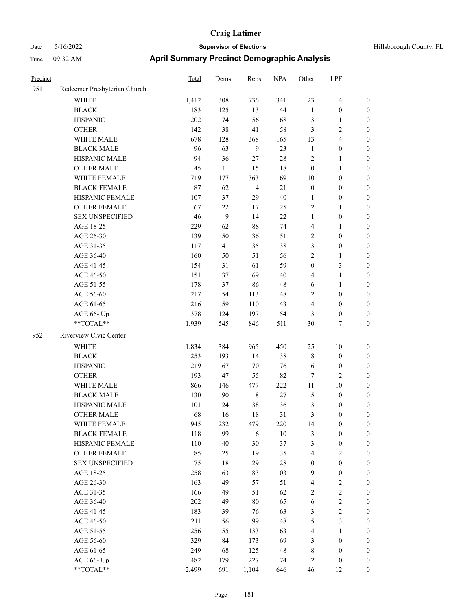| Hillsborough County, FL |  |
|-------------------------|--|
|                         |  |

| Precinct |                              | Total | Dems   | Reps           | <b>NPA</b> | Other            | LPF                     |                  |
|----------|------------------------------|-------|--------|----------------|------------|------------------|-------------------------|------------------|
| 951      | Redeemer Presbyterian Church |       |        |                |            |                  |                         |                  |
|          | WHITE                        | 1,412 | 308    | 736            | 341        | 23               | $\overline{\mathbf{4}}$ | $\boldsymbol{0}$ |
|          | <b>BLACK</b>                 | 183   | 125    | 13             | 44         | $\mathbf{1}$     | $\boldsymbol{0}$        | $\boldsymbol{0}$ |
|          | <b>HISPANIC</b>              | 202   | 74     | 56             | 68         | 3                | $\mathbf{1}$            | 0                |
|          | <b>OTHER</b>                 | 142   | 38     | 41             | 58         | 3                | $\sqrt{2}$              | $\boldsymbol{0}$ |
|          | WHITE MALE                   | 678   | 128    | 368            | 165        | 13               | $\overline{\mathbf{4}}$ | $\boldsymbol{0}$ |
|          | <b>BLACK MALE</b>            | 96    | 63     | $\overline{9}$ | 23         | $\mathbf{1}$     | $\boldsymbol{0}$        | $\boldsymbol{0}$ |
|          | HISPANIC MALE                | 94    | 36     | 27             | $28\,$     | 2                | $\mathbf{1}$            | $\boldsymbol{0}$ |
|          | <b>OTHER MALE</b>            | 45    | 11     | 15             | 18         | $\boldsymbol{0}$ | $\mathbf{1}$            | $\boldsymbol{0}$ |
|          | WHITE FEMALE                 | 719   | 177    | 363            | 169        | 10               | $\boldsymbol{0}$        | $\boldsymbol{0}$ |
|          | <b>BLACK FEMALE</b>          | 87    | 62     | $\overline{4}$ | 21         | $\boldsymbol{0}$ | $\boldsymbol{0}$        | $\boldsymbol{0}$ |
|          | HISPANIC FEMALE              | 107   | 37     | 29             | $40\,$     | 1                | $\boldsymbol{0}$        | 0                |
|          | OTHER FEMALE                 | 67    | $22\,$ | 17             | 25         | 2                | $\mathbf{1}$            | 0                |
|          | <b>SEX UNSPECIFIED</b>       | 46    | 9      | 14             | 22         | $\mathbf{1}$     | $\boldsymbol{0}$        | 0                |
|          | AGE 18-25                    | 229   | 62     | 88             | 74         | 4                | 1                       | $\boldsymbol{0}$ |
|          | AGE 26-30                    | 139   | 50     | 36             | 51         | 2                | $\boldsymbol{0}$        | $\boldsymbol{0}$ |
|          | AGE 31-35                    | 117   | 41     | 35             | 38         | 3                | $\boldsymbol{0}$        | $\boldsymbol{0}$ |
|          | AGE 36-40                    | 160   | 50     | 51             | 56         | 2                | $\mathbf{1}$            | $\boldsymbol{0}$ |
|          | AGE 41-45                    | 154   | 31     | 61             | 59         | $\boldsymbol{0}$ | $\mathfrak{Z}$          | $\boldsymbol{0}$ |
|          | AGE 46-50                    | 151   | 37     | 69             | $40\,$     | 4                | $\mathbf{1}$            | $\boldsymbol{0}$ |
|          | AGE 51-55                    | 178   | 37     | 86             | 48         | 6                | 1                       | $\boldsymbol{0}$ |
|          | AGE 56-60                    | 217   | 54     | 113            | 48         | 2                | $\boldsymbol{0}$        | 0                |
|          | AGE 61-65                    | 216   | 59     | 110            | 43         | $\overline{4}$   | $\boldsymbol{0}$        | 0                |
|          | AGE 66- Up                   | 378   | 124    | 197            | 54         | 3                | $\boldsymbol{0}$        | 0                |
|          | **TOTAL**                    | 1,939 | 545    | 846            | 511        | 30               | 7                       | $\boldsymbol{0}$ |
| 952      | Riverview Civic Center       |       |        |                |            |                  |                         |                  |
|          | <b>WHITE</b>                 | 1,834 | 384    | 965            | 450        | 25               | 10                      | $\boldsymbol{0}$ |
|          | <b>BLACK</b>                 | 253   | 193    | 14             | 38         | 8                | $\boldsymbol{0}$        | $\boldsymbol{0}$ |
|          | <b>HISPANIC</b>              | 219   | 67     | 70             | 76         | 6                | $\boldsymbol{0}$        | $\boldsymbol{0}$ |
|          | <b>OTHER</b>                 | 193   | 47     | 55             | 82         | 7                | $\mathbf{2}$            | $\boldsymbol{0}$ |
|          | WHITE MALE                   | 866   | 146    | 477            | 222        | 11               | 10                      | $\boldsymbol{0}$ |
|          | <b>BLACK MALE</b>            | 130   | 90     | $\,$ 8 $\,$    | $27\,$     | 5                | $\boldsymbol{0}$        | $\boldsymbol{0}$ |
|          | HISPANIC MALE                | 101   | 24     | 38             | 36         | 3                | $\boldsymbol{0}$        | $\boldsymbol{0}$ |
|          | <b>OTHER MALE</b>            | 68    | 16     | 18             | 31         | 3                | $\boldsymbol{0}$        | $\boldsymbol{0}$ |
|          | WHITE FEMALE                 | 945   | 232    | 479            | 220        | 14               | $\boldsymbol{0}$        | 0                |
|          | <b>BLACK FEMALE</b>          | 118   | 99     | 6              | $10\,$     | 3                | $\boldsymbol{0}$        | 0                |
|          | HISPANIC FEMALE              | 110   | 40     | 30             | 37         | 3                | $\boldsymbol{0}$        | 0                |
|          | OTHER FEMALE                 | 85    | 25     | 19             | 35         | 4                | $\sqrt{2}$              | $\overline{0}$   |
|          | <b>SEX UNSPECIFIED</b>       | 75    | 18     | 29             | 28         | $\boldsymbol{0}$ | $\boldsymbol{0}$        | $\overline{0}$   |
|          | AGE 18-25                    | 258   | 63     | 83             | 103        | 9                | $\boldsymbol{0}$        | 0                |
|          | AGE 26-30                    | 163   | 49     | 57             | 51         | 4                | $\sqrt{2}$              | 0                |
|          | AGE 31-35                    | 166   | 49     | 51             | 62         | 2                | $\sqrt{2}$              | $\overline{0}$   |
|          | AGE 36-40                    | 202   | 49     | $80\,$         | 65         | 6                | $\sqrt{2}$              | 0                |
|          | AGE 41-45                    | 183   | 39     | 76             | 63         | 3                | $\sqrt{2}$              | 0                |
|          | AGE 46-50                    | 211   | 56     | 99             | 48         | 5                | $\mathfrak{Z}$          | 0                |
|          | AGE 51-55                    | 256   | 55     | 133            | 63         | 4                | $\mathbf{1}$            | $\boldsymbol{0}$ |
|          | AGE 56-60                    | 329   | 84     | 173            | 69         | 3                | $\boldsymbol{0}$        | $\overline{0}$   |
|          | AGE 61-65                    | 249   | 68     | 125            | 48         | 8                | $\boldsymbol{0}$        | $\boldsymbol{0}$ |
|          | AGE 66- Up                   | 482   | 179    | 227            | 74         | 2                | $\boldsymbol{0}$        | $\boldsymbol{0}$ |
|          | **TOTAL**                    | 2,499 | 691    | 1,104          | 646        | 46               | 12                      | $\boldsymbol{0}$ |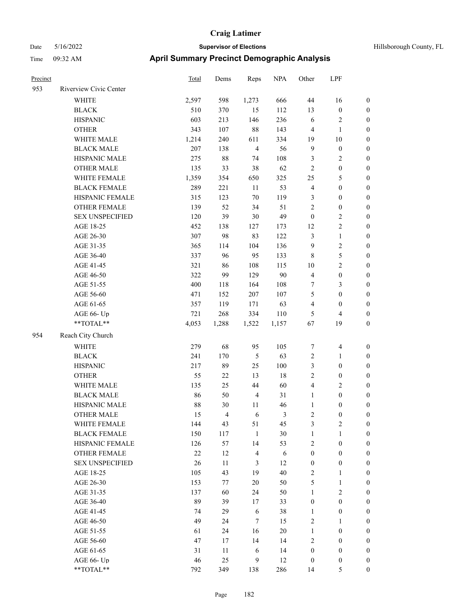| Hillsborough County. |
|----------------------|
|----------------------|

| Precinct |                        | Total | Dems           | Reps           | <b>NPA</b> | Other            | LPF                     |                  |
|----------|------------------------|-------|----------------|----------------|------------|------------------|-------------------------|------------------|
| 953      | Riverview Civic Center |       |                |                |            |                  |                         |                  |
|          | <b>WHITE</b>           | 2,597 | 598            | 1,273          | 666        | 44               | 16                      | $\boldsymbol{0}$ |
|          | <b>BLACK</b>           | 510   | 370            | 15             | 112        | 13               | $\boldsymbol{0}$        | $\boldsymbol{0}$ |
|          | <b>HISPANIC</b>        | 603   | 213            | 146            | 236        | 6                | $\sqrt{2}$              | $\boldsymbol{0}$ |
|          | <b>OTHER</b>           | 343   | 107            | $88\,$         | 143        | $\overline{4}$   | $\mathbf{1}$            | $\boldsymbol{0}$ |
|          | WHITE MALE             | 1,214 | 240            | 611            | 334        | 19               | $10\,$                  | $\boldsymbol{0}$ |
|          | <b>BLACK MALE</b>      | 207   | 138            | $\overline{4}$ | 56         | $\mathbf{9}$     | $\boldsymbol{0}$        | $\boldsymbol{0}$ |
|          | HISPANIC MALE          | 275   | 88             | 74             | 108        | 3                | $\sqrt{2}$              | 0                |
|          | <b>OTHER MALE</b>      | 135   | 33             | 38             | 62         | $\overline{c}$   | $\boldsymbol{0}$        | 0                |
|          | WHITE FEMALE           | 1,359 | 354            | 650            | 325        | 25               | $\mathfrak s$           | 0                |
|          | <b>BLACK FEMALE</b>    | 289   | 221            | $11\,$         | 53         | 4                | $\boldsymbol{0}$        | $\boldsymbol{0}$ |
|          | HISPANIC FEMALE        | 315   | 123            | $70\,$         | 119        | 3                | $\boldsymbol{0}$        | $\boldsymbol{0}$ |
|          | OTHER FEMALE           | 139   | 52             | 34             | 51         | $\sqrt{2}$       | $\boldsymbol{0}$        | $\boldsymbol{0}$ |
|          | <b>SEX UNSPECIFIED</b> | 120   | 39             | $30\,$         | 49         | $\boldsymbol{0}$ | $\sqrt{2}$              | $\boldsymbol{0}$ |
|          | AGE 18-25              | 452   | 138            | 127            | 173        | 12               | $\sqrt{2}$              | $\boldsymbol{0}$ |
|          | AGE 26-30              | 307   | 98             | 83             | 122        | 3                | $\mathbf{1}$            | $\boldsymbol{0}$ |
|          | AGE 31-35              | 365   | 114            | 104            | 136        | $\mathbf{9}$     | $\sqrt{2}$              | $\boldsymbol{0}$ |
|          | AGE 36-40              | 337   | 96             | 95             | 133        | $\,$ 8 $\,$      | 5                       | $\boldsymbol{0}$ |
|          | AGE 41-45              | 321   | 86             | 108            | 115        | 10               | $\sqrt{2}$              | 0                |
|          | AGE 46-50              | 322   | 99             | 129            | 90         | $\overline{4}$   | $\boldsymbol{0}$        | 0                |
|          | AGE 51-55              | 400   | 118            | 164            | 108        | 7                | 3                       | $\boldsymbol{0}$ |
|          | AGE 56-60              | 471   | 152            | 207            | 107        | 5                | $\boldsymbol{0}$        | $\boldsymbol{0}$ |
|          | AGE 61-65              | 357   | 119            | 171            | 63         | 4                | $\boldsymbol{0}$        | $\boldsymbol{0}$ |
|          | AGE 66- Up             | 721   | 268            | 334            | 110        | 5                | $\overline{\mathbf{4}}$ | $\boldsymbol{0}$ |
|          | $**TOTAL**$            | 4,053 | 1,288          | 1,522          | 1,157      | 67               | 19                      | $\boldsymbol{0}$ |
| 954      | Reach City Church      |       |                |                |            |                  |                         |                  |
|          | <b>WHITE</b>           | 279   | 68             | 95             | 105        | $\boldsymbol{7}$ | $\overline{\mathbf{4}}$ | $\boldsymbol{0}$ |
|          | <b>BLACK</b>           | 241   | 170            | $\sqrt{5}$     | 63         | $\sqrt{2}$       | $\mathbf{1}$            | $\boldsymbol{0}$ |
|          | <b>HISPANIC</b>        | 217   | 89             | 25             | $100\,$    | 3                | $\boldsymbol{0}$        | $\boldsymbol{0}$ |
|          | <b>OTHER</b>           | 55    | 22             | 13             | $18\,$     | $\sqrt{2}$       | $\boldsymbol{0}$        | $\boldsymbol{0}$ |
|          | WHITE MALE             | 135   | 25             | 44             | 60         | $\overline{4}$   | $\overline{c}$          | 0                |
|          | <b>BLACK MALE</b>      | 86    | 50             | $\overline{4}$ | 31         | $\mathbf{1}$     | $\boldsymbol{0}$        | 0                |
|          | HISPANIC MALE          | 88    | 30             | 11             | 46         | $\mathbf{1}$     | $\boldsymbol{0}$        | $\boldsymbol{0}$ |
|          | <b>OTHER MALE</b>      | 15    | $\overline{4}$ | 6              | 3          | 2                | $\boldsymbol{0}$        | $\boldsymbol{0}$ |
|          | WHITE FEMALE           | 144   | 43             | 51             | 45         | 3                | $\sqrt{2}$              | $\boldsymbol{0}$ |
|          | <b>BLACK FEMALE</b>    | 150   | 117            | $\mathbf{1}$   | 30         | $\mathbf{1}$     | $\mathbf{1}$            | $\overline{0}$   |
|          | HISPANIC FEMALE        | 126   | 57             | 14             | 53         | 2                | $\boldsymbol{0}$        | $\theta$         |
|          | <b>OTHER FEMALE</b>    | 22    | 12             | $\overline{4}$ | $\sqrt{6}$ | $\boldsymbol{0}$ | $\boldsymbol{0}$        | $\overline{0}$   |
|          | <b>SEX UNSPECIFIED</b> | 26    | $11\,$         | $\mathfrak{Z}$ | 12         | $\boldsymbol{0}$ | $\boldsymbol{0}$        | 0                |
|          | AGE 18-25              | 105   | 43             | 19             | 40         | $\sqrt{2}$       | $\mathbf{1}$            | 0                |
|          | AGE 26-30              | 153   | 77             | $20\,$         | 50         | 5                | $\mathbf{1}$            | 0                |
|          | AGE 31-35              | 137   | 60             | 24             | 50         | $\mathbf{1}$     | $\sqrt{2}$              | 0                |
|          | AGE 36-40              | 89    | 39             | 17             | 33         | $\boldsymbol{0}$ | $\boldsymbol{0}$        | $\overline{0}$   |
|          | AGE 41-45              | 74    | 29             | 6              | 38         | 1                | $\boldsymbol{0}$        | $\boldsymbol{0}$ |
|          | AGE 46-50              | 49    | 24             | $\tau$         | 15         | 2                | $\mathbf{1}$            | $\boldsymbol{0}$ |
|          | AGE 51-55              | 61    | 24             | 16             | 20         | $\mathbf{1}$     | $\boldsymbol{0}$        | $\boldsymbol{0}$ |
|          | AGE 56-60              | 47    | 17             | 14             | 14         | 2                | $\boldsymbol{0}$        | $\overline{0}$   |
|          | AGE 61-65              | 31    | 11             | 6              | 14         | $\boldsymbol{0}$ | $\boldsymbol{0}$        | $\overline{0}$   |
|          | AGE 66- Up             | 46    | 25             | $\mathbf{9}$   | 12         | $\boldsymbol{0}$ | $\boldsymbol{0}$        | $\overline{0}$   |
|          | $**TOTAL**$            | 792   | 349            | 138            | 286        | 14               | $\mathfrak{S}$          | $\overline{0}$   |
|          |                        |       |                |                |            |                  |                         |                  |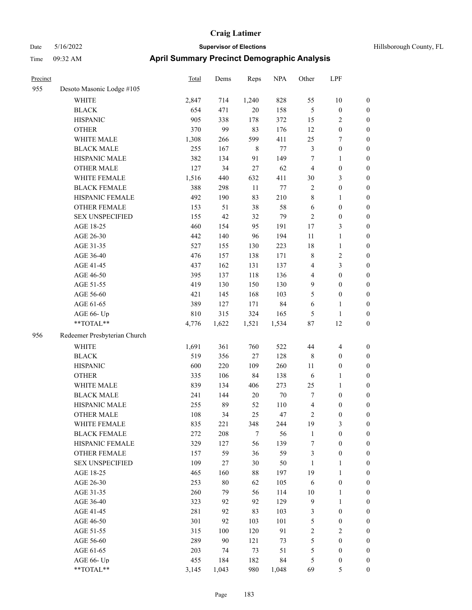| Precinct |                              | <b>Total</b> | Dems  | Reps        | <b>NPA</b> | Other            | LPF                     |                  |
|----------|------------------------------|--------------|-------|-------------|------------|------------------|-------------------------|------------------|
| 955      | Desoto Masonic Lodge #105    |              |       |             |            |                  |                         |                  |
|          | WHITE                        | 2,847        | 714   | 1,240       | 828        | 55               | 10                      | $\boldsymbol{0}$ |
|          | <b>BLACK</b>                 | 654          | 471   | 20          | 158        | $\mathfrak{S}$   | $\boldsymbol{0}$        | $\boldsymbol{0}$ |
|          | <b>HISPANIC</b>              | 905          | 338   | 178         | 372        | 15               | 2                       | $\boldsymbol{0}$ |
|          | <b>OTHER</b>                 | 370          | 99    | 83          | 176        | 12               | $\boldsymbol{0}$        | $\boldsymbol{0}$ |
|          | WHITE MALE                   | 1,308        | 266   | 599         | 411        | 25               | 7                       | $\boldsymbol{0}$ |
|          | <b>BLACK MALE</b>            | 255          | 167   | $\,$ 8 $\,$ | 77         | $\mathfrak{Z}$   | $\boldsymbol{0}$        | $\boldsymbol{0}$ |
|          | HISPANIC MALE                | 382          | 134   | 91          | 149        | 7                | 1                       | $\boldsymbol{0}$ |
|          | <b>OTHER MALE</b>            | 127          | 34    | $27\,$      | 62         | $\overline{4}$   | $\boldsymbol{0}$        | $\boldsymbol{0}$ |
|          | WHITE FEMALE                 | 1,516        | 440   | 632         | 411        | $30\,$           | 3                       | $\boldsymbol{0}$ |
|          | <b>BLACK FEMALE</b>          | 388          | 298   | $11\,$      | 77         | $\overline{2}$   | $\boldsymbol{0}$        | $\boldsymbol{0}$ |
|          | HISPANIC FEMALE              | 492          | 190   | 83          | 210        | $\,$ 8 $\,$      | 1                       | $\boldsymbol{0}$ |
|          | OTHER FEMALE                 | 153          | 51    | 38          | 58         | 6                | $\boldsymbol{0}$        | $\boldsymbol{0}$ |
|          | <b>SEX UNSPECIFIED</b>       | 155          | 42    | 32          | 79         | $\sqrt{2}$       | $\boldsymbol{0}$        | $\boldsymbol{0}$ |
|          | AGE 18-25                    | 460          | 154   | 95          | 191        | $17\,$           | 3                       | $\boldsymbol{0}$ |
|          | AGE 26-30                    | 442          | 140   | 96          | 194        | $11\,$           | $\mathbf{1}$            | $\boldsymbol{0}$ |
|          | AGE 31-35                    | 527          | 155   | 130         | 223        | 18               | $\mathbf{1}$            | $\boldsymbol{0}$ |
|          | AGE 36-40                    | 476          | 157   | 138         | 171        | $\,$ 8 $\,$      | $\overline{\mathbf{c}}$ | $\boldsymbol{0}$ |
|          | AGE 41-45                    | 437          | 162   | 131         | 137        | 4                | 3                       | $\boldsymbol{0}$ |
|          | AGE 46-50                    | 395          | 137   | 118         | 136        | $\overline{4}$   | $\boldsymbol{0}$        | $\boldsymbol{0}$ |
|          | AGE 51-55                    | 419          | 130   | 150         | 130        | $\mathbf{9}$     | $\boldsymbol{0}$        | $\boldsymbol{0}$ |
|          | AGE 56-60                    | 421          | 145   | 168         | 103        | 5                | $\boldsymbol{0}$        | $\boldsymbol{0}$ |
|          | AGE 61-65                    | 389          | 127   | 171         | 84         | 6                | 1                       | $\boldsymbol{0}$ |
|          | AGE 66- Up                   | 810          | 315   | 324         | 165        | 5                | 1                       | $\boldsymbol{0}$ |
|          | **TOTAL**                    | 4,776        | 1,622 | 1,521       | 1,534      | $87\,$           | 12                      | $\boldsymbol{0}$ |
| 956      | Redeemer Presbyterian Church |              |       |             |            |                  |                         |                  |
|          | <b>WHITE</b>                 | 1,691        | 361   | 760         | 522        | 44               | $\overline{4}$          | $\boldsymbol{0}$ |
|          | <b>BLACK</b>                 | 519          | 356   | 27          | 128        | $\,$ 8 $\,$      | $\boldsymbol{0}$        | $\boldsymbol{0}$ |
|          | <b>HISPANIC</b>              | 600          | 220   | 109         | 260        | 11               | $\boldsymbol{0}$        | $\boldsymbol{0}$ |
|          | <b>OTHER</b>                 | 335          | 106   | 84          | 138        | 6                | 1                       | $\boldsymbol{0}$ |
|          | WHITE MALE                   | 839          | 134   | 406         | 273        | 25               | $\mathbf{1}$            | $\boldsymbol{0}$ |
|          | <b>BLACK MALE</b>            | 241          | 144   | $20\,$      | $70\,$     | $\tau$           | $\boldsymbol{0}$        | $\boldsymbol{0}$ |
|          | HISPANIC MALE                | 255          | 89    | 52          | 110        | 4                | $\boldsymbol{0}$        | $\boldsymbol{0}$ |
|          | <b>OTHER MALE</b>            | 108          | 34    | 25          | 47         | $\overline{c}$   | $\boldsymbol{0}$        | $\boldsymbol{0}$ |
|          | WHITE FEMALE                 | 835          | 221   | 348         | 244        | 19               | 3                       | $\boldsymbol{0}$ |
|          | <b>BLACK FEMALE</b>          | 272          | 208   | $\tau$      | 56         | $\mathbf{1}$     | $\boldsymbol{0}$        | $\boldsymbol{0}$ |
|          | HISPANIC FEMALE              | 329          | 127   | 56          | 139        | $\boldsymbol{7}$ | $\boldsymbol{0}$        | $\boldsymbol{0}$ |
|          | <b>OTHER FEMALE</b>          | 157          | 59    | 36          | 59         | $\mathfrak{Z}$   | $\boldsymbol{0}$        | $\boldsymbol{0}$ |
|          | <b>SEX UNSPECIFIED</b>       | 109          | 27    | 30          | 50         | 1                | 1                       | $\boldsymbol{0}$ |
|          | AGE 18-25                    | 465          | 160   | 88          | 197        | 19               | $\mathbf{1}$            | $\boldsymbol{0}$ |
|          | AGE 26-30                    | 253          | 80    | 62          | 105        | 6                | $\boldsymbol{0}$        | $\boldsymbol{0}$ |
|          | AGE 31-35                    | 260          | 79    | 56          | 114        | $10\,$           | $\mathbf{1}$            | $\boldsymbol{0}$ |
|          | AGE 36-40                    | 323          | 92    | 92          | 129        | 9                | $\mathbf{1}$            | $\boldsymbol{0}$ |
|          | AGE 41-45                    | 281          | 92    | 83          | 103        | $\mathfrak{Z}$   | $\boldsymbol{0}$        | $\boldsymbol{0}$ |
|          | AGE 46-50                    | 301          | 92    | 103         | 101        | $\mathfrak{S}$   | $\boldsymbol{0}$        | $\boldsymbol{0}$ |
|          | AGE 51-55                    | 315          | 100   | 120         | 91         | $\sqrt{2}$       | 2                       | $\boldsymbol{0}$ |
|          | AGE 56-60                    | 289          | 90    | 121         | 73         | $\mathfrak{S}$   | $\boldsymbol{0}$        | $\boldsymbol{0}$ |
|          | AGE 61-65                    | 203          | 74    | 73          | 51         | $\mathfrak s$    | $\boldsymbol{0}$        | $\boldsymbol{0}$ |
|          | AGE 66- Up                   | 455          | 184   | 182         | 84         | 5                | $\boldsymbol{0}$        | $\boldsymbol{0}$ |
|          | **TOTAL**                    | 3.145        | 1.043 | 980         | 1.048      | 69               | 5                       | $\mathbf{0}$     |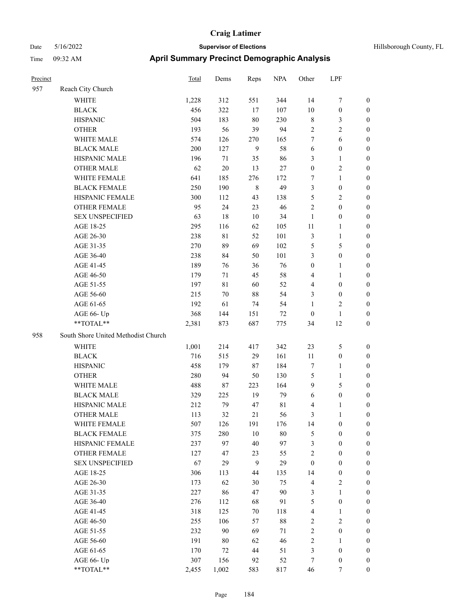| Precinct |                                     | <b>Total</b> | Dems        | Reps           | <b>NPA</b>  | Other            | LPF              |                  |
|----------|-------------------------------------|--------------|-------------|----------------|-------------|------------------|------------------|------------------|
| 957      | Reach City Church                   |              |             |                |             |                  |                  |                  |
|          | <b>WHITE</b>                        | 1,228        | 312         | 551            | 344         | 14               | 7                | $\boldsymbol{0}$ |
|          | <b>BLACK</b>                        | 456          | 322         | 17             | 107         | 10               | $\boldsymbol{0}$ | $\boldsymbol{0}$ |
|          | <b>HISPANIC</b>                     | 504          | 183         | 80             | 230         | $\,$ 8 $\,$      | 3                | $\boldsymbol{0}$ |
|          | <b>OTHER</b>                        | 193          | 56          | 39             | 94          | $\sqrt{2}$       | 2                | $\boldsymbol{0}$ |
|          | WHITE MALE                          | 574          | 126         | 270            | 165         | $\tau$           | 6                | $\boldsymbol{0}$ |
|          | <b>BLACK MALE</b>                   | 200          | 127         | 9              | 58          | 6                | $\boldsymbol{0}$ | $\boldsymbol{0}$ |
|          | HISPANIC MALE                       | 196          | $71\,$      | 35             | 86          | 3                | 1                | $\boldsymbol{0}$ |
|          | <b>OTHER MALE</b>                   | 62           | 20          | 13             | 27          | $\boldsymbol{0}$ | 2                | $\boldsymbol{0}$ |
|          | WHITE FEMALE                        | 641          | 185         | 276            | 172         | 7                | 1                | $\boldsymbol{0}$ |
|          | <b>BLACK FEMALE</b>                 | 250          | 190         | $\,8\,$        | 49          | 3                | $\boldsymbol{0}$ | $\boldsymbol{0}$ |
|          | HISPANIC FEMALE                     | 300          | 112         | 43             | 138         | $\mathfrak{S}$   | 2                | $\boldsymbol{0}$ |
|          | <b>OTHER FEMALE</b>                 | 95           | 24          | 23             | 46          | $\sqrt{2}$       | $\boldsymbol{0}$ | $\boldsymbol{0}$ |
|          | <b>SEX UNSPECIFIED</b>              | 63           | 18          | 10             | 34          | $\mathbf{1}$     | $\boldsymbol{0}$ | $\boldsymbol{0}$ |
|          | AGE 18-25                           | 295          | 116         | 62             | 105         | 11               | 1                | $\boldsymbol{0}$ |
|          | AGE 26-30                           | 238          | $8\sqrt{1}$ | 52             | 101         | $\mathfrak{Z}$   | 1                | $\boldsymbol{0}$ |
|          | AGE 31-35                           | 270          | 89          | 69             | 102         | $\mathfrak{S}$   | 5                | $\boldsymbol{0}$ |
|          | AGE 36-40                           | 238          | 84          | 50             | 101         | 3                | $\boldsymbol{0}$ | $\boldsymbol{0}$ |
|          | AGE 41-45                           | 189          | 76          | 36             | 76          | $\boldsymbol{0}$ | 1                | $\boldsymbol{0}$ |
|          | AGE 46-50                           | 179          | 71          | 45             | 58          | $\overline{4}$   | 1                | $\boldsymbol{0}$ |
|          | AGE 51-55                           | 197          | $8\sqrt{1}$ | 60             | 52          | $\overline{4}$   | $\boldsymbol{0}$ | $\boldsymbol{0}$ |
|          | AGE 56-60                           | 215          | 70          | 88             | 54          | 3                | $\boldsymbol{0}$ | $\boldsymbol{0}$ |
|          | AGE 61-65                           | 192          | 61          | 74             | 54          | 1                | 2                | $\boldsymbol{0}$ |
|          | AGE 66- Up                          | 368          | 144         | 151            | 72          | $\boldsymbol{0}$ | 1                | $\boldsymbol{0}$ |
|          | **TOTAL**                           | 2,381        | 873         | 687            | 775         | 34               | 12               | $\boldsymbol{0}$ |
| 958      | South Shore United Methodist Church |              |             |                |             |                  |                  |                  |
|          | WHITE                               | 1,001        | 214         | 417            | 342         | 23               | 5                | $\boldsymbol{0}$ |
|          | <b>BLACK</b>                        | 716          | 515         | 29             | 161         | 11               | $\boldsymbol{0}$ | $\boldsymbol{0}$ |
|          | <b>HISPANIC</b>                     | 458          | 179         | 87             | 184         | $\tau$           | 1                | $\boldsymbol{0}$ |
|          | <b>OTHER</b>                        | 280          | 94          | 50             | 130         | 5                | 1                | $\boldsymbol{0}$ |
|          | WHITE MALE                          | 488          | $87\,$      | 223            | 164         | 9                | 5                | $\boldsymbol{0}$ |
|          | <b>BLACK MALE</b>                   | 329          | 225         | 19             | 79          | 6                | $\boldsymbol{0}$ | $\boldsymbol{0}$ |
|          | HISPANIC MALE                       | 212          | 79          | 47             | $8\sqrt{1}$ | $\overline{4}$   | 1                | $\boldsymbol{0}$ |
|          | <b>OTHER MALE</b>                   | 113          | 32          | 21             | 56          | 3                |                  | $\boldsymbol{0}$ |
|          | WHITE FEMALE                        | 507          | 126         | 191            | 176         | 14               | $\boldsymbol{0}$ | $\boldsymbol{0}$ |
|          | <b>BLACK FEMALE</b>                 | 375          | 280         | $10\,$         | $80\,$      | $\sqrt{5}$       | $\boldsymbol{0}$ | $\boldsymbol{0}$ |
|          | HISPANIC FEMALE                     | 237          | 97          | 40             | 97          | $\mathfrak{Z}$   | $\boldsymbol{0}$ | $\boldsymbol{0}$ |
|          | <b>OTHER FEMALE</b>                 | 127          | 47          | 23             | 55          | $\sqrt{2}$       | $\boldsymbol{0}$ | $\boldsymbol{0}$ |
|          | <b>SEX UNSPECIFIED</b>              | 67           | 29          | $\overline{9}$ | 29          | $\boldsymbol{0}$ | $\boldsymbol{0}$ | $\boldsymbol{0}$ |
|          | AGE 18-25                           | 306          | 113         | 44             | 135         | 14               | $\boldsymbol{0}$ | $\boldsymbol{0}$ |
|          | AGE 26-30                           | 173          | 62          | 30             | 75          | $\overline{4}$   | $\mathbf{2}$     | $\boldsymbol{0}$ |
|          | AGE 31-35                           | 227          | 86          | 47             | 90          | $\mathfrak{Z}$   | 1                | $\boldsymbol{0}$ |
|          | AGE 36-40                           | 276          | 112         | 68             | 91          | $\mathfrak{H}$   | $\boldsymbol{0}$ | $\boldsymbol{0}$ |
|          | AGE 41-45                           | 318          | 125         | 70             | 118         | $\overline{4}$   | 1                | $\boldsymbol{0}$ |
|          | AGE 46-50                           | 255          | 106         | 57             | $88\,$      | $\sqrt{2}$       | $\mathbf{2}$     | $\boldsymbol{0}$ |
|          | AGE 51-55                           | 232          | 90          | 69             | $71\,$      | $\sqrt{2}$       | $\boldsymbol{0}$ | $\boldsymbol{0}$ |
|          | AGE 56-60                           | 191          | $80\,$      | 62             | 46          | $\sqrt{2}$       | 1                | $\boldsymbol{0}$ |
|          | AGE 61-65                           | 170          | 72          | $44\,$         | 51          | $\mathfrak{Z}$   | $\boldsymbol{0}$ | $\boldsymbol{0}$ |
|          | AGE 66- Up                          | 307          | 156         | 92             | 52          | 7                | $\boldsymbol{0}$ | $\boldsymbol{0}$ |
|          | **TOTAL**                           | 2.455        | 1.002       | 583            | 817         | 46               | 7                | $\mathbf{0}$     |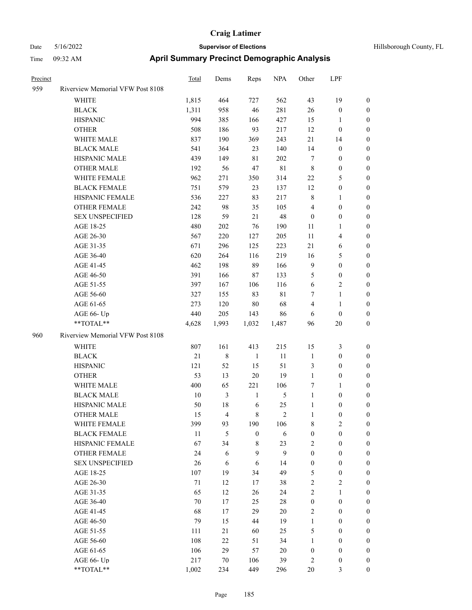| Precinct |                                  | Total  | Dems           | Reps             | <b>NPA</b>  | Other            | LPF              |                  |
|----------|----------------------------------|--------|----------------|------------------|-------------|------------------|------------------|------------------|
| 959      | Riverview Memorial VFW Post 8108 |        |                |                  |             |                  |                  |                  |
|          | WHITE                            | 1,815  | 464            | 727              | 562         | 43               | 19               | $\boldsymbol{0}$ |
|          | <b>BLACK</b>                     | 1,311  | 958            | 46               | 281         | 26               | $\boldsymbol{0}$ | $\boldsymbol{0}$ |
|          | <b>HISPANIC</b>                  | 994    | 385            | 166              | 427         | 15               | 1                | $\boldsymbol{0}$ |
|          | <b>OTHER</b>                     | 508    | 186            | 93               | 217         | 12               | $\boldsymbol{0}$ | 0                |
|          | WHITE MALE                       | 837    | 190            | 369              | 243         | $21\,$           | 14               | 0                |
|          | <b>BLACK MALE</b>                | 541    | 364            | 23               | 140         | 14               | $\boldsymbol{0}$ | $\boldsymbol{0}$ |
|          | HISPANIC MALE                    | 439    | 149            | 81               | 202         | $\tau$           | $\boldsymbol{0}$ | $\boldsymbol{0}$ |
|          | <b>OTHER MALE</b>                | 192    | 56             | 47               | 81          | $\,$ 8 $\,$      | $\boldsymbol{0}$ | $\boldsymbol{0}$ |
|          | WHITE FEMALE                     | 962    | 271            | 350              | 314         | $22\,$           | 5                | $\boldsymbol{0}$ |
|          | <b>BLACK FEMALE</b>              | 751    | 579            | 23               | 137         | 12               | $\boldsymbol{0}$ | $\boldsymbol{0}$ |
|          | HISPANIC FEMALE                  | 536    | 227            | 83               | 217         | $\,$ 8 $\,$      | $\mathbf{1}$     | $\boldsymbol{0}$ |
|          | <b>OTHER FEMALE</b>              | 242    | 98             | 35               | 105         | $\overline{4}$   | $\boldsymbol{0}$ | $\boldsymbol{0}$ |
|          | <b>SEX UNSPECIFIED</b>           | 128    | 59             | 21               | 48          | $\boldsymbol{0}$ | $\boldsymbol{0}$ | 0                |
|          | AGE 18-25                        | 480    | $202\,$        | 76               | 190         | 11               | $\mathbf{1}$     | 0                |
|          | AGE 26-30                        | 567    | 220            | 127              | 205         | 11               | $\overline{4}$   | 0                |
|          | AGE 31-35                        | 671    | 296            | 125              | 223         | 21               | 6                | 0                |
|          | AGE 36-40                        | 620    | 264            | 116              | 219         | 16               | $\mathfrak{S}$   | 0                |
|          | AGE 41-45                        | 462    | 198            | 89               | 166         | 9                | $\boldsymbol{0}$ | $\boldsymbol{0}$ |
|          | AGE 46-50                        | 391    | 166            | 87               | 133         | 5                | $\boldsymbol{0}$ | $\boldsymbol{0}$ |
|          | AGE 51-55                        | 397    | 167            | 106              | 116         | 6                | $\sqrt{2}$       | 0                |
|          | AGE 56-60                        | 327    | 155            | 83               | $8\sqrt{1}$ | 7                | $\mathbf{1}$     | $\boldsymbol{0}$ |
|          | AGE 61-65                        | 273    | 120            | 80               | 68          | $\overline{4}$   | $\mathbf{1}$     | $\boldsymbol{0}$ |
|          | AGE 66- Up                       | 440    | 205            | 143              | 86          | 6                | $\boldsymbol{0}$ | 0                |
|          | **TOTAL**                        | 4,628  | 1,993          | 1,032            | 1,487       | 96               | $20\,$           | 0                |
| 960      | Riverview Memorial VFW Post 8108 |        |                |                  |             |                  |                  |                  |
|          | WHITE                            | 807    | 161            | 413              | 215         | 15               | 3                | $\boldsymbol{0}$ |
|          | <b>BLACK</b>                     | 21     | $\,$ 8 $\,$    | -1               | 11          | $\mathbf{1}$     | $\boldsymbol{0}$ | 0                |
|          | <b>HISPANIC</b>                  | 121    | 52             | 15               | 51          | $\mathfrak{Z}$   | $\boldsymbol{0}$ | 0                |
|          | <b>OTHER</b>                     | 53     | 13             | 20               | 19          | $\mathbf{1}$     | $\boldsymbol{0}$ | 0                |
|          | WHITE MALE                       | 400    | 65             | 221              | 106         | 7                | $\mathbf{1}$     | $\boldsymbol{0}$ |
|          | <b>BLACK MALE</b>                | 10     | 3              | $\mathbf{1}$     | 5           | $\mathbf{1}$     | $\boldsymbol{0}$ | $\boldsymbol{0}$ |
|          | HISPANIC MALE                    | 50     | 18             | 6                | 25          | $\mathbf{1}$     | $\boldsymbol{0}$ | 0                |
|          | <b>OTHER MALE</b>                | 15     | $\overline{4}$ | 8                | 2           | $\mathbf{1}$     | $\boldsymbol{0}$ | $\boldsymbol{0}$ |
|          | WHITE FEMALE                     | 399    | 93             | 190              | 106         | 8                | $\overline{2}$   | $\boldsymbol{0}$ |
|          | <b>BLACK FEMALE</b>              | $11\,$ | 5              | $\boldsymbol{0}$ | $\sqrt{6}$  | $\boldsymbol{0}$ | $\boldsymbol{0}$ | 0                |
|          | HISPANIC FEMALE                  | 67     | 34             | $\,$ 8 $\,$      | 23          | $\sqrt{2}$       | $\boldsymbol{0}$ | 0                |
|          | <b>OTHER FEMALE</b>              | 24     | 6              | 9                | 9           | $\boldsymbol{0}$ | $\boldsymbol{0}$ | 0                |
|          | <b>SEX UNSPECIFIED</b>           | 26     | 6              | 6                | 14          | $\boldsymbol{0}$ | $\boldsymbol{0}$ | 0                |
|          | AGE 18-25                        | 107    | 19             | 34               | 49          | 5                | $\boldsymbol{0}$ | $\overline{0}$   |
|          | AGE 26-30                        | $71\,$ | 12             | 17               | 38          | $\overline{c}$   | $\sqrt{2}$       | $\boldsymbol{0}$ |
|          | AGE 31-35                        | 65     | 12             | 26               | 24          | $\overline{c}$   | $\mathbf{1}$     | $\overline{0}$   |
|          | AGE 36-40                        | 70     | 17             | 25               | $28\,$      | $\boldsymbol{0}$ | $\boldsymbol{0}$ | $\overline{0}$   |
|          | AGE 41-45                        | 68     | 17             | 29               | $20\,$      | $\sqrt{2}$       | $\boldsymbol{0}$ | $\overline{0}$   |
|          | AGE 46-50                        | 79     | 15             | 44               | 19          | $\mathbf{1}$     | $\boldsymbol{0}$ | $\overline{0}$   |
|          | AGE 51-55                        | 111    | 21             | 60               | 25          | 5                | $\boldsymbol{0}$ | $\overline{0}$   |
|          | AGE 56-60                        | 108    | $22\,$         | 51               | 34          | $\mathbf{1}$     | $\boldsymbol{0}$ | $\boldsymbol{0}$ |
|          | AGE 61-65                        | 106    | 29             | 57               | $20\,$      | $\boldsymbol{0}$ | $\boldsymbol{0}$ | 0                |
|          | AGE 66- Up                       | 217    | $70\,$         | 106              | 39          | 2                | $\boldsymbol{0}$ | 0                |
|          | $**TOTAL**$                      | 1,002  | 234            | 449              | 296         | $20\,$           | 3                | $\boldsymbol{0}$ |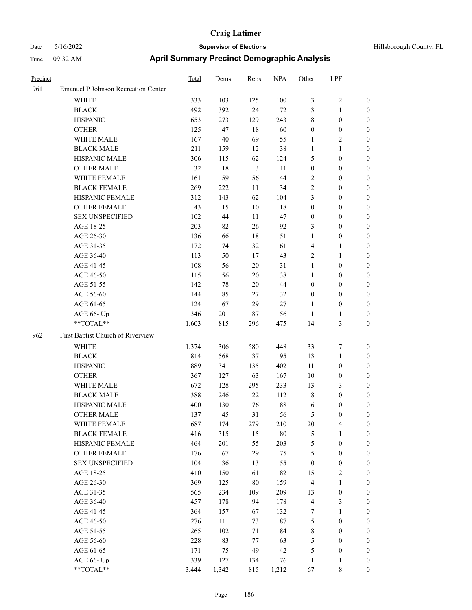| Hillsborough County, |  |
|----------------------|--|

| Precinct |                                     | Total | Dems   | Reps           | <b>NPA</b> | Other            | LPF              |                  |
|----------|-------------------------------------|-------|--------|----------------|------------|------------------|------------------|------------------|
| 961      | Emanuel P Johnson Recreation Center |       |        |                |            |                  |                  |                  |
|          | WHITE                               | 333   | 103    | 125            | 100        | 3                | $\sqrt{2}$       | $\boldsymbol{0}$ |
|          | <b>BLACK</b>                        | 492   | 392    | 24             | 72         | 3                | $\mathbf{1}$     | 0                |
|          | <b>HISPANIC</b>                     | 653   | 273    | 129            | 243        | 8                | $\boldsymbol{0}$ | 0                |
|          | <b>OTHER</b>                        | 125   | 47     | 18             | 60         | $\boldsymbol{0}$ | $\boldsymbol{0}$ | 0                |
|          | WHITE MALE                          | 167   | $40\,$ | 69             | 55         | 1                | $\sqrt{2}$       | $\boldsymbol{0}$ |
|          | <b>BLACK MALE</b>                   | 211   | 159    | 12             | 38         | $\mathbf{1}$     | $\mathbf{1}$     | $\boldsymbol{0}$ |
|          | HISPANIC MALE                       | 306   | 115    | 62             | 124        | 5                | $\boldsymbol{0}$ | $\boldsymbol{0}$ |
|          | <b>OTHER MALE</b>                   | 32    | 18     | $\mathfrak{Z}$ | 11         | $\boldsymbol{0}$ | $\boldsymbol{0}$ | $\boldsymbol{0}$ |
|          | WHITE FEMALE                        | 161   | 59     | 56             | 44         | 2                | $\boldsymbol{0}$ | $\boldsymbol{0}$ |
|          | <b>BLACK FEMALE</b>                 | 269   | 222    | 11             | 34         | $\overline{c}$   | $\boldsymbol{0}$ | $\boldsymbol{0}$ |
|          | HISPANIC FEMALE                     | 312   | 143    | 62             | 104        | 3                | $\boldsymbol{0}$ | 0                |
|          | OTHER FEMALE                        | 43    | 15     | 10             | 18         | $\boldsymbol{0}$ | $\boldsymbol{0}$ | 0                |
|          | <b>SEX UNSPECIFIED</b>              | 102   | 44     | 11             | 47         | $\boldsymbol{0}$ | $\boldsymbol{0}$ | 0                |
|          | AGE 18-25                           | 203   | 82     | 26             | 92         | 3                | $\boldsymbol{0}$ | 0                |
|          | AGE 26-30                           | 136   | 66     | 18             | 51         | 1                | $\boldsymbol{0}$ | $\boldsymbol{0}$ |
|          | AGE 31-35                           | 172   | 74     | 32             | 61         | 4                | 1                | $\boldsymbol{0}$ |
|          | AGE 36-40                           | 113   | 50     | 17             | 43         | 2                | $\mathbf{1}$     | 0                |
|          | AGE 41-45                           | 108   | 56     | 20             | 31         | $\mathbf{1}$     | $\boldsymbol{0}$ | 0                |
|          | AGE 46-50                           | 115   | 56     | 20             | 38         | $\mathbf{1}$     | $\boldsymbol{0}$ | $\boldsymbol{0}$ |
|          | AGE 51-55                           | 142   | 78     | 20             | 44         | $\boldsymbol{0}$ | $\boldsymbol{0}$ | 0                |
|          | AGE 56-60                           | 144   | 85     | 27             | 32         | $\boldsymbol{0}$ | $\boldsymbol{0}$ | 0                |
|          | AGE 61-65                           | 124   | 67     | 29             | 27         | 1                | $\boldsymbol{0}$ | 0                |
|          | AGE 66- Up                          | 346   | 201    | 87             | 56         | $\mathbf{1}$     | $\mathbf{1}$     | 0                |
|          | **TOTAL**                           | 1,603 | 815    | 296            | 475        | 14               | $\mathfrak{Z}$   | $\boldsymbol{0}$ |
| 962      | First Baptist Church of Riverview   |       |        |                |            |                  |                  |                  |
|          | <b>WHITE</b>                        | 1,374 | 306    | 580            | 448        | 33               | 7                | 0                |
|          | <b>BLACK</b>                        | 814   | 568    | 37             | 195        | 13               | 1                | $\boldsymbol{0}$ |
|          | <b>HISPANIC</b>                     | 889   | 341    | 135            | 402        | 11               | $\boldsymbol{0}$ | $\boldsymbol{0}$ |
|          | <b>OTHER</b>                        | 367   | 127    | 63             | 167        | 10               | $\boldsymbol{0}$ | $\boldsymbol{0}$ |
|          | WHITE MALE                          | 672   | 128    | 295            | 233        | 13               | 3                | $\boldsymbol{0}$ |
|          | <b>BLACK MALE</b>                   | 388   | 246    | 22             | 112        | $\,$ 8 $\,$      | $\boldsymbol{0}$ | $\boldsymbol{0}$ |
|          | HISPANIC MALE                       | 400   | 130    | 76             | 188        | 6                | 0                | 0                |
|          | <b>OTHER MALE</b>                   | 137   | 45     | 31             | 56         | 5                | $\boldsymbol{0}$ | $\boldsymbol{0}$ |
|          | WHITE FEMALE                        | 687   | 174    | 279            | 210        | 20               | $\overline{4}$   | 0                |
|          | <b>BLACK FEMALE</b>                 | 416   | 315    | 15             | $80\,$     | 5                | $\mathbf{1}$     | 0                |
|          | HISPANIC FEMALE                     | 464   | 201    | 55             | 203        | 5                | $\boldsymbol{0}$ | 0                |
|          | <b>OTHER FEMALE</b>                 | 176   | 67     | 29             | 75         | 5                | $\boldsymbol{0}$ | 0                |
|          | <b>SEX UNSPECIFIED</b>              | 104   | 36     | 13             | 55         | $\boldsymbol{0}$ | $\boldsymbol{0}$ | $\overline{0}$   |
|          | AGE 18-25                           | 410   | 150    | 61             | 182        | 15               | $\sqrt{2}$       | 0                |
|          | AGE 26-30                           | 369   | 125    | $80\,$         | 159        | 4                | $\mathbf{1}$     | 0                |
|          | AGE 31-35                           | 565   | 234    | 109            | 209        | 13               | $\boldsymbol{0}$ | 0                |
|          | AGE 36-40                           | 457   | 178    | 94             | 178        | 4                | $\mathfrak{Z}$   | 0                |
|          | AGE 41-45                           | 364   | 157    | 67             | 132        | 7                | $\mathbf{1}$     | 0                |
|          | AGE 46-50                           | 276   | 111    | 73             | $87\,$     | 5                | $\boldsymbol{0}$ | 0                |
|          | AGE 51-55                           | 265   | 102    | 71             | 84         | $\,$ 8 $\,$      | $\boldsymbol{0}$ | 0                |
|          | AGE 56-60                           | 228   | 83     | $77 \,$        | 63         | 5                | $\boldsymbol{0}$ | $\overline{0}$   |
|          | AGE 61-65                           | 171   | 75     | 49             | 42         | 5                | $\boldsymbol{0}$ | $\boldsymbol{0}$ |
|          | AGE 66- Up                          | 339   | 127    | 134            | 76         | $\mathbf{1}$     | $\mathbf{1}$     | $\boldsymbol{0}$ |
|          | **TOTAL**                           | 3,444 | 1,342  | 815            | 1,212      | 67               | $8\,$            | $\boldsymbol{0}$ |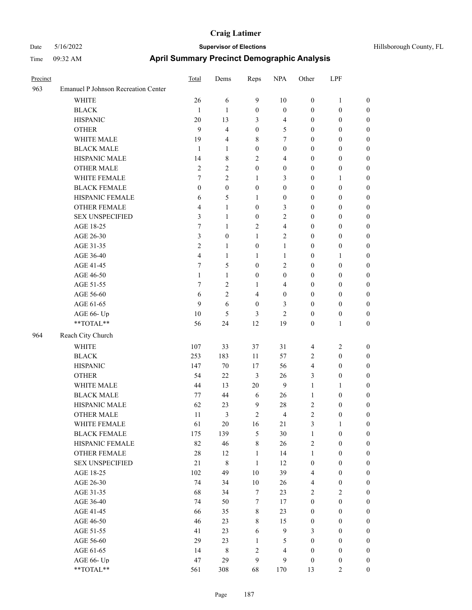| Precinct |                                                           | Total            | Dems             | Reps             | <b>NPA</b>               | Other            | LPF              |                  |
|----------|-----------------------------------------------------------|------------------|------------------|------------------|--------------------------|------------------|------------------|------------------|
| 963      | Emanuel P Johnson Recreation Center                       |                  |                  |                  |                          |                  |                  |                  |
|          | WHITE                                                     | 26               | 6                | $\mathbf{9}$     | 10                       | $\boldsymbol{0}$ | $\mathbf{1}$     | $\boldsymbol{0}$ |
|          | <b>BLACK</b>                                              | 1                | 1                | $\boldsymbol{0}$ | $\boldsymbol{0}$         | $\boldsymbol{0}$ | $\boldsymbol{0}$ | $\boldsymbol{0}$ |
|          | <b>HISPANIC</b>                                           | 20               | 13               | 3                | $\overline{4}$           | $\boldsymbol{0}$ | $\boldsymbol{0}$ | 0                |
|          | <b>OTHER</b>                                              | 9                | $\overline{4}$   | $\boldsymbol{0}$ | 5                        | $\boldsymbol{0}$ | $\boldsymbol{0}$ | $\boldsymbol{0}$ |
|          | WHITE MALE                                                | 19               | 4                | 8                | 7                        | $\boldsymbol{0}$ | $\boldsymbol{0}$ | $\boldsymbol{0}$ |
|          | <b>BLACK MALE</b>                                         | $\mathbf{1}$     | 1                | $\boldsymbol{0}$ | $\boldsymbol{0}$         | $\boldsymbol{0}$ | $\boldsymbol{0}$ | $\boldsymbol{0}$ |
|          | HISPANIC MALE                                             | 14               | 8                | $\overline{2}$   | 4                        | $\boldsymbol{0}$ | $\boldsymbol{0}$ | $\boldsymbol{0}$ |
|          | <b>OTHER MALE</b>                                         | $\mathfrak{2}$   | $\overline{c}$   | $\boldsymbol{0}$ | $\boldsymbol{0}$         | $\boldsymbol{0}$ | $\boldsymbol{0}$ | $\overline{0}$   |
|          | WHITE FEMALE                                              | 7                | $\overline{c}$   | $\mathbf{1}$     | 3                        | $\boldsymbol{0}$ | $\mathbf{1}$     | $\boldsymbol{0}$ |
|          | <b>BLACK FEMALE</b>                                       | $\boldsymbol{0}$ | $\boldsymbol{0}$ | $\boldsymbol{0}$ | $\boldsymbol{0}$         | $\boldsymbol{0}$ | $\boldsymbol{0}$ | $\boldsymbol{0}$ |
|          | HISPANIC FEMALE                                           | 6                | 5                | 1                | $\boldsymbol{0}$         | $\boldsymbol{0}$ | $\boldsymbol{0}$ | 0                |
|          | OTHER FEMALE                                              | 4                | 1                | $\boldsymbol{0}$ | 3                        | $\boldsymbol{0}$ | $\boldsymbol{0}$ | 0                |
|          | <b>SEX UNSPECIFIED</b>                                    | 3                | 1                | $\boldsymbol{0}$ | 2                        | $\boldsymbol{0}$ | $\boldsymbol{0}$ | 0                |
|          | AGE 18-25                                                 | 7                | 1                | $\overline{2}$   | $\overline{\mathcal{L}}$ | $\boldsymbol{0}$ | $\boldsymbol{0}$ | 0                |
|          | AGE 26-30                                                 | 3                | $\boldsymbol{0}$ | 1                | 2                        | $\boldsymbol{0}$ | $\boldsymbol{0}$ | $\boldsymbol{0}$ |
|          | AGE 31-35                                                 | $\mathfrak{2}$   | $\mathbf{1}$     | $\boldsymbol{0}$ | $\mathbf{1}$             | $\boldsymbol{0}$ | $\boldsymbol{0}$ | $\boldsymbol{0}$ |
|          | AGE 36-40                                                 | $\overline{4}$   | $\mathbf{1}$     | 1                | $\mathbf{1}$             | $\boldsymbol{0}$ | $\mathbf{1}$     | $\boldsymbol{0}$ |
|          | AGE 41-45                                                 | 7                | 5                | $\boldsymbol{0}$ | 2                        | $\boldsymbol{0}$ | $\boldsymbol{0}$ | 0                |
|          | AGE 46-50                                                 | $\mathbf{1}$     | $\mathbf{1}$     | $\boldsymbol{0}$ | 0                        | $\boldsymbol{0}$ | $\boldsymbol{0}$ | $\boldsymbol{0}$ |
|          | AGE 51-55                                                 | 7                | $\overline{c}$   | 1                | 4                        | $\boldsymbol{0}$ | $\boldsymbol{0}$ | $\boldsymbol{0}$ |
|          | AGE 56-60                                                 | 6                | $\overline{c}$   | 4                | $\boldsymbol{0}$         | $\boldsymbol{0}$ | $\boldsymbol{0}$ | 0                |
|          | AGE 61-65                                                 | 9                | 6                | $\boldsymbol{0}$ | 3                        | $\boldsymbol{0}$ | $\boldsymbol{0}$ | 0                |
|          | AGE 66- Up                                                | 10               | 5                | 3                | 2                        | $\boldsymbol{0}$ | $\boldsymbol{0}$ | 0                |
|          | $**TOTAL**$                                               | 56               | 24               | 12               | 19                       | $\boldsymbol{0}$ | $\mathbf{1}$     | $\boldsymbol{0}$ |
| 964      | Reach City Church                                         |                  |                  |                  |                          |                  |                  |                  |
|          | <b>WHITE</b>                                              | 107              | 33               | 37               | 31                       | 4                | $\overline{c}$   | $\boldsymbol{0}$ |
|          | <b>BLACK</b>                                              | 253              | 183              | 11               | 57                       | 2                | $\boldsymbol{0}$ | $\boldsymbol{0}$ |
|          | <b>HISPANIC</b>                                           | 147              | 70               | 17               | 56                       | 4                | $\boldsymbol{0}$ | $\boldsymbol{0}$ |
|          | <b>OTHER</b>                                              | 54               | 22               | $\mathfrak{Z}$   | 26                       | 3                | $\boldsymbol{0}$ | $\boldsymbol{0}$ |
|          | WHITE MALE                                                | 44               | 13               | 20               | $\mathbf{9}$             | $\mathbf{1}$     | $\mathbf{1}$     | 0                |
|          | <b>BLACK MALE</b>                                         | 77               | 44               | 6                | 26                       | $\mathbf{1}$     | $\boldsymbol{0}$ | $\boldsymbol{0}$ |
|          | HISPANIC MALE                                             | 62               | 23               | $\overline{9}$   | 28                       | 2                | $\boldsymbol{0}$ | 0                |
|          | <b>OTHER MALE</b>                                         | 11               | 3                | $\overline{2}$   | 4                        | $\overline{c}$   | $\boldsymbol{0}$ | $\boldsymbol{0}$ |
|          | WHITE FEMALE                                              | 61               | 20               | 16               | 21                       | 3                | $\mathbf{1}$     | 0                |
|          | <b>BLACK FEMALE</b>                                       | 175              | 139              | $\sqrt{5}$       | 30                       | $\mathbf{1}$     | $\boldsymbol{0}$ | 0                |
|          | HISPANIC FEMALE                                           | 82               | 46               | $\,$ 8 $\,$      | 26                       | 2                | $\boldsymbol{0}$ | $\overline{0}$   |
|          | OTHER FEMALE                                              | $28\,$           | 12               | $\mathbf{1}$     | 14                       | $\mathbf{1}$     | $\boldsymbol{0}$ | $\overline{0}$   |
|          | <b>SEX UNSPECIFIED</b>                                    | 21               | $\,$ 8 $\,$      | $\mathbf{1}$     | 12                       | $\boldsymbol{0}$ | $\boldsymbol{0}$ | $\boldsymbol{0}$ |
|          | AGE 18-25                                                 | 102              | 49               | 10               | 39                       | $\overline{4}$   | $\boldsymbol{0}$ | $\overline{0}$   |
|          | AGE 26-30                                                 | 74               | 34               | $10\,$           | 26                       | 4                | $\boldsymbol{0}$ | $\overline{0}$   |
|          | AGE 31-35                                                 | 68               | 34               | $\tau$           | 23                       | $\sqrt{2}$       | $\sqrt{2}$       | $\overline{0}$   |
|          | AGE 36-40                                                 | 74               | 50               | $\boldsymbol{7}$ | $17\,$                   | $\boldsymbol{0}$ | $\boldsymbol{0}$ | $\overline{0}$   |
|          | AGE 41-45                                                 | 66               | 35               | $\,8\,$          | 23                       | $\boldsymbol{0}$ | $\boldsymbol{0}$ | $\boldsymbol{0}$ |
|          | AGE 46-50                                                 | 46               | 23               | $\,$ 8 $\,$      | 15                       | $\boldsymbol{0}$ | $\boldsymbol{0}$ | 0                |
|          | AGE 51-55                                                 | 41               | 23               | 6                | $\mathbf{9}$             | 3                | $\boldsymbol{0}$ | $\boldsymbol{0}$ |
|          | AGE 56-60                                                 | 29               | 23               | $\mathbf{1}$     | 5                        | $\boldsymbol{0}$ | $\boldsymbol{0}$ | $\boldsymbol{0}$ |
|          | AGE 61-65                                                 | 14               | $\,$ 8 $\,$      | $\sqrt{2}$       | $\overline{\mathbf{4}}$  | $\boldsymbol{0}$ | $\boldsymbol{0}$ | $\boldsymbol{0}$ |
|          | AGE 66- Up                                                | 47               | 29               | 9                | 9                        | $\boldsymbol{0}$ | $\boldsymbol{0}$ | $\boldsymbol{0}$ |
|          | $\mathrm{*}\mathrm{*}\mathrm{TOTAL} \mathrm{*}\mathrm{*}$ | 561              | 308              | 68               | 170                      | 13               | $\overline{2}$   | $\boldsymbol{0}$ |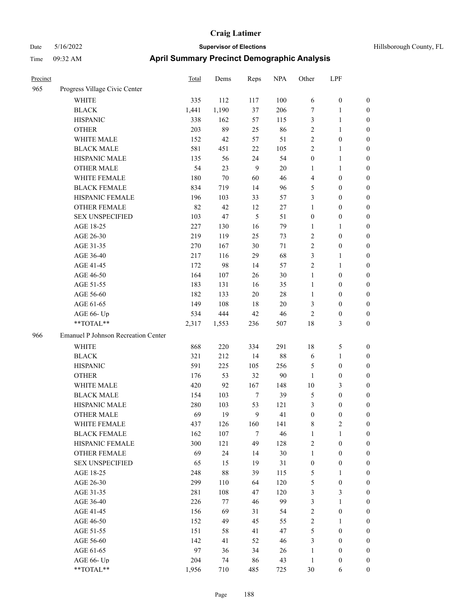| Hillsborough County, FL |  |  |
|-------------------------|--|--|
|-------------------------|--|--|

| Precinct |                                     | Total | Dems   | Reps   | <b>NPA</b> | Other            | LPF              |                  |
|----------|-------------------------------------|-------|--------|--------|------------|------------------|------------------|------------------|
| 965      | Progress Village Civic Center       |       |        |        |            |                  |                  |                  |
|          | WHITE                               | 335   | 112    | 117    | 100        | 6                | $\boldsymbol{0}$ | $\boldsymbol{0}$ |
|          | <b>BLACK</b>                        | 1,441 | 1,190  | 37     | 206        | 7                | $\mathbf{1}$     | $\boldsymbol{0}$ |
|          | <b>HISPANIC</b>                     | 338   | 162    | 57     | 115        | 3                | $\mathbf{1}$     | $\boldsymbol{0}$ |
|          | <b>OTHER</b>                        | 203   | 89     | 25     | 86         | $\mathbf{2}$     | $\mathbf{1}$     | 0                |
|          | WHITE MALE                          | 152   | 42     | 57     | 51         | $\mathbf{2}$     | $\boldsymbol{0}$ | 0                |
|          | <b>BLACK MALE</b>                   | 581   | 451    | 22     | 105        | $\mathbf{2}$     | $\mathbf{1}$     | 0                |
|          | HISPANIC MALE                       | 135   | 56     | 24     | 54         | $\boldsymbol{0}$ | $\mathbf{1}$     | $\boldsymbol{0}$ |
|          | <b>OTHER MALE</b>                   | 54    | 23     | 9      | $20\,$     | 1                | 1                | $\boldsymbol{0}$ |
|          | WHITE FEMALE                        | 180   | $70\,$ | 60     | 46         | 4                | $\boldsymbol{0}$ | $\boldsymbol{0}$ |
|          | <b>BLACK FEMALE</b>                 | 834   | 719    | 14     | 96         | 5                | $\boldsymbol{0}$ | $\boldsymbol{0}$ |
|          | HISPANIC FEMALE                     | 196   | 103    | 33     | 57         | 3                | $\boldsymbol{0}$ | $\boldsymbol{0}$ |
|          | OTHER FEMALE                        | 82    | 42     | 12     | $27\,$     | $\mathbf{1}$     | $\boldsymbol{0}$ | $\boldsymbol{0}$ |
|          | <b>SEX UNSPECIFIED</b>              | 103   | 47     | 5      | 51         | $\boldsymbol{0}$ | $\boldsymbol{0}$ | $\boldsymbol{0}$ |
|          | AGE 18-25                           | 227   | 130    | 16     | 79         | 1                | 1                | 0                |
|          | AGE 26-30                           | 219   | 119    | 25     | 73         | $\overline{c}$   | $\boldsymbol{0}$ | 0                |
|          | AGE 31-35                           | 270   | 167    | $30\,$ | 71         | 2                | $\boldsymbol{0}$ | 0                |
|          | AGE 36-40                           | 217   | 116    | 29     | 68         | 3                | $\mathbf{1}$     | 0                |
|          | AGE 41-45                           | 172   | 98     | 14     | 57         | $\overline{c}$   | 1                | $\boldsymbol{0}$ |
|          | AGE 46-50                           | 164   | 107    | 26     | 30         | $\mathbf{1}$     | $\boldsymbol{0}$ | $\boldsymbol{0}$ |
|          | AGE 51-55                           | 183   | 131    | 16     | 35         | $\mathbf{1}$     | $\boldsymbol{0}$ | $\boldsymbol{0}$ |
|          | AGE 56-60                           | 182   | 133    | $20\,$ | 28         | $\mathbf{1}$     | $\boldsymbol{0}$ | $\boldsymbol{0}$ |
|          | AGE 61-65                           | 149   | 108    | 18     | $20\,$     | 3                | $\boldsymbol{0}$ | $\boldsymbol{0}$ |
|          | AGE 66- Up                          | 534   | 444    | $42\,$ | 46         | $\overline{c}$   | $\boldsymbol{0}$ | 0                |
|          | **TOTAL**                           | 2,317 | 1,553  | 236    | 507        | 18               | $\mathfrak{Z}$   | $\boldsymbol{0}$ |
| 966      | Emanuel P Johnson Recreation Center |       |        |        |            |                  |                  |                  |
|          | WHITE                               | 868   | 220    | 334    | 291        | 18               | $\mathfrak{S}$   | $\boldsymbol{0}$ |
|          | <b>BLACK</b>                        | 321   | 212    | 14     | 88         | 6                | $\mathbf{1}$     | 0                |
|          | <b>HISPANIC</b>                     | 591   | 225    | 105    | 256        | 5                | $\boldsymbol{0}$ | 0                |
|          | <b>OTHER</b>                        | 176   | 53     | 32     | 90         | $\mathbf{1}$     | $\boldsymbol{0}$ | 0                |
|          | WHITE MALE                          | 420   | 92     | 167    | 148        | 10               | 3                | $\boldsymbol{0}$ |
|          | <b>BLACK MALE</b>                   | 154   | 103    | $\tau$ | 39         | 5                | $\boldsymbol{0}$ | $\boldsymbol{0}$ |
|          | HISPANIC MALE                       | 280   | 103    | 53     | 121        | 3                | $\boldsymbol{0}$ | 0                |
|          | <b>OTHER MALE</b>                   | 69    | 19     | 9      | 41         | $\boldsymbol{0}$ | $\boldsymbol{0}$ | $\boldsymbol{0}$ |
|          | WHITE FEMALE                        | 437   | 126    | 160    | 141        | $\,$ 8 $\,$      | $\sqrt{2}$       | $\boldsymbol{0}$ |
|          | <b>BLACK FEMALE</b>                 | 162   | 107    | $\tau$ | 46         | $\mathbf{1}$     | $\mathbf{1}$     | 0                |
|          | HISPANIC FEMALE                     | 300   | 121    | 49     | 128        | $\sqrt{2}$       | $\boldsymbol{0}$ | 0                |
|          | OTHER FEMALE                        | 69    | 24     | 14     | 30         | $\mathbf{1}$     | $\boldsymbol{0}$ | 0                |
|          | <b>SEX UNSPECIFIED</b>              | 65    | 15     | 19     | 31         | $\boldsymbol{0}$ | $\boldsymbol{0}$ | 0                |
|          | AGE 18-25                           | 248   | 88     | 39     | 115        | 5                | $\mathbf{1}$     | $\boldsymbol{0}$ |
|          | AGE 26-30                           | 299   | 110    | 64     | 120        | 5                | $\boldsymbol{0}$ | $\boldsymbol{0}$ |
|          | AGE 31-35                           | 281   | 108    | 47     | 120        | 3                | $\mathfrak{Z}$   | $\boldsymbol{0}$ |
|          | AGE 36-40                           | 226   | 77     | 46     | 99         | 3                | $\mathbf{1}$     | $\boldsymbol{0}$ |
|          | AGE 41-45                           | 156   | 69     | 31     | 54         | $\boldsymbol{2}$ | $\boldsymbol{0}$ | $\boldsymbol{0}$ |
|          | AGE 46-50                           | 152   | 49     | 45     | 55         | $\sqrt{2}$       | $\mathbf{1}$     | $\overline{0}$   |
|          | AGE 51-55                           | 151   | 58     | 41     | 47         | 5                | $\boldsymbol{0}$ | $\overline{0}$   |
|          | AGE 56-60                           | 142   | 41     | 52     | 46         | $\mathfrak{Z}$   | $\boldsymbol{0}$ | $\boldsymbol{0}$ |
|          | AGE 61-65                           | 97    | 36     | 34     | 26         | $\mathbf{1}$     | $\boldsymbol{0}$ | 0                |
|          | AGE 66- Up                          | 204   | 74     | 86     | 43         | $\mathbf{1}$     | $\boldsymbol{0}$ | 0                |
|          | $**TOTAL**$                         | 1,956 | 710    | 485    | 725        | $30\,$           | 6                | $\boldsymbol{0}$ |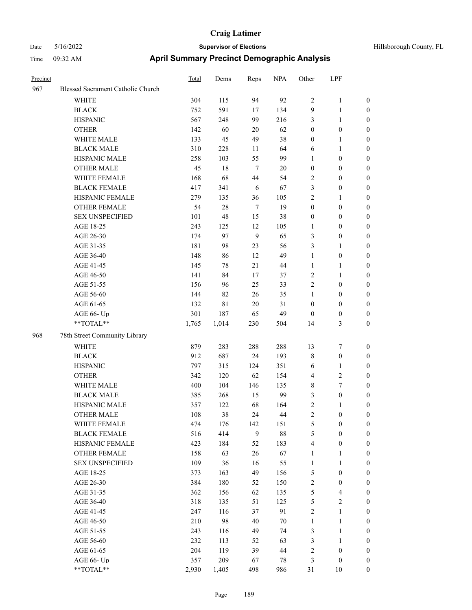| Precinct |                                   | Total | Dems        | Reps             | <b>NPA</b> | Other            | LPF                     |                  |
|----------|-----------------------------------|-------|-------------|------------------|------------|------------------|-------------------------|------------------|
| 967      | Blessed Sacrament Catholic Church |       |             |                  |            |                  |                         |                  |
|          | WHITE                             | 304   | 115         | 94               | 92         | $\sqrt{2}$       | $\mathbf{1}$            | $\boldsymbol{0}$ |
|          | <b>BLACK</b>                      | 752   | 591         | 17               | 134        | 9                | 1                       | $\boldsymbol{0}$ |
|          | <b>HISPANIC</b>                   | 567   | 248         | 99               | 216        | 3                | 1                       | $\boldsymbol{0}$ |
|          | <b>OTHER</b>                      | 142   | 60          | 20               | 62         | $\boldsymbol{0}$ | $\boldsymbol{0}$        | $\boldsymbol{0}$ |
|          | WHITE MALE                        | 133   | 45          | 49               | 38         | $\boldsymbol{0}$ | 1                       | $\boldsymbol{0}$ |
|          | <b>BLACK MALE</b>                 | 310   | 228         | 11               | 64         | 6                | $\mathbf{1}$            | $\boldsymbol{0}$ |
|          | HISPANIC MALE                     | 258   | 103         | 55               | 99         | $\mathbf{1}$     | $\boldsymbol{0}$        | $\boldsymbol{0}$ |
|          | <b>OTHER MALE</b>                 | 45    | $18\,$      | $\overline{7}$   | $20\,$     | $\boldsymbol{0}$ | $\boldsymbol{0}$        | $\boldsymbol{0}$ |
|          | WHITE FEMALE                      | 168   | 68          | 44               | 54         | $\sqrt{2}$       | $\boldsymbol{0}$        | $\boldsymbol{0}$ |
|          | <b>BLACK FEMALE</b>               | 417   | 341         | 6                | 67         | $\mathfrak{Z}$   | $\boldsymbol{0}$        | $\boldsymbol{0}$ |
|          | HISPANIC FEMALE                   | 279   | 135         | 36               | 105        | $\sqrt{2}$       | 1                       | $\boldsymbol{0}$ |
|          | <b>OTHER FEMALE</b>               | 54    | $28\,$      | $\overline{7}$   | 19         | $\boldsymbol{0}$ | $\boldsymbol{0}$        | $\boldsymbol{0}$ |
|          | <b>SEX UNSPECIFIED</b>            | 101   | 48          | 15               | 38         | $\boldsymbol{0}$ | $\boldsymbol{0}$        | $\boldsymbol{0}$ |
|          | AGE 18-25                         | 243   | 125         | 12               | 105        | 1                | $\boldsymbol{0}$        | $\boldsymbol{0}$ |
|          | AGE 26-30                         | 174   | 97          | 9                | 65         | $\mathfrak{Z}$   | $\boldsymbol{0}$        | $\boldsymbol{0}$ |
|          | AGE 31-35                         | 181   | 98          | 23               | 56         | 3                | 1                       | $\boldsymbol{0}$ |
|          | AGE 36-40                         | 148   | 86          | 12               | 49         | 1                | $\boldsymbol{0}$        | $\boldsymbol{0}$ |
|          | AGE 41-45                         | 145   | 78          | 21               | 44         | $\mathbf{1}$     | 1                       | $\boldsymbol{0}$ |
|          | AGE 46-50                         | 141   | 84          | 17               | 37         | $\sqrt{2}$       | 1                       | $\boldsymbol{0}$ |
|          | AGE 51-55                         | 156   | 96          | 25               | 33         | $\sqrt{2}$       | $\boldsymbol{0}$        | $\boldsymbol{0}$ |
|          | AGE 56-60                         | 144   | 82          | 26               | 35         | $\mathbf{1}$     | $\boldsymbol{0}$        | $\boldsymbol{0}$ |
|          | AGE 61-65                         | 132   | $8\sqrt{1}$ | $20\,$           | 31         | $\boldsymbol{0}$ | $\boldsymbol{0}$        | $\boldsymbol{0}$ |
|          | AGE 66- Up                        | 301   | 187         | 65               | 49         | $\boldsymbol{0}$ | $\boldsymbol{0}$        | $\boldsymbol{0}$ |
|          | **TOTAL**                         | 1,765 | 1,014       | 230              | 504        | 14               | 3                       | $\boldsymbol{0}$ |
| 968      | 78th Street Community Library     |       |             |                  |            |                  |                         |                  |
|          | WHITE                             | 879   | 283         | 288              | 288        | 13               | 7                       | $\boldsymbol{0}$ |
|          | <b>BLACK</b>                      | 912   | 687         | 24               | 193        | $\,$ 8 $\,$      | $\boldsymbol{0}$        | $\boldsymbol{0}$ |
|          | <b>HISPANIC</b>                   | 797   | 315         | 124              | 351        | 6                | 1                       | $\boldsymbol{0}$ |
|          | <b>OTHER</b>                      | 342   | 120         | 62               | 154        | $\overline{4}$   | 2                       | $\boldsymbol{0}$ |
|          | WHITE MALE                        | 400   | 104         | 146              | 135        | 8                | 7                       | $\boldsymbol{0}$ |
|          | <b>BLACK MALE</b>                 | 385   | 268         | 15               | 99         | 3                | $\boldsymbol{0}$        | $\boldsymbol{0}$ |
|          | HISPANIC MALE                     | 357   | 122         | 68               | 164        | $\sqrt{2}$       | 1                       | $\boldsymbol{0}$ |
|          | <b>OTHER MALE</b>                 | 108   | 38          | 24               | 44         | $\overline{c}$   | $\mathbf{0}$            | $\boldsymbol{0}$ |
|          | WHITE FEMALE                      | 474   | 176         | 142              | 151        | $\mathfrak s$    | $\boldsymbol{0}$        | $\boldsymbol{0}$ |
|          | <b>BLACK FEMALE</b>               | 516   | 414         | $\boldsymbol{9}$ | $88\,$     | $\sqrt{5}$       | $\boldsymbol{0}$        | $\boldsymbol{0}$ |
|          | HISPANIC FEMALE                   | 423   | 184         | 52               | 183        | $\overline{4}$   | $\boldsymbol{0}$        | $\boldsymbol{0}$ |
|          | OTHER FEMALE                      | 158   | 63          | $26\,$           | 67         | $\mathbf{1}$     | 1                       | $\boldsymbol{0}$ |
|          | <b>SEX UNSPECIFIED</b>            | 109   | 36          | 16               | 55         | $\mathbf{1}$     | $\mathbf{1}$            | $\boldsymbol{0}$ |
|          | AGE 18-25                         | 373   | 163         | 49               | 156        | $\mathfrak s$    | $\boldsymbol{0}$        | $\boldsymbol{0}$ |
|          | AGE 26-30                         | 384   | 180         | 52               | 150        | $\sqrt{2}$       | $\boldsymbol{0}$        | $\boldsymbol{0}$ |
|          | AGE 31-35                         | 362   | 156         | 62               | 135        | $\sqrt{5}$       | 4                       | $\boldsymbol{0}$ |
|          | AGE 36-40                         | 318   | 135         | 51               | 125        | $\sqrt{5}$       | $\overline{\mathbf{c}}$ | $\boldsymbol{0}$ |
|          | AGE 41-45                         | 247   | 116         | 37               | 91         | $\sqrt{2}$       | $\mathbf{1}$            | $\boldsymbol{0}$ |
|          | AGE 46-50                         | 210   | 98          | 40               | $70\,$     | $\mathbf{1}$     | $\mathbf{1}$            | $\boldsymbol{0}$ |
|          | AGE 51-55                         | 243   | 116         | 49               | 74         | $\mathfrak{Z}$   | 1                       | $\boldsymbol{0}$ |
|          | AGE 56-60                         | 232   | 113         | 52               | 63         | $\mathfrak{Z}$   | 1                       | $\boldsymbol{0}$ |
|          | AGE 61-65                         | 204   | 119         | 39               | $44\,$     | $\sqrt{2}$       | $\boldsymbol{0}$        | $\boldsymbol{0}$ |
|          | AGE 66- Up                        | 357   | 209         | 67               | 78         | $\mathfrak{Z}$   | $\boldsymbol{0}$        | $\mathbf{0}$     |
|          | **TOTAL**                         | 2,930 | 1,405       | 498              | 986        | 31               | $10\,$                  | $\boldsymbol{0}$ |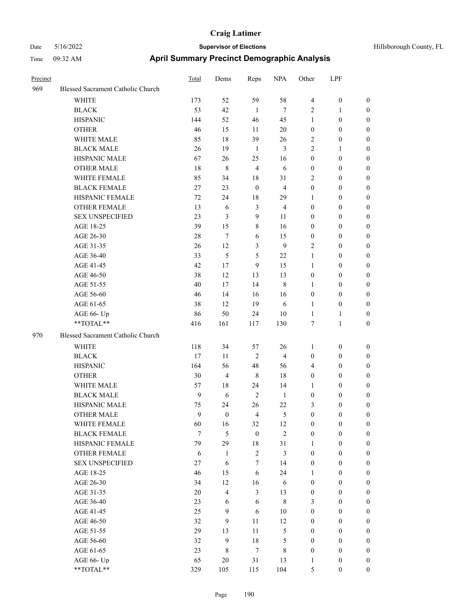| Hillsborough County, FL |  |
|-------------------------|--|
|                         |  |

| Precinct |                                   | <b>Total</b> | Dems           | Reps             | <b>NPA</b>     | Other            | LPF              |                  |
|----------|-----------------------------------|--------------|----------------|------------------|----------------|------------------|------------------|------------------|
| 969      | Blessed Sacrament Catholic Church |              |                |                  |                |                  |                  |                  |
|          | WHITE                             | 173          | 52             | 59               | 58             | $\overline{4}$   | $\boldsymbol{0}$ | $\mathbf{0}$     |
|          | <b>BLACK</b>                      | 53           | 42             | 1                | $\tau$         | $\mathbf{2}$     | 1                | $\boldsymbol{0}$ |
|          | <b>HISPANIC</b>                   | 144          | 52             | 46               | 45             | 1                | $\boldsymbol{0}$ | $\boldsymbol{0}$ |
|          | <b>OTHER</b>                      | 46           | 15             | 11               | 20             | $\boldsymbol{0}$ | $\boldsymbol{0}$ | $\boldsymbol{0}$ |
|          | WHITE MALE                        | 85           | 18             | 39               | 26             | $\mathbf{2}$     | $\boldsymbol{0}$ | $\boldsymbol{0}$ |
|          | <b>BLACK MALE</b>                 | 26           | 19             | 1                | $\mathfrak{Z}$ | $\mathbf{2}$     | $\mathbf{1}$     | $\boldsymbol{0}$ |
|          | HISPANIC MALE                     | 67           | 26             | 25               | 16             | $\boldsymbol{0}$ | $\boldsymbol{0}$ | $\boldsymbol{0}$ |
|          | <b>OTHER MALE</b>                 | 18           | $\,$ 8 $\,$    | $\overline{4}$   | 6              | $\boldsymbol{0}$ | $\mathbf{0}$     | $\boldsymbol{0}$ |
|          | <b>WHITE FEMALE</b>               | 85           | 34             | 18               | 31             | $\overline{2}$   | $\overline{0}$   | $\boldsymbol{0}$ |
|          | <b>BLACK FEMALE</b>               | 27           | 23             | $\boldsymbol{0}$ | $\overline{4}$ | $\boldsymbol{0}$ | $\boldsymbol{0}$ | $\boldsymbol{0}$ |
|          | HISPANIC FEMALE                   | 72           | 24             | 18               | 29             | 1                | $\boldsymbol{0}$ | $\boldsymbol{0}$ |
|          | <b>OTHER FEMALE</b>               | 13           | 6              | 3                | $\overline{4}$ | $\boldsymbol{0}$ | $\boldsymbol{0}$ | $\boldsymbol{0}$ |
|          | <b>SEX UNSPECIFIED</b>            | 23           | 3              | 9                | 11             | $\boldsymbol{0}$ | $\mathbf{0}$     | $\boldsymbol{0}$ |
|          | AGE 18-25                         | 39           | 15             | 8                | 16             | $\mathbf{0}$     | $\mathbf{0}$     | $\boldsymbol{0}$ |
|          | AGE 26-30                         | 28           | $\tau$         | 6                | 15             | $\boldsymbol{0}$ | $\boldsymbol{0}$ | $\boldsymbol{0}$ |
|          | AGE 31-35                         | 26           | 12             | 3                | 9              | $\mathbf{2}$     | $\boldsymbol{0}$ | $\boldsymbol{0}$ |
|          | AGE 36-40                         | 33           | 5              | 5                | 22             | $\mathbf{1}$     | $\boldsymbol{0}$ | $\boldsymbol{0}$ |
|          | AGE 41-45                         | 42           | 17             | 9                | 15             | 1                | $\boldsymbol{0}$ | $\boldsymbol{0}$ |
|          | AGE 46-50                         | 38           | 12             | 13               | 13             | $\boldsymbol{0}$ | $\boldsymbol{0}$ | $\boldsymbol{0}$ |
|          | AGE 51-55                         | 40           | 17             | 14               | 8              | $\mathbf{1}$     | $\boldsymbol{0}$ | $\boldsymbol{0}$ |
|          | AGE 56-60                         | 46           | 14             | 16               | 16             | $\boldsymbol{0}$ | $\boldsymbol{0}$ | $\boldsymbol{0}$ |
|          | AGE 61-65                         | 38           | 12             | 19               | 6              | 1                | $\boldsymbol{0}$ | $\boldsymbol{0}$ |
|          | AGE 66- Up                        | 86           | 50             | 24               | 10             | 1                | 1                | $\boldsymbol{0}$ |
|          | **TOTAL**                         | 416          | 161            | 117              | 130            | 7                | $\mathbf{1}$     | $\boldsymbol{0}$ |
| 970      | Blessed Sacrament Catholic Church |              |                |                  |                |                  |                  |                  |
|          | <b>WHITE</b>                      | 118          | 34             | 57               | 26             | 1                | $\boldsymbol{0}$ | $\boldsymbol{0}$ |
|          | <b>BLACK</b>                      | 17           | 11             | $\overline{2}$   | $\overline{4}$ | $\boldsymbol{0}$ | $\boldsymbol{0}$ | $\boldsymbol{0}$ |
|          | <b>HISPANIC</b>                   | 164          | 56             | 48               | 56             | $\overline{4}$   | $\boldsymbol{0}$ | $\boldsymbol{0}$ |
|          | <b>OTHER</b>                      | 30           | $\overline{4}$ | $\,8\,$          | 18             | $\boldsymbol{0}$ | $\boldsymbol{0}$ | $\boldsymbol{0}$ |
|          | <b>WHITE MALE</b>                 | 57           | 18             | 24               | 14             | 1                | $\boldsymbol{0}$ | $\boldsymbol{0}$ |
|          | <b>BLACK MALE</b>                 | 9            | 6              | $\overline{2}$   | $\mathbf{1}$   | $\boldsymbol{0}$ | $\boldsymbol{0}$ | $\boldsymbol{0}$ |
|          | HISPANIC MALE                     | 75           | 24             | 26               | 22             | 3                | $\boldsymbol{0}$ | $\boldsymbol{0}$ |
|          | <b>OTHER MALE</b>                 | 9            | $\theta$       | $\overline{4}$   | 5              | $\overline{0}$   | $\boldsymbol{0}$ | $\boldsymbol{0}$ |
|          | WHITE FEMALE                      | 60           | 16             | 32               | 12             | $\boldsymbol{0}$ | $\boldsymbol{0}$ | $\boldsymbol{0}$ |
|          | <b>BLACK FEMALE</b>               | $\tau$       | 5              | $\boldsymbol{0}$ | $\overline{2}$ | $\boldsymbol{0}$ | $\boldsymbol{0}$ | $\boldsymbol{0}$ |
|          | HISPANIC FEMALE                   | 79           | 29             | 18               | 31             | 1                | $\boldsymbol{0}$ | $\boldsymbol{0}$ |
|          | OTHER FEMALE                      | 6            | $\mathbf{1}$   | $\overline{2}$   | $\mathfrak{Z}$ | $\boldsymbol{0}$ | $\boldsymbol{0}$ | $\boldsymbol{0}$ |
|          | <b>SEX UNSPECIFIED</b>            | 27           | 6              | 7                | 14             | $\boldsymbol{0}$ | $\boldsymbol{0}$ | $\boldsymbol{0}$ |
|          | AGE 18-25                         | 46           | 15             | 6                | 24             | 1                | $\boldsymbol{0}$ | $\boldsymbol{0}$ |
|          | AGE 26-30                         | 34           | 12             | 16               | 6              | $\boldsymbol{0}$ | $\boldsymbol{0}$ | $\boldsymbol{0}$ |
|          | AGE 31-35                         | 20           | $\overline{4}$ | 3                | 13             | $\boldsymbol{0}$ | $\boldsymbol{0}$ | $\mathbf{0}$     |
|          | AGE 36-40                         | 23           | 6              | 6                | $\,$ 8 $\,$    | 3                | $\boldsymbol{0}$ | $\boldsymbol{0}$ |
|          | AGE 41-45                         | 25           | 9              | 6                | $10\,$         | $\boldsymbol{0}$ | $\mathbf{0}$     | $\boldsymbol{0}$ |
|          | AGE 46-50                         | 32           | $\mathbf{9}$   | $11\,$           | 12             | $\boldsymbol{0}$ | $\boldsymbol{0}$ | $\boldsymbol{0}$ |
|          | AGE 51-55                         | 29           | 13             | 11               | 5              | $\boldsymbol{0}$ | $\boldsymbol{0}$ | $\boldsymbol{0}$ |
|          | AGE 56-60                         | 32           | 9              | $18\,$           | 5              | $\boldsymbol{0}$ | $\boldsymbol{0}$ | $\boldsymbol{0}$ |
|          | AGE 61-65                         | 23           | 8              | $\tau$           | $\,$ 8 $\,$    | $\boldsymbol{0}$ | $\boldsymbol{0}$ | $\boldsymbol{0}$ |
|          | AGE 66- Up                        | 65           | $20\,$         | 31               | 13             | 1                | $\boldsymbol{0}$ | $\mathbf{0}$     |
|          | $**TOTAL**$                       | 329          | 105            | 115              | 104            | 5                | $\overline{0}$   | $\boldsymbol{0}$ |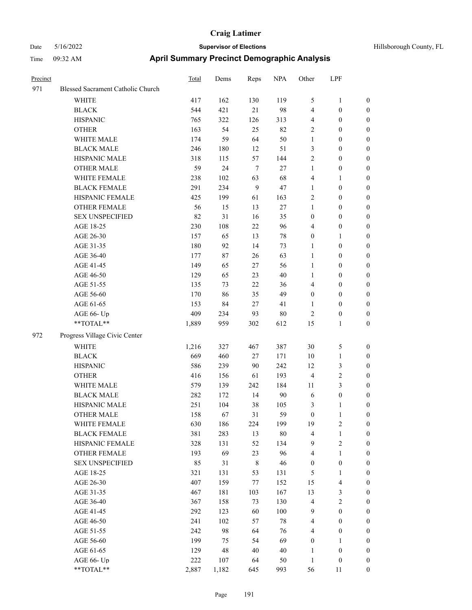| Precinct |                                   | Total | Dems   | Reps        | <b>NPA</b> | Other            | LPF              |                  |
|----------|-----------------------------------|-------|--------|-------------|------------|------------------|------------------|------------------|
| 971      | Blessed Sacrament Catholic Church |       |        |             |            |                  |                  |                  |
|          | <b>WHITE</b>                      | 417   | 162    | 130         | 119        | $\sqrt{5}$       | $\mathbf{1}$     | $\boldsymbol{0}$ |
|          | <b>BLACK</b>                      | 544   | 421    | 21          | 98         | $\overline{4}$   | $\boldsymbol{0}$ | $\boldsymbol{0}$ |
|          | <b>HISPANIC</b>                   | 765   | 322    | 126         | 313        | $\overline{4}$   | $\boldsymbol{0}$ | $\boldsymbol{0}$ |
|          | <b>OTHER</b>                      | 163   | 54     | 25          | 82         | $\overline{2}$   | $\boldsymbol{0}$ | $\boldsymbol{0}$ |
|          | WHITE MALE                        | 174   | 59     | 64          | 50         | $\mathbf{1}$     | $\boldsymbol{0}$ | $\boldsymbol{0}$ |
|          | <b>BLACK MALE</b>                 | 246   | 180    | 12          | 51         | 3                | $\boldsymbol{0}$ | $\boldsymbol{0}$ |
|          | HISPANIC MALE                     | 318   | 115    | 57          | 144        | $\sqrt{2}$       | $\boldsymbol{0}$ | $\boldsymbol{0}$ |
|          | <b>OTHER MALE</b>                 | 59    | 24     | $\tau$      | $27\,$     | $\mathbf{1}$     | $\boldsymbol{0}$ | $\boldsymbol{0}$ |
|          | WHITE FEMALE                      | 238   | 102    | 63          | 68         | $\overline{4}$   | 1                | $\boldsymbol{0}$ |
|          | <b>BLACK FEMALE</b>               | 291   | 234    | 9           | 47         | $\mathbf{1}$     | $\boldsymbol{0}$ | $\boldsymbol{0}$ |
|          | HISPANIC FEMALE                   | 425   | 199    | 61          | 163        | $\overline{2}$   | $\boldsymbol{0}$ | $\boldsymbol{0}$ |
|          | <b>OTHER FEMALE</b>               | 56    | 15     | 13          | $27\,$     | $\mathbf{1}$     | $\boldsymbol{0}$ | $\boldsymbol{0}$ |
|          | <b>SEX UNSPECIFIED</b>            | 82    | 31     | 16          | 35         | $\boldsymbol{0}$ | $\boldsymbol{0}$ | $\boldsymbol{0}$ |
|          | AGE 18-25                         | 230   | 108    | 22          | 96         | $\overline{4}$   | $\boldsymbol{0}$ | $\boldsymbol{0}$ |
|          | AGE 26-30                         | 157   | 65     | 13          | 78         | $\boldsymbol{0}$ | 1                | $\boldsymbol{0}$ |
|          | AGE 31-35                         | 180   | 92     | 14          | 73         | 1                | $\boldsymbol{0}$ | $\boldsymbol{0}$ |
|          | AGE 36-40                         | 177   | $87\,$ | 26          | 63         | $\mathbf{1}$     | $\boldsymbol{0}$ | $\boldsymbol{0}$ |
|          | AGE 41-45                         | 149   | 65     | $27\,$      | 56         | $\mathbf{1}$     | $\boldsymbol{0}$ | $\boldsymbol{0}$ |
|          | AGE 46-50                         | 129   | 65     | 23          | $40\,$     | $\mathbf{1}$     | $\boldsymbol{0}$ | $\boldsymbol{0}$ |
|          | AGE 51-55                         | 135   | 73     | 22          | 36         | $\overline{4}$   | $\boldsymbol{0}$ | $\boldsymbol{0}$ |
|          | AGE 56-60                         | 170   | 86     | 35          | 49         | $\boldsymbol{0}$ | $\boldsymbol{0}$ | $\boldsymbol{0}$ |
|          | AGE 61-65                         | 153   | 84     | 27          | 41         | 1                | $\boldsymbol{0}$ | $\boldsymbol{0}$ |
|          | AGE 66- Up                        | 409   | 234    | 93          | $80\,$     | $\sqrt{2}$       | $\boldsymbol{0}$ | $\boldsymbol{0}$ |
|          | **TOTAL**                         | 1,889 | 959    | 302         | 612        | 15               | 1                | $\boldsymbol{0}$ |
| 972      | Progress Village Civic Center     |       |        |             |            |                  |                  |                  |
|          | <b>WHITE</b>                      | 1,216 | 327    | 467         | 387        | 30               | 5                | $\boldsymbol{0}$ |
|          | <b>BLACK</b>                      | 669   | 460    | 27          | 171        | 10               | 1                | $\boldsymbol{0}$ |
|          | <b>HISPANIC</b>                   | 586   | 239    | 90          | 242        | 12               | 3                | $\boldsymbol{0}$ |
|          | <b>OTHER</b>                      | 416   | 156    | 61          | 193        | $\overline{4}$   | 2                | $\boldsymbol{0}$ |
|          | WHITE MALE                        | 579   | 139    | 242         | 184        | 11               | 3                | $\boldsymbol{0}$ |
|          | <b>BLACK MALE</b>                 | 282   | 172    | 14          | 90         | 6                | $\boldsymbol{0}$ | $\boldsymbol{0}$ |
|          | HISPANIC MALE                     | 251   | 104    | 38          | 105        | 3                | 1                | $\boldsymbol{0}$ |
|          | <b>OTHER MALE</b>                 | 158   | 67     | 31          | 59         | $\boldsymbol{0}$ | 1                | $\boldsymbol{0}$ |
|          | WHITE FEMALE                      | 630   | 186    | 224         | 199        | 19               | $\overline{c}$   | $\mathbf{0}$     |
|          | <b>BLACK FEMALE</b>               | 381   | 283    | 13          | $80\,$     | $\overline{4}$   | 1                | $\boldsymbol{0}$ |
|          | HISPANIC FEMALE                   | 328   | 131    | 52          | 134        | $\overline{9}$   | 2                | $\boldsymbol{0}$ |
|          | <b>OTHER FEMALE</b>               | 193   | 69     | 23          | 96         | $\overline{4}$   | $\mathbf{1}$     | $\boldsymbol{0}$ |
|          | <b>SEX UNSPECIFIED</b>            | 85    | 31     | $\,$ 8 $\,$ | 46         | $\boldsymbol{0}$ | $\boldsymbol{0}$ | $\boldsymbol{0}$ |
|          | AGE 18-25                         | 321   | 131    | 53          | 131        | $\mathfrak{S}$   | 1                | $\boldsymbol{0}$ |
|          | AGE 26-30                         | 407   | 159    | 77          | 152        | 15               | 4                | $\boldsymbol{0}$ |
|          | AGE 31-35                         | 467   | 181    | 103         | 167        | 13               | 3                | $\boldsymbol{0}$ |
|          | AGE 36-40                         | 367   | 158    | 73          | 130        | $\overline{4}$   | 2                | $\boldsymbol{0}$ |
|          | AGE 41-45                         | 292   | 123    | 60          | 100        | $\overline{9}$   | $\boldsymbol{0}$ | $\boldsymbol{0}$ |
|          | AGE 46-50                         | 241   | 102    | 57          | $78\,$     | $\overline{4}$   | $\boldsymbol{0}$ | $\boldsymbol{0}$ |
|          | AGE 51-55                         | 242   | 98     | 64          | 76         | $\overline{4}$   | $\boldsymbol{0}$ | $\boldsymbol{0}$ |
|          | AGE 56-60                         | 199   | 75     | 54          | 69         | $\boldsymbol{0}$ | 1                | $\boldsymbol{0}$ |
|          | AGE 61-65                         | 129   | 48     | $40\,$      | 40         | 1                | $\boldsymbol{0}$ | $\boldsymbol{0}$ |
|          | AGE 66- Up                        | 222   | 107    | 64          | 50         | $\mathbf{1}$     | $\boldsymbol{0}$ | $\boldsymbol{0}$ |
|          | **TOTAL**                         | 2,887 | 1,182  | 645         | 993        | 56               | 11               | $\boldsymbol{0}$ |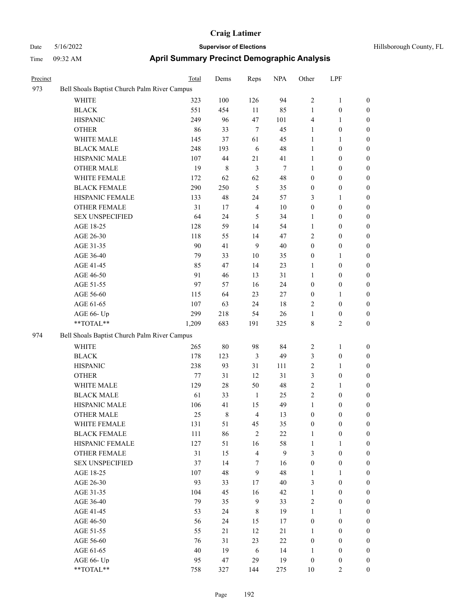| Precinct |                                              | Total | Dems   | Reps           | <b>NPA</b>     | Other            | LPF              |                  |
|----------|----------------------------------------------|-------|--------|----------------|----------------|------------------|------------------|------------------|
| 973      | Bell Shoals Baptist Church Palm River Campus |       |        |                |                |                  |                  |                  |
|          | <b>WHITE</b>                                 | 323   | 100    | 126            | 94             | $\overline{2}$   | $\mathbf{1}$     | $\boldsymbol{0}$ |
|          | <b>BLACK</b>                                 | 551   | 454    | 11             | 85             | $\mathbf{1}$     | $\boldsymbol{0}$ | $\boldsymbol{0}$ |
|          | <b>HISPANIC</b>                              | 249   | 96     | 47             | 101            | $\overline{4}$   | 1                | $\boldsymbol{0}$ |
|          | <b>OTHER</b>                                 | 86    | 33     | $\tau$         | 45             | $\mathbf{1}$     | $\boldsymbol{0}$ | $\boldsymbol{0}$ |
|          | WHITE MALE                                   | 145   | 37     | 61             | 45             | $\mathbf{1}$     | 1                | $\boldsymbol{0}$ |
|          | <b>BLACK MALE</b>                            | 248   | 193    | 6              | 48             | $\mathbf{1}$     | $\boldsymbol{0}$ | $\boldsymbol{0}$ |
|          | HISPANIC MALE                                | 107   | 44     | $21\,$         | 41             | $\mathbf{1}$     | $\boldsymbol{0}$ | $\boldsymbol{0}$ |
|          | <b>OTHER MALE</b>                            | 19    | 8      | 3              | $\overline{7}$ | 1                | $\boldsymbol{0}$ | $\boldsymbol{0}$ |
|          | WHITE FEMALE                                 | 172   | 62     | 62             | 48             | $\boldsymbol{0}$ | $\boldsymbol{0}$ | $\boldsymbol{0}$ |
|          | <b>BLACK FEMALE</b>                          | 290   | 250    | $\mathfrak{H}$ | 35             | $\boldsymbol{0}$ | $\boldsymbol{0}$ | $\boldsymbol{0}$ |
|          | HISPANIC FEMALE                              | 133   | 48     | 24             | 57             | 3                | 1                | $\boldsymbol{0}$ |
|          | <b>OTHER FEMALE</b>                          | 31    | 17     | $\overline{4}$ | 10             | $\boldsymbol{0}$ | $\boldsymbol{0}$ | $\boldsymbol{0}$ |
|          | <b>SEX UNSPECIFIED</b>                       | 64    | 24     | 5              | 34             | 1                | $\boldsymbol{0}$ | $\boldsymbol{0}$ |
|          | AGE 18-25                                    | 128   | 59     | 14             | 54             | 1                | $\boldsymbol{0}$ | $\boldsymbol{0}$ |
|          | AGE 26-30                                    | 118   | 55     | 14             | 47             | $\overline{2}$   | $\boldsymbol{0}$ | $\boldsymbol{0}$ |
|          | AGE 31-35                                    | 90    | 41     | 9              | 40             | $\boldsymbol{0}$ | $\boldsymbol{0}$ | $\boldsymbol{0}$ |
|          | AGE 36-40                                    | 79    | 33     | 10             | 35             | $\boldsymbol{0}$ | 1                | $\boldsymbol{0}$ |
|          | AGE 41-45                                    | 85    | 47     | 14             | 23             | 1                | $\boldsymbol{0}$ | $\boldsymbol{0}$ |
|          | AGE 46-50                                    | 91    | 46     | 13             | 31             | 1                | $\boldsymbol{0}$ | $\boldsymbol{0}$ |
|          | AGE 51-55                                    | 97    | 57     | 16             | 24             | $\boldsymbol{0}$ | $\boldsymbol{0}$ | $\boldsymbol{0}$ |
|          | AGE 56-60                                    | 115   | 64     | 23             | 27             | $\boldsymbol{0}$ | 1                | $\boldsymbol{0}$ |
|          | AGE 61-65                                    | 107   | 63     | 24             | 18             | $\overline{2}$   | $\boldsymbol{0}$ | $\boldsymbol{0}$ |
|          | AGE 66- Up                                   | 299   | 218    | 54             | 26             | $\mathbf{1}$     | $\boldsymbol{0}$ | $\boldsymbol{0}$ |
|          | **TOTAL**                                    | 1,209 | 683    | 191            | 325            | $\,8\,$          | 2                | $\boldsymbol{0}$ |
| 974      | Bell Shoals Baptist Church Palm River Campus |       |        |                |                |                  |                  |                  |
|          | <b>WHITE</b>                                 | 265   | $80\,$ | 98             | 84             | $\overline{2}$   | 1                | $\boldsymbol{0}$ |
|          | <b>BLACK</b>                                 | 178   | 123    | $\mathfrak{Z}$ | 49             | $\mathfrak{Z}$   | $\boldsymbol{0}$ | $\boldsymbol{0}$ |
|          | <b>HISPANIC</b>                              | 238   | 93     | 31             | 111            | $\sqrt{2}$       | 1                | $\boldsymbol{0}$ |
|          | <b>OTHER</b>                                 | 77    | 31     | 12             | 31             | 3                | $\boldsymbol{0}$ | $\boldsymbol{0}$ |
|          | WHITE MALE                                   | 129   | 28     | 50             | 48             | $\sqrt{2}$       | 1                | $\boldsymbol{0}$ |
|          | <b>BLACK MALE</b>                            | 61    | 33     | 1              | 25             | $\sqrt{2}$       | $\boldsymbol{0}$ | $\boldsymbol{0}$ |
|          | HISPANIC MALE                                | 106   | 41     | 15             | 49             | $\mathbf{1}$     | 0                | 0                |
|          | <b>OTHER MALE</b>                            | 25    | 8      | $\overline{4}$ | 13             | $\boldsymbol{0}$ | 0                | 0                |
|          | WHITE FEMALE                                 | 131   | 51     | 45             | 35             | $\boldsymbol{0}$ | $\boldsymbol{0}$ | $\boldsymbol{0}$ |
|          | <b>BLACK FEMALE</b>                          | 111   | 86     | $\sqrt{2}$     | $22\,$         | $\mathbf{1}$     | $\boldsymbol{0}$ | $\boldsymbol{0}$ |
|          | HISPANIC FEMALE                              | 127   | 51     | 16             | 58             | $\mathbf{1}$     | 1                | $\boldsymbol{0}$ |
|          | <b>OTHER FEMALE</b>                          | 31    | 15     | $\overline{4}$ | $\mathbf{9}$   | 3                | $\boldsymbol{0}$ | $\boldsymbol{0}$ |
|          | <b>SEX UNSPECIFIED</b>                       | 37    | 14     | $\tau$         | 16             | $\boldsymbol{0}$ | $\boldsymbol{0}$ | $\boldsymbol{0}$ |
|          | AGE 18-25                                    | 107   | 48     | 9              | 48             | $\mathbf{1}$     | $\mathbf{1}$     | $\boldsymbol{0}$ |
|          | AGE 26-30                                    | 93    | 33     | 17             | 40             | $\mathfrak{Z}$   | $\boldsymbol{0}$ | $\boldsymbol{0}$ |
|          | AGE 31-35                                    | 104   | 45     | 16             | 42             | $\mathbf{1}$     | $\boldsymbol{0}$ | $\boldsymbol{0}$ |
|          | AGE 36-40                                    | 79    | 35     | 9              | 33             | $\sqrt{2}$       | $\boldsymbol{0}$ | $\boldsymbol{0}$ |
|          | AGE 41-45                                    | 53    | 24     | 8              | 19             | $\mathbf{1}$     | $\mathbf{1}$     | $\boldsymbol{0}$ |
|          | AGE 46-50                                    | 56    | 24     | 15             | 17             | $\boldsymbol{0}$ | $\boldsymbol{0}$ | $\boldsymbol{0}$ |
|          | AGE 51-55                                    | 55    | 21     | 12             | 21             | $\mathbf{1}$     | $\boldsymbol{0}$ | $\boldsymbol{0}$ |
|          | AGE 56-60                                    | 76    | 31     | 23             | $22\,$         | $\boldsymbol{0}$ | $\boldsymbol{0}$ | $\boldsymbol{0}$ |
|          | AGE 61-65                                    | 40    | 19     | $\sqrt{6}$     | 14             | $\mathbf{1}$     | $\boldsymbol{0}$ | $\boldsymbol{0}$ |
|          | AGE 66- Up                                   | 95    | 47     | 29             | 19             | $\boldsymbol{0}$ | $\boldsymbol{0}$ | $\boldsymbol{0}$ |
|          | $**TOTAL**$                                  | 758   | 327    | 144            | 275            | $10\,$           | 2                | $\boldsymbol{0}$ |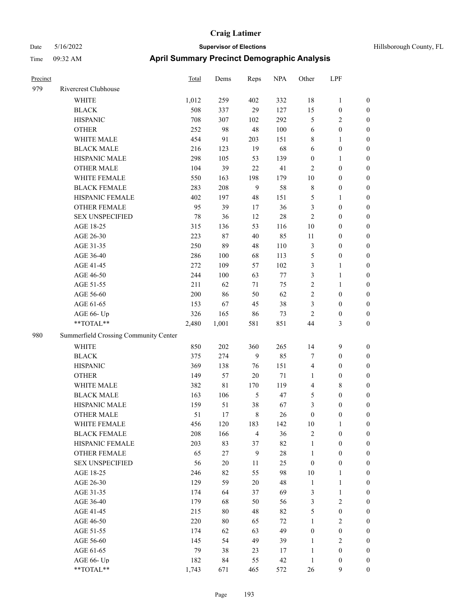| Hillsborough County, FL |  |  |
|-------------------------|--|--|
|-------------------------|--|--|

| Precinct |                                                             | <b>Total</b> | Dems        | Reps           | <b>NPA</b> | Other            | LPF              |                  |
|----------|-------------------------------------------------------------|--------------|-------------|----------------|------------|------------------|------------------|------------------|
| 979      | Rivercrest Clubhouse                                        |              |             |                |            |                  |                  |                  |
|          | <b>WHITE</b>                                                | 1,012        | 259         | 402            | 332        | $18\,$           | $\mathbf{1}$     | $\boldsymbol{0}$ |
|          | <b>BLACK</b>                                                | 508          | 337         | 29             | 127        | 15               | $\boldsymbol{0}$ | $\boldsymbol{0}$ |
|          | <b>HISPANIC</b>                                             | 708          | 307         | 102            | 292        | $\mathfrak{S}$   | 2                | $\boldsymbol{0}$ |
|          | <b>OTHER</b>                                                | 252          | 98          | $48\,$         | 100        | 6                | $\boldsymbol{0}$ | $\boldsymbol{0}$ |
|          | WHITE MALE                                                  | 454          | 91          | 203            | 151        | $\,$ 8 $\,$      | 1                | $\boldsymbol{0}$ |
|          | <b>BLACK MALE</b>                                           | 216          | 123         | 19             | 68         | 6                | $\boldsymbol{0}$ | $\boldsymbol{0}$ |
|          | HISPANIC MALE                                               | 298          | 105         | 53             | 139        | $\boldsymbol{0}$ | 1                | $\boldsymbol{0}$ |
|          | <b>OTHER MALE</b>                                           | 104          | 39          | $22\,$         | 41         | $\overline{2}$   | $\boldsymbol{0}$ | $\boldsymbol{0}$ |
|          | WHITE FEMALE                                                | 550          | 163         | 198            | 179        | 10               | $\boldsymbol{0}$ | $\boldsymbol{0}$ |
|          | <b>BLACK FEMALE</b>                                         | 283          | 208         | 9              | 58         | $\,$ 8 $\,$      | $\boldsymbol{0}$ | $\boldsymbol{0}$ |
|          | HISPANIC FEMALE                                             | 402          | 197         | 48             | 151        | $\mathfrak{S}$   | 1                | $\boldsymbol{0}$ |
|          | <b>OTHER FEMALE</b>                                         | 95           | 39          | 17             | 36         | $\mathfrak{Z}$   | $\boldsymbol{0}$ | $\boldsymbol{0}$ |
|          | <b>SEX UNSPECIFIED</b>                                      | 78           | 36          | 12             | $28\,$     | $\overline{2}$   | $\boldsymbol{0}$ | $\boldsymbol{0}$ |
|          | AGE 18-25                                                   | 315          | 136         | 53             | 116        | 10               | $\boldsymbol{0}$ | $\boldsymbol{0}$ |
|          | AGE 26-30                                                   | 223          | 87          | 40             | 85         | $11\,$           | $\boldsymbol{0}$ | $\boldsymbol{0}$ |
|          | AGE 31-35                                                   | 250          | 89          | 48             | 110        | $\mathfrak{Z}$   | $\boldsymbol{0}$ | $\boldsymbol{0}$ |
|          | AGE 36-40                                                   | 286          | $100\,$     | 68             | 113        | 5                | $\boldsymbol{0}$ | $\boldsymbol{0}$ |
|          | AGE 41-45                                                   | 272          | 109         | 57             | 102        | $\mathfrak{Z}$   | 1                | $\boldsymbol{0}$ |
|          | AGE 46-50                                                   | 244          | 100         | 63             | $77\,$     | $\mathfrak{Z}$   | $\mathbf{1}$     | $\boldsymbol{0}$ |
|          | AGE 51-55                                                   | 211          | 62          | 71             | 75         | $\overline{2}$   | 1                | $\boldsymbol{0}$ |
|          | AGE 56-60                                                   | 200          | 86          | 50             | 62         | $\overline{2}$   | $\boldsymbol{0}$ | $\boldsymbol{0}$ |
|          | AGE 61-65                                                   | 153          | 67          | 45             | 38         | 3                | $\boldsymbol{0}$ | $\boldsymbol{0}$ |
|          | AGE 66- Up                                                  | 326          | 165         | 86             | 73         | $\overline{2}$   | $\boldsymbol{0}$ | $\boldsymbol{0}$ |
|          | **TOTAL**                                                   | 2,480        | 1,001       | 581            | 851        | 44               | 3                | $\boldsymbol{0}$ |
| 980      | Summerfield Crossing Community Center                       |              |             |                |            |                  |                  |                  |
|          | <b>WHITE</b>                                                | 850          | 202         | 360            | 265        | 14               | 9                | $\boldsymbol{0}$ |
|          | <b>BLACK</b>                                                | 375          | 274         | 9              | 85         | 7                | $\boldsymbol{0}$ | $\boldsymbol{0}$ |
|          | <b>HISPANIC</b>                                             | 369          | 138         | 76             | 151        | $\overline{4}$   | $\boldsymbol{0}$ | $\boldsymbol{0}$ |
|          | <b>OTHER</b>                                                | 149          | 57          | 20             | 71         | 1                | $\boldsymbol{0}$ | $\boldsymbol{0}$ |
|          | WHITE MALE                                                  | 382          | $8\sqrt{1}$ | 170            | 119        | $\overline{4}$   | 8                | $\boldsymbol{0}$ |
|          | <b>BLACK MALE</b>                                           | 163          | 106         | 5              | 47         | 5                | $\boldsymbol{0}$ | $\boldsymbol{0}$ |
|          | HISPANIC MALE                                               | 159          | 51          | 38             | 67         | 3                | 0                | $\boldsymbol{0}$ |
|          | <b>OTHER MALE</b>                                           | 51           | 17          | 8              | 26         | $\boldsymbol{0}$ | 0                | $\boldsymbol{0}$ |
|          | WHITE FEMALE                                                | 456          | 120         | 183            | 142        | 10               | 1                | $\boldsymbol{0}$ |
|          | <b>BLACK FEMALE</b>                                         | 208          | 166         | $\overline{4}$ | 36         | $\sqrt{2}$       | $\boldsymbol{0}$ | $\boldsymbol{0}$ |
|          | HISPANIC FEMALE                                             | 203          | 83          | 37             | 82         | $\mathbf{1}$     | $\boldsymbol{0}$ | $\boldsymbol{0}$ |
|          | <b>OTHER FEMALE</b>                                         | 65           | 27          | $\overline{9}$ | 28         | $\mathbf{1}$     | $\boldsymbol{0}$ | $\boldsymbol{0}$ |
|          | SEX UNSPECIFIED                                             | 56           | $20\,$      | 11             | 25         | $\boldsymbol{0}$ | $\boldsymbol{0}$ | $\boldsymbol{0}$ |
|          | AGE 18-25                                                   | 246          | 82          | 55             | 98         | $10\,$           | 1                | $\boldsymbol{0}$ |
|          | AGE 26-30                                                   | 129          | 59          | $20\,$         | 48         | $\mathbf{1}$     | $\mathbf{1}$     | $\boldsymbol{0}$ |
|          | AGE 31-35                                                   | 174          | 64          | 37             | 69         | $\mathfrak{Z}$   | $\mathbf{1}$     | $\boldsymbol{0}$ |
|          | AGE 36-40                                                   | 179          | 68          | 50             | 56         | $\mathfrak{Z}$   | $\mathbf{2}$     | $\boldsymbol{0}$ |
|          | AGE 41-45                                                   | 215          | 80          | 48             | 82         | $\mathfrak{S}$   | $\boldsymbol{0}$ | $\boldsymbol{0}$ |
|          | AGE 46-50                                                   | 220          | $80\,$      | 65             | $72\,$     | $\mathbf{1}$     | $\sqrt{2}$       | $\boldsymbol{0}$ |
|          | AGE 51-55                                                   | 174          | 62          | 63             | 49         | $\boldsymbol{0}$ | $\boldsymbol{0}$ | $\boldsymbol{0}$ |
|          | AGE 56-60                                                   | 145          | 54          | 49             | 39         | $\mathbf{1}$     | $\mathbf{2}$     | $\boldsymbol{0}$ |
|          | AGE 61-65                                                   | 79           | 38          | 23             | 17         | $\mathbf{1}$     | $\boldsymbol{0}$ | $\boldsymbol{0}$ |
|          | AGE 66- Up                                                  | 182          | 84          | 55             | 42         | $\mathbf{1}$     | $\boldsymbol{0}$ | $\boldsymbol{0}$ |
|          | $\mathrm{*}\mathrm{*} \mathrm{TOTAL} \mathrm{*} \mathrm{*}$ | 1,743        | 671         | 465            | 572        | 26               | 9                | $\boldsymbol{0}$ |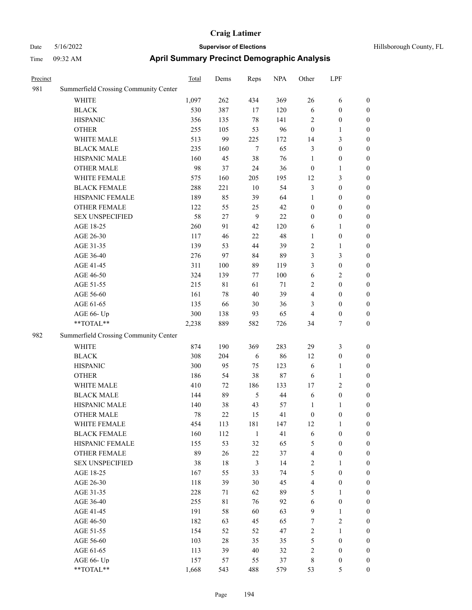| Precinct |                                       | Total | Dems        | Reps           | <b>NPA</b> | Other            | LPF              |                  |
|----------|---------------------------------------|-------|-------------|----------------|------------|------------------|------------------|------------------|
| 981      | Summerfield Crossing Community Center |       |             |                |            |                  |                  |                  |
|          | <b>WHITE</b>                          | 1,097 | 262         | 434            | 369        | 26               | 6                | $\boldsymbol{0}$ |
|          | <b>BLACK</b>                          | 530   | 387         | 17             | 120        | 6                | $\boldsymbol{0}$ | $\boldsymbol{0}$ |
|          | <b>HISPANIC</b>                       | 356   | 135         | 78             | 141        | $\sqrt{2}$       | $\boldsymbol{0}$ | $\boldsymbol{0}$ |
|          | <b>OTHER</b>                          | 255   | 105         | 53             | 96         | $\boldsymbol{0}$ | 1                | $\boldsymbol{0}$ |
|          | WHITE MALE                            | 513   | 99          | 225            | 172        | 14               | 3                | $\boldsymbol{0}$ |
|          | <b>BLACK MALE</b>                     | 235   | 160         | $\tau$         | 65         | $\mathfrak{Z}$   | $\boldsymbol{0}$ | $\boldsymbol{0}$ |
|          | HISPANIC MALE                         | 160   | 45          | 38             | 76         | $\mathbf{1}$     | $\boldsymbol{0}$ | $\boldsymbol{0}$ |
|          | <b>OTHER MALE</b>                     | 98    | 37          | 24             | 36         | $\boldsymbol{0}$ | 1                | $\boldsymbol{0}$ |
|          | WHITE FEMALE                          | 575   | 160         | 205            | 195        | 12               | 3                | $\boldsymbol{0}$ |
|          | <b>BLACK FEMALE</b>                   | 288   | 221         | $10\,$         | 54         | 3                | $\boldsymbol{0}$ | $\boldsymbol{0}$ |
|          | HISPANIC FEMALE                       | 189   | 85          | 39             | 64         | 1                | $\boldsymbol{0}$ | $\boldsymbol{0}$ |
|          | <b>OTHER FEMALE</b>                   | 122   | 55          | 25             | 42         | $\boldsymbol{0}$ | $\boldsymbol{0}$ | $\boldsymbol{0}$ |
|          | <b>SEX UNSPECIFIED</b>                | 58    | 27          | 9              | 22         | $\boldsymbol{0}$ | $\boldsymbol{0}$ | $\boldsymbol{0}$ |
|          | AGE 18-25                             | 260   | 91          | 42             | 120        | 6                | 1                | $\boldsymbol{0}$ |
|          | AGE 26-30                             | 117   | 46          | 22             | 48         | $\mathbf{1}$     | $\boldsymbol{0}$ | $\boldsymbol{0}$ |
|          | AGE 31-35                             | 139   | 53          | 44             | 39         | $\sqrt{2}$       | 1                | $\boldsymbol{0}$ |
|          | AGE 36-40                             | 276   | 97          | 84             | 89         | 3                | 3                | $\boldsymbol{0}$ |
|          | AGE 41-45                             | 311   | 100         | 89             | 119        | 3                | $\boldsymbol{0}$ | $\boldsymbol{0}$ |
|          | AGE 46-50                             | 324   | 139         | 77             | 100        | 6                | 2                | $\boldsymbol{0}$ |
|          | AGE 51-55                             | 215   | $8\sqrt{1}$ | 61             | 71         | $\overline{2}$   | $\boldsymbol{0}$ | $\boldsymbol{0}$ |
|          | AGE 56-60                             | 161   | 78          | 40             | 39         | $\overline{4}$   | $\boldsymbol{0}$ | $\boldsymbol{0}$ |
|          | AGE 61-65                             | 135   | 66          | 30             | 36         | 3                | $\boldsymbol{0}$ | $\boldsymbol{0}$ |
|          | AGE 66- Up                            | 300   | 138         | 93             | 65         | $\overline{4}$   | $\boldsymbol{0}$ | $\boldsymbol{0}$ |
|          | **TOTAL**                             | 2,238 | 889         | 582            | 726        | 34               | 7                | $\boldsymbol{0}$ |
| 982      | Summerfield Crossing Community Center |       |             |                |            |                  |                  |                  |
|          | <b>WHITE</b>                          | 874   | 190         | 369            | 283        | 29               | 3                | $\boldsymbol{0}$ |
|          | <b>BLACK</b>                          | 308   | 204         | 6              | 86         | 12               | $\boldsymbol{0}$ | $\boldsymbol{0}$ |
|          | <b>HISPANIC</b>                       | 300   | 95          | 75             | 123        | 6                | 1                | $\boldsymbol{0}$ |
|          | <b>OTHER</b>                          | 186   | 54          | 38             | 87         | 6                | 1                | $\boldsymbol{0}$ |
|          | WHITE MALE                            | 410   | 72          | 186            | 133        | 17               | 2                | $\boldsymbol{0}$ |
|          | <b>BLACK MALE</b>                     | 144   | 89          | 5              | 44         | 6                | $\boldsymbol{0}$ | $\boldsymbol{0}$ |
|          | HISPANIC MALE                         | 140   | 38          | 43             | 57         | $\mathbf{1}$     | 1                | $\boldsymbol{0}$ |
|          | <b>OTHER MALE</b>                     | 78    | 22          | 15             | 41         | $\boldsymbol{0}$ | 0                | $\boldsymbol{0}$ |
|          | WHITE FEMALE                          | 454   | 113         | 181            | 147        | 12               | $\mathbf{1}$     | $\boldsymbol{0}$ |
|          | <b>BLACK FEMALE</b>                   | 160   | 112         | $\mathbf{1}$   | 41         | $\sqrt{6}$       | $\boldsymbol{0}$ | $\boldsymbol{0}$ |
|          | HISPANIC FEMALE                       | 155   | 53          | 32             | 65         | $\sqrt{5}$       | $\boldsymbol{0}$ | $\boldsymbol{0}$ |
|          | <b>OTHER FEMALE</b>                   | 89    | 26          | $22\,$         | 37         | $\overline{4}$   | $\boldsymbol{0}$ | $\boldsymbol{0}$ |
|          | <b>SEX UNSPECIFIED</b>                | 38    | 18          | $\mathfrak{Z}$ | 14         | $\sqrt{2}$       | 1                | $\boldsymbol{0}$ |
|          | AGE 18-25                             | 167   | 55          | 33             | 74         | $\mathfrak s$    | $\boldsymbol{0}$ | $\boldsymbol{0}$ |
|          | AGE 26-30                             | 118   | 39          | 30             | 45         | $\overline{4}$   | $\boldsymbol{0}$ | $\boldsymbol{0}$ |
|          | AGE 31-35                             | 228   | 71          | 62             | 89         | $\mathfrak s$    | $\mathbf{1}$     | $\boldsymbol{0}$ |
|          | AGE 36-40                             | 255   | 81          | 76             | 92         | 6                | $\boldsymbol{0}$ | $\boldsymbol{0}$ |
|          | AGE 41-45                             | 191   | 58          | 60             | 63         | $\overline{9}$   | 1                | $\boldsymbol{0}$ |
|          | AGE 46-50                             | 182   | 63          | 45             | 65         | $\tau$           | $\mathbf{2}$     | $\boldsymbol{0}$ |
|          | AGE 51-55                             | 154   | 52          | 52             | 47         | $\sqrt{2}$       | $\mathbf{1}$     | $\boldsymbol{0}$ |
|          | AGE 56-60                             | 103   | 28          | 35             | 35         | $\sqrt{5}$       | $\boldsymbol{0}$ | $\boldsymbol{0}$ |
|          | AGE 61-65                             | 113   | 39          | $40\,$         | 32         | $\sqrt{2}$       | $\boldsymbol{0}$ | $\boldsymbol{0}$ |
|          | AGE 66- Up                            | 157   | 57          | 55             | 37         | $\,$ 8 $\,$      | $\boldsymbol{0}$ | $\mathbf{0}$     |
|          | **TOTAL**                             | 1.668 | 543         | 488            | 579        | 53               | 5                | $\overline{0}$   |